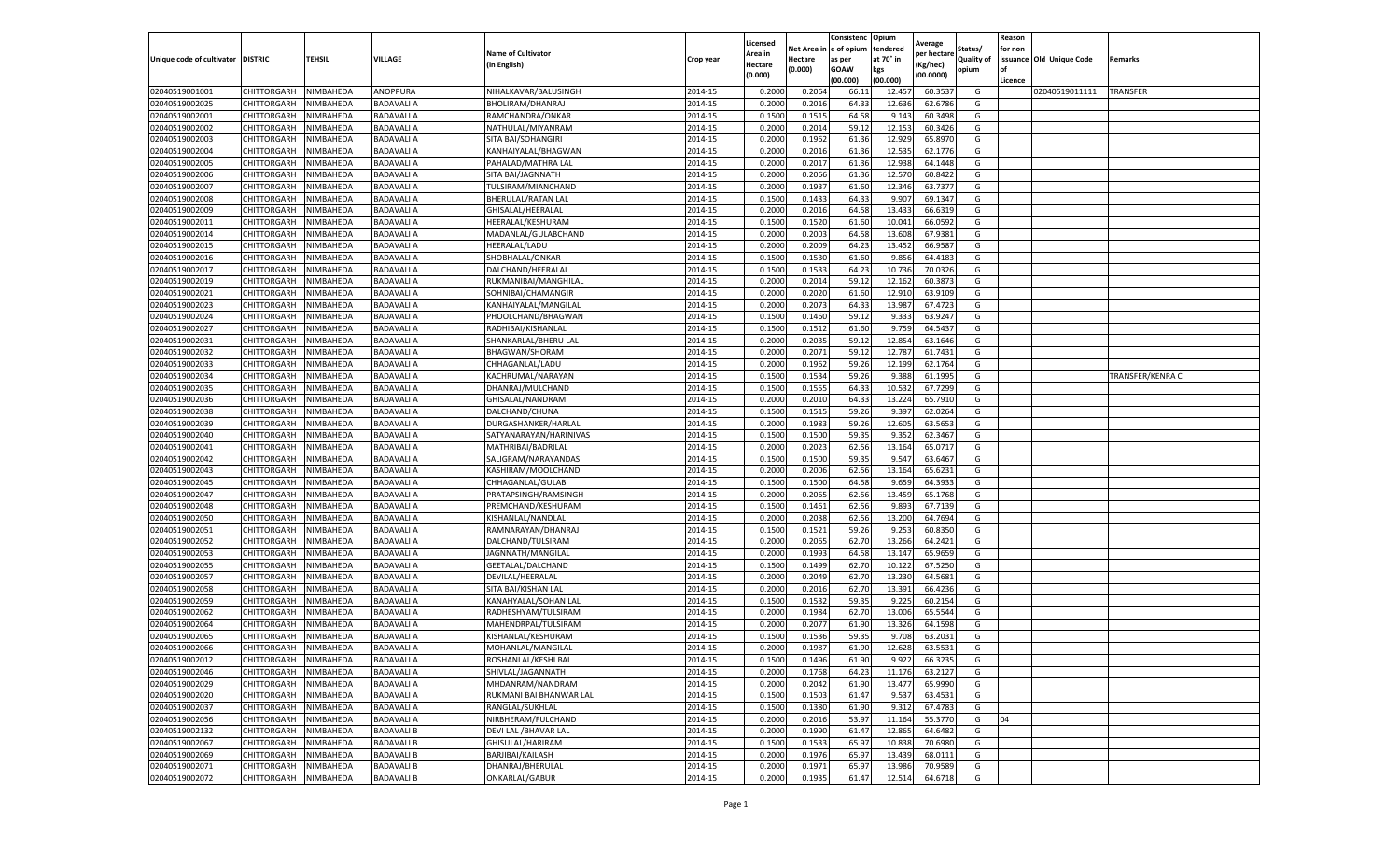|                                   |                            |                        |                          |                                          |                    | Licensed         |                  | Consistenc              | Opium           | Average          |            | Reason  |                          |                  |
|-----------------------------------|----------------------------|------------------------|--------------------------|------------------------------------------|--------------------|------------------|------------------|-------------------------|-----------------|------------------|------------|---------|--------------------------|------------------|
|                                   |                            |                        |                          | <b>Name of Cultivator</b>                |                    | Area in          |                  | Net Area in le of opium | tendered        | per hectare      | Status/    | for non |                          |                  |
| Unique code of cultivator DISTRIC |                            | <b>TEHSIL</b>          | VILLAGE                  | (in English)                             | Crop year          | Hectare          | Hectare          | as per                  | at 70° in       | Kg/hec)          | Quality of |         | issuance Old Unique Code | Remarks          |
|                                   |                            |                        |                          |                                          |                    | (0.000)          | (0.000)          | GOAW                    | kgs             | (00.0000)        | opium      | l of    |                          |                  |
|                                   |                            |                        |                          |                                          |                    |                  |                  | (00.000)                | (00.000)        |                  |            | Licence |                          |                  |
| 02040519001001                    | CHITTORGARH                | NIMBAHEDA              | ANOPPURA                 | NIHALKAVAR/BALUSINGH                     | 2014-15            | 0.200            | 0.2064           | 66.11                   | 12.45           | 60.353           | G          |         | 02040519011111           | <b>TRANSFER</b>  |
| 02040519002025                    | CHITTORGARH                | NIMBAHEDA              | BADAVALI A               | BHOLIRAM/DHANRAJ                         | 2014-15            | 0.200            | 0.201            | 64.33                   | 12.636          | 62.678           | G          |         |                          |                  |
| 02040519002001                    | CHITTORGARH                | NIMBAHEDA              | BADAVALI A               | RAMCHANDRA/ONKAR                         | 2014-15            | 0.1500           | 0.151            | 64.58                   | 9.143           | 60.3498          | G          |         |                          |                  |
| 02040519002002                    | CHITTORGARH                | NIMBAHEDA              | BADAVALI A               | NATHULAL/MIYANRAM                        | 2014-15            | 0.2000           | 0.2014           | 59.12                   | 12.153          | 60.3426          | G          |         |                          |                  |
| 02040519002003                    | CHITTORGARH                | NIMBAHEDA              | BADAVALI A               | SITA BAI/SOHANGIRI                       | 2014-15            | 0.2000           | 0.1962           | 61.36                   | 12.929          | 65.897<br>62.177 | G<br>G     |         |                          |                  |
| 02040519002004                    | CHITTORGARH<br>CHITTORGARH | NIMBAHEDA              | BADAVALI A               | KANHAIYALAL/BHAGWAN                      | 2014-15            | 0.2000<br>0.2000 | 0.2016           | 61.36<br>61.36          | 12.53<br>12.938 | 64.144           | G          |         |                          |                  |
| 02040519002005<br>02040519002006  |                            | NIMBAHEDA              | BADAVALI A               | PAHALAD/MATHRA LAI                       | 2014-15<br>2014-15 |                  | 0.201            |                         | 12.570          |                  |            |         |                          |                  |
| 02040519002007                    | CHITTORGARH                | NIMBAHEDA              | BADAVALI A               | SITA BAI/JAGNNATH                        | 2014-15            | 0.2000<br>0.2000 | 0.2066<br>0.1937 | 61.36<br>61.60          | 12.346          | 60.842<br>63.737 | G<br>G     |         |                          |                  |
| 02040519002008                    | CHITTORGARH<br>CHITTORGARH | NIMBAHEDA<br>NIMBAHEDA | BADAVALI A<br>BADAVALI A | TULSIRAM/MIANCHAND<br>BHERULAL/RATAN LAL | 2014-15            | 0.1500           | 0.1433           | 64.33                   | 9.907           | 69.1347          | G          |         |                          |                  |
| 02040519002009                    | CHITTORGARH                | NIMBAHEDA              | <b>BADAVALI A</b>        | GHISALAL/HEERALAL                        | 2014-15            | 0.2000           | 0.2016           | 64.58                   | 13.433          | 66.631           | G          |         |                          |                  |
| 02040519002011                    | CHITTORGARH                | NIMBAHEDA              | BADAVALI A               | HEERALAL/KESHURAM                        | 2014-15            | 0.1500           | 0.1520           | 61.60                   | 10.041          | 66.059           | G          |         |                          |                  |
| 02040519002014                    | CHITTORGARH                | <b>NIMBAHEDA</b>       | BADAVALI A               | MADANLAL/GULABCHAND                      | 2014-15            | 0.2000           | 0.2003           | 64.58                   | 13.608          | 67.938           | G          |         |                          |                  |
| 02040519002015                    | CHITTORGARH                | NIMBAHEDA              | BADAVALI A               | HEERALAL/LADU                            | 2014-15            | 0.2000           | 0.2009           | 64.23                   | 13.452          | 66.958           | G          |         |                          |                  |
| 02040519002016                    | CHITTORGARH                | NIMBAHEDA              | BADAVALI A               | SHOBHALAL/ONKAR                          | 2014-15            | 0.1500           | 0.1530           | 61.60                   | 9.856           | 64.418           | G          |         |                          |                  |
| 02040519002017                    | CHITTORGARH                | NIMBAHEDA              | BADAVALI A               | DALCHAND/HEERALAL                        | 2014-15            | 0.1500           | 0.1533           | 64.23                   | 10.736          | 70.032           | G          |         |                          |                  |
| 02040519002019                    | CHITTORGARH                | NIMBAHEDA              | BADAVALI A               | RUKMANIBAI/MANGHILAL                     | 2014-15            | 0.2000           | 0.2014           | 59.1                    | 12.162          | 60.387           | G          |         |                          |                  |
| 02040519002021                    | CHITTORGARH                | NIMBAHEDA              | BADAVALI A               | SOHNIBAI/CHAMANGIR                       | 2014-15            | 0.2000           | 0.2020           | 61.60                   | 12.910          | 63.910           | G          |         |                          |                  |
| 02040519002023                    | CHITTORGARH                | <b>NIMBAHEDA</b>       | BADAVALI A               | KANHAIYALAL/MANGILAL                     | 2014-15            | 0.2000           | 0.2073           | 64.3                    | 13.987          | 67.472           | G          |         |                          |                  |
| 02040519002024                    | CHITTORGARH                | <b>NIMBAHEDA</b>       | BADAVALI A               | PHOOLCHAND/BHAGWAN                       | 2014-15            | 0.1500           | 0.146            | 59.12                   | 9.33            | 63.924           | G          |         |                          |                  |
| 02040519002027                    | CHITTORGARH                | NIMBAHEDA              | BADAVALI A               | RADHIBAI/KISHANLAL                       | 2014-15            | 0.1500           | 0.1512           | 61.60                   | 9.759           | 64.543           | G          |         |                          |                  |
| 02040519002031                    | CHITTORGARH                | NIMBAHEDA              | BADAVALI A               | SHANKARLAL/BHERU LAL                     | 2014-15            | 0.2000           | 0.2035           | 59.12                   | 12.854          | 63.1646          | G          |         |                          |                  |
| 02040519002032                    | CHITTORGARH                | NIMBAHEDA              | <b>BADAVALI A</b>        | BHAGWAN/SHORAM                           | 2014-15            | 0.2000           | 0.2071           | 59.12                   | 12.787          | 61.7431          | G          |         |                          |                  |
| 02040519002033                    | CHITTORGARH                | NIMBAHEDA              | BADAVALI A               | CHHAGANLAL/LADU                          | 2014-15            | 0.2000           | 0.1962           | 59.26                   | 12.199          | 62.1764          | G          |         |                          |                  |
| 02040519002034                    | CHITTORGARH                | NIMBAHEDA              | BADAVALI A               | KACHRUMAL/NARAYAN                        | 2014-15            | 0.1500           | 0.1534           | 59.26                   | 9.388           | 61.199           | G          |         |                          | TRANSFER/KENRA C |
| 02040519002035                    | CHITTORGARH                | NIMBAHEDA              | BADAVALI A               | DHANRAJ/MULCHAND                         | 2014-15            | 0.1500           | 0.155            | 64.3                    | 10.53           | 67.729           | G          |         |                          |                  |
| 02040519002036                    | CHITTORGARH                | NIMBAHEDA              | BADAVALI A               | GHISALAL/NANDRAM                         | 2014-15            | 0.2000           | 0.201            | 64.3                    | 13.224          | 65.791           | G          |         |                          |                  |
| 02040519002038                    | CHITTORGARH                | NIMBAHEDA              | BADAVALI A               | DALCHAND/CHUNA                           | 2014-15            | 0.1500           | 0.151            | 59.26                   | 9.397           | 62.0264          | G          |         |                          |                  |
| 02040519002039                    | CHITTORGARH                | NIMBAHEDA              | BADAVALI A               | DURGASHANKER/HARLAL                      | 2014-15            | 0.2000           | 0.1983           | 59.26                   | 12.605          | 63.565           | G          |         |                          |                  |
| 02040519002040                    | CHITTORGARH                | NIMBAHEDA              | <b>BADAVALI A</b>        | SATYANARAYAN/HARINIVAS                   | 2014-15            | 0.1500           | 0.150            | 59.35                   | 9.352           | 62.346           | G          |         |                          |                  |
| 02040519002041                    | CHITTORGARH                | NIMBAHEDA              | BADAVALI A               | MATHRIBAI/BADRILAL                       | 2014-15            | 0.2000           | 0.2023           | 62.5                    | 13.164          | 65.071           | G          |         |                          |                  |
| 02040519002042                    | CHITTORGARH                | NIMBAHEDA              | BADAVALI A               | SALIGRAM/NARAYANDAS                      | 2014-15            | 0.1500           | 0.150            | 59.3                    | 9.54            | 63.646           | G          |         |                          |                  |
| 02040519002043                    | CHITTORGARH                | NIMBAHEDA              | BADAVALI A               | KASHIRAM/MOOLCHAND                       | 2014-15            | 0.2000           | 0.2006           | 62.56                   | 13.164          | 65.623           | G          |         |                          |                  |
| 02040519002045                    | CHITTORGARH                | NIMBAHEDA              | BADAVALI A               | CHHAGANLAL/GULAB                         | 2014-15            | 0.1500           | 0.1500           | 64.58                   | 9.659           | 64.393           | G          |         |                          |                  |
| 02040519002047                    | CHITTORGARH                | NIMBAHEDA              | <b>BADAVALI A</b>        | PRATAPSINGH/RAMSINGH                     | 2014-15            | 0.2000           | 0.2065           | 62.56                   | 13.459          | 65.176           | G          |         |                          |                  |
| 02040519002048                    | CHITTORGARH                | NIMBAHEDA              | BADAVALI A               | PREMCHAND/KESHURAM                       | 2014-15            | 0.1500           | 0.1462           | 62.56                   | 9.893           | 67.713           | G          |         |                          |                  |
| 02040519002050                    | CHITTORGARH                | NIMBAHEDA              | BADAVALI A               | KISHANLAL/NANDLAL                        | 2014-15            | 0.2000           | 0.2038           | 62.56                   | 13.200          | 64.769           | G          |         |                          |                  |
| 02040519002051                    | CHITTORGARH                | NIMBAHEDA              | BADAVALI A               | RAMNARAYAN/DHANRAJ                       | 2014-15            | 0.1500           | 0.1522           | 59.26                   | 9.253           | 60.835           | G          |         |                          |                  |
| 02040519002052                    | CHITTORGARH                | NIMBAHEDA              | BADAVALI A               | DALCHAND/TULSIRAM                        | 2014-15            | 0.2000           | 0.206            | 62.7                    | 13.266          | 64.242           | G          |         |                          |                  |
| 02040519002053                    | CHITTORGARH                | NIMBAHEDA              | BADAVALI A               | JAGNNATH/MANGILAL                        | 2014-15            | 0.2000           | 0.1993           | 64.58                   | 13.147          | 65.965           | G          |         |                          |                  |
| 02040519002055                    | CHITTORGARH                | NIMBAHEDA              | BADAVALI A               | GEETALAL/DALCHAND                        | 2014-15            | 0.150            | 0.1499           | 62.7                    | 10.122          | 67.525           | G          |         |                          |                  |
| 02040519002057                    | CHITTORGARH                | NIMBAHEDA              | BADAVALI A               | DEVILAL/HEERALAL                         | 2014-15            | 0.2000           | 0.2049           | 62.70                   | 13.230          | 64.568           | G          |         |                          |                  |
| 02040519002058                    | CHITTORGARH                | NIMBAHEDA              | BADAVALI A               | SITA BAI/KISHAN LAL                      | 2014-15            | 0.2000           | 0.2016           | 62.7                    | 13.391          | 66.423           | G          |         |                          |                  |
| 02040519002059                    | CHITTORGARH                | NIMBAHEDA              | BADAVALI A               | KANAHYALAL/SOHAN LAL                     | 2014-15            | 0.1500           | 0.1532           | 59.35                   | 9.225           | 60.215           | G          |         |                          |                  |
| 02040519002062                    | CHITTORGARH                | NIMBAHEDA              | BADAVALI A               | RADHESHYAM/TULSIRAM                      | 2014-15            | 0.2000           | 0.1984           | 62.70                   | 13.006          | 65.554           | G          |         |                          |                  |
| 02040519002064                    | CHITTORGARH                | NIMBAHEDA              | BADAVALI A               | MAHENDRPAL/TULSIRAM                      | 2014-15            | 0.200            | 0.207            | 61.90                   | 13.326          | 64.159           | G          |         |                          |                  |
| 02040519002065                    | CHITTORGARH                | NIMBAHEDA              | BADAVALI A               | KISHANLAL/KESHURAM                       | 2014-15            | 0.150            | 0.1536           | 59.35                   | 9.708           | 63.203           | G          |         |                          |                  |
| 02040519002066                    | CHITTORGARH                | <b>NIMBAHEDA</b>       | BADAVALI A               | MOHANLAL/MANGILAL                        | 2014-15            | 0.2000           | 0.1987           | 61.90                   | 12.628          | 63.5531          | G          |         |                          |                  |
| 02040519002012                    | CHITTORGARH                | NIMBAHEDA              | BADAVALI A               | ROSHANLAL/KESHI BAI                      | 2014-15            | 0.1500           | 0.1496           | 61.90                   | 9.922           | 66.3235          | G          |         |                          |                  |
| 02040519002046                    | CHITTORGARH                | NIMBAHEDA              | <b>BADAVALIA</b>         | SHIVLAL/JAGANNATH                        | 2014-15            | 0.2000           | 0.1768           | 64.23                   | 11.176          | 63.2127          | G          |         |                          |                  |
| 02040519002029                    | CHITTORGARH                | NIMBAHEDA              | BADAVALI A               | MHDANRAM/NANDRAM                         | 2014-15            | 0.2000           | 0.2042           | 61.90                   | 13.477          | 65.9990          | G          |         |                          |                  |
| 02040519002020                    | CHITTORGARH                | NIMBAHEDA              | <b>BADAVALI A</b>        | RUKMANI BAI BHANWAR LAL                  | 2014-15            | 0.1500           | 0.1503           | 61.47                   | 9.537           | 63.453           | G          |         |                          |                  |
| 02040519002037                    | CHITTORGARH                | NIMBAHEDA              | BADAVALI A               | RANGLAL/SUKHLAL                          | 2014-15            | 0.1500           | 0.1380           | 61.90                   | 9.312           | 67.4783          | G          |         |                          |                  |
| 02040519002056                    | CHITTORGARH                | NIMBAHEDA              | <b>BADAVALI A</b>        | NIRBHERAM/FULCHAND                       | 2014-15            | 0.2000           | 0.2016           | 53.97                   | 11.164          | 55.3770          | G          | 04      |                          |                  |
| 02040519002132                    | CHITTORGARH                | NIMBAHEDA              | BADAVALI B               | DEVI LAL / BHAVAR LAL                    | 2014-15            | 0.2000           | 0.1990           | 61.47                   | 12.865          | 64.6482          | G          |         |                          |                  |
| 02040519002067                    | CHITTORGARH                | NIMBAHEDA              | <b>BADAVALI B</b>        | GHISULAL/HARIRAM                         | 2014-15            | 0.1500           | 0.1533           | 65.97                   | 10.838          | 70.6980          | G          |         |                          |                  |
| 02040519002069                    | CHITTORGARH                | NIMBAHEDA              | <b>BADAVALI B</b>        | BARJIBAI/KAILASH                         | 2014-15            | 0.2000           | 0.1976           | 65.97                   | 13.439          | 68.011           | G          |         |                          |                  |
| 02040519002071                    | CHITTORGARH                | NIMBAHEDA              | <b>BADAVALI B</b>        | DHANRAJ/BHERULAL                         | 2014-15            | 0.2000           | 0.1972           | 65.97                   | 13.986          | 70.958           | G          |         |                          |                  |
| 02040519002072                    | <b>CHITTORGARH</b>         | NIMBAHEDA              | <b>BADAVALI B</b>        | ONKARLAL/GABUR                           | 2014-15            | 0.2000           | 0.1935           | 61.47                   | 12.514          | 64.6718          | G          |         |                          |                  |
|                                   |                            |                        |                          |                                          |                    |                  |                  |                         |                 |                  |            |         |                          |                  |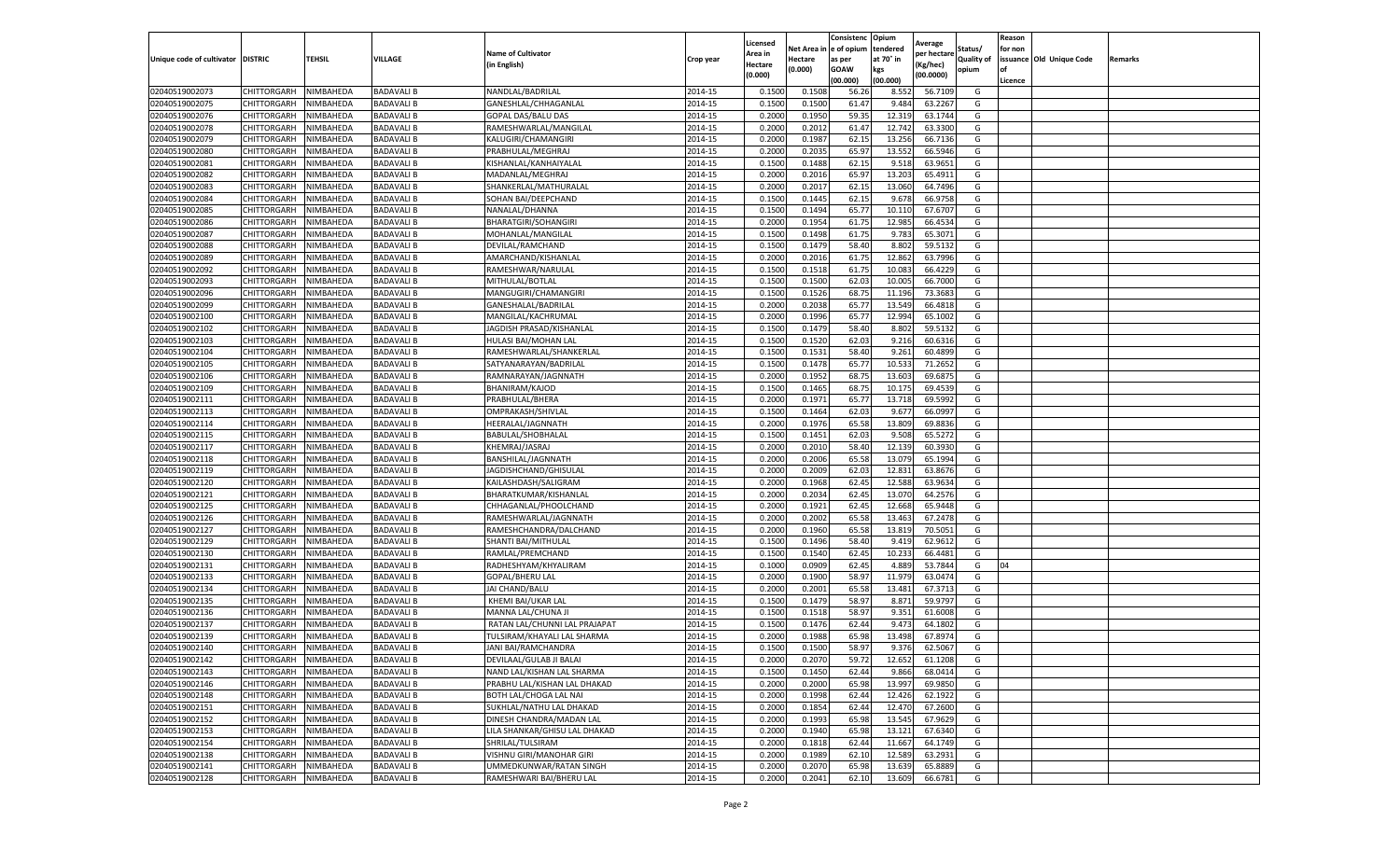|                                   |                            |                        |                   |                               |                    | Licensed         |                  | Consistenc     | Opium           |                        |                   | Reason  |                          |         |
|-----------------------------------|----------------------------|------------------------|-------------------|-------------------------------|--------------------|------------------|------------------|----------------|-----------------|------------------------|-------------------|---------|--------------------------|---------|
|                                   |                            |                        |                   | <b>Name of Cultivator</b>     |                    | Area in          | Net Area i       | e of opium     | tendered        | Average<br>per hectare | Status/           | for non |                          |         |
| Unique code of cultivator DISTRIC |                            | TEHSIL                 | VILLAGE           | (in English)                  | Crop year          | Hectare          | Hectare          | as per         | at 70° in       | (Kg/hec)               | <b>Quality of</b> |         | issuance Old Unique Code | Remarks |
|                                   |                            |                        |                   |                               |                    | (0.000)          | (0.000)          | <b>GOAW</b>    | kgs             | (00.0000)              | opium             | οf      |                          |         |
|                                   |                            |                        |                   |                               |                    |                  |                  | (00.000        | (00.000)        |                        |                   | Licence |                          |         |
| 02040519002073                    | CHITTORGARH                | NIMBAHEDA              | <b>BADAVALI B</b> | NANDLAL/BADRILAL              | 2014-15            | 0.1500           | 0.1508           | 56.26          | 8.552           | 56.7109                | G                 |         |                          |         |
| 02040519002075                    | CHITTORGARH                | NIMBAHEDA              | <b>BADAVALI B</b> | GANESHLAL/CHHAGANLAL          | 2014-15            | 0.150            | 0.1500           | 61.47          | 9.484           | 63.2267                | G                 |         |                          |         |
| 02040519002076                    | CHITTORGARH                | NIMBAHEDA              | <b>BADAVALI B</b> | GOPAL DAS/BALU DAS            | 2014-15            | 0.2000           | 0.1950           | 59.35          | 12.319          | 63.1744                | G                 |         |                          |         |
| 02040519002078                    | CHITTORGARH                | NIMBAHEDA              | <b>BADAVALI B</b> | RAMESHWARLAL/MANGILAL         | 2014-15            | 0.2000           | 0.2012           | 61.47          | 12.742          | 63.3300                | G                 |         |                          |         |
| 02040519002079                    | CHITTORGARH                | NIMBAHEDA              | <b>BADAVALI B</b> | KALUGIRI/CHAMANGIRI           | 2014-15            | 0.2000           | 0.1987           | 62.15          | 13.256          | 66.7136                | G                 |         |                          |         |
| 02040519002080                    | CHITTORGARH                | NIMBAHEDA              | <b>BADAVALI B</b> | PRABHULAL/MEGHRAJ             | 2014-15            | 0.2000           | 0.203            | 65.97          | 13.552          | 66.5946                | G                 |         |                          |         |
| 02040519002081                    | CHITTORGARH                | NIMBAHEDA              | <b>BADAVALI B</b> | KISHANLAL/KANHAIYALAI         | 2014-15            | 0.1500           | 0.1488           | 62.15          | 9.518           | 63.9651                | G                 |         |                          |         |
| 02040519002082                    | CHITTORGARH                | NIMBAHEDA              | <b>BADAVALI B</b> | MADANLAL/MEGHRAJ              | 2014-15            | 0.200            | 0.2016           | 65.97          | 13.203          | 65.4911                | G                 |         |                          |         |
| 02040519002083                    | CHITTORGARH                | NIMBAHEDA              | <b>BADAVALI B</b> | SHANKERLAL/MATHURALAL         | 2014-15            | 0.2000           | 0.2017           | 62.15          | 13.060          | 64.7496                | G                 |         |                          |         |
| 02040519002084                    | CHITTORGARH                | NIMBAHEDA              | <b>BADAVALI B</b> | SOHAN BAI/DEEPCHAND           | 2014-15            | 0.1500           | 0.1445           | 62.15          | 9.678           | 66.9758                | G                 |         |                          |         |
| 02040519002085                    | CHITTORGARH                | NIMBAHEDA              | <b>BADAVALI B</b> | NANALAL/DHANNA                | 2014-15            | 0.1500           | 0.1494           | 65.77          | 10.110          | 67.6707                | G                 |         |                          |         |
| 02040519002086                    | CHITTORGARH                | NIMBAHEDA              | <b>BADAVALI B</b> | <b>BHARATGIRI/SOHANGIRI</b>   | 2014-15            | 0.2000           | 0.1954           | 61.75          | 12.985          | 66.4534                | G                 |         |                          |         |
| 02040519002087                    | CHITTORGARH                | NIMBAHEDA              | <b>BADAVALI B</b> | MOHANLAL/MANGILAL             | 2014-15            | 0.1500           | 0.1498           | 61.75          | 9.783           | 65.3071                | G                 |         |                          |         |
| 02040519002088                    | CHITTORGARH                | NIMBAHEDA              | <b>BADAVALI B</b> | DEVILAL/RAMCHAND              | 2014-15            | 0.1500           | 0.1479           | 58.40          | 8.802           | 59.5132                | G                 |         |                          |         |
| 02040519002089                    | CHITTORGARH                | NIMBAHEDA              | <b>BADAVALI B</b> | AMARCHAND/KISHANLAL           | 2014-15            | 0.2000           | 0.2016           | 61.75          | 12.862          | 63.7996                | G                 |         |                          |         |
| 02040519002092                    | CHITTORGARH                | NIMBAHEDA              | <b>BADAVALI B</b> | RAMESHWAR/NARULAL             | 2014-15            | 0.1500           | 0.1518           | 61.75          | 10.083          | 66.4229                | G                 |         |                          |         |
| 02040519002093                    | CHITTORGARH                | NIMBAHEDA              | <b>BADAVALI B</b> | MITHULAL/BOTLAL               | 2014-15            | 0.1500           | 0.1500           | 62.0           | 10.005          | 66.7000                | G                 |         |                          |         |
| 02040519002096                    | CHITTORGARH                | NIMBAHEDA              | <b>BADAVALI B</b> | MANGUGIRI/CHAMANGIRI          | 2014-15            | 0.1500           | 0.1526           | 68.75          | 11.196          | 73.3683                | G                 |         |                          |         |
| 02040519002099                    | CHITTORGARH                | NIMBAHEDA              | <b>BADAVALI B</b> | GANESHALAL/BADRILAL           | 2014-15            | 0.2000           | 0.2038           | 65.7           | 13.549          | 66.4818                | G                 |         |                          |         |
| 02040519002100                    | CHITTORGARH                | NIMBAHEDA              | <b>BADAVALI B</b> | MANGILAL/KACHRUMAL            | 2014-15            | 0.2000           | 0.1996           | 65.77          | 12.994          | 65.1002                | G                 |         |                          |         |
| 02040519002102                    | CHITTORGARH                | NIMBAHEDA              | <b>BADAVALI B</b> | JAGDISH PRASAD/KISHANLAL      | 2014-15            | 0.1500           | 0.1479           | 58.40          | 8.802           | 59.5132                | G                 |         |                          |         |
| 02040519002103                    | CHITTORGARH                | NIMBAHEDA              | <b>BADAVALI B</b> | HULASI BAI/MOHAN LAL          | 2014-15            | 0.1500           | 0.1520           | 62.03          | 9.216           | 60.6316                | G                 |         |                          |         |
| 02040519002104                    | CHITTORGARH                | NIMBAHEDA              | <b>BADAVALI B</b> | RAMESHWARLAL/SHANKERLAL       | 2014-15            | 0.1500           | 0.1531           | 58.40          | 9.261           | 60.4899                | G                 |         |                          |         |
| 02040519002105                    | CHITTORGARH                | NIMBAHEDA              | <b>BADAVALI B</b> | SATYANARAYAN/BADRILAL         | 2014-15            | 0.1500           | 0.1478           | 65.77          | 10.533          | 71.2652                | G                 |         |                          |         |
| 02040519002106                    | CHITTORGARH                | NIMBAHEDA              | <b>BADAVALI B</b> | RAMNARAYAN/JAGNNATH           | 2014-15            | 0.2000           | 0.1952           | 68.75          | 13.603          | 69.687                 | G                 |         |                          |         |
| 02040519002109                    | CHITTORGARH                | NIMBAHEDA              | <b>BADAVALI B</b> | BHANIRAM/KAJOD                | 2014-15            | 0.1500           | 0.1465           | 68.7           | 10.175          | 69.4539                | G                 |         |                          |         |
|                                   |                            |                        |                   | PRABHULAL/BHERA               |                    |                  |                  |                |                 | 69.5992                |                   |         |                          |         |
| 02040519002111                    | CHITTORGARH                | NIMBAHEDA<br>NIMBAHEDA | <b>BADAVALI B</b> | OMPRAKASH/SHIVLAL             | 2014-15<br>2014-15 | 0.2000<br>0.1500 | 0.1972<br>0.1464 | 65.77<br>62.03 | 13.718<br>9.677 | 66.0997                | G<br>G            |         |                          |         |
| 02040519002113                    | CHITTORGARH<br>CHITTORGARH | NIMBAHEDA              | <b>BADAVALI B</b> | HEERALAL/JAGNNATH             |                    |                  | 0.1976           |                |                 | 69.8836                |                   |         |                          |         |
| 02040519002114                    |                            |                        | <b>BADAVALI B</b> |                               | 2014-15            | 0.2000           |                  | 65.58          | 13.809          |                        | G                 |         |                          |         |
| 02040519002115                    | CHITTORGARH                | NIMBAHEDA              | <b>BADAVALI B</b> | BABULAL/SHOBHALAL             | 2014-15            | 0.1500           | 0.1451           | 62.03          | 9.508           | 65.5272                | G                 |         |                          |         |
| 02040519002117                    | CHITTORGARH                | NIMBAHEDA              | <b>BADAVALI B</b> | KHEMRAJ/JASRAJ                | 2014-15            | 0.2000           | 0.2010           | 58.40          | 12.139          | 60.3930                | G                 |         |                          |         |
| 02040519002118                    | CHITTORGARH                | NIMBAHEDA              | <b>BADAVALI B</b> | BANSHILAL/JAGNNATH            | 2014-15            | 0.2000           | 0.2006           | 65.58          | 13.079          | 65.1994                | G                 |         |                          |         |
| 02040519002119                    | CHITTORGARH                | NIMBAHEDA              | <b>BADAVALI B</b> | JAGDISHCHAND/GHISULAL         | 2014-15            | 0.2000           | 0.2009           | 62.03          | 12.831          | 63.8676                | G                 |         |                          |         |
| 02040519002120                    | CHITTORGARH                | NIMBAHEDA              | <b>BADAVALI B</b> | KAILASHDASH/SALIGRAM          | 2014-15            | 0.2000           | 0.1968           | 62.45          | 12.588          | 63.9634                | G                 |         |                          |         |
| 02040519002121                    | CHITTORGARH                | NIMBAHEDA              | <b>BADAVALI B</b> | BHARATKUMAR/KISHANLAL         | 2014-15            | 0.2000           | 0.2034           | 62.45          | 13.070          | 64.2576                | G                 |         |                          |         |
| 02040519002125                    | CHITTORGARH                | NIMBAHEDA              | <b>BADAVALI B</b> | CHHAGANLAL/PHOOLCHAND         | 2014-15            | 0.2000           | 0.1921           | 62.45          | 12.668          | 65.9448                | G                 |         |                          |         |
| 02040519002126                    | CHITTORGARH                | NIMBAHEDA              | <b>BADAVALI B</b> | RAMESHWARLAL/JAGNNATH         | 2014-15            | 0.2000           | 0.2002           | 65.58          | 13.463          | 67.2478                | G                 |         |                          |         |
| 02040519002127                    | CHITTORGARH                | NIMBAHEDA              | <b>BADAVALI B</b> | RAMESHCHANDRA/DALCHAND        | 2014-15            | 0.2000           | 0.1960           | 65.58          | 13.81           | 70.5051                | G                 |         |                          |         |
| 02040519002129                    | CHITTORGARH                | NIMBAHEDA              | <b>BADAVALI B</b> | SHANTI BAI/MITHULAL           | 2014-15            | 0.1500           | 0.1496           | 58.40          | 9.419           | 62.9612                | G                 |         |                          |         |
| 02040519002130                    | CHITTORGARH                | NIMBAHEDA              | <b>BADAVALI B</b> | RAMLAL/PREMCHAND              | 2014-15            | 0.1500           | 0.1540           | 62.45          | 10.233          | 66.4481                | G                 |         |                          |         |
| 02040519002131                    | CHITTORGARH                | NIMBAHEDA              | <b>BADAVALI B</b> | RADHESHYAM/KHYALIRAM          | 2014-15            | 0.1000           | 0.0909           | 62.45          | 4.889           | 53.7844                | G                 | 04      |                          |         |
| 02040519002133                    | CHITTORGARH                | NIMBAHEDA              | <b>BADAVALI B</b> | GOPAL/BHERU LAL               | 2014-15            | 0.2000           | 0.1900           | 58.97          | 11.979          | 63.0474                | G                 |         |                          |         |
| 02040519002134                    | CHITTORGARH                | NIMBAHEDA              | <b>BADAVALI B</b> | JAI CHAND/BALU                | 2014-15            | 0.2000           | 0.2001           | 65.58          | 13.481          | 67.3713                | G                 |         |                          |         |
| 02040519002135                    | CHITTORGARH                | NIMBAHEDA              | <b>BADAVALI B</b> | KHEMI BAI/UKAR LAL            | 2014-15            | 0.1500           | 0.1479           | 58.97          | 8.871           | 59.9797                | G                 |         |                          |         |
| 02040519002136                    | CHITTORGARH                | NIMBAHEDA              | <b>BADAVALI B</b> | MANNA LAL/CHUNA JI            | 2014-15            | 0.1500           | 0.1518           | 58.97          | 9.351           | 61.6008                | G                 |         |                          |         |
| 02040519002137                    | CHITTORGARH                | NIMBAHEDA              | <b>BADAVALI B</b> | RATAN LAL/CHUNNI LAL PRAJAPAT | 2014-15            | 0.150            | 0.1476           | 62.44          | 9.473           | 64.1802                | G                 |         |                          |         |
| 02040519002139                    | CHITTORGARH                | NIMBAHEDA              | <b>BADAVALI B</b> | TULSIRAM/KHAYALI LAL SHARMA   | 2014-15            | 0.2000           | 0.1988           | 65.98          | 13.498          | 67.8974                | G                 |         |                          |         |
| 02040519002140                    | CHITTORGARH                | NIMBAHEDA              | <b>BADAVALI B</b> | JANI BAI/RAMCHANDRA           | 2014-15            | 0.1500           | 0.1500           | 58.97          | 9.376           | 62.5067                | G                 |         |                          |         |
| 02040519002142                    | CHITTORGARH                | NIMBAHEDA              | <b>BADAVALI B</b> | DEVILAAL/GULAB JI BALAI       | 2014-15            | 0.2000           | 0.2070           | 59.72          | 12.652          | 61.1208                | G                 |         |                          |         |
| 02040519002143                    | CHITTORGARH                | NIMBAHEDA              | <b>BADAVALI B</b> | NAND LAL/KISHAN LAL SHARMA    | 2014-15            | 0.1500           | 0.1450           | 62.44          | 9.866           | 68.0414                | G                 |         |                          |         |
| 02040519002146                    | CHITTORGARH                | NIMBAHEDA              | <b>BADAVALI B</b> | PRABHU LAL/KISHAN LAL DHAKAD  | 2014-15            | 0.2000           | 0.2000           | 65.98          | 13.997          | 69.9850                | G                 |         |                          |         |
| 02040519002148                    | CHITTORGARH                | NIMBAHEDA              | <b>BADAVALI B</b> | BOTH LAL/CHOGA LAL NAI        | 2014-15            | 0.2000           | 0.1998           | 62.44          | 12.426          | 62.1922                | G                 |         |                          |         |
| 02040519002151                    | CHITTORGARH                | NIMBAHEDA              | <b>BADAVALI B</b> | SUKHLAL/NATHU LAL DHAKAD      | 2014-15            | 0.2000           | 0.1854           | 62.44          | 12.470          | 67.2600                | G                 |         |                          |         |
| 02040519002152                    | CHITTORGARH                | NIMBAHEDA              | <b>BADAVALI B</b> | DINESH CHANDRA/MADAN LAL      | 2014-15            | 0.2000           | 0.1993           | 65.98          | 13.545          | 67.9629                | G                 |         |                          |         |
| 02040519002153                    | CHITTORGARH                | NIMBAHEDA              | <b>BADAVALI B</b> | LILA SHANKAR/GHISU LAL DHAKAD | 2014-15            | 0.2000           | 0.1940           | 65.98          | 13.121          | 67.6340                | G                 |         |                          |         |
| 02040519002154                    | CHITTORGARH                | NIMBAHEDA              | <b>BADAVALI B</b> | SHRILAL/TULSIRAM              | 2014-15            | 0.2000           | 0.1818           | 62.44          | 11.667          | 64.1749                | G                 |         |                          |         |
| 02040519002138                    | CHITTORGARH                | NIMBAHEDA              | <b>BADAVALI B</b> | VISHNU GIRI/MANOHAR GIRI      | 2014-15            | 0.2000           | 0.1989           | 62.10          | 12.589          | 63.2931                | G                 |         |                          |         |
| 02040519002141                    | CHITTORGARH                | NIMBAHEDA              | <b>BADAVALI B</b> | UMMEDKUNWAR/RATAN SINGH       | 2014-15            | 0.2000           | 0.2070           | 65.98          | 13.639          | 65.8889                | G                 |         |                          |         |
| 02040519002128                    | CHITTORGARH                | NIMBAHEDA              | <b>BADAVALI B</b> | RAMESHWARI BAI/BHERU LAL      | 2014-15            | 0.2000           | 0.2041           | 62.10          | 13.609          | 66.6781                | G                 |         |                          |         |
|                                   |                            |                        |                   |                               |                    |                  |                  |                |                 |                        |                   |         |                          |         |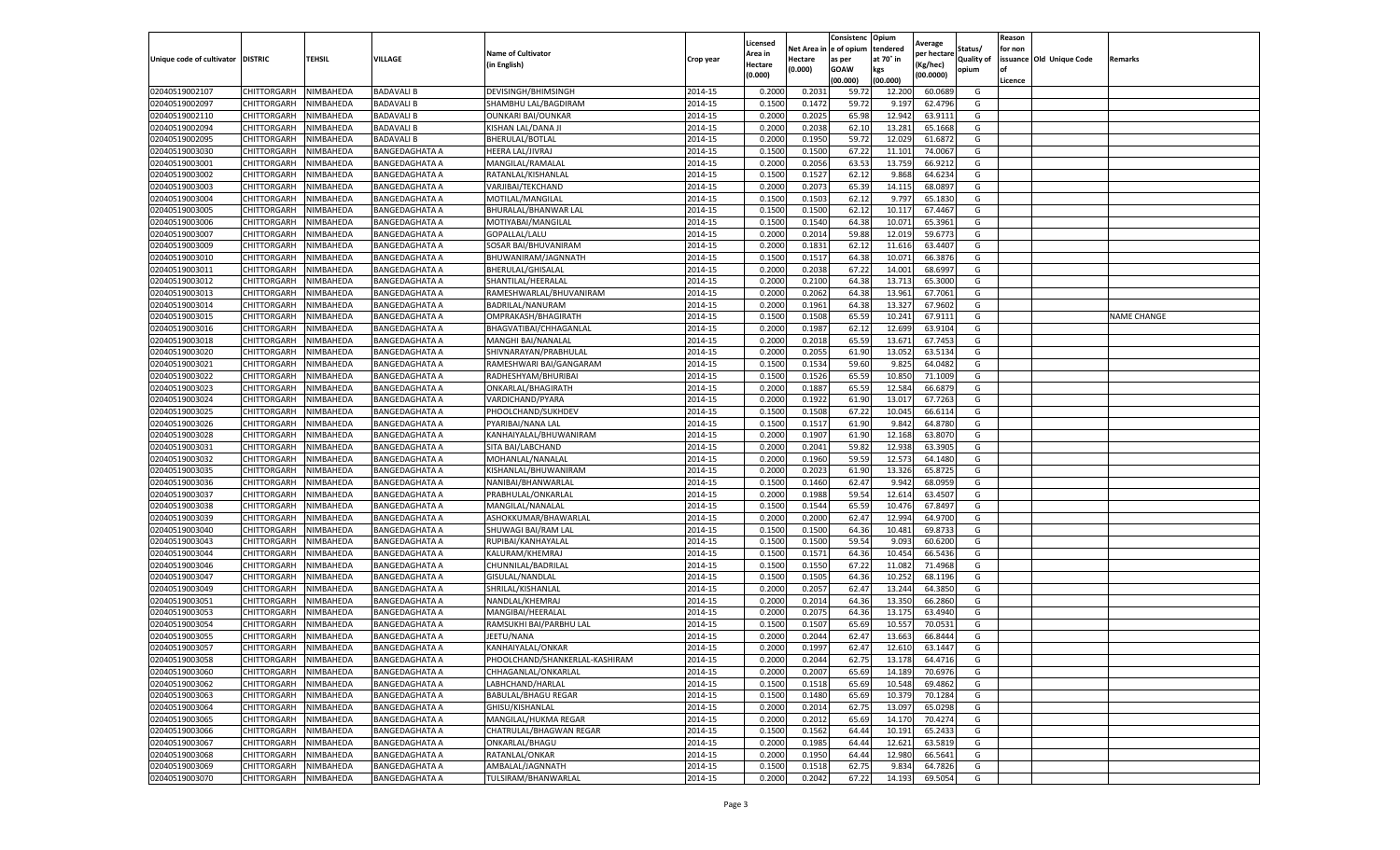|                                   |                    |           |                       |                                |           | Licensed |         | Consistenc             | Opium     |                        |                   | Reason  |                          |                    |
|-----------------------------------|--------------------|-----------|-----------------------|--------------------------------|-----------|----------|---------|------------------------|-----------|------------------------|-------------------|---------|--------------------------|--------------------|
|                                   |                    |           |                       | <b>Name of Cultivator</b>      |           | Area in  |         | Net Area in e of opium | tendered  | Average<br>per hectare | Status/           | for non |                          |                    |
| Unique code of cultivator DISTRIC |                    | TEHSIL    | VILLAGE               | in English)                    | Crop year | Hectare  | Hectare | as per                 | at 70° in | (Kg/hec                | <b>Quality of</b> |         | issuance Old Unique Code | <b>Remarks</b>     |
|                                   |                    |           |                       |                                |           | (0.000)  | (0.000) | <b>GOAW</b>            | kgs       | (00.0000)              | opium             |         |                          |                    |
|                                   |                    |           |                       |                                |           |          |         | (00.000)               | (00.000)  |                        |                   | Licence |                          |                    |
| 02040519002107                    | CHITTORGARH        | NIMBAHEDA | <b>BADAVALI B</b>     | DEVISINGH/BHIMSINGH            | 2014-15   | 0.2000   | 0.2031  | 59.72                  | 12.200    | 60.0689                | G                 |         |                          |                    |
| 02040519002097                    | CHITTORGARH        | NIMBAHEDA | <b>BADAVALI B</b>     | SHAMBHU LAL/BAGDIRAM           | 2014-15   | 0.1500   | 0.1472  | 59.72                  | 9.197     | 62.4796                | G                 |         |                          |                    |
| 02040519002110                    | CHITTORGARH        | NIMBAHEDA | <b>BADAVALI B</b>     | <b>OUNKARI BAI/OUNKAR</b>      | 2014-15   | 0.2000   | 0.2025  | 65.98                  | 12.942    | 63.9111                | G                 |         |                          |                    |
| 02040519002094                    | CHITTORGARH        | NIMBAHEDA | <b>BADAVALI B</b>     | KISHAN LAL/DANA JI             | 2014-15   | 0.2000   | 0.2038  | 62.10                  | 13.281    | 65.1668                | G                 |         |                          |                    |
| 02040519002095                    | CHITTORGARH        | NIMBAHEDA | <b>BADAVALI B</b>     | BHERULAL/BOTLAL                | 2014-15   | 0.2000   | 0.1950  | 59.72                  | 12.029    | 61.6872                | G                 |         |                          |                    |
| 02040519003030                    | CHITTORGARH        | NIMBAHEDA | BANGEDAGHATA A        | HEERA LAL/JIVRAJ               | 2014-15   | 0.1500   | 0.1500  | 67.22                  | 11.101    | 74.0067                | G                 |         |                          |                    |
| 02040519003001                    | CHITTORGARH        | NIMBAHEDA | <b>BANGEDAGHATA A</b> | MANGILAL/RAMALAL               | 2014-15   | 0.2000   | 0.2056  | 63.53                  | 13.759    | 66.9212                | G                 |         |                          |                    |
| 02040519003002                    | CHITTORGARH        | NIMBAHEDA | <b>BANGEDAGHATA A</b> | RATANLAL/KISHANLAI             | 2014-15   | 0.1500   | 0.1527  | 62.12                  | 9.868     | 64.6234                | G                 |         |                          |                    |
| 02040519003003                    | CHITTORGARH        | NIMBAHEDA | <b>BANGEDAGHATA A</b> | VARJIBAI/TEKCHAND              | 2014-15   | 0.2000   | 0.2073  | 65.39                  | 14.11     | 68.0897                | G                 |         |                          |                    |
| 02040519003004                    | CHITTORGARH        | NIMBAHEDA | <b>BANGEDAGHATA A</b> | MOTILAL/MANGILAL               | 2014-15   | 0.1500   | 0.1503  | 62.12                  | 9.797     | 65.1830                | G                 |         |                          |                    |
| 02040519003005                    | CHITTORGARH        | NIMBAHEDA | <b>BANGEDAGHATA A</b> | BHURALAL/BHANWAR LAL           | 2014-15   | 0.1500   | 0.1500  | 62.12                  | 10.11     | 67.4467                | G                 |         |                          |                    |
| 02040519003006                    | CHITTORGARH        | NIMBAHEDA | <b>BANGEDAGHATA A</b> | MOTIYABAI/MANGILAL             | 2014-15   | 0.1500   | 0.1540  | 64.38                  | 10.07     | 65.3961                | G                 |         |                          |                    |
| 02040519003007                    | CHITTORGARH        | NIMBAHEDA | BANGEDAGHATA A        | GOPALLAL/LALU                  | 2014-15   | 0.2000   | 0.2014  | 59.88                  | 12.01     | 59.6773                | G                 |         |                          |                    |
| 02040519003009                    | CHITTORGARH        | NIMBAHEDA | <b>BANGEDAGHATA A</b> | SOSAR BAI/BHUVANIRAM           | 2014-15   | 0.2000   | 0.1831  | 62.12                  | 11.616    | 63.4407                | G                 |         |                          |                    |
| 02040519003010                    | CHITTORGARH        | NIMBAHEDA | <b>BANGEDAGHATA A</b> | BHUWANIRAM/JAGNNATH            | 2014-15   | 0.1500   | 0.1517  | 64.38                  | 10.07     | 66.3876                | G                 |         |                          |                    |
| 02040519003011                    | CHITTORGARH        | NIMBAHEDA | <b>BANGEDAGHATA A</b> | BHERULAL/GHISALAI              | 2014-15   | 0.2000   | 0.2038  | 67.22                  | 14.001    | 68.6997                | G                 |         |                          |                    |
| 02040519003012                    | CHITTORGARH        | NIMBAHEDA | <b>BANGEDAGHATA A</b> | SHANTILAL/HEERALAL             | 2014-15   | 0.2000   | 0.2100  | 64.38                  | 13.713    | 65.3000                | G                 |         |                          |                    |
| 02040519003013                    | CHITTORGARH        | NIMBAHEDA | <b>BANGEDAGHATA A</b> | RAMESHWARLAL/BHUVANIRAM        | 2014-15   | 0.2000   | 0.2062  | 64.38                  | 13.961    | 67.7061                | G                 |         |                          |                    |
| 02040519003014                    | CHITTORGARH        | NIMBAHEDA | BANGEDAGHATA A        | BADRILAL/NANURAM               | 2014-15   | 0.2000   | 0.1961  | 64.38                  | 13.32     | 67.9602                | G                 |         |                          |                    |
| 02040519003015                    | CHITTORGARH        | NIMBAHEDA | <b>BANGEDAGHATA A</b> | OMPRAKASH/BHAGIRATH            | 2014-15   | 0.1500   | 0.1508  | 65.59                  | 10.241    | 67.9111                | G                 |         |                          | <b>NAME CHANGE</b> |
| 02040519003016                    | CHITTORGARH        | NIMBAHEDA | <b>BANGEDAGHATA A</b> | BHAGVATIBAI/CHHAGANLAL         | 2014-15   | 0.2000   | 0.1987  | 62.12                  | 12.699    | 63.9104                | G                 |         |                          |                    |
| 02040519003018                    | CHITTORGARH        | NIMBAHEDA | <b>BANGEDAGHATA A</b> | MANGHI BAI/NANALAI             | 2014-15   | 0.2000   | 0.2018  | 65.59                  | 13.67     | 67.7453                | G                 |         |                          |                    |
| 02040519003020                    | CHITTORGARH        | NIMBAHEDA | <b>BANGEDAGHATA A</b> | SHIVNARAYAN/PRABHULAL          | 2014-15   | 0.2000   | 0.2055  | 61.90                  | 13.052    | 63.5134                | G                 |         |                          |                    |
| 02040519003021                    | CHITTORGARH        | NIMBAHEDA | <b>BANGEDAGHATA A</b> | RAMESHWARI BAI/GANGARAM        | 2014-15   | 0.1500   | 0.1534  | 59.60                  | 9.825     | 64.0482                | G                 |         |                          |                    |
| 02040519003022                    | CHITTORGARH        | NIMBAHEDA | BANGEDAGHATA A        | RADHESHYAM/BHURIBAI            | 2014-15   | 0.1500   | 0.1526  | 65.59                  | 10.85     | 71.1009                | G                 |         |                          |                    |
| 02040519003023                    | CHITTORGARH        | NIMBAHEDA | <b>BANGEDAGHATA A</b> | ONKARLAL/BHAGIRATH             | 2014-15   | 0.2000   | 0.1887  | 65.59                  | 12.584    | 66.6879                | G                 |         |                          |                    |
| 02040519003024                    | CHITTORGARH        | NIMBAHEDA | <b>BANGEDAGHATA A</b> | VARDICHAND/PYARA               | 2014-15   | 0.2000   | 0.1922  | 61.90                  | 13.01     | 67.7263                | G                 |         |                          |                    |
| 02040519003025                    | CHITTORGARH        | NIMBAHEDA | BANGEDAGHATA A        | PHOOLCHAND/SUKHDEV             | 2014-15   | 0.1500   | 0.1508  | 67.22                  | 10.045    | 66.6114                | G                 |         |                          |                    |
| 02040519003026                    | CHITTORGARH        | NIMBAHEDA | <b>BANGEDAGHATA A</b> | PYARIBAI/NANA LAL              | 2014-15   | 0.1500   | 0.1517  | 61.90                  | 9.842     | 64.8780                | G                 |         |                          |                    |
| 02040519003028                    | CHITTORGARH        | NIMBAHEDA | <b>BANGEDAGHATA A</b> | KANHAIYALAL/BHUWANIRAM         | 2014-15   | 0.2000   | 0.1907  | 61.90                  | 12.168    | 63.8070                | G                 |         |                          |                    |
| 02040519003031                    | CHITTORGARH        | NIMBAHEDA | BANGEDAGHATA A        | SITA BAI/LABCHAND              | 2014-15   | 0.2000   | 0.2041  | 59.82                  | 12.938    | 63.3905                | G                 |         |                          |                    |
| 02040519003032                    | CHITTORGARH        | NIMBAHEDA | <b>BANGEDAGHATA A</b> | MOHANLAL/NANALAL               | 2014-15   | 0.2000   | 0.1960  | 59.59                  | 12.573    | 64.1480                | G                 |         |                          |                    |
| 02040519003035                    | CHITTORGARH        | NIMBAHEDA | <b>BANGEDAGHATA A</b> | KISHANLAL/BHUWANIRAM           | 2014-15   | 0.2000   | 0.2023  | 61.90                  | 13.326    | 65.8725                | G                 |         |                          |                    |
| 02040519003036                    | CHITTORGARH        | NIMBAHEDA | <b>BANGEDAGHATA A</b> | NANIBAI/BHANWARLAL             | 2014-15   | 0.1500   | 0.1460  | 62.47                  | 9.942     | 68.0959                | G                 |         |                          |                    |
| 02040519003037                    | CHITTORGARH        | NIMBAHEDA | <b>BANGEDAGHATA A</b> | PRABHULAL/ONKARLAL             | 2014-15   | 0.2000   | 0.1988  | 59.54                  | 12.614    | 63.4507                | G                 |         |                          |                    |
| 02040519003038                    | CHITTORGARH        | NIMBAHEDA | <b>BANGEDAGHATA A</b> | MANGILAL/NANALAL               | 2014-15   | 0.1500   | 0.1544  | 65.59                  | 10.47     | 67.8497                | G                 |         |                          |                    |
| 02040519003039                    | CHITTORGARH        | NIMBAHEDA | <b>BANGEDAGHATA A</b> | ASHOKKUMAR/BHAWARLAL           | 2014-15   | 0.2000   | 0.2000  | 62.47                  | 12.994    | 64.9700                | G                 |         |                          |                    |
| 02040519003040                    | CHITTORGARH        | NIMBAHEDA | BANGEDAGHATA A        | SHUWAGI BAI/RAM LAI            | 2014-15   | 0.1500   | 0.1500  | 64.36                  | 10.481    | 69.8733                | G                 |         |                          |                    |
| 02040519003043                    | CHITTORGARH        | NIMBAHEDA | <b>BANGEDAGHATA A</b> | RUPIBAI/KANHAYALAL             | 2014-15   | 0.1500   | 0.1500  | 59.54                  | 9.093     | 60.6200                | G                 |         |                          |                    |
| 02040519003044                    | CHITTORGARH        | NIMBAHEDA | <b>BANGEDAGHATA A</b> | KALURAM/KHEMRAJ                | 2014-15   | 0.1500   | 0.1571  | 64.36                  | 10.454    | 66.5436                | G                 |         |                          |                    |
| 02040519003046                    | CHITTORGARH        | NIMBAHEDA | BANGEDAGHATA A        | CHUNNILAL/BADRILAL             | 2014-15   | 0.1500   | 0.1550  | 67.22                  | 11.082    | 71.4968                | G                 |         |                          |                    |
| 02040519003047                    | CHITTORGARH        | NIMBAHEDA | <b>BANGEDAGHATA A</b> | GISULAL/NANDLAL                | 2014-15   | 0.1500   | 0.1505  | 64.36                  | 10.252    | 68.1196                | G                 |         |                          |                    |
| 02040519003049                    | CHITTORGARH        | NIMBAHEDA | <b>BANGEDAGHATA A</b> | SHRILAL/KISHANLAL              | 2014-15   | 0.2000   | 0.2057  | 62.47                  | 13.244    | 64.3850                | G                 |         |                          |                    |
| 02040519003051                    | CHITTORGARH        | NIMBAHEDA | BANGEDAGHATA A        | NANDLAL/KHEMRAJ                | 2014-15   | 0.2000   | 0.2014  | 64.36                  | 13.35     | 66.2860                | G                 |         |                          |                    |
| 02040519003053                    | CHITTORGARH        | NIMBAHEDA | <b>BANGEDAGHATA A</b> | MANGIBAI/HEERALAI              | 2014-15   | 0.2000   | 0.2075  | 64.36                  | 13.175    | 63.4940                | G                 |         |                          |                    |
| 02040519003054                    | CHITTORGARH        | NIMBAHEDA | <b>BANGEDAGHATA A</b> | RAMSUKHI BAI/PARBHU LAL        | 2014-15   | 0.1500   | 0.1507  | 65.69                  | 10.557    | 70.0531                | G                 |         |                          |                    |
| 02040519003055                    | CHITTORGARH        | NIMBAHEDA | <b>BANGEDAGHATA A</b> | JEETU/NANA                     | 2014-15   | 0.2000   | 0.2044  | 62.47                  | 13.663    | 66.8444                | G                 |         |                          |                    |
| 02040519003057                    | CHITTORGARH        | NIMBAHEDA | <b>BANGEDAGHATA A</b> | KANHAIYALAL/ONKAR              | 2014-15   | 0.2000   | 0.1997  | 62.47                  | 12.610    | 63.1447                | G                 |         |                          |                    |
| 02040519003058                    | CHITTORGARH        | NIMBAHEDA | <b>BANGEDAGHATA A</b> | PHOOLCHAND/SHANKERLAL-KASHIRAM | 2014-15   | 0.2000   | 0.2044  | 62.75                  | 13.178    | 64.4716                | G                 |         |                          |                    |
| 02040519003060                    | CHITTORGARH        | NIMBAHEDA | <b>BANGEDAGHATA A</b> | CHHAGANLAL/ONKARLAL            | 2014-15   | 0.2000   | 0.2007  | 65.69                  | 14.189    | 70.6976                | G                 |         |                          |                    |
| 02040519003062                    | CHITTORGARH        | NIMBAHEDA | <b>BANGEDAGHATA A</b> | LABHCHAND/HARLAL               | 2014-15   | 0.1500   | 0.1518  | 65.69                  | 10.548    | 69.4862                | G                 |         |                          |                    |
| 02040519003063                    | CHITTORGARH        | NIMBAHEDA | <b>BANGEDAGHATA A</b> | <b>BABULAL/BHAGU REGAR</b>     | 2014-15   | 0.1500   | 0.1480  | 65.69                  | 10.379    | 70.1284                | G                 |         |                          |                    |
| 02040519003064                    | CHITTORGARH        | NIMBAHEDA | <b>BANGEDAGHATA A</b> | GHISU/KISHANLAL                | 2014-15   | 0.2000   | 0.2014  | 62.75                  | 13.097    | 65.0298                | G                 |         |                          |                    |
| 02040519003065                    | <b>CHITTORGARH</b> | NIMBAHEDA | <b>BANGEDAGHATA A</b> | MANGILAL/HUKMA REGAR           | 2014-15   | 0.2000   | 0.2012  | 65.69                  | 14.170    | 70.4274                | G                 |         |                          |                    |
| 02040519003066                    | CHITTORGARH        | NIMBAHEDA | <b>BANGEDAGHATA A</b> | CHATRULAL/BHAGWAN REGAR        | 2014-15   | 0.1500   | 0.1562  | 64.44                  | 10.191    | 65.2433                | G                 |         |                          |                    |
| 02040519003067                    | CHITTORGARH        | NIMBAHEDA | <b>BANGEDAGHATA A</b> | ONKARLAL/BHAGU                 | 2014-15   | 0.2000   | 0.1985  | 64.44                  | 12.621    | 63.5819                | G                 |         |                          |                    |
| 02040519003068                    | CHITTORGARH        | NIMBAHEDA | <b>BANGEDAGHATA A</b> | RATANLAL/ONKAR                 | 2014-15   | 0.2000   | 0.1950  | 64.44                  | 12.980    | 66.5641                | G                 |         |                          |                    |
| 02040519003069                    | CHITTORGARH        | NIMBAHEDA | <b>BANGEDAGHATA A</b> | AMBALAL/JAGNNATH               | 2014-15   | 0.1500   | 0.1518  | 62.75                  | 9.834     | 64.7826                | G                 |         |                          |                    |
| 02040519003070                    | <b>CHITTORGARH</b> | NIMBAHEDA | <b>BANGEDAGHATA A</b> | TULSIRAM/BHANWARLAL            | 2014-15   | 0.2000   | 0.2042  | 67.22                  | 14.193    | 69.5054                | G                 |         |                          |                    |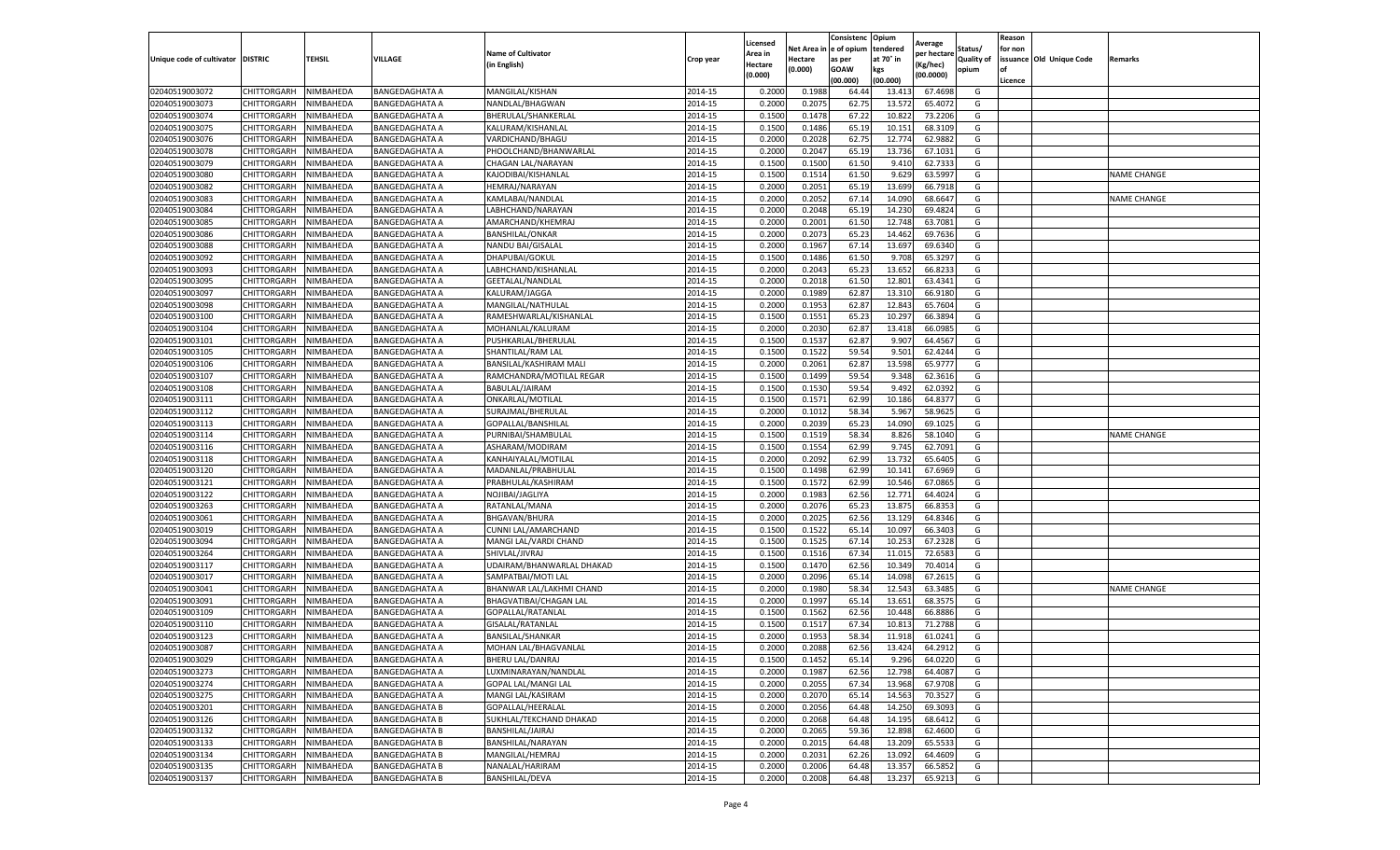|                           |                    |           |                       |                                          |           |                    |         | Consistenc             | Opium     |                       |            | Reason  |                          |                    |
|---------------------------|--------------------|-----------|-----------------------|------------------------------------------|-----------|--------------------|---------|------------------------|-----------|-----------------------|------------|---------|--------------------------|--------------------|
|                           |                    |           |                       |                                          |           | Licensed           |         | Net Area in e of opium | tendered  | Average               | Status/    | for non |                          |                    |
| Unique code of cultivator | <b>DISTRIC</b>     | TEHSIL    | VILLAGE               | <b>Name of Cultivator</b><br>in English) | Crop year | Area in<br>Hectare | Hectare | as per                 | at 70° in | er hectar<br>(Kg/hec) | Quality of |         | issuance Old Unique Code | Remarks            |
|                           |                    |           |                       |                                          |           | (0.000)            | (0.000) | <b>GOAW</b>            | kgs       | (00.0000)             | opium      | of      |                          |                    |
|                           |                    |           |                       |                                          |           |                    |         | (00.000)               | (00.000)  |                       |            | Licence |                          |                    |
| 02040519003072            | CHITTORGARH        | NIMBAHEDA | BANGEDAGHATA A        | MANGILAL/KISHAN                          | 2014-15   | 0.2000             | 0.1988  | 64.44                  | 13.41     | 67.4698               | G          |         |                          |                    |
| 02040519003073            | CHITTORGARH        | NIMBAHEDA | <b>BANGEDAGHATA A</b> | NANDLAL/BHAGWAN                          | 2014-15   | 0.2000             | 0.2075  | 62.75                  | 13.57     | 65.407                | G          |         |                          |                    |
| 02040519003074            | CHITTORGARH        | NIMBAHEDA | <b>BANGEDAGHATA A</b> | BHERULAL/SHANKERLAL                      | 2014-15   | 0.1500             | 0.1478  | 67.22                  | 10.822    | 73.2206               | G          |         |                          |                    |
| 02040519003075            | CHITTORGARH        | NIMBAHEDA | <b>BANGEDAGHATA A</b> | KALURAM/KISHANLAL                        | 2014-15   | 0.1500             | 0.1486  | 65.19                  | 10.15     | 68.3109               | G          |         |                          |                    |
| 02040519003076            | CHITTORGARH        | NIMBAHEDA | <b>BANGEDAGHATA A</b> | VARDICHAND/BHAGU                         | 2014-15   | 0.2000             | 0.2028  | 62.75                  | 12.774    | 62.9882               | G          |         |                          |                    |
| 02040519003078            | CHITTORGARH        | NIMBAHEDA | <b>BANGEDAGHATA A</b> | PHOOLCHAND/BHANWARLAL                    | 2014-15   | 0.2000             | 0.2047  | 65.19                  | 13.736    | 67.1031               | G          |         |                          |                    |
| 02040519003079            | CHITTORGARH        | NIMBAHEDA | BANGEDAGHATA A        | CHAGAN LAL/NARAYAN                       | 2014-15   | 0.1500             | 0.1500  | 61.50                  | 9.41      | 62.7333               | G          |         |                          |                    |
| 02040519003080            | CHITTORGARH        | NIMBAHEDA | <b>BANGEDAGHATA A</b> | KAJODIBAI/KISHANLAL                      | 2014-15   | 0.1500             | 0.1514  | 61.50                  | 9.629     | 63.5997               | G          |         |                          | <b>NAME CHANGE</b> |
| 02040519003082            | CHITTORGARH        | NIMBAHEDA | <b>BANGEDAGHATA A</b> | HEMRAJ/NARAYAN                           | 2014-15   | 0.2000             | 0.2051  | 65.19                  | 13.699    | 66.7918               | G          |         |                          |                    |
| 02040519003083            | CHITTORGARH        | NIMBAHEDA | BANGEDAGHATA A        | KAMLABAI/NANDLAI                         | 2014-15   | 0.2000             | 0.2052  | 67.14                  | 14.090    | 68.6647               | G          |         |                          | <b>NAME CHANGE</b> |
| 02040519003084            | CHITTORGARH        | NIMBAHEDA | <b>BANGEDAGHATA A</b> | LABHCHAND/NARAYAN                        | 2014-15   | 0.2000             | 0.2048  | 65.19                  | 14.230    | 69.4824               | G          |         |                          |                    |
| 02040519003085            | CHITTORGARH        | NIMBAHEDA | BANGEDAGHATA A        | AMARCHAND/KHEMRAJ                        | 2014-15   | 0.2000             | 0.2001  | 61.50                  | 12.74     | 63.7081               | G          |         |                          |                    |
| 02040519003086            | CHITTORGARH        | NIMBAHEDA | <b>BANGEDAGHATA A</b> | BANSHILAL/ONKAR                          | 2014-15   | 0.2000             | 0.2073  | 65.23                  | 14.462    | 69.7636               | G          |         |                          |                    |
| 02040519003088            | CHITTORGARH        | NIMBAHEDA | <b>BANGEDAGHATA A</b> | NANDU BAI/GISALAL                        | 2014-15   | 0.2000             | 0.1967  | 67.14                  | 13.697    | 69.6340               | G          |         |                          |                    |
|                           |                    |           |                       |                                          |           |                    |         |                        |           |                       |            |         |                          |                    |
| 02040519003092            | CHITTORGARH        | NIMBAHEDA | <b>BANGEDAGHATA A</b> | DHAPUBAI/GOKUL                           | 2014-15   | 0.1500             | 0.1486  | 61.50                  | 9.70      | 65.3297               | G          |         |                          |                    |
| 02040519003093            | CHITTORGARH        | NIMBAHEDA | <b>BANGEDAGHATA A</b> | LABHCHAND/KISHANLAL                      | 2014-15   | 0.2000             | 0.2043  | 65.23                  | 13.652    | 66.8233               | G          |         |                          |                    |
| 02040519003095            | CHITTORGARH        | NIMBAHEDA | <b>BANGEDAGHATA A</b> | GEETALAL/NANDLAL                         | 2014-15   | 0.2000             | 0.2018  | 61.50                  | 12.801    | 63.4341               | G          |         |                          |                    |
| 02040519003097            | CHITTORGARH        | NIMBAHEDA | <b>BANGEDAGHATA A</b> | KALURAM/JAGGA                            | 2014-15   | 0.2000             | 0.1989  | 62.87                  | 13.31     | 66.9180               | G          |         |                          |                    |
| 02040519003098            | CHITTORGARH        | NIMBAHEDA | BANGEDAGHATA A        | MANGILAL/NATHULAL                        | 2014-15   | 0.2000             | 0.1953  | 62.87                  | 12.84     | 65.7604               | G          |         |                          |                    |
| 02040519003100            | CHITTORGARH        | NIMBAHEDA | BANGEDAGHATA A        | RAMESHWARLAL/KISHANLAL                   | 2014-15   | 0.1500             | 0.1551  | 65.23                  | 10.297    | 66.3894               | G          |         |                          |                    |
| 02040519003104            | CHITTORGARH        | NIMBAHEDA | <b>BANGEDAGHATA A</b> | MOHANLAL/KALURAM                         | 2014-15   | 0.2000             | 0.2030  | 62.87                  | 13.418    | 66.0985               | G          |         |                          |                    |
| 02040519003101            | CHITTORGARH        | NIMBAHEDA | <b>BANGEDAGHATA A</b> | PUSHKARLAL/BHERULAL                      | 2014-15   | 0.1500             | 0.1537  | 62.87                  | 9.907     | 64.4567               | G          |         |                          |                    |
| 02040519003105            | CHITTORGARH        | NIMBAHEDA | <b>BANGEDAGHATA A</b> | SHANTILAL/RAM LAL                        | 2014-15   | 0.1500             | 0.1522  | 59.54                  | 9.501     | 62.4244               | G          |         |                          |                    |
| 02040519003106            | CHITTORGARH        | NIMBAHEDA | <b>BANGEDAGHATA A</b> | BANSILAL/KASHIRAM MALI                   | 2014-15   | 0.2000             | 0.2061  | 62.87                  | 13.59     | 65.9777               | G          |         |                          |                    |
| 02040519003107            | CHITTORGARH        | NIMBAHEDA | <b>BANGEDAGHATA A</b> | RAMCHANDRA/MOTILAL REGAR                 | 2014-15   | 0.1500             | 0.1499  | 59.54                  | 9.348     | 62.3616               | G          |         |                          |                    |
| 02040519003108            | CHITTORGARH        | NIMBAHEDA | BANGEDAGHATA A        | BABULAL/JAIRAM                           | 2014-15   | 0.1500             | 0.1530  | 59.54                  | 9.492     | 62.0392               | G          |         |                          |                    |
| 02040519003111            | CHITTORGARH        | NIMBAHEDA | BANGEDAGHATA A        | ONKARLAL/MOTILAL                         | 2014-15   | 0.1500             | 0.1571  | 62.99                  | 10.186    | 64.8377               | G          |         |                          |                    |
| 02040519003112            | CHITTORGARH        | NIMBAHEDA | <b>BANGEDAGHATA A</b> | SURAJMAL/BHERULAL                        | 2014-15   | 0.2000             | 0.1012  | 58.34                  | 5.967     | 58.9625               | G          |         |                          |                    |
| 02040519003113            | CHITTORGARH        | NIMBAHEDA | <b>BANGEDAGHATA A</b> | GOPALLAL/BANSHILAL                       | 2014-15   | 0.2000             | 0.2039  | 65.23                  | 14.090    | 69.1025               | G          |         |                          |                    |
| 02040519003114            | CHITTORGARH        | NIMBAHEDA | <b>BANGEDAGHATA A</b> | PURNIBAI/SHAMBULAL                       | 2014-15   | 0.1500             | 0.1519  | 58.34                  | 8.826     | 58.1040               | G          |         |                          | <b>NAME CHANGE</b> |
| 02040519003116            | CHITTORGARH        | NIMBAHEDA | <b>BANGEDAGHATA A</b> | ASHARAM/MODIRAM                          | 2014-15   | 0.1500             | 0.1554  | 62.99                  | 9.745     | 62.7091               | G          |         |                          |                    |
| 02040519003118            | CHITTORGARH        | NIMBAHEDA | BANGEDAGHATA A        | KANHAIYALAL/MOTILAL                      | 2014-15   | 0.2000             | 0.2092  | 62.99                  | 13.73     | 65.6405               | G          |         |                          |                    |
| 02040519003120            | CHITTORGARH        | NIMBAHEDA | <b>BANGEDAGHATA A</b> | MADANLAL/PRABHULAL                       | 2014-15   | 0.1500             | 0.1498  | 62.99                  | 10.14     | 67.6969               | G          |         |                          |                    |
| 02040519003121            | CHITTORGARH        | NIMBAHEDA | BANGEDAGHATA A        | PRABHULAL/KASHIRAM                       | 2014-15   | 0.1500             | 0.1572  | 62.99                  | 10.546    | 67.0865               | G          |         |                          |                    |
| 02040519003122            | CHITTORGARH        | NIMBAHEDA | BANGEDAGHATA A        | NOJIBAI/JAGLIYA                          | 2014-15   | 0.2000             | 0.1983  | 62.56                  | 12.77     | 64.4024               | G          |         |                          |                    |
| 02040519003263            | CHITTORGARH        | NIMBAHEDA | <b>BANGEDAGHATA A</b> | RATANLAL/MANA                            | 2014-15   | 0.2000             | 0.2076  | 65.23                  | 13.87     | 66.8353               | G          |         |                          |                    |
|                           |                    |           |                       |                                          |           |                    |         | 62.56                  |           |                       |            |         |                          |                    |
| 02040519003061            | CHITTORGARH        | NIMBAHEDA | <b>BANGEDAGHATA A</b> | <b>BHGAVAN/BHURA</b>                     | 2014-15   | 0.2000             | 0.2025  |                        | 13.129    | 64.8346               | G          |         |                          |                    |
| 02040519003019            | CHITTORGARH        | NIMBAHEDA | BANGEDAGHATA A        | CUNNI LAL/AMARCHAND                      | 2014-15   | 0.1500             | 0.1522  | 65.14                  | 10.09     | 66.3403               | G          |         |                          |                    |
| 02040519003094            | CHITTORGARH        | NIMBAHEDA | <b>BANGEDAGHATA A</b> | MANGI LAL/VARDI CHAND                    | 2014-15   | 0.1500             | 0.1525  | 67.14                  | 10.25     | 67.2328               | G          |         |                          |                    |
| 02040519003264            | CHITTORGARH        | NIMBAHEDA | <b>BANGEDAGHATA A</b> | SHIVLAL/JIVRAJ                           | 2014-15   | 0.1500             | 0.1516  | 67.34                  | 11.015    | 72.6583               | G          |         |                          |                    |
| 02040519003117            | CHITTORGARH        | NIMBAHEDA | <b>BANGEDAGHATA A</b> | UDAIRAM/BHANWARLAL DHAKAD                | 2014-15   | 0.1500             | 0.1470  | 62.56                  | 10.34     | 70.4014               | G          |         |                          |                    |
| 02040519003017            | CHITTORGARH        | NIMBAHEDA | <b>BANGEDAGHATA A</b> | SAMPATBAI/MOTI LAL                       | 2014-15   | 0.2000             | 0.2096  | 65.14                  | 14.09     | 67.2615               | G          |         |                          |                    |
| 02040519003041            | CHITTORGARH        | NIMBAHEDA | BANGEDAGHATA A        | BHANWAR LAL/LAKHMI CHAND                 | 2014-15   | 0.2000             | 0.1980  | 58.34                  | 12.54     | 63.3485               | G          |         |                          | <b>NAME CHANGE</b> |
| 02040519003091            | CHITTORGARH        | NIMBAHEDA | <b>BANGEDAGHATA A</b> | BHAGVATIBAI/CHAGAN LAL                   | 2014-15   | 0.2000             | 0.1997  | 65.14                  | 13.651    | 68.3575               | G          |         |                          |                    |
| 02040519003109            | CHITTORGARH        | NIMBAHEDA | BANGEDAGHATA A        | GOPALLAL/RATANLAL                        | 2014-15   | 0.1500             | 0.1562  | 62.56                  | 10.44     | 66.8886               | G          |         |                          |                    |
| 02040519003110            | CHITTORGARH        | NIMBAHEDA | BANGEDAGHATA A        | GISALAL/RATANLAL                         | 2014-15   | 0.1500             | 0.1517  | 67.3                   | 10.81     | 71.2788               | G          |         |                          |                    |
| 02040519003123            | CHITTORGARH        | NIMBAHEDA | <b>BANGEDAGHATA A</b> | BANSILAL/SHANKAR                         | 2014-15   | 0.2000             | 0.1953  | 58.34                  | 11.91     | 61.0241               | G          |         |                          |                    |
| 02040519003087            | CHITTORGARH        | NIMBAHEDA | <b>BANGEDAGHATA A</b> | <b>MOHAN LAL/BHAGVANLAI</b>              | 2014-15   | 0.2000             | 0.2088  | 62.56                  | 13.424    | 64.2912               | G          |         |                          |                    |
| 02040519003029            | CHITTORGARH        | NIMBAHEDA | <b>BANGEDAGHATA A</b> | BHERU LAL/DANRAJ                         | 2014-15   | 0.1500             | 0.1452  | 65.14                  | 9.296     | 64.0220               | G          |         |                          |                    |
| 02040519003273            | CHITTORGARH        | NIMBAHEDA | BANGEDAGHATA A        | LUXMINARAYAN/NANDLAL                     | 2014-15   | 0.2000             | 0.1987  | 62.56                  | 12.798    | 64.4087               | G          |         |                          |                    |
| 02040519003274            | CHITTORGARH        | NIMBAHEDA | <b>BANGEDAGHATA A</b> | <b>GOPAL LAL/MANGI LAL</b>               | 2014-15   | 0.2000             | 0.2055  | 67.34                  | 13.968    | 67.9708               | G          |         |                          |                    |
| 02040519003275            | <b>CHITTORGARH</b> | NIMBAHEDA | <b>BANGEDAGHATA A</b> | MANGI LAL/KASIRAM                        | 2014-15   | 0.2000             | 0.2070  | 65.14                  | 14.563    | 70.3527               | G          |         |                          |                    |
| 02040519003201            | <b>CHITTORGARH</b> | NIMBAHEDA | <b>BANGEDAGHATA B</b> | GOPALLAL/HEERALAL                        | 2014-15   | 0.2000             | 0.2056  | 64.48                  | 14.250    | 69.3093               | G          |         |                          |                    |
| 02040519003126            | <b>CHITTORGARH</b> | NIMBAHEDA | <b>BANGEDAGHATA B</b> | SUKHLAL/TEKCHAND DHAKAD                  | 2014-15   | 0.2000             | 0.2068  | 64.48                  | 14.195    | 68.6412               | G          |         |                          |                    |
| 02040519003132            | CHITTORGARH        | NIMBAHEDA | <b>BANGEDAGHATA B</b> | BANSHILAL/JAIRAJ                         | 2014-15   | 0.2000             | 0.2065  | 59.36                  | 12.898    | 62.4600               | G          |         |                          |                    |
| 02040519003133            | CHITTORGARH        | NIMBAHEDA | <b>BANGEDAGHATA B</b> | BANSHILAL/NARAYAN                        | 2014-15   | 0.2000             | 0.2015  | 64.48                  | 13.209    | 65.5533               | G          |         |                          |                    |
| 02040519003134            | <b>CHITTORGARH</b> | NIMBAHEDA | <b>BANGEDAGHATA B</b> | MANGILAL/HEMRAJ                          | 2014-15   | 0.2000             | 0.2031  | 62.26                  | 13.092    | 64.4609               | G          |         |                          |                    |
| 02040519003135            | CHITTORGARH        | NIMBAHEDA | <b>BANGEDAGHATA B</b> | NANALAL/HARIRAM                          | 2014-15   | 0.2000             | 0.2006  | 64.48                  | 13.357    | 66.5852               | G          |         |                          |                    |
| 02040519003137            | <b>CHITTORGARH</b> | NIMBAHEDA | <b>BANGEDAGHATA B</b> | BANSHILAL/DEVA                           | 2014-15   | 0.2000             | 0.2008  | 64.48                  | 13.237    | 65.9213               | G          |         |                          |                    |
|                           |                    |           |                       |                                          |           |                    |         |                        |           |                       |            |         |                          |                    |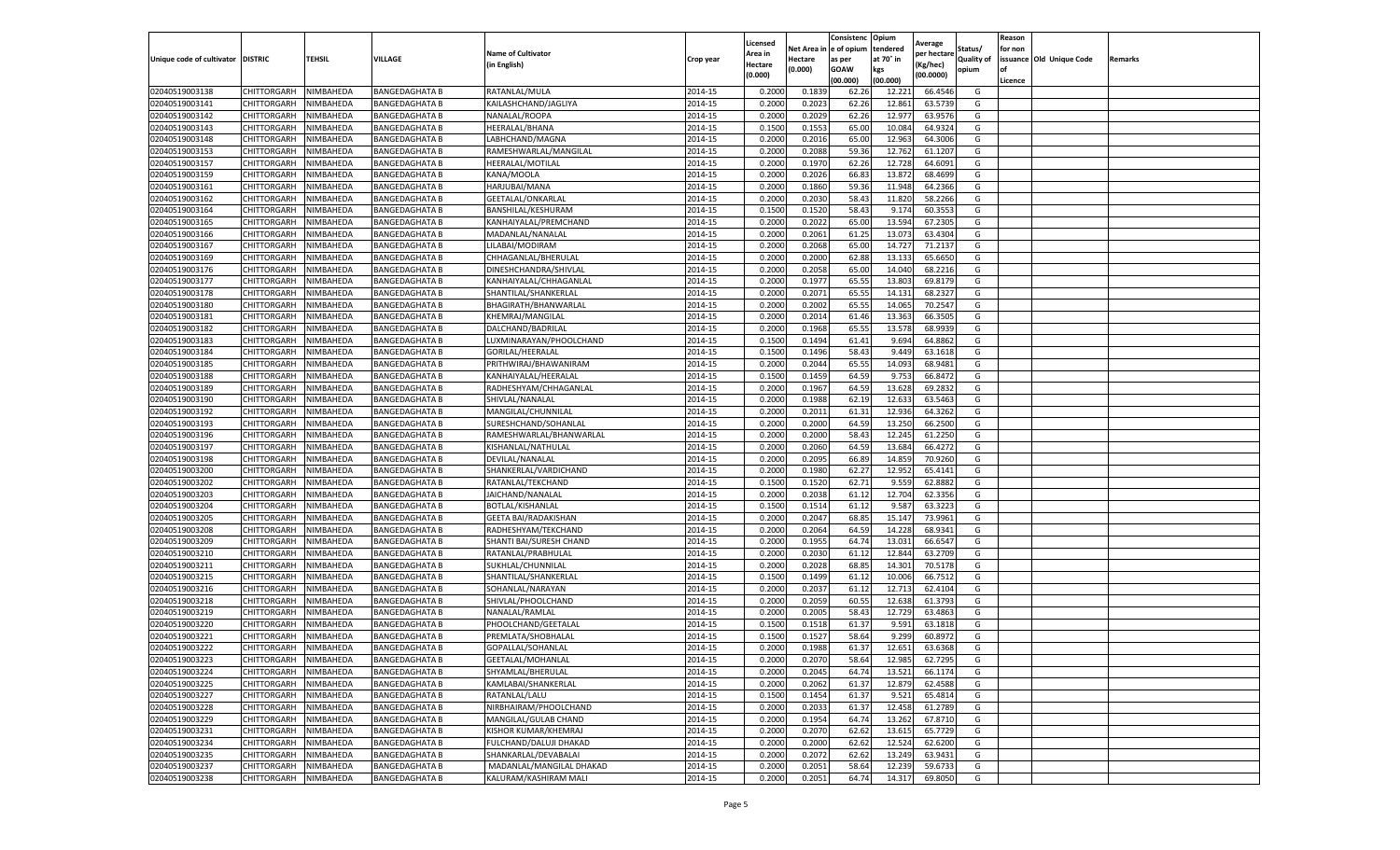|                                   |                            |           |                       |                             |           | Licensed |            | Consistenc  | Opium     | Average     |                   | Reason  |                          |         |
|-----------------------------------|----------------------------|-----------|-----------------------|-----------------------------|-----------|----------|------------|-------------|-----------|-------------|-------------------|---------|--------------------------|---------|
|                                   |                            |           |                       | <b>Name of Cultivator</b>   |           | Area in  | Net Area i | e of opium  | tendered  | per hectare | Status/           | for non |                          |         |
| Unique code of cultivator DISTRIC |                            | TEHSIL    | VILLAGE               | (in English)                | Crop year | Hectare  | Hectare    | as per      | at 70° in | (Kg/hec)    | <b>Quality of</b> |         | issuance Old Unique Code | Remarks |
|                                   |                            |           |                       |                             |           | (0.000)  | 0.000)     | <b>GOAW</b> | kgs       | (00.0000)   | opium             | οf      |                          |         |
|                                   |                            |           |                       |                             |           |          |            | (00.000     | (00.000)  |             |                   | Licence |                          |         |
| 02040519003138                    | CHITTORGARH                | NIMBAHEDA | <b>BANGEDAGHATA B</b> | RATANLAL/MULA               | 2014-15   | 0.2000   | 0.183      | 62.26       | 12.221    | 66.4546     | G                 |         |                          |         |
| 02040519003141                    | CHITTORGARH                | NIMBAHEDA | <b>BANGEDAGHATA B</b> | KAILASHCHAND/JAGLIYA        | 2014-15   | 0.200    | 0.2023     | 62.26       | 12.861    | 63.5739     | G                 |         |                          |         |
| 02040519003142                    | CHITTORGARH                | NIMBAHEDA | <b>BANGEDAGHATA B</b> | NANALAL/ROOPA               | 2014-15   | 0.2000   | 0.2029     | 62.26       | 12.977    | 63.9576     | G                 |         |                          |         |
| 02040519003143                    | CHITTORGARH                | NIMBAHEDA | <b>BANGEDAGHATA B</b> | HEERALAL/BHANA              | 2014-15   | 0.1500   | 0.1553     | 65.00       | 10.084    | 64.9324     | G                 |         |                          |         |
| 02040519003148                    | CHITTORGARH                | NIMBAHEDA | <b>BANGEDAGHATA B</b> | LABHCHAND/MAGNA             | 2014-15   | 0.2000   | 0.2016     | 65.00       | 12.963    | 64.3006     | G                 |         |                          |         |
| 02040519003153                    | CHITTORGARH                | NIMBAHEDA | <b>BANGEDAGHATA B</b> | RAMESHWARLAL/MANGILAL       | 2014-15   | 0.2000   | 0.2088     | 59.36       | 12.762    | 61.1207     | G                 |         |                          |         |
| 02040519003157                    | CHITTORGARH                | NIMBAHEDA | <b>BANGEDAGHATA B</b> | HEERALAL/MOTILAL            | 2014-15   | 0.2000   | 0.1970     | 62.26       | 12.728    | 64.6091     | G                 |         |                          |         |
| 02040519003159                    | CHITTORGARH                | NIMBAHEDA | <b>BANGEDAGHATA B</b> | KANA/MOOLA                  | 2014-15   | 0.200    | 0.2026     | 66.83       | 13.872    | 68.4699     | G                 |         |                          |         |
| 02040519003161                    | CHITTORGARH                | NIMBAHEDA | <b>BANGEDAGHATA B</b> | HARJUBAI/MANA               | 2014-15   | 0.2000   | 0.1860     | 59.36       | 11.948    | 64.2366     | G                 |         |                          |         |
| 02040519003162                    | CHITTORGARH                | NIMBAHEDA | <b>BANGEDAGHATA B</b> | GEETALAL/ONKARLAL           | 2014-15   | 0.2000   | 0.2030     | 58.43       | 11.820    | 58.2266     | G                 |         |                          |         |
| 02040519003164                    | CHITTORGARH                | NIMBAHEDA | <b>BANGEDAGHATA B</b> | BANSHILAL/KESHURAM          | 2014-15   | 0.1500   | 0.1520     | 58.43       | 9.174     | 60.3553     | G                 |         |                          |         |
| 02040519003165                    | CHITTORGARH                | NIMBAHEDA | <b>BANGEDAGHATA B</b> | KANHAIYALAL/PREMCHAND       | 2014-15   | 0.2000   | 0.2022     | 65.00       | 13.594    | 67.2305     | G                 |         |                          |         |
| 02040519003166                    | CHITTORGARH                | NIMBAHEDA | <b>BANGEDAGHATA B</b> | MADANLAL/NANALAL            | 2014-15   | 0.2000   | 0.2061     | 61.25       | 13.073    | 63.4304     | G                 |         |                          |         |
| 02040519003167                    | CHITTORGARH                | NIMBAHEDA | <b>BANGEDAGHATA B</b> | LILABAI/MODIRAM             | 2014-15   | 0.200    | 0.2068     | 65.00       | 14.727    | 71.2137     | G                 |         |                          |         |
| 02040519003169                    | CHITTORGARH                | NIMBAHEDA | <b>BANGEDAGHATA B</b> | CHHAGANLAL/BHERULAL         | 2014-15   | 0.2000   | 0.2000     | 62.88       | 13.133    | 65.6650     | G                 |         |                          |         |
| 02040519003176                    | CHITTORGARH                | NIMBAHEDA | <b>BANGEDAGHATA B</b> | DINESHCHANDRA/SHIVLAL       | 2014-15   | 0.2000   | 0.2058     | 65.00       | 14.040    | 68.2216     | G                 |         |                          |         |
| 02040519003177                    | CHITTORGARH                | NIMBAHEDA | <b>BANGEDAGHATA B</b> | KANHAIYALAL/CHHAGANLAL      | 2014-15   | 0.2000   | 0.1977     | 65.55       | 13.803    | 69.8179     | G                 |         |                          |         |
| 02040519003178                    | CHITTORGARH                | NIMBAHEDA | <b>BANGEDAGHATA B</b> | SHANTILAL/SHANKERLAL        | 2014-15   | 0.2000   | 0.2071     | 65.55       | 14.131    | 68.2327     | G                 |         |                          |         |
| 02040519003180                    | CHITTORGARH                | NIMBAHEDA | <b>BANGEDAGHATA B</b> | BHAGIRATH/BHANWARLAL        | 2014-15   | 0.2000   | 0.2002     | 65.55       | 14.065    | 70.2547     | G                 |         |                          |         |
| 02040519003181                    | CHITTORGARH                | NIMBAHEDA | <b>BANGEDAGHATA B</b> | KHEMRAJ/MANGILAL            | 2014-15   | 0.2000   | 0.2014     | 61.46       | 13.363    | 66.3505     | G                 |         |                          |         |
| 02040519003182                    | CHITTORGARH                | NIMBAHEDA | <b>BANGEDAGHATA B</b> | DALCHAND/BADRILAL           | 2014-15   | 0.2000   | 0.1968     | 65.55       | 13.578    | 68.9939     | G                 |         |                          |         |
|                                   |                            |           |                       |                             |           |          |            |             |           |             |                   |         |                          |         |
| 02040519003183                    | CHITTORGARH                | NIMBAHEDA | <b>BANGEDAGHATA B</b> | LUXMINARAYAN/PHOOLCHAND     | 2014-15   | 0.1500   | 0.1494     | 61.4        | 9.694     | 64.8862     | G                 |         |                          |         |
| 02040519003184                    | CHITTORGARH                | NIMBAHEDA | <b>BANGEDAGHATA B</b> | GORILAL/HEERALAL            | 2014-15   | 0.1500   | 0.1496     | 58.43       | 9.449     | 63.1618     | G                 |         |                          |         |
| 02040519003185                    | CHITTORGARH                | NIMBAHEDA | <b>BANGEDAGHATA B</b> | PRITHWIRAJ/BHAWANIRAM       | 2014-15   | 0.2000   | 0.2044     | 65.55       | 14.093    | 68.9481     | G                 |         |                          |         |
| 02040519003188                    | CHITTORGARH                | NIMBAHEDA | <b>BANGEDAGHATA B</b> | KANHAIYALAL/HEERALAI        | 2014-15   | 0.1500   | 0.1459     | 64.59       | 9.753     | 66.8472     | G                 |         |                          |         |
| 02040519003189                    | CHITTORGARH                | NIMBAHEDA | <b>BANGEDAGHATA B</b> | RADHESHYAM/CHHAGANLAI       | 2014-15   | 0.2000   | 0.1967     | 64.59       | 13.628    | 69.2832     | G                 |         |                          |         |
| 02040519003190                    | CHITTORGARH                | NIMBAHEDA | <b>BANGEDAGHATA B</b> | SHIVLAL/NANALAL             | 2014-15   | 0.2000   | 0.1988     | 62.19       | 12.633    | 63.5463     | G                 |         |                          |         |
| 02040519003192                    | CHITTORGARH                | NIMBAHEDA | BANGEDAGHATA B        | MANGILAL/CHUNNILAL          | 2014-15   | 0.2000   | 0.2011     | 61.31       | 12.936    | 64.3262     | G                 |         |                          |         |
| 02040519003193                    | CHITTORGARH                | NIMBAHEDA | <b>BANGEDAGHATA B</b> | SURESHCHAND/SOHANLAL        | 2014-15   | 0.2000   | 0.2000     | 64.59       | 13.250    | 66.2500     | G                 |         |                          |         |
| 02040519003196                    | CHITTORGARH                | NIMBAHEDA | <b>BANGEDAGHATA B</b> | RAMESHWARLAL/BHANWARLAL     | 2014-15   | 0.2000   | 0.2000     | 58.43       | 12.245    | 61.2250     | G                 |         |                          |         |
| 02040519003197                    | CHITTORGARH                | NIMBAHEDA | <b>BANGEDAGHATA B</b> | KISHANLAL/NATHULAL          | 2014-15   | 0.2000   | 0.2060     | 64.59       | 13.684    | 66.4272     | G                 |         |                          |         |
| 02040519003198                    | CHITTORGARH                | NIMBAHEDA | <b>BANGEDAGHATA B</b> | DEVILAL/NANALAL             | 2014-15   | 0.2000   | 0.2095     | 66.89       | 14.859    | 70.9260     | G                 |         |                          |         |
| 02040519003200                    | CHITTORGARH                | NIMBAHEDA | <b>BANGEDAGHATA B</b> | SHANKERLAL/VARDICHAND       | 2014-15   | 0.2000   | 0.1980     | 62.27       | 12.952    | 65.4141     | G                 |         |                          |         |
| 02040519003202                    | CHITTORGARH                | NIMBAHEDA | <b>BANGEDAGHATA B</b> | RATANLAL/TEKCHAND           | 2014-15   | 0.1500   | 0.1520     | 62.7        | 9.559     | 62.8882     | G                 |         |                          |         |
| 02040519003203                    | CHITTORGARH                | NIMBAHEDA | <b>BANGEDAGHATA B</b> | JAICHAND/NANALAL            | 2014-15   | 0.2000   | 0.2038     | 61.12       | 12.704    | 62.3356     | G                 |         |                          |         |
| 02040519003204                    | CHITTORGARH                | NIMBAHEDA | <b>BANGEDAGHATA B</b> | BOTLAL/KISHANLAL            | 2014-15   | 0.1500   | 0.1514     | 61.12       | 9.587     | 63.3223     | G                 |         |                          |         |
| 02040519003205                    | CHITTORGARH                | NIMBAHEDA | <b>BANGEDAGHATA B</b> | <b>GEETA BAI/RADAKISHAN</b> | 2014-15   | 0.2000   | 0.2047     | 68.85       | 15.147    | 73.9961     | G                 |         |                          |         |
| 02040519003208                    | CHITTORGARH                | NIMBAHEDA | <b>BANGEDAGHATA B</b> | RADHESHYAM/TEKCHAND         | 2014-15   | 0.2000   | 0.2064     | 64.59       | 14.228    | 68.9341     | G                 |         |                          |         |
| 02040519003209                    | CHITTORGARH                | NIMBAHEDA | <b>BANGEDAGHATA B</b> | SHANTI BAI/SURESH CHAND     | 2014-15   | 0.2000   | 0.1955     | 64.74       | 13.031    | 66.6547     | G                 |         |                          |         |
| 02040519003210                    | CHITTORGARH                | NIMBAHEDA | <b>BANGEDAGHATA B</b> | RATANLAL/PRABHULAL          | 2014-15   | 0.2000   | 0.203C     | 61.12       | 12.844    | 63.2709     | G                 |         |                          |         |
| 02040519003211                    | CHITTORGARH                | NIMBAHEDA | <b>BANGEDAGHATA B</b> | SUKHLAL/CHUNNILAL           | 2014-15   | 0.2000   | 0.2028     | 68.8        | 14.301    | 70.5178     | G                 |         |                          |         |
| 02040519003215                    | CHITTORGARH                | NIMBAHEDA | <b>BANGEDAGHATA B</b> | SHANTILAL/SHANKERLAL        | 2014-15   | 0.1500   | 0.1499     | 61.12       | 10.006    | 66.7512     | G                 |         |                          |         |
| 02040519003216                    | CHITTORGARH                | NIMBAHEDA | <b>BANGEDAGHATA B</b> | SOHANLAL/NARAYAN            | 2014-15   | 0.2000   | 0.2037     | 61.12       | 12.713    | 62.4104     | G                 |         |                          |         |
| 02040519003218                    | CHITTORGARH                | NIMBAHEDA | <b>BANGEDAGHATA B</b> | SHIVLAL/PHOOLCHAND          | 2014-15   | 0.2000   | 0.2059     | 60.55       | 12.638    | 61.3793     | G                 |         |                          |         |
| 02040519003219                    | CHITTORGARH                | NIMBAHEDA | <b>BANGEDAGHATA B</b> | NANALAL/RAMLAL              | 2014-15   | 0.2000   | 0.2005     | 58.43       | 12.729    | 63.4863     | G                 |         |                          |         |
| 02040519003220                    | CHITTORGARH                | NIMBAHEDA | <b>BANGEDAGHATA B</b> | PHOOLCHAND/GEETALAL         | 2014-15   | 0.150    | 0.1518     | 61.37       | 9.591     | 63.1818     | G                 |         |                          |         |
| 02040519003221                    | CHITTORGARH                | NIMBAHEDA | <b>BANGEDAGHATA B</b> | PREMLATA/SHOBHALAL          | 2014-15   | 0.1500   | 0.1527     | 58.64       | 9.299     | 60.8972     | G                 |         |                          |         |
| 02040519003222                    | CHITTORGARH                | NIMBAHEDA | <b>BANGEDAGHATA B</b> | GOPALLAL/SOHANLAL           | 2014-15   | 0.2000   | 0.1988     | 61.37       | 12.651    | 63.6368     | G                 |         |                          |         |
| 02040519003223                    | CHITTORGARH                | NIMBAHEDA | <b>BANGEDAGHATA B</b> | GEETALAL/MOHANLAL           | 2014-15   | 0.2000   | 0.2070     | 58.64       | 12.985    | 62.7295     | G                 |         |                          |         |
| 02040519003224                    | CHITTORGARH                | NIMBAHEDA | <b>BANGEDAGHATA B</b> | SHYAMLAL/BHERULAL           | 2014-15   | 0.2000   | 0.2045     | 64.74       | 13.521    | 66.1174     | G                 |         |                          |         |
| 02040519003225                    | CHITTORGARH                | NIMBAHEDA | <b>BANGEDAGHATA B</b> | KAMLABAI/SHANKERLAL         | 2014-15   | 0.2000   | 0.2062     | 61.37       | 12.879    | 62.4588     | G                 |         |                          |         |
| 02040519003227                    | CHITTORGARH                | NIMBAHEDA | <b>BANGEDAGHATA B</b> | RATANLAL/LALU               | 2014-15   | 0.1500   | 0.1454     | 61.37       | 9.521     | 65.4814     | G                 |         |                          |         |
| 02040519003228                    | CHITTORGARH                | NIMBAHEDA | <b>BANGEDAGHATA B</b> | NIRBHAIRAM/PHOOLCHAND       | 2014-15   | 0.2000   | 0.2033     | 61.37       | 12.458    | 61.2789     | G                 |         |                          |         |
| 02040519003229                    | CHITTORGARH                | NIMBAHEDA | <b>BANGEDAGHATA B</b> | MANGILAL/GULAB CHAND        | 2014-15   | 0.2000   | 0.1954     | 64.74       | 13.262    | 67.8710     | G                 |         |                          |         |
| 02040519003231                    | CHITTORGARH                | NIMBAHEDA | <b>BANGEDAGHATA B</b> | KISHOR KUMAR/KHEMRAJ        | 2014-15   | 0.2000   | 0.2070     | 62.62       | 13.615    | 65.7729     | G                 |         |                          |         |
| 02040519003234                    |                            |           |                       |                             |           |          |            |             |           |             |                   |         |                          |         |
|                                   | CHITTORGARH<br>CHITTORGARH | NIMBAHEDA | <b>BANGEDAGHATA B</b> | FULCHAND/DALUJI DHAKAD      | 2014-15   | 0.2000   | 0.2000     | 62.62       | 12.524    | 62.6200     | G                 |         |                          |         |
| 02040519003235                    |                            | NIMBAHEDA | <b>BANGEDAGHATA B</b> | SHANKARLAL/DEVABALAI        | 2014-15   | 0.2000   | 0.2072     | 62.62       | 13.249    | 63.9431     | G                 |         |                          |         |
| 02040519003237                    | CHITTORGARH                | NIMBAHEDA | <b>BANGEDAGHATA B</b> | MADANLAL/MANGILAL DHAKAD    | 2014-15   | 0.2000   | 0.2051     | 58.64       | 12.239    | 59.6733     | G                 |         |                          |         |
| 02040519003238                    | CHITTORGARH                | NIMBAHEDA | <b>BANGEDAGHATA B</b> | KALURAM/KASHIRAM MALI       | 2014-15   | 0.2000   | 0.2051     | 64.74       | 14.317    | 69.8050     | G                 |         |                          |         |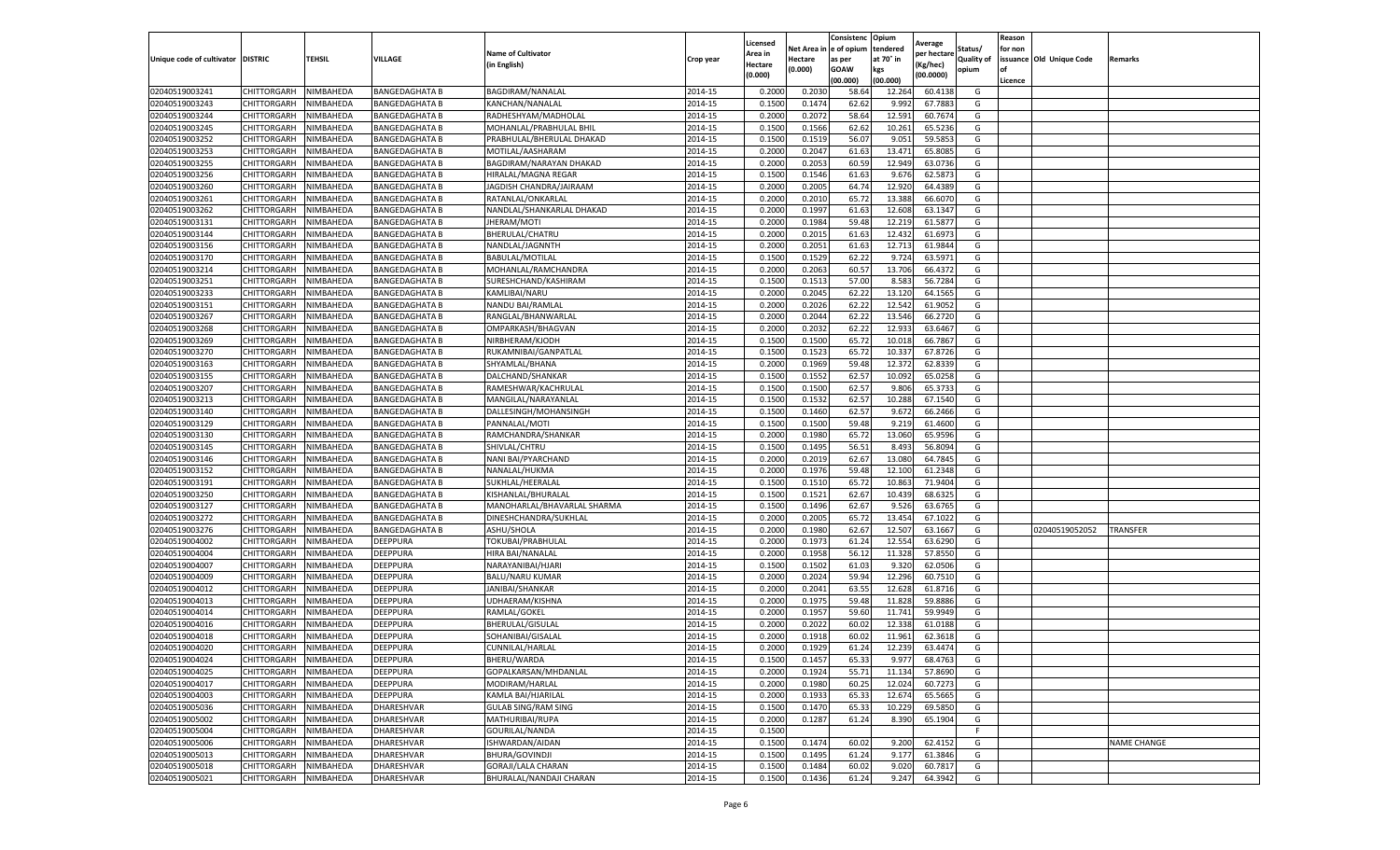|                           |                    |                  |                       |                             |           | Licensed |         | Consistenc             | Opium     |                        |                   | Reason  |                          |                    |
|---------------------------|--------------------|------------------|-----------------------|-----------------------------|-----------|----------|---------|------------------------|-----------|------------------------|-------------------|---------|--------------------------|--------------------|
|                           |                    |                  |                       | <b>Name of Cultivator</b>   |           | Area in  |         | Net Area in e of opium | tendered  | Average<br>per hectare | Status/           | for non |                          |                    |
| Unique code of cultivator | <b>DISTRIC</b>     | TEHSIL           | VILLAGE               | in English)                 | Crop year | Hectare  | Hectare | as per                 | at 70° in | (Kg/hec                | <b>Quality of</b> |         | issuance Old Unique Code | <b>Remarks</b>     |
|                           |                    |                  |                       |                             |           | (0.000)  | (0.000) | <b>GOAW</b>            | kgs       | (00.0000)              | opium             |         |                          |                    |
|                           |                    |                  |                       |                             |           |          |         | (00.000)               | (00.000)  |                        |                   | Licence |                          |                    |
| 02040519003241            | CHITTORGARH        | NIMBAHEDA        | <b>BANGEDAGHATA B</b> | BAGDIRAM/NANALAL            | 2014-15   | 0.2000   | 0.203C  | 58.64                  | 12.264    | 60.4138                | G                 |         |                          |                    |
| 02040519003243            | CHITTORGARH        | NIMBAHEDA        | <b>BANGEDAGHATA B</b> | KANCHAN/NANALAL             | 2014-15   | 0.1500   | 0.1474  | 62.62                  | 9.99      | 67.788                 | G                 |         |                          |                    |
| 02040519003244            | CHITTORGARH        | NIMBAHEDA        | <b>BANGEDAGHATA B</b> | RADHESHYAM/MADHOLAL         | 2014-15   | 0.2000   | 0.2072  | 58.64                  | 12.591    | 60.7674                | G                 |         |                          |                    |
| 02040519003245            | CHITTORGARH        | NIMBAHEDA        | <b>BANGEDAGHATA B</b> | MOHANLAL/PRABHULAL BHIL     | 2014-15   | 0.1500   | 0.1566  | 62.62                  | 10.261    | 65.5236                | G                 |         |                          |                    |
| 02040519003252            | <b>CHITTORGARH</b> | NIMBAHEDA        | <b>BANGEDAGHATA B</b> | PRABHULAL/BHERULAL DHAKAD   | 2014-15   | 0.1500   | 0.1519  | 56.07                  | 9.05      | 59.585                 | G                 |         |                          |                    |
| 02040519003253            | CHITTORGARH        | NIMBAHEDA        | BANGEDAGHATA B        | MOTILAL/AASHARAM            | 2014-15   | 0.2000   | 0.2047  | 61.63                  | 13.47     | 65.808                 | G                 |         |                          |                    |
| 02040519003255            | CHITTORGARH        | NIMBAHEDA        | <b>BANGEDAGHATA B</b> | BAGDIRAM/NARAYAN DHAKAD     | 2014-15   | 0.2000   | 0.2053  | 60.59                  | 12.949    | 63.0736                | G                 |         |                          |                    |
| 02040519003256            | CHITTORGARH        | NIMBAHEDA        | <b>BANGEDAGHATA B</b> | HIRALAL/MAGNA REGAR         | 2014-15   | 0.1500   | 0.1546  | 61.63                  | 9.676     | 62.587                 | G                 |         |                          |                    |
| 02040519003260            | CHITTORGARH        | NIMBAHEDA        | <b>BANGEDAGHATA B</b> | JAGDISH CHANDRA/JAIRAAM     | 2014-15   | 0.2000   | 0.2005  | 64.74                  | 12.92     | 64.4389                | G                 |         |                          |                    |
| 02040519003261            | CHITTORGARH        | NIMBAHEDA        | <b>BANGEDAGHATA B</b> | RATANLAL/ONKARLAL           | 2014-15   | 0.2000   | 0.2010  | 65.72                  | 13.388    | 66.6070                | G                 |         |                          |                    |
| 02040519003262            | CHITTORGARH        | NIMBAHEDA        | <b>BANGEDAGHATA B</b> | NANDLAL/SHANKARLAL DHAKAD   | 2014-15   | 0.2000   | 0.1997  | 61.63                  | 12.608    | 63.1347                | G                 |         |                          |                    |
| 02040519003131            | CHITTORGARH        | NIMBAHEDA        | <b>BANGEDAGHATA B</b> | JHERAM/MOTI                 | 2014-15   | 0.2000   | 0.1984  | 59.48                  | 12.219    | 61.5877                | G                 |         |                          |                    |
| 02040519003144            | CHITTORGARH        | NIMBAHEDA        | BANGEDAGHATA B        | BHERULAL/CHATRU             | 2014-15   | 0.2000   | 0.2015  | 61.63                  | 12.43     | 61.697                 | G                 |         |                          |                    |
| 02040519003156            | CHITTORGARH        | NIMBAHEDA        | <b>BANGEDAGHATA B</b> | NANDLAL/JAGNNTH             | 2014-15   | 0.2000   | 0.2051  | 61.63                  | 12.713    | 61.9844                | G                 |         |                          |                    |
| 02040519003170            | CHITTORGARH        | NIMBAHEDA        | <b>BANGEDAGHATA B</b> | BABULAL/MOTILAL             | 2014-15   | 0.1500   | 0.1529  | 62.22                  | 9.724     | 63.5971                | G                 |         |                          |                    |
| 02040519003214            | CHITTORGARH        | NIMBAHEDA        | <b>BANGEDAGHATA B</b> | MOHANLAL/RAMCHANDRA         | 2014-15   | 0.2000   | 0.2063  | 60.57                  | 13.706    | 66.4372                | G                 |         |                          |                    |
| 02040519003251            | CHITTORGARH        | NIMBAHEDA        | <b>BANGEDAGHATA B</b> | SURESHCHAND/KASHIRAM        | 2014-15   | 0.1500   | 0.1513  | 57.00                  | 8.583     | 56.7284                | G                 |         |                          |                    |
| 02040519003233            | CHITTORGARH        | NIMBAHEDA        | <b>BANGEDAGHATA B</b> | KAMLIBAI/NARU               | 2014-15   | 0.2000   | 0.2045  | 62.22                  | 13.12     | 64.1565                | G                 |         |                          |                    |
| 02040519003151            | CHITTORGARH        | NIMBAHEDA        | BANGEDAGHATA B        | NANDU BAI/RAMLAI            | 2014-15   | 0.2000   | 0.2026  | 62.22                  | 12.542    | 61.9052                | G                 |         |                          |                    |
| 02040519003267            | CHITTORGARH        | NIMBAHEDA        | <b>BANGEDAGHATA B</b> | RANGLAL/BHANWARLAL          | 2014-15   | 0.2000   | 0.2044  | 62.22                  | 13.546    | 66.2720                | G                 |         |                          |                    |
| 02040519003268            | CHITTORGARH        | NIMBAHEDA        | <b>BANGEDAGHATA B</b> | OMPARKASH/BHAGVAN           | 2014-15   | 0.2000   | 0.2032  | 62.22                  | 12.933    | 63.6467                | G                 |         |                          |                    |
| 02040519003269            | CHITTORGARH        | NIMBAHEDA        | <b>BANGEDAGHATA B</b> | NIRBHERAM/KJODH             | 2014-15   | 0.1500   | 0.1500  | 65.72                  | 10.01     | 66.7867                | G                 |         |                          |                    |
| 02040519003270            | CHITTORGARH        | NIMBAHEDA        | <b>BANGEDAGHATA B</b> | RUKAMNIBAI/GANPATLAL        | 2014-15   | 0.1500   | 0.1523  | 65.72                  | 10.337    | 67.8726                | G                 |         |                          |                    |
| 02040519003163            | CHITTORGARH        | NIMBAHEDA        | <b>BANGEDAGHATA B</b> | SHYAMLAL/BHANA              | 2014-15   | 0.2000   | 0.1969  | 59.48                  | 12.372    | 62.8339                | G                 |         |                          |                    |
| 02040519003155            | CHITTORGARH        | NIMBAHEDA        | BANGEDAGHATA B        | DALCHAND/SHANKAR            | 2014-15   | 0.1500   | 0.1552  | 62.57                  | 10.09     | 65.0258                | G                 |         |                          |                    |
| 02040519003207            | CHITTORGARH        | NIMBAHEDA        | <b>BANGEDAGHATA B</b> | RAMESHWAR/KACHRULAL         | 2014-15   | 0.1500   | 0.1500  | 62.57                  | 9.806     | 65.3733                | G                 |         |                          |                    |
| 02040519003213            | CHITTORGARH        | NIMBAHEDA        | <b>BANGEDAGHATA B</b> | MANGILAL/NARAYANLAL         | 2014-15   | 0.1500   | 0.1532  | 62.57                  | 10.28     | 67.1540                | G                 |         |                          |                    |
| 02040519003140            | CHITTORGARH        | NIMBAHEDA        | BANGEDAGHATA B        | DALLESINGH/MOHANSINGH       | 2014-15   | 0.1500   | 0.1460  | 62.57                  | 9.672     | 66.2466                | G                 |         |                          |                    |
| 02040519003129            | CHITTORGARH        | NIMBAHEDA        | <b>BANGEDAGHATA B</b> | PANNALAL/MOTI               | 2014-15   | 0.1500   | 0.1500  | 59.48                  | 9.219     | 61.4600                | G                 |         |                          |                    |
| 02040519003130            | CHITTORGARH        | NIMBAHEDA        | <b>BANGEDAGHATA B</b> | RAMCHANDRA/SHANKAR          | 2014-15   | 0.2000   | 0.1980  | 65.72                  | 13.060    | 65.9596                | G                 |         |                          |                    |
| 02040519003145            | CHITTORGARH        | NIMBAHEDA        | BANGEDAGHATA B        | SHIVLAL/CHTRU               | 2014-15   | 0.1500   | 0.1495  | 56.51                  | 8.493     | 56.8094                | G                 |         |                          |                    |
| 02040519003146            | CHITTORGARH        | NIMBAHEDA        | <b>BANGEDAGHATA B</b> | NANI BAI/PYARCHAND          | 2014-15   | 0.2000   | 0.2019  | 62.67                  | 13.080    | 64.7845                | G                 |         |                          |                    |
| 02040519003152            | CHITTORGARH        | NIMBAHEDA        | <b>BANGEDAGHATA B</b> | NANALAL/HUKMA               | 2014-15   | 0.2000   | 0.1976  | 59.48                  | 12.10     | 61.2348                | G                 |         |                          |                    |
| 02040519003191            | CHITTORGARH        | NIMBAHEDA        | <b>BANGEDAGHATA B</b> | SUKHLAL/HEERALAL            | 2014-15   | 0.1500   | 0.1510  | 65.72                  | 10.863    | 71.9404                | G                 |         |                          |                    |
| 02040519003250            | CHITTORGARH        | NIMBAHEDA        | <b>BANGEDAGHATA B</b> | KISHANLAL/BHURALAL          | 2014-15   | 0.1500   | 0.1521  | 62.67                  | 10.439    | 68.6325                | G                 |         |                          |                    |
| 02040519003127            | CHITTORGARH        | NIMBAHEDA        | <b>BANGEDAGHATA B</b> | MANOHARLAL/BHAVARLAL SHARMA | 2014-15   | 0.1500   | 0.1496  | 62.67                  | 9.526     | 63.6765                | G                 |         |                          |                    |
| 02040519003272            | CHITTORGARH        | NIMBAHEDA        | <b>BANGEDAGHATA B</b> | DINESHCHANDRA/SUKHLAL       | 2014-15   | 0.2000   | 0.2005  | 65.72                  | 13.454    | 67.1022                | G                 |         |                          |                    |
| 02040519003276            | CHITTORGARH        | NIMBAHEDA        | <b>BANGEDAGHATA B</b> | ASHU/SHOLA                  | 2014-15   | 0.2000   | 0.1980  | 62.67                  | 12.507    | 63.1667                | G                 |         | 02040519052052           | <b>TRANSFER</b>    |
| 02040519004002            | CHITTORGARH        | NIMBAHEDA        | DEEPPURA              | TOKUBAI/PRABHULAI           | 2014-15   | 0.2000   | 0.1973  | 61.24                  | 12.554    | 63.6290                | G                 |         |                          |                    |
| 02040519004004            | CHITTORGARH        | NIMBAHEDA        | DEEPPURA              | HIRA BAI/NANALAL            | 2014-15   | 0.2000   | 0.1958  | 56.12                  | 11.328    | 57.8550                | G                 |         |                          |                    |
| 02040519004007            | CHITTORGARH        | NIMBAHEDA        | DEEPPURA              | NARAYANIBAI/HJARI           | 2014-15   | 0.1500   | 0.1502  | 61.03                  | 9.32      | 62.0506                | G                 |         |                          |                    |
| 02040519004009            | CHITTORGARH        | NIMBAHEDA        | DEEPPURA              | <b>BALU/NARU KUMAR</b>      | 2014-15   | 0.2000   | 0.2024  | 59.94                  | 12.296    | 60.7510                | G                 |         |                          |                    |
| 02040519004012            | CHITTORGARH        | NIMBAHEDA        | DEEPPURA              | <b>JANIBAI/SHANKAR</b>      | 2014-15   | 0.2000   | 0.2041  | 63.55                  | 12.628    | 61.8716                | G                 |         |                          |                    |
| 02040519004013            | CHITTORGARH        | NIMBAHEDA        | DEEPPURA              | UDHAERAM/KISHNA             | 2014-15   | 0.2000   | 0.1975  | 59.48                  | 11.828    | 59.8886                | G                 |         |                          |                    |
| 02040519004014            | CHITTORGARH        | NIMBAHEDA        | DEEPPURA              | RAMLAL/GOKEL                | 2014-15   | 0.2000   | 0.1957  | 59.60                  | 11.741    | 59.9949                | G                 |         |                          |                    |
| 02040519004016            | CHITTORGARH        | NIMBAHEDA        | DEEPPURA              | BHERULAL/GISULAL            | 2014-15   | 0.2000   | 0.2022  | 60.02                  | 12.33     | 61.0188                | G                 |         |                          |                    |
| 02040519004018            | CHITTORGARH        | NIMBAHEDA        | DEEPPURA              | SOHANIBAI/GISALAL           | 2014-15   | 0.2000   | 0.1918  | 60.02                  | 11.961    | 62.3618                | G                 |         |                          |                    |
| 02040519004020            | CHITTORGARH        | NIMBAHEDA        | <b>DEEPPURA</b>       | CUNNILAL/HARLAL             | 2014-15   | 0.2000   | 0.1929  | 61.24                  | 12.239    | 63.4474                | G                 |         |                          |                    |
| 02040519004024            | CHITTORGARH        | NIMBAHEDA        | <b>DEEPPURA</b>       | BHERU/WARDA                 | 2014-15   | 0.1500   | 0.1457  | 65.33                  | 9.977     | 68.4763                | G                 |         |                          |                    |
| 02040519004025            | CHITTORGARH        | NIMBAHEDA        | DEEPPURA              | GOPALKARSAN/MHDANLAL        | 2014-15   | 0.2000   | 0.1924  | 55.71                  | 11.134    | 57.8690                | G                 |         |                          |                    |
| 02040519004017            | <b>CHITTORGARH</b> | NIMBAHEDA        | DEEPPURA              | MODIRAM/HARLAL              | 2014-15   | 0.2000   | 0.1980  | 60.25                  | 12.024    | 60.7273                | G                 |         |                          |                    |
| 02040519004003            | CHITTORGARH        | NIMBAHEDA        | DEEPPURA              | KAMLA BAI/HJARILAL          | 2014-15   | 0.2000   | 0.1933  | 65.33                  | 12.674    | 65.5665                | G                 |         |                          |                    |
| 02040519005036            | CHITTORGARH        | NIMBAHEDA        | DHARESHVAR            | <b>GULAB SING/RAM SING</b>  | 2014-15   | 0.1500   | 0.1470  | 65.33                  | 10.229    | 69.5850                | G                 |         |                          |                    |
| 02040519005002            | <b>CHITTORGARH</b> | NIMBAHEDA        | DHARESHVAR            | MATHURIBAI/RUPA             | 2014-15   | 0.2000   | 0.1287  | 61.24                  | 8.390     | 65.1904                | G                 |         |                          |                    |
| 02040519005004            | CHITTORGARH        | NIMBAHEDA        | DHARESHVAR            | GOURILAL/NANDA              | 2014-15   | 0.1500   |         |                        |           |                        | F.                |         |                          |                    |
| 02040519005006            | CHITTORGARH        | NIMBAHEDA        | DHARESHVAR            | ISHWARDAN/AIDAN             | 2014-15   | 0.1500   | 0.1474  | 60.02                  | 9.200     | 62.4152                | G                 |         |                          | <b>NAME CHANGE</b> |
| 02040519005013            | CHITTORGARH        | NIMBAHEDA        | DHARESHVAR            | BHURA/GOVINDJI              | 2014-15   | 0.1500   | 0.1495  | 61.24                  | 9.177     | 61.3846                | G                 |         |                          |                    |
| 02040519005018            | CHITTORGARH        | NIMBAHEDA        | DHARESHVAR            | GORAJI/LALA CHARAN          | 2014-15   | 0.1500   | 0.1484  | 60.02                  | 9.02(     | 60.7817                | G                 |         |                          |                    |
| 02040519005021            | <b>CHITTORGARH</b> | <b>NIMBAHEDA</b> | DHARESHVAR            | BHURALAL/NANDAJI CHARAN     | 2014-15   | 0.1500   | 0.1436  | 61.24                  | 9.247     | 64.3942                | G                 |         |                          |                    |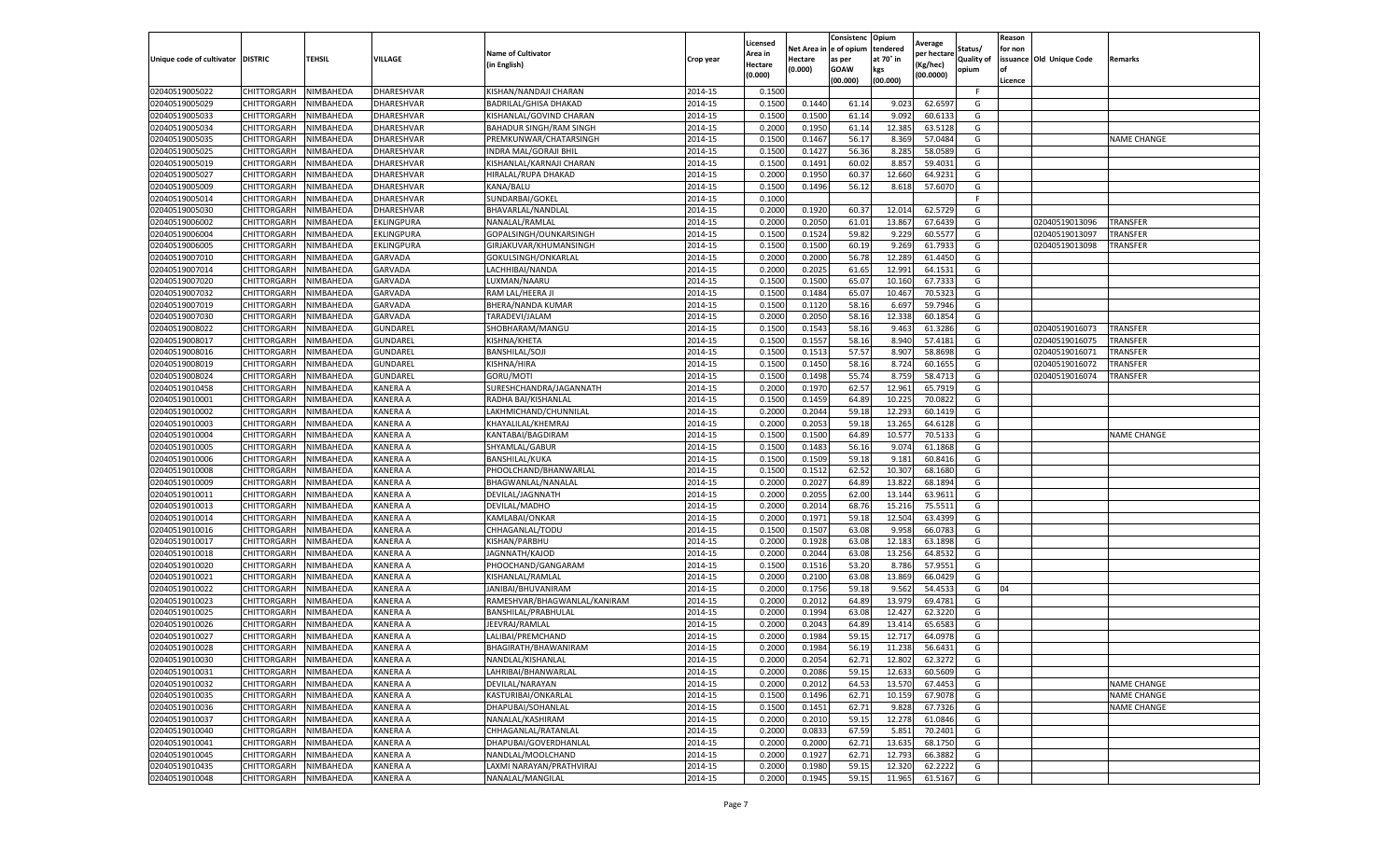|                           |                    |           |                 |                                |           | Licensed |            | Consistenc     | Opium     | Average     |                   | Reason  |                          |                    |
|---------------------------|--------------------|-----------|-----------------|--------------------------------|-----------|----------|------------|----------------|-----------|-------------|-------------------|---------|--------------------------|--------------------|
|                           |                    |           |                 | <b>Name of Cultivator</b>      |           | Area in  | Net Area i | in  e of opium | tendered  | per hectare | Status/           | for non |                          |                    |
| Unique code of cultivator | <b>DISTRIC</b>     | TEHSIL    | VILLAGE         | in English)                    | Crop year | Hectare  | Hectare    | as per         | at 70° in | (Kg/hec     | <b>Quality of</b> |         | issuance Old Unique Code | <b>Remarks</b>     |
|                           |                    |           |                 |                                |           | (0.000)  | (0.000)    | <b>GOAW</b>    | kgs       | (00.0000)   | opium             |         |                          |                    |
|                           |                    |           |                 |                                |           |          |            | (00.000)       | (00.000)  |             |                   | Licence |                          |                    |
| 02040519005022            | CHITTORGARH        | NIMBAHEDA | DHARESHVAR      | KISHAN/NANDAJI CHARAN          | 2014-15   | 0.1500   |            |                |           |             | F.                |         |                          |                    |
| 02040519005029            | CHITTORGARH        | NIMBAHEDA | DHARESHVAR      | BADRILAL/GHISA DHAKAD          | 2014-15   | 0.1500   | 0.1440     | 61.14          | 9.02      | 62.6597     | G                 |         |                          |                    |
| 02040519005033            | CHITTORGARH        | NIMBAHEDA | DHARESHVAR      | KISHANLAL/GOVIND CHARAN        | 2014-15   | 0.1500   | 0.1500     | 61.14          | 9.092     | 60.6133     | G                 |         |                          |                    |
| 02040519005034            | CHITTORGARH        | NIMBAHEDA | DHARESHVAR      | <b>BAHADUR SINGH/RAM SINGH</b> | 2014-15   | 0.2000   | 0.1950     | 61.14          | 12.385    | 63.5128     | G                 |         |                          |                    |
| 02040519005035            | CHITTORGARH        | NIMBAHEDA | DHARESHVAR      | PREMKUNWAR/CHATARSINGH         | 2014-15   | 0.1500   | 0.1467     | 56.17          | 8.369     | 57.0484     | G                 |         |                          | <b>NAME CHANGE</b> |
| 02040519005025            | CHITTORGARH        | NIMBAHEDA | DHARESHVAR      | INDRA MAL/GORAJI BHII          | 2014-15   | 0.1500   | 0.1427     | 56.36          | 8.285     | 58.0589     | G                 |         |                          |                    |
| 02040519005019            | CHITTORGARH        | NIMBAHEDA | DHARESHVAR      | KISHANLAL/KARNAJI CHARAN       | 2014-15   | 0.1500   | 0.1491     | 60.02          | 8.857     | 59.4031     | G                 |         |                          |                    |
| 02040519005027            | CHITTORGARH        | NIMBAHEDA | DHARESHVAR      | HIRALAL/RUPA DHAKAD            | 2014-15   | 0.2000   | 0.1950     | 60.37          | 12.660    | 64.9231     | G                 |         |                          |                    |
| 02040519005009            | CHITTORGARH        | NIMBAHEDA | DHARESHVAR      | KANA/BALU                      | 2014-15   | 0.1500   | 0.1496     | 56.12          | 8.618     | 57.6070     | G                 |         |                          |                    |
| 02040519005014            | CHITTORGARH        | NIMBAHEDA | DHARESHVAR      | SUNDARBAI/GOKEL                | 2014-15   | 0.1000   |            |                |           |             | F.                |         |                          |                    |
| 02040519005030            | CHITTORGARH        | NIMBAHEDA | DHARESHVAR      | BHAVARLAL/NANDLAL              | 2014-15   | 0.2000   | 0.1920     | 60.37          | 12.014    | 62.5729     | G                 |         |                          |                    |
| 02040519006002            | CHITTORGARH        | NIMBAHEDA | EKLINGPURA      | NANALAL/RAMLAL                 | 2014-15   | 0.2000   | 0.2050     | 61.01          | 13.867    | 67.6439     | G                 |         | 02040519013096           | TRANSFER           |
| 02040519006004            | CHITTORGARH        | NIMBAHEDA | EKLINGPURA      | GOPALSINGH/OUNKARSINGH         | 2014-15   | 0.1500   | 0.1524     | 59.82          | 9.229     | 60.5577     | G                 |         | 02040519013097           | TRANSFER           |
| 02040519006005            | CHITTORGARH        | NIMBAHEDA | EKLINGPURA      | GIRJAKUVAR/KHUMANSINGH         | 2014-15   | 0.1500   | 0.1500     | 60.19          | 9.269     | 61.7933     | G                 |         | 02040519013098           | TRANSFER           |
| 02040519007010            | CHITTORGARH        | NIMBAHEDA | GARVADA         | GOKULSINGH/ONKARLAL            | 2014-15   | 0.2000   | 0.2000     | 56.78          | 12.289    | 61.4450     | G                 |         |                          |                    |
| 02040519007014            | CHITTORGARH        | NIMBAHEDA | <b>GARVADA</b>  | LACHHIBAI/NANDA                | 2014-15   | 0.2000   | 0.2025     | 61.65          | 12.991    | 64.1531     | G                 |         |                          |                    |
| 02040519007020            | CHITTORGARH        | NIMBAHEDA | GARVADA         | LUXMAN/NAARU                   | 2014-15   | 0.1500   | 0.1500     | 65.07          | 10.16     | 67.7333     | G                 |         |                          |                    |
| 02040519007032            | CHITTORGARH        | NIMBAHEDA | <b>GARVADA</b>  | RAM LAL/HEERA JI               | 2014-15   | 0.1500   | 0.1484     | 65.07          | 10.467    | 70.5323     | G                 |         |                          |                    |
| 02040519007019            | CHITTORGARH        | NIMBAHEDA | GARVADA         | BHERA/NANDA KUMAR              | 2014-15   | 0.1500   | 0.1120     | 58.16          | 6.69      | 59.7946     | G                 |         |                          |                    |
| 02040519007030            | CHITTORGARH        | NIMBAHEDA | <b>GARVADA</b>  | TARADEVI/JALAM                 | 2014-15   | 0.2000   | 0.2050     | 58.16          | 12.338    | 60.1854     | G                 |         |                          |                    |
| 02040519008022            | CHITTORGARH        | NIMBAHEDA | GUNDAREL        | SHOBHARAM/MANGU                | 2014-15   | 0.1500   | 0.1543     | 58.16          | 9.463     | 61.3286     | G                 |         | 02040519016073           | <b>TRANSFER</b>    |
| 02040519008017            | CHITTORGARH        | NIMBAHEDA | GUNDAREI        | KISHNA/KHETA                   | 2014-15   | 0.1500   | 0.1557     | 58.16          | 8.940     | 57.4181     | G                 |         | 02040519016075           | <b>TRANSFER</b>    |
| 02040519008016            | CHITTORGARH        | NIMBAHEDA | GUNDAREL        | BANSHILAL/SOJI                 | 2014-15   | 0.1500   | 0.1513     | 57.57          | 8.907     | 58.8698     | G                 |         | 02040519016071           | <b>TRANSFER</b>    |
| 02040519008019            | CHITTORGARH        | NIMBAHEDA | GUNDAREL        | KISHNA/HIRA                    | 2014-15   | 0.1500   | 0.1450     | 58.16          | 8.724     | 60.1655     | G                 |         | 02040519016072           | TRANSFER           |
| 02040519008024            | CHITTORGARH        | NIMBAHEDA | GUNDAREI        | GORU/MOTI                      | 2014-15   | 0.1500   | 0.1498     | 55.74          | 8.759     | 58.4713     | G                 |         | 02040519016074           | TRANSFER           |
|                           |                    | NIMBAHEDA |                 |                                |           |          |            | 62.57          |           |             | G                 |         |                          |                    |
| 02040519010458            | CHITTORGARH        |           | KANERA A        | SURESHCHANDRA/JAGANNATH        | 2014-15   | 0.2000   | 0.1970     |                | 12.961    | 65.7919     |                   |         |                          |                    |
| 02040519010001            | CHITTORGARH        | NIMBAHEDA | KANERA A        | RADHA BAI/KISHANLAI            | 2014-15   | 0.1500   | 0.1459     | 64.89          | 10.22     | 70.0822     | G                 |         |                          |                    |
| 02040519010002            | CHITTORGARH        | NIMBAHEDA | KANERA A        | LAKHMICHAND/CHUNNILAL          | 2014-15   | 0.2000   | 0.2044     | 59.18          | 12.293    | 60.1419     | G                 |         |                          |                    |
| 02040519010003            | CHITTORGARH        | NIMBAHEDA | KANERA A        | KHAYALILAL/KHEMRAJ             | 2014-15   | 0.2000   | 0.2053     | 59.18          | 13.265    | 64.6128     | G                 |         |                          |                    |
| 02040519010004            | CHITTORGARH        | NIMBAHEDA | KANERA A        | KANTABAI/BAGDIRAM              | 2014-15   | 0.1500   | 0.1500     | 64.89          | 10.57     | 70.5133     | G                 |         |                          | <b>NAME CHANGE</b> |
| 02040519010005            | CHITTORGARH        | NIMBAHEDA | KANERA A        | SHYAMLAL/GABUR                 | 2014-15   | 0.1500   | 0.1483     | 56.16          | 9.07      | 61.1868     | G                 |         |                          |                    |
| 02040519010006            | CHITTORGARH        | NIMBAHEDA | KANERA A        | BANSHILAL/KUKA                 | 2014-15   | 0.1500   | 0.1509     | 59.18          | 9.181     | 60.8416     | G                 |         |                          |                    |
| 02040519010008            | CHITTORGARH        | NIMBAHEDA | KANERA A        | PHOOLCHAND/BHANWARLAL          | 2014-15   | 0.1500   | 0.1512     | 62.52          | 10.307    | 68.1680     | G                 |         |                          |                    |
| 02040519010009            | CHITTORGARH        | NIMBAHEDA | KANERA A        | BHAGWANLAL/NANALAL             | 2014-15   | 0.2000   | 0.2027     | 64.89          | 13.822    | 68.1894     | G                 |         |                          |                    |
| 02040519010011            | CHITTORGARH        | NIMBAHEDA | KANERA A        | DEVILAL/JAGNNATH               | 2014-15   | 0.2000   | 0.2055     | 62.00          | 13.144    | 63.9611     | G                 |         |                          |                    |
| 02040519010013            | CHITTORGARH        | NIMBAHEDA | KANERA A        | DEVILAL/MADHO                  | 2014-15   | 0.2000   | 0.2014     | 68.76          | 15.21     | 75.5511     | G                 |         |                          |                    |
| 02040519010014            | CHITTORGARH        | NIMBAHEDA | KANERA A        | KAMLABAI/ONKAR                 | 2014-15   | 0.2000   | 0.1971     | 59.18          | 12.504    | 63.4399     | G                 |         |                          |                    |
| 02040519010016            | CHITTORGARH        | NIMBAHEDA | KANERA A        | CHHAGANLAL/TODU                | 2014-15   | 0.1500   | 0.1507     | 63.08          | 9.95      | 66.078      | G                 |         |                          |                    |
| 02040519010017            | CHITTORGARH        | NIMBAHEDA | KANERA A        | KISHAN/PARBHU                  | 2014-15   | 0.2000   | 0.1928     | 63.08          | 12.18     | 63.1898     | G                 |         |                          |                    |
| 02040519010018            | CHITTORGARH        | NIMBAHEDA | KANERA A        | JAGNNATH/KAJOD                 | 2014-15   | 0.2000   | 0.2044     | 63.08          | 13.256    | 64.8532     | G                 |         |                          |                    |
| 02040519010020            | CHITTORGARH        | NIMBAHEDA | KANERA A        | PHOOCHAND/GANGARAM             | 2014-15   | 0.1500   | 0.1516     | 53.20          | 8.786     | 57.9551     | G                 |         |                          |                    |
| 02040519010021            | CHITTORGARH        | NIMBAHEDA | KANERA A        | KISHANLAL/RAMLAL               | 2014-15   | 0.2000   | 0.2100     | 63.08          | 13.869    | 66.0429     | G                 |         |                          |                    |
| 02040519010022            | CHITTORGARH        | NIMBAHEDA | KANERA A        | JANIBAI/BHUVANIRAM             | 2014-15   | 0.2000   | 0.1756     | 59.18          | 9.562     | 54.4533     | G                 | 04      |                          |                    |
| 02040519010023            | CHITTORGARH        | NIMBAHEDA | KANERA A        | RAMESHVAR/BHAGWANLAL/KANIRAM   | 2014-15   | 0.2000   | 0.2012     | 64.89          | 13.97     | 69.4781     | G                 |         |                          |                    |
| 02040519010025            | CHITTORGARH        | NIMBAHEDA | KANERA A        | BANSHILAL/PRABHULAL            | 2014-15   | 0.2000   | 0.1994     | 63.08          | 12.427    | 62.3220     | G                 |         |                          |                    |
| 02040519010026            | CHITTORGARH        | NIMBAHEDA | KANERA A        | JEEVRAJ/RAMLAL                 | 2014-15   | 0.2000   | 0.2043     | 64.89          | 13.414    | 65.6583     | G                 |         |                          |                    |
| 02040519010027            | CHITTORGARH        | NIMBAHEDA | KANERA A        | LALIBAI/PREMCHAND              | 2014-15   | 0.2000   | 0.1984     | 59.15          | 12.71     | 64.0978     | G                 |         |                          |                    |
| 02040519010028            | CHITTORGARH        | NIMBAHEDA | KANERA A        | BHAGIRATH/BHAWANIRAM           | 2014-15   | 0.2000   | 0.1984     | 56.19          | 11.238    | 56.6431     | G                 |         |                          |                    |
| 02040519010030            | CHITTORGARH        | NIMBAHEDA | <b>KANERA A</b> | NANDLAL/KISHANLAL              | 2014-15   | 0.2000   | 0.2054     | 62.71          | 12.802    | 62.3272     | G                 |         |                          |                    |
| 02040519010031            | CHITTORGARH        | NIMBAHEDA | KANERA A        | LAHRIBAI/BHANWARLAL            | 2014-15   | 0.2000   | 0.2086     | 59.15          | 12.633    | 60.5609     | G                 |         |                          |                    |
| 02040519010032            | <b>CHITTORGARH</b> | NIMBAHEDA | KANERA A        | DEVILAL/NARAYAN                | 2014-15   | 0.2000   | 0.2012     | 64.53          | 13.570    | 67.4453     | G                 |         |                          | <b>NAME CHANGE</b> |
| 02040519010035            | CHITTORGARH        | NIMBAHEDA | KANERA A        | KASTURIBAI/ONKARLAL            | 2014-15   | 0.1500   | 0.1496     | 62.71          | 10.159    | 67.9078     | G                 |         |                          | <b>NAME CHANGE</b> |
| 02040519010036            | CHITTORGARH        | NIMBAHEDA | KANERA A        | DHAPUBAI/SOHANLAL              | 2014-15   | 0.1500   | 0.1451     | 62.71          | 9.828     | 67.7326     | G                 |         |                          | <b>NAME CHANGE</b> |
| 02040519010037            | <b>CHITTORGARH</b> | NIMBAHEDA | <b>KANERA A</b> | NANALAL/KASHIRAM               | 2014-15   | 0.2000   | 0.2010     | 59.15          | 12.278    | 61.0846     | G                 |         |                          |                    |
| 02040519010040            | CHITTORGARH        | NIMBAHEDA | KANERA A        | CHHAGANLAL/RATANLAL            | 2014-15   | 0.2000   | 0.0833     | 67.59          | 5.851     | 70.2401     | G                 |         |                          |                    |
| 02040519010041            | <b>CHITTORGARH</b> | NIMBAHEDA | KANERA A        | DHAPUBAI/GOVERDHANLAL          | 2014-15   | 0.2000   | 0.2000     | 62.71          | 13.635    | 68.1750     | G                 |         |                          |                    |
| 02040519010045            | CHITTORGARH        | NIMBAHEDA | KANERA A        | NANDLAL/MOOLCHAND              | 2014-15   | 0.2000   | 0.1927     | 62.71          | 12.793    | 66.3882     | G                 |         |                          |                    |
| 02040519010435            | CHITTORGARH        | NIMBAHEDA | KANERA A        | LAXMI NARAYAN/PRATHVIRAJ       | 2014-15   | 0.2000   | 0.1980     | 59.1           | 12.320    | 62.2222     | G                 |         |                          |                    |
| 02040519010048            | <b>CHITTORGARH</b> | NIMBAHEDA | <b>KANERA A</b> | NANALAL/MANGILAL               | 2014-15   | 0.2000   | 0.1945     | 59.15          | 11.965    | 61.5167     | G                 |         |                          |                    |
|                           |                    |           |                 |                                |           |          |            |                |           |             |                   |         |                          |                    |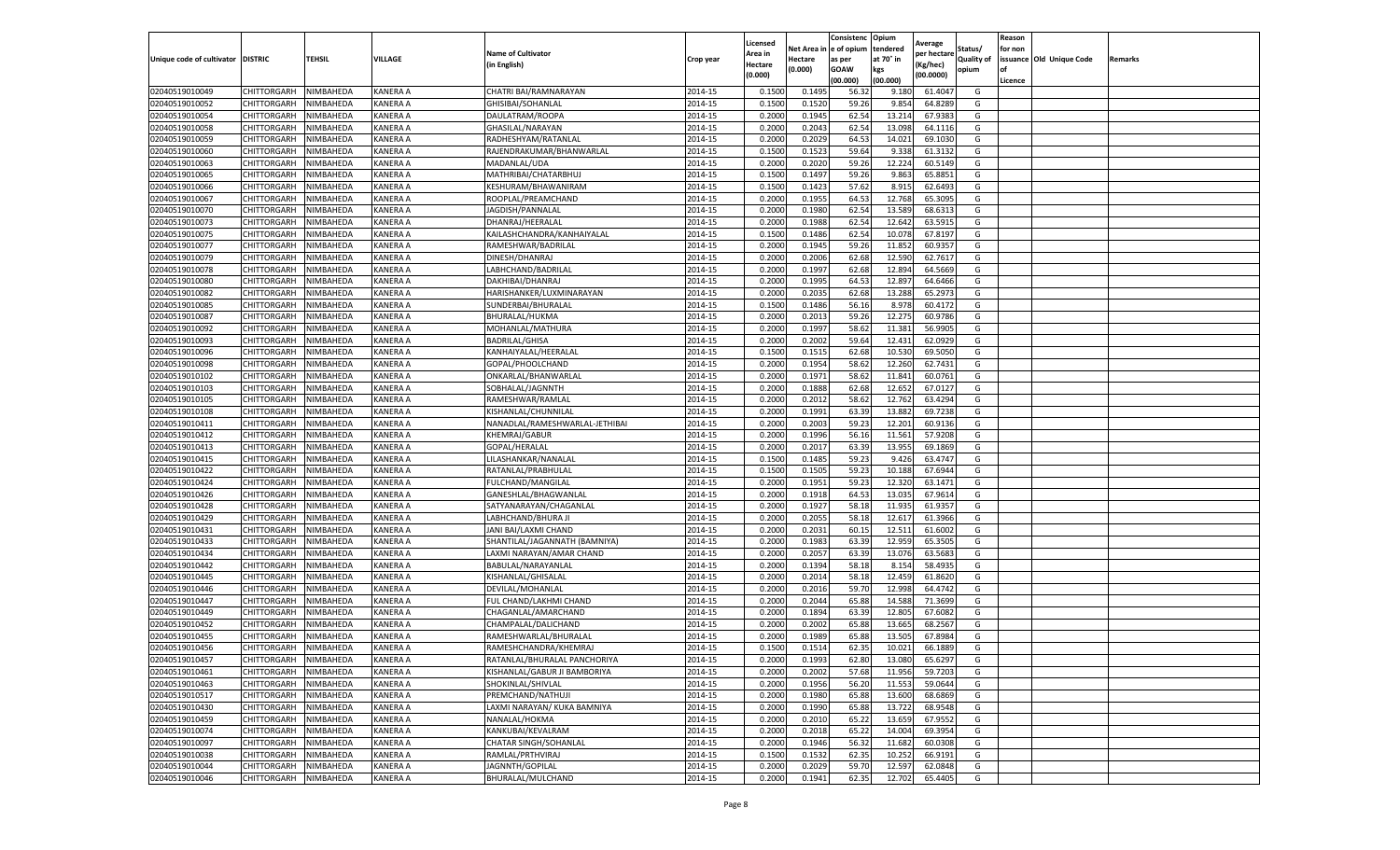|                                   |                            |           |                      |                                              |                    | Licensed       |                  | Consistenc     | Opium            |                        |                   | Reason  |                          |         |
|-----------------------------------|----------------------------|-----------|----------------------|----------------------------------------------|--------------------|----------------|------------------|----------------|------------------|------------------------|-------------------|---------|--------------------------|---------|
|                                   |                            |           |                      | <b>Name of Cultivator</b>                    |                    | Area in        | Net Area i       | e of opium     | tendered         | Average<br>per hectare | Status/           | for non |                          |         |
| Unique code of cultivator DISTRIC |                            | TEHSIL    | VILLAGE              | (in English)                                 | Crop year          | Hectare        | Hectare          | as per         | at 70° in        | (Kg/hec)               | <b>Quality of</b> |         | issuance Old Unique Code | Remarks |
|                                   |                            |           |                      |                                              |                    | (0.000)        | (0.000)          | <b>GOAW</b>    | kgs              | (00.0000)              | opium             | οf      |                          |         |
|                                   |                            |           |                      |                                              |                    |                |                  | (00.000        | (00.000)         |                        |                   | Licence |                          |         |
| 02040519010049                    | CHITTORGARH                | NIMBAHEDA | <b>KANERA A</b>      | CHATRI BAI/RAMNARAYAN                        | 2014-15            | 0.1500         | 0.149            | 56.3           | 9.180            | 61.4047                | G                 |         |                          |         |
| 02040519010052                    | CHITTORGARH                | NIMBAHEDA | <b>KANERA A</b>      | GHISIBAI/SOHANLAL                            | 2014-15            | 0.150          | 0.1520           | 59.26          | 9.854            | 64.8289                | G                 |         |                          |         |
| 02040519010054                    | CHITTORGARH                | NIMBAHEDA | KANERA A             | DAULATRAM/ROOPA                              | 2014-15            | 0.2000         | 0.1945           | 62.54          | 13.214           | 67.9383                | G                 |         |                          |         |
| 02040519010058                    | CHITTORGARH                | NIMBAHEDA | KANERA A             | GHASILAL/NARAYAN                             | 2014-15            | 0.2000         | 0.2043           | 62.54          | 13.098           | 64.1116                | G                 |         |                          |         |
| 02040519010059                    | CHITTORGARH                | NIMBAHEDA | <b>KANERA A</b>      | RADHESHYAM/RATANLAL                          | 2014-15            | 0.2000         | 0.2029           | 64.53          | 14.021           | 69.1030                | G                 |         |                          |         |
| 02040519010060                    | CHITTORGARH                | NIMBAHEDA | <b>KANERA A</b>      | RAJENDRAKUMAR/BHANWARLAL                     | 2014-15            | 0.1500         | 0.1523           | 59.64          | 9.338            | 61.3132                | G                 |         |                          |         |
| 02040519010063                    | CHITTORGARH                | NIMBAHEDA | <b>KANERA A</b>      | MADANLAL/UDA                                 | 2014-15            | 0.2000         | 0.2020           | 59.26          | 12.224           | 60.5149                | G                 |         |                          |         |
| 02040519010065                    | CHITTORGARH                | NIMBAHEDA | KANERA A             | MATHRIBAI/CHATARBHUJ                         | 2014-15            | 0.1500         | 0.1497           | 59.26          | 9.863            | 65.8851                | G                 |         |                          |         |
| 02040519010066                    | CHITTORGARH                | NIMBAHEDA | <b>KANERA A</b>      | KESHURAM/BHAWANIRAM                          | 2014-15            | 0.1500         | 0.1423           | 57.62          | 8.915            | 62.6493                | G                 |         |                          |         |
| 02040519010067                    | CHITTORGARH                | NIMBAHEDA | KANERA A             | ROOPLAL/PREAMCHAND                           | 2014-15            | 0.2000         | 0.1955           | 64.53          | 12.768           | 65.3095                | G                 |         |                          |         |
| 02040519010070                    | CHITTORGARH                | NIMBAHEDA | <b>KANERA A</b>      | JAGDISH/PANNALAL                             | 2014-15            | 0.2000         | 0.1980           | 62.54          | 13.589           | 68.6313                | G                 |         |                          |         |
| 02040519010073                    | CHITTORGARH                | NIMBAHEDA | <b>KANERA A</b>      | DHANRAJ/HEERALAL                             | 2014-15            | 0.2000         | 0.1988           | 62.54          | 12.642           | 63.591                 | G                 |         |                          |         |
| 02040519010075                    | CHITTORGARH                | NIMBAHEDA | <b>KANERA A</b>      | KAILASHCHANDRA/KANHAIYALAL                   | 2014-15            | 0.1500         | 0.1486           | 62.54          | 10.078           | 67.8197                | G                 |         |                          |         |
| 02040519010077                    | CHITTORGARH                | NIMBAHEDA | KANERA A             | RAMESHWAR/BADRILAL                           | 2014-15            | 0.200          | 0.1945           | 59.26          | 11.852           | 60.9357                | G                 |         |                          |         |
| 02040519010079                    | CHITTORGARH                | NIMBAHEDA | KANERA A             | DINESH/DHANRAJ                               | 2014-15            | 0.2000         | 0.2006           | 62.68          | 12.590           | 62.7617                | G                 |         |                          |         |
| 02040519010078                    | CHITTORGARH                | NIMBAHEDA | KANERA A             | LABHCHAND/BADRILAL                           | 2014-15            | 0.2000         | 0.1997           | 62.68          | 12.894           | 64.5669                | G                 |         |                          |         |
| 02040519010080                    | CHITTORGARH                | NIMBAHEDA | KANERA A             | DAKHIBAI/DHANRAJ                             | 2014-15            | 0.2000         | 0.1995           | 64.53          | 12.897           | 64.6466                | G                 |         |                          |         |
| 02040519010082                    | CHITTORGARH                | NIMBAHEDA | KANERA A             | HARISHANKER/LUXMINARAYAN                     | 2014-15            | 0.2000         | 0.2035           | 62.68          | 13.288           | 65.2973                | G                 |         |                          |         |
| 02040519010085                    | CHITTORGARH                | NIMBAHEDA | KANERA A             | SUNDERBAI/BHURALAL                           | 2014-15            | 0.1500         | 0.1486           | 56.16          | 8.978            | 60.4172                | G                 |         |                          |         |
| 02040519010087                    | CHITTORGARH                | NIMBAHEDA | <b>KANERA A</b>      | BHURALAL/HUKMA                               | 2014-15            | 0.2000         | 0.2013           | 59.26          | 12.275           | 60.9786                | G                 |         |                          |         |
| 02040519010092                    | CHITTORGARH                | NIMBAHEDA | KANERA A             | MOHANLAL/MATHURA                             | 2014-15            | 0.2000         | 0.1997           | 58.62          | 11.381           | 56.9905                | G                 |         |                          |         |
| 02040519010093                    | CHITTORGARH                | NIMBAHEDA | KANERA A             | <b>BADRILAL/GHISA</b>                        | 2014-15            | 0.2000         | 0.2002           | 59.64          | 12.431           | 62.0929                | G                 |         |                          |         |
| 02040519010096                    | CHITTORGARH                | NIMBAHEDA | <b>KANERA A</b>      | KANHAIYALAL/HEERALAI                         | 2014-15            | 0.1500         | 0.1515           | 62.68          | 10.530           | 69.5050                | G                 |         |                          |         |
| 02040519010098                    | CHITTORGARH                | NIMBAHEDA | KANERA A             | GOPAL/PHOOLCHAND                             | 2014-15            | 0.2000         | 0.1954           | 58.62          | 12.260           | 62.7431                | G                 |         |                          |         |
| 02040519010102                    | CHITTORGARH                | NIMBAHEDA | KANERA A             | ONKARLAL/BHANWARLAL                          | 2014-15            | 0.2000         | 0.1971           | 58.62          | 11.841           | 60.0761                | G                 |         |                          |         |
| 02040519010103                    | CHITTORGARH                | NIMBAHEDA | <b>KANERA A</b>      | SOBHALAL/JAGNNTH                             | 2014-15            | 0.2000         | 0.1888           | 62.68          | 12.652           | 67.0127                | G                 |         |                          |         |
| 02040519010105                    | CHITTORGARH                | NIMBAHEDA | KANERA A             | RAMESHWAR/RAMLAL                             | 2014-15            | 0.2000         | 0.2012           | 58.62          | 12.762           | 63.4294                | G                 |         |                          |         |
| 02040519010108                    | CHITTORGARH                | NIMBAHEDA | KANERA A             | KISHANLAL/CHUNNILAL                          | 2014-15            | 0.2000         | 0.1991           | 63.39          | 13.882           | 69.7238                | G                 |         |                          |         |
| 02040519010411                    | CHITTORGARH                | NIMBAHEDA | KANERA A             | NANADLAL/RAMESHWARLAL-JETHIBAI               | 2014-15            | 0.2000         | 0.2003           | 59.23          | 12.201           | 60.9136                | G                 |         |                          |         |
| 02040519010412                    | CHITTORGARH                | NIMBAHEDA | KANERA A             | KHEMRAJ/GABUR                                | 2014-15            | 0.2000         | 0.1996           | 56.16          | 11.561           | 57.9208                | G                 |         |                          |         |
| 02040519010413                    | CHITTORGARH                | NIMBAHEDA | KANERA A             | GOPAL/HERALAL                                | 2014-15            | 0.2000         | 0.2017           | 63.39          | 13.955           | 69.1869                | G                 |         |                          |         |
| 02040519010415                    | CHITTORGARH                | NIMBAHEDA | <b>KANERA A</b>      | LILASHANKAR/NANALAL                          | 2014-15            | 0.1500         | 0.1485           | 59.23          | 9.426            | 63.4747                | G                 |         |                          |         |
| 02040519010422                    | CHITTORGARH                | NIMBAHEDA | KANERA A             | RATANLAL/PRABHULAL                           | 2014-15            | 0.1500         | 0.1505           | 59.23          | 10.188           | 67.6944                | G                 |         |                          |         |
| 02040519010424                    | CHITTORGARH                | NIMBAHEDA | KANERA A             | FULCHAND/MANGILAL                            | 2014-15            | 0.2000         | 0.1951           | 59.23          | 12.320           | 63.1471                | G                 |         |                          |         |
| 02040519010426                    | CHITTORGARH                | NIMBAHEDA | KANERA A             | GANESHLAL/BHAGWANLAL                         | 2014-15            | 0.2000         | 0.1918           | 64.53          | 13.035           | 67.9614                | G                 |         |                          |         |
| 02040519010428                    | CHITTORGARH                | NIMBAHEDA | KANERA A             | SATYANARAYAN/CHAGANLAL                       | 2014-15            | 0.2000         | 0.1927           | 58.18          | 11.935           | 61.9357                | G                 |         |                          |         |
| 02040519010429                    | CHITTORGARH                | NIMBAHEDA | <b>KANERA A</b>      | LABHCHAND/BHURA JI                           | 2014-15            | 0.2000         | 0.2055           | 58.18          | 12.617           | 61.3966                | G                 |         |                          |         |
| 02040519010431                    | CHITTORGARH                | NIMBAHEDA | KANERA A             | JANI BAI/LAXMI CHAND                         | 2014-15            | 0.2000         | 0.2031           | 60.1           | 12.511           | 61.6002                | G                 |         |                          |         |
| 02040519010433                    | CHITTORGARH                | NIMBAHEDA | KANERA A             | SHANTILAL/JAGANNATH (BAMNIYA)                | 2014-15            | 0.2000         | 0.1983           | 63.39          | 12.959           | 65.3505                | G                 |         |                          |         |
| 02040519010434                    | CHITTORGARH                | NIMBAHEDA | KANERA A             | LAXMI NARAYAN/AMAR CHAND                     | 2014-15            | 0.2000         | 0.2057           | 63.39          | 13.076           | 63.5683                | G                 |         |                          |         |
| 02040519010442                    | CHITTORGARH                | NIMBAHEDA | KANERA A             | BABULAL/NARAYANLAL                           | 2014-15            | 0.2000         | 0.1394           | 58.18          | 8.154            | 58.4935                | G                 |         |                          |         |
| 02040519010445                    | CHITTORGARH                | NIMBAHEDA | KANERA A             | KISHANLAL/GHISALAL                           | 2014-15            | 0.2000         | 0.2014           | 58.18          | 12.459           | 61.8620                | G                 |         |                          |         |
| 02040519010446                    | CHITTORGARH                | NIMBAHEDA | <b>KANERA A</b>      | DEVILAL/MOHANLAL                             | 2014-15            | 0.2000         | 0.2016           | 59.70          | 12.998           | 64.4742                | G                 |         |                          |         |
| 02040519010447                    | CHITTORGARH                | NIMBAHEDA | KANERA A             | FUL CHAND/LAKHMI CHAND                       | 2014-15            | 0.2000         | 0.2044           | 65.88          | 14.588           | 71.3699                | G                 |         |                          |         |
| 02040519010449                    | CHITTORGARH                | NIMBAHEDA | <b>KANERA A</b>      | CHAGANLAL/AMARCHAND                          | 2014-15            | 0.2000         | 0.1894           | 63.39          | 12.805           | 67.6082                | G                 |         |                          |         |
| 02040519010452                    |                            |           |                      |                                              |                    |                |                  |                |                  |                        |                   |         |                          |         |
| 02040519010455                    | CHITTORGARH<br>CHITTORGARH | NIMBAHEDA | KANERA A<br>KANERA A | CHAMPALAL/DALICHAND<br>RAMESHWARLAL/BHURALAL | 2014-15<br>2014-15 | 0.200<br>0.200 | 0.2002<br>0.1989 | 65.88<br>65.88 | 13.665<br>13.505 | 68.2567<br>67.8984     | G<br>G            |         |                          |         |
|                                   |                            | NIMBAHEDA |                      |                                              |                    |                |                  |                |                  |                        |                   |         |                          |         |
| 02040519010456                    | CHITTORGARH                | NIMBAHEDA | KANERA A             | RAMESHCHANDRA/KHEMRAJ                        | 2014-15            | 0.1500         | 0.1514           | 62.35          | 10.021           | 66.1889                | G                 |         |                          |         |
| 02040519010457                    | CHITTORGARH                | NIMBAHEDA | KANERA A             | RATANLAL/BHURALAL PANCHORIYA                 | 2014-15            | 0.2000         | 0.1993           | 62.80          | 13.080           | 65.6297                | G                 |         |                          |         |
| 02040519010461                    | CHITTORGARH                | NIMBAHEDA | KANERA A             | KISHANLAL/GABUR JI BAMBORIYA                 | 2014-15            | 0.2000         | 0.2002           | 57.68          | 11.956           | 59.7203                | G                 |         |                          |         |
| 02040519010463                    | CHITTORGARH                | NIMBAHEDA | KANERA A             | SHOKINLAL/SHIVLAL                            | 2014-15            | 0.2000         | 0.1956           | 56.20          | 11.553           | 59.0644                | G                 |         |                          |         |
| 02040519010517                    | CHITTORGARH                | NIMBAHEDA | KANERA A             | PREMCHAND/NATHUJI                            | 2014-15            | 0.2000         | 0.1980           | 65.88          | 13.600           | 68.6869                | G                 |         |                          |         |
| 02040519010430                    | CHITTORGARH                | NIMBAHEDA | KANERA A             | LAXMI NARAYAN/ KUKA BAMNIYA                  | 2014-15            | 0.2000         | 0.1990           | 65.88          | 13.722           | 68.9548                | G                 |         |                          |         |
| 02040519010459                    | CHITTORGARH                | NIMBAHEDA | <b>KANERA A</b>      | NANALAL/HOKMA                                | 2014-15            | 0.2000         | 0.2010           | 65.22          | 13.659           | 67.9552                | G                 |         |                          |         |
| 02040519010074                    | CHITTORGARH                | NIMBAHEDA | KANERA A             | KANKUBAI/KEVALRAM                            | 2014-15            | 0.2000         | 0.2018           | 65.22          | 14.004           | 69.3954                | G                 |         |                          |         |
| 02040519010097                    | CHITTORGARH                | NIMBAHEDA | KANERA A             | <b>CHATAR SINGH/SOHANLAL</b>                 | 2014-15            | 0.2000         | 0.1946           | 56.32          | 11.682           | 60.0308                | G                 |         |                          |         |
| 02040519010038                    | CHITTORGARH                | NIMBAHEDA | KANERA A             | RAMLAL/PRTHVIRAJ                             | 2014-15            | 0.1500         | 0.1532           | 62.35          | 10.252           | 66.9191                | G                 |         |                          |         |
| 02040519010044                    | CHITTORGARH                | NIMBAHEDA | KANERA A             | JAGNNTH/GOPILAL                              | 2014-15            | 0.2000         | 0.2029           | 59.70          | 12.597           | 62.0848                | G                 |         |                          |         |
| 02040519010046                    | CHITTORGARH                | NIMBAHEDA | <b>KANERA A</b>      | BHURALAL/MULCHAND                            | 2014-15            | 0.2000         | 0.1941           | 62.35          | 12.702           | 65.4405                | G                 |         |                          |         |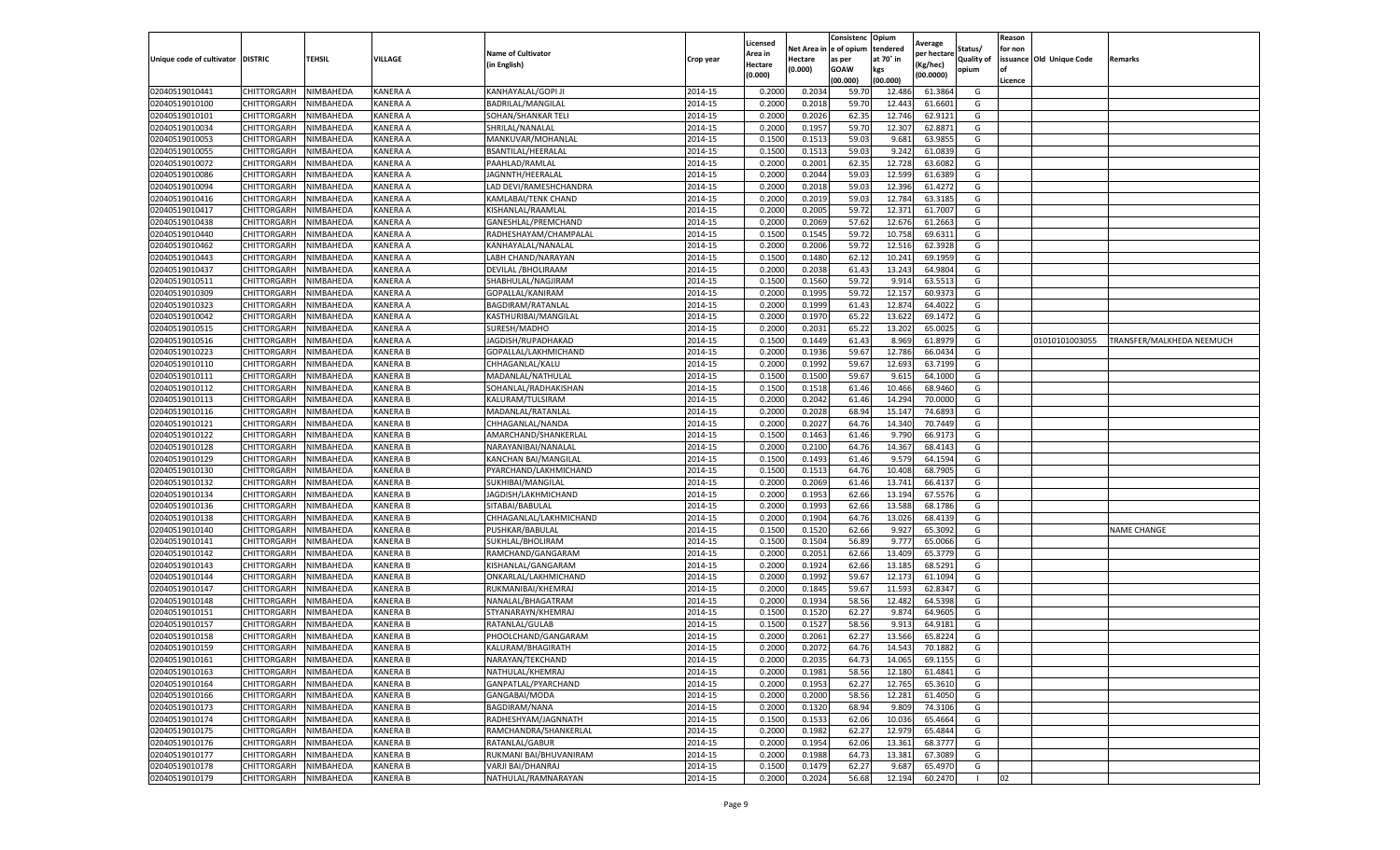|                                  |                    |           |                 |                                         |           | Licensed |         | Consistenc             | Opium     |                        |                   | Reason  |                          |                           |
|----------------------------------|--------------------|-----------|-----------------|-----------------------------------------|-----------|----------|---------|------------------------|-----------|------------------------|-------------------|---------|--------------------------|---------------------------|
|                                  |                    |           |                 | <b>Name of Cultivator</b>               |           | Area in  |         | Net Area in e of opium | tendered  | Average<br>per hectare | Status/           | for non |                          |                           |
| Unique code of cultivator        | <b>DISTRIC</b>     | TEHSIL    | VILLAGE         | in English)                             | Crop year | Hectare  | Hectare | as per                 | at 70° in | (Kg/hec                | <b>Quality of</b> |         | issuance Old Unique Code | <b>Remarks</b>            |
|                                  |                    |           |                 |                                         |           | (0.000)  | (0.000) | <b>GOAW</b>            | kgs       | (00.0000)              | opium             |         |                          |                           |
|                                  |                    |           |                 |                                         |           |          |         | (00.000)               | (00.000)  |                        |                   | Licence |                          |                           |
| 02040519010441                   | CHITTORGARH        | NIMBAHEDA | KANERA A        | KANHAYALAL/GOPI JI                      | 2014-15   | 0.2000   | 0.2034  | 59.70                  | 12.486    | 61.3864                | G                 |         |                          |                           |
| 02040519010100                   | CHITTORGARH        | NIMBAHEDA | KANERA A        | BADRILAL/MANGILAL                       | 2014-15   | 0.2000   | 0.2018  | 59.70                  | 12.44     | 61.6601                | G                 |         |                          |                           |
| 02040519010101                   | CHITTORGARH        | NIMBAHEDA | KANERA A        | SOHAN/SHANKAR TELI                      | 2014-15   | 0.2000   | 0.2026  | 62.35                  | 12.746    | 62.9121                | G                 |         |                          |                           |
| 02040519010034                   | CHITTORGARH        | NIMBAHEDA | KANERA A        | SHRILAL/NANALAL                         | 2014-15   | 0.2000   | 0.1957  | 59.70                  | 12.307    | 62.8871                | G                 |         |                          |                           |
| 02040519010053                   | <b>CHITTORGARH</b> | NIMBAHEDA | KANERA A        | MANKUVAR/MOHANLAL                       | 2014-15   | 0.1500   | 0.1513  | 59.03                  | 9.681     | 63.9855                | G                 |         |                          |                           |
| 02040519010055                   | CHITTORGARH        | NIMBAHEDA | KANERA A        | BSANTILAL/HEERALAL                      | 2014-15   | 0.1500   | 0.1513  | 59.03                  | 9.242     | 61.0839                | G                 |         |                          |                           |
| 02040519010072                   | CHITTORGARH        | NIMBAHEDA | KANERA A        | PAAHLAD/RAMLAL                          | 2014-15   | 0.2000   | 0.2001  | 62.35                  | 12.728    | 63.6082                | G                 |         |                          |                           |
| 02040519010086                   | CHITTORGARH        | NIMBAHEDA | KANERA A        | JAGNNTH/HEERALAL                        | 2014-15   | 0.2000   | 0.2044  | 59.03                  | 12.599    | 61.6389                | G                 |         |                          |                           |
| 02040519010094                   | CHITTORGARH        | NIMBAHEDA | KANERA A        | LAD DEVI/RAMESHCHANDRA                  | 2014-15   | 0.2000   | 0.2018  | 59.03                  | 12.39     | 61.4272                | G                 |         |                          |                           |
| 02040519010416                   | CHITTORGARH        | NIMBAHEDA | KANERA A        | KAMLABAI/TENK CHAND                     | 2014-15   | 0.2000   | 0.2019  | 59.03                  | 12.784    | 63.3185                | G                 |         |                          |                           |
| 02040519010417                   | CHITTORGARH        | NIMBAHEDA | KANERA A        | KISHANLAL/RAAMLAL                       | 2014-15   | 0.2000   | 0.2005  | 59.72                  | 12.37     | 61.7007                | G                 |         |                          |                           |
| 02040519010438                   | CHITTORGARH        | NIMBAHEDA | KANERA A        | GANESHLAL/PREMCHAND                     | 2014-15   | 0.2000   | 0.2069  | 57.62                  | 12.67     | 61.2663                | G                 |         |                          |                           |
| 02040519010440                   | CHITTORGARH        | NIMBAHEDA | KANERA A        | RADHESHAYAM/CHAMPALAI                   | 2014-15   | 0.1500   | 0.1545  | 59.72                  | 10.75     | 69.6311                | G                 |         |                          |                           |
| 02040519010462                   | CHITTORGARH        | NIMBAHEDA | KANERA A        | KANHAYALAL/NANALAL                      | 2014-15   | 0.2000   | 0.2006  | 59.72                  | 12.51     | 62.3928                | G                 |         |                          |                           |
| 02040519010443                   | CHITTORGARH        | NIMBAHEDA | KANERA A        | LABH CHAND/NARAYAN                      | 2014-15   | 0.1500   | 0.1480  | 62.12                  | 10.241    | 69.1959                | G                 |         |                          |                           |
| 02040519010437                   | CHITTORGARH        | NIMBAHEDA | KANERA A        | DEVILAL / BHOLIRAAM                     | 2014-15   | 0.2000   | 0.2038  | 61.43                  | 13.24     | 64.9804                | G                 |         |                          |                           |
| 02040519010511                   | CHITTORGARH        | NIMBAHEDA | KANERA A        | SHABHULAL/NAGJIRAM                      | 2014-15   | 0.1500   | 0.1560  | 59.72                  | 9.91      | 63.5513                | G                 |         |                          |                           |
| 02040519010309                   | CHITTORGARH        | NIMBAHEDA | KANERA A        | GOPALLAL/KANIRAM                        | 2014-15   | 0.2000   | 0.1995  | 59.72                  | 12.15     | 60.937                 | G                 |         |                          |                           |
| 02040519010323                   | CHITTORGARH        | NIMBAHEDA | KANERA A        | BAGDIRAM/RATANLAL                       | 2014-15   | 0.2000   | 0.1999  | 61.43                  | 12.87     | 64.4022                | G                 |         |                          |                           |
| 02040519010042                   | CHITTORGARH        | NIMBAHEDA | KANERA A        | KASTHURIBAI/MANGILAL                    | 2014-15   | 0.2000   | 0.1970  | 65.22                  | 13.62     | 69.1472                | G                 |         |                          |                           |
| 02040519010515                   | CHITTORGARH        | NIMBAHEDA | KANERA A        | SURESH/MADHO                            | 2014-15   | 0.2000   | 0.2031  | 65.22                  | 13.202    | 65.0025                | G                 |         |                          |                           |
| 02040519010516                   | CHITTORGARH        | NIMBAHEDA | KANERA A        | JAGDISH/RUPADHAKAD                      | 2014-15   | 0.1500   | 0.1449  | 61.43                  | 8.969     | 61.8979                | G                 |         | 01010101003055           | TRANSFER/MALKHEDA NEEMUCH |
| 02040519010223                   | CHITTORGARH        | NIMBAHEDA | <b>KANERA B</b> | GOPALLAL/LAKHMICHAND                    | 2014-15   | 0.2000   | 0.1936  | 59.67                  | 12.786    | 66.0434                | G                 |         |                          |                           |
| 02040519010110                   | CHITTORGARH        | NIMBAHEDA | <b>KANERA B</b> | CHHAGANLAL/KALU                         | 2014-15   | 0.2000   | 0.1992  | 59.67                  | 12.693    | 63.7199                | G                 |         |                          |                           |
| 02040519010111                   | CHITTORGARH        | NIMBAHEDA | KANERA B        | MADANLAL/NATHULAL                       | 2014-15   | 0.1500   | 0.1500  | 59.67                  | 9.615     | 64.1000                | G                 |         |                          |                           |
| 02040519010112                   | CHITTORGARH        | NIMBAHEDA | <b>KANERA B</b> | SOHANLAL/RADHAKISHAN                    | 2014-15   | 0.1500   | 0.1518  | 61.46                  | 10.466    | 68.9460                | G                 |         |                          |                           |
| 02040519010113                   | CHITTORGARH        | NIMBAHEDA | <b>KANERA B</b> | KALURAM/TULSIRAM                        | 2014-15   | 0.2000   | 0.2042  | 61.46                  | 14.294    | 70.0000                | G                 |         |                          |                           |
| 02040519010116                   | CHITTORGARH        | NIMBAHEDA | <b>KANERA B</b> | MADANLAL/RATANLAL                       | 2014-15   | 0.2000   | 0.2028  | 68.94                  | 15.147    | 74.6893                | G                 |         |                          |                           |
| 02040519010121                   | CHITTORGARH        | NIMBAHEDA | <b>KANERA B</b> | CHHAGANLAL/NANDA                        | 2014-15   | 0.2000   | 0.2027  | 64.76                  | 14.340    | 70.7449                | G                 |         |                          |                           |
| 02040519010122                   | CHITTORGARH        | NIMBAHEDA | <b>KANERA B</b> | AMARCHAND/SHANKERLAL                    | 2014-15   | 0.1500   | 0.1463  | 61.46                  | 9.790     | 66.9173                | G                 |         |                          |                           |
| 02040519010128                   | CHITTORGARH        | NIMBAHEDA | KANERA B        | NARAYANIBAI/NANALAL                     | 2014-15   | 0.2000   | 0.2100  | 64.76                  | 14.36     | 68.4143                | G                 |         |                          |                           |
| 02040519010129                   | CHITTORGARH        | NIMBAHEDA | KANERA B        | KANCHAN BAI/MANGILAI                    | 2014-15   | 0.1500   | 0.1493  | 61.46                  | 9.579     | 64.1594                | G                 |         |                          |                           |
| 02040519010130                   | CHITTORGARH        | NIMBAHEDA | <b>KANERA B</b> | PYARCHAND/LAKHMICHAND                   | 2014-15   | 0.1500   | 0.1513  | 64.76                  | 10.40     | 68.7905                | G                 |         |                          |                           |
| 02040519010132                   | CHITTORGARH        | NIMBAHEDA | KANERA B        | SUKHIBAI/MANGILAL                       | 2014-15   | 0.2000   | 0.2069  | 61.46                  | 13.741    | 66.4137                | G                 |         |                          |                           |
| 02040519010134                   | CHITTORGARH        | NIMBAHEDA | <b>KANERA B</b> | JAGDISH/LAKHMICHAND                     | 2014-15   | 0.2000   | 0.1953  | 62.66                  | 13.194    | 67.5576                | G                 |         |                          |                           |
| 02040519010136                   | CHITTORGARH        | NIMBAHEDA | KANERA B        | SITABAI/BABULAL                         | 2014-15   | 0.2000   | 0.1993  | 62.66                  | 13.588    | 68.1786                | G                 |         |                          |                           |
| 02040519010138                   | CHITTORGARH        | NIMBAHEDA | <b>KANERA B</b> | CHHAGANLAL/LAKHMICHAND                  | 2014-15   | 0.2000   | 0.1904  | 64.76                  | 13.026    | 68.4139                | G                 |         |                          |                           |
| 02040519010140                   | CHITTORGARH        | NIMBAHEDA | KANERA B        | PUSHKAR/BABULAI                         | 2014-15   | 0.1500   | 0.1520  | 62.66                  | 9.92      | 65.3092                | G                 |         |                          | <b>NAME CHANGE</b>        |
| 02040519010141                   | CHITTORGARH        | NIMBAHEDA | <b>KANERA B</b> | SUKHLAL/BHOLIRAN                        | 2014-15   | 0.1500   | 0.1504  | 56.89                  | 9.777     | 65.0066                | G                 |         |                          |                           |
| 02040519010142                   | CHITTORGARH        | NIMBAHEDA | <b>KANERA B</b> | RAMCHAND/GANGARAM                       | 2014-15   | 0.2000   | 0.2051  | 62.66                  | 13.409    | 65.3779                | G                 |         |                          |                           |
| 02040519010143                   | CHITTORGARH        | NIMBAHEDA | KANERA B        | KISHANLAL/GANGARAM                      | 2014-15   | 0.2000   | 0.1924  | 62.66                  | 13.18     | 68.5291                | G                 |         |                          |                           |
| 02040519010144                   | CHITTORGARH        | NIMBAHEDA | <b>KANERA B</b> | ONKARLAL/LAKHMICHAND                    | 2014-15   | 0.2000   | 0.1992  | 59.67                  | 12.173    | 61.1094                | G                 |         |                          |                           |
| 02040519010147                   | CHITTORGARH        | NIMBAHEDA | <b>KANERA B</b> | RUKMANIBAI/KHEMRAJ                      | 2014-15   | 0.2000   | 0.1845  | 59.67                  | 11.593    | 62.8347                | G                 |         |                          |                           |
| 02040519010148                   | CHITTORGARH        | NIMBAHEDA | KANERA B        | NANALAL/BHAGATRAM                       | 2014-15   | 0.2000   | 0.1934  | 58.56                  | 12.482    | 64.5398                | G                 |         |                          |                           |
| 02040519010151                   | CHITTORGARH        | NIMBAHEDA | <b>KANERA B</b> | STYANARAYN/KHEMRAJ                      | 2014-15   | 0.1500   | 0.1520  | 62.27                  | 9.874     | 64.9605                | G                 |         |                          |                           |
| 02040519010157                   | CHITTORGARH        | NIMBAHEDA | <b>KANERA B</b> | RATANLAL/GULAB                          | 2014-15   | 0.1500   | 0.1527  | 58.56                  | 9.91      | 64.9181                | G                 |         |                          |                           |
| 02040519010158                   | CHITTORGARH        | NIMBAHEDA | <b>KANERA B</b> | PHOOLCHAND/GANGARAM                     | 2014-15   | 0.2000   | 0.2061  | 62.27                  | 13.566    | 65.8224                | G                 |         |                          |                           |
| 02040519010159                   | CHITTORGARH        | NIMBAHEDA | KANERA B        | KALURAM/BHAGIRATH                       | 2014-15   | 0.2000   | 0.2072  | 64.76                  | 14.543    | 70.1882                | G                 |         |                          |                           |
| 02040519010161                   | CHITTORGARH        | NIMBAHEDA | <b>KANERA B</b> | NARAYAN/TEKCHAND                        | 2014-15   | 0.2000   | 0.2035  | 64.73                  | 14.065    | 69.1155                | G                 |         |                          |                           |
|                                  | CHITTORGARH        | NIMBAHEDA | KANERA B        |                                         | 2014-15   | 0.2000   | 0.1981  | 58.56                  | 12.180    | 61.4841                | G                 |         |                          |                           |
| 02040519010163<br>02040519010164 | <b>CHITTORGARH</b> | NIMBAHEDA | <b>KANERA B</b> | NATHULAL/KHEMRAJ<br>GANPATLAL/PYARCHAND | 2014-15   | 0.2000   | 0.1953  | 62.27                  | 12.765    | 65.3610                | G                 |         |                          |                           |
|                                  |                    |           |                 |                                         |           |          |         |                        |           |                        |                   |         |                          |                           |
| 02040519010166                   | CHITTORGARH        | NIMBAHEDA | <b>KANERA B</b> | GANGABAI/MODA                           | 2014-15   | 0.2000   | 0.2000  | 58.56                  | 12.281    | 61.4050                | G                 |         |                          |                           |
| 02040519010173                   | <b>CHITTORGARH</b> | NIMBAHEDA | KANERA B        | <b>BAGDIRAM/NANA</b>                    | 2014-15   | 0.2000   | 0.1320  | 68.94                  | 9.809     | 74.3106                | G                 |         |                          |                           |
| 02040519010174                   | <b>CHITTORGARH</b> | NIMBAHEDA | <b>KANERA B</b> | RADHESHYAM/JAGNNATH                     | 2014-15   | 0.1500   | 0.1533  | 62.06                  | 10.036    | 65.4664                | G                 |         |                          |                           |
| 02040519010175                   | CHITTORGARH        | NIMBAHEDA | KANERA B        | RAMCHANDRA/SHANKERLAL                   | 2014-15   | 0.2000   | 0.1982  | 62.27                  | 12.979    | 65.4844                | G                 |         |                          |                           |
| 02040519010176                   | <b>CHITTORGARH</b> | NIMBAHEDA | KANERA B        | RATANLAL/GABUR                          | 2014-15   | 0.2000   | 0.1954  | 62.06                  | 13.361    | 68.3777                | G                 |         |                          |                           |
| 02040519010177                   | CHITTORGARH        | NIMBAHEDA | <b>KANERA B</b> | RUKMANI BAI/BHUVANIRAM                  | 2014-15   | 0.2000   | 0.1988  | 64.73                  | 13.381    | 67.3089                | G                 |         |                          |                           |
| 02040519010178                   | CHITTORGARH        | NIMBAHEDA | KANERA B        | VARJI BAI/DHANRAJ                       | 2014-15   | 0.1500   | 0.1479  | 62.27                  | 9.687     | 65.4970                | G                 |         |                          |                           |
| 02040519010179                   | <b>CHITTORGARH</b> | NIMBAHEDA | <b>KANERA B</b> | NATHULAL/RAMNARAYAN                     | 2014-15   | 0.2000   | 0.2024  | 56.68                  | 12.194    | 60.2470                | $\mathbf{L}$      | 02      |                          |                           |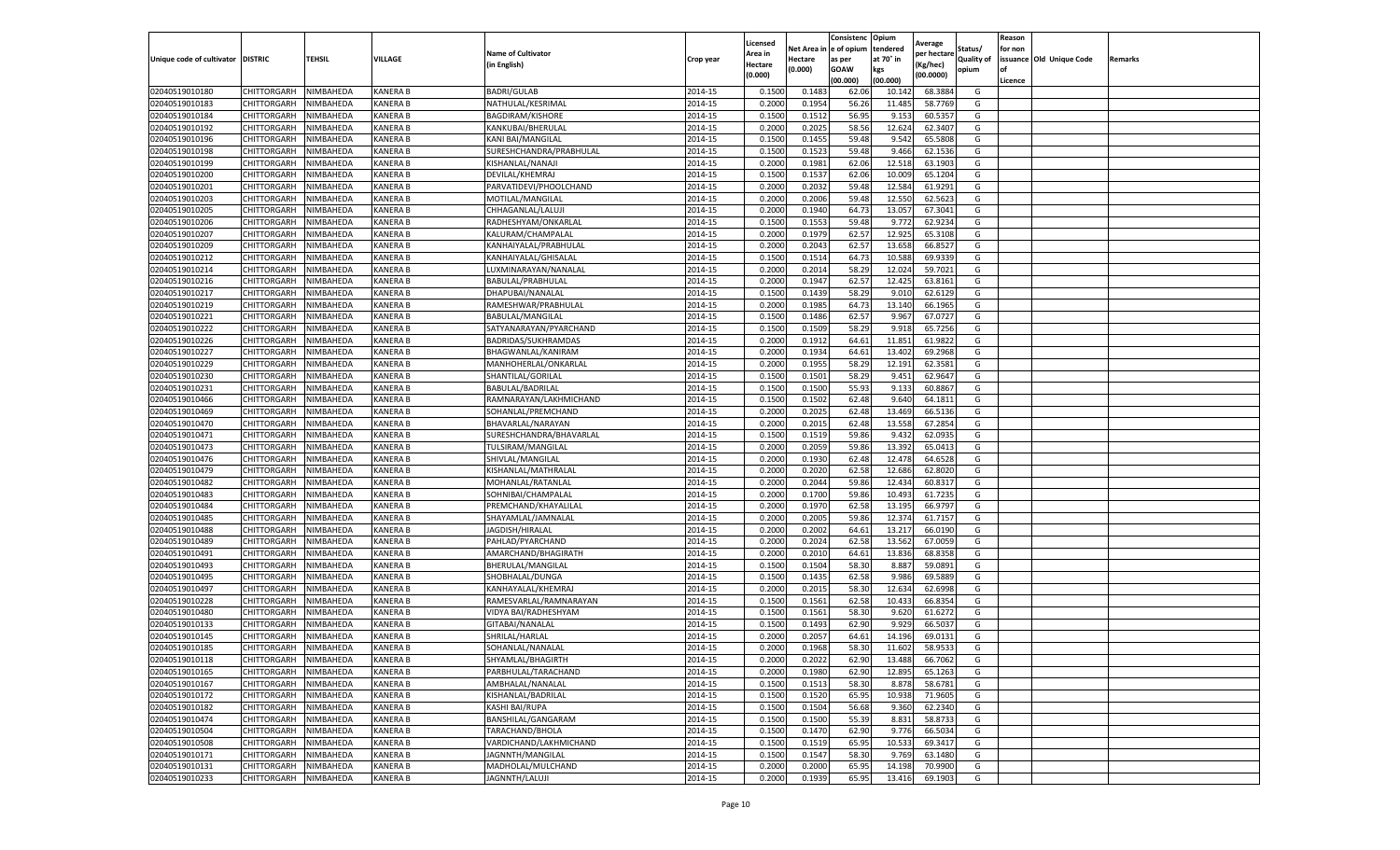|                                   |             |           |                 |                           |           | Licensed |            | Consistenc  | Opium     |                        |                   | Reason  |                          |         |
|-----------------------------------|-------------|-----------|-----------------|---------------------------|-----------|----------|------------|-------------|-----------|------------------------|-------------------|---------|--------------------------|---------|
|                                   |             |           |                 | <b>Name of Cultivator</b> |           | Area in  | Net Area i | e of opium  | tendered  | Average<br>per hectare | Status/           | for non |                          |         |
| Unique code of cultivator DISTRIC |             | TEHSIL    | VILLAGE         | (in English)              | Crop year | Hectare  | Hectare    | as per      | at 70° in | Kg/hec)                | <b>Quality of</b> |         | issuance Old Unique Code | Remarks |
|                                   |             |           |                 |                           |           | (0.000)  | (0.000)    | <b>GOAW</b> | kgs       | (00.0000)              | opium             |         |                          |         |
|                                   |             |           |                 |                           |           |          |            | (00.000     | (00.000)  |                        |                   | Licence |                          |         |
| 02040519010180                    | CHITTORGARH | NIMBAHEDA | <b>KANERA B</b> | <b>BADRI/GULAB</b>        | 2014-15   | 0.1500   | 0.148      | 62.06       | 10.142    | 68.3884                | G                 |         |                          |         |
| 02040519010183                    | CHITTORGARH | NIMBAHEDA | <b>KANERA B</b> | NATHULAL/KESRIMAL         | 2014-15   | 0.200    | 0.1954     | 56.26       | 11.485    | 58.7769                | G                 |         |                          |         |
| 02040519010184                    | CHITTORGARH | NIMBAHEDA | <b>KANERA B</b> | <b>BAGDIRAM/KISHORE</b>   | 2014-15   | 0.1500   | 0.1512     | 56.95       | 9.153     | 60.5357                | G                 |         |                          |         |
| 02040519010192                    | CHITTORGARH | NIMBAHEDA | <b>KANERA B</b> | KANKUBAI/BHERULAL         | 2014-15   | 0.2000   | 0.2025     | 58.56       | 12.624    | 62.3407                | G                 |         |                          |         |
| 02040519010196                    | CHITTORGARH | NIMBAHEDA | <b>KANERA B</b> | KANI BAI/MANGILAL         | 2014-15   | 0.1500   | 0.1455     | 59.48       | 9.542     | 65.5808                | G                 |         |                          |         |
| 02040519010198                    | CHITTORGARH | NIMBAHEDA | <b>KANERA B</b> | SURESHCHANDRA/PRABHULAL   | 2014-15   | 0.1500   | 0.1523     | 59.48       | 9.466     | 62.1536                | G                 |         |                          |         |
| 02040519010199                    | CHITTORGARH | NIMBAHEDA | <b>KANERA B</b> | KISHANLAL/NANAJI          | 2014-15   | 0.2000   | 0.1981     | 62.06       | 12.518    | 63.1903                | G                 |         |                          |         |
| 02040519010200                    | CHITTORGARH | NIMBAHEDA | KANERA B        | DEVILAL/KHEMRAJ           | 2014-15   | 0.1500   | 0.1537     | 62.06       | 10.009    | 65.1204                | G                 |         |                          |         |
| 02040519010201                    | CHITTORGARH | NIMBAHEDA | <b>KANERA B</b> | PARVATIDEVI/PHOOLCHAND    | 2014-15   | 0.2000   | 0.2032     | 59.48       | 12.584    | 61.9291                | G                 |         |                          |         |
| 02040519010203                    | CHITTORGARH | NIMBAHEDA | KANERA B        | MOTILAL/MANGILAL          | 2014-15   | 0.2000   | 0.2006     | 59.48       | 12.550    | 62.5623                | G                 |         |                          |         |
| 02040519010205                    | CHITTORGARH | NIMBAHEDA | <b>KANERA B</b> | CHHAGANLAL/LALUJI         | 2014-15   | 0.2000   | 0.1940     | 64.73       | 13.057    | 67.3041                | G                 |         |                          |         |
| 02040519010206                    | CHITTORGARH | NIMBAHEDA | <b>KANERA B</b> | RADHESHYAM/ONKARLAL       | 2014-15   | 0.1500   | 0.1553     | 59.48       | 9.772     | 62.9234                | G                 |         |                          |         |
| 02040519010207                    | CHITTORGARH | NIMBAHEDA | <b>KANERA B</b> | KALURAM/CHAMPALAL         | 2014-15   | 0.2000   | 0.1979     | 62.57       | 12.925    | 65.3108                | G                 |         |                          |         |
| 02040519010209                    | CHITTORGARH | NIMBAHEDA | <b>KANERA B</b> | KANHAIYALAL/PRABHULAI     | 2014-15   | 0.200    | 0.2043     | 62.57       | 13.658    | 66.8527                | G                 |         |                          |         |
| 02040519010212                    | CHITTORGARH | NIMBAHEDA | <b>KANERA B</b> | KANHAIYALAL/GHISALAL      | 2014-15   | 0.1500   | 0.1514     | 64.73       | 10.588    | 69.9339                | G                 |         |                          |         |
| 02040519010214                    | CHITTORGARH | NIMBAHEDA | <b>KANERA B</b> | LUXMINARAYAN/NANALAL      | 2014-15   | 0.2000   | 0.2014     | 58.29       | 12.024    | 59.7021                | G                 |         |                          |         |
| 02040519010216                    | CHITTORGARH | NIMBAHEDA | <b>KANERA B</b> | BABULAL/PRABHULAL         | 2014-15   | 0.2000   | 0.1947     | 62.57       | 12.425    | 63.8161                | G                 |         |                          |         |
| 02040519010217                    | CHITTORGARH | NIMBAHEDA | KANERA B        | DHAPUBAI/NANALAL          | 2014-15   | 0.1500   | 0.1439     | 58.29       | 9.010     | 62.6129                | G                 |         |                          |         |
| 02040519010219                    | CHITTORGARH | NIMBAHEDA | <b>KANERA B</b> | RAMESHWAR/PRABHULAL       | 2014-15   | 0.2000   | 0.1985     | 64.73       | 13.140    | 66.1965                | G                 |         |                          |         |
| 02040519010221                    | CHITTORGARH | NIMBAHEDA | <b>KANERA B</b> | BABULAL/MANGILAL          | 2014-15   | 0.1500   | 0.1486     | 62.57       | 9.967     | 67.0727                | G                 |         |                          |         |
| 02040519010222                    | CHITTORGARH | NIMBAHEDA | KANERA B        | SATYANARAYAN/PYARCHAND    | 2014-15   | 0.1500   | 0.1509     | 58.29       | 9.918     | 65.7256                | G                 |         |                          |         |
| 02040519010226                    | CHITTORGARH | NIMBAHEDA | <b>KANERA B</b> | BADRIDAS/SUKHRAMDAS       | 2014-15   | 0.2000   | 0.1912     | 64.61       | 11.851    | 61.9822                | G                 |         |                          |         |
| 02040519010227                    | CHITTORGARH | NIMBAHEDA | <b>KANERA B</b> | BHAGWANLAL/KANIRAM        | 2014-15   | 0.2000   | 0.1934     | 64.61       | 13.402    | 69.2968                | G                 |         |                          |         |
| 02040519010229                    | CHITTORGARH | NIMBAHEDA | KANERA B        | MANHOHERLAL/ONKARLAL      | 2014-15   | 0.2000   | 0.1955     | 58.29       | 12.191    | 62.3581                | G                 |         |                          |         |
| 02040519010230                    | CHITTORGARH | NIMBAHEDA | <b>KANERA B</b> | SHANTILAL/GORILAL         | 2014-15   | 0.1500   | 0.1501     | 58.29       | 9.451     | 62.9647                | G                 |         |                          |         |
| 02040519010231                    | CHITTORGARH | NIMBAHEDA | KANERA B        | BABULAL/BADRILAL          | 2014-15   | 0.1500   | 0.1500     | 55.93       | 9.133     | 60.8867                | G                 |         |                          |         |
| 02040519010466                    | CHITTORGARH | NIMBAHEDA | KANERA B        | RAMNARAYAN/LAKHMICHAND    | 2014-15   | 0.1500   | 0.1502     | 62.48       | 9.640     | 64.1811                | G                 |         |                          |         |
| 02040519010469                    | CHITTORGARH | NIMBAHEDA | <b>KANERA B</b> | SOHANLAL/PREMCHAND        | 2014-15   | 0.2000   | 0.2025     | 62.48       | 13.469    | 66.5136                | G                 |         |                          |         |
| 02040519010470                    | CHITTORGARH | NIMBAHEDA | <b>KANERA B</b> | BHAVARLAL/NARAYAN         | 2014-15   | 0.2000   | 0.2015     | 62.48       | 13.558    | 67.2854                | G                 |         |                          |         |
| 02040519010471                    | CHITTORGARH | NIMBAHEDA | <b>KANERA B</b> | SURESHCHANDRA/BHAVARLAL   | 2014-15   | 0.1500   | 0.1519     | 59.86       | 9.432     | 62.0935                | G                 |         |                          |         |
| 02040519010473                    | CHITTORGARH | NIMBAHEDA | <b>KANERA B</b> | TULSIRAM/MANGILAL         | 2014-15   | 0.2000   | 0.2059     | 59.86       | 13.392    | 65.0413                | G                 |         |                          |         |
| 02040519010476                    | CHITTORGARH | NIMBAHEDA | <b>KANERA B</b> | SHIVLAL/MANGILAL          | 2014-15   | 0.2000   | 0.1930     | 62.48       | 12.478    | 64.6528                | G                 |         |                          |         |
| 02040519010479                    | CHITTORGARH | NIMBAHEDA | <b>KANERA B</b> | KISHANLAL/MATHRALAL       | 2014-15   | 0.2000   | 0.2020     | 62.58       | 12.686    | 62.8020                | G                 |         |                          |         |
| 02040519010482                    | CHITTORGARH | NIMBAHEDA | <b>KANERA B</b> | MOHANLAL/RATANLAL         | 2014-15   | 0.2000   | 0.2044     | 59.86       | 12.434    | 60.8317                | G                 |         |                          |         |
| 02040519010483                    | CHITTORGARH | NIMBAHEDA | <b>KANERA B</b> | SOHNIBAI/CHAMPALAL        | 2014-15   | 0.2000   | 0.1700     | 59.86       | 10.493    | 61.7235                | G                 |         |                          |         |
| 02040519010484                    | CHITTORGARH | NIMBAHEDA | <b>KANERA B</b> | PREMCHAND/KHAYALILAL      | 2014-15   | 0.2000   | 0.1970     | 62.58       | 13.195    | 66.9797                | G                 |         |                          |         |
| 02040519010485                    | CHITTORGARH | NIMBAHEDA | KANERA B        | SHAYAMLAL/JAMNALAL        | 2014-15   | 0.2000   | 0.2005     | 59.86       | 12.374    | 61.7157                | G                 |         |                          |         |
| 02040519010488                    | CHITTORGARH | NIMBAHEDA | <b>KANERA B</b> | JAGDISH/HIRALAI           | 2014-15   | 0.2000   | 0.2002     | 64.61       | 13.217    | 66.0190                | G                 |         |                          |         |
| 02040519010489                    | CHITTORGARH | NIMBAHEDA | KANERA B        | PAHLAD/PYARCHAND          | 2014-15   | 0.2000   | 0.2024     | 62.58       | 13.562    | 67.0059                | G                 |         |                          |         |
| 02040519010491                    | CHITTORGARH | NIMBAHEDA | <b>KANERA B</b> | AMARCHAND/BHAGIRATH       | 2014-15   | 0.2000   | 0.2010     | 64.61       | 13.836    | 68.8358                | G                 |         |                          |         |
| 02040519010493                    | CHITTORGARH | NIMBAHEDA | <b>KANERA B</b> | BHERULAL/MANGILAL         | 2014-15   | 0.1500   | 0.1504     | 58.30       | 8.887     | 59.0891                | G                 |         |                          |         |
| 02040519010495                    | CHITTORGARH | NIMBAHEDA | KANERA B        | SHOBHALAL/DUNGA           | 2014-15   | 0.1500   | 0.1435     | 62.58       | 9.986     | 69.5889                | G                 |         |                          |         |
| 02040519010497                    | CHITTORGARH | NIMBAHEDA | KANERA B        | KANHAYALAL/KHEMRAJ        | 2014-15   | 0.2000   | 0.2015     | 58.30       | 12.634    | 62.6998                | G                 |         |                          |         |
| 02040519010228                    | CHITTORGARH | NIMBAHEDA | KANERA B        | RAMESVARLAL/RAMNARAYAN    | 2014-15   | 0.1500   | 0.1561     | 62.58       | 10.433    | 66.8354                | G                 |         |                          |         |
| 02040519010480                    | CHITTORGARH | NIMBAHEDA | <b>KANERA B</b> | VIDYA BAI/RADHESHYAM      | 2014-15   | 0.1500   | 0.1561     | 58.30       | 9.620     | 61.6272                | G                 |         |                          |         |
| 02040519010133                    | CHITTORGARH | NIMBAHEDA | <b>KANERA B</b> | GITABAI/NANALAL           | 2014-15   | 0.150    | 0.1493     | 62.90       | 9.929     | 66.5037                | G                 |         |                          |         |
| 02040519010145                    | CHITTORGARH | NIMBAHEDA | <b>KANERA B</b> | SHRILAL/HARLAL            | 2014-15   | 0.2000   | 0.2057     | 64.61       | 14.196    | 69.0131                | G                 |         |                          |         |
| 02040519010185                    | CHITTORGARH | NIMBAHEDA | KANERA B        | SOHANLAL/NANALAL          | 2014-15   | 0.2000   | 0.1968     | 58.30       | 11.602    | 58.9533                | G                 |         |                          |         |
| 02040519010118                    | CHITTORGARH | NIMBAHEDA | KANERA B        | SHYAMLAL/BHAGIRTH         | 2014-15   | 0.2000   | 0.2022     | 62.90       | 13.488    | 66.7062                | G                 |         |                          |         |
| 02040519010165                    | CHITTORGARH | NIMBAHEDA | KANERA B        | PARBHULAL/TARACHAND       | 2014-15   | 0.2000   | 0.1980     | 62.90       | 12.895    | 65.1263                | G                 |         |                          |         |
| 02040519010167                    | CHITTORGARH | NIMBAHEDA | KANERA B        | AMBHALAL/NANALAL          | 2014-15   | 0.1500   | 0.1513     | 58.30       | 8.878     | 58.6781                | G                 |         |                          |         |
| 02040519010172                    | CHITTORGARH | NIMBAHEDA | <b>KANERA B</b> | KISHANLAL/BADRILAL        | 2014-15   | 0.1500   | 0.1520     | 65.95       | 10.938    | 71.9605                | G                 |         |                          |         |
| 02040519010182                    | CHITTORGARH | NIMBAHEDA | KANERA B        | KASHI BAI/RUPA            | 2014-15   | 0.1500   | 0.1504     | 56.68       | 9.360     | 62.2340                | G                 |         |                          |         |
| 02040519010474                    | CHITTORGARH | NIMBAHEDA | <b>KANERA B</b> | BANSHILAL/GANGARAM        | 2014-15   | 0.1500   | 0.1500     | 55.39       | 8.831     | 58.8733                | G                 |         |                          |         |
| 02040519010504                    | CHITTORGARH | NIMBAHEDA | KANERA B        | TARACHAND/BHOLA           | 2014-15   | 0.1500   | 0.1470     | 62.90       | 9.776     | 66.5034                | G                 |         |                          |         |
| 02040519010508                    | CHITTORGARH | NIMBAHEDA | KANERA B        | VARDICHAND/LAKHMICHAND    | 2014-15   | 0.1500   | 0.1519     | 65.95       | 10.533    | 69.3417                | G                 |         |                          |         |
| 02040519010171                    | CHITTORGARH | NIMBAHEDA | KANERA B        | JAGNNTH/MANGILAL          | 2014-15   | 0.1500   | 0.1547     | 58.30       | 9.769     | 63.1480                | G                 |         |                          |         |
| 02040519010131                    | CHITTORGARH | NIMBAHEDA | <b>KANERA B</b> | MADHOLAL/MULCHAND         | 2014-15   | 0.2000   | 0.2000     | 65.95       | 14.198    | 70.9900                | G                 |         |                          |         |
| 02040519010233                    | CHITTORGARH | NIMBAHEDA | <b>KANERA B</b> | JAGNNTH/LALUJI            | 2014-15   | 0.2000   | 0.1939     | 65.95       | 13.416    | 69.1903                | G                 |         |                          |         |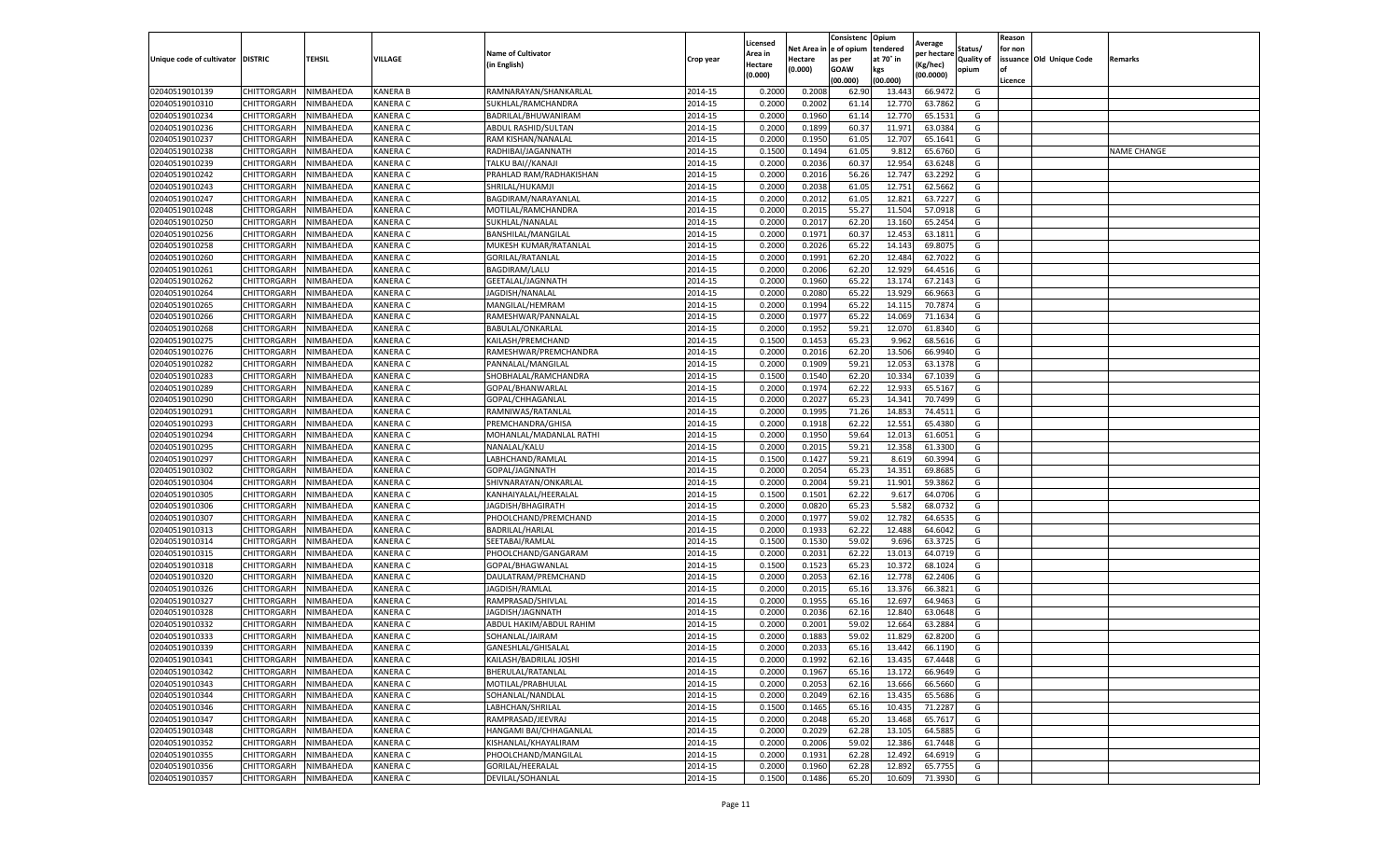|                                   |                       |           |                 |                           |           | Licensed |         | Consistenc             | Opium     |                        |                   | Reason  |                          |                |
|-----------------------------------|-----------------------|-----------|-----------------|---------------------------|-----------|----------|---------|------------------------|-----------|------------------------|-------------------|---------|--------------------------|----------------|
|                                   |                       |           |                 | <b>Name of Cultivator</b> |           | Area in  |         | Net Area in e of opium | tendered  | Average<br>per hectare | Status/           | for non |                          |                |
| Unique code of cultivator DISTRIC |                       | TEHSIL    | VILLAGE         | in English)               | Crop year | Hectare  | Hectare | as per                 | at 70° in | (Kg/hec                | <b>Quality of</b> |         | issuance Old Unique Code | <b>Remarks</b> |
|                                   |                       |           |                 |                           |           | (0.000)  | (0.000) | <b>GOAW</b>            | kgs       | (00.0000)              | opium             |         |                          |                |
|                                   |                       |           |                 |                           |           |          |         | (00.000)               | (00.000)  |                        |                   | Licence |                          |                |
| 02040519010139                    | CHITTORGARH           | NIMBAHEDA | <b>KANERA B</b> | RAMNARAYAN/SHANKARLAL     | 2014-15   | 0.2000   | 0.2008  | 62.90                  | 13.44     | 66.9472                | G                 |         |                          |                |
| 02040519010310                    | CHITTORGARH           | NIMBAHEDA | <b>KANERA C</b> | SUKHLAL/RAMCHANDRA        | 2014-15   | 0.2000   | 0.2002  | 61.14                  | 12.77     | 63.7862                | G                 |         |                          |                |
| 02040519010234                    | CHITTORGARH           | NIMBAHEDA | <b>KANERA C</b> | BADRILAL/BHUWANIRAM       | 2014-15   | 0.2000   | 0.1960  | 61.14                  | 12.77     | 65.1531                | G                 |         |                          |                |
| 02040519010236                    | CHITTORGARH           | NIMBAHEDA | KANERA C        | ABDUL RASHID/SULTAN       | 2014-15   | 0.2000   | 0.1899  | 60.37                  | 11.971    | 63.0384                | G                 |         |                          |                |
| 02040519010237                    | <b>CHITTORGARH</b>    | NIMBAHEDA | KANERA C        | RAM KISHAN/NANALAL        | 2014-15   | 0.2000   | 0.1950  | 61.05                  | 12.707    | 65.1641                | G                 |         |                          |                |
| 02040519010238                    | CHITTORGARH           | NIMBAHEDA | KANERA C        | RADHIBAI/JAGANNATH        | 2014-15   | 0.1500   | 0.1494  | 61.05                  | 9.81      | 65.6760                | G                 |         |                          | NAME CHANGE    |
| 02040519010239                    | CHITTORGARH           | NIMBAHEDA | KANERA C        | TALKU BAI//KANAJI         | 2014-15   | 0.2000   | 0.2036  | 60.37                  | 12.954    | 63.6248                | G                 |         |                          |                |
| 02040519010242                    | CHITTORGARH           | NIMBAHEDA | KANERA C        | PRAHLAD RAM/RADHAKISHAN   | 2014-15   | 0.2000   | 0.2016  | 56.26                  | 12.74     | 63.2292                | G                 |         |                          |                |
| 02040519010243                    | CHITTORGARH           | NIMBAHEDA | <b>KANERA C</b> | SHRILAL/HUKAMJI           | 2014-15   | 0.2000   | 0.2038  | 61.05                  | 12.751    | 62.5662                | G                 |         |                          |                |
| 02040519010247                    | CHITTORGARH           | NIMBAHEDA | KANERA C        | BAGDIRAM/NARAYANLAL       | 2014-15   | 0.2000   | 0.2012  | 61.05                  | 12.821    | 63.7227                | G                 |         |                          |                |
| 02040519010248                    | CHITTORGARH           | NIMBAHEDA | KANERA C        | MOTILAL/RAMCHANDRA        | 2014-15   | 0.2000   | 0.2015  | 55.27                  | 11.504    | 57.0918                | G                 |         |                          |                |
| 02040519010250                    | CHITTORGARH           | NIMBAHEDA | KANERA C        | SUKHLAL/NANALAL           | 2014-15   | 0.2000   | 0.2017  | 62.20                  | 13.16     | 65.2454                | G                 |         |                          |                |
| 02040519010256                    | CHITTORGARH           | NIMBAHEDA | KANERA C        | <b>BANSHILAL/MANGILAI</b> | 2014-15   | 0.2000   | 0.1971  | 60.37                  | 12.453    | 63.1811                | G                 |         |                          |                |
| 02040519010258                    | CHITTORGARH           | NIMBAHEDA | KANERA C        | MUKESH KUMAR/RATANLAL     | 2014-15   | 0.2000   | 0.2026  | 65.22                  | 14.14     | 69.8075                | G                 |         |                          |                |
| 02040519010260                    | CHITTORGARH           | NIMBAHEDA | <b>KANERA C</b> | GORILAL/RATANLAL          | 2014-15   | 0.2000   | 0.1991  | 62.20                  | 12.484    | 62.7022                | G                 |         |                          |                |
| 02040519010261                    | CHITTORGARH           | NIMBAHEDA | <b>KANERA C</b> | <b>BAGDIRAM/LALU</b>      | 2014-15   | 0.2000   | 0.2006  | 62.20                  | 12.929    | 64.4516                | G                 |         |                          |                |
| 02040519010262                    | CHITTORGARH           | NIMBAHEDA | KANERA C        | GEETALAL/JAGNNATH         | 2014-15   | 0.2000   | 0.1960  | 65.22                  | 13.174    | 67.2143                | G                 |         |                          |                |
| 02040519010264                    | CHITTORGARH           | NIMBAHEDA | <b>KANERA C</b> | JAGDISH/NANALAL           | 2014-15   | 0.2000   | 0.2080  | 65.22                  | 13.929    | 66.9663                | G                 |         |                          |                |
| 02040519010265                    | CHITTORGARH           | NIMBAHEDA | KANERA C        | MANGILAL/HEMRAM           | 2014-15   | 0.2000   | 0.1994  | 65.22                  | 14.11     | 70.7874                | G                 |         |                          |                |
| 02040519010266                    | CHITTORGARH           | NIMBAHEDA | KANERA C        | RAMESHWAR/PANNALAI        | 2014-15   | 0.2000   | 0.1977  | 65.22                  | 14.069    | 71.1634                | G                 |         |                          |                |
| 02040519010268                    | CHITTORGARH           | NIMBAHEDA | <b>KANERA C</b> | BABULAL/ONKARLAL          | 2014-15   | 0.2000   | 0.1952  | 59.21                  | 12.07     | 61.8340                | G                 |         |                          |                |
| 02040519010275                    | CHITTORGARH           | NIMBAHEDA | KANERA C        | KAILASH/PREMCHAND         | 2014-15   | 0.1500   | 0.1453  | 65.23                  | 9.962     | 68.5616                | G                 |         |                          |                |
| 02040519010276                    | CHITTORGARH           | NIMBAHEDA | KANERA C        | RAMESHWAR/PREMCHANDRA     | 2014-15   | 0.2000   | 0.2016  | 62.20                  | 13.506    | 66.9940                | G                 |         |                          |                |
| 02040519010282                    | CHITTORGARH           | NIMBAHEDA | KANERA C        | PANNALAL/MANGILAL         | 2014-15   | 0.2000   | 0.1909  | 59.21                  | 12.053    | 63.1378                | G                 |         |                          |                |
| 02040519010283                    | CHITTORGARH           | NIMBAHEDA | KANERA C        | SHOBHALAL/RAMCHANDRA      | 2014-15   | 0.1500   | 0.1540  | 62.20                  | 10.33     | 67.1039                | G                 |         |                          |                |
| 02040519010289                    | CHITTORGARH           | NIMBAHEDA | KANERA C        | GOPAL/BHANWARLAI          | 2014-15   | 0.2000   | 0.1974  | 62.22                  | 12.93     | 65.5167                | G                 |         |                          |                |
| 02040519010290                    | CHITTORGARH           | NIMBAHEDA | KANERA C        | GOPAL/CHHAGANLAI          | 2014-15   | 0.2000   | 0.2027  | 65.23                  | 14.34     | 70.7499                | G                 |         |                          |                |
| 02040519010291                    | CHITTORGARH           | NIMBAHEDA | KANERA C        | RAMNIWAS/RATANLAL         | 2014-15   | 0.2000   | 0.1995  | 71.26                  | 14.85     | 74.4511                | G                 |         |                          |                |
| 02040519010293                    | CHITTORGARH           | NIMBAHEDA | KANERA C        | PREMCHANDRA/GHISA         | 2014-15   | 0.2000   | 0.1918  | 62.22                  | 12.551    | 65.4380                | G                 |         |                          |                |
| 02040519010294                    | CHITTORGARH           | NIMBAHEDA | KANERA C        | MOHANLAL/MADANLAL RATHI   | 2014-15   | 0.2000   | 0.1950  | 59.64                  | 12.01     | 61.6051                | G                 |         |                          |                |
| 02040519010295                    | CHITTORGARH           | NIMBAHEDA | KANERA C        | NANALAL/KALU              | 2014-15   | 0.2000   | 0.2015  | 59.21                  | 12.35     | 61.3300                | G                 |         |                          |                |
| 02040519010297                    | CHITTORGARH           | NIMBAHEDA | KANERA C        | LABHCHAND/RAMLAI          | 2014-15   | 0.1500   | 0.1427  | 59.21                  | 8.619     | 60.3994                | G                 |         |                          |                |
| 02040519010302                    | CHITTORGARH           | NIMBAHEDA | KANERA C        | GOPAL/JAGNNATH            | 2014-15   | 0.2000   | 0.2054  | 65.23                  | 14.35     | 69.8685                | G                 |         |                          |                |
| 02040519010304                    | CHITTORGARH           | NIMBAHEDA | <b>KANERA C</b> | SHIVNARAYAN/ONKARLAL      | 2014-15   | 0.2000   | 0.2004  | 59.21                  | 11.901    | 59.3862                | G                 |         |                          |                |
| 02040519010305                    | CHITTORGARH           | NIMBAHEDA | KANERA C        | KANHAIYALAL/HEERALAL      | 2014-15   | 0.1500   | 0.1501  | 62.22                  | 9.617     | 64.0706                | G                 |         |                          |                |
| 02040519010306                    | CHITTORGARH           | NIMBAHEDA | KANERA C        | JAGDISH/BHAGIRATH         | 2014-15   | 0.2000   | 0.0820  | 65.23                  | 5.582     | 68.073                 | G                 |         |                          |                |
| 02040519010307                    | CHITTORGARH           | NIMBAHEDA | <b>KANERA C</b> | PHOOLCHAND/PREMCHAND      | 2014-15   | 0.2000   | 0.1977  | 59.02                  | 12.782    | 64.6535                | G                 |         |                          |                |
| 02040519010313                    | CHITTORGARH           | NIMBAHEDA | KANERA C        | BADRILAL/HARLAL           | 2014-15   | 0.2000   | 0.1933  | 62.22                  | 12.48     | 64.6042                | G                 |         |                          |                |
| 02040519010314                    | CHITTORGARH           | NIMBAHEDA | KANERA C        | SEETABAI/RAMLAL           | 2014-15   | 0.1500   | 0.1530  | 59.02                  | 9.696     | 63.3725                | G                 |         |                          |                |
| 02040519010315                    | CHITTORGARH           | NIMBAHEDA | KANERA C        | PHOOLCHAND/GANGARAM       | 2014-15   | 0.2000   | 0.2031  | 62.22                  | 13.013    | 64.0719                | G                 |         |                          |                |
| 02040519010318                    | CHITTORGARH           | NIMBAHEDA | KANERA C        | GOPAL/BHAGWANLAL          | 2014-15   | 0.1500   | 0.1523  | 65.23                  | 10.37     | 68.1024                | G                 |         |                          |                |
| 02040519010320                    | CHITTORGARH           | NIMBAHEDA | KANERA C        | DAULATRAM/PREMCHAND       | 2014-15   | 0.2000   | 0.2053  | 62.16                  | 12.778    | 62.2406                | G                 |         |                          |                |
| 02040519010326                    | CHITTORGARH           | NIMBAHEDA | <b>KANERA C</b> | JAGDISH/RAMLAL            | 2014-15   | 0.2000   | 0.2015  | 65.16                  | 13.37     | 66.3821                | G                 |         |                          |                |
| 02040519010327                    | CHITTORGARH           | NIMBAHEDA | KANERA C        | RAMPRASAD/SHIVLAL         | 2014-15   | 0.2000   | 0.1955  | 65.16                  | 12.69     | 64.9463                | G                 |         |                          |                |
| 02040519010328                    | CHITTORGARH           | NIMBAHEDA | KANERA C        | JAGDISH/JAGNNATH          | 2014-15   | 0.2000   | 0.2036  | 62.16                  | 12.84     | 63.0648                | G                 |         |                          |                |
| 02040519010332                    | CHITTORGARH           | NIMBAHEDA | <b>KANERA C</b> | ABDUL HAKIM/ABDUL RAHIM   | 2014-15   | 0.2000   | 0.2001  | 59.02                  | 12.664    | 63.2884                | G                 |         |                          |                |
| 02040519010333                    | CHITTORGARH           | NIMBAHEDA | <b>KANERA C</b> | SOHANLAL/JAIRAM           | 2014-15   | 0.2000   | 0.1883  | 59.02                  | 11.82     | 62.8200                | G                 |         |                          |                |
| 02040519010339                    | CHITTORGARH           | NIMBAHEDA | <b>KANERA C</b> | GANESHLAL/GHISALAL        | 2014-15   | 0.2000   | 0.2033  | 65.16                  | 13.442    | 66.1190                | G                 |         |                          |                |
| 02040519010341                    | CHITTORGARH NIMBAHEDA |           | <b>KANERA C</b> | KAILASH/BADRILAL JOSHI    | 2014-15   | 0.2000   | 0.1992  | 62.16                  | 13.435    | 67.4448                | G                 |         |                          |                |
| 02040519010342                    | CHITTORGARH           | NIMBAHEDA | KANERA C        | BHERULAL/RATANLAL         | 2014-15   | 0.2000   | 0.1967  | 65.16                  | 13.172    | 66.9649                | G                 |         |                          |                |
| 02040519010343                    | <b>CHITTORGARH</b>    | NIMBAHEDA | KANERA C        | MOTILAL/PRABHULAL         | 2014-15   | 0.2000   | 0.2053  | 62.16                  | 13.666    | 66.5660                | G                 |         |                          |                |
| 02040519010344                    | CHITTORGARH           | NIMBAHEDA | KANERA C        | SOHANLAL/NANDLAL          | 2014-15   | 0.2000   | 0.2049  | 62.16                  | 13.435    | 65.5686                | G                 |         |                          |                |
| 02040519010346                    | CHITTORGARH           | NIMBAHEDA | KANERA C        | LABHCHAN/SHRILAL          | 2014-15   | 0.1500   | 0.1465  | 65.16                  | 10.435    | 71.2287                | G                 |         |                          |                |
| 02040519010347                    | <b>CHITTORGARH</b>    | NIMBAHEDA | <b>KANERA C</b> | RAMPRASAD/JEEVRAJ         | 2014-15   | 0.2000   | 0.2048  | 65.20                  | 13.468    | 65.7617                | G                 |         |                          |                |
| 02040519010348                    | CHITTORGARH           | NIMBAHEDA | KANERA C        | HANGAMI BAI/CHHAGANLAL    | 2014-15   | 0.2000   | 0.2029  | 62.28                  | 13.105    | 64.5885                | G                 |         |                          |                |
| 02040519010352                    | CHITTORGARH           | NIMBAHEDA | KANERA C        | KISHANLAL/KHAYALIRAM      | 2014-15   | 0.2000   | 0.2006  | 59.02                  | 12.386    | 61.7448                | G                 |         |                          |                |
| 02040519010355                    | CHITTORGARH           | NIMBAHEDA | KANERA C        | PHOOLCHAND/MANGILAL       | 2014-15   | 0.2000   | 0.1931  | 62.28                  | 12.492    | 64.6919                | G                 |         |                          |                |
| 02040519010356                    | CHITTORGARH           | NIMBAHEDA | KANERA C        | GORILAL/HEERALAL          | 2014-15   | 0.2000   | 0.1960  | 62.28                  | 12.892    | 65.7755                | G                 |         |                          |                |
| 02040519010357                    | <b>CHITTORGARH</b>    | NIMBAHEDA | <b>KANERA C</b> | DEVILAL/SOHANLAL          | 2014-15   | 0.1500   | 0.1486  | 65.20                  | 10.609    | 71.3930                | G                 |         |                          |                |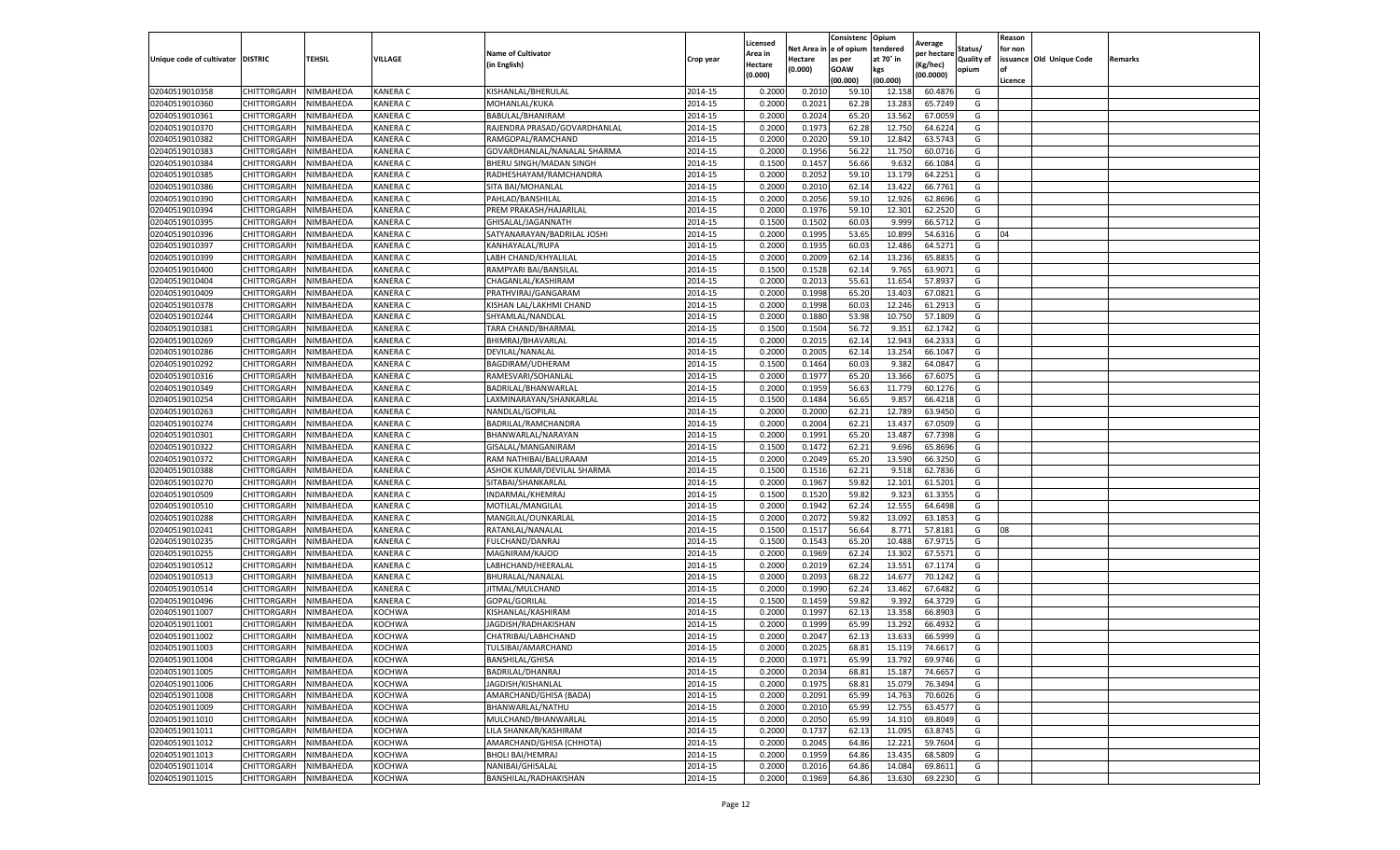|                                   |                       |           |                 |                              |           | Licensed |         | Consistenc             | Opium     |                        |                   | Reason  |                          |                |
|-----------------------------------|-----------------------|-----------|-----------------|------------------------------|-----------|----------|---------|------------------------|-----------|------------------------|-------------------|---------|--------------------------|----------------|
|                                   |                       |           |                 | <b>Name of Cultivator</b>    |           | Area in  |         | Net Area in e of opium | tendered  | Average<br>per hectare | Status/           | for non |                          |                |
| Unique code of cultivator DISTRIC |                       | TEHSIL    | VILLAGE         | in English)                  | Crop year | Hectare  | Hectare | as per                 | at 70° in | (Kg/hec                | <b>Quality of</b> |         | issuance Old Unique Code | <b>Remarks</b> |
|                                   |                       |           |                 |                              |           | (0.000)  | (0.000) | <b>GOAW</b>            | kgs       | (00.0000)              | opium             |         |                          |                |
|                                   |                       |           |                 |                              |           |          |         | (00.000)               | (00.000)  |                        |                   | Licence |                          |                |
| 02040519010358                    | CHITTORGARH           | NIMBAHEDA | <b>KANERA C</b> | KISHANLAL/BHERULAL           | 2014-15   | 0.2000   | 0.2010  | 59.10                  | 12.15     | 60.4876                | G                 |         |                          |                |
| 02040519010360                    | CHITTORGARH           | NIMBAHEDA | <b>KANERA C</b> | MOHANLAL/KUKA                | 2014-15   | 0.2000   | 0.2021  | 62.28                  | 13.28     | 65.7249                | G                 |         |                          |                |
| 02040519010361                    | CHITTORGARH           | NIMBAHEDA | <b>KANERA C</b> | BABULAL/BHANIRAM             | 2014-15   | 0.2000   | 0.2024  | 65.20                  | 13.562    | 67.0059                | G                 |         |                          |                |
| 02040519010370                    | CHITTORGARH           | NIMBAHEDA | KANERA C        | RAJENDRA PRASAD/GOVARDHANLAL | 2014-15   | 0.2000   | 0.1973  | 62.28                  | 12.750    | 64.6224                | G                 |         |                          |                |
| 02040519010382                    | CHITTORGARH           | NIMBAHEDA | KANERA C        | RAMGOPAL/RAMCHAND            | 2014-15   | 0.2000   | 0.2020  | 59.10                  | 12.84     | 63.5743                | G                 |         |                          |                |
| 02040519010383                    | CHITTORGARH           | NIMBAHEDA | KANERA C        | GOVARDHANLAL/NANALAL SHARMA  | 2014-15   | 0.2000   | 0.1956  | 56.22                  | 11.75     | 60.0716                | G                 |         |                          |                |
| 02040519010384                    | CHITTORGARH           | NIMBAHEDA | KANERA C        | BHERU SINGH/MADAN SINGH      | 2014-15   | 0.1500   | 0.1457  | 56.66                  | 9.632     | 66.1084                | G                 |         |                          |                |
| 02040519010385                    | CHITTORGARH           | NIMBAHEDA | KANERA C        | RADHESHAYAM/RAMCHANDRA       | 2014-15   | 0.2000   | 0.2052  | 59.10                  | 13.179    | 64.2251                | G                 |         |                          |                |
| 02040519010386                    | CHITTORGARH           | NIMBAHEDA | <b>KANERA C</b> | SITA BAI/MOHANLAL            | 2014-15   | 0.2000   | 0.2010  | 62.14                  | 13.422    | 66.7761                | G                 |         |                          |                |
| 02040519010390                    | CHITTORGARH           | NIMBAHEDA | KANERA C        | PAHLAD/BANSHILAL             | 2014-15   | 0.2000   | 0.2056  | 59.10                  | 12.926    | 62.8696                | G                 |         |                          |                |
| 02040519010394                    | CHITTORGARH           | NIMBAHEDA | KANERA C        | PREM PRAKASH/HAJARILAL       | 2014-15   | 0.2000   | 0.1976  | 59.10                  | 12.301    | 62.2520                | G                 |         |                          |                |
| 02040519010395                    | CHITTORGARH           | NIMBAHEDA | KANERA C        | GHISALAL/JAGANNATH           | 2014-15   | 0.1500   | 0.1502  | 60.03                  | 9.99      | 66.5712                | G                 |         |                          |                |
| 02040519010396                    | CHITTORGARH           | NIMBAHEDA | KANERA C        | SATYANARAYAN/BADRILAL JOSH   | 2014-15   | 0.2000   | 0.1995  | 53.65                  | 10.89     | 54.6316                | G                 | 04      |                          |                |
| 02040519010397                    | CHITTORGARH           | NIMBAHEDA | KANERA C        | KANHAYALAL/RUPA              | 2014-15   | 0.2000   | 0.1935  | 60.03                  | 12.486    | 64.5271                | G                 |         |                          |                |
| 02040519010399                    | CHITTORGARH           | NIMBAHEDA | <b>KANERA C</b> | LABH CHAND/KHYALILAL         | 2014-15   | 0.2000   | 0.2009  | 62.14                  | 13.236    | 65.8835                | G                 |         |                          |                |
| 02040519010400                    | CHITTORGARH           | NIMBAHEDA | <b>KANERA C</b> | RAMPYARI BAI/BANSILAL        | 2014-15   | 0.1500   | 0.1528  | 62.14                  | 9.765     | 63.9071                | G                 |         |                          |                |
| 02040519010404                    | CHITTORGARH           | NIMBAHEDA | KANERA C        | CHAGANLAL/KASHIRAM           | 2014-15   | 0.2000   | 0.2013  | 55.61                  | 11.654    | 57.893                 | G                 |         |                          |                |
| 02040519010409                    | CHITTORGARH           | NIMBAHEDA | <b>KANERA C</b> | PRATHVIRAJ/GANGARAM          | 2014-15   | 0.2000   | 0.1998  | 65.20                  | 13.403    | 67.0821                | G                 |         |                          |                |
| 02040519010378                    | CHITTORGARH           | NIMBAHEDA | KANERA C        | KISHAN LAL/LAKHMI CHAND      | 2014-15   | 0.2000   | 0.1998  | 60.03                  | 12.246    | 61.2913                | G                 |         |                          |                |
| 02040519010244                    | CHITTORGARH           | NIMBAHEDA | KANERA C        | SHYAMLAL/NANDLAL             | 2014-15   | 0.2000   | 0.1880  | 53.98                  | 10.750    | 57.1809                | G                 |         |                          |                |
| 02040519010381                    | CHITTORGARH           | NIMBAHEDA | <b>KANERA C</b> | TARA CHAND/BHARMAL           | 2014-15   | 0.1500   | 0.1504  | 56.72                  | 9.351     | 62.1742                | G                 |         |                          |                |
| 02040519010269                    | CHITTORGARH           | NIMBAHEDA | KANERA C        | BHIMRAJ/BHAVARLAL            | 2014-15   | 0.2000   | 0.2015  | 62.14                  | 12.94     | 64.2333                | G                 |         |                          |                |
| 02040519010286                    | CHITTORGARH           | NIMBAHEDA | KANERA C        | DEVILAL/NANALAL              | 2014-15   | 0.2000   | 0.2005  | 62.14                  | 13.254    | 66.1047                | G                 |         |                          |                |
| 02040519010292                    | CHITTORGARH           | NIMBAHEDA | KANERA C        | BAGDIRAM/UDHERAM             | 2014-15   | 0.1500   | 0.1464  | 60.03                  | 9.382     | 64.0847                | G                 |         |                          |                |
| 02040519010316                    | CHITTORGARH           | NIMBAHEDA | KANERA C        | RAMESVARI/SOHANLAL           | 2014-15   | 0.2000   | 0.1977  | 65.20                  | 13.366    | 67.607                 | G                 |         |                          |                |
| 02040519010349                    | CHITTORGARH           | NIMBAHEDA | KANERA C        | BADRILAL/BHANWARLAL          | 2014-15   | 0.2000   | 0.1959  | 56.63                  | 11.779    | 60.1276                | G                 |         |                          |                |
| 02040519010254                    | CHITTORGARH           | NIMBAHEDA | KANERA C        | LAXMINARAYAN/SHANKARLAL      | 2014-15   | 0.1500   | 0.1484  | 56.65                  | 9.857     | 66.4218                | G                 |         |                          |                |
| 02040519010263                    | CHITTORGARH           | NIMBAHEDA | KANERA C        | NANDLAL/GOPILAL              | 2014-15   | 0.2000   | 0.2000  | 62.21                  | 12.789    | 63.9450                | G                 |         |                          |                |
| 02040519010274                    | CHITTORGARH           | NIMBAHEDA | KANERA C        | BADRILAL/RAMCHANDRA          | 2014-15   | 0.2000   | 0.2004  | 62.21                  | 13.437    | 67.0509                | G                 |         |                          |                |
| 02040519010301                    | CHITTORGARH           | NIMBAHEDA | KANERA C        | BHANWARLAL/NARAYAN           | 2014-15   | 0.2000   | 0.1991  | 65.20                  | 13.487    | 67.7398                | G                 |         |                          |                |
| 02040519010322                    | CHITTORGARH           | NIMBAHEDA | KANERA C        | GISALAL/MANGANIRAM           | 2014-15   | 0.1500   | 0.1472  | 62.21                  | 9.69      | 65.8696                | G                 |         |                          |                |
| 02040519010372                    | CHITTORGARH           | NIMBAHEDA | KANERA C        | RAM NATHIBAI/BALURAAM        | 2014-15   | 0.2000   | 0.2049  | 65.20                  | 13.590    | 66.3250                | G                 |         |                          |                |
| 02040519010388                    | CHITTORGARH           | NIMBAHEDA | KANERA C        | ASHOK KUMAR/DEVILAL SHARMA   | 2014-15   | 0.1500   | 0.1516  | 62.21                  | 9.51      | 62.7836                | G                 |         |                          |                |
| 02040519010270                    | CHITTORGARH           | NIMBAHEDA | <b>KANERA C</b> | SITABAI/SHANKARLAL           | 2014-15   | 0.2000   | 0.1967  | 59.82                  | 12.101    | 61.5201                | G                 |         |                          |                |
| 02040519010509                    | CHITTORGARH           | NIMBAHEDA | KANERA C        | INDARMAL/KHEMRAJ             | 2014-15   | 0.1500   | 0.1520  | 59.82                  | 9.323     | 61.3355                | G                 |         |                          |                |
| 02040519010510                    | CHITTORGARH           | NIMBAHEDA | KANERA C        | MOTILAL/MANGILAL             | 2014-15   | 0.2000   | 0.1942  | 62.24                  | 12.555    | 64.6498                | G                 |         |                          |                |
| 02040519010288                    | CHITTORGARH           | NIMBAHEDA | <b>KANERA C</b> | MANGILAL/OUNKARLAL           | 2014-15   | 0.2000   | 0.2072  | 59.82                  | 13.092    | 63.1853                | G                 |         |                          |                |
| 02040519010241                    | CHITTORGARH           | NIMBAHEDA | KANERA C        | RATANLAL/NANALAL             | 2014-15   | 0.1500   | 0.1517  | 56.64                  | 8.77      | 57.8181                | G                 | 08      |                          |                |
| 02040519010235                    | CHITTORGARH           | NIMBAHEDA | KANERA C        | <b>FULCHAND/DANRAJ</b>       | 2014-15   | 0.1500   | 0.1543  | 65.20                  | 10.488    | 67.9715                | G                 |         |                          |                |
| 02040519010255                    | CHITTORGARH           | NIMBAHEDA | KANERA C        | MAGNIRAM/KAJOD               | 2014-15   | 0.2000   | 0.1969  | 62.24                  | 13.302    | 67.5571                | G                 |         |                          |                |
| 02040519010512                    | CHITTORGARH           | NIMBAHEDA | KANERA C        | LABHCHAND/HEERALAL           | 2014-15   | 0.2000   | 0.2019  | 62.24                  | 13.551    | 67.1174                | G                 |         |                          |                |
| 02040519010513                    | CHITTORGARH           | NIMBAHEDA | KANERA C        | BHURALAL/NANALAL             | 2014-15   | 0.2000   | 0.2093  | 68.22                  | 14.677    | 70.1242                | G                 |         |                          |                |
| 02040519010514                    | CHITTORGARH           | NIMBAHEDA | <b>KANERA C</b> | JITMAL/MULCHAND              | 2014-15   | 0.2000   | 0.1990  | 62.24                  | 13.462    | 67.6482                | G                 |         |                          |                |
| 02040519010496                    | CHITTORGARH           | NIMBAHEDA | KANERA C        | GOPAL/GORILAL                | 2014-15   | 0.1500   | 0.1459  | 59.82                  | 9.392     | 64.3729                | G                 |         |                          |                |
| 02040519011007                    | CHITTORGARH           | NIMBAHEDA | KOCHWA          | KISHANLAL/KASHIRAM           | 2014-15   | 0.2000   | 0.1997  | 62.13                  | 13.358    | 66.8903                | G                 |         |                          |                |
| 02040519011001                    | CHITTORGARH           | NIMBAHEDA | KOCHWA          | JAGDISH/RADHAKISHAN          | 2014-15   | 0.2000   | 0.1999  | 65.99                  | 13.292    | 66.4932                | G                 |         |                          |                |
| 02040519011002                    | CHITTORGARH           | NIMBAHEDA | KOCHWA          | CHATRIBAI/LABHCHAND          | 2014-15   | 0.2000   | 0.2047  | 62.13                  | 13.633    | 66.5999                | G                 |         |                          |                |
| 02040519011003                    | CHITTORGARH           | NIMBAHEDA | KOCHWA          | TULSIBAI/AMARCHAND           | 2014-15   | 0.2000   | 0.2025  | 68.81                  | 15.119    | 74.6617                | G                 |         |                          |                |
| 02040519011004                    | CHITTORGARH NIMBAHEDA |           | <b>KOCHWA</b>   | <b>BANSHILAL/GHISA</b>       | 2014-15   | 0.2000   | 0.1971  | 65.99                  | 13.792    | 69.9746                | G                 |         |                          |                |
| 02040519011005                    | CHITTORGARH           | NIMBAHEDA | KOCHWA          | BADRILAL/DHANRAJ             | 2014-15   | 0.2000   | 0.2034  | 68.81                  | 15.187    | 74.6657                | G                 |         |                          |                |
| 02040519011006                    | CHITTORGARH           | NIMBAHEDA | KOCHWA          | JAGDISH/KISHANLAL            | 2014-15   | 0.2000   | 0.1975  | 68.81                  | 15.079    | 76.3494                | G                 |         |                          |                |
| 02040519011008                    | CHITTORGARH           | NIMBAHEDA | KOCHWA          | AMARCHAND/GHISA (BADA)       | 2014-15   | 0.2000   | 0.2091  | 65.99                  | 14.763    | 70.6026                | G                 |         |                          |                |
| 02040519011009                    | <b>CHITTORGARH</b>    | NIMBAHEDA | KOCHWA          | BHANWARLAL/NATHU             | 2014-15   | 0.2000   | 0.2010  | 65.99                  | 12.755    | 63.4577                | G                 |         |                          |                |
| 02040519011010                    | <b>CHITTORGARH</b>    | NIMBAHEDA | <b>KOCHWA</b>   | MULCHAND/BHANWARLAL          | 2014-15   | 0.2000   | 0.2050  | 65.99                  | 14.310    | 69.8049                | G                 |         |                          |                |
| 02040519011011                    | CHITTORGARH           | NIMBAHEDA | KOCHWA          | LILA SHANKAR/KASHIRAM        | 2014-15   | 0.2000   | 0.1737  | 62.13                  | 11.095    | 63.8745                | G                 |         |                          |                |
| 02040519011012                    | <b>CHITTORGARH</b>    | NIMBAHEDA | KOCHWA          | AMARCHAND/GHISA (CHHOTA)     | 2014-15   | 0.2000   | 0.2045  | 64.86                  | 12.221    | 59.7604                | G                 |         |                          |                |
| 02040519011013                    | CHITTORGARH           | NIMBAHEDA | KOCHWA          | <b>BHOLI BAI/HEMRAJ</b>      | 2014-15   | 0.2000   | 0.1959  | 64.86                  | 13.435    | 68.5809                | G                 |         |                          |                |
| 02040519011014                    | CHITTORGARH           | NIMBAHEDA | KOCHWA          | NANIBAI/GHISALAL             | 2014-15   | 0.2000   | 0.2016  | 64.86                  | 14.084    | 69.8611                | G                 |         |                          |                |
| 02040519011015                    | <b>CHITTORGARH</b>    | NIMBAHEDA | KOCHWA          | BANSHILAL/RADHAKISHAN        | 2014-15   | 0.2000   | 0.1969  | 64.86                  | 13.630    | 69.2230                | G                 |         |                          |                |
|                                   |                       |           |                 |                              |           |          |         |                        |           |                        |                   |         |                          |                |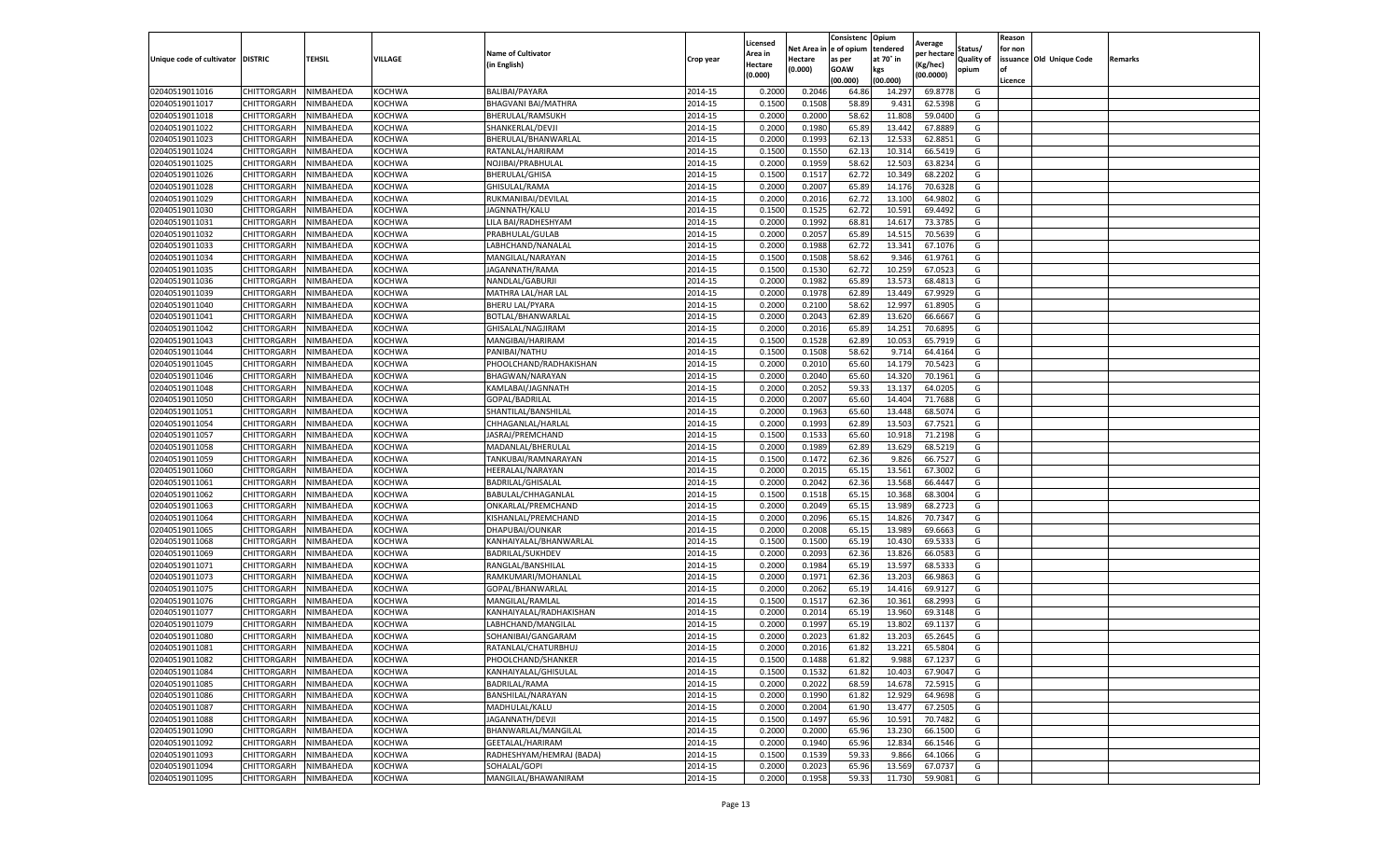|                                   |             |           |               |                           |           | Licensed |            | Consistenc  | Opium     |                        |                   | Reason  |                          |         |
|-----------------------------------|-------------|-----------|---------------|---------------------------|-----------|----------|------------|-------------|-----------|------------------------|-------------------|---------|--------------------------|---------|
|                                   |             |           |               | <b>Name of Cultivator</b> |           | Area in  | Net Area i | e of opium  | tendered  | Average<br>per hectare | Status/           | for non |                          |         |
| Unique code of cultivator DISTRIC |             | TEHSIL    | VILLAGE       | (in English)              | Crop year | Hectare  | Hectare    | as per      | at 70° in | (Kg/hec)               | <b>Quality of</b> |         | issuance Old Unique Code | Remarks |
|                                   |             |           |               |                           |           | (0.000)  | (0.000)    | <b>GOAW</b> | kgs       | (00.0000)              | opium             | οf      |                          |         |
|                                   |             |           |               |                           |           |          |            | (00.000     | (00.000)  |                        |                   | Licence |                          |         |
| 02040519011016                    | CHITTORGARH | NIMBAHEDA | <b>KOCHWA</b> | BALIBAI/PAYARA            | 2014-15   | 0.2000   | 0.2046     | 64.86       | 14.297    | 69.8778                | G                 |         |                          |         |
| 02040519011017                    | CHITTORGARH | NIMBAHEDA | KOCHWA        | BHAGVANI BAI/MATHRA       | 2014-15   | 0.150    | 0.1508     | 58.89       | 9.431     | 62.5398                | G                 |         |                          |         |
| 02040519011018                    | CHITTORGARH | NIMBAHEDA | KOCHWA        | BHERULAL/RAMSUKH          | 2014-15   | 0.2000   | 0.2000     | 58.62       | 11.808    | 59.0400                | G                 |         |                          |         |
| 02040519011022                    | CHITTORGARH | NIMBAHEDA | <b>KOCHWA</b> | SHANKERLAL/DEVJI          | 2014-15   | 0.2000   | 0.1980     | 65.89       | 13.442    | 67.8889                | G                 |         |                          |         |
| 02040519011023                    | CHITTORGARH | NIMBAHEDA | KOCHWA        | BHERULAL/BHANWARLAL       | 2014-15   | 0.2000   | 0.1993     | 62.13       | 12.533    | 62.8851                | G                 |         |                          |         |
| 02040519011024                    | CHITTORGARH | NIMBAHEDA | KOCHWA        | RATANLAL/HARIRAM          | 2014-15   | 0.1500   | 0.1550     | 62.13       | 10.31     | 66.5419                | G                 |         |                          |         |
| 02040519011025                    | CHITTORGARH | NIMBAHEDA | <b>KOCHWA</b> | NOJIBAI/PRABHULAL         | 2014-15   | 0.2000   | 0.1959     | 58.62       | 12.503    | 63.8234                | G                 |         |                          |         |
| 02040519011026                    | CHITTORGARH | NIMBAHEDA | KOCHWA        | BHERULAL/GHISA            | 2014-15   | 0.1500   | 0.1517     | 62.7        | 10.349    | 68.2202                | G                 |         |                          |         |
| 02040519011028                    | CHITTORGARH | NIMBAHEDA | KOCHWA        | GHISULAL/RAMA             | 2014-15   | 0.2000   | 0.2007     | 65.89       | 14.176    | 70.6328                | G                 |         |                          |         |
| 02040519011029                    | CHITTORGARH | NIMBAHEDA | KOCHWA        | RUKMANIBAI/DEVILAL        | 2014-15   | 0.2000   | 0.2016     | 62.72       | 13.100    | 64.9802                | G                 |         |                          |         |
| 02040519011030                    | CHITTORGARH | NIMBAHEDA | KOCHWA        | JAGNNATH/KALU             | 2014-15   | 0.1500   | 0.1525     | 62.72       | 10.591    | 69.4492                | G                 |         |                          |         |
| 02040519011031                    | CHITTORGARH | NIMBAHEDA | KOCHWA        | LILA BAI/RADHESHYAM       | 2014-15   | 0.2000   | 0.1992     | 68.81       | 14.617    | 73.3785                | G                 |         |                          |         |
| 02040519011032                    | CHITTORGARH | NIMBAHEDA | <b>KOCHWA</b> | PRABHULAL/GULAB           | 2014-15   | 0.2000   | 0.2057     | 65.89       | 14.515    | 70.5639                | G                 |         |                          |         |
| 02040519011033                    | CHITTORGARH | NIMBAHEDA | KOCHWA        | LABHCHAND/NANALAI         | 2014-15   | 0.200    | 0.1988     | 62.72       | 13.341    | 67.1076                | G                 |         |                          |         |
| 02040519011034                    | CHITTORGARH | NIMBAHEDA | KOCHWA        | MANGILAL/NARAYAN          | 2014-15   | 0.1500   | 0.1508     | 58.62       | 9.346     | 61.9761                | G                 |         |                          |         |
| 02040519011035                    | CHITTORGARH | NIMBAHEDA | <b>KOCHWA</b> | JAGANNATH/RAMA            | 2014-15   | 0.1500   | 0.1530     | 62.72       | 10.259    | 67.0523                | G                 |         |                          |         |
| 02040519011036                    | CHITTORGARH | NIMBAHEDA | KOCHWA        | NANDLAL/GABURJI           | 2014-15   | 0.2000   | 0.1982     | 65.89       | 13.573    | 68.4813                | G                 |         |                          |         |
| 02040519011039                    | CHITTORGARH | NIMBAHEDA | <b>KOCHWA</b> | MATHRA LAL/HAR LAL        | 2014-15   | 0.2000   | 0.1978     | 62.89       | 13.449    | 67.9929                | G                 |         |                          |         |
| 02040519011040                    | CHITTORGARH | NIMBAHEDA | <b>KOCHWA</b> | <b>BHERU LAL/PYARA</b>    | 2014-15   | 0.2000   | 0.2100     | 58.62       | 12.997    | 61.8905                | G                 |         |                          |         |
| 02040519011041                    | CHITTORGARH | VIMBAHEDA | <b>KOCHWA</b> | BOTLAL/BHANWARLAI         | 2014-15   | 0.2000   | 0.2043     | 62.89       | 13.620    | 66.6667                | G                 |         |                          |         |
| 02040519011042                    | CHITTORGARH | NIMBAHEDA | KOCHWA        | GHISALAL/NAGJIRAM         | 2014-15   | 0.2000   | 0.2016     | 65.89       | 14.251    | 70.6895                | G                 |         |                          |         |
| 02040519011043                    | CHITTORGARH | NIMBAHEDA | KOCHWA        | MANGIBAI/HARIRAM          | 2014-15   | 0.1500   | 0.1528     | 62.89       | 10.053    | 65.7919                | G                 |         |                          |         |
| 02040519011044                    | CHITTORGARH | NIMBAHEDA | KOCHWA        | PANIBAI/NATHU             | 2014-15   | 0.1500   | 0.1508     | 58.62       | 9.714     | 64.4164                | G                 |         |                          |         |
| 02040519011045                    | CHITTORGARH | NIMBAHEDA | <b>KOCHWA</b> | PHOOLCHAND/RADHAKISHAN    | 2014-15   | 0.2000   | 0.2010     | 65.60       | 14.179    | 70.5423                | G                 |         |                          |         |
| 02040519011046                    | CHITTORGARH | NIMBAHEDA | KOCHWA        | <b>BHAGWAN/NARAYAN</b>    | 2014-15   | 0.2000   | 0.2040     | 65.60       | 14.32     | 70.1961                | G                 |         |                          |         |
|                                   |             | NIMBAHEDA |               |                           |           | 0.2000   | 0.2052     |             | 13.137    | 64.0205                | G                 |         |                          |         |
| 02040519011048                    | CHITTORGARH |           | KOCHWA        | KAMLABAI/JAGNNATH         | 2014-15   |          |            | 59.33       |           |                        |                   |         |                          |         |
| 02040519011050                    | CHITTORGARH | NIMBAHEDA | KOCHWA        | GOPAL/BADRILAL            | 2014-15   | 0.2000   | 0.2007     | 65.60       | 14.404    | 71.7688                | G                 |         |                          |         |
| 02040519011051                    | CHITTORGARH | NIMBAHEDA | KOCHWA        | SHANTILAL/BANSHILAI       | 2014-15   | 0.2000   | 0.1963     | 65.60       | 13.448    | 68.5074                | G                 |         |                          |         |
| 02040519011054                    | CHITTORGARH | NIMBAHEDA | KOCHWA        | CHHAGANLAL/HARLAL         | 2014-15   | 0.2000   | 0.1993     | 62.89       | 13.503    | 67.7521                | G                 |         |                          |         |
| 02040519011057                    | CHITTORGARH | NIMBAHEDA | KOCHWA        | JASRAJ/PREMCHAND          | 2014-15   | 0.1500   | 0.1533     | 65.60       | 10.918    | 71.2198                | G                 |         |                          |         |
| 02040519011058                    | CHITTORGARH | NIMBAHEDA | KOCHWA        | MADANLAL/BHERULAL         | 2014-15   | 0.2000   | 0.1989     | 62.89       | 13.629    | 68.5219                | G                 |         |                          |         |
| 02040519011059                    | CHITTORGARH | NIMBAHEDA | <b>KOCHWA</b> | TANKUBAI/RAMNARAYAN       | 2014-15   | 0.1500   | 0.1472     | 62.36       | 9.826     | 66.7527                | G                 |         |                          |         |
| 02040519011060                    | CHITTORGARH | NIMBAHEDA | KOCHWA        | HEERALAL/NARAYAN          | 2014-15   | 0.2000   | 0.2015     | 65.1        | 13.561    | 67.3002                | G                 |         |                          |         |
| 02040519011061                    | CHITTORGARH | NIMBAHEDA | KOCHWA        | BADRILAL/GHISALAL         | 2014-15   | 0.2000   | 0.2042     | 62.36       | 13.568    | 66.4447                | G                 |         |                          |         |
| 02040519011062                    | CHITTORGARH | NIMBAHEDA | KOCHWA        | BABULAL/CHHAGANLAL        | 2014-15   | 0.1500   | 0.1518     | 65.15       | 10.368    | 68.3004                | G                 |         |                          |         |
| 02040519011063                    | CHITTORGARH | NIMBAHEDA | KOCHWA        | ONKARLAL/PREMCHAND        | 2014-15   | 0.2000   | 0.2049     | 65.15       | 13.989    | 68.2723                | G                 |         |                          |         |
| 02040519011064                    | CHITTORGARH | NIMBAHEDA | KOCHWA        | KISHANLAL/PREMCHAND       | 2014-15   | 0.2000   | 0.2096     | 65.15       | 14.826    | 70.7347                | G                 |         |                          |         |
| 02040519011065                    | CHITTORGARH | NIMBAHEDA | KOCHWA        | DHAPUBAI/OUNKAR           | 2014-15   | 0.2000   | 0.2008     | 65.15       | 13.989    | 69.6663                | G                 |         |                          |         |
| 02040519011068                    | CHITTORGARH | NIMBAHEDA | KOCHWA        | KANHAIYALAL/BHANWARLAI    | 2014-15   | 0.1500   | 0.1500     | 65.19       | 10.430    | 69.533                 | G                 |         |                          |         |
| 02040519011069                    | CHITTORGARH | NIMBAHEDA | KOCHWA        | <b>BADRILAL/SUKHDEV</b>   | 2014-15   | 0.2000   | 0.2093     | 62.36       | 13.826    | 66.0583                | G                 |         |                          |         |
| 02040519011071                    | CHITTORGARH | NIMBAHEDA | KOCHWA        | RANGLAL/BANSHILAL         | 2014-15   | 0.2000   | 0.1984     | 65.19       | 13.597    | 68.5333                | G                 |         |                          |         |
| 02040519011073                    | CHITTORGARH | NIMBAHEDA | KOCHWA        | RAMKUMARI/MOHANLAL        | 2014-15   | 0.2000   | 0.1971     | 62.36       | 13.203    | 66.9863                | G                 |         |                          |         |
| 02040519011075                    | CHITTORGARH | NIMBAHEDA | <b>KOCHWA</b> | GOPAL/BHANWARLAL          | 2014-15   | 0.2000   | 0.2062     | 65.19       | 14.416    | 69.9127                | G                 |         |                          |         |
| 02040519011076                    | CHITTORGARH | NIMBAHEDA | KOCHWA        | MANGILAL/RAMLAL           | 2014-15   | 0.1500   | 0.1517     | 62.36       | 10.361    | 68.2993                | G                 |         |                          |         |
| 02040519011077                    | CHITTORGARH | NIMBAHEDA | KOCHWA        | KANHAIYALAL/RADHAKISHAN   | 2014-15   | 0.2000   | 0.2014     | 65.19       | 13.960    | 69.3148                | G                 |         |                          |         |
| 02040519011079                    | CHITTORGARH | NIMBAHEDA | KOCHWA        | LABHCHAND/MANGILAL        | 2014-15   | 0.200    | 0.1997     | 65.19       | 13.802    | 69.1137                | G                 |         |                          |         |
| 02040519011080                    | CHITTORGARH | NIMBAHEDA | <b>KOCHWA</b> | SOHANIBAI/GANGARAM        | 2014-15   | 0.2000   | 0.2023     | 61.82       | 13.203    | 65.2645                | G                 |         |                          |         |
| 02040519011081                    | CHITTORGARH | NIMBAHEDA | <b>KOCHWA</b> | RATANLAL/CHATURBHUJ       | 2014-15   | 0.2000   | 0.2016     | 61.82       | 13.221    | 65.5804                | G                 |         |                          |         |
| 02040519011082                    | CHITTORGARH | NIMBAHEDA | KOCHWA        | PHOOLCHAND/SHANKER        | 2014-15   | 0.1500   | 0.1488     | 61.82       | 9.988     | 67.1237                | G                 |         |                          |         |
| 02040519011084                    | CHITTORGARH | NIMBAHEDA | KOCHWA        | KANHAIYALAL/GHISULAL      | 2014-15   | 0.1500   | 0.1532     | 61.82       | 10.403    | 67.9047                | G                 |         |                          |         |
| 02040519011085                    | CHITTORGARH | NIMBAHEDA | KOCHWA        | BADRILAL/RAMA             | 2014-15   | 0.2000   | 0.2022     | 68.59       | 14.678    | 72.5915                | G                 |         |                          |         |
| 02040519011086                    | CHITTORGARH | NIMBAHEDA | KOCHWA        | BANSHILAL/NARAYAN         | 2014-15   | 0.2000   | 0.1990     | 61.82       | 12.929    | 64.9698                | G                 |         |                          |         |
| 02040519011087                    | CHITTORGARH | NIMBAHEDA | KOCHWA        | MADHULAL/KALU             | 2014-15   | 0.2000   | 0.2004     | 61.90       | 13.477    | 67.2505                | G                 |         |                          |         |
| 02040519011088                    | CHITTORGARH | NIMBAHEDA | <b>KOCHWA</b> | JAGANNATH/DEVJI           | 2014-15   | 0.1500   | 0.1497     | 65.96       | 10.591    | 70.7482                | G                 |         |                          |         |
| 02040519011090                    | CHITTORGARH | NIMBAHEDA | KOCHWA        | BHANWARLAL/MANGILAL       | 2014-15   | 0.2000   | 0.2000     | 65.96       | 13.230    | 66.1500                | G                 |         |                          |         |
| 02040519011092                    | CHITTORGARH | NIMBAHEDA | KOCHWA        | GEETALAL/HARIRAM          | 2014-15   | 0.2000   | 0.1940     | 65.96       | 12.834    | 66.1546                | G                 |         |                          |         |
| 02040519011093                    | CHITTORGARH | NIMBAHEDA | <b>KOCHWA</b> | RADHESHYAM/HEMRAJ (BADA)  | 2014-15   | 0.1500   | 0.1539     | 59.33       | 9.866     | 64.1066                | G                 |         |                          |         |
| 02040519011094                    | CHITTORGARH | NIMBAHEDA | KOCHWA        | SOHALAL/GOPI              | 2014-15   | 0.2000   | 0.2023     | 65.96       | 13.569    | 67.0737                | G                 |         |                          |         |
| 02040519011095                    | CHITTORGARH | NIMBAHEDA | KOCHWA        | MANGILAL/BHAWANIRAM       | 2014-15   | 0.2000   | 0.1958     | 59.33       | 11.730    | 59.9081                | G                 |         |                          |         |
|                                   |             |           |               |                           |           |          |            |             |           |                        |                   |         |                          |         |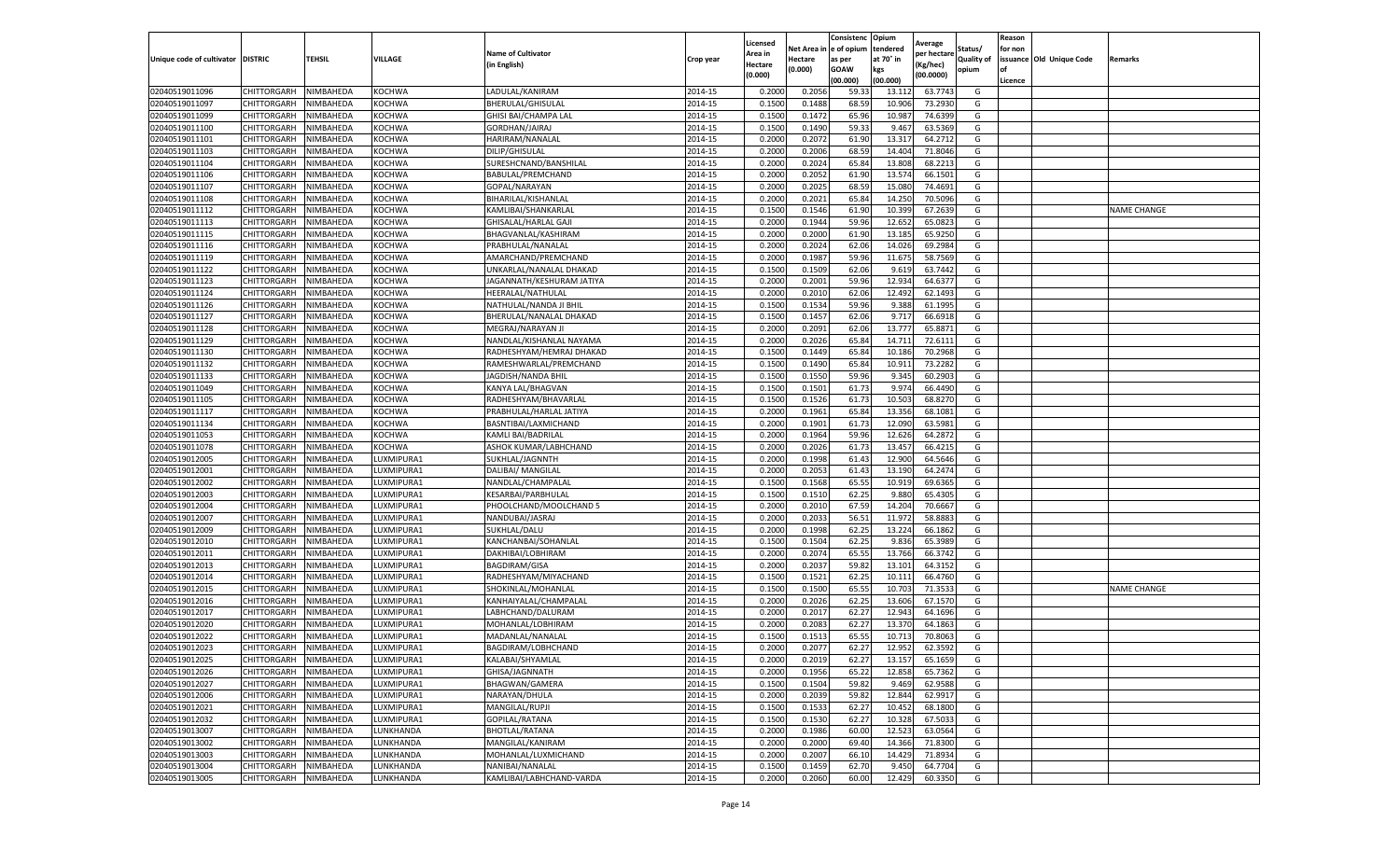|                                   |                    |           |            |                           |           | Licensed |         | Consistenc             | Opium     |                        |            | Reason  |                          |                    |
|-----------------------------------|--------------------|-----------|------------|---------------------------|-----------|----------|---------|------------------------|-----------|------------------------|------------|---------|--------------------------|--------------------|
|                                   |                    |           |            | <b>Name of Cultivator</b> |           | Area in  |         | Net Area in e of opium | tendered  | Average<br>per hectare | Status/    | for non |                          |                    |
| Unique code of cultivator DISTRIC |                    | TEHSIL    | VILLAGE    | in English)               | Crop year | Hectare  | Hectare | as per                 | at 70° in | (Kg/hec                | Quality of |         | issuance Old Unique Code | <b>Remarks</b>     |
|                                   |                    |           |            |                           |           | (0.000)  | (0.000) | <b>GOAW</b>            | kgs       | (00.0000)              | opium      |         |                          |                    |
|                                   |                    |           |            |                           |           |          |         | (00.000)               | (00.000)  |                        |            | Licence |                          |                    |
| 02040519011096                    | CHITTORGARH        | NIMBAHEDA | KOCHWA     | LADULAL/KANIRAM           | 2014-15   | 0.2000   | 0.2056  | 59.33                  | 13.11     | 63.7743                | G          |         |                          |                    |
| 02040519011097                    | CHITTORGARH        | NIMBAHEDA | KOCHWA     | BHERULAL/GHISULAL         | 2014-15   | 0.1500   | 0.1488  | 68.59                  | 10.90     | 73.2930                | G          |         |                          |                    |
| 02040519011099                    | CHITTORGARH        | NIMBAHEDA | KOCHWA     | GHISI BAI/CHAMPA LAL      | 2014-15   | 0.1500   | 0.1472  | 65.96                  | 10.987    | 74.6399                | G          |         |                          |                    |
| 02040519011100                    | CHITTORGARH        | NIMBAHEDA | KOCHWA     | GORDHAN/JAIRAJ            | 2014-15   | 0.1500   | 0.1490  | 59.33                  | 9.467     | 63.5369                | G          |         |                          |                    |
| 02040519011101                    | CHITTORGARH        | NIMBAHEDA | KOCHWA     | HARIRAM/NANALAL           | 2014-15   | 0.2000   | 0.2072  | 61.90                  | 13.317    | 64.2712                | G          |         |                          |                    |
| 02040519011103                    | CHITTORGARH        | NIMBAHEDA | KOCHWA     | DILIP/GHISULAL            | 2014-15   | 0.2000   | 0.2006  | 68.59                  | 14.404    | 71.8046                | G          |         |                          |                    |
| 02040519011104                    | CHITTORGARH        | NIMBAHEDA | KOCHWA     | SURESHCNAND/BANSHILAL     | 2014-15   | 0.2000   | 0.2024  | 65.84                  | 13.808    | 68.2213                | G          |         |                          |                    |
| 02040519011106                    | CHITTORGARH        | NIMBAHEDA | KOCHWA     | BABULAL/PREMCHAND         | 2014-15   | 0.2000   | 0.2052  | 61.90                  | 13.57     | 66.1501                | G          |         |                          |                    |
| 02040519011107                    | CHITTORGARH        | NIMBAHEDA | KOCHWA     | GOPAL/NARAYAN             | 2014-15   | 0.2000   | 0.2025  | 68.59                  | 15.08     | 74.4691                | G          |         |                          |                    |
| 02040519011108                    | CHITTORGARH        | NIMBAHEDA | KOCHWA     | BIHARILAL/KISHANLAL       | 2014-15   | 0.2000   | 0.2021  | 65.84                  | 14.250    | 70.5096                | G          |         |                          |                    |
| 02040519011112                    | CHITTORGARH        | NIMBAHEDA | KOCHWA     | KAMLIBAI/SHANKARLAL       | 2014-15   | 0.1500   | 0.1546  | 61.90                  | 10.399    | 67.2639                | G          |         |                          | <b>NAME CHANGE</b> |
| 02040519011113                    | CHITTORGARH        | NIMBAHEDA | KOCHWA     | GHISALAL/HARLAL GAJI      | 2014-15   | 0.2000   | 0.1944  | 59.96                  | 12.65     | 65.0823                | G          |         |                          |                    |
| 02040519011115                    | CHITTORGARH        | NIMBAHEDA | KOCHWA     | BHAGVANLAL/KASHIRAM       | 2014-15   | 0.2000   | 0.2000  | 61.90                  | 13.18     | 65.9250                | G          |         |                          |                    |
| 02040519011116                    | CHITTORGARH        | NIMBAHEDA | KOCHWA     | PRABHULAL/NANALAL         | 2014-15   | 0.2000   | 0.2024  | 62.06                  | 14.026    | 69.2984                | G          |         |                          |                    |
| 02040519011119                    | CHITTORGARH        | NIMBAHEDA | KOCHWA     | AMARCHAND/PREMCHAND       | 2014-15   | 0.2000   | 0.1987  | 59.96                  | 11.675    | 58.7569                | G          |         |                          |                    |
| 02040519011122                    | CHITTORGARH        | NIMBAHEDA | KOCHWA     | UNKARLAL/NANALAL DHAKAD   | 2014-15   | 0.1500   | 0.1509  | 62.06                  | 9.61      | 63.7442                | G          |         |                          |                    |
| 02040519011123                    | CHITTORGARH        | NIMBAHEDA | KOCHWA     | JAGANNATH/KESHURAM JATIYA | 2014-15   | 0.2000   | 0.2001  | 59.96                  | 12.934    | 64.6377                | G          |         |                          |                    |
| 02040519011124                    | CHITTORGARH        | NIMBAHEDA | KOCHWA     | HEERALAL/NATHULAL         | 2014-15   | 0.2000   | 0.2010  | 62.06                  | 12.492    | 62.1493                | G          |         |                          |                    |
| 02040519011126                    | CHITTORGARH        | NIMBAHEDA | KOCHWA     | NATHULAL/NANDA JI BHIL    | 2014-15   | 0.1500   | 0.1534  | 59.96                  | 9.388     | 61.1995                | G          |         |                          |                    |
| 02040519011127                    | CHITTORGARH        | NIMBAHEDA | KOCHWA     | BHERULAL/NANALAL DHAKAD   | 2014-15   | 0.1500   | 0.1457  | 62.06                  | 9.717     | 66.6918                | G          |         |                          |                    |
| 02040519011128                    | CHITTORGARH        | NIMBAHEDA | KOCHWA     | MEGRAJ/NARAYAN JI         | 2014-15   | 0.2000   | 0.2091  | 62.06                  | 13.777    | 65.8871                | G          |         |                          |                    |
| 02040519011129                    | CHITTORGARH        | NIMBAHEDA | KOCHWA     | NANDLAL/KISHANLAL NAYAMA  | 2014-15   | 0.2000   | 0.2026  | 65.84                  | 14.71     | 72.6111                | G          |         |                          |                    |
| 02040519011130                    | CHITTORGARH        | NIMBAHEDA | KOCHWA     | RADHESHYAM/HEMRAJ DHAKAD  | 2014-15   | 0.1500   | 0.1449  | 65.84                  | 10.186    | 70.2968                | G          |         |                          |                    |
| 02040519011132                    | CHITTORGARH        | NIMBAHEDA | KOCHWA     | RAMESHWARLAL/PREMCHAND    | 2014-15   | 0.1500   | 0.1490  | 65.84                  | 10.911    | 73.2282                | G          |         |                          |                    |
| 02040519011133                    | CHITTORGARH        | NIMBAHEDA | KOCHWA     | JAGDISH/NANDA BHII        | 2014-15   | 0.1500   | 0.1550  | 59.96                  | 9.345     | 60.2903                | G          |         |                          |                    |
| 02040519011049                    | CHITTORGARH        | NIMBAHEDA | KOCHWA     | KANYA LAL/BHAGVAN         | 2014-15   | 0.1500   | 0.1501  | 61.73                  | 9.974     | 66.4490                | G          |         |                          |                    |
| 02040519011105                    | CHITTORGARH        | NIMBAHEDA | KOCHWA     | RADHESHYAM/BHAVARLAI      | 2014-15   | 0.1500   | 0.1526  | 61.73                  | 10.503    | 68.8270                | G          |         |                          |                    |
| 02040519011117                    | CHITTORGARH        | NIMBAHEDA | KOCHWA     | PRABHULAL/HARLAL JATIYA   | 2014-15   | 0.2000   | 0.1961  | 65.84                  | 13.356    | 68.1081                | G          |         |                          |                    |
| 02040519011134                    | CHITTORGARH        | NIMBAHEDA | KOCHWA     | BASNTIBAI/LAXMICHAND      | 2014-15   | 0.2000   | 0.1901  | 61.73                  | 12.090    | 63.5981                | G          |         |                          |                    |
| 02040519011053                    | CHITTORGARH        | NIMBAHEDA | KOCHWA     | KAMLI BAI/BADRILAL        | 2014-15   | 0.2000   | 0.1964  | 59.96                  | 12.626    | 64.2872                | G          |         |                          |                    |
| 02040519011078                    | CHITTORGARH        | NIMBAHEDA | KOCHWA     | ASHOK KUMAR/LABHCHAND     | 2014-15   | 0.2000   | 0.2026  | 61.73                  | 13.45     | 66.4215                | G          |         |                          |                    |
| 02040519012005                    | CHITTORGARH        | NIMBAHEDA | LUXMIPURA1 | SUKHLAL/JAGNNTH           | 2014-15   | 0.2000   | 0.1998  | 61.43                  | 12.900    | 64.5646                | G          |         |                          |                    |
| 02040519012001                    | CHITTORGARH        | NIMBAHEDA | LUXMIPURA1 | DALIBAI/ MANGILAL         | 2014-15   | 0.2000   | 0.2053  | 61.43                  | 13.19     | 64.2474                | G          |         |                          |                    |
| 02040519012002                    | CHITTORGARH        | NIMBAHEDA | LUXMIPURA1 | NANDLAL/CHAMPALAL         | 2014-15   | 0.1500   | 0.1568  | 65.55                  | 10.919    | 69.6365                | G          |         |                          |                    |
| 02040519012003                    | CHITTORGARH        | NIMBAHEDA | LUXMIPURA1 | KESARBAI/PARBHULAL        | 2014-15   | 0.1500   | 0.1510  | 62.25                  | 9.880     | 65.4305                | G          |         |                          |                    |
| 02040519012004                    | CHITTORGARH        | NIMBAHEDA | LUXMIPURA1 | PHOOLCHAND/MOOLCHAND 5    | 2014-15   | 0.2000   | 0.2010  | 67.59                  | 14.204    | 70.6667                | G          |         |                          |                    |
| 02040519012007                    | CHITTORGARH        | NIMBAHEDA | LUXMIPURA1 | NANDUBAI/JASRAJ           | 2014-15   | 0.2000   | 0.2033  | 56.51                  | 11.972    | 58.888                 | G          |         |                          |                    |
| 02040519012009                    | CHITTORGARH        | NIMBAHEDA | UXMIPURA1  | SUKHLAL/DALU              | 2014-15   | 0.2000   | 0.1998  | 62.25                  | 13.22     | 66.1862                | G          |         |                          |                    |
| 02040519012010                    | CHITTORGARH        | NIMBAHEDA | LUXMIPURA1 | KANCHANBAI/SOHANLAL       | 2014-15   | 0.1500   | 0.1504  | 62.25                  | 9.836     | 65.3989                | G          |         |                          |                    |
| 02040519012011                    | CHITTORGARH        | NIMBAHEDA | LUXMIPURA1 | DAKHIBAI/LOBHIRAM         | 2014-15   | 0.2000   | 0.2074  | 65.55                  | 13.766    | 66.3742                | G          |         |                          |                    |
| 02040519012013                    | CHITTORGARH        | NIMBAHEDA | UXMIPURA1  | <b>BAGDIRAM/GISA</b>      | 2014-15   | 0.2000   | 0.2037  | 59.82                  | 13.101    | 64.3152                | G          |         |                          |                    |
| 02040519012014                    | CHITTORGARH        | NIMBAHEDA | LUXMIPURA1 | RADHESHYAM/MIYACHAND      | 2014-15   | 0.1500   | 0.1521  | 62.25                  | 10.11     | 66.4760                | G          |         |                          |                    |
| 02040519012015                    | CHITTORGARH        | NIMBAHEDA | LUXMIPURA1 | SHOKINLAL/MOHANLAL        | 2014-15   | 0.1500   | 0.1500  | 65.55                  | 10.703    | 71.3533                | G          |         |                          | <b>NAME CHANGE</b> |
| 02040519012016                    | CHITTORGARH        | NIMBAHEDA | LUXMIPURA1 | KANHAIYALAL/CHAMPALAL     | 2014-15   | 0.2000   | 0.2026  | 62.25                  | 13.606    | 67.1570                | G          |         |                          |                    |
| 02040519012017                    | CHITTORGARH        | NIMBAHEDA | LUXMIPURA1 | LABHCHAND/DALURAM         | 2014-15   | 0.2000   | 0.2017  | 62.27                  | 12.943    | 64.1696                | G          |         |                          |                    |
| 02040519012020                    | CHITTORGARH        | NIMBAHEDA | LUXMIPURA1 | MOHANLAL/LOBHIRAM         | 2014-15   | 0.2000   | 0.2083  | 62.27                  | 13.37     | 64.1863                | G          |         |                          |                    |
| 02040519012022                    | CHITTORGARH        | NIMBAHEDA | UXMIPURA1  | MADANLAL/NANALAL          | 2014-15   | 0.1500   | 0.1513  | 65.55                  | 10.71     | 70.8063                | G          |         |                          |                    |
| 02040519012023                    | CHITTORGARH        | NIMBAHEDA | LUXMIPURA1 | BAGDIRAM/LOBHCHAND        | 2014-15   | 0.2000   | 0.2077  | 62.27                  | 12.952    | 62.3592                | G          |         |                          |                    |
| 02040519012025                    | CHITTORGARH        | NIMBAHEDA | LUXMIPURA1 | KALABAI/SHYAMLAL          | 2014-15   | 0.2000   | 0.2019  | 62.27                  | 13.157    | 65.1659                | G          |         |                          |                    |
| 02040519012026                    | CHITTORGARH        | NIMBAHEDA | LUXMIPURA1 | GHISA/JAGNNATH            | 2014-15   | 0.2000   | 0.1956  | 65.22                  | 12.858    | 65.7362                | G          |         |                          |                    |
| 02040519012027                    | CHITTORGARH        | NIMBAHEDA | LUXMIPURA1 | BHAGWAN/GAMERA            | 2014-15   | 0.1500   | 0.1504  | 59.82                  | 9.469     | 62.9588                | G          |         |                          |                    |
| 02040519012006                    | CHITTORGARH        | NIMBAHEDA | LUXMIPURA1 | NARAYAN/DHULA             | 2014-15   | 0.2000   | 0.2039  | 59.82                  | 12.844    | 62.9917                | G          |         |                          |                    |
| 02040519012021                    | <b>CHITTORGARH</b> | NIMBAHEDA | LUXMIPURA1 | MANGILAL/RUPJI            | 2014-15   | 0.1500   | 0.1533  | 62.27                  | 10.452    | 68.1800                | G          |         |                          |                    |
| 02040519012032                    | <b>CHITTORGARH</b> | NIMBAHEDA | LUXMIPURA1 | GOPILAL/RATANA            | 2014-15   | 0.1500   | 0.1530  | 62.27                  | 10.328    | 67.5033                | G          |         |                          |                    |
| 02040519013007                    | CHITTORGARH        | NIMBAHEDA | LUNKHANDA  | BHOTLAL/RATANA            | 2014-15   | 0.2000   | 0.1986  | 60.00                  | 12.523    | 63.0564                | G          |         |                          |                    |
| 02040519013002                    | <b>CHITTORGARH</b> | NIMBAHEDA | LUNKHANDA  | MANGILAL/KANIRAM          | 2014-15   | 0.2000   | 0.2000  | 69.40                  | 14.366    | 71.8300                | G          |         |                          |                    |
| 02040519013003                    | CHITTORGARH        | NIMBAHEDA | LUNKHANDA  | MOHANLAL/LUXMICHAND       | 2014-15   | 0.2000   | 0.2007  | 66.10                  | 14.429    | 71.8934                | G          |         |                          |                    |
| 02040519013004                    | CHITTORGARH        | NIMBAHEDA | LUNKHANDA  | NANIBAI/NANALAL           | 2014-15   | 0.1500   | 0.1459  | 62.70                  | 9.45      | 64.7704                | G          |         |                          |                    |
| 02040519013005                    | <b>CHITTORGARH</b> | NIMBAHEDA | LUNKHANDA  | KAMLIBAI/LABHCHAND-VARDA  | 2014-15   | 0.2000   | 0.2060  | 60.00                  | 12.429    | 60.3350                | G          |         |                          |                    |
|                                   |                    |           |            |                           |           |          |         |                        |           |                        |            |         |                          |                    |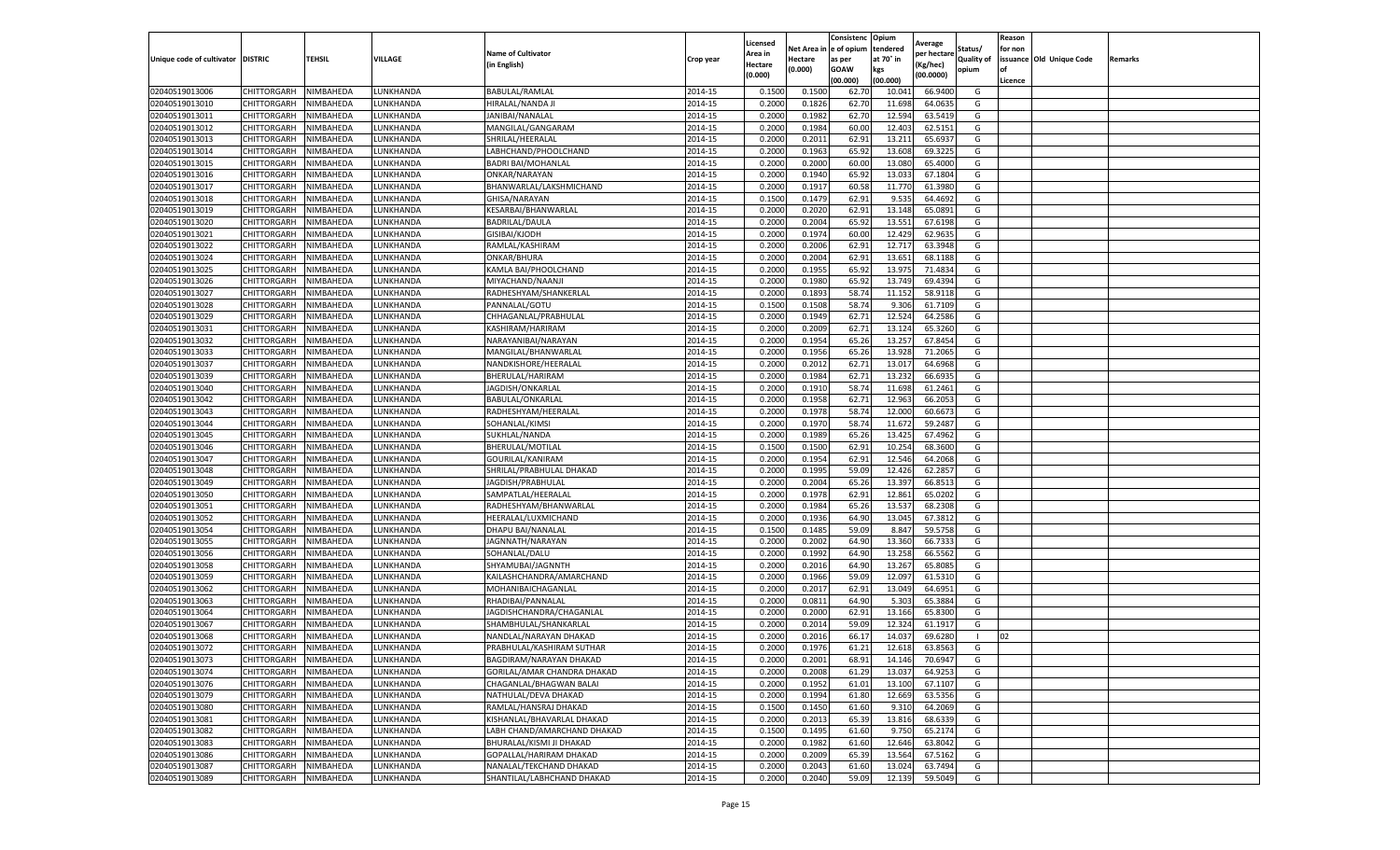|                                   |                    |           |           |                             |           | Licensed |         | Consistenc             | Opium     |                        |                   | Reason  |                          |                |
|-----------------------------------|--------------------|-----------|-----------|-----------------------------|-----------|----------|---------|------------------------|-----------|------------------------|-------------------|---------|--------------------------|----------------|
|                                   |                    |           |           | <b>Name of Cultivator</b>   |           | Area in  |         | Net Area in e of opium | tendered  | Average<br>per hectare | Status/           | for non |                          |                |
| Unique code of cultivator DISTRIC |                    | TEHSIL    | VILLAGE   | in English)                 | Crop year | Hectare  | Hectare | as per                 | at 70° in | (Kg/hec                | <b>Quality of</b> |         | issuance Old Unique Code | <b>Remarks</b> |
|                                   |                    |           |           |                             |           | (0.000)  | (0.000) | <b>GOAW</b>            | kgs       | (00.0000)              | opium             |         |                          |                |
|                                   |                    |           |           |                             |           |          |         | (00.000)               | (00.000)  |                        |                   | Licence |                          |                |
| 02040519013006                    | CHITTORGARH        | NIMBAHEDA | LUNKHANDA | <b>BABULAL/RAMLAL</b>       | 2014-15   | 0.1500   | 0.1500  | 62.70                  | 10.04     | 66.9400                | G                 |         |                          |                |
| 02040519013010                    | CHITTORGARH        | NIMBAHEDA | LUNKHANDA | HIRALAL/NANDA JI            | 2014-15   | 0.2000   | 0.1826  | 62.70                  | 11.69     | 64.0635                | G                 |         |                          |                |
| 02040519013011                    | CHITTORGARH        | NIMBAHEDA | UNKHANDA. | JANIBAI/NANALAL             | 2014-15   | 0.2000   | 0.1982  | 62.70                  | 12.594    | 63.5419                | G                 |         |                          |                |
| 02040519013012                    | CHITTORGARH        | NIMBAHEDA | LUNKHANDA | MANGILAL/GANGARAM           | 2014-15   | 0.2000   | 0.1984  | 60.00                  | 12.403    | 62.5151                | G                 |         |                          |                |
| 02040519013013                    | CHITTORGARH        | NIMBAHEDA | LUNKHANDA | SHRILAL/HEERALAL            | 2014-15   | 0.2000   | 0.2011  | 62.91                  | 13.211    | 65.693                 | G                 |         |                          |                |
| 02040519013014                    | CHITTORGARH        | NIMBAHEDA | UNKHANDA. | LABHCHAND/PHOOLCHAND        | 2014-15   | 0.2000   | 0.1963  | 65.92                  | 13.608    | 69.3225                | G                 |         |                          |                |
| 02040519013015                    | CHITTORGARH        | NIMBAHEDA | LUNKHANDA | <b>BADRI BAI/MOHANLAL</b>   | 2014-15   | 0.2000   | 0.2000  | 60.00                  | 13.080    | 65.4000                | G                 |         |                          |                |
| 02040519013016                    | CHITTORGARH        | NIMBAHEDA | LUNKHANDA | ONKAR/NARAYAN               | 2014-15   | 0.2000   | 0.1940  | 65.92                  | 13.03     | 67.1804                | G                 |         |                          |                |
| 02040519013017                    | CHITTORGARH        | NIMBAHEDA | LUNKHANDA | BHANWARLAL/LAKSHMICHAND     | 2014-15   | 0.2000   | 0.1917  | 60.58                  | 11.77     | 61.3980                | G                 |         |                          |                |
| 02040519013018                    | CHITTORGARH        | NIMBAHEDA | LUNKHANDA | GHISA/NARAYAN               | 2014-15   | 0.1500   | 0.1479  | 62.91                  | 9.535     | 64.4692                | G                 |         |                          |                |
| 02040519013019                    | CHITTORGARH        | NIMBAHEDA | LUNKHANDA | KESARBAI/BHANWARLAL         | 2014-15   | 0.2000   | 0.2020  | 62.91                  | 13.14     | 65.0891                | G                 |         |                          |                |
| 02040519013020                    | CHITTORGARH        | NIMBAHEDA | UNKHANDA. | <b>BADRILAL/DAULA</b>       | 2014-15   | 0.2000   | 0.2004  | 65.92                  | 13.551    | 67.6198                | G                 |         |                          |                |
| 02040519013021                    | CHITTORGARH        | NIMBAHEDA | LUNKHANDA | GISIBAI/KJODH               | 2014-15   | 0.2000   | 0.1974  | 60.00                  | 12.429    | 62.9635                | G                 |         |                          |                |
| 02040519013022                    | CHITTORGARH        | NIMBAHEDA | LUNKHANDA | RAMLAL/KASHIRAM             | 2014-15   | 0.2000   | 0.2006  | 62.91                  | 12.717    | 63.3948                | G                 |         |                          |                |
| 02040519013024                    | CHITTORGARH        | NIMBAHEDA | LUNKHANDA | ONKAR/BHURA                 | 2014-15   | 0.2000   | 0.2004  | 62.91                  | 13.651    | 68.1188                | G                 |         |                          |                |
| 02040519013025                    | CHITTORGARH        | NIMBAHEDA | LUNKHANDA | KAMLA BAI/PHOOLCHAND        | 2014-15   | 0.2000   | 0.1955  | 65.92                  | 13.97     | 71.4834                | G                 |         |                          |                |
| 02040519013026                    | CHITTORGARH        | NIMBAHEDA | LUNKHANDA | MIYACHAND/NAANJI            | 2014-15   | 0.2000   | 0.1980  | 65.92                  | 13.749    | 69.4394                | G                 |         |                          |                |
| 02040519013027                    | CHITTORGARH        | NIMBAHEDA | LUNKHANDA | RADHESHYAM/SHANKERLAL       | 2014-15   | 0.2000   | 0.1893  | 58.74                  | 11.15     | 58.9118                | G                 |         |                          |                |
| 02040519013028                    | CHITTORGARH        | NIMBAHEDA | UNKHANDA. | PANNALAL/GOTU               | 2014-15   | 0.1500   | 0.1508  | 58.74                  | 9.30      | 61.7109                | G                 |         |                          |                |
| 02040519013029                    | CHITTORGARH        | NIMBAHEDA | UNKHANDA  | CHHAGANLAL/PRABHULAL        | 2014-15   | 0.2000   | 0.1949  | 62.71                  | 12.524    | 64.2586                | G                 |         |                          |                |
| 02040519013031                    | CHITTORGARH        | NIMBAHEDA | LUNKHANDA | KASHIRAM/HARIRAM            | 2014-15   | 0.2000   | 0.2009  | 62.71                  | 13.124    | 65.3260                | G                 |         |                          |                |
| 02040519013032                    | CHITTORGARH        | NIMBAHEDA | UNKHANDA. | NARAYANIBAI/NARAYAN         | 2014-15   | 0.2000   | 0.1954  | 65.26                  | 13.257    | 67.8454                | G                 |         |                          |                |
| 02040519013033                    | CHITTORGARH        | NIMBAHEDA | LUNKHANDA | MANGILAL/BHANWARLAI         | 2014-15   | 0.2000   | 0.1956  | 65.26                  | 13.928    | 71.2065                | G                 |         |                          |                |
| 02040519013037                    | CHITTORGARH        | NIMBAHEDA | LUNKHANDA | NANDKISHORE/HEERALAL        | 2014-15   | 0.2000   | 0.2012  | 62.71                  | 13.017    | 64.6968                | G                 |         |                          |                |
| 02040519013039                    | CHITTORGARH        | NIMBAHEDA | UNKHANDA. | BHERULAL/HARIRAM            | 2014-15   | 0.2000   | 0.1984  | 62.71                  | 13.23     | 66.6935                | G                 |         |                          |                |
| 02040519013040                    | CHITTORGARH        | NIMBAHEDA | LUNKHANDA | JAGDISH/ONKARLAL            | 2014-15   | 0.2000   | 0.1910  | 58.74                  | 11.698    | 61.2461                | G                 |         |                          |                |
| 02040519013042                    | CHITTORGARH        | NIMBAHEDA | LUNKHANDA | BABULAL/ONKARLAL            | 2014-15   | 0.2000   | 0.1958  | 62.71                  | 12.963    | 66.2053                | G                 |         |                          |                |
| 02040519013043                    | CHITTORGARH        | NIMBAHEDA | UNKHANDA. | RADHESHYAM/HEERALAL         | 2014-15   | 0.2000   | 0.1978  | 58.74                  | 12.000    | 60.6673                | G                 |         |                          |                |
| 02040519013044                    | CHITTORGARH        | NIMBAHEDA | LUNKHANDA | SOHANLAL/KIMSI              | 2014-15   | 0.2000   | 0.1970  | 58.74                  | 11.672    | 59.2487                | G                 |         |                          |                |
| 02040519013045                    | CHITTORGARH        | NIMBAHEDA | LUNKHANDA | SUKHLAL/NANDA               | 2014-15   | 0.2000   | 0.1989  | 65.26                  | 13.425    | 67.4962                | G                 |         |                          |                |
| 02040519013046                    | CHITTORGARH        | NIMBAHEDA | UNKHANDA. | BHERULAL/MOTILAL            | 2014-15   | 0.1500   | 0.1500  | 62.91                  | 10.254    | 68.3600                | G                 |         |                          |                |
| 02040519013047                    | CHITTORGARH        | NIMBAHEDA | LUNKHANDA | GOURILAL/KANIRAM            | 2014-15   | 0.2000   | 0.1954  | 62.91                  | 12.546    | 64.2068                | G                 |         |                          |                |
| 02040519013048                    | CHITTORGARH        | NIMBAHEDA | LUNKHANDA | SHRILAL/PRABHULAL DHAKAD    | 2014-15   | 0.2000   | 0.1995  | 59.09                  | 12.426    | 62.285                 | G                 |         |                          |                |
| 02040519013049                    | CHITTORGARH        | NIMBAHEDA | LUNKHANDA | JAGDISH/PRABHULAL           | 2014-15   | 0.2000   | 0.2004  | 65.26                  | 13.397    | 66.8513                | G                 |         |                          |                |
| 02040519013050                    | CHITTORGARH        | NIMBAHEDA | LUNKHANDA | SAMPATLAL/HEERALAL          | 2014-15   | 0.2000   | 0.1978  | 62.91                  | 12.861    | 65.0202                | G                 |         |                          |                |
| 02040519013051                    | CHITTORGARH        | NIMBAHEDA | LUNKHANDA | RADHESHYAM/BHANWARLAL       | 2014-15   | 0.2000   | 0.1984  | 65.26                  | 13.53     | 68.2308                | G                 |         |                          |                |
| 02040519013052                    | CHITTORGARH        | NIMBAHEDA | LUNKHANDA | HEERALAL/LUXMICHAND         | 2014-15   | 0.2000   | 0.1936  | 64.90                  | 13.045    | 67.3812                | G                 |         |                          |                |
| 02040519013054                    | CHITTORGARH        | NIMBAHEDA | UNKHANDA  | DHAPU BAI/NANALAI           | 2014-15   | 0.1500   | 0.1485  | 59.09                  | 8.84      | 59.5758                | G                 |         |                          |                |
| 02040519013055                    | CHITTORGARH        | NIMBAHEDA | LUNKHANDA | JAGNNATH/NARAYAN            | 2014-15   | 0.2000   | 0.2002  | 64.90                  | 13.360    | 66.733                 | G                 |         |                          |                |
| 02040519013056                    | CHITTORGARH        | NIMBAHEDA | LUNKHANDA | SOHANLAL/DALU               | 2014-15   | 0.2000   | 0.1992  | 64.90                  | 13.258    | 66.5562                | G                 |         |                          |                |
| 02040519013058                    | CHITTORGARH        | NIMBAHEDA | UNKHANDA. | SHYAMUBAI/JAGNNTH           | 2014-15   | 0.2000   | 0.2016  | 64.90                  | 13.267    | 65.8085                | G                 |         |                          |                |
| 02040519013059                    | CHITTORGARH        | NIMBAHEDA | LUNKHANDA | KAILASHCHANDRA/AMARCHAND    | 2014-15   | 0.2000   | 0.1966  | 59.09                  | 12.097    | 61.5310                | G                 |         |                          |                |
| 02040519013062                    | CHITTORGARH        | NIMBAHEDA | LUNKHANDA | MOHANIBAICHAGANLAL          | 2014-15   | 0.2000   | 0.2017  | 62.91                  | 13.049    | 64.6951                | G                 |         |                          |                |
| 02040519013063                    | CHITTORGARH        | NIMBAHEDA | LUNKHANDA | RHADIBAI/PANNALAL           | 2014-15   | 0.2000   | 0.0811  | 64.90                  | 5.303     | 65.3884                | G                 |         |                          |                |
| 02040519013064                    | CHITTORGARH        | NIMBAHEDA | LUNKHANDA | JAGDISHCHANDRA/CHAGANLAL    | 2014-15   | 0.2000   | 0.2000  | 62.91                  | 13.166    | 65.8300                | G                 |         |                          |                |
| 02040519013067                    | CHITTORGARH        | NIMBAHEDA | LUNKHANDA | SHAMBHULAL/SHANKARLAI       | 2014-15   | 0.2000   | 0.2014  | 59.09                  | 12.324    | 61.1917                | G                 |         |                          |                |
| 02040519013068                    | CHITTORGARH        | NIMBAHEDA | UNKHANDA. | NANDLAL/NARAYAN DHAKAD      | 2014-15   | 0.2000   | 0.2016  | 66.17                  | 14.03     | 69.6280                | -1                | 02      |                          |                |
| 02040519013072                    | CHITTORGARH        | NIMBAHEDA | LUNKHANDA | PRABHULAL/KASHIRAM SUTHAR   | 2014-15   | 0.2000   | 0.1976  | 61.21                  | 12.618    | 63.8563                | G                 |         |                          |                |
| 02040519013073                    | CHITTORGARH        | NIMBAHEDA | LUNKHANDA | BAGDIRAM/NARAYAN DHAKAD     | 2014-15   | 0.2000   | 0.2001  | 68.91                  | 14.146    | 70.6947                | G                 |         |                          |                |
| 02040519013074                    | CHITTORGARH        | NIMBAHEDA | LUNKHANDA | GORILAL/AMAR CHANDRA DHAKAD | 2014-15   | 0.2000   | 0.2008  | 61.29                  | 13.037    | 64.9253                | G                 |         |                          |                |
| 02040519013076                    | <b>CHITTORGARH</b> | NIMBAHEDA | LUNKHANDA | CHAGANLAL/BHAGWAN BALAI     | 2014-15   | 0.2000   | 0.1952  | 61.01                  | 13.100    | 67.1107                | G                 |         |                          |                |
| 02040519013079                    | CHITTORGARH        | NIMBAHEDA | LUNKHANDA | NATHULAL/DEVA DHAKAD        | 2014-15   | 0.2000   | 0.1994  | 61.80                  | 12.669    | 63.5356                | G                 |         |                          |                |
| 02040519013080                    | CHITTORGARH        | NIMBAHEDA | LUNKHANDA | RAMLAL/HANSRAJ DHAKAD       | 2014-15   | 0.1500   | 0.1450  | 61.60                  | 9.31      | 64.2069                | G                 |         |                          |                |
| 02040519013081                    | <b>CHITTORGARH</b> | NIMBAHEDA | LUNKHANDA | KISHANLAL/BHAVARLAL DHAKAD  | 2014-15   | 0.2000   | 0.2013  | 65.39                  | 13.816    | 68.6339                | G                 |         |                          |                |
| 02040519013082                    | CHITTORGARH        | NIMBAHEDA | LUNKHANDA | LABH CHAND/AMARCHAND DHAKAD | 2014-15   | 0.1500   | 0.1495  | 61.60                  | 9.750     | 65.2174                | G                 |         |                          |                |
| 02040519013083                    | CHITTORGARH        | NIMBAHEDA | LUNKHANDA | BHURALAL/KISMI JI DHAKAD    | 2014-15   | 0.2000   | 0.1982  | 61.60                  | 12.646    | 63.8042                | G                 |         |                          |                |
| 02040519013086                    | CHITTORGARH        | NIMBAHEDA | LUNKHANDA | GOPALLAL/HARIRAM DHAKAD     | 2014-15   | 0.2000   | 0.2009  | 65.39                  | 13.564    | 67.5162                | G                 |         |                          |                |
|                                   |                    |           |           | NANALAL/TEKCHAND DHAKAD     |           |          |         |                        |           |                        |                   |         |                          |                |
| 02040519013087                    | CHITTORGARH        | NIMBAHEDA | LUNKHANDA |                             | 2014-15   | 0.2000   | 0.2043  | 61.60                  | 13.024    | 63.7494                | G                 |         |                          |                |
| 02040519013089                    | <b>CHITTORGARH</b> | NIMBAHEDA | LUNKHANDA | SHANTILAL/LABHCHAND DHAKAD  | 2014-15   | 0.2000   | 0.2040  | 59.09                  | 12.139    | 59.5049                | G                 |         |                          |                |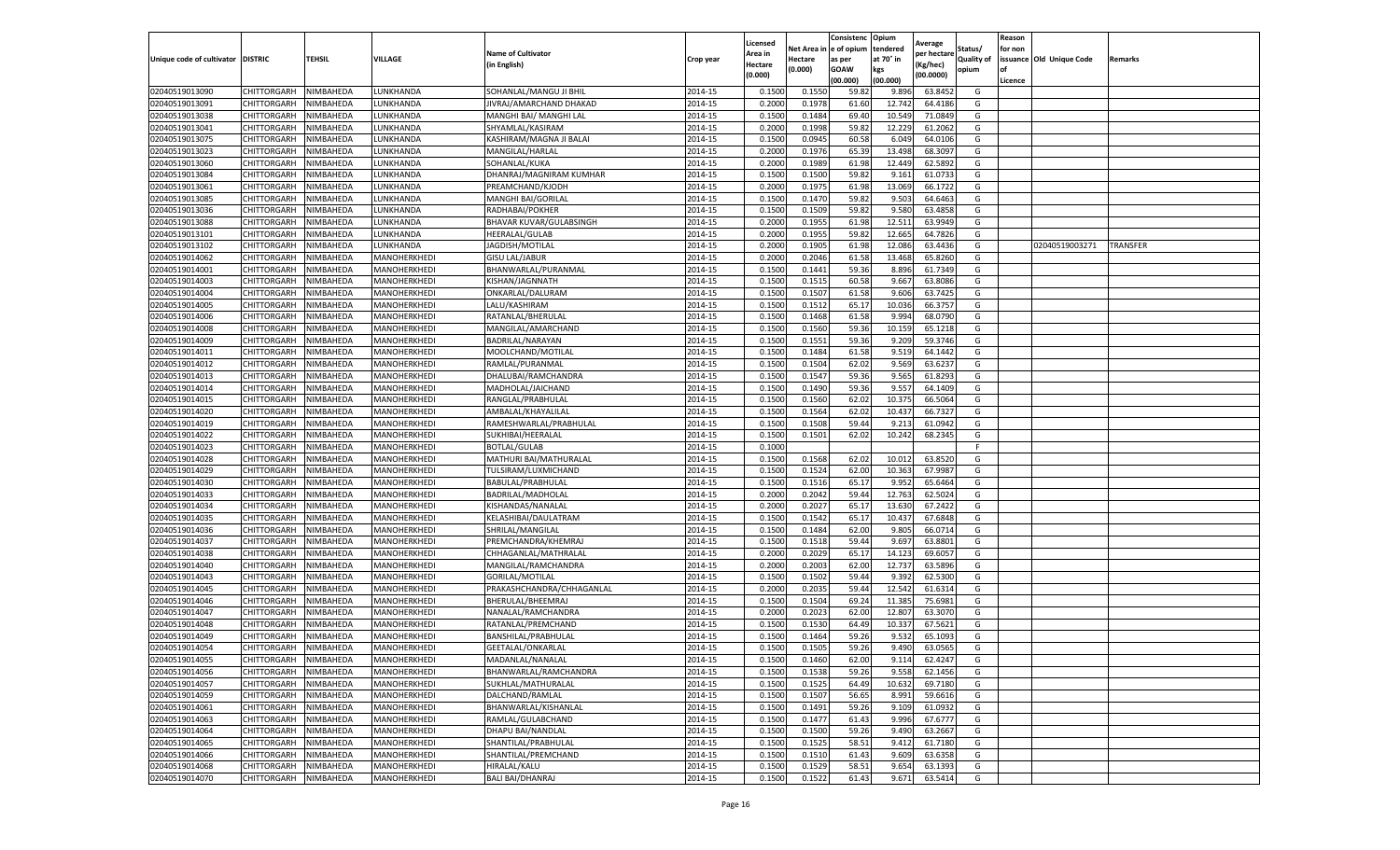|                                   |                    |           |              |                           |           | Licensed |         | Consistenc             | Opium     |                        |                   | Reason  |                          |                 |
|-----------------------------------|--------------------|-----------|--------------|---------------------------|-----------|----------|---------|------------------------|-----------|------------------------|-------------------|---------|--------------------------|-----------------|
|                                   |                    |           |              | <b>Name of Cultivator</b> |           | Area in  |         | Net Area in e of opium | tendered  | Average<br>per hectare | Status/           | for non |                          |                 |
| Unique code of cultivator DISTRIC |                    | TEHSIL    | VILLAGE      | in English)               | Crop year | Hectare  | Hectare | as per                 | at 70° in | (Kg/hec                | <b>Quality of</b> |         | issuance Old Unique Code | <b>Remarks</b>  |
|                                   |                    |           |              |                           |           | (0.000)  | (0.000) | <b>GOAW</b>            | kgs       | (00.0000)              | opium             |         |                          |                 |
|                                   |                    |           |              |                           |           |          |         | (00.000)               | (00.000)  |                        |                   | Licence |                          |                 |
| 02040519013090                    | CHITTORGARH        | NIMBAHEDA | LUNKHANDA    | SOHANLAL/MANGU JI BHIL    | 2014-15   | 0.1500   | 0.1550  | 59.82                  | 9.896     | 63.8452                | G                 |         |                          |                 |
| 02040519013091                    | CHITTORGARH        | NIMBAHEDA | LUNKHANDA    | JIVRAJ/AMARCHAND DHAKAD   | 2014-15   | 0.2000   | 0.1978  | 61.60                  | 12.74     | 64.4186                | G                 |         |                          |                 |
| 02040519013038                    | CHITTORGARH        | NIMBAHEDA | LUNKHANDA    | MANGHI BAI/ MANGHI LAL    | 2014-15   | 0.1500   | 0.1484  | 69.40                  | 10.54     | 71.0849                | G                 |         |                          |                 |
| 02040519013041                    | CHITTORGARH        | NIMBAHEDA | LUNKHANDA    | SHYAMLAL/KASIRAM          | 2014-15   | 0.2000   | 0.1998  | 59.82                  | 12.229    | 61.2062                | G                 |         |                          |                 |
| 02040519013075                    | CHITTORGARH        | NIMBAHEDA | LUNKHANDA    | KASHIRAM/MAGNA JI BALAI   | 2014-15   | 0.1500   | 0.0945  | 60.58                  | 6.049     | 64.0106                | G                 |         |                          |                 |
| 02040519013023                    | CHITTORGARH        | NIMBAHEDA | UNKHANDA     | MANGILAL/HARLAL           | 2014-15   | 0.2000   | 0.1976  | 65.39                  | 13.49     | 68.3097                | G                 |         |                          |                 |
| 02040519013060                    | CHITTORGARH        | NIMBAHEDA | LUNKHANDA    | SOHANLAL/KUKA             | 2014-15   | 0.2000   | 0.1989  | 61.98                  | 12.449    | 62.5892                | G                 |         |                          |                 |
| 02040519013084                    | CHITTORGARH        | NIMBAHEDA | LUNKHANDA    | DHANRAJ/MAGNIRAM KUMHAR   | 2014-15   | 0.1500   | 0.1500  | 59.82                  | 9.161     | 61.073                 | G                 |         |                          |                 |
| 02040519013061                    | CHITTORGARH        | NIMBAHEDA | LUNKHANDA    | PREAMCHAND/KJODH          | 2014-15   | 0.2000   | 0.1975  | 61.98                  | 13.069    | 66.1722                | G                 |         |                          |                 |
| 02040519013085                    | CHITTORGARH        | NIMBAHEDA | LUNKHANDA    | MANGHI BAI/GORILAL        | 2014-15   | 0.1500   | 0.1470  | 59.82                  | 9.503     | 64.6463                | G                 |         |                          |                 |
| 02040519013036                    | CHITTORGARH        | NIMBAHEDA | LUNKHANDA    | RADHABAI/POKHER           | 2014-15   | 0.1500   | 0.1509  | 59.82                  | 9.580     | 63.4858                | G                 |         |                          |                 |
| 02040519013088                    | CHITTORGARH        | NIMBAHEDA | LUNKHANDA    | BHAVAR KUVAR/GULABSINGH   | 2014-15   | 0.2000   | 0.1955  | 61.98                  | 12.51     | 63.9949                | G                 |         |                          |                 |
| 02040519013101                    | CHITTORGARH        | NIMBAHEDA | LUNKHANDA    | HEERALAL/GULAB            | 2014-15   | 0.2000   | 0.1955  | 59.82                  | 12.665    | 64.7826                | G                 |         |                          |                 |
| 02040519013102                    | CHITTORGARH        | NIMBAHEDA | LUNKHANDA    | JAGDISH/MOTILAL           | 2014-15   | 0.2000   | 0.1905  | 61.98                  | 12.086    | 63.4436                | G                 |         | 02040519003271           | <b>TRANSFER</b> |
| 02040519014062                    | CHITTORGARH        | NIMBAHEDA | MANOHERKHEDI | <b>GISU LAL/JABUR</b>     | 2014-15   | 0.2000   | 0.2046  | 61.58                  | 13.468    | 65.8260                | G                 |         |                          |                 |
| 02040519014001                    | CHITTORGARH        | NIMBAHEDA | MANOHERKHEDI | BHANWARLAL/PURANMAL       | 2014-15   | 0.1500   | 0.1441  | 59.36                  | 8.896     | 61.7349                | G                 |         |                          |                 |
| 02040519014003                    | CHITTORGARH        | NIMBAHEDA | MANOHERKHEDI | KISHAN/JAGNNATH           | 2014-15   | 0.1500   | 0.1515  | 60.58                  | 9.667     | 63.8086                | G                 |         |                          |                 |
| 02040519014004                    | CHITTORGARH        | NIMBAHEDA | MANOHERKHEDI | ONKARLAL/DALURAM          | 2014-15   | 0.1500   | 0.1507  | 61.58                  | 9.606     | 63.7425                | G                 |         |                          |                 |
| 02040519014005                    | CHITTORGARH        | NIMBAHEDA | MANOHERKHEDI | LALU/KASHIRAM             | 2014-15   | 0.1500   | 0.1512  | 65.1                   | 10.03     | 66.3757                | G                 |         |                          |                 |
| 02040519014006                    | CHITTORGARH        | NIMBAHEDA | MANOHERKHEDI | RATANLAL/BHERULAI         | 2014-15   | 0.1500   | 0.1468  | 61.58                  | 9.994     | 68.0790                | G                 |         |                          |                 |
| 02040519014008                    | CHITTORGARH        | NIMBAHEDA | MANOHERKHEDI | MANGILAL/AMARCHAND        | 2014-15   | 0.1500   | 0.1560  | 59.36                  | 10.159    | 65.1218                | G                 |         |                          |                 |
| 02040519014009                    | CHITTORGARH        | NIMBAHEDA | MANOHERKHEDI | BADRILAL/NARAYAN          | 2014-15   | 0.1500   | 0.1551  | 59.36                  | 9.209     | 59.3746                | G                 |         |                          |                 |
| 02040519014011                    | CHITTORGARH        | NIMBAHEDA | MANOHERKHEDI | MOOLCHAND/MOTILAL         | 2014-15   | 0.1500   | 0.1484  | 61.58                  | 9.519     | 64.1442                | G                 |         |                          |                 |
| 02040519014012                    | CHITTORGARH        | NIMBAHEDA | MANOHERKHEDI | RAMLAL/PURANMAL           | 2014-15   | 0.1500   | 0.1504  | 62.02                  | 9.569     | 63.6237                | G                 |         |                          |                 |
| 02040519014013                    | CHITTORGARH        | NIMBAHEDA | MANOHERKHEDI | DHALUBAI/RAMCHANDRA       | 2014-15   | 0.1500   | 0.1547  | 59.36                  | 9.565     | 61.8293                | G                 |         |                          |                 |
| 02040519014014                    | CHITTORGARH        | NIMBAHEDA | MANOHERKHEDI | MADHOLAL/JAICHAND         | 2014-15   | 0.1500   | 0.1490  | 59.36                  | 9.557     | 64.1409                | G                 |         |                          |                 |
| 02040519014015                    | CHITTORGARH        | NIMBAHEDA | MANOHERKHEDI | RANGLAL/PRABHULAL         | 2014-15   | 0.1500   | 0.1560  | 62.02                  | 10.375    | 66.5064                | G                 |         |                          |                 |
| 02040519014020                    | CHITTORGARH        | NIMBAHEDA | MANOHERKHEDI | AMBALAL/KHAYALILAL        | 2014-15   | 0.1500   | 0.1564  | 62.02                  | 10.437    | 66.7327                | G                 |         |                          |                 |
| 02040519014019                    | CHITTORGARH        | NIMBAHEDA | MANOHERKHEDI | RAMESHWARLAL/PRABHULAL    | 2014-15   | 0.1500   | 0.1508  | 59.44                  | 9.213     | 61.0942                | G                 |         |                          |                 |
| 02040519014022                    | CHITTORGARH        | NIMBAHEDA | MANOHERKHEDI | SUKHIBAI/HEERALAL         | 2014-15   | 0.1500   | 0.1501  | 62.02                  | 10.242    | 68.2345                | G                 |         |                          |                 |
| 02040519014023                    | CHITTORGARH        | NIMBAHEDA | MANOHERKHEDI | <b>BOTLAL/GULAB</b>       | 2014-15   | 0.1000   |         |                        |           |                        | F                 |         |                          |                 |
| 02040519014028                    | CHITTORGARH        | NIMBAHEDA | MANOHERKHEDI | MATHURI BAI/MATHURALAL    | 2014-15   | 0.1500   | 0.1568  | 62.02                  | 10.01     | 63.8520                | G                 |         |                          |                 |
| 02040519014029                    | CHITTORGARH        | NIMBAHEDA | MANOHERKHEDI | TULSIRAM/LUXMICHAND       | 2014-15   | 0.1500   | 0.1524  | 62.00                  | 10.363    | 67.9987                | G                 |         |                          |                 |
| 02040519014030                    | CHITTORGARH        | NIMBAHEDA | MANOHERKHEDI | BABULAL/PRABHULAL         | 2014-15   | 0.1500   | 0.1516  | 65.17                  | 9.952     | 65.6464                | G                 |         |                          |                 |
| 02040519014033                    | CHITTORGARH        | NIMBAHEDA | MANOHERKHEDI | BADRILAL/MADHOLAL         | 2014-15   | 0.2000   | 0.2042  | 59.44                  | 12.763    | 62.5024                | G                 |         |                          |                 |
| 02040519014034                    | CHITTORGARH        | NIMBAHEDA | MANOHERKHEDI | KISHANDAS/NANALAL         | 2014-15   | 0.2000   | 0.2027  | 65.17                  | 13.63     | 67.2422                | G                 |         |                          |                 |
| 02040519014035                    | CHITTORGARH        | NIMBAHEDA | MANOHERKHEDI | KELASHIBAI/DAULATRAM      | 2014-15   | 0.1500   | 0.1542  | 65.17                  | 10.43     | 67.6848                | G                 |         |                          |                 |
| 02040519014036                    | CHITTORGARH        | NIMBAHEDA | MANOHERKHEDI | SHRILAL/MANGILAL          | 2014-15   | 0.1500   | 0.1484  | 62.00                  | 9.805     | 66.0714                | G                 |         |                          |                 |
| 02040519014037                    | CHITTORGARH        | NIMBAHEDA | MANOHERKHEDI | PREMCHANDRA/KHEMRAJ       | 2014-15   | 0.1500   | 0.1518  | 59.44                  | 9.697     | 63.8801                | G                 |         |                          |                 |
| 02040519014038                    | CHITTORGARH        | NIMBAHEDA | MANOHERKHEDI | CHHAGANLAL/MATHRALAL      | 2014-15   | 0.2000   | 0.2029  | 65.17                  | 14.123    | 69.6057                | G                 |         |                          |                 |
| 02040519014040                    | CHITTORGARH        | NIMBAHEDA | MANOHERKHEDI | MANGILAL/RAMCHANDRA       | 2014-15   | 0.2000   | 0.2003  | 62.00                  | 12.73     | 63.5896                | G                 |         |                          |                 |
| 02040519014043                    | CHITTORGARH        | NIMBAHEDA | MANOHERKHEDI | GORILAL/MOTILAL           | 2014-15   | 0.1500   | 0.1502  | 59.44                  | 9.392     | 62.5300                | G                 |         |                          |                 |
| 02040519014045                    | CHITTORGARH        | NIMBAHEDA | MANOHERKHEDI | PRAKASHCHANDRA/CHHAGANLAL | 2014-15   | 0.2000   | 0.2035  | 59.44                  | 12.542    | 61.6314                | G                 |         |                          |                 |
| 02040519014046                    | CHITTORGARH        | NIMBAHEDA | MANOHERKHEDI | BHERULAL/BHEEMRAJ         | 2014-15   | 0.1500   | 0.1504  | 69.24                  | 11.385    | 75.6981                | G                 |         |                          |                 |
| 02040519014047                    | CHITTORGARH        | NIMBAHEDA | MANOHERKHEDI | NANALAL/RAMCHANDRA        | 2014-15   | 0.2000   | 0.2023  | 62.00                  | 12.807    | 63.3070                | G                 |         |                          |                 |
| 02040519014048                    | CHITTORGARH        | NIMBAHEDA | MANOHERKHEDI | RATANLAL/PREMCHAND        | 2014-15   | 0.1500   | 0.1530  | 64.49                  | 10.33     | 67.5621                | G                 |         |                          |                 |
| 02040519014049                    | CHITTORGARH        | NIMBAHEDA | MANOHERKHEDI | BANSHILAL/PRABHULAL       | 2014-15   | 0.1500   | 0.1464  | 59.26                  | 9.532     | 65.1093                | G                 |         |                          |                 |
| 02040519014054                    | CHITTORGARH        | NIMBAHEDA | MANOHERKHEDI | GEETALAL/ONKARLAL         | 2014-15   | 0.1500   | 0.1505  | 59.26                  | 9.490     | 63.0565                | G                 |         |                          |                 |
| 02040519014055                    | CHITTORGARH        | NIMBAHEDA | MANOHERKHEDI | MADANLAL/NANALAL          | 2014-15   | 0.1500   | 0.1460  | 62.00                  | 9.114     | 62.4247                | G                 |         |                          |                 |
| 02040519014056                    | CHITTORGARH        | NIMBAHEDA | MANOHERKHEDI | BHANWARLAL/RAMCHANDRA     | 2014-15   | 0.1500   | 0.1538  | 59.26                  | 9.558     | 62.1456                | G                 |         |                          |                 |
| 02040519014057                    | CHITTORGARH        | NIMBAHEDA | MANOHERKHEDI | SUKHLAL/MATHURALAL        | 2014-15   | 0.1500   | 0.1525  | 64.49                  | 10.632    | 69.7180                | G                 |         |                          |                 |
| 02040519014059                    | CHITTORGARH        | NIMBAHEDA | MANOHERKHEDI | DALCHAND/RAMLAL           | 2014-15   | 0.1500   | 0.1507  | 56.65                  | 8.991     | 59.6616                | G                 |         |                          |                 |
| 02040519014061                    | <b>CHITTORGARH</b> | NIMBAHEDA | MANOHERKHEDI | BHANWARLAL/KISHANLAL      | 2014-15   | 0.1500   | 0.1491  | 59.26                  | 9.109     | 61.0932                | G                 |         |                          |                 |
| 02040519014063                    | <b>CHITTORGARH</b> | NIMBAHEDA | MANOHERKHEDI | RAMLAL/GULABCHAND         | 2014-15   | 0.1500   | 0.1477  | 61.43                  | 9.996     | 67.6777                | G                 |         |                          |                 |
| 02040519014064                    | CHITTORGARH        | NIMBAHEDA | MANOHERKHEDI | DHAPU BAI/NANDLAL         | 2014-15   | 0.1500   | 0.1500  | 59.26                  | 9.490     | 63.2667                | G                 |         |                          |                 |
| 02040519014065                    | <b>CHITTORGARH</b> | NIMBAHEDA | MANOHERKHEDI | SHANTILAL/PRABHULAL       | 2014-15   | 0.1500   | 0.1525  | 58.51                  | 9.412     | 61.7180                | G                 |         |                          |                 |
| 02040519014066                    | CHITTORGARH        | NIMBAHEDA | MANOHERKHEDI | SHANTILAL/PREMCHAND       | 2014-15   | 0.1500   | 0.1510  | 61.43                  | 9.609     | 63.6358                | G                 |         |                          |                 |
| 02040519014068                    | CHITTORGARH        | NIMBAHEDA | MANOHERKHEDI | HIRALAL/KALU              | 2014-15   | 0.1500   | 0.1529  | 58.51                  | 9.654     | 63.1393                | G                 |         |                          |                 |
| 02040519014070                    | <b>CHITTORGARH</b> | NIMBAHEDA | MANOHERKHEDI | <b>BALI BAI/DHANRAJ</b>   | 2014-15   | 0.1500   | 0.1522  | 61.43                  | 9.671     | 63.5414                | G                 |         |                          |                 |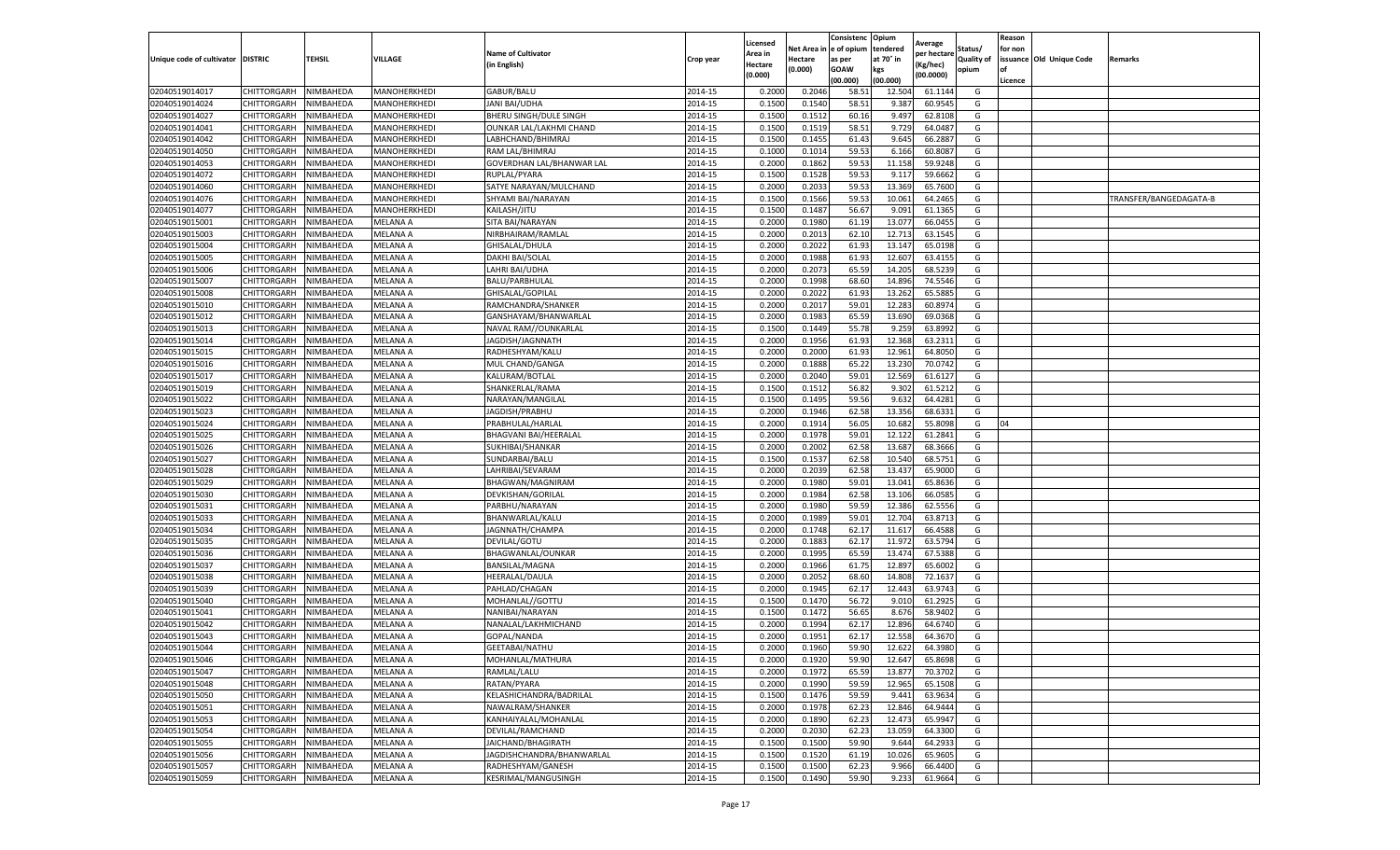|                                   |                            |                        |                              |                             |                    | Licensed        |                 | Consistenc              | Opium           | Average          |            | Reason  |                          |                        |
|-----------------------------------|----------------------------|------------------------|------------------------------|-----------------------------|--------------------|-----------------|-----------------|-------------------------|-----------------|------------------|------------|---------|--------------------------|------------------------|
|                                   |                            |                        |                              | <b>Name of Cultivator</b>   |                    | Area in         |                 | Net Area in le of opium | tendered        | per hectare      | Status/    | for non |                          |                        |
| Unique code of cultivator DISTRIC |                            | <b>TEHSIL</b>          | VILLAGE                      | (in English)                | Crop year          | Hectare         | Hectare         | as per                  | at 70° in       | Kg/hec)          | Quality of |         | issuance Old Unique Code | Remarks                |
|                                   |                            |                        |                              |                             |                    | (0.000)         | (0.000)         | GOAW                    | kgs             | (00.0000)        | opium      | l of    |                          |                        |
|                                   |                            |                        |                              |                             |                    |                 |                 | (00.000)                | (00.000)        |                  |            | Licence |                          |                        |
| 02040519014017<br>02040519014024  | CHITTORGARH<br>CHITTORGARH | NIMBAHEDA<br>NIMBAHEDA | MANOHERKHEDI<br>MANOHERKHEDI | GABUR/BALU<br>JANI BAI/UDHA | 2014-15<br>2014-15 | 0.200<br>0.1500 | 0.204<br>0.1540 | 58.51<br>58.51          | 12.504<br>9.387 | 61.114<br>60.954 | G<br>G     |         |                          |                        |
|                                   |                            |                        |                              |                             |                    |                 |                 |                         |                 |                  |            |         |                          |                        |
| 02040519014027                    | CHITTORGARH                | NIMBAHEDA              | MANOHERKHEDI                 | BHERU SINGH/DULE SINGH      | 2014-15            | 0.1500          | 0.1512          | 60.16                   | 9.497           | 62.810           | G          |         |                          |                        |
| 02040519014041                    | CHITTORGARH                | NIMBAHEDA              | MANOHERKHEDI                 | OUNKAR LAL/LAKHMI CHAND     | 2014-15            | 0.1500          | 0.1519          | 58.51                   | 9.729           | 64.0487          | G          |         |                          |                        |
| 02040519014042                    | CHITTORGARH                | NIMBAHEDA              | MANOHERKHEDI                 | LABHCHAND/BHIMRAJ           | 2014-15            | 0.1500          | 0.1455          | 61.43                   | 9.645           | 66.288<br>60.808 | G<br>G     |         |                          |                        |
| 02040519014050                    | CHITTORGARH                | NIMBAHEDA              | MANOHERKHEDI                 | RAM LAL/BHIMRAJ             | 2014-15            | 0.1000          | 0.1014          | 59.5                    | 6.16            |                  |            |         |                          |                        |
| 02040519014053                    | CHITTORGARH                | NIMBAHEDA              | MANOHERKHEDI                 | GOVERDHAN LAL/BHANWAR LAL   | 2014-15            | 0.2000          | 0.1862          | 59.53                   | 11.158          | 59.924           | G          |         |                          |                        |
| 02040519014072                    | CHITTORGARH                | NIMBAHEDA              | MANOHERKHEDI                 | RUPLAL/PYARA                | 2014-15            | 0.1500          | 0.152           | 59.5                    | 9.11            | 59.666           | G          |         |                          |                        |
| 02040519014060                    | CHITTORGARH                | NIMBAHEDA              | MANOHERKHEDI                 | SATYE NARAYAN/MULCHAND      | 2014-15            | 0.2000          | 0.2033          | 59.53                   | 13.369          | 65.760           | G          |         |                          |                        |
| 02040519014076                    | CHITTORGARH                | NIMBAHEDA              | MANOHERKHEDI                 | SHYAMI BAI/NARAYAN          | 2014-15            | 0.1500          | 0.1566          | 59.53                   | 10.061          | 64.2465          | G          |         |                          | TRANSFER/BANGEDAGATA-B |
| 02040519014077                    | CHITTORGARH                | NIMBAHEDA              | MANOHERKHEDI                 | KAILASH/JITU                | 2014-15            | 0.1500          | 0.1487          | 56.67                   | 9.091           | 61.1365          | G          |         |                          |                        |
| 02040519015001                    | CHITTORGARH                | NIMBAHEDA              | MELANA A                     | SITA BAI/NARAYAN            | 2014-15            | 0.2000          | 0.1980          | 61.19                   | 13.077          | 66.045           | G          |         |                          |                        |
| 02040519015003                    | CHITTORGARH                | <b>NIMBAHEDA</b>       | MELANA A                     | NIRBHAIRAM/RAMLAL           | 2014-15            | 0.2000          | 0.201           | 62.10                   | 12.713          | 63.154           | G          |         |                          |                        |
| 02040519015004                    | CHITTORGARH                | NIMBAHEDA              | MELANA A                     | GHISALAL/DHULA              | 2014-15            | 0.2000          | 0.2022          | 61.93                   | 13.14           | 65.019           | G          |         |                          |                        |
| 02040519015005                    | CHITTORGARH                | NIMBAHEDA              | MELANA A                     | DAKHI BAI/SOLAL             | 2014-15            | 0.2000          | 0.1988          | 61.9                    | 12.607          | 63.415           | G          |         |                          |                        |
| 02040519015006                    | CHITTORGARH                | NIMBAHEDA              | MELANA A                     | LAHRI BAI/UDHA              | 2014-15            | 0.2000          | 0.2073          | 65.59                   | 14.205          | 68.523           | G          |         |                          |                        |
| 02040519015007                    | CHITTORGARH                | NIMBAHEDA              | MELANA A                     | BALU/PARBHULAL              | 2014-15            | 0.2000          | 0.1998          | 68.60                   | 14.896          | 74.5546          | G          |         |                          |                        |
| 02040519015008                    | CHITTORGARH                | NIMBAHEDA              | MELANA A                     | GHISALAL/GOPILAL            | 2014-15            | 0.2000          | 0.2022          | 61.93                   | 13.262          | 65.588           | G          |         |                          |                        |
| 02040519015010                    | CHITTORGARH                | NIMBAHEDA              | MELANA A                     | RAMCHANDRA/SHANKER          | 2014-15            | 0.2000          | 0.201           | 59.0                    | 12.283          | 60.897           | G          |         |                          |                        |
| 02040519015012                    | CHITTORGARH                | <b>NIMBAHEDA</b>       | MELANA A                     | GANSHAYAM/BHANWARLAI        | 2014-15            | 0.2000          | 0.1983          | 65.59                   | 13.690          | 69.036           | G          |         |                          |                        |
| 02040519015013                    | CHITTORGARH                | NIMBAHEDA              | MELANA A                     | NAVAL RAM//OUNKARLAL        | 2014-15            | 0.1500          | 0.1449          | 55.78                   | 9.259           | 63.8992          | G          |         |                          |                        |
| 02040519015014                    | CHITTORGARH                | NIMBAHEDA              | MELANA A                     | JAGDISH/JAGNNATH            | 2014-15            | 0.2000          | 0.1956          | 61.93                   | 12.368          | 63.231           | G          |         |                          |                        |
| 02040519015015                    | CHITTORGARH                | NIMBAHEDA              | MELANA A                     | RADHESHYAM/KALU             | 2014-15            | 0.2000          | 0.2000          | 61.93                   | 12.961          | 64.8050          | G          |         |                          |                        |
| 02040519015016                    | CHITTORGARH                | NIMBAHEDA              | MELANA A                     | MUL CHAND/GANGA             | 2014-15            | 0.2000          | 0.1888          | 65.22                   | 13.230          | 70.074           | G          |         |                          |                        |
| 02040519015017                    | CHITTORGARH                | NIMBAHEDA              | MELANA A                     | KALURAM/BOTLAL              | 2014-15            | 0.2000          | 0.2040          | 59.01                   | 12.569          | 61.612           | G          |         |                          |                        |
| 02040519015019                    | CHITTORGARH                | NIMBAHEDA              | MELANA A                     | SHANKERLAL/RAMA             | 2014-15            | 0.1500          | 0.1512          | 56.82                   | 9.302           | 61.521           | G          |         |                          |                        |
| 02040519015022                    | CHITTORGARH                | NIMBAHEDA              | MELANA A                     | NARAYAN/MANGILAL            | 2014-15            | 0.1500          | 0.149           | 59.56                   | 9.632           | 64.428           | G          |         |                          |                        |
| 02040519015023                    | CHITTORGARH                | NIMBAHEDA              | MELANA A                     | JAGDISH/PRABHU              | 2014-15            | 0.2000          | 0.1946          | 62.58                   | 13.356          | 68.633           | G          |         |                          |                        |
| 02040519015024                    | CHITTORGARH                | NIMBAHEDA              | MELANA A                     | PRABHULAL/HARLAL            | 2014-15            | 0.2000          | 0.1914          | 56.05                   | 10.682          | 55.8098          | G          | 04      |                          |                        |
| 02040519015025                    | CHITTORGARH                | NIMBAHEDA              | MELANA A                     | BHAGVANI BAI/HEERALAL       | 2014-15            | 0.2000          | 0.1978          | 59.01                   | 12.122          | 61.2841          | G          |         |                          |                        |
| 02040519015026                    | CHITTORGARH                | NIMBAHEDA              | MELANA A                     | SUKHIBAI/SHANKAR            | 2014-15            | 0.2000          | 0.2002          | 62.5                    | 13.687          | 68.366           | G          |         |                          |                        |
| 02040519015027                    | CHITTORGARH                | NIMBAHEDA              | MELANA A                     | SUNDARBAI/BALU              | 2014-15            | 0.1500          | 0.1537          | 62.58                   | 10.540          | 68.575           | G          |         |                          |                        |
| 02040519015028                    | CHITTORGARH                | NIMBAHEDA              | MELANA A                     | LAHRIBAI/SEVARAM            | 2014-15            | 0.2000          | 0.2039          | 62.58                   | 13.43           | 65.900           | G          |         |                          |                        |
| 02040519015029                    | CHITTORGARH                | NIMBAHEDA              | MELANA A                     | BHAGWAN/MAGNIRAM            | 2014-15            | 0.2000          | 0.1980          | 59.0                    | 13.04           | 65.863           | G          |         |                          |                        |
| 02040519015030                    | CHITTORGARH                | NIMBAHEDA              | MELANA A                     | DEVKISHAN/GORILAL           | 2014-15            | 0.2000          | 0.1984          | 62.58                   | 13.106          | 66.058           | G          |         |                          |                        |
| 02040519015031                    | CHITTORGARH                | NIMBAHEDA              | MELANA A                     | PARBHU/NARAYAN              | 2014-15            | 0.2000          | 0.1980          | 59.5                    | 12.386          | 62.555           | G          |         |                          |                        |
| 02040519015033                    | CHITTORGARH                | NIMBAHEDA              | MELANA A                     | BHANWARLAL/KALU             | 2014-15            | 0.2000          | 0.1989          | 59.0                    | 12.704          | 63.871           | G          |         |                          |                        |
| 02040519015034                    | CHITTORGARH                | NIMBAHEDA              | MELANA A                     | JAGNNATH/CHAMPA             | 2014-15            | 0.2000          | 0.174           | 62.17                   | 11.617          | 66.458           | G          |         |                          |                        |
| 02040519015035                    | CHITTORGARH                | NIMBAHEDA              | MELANA A                     | DEVILAL/GOTU                | 2014-15            | 0.2000          | 0.1883          | 62.17                   | 11.97           | 63.579           | G          |         |                          |                        |
| 02040519015036                    | CHITTORGARH                | NIMBAHEDA              | MELANA A                     | BHAGWANLAL/OUNKAR           | 2014-15            | 0.2000          | 0.199           | 65.59                   | 13.474          | 67.538           | G          |         |                          |                        |
| 02040519015037                    | CHITTORGARH                | NIMBAHEDA              | MELANA A                     | BANSILAL/MAGNA              | 2014-15            | 0.200           | 0.1966          | 61.7                    | 12.897          | 65.600           | G          |         |                          |                        |
| 02040519015038                    | CHITTORGARH                | NIMBAHEDA              | MELANA A                     | HEERALAL/DAULA              | 2014-15            | 0.2000          | 0.2052          | 68.60                   | 14.808          | 72.163           | G          |         |                          |                        |
| 02040519015039                    | CHITTORGARH                | NIMBAHEDA              | MELANA A                     | PAHLAD/CHAGAN               | 2014-15            | 0.2000          | 0.1945          | 62.17                   | 12.443          | 63.974           | G          |         |                          |                        |
| 02040519015040                    | CHITTORGARH                | NIMBAHEDA              | MELANA A                     | MOHANLAL//GOTTU             | 2014-15            | 0.1500          | 0.147           | 56.72                   | 9.01            | 61.292           | G          |         |                          |                        |
| 02040519015041                    | CHITTORGARH                | NIMBAHEDA              | MELANA A                     | NANIBAI/NARAYAN             | 2014-15            | 0.1500          | 0.1472          | 56.65                   | 8.676           | 58.940           | G          |         |                          |                        |
| 02040519015042                    | CHITTORGARH                | NIMBAHEDA              | MELANA A                     | NANALAL/LAKHMICHAND         | 2014-15            | 0.2000          | 0.1994          | 62.17                   | 12.896          | 64.674           | G          |         |                          |                        |
| 02040519015043                    | CHITTORGARH                | NIMBAHEDA              | MELANA A                     | GOPAL/NANDA                 | 2014-15            | 0.200           | 0.195           | 62.17                   | 12.558          | 64.367           | G          |         |                          |                        |
| 02040519015044                    | CHITTORGARH                | NIMBAHEDA              | <b>MELANA A</b>              | GEETABAI/NATHU              | 2014-15            | 0.2000          | 0.1960          | 59.90                   | 12.622          | 64.3980          | G          |         |                          |                        |
| 02040519015046                    | CHITTORGARH                | NIMBAHEDA              | MELANA A                     | MOHANLAL/MATHURA            | 2014-15            | 0.2000          | 0.1920          | 59.90                   | 12.647          | 65.8698          | G          |         |                          |                        |
| 02040519015047                    | CHITTORGARH                | NIMBAHEDA              | MELANA A                     | RAMLAL/LALU                 | 2014-15            | 0.2000          | 0.1972          | 65.59                   | 13.877          | 70.3702          | G          |         |                          |                        |
| 02040519015048                    | CHITTORGARH                | NIMBAHEDA              | MELANA A                     | RATAN/PYARA                 | 2014-15            | 0.2000          | 0.1990          | 59.59                   | 12.965          | 65.1508          | G          |         |                          |                        |
| 02040519015050                    | CHITTORGARH                | NIMBAHEDA              | MELANA A                     | KELASHICHANDRA/BADRILAL     | 2014-15            | 0.1500          | 0.1476          | 59.59                   | 9.441           | 63.9634          | G          |         |                          |                        |
| 02040519015051                    | CHITTORGARH                | NIMBAHEDA              | <b>MELANA A</b>              | NAWALRAM/SHANKER            | 2014-15            | 0.2000          | 0.1978          | 62.23                   | 12.846          | 64.9444          | G          |         |                          |                        |
| 02040519015053                    | CHITTORGARH                | NIMBAHEDA              | <b>MELANA A</b>              | KANHAIYALAL/MOHANLAL        | 2014-15            | 0.2000          | 0.1890          | 62.23                   | 12.473          | 65.9947          | G          |         |                          |                        |
| 02040519015054                    | CHITTORGARH                | NIMBAHEDA              | MELANA A                     | DEVILAL/RAMCHAND            | 2014-15            | 0.2000          | 0.2030          | 62.23                   | 13.059          | 64.3300          | G          |         |                          |                        |
| 02040519015055                    | CHITTORGARH                | NIMBAHEDA              | MELANA A                     | JAICHAND/BHAGIRATH          | 2014-15            | 0.1500          | 0.1500          | 59.90                   | 9.644           | 64.2933          | G          |         |                          |                        |
| 02040519015056                    | CHITTORGARH                | NIMBAHEDA              | MELANA A                     | JAGDISHCHANDRA/BHANWARLAL   | 2014-15            | 0.1500          | 0.1520          | 61.19                   | 10.026          | 65.9605          | G          |         |                          |                        |
| 02040519015057                    | CHITTORGARH                | NIMBAHEDA              | MELANA A                     | RADHESHYAM/GANESH           | 2014-15            | 0.1500          | 0.150           | 62.23                   | 9.966           | 66.4400          | G          |         |                          |                        |
| 02040519015059                    | CHITTORGARH                | NIMBAHEDA              | <b>MELANA A</b>              | KESRIMAL/MANGUSINGH         | 2014-15            | 0.1500          | 0.1490          | 59.90                   | 9.233           | 61.9664          | G          |         |                          |                        |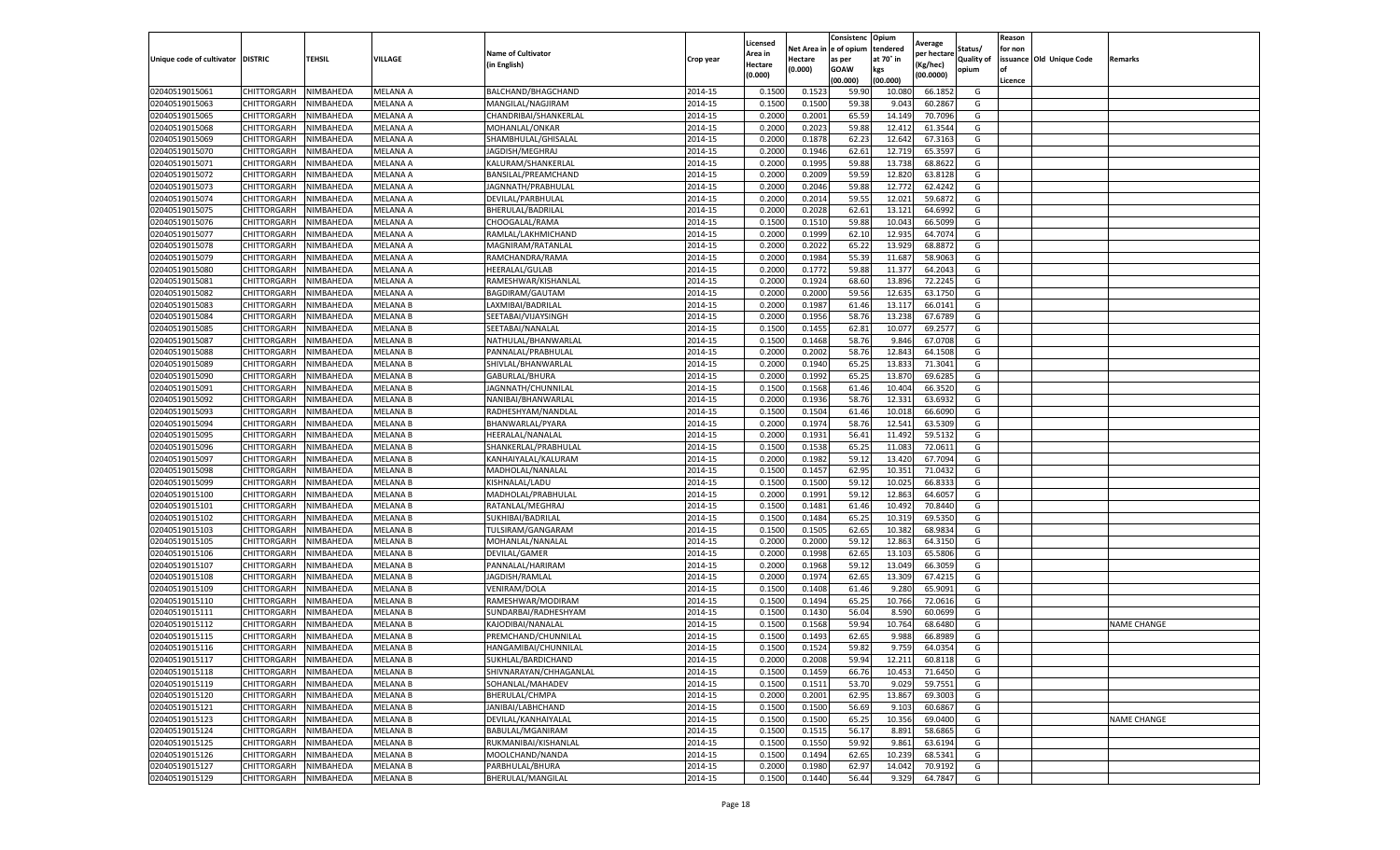| e of opium<br>tendered<br>Net Area i<br>Status/<br>for non<br><b>Name of Cultivator</b><br>Area in<br>per hectare<br>at 70° in<br>issuance Old Unique Code<br>Unique code of cultivator DISTRIC<br>TEHSIL<br>VILLAGE<br>Hectare<br><b>Quality of</b><br>Crop year<br>as per<br>Remarks<br>(in English)<br>(Kg/hec)<br>Hectare<br>(0.000)<br><b>GOAW</b><br>kgs<br>opium<br>(0.000)<br>(00.0000)<br>(00.000)<br>(00.000)<br>Licence<br>02040519015061<br>CHITTORGARH<br>NIMBAHEDA<br>MELANA A<br>BALCHAND/BHAGCHAND<br>2014-15<br>59.90<br>0.1500<br>0.152<br>10.080<br>66.1852<br>G<br>02040519015063<br>2014-15<br>0.150<br>59.38<br>60.2867<br>CHITTORGARH<br>NIMBAHEDA<br>MELANA A<br>MANGILAL/NAGJIRAM<br>0.1500<br>9.043<br>G<br>2014-15<br>0.2000<br>0.2001<br>65.59<br>02040519015065<br>CHITTORGARH<br>NIMBAHEDA<br>MELANA A<br>CHANDRIBAI/SHANKERLAL<br>14.149<br>70.7096<br>G<br>02040519015068<br>CHITTORGARH<br>NIMBAHEDA<br>MELANA A<br>2014-15<br>0.2000<br>0.2023<br>59.88<br>12.412<br>61.3544<br>MOHANLAL/ONKAR<br>G<br>02040519015069<br>CHITTORGARH<br>NIMBAHEDA<br>2014-15<br>0.2000<br>0.1878<br>62.23<br>12.642<br>67.3163<br>MELANA A<br>SHAMBHULAL/GHISALAL<br>G<br>02040519015070<br>MELANA A<br>2014-15<br>0.2000<br>0.1946<br>62.61<br>12.719<br>65.3597<br>CHITTORGARH<br>NIMBAHEDA<br>JAGDISH/MEGHRAJ<br>G<br>02040519015071<br>CHITTORGARH<br>NIMBAHEDA<br>MELANA A<br>2014-15<br>0.2000<br>0.1995<br>59.88<br>13.738<br>68.8622<br>KALURAM/SHANKERLAL<br>G<br>02040519015072<br>2014-15<br>0.200<br>0.2009<br>59.59<br>12.820<br>63.8128<br>CHITTORGARH<br>NIMBAHEDA<br>MELANA A<br>BANSILAL/PREAMCHAND<br>G<br>2014-15<br>0.2000<br>0.2046<br>59.88<br>12.772<br>62.4242<br>02040519015073<br>CHITTORGARH<br>NIMBAHEDA<br>MELANA A<br>JAGNNATH/PRABHULAL<br>G<br>2014-15<br>0.2000<br>0.2014<br>59.55<br>12.021<br>59.6872<br>02040519015074<br>CHITTORGARH<br>NIMBAHEDA<br>MELANA A<br>DEVILAL/PARBHULAL<br>G<br>02040519015075<br>CHITTORGARH<br>MELANA A<br>2014-15<br>0.2000<br>0.2028<br>62.61<br>13.121<br>64.6992<br>NIMBAHEDA<br>BHERULAL/BADRILAL<br>G<br>59.88<br>2014-15<br>0.1500<br>0.1510<br>10.043<br>66.5099<br>02040519015076<br>CHITTORGARH<br>NIMBAHEDA<br>MELANA A<br>CHOOGALAL/RAMA<br>G<br>02040519015077<br>CHITTORGARH<br>NIMBAHEDA<br>MELANA A<br>2014-15<br>0.2000<br>0.1999<br>62.1<br>12.935<br>64.7074<br>G<br>RAMLAL/LAKHMICHAND<br>02040519015078<br>2014-15<br>0.200<br>0.2022<br>65.22<br>13.929<br>68.887<br>CHITTORGARH<br>NIMBAHEDA<br>MELANA A<br>MAGNIRAM/RATANLAL<br>G<br>2014-15<br>55.39<br>02040519015079<br>CHITTORGARH<br>NIMBAHEDA<br>MELANA A<br>RAMCHANDRA/RAMA<br>0.2000<br>0.1984<br>11.687<br>58.9063<br>G<br>02040519015080<br>2014-15<br>0.2000<br>59.88<br>CHITTORGARH<br>NIMBAHEDA<br><b>MELANA A</b><br><b>HEERALAL/GULAB</b><br>0.1772<br>11.377<br>64.2043<br>G<br>2014-15<br>0.2000<br>68.60<br>13.896<br>72.2245<br>02040519015081<br>CHITTORGARH<br>NIMBAHEDA<br>MELANA A<br>RAMESHWAR/KISHANLAL<br>0.1924<br>G<br>02040519015082<br>2014-15<br>0.2000<br>0.2000<br>59.56<br>12.635<br>CHITTORGARH<br>NIMBAHEDA<br>MELANA A<br>BAGDIRAM/GAUTAM<br>63.1750<br>G<br>02040519015083<br>CHITTORGARH<br><b>MELANA B</b><br>2014-15<br>0.2000<br>0.1987<br>61.46<br>13.117<br>66.0141<br>G<br>NIMBAHEDA<br>LAXMIBAI/BADRILAL<br>02040519015084<br>CHITTORGARH<br>MELANA B<br>SEETABAI/VIJAYSINGH<br>2014-15<br>0.2000<br>0.1956<br>58.76<br>13.238<br>67.6789<br>G<br>NIMBAHEDA<br>02040519015085<br>CHITTORGARH<br>NIMBAHEDA<br>MELANA B<br>SEETABAI/NANALAL<br>2014-15<br>0.1500<br>0.1455<br>62.81<br>10.077<br>69.2577<br>G<br>2014-15<br>0.1500<br>58.76<br>02040519015087<br>CHITTORGARH<br>NIMBAHEDA<br>MELANA B<br>NATHULAL/BHANWARLAL<br>0.1468<br>9.846<br>67.0708<br>G<br>02040519015088<br>CHITTORGARH<br>NIMBAHEDA<br><b>MELANA B</b><br>PANNALAL/PRABHULAL<br>2014-15<br>0.2000<br>0.2002<br>58.76<br>12.843<br>64.1508<br>G<br>2014-15<br>0.2000<br>0.1940<br>65.25<br>13.833<br>71.3041<br>02040519015089<br>CHITTORGARH<br>NIMBAHEDA<br>MELANA B<br>SHIVLAL/BHANWARLAL<br>G<br>02040519015090<br>CHITTORGARH<br><b>MELANA B</b><br>2014-15<br>0.1992<br>65.25<br>13.87<br>69.6285<br>NIMBAHEDA<br>GABURLAL/BHURA<br>0.2000<br>G<br>02040519015091<br>CHITTORGARH<br>NIMBAHEDA<br><b>MELANA B</b><br>2014-15<br>0.1500<br>0.1568<br>61.46<br>10.404<br>66.3520<br>G<br>JAGNNATH/CHUNNILAL<br>02040519015092<br>2014-15<br>0.1936<br>58.76<br>12.331<br>63.6932<br>CHITTORGARH<br>NIMBAHEDA<br>MELANA B<br>NANIBAI/BHANWARLAL<br>0.2000<br>G<br>2014-15<br>0.1500<br>0.1504<br>02040519015093<br>CHITTORGARH<br>MELANA B<br>RADHESHYAM/NANDLAL<br>61.46<br>10.018<br>66.6090<br>G<br>NIMBAHEDA<br>02040519015094<br>CHITTORGARH<br>2014-15<br>0.2000<br>0.1974<br>58.76<br>12.541<br>63.5309<br>G<br>NIMBAHEDA<br>MELANA B<br>BHANWARLAL/PYARA<br>56.41<br>02040519015095<br>CHITTORGARH<br>NIMBAHEDA<br>MELANA B<br>2014-15<br>0.2000<br>0.1931<br>11.492<br>59.5132<br>HEERALAL/NANALAL<br>G<br>02040519015096<br><b>MELANA B</b><br>2014-15<br>0.1500<br>0.1538<br>65.25<br>11.083<br>72.0611<br>CHITTORGARH<br>NIMBAHEDA<br>SHANKERLAL/PRABHULAI<br>G<br>02040519015097<br>CHITTORGARH<br>NIMBAHEDA<br><b>MELANA B</b><br>2014-15<br>0.2000<br>0.1982<br>59.12<br>13.420<br>67.7094<br>G<br>KANHAIYALAL/KALURAN<br>02040519015098<br>MADHOLAL/NANALAL<br>2014-15<br>0.1500<br>0.1457<br>62.95<br>10.35<br>71.0432<br>CHITTORGARH<br>NIMBAHEDA<br>MELANA B<br>G<br>59.1<br>66.8333<br>02040519015099<br>CHITTORGARH<br>NIMBAHEDA<br>MELANA B<br>KISHNALAL/LADU<br>2014-15<br>0.1500<br>0.1500<br>10.025<br>G<br>02040519015100<br>CHITTORGARH<br>NIMBAHEDA<br><b>MELANA B</b><br>MADHOLAL/PRABHULAL<br>2014-15<br>0.2000<br>0.1991<br>59.12<br>12.863<br>64.6057<br>G<br>02040519015101<br>CHITTORGARH<br>2014-15<br>0.1500<br>0.1481<br>61.46<br>10.492<br>70.8440<br>NIMBAHEDA<br>MELANA B<br>RATANLAL/MEGHRAJ<br>G<br>02040519015102<br>65.25<br><b>MELANA B</b><br>2014-15<br>0.1500<br>0.1484<br>69.5350<br>CHITTORGARH<br>NIMBAHEDA<br>SUKHIBAI/BADRILAL<br>10.319<br>G<br>62.65<br>02040519015103<br>CHITTORGARH<br>NIMBAHEDA<br><b>MELANA B</b><br>2014-15<br>0.1500<br>0.1505<br>10.382<br>68.9834<br>G<br>TULSIRAM/GANGARAM<br>02040519015105<br>2014-15<br>0.2000<br>59.1<br>12.863<br>64.3150<br>CHITTORGARH<br>NIMBAHEDA<br>MELANA B<br>MOHANLAL/NANALAL<br>0.2000<br>G<br>02040519015106<br>2014-15<br>0.2000<br>0.1998<br>62.65<br>13.103<br>65.5806<br>G<br>CHITTORGARH<br>NIMBAHEDA<br>MELANA B<br>DEVILAL/GAMER<br>2014-15<br>0.2000<br>0.1968<br>59.1<br>13.049<br>66.3059<br>02040519015107<br>CHITTORGARH<br>NIMBAHEDA<br>MELANA B<br>PANNALAL/HARIRAM<br>G<br>02040519015108<br>2014-15<br>0.2000<br>0.1974<br>13.309<br>67.4215<br>CHITTORGARH<br>NIMBAHEDA<br>MELANA B<br>JAGDISH/RAMLAL<br>62.65<br>G<br>02040519015109<br>2014-15<br>0.1500<br>0.1408<br>61.46<br>65.9091<br>CHITTORGARH<br>NIMBAHEDA<br>MELANA B<br>VENIRAM/DOLA<br>9.280<br>G<br>02040519015110<br>CHITTORGARH<br><b>MELANA B</b><br>2014-15<br>0.1500<br>0.1494<br>65.25<br>72.0616<br>G<br>NIMBAHEDA<br>RAMESHWAR/MODIRAM<br>10.766<br>02040519015111<br>CHITTORGARH<br>NIMBAHEDA<br>MELANA B<br>2014-15<br>0.1500<br>0.1430<br>56.04<br>8.590<br>60.0699<br>G<br>SUNDARBAI/RADHESHYAM<br>02040519015112<br>59.94<br>CHITTORGARH<br>NIMBAHEDA<br>MELANA B<br>KAJODIBAI/NANALAL<br>2014-15<br>0.150<br>0.1568<br>10.764<br>68.6480<br>G<br><b>NAME CHANGE</b><br>02040519015115<br>CHITTORGARH<br>2014-15<br>0.1500<br>0.1493<br>62.65<br>9.988<br>66.8989<br>G<br>NIMBAHEDA<br>MELANA B<br>PREMCHAND/CHUNNILAL<br>02040519015116<br>CHITTORGARH<br>NIMBAHEDA<br>HANGAMIBAI/CHUNNILAL<br>2014-15<br>0.1500<br>0.1524<br>59.82<br>9.759<br>64.0354<br>G<br><b>MELANA B</b><br>2014-15<br>02040519015117<br>CHITTORGARH<br>NIMBAHEDA<br><b>MELANA B</b><br>SUKHLAL/BARDICHAND<br>0.2000<br>0.2008<br>59.94<br>12.211<br>60.8118<br>G<br>02040519015118<br>2014-15<br>0.1500<br>0.1459<br>66.76<br>10.453<br>CHITTORGARH<br>NIMBAHEDA<br><b>MELANA B</b><br>SHIVNARAYAN/CHHAGANLAL<br>71.6450<br>G<br>2014-15<br>53.70<br>59.7551<br>02040519015119<br>CHITTORGARH<br>NIMBAHEDA<br>MELANA B<br>SOHANLAL/MAHADEV<br>0.1500<br>0.1511<br>9.029<br>G<br>02040519015120<br>CHITTORGARH<br>NIMBAHEDA<br><b>MELANA B</b><br>BHERULAL/CHMPA<br>2014-15<br>0.2000<br>0.2001<br>62.95<br>13.867<br>69.3003<br>G<br>02040519015121<br>JANIBAI/LABHCHAND<br>2014-15<br>0.1500<br>0.1500<br>56.69<br>9.103<br>60.6867<br>G<br>CHITTORGARH<br>NIMBAHEDA<br><b>MELANA B</b> |                |             |           |                 |                     |         | Licensed |        | Consistenc | Opium  |         |   | Reason |                    |
|-----------------------------------------------------------------------------------------------------------------------------------------------------------------------------------------------------------------------------------------------------------------------------------------------------------------------------------------------------------------------------------------------------------------------------------------------------------------------------------------------------------------------------------------------------------------------------------------------------------------------------------------------------------------------------------------------------------------------------------------------------------------------------------------------------------------------------------------------------------------------------------------------------------------------------------------------------------------------------------------------------------------------------------------------------------------------------------------------------------------------------------------------------------------------------------------------------------------------------------------------------------------------------------------------------------------------------------------------------------------------------------------------------------------------------------------------------------------------------------------------------------------------------------------------------------------------------------------------------------------------------------------------------------------------------------------------------------------------------------------------------------------------------------------------------------------------------------------------------------------------------------------------------------------------------------------------------------------------------------------------------------------------------------------------------------------------------------------------------------------------------------------------------------------------------------------------------------------------------------------------------------------------------------------------------------------------------------------------------------------------------------------------------------------------------------------------------------------------------------------------------------------------------------------------------------------------------------------------------------------------------------------------------------------------------------------------------------------------------------------------------------------------------------------------------------------------------------------------------------------------------------------------------------------------------------------------------------------------------------------------------------------------------------------------------------------------------------------------------------------------------------------------------------------------------------------------------------------------------------------------------------------------------------------------------------------------------------------------------------------------------------------------------------------------------------------------------------------------------------------------------------------------------------------------------------------------------------------------------------------------------------------------------------------------------------------------------------------------------------------------------------------------------------------------------------------------------------------------------------------------------------------------------------------------------------------------------------------------------------------------------------------------------------------------------------------------------------------------------------------------------------------------------------------------------------------------------------------------------------------------------------------------------------------------------------------------------------------------------------------------------------------------------------------------------------------------------------------------------------------------------------------------------------------------------------------------------------------------------------------------------------------------------------------------------------------------------------------------------------------------------------------------------------------------------------------------------------------------------------------------------------------------------------------------------------------------------------------------------------------------------------------------------------------------------------------------------------------------------------------------------------------------------------------------------------------------------------------------------------------------------------------------------------------------------------------------------------------------------------------------------------------------------------------------------------------------------------------------------------------------------------------------------------------------------------------------------------------------------------------------------------------------------------------------------------------------------------------------------------------------------------------------------------------------------------------------------------------------------------------------------------------------------------------------------------------------------------------------------------------------------------------------------------------------------------------------------------------------------------------------------------------------------------------------------------------------------------------------------------------------------------------------------------------------------------------------------------------------------------------------------------------------------------------------------------------------------------------------------------------------------------------------------------------------------------------------------------------------------------------------------------------------------------------------------------------------------------------------------------------------------------------------------------------------------------------------------------------------------------------------------------------------------------------------------------------------------------------------------------------------------------------------------------------------------------------------------------------------------------------------------------------------------------------------------------------------------------------------------------------------------------------------------------------------------------------------------------------------------------------------------------------------------------------------------------------------------------------------------------------------------------------------------------------------------------------------------------------------------------------------------------------------------------------------------------------------------------------------------------------------------------------------------------------------------------------------------------------------------------------------------------------------------------------------------------------------------------------------------------------------------------------------------------------------------------------------------------------------------------------------------------------------------------------------------------------------------------------------------------------------------------------------------------------------------------------------------------------------------------------------------------------------------------------------------------------------------------------------------------------------------------------------------------------------------------------|----------------|-------------|-----------|-----------------|---------------------|---------|----------|--------|------------|--------|---------|---|--------|--------------------|
|                                                                                                                                                                                                                                                                                                                                                                                                                                                                                                                                                                                                                                                                                                                                                                                                                                                                                                                                                                                                                                                                                                                                                                                                                                                                                                                                                                                                                                                                                                                                                                                                                                                                                                                                                                                                                                                                                                                                                                                                                                                                                                                                                                                                                                                                                                                                                                                                                                                                                                                                                                                                                                                                                                                                                                                                                                                                                                                                                                                                                                                                                                                                                                                                                                                                                                                                                                                                                                                                                                                                                                                                                                                                                                                                                                                                                                                                                                                                                                                                                                                                                                                                                                                                                                                                                                                                                                                                                                                                                                                                                                                                                                                                                                                                                                                                                                                                                                                                                                                                                                                                                                                                                                                                                                                                                                                                                                                                                                                                                                                                                                                                                                                                                                                                                                                                                                                                                                                                                                                                                                                                                                                                                                                                                                                                                                                                                                                                                                                                                                                                                                                                                                                                                                                                                                                                                                                                                                                                                                                                                                                                                                                                                                                                                                                                                                                                                                                                                                                                                                                                                                                                                                                                                                                                                                                                                                                                                                                                                                                                                                                                                                                                                                                                                                                                                                                                                                                                                                                                                                                                                                 |                |             |           |                 |                     |         |          |        |            |        | Average |   |        |                    |
|                                                                                                                                                                                                                                                                                                                                                                                                                                                                                                                                                                                                                                                                                                                                                                                                                                                                                                                                                                                                                                                                                                                                                                                                                                                                                                                                                                                                                                                                                                                                                                                                                                                                                                                                                                                                                                                                                                                                                                                                                                                                                                                                                                                                                                                                                                                                                                                                                                                                                                                                                                                                                                                                                                                                                                                                                                                                                                                                                                                                                                                                                                                                                                                                                                                                                                                                                                                                                                                                                                                                                                                                                                                                                                                                                                                                                                                                                                                                                                                                                                                                                                                                                                                                                                                                                                                                                                                                                                                                                                                                                                                                                                                                                                                                                                                                                                                                                                                                                                                                                                                                                                                                                                                                                                                                                                                                                                                                                                                                                                                                                                                                                                                                                                                                                                                                                                                                                                                                                                                                                                                                                                                                                                                                                                                                                                                                                                                                                                                                                                                                                                                                                                                                                                                                                                                                                                                                                                                                                                                                                                                                                                                                                                                                                                                                                                                                                                                                                                                                                                                                                                                                                                                                                                                                                                                                                                                                                                                                                                                                                                                                                                                                                                                                                                                                                                                                                                                                                                                                                                                                                                 |                |             |           |                 |                     |         |          |        |            |        |         |   |        |                    |
|                                                                                                                                                                                                                                                                                                                                                                                                                                                                                                                                                                                                                                                                                                                                                                                                                                                                                                                                                                                                                                                                                                                                                                                                                                                                                                                                                                                                                                                                                                                                                                                                                                                                                                                                                                                                                                                                                                                                                                                                                                                                                                                                                                                                                                                                                                                                                                                                                                                                                                                                                                                                                                                                                                                                                                                                                                                                                                                                                                                                                                                                                                                                                                                                                                                                                                                                                                                                                                                                                                                                                                                                                                                                                                                                                                                                                                                                                                                                                                                                                                                                                                                                                                                                                                                                                                                                                                                                                                                                                                                                                                                                                                                                                                                                                                                                                                                                                                                                                                                                                                                                                                                                                                                                                                                                                                                                                                                                                                                                                                                                                                                                                                                                                                                                                                                                                                                                                                                                                                                                                                                                                                                                                                                                                                                                                                                                                                                                                                                                                                                                                                                                                                                                                                                                                                                                                                                                                                                                                                                                                                                                                                                                                                                                                                                                                                                                                                                                                                                                                                                                                                                                                                                                                                                                                                                                                                                                                                                                                                                                                                                                                                                                                                                                                                                                                                                                                                                                                                                                                                                                                                 |                |             |           |                 |                     |         |          |        |            |        |         |   |        |                    |
|                                                                                                                                                                                                                                                                                                                                                                                                                                                                                                                                                                                                                                                                                                                                                                                                                                                                                                                                                                                                                                                                                                                                                                                                                                                                                                                                                                                                                                                                                                                                                                                                                                                                                                                                                                                                                                                                                                                                                                                                                                                                                                                                                                                                                                                                                                                                                                                                                                                                                                                                                                                                                                                                                                                                                                                                                                                                                                                                                                                                                                                                                                                                                                                                                                                                                                                                                                                                                                                                                                                                                                                                                                                                                                                                                                                                                                                                                                                                                                                                                                                                                                                                                                                                                                                                                                                                                                                                                                                                                                                                                                                                                                                                                                                                                                                                                                                                                                                                                                                                                                                                                                                                                                                                                                                                                                                                                                                                                                                                                                                                                                                                                                                                                                                                                                                                                                                                                                                                                                                                                                                                                                                                                                                                                                                                                                                                                                                                                                                                                                                                                                                                                                                                                                                                                                                                                                                                                                                                                                                                                                                                                                                                                                                                                                                                                                                                                                                                                                                                                                                                                                                                                                                                                                                                                                                                                                                                                                                                                                                                                                                                                                                                                                                                                                                                                                                                                                                                                                                                                                                                                                 |                |             |           |                 |                     |         |          |        |            |        |         |   |        |                    |
|                                                                                                                                                                                                                                                                                                                                                                                                                                                                                                                                                                                                                                                                                                                                                                                                                                                                                                                                                                                                                                                                                                                                                                                                                                                                                                                                                                                                                                                                                                                                                                                                                                                                                                                                                                                                                                                                                                                                                                                                                                                                                                                                                                                                                                                                                                                                                                                                                                                                                                                                                                                                                                                                                                                                                                                                                                                                                                                                                                                                                                                                                                                                                                                                                                                                                                                                                                                                                                                                                                                                                                                                                                                                                                                                                                                                                                                                                                                                                                                                                                                                                                                                                                                                                                                                                                                                                                                                                                                                                                                                                                                                                                                                                                                                                                                                                                                                                                                                                                                                                                                                                                                                                                                                                                                                                                                                                                                                                                                                                                                                                                                                                                                                                                                                                                                                                                                                                                                                                                                                                                                                                                                                                                                                                                                                                                                                                                                                                                                                                                                                                                                                                                                                                                                                                                                                                                                                                                                                                                                                                                                                                                                                                                                                                                                                                                                                                                                                                                                                                                                                                                                                                                                                                                                                                                                                                                                                                                                                                                                                                                                                                                                                                                                                                                                                                                                                                                                                                                                                                                                                                                 |                |             |           |                 |                     |         |          |        |            |        |         |   |        |                    |
|                                                                                                                                                                                                                                                                                                                                                                                                                                                                                                                                                                                                                                                                                                                                                                                                                                                                                                                                                                                                                                                                                                                                                                                                                                                                                                                                                                                                                                                                                                                                                                                                                                                                                                                                                                                                                                                                                                                                                                                                                                                                                                                                                                                                                                                                                                                                                                                                                                                                                                                                                                                                                                                                                                                                                                                                                                                                                                                                                                                                                                                                                                                                                                                                                                                                                                                                                                                                                                                                                                                                                                                                                                                                                                                                                                                                                                                                                                                                                                                                                                                                                                                                                                                                                                                                                                                                                                                                                                                                                                                                                                                                                                                                                                                                                                                                                                                                                                                                                                                                                                                                                                                                                                                                                                                                                                                                                                                                                                                                                                                                                                                                                                                                                                                                                                                                                                                                                                                                                                                                                                                                                                                                                                                                                                                                                                                                                                                                                                                                                                                                                                                                                                                                                                                                                                                                                                                                                                                                                                                                                                                                                                                                                                                                                                                                                                                                                                                                                                                                                                                                                                                                                                                                                                                                                                                                                                                                                                                                                                                                                                                                                                                                                                                                                                                                                                                                                                                                                                                                                                                                                                 |                |             |           |                 |                     |         |          |        |            |        |         |   |        |                    |
|                                                                                                                                                                                                                                                                                                                                                                                                                                                                                                                                                                                                                                                                                                                                                                                                                                                                                                                                                                                                                                                                                                                                                                                                                                                                                                                                                                                                                                                                                                                                                                                                                                                                                                                                                                                                                                                                                                                                                                                                                                                                                                                                                                                                                                                                                                                                                                                                                                                                                                                                                                                                                                                                                                                                                                                                                                                                                                                                                                                                                                                                                                                                                                                                                                                                                                                                                                                                                                                                                                                                                                                                                                                                                                                                                                                                                                                                                                                                                                                                                                                                                                                                                                                                                                                                                                                                                                                                                                                                                                                                                                                                                                                                                                                                                                                                                                                                                                                                                                                                                                                                                                                                                                                                                                                                                                                                                                                                                                                                                                                                                                                                                                                                                                                                                                                                                                                                                                                                                                                                                                                                                                                                                                                                                                                                                                                                                                                                                                                                                                                                                                                                                                                                                                                                                                                                                                                                                                                                                                                                                                                                                                                                                                                                                                                                                                                                                                                                                                                                                                                                                                                                                                                                                                                                                                                                                                                                                                                                                                                                                                                                                                                                                                                                                                                                                                                                                                                                                                                                                                                                                                 |                |             |           |                 |                     |         |          |        |            |        |         |   |        |                    |
|                                                                                                                                                                                                                                                                                                                                                                                                                                                                                                                                                                                                                                                                                                                                                                                                                                                                                                                                                                                                                                                                                                                                                                                                                                                                                                                                                                                                                                                                                                                                                                                                                                                                                                                                                                                                                                                                                                                                                                                                                                                                                                                                                                                                                                                                                                                                                                                                                                                                                                                                                                                                                                                                                                                                                                                                                                                                                                                                                                                                                                                                                                                                                                                                                                                                                                                                                                                                                                                                                                                                                                                                                                                                                                                                                                                                                                                                                                                                                                                                                                                                                                                                                                                                                                                                                                                                                                                                                                                                                                                                                                                                                                                                                                                                                                                                                                                                                                                                                                                                                                                                                                                                                                                                                                                                                                                                                                                                                                                                                                                                                                                                                                                                                                                                                                                                                                                                                                                                                                                                                                                                                                                                                                                                                                                                                                                                                                                                                                                                                                                                                                                                                                                                                                                                                                                                                                                                                                                                                                                                                                                                                                                                                                                                                                                                                                                                                                                                                                                                                                                                                                                                                                                                                                                                                                                                                                                                                                                                                                                                                                                                                                                                                                                                                                                                                                                                                                                                                                                                                                                                                                 |                |             |           |                 |                     |         |          |        |            |        |         |   |        |                    |
|                                                                                                                                                                                                                                                                                                                                                                                                                                                                                                                                                                                                                                                                                                                                                                                                                                                                                                                                                                                                                                                                                                                                                                                                                                                                                                                                                                                                                                                                                                                                                                                                                                                                                                                                                                                                                                                                                                                                                                                                                                                                                                                                                                                                                                                                                                                                                                                                                                                                                                                                                                                                                                                                                                                                                                                                                                                                                                                                                                                                                                                                                                                                                                                                                                                                                                                                                                                                                                                                                                                                                                                                                                                                                                                                                                                                                                                                                                                                                                                                                                                                                                                                                                                                                                                                                                                                                                                                                                                                                                                                                                                                                                                                                                                                                                                                                                                                                                                                                                                                                                                                                                                                                                                                                                                                                                                                                                                                                                                                                                                                                                                                                                                                                                                                                                                                                                                                                                                                                                                                                                                                                                                                                                                                                                                                                                                                                                                                                                                                                                                                                                                                                                                                                                                                                                                                                                                                                                                                                                                                                                                                                                                                                                                                                                                                                                                                                                                                                                                                                                                                                                                                                                                                                                                                                                                                                                                                                                                                                                                                                                                                                                                                                                                                                                                                                                                                                                                                                                                                                                                                                                 |                |             |           |                 |                     |         |          |        |            |        |         |   |        |                    |
|                                                                                                                                                                                                                                                                                                                                                                                                                                                                                                                                                                                                                                                                                                                                                                                                                                                                                                                                                                                                                                                                                                                                                                                                                                                                                                                                                                                                                                                                                                                                                                                                                                                                                                                                                                                                                                                                                                                                                                                                                                                                                                                                                                                                                                                                                                                                                                                                                                                                                                                                                                                                                                                                                                                                                                                                                                                                                                                                                                                                                                                                                                                                                                                                                                                                                                                                                                                                                                                                                                                                                                                                                                                                                                                                                                                                                                                                                                                                                                                                                                                                                                                                                                                                                                                                                                                                                                                                                                                                                                                                                                                                                                                                                                                                                                                                                                                                                                                                                                                                                                                                                                                                                                                                                                                                                                                                                                                                                                                                                                                                                                                                                                                                                                                                                                                                                                                                                                                                                                                                                                                                                                                                                                                                                                                                                                                                                                                                                                                                                                                                                                                                                                                                                                                                                                                                                                                                                                                                                                                                                                                                                                                                                                                                                                                                                                                                                                                                                                                                                                                                                                                                                                                                                                                                                                                                                                                                                                                                                                                                                                                                                                                                                                                                                                                                                                                                                                                                                                                                                                                                                                 |                |             |           |                 |                     |         |          |        |            |        |         |   |        |                    |
|                                                                                                                                                                                                                                                                                                                                                                                                                                                                                                                                                                                                                                                                                                                                                                                                                                                                                                                                                                                                                                                                                                                                                                                                                                                                                                                                                                                                                                                                                                                                                                                                                                                                                                                                                                                                                                                                                                                                                                                                                                                                                                                                                                                                                                                                                                                                                                                                                                                                                                                                                                                                                                                                                                                                                                                                                                                                                                                                                                                                                                                                                                                                                                                                                                                                                                                                                                                                                                                                                                                                                                                                                                                                                                                                                                                                                                                                                                                                                                                                                                                                                                                                                                                                                                                                                                                                                                                                                                                                                                                                                                                                                                                                                                                                                                                                                                                                                                                                                                                                                                                                                                                                                                                                                                                                                                                                                                                                                                                                                                                                                                                                                                                                                                                                                                                                                                                                                                                                                                                                                                                                                                                                                                                                                                                                                                                                                                                                                                                                                                                                                                                                                                                                                                                                                                                                                                                                                                                                                                                                                                                                                                                                                                                                                                                                                                                                                                                                                                                                                                                                                                                                                                                                                                                                                                                                                                                                                                                                                                                                                                                                                                                                                                                                                                                                                                                                                                                                                                                                                                                                                                 |                |             |           |                 |                     |         |          |        |            |        |         |   |        |                    |
|                                                                                                                                                                                                                                                                                                                                                                                                                                                                                                                                                                                                                                                                                                                                                                                                                                                                                                                                                                                                                                                                                                                                                                                                                                                                                                                                                                                                                                                                                                                                                                                                                                                                                                                                                                                                                                                                                                                                                                                                                                                                                                                                                                                                                                                                                                                                                                                                                                                                                                                                                                                                                                                                                                                                                                                                                                                                                                                                                                                                                                                                                                                                                                                                                                                                                                                                                                                                                                                                                                                                                                                                                                                                                                                                                                                                                                                                                                                                                                                                                                                                                                                                                                                                                                                                                                                                                                                                                                                                                                                                                                                                                                                                                                                                                                                                                                                                                                                                                                                                                                                                                                                                                                                                                                                                                                                                                                                                                                                                                                                                                                                                                                                                                                                                                                                                                                                                                                                                                                                                                                                                                                                                                                                                                                                                                                                                                                                                                                                                                                                                                                                                                                                                                                                                                                                                                                                                                                                                                                                                                                                                                                                                                                                                                                                                                                                                                                                                                                                                                                                                                                                                                                                                                                                                                                                                                                                                                                                                                                                                                                                                                                                                                                                                                                                                                                                                                                                                                                                                                                                                                                 |                |             |           |                 |                     |         |          |        |            |        |         |   |        |                    |
|                                                                                                                                                                                                                                                                                                                                                                                                                                                                                                                                                                                                                                                                                                                                                                                                                                                                                                                                                                                                                                                                                                                                                                                                                                                                                                                                                                                                                                                                                                                                                                                                                                                                                                                                                                                                                                                                                                                                                                                                                                                                                                                                                                                                                                                                                                                                                                                                                                                                                                                                                                                                                                                                                                                                                                                                                                                                                                                                                                                                                                                                                                                                                                                                                                                                                                                                                                                                                                                                                                                                                                                                                                                                                                                                                                                                                                                                                                                                                                                                                                                                                                                                                                                                                                                                                                                                                                                                                                                                                                                                                                                                                                                                                                                                                                                                                                                                                                                                                                                                                                                                                                                                                                                                                                                                                                                                                                                                                                                                                                                                                                                                                                                                                                                                                                                                                                                                                                                                                                                                                                                                                                                                                                                                                                                                                                                                                                                                                                                                                                                                                                                                                                                                                                                                                                                                                                                                                                                                                                                                                                                                                                                                                                                                                                                                                                                                                                                                                                                                                                                                                                                                                                                                                                                                                                                                                                                                                                                                                                                                                                                                                                                                                                                                                                                                                                                                                                                                                                                                                                                                                                 |                |             |           |                 |                     |         |          |        |            |        |         |   |        |                    |
|                                                                                                                                                                                                                                                                                                                                                                                                                                                                                                                                                                                                                                                                                                                                                                                                                                                                                                                                                                                                                                                                                                                                                                                                                                                                                                                                                                                                                                                                                                                                                                                                                                                                                                                                                                                                                                                                                                                                                                                                                                                                                                                                                                                                                                                                                                                                                                                                                                                                                                                                                                                                                                                                                                                                                                                                                                                                                                                                                                                                                                                                                                                                                                                                                                                                                                                                                                                                                                                                                                                                                                                                                                                                                                                                                                                                                                                                                                                                                                                                                                                                                                                                                                                                                                                                                                                                                                                                                                                                                                                                                                                                                                                                                                                                                                                                                                                                                                                                                                                                                                                                                                                                                                                                                                                                                                                                                                                                                                                                                                                                                                                                                                                                                                                                                                                                                                                                                                                                                                                                                                                                                                                                                                                                                                                                                                                                                                                                                                                                                                                                                                                                                                                                                                                                                                                                                                                                                                                                                                                                                                                                                                                                                                                                                                                                                                                                                                                                                                                                                                                                                                                                                                                                                                                                                                                                                                                                                                                                                                                                                                                                                                                                                                                                                                                                                                                                                                                                                                                                                                                                                                 |                |             |           |                 |                     |         |          |        |            |        |         |   |        |                    |
|                                                                                                                                                                                                                                                                                                                                                                                                                                                                                                                                                                                                                                                                                                                                                                                                                                                                                                                                                                                                                                                                                                                                                                                                                                                                                                                                                                                                                                                                                                                                                                                                                                                                                                                                                                                                                                                                                                                                                                                                                                                                                                                                                                                                                                                                                                                                                                                                                                                                                                                                                                                                                                                                                                                                                                                                                                                                                                                                                                                                                                                                                                                                                                                                                                                                                                                                                                                                                                                                                                                                                                                                                                                                                                                                                                                                                                                                                                                                                                                                                                                                                                                                                                                                                                                                                                                                                                                                                                                                                                                                                                                                                                                                                                                                                                                                                                                                                                                                                                                                                                                                                                                                                                                                                                                                                                                                                                                                                                                                                                                                                                                                                                                                                                                                                                                                                                                                                                                                                                                                                                                                                                                                                                                                                                                                                                                                                                                                                                                                                                                                                                                                                                                                                                                                                                                                                                                                                                                                                                                                                                                                                                                                                                                                                                                                                                                                                                                                                                                                                                                                                                                                                                                                                                                                                                                                                                                                                                                                                                                                                                                                                                                                                                                                                                                                                                                                                                                                                                                                                                                                                                 |                |             |           |                 |                     |         |          |        |            |        |         |   |        |                    |
|                                                                                                                                                                                                                                                                                                                                                                                                                                                                                                                                                                                                                                                                                                                                                                                                                                                                                                                                                                                                                                                                                                                                                                                                                                                                                                                                                                                                                                                                                                                                                                                                                                                                                                                                                                                                                                                                                                                                                                                                                                                                                                                                                                                                                                                                                                                                                                                                                                                                                                                                                                                                                                                                                                                                                                                                                                                                                                                                                                                                                                                                                                                                                                                                                                                                                                                                                                                                                                                                                                                                                                                                                                                                                                                                                                                                                                                                                                                                                                                                                                                                                                                                                                                                                                                                                                                                                                                                                                                                                                                                                                                                                                                                                                                                                                                                                                                                                                                                                                                                                                                                                                                                                                                                                                                                                                                                                                                                                                                                                                                                                                                                                                                                                                                                                                                                                                                                                                                                                                                                                                                                                                                                                                                                                                                                                                                                                                                                                                                                                                                                                                                                                                                                                                                                                                                                                                                                                                                                                                                                                                                                                                                                                                                                                                                                                                                                                                                                                                                                                                                                                                                                                                                                                                                                                                                                                                                                                                                                                                                                                                                                                                                                                                                                                                                                                                                                                                                                                                                                                                                                                                 |                |             |           |                 |                     |         |          |        |            |        |         |   |        |                    |
|                                                                                                                                                                                                                                                                                                                                                                                                                                                                                                                                                                                                                                                                                                                                                                                                                                                                                                                                                                                                                                                                                                                                                                                                                                                                                                                                                                                                                                                                                                                                                                                                                                                                                                                                                                                                                                                                                                                                                                                                                                                                                                                                                                                                                                                                                                                                                                                                                                                                                                                                                                                                                                                                                                                                                                                                                                                                                                                                                                                                                                                                                                                                                                                                                                                                                                                                                                                                                                                                                                                                                                                                                                                                                                                                                                                                                                                                                                                                                                                                                                                                                                                                                                                                                                                                                                                                                                                                                                                                                                                                                                                                                                                                                                                                                                                                                                                                                                                                                                                                                                                                                                                                                                                                                                                                                                                                                                                                                                                                                                                                                                                                                                                                                                                                                                                                                                                                                                                                                                                                                                                                                                                                                                                                                                                                                                                                                                                                                                                                                                                                                                                                                                                                                                                                                                                                                                                                                                                                                                                                                                                                                                                                                                                                                                                                                                                                                                                                                                                                                                                                                                                                                                                                                                                                                                                                                                                                                                                                                                                                                                                                                                                                                                                                                                                                                                                                                                                                                                                                                                                                                                 |                |             |           |                 |                     |         |          |        |            |        |         |   |        |                    |
|                                                                                                                                                                                                                                                                                                                                                                                                                                                                                                                                                                                                                                                                                                                                                                                                                                                                                                                                                                                                                                                                                                                                                                                                                                                                                                                                                                                                                                                                                                                                                                                                                                                                                                                                                                                                                                                                                                                                                                                                                                                                                                                                                                                                                                                                                                                                                                                                                                                                                                                                                                                                                                                                                                                                                                                                                                                                                                                                                                                                                                                                                                                                                                                                                                                                                                                                                                                                                                                                                                                                                                                                                                                                                                                                                                                                                                                                                                                                                                                                                                                                                                                                                                                                                                                                                                                                                                                                                                                                                                                                                                                                                                                                                                                                                                                                                                                                                                                                                                                                                                                                                                                                                                                                                                                                                                                                                                                                                                                                                                                                                                                                                                                                                                                                                                                                                                                                                                                                                                                                                                                                                                                                                                                                                                                                                                                                                                                                                                                                                                                                                                                                                                                                                                                                                                                                                                                                                                                                                                                                                                                                                                                                                                                                                                                                                                                                                                                                                                                                                                                                                                                                                                                                                                                                                                                                                                                                                                                                                                                                                                                                                                                                                                                                                                                                                                                                                                                                                                                                                                                                                                 |                |             |           |                 |                     |         |          |        |            |        |         |   |        |                    |
|                                                                                                                                                                                                                                                                                                                                                                                                                                                                                                                                                                                                                                                                                                                                                                                                                                                                                                                                                                                                                                                                                                                                                                                                                                                                                                                                                                                                                                                                                                                                                                                                                                                                                                                                                                                                                                                                                                                                                                                                                                                                                                                                                                                                                                                                                                                                                                                                                                                                                                                                                                                                                                                                                                                                                                                                                                                                                                                                                                                                                                                                                                                                                                                                                                                                                                                                                                                                                                                                                                                                                                                                                                                                                                                                                                                                                                                                                                                                                                                                                                                                                                                                                                                                                                                                                                                                                                                                                                                                                                                                                                                                                                                                                                                                                                                                                                                                                                                                                                                                                                                                                                                                                                                                                                                                                                                                                                                                                                                                                                                                                                                                                                                                                                                                                                                                                                                                                                                                                                                                                                                                                                                                                                                                                                                                                                                                                                                                                                                                                                                                                                                                                                                                                                                                                                                                                                                                                                                                                                                                                                                                                                                                                                                                                                                                                                                                                                                                                                                                                                                                                                                                                                                                                                                                                                                                                                                                                                                                                                                                                                                                                                                                                                                                                                                                                                                                                                                                                                                                                                                                                                 |                |             |           |                 |                     |         |          |        |            |        |         |   |        |                    |
|                                                                                                                                                                                                                                                                                                                                                                                                                                                                                                                                                                                                                                                                                                                                                                                                                                                                                                                                                                                                                                                                                                                                                                                                                                                                                                                                                                                                                                                                                                                                                                                                                                                                                                                                                                                                                                                                                                                                                                                                                                                                                                                                                                                                                                                                                                                                                                                                                                                                                                                                                                                                                                                                                                                                                                                                                                                                                                                                                                                                                                                                                                                                                                                                                                                                                                                                                                                                                                                                                                                                                                                                                                                                                                                                                                                                                                                                                                                                                                                                                                                                                                                                                                                                                                                                                                                                                                                                                                                                                                                                                                                                                                                                                                                                                                                                                                                                                                                                                                                                                                                                                                                                                                                                                                                                                                                                                                                                                                                                                                                                                                                                                                                                                                                                                                                                                                                                                                                                                                                                                                                                                                                                                                                                                                                                                                                                                                                                                                                                                                                                                                                                                                                                                                                                                                                                                                                                                                                                                                                                                                                                                                                                                                                                                                                                                                                                                                                                                                                                                                                                                                                                                                                                                                                                                                                                                                                                                                                                                                                                                                                                                                                                                                                                                                                                                                                                                                                                                                                                                                                                                                 |                |             |           |                 |                     |         |          |        |            |        |         |   |        |                    |
|                                                                                                                                                                                                                                                                                                                                                                                                                                                                                                                                                                                                                                                                                                                                                                                                                                                                                                                                                                                                                                                                                                                                                                                                                                                                                                                                                                                                                                                                                                                                                                                                                                                                                                                                                                                                                                                                                                                                                                                                                                                                                                                                                                                                                                                                                                                                                                                                                                                                                                                                                                                                                                                                                                                                                                                                                                                                                                                                                                                                                                                                                                                                                                                                                                                                                                                                                                                                                                                                                                                                                                                                                                                                                                                                                                                                                                                                                                                                                                                                                                                                                                                                                                                                                                                                                                                                                                                                                                                                                                                                                                                                                                                                                                                                                                                                                                                                                                                                                                                                                                                                                                                                                                                                                                                                                                                                                                                                                                                                                                                                                                                                                                                                                                                                                                                                                                                                                                                                                                                                                                                                                                                                                                                                                                                                                                                                                                                                                                                                                                                                                                                                                                                                                                                                                                                                                                                                                                                                                                                                                                                                                                                                                                                                                                                                                                                                                                                                                                                                                                                                                                                                                                                                                                                                                                                                                                                                                                                                                                                                                                                                                                                                                                                                                                                                                                                                                                                                                                                                                                                                                                 |                |             |           |                 |                     |         |          |        |            |        |         |   |        |                    |
|                                                                                                                                                                                                                                                                                                                                                                                                                                                                                                                                                                                                                                                                                                                                                                                                                                                                                                                                                                                                                                                                                                                                                                                                                                                                                                                                                                                                                                                                                                                                                                                                                                                                                                                                                                                                                                                                                                                                                                                                                                                                                                                                                                                                                                                                                                                                                                                                                                                                                                                                                                                                                                                                                                                                                                                                                                                                                                                                                                                                                                                                                                                                                                                                                                                                                                                                                                                                                                                                                                                                                                                                                                                                                                                                                                                                                                                                                                                                                                                                                                                                                                                                                                                                                                                                                                                                                                                                                                                                                                                                                                                                                                                                                                                                                                                                                                                                                                                                                                                                                                                                                                                                                                                                                                                                                                                                                                                                                                                                                                                                                                                                                                                                                                                                                                                                                                                                                                                                                                                                                                                                                                                                                                                                                                                                                                                                                                                                                                                                                                                                                                                                                                                                                                                                                                                                                                                                                                                                                                                                                                                                                                                                                                                                                                                                                                                                                                                                                                                                                                                                                                                                                                                                                                                                                                                                                                                                                                                                                                                                                                                                                                                                                                                                                                                                                                                                                                                                                                                                                                                                                                 |                |             |           |                 |                     |         |          |        |            |        |         |   |        |                    |
|                                                                                                                                                                                                                                                                                                                                                                                                                                                                                                                                                                                                                                                                                                                                                                                                                                                                                                                                                                                                                                                                                                                                                                                                                                                                                                                                                                                                                                                                                                                                                                                                                                                                                                                                                                                                                                                                                                                                                                                                                                                                                                                                                                                                                                                                                                                                                                                                                                                                                                                                                                                                                                                                                                                                                                                                                                                                                                                                                                                                                                                                                                                                                                                                                                                                                                                                                                                                                                                                                                                                                                                                                                                                                                                                                                                                                                                                                                                                                                                                                                                                                                                                                                                                                                                                                                                                                                                                                                                                                                                                                                                                                                                                                                                                                                                                                                                                                                                                                                                                                                                                                                                                                                                                                                                                                                                                                                                                                                                                                                                                                                                                                                                                                                                                                                                                                                                                                                                                                                                                                                                                                                                                                                                                                                                                                                                                                                                                                                                                                                                                                                                                                                                                                                                                                                                                                                                                                                                                                                                                                                                                                                                                                                                                                                                                                                                                                                                                                                                                                                                                                                                                                                                                                                                                                                                                                                                                                                                                                                                                                                                                                                                                                                                                                                                                                                                                                                                                                                                                                                                                                                 |                |             |           |                 |                     |         |          |        |            |        |         |   |        |                    |
|                                                                                                                                                                                                                                                                                                                                                                                                                                                                                                                                                                                                                                                                                                                                                                                                                                                                                                                                                                                                                                                                                                                                                                                                                                                                                                                                                                                                                                                                                                                                                                                                                                                                                                                                                                                                                                                                                                                                                                                                                                                                                                                                                                                                                                                                                                                                                                                                                                                                                                                                                                                                                                                                                                                                                                                                                                                                                                                                                                                                                                                                                                                                                                                                                                                                                                                                                                                                                                                                                                                                                                                                                                                                                                                                                                                                                                                                                                                                                                                                                                                                                                                                                                                                                                                                                                                                                                                                                                                                                                                                                                                                                                                                                                                                                                                                                                                                                                                                                                                                                                                                                                                                                                                                                                                                                                                                                                                                                                                                                                                                                                                                                                                                                                                                                                                                                                                                                                                                                                                                                                                                                                                                                                                                                                                                                                                                                                                                                                                                                                                                                                                                                                                                                                                                                                                                                                                                                                                                                                                                                                                                                                                                                                                                                                                                                                                                                                                                                                                                                                                                                                                                                                                                                                                                                                                                                                                                                                                                                                                                                                                                                                                                                                                                                                                                                                                                                                                                                                                                                                                                                                 |                |             |           |                 |                     |         |          |        |            |        |         |   |        |                    |
|                                                                                                                                                                                                                                                                                                                                                                                                                                                                                                                                                                                                                                                                                                                                                                                                                                                                                                                                                                                                                                                                                                                                                                                                                                                                                                                                                                                                                                                                                                                                                                                                                                                                                                                                                                                                                                                                                                                                                                                                                                                                                                                                                                                                                                                                                                                                                                                                                                                                                                                                                                                                                                                                                                                                                                                                                                                                                                                                                                                                                                                                                                                                                                                                                                                                                                                                                                                                                                                                                                                                                                                                                                                                                                                                                                                                                                                                                                                                                                                                                                                                                                                                                                                                                                                                                                                                                                                                                                                                                                                                                                                                                                                                                                                                                                                                                                                                                                                                                                                                                                                                                                                                                                                                                                                                                                                                                                                                                                                                                                                                                                                                                                                                                                                                                                                                                                                                                                                                                                                                                                                                                                                                                                                                                                                                                                                                                                                                                                                                                                                                                                                                                                                                                                                                                                                                                                                                                                                                                                                                                                                                                                                                                                                                                                                                                                                                                                                                                                                                                                                                                                                                                                                                                                                                                                                                                                                                                                                                                                                                                                                                                                                                                                                                                                                                                                                                                                                                                                                                                                                                                                 |                |             |           |                 |                     |         |          |        |            |        |         |   |        |                    |
|                                                                                                                                                                                                                                                                                                                                                                                                                                                                                                                                                                                                                                                                                                                                                                                                                                                                                                                                                                                                                                                                                                                                                                                                                                                                                                                                                                                                                                                                                                                                                                                                                                                                                                                                                                                                                                                                                                                                                                                                                                                                                                                                                                                                                                                                                                                                                                                                                                                                                                                                                                                                                                                                                                                                                                                                                                                                                                                                                                                                                                                                                                                                                                                                                                                                                                                                                                                                                                                                                                                                                                                                                                                                                                                                                                                                                                                                                                                                                                                                                                                                                                                                                                                                                                                                                                                                                                                                                                                                                                                                                                                                                                                                                                                                                                                                                                                                                                                                                                                                                                                                                                                                                                                                                                                                                                                                                                                                                                                                                                                                                                                                                                                                                                                                                                                                                                                                                                                                                                                                                                                                                                                                                                                                                                                                                                                                                                                                                                                                                                                                                                                                                                                                                                                                                                                                                                                                                                                                                                                                                                                                                                                                                                                                                                                                                                                                                                                                                                                                                                                                                                                                                                                                                                                                                                                                                                                                                                                                                                                                                                                                                                                                                                                                                                                                                                                                                                                                                                                                                                                                                                 |                |             |           |                 |                     |         |          |        |            |        |         |   |        |                    |
|                                                                                                                                                                                                                                                                                                                                                                                                                                                                                                                                                                                                                                                                                                                                                                                                                                                                                                                                                                                                                                                                                                                                                                                                                                                                                                                                                                                                                                                                                                                                                                                                                                                                                                                                                                                                                                                                                                                                                                                                                                                                                                                                                                                                                                                                                                                                                                                                                                                                                                                                                                                                                                                                                                                                                                                                                                                                                                                                                                                                                                                                                                                                                                                                                                                                                                                                                                                                                                                                                                                                                                                                                                                                                                                                                                                                                                                                                                                                                                                                                                                                                                                                                                                                                                                                                                                                                                                                                                                                                                                                                                                                                                                                                                                                                                                                                                                                                                                                                                                                                                                                                                                                                                                                                                                                                                                                                                                                                                                                                                                                                                                                                                                                                                                                                                                                                                                                                                                                                                                                                                                                                                                                                                                                                                                                                                                                                                                                                                                                                                                                                                                                                                                                                                                                                                                                                                                                                                                                                                                                                                                                                                                                                                                                                                                                                                                                                                                                                                                                                                                                                                                                                                                                                                                                                                                                                                                                                                                                                                                                                                                                                                                                                                                                                                                                                                                                                                                                                                                                                                                                                                 |                |             |           |                 |                     |         |          |        |            |        |         |   |        |                    |
|                                                                                                                                                                                                                                                                                                                                                                                                                                                                                                                                                                                                                                                                                                                                                                                                                                                                                                                                                                                                                                                                                                                                                                                                                                                                                                                                                                                                                                                                                                                                                                                                                                                                                                                                                                                                                                                                                                                                                                                                                                                                                                                                                                                                                                                                                                                                                                                                                                                                                                                                                                                                                                                                                                                                                                                                                                                                                                                                                                                                                                                                                                                                                                                                                                                                                                                                                                                                                                                                                                                                                                                                                                                                                                                                                                                                                                                                                                                                                                                                                                                                                                                                                                                                                                                                                                                                                                                                                                                                                                                                                                                                                                                                                                                                                                                                                                                                                                                                                                                                                                                                                                                                                                                                                                                                                                                                                                                                                                                                                                                                                                                                                                                                                                                                                                                                                                                                                                                                                                                                                                                                                                                                                                                                                                                                                                                                                                                                                                                                                                                                                                                                                                                                                                                                                                                                                                                                                                                                                                                                                                                                                                                                                                                                                                                                                                                                                                                                                                                                                                                                                                                                                                                                                                                                                                                                                                                                                                                                                                                                                                                                                                                                                                                                                                                                                                                                                                                                                                                                                                                                                                 |                |             |           |                 |                     |         |          |        |            |        |         |   |        |                    |
|                                                                                                                                                                                                                                                                                                                                                                                                                                                                                                                                                                                                                                                                                                                                                                                                                                                                                                                                                                                                                                                                                                                                                                                                                                                                                                                                                                                                                                                                                                                                                                                                                                                                                                                                                                                                                                                                                                                                                                                                                                                                                                                                                                                                                                                                                                                                                                                                                                                                                                                                                                                                                                                                                                                                                                                                                                                                                                                                                                                                                                                                                                                                                                                                                                                                                                                                                                                                                                                                                                                                                                                                                                                                                                                                                                                                                                                                                                                                                                                                                                                                                                                                                                                                                                                                                                                                                                                                                                                                                                                                                                                                                                                                                                                                                                                                                                                                                                                                                                                                                                                                                                                                                                                                                                                                                                                                                                                                                                                                                                                                                                                                                                                                                                                                                                                                                                                                                                                                                                                                                                                                                                                                                                                                                                                                                                                                                                                                                                                                                                                                                                                                                                                                                                                                                                                                                                                                                                                                                                                                                                                                                                                                                                                                                                                                                                                                                                                                                                                                                                                                                                                                                                                                                                                                                                                                                                                                                                                                                                                                                                                                                                                                                                                                                                                                                                                                                                                                                                                                                                                                                                 |                |             |           |                 |                     |         |          |        |            |        |         |   |        |                    |
|                                                                                                                                                                                                                                                                                                                                                                                                                                                                                                                                                                                                                                                                                                                                                                                                                                                                                                                                                                                                                                                                                                                                                                                                                                                                                                                                                                                                                                                                                                                                                                                                                                                                                                                                                                                                                                                                                                                                                                                                                                                                                                                                                                                                                                                                                                                                                                                                                                                                                                                                                                                                                                                                                                                                                                                                                                                                                                                                                                                                                                                                                                                                                                                                                                                                                                                                                                                                                                                                                                                                                                                                                                                                                                                                                                                                                                                                                                                                                                                                                                                                                                                                                                                                                                                                                                                                                                                                                                                                                                                                                                                                                                                                                                                                                                                                                                                                                                                                                                                                                                                                                                                                                                                                                                                                                                                                                                                                                                                                                                                                                                                                                                                                                                                                                                                                                                                                                                                                                                                                                                                                                                                                                                                                                                                                                                                                                                                                                                                                                                                                                                                                                                                                                                                                                                                                                                                                                                                                                                                                                                                                                                                                                                                                                                                                                                                                                                                                                                                                                                                                                                                                                                                                                                                                                                                                                                                                                                                                                                                                                                                                                                                                                                                                                                                                                                                                                                                                                                                                                                                                                                 |                |             |           |                 |                     |         |          |        |            |        |         |   |        |                    |
|                                                                                                                                                                                                                                                                                                                                                                                                                                                                                                                                                                                                                                                                                                                                                                                                                                                                                                                                                                                                                                                                                                                                                                                                                                                                                                                                                                                                                                                                                                                                                                                                                                                                                                                                                                                                                                                                                                                                                                                                                                                                                                                                                                                                                                                                                                                                                                                                                                                                                                                                                                                                                                                                                                                                                                                                                                                                                                                                                                                                                                                                                                                                                                                                                                                                                                                                                                                                                                                                                                                                                                                                                                                                                                                                                                                                                                                                                                                                                                                                                                                                                                                                                                                                                                                                                                                                                                                                                                                                                                                                                                                                                                                                                                                                                                                                                                                                                                                                                                                                                                                                                                                                                                                                                                                                                                                                                                                                                                                                                                                                                                                                                                                                                                                                                                                                                                                                                                                                                                                                                                                                                                                                                                                                                                                                                                                                                                                                                                                                                                                                                                                                                                                                                                                                                                                                                                                                                                                                                                                                                                                                                                                                                                                                                                                                                                                                                                                                                                                                                                                                                                                                                                                                                                                                                                                                                                                                                                                                                                                                                                                                                                                                                                                                                                                                                                                                                                                                                                                                                                                                                                 |                |             |           |                 |                     |         |          |        |            |        |         |   |        |                    |
|                                                                                                                                                                                                                                                                                                                                                                                                                                                                                                                                                                                                                                                                                                                                                                                                                                                                                                                                                                                                                                                                                                                                                                                                                                                                                                                                                                                                                                                                                                                                                                                                                                                                                                                                                                                                                                                                                                                                                                                                                                                                                                                                                                                                                                                                                                                                                                                                                                                                                                                                                                                                                                                                                                                                                                                                                                                                                                                                                                                                                                                                                                                                                                                                                                                                                                                                                                                                                                                                                                                                                                                                                                                                                                                                                                                                                                                                                                                                                                                                                                                                                                                                                                                                                                                                                                                                                                                                                                                                                                                                                                                                                                                                                                                                                                                                                                                                                                                                                                                                                                                                                                                                                                                                                                                                                                                                                                                                                                                                                                                                                                                                                                                                                                                                                                                                                                                                                                                                                                                                                                                                                                                                                                                                                                                                                                                                                                                                                                                                                                                                                                                                                                                                                                                                                                                                                                                                                                                                                                                                                                                                                                                                                                                                                                                                                                                                                                                                                                                                                                                                                                                                                                                                                                                                                                                                                                                                                                                                                                                                                                                                                                                                                                                                                                                                                                                                                                                                                                                                                                                                                                 |                |             |           |                 |                     |         |          |        |            |        |         |   |        |                    |
|                                                                                                                                                                                                                                                                                                                                                                                                                                                                                                                                                                                                                                                                                                                                                                                                                                                                                                                                                                                                                                                                                                                                                                                                                                                                                                                                                                                                                                                                                                                                                                                                                                                                                                                                                                                                                                                                                                                                                                                                                                                                                                                                                                                                                                                                                                                                                                                                                                                                                                                                                                                                                                                                                                                                                                                                                                                                                                                                                                                                                                                                                                                                                                                                                                                                                                                                                                                                                                                                                                                                                                                                                                                                                                                                                                                                                                                                                                                                                                                                                                                                                                                                                                                                                                                                                                                                                                                                                                                                                                                                                                                                                                                                                                                                                                                                                                                                                                                                                                                                                                                                                                                                                                                                                                                                                                                                                                                                                                                                                                                                                                                                                                                                                                                                                                                                                                                                                                                                                                                                                                                                                                                                                                                                                                                                                                                                                                                                                                                                                                                                                                                                                                                                                                                                                                                                                                                                                                                                                                                                                                                                                                                                                                                                                                                                                                                                                                                                                                                                                                                                                                                                                                                                                                                                                                                                                                                                                                                                                                                                                                                                                                                                                                                                                                                                                                                                                                                                                                                                                                                                                                 |                |             |           |                 |                     |         |          |        |            |        |         |   |        |                    |
|                                                                                                                                                                                                                                                                                                                                                                                                                                                                                                                                                                                                                                                                                                                                                                                                                                                                                                                                                                                                                                                                                                                                                                                                                                                                                                                                                                                                                                                                                                                                                                                                                                                                                                                                                                                                                                                                                                                                                                                                                                                                                                                                                                                                                                                                                                                                                                                                                                                                                                                                                                                                                                                                                                                                                                                                                                                                                                                                                                                                                                                                                                                                                                                                                                                                                                                                                                                                                                                                                                                                                                                                                                                                                                                                                                                                                                                                                                                                                                                                                                                                                                                                                                                                                                                                                                                                                                                                                                                                                                                                                                                                                                                                                                                                                                                                                                                                                                                                                                                                                                                                                                                                                                                                                                                                                                                                                                                                                                                                                                                                                                                                                                                                                                                                                                                                                                                                                                                                                                                                                                                                                                                                                                                                                                                                                                                                                                                                                                                                                                                                                                                                                                                                                                                                                                                                                                                                                                                                                                                                                                                                                                                                                                                                                                                                                                                                                                                                                                                                                                                                                                                                                                                                                                                                                                                                                                                                                                                                                                                                                                                                                                                                                                                                                                                                                                                                                                                                                                                                                                                                                                 |                |             |           |                 |                     |         |          |        |            |        |         |   |        |                    |
|                                                                                                                                                                                                                                                                                                                                                                                                                                                                                                                                                                                                                                                                                                                                                                                                                                                                                                                                                                                                                                                                                                                                                                                                                                                                                                                                                                                                                                                                                                                                                                                                                                                                                                                                                                                                                                                                                                                                                                                                                                                                                                                                                                                                                                                                                                                                                                                                                                                                                                                                                                                                                                                                                                                                                                                                                                                                                                                                                                                                                                                                                                                                                                                                                                                                                                                                                                                                                                                                                                                                                                                                                                                                                                                                                                                                                                                                                                                                                                                                                                                                                                                                                                                                                                                                                                                                                                                                                                                                                                                                                                                                                                                                                                                                                                                                                                                                                                                                                                                                                                                                                                                                                                                                                                                                                                                                                                                                                                                                                                                                                                                                                                                                                                                                                                                                                                                                                                                                                                                                                                                                                                                                                                                                                                                                                                                                                                                                                                                                                                                                                                                                                                                                                                                                                                                                                                                                                                                                                                                                                                                                                                                                                                                                                                                                                                                                                                                                                                                                                                                                                                                                                                                                                                                                                                                                                                                                                                                                                                                                                                                                                                                                                                                                                                                                                                                                                                                                                                                                                                                                                                 |                |             |           |                 |                     |         |          |        |            |        |         |   |        |                    |
|                                                                                                                                                                                                                                                                                                                                                                                                                                                                                                                                                                                                                                                                                                                                                                                                                                                                                                                                                                                                                                                                                                                                                                                                                                                                                                                                                                                                                                                                                                                                                                                                                                                                                                                                                                                                                                                                                                                                                                                                                                                                                                                                                                                                                                                                                                                                                                                                                                                                                                                                                                                                                                                                                                                                                                                                                                                                                                                                                                                                                                                                                                                                                                                                                                                                                                                                                                                                                                                                                                                                                                                                                                                                                                                                                                                                                                                                                                                                                                                                                                                                                                                                                                                                                                                                                                                                                                                                                                                                                                                                                                                                                                                                                                                                                                                                                                                                                                                                                                                                                                                                                                                                                                                                                                                                                                                                                                                                                                                                                                                                                                                                                                                                                                                                                                                                                                                                                                                                                                                                                                                                                                                                                                                                                                                                                                                                                                                                                                                                                                                                                                                                                                                                                                                                                                                                                                                                                                                                                                                                                                                                                                                                                                                                                                                                                                                                                                                                                                                                                                                                                                                                                                                                                                                                                                                                                                                                                                                                                                                                                                                                                                                                                                                                                                                                                                                                                                                                                                                                                                                                                                 |                |             |           |                 |                     |         |          |        |            |        |         |   |        |                    |
|                                                                                                                                                                                                                                                                                                                                                                                                                                                                                                                                                                                                                                                                                                                                                                                                                                                                                                                                                                                                                                                                                                                                                                                                                                                                                                                                                                                                                                                                                                                                                                                                                                                                                                                                                                                                                                                                                                                                                                                                                                                                                                                                                                                                                                                                                                                                                                                                                                                                                                                                                                                                                                                                                                                                                                                                                                                                                                                                                                                                                                                                                                                                                                                                                                                                                                                                                                                                                                                                                                                                                                                                                                                                                                                                                                                                                                                                                                                                                                                                                                                                                                                                                                                                                                                                                                                                                                                                                                                                                                                                                                                                                                                                                                                                                                                                                                                                                                                                                                                                                                                                                                                                                                                                                                                                                                                                                                                                                                                                                                                                                                                                                                                                                                                                                                                                                                                                                                                                                                                                                                                                                                                                                                                                                                                                                                                                                                                                                                                                                                                                                                                                                                                                                                                                                                                                                                                                                                                                                                                                                                                                                                                                                                                                                                                                                                                                                                                                                                                                                                                                                                                                                                                                                                                                                                                                                                                                                                                                                                                                                                                                                                                                                                                                                                                                                                                                                                                                                                                                                                                                                                 |                |             |           |                 |                     |         |          |        |            |        |         |   |        |                    |
|                                                                                                                                                                                                                                                                                                                                                                                                                                                                                                                                                                                                                                                                                                                                                                                                                                                                                                                                                                                                                                                                                                                                                                                                                                                                                                                                                                                                                                                                                                                                                                                                                                                                                                                                                                                                                                                                                                                                                                                                                                                                                                                                                                                                                                                                                                                                                                                                                                                                                                                                                                                                                                                                                                                                                                                                                                                                                                                                                                                                                                                                                                                                                                                                                                                                                                                                                                                                                                                                                                                                                                                                                                                                                                                                                                                                                                                                                                                                                                                                                                                                                                                                                                                                                                                                                                                                                                                                                                                                                                                                                                                                                                                                                                                                                                                                                                                                                                                                                                                                                                                                                                                                                                                                                                                                                                                                                                                                                                                                                                                                                                                                                                                                                                                                                                                                                                                                                                                                                                                                                                                                                                                                                                                                                                                                                                                                                                                                                                                                                                                                                                                                                                                                                                                                                                                                                                                                                                                                                                                                                                                                                                                                                                                                                                                                                                                                                                                                                                                                                                                                                                                                                                                                                                                                                                                                                                                                                                                                                                                                                                                                                                                                                                                                                                                                                                                                                                                                                                                                                                                                                                 |                |             |           |                 |                     |         |          |        |            |        |         |   |        |                    |
|                                                                                                                                                                                                                                                                                                                                                                                                                                                                                                                                                                                                                                                                                                                                                                                                                                                                                                                                                                                                                                                                                                                                                                                                                                                                                                                                                                                                                                                                                                                                                                                                                                                                                                                                                                                                                                                                                                                                                                                                                                                                                                                                                                                                                                                                                                                                                                                                                                                                                                                                                                                                                                                                                                                                                                                                                                                                                                                                                                                                                                                                                                                                                                                                                                                                                                                                                                                                                                                                                                                                                                                                                                                                                                                                                                                                                                                                                                                                                                                                                                                                                                                                                                                                                                                                                                                                                                                                                                                                                                                                                                                                                                                                                                                                                                                                                                                                                                                                                                                                                                                                                                                                                                                                                                                                                                                                                                                                                                                                                                                                                                                                                                                                                                                                                                                                                                                                                                                                                                                                                                                                                                                                                                                                                                                                                                                                                                                                                                                                                                                                                                                                                                                                                                                                                                                                                                                                                                                                                                                                                                                                                                                                                                                                                                                                                                                                                                                                                                                                                                                                                                                                                                                                                                                                                                                                                                                                                                                                                                                                                                                                                                                                                                                                                                                                                                                                                                                                                                                                                                                                                                 |                |             |           |                 |                     |         |          |        |            |        |         |   |        |                    |
|                                                                                                                                                                                                                                                                                                                                                                                                                                                                                                                                                                                                                                                                                                                                                                                                                                                                                                                                                                                                                                                                                                                                                                                                                                                                                                                                                                                                                                                                                                                                                                                                                                                                                                                                                                                                                                                                                                                                                                                                                                                                                                                                                                                                                                                                                                                                                                                                                                                                                                                                                                                                                                                                                                                                                                                                                                                                                                                                                                                                                                                                                                                                                                                                                                                                                                                                                                                                                                                                                                                                                                                                                                                                                                                                                                                                                                                                                                                                                                                                                                                                                                                                                                                                                                                                                                                                                                                                                                                                                                                                                                                                                                                                                                                                                                                                                                                                                                                                                                                                                                                                                                                                                                                                                                                                                                                                                                                                                                                                                                                                                                                                                                                                                                                                                                                                                                                                                                                                                                                                                                                                                                                                                                                                                                                                                                                                                                                                                                                                                                                                                                                                                                                                                                                                                                                                                                                                                                                                                                                                                                                                                                                                                                                                                                                                                                                                                                                                                                                                                                                                                                                                                                                                                                                                                                                                                                                                                                                                                                                                                                                                                                                                                                                                                                                                                                                                                                                                                                                                                                                                                                 |                |             |           |                 |                     |         |          |        |            |        |         |   |        |                    |
|                                                                                                                                                                                                                                                                                                                                                                                                                                                                                                                                                                                                                                                                                                                                                                                                                                                                                                                                                                                                                                                                                                                                                                                                                                                                                                                                                                                                                                                                                                                                                                                                                                                                                                                                                                                                                                                                                                                                                                                                                                                                                                                                                                                                                                                                                                                                                                                                                                                                                                                                                                                                                                                                                                                                                                                                                                                                                                                                                                                                                                                                                                                                                                                                                                                                                                                                                                                                                                                                                                                                                                                                                                                                                                                                                                                                                                                                                                                                                                                                                                                                                                                                                                                                                                                                                                                                                                                                                                                                                                                                                                                                                                                                                                                                                                                                                                                                                                                                                                                                                                                                                                                                                                                                                                                                                                                                                                                                                                                                                                                                                                                                                                                                                                                                                                                                                                                                                                                                                                                                                                                                                                                                                                                                                                                                                                                                                                                                                                                                                                                                                                                                                                                                                                                                                                                                                                                                                                                                                                                                                                                                                                                                                                                                                                                                                                                                                                                                                                                                                                                                                                                                                                                                                                                                                                                                                                                                                                                                                                                                                                                                                                                                                                                                                                                                                                                                                                                                                                                                                                                                                                 |                |             |           |                 |                     |         |          |        |            |        |         |   |        |                    |
|                                                                                                                                                                                                                                                                                                                                                                                                                                                                                                                                                                                                                                                                                                                                                                                                                                                                                                                                                                                                                                                                                                                                                                                                                                                                                                                                                                                                                                                                                                                                                                                                                                                                                                                                                                                                                                                                                                                                                                                                                                                                                                                                                                                                                                                                                                                                                                                                                                                                                                                                                                                                                                                                                                                                                                                                                                                                                                                                                                                                                                                                                                                                                                                                                                                                                                                                                                                                                                                                                                                                                                                                                                                                                                                                                                                                                                                                                                                                                                                                                                                                                                                                                                                                                                                                                                                                                                                                                                                                                                                                                                                                                                                                                                                                                                                                                                                                                                                                                                                                                                                                                                                                                                                                                                                                                                                                                                                                                                                                                                                                                                                                                                                                                                                                                                                                                                                                                                                                                                                                                                                                                                                                                                                                                                                                                                                                                                                                                                                                                                                                                                                                                                                                                                                                                                                                                                                                                                                                                                                                                                                                                                                                                                                                                                                                                                                                                                                                                                                                                                                                                                                                                                                                                                                                                                                                                                                                                                                                                                                                                                                                                                                                                                                                                                                                                                                                                                                                                                                                                                                                                                 |                |             |           |                 |                     |         |          |        |            |        |         |   |        |                    |
|                                                                                                                                                                                                                                                                                                                                                                                                                                                                                                                                                                                                                                                                                                                                                                                                                                                                                                                                                                                                                                                                                                                                                                                                                                                                                                                                                                                                                                                                                                                                                                                                                                                                                                                                                                                                                                                                                                                                                                                                                                                                                                                                                                                                                                                                                                                                                                                                                                                                                                                                                                                                                                                                                                                                                                                                                                                                                                                                                                                                                                                                                                                                                                                                                                                                                                                                                                                                                                                                                                                                                                                                                                                                                                                                                                                                                                                                                                                                                                                                                                                                                                                                                                                                                                                                                                                                                                                                                                                                                                                                                                                                                                                                                                                                                                                                                                                                                                                                                                                                                                                                                                                                                                                                                                                                                                                                                                                                                                                                                                                                                                                                                                                                                                                                                                                                                                                                                                                                                                                                                                                                                                                                                                                                                                                                                                                                                                                                                                                                                                                                                                                                                                                                                                                                                                                                                                                                                                                                                                                                                                                                                                                                                                                                                                                                                                                                                                                                                                                                                                                                                                                                                                                                                                                                                                                                                                                                                                                                                                                                                                                                                                                                                                                                                                                                                                                                                                                                                                                                                                                                                                 |                |             |           |                 |                     |         |          |        |            |        |         |   |        |                    |
|                                                                                                                                                                                                                                                                                                                                                                                                                                                                                                                                                                                                                                                                                                                                                                                                                                                                                                                                                                                                                                                                                                                                                                                                                                                                                                                                                                                                                                                                                                                                                                                                                                                                                                                                                                                                                                                                                                                                                                                                                                                                                                                                                                                                                                                                                                                                                                                                                                                                                                                                                                                                                                                                                                                                                                                                                                                                                                                                                                                                                                                                                                                                                                                                                                                                                                                                                                                                                                                                                                                                                                                                                                                                                                                                                                                                                                                                                                                                                                                                                                                                                                                                                                                                                                                                                                                                                                                                                                                                                                                                                                                                                                                                                                                                                                                                                                                                                                                                                                                                                                                                                                                                                                                                                                                                                                                                                                                                                                                                                                                                                                                                                                                                                                                                                                                                                                                                                                                                                                                                                                                                                                                                                                                                                                                                                                                                                                                                                                                                                                                                                                                                                                                                                                                                                                                                                                                                                                                                                                                                                                                                                                                                                                                                                                                                                                                                                                                                                                                                                                                                                                                                                                                                                                                                                                                                                                                                                                                                                                                                                                                                                                                                                                                                                                                                                                                                                                                                                                                                                                                                                                 |                |             |           |                 |                     |         |          |        |            |        |         |   |        |                    |
|                                                                                                                                                                                                                                                                                                                                                                                                                                                                                                                                                                                                                                                                                                                                                                                                                                                                                                                                                                                                                                                                                                                                                                                                                                                                                                                                                                                                                                                                                                                                                                                                                                                                                                                                                                                                                                                                                                                                                                                                                                                                                                                                                                                                                                                                                                                                                                                                                                                                                                                                                                                                                                                                                                                                                                                                                                                                                                                                                                                                                                                                                                                                                                                                                                                                                                                                                                                                                                                                                                                                                                                                                                                                                                                                                                                                                                                                                                                                                                                                                                                                                                                                                                                                                                                                                                                                                                                                                                                                                                                                                                                                                                                                                                                                                                                                                                                                                                                                                                                                                                                                                                                                                                                                                                                                                                                                                                                                                                                                                                                                                                                                                                                                                                                                                                                                                                                                                                                                                                                                                                                                                                                                                                                                                                                                                                                                                                                                                                                                                                                                                                                                                                                                                                                                                                                                                                                                                                                                                                                                                                                                                                                                                                                                                                                                                                                                                                                                                                                                                                                                                                                                                                                                                                                                                                                                                                                                                                                                                                                                                                                                                                                                                                                                                                                                                                                                                                                                                                                                                                                                                                 |                |             |           |                 |                     |         |          |        |            |        |         |   |        |                    |
|                                                                                                                                                                                                                                                                                                                                                                                                                                                                                                                                                                                                                                                                                                                                                                                                                                                                                                                                                                                                                                                                                                                                                                                                                                                                                                                                                                                                                                                                                                                                                                                                                                                                                                                                                                                                                                                                                                                                                                                                                                                                                                                                                                                                                                                                                                                                                                                                                                                                                                                                                                                                                                                                                                                                                                                                                                                                                                                                                                                                                                                                                                                                                                                                                                                                                                                                                                                                                                                                                                                                                                                                                                                                                                                                                                                                                                                                                                                                                                                                                                                                                                                                                                                                                                                                                                                                                                                                                                                                                                                                                                                                                                                                                                                                                                                                                                                                                                                                                                                                                                                                                                                                                                                                                                                                                                                                                                                                                                                                                                                                                                                                                                                                                                                                                                                                                                                                                                                                                                                                                                                                                                                                                                                                                                                                                                                                                                                                                                                                                                                                                                                                                                                                                                                                                                                                                                                                                                                                                                                                                                                                                                                                                                                                                                                                                                                                                                                                                                                                                                                                                                                                                                                                                                                                                                                                                                                                                                                                                                                                                                                                                                                                                                                                                                                                                                                                                                                                                                                                                                                                                                 |                |             |           |                 |                     |         |          |        |            |        |         |   |        |                    |
|                                                                                                                                                                                                                                                                                                                                                                                                                                                                                                                                                                                                                                                                                                                                                                                                                                                                                                                                                                                                                                                                                                                                                                                                                                                                                                                                                                                                                                                                                                                                                                                                                                                                                                                                                                                                                                                                                                                                                                                                                                                                                                                                                                                                                                                                                                                                                                                                                                                                                                                                                                                                                                                                                                                                                                                                                                                                                                                                                                                                                                                                                                                                                                                                                                                                                                                                                                                                                                                                                                                                                                                                                                                                                                                                                                                                                                                                                                                                                                                                                                                                                                                                                                                                                                                                                                                                                                                                                                                                                                                                                                                                                                                                                                                                                                                                                                                                                                                                                                                                                                                                                                                                                                                                                                                                                                                                                                                                                                                                                                                                                                                                                                                                                                                                                                                                                                                                                                                                                                                                                                                                                                                                                                                                                                                                                                                                                                                                                                                                                                                                                                                                                                                                                                                                                                                                                                                                                                                                                                                                                                                                                                                                                                                                                                                                                                                                                                                                                                                                                                                                                                                                                                                                                                                                                                                                                                                                                                                                                                                                                                                                                                                                                                                                                                                                                                                                                                                                                                                                                                                                                                 |                |             |           |                 |                     |         |          |        |            |        |         |   |        |                    |
|                                                                                                                                                                                                                                                                                                                                                                                                                                                                                                                                                                                                                                                                                                                                                                                                                                                                                                                                                                                                                                                                                                                                                                                                                                                                                                                                                                                                                                                                                                                                                                                                                                                                                                                                                                                                                                                                                                                                                                                                                                                                                                                                                                                                                                                                                                                                                                                                                                                                                                                                                                                                                                                                                                                                                                                                                                                                                                                                                                                                                                                                                                                                                                                                                                                                                                                                                                                                                                                                                                                                                                                                                                                                                                                                                                                                                                                                                                                                                                                                                                                                                                                                                                                                                                                                                                                                                                                                                                                                                                                                                                                                                                                                                                                                                                                                                                                                                                                                                                                                                                                                                                                                                                                                                                                                                                                                                                                                                                                                                                                                                                                                                                                                                                                                                                                                                                                                                                                                                                                                                                                                                                                                                                                                                                                                                                                                                                                                                                                                                                                                                                                                                                                                                                                                                                                                                                                                                                                                                                                                                                                                                                                                                                                                                                                                                                                                                                                                                                                                                                                                                                                                                                                                                                                                                                                                                                                                                                                                                                                                                                                                                                                                                                                                                                                                                                                                                                                                                                                                                                                                                                 |                |             |           |                 |                     |         |          |        |            |        |         |   |        |                    |
|                                                                                                                                                                                                                                                                                                                                                                                                                                                                                                                                                                                                                                                                                                                                                                                                                                                                                                                                                                                                                                                                                                                                                                                                                                                                                                                                                                                                                                                                                                                                                                                                                                                                                                                                                                                                                                                                                                                                                                                                                                                                                                                                                                                                                                                                                                                                                                                                                                                                                                                                                                                                                                                                                                                                                                                                                                                                                                                                                                                                                                                                                                                                                                                                                                                                                                                                                                                                                                                                                                                                                                                                                                                                                                                                                                                                                                                                                                                                                                                                                                                                                                                                                                                                                                                                                                                                                                                                                                                                                                                                                                                                                                                                                                                                                                                                                                                                                                                                                                                                                                                                                                                                                                                                                                                                                                                                                                                                                                                                                                                                                                                                                                                                                                                                                                                                                                                                                                                                                                                                                                                                                                                                                                                                                                                                                                                                                                                                                                                                                                                                                                                                                                                                                                                                                                                                                                                                                                                                                                                                                                                                                                                                                                                                                                                                                                                                                                                                                                                                                                                                                                                                                                                                                                                                                                                                                                                                                                                                                                                                                                                                                                                                                                                                                                                                                                                                                                                                                                                                                                                                                                 |                |             |           |                 |                     |         |          |        |            |        |         |   |        |                    |
|                                                                                                                                                                                                                                                                                                                                                                                                                                                                                                                                                                                                                                                                                                                                                                                                                                                                                                                                                                                                                                                                                                                                                                                                                                                                                                                                                                                                                                                                                                                                                                                                                                                                                                                                                                                                                                                                                                                                                                                                                                                                                                                                                                                                                                                                                                                                                                                                                                                                                                                                                                                                                                                                                                                                                                                                                                                                                                                                                                                                                                                                                                                                                                                                                                                                                                                                                                                                                                                                                                                                                                                                                                                                                                                                                                                                                                                                                                                                                                                                                                                                                                                                                                                                                                                                                                                                                                                                                                                                                                                                                                                                                                                                                                                                                                                                                                                                                                                                                                                                                                                                                                                                                                                                                                                                                                                                                                                                                                                                                                                                                                                                                                                                                                                                                                                                                                                                                                                                                                                                                                                                                                                                                                                                                                                                                                                                                                                                                                                                                                                                                                                                                                                                                                                                                                                                                                                                                                                                                                                                                                                                                                                                                                                                                                                                                                                                                                                                                                                                                                                                                                                                                                                                                                                                                                                                                                                                                                                                                                                                                                                                                                                                                                                                                                                                                                                                                                                                                                                                                                                                                                 |                |             |           |                 |                     |         |          |        |            |        |         |   |        |                    |
|                                                                                                                                                                                                                                                                                                                                                                                                                                                                                                                                                                                                                                                                                                                                                                                                                                                                                                                                                                                                                                                                                                                                                                                                                                                                                                                                                                                                                                                                                                                                                                                                                                                                                                                                                                                                                                                                                                                                                                                                                                                                                                                                                                                                                                                                                                                                                                                                                                                                                                                                                                                                                                                                                                                                                                                                                                                                                                                                                                                                                                                                                                                                                                                                                                                                                                                                                                                                                                                                                                                                                                                                                                                                                                                                                                                                                                                                                                                                                                                                                                                                                                                                                                                                                                                                                                                                                                                                                                                                                                                                                                                                                                                                                                                                                                                                                                                                                                                                                                                                                                                                                                                                                                                                                                                                                                                                                                                                                                                                                                                                                                                                                                                                                                                                                                                                                                                                                                                                                                                                                                                                                                                                                                                                                                                                                                                                                                                                                                                                                                                                                                                                                                                                                                                                                                                                                                                                                                                                                                                                                                                                                                                                                                                                                                                                                                                                                                                                                                                                                                                                                                                                                                                                                                                                                                                                                                                                                                                                                                                                                                                                                                                                                                                                                                                                                                                                                                                                                                                                                                                                                                 |                |             |           |                 |                     |         |          |        |            |        |         |   |        |                    |
|                                                                                                                                                                                                                                                                                                                                                                                                                                                                                                                                                                                                                                                                                                                                                                                                                                                                                                                                                                                                                                                                                                                                                                                                                                                                                                                                                                                                                                                                                                                                                                                                                                                                                                                                                                                                                                                                                                                                                                                                                                                                                                                                                                                                                                                                                                                                                                                                                                                                                                                                                                                                                                                                                                                                                                                                                                                                                                                                                                                                                                                                                                                                                                                                                                                                                                                                                                                                                                                                                                                                                                                                                                                                                                                                                                                                                                                                                                                                                                                                                                                                                                                                                                                                                                                                                                                                                                                                                                                                                                                                                                                                                                                                                                                                                                                                                                                                                                                                                                                                                                                                                                                                                                                                                                                                                                                                                                                                                                                                                                                                                                                                                                                                                                                                                                                                                                                                                                                                                                                                                                                                                                                                                                                                                                                                                                                                                                                                                                                                                                                                                                                                                                                                                                                                                                                                                                                                                                                                                                                                                                                                                                                                                                                                                                                                                                                                                                                                                                                                                                                                                                                                                                                                                                                                                                                                                                                                                                                                                                                                                                                                                                                                                                                                                                                                                                                                                                                                                                                                                                                                                                 |                |             |           |                 |                     |         |          |        |            |        |         |   |        |                    |
|                                                                                                                                                                                                                                                                                                                                                                                                                                                                                                                                                                                                                                                                                                                                                                                                                                                                                                                                                                                                                                                                                                                                                                                                                                                                                                                                                                                                                                                                                                                                                                                                                                                                                                                                                                                                                                                                                                                                                                                                                                                                                                                                                                                                                                                                                                                                                                                                                                                                                                                                                                                                                                                                                                                                                                                                                                                                                                                                                                                                                                                                                                                                                                                                                                                                                                                                                                                                                                                                                                                                                                                                                                                                                                                                                                                                                                                                                                                                                                                                                                                                                                                                                                                                                                                                                                                                                                                                                                                                                                                                                                                                                                                                                                                                                                                                                                                                                                                                                                                                                                                                                                                                                                                                                                                                                                                                                                                                                                                                                                                                                                                                                                                                                                                                                                                                                                                                                                                                                                                                                                                                                                                                                                                                                                                                                                                                                                                                                                                                                                                                                                                                                                                                                                                                                                                                                                                                                                                                                                                                                                                                                                                                                                                                                                                                                                                                                                                                                                                                                                                                                                                                                                                                                                                                                                                                                                                                                                                                                                                                                                                                                                                                                                                                                                                                                                                                                                                                                                                                                                                                                                 |                |             |           |                 |                     |         |          |        |            |        |         |   |        |                    |
|                                                                                                                                                                                                                                                                                                                                                                                                                                                                                                                                                                                                                                                                                                                                                                                                                                                                                                                                                                                                                                                                                                                                                                                                                                                                                                                                                                                                                                                                                                                                                                                                                                                                                                                                                                                                                                                                                                                                                                                                                                                                                                                                                                                                                                                                                                                                                                                                                                                                                                                                                                                                                                                                                                                                                                                                                                                                                                                                                                                                                                                                                                                                                                                                                                                                                                                                                                                                                                                                                                                                                                                                                                                                                                                                                                                                                                                                                                                                                                                                                                                                                                                                                                                                                                                                                                                                                                                                                                                                                                                                                                                                                                                                                                                                                                                                                                                                                                                                                                                                                                                                                                                                                                                                                                                                                                                                                                                                                                                                                                                                                                                                                                                                                                                                                                                                                                                                                                                                                                                                                                                                                                                                                                                                                                                                                                                                                                                                                                                                                                                                                                                                                                                                                                                                                                                                                                                                                                                                                                                                                                                                                                                                                                                                                                                                                                                                                                                                                                                                                                                                                                                                                                                                                                                                                                                                                                                                                                                                                                                                                                                                                                                                                                                                                                                                                                                                                                                                                                                                                                                                                                 |                |             |           |                 |                     |         |          |        |            |        |         |   |        |                    |
|                                                                                                                                                                                                                                                                                                                                                                                                                                                                                                                                                                                                                                                                                                                                                                                                                                                                                                                                                                                                                                                                                                                                                                                                                                                                                                                                                                                                                                                                                                                                                                                                                                                                                                                                                                                                                                                                                                                                                                                                                                                                                                                                                                                                                                                                                                                                                                                                                                                                                                                                                                                                                                                                                                                                                                                                                                                                                                                                                                                                                                                                                                                                                                                                                                                                                                                                                                                                                                                                                                                                                                                                                                                                                                                                                                                                                                                                                                                                                                                                                                                                                                                                                                                                                                                                                                                                                                                                                                                                                                                                                                                                                                                                                                                                                                                                                                                                                                                                                                                                                                                                                                                                                                                                                                                                                                                                                                                                                                                                                                                                                                                                                                                                                                                                                                                                                                                                                                                                                                                                                                                                                                                                                                                                                                                                                                                                                                                                                                                                                                                                                                                                                                                                                                                                                                                                                                                                                                                                                                                                                                                                                                                                                                                                                                                                                                                                                                                                                                                                                                                                                                                                                                                                                                                                                                                                                                                                                                                                                                                                                                                                                                                                                                                                                                                                                                                                                                                                                                                                                                                                                                 |                |             |           |                 |                     |         |          |        |            |        |         |   |        |                    |
|                                                                                                                                                                                                                                                                                                                                                                                                                                                                                                                                                                                                                                                                                                                                                                                                                                                                                                                                                                                                                                                                                                                                                                                                                                                                                                                                                                                                                                                                                                                                                                                                                                                                                                                                                                                                                                                                                                                                                                                                                                                                                                                                                                                                                                                                                                                                                                                                                                                                                                                                                                                                                                                                                                                                                                                                                                                                                                                                                                                                                                                                                                                                                                                                                                                                                                                                                                                                                                                                                                                                                                                                                                                                                                                                                                                                                                                                                                                                                                                                                                                                                                                                                                                                                                                                                                                                                                                                                                                                                                                                                                                                                                                                                                                                                                                                                                                                                                                                                                                                                                                                                                                                                                                                                                                                                                                                                                                                                                                                                                                                                                                                                                                                                                                                                                                                                                                                                                                                                                                                                                                                                                                                                                                                                                                                                                                                                                                                                                                                                                                                                                                                                                                                                                                                                                                                                                                                                                                                                                                                                                                                                                                                                                                                                                                                                                                                                                                                                                                                                                                                                                                                                                                                                                                                                                                                                                                                                                                                                                                                                                                                                                                                                                                                                                                                                                                                                                                                                                                                                                                                                                 |                |             |           |                 |                     |         |          |        |            |        |         |   |        |                    |
|                                                                                                                                                                                                                                                                                                                                                                                                                                                                                                                                                                                                                                                                                                                                                                                                                                                                                                                                                                                                                                                                                                                                                                                                                                                                                                                                                                                                                                                                                                                                                                                                                                                                                                                                                                                                                                                                                                                                                                                                                                                                                                                                                                                                                                                                                                                                                                                                                                                                                                                                                                                                                                                                                                                                                                                                                                                                                                                                                                                                                                                                                                                                                                                                                                                                                                                                                                                                                                                                                                                                                                                                                                                                                                                                                                                                                                                                                                                                                                                                                                                                                                                                                                                                                                                                                                                                                                                                                                                                                                                                                                                                                                                                                                                                                                                                                                                                                                                                                                                                                                                                                                                                                                                                                                                                                                                                                                                                                                                                                                                                                                                                                                                                                                                                                                                                                                                                                                                                                                                                                                                                                                                                                                                                                                                                                                                                                                                                                                                                                                                                                                                                                                                                                                                                                                                                                                                                                                                                                                                                                                                                                                                                                                                                                                                                                                                                                                                                                                                                                                                                                                                                                                                                                                                                                                                                                                                                                                                                                                                                                                                                                                                                                                                                                                                                                                                                                                                                                                                                                                                                                                 |                |             |           |                 |                     |         |          |        |            |        |         |   |        |                    |
|                                                                                                                                                                                                                                                                                                                                                                                                                                                                                                                                                                                                                                                                                                                                                                                                                                                                                                                                                                                                                                                                                                                                                                                                                                                                                                                                                                                                                                                                                                                                                                                                                                                                                                                                                                                                                                                                                                                                                                                                                                                                                                                                                                                                                                                                                                                                                                                                                                                                                                                                                                                                                                                                                                                                                                                                                                                                                                                                                                                                                                                                                                                                                                                                                                                                                                                                                                                                                                                                                                                                                                                                                                                                                                                                                                                                                                                                                                                                                                                                                                                                                                                                                                                                                                                                                                                                                                                                                                                                                                                                                                                                                                                                                                                                                                                                                                                                                                                                                                                                                                                                                                                                                                                                                                                                                                                                                                                                                                                                                                                                                                                                                                                                                                                                                                                                                                                                                                                                                                                                                                                                                                                                                                                                                                                                                                                                                                                                                                                                                                                                                                                                                                                                                                                                                                                                                                                                                                                                                                                                                                                                                                                                                                                                                                                                                                                                                                                                                                                                                                                                                                                                                                                                                                                                                                                                                                                                                                                                                                                                                                                                                                                                                                                                                                                                                                                                                                                                                                                                                                                                                                 | 02040519015123 | CHITTORGARH | NIMBAHEDA | <b>MELANA B</b> | DEVILAL/KANHAIYALAL | 2014-15 | 0.1500   | 0.1500 | 65.25      | 10.356 | 69.0400 | G |        | <b>NAME CHANGE</b> |
| 2014-15<br>56.17<br>02040519015124<br>CHITTORGARH<br>NIMBAHEDA<br>MELANA B<br>BABULAL/MGANIRAM<br>0.1500<br>0.1515<br>8.891<br>58.6865<br>G                                                                                                                                                                                                                                                                                                                                                                                                                                                                                                                                                                                                                                                                                                                                                                                                                                                                                                                                                                                                                                                                                                                                                                                                                                                                                                                                                                                                                                                                                                                                                                                                                                                                                                                                                                                                                                                                                                                                                                                                                                                                                                                                                                                                                                                                                                                                                                                                                                                                                                                                                                                                                                                                                                                                                                                                                                                                                                                                                                                                                                                                                                                                                                                                                                                                                                                                                                                                                                                                                                                                                                                                                                                                                                                                                                                                                                                                                                                                                                                                                                                                                                                                                                                                                                                                                                                                                                                                                                                                                                                                                                                                                                                                                                                                                                                                                                                                                                                                                                                                                                                                                                                                                                                                                                                                                                                                                                                                                                                                                                                                                                                                                                                                                                                                                                                                                                                                                                                                                                                                                                                                                                                                                                                                                                                                                                                                                                                                                                                                                                                                                                                                                                                                                                                                                                                                                                                                                                                                                                                                                                                                                                                                                                                                                                                                                                                                                                                                                                                                                                                                                                                                                                                                                                                                                                                                                                                                                                                                                                                                                                                                                                                                                                                                                                                                                                                                                                                                                     |                |             |           |                 |                     |         |          |        |            |        |         |   |        |                    |
| 02040519015125<br>2014-15<br>CHITTORGARH<br>NIMBAHEDA<br>MELANA B<br>RUKMANIBAI/KISHANLAL<br>0.1500<br>0.1550<br>59.92<br>9.861<br>63.6194<br>G                                                                                                                                                                                                                                                                                                                                                                                                                                                                                                                                                                                                                                                                                                                                                                                                                                                                                                                                                                                                                                                                                                                                                                                                                                                                                                                                                                                                                                                                                                                                                                                                                                                                                                                                                                                                                                                                                                                                                                                                                                                                                                                                                                                                                                                                                                                                                                                                                                                                                                                                                                                                                                                                                                                                                                                                                                                                                                                                                                                                                                                                                                                                                                                                                                                                                                                                                                                                                                                                                                                                                                                                                                                                                                                                                                                                                                                                                                                                                                                                                                                                                                                                                                                                                                                                                                                                                                                                                                                                                                                                                                                                                                                                                                                                                                                                                                                                                                                                                                                                                                                                                                                                                                                                                                                                                                                                                                                                                                                                                                                                                                                                                                                                                                                                                                                                                                                                                                                                                                                                                                                                                                                                                                                                                                                                                                                                                                                                                                                                                                                                                                                                                                                                                                                                                                                                                                                                                                                                                                                                                                                                                                                                                                                                                                                                                                                                                                                                                                                                                                                                                                                                                                                                                                                                                                                                                                                                                                                                                                                                                                                                                                                                                                                                                                                                                                                                                                                                                 |                |             |           |                 |                     |         |          |        |            |        |         |   |        |                    |
| 62.65<br>68.5341<br>02040519015126<br>CHITTORGARH<br>NIMBAHEDA<br><b>MELANA B</b><br>MOOLCHAND/NANDA<br>2014-15<br>0.1500<br>0.1494<br>10.239<br>G                                                                                                                                                                                                                                                                                                                                                                                                                                                                                                                                                                                                                                                                                                                                                                                                                                                                                                                                                                                                                                                                                                                                                                                                                                                                                                                                                                                                                                                                                                                                                                                                                                                                                                                                                                                                                                                                                                                                                                                                                                                                                                                                                                                                                                                                                                                                                                                                                                                                                                                                                                                                                                                                                                                                                                                                                                                                                                                                                                                                                                                                                                                                                                                                                                                                                                                                                                                                                                                                                                                                                                                                                                                                                                                                                                                                                                                                                                                                                                                                                                                                                                                                                                                                                                                                                                                                                                                                                                                                                                                                                                                                                                                                                                                                                                                                                                                                                                                                                                                                                                                                                                                                                                                                                                                                                                                                                                                                                                                                                                                                                                                                                                                                                                                                                                                                                                                                                                                                                                                                                                                                                                                                                                                                                                                                                                                                                                                                                                                                                                                                                                                                                                                                                                                                                                                                                                                                                                                                                                                                                                                                                                                                                                                                                                                                                                                                                                                                                                                                                                                                                                                                                                                                                                                                                                                                                                                                                                                                                                                                                                                                                                                                                                                                                                                                                                                                                                                                              |                |             |           |                 |                     |         |          |        |            |        |         |   |        |                    |
| 02040519015127<br>CHITTORGARH<br>NIMBAHEDA<br>MELANA B<br>PARBHULAL/BHURA<br>2014-15<br>0.2000<br>0.1980<br>62.97<br>14.042<br>70.9192<br>G                                                                                                                                                                                                                                                                                                                                                                                                                                                                                                                                                                                                                                                                                                                                                                                                                                                                                                                                                                                                                                                                                                                                                                                                                                                                                                                                                                                                                                                                                                                                                                                                                                                                                                                                                                                                                                                                                                                                                                                                                                                                                                                                                                                                                                                                                                                                                                                                                                                                                                                                                                                                                                                                                                                                                                                                                                                                                                                                                                                                                                                                                                                                                                                                                                                                                                                                                                                                                                                                                                                                                                                                                                                                                                                                                                                                                                                                                                                                                                                                                                                                                                                                                                                                                                                                                                                                                                                                                                                                                                                                                                                                                                                                                                                                                                                                                                                                                                                                                                                                                                                                                                                                                                                                                                                                                                                                                                                                                                                                                                                                                                                                                                                                                                                                                                                                                                                                                                                                                                                                                                                                                                                                                                                                                                                                                                                                                                                                                                                                                                                                                                                                                                                                                                                                                                                                                                                                                                                                                                                                                                                                                                                                                                                                                                                                                                                                                                                                                                                                                                                                                                                                                                                                                                                                                                                                                                                                                                                                                                                                                                                                                                                                                                                                                                                                                                                                                                                                                     |                |             |           |                 |                     |         |          |        |            |        |         |   |        |                    |
| 02040519015129<br>CHITTORGARH<br>NIMBAHEDA<br><b>MELANA B</b><br>BHERULAL/MANGILAL<br>2014-15<br>0.1500<br>0.1440<br>56.44<br>64.7847<br>G<br>9.329                                                                                                                                                                                                                                                                                                                                                                                                                                                                                                                                                                                                                                                                                                                                                                                                                                                                                                                                                                                                                                                                                                                                                                                                                                                                                                                                                                                                                                                                                                                                                                                                                                                                                                                                                                                                                                                                                                                                                                                                                                                                                                                                                                                                                                                                                                                                                                                                                                                                                                                                                                                                                                                                                                                                                                                                                                                                                                                                                                                                                                                                                                                                                                                                                                                                                                                                                                                                                                                                                                                                                                                                                                                                                                                                                                                                                                                                                                                                                                                                                                                                                                                                                                                                                                                                                                                                                                                                                                                                                                                                                                                                                                                                                                                                                                                                                                                                                                                                                                                                                                                                                                                                                                                                                                                                                                                                                                                                                                                                                                                                                                                                                                                                                                                                                                                                                                                                                                                                                                                                                                                                                                                                                                                                                                                                                                                                                                                                                                                                                                                                                                                                                                                                                                                                                                                                                                                                                                                                                                                                                                                                                                                                                                                                                                                                                                                                                                                                                                                                                                                                                                                                                                                                                                                                                                                                                                                                                                                                                                                                                                                                                                                                                                                                                                                                                                                                                                                                             |                |             |           |                 |                     |         |          |        |            |        |         |   |        |                    |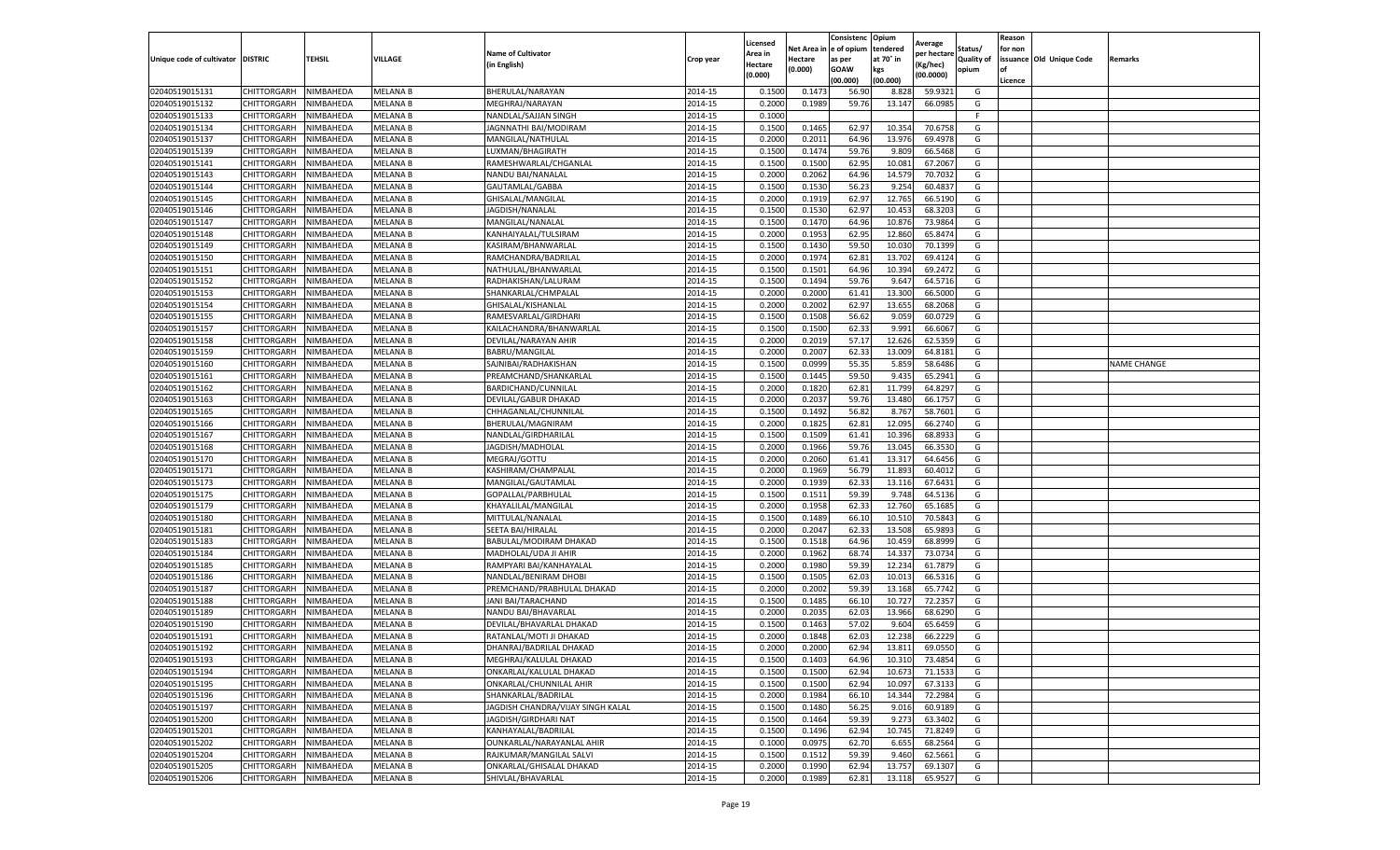|                                   |                                      |           |                             |                                                   |           | Licensed         |                  | Consistenc             | Opium            |                        |                   | Reason  |                          |                    |
|-----------------------------------|--------------------------------------|-----------|-----------------------------|---------------------------------------------------|-----------|------------------|------------------|------------------------|------------------|------------------------|-------------------|---------|--------------------------|--------------------|
|                                   |                                      |           |                             | <b>Name of Cultivator</b>                         |           | Area in          |                  | Net Area in e of opium | tendered         | Average<br>per hectare | Status/           | for non |                          |                    |
| Unique code of cultivator DISTRIC |                                      | TEHSIL    | VILLAGE                     | in English)                                       | Crop year | Hectare          | Hectare          | as per                 | at 70° in        | (Kg/hec                | <b>Quality of</b> |         | issuance Old Unique Code | <b>Remarks</b>     |
|                                   |                                      |           |                             |                                                   |           | (0.000)          | (0.000)          | <b>GOAW</b>            | kgs              | (00.0000)              | opium             |         |                          |                    |
|                                   |                                      |           |                             |                                                   |           |                  |                  | (00.000)               | (00.000)         |                        |                   | Licence |                          |                    |
| 02040519015131                    | CHITTORGARH                          | NIMBAHEDA | <b>MELANA B</b>             | BHERULAL/NARAYAN                                  | 2014-15   | 0.1500           | 0.147            | 56.90                  | 8.828            | 59.9321                | G                 |         |                          |                    |
| 02040519015132                    | CHITTORGARH                          | NIMBAHEDA | <b>MELANA B</b>             | MEGHRAJ/NARAYAN                                   | 2014-15   | 0.2000           | 0.1989           | 59.76                  | 13.147           | 66.0985                | G                 |         |                          |                    |
| 02040519015133                    | CHITTORGARH                          | NIMBAHEDA | <b>MELANA B</b>             | NANDLAL/SAJJAN SINGH                              | 2014-15   | 0.1000           |                  |                        |                  |                        | F.                |         |                          |                    |
| 02040519015134                    | CHITTORGARH                          | NIMBAHEDA | MELANA B                    | JAGNNATHI BAI/MODIRAM                             | 2014-15   | 0.1500           | 0.1465           | 62.97                  | 10.354           | 70.6758                | G                 |         |                          |                    |
| 02040519015137                    | <b>CHITTORGARH</b>                   | NIMBAHEDA | MELANA B                    | MANGILAL/NATHULAL                                 | 2014-15   | 0.2000           | 0.2011           | 64.96                  | 13.976           | 69.4978                | G                 |         |                          |                    |
| 02040519015139                    | CHITTORGARH                          | NIMBAHEDA | <b>MELANA B</b>             | LUXMAN/BHAGIRATH                                  | 2014-15   | 0.1500           | 0.1474           | 59.76                  | 9.809            | 66.5468                | G                 |         |                          |                    |
| 02040519015141                    | CHITTORGARH                          | NIMBAHEDA | <b>MELANA B</b>             | RAMESHWARLAL/CHGANLAL                             | 2014-15   | 0.1500           | 0.1500           | 62.95                  | 10.081           | 67.2067                | G                 |         |                          |                    |
| 02040519015143                    | CHITTORGARH                          | NIMBAHEDA | MELANA B                    | NANDU BAI/NANALAL                                 | 2014-15   | 0.2000           | 0.2062           | 64.96                  | 14.57            | 70.7032                | G                 |         |                          |                    |
| 02040519015144                    | CHITTORGARH                          | NIMBAHEDA | MELANA B                    | GAUTAMLAL/GABBA                                   | 2014-15   | 0.1500           | 0.1530           | 56.23                  | 9.254            | 60.4837                | G                 |         |                          |                    |
| 02040519015145                    | CHITTORGARH                          | NIMBAHEDA | <b>MELANA B</b>             | GHISALAL/MANGILAL                                 | 2014-15   | 0.2000           | 0.1919           | 62.97                  | 12.765           | 66.5190                | G                 |         |                          |                    |
| 02040519015146                    | CHITTORGARH                          | NIMBAHEDA | MELANA B                    | JAGDISH/NANALAL                                   | 2014-15   | 0.1500           | 0.1530           | 62.97                  | 10.453           | 68.3203                | G                 |         |                          |                    |
| 02040519015147                    | CHITTORGARH                          | NIMBAHEDA | MELANA B                    | MANGILAL/NANALAI                                  | 2014-15   | 0.1500           | 0.1470           | 64.96                  | 10.87            | 73.9864                | G                 |         |                          |                    |
| 02040519015148                    | CHITTORGARH                          | NIMBAHEDA | MELANA B                    | KANHAIYALAL/TULSIRAM                              | 2014-15   | 0.2000           | 0.1953           | 62.95                  | 12.86            | 65.847                 | G                 |         |                          |                    |
| 02040519015149                    | CHITTORGARH                          | NIMBAHEDA | MELANA B                    | KASIRAM/BHANWARLAL                                | 2014-15   | 0.1500           | 0.1430           | 59.50                  | 10.03            | 70.1399                | G                 |         |                          |                    |
| 02040519015150                    | CHITTORGARH                          | NIMBAHEDA | MELANA B                    | RAMCHANDRA/BADRILAL                               | 2014-15   | 0.2000           | 0.1974           | 62.81                  | 13.70            | 69.4124                | G                 |         |                          |                    |
| 02040519015151                    | CHITTORGARH                          | NIMBAHEDA | <b>MELANA B</b>             | NATHULAL/BHANWARLAI                               | 2014-15   | 0.1500           | 0.1501           | 64.96                  | 10.394           | 69.2472                | G                 |         |                          |                    |
| 02040519015152                    | CHITTORGARH                          | NIMBAHEDA | MELANA B                    | RADHAKISHAN/LALURAM                               | 2014-15   | 0.1500           | 0.1494           | 59.76                  | 9.647            | 64.5716                | G                 |         |                          |                    |
| 02040519015153                    | CHITTORGARH                          | NIMBAHEDA | <b>MELANA B</b>             | SHANKARLAL/CHMPALAL                               | 2014-15   | 0.2000           | 0.2000           | 61.41                  | 13.300           | 66.5000                | G                 |         |                          |                    |
| 02040519015154                    | CHITTORGARH                          | NIMBAHEDA | MELANA B                    | GHISALAL/KISHANLAL                                | 2014-15   | 0.2000           | 0.2002           | 62.97                  | 13.655           | 68.2068                | G                 |         |                          |                    |
| 02040519015155                    | CHITTORGARH                          | NIMBAHEDA | MELANA B                    | RAMESVARLAL/GIRDHARI                              | 2014-15   | 0.1500           | 0.1508           | 56.62                  | 9.059            | 60.0729                | G                 |         |                          |                    |
| 02040519015157                    | CHITTORGARH                          | NIMBAHEDA | <b>MELANA B</b>             | KAILACHANDRA/BHANWARLAL                           | 2014-15   | 0.1500           | 0.1500           | 62.33                  | 9.991            | 66.6067                | G                 |         |                          |                    |
| 02040519015158                    | CHITTORGARH                          | NIMBAHEDA | MELANA B                    | DEVILAL/NARAYAN AHIR                              | 2014-15   | 0.2000           | 0.2019           | 57.17                  | 12.62            | 62.5359                | G                 |         |                          |                    |
| 02040519015159                    | CHITTORGARH                          | NIMBAHEDA | MELANA B                    | BABRU/MANGILAL                                    | 2014-15   | 0.2000           | 0.2007           | 62.33                  | 13.009           | 64.8181                | G                 |         |                          |                    |
| 02040519015160                    | CHITTORGARH                          | NIMBAHEDA | MELANA B                    | SAJNIBAI/RADHAKISHAN                              | 2014-15   | 0.1500           | 0.0999           | 55.35                  | 5.85             | 58.6486                | G                 |         |                          | <b>NAME CHANGE</b> |
| 02040519015161                    | CHITTORGARH                          | NIMBAHEDA | MELANA B                    | PREAMCHAND/SHANKARLAL                             | 2014-15   | 0.1500           | 0.1445           | 59.50                  | 9.435            | 65.2941                | G                 |         |                          |                    |
| 02040519015162                    | CHITTORGARH                          | NIMBAHEDA | <b>MELANA B</b>             | BARDICHAND/CUNNILAL                               | 2014-15   | 0.2000           | 0.1820           | 62.81                  | 11.799           | 64.8297                | G                 |         |                          |                    |
| 02040519015163                    | CHITTORGARH                          | NIMBAHEDA | MELANA B                    | DEVILAL/GABUR DHAKAD                              | 2014-15   | 0.2000           | 0.2037           | 59.76                  | 13.480           | 66.1757                | G                 |         |                          |                    |
| 02040519015165                    | CHITTORGARH                          | NIMBAHEDA | MELANA B                    | CHHAGANLAL/CHUNNILAL                              | 2014-15   | 0.1500           | 0.1492           | 56.82                  | 8.767            | 58.7601                | G                 |         |                          |                    |
| 02040519015166                    | CHITTORGARH                          | NIMBAHEDA | MELANA B                    | BHERULAL/MAGNIRAM                                 | 2014-15   | 0.2000           | 0.1825           | 62.81                  | 12.095           | 66.2740                | G                 |         |                          |                    |
| 02040519015167                    | CHITTORGARH                          | NIMBAHEDA | MELANA B                    | NANDLAL/GIRDHARILAL                               | 2014-15   | 0.1500           | 0.1509           | 61.41                  | 10.396           | 68.893                 | G                 |         |                          |                    |
| 02040519015168                    | CHITTORGARH                          | NIMBAHEDA | MELANA B                    | JAGDISH/MADHOLAL                                  | 2014-15   | 0.2000           | 0.1966           | 59.76                  | 13.045           | 66.3530                | G                 |         |                          |                    |
| 02040519015170                    | CHITTORGARH                          | NIMBAHEDA | MELANA B                    | MEGRAJ/GOTTU                                      | 2014-15   | 0.2000           | 0.2060           | 61.41                  | 13.31            | 64.6456                | G                 |         |                          |                    |
| 02040519015171                    | CHITTORGARH                          | NIMBAHEDA | MELANA B                    | KASHIRAM/CHAMPALAL                                | 2014-15   | 0.2000           | 0.1969           | 56.79                  | 11.893           | 60.401                 | G                 |         |                          |                    |
| 02040519015173                    | CHITTORGARH                          | NIMBAHEDA | MELANA B                    | MANGILAL/GAUTAMLAL                                | 2014-15   | 0.2000           | 0.1939           | 62.33                  | 13.116           | 67.6431                | G                 |         |                          |                    |
| 02040519015175                    | CHITTORGARH                          | NIMBAHEDA | MELANA B                    | GOPALLAL/PARBHULAL                                | 2014-15   | 0.1500           | 0.1511           | 59.39                  | 9.748            | 64.5136                | G                 |         |                          |                    |
| 02040519015179                    | CHITTORGARH                          | NIMBAHEDA | MELANA B                    | KHAYALILAL/MANGILAL                               | 2014-15   | 0.2000           | 0.1958           | 62.33                  | 12.760           | 65.1685                | G                 |         |                          |                    |
| 02040519015180                    | CHITTORGARH                          | NIMBAHEDA | <b>MELANA B</b>             | MITTULAL/NANALAL                                  | 2014-15   | 0.1500           | 0.1489           | 66.10                  | 10.51            | 70.5843                | G                 |         |                          |                    |
| 02040519015181                    | CHITTORGARH                          | NIMBAHEDA | MELANA B                    | SEETA BAI/HIRALAL                                 | 2014-15   | 0.2000           | 0.2047           | 62.33                  | 13.50            | 65.989                 | G                 |         |                          |                    |
| 02040519015183                    | CHITTORGARH                          | NIMBAHEDA | <b>MELANA B</b>             | BABULAL/MODIRAM DHAKAD                            | 2014-15   | 0.1500           | 0.1518           | 64.96                  | 10.459           | 68.8999                | G                 |         |                          |                    |
| 02040519015184                    | CHITTORGARH                          | NIMBAHEDA | MELANA B                    | MADHOLAL/UDA JI AHIR                              | 2014-15   | 0.2000           | 0.1962           | 68.74                  | 14.33            | 73.0734                | G                 |         |                          |                    |
| 02040519015185                    | CHITTORGARH                          | NIMBAHEDA | MELANA B                    | RAMPYARI BAI/KANHAYALAL                           | 2014-15   | 0.2000           | 0.1980           | 59.39                  | 12.23            | 61.7879                | G                 |         |                          |                    |
| 02040519015186                    | CHITTORGARH                          | NIMBAHEDA | MELANA B                    | NANDLAL/BENIRAM DHOBI                             | 2014-15   | 0.1500           | 0.1505           | 62.03                  | 10.01            | 66.5316                | G                 |         |                          |                    |
| 02040519015187                    | CHITTORGARH                          | NIMBAHEDA | MELANA B                    | PREMCHAND/PRABHULAL DHAKAD                        | 2014-15   | 0.2000           | 0.2002           | 59.39                  | 13.16            | 65.7742                | G                 |         |                          |                    |
| 02040519015188                    | CHITTORGARH                          | NIMBAHEDA | MELANA B                    | JANI BAI/TARACHAND                                | 2014-15   | 0.1500           | 0.1485           | 66.10                  | 10.72            | 72.2357                | G                 |         |                          |                    |
| 02040519015189                    | CHITTORGARH                          | NIMBAHEDA | <b>MELANA B</b>             | NANDU BAI/BHAVARLAL                               | 2014-15   | 0.2000           | 0.2035           | 62.03                  | 13.966           | 68.6290                | G                 |         |                          |                    |
| 02040519015190                    | CHITTORGARH                          | NIMBAHEDA | MELANA B                    | DEVILAL/BHAVARLAL DHAKAD                          | 2014-15   | 0.1500           | 0.1463           | 57.02                  | 9.604            | 65.6459                | G                 |         |                          |                    |
| 02040519015191                    | CHITTORGARH                          | NIMBAHEDA | <b>MELANA B</b>             | RATANLAL/MOTI JI DHAKAD                           | 2014-15   | 0.2000           | 0.1848           | 62.03                  | 12.23            | 66.2229                | G                 |         |                          |                    |
| 02040519015192                    | CHITTORGARH                          | NIMBAHEDA | <b>MELANA B</b>             | DHANRAJ/BADRILAL DHAKAD                           | 2014-15   | 0.2000           | 0.2000           | 62.94                  | 13.811           | 69.0550                | G                 |         |                          |                    |
|                                   |                                      |           |                             |                                                   | 2014-15   |                  |                  |                        |                  |                        |                   |         |                          |                    |
| 02040519015193<br>02040519015194  | CHITTORGARH NIMBAHEDA<br>CHITTORGARH | NIMBAHEDA | <b>MELANA B</b><br>MELANA B | MEGHRAJ/KALULAL DHAKAD<br>ONKARLAL/KALULAL DHAKAD | 2014-15   | 0.1500<br>0.1500 | 0.1403<br>0.1500 | 64.96<br>62.94         | 10.310<br>10.673 | 73.4854<br>71.1533     | G<br>G            |         |                          |                    |
|                                   | <b>CHITTORGARH</b>                   |           |                             | ONKARLAL/CHUNNILAL AHIR                           |           |                  |                  |                        | 10.097           |                        | G                 |         |                          |                    |
| 02040519015195                    |                                      | NIMBAHEDA | MELANA B                    |                                                   | 2014-15   | 0.1500           | 0.1500           | 62.94                  |                  | 67.3133                |                   |         |                          |                    |
| 02040519015196                    | CHITTORGARH                          | NIMBAHEDA | MELANA B                    | SHANKARLAL/BADRILAL                               | 2014-15   | 0.2000           | 0.1984           | 66.10                  | 14.344           | 72.2984                | G                 |         |                          |                    |
| 02040519015197                    | CHITTORGARH                          | NIMBAHEDA | MELANA B                    | JAGDISH CHANDRA/VIJAY SINGH KALAL                 | 2014-15   | 0.1500           | 0.1480           | 56.25                  | 9.016            | 60.9189                | G                 |         |                          |                    |
| 02040519015200                    | <b>CHITTORGARH</b>                   | NIMBAHEDA | <b>MELANA B</b>             | JAGDISH/GIRDHARI NAT                              | 2014-15   | 0.1500           | 0.1464           | 59.39                  | 9.273            | 63.3402                | G                 |         |                          |                    |
| 02040519015201                    | CHITTORGARH                          | NIMBAHEDA | MELANA B                    | KANHAYALAL/BADRILAL                               | 2014-15   | 0.1500           | 0.1496           | 62.94                  | 10.745           | 71.8249                | G                 |         |                          |                    |
| 02040519015202                    | <b>CHITTORGARH</b>                   | NIMBAHEDA | MELANA B                    | <b>OUNKARLAL/NARAYANLAL AHIR</b>                  | 2014-15   | 0.1000           | 0.0975           | 62.70                  | 6.655            | 68.2564                | G                 |         |                          |                    |
| 02040519015204                    | CHITTORGARH                          | NIMBAHEDA | <b>MELANA B</b>             | RAJKUMAR/MANGILAL SALVI                           | 2014-15   | 0.1500           | 0.1512           | 59.39                  | 9.460            | 62.5661                | G                 |         |                          |                    |
| 02040519015205                    | CHITTORGARH                          | NIMBAHEDA | MELANA B                    | ONKARLAL/GHISALAL DHAKAD                          | 2014-15   | 0.2000           | 0.1990           | 62.94                  | 13.757           | 69.1307                | G                 |         |                          |                    |
| 02040519015206                    | <b>CHITTORGARH</b>                   | NIMBAHEDA | <b>MELANA B</b>             | SHIVLAL/BHAVARLAL                                 | 2014-15   | 0.2000           | 0.1989           | 62.81                  | 13.118           | 65.9527                | G                 |         |                          |                    |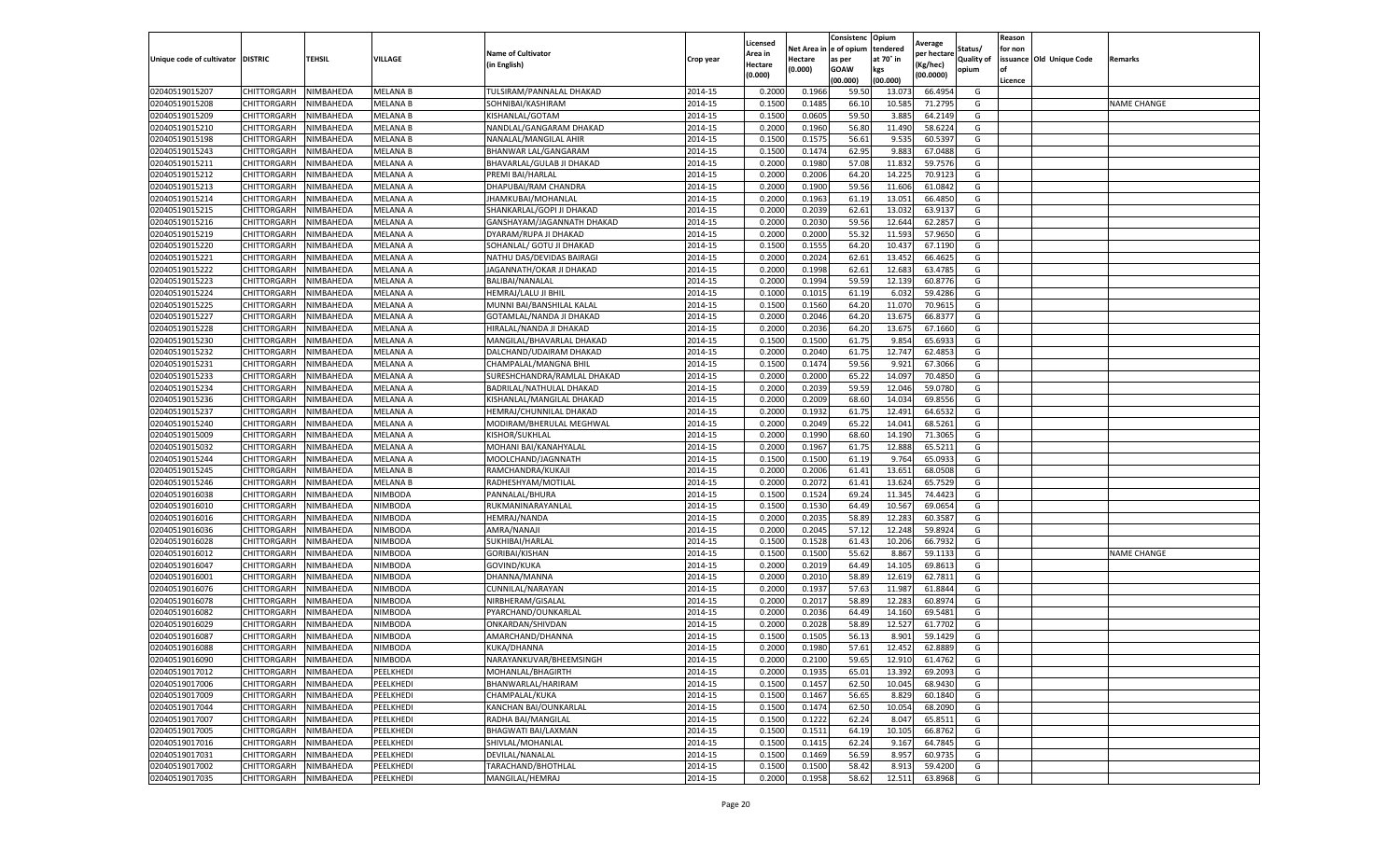|                           |                    |           |                 |                             |           | Licensed |         | Consistenc             | Opium     |                        |            | Reason  |                          |                    |
|---------------------------|--------------------|-----------|-----------------|-----------------------------|-----------|----------|---------|------------------------|-----------|------------------------|------------|---------|--------------------------|--------------------|
|                           |                    |           |                 | <b>Name of Cultivator</b>   |           | Area in  |         | Net Area in e of opium | tendered  | Average<br>per hectare | Status/    | for non |                          |                    |
| Unique code of cultivator | <b>DISTRIC</b>     | TEHSIL    | VILLAGE         | in English)                 | Crop year | Hectare  | Hectare | as per                 | at 70° in | (Kg/hec                | Quality of |         | issuance Old Unique Code | <b>Remarks</b>     |
|                           |                    |           |                 |                             |           | (0.000)  | (0.000) | <b>GOAW</b>            | kgs       | (00.0000)              | opium      |         |                          |                    |
|                           |                    |           |                 |                             |           |          |         | (00.000)               | (00.000)  |                        |            | Licence |                          |                    |
| 02040519015207            | CHITTORGARH        | NIMBAHEDA | <b>MELANA B</b> | TULSIRAM/PANNALAL DHAKAD    | 2014-15   | 0.2000   | 0.1966  | 59.50                  | 13.07     | 66.4954                | G          |         |                          |                    |
| 02040519015208            | CHITTORGARH        | NIMBAHEDA | <b>MELANA B</b> | SOHNIBAI/KASHIRAM           | 2014-15   | 0.1500   | 0.1485  | 66.10                  | 10.58     | 71.2795                | G          |         |                          | <b>NAME CHANGE</b> |
| 02040519015209            | CHITTORGARH        | NIMBAHEDA | <b>MELANA B</b> | KISHANLAL/GOTAM             | 2014-15   | 0.1500   | 0.0605  | 59.50                  | 3.885     | 64.2149                | G          |         |                          |                    |
| 02040519015210            | CHITTORGARH        | NIMBAHEDA | <b>MELANA B</b> | NANDLAL/GANGARAM DHAKAD     | 2014-15   | 0.2000   | 0.1960  | 56.80                  | 11.490    | 58.6224                | G          |         |                          |                    |
| 02040519015198            | CHITTORGARH        | NIMBAHEDA | MELANA B        | NANALAL/MANGILAL AHIR       | 2014-15   | 0.1500   | 0.1575  | 56.61                  | 9.535     | 60.5397                | G          |         |                          |                    |
| 02040519015243            | CHITTORGARH        | NIMBAHEDA | <b>MELANA B</b> | BHANWAR LAL/GANGARAM        | 2014-15   | 0.1500   | 0.1474  | 62.95                  | 9.883     | 67.0488                | G          |         |                          |                    |
| 02040519015211            | CHITTORGARH        | NIMBAHEDA | MELANA A        | BHAVARLAL/GULAB JI DHAKAD   | 2014-15   | 0.2000   | 0.1980  | 57.08                  | 11.83     | 59.7576                | G          |         |                          |                    |
| 02040519015212            | CHITTORGARH        | NIMBAHEDA | MELANA A        | PREMI BAI/HARLAL            | 2014-15   | 0.2000   | 0.2006  | 64.20                  | 14.225    | 70.9123                | G          |         |                          |                    |
| 02040519015213            | CHITTORGARH        | NIMBAHEDA | MELANA A        | DHAPUBAI/RAM CHANDRA        | 2014-15   | 0.2000   | 0.1900  | 59.56                  | 11.606    | 61.0842                | G          |         |                          |                    |
| 02040519015214            | CHITTORGARH        | NIMBAHEDA | MELANA A        | JHAMKUBAI/MOHANLAL          | 2014-15   | 0.2000   | 0.1963  | 61.19                  | 13.051    | 66.4850                | G          |         |                          |                    |
| 02040519015215            | CHITTORGARH        | NIMBAHEDA | MELANA A        | SHANKARLAL/GOPI JI DHAKAD   | 2014-15   | 0.2000   | 0.2039  | 62.61                  | 13.03     | 63.9137                | G          |         |                          |                    |
| 02040519015216            | CHITTORGARH        | NIMBAHEDA | MELANA A        | GANSHAYAM/JAGANNATH DHAKAD  | 2014-15   | 0.2000   | 0.2030  | 59.56                  | 12.644    | 62.2857                | G          |         |                          |                    |
| 02040519015219            | CHITTORGARH        | NIMBAHEDA | MELANA A        | DYARAM/RUPA JI DHAKAD       | 2014-15   | 0.2000   | 0.2000  | 55.32                  | 11.59     | 57.9650                | G          |         |                          |                    |
| 02040519015220            | CHITTORGARH        | NIMBAHEDA | MELANA A        | SOHANLAL/ GOTU JI DHAKAD    | 2014-15   | 0.1500   | 0.1555  | 64.20                  | 10.43     | 67.1190                | G          |         |                          |                    |
| 02040519015221            | CHITTORGARH        | NIMBAHEDA | MELANA A        | NATHU DAS/DEVIDAS BAIRAGI   | 2014-15   | 0.2000   | 0.2024  | 62.61                  | 13.452    | 66.4625                | G          |         |                          |                    |
| 02040519015222            | CHITTORGARH        | NIMBAHEDA | MELANA A        | JAGANNATH/OKAR JI DHAKAD    | 2014-15   | 0.2000   | 0.1998  | 62.61                  | 12.683    | 63.4785                | G          |         |                          |                    |
| 02040519015223            | CHITTORGARH        | NIMBAHEDA | MELANA A        | BALIBAI/NANALAL             | 2014-15   | 0.2000   | 0.1994  | 59.59                  | 12.139    | 60.8776                | G          |         |                          |                    |
| 02040519015224            | CHITTORGARH        | NIMBAHEDA | MELANA A        | HEMRAJ/LALU JI BHIL         | 2014-15   | 0.1000   | 0.1015  | 61.19                  | 6.03      | 59.4286                | G          |         |                          |                    |
| 02040519015225            | CHITTORGARH        | NIMBAHEDA | MELANA A        | MUNNI BAI/BANSHILAL KALAL   | 2014-15   | 0.1500   | 0.1560  | 64.20                  | 11.07     | 70.9615                | G          |         |                          |                    |
| 02040519015227            | CHITTORGARH        | NIMBAHEDA | MELANA A        | GOTAMLAL/NANDA JI DHAKAD    | 2014-15   | 0.2000   | 0.2046  | 64.20                  | 13.675    | 66.8377                | G          |         |                          |                    |
| 02040519015228            | CHITTORGARH        | NIMBAHEDA | MELANA A        | HIRALAL/NANDA JI DHAKAD     | 2014-15   | 0.2000   | 0.2036  | 64.20                  | 13.675    | 67.1660                | G          |         |                          |                    |
| 02040519015230            | CHITTORGARH        | NIMBAHEDA | MELANA A        | MANGILAL/BHAVARLAL DHAKAD   | 2014-15   | 0.1500   | 0.1500  | 61.75                  | 9.854     | 65.6933                | G          |         |                          |                    |
| 02040519015232            | CHITTORGARH        | NIMBAHEDA | MELANA A        | DALCHAND/UDAIRAM DHAKAD     | 2014-15   | 0.2000   | 0.2040  | 61.75                  | 12.747    | 62.4853                | G          |         |                          |                    |
| 02040519015231            | CHITTORGARH        | NIMBAHEDA | MELANA A        | CHAMPALAL/MANGNA BHIL       | 2014-15   | 0.1500   | 0.1474  | 59.56                  | 9.921     | 67.3066                | G          |         |                          |                    |
| 02040519015233            | CHITTORGARH        | NIMBAHEDA | MELANA A        | SURESHCHANDRA/RAMLAL DHAKAD | 2014-15   | 0.2000   | 0.2000  | 65.22                  | 14.09     | 70.4850                | G          |         |                          |                    |
| 02040519015234            | CHITTORGARH        | NIMBAHEDA | MELANA A        | BADRILAL/NATHULAL DHAKAD    | 2014-15   | 0.2000   | 0.2039  | 59.59                  | 12.046    | 59.0780                | G          |         |                          |                    |
| 02040519015236            | CHITTORGARH        | NIMBAHEDA | MELANA A        | KISHANLAL/MANGILAL DHAKAD   | 2014-15   | 0.2000   | 0.2009  | 68.60                  | 14.03     | 69.8556                | G          |         |                          |                    |
| 02040519015237            | CHITTORGARH        | NIMBAHEDA | MELANA A        | HEMRAJ/CHUNNILAL DHAKAD     | 2014-15   | 0.2000   | 0.1932  | 61.75                  | 12.491    | 64.6532                | G          |         |                          |                    |
| 02040519015240            | CHITTORGARH        | NIMBAHEDA | MELANA A        | MODIRAM/BHERULAL MEGHWAL    | 2014-15   | 0.2000   | 0.2049  | 65.22                  | 14.041    | 68.5261                | G          |         |                          |                    |
| 02040519015009            | CHITTORGARH        | NIMBAHEDA | MELANA A        | KISHOR/SUKHLAL              | 2014-15   | 0.2000   | 0.1990  | 68.60                  | 14.190    | 71.3065                | G          |         |                          |                    |
| 02040519015032            | CHITTORGARH        | NIMBAHEDA | MELANA A        | MOHANI BAI/KANAHYALAL       | 2014-15   | 0.2000   | 0.1967  | 61.75                  | 12.888    | 65.5211                | G          |         |                          |                    |
| 02040519015244            | CHITTORGARH        | NIMBAHEDA | MELANA A        | MOOLCHAND/JAGNNATH          | 2014-15   | 0.1500   | 0.1500  | 61.19                  | 9.764     | 65.0933                | G          |         |                          |                    |
| 02040519015245            | CHITTORGARH        | NIMBAHEDA | MELANA B        | RAMCHANDRA/KUKAJI           | 2014-15   | 0.2000   | 0.2006  | 61.41                  | 13.65     | 68.0508                | G          |         |                          |                    |
| 02040519015246            | CHITTORGARH        | NIMBAHEDA | MELANA B        | RADHESHYAM/MOTILAL          | 2014-15   | 0.2000   | 0.2072  | 61.41                  | 13.624    | 65.7529                | G          |         |                          |                    |
| 02040519016038            | CHITTORGARH        | NIMBAHEDA | NIMBODA         | PANNALAL/BHURA              | 2014-15   | 0.1500   | 0.1524  | 69.24                  | 11.345    | 74.4423                | G          |         |                          |                    |
| 02040519016010            | CHITTORGARH        | NIMBAHEDA | NIMBODA         | RUKMANINARAYANLAL           | 2014-15   | 0.1500   | 0.1530  | 64.49                  | 10.56     | 69.0654                | G          |         |                          |                    |
| 02040519016016            | CHITTORGARH        | NIMBAHEDA | NIMBODA         | <b>HEMRAJ/NANDA</b>         | 2014-15   | 0.2000   | 0.2035  | 58.89                  | 12.283    | 60.358                 | G          |         |                          |                    |
| 02040519016036            | CHITTORGARH        | NIMBAHEDA | NIMBODA         | AMRA/NANAJI                 | 2014-15   | 0.2000   | 0.2045  | 57.12                  | 12.24     | 59.892                 | G          |         |                          |                    |
| 02040519016028            | CHITTORGARH        | NIMBAHEDA | NIMBODA         | SUKHIBAI/HARLAL             | 2014-15   | 0.1500   | 0.1528  | 61.43                  | 10.20     | 66.7932                | G          |         |                          |                    |
| 02040519016012            | CHITTORGARH        | NIMBAHEDA | NIMBODA         | GORIBAI/KISHAN              | 2014-15   | 0.1500   | 0.1500  | 55.62                  | 8.867     | 59.1133                | G          |         |                          | <b>NAME CHANGE</b> |
| 02040519016047            | CHITTORGARH        | NIMBAHEDA | NIMBODA         | GOVIND/KUKA                 | 2014-15   | 0.2000   | 0.2019  | 64.49                  | 14.105    | 69.8613                | G          |         |                          |                    |
| 02040519016001            | CHITTORGARH        | NIMBAHEDA | NIMBODA         | DHANNA/MANNA                | 2014-15   | 0.2000   | 0.2010  | 58.89                  | 12.619    | 62.7811                | G          |         |                          |                    |
| 02040519016076            | CHITTORGARH        | NIMBAHEDA | NIMBODA         | CUNNILAL/NARAYAN            | 2014-15   | 0.2000   | 0.1937  | 57.63                  | 11.987    | 61.8844                | G          |         |                          |                    |
| 02040519016078            | CHITTORGARH        | NIMBAHEDA | NIMBODA         | NIRBHERAM/GISALAL           | 2014-15   | 0.2000   | 0.2017  | 58.89                  | 12.283    | 60.897                 | G          |         |                          |                    |
| 02040519016082            | CHITTORGARH        | NIMBAHEDA | NIMBODA         | PYARCHAND/OUNKARLAL         | 2014-15   | 0.2000   | 0.2036  | 64.49                  | 14.160    | 69.5481                | G          |         |                          |                    |
| 02040519016029            | CHITTORGARH        | NIMBAHEDA | NIMBODA         | ONKARDAN/SHIVDAN            | 2014-15   | 0.2000   | 0.2028  | 58.89                  | 12.527    | 61.7702                | G          |         |                          |                    |
| 02040519016087            | CHITTORGARH        | NIMBAHEDA | NIMBODA         | AMARCHAND/DHANNA            | 2014-15   | 0.1500   | 0.1505  | 56.13                  | 8.901     | 59.1429                | G          |         |                          |                    |
| 02040519016088            | CHITTORGARH        | NIMBAHEDA | NIMBODA         | KUKA/DHANNA                 | 2014-15   | 0.2000   | 0.1980  | 57.61                  | 12.452    | 62.8889                | G          |         |                          |                    |
| 02040519016090            | CHITTORGARH        | NIMBAHEDA | NIMBODA         | NARAYANKUVAR/BHEEMSINGH     | 2014-15   | 0.2000   | 0.2100  | 59.65                  | 12.910    | 61.4762                | G          |         |                          |                    |
| 02040519017012            | CHITTORGARH        | NIMBAHEDA | PEELKHEDI       | MOHANLAL/BHAGIRTH           | 2014-15   | 0.2000   | 0.1935  | 65.01                  | 13.392    | 69.2093                | G          |         |                          |                    |
| 02040519017006            | CHITTORGARH        | NIMBAHEDA | PEELKHEDI       | BHANWARLAL/HARIRAM          | 2014-15   | 0.1500   | 0.1457  | 62.50                  | 10.045    | 68.9430                | G          |         |                          |                    |
| 02040519017009            | CHITTORGARH        | NIMBAHEDA | PEELKHEDI       | CHAMPALAL/KUKA              | 2014-15   | 0.1500   | 0.1467  | 56.65                  | 8.829     | 60.1840                | G          |         |                          |                    |
| 02040519017044            | CHITTORGARH        | NIMBAHEDA | PEELKHEDI       | KANCHAN BAI/OUNKARLAL       | 2014-15   | 0.1500   | 0.1474  | 62.50                  | 10.054    | 68.2090                | G          |         |                          |                    |
| 02040519017007            | <b>CHITTORGARH</b> | NIMBAHEDA | PEELKHEDI       | RADHA BAI/MANGILAL          | 2014-15   | 0.1500   | 0.1222  | 62.24                  | 8.047     | 65.8511                | G          |         |                          |                    |
| 02040519017005            | CHITTORGARH        | NIMBAHEDA | PEELKHEDI       | BHAGWATI BAI/LAXMAN         | 2014-15   | 0.1500   | 0.1511  | 64.19                  | 10.105    | 66.8762                | G          |         |                          |                    |
| 02040519017016            | <b>CHITTORGARH</b> | NIMBAHEDA | PEELKHEDI       | SHIVLAL/MOHANLAL            | 2014-15   | 0.1500   | 0.1415  | 62.24                  | 9.167     | 64.7845                | G          |         |                          |                    |
| 02040519017031            | CHITTORGARH        | NIMBAHEDA | PEELKHEDI       | DEVILAL/NANALAL             | 2014-15   | 0.1500   | 0.1469  | 56.59                  | 8.957     | 60.9735                | G          |         |                          |                    |
| 02040519017002            | CHITTORGARH        | NIMBAHEDA | PEELKHEDI       | TARACHAND/BHOTHLAL          | 2014-15   | 0.1500   | 0.1500  | 58.42                  | 8.913     | 59.4200                | G          |         |                          |                    |
| 02040519017035            | <b>CHITTORGARH</b> | NIMBAHEDA | PEELKHEDI       | MANGILAL/HEMRAJ             | 2014-15   | 0.2000   | 0.1958  | 58.62                  | 12.511    | 63.8968                | G          |         |                          |                    |
|                           |                    |           |                 |                             |           |          |         |                        |           |                        |            |         |                          |                    |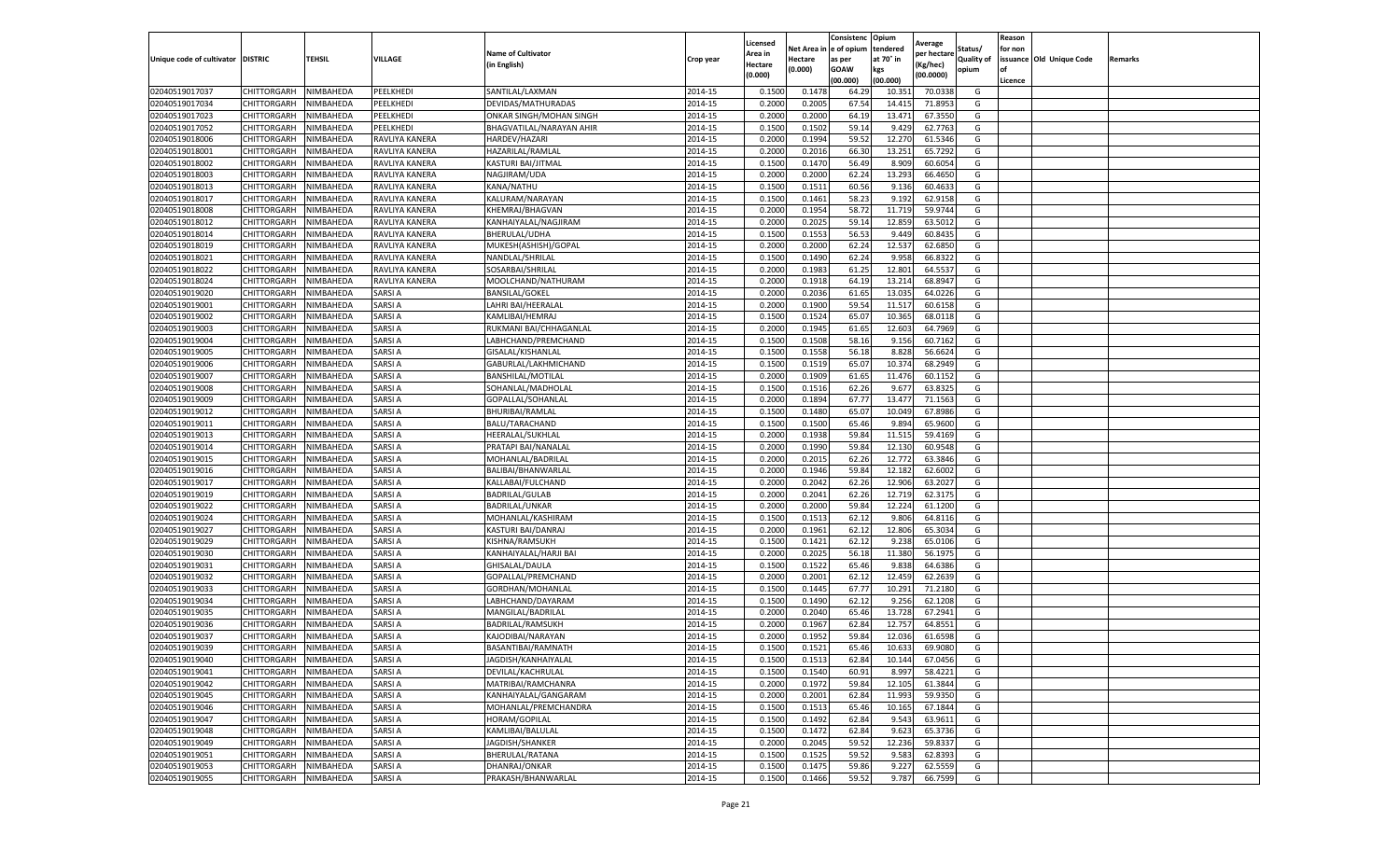|                                   |                       |           |                |                           |           |                     |         | Consistenc             | Opium     |                        |                   | Reason  |                          |                |
|-----------------------------------|-----------------------|-----------|----------------|---------------------------|-----------|---------------------|---------|------------------------|-----------|------------------------|-------------------|---------|--------------------------|----------------|
|                                   |                       |           |                | <b>Name of Cultivator</b> |           | Licensed<br>Area in |         | Net Area in e of opium | tendered  | Average<br>per hectare | Status/           | for non |                          |                |
| Unique code of cultivator DISTRIC |                       | TEHSIL    | VILLAGE        | in English)               | Crop year | Hectare             | Hectare | as per                 | at 70° in | (Kg/hec                | <b>Quality of</b> |         | issuance Old Unique Code | <b>Remarks</b> |
|                                   |                       |           |                |                           |           | (0.000)             | (0.000) | <b>GOAW</b>            | kgs       | (00.0000)              | opium             |         |                          |                |
|                                   |                       |           |                |                           |           |                     |         | (00.000)               | (00.000)  |                        |                   | Licence |                          |                |
| 02040519017037                    | CHITTORGARH           | NIMBAHEDA | PEELKHEDI      | SANTILAL/LAXMAN           | 2014-15   | 0.1500              | 0.1478  | 64.29                  | 10.35     | 70.0338                | G                 |         |                          |                |
| 02040519017034                    | CHITTORGARH           | NIMBAHEDA | PEELKHEDI      | DEVIDAS/MATHURADAS        | 2014-15   | 0.2000              | 0.2005  | 67.54                  | 14.41     | 71.8953                | G                 |         |                          |                |
| 02040519017023                    | CHITTORGARH           | NIMBAHEDA | PEELKHEDI      | ONKAR SINGH/MOHAN SINGH   | 2014-15   | 0.2000              | 0.2000  | 64.19                  | 13.471    | 67.3550                | G                 |         |                          |                |
| 02040519017052                    | CHITTORGARH           | NIMBAHEDA | PEELKHEDI      | BHAGVATILAL/NARAYAN AHIR  | 2014-15   | 0.1500              | 0.1502  | 59.14                  | 9.429     | 62.7763                | G                 |         |                          |                |
| 02040519018006                    | CHITTORGARH           | NIMBAHEDA | RAVLIYA KANERA | HARDEV/HAZARI             | 2014-15   | 0.2000              | 0.1994  | 59.52                  | 12.27     | 61.5346                | G                 |         |                          |                |
| 02040519018001                    | CHITTORGARH           | NIMBAHEDA | RAVLIYA KANERA | HAZARILAL/RAMLAL          | 2014-15   | 0.2000              | 0.2016  | 66.30                  | 13.251    | 65.7292                | G                 |         |                          |                |
| 02040519018002                    | CHITTORGARH           | NIMBAHEDA | RAVLIYA KANERA | KASTURI BAI/JITMAL        | 2014-15   | 0.1500              | 0.1470  | 56.49                  | 8.909     | 60.6054                | G                 |         |                          |                |
| 02040519018003                    | CHITTORGARH           | NIMBAHEDA | RAVLIYA KANERA | NAGJIRAM/UDA              | 2014-15   | 0.2000              | 0.2000  | 62.24                  | 13.293    | 66.4650                | G                 |         |                          |                |
| 02040519018013                    | CHITTORGARH           | NIMBAHEDA | RAVLIYA KANERA | KANA/NATHU                | 2014-15   | 0.1500              | 0.1511  | 60.56                  | 9.136     | 60.463                 | G                 |         |                          |                |
| 02040519018017                    | CHITTORGARH           | NIMBAHEDA | RAVLIYA KANERA | KALURAM/NARAYAN           | 2014-15   | 0.1500              | 0.1461  | 58.23                  | 9.192     | 62.9158                | G                 |         |                          |                |
| 02040519018008                    | CHITTORGARH           | NIMBAHEDA | RAVLIYA KANERA | KHEMRAJ/BHAGVAN           | 2014-15   | 0.2000              | 0.1954  | 58.72                  | 11.719    | 59.9744                | G                 |         |                          |                |
| 02040519018012                    | CHITTORGARH           | NIMBAHEDA | RAVLIYA KANERA | KANHAIYALAL/NAGJIRAM      | 2014-15   | 0.2000              | 0.2025  | 59.14                  | 12.85     | 63.5012                | G                 |         |                          |                |
| 02040519018014                    | CHITTORGARH           | NIMBAHEDA | RAVLIYA KANERA | BHERULAL/UDHA             | 2014-15   | 0.1500              | 0.1553  | 56.53                  | 9.449     | 60.8435                | G                 |         |                          |                |
| 02040519018019                    | CHITTORGARH           | NIMBAHEDA | RAVLIYA KANERA | MUKESH(ASHISH)/GOPAL      | 2014-15   | 0.2000              | 0.2000  | 62.24                  | 12.53     | 62.6850                | G                 |         |                          |                |
| 02040519018021                    | CHITTORGARH           | NIMBAHEDA | RAVLIYA KANERA | NANDLAL/SHRILAL           | 2014-15   | 0.1500              | 0.1490  | 62.24                  | 9.958     | 66.8322                | G                 |         |                          |                |
| 02040519018022                    | CHITTORGARH           | NIMBAHEDA | RAVLIYA KANERA | SOSARBAI/SHRILAL          | 2014-15   | 0.2000              | 0.1983  | 61.25                  | 12.801    | 64.5537                | G                 |         |                          |                |
| 02040519018024                    | CHITTORGARH           | NIMBAHEDA | RAVLIYA KANERA | MOOLCHAND/NATHURAM        | 2014-15   | 0.2000              | 0.1918  | 64.19                  | 13.214    | 68.8947                | G                 |         |                          |                |
| 02040519019020                    | CHITTORGARH           | NIMBAHEDA | SARSI A        | <b>BANSILAL/GOKEL</b>     | 2014-15   | 0.2000              | 0.2036  | 61.65                  | 13.035    | 64.0226                | G                 |         |                          |                |
| 02040519019001                    | CHITTORGARH           | NIMBAHEDA | SARSI A        | LAHRI BAI/HEERALAI        | 2014-15   | 0.2000              | 0.1900  | 59.54                  | 11.51     | 60.6158                | G                 |         |                          |                |
| 02040519019002                    | CHITTORGARH           | NIMBAHEDA | SARSI A        | KAMLIBAI/HEMRAJ           | 2014-15   | 0.1500              | 0.1524  | 65.07                  | 10.365    | 68.0118                | G                 |         |                          |                |
| 02040519019003                    | CHITTORGARH           | NIMBAHEDA | SARSI A        | RUKMANI BAI/CHHAGANLAL    | 2014-15   | 0.2000              | 0.1945  | 61.65                  | 12.603    | 64.7969                | G                 |         |                          |                |
| 02040519019004                    | CHITTORGARH           | NIMBAHEDA | SARSI A        | LABHCHAND/PREMCHAND       | 2014-15   | 0.1500              | 0.1508  | 58.16                  | 9.156     | 60.7162                | G                 |         |                          |                |
| 02040519019005                    | CHITTORGARH           | NIMBAHEDA | SARSI A        | GISALAL/KISHANLAL         | 2014-15   | 0.1500              | 0.1558  | 56.18                  | 8.828     | 56.6624                | G                 |         |                          |                |
| 02040519019006                    | CHITTORGARH           | NIMBAHEDA | SARSI A        | GABURLAL/LAKHMICHAND      | 2014-15   | 0.1500              | 0.1519  | 65.07                  | 10.374    | 68.2949                | G                 |         |                          |                |
| 02040519019007                    | CHITTORGARH           | NIMBAHEDA | SARSI A        | <b>BANSHILAL/MOTILAL</b>  | 2014-15   | 0.2000              | 0.1909  | 61.65                  | 11.47     | 60.1152                | G                 |         |                          |                |
| 02040519019008                    | CHITTORGARH           | NIMBAHEDA | SARSI A        | SOHANLAL/MADHOLAL         | 2014-15   | 0.1500              | 0.1516  | 62.26                  | 9.677     | 63.8325                | G                 |         |                          |                |
| 02040519019009                    | CHITTORGARH           | NIMBAHEDA | SARSI A        | GOPALLAL/SOHANLAI         | 2014-15   | 0.2000              | 0.1894  | 67.77                  | 13.477    | 71.1563                | G                 |         |                          |                |
| 02040519019012                    | CHITTORGARH           | NIMBAHEDA | SARSI A        | <b>BHURIBAI/RAMLAL</b>    | 2014-15   | 0.1500              | 0.1480  | 65.07                  | 10.049    | 67.8986                | G                 |         |                          |                |
| 02040519019011                    | CHITTORGARH           | NIMBAHEDA | SARSI A        | BALU/TARACHAND            | 2014-15   | 0.1500              | 0.1500  | 65.46                  | 9.894     | 65.9600                | G                 |         |                          |                |
| 02040519019013                    | CHITTORGARH           | NIMBAHEDA | SARSI A        | HEERALAL/SUKHLAL          | 2014-15   | 0.2000              | 0.1938  | 59.84                  | 11.51     | 59.4169                | G                 |         |                          |                |
| 02040519019014                    | CHITTORGARH           | NIMBAHEDA | SARSI A        | PRATAPI BAI/NANALAI       | 2014-15   | 0.2000              | 0.1990  | 59.84                  | 12.13     | 60.9548                | G                 |         |                          |                |
| 02040519019015                    | CHITTORGARH           | NIMBAHEDA | SARSI A        | MOHANLAL/BADRILAL         | 2014-15   | 0.2000              | 0.2015  | 62.26                  | 12.772    | 63.3846                | G                 |         |                          |                |
| 02040519019016                    | CHITTORGARH           | NIMBAHEDA | SARSI A        | BALIBAI/BHANWARLAI        | 2014-15   | 0.2000              | 0.1946  | 59.84                  | 12.18     | 62.6002                | G                 |         |                          |                |
| 02040519019017                    | CHITTORGARH           | NIMBAHEDA | SARSI A        | KALLABAI/FULCHAND         | 2014-15   | 0.2000              | 0.2042  | 62.26                  | 12.906    | 63.2027                | G                 |         |                          |                |
| 02040519019019                    | CHITTORGARH           | NIMBAHEDA | SARSI A        | BADRILAL/GULAB            | 2014-15   | 0.2000              | 0.2041  | 62.26                  | 12.719    | 62.3175                | G                 |         |                          |                |
| 02040519019022                    | CHITTORGARH           | NIMBAHEDA | SARSI A        | BADRILAL/UNKAR            | 2014-15   | 0.2000              | 0.2000  | 59.84                  | 12.224    | 61.1200                | G                 |         |                          |                |
| 02040519019024                    | CHITTORGARH           | NIMBAHEDA | SARSI A        | MOHANLAL/KASHIRAM         | 2014-15   | 0.1500              | 0.1513  | 62.12                  | 9.806     | 64.8116                | G                 |         |                          |                |
| 02040519019027                    | CHITTORGARH           | NIMBAHEDA | SARSI A        | KASTURI BAI/DANRAJ        | 2014-15   | 0.2000              | 0.1961  | 62.12                  | 12.806    | 65.3034                | G                 |         |                          |                |
| 02040519019029                    | CHITTORGARH           | NIMBAHEDA | SARSI A        | KISHNA/RAMSUKH            | 2014-15   | 0.1500              | 0.1421  | 62.12                  | 9.238     | 65.0106                | G                 |         |                          |                |
| 02040519019030                    | CHITTORGARH           | NIMBAHEDA | SARSI A        | KANHAIYALAL/HARJI BAI     | 2014-15   | 0.2000              | 0.2025  | 56.18                  | 11.380    | 56.1975                | G                 |         |                          |                |
| 02040519019031                    | CHITTORGARH           | NIMBAHEDA | SARSI A        | GHISALAL/DAULA            | 2014-15   | 0.1500              | 0.1522  | 65.46                  | 9.838     | 64.6386                | G                 |         |                          |                |
| 02040519019032                    | CHITTORGARH           | NIMBAHEDA | SARSI A        | GOPALLAL/PREMCHAND        | 2014-15   | 0.2000              | 0.2001  | 62.12                  | 12.459    | 62.2639                | G                 |         |                          |                |
| 02040519019033                    | CHITTORGARH           | NIMBAHEDA | SARSI A        | GORDHAN/MOHANLAL          | 2014-15   | 0.1500              | 0.1445  | 67.77                  | 10.291    | 71.2180                | G                 |         |                          |                |
| 02040519019034                    | CHITTORGARH           | NIMBAHEDA | SARSI A        | LABHCHAND/DAYARAM         | 2014-15   | 0.1500              | 0.1490  | 62.12                  | 9.256     | 62.1208                | G                 |         |                          |                |
| 02040519019035                    | CHITTORGARH           | NIMBAHEDA | SARSI A        | MANGILAL/BADRILAL         | 2014-15   | 0.2000              | 0.2040  | 65.46                  | 13.728    | 67.2941                | G                 |         |                          |                |
| 02040519019036                    | CHITTORGARH           | NIMBAHEDA | SARSI A        | BADRILAL/RAMSUKH          | 2014-15   | 0.2000              | 0.1967  | 62.84                  | 12.757    | 64.8551                | G                 |         |                          |                |
| 02040519019037                    | CHITTORGARH           | NIMBAHEDA | SARSI A        | KAJODIBAI/NARAYAN         | 2014-15   | 0.2000              | 0.1952  | 59.84                  | 12.03     | 61.6598                | G                 |         |                          |                |
| 02040519019039                    | CHITTORGARH           | NIMBAHEDA | SARSI A        | BASANTIBAI/RAMNATH        | 2014-15   | 0.1500              | 0.1521  | 65.46                  | 10.633    | 69.9080                | G                 |         |                          |                |
| 02040519019040                    | CHITTORGARH NIMBAHEDA |           | SARSI A        | JAGDISH/KANHAIYALAL       | 2014-15   | 0.1500              | 0.1513  | 62.84                  | 10.144    | 67.0456                | G                 |         |                          |                |
| 02040519019041                    | CHITTORGARH           | NIMBAHEDA | SARSI A        | DEVILAL/KACHRULAL         | 2014-15   | 0.1500              | 0.1540  | 60.91                  | 8.997     | 58.4221                | G                 |         |                          |                |
| 02040519019042                    | <b>CHITTORGARH</b>    | NIMBAHEDA | SARSI A        | MATRIBAI/RAMCHANRA        | 2014-15   | 0.2000              | 0.1972  | 59.84                  | 12.105    | 61.3844                | G                 |         |                          |                |
| 02040519019045                    | CHITTORGARH           | NIMBAHEDA | SARSI A        | KANHAIYALAL/GANGARAM      | 2014-15   | 0.2000              | 0.2001  | 62.84                  | 11.993    | 59.9350                | G                 |         |                          |                |
| 02040519019046                    | CHITTORGARH           | NIMBAHEDA | SARSI A        | MOHANLAL/PREMCHANDRA      | 2014-15   | 0.1500              | 0.1513  | 65.46                  | 10.165    | 67.1844                | G                 |         |                          |                |
| 02040519019047                    | <b>CHITTORGARH</b>    | NIMBAHEDA | <b>SARSIA</b>  | HORAM/GOPILAL             | 2014-15   | 0.1500              | 0.1492  | 62.84                  | 9.543     | 63.9611                | G                 |         |                          |                |
| 02040519019048                    | CHITTORGARH           | NIMBAHEDA | SARSI A        | KAMLIBAI/BALULAL          | 2014-15   | 0.1500              | 0.1472  | 62.84                  | 9.623     | 65.3736                | G                 |         |                          |                |
| 02040519019049                    | <b>CHITTORGARH</b>    | NIMBAHEDA | SARSI A        | JAGDISH/SHANKER           | 2014-15   | 0.2000              | 0.2045  | 59.52                  | 12.236    | 59.8337                | G                 |         |                          |                |
| 02040519019051                    | CHITTORGARH           | NIMBAHEDA | SARSI A        | BHERULAL/RATANA           | 2014-15   | 0.1500              | 0.1525  | 59.52                  | 9.583     | 62.8393                | G                 |         |                          |                |
| 02040519019053                    | CHITTORGARH           | NIMBAHEDA | SARSI A        | DHANRAJ/ONKAR             | 2014-15   | 0.1500              | 0.1475  | 59.86                  | 9.227     | 62.5559                | G                 |         |                          |                |
| 02040519019055                    | <b>CHITTORGARH</b>    | NIMBAHEDA | <b>SARSIA</b>  | PRAKASH/BHANWARLAL        | 2014-15   | 0.1500              | 0.1466  | 59.52                  | 9.787     | 66.7599                | G                 |         |                          |                |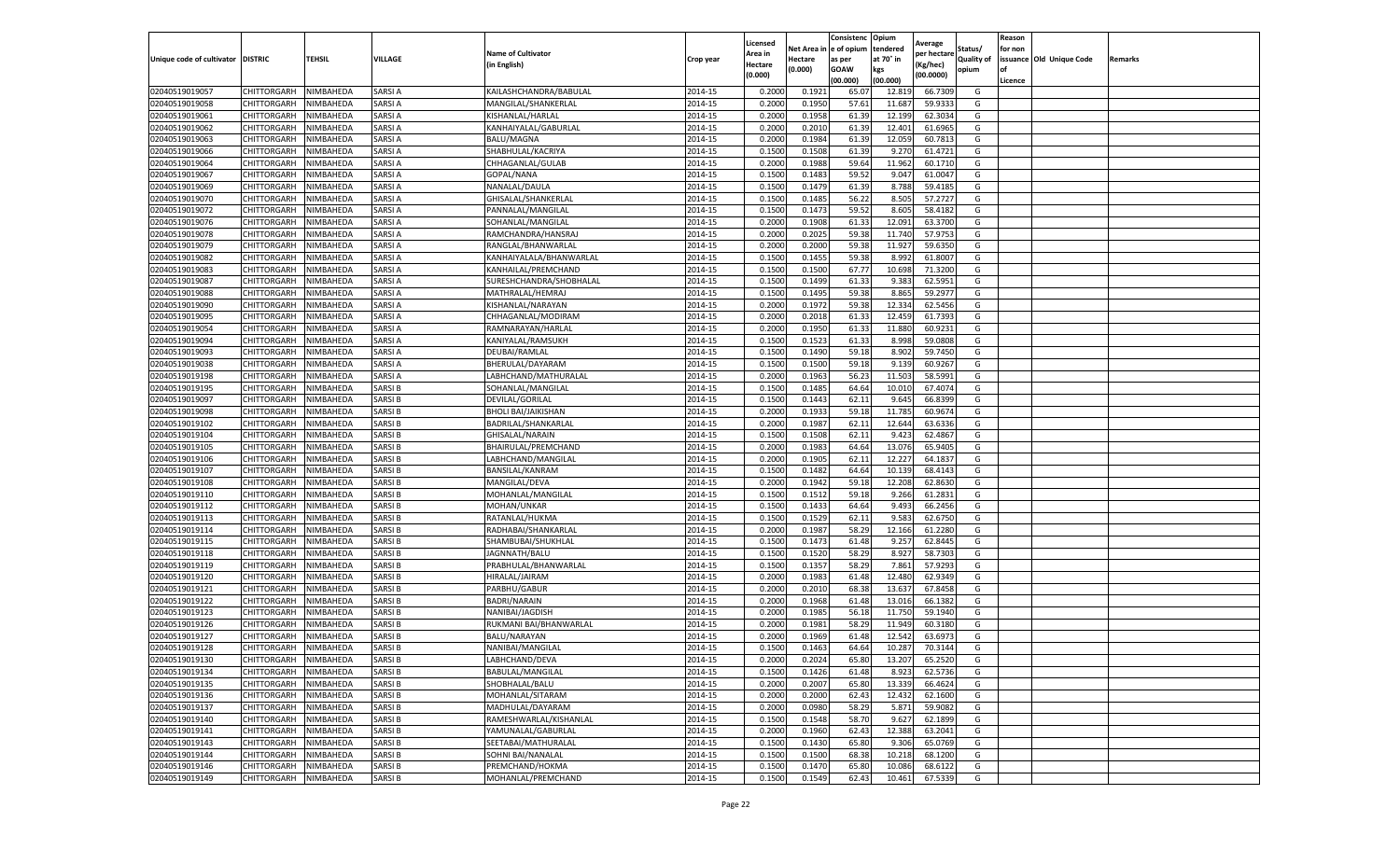|                                   |                    |                  |               |                            |           | Licensed |         | Consistenc             | Opium     |                        |                   | Reason  |                          |                |
|-----------------------------------|--------------------|------------------|---------------|----------------------------|-----------|----------|---------|------------------------|-----------|------------------------|-------------------|---------|--------------------------|----------------|
|                                   |                    |                  |               | <b>Name of Cultivator</b>  |           | Area in  |         | Net Area in e of opium | tendered  | Average<br>per hectare | Status/           | for non |                          |                |
| Unique code of cultivator DISTRIC |                    | TEHSIL           | VILLAGE       | in English)                | Crop year | Hectare  | Hectare | as per                 | at 70° in | (Kg/hec                | <b>Quality of</b> |         | issuance Old Unique Code | <b>Remarks</b> |
|                                   |                    |                  |               |                            |           | (0.000)  | (0.000) | <b>GOAW</b>            | kgs       | (00.0000)              | opium             |         |                          |                |
|                                   |                    |                  |               |                            |           |          |         | (00.000)               | (00.000)  |                        |                   | Licence |                          |                |
| 02040519019057                    | CHITTORGARH        | NIMBAHEDA        | SARSI A       | KAILASHCHANDRA/BABULAL     | 2014-15   | 0.2000   | 0.1921  | 65.07                  | 12.819    | 66.7309                | G                 |         |                          |                |
| 02040519019058                    | CHITTORGARH        | NIMBAHEDA        | SARSI A       | MANGILAL/SHANKERLAL        | 2014-15   | 0.2000   | 0.1950  | 57.61                  | 11.687    | 59.9333                | G                 |         |                          |                |
| 02040519019061                    | CHITTORGARH        | NIMBAHEDA        | SARSI A       | KISHANLAL/HARLAL           | 2014-15   | 0.2000   | 0.1958  | 61.39                  | 12.199    | 62.3034                | G                 |         |                          |                |
| 02040519019062                    | CHITTORGARH        | NIMBAHEDA        | SARSI A       | KANHAIYALAL/GABURLAL       | 2014-15   | 0.2000   | 0.2010  | 61.39                  | 12.401    | 61.6965                | G                 |         |                          |                |
| 02040519019063                    | CHITTORGARH        | NIMBAHEDA        | SARSI A       | BALU/MAGNA                 | 2014-15   | 0.2000   | 0.1984  | 61.39                  | 12.059    | 60.7813                | G                 |         |                          |                |
| 02040519019066                    | CHITTORGARH        | NIMBAHEDA        | SARSI A       | SHABHULAL/KACRIYA          | 2014-15   | 0.1500   | 0.1508  | 61.39                  | 9.27      | 61.4721                | G                 |         |                          |                |
| 02040519019064                    | CHITTORGARH        | NIMBAHEDA        | SARSI A       | CHHAGANLAL/GULAB           | 2014-15   | 0.2000   | 0.1988  | 59.64                  | 11.962    | 60.1710                | G                 |         |                          |                |
| 02040519019067                    | CHITTORGARH        | NIMBAHEDA        | SARSI A       | GOPAL/NANA                 | 2014-15   | 0.1500   | 0.1483  | 59.52                  | 9.047     | 61.0047                | G                 |         |                          |                |
| 02040519019069                    | CHITTORGARH        | NIMBAHEDA        | SARSI A       | NANALAL/DAULA              | 2014-15   | 0.1500   | 0.1479  | 61.39                  | 8.788     | 59.4185                | G                 |         |                          |                |
| 02040519019070                    | CHITTORGARH        | NIMBAHEDA        | SARSI A       | GHISALAL/SHANKERLAL        | 2014-15   | 0.1500   | 0.1485  | 56.22                  | 8.505     | 57.2727                | G                 |         |                          |                |
| 02040519019072                    | CHITTORGARH        | NIMBAHEDA        | SARSI A       | PANNALAL/MANGILAL          | 2014-15   | 0.1500   | 0.1473  | 59.52                  | 8.605     | 58.4182                | G                 |         |                          |                |
| 02040519019076                    | CHITTORGARH        | NIMBAHEDA        | SARSI A       | SOHANLAL/MANGILAL          | 2014-15   | 0.2000   | 0.1908  | 61.33                  | 12.091    | 63.3700                | G                 |         |                          |                |
| 02040519019078                    | CHITTORGARH        | NIMBAHEDA        | SARSI A       | RAMCHANDRA/HANSRA.         | 2014-15   | 0.2000   | 0.2025  | 59.38                  | 11.74     | 57.9753                | G                 |         |                          |                |
| 02040519019079                    | CHITTORGARH        | NIMBAHEDA        | SARSI A       | RANGLAL/BHANWARLAL         | 2014-15   | 0.2000   | 0.2000  | 59.38                  | 11.927    | 59.6350                | G                 |         |                          |                |
| 02040519019082                    | CHITTORGARH        | NIMBAHEDA        | SARSI A       | KANHAIYALALA/BHANWARLAL    | 2014-15   | 0.1500   | 0.1455  | 59.38                  | 8.992     | 61.8007                | G                 |         |                          |                |
| 02040519019083                    | CHITTORGARH        | NIMBAHEDA        | SARSI A       | KANHAILAL/PREMCHAND        | 2014-15   | 0.1500   | 0.1500  | 67.77                  | 10.698    | 71.3200                | G                 |         |                          |                |
| 02040519019087                    | CHITTORGARH        | NIMBAHEDA        | SARSI A       | SURESHCHANDRA/SHOBHALAL    | 2014-15   | 0.1500   | 0.1499  | 61.33                  | 9.383     | 62.5951                | G                 |         |                          |                |
| 02040519019088                    | CHITTORGARH        | NIMBAHEDA        | SARSI A       | MATHRALAL/HEMRAJ           | 2014-15   | 0.1500   | 0.1495  | 59.38                  | 8.865     | 59.2977                | G                 |         |                          |                |
| 02040519019090                    | CHITTORGARH        | NIMBAHEDA        | SARSI A       | KISHANLAL/NARAYAN          | 2014-15   | 0.2000   | 0.1972  | 59.38                  | 12.334    | 62.5456                | G                 |         |                          |                |
| 02040519019095                    | CHITTORGARH        | NIMBAHEDA        | SARSI A       | CHHAGANLAL/MODIRAM         | 2014-15   | 0.2000   | 0.2018  | 61.33                  | 12.459    | 61.7393                | G                 |         |                          |                |
| 02040519019054                    | CHITTORGARH        | NIMBAHEDA        | SARSI A       | RAMNARAYAN/HARLAL          | 2014-15   | 0.2000   | 0.1950  | 61.33                  | 11.880    | 60.9231                | G                 |         |                          |                |
| 02040519019094                    | CHITTORGARH        | NIMBAHEDA        | SARSI A       | KANIYALAL/RAMSUKH          | 2014-15   | 0.1500   | 0.1523  | 61.33                  | 8.998     | 59.0808                | G                 |         |                          |                |
| 02040519019093                    | CHITTORGARH        | NIMBAHEDA        | SARSI A       | DEUBAI/RAMLAL              | 2014-15   | 0.1500   | 0.1490  | 59.18                  | 8.902     | 59.7450                | G                 |         |                          |                |
| 02040519019038                    | CHITTORGARH        | NIMBAHEDA        | SARSI A       | BHERULAL/DAYARAM           | 2014-15   | 0.1500   | 0.1500  | 59.18                  | 9.139     | 60.9267                | G                 |         |                          |                |
| 02040519019198                    | CHITTORGARH        | NIMBAHEDA        | SARSI A       | LABHCHAND/MATHURALAL       | 2014-15   | 0.2000   | 0.1963  | 56.23                  | 11.503    | 58.5991                | G                 |         |                          |                |
| 02040519019195                    | CHITTORGARH        | NIMBAHEDA        | SARSI B       | SOHANLAL/MANGILAL          | 2014-15   | 0.1500   | 0.1485  | 64.64                  | 10.01     | 67.4074                | G                 |         |                          |                |
| 02040519019097                    | CHITTORGARH        | NIMBAHEDA        | SARSI B       | DEVILAL/GORILAL            | 2014-15   | 0.1500   | 0.1443  | 62.1                   | 9.645     | 66.8399                | G                 |         |                          |                |
| 02040519019098                    | CHITTORGARH        | NIMBAHEDA        | SARSI B       | <b>BHOLI BAI/JAIKISHAN</b> | 2014-15   | 0.2000   | 0.1933  | 59.18                  | 11.785    | 60.9674                | G                 |         |                          |                |
| 02040519019102                    | CHITTORGARH        | NIMBAHEDA        | SARSI B       | BADRILAL/SHANKARLAL        | 2014-15   | 0.2000   | 0.1987  | 62.11                  | 12.644    | 63.6336                | G                 |         |                          |                |
| 02040519019104                    | CHITTORGARH        | NIMBAHEDA        | SARSI B       | GHISALAL/NARAIN            | 2014-15   | 0.1500   | 0.1508  | 62.11                  | 9.423     | 62.4867                | G                 |         |                          |                |
| 02040519019105                    | CHITTORGARH        | NIMBAHEDA        | SARSI B       | BHAIRULAL/PREMCHAND        | 2014-15   | 0.2000   | 0.1983  | 64.64                  | 13.07     | 65.9405                | G                 |         |                          |                |
| 02040519019106                    | CHITTORGARH        | NIMBAHEDA        | SARSI B       | LABHCHAND/MANGILAL         | 2014-15   | 0.2000   | 0.1905  | 62.11                  | 12.227    | 64.1837                | G                 |         |                          |                |
| 02040519019107                    | CHITTORGARH        | NIMBAHEDA        | SARSI B       | <b>BANSILAL/KANRAM</b>     | 2014-15   | 0.1500   | 0.1482  | 64.64                  | 10.13     | 68.4143                | G                 |         |                          |                |
| 02040519019108                    | CHITTORGARH        | NIMBAHEDA        | SARSI B       | MANGILAL/DEVA              | 2014-15   | 0.2000   | 0.1942  | 59.18                  | 12.208    | 62.8630                | G                 |         |                          |                |
| 02040519019110                    | CHITTORGARH        | NIMBAHEDA        | SARSI B       | MOHANLAL/MANGILAL          | 2014-15   | 0.1500   | 0.1512  | 59.18                  | 9.266     | 61.2831                | G                 |         |                          |                |
| 02040519019112                    | CHITTORGARH        | NIMBAHEDA        | SARSI B       | MOHAN/UNKAR                | 2014-15   | 0.1500   | 0.1433  | 64.64                  | 9.493     | 66.2456                | G                 |         |                          |                |
| 02040519019113                    | CHITTORGARH        | NIMBAHEDA        | SARSI B       | RATANLAL/HUKMA             | 2014-15   | 0.1500   | 0.1529  | 62.11                  | 9.583     | 62.6750                | G                 |         |                          |                |
| 02040519019114                    | CHITTORGARH        | NIMBAHEDA        | SARSI B       | RADHABAI/SHANKARLAL        | 2014-15   | 0.2000   | 0.1987  | 58.29                  | 12.166    | 61.2280                | G                 |         |                          |                |
| 02040519019115                    | CHITTORGARH        | NIMBAHEDA        | SARSI B       | SHAMBUBAI/SHUKHLAL         | 2014-15   | 0.1500   | 0.1473  | 61.48                  | 9.257     | 62.8445                | G                 |         |                          |                |
| 02040519019118                    | CHITTORGARH        | NIMBAHEDA        | SARSI B       | JAGNNATH/BALU              | 2014-15   | 0.1500   | 0.1520  | 58.29                  | 8.927     | 58.7303                | G                 |         |                          |                |
| 02040519019119                    | CHITTORGARH        | NIMBAHEDA        | SARSI B       | PRABHULAL/BHANWARLAL       | 2014-15   | 0.1500   | 0.1357  | 58.29                  | 7.861     | 57.9293                | G                 |         |                          |                |
| 02040519019120                    | CHITTORGARH        | NIMBAHEDA        | SARSI B       | HIRALAL/JAIRAM             | 2014-15   | 0.2000   | 0.1983  | 61.48                  | 12.480    | 62.9349                | G                 |         |                          |                |
| 02040519019121                    | CHITTORGARH        | NIMBAHEDA        | SARSI B       | PARBHU/GABUR               | 2014-15   | 0.2000   | 0.2010  | 68.38                  | 13.63     | 67.8458                | G                 |         |                          |                |
| 02040519019122                    | CHITTORGARH        | NIMBAHEDA        | SARSI B       | <b>BADRI/NARAIN</b>        | 2014-15   | 0.2000   | 0.1968  | 61.48                  | 13.016    | 66.1382                | G                 |         |                          |                |
| 02040519019123                    | CHITTORGARH        | NIMBAHEDA        | SARSI B       | NANIBAI/JAGDISH            | 2014-15   | 0.2000   | 0.1985  | 56.18                  | 11.750    | 59.1940                | G                 |         |                          |                |
| 02040519019126                    | CHITTORGARH        | NIMBAHEDA        | SARSI B       | RUKMANI BAI/BHANWARLAI     | 2014-15   | 0.2000   | 0.1981  | 58.29                  | 11.949    | 60.3180                | G                 |         |                          |                |
| 02040519019127                    | CHITTORGARH        | NIMBAHEDA        | SARSI B       | BALU/NARAYAN               | 2014-15   | 0.2000   | 0.1969  | 61.48                  | 12.542    | 63.6973                | G                 |         |                          |                |
| 02040519019128                    | CHITTORGARH        | NIMBAHEDA        | SARSI B       | NANIBAI/MANGILAL           | 2014-15   | 0.1500   | 0.1463  | 64.64                  | 10.287    | 70.3144                | G                 |         |                          |                |
| 02040519019130                    | CHITTORGARH        | <b>NIMBAHEDA</b> | <b>SARSIB</b> | LABHCHAND/DEVA             | 2014-15   | 0.2000   | 0.2024  | 65.80                  | 13.207    | 65.2520                | G                 |         |                          |                |
| 02040519019134                    | CHITTORGARH        | NIMBAHEDA        | SARSI B       | BABULAL/MANGILAL           | 2014-15   | 0.1500   | 0.1426  | 61.48                  | 8.923     | 62.5736                | G                 |         |                          |                |
| 02040519019135                    | <b>CHITTORGARH</b> | NIMBAHEDA        | SARSI B       | SHOBHALAL/BALU             | 2014-15   | 0.2000   | 0.2007  | 65.80                  | 13.339    | 66.4624                | G                 |         |                          |                |
| 02040519019136                    | CHITTORGARH        | NIMBAHEDA        | SARSI B       | MOHANLAL/SITARAM           | 2014-15   | 0.2000   | 0.2000  | 62.43                  | 12.432    | 62.1600                | G                 |         |                          |                |
| 02040519019137                    | CHITTORGARH        | NIMBAHEDA        | SARSI B       | MADHULAL/DAYARAM           | 2014-15   | 0.2000   | 0.0980  | 58.29                  | 5.871     | 59.9082                | G                 |         |                          |                |
| 02040519019140                    | <b>CHITTORGARH</b> | NIMBAHEDA        | <b>SARSIB</b> | RAMESHWARLAL/KISHANLAL     | 2014-15   | 0.1500   | 0.1548  | 58.70                  | 9.627     | 62.1899                | G                 |         |                          |                |
| 02040519019141                    | CHITTORGARH        | NIMBAHEDA        | SARSI B       | YAMUNALAL/GABURLAL         | 2014-15   | 0.2000   | 0.1960  | 62.43                  | 12.388    | 63.2041                | G                 |         |                          |                |
| 02040519019143                    | <b>CHITTORGARH</b> | NIMBAHEDA        | SARSI B       | SEETABAI/MATHURALAL        | 2014-15   | 0.1500   | 0.1430  | 65.80                  | 9.306     | 65.0769                | G                 |         |                          |                |
| 02040519019144                    | CHITTORGARH        | NIMBAHEDA        | SARSI B       | SOHNI BAI/NANALAL          | 2014-15   | 0.1500   | 0.1500  | 68.38                  | 10.218    | 68.1200                | G                 |         |                          |                |
| 02040519019146                    | CHITTORGARH        | NIMBAHEDA        | SARSI B       | PREMCHAND/HOKMA            | 2014-15   | 0.1500   | 0.1470  | 65.80                  | 10.086    | 68.6122                | G                 |         |                          |                |
| 02040519019149                    | <b>CHITTORGARH</b> | NIMBAHEDA        | <b>SARSIB</b> | MOHANLAL/PREMCHAND         | 2014-15   | 0.1500   | 0.1549  | 62.43                  | 10.461    | 67.5339                | G                 |         |                          |                |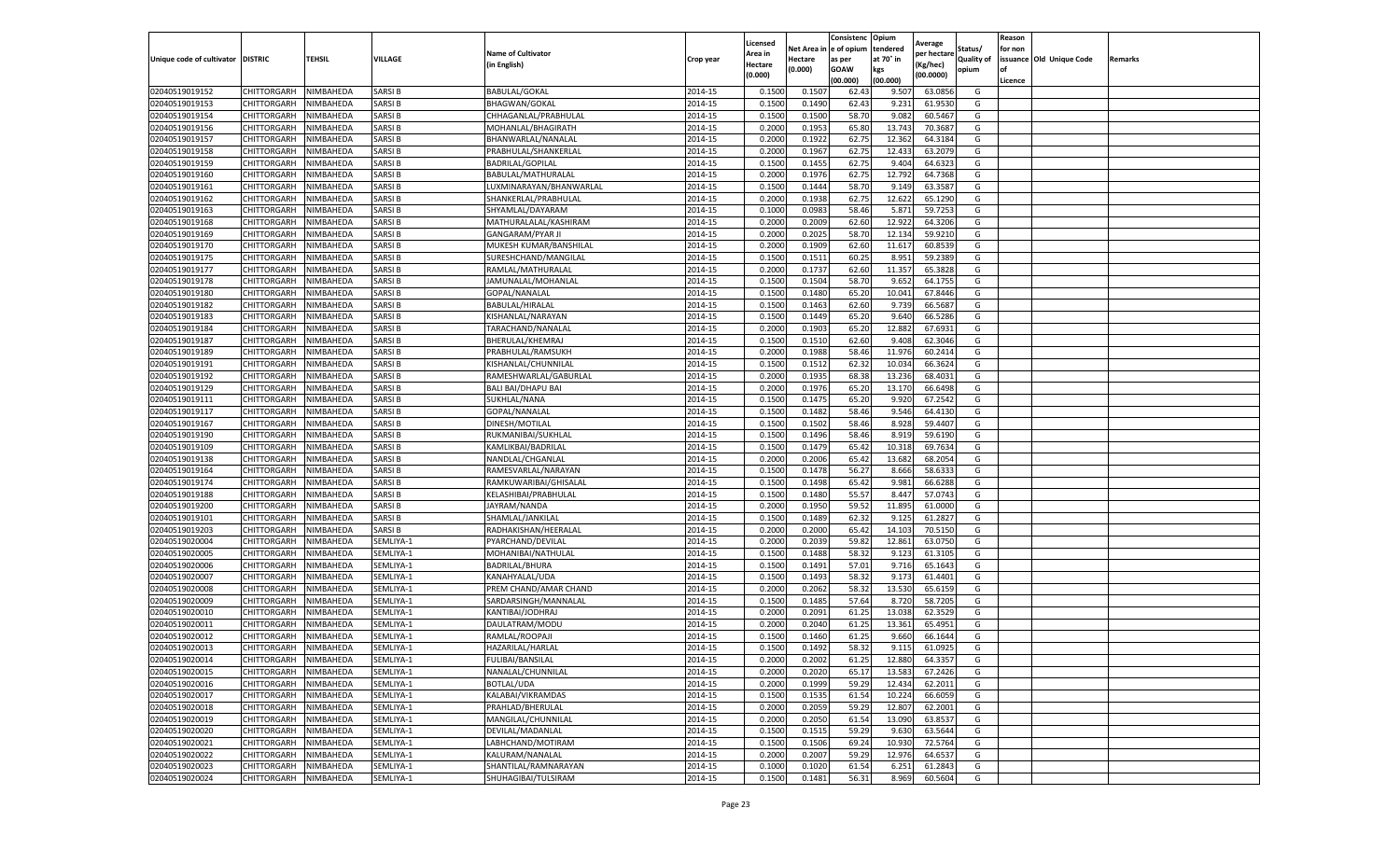|                                   |             |           |                    |                           |                    | Licensed         |                  | Consistenc     | Opium           |                        |                   | Reason  |                          |         |
|-----------------------------------|-------------|-----------|--------------------|---------------------------|--------------------|------------------|------------------|----------------|-----------------|------------------------|-------------------|---------|--------------------------|---------|
|                                   |             |           |                    | <b>Name of Cultivator</b> |                    | Area in          | Net Area i       | e of opium     | tendered        | Average<br>per hectare | Status/           | for non |                          |         |
| Unique code of cultivator DISTRIC |             | TEHSIL    | VILLAGE            | (in English)              | Crop year          | Hectare          | Hectare          | as per         | at 70° in       | (Kg/hec)               | <b>Quality of</b> |         | issuance Old Unique Code | Remarks |
|                                   |             |           |                    |                           |                    | (0.000)          | (0.000)          | <b>GOAW</b>    | kgs             | (00.0000)              | opium             |         |                          |         |
|                                   |             |           |                    |                           |                    |                  |                  | (00.000        | (00.000)        |                        |                   | Licence |                          |         |
| 02040519019152                    | CHITTORGARH | NIMBAHEDA | SARSI B            | <b>BABULAL/GOKAI</b>      | 2014-15            | 0.1500           | 0.1507           | 62.4           | 9.507           | 63.0856                | G                 |         |                          |         |
| 02040519019153                    | CHITTORGARH | NIMBAHEDA | SARSI B            | <b>BHAGWAN/GOKAL</b>      | 2014-15            | 0.150            | 0.1490           | 62.43          | 9.231           | 61.9530                | G                 |         |                          |         |
| 02040519019154                    | CHITTORGARH | NIMBAHEDA | SARSI B            | CHHAGANLAL/PRABHULAL      | 2014-15            | 0.1500           | 0.1500           | 58.70          | 9.082           | 60.5467                | G                 |         |                          |         |
| 02040519019156                    | CHITTORGARH | NIMBAHEDA | <b>SARSIB</b>      | MOHANLAL/BHAGIRATH        | 2014-15            | 0.2000           | 0.1953           | 65.80          | 13.743          | 70.3687                | G                 |         |                          |         |
| 02040519019157                    | CHITTORGARH | NIMBAHEDA | SARSI B            | BHANWARLAL/NANALAL        | 2014-15            | 0.2000           | 0.1922           | 62.75          | 12.362          | 64.3184                | G                 |         |                          |         |
| 02040519019158                    | CHITTORGARH | NIMBAHEDA | SARSI B            | PRABHULAL/SHANKERLAL      | 2014-15            | 0.2000           | 0.1967           | 62.75          | 12.433          | 63.2079                | G                 |         |                          |         |
| 02040519019159                    | CHITTORGARH | NIMBAHEDA | SARSI B            | <b>BADRILAL/GOPILAL</b>   | 2014-15            | 0.1500           | 0.1455           | 62.75          | 9.404           | 64.6323                | G                 |         |                          |         |
| 02040519019160                    | CHITTORGARH | NIMBAHEDA | SARSI B            | BABULAL/MATHURALAL        | 2014-15            | 0.200            | 0.1976           | 62.7           | 12.792          | 64.7368                | G                 |         |                          |         |
| 02040519019161                    | CHITTORGARH | NIMBAHEDA | SARSI B            | LUXMINARAYAN/BHANWARLAL   | 2014-15            | 0.1500           | 0.1444           | 58.70          | 9.149           | 63.3587                | G                 |         |                          |         |
| 02040519019162                    | CHITTORGARH | NIMBAHEDA | SARSI B            | SHANKERLAL/PRABHULAL      | 2014-15            | 0.2000           | 0.1938           | 62.75          | 12.622          | 65.1290                | G                 |         |                          |         |
| 02040519019163                    | CHITTORGARH | NIMBAHEDA | SARSI B            | SHYAMLAL/DAYARAM          | 2014-15            | 0.1000           | 0.0983           | 58.46          | 5.871           | 59.7253                | G                 |         |                          |         |
| 02040519019168                    | CHITTORGARH | NIMBAHEDA | SARSI B            | MATHURALALAL/KASHIRAM     | 2014-15            | 0.2000           | 0.2009           | 62.60          | 12.922          | 64.3206                | G                 |         |                          |         |
| 02040519019169                    | CHITTORGARH | NIMBAHEDA | SARSI B            | <b>GANGARAM/PYAR JI</b>   | 2014-15            | 0.2000           | 0.2025           | 58.70          | 12.134          | 59.9210                | G                 |         |                          |         |
| 02040519019170                    | CHITTORGARH | NIMBAHEDA | SARSI B            | MUKESH KUMAR/BANSHILAI    | 2014-15            | 0.200            | 0.1909           | 62.60          | 11.617          | 60.8539                | G                 |         |                          |         |
| 02040519019175                    | CHITTORGARH | NIMBAHEDA | SARSI B            | SURESHCHAND/MANGILAL      | 2014-15            | 0.1500           | 0.1511           | 60.25          | 8.951           | 59.2389                | G                 |         |                          |         |
| 02040519019177                    | CHITTORGARH | NIMBAHEDA | SARSI B            | RAMLAL/MATHURALAL         | 2014-15            | 0.2000           | 0.1737           | 62.60          | 11.357          | 65.3828                | G                 |         |                          |         |
| 02040519019178                    | CHITTORGARH | NIMBAHEDA | SARSI B            | JAMUNALAL/MOHANLAL        | 2014-15            | 0.1500           | 0.1504           | 58.70          | 9.652           | 64.1755                | G                 |         |                          |         |
| 02040519019180                    | CHITTORGARH | NIMBAHEDA | SARSI B            | GOPAL/NANALAL             | 2014-15            | 0.1500           | 0.1480           | 65.20          | 10.041          | 67.8446                | G                 |         |                          |         |
| 02040519019182                    | CHITTORGARH | NIMBAHEDA | SARSI B            | BABULAL/HIRALAL           | 2014-15            | 0.1500           | 0.1463           | 62.60          | 9.739           | 66.568                 | G                 |         |                          |         |
| 02040519019183                    | CHITTORGARH | NIMBAHEDA | SARSI B            | KISHANLAL/NARAYAN         | 2014-15            | 0.1500           | 0.1449           | 65.20          | 9.640           | 66.5286                | G                 |         |                          |         |
| 02040519019184                    | CHITTORGARH | NIMBAHEDA | SARSI B            | TARACHAND/NANALAL         | 2014-15            | 0.2000           | 0.1903           | 65.20          | 12.882          | 67.6931                | G                 |         |                          |         |
| 02040519019187                    | CHITTORGARH | NIMBAHEDA | SARSI B            | BHERULAL/KHEMRAJ          | 2014-15            | 0.1500           | 0.1510           | 62.60          | 9.408           | 62.3046                | G                 |         |                          |         |
| 02040519019189                    | CHITTORGARH | NIMBAHEDA | <b>SARSIB</b>      | PRABHULAL/RAMSUKH         | 2014-15            | 0.2000           | 0.1988           | 58.46          | 11.976          | 60.2414                | G                 |         |                          |         |
| 02040519019191                    | CHITTORGARH | NIMBAHEDA | SARSI B            | KISHANLAL/CHUNNILAL       | 2014-15            | 0.1500           | 0.1512           | 62.32          | 10.034          | 66.3624                | G                 |         |                          |         |
| 02040519019192                    | CHITTORGARH | NIMBAHEDA | SARSI B            | RAMESHWARLAL/GABURLAL     | 2014-15            | 0.2000           | 0.1935           | 68.38          | 13.236          | 68.4031                | G                 |         |                          |         |
| 02040519019129                    | CHITTORGARH | NIMBAHEDA | SARSI B            | <b>BALI BAI/DHAPU BAI</b> | 2014-15            | 0.2000           | 0.1976           | 65.20          | 13.170          | 66.6498                | G                 |         |                          |         |
| 02040519019111                    | CHITTORGARH | NIMBAHEDA | SARSI B            | SUKHLAL/NANA              | 2014-15            | 0.1500           | 0.1475           | 65.20          | 9.920           | 67.2542                | G                 |         |                          |         |
| 02040519019117                    | CHITTORGARH | NIMBAHEDA | SARSI B            | GOPAL/NANALAL             | 2014-15            | 0.1500           | 0.1482           | 58.46          | 9.546           | 64.4130                | G                 |         |                          |         |
| 02040519019167                    | CHITTORGARH | NIMBAHEDA | SARSI B            |                           | 2014-15            | 0.1500           | 0.1502           | 58.46          | 8.928           | 59.4407                | G                 |         |                          |         |
|                                   |             |           |                    | DINESH/MOTILAL            |                    |                  |                  |                |                 |                        |                   |         |                          |         |
| 02040519019190                    | CHITTORGARH | NIMBAHEDA | SARSI B<br>SARSI B | RUKMANIBAI/SUKHLAL        | 2014-15<br>2014-15 | 0.1500<br>0.1500 | 0.1496<br>0.1479 | 58.46<br>65.42 | 8.919<br>10.318 | 59.6190<br>69.7634     | G                 |         |                          |         |
| 02040519019109                    | CHITTORGARH | NIMBAHEDA |                    | KAMLIKBAI/BADRILAI        |                    |                  |                  |                |                 |                        | G                 |         |                          |         |
| 02040519019138                    | CHITTORGARH | NIMBAHEDA | SARSI B            | NANDLAL/CHGANLAL          | 2014-15            | 0.2000           | 0.2006           | 65.4           | 13.682          | 68.2054                | G                 |         |                          |         |
| 02040519019164                    | CHITTORGARH | NIMBAHEDA | SARSI B            | RAMESVARLAL/NARAYAN       | 2014-15            | 0.1500           | 0.1478           | 56.27          | 8.666           | 58.633                 | G                 |         |                          |         |
| 02040519019174                    | CHITTORGARH | NIMBAHEDA | SARSI B            | RAMKUWARIBAI/GHISALAL     | 2014-15            | 0.1500           | 0.1498           | 65.42          | 9.981           | 66.6288                | G                 |         |                          |         |
| 02040519019188                    | CHITTORGARH | NIMBAHEDA | <b>SARSIB</b>      | KELASHIBAI/PRABHULAL      | 2014-15            | 0.1500           | 0.1480           | 55.57          | 8.447           | 57.0743                | G                 |         |                          |         |
| 02040519019200                    | CHITTORGARH | NIMBAHEDA | SARSI B            | JAYRAM/NANDA              | 2014-15            | 0.2000           | 0.1950           | 59.52          | 11.895          | 61.0000                | G                 |         |                          |         |
| 02040519019101                    | CHITTORGARH | NIMBAHEDA | SARSI B            | SHAMLAL/JANKILAL          | 2014-15            | 0.1500           | 0.1489           | 62.32          | 9.125           | 61.2827                | G                 |         |                          |         |
| 02040519019203                    | CHITTORGARH | NIMBAHEDA | SARSI B            | RADHAKISHAN/HEERALAL      | 2014-15            | 0.2000           | 0.2000           | 65.42          | 14.103          | 70.5150                | G                 |         |                          |         |
| 02040519020004                    | CHITTORGARH | NIMBAHEDA | SEMLIYA-1          | PYARCHAND/DEVILAL         | 2014-15            | 0.2000           | 0.2039           | 59.82          | 12.861          | 63.0750                | G                 |         |                          |         |
| 02040519020005                    | CHITTORGARH | NIMBAHEDA | SEMLIYA-1          | MOHANIBAI/NATHULAL        | 2014-15            | 0.1500           | 0.1488           | 58.32          | 9.123           | 61.3105                | G                 |         |                          |         |
| 02040519020006                    | CHITTORGARH | NIMBAHEDA | SEMLIYA-1          | BADRILAL/BHURA            | 2014-15            | 0.1500           | 0.1491           | 57.01          | 9.716           | 65.1643                | G                 |         |                          |         |
| 02040519020007                    | CHITTORGARH | NIMBAHEDA | SEMLIYA-1          | KANAHYALAL/UDA            | 2014-15            | 0.1500           | 0.1493           | 58.32          | 9.173           | 61.4401                | G                 |         |                          |         |
| 02040519020008                    | CHITTORGARH | NIMBAHEDA | SEMLIYA-1          | PREM CHAND/AMAR CHAND     | 2014-15            | 0.2000           | 0.2062           | 58.32          | 13.530          | 65.6159                | G                 |         |                          |         |
| 02040519020009                    | CHITTORGARH | NIMBAHEDA | SEMLIYA-1          | SARDARSINGH/MANNALAI      | 2014-15            | 0.1500           | 0.1485           | 57.64          | 8.720           | 58.7205                | G                 |         |                          |         |
| 02040519020010                    | CHITTORGARH | NIMBAHEDA | SEMLIYA-1          | KANTIBAI/JODHRAJ          | 2014-15            | 0.2000           | 0.2091           | 61.25          | 13.038          | 62.3529                | G                 |         |                          |         |
| 02040519020011                    | CHITTORGARH | NIMBAHEDA | SEMLIYA-1          | DAULATRAM/MODU            | 2014-15            | 0.200            | 0.2040           | 61.25          | 13.361          | 65.4951                | G                 |         |                          |         |
| 02040519020012                    | CHITTORGARH | NIMBAHEDA | SEMLIYA-1          | RAMLAL/ROOPAJI            | 2014-15            | 0.1500           | 0.1460           | 61.25          | 9.660           | 66.1644                | G                 |         |                          |         |
| 02040519020013                    | CHITTORGARH | NIMBAHEDA | SEMLIYA-1          | HAZARILAL/HARLAL          | 2014-15            | 0.1500           | 0.1492           | 58.32          | 9.115           | 61.0925                | G                 |         |                          |         |
| 02040519020014                    | CHITTORGARH | NIMBAHEDA | SEMLIYA-1          | <b>FULIBAI/BANSILAL</b>   | 2014-15            | 0.2000           | 0.2002           | 61.25          | 12.880          | 64.3357                | G                 |         |                          |         |
| 02040519020015                    | CHITTORGARH | NIMBAHEDA | SEMLIYA-1          | NANALAL/CHUNNILAL         | 2014-15            | 0.2000           | 0.2020           | 65.17          | 13.583          | 67.2426                | G                 |         |                          |         |
| 02040519020016                    | CHITTORGARH | NIMBAHEDA | SEMLIYA-1          | BOTLAL/UDA                | 2014-15            | 0.2000           | 0.1999           | 59.29          | 12.434          | 62.2011                | G                 |         |                          |         |
| 02040519020017                    | CHITTORGARH | NIMBAHEDA | SEMLIYA-1          | KALABAI/VIKRAMDAS         | 2014-15            | 0.1500           | 0.1535           | 61.54          | 10.224          | 66.6059                | G                 |         |                          |         |
| 02040519020018                    | CHITTORGARH | NIMBAHEDA | SEMLIYA-1          | PRAHLAD/BHERULAL          | 2014-15            | 0.2000           | 0.2059           | 59.29          | 12.807          | 62.2001                | G                 |         |                          |         |
| 02040519020019                    | CHITTORGARH | NIMBAHEDA | SEMLIYA-1          | MANGILAL/CHUNNILAL        | 2014-15            | 0.2000           | 0.2050           | 61.54          | 13.090          | 63.8537                | G                 |         |                          |         |
| 02040519020020                    | CHITTORGARH | NIMBAHEDA | SEMLIYA-1          | DEVILAL/MADANLAL          | 2014-15            | 0.1500           | 0.1515           | 59.29          | 9.630           | 63.5644                | G                 |         |                          |         |
| 02040519020021                    | CHITTORGARH | NIMBAHEDA | SEMLIYA-1          | LABHCHAND/MOTIRAM         | 2014-15            | 0.1500           | 0.1506           | 69.24          | 10.930          | 72.5764                | G                 |         |                          |         |
| 02040519020022                    | CHITTORGARH | NIMBAHEDA | SEMLIYA-1          | KALURAM/NANALAL           | 2014-15            | 0.2000           | 0.2007           | 59.29          | 12.976          | 64.6537                | G                 |         |                          |         |
| 02040519020023                    | CHITTORGARH | NIMBAHEDA | SEMLIYA-1          | SHANTILAL/RAMNARAYAN      | 2014-15            | 0.1000           | 0.1020           | 61.54          | 6.251           | 61.2843                | G                 |         |                          |         |
| 02040519020024                    | CHITTORGARH | NIMBAHEDA | SEMLIYA-1          | SHUHAGIBAI/TULSIRAM       | 2014-15            | 0.1500           | 0.1481           | 56.31          | 8.969           | 60.5604                | G                 |         |                          |         |
|                                   |             |           |                    |                           |                    |                  |                  |                |                 |                        |                   |         |                          |         |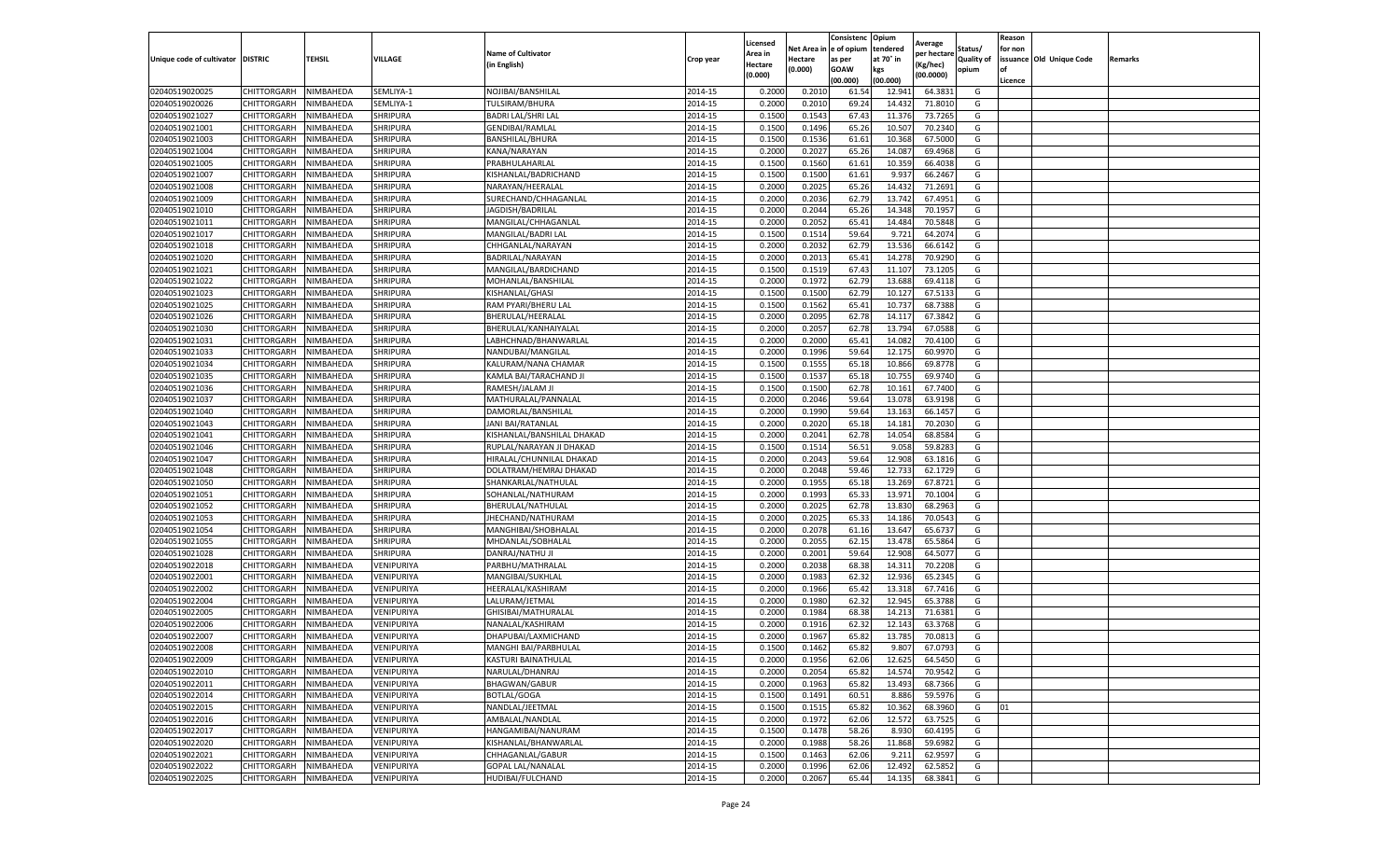|                                   |             |           |                 |                            |           | Licensed |            | Consistenc  | Opium     | Average     |                   | Reason  |                          |         |
|-----------------------------------|-------------|-----------|-----------------|----------------------------|-----------|----------|------------|-------------|-----------|-------------|-------------------|---------|--------------------------|---------|
|                                   |             |           |                 | <b>Name of Cultivator</b>  |           | Area in  | Net Area i | e of opium  | tendered  | per hectare | Status/           | for non |                          |         |
| Unique code of cultivator DISTRIC |             | TEHSIL    | VILLAGE         | (in English)               | Crop year | Hectare  | Hectare    | as per      | at 70° in | Kg/hec)     | <b>Quality of</b> |         | issuance Old Unique Code | Remarks |
|                                   |             |           |                 |                            |           | (0.000)  | (0.000)    | <b>GOAW</b> | kgs       | (00.0000)   | opium             |         |                          |         |
|                                   |             |           |                 |                            |           |          |            | (00.000     | (00.000)  |             |                   | Licence |                          |         |
| 02040519020025                    | CHITTORGARH | NIMBAHEDA | SEMLIYA-1       | NOJIBAI/BANSHILAL          | 2014-15   | 0.2000   | 0.2010     | 61.54       | 12.941    | 64.3831     | G                 |         |                          |         |
| 02040519020026                    | CHITTORGARH | NIMBAHEDA | SEMLIYA-1       | TULSIRAM/BHURA             | 2014-15   | 0.200    | 0.2010     | 69.24       | 14.432    | 71.8010     | G                 |         |                          |         |
| 02040519021027                    | CHITTORGARH | NIMBAHEDA | SHRIPURA        | <b>BADRI LAL/SHRI LAL</b>  | 2014-15   | 0.1500   | 0.1543     | 67.43       | 11.376    | 73.7265     | G                 |         |                          |         |
| 02040519021001                    | CHITTORGARH | NIMBAHEDA | <b>SHRIPURA</b> | GENDIBAI/RAMLAL            | 2014-15   | 0.1500   | 0.1496     | 65.26       | 10.507    | 70.2340     | G                 |         |                          |         |
| 02040519021003                    | CHITTORGARH | NIMBAHEDA | SHRIPURA        | BANSHILAL/BHURA            | 2014-15   | 0.1500   | 0.1536     | 61.61       | 10.368    | 67.5000     | G                 |         |                          |         |
| 02040519021004                    | CHITTORGARH | NIMBAHEDA | SHRIPURA        | KANA/NARAYAN               | 2014-15   | 0.2000   | 0.2027     | 65.26       | 14.087    | 69.4968     | G                 |         |                          |         |
| 02040519021005                    | CHITTORGARH | NIMBAHEDA | SHRIPURA        | PRABHULAHARLAL             | 2014-15   | 0.1500   | 0.1560     | 61.61       | 10.359    | 66.4038     | G                 |         |                          |         |
| 02040519021007                    | CHITTORGARH | NIMBAHEDA | SHRIPURA        | KISHANLAL/BADRICHAND       | 2014-15   | 0.1500   | 0.1500     | 61.61       | 9.93      | 66.2467     | G                 |         |                          |         |
| 02040519021008                    | CHITTORGARH | NIMBAHEDA | SHRIPURA        | NARAYAN/HEERALAL           | 2014-15   | 0.2000   | 0.2025     | 65.26       | 14.432    | 71.2691     | G                 |         |                          |         |
| 02040519021009                    | CHITTORGARH | NIMBAHEDA | SHRIPURA        | SURECHAND/CHHAGANLAL       | 2014-15   | 0.2000   | 0.2036     | 62.79       | 13.742    | 67.4951     | G                 |         |                          |         |
| 02040519021010                    | CHITTORGARH | NIMBAHEDA | SHRIPURA        | JAGDISH/BADRILAL           | 2014-15   | 0.2000   | 0.2044     | 65.26       | 14.348    | 70.1957     | G                 |         |                          |         |
| 02040519021011                    | CHITTORGARH | NIMBAHEDA | <b>SHRIPURA</b> | MANGILAL/CHHAGANLAL        | 2014-15   | 0.2000   | 0.2052     | 65.41       | 14.484    | 70.5848     | G                 |         |                          |         |
| 02040519021017                    | CHITTORGARH | NIMBAHEDA | SHRIPURA        | MANGILAL/BADRI LAI         | 2014-15   | 0.1500   | 0.1514     | 59.64       | 9.721     | 64.2074     | G                 |         |                          |         |
| 02040519021018                    | CHITTORGARH | NIMBAHEDA | SHRIPURA        | CHHGANLAL/NARAYAN          | 2014-15   | 0.200    | 0.203      | 62.79       | 13.536    | 66.6142     | G                 |         |                          |         |
| 02040519021020                    | CHITTORGARH | NIMBAHEDA | SHRIPURA        | BADRILAL/NARAYAN           | 2014-15   | 0.2000   | 0.2013     | 65.4        | 14.278    | 70.9290     | G                 |         |                          |         |
| 02040519021021                    | CHITTORGARH | NIMBAHEDA | SHRIPURA        | MANGILAL/BARDICHAND        | 2014-15   | 0.1500   | 0.1519     | 67.43       | 11.107    | 73.1205     | G                 |         |                          |         |
| 02040519021022                    | CHITTORGARH | NIMBAHEDA | SHRIPURA        | MOHANLAL/BANSHILAL         | 2014-15   | 0.2000   | 0.1972     | 62.79       | 13.688    | 69.4118     | G                 |         |                          |         |
| 02040519021023                    | CHITTORGARH | NIMBAHEDA | SHRIPURA        | KISHANLAL/GHASI            | 2014-15   | 0.1500   | 0.1500     | 62.79       | 10.127    | 67.5133     | G                 |         |                          |         |
| 02040519021025                    | CHITTORGARH | NIMBAHEDA | SHRIPURA        | RAM PYARI/BHERU LAL        | 2014-15   | 0.1500   | 0.1562     | 65.4        | 10.73     | 68.7388     | G                 |         |                          |         |
| 02040519021026                    | CHITTORGARH | NIMBAHEDA | <b>SHRIPURA</b> | BHERULAL/HEERALAL          | 2014-15   | 0.2000   | 0.2095     | 62.78       | 14.11     | 67.3842     | G                 |         |                          |         |
| 02040519021030                    | CHITTORGARH | NIMBAHEDA | SHRIPURA        | BHERULAL/KANHAIYALAL       | 2014-15   | 0.2000   | 0.2057     | 62.78       | 13.794    | 67.0588     | G                 |         |                          |         |
| 02040519021031                    | CHITTORGARH | NIMBAHEDA | SHRIPURA        | LABHCHNAD/BHANWARLAL       | 2014-15   | 0.2000   | 0.2000     | 65.4        | 14.082    | 70.4100     | G                 |         |                          |         |
| 02040519021033                    | CHITTORGARH | NIMBAHEDA | <b>SHRIPURA</b> | NANDUBAI/MANGILAL          | 2014-15   | 0.2000   | 0.1996     | 59.64       | 12.175    | 60.9970     | G                 |         |                          |         |
| 02040519021034                    | CHITTORGARH | NIMBAHEDA | SHRIPURA        | KALURAM/NANA CHAMAR        | 2014-15   | 0.1500   | 0.1555     | 65.18       | 10.866    | 69.8778     | G                 |         |                          |         |
| 02040519021035                    | CHITTORGARH | NIMBAHEDA | SHRIPURA        | KAMLA BAI/TARACHAND JI     | 2014-15   | 0.1500   | 0.1537     | 65.18       | 10.75     | 69.9740     | G                 |         |                          |         |
| 02040519021036                    | CHITTORGARH | NIMBAHEDA | SHRIPURA        | RAMESH/JALAM JI            | 2014-15   | 0.1500   | 0.1500     | 62.78       | 10.161    | 67.7400     | G                 |         |                          |         |
| 02040519021037                    | CHITTORGARH | NIMBAHEDA | SHRIPURA        | MATHURALAL/PANNALAL        | 2014-15   | 0.2000   | 0.2046     | 59.64       | 13.078    | 63.9198     | G                 |         |                          |         |
| 02040519021040                    | CHITTORGARH | NIMBAHEDA | SHRIPURA        | DAMORLAL/BANSHILAL         | 2014-15   | 0.2000   | 0.1990     | 59.64       | 13.163    | 66.1457     | G                 |         |                          |         |
| 02040519021043                    | CHITTORGARH | NIMBAHEDA | <b>SHRIPURA</b> | JANI BAI/RATANLAL          | 2014-15   | 0.2000   | 0.2020     | 65.18       | 14.181    | 70.2030     | G                 |         |                          |         |
| 02040519021041                    | CHITTORGARH | NIMBAHEDA | SHRIPURA        | KISHANLAL/BANSHILAL DHAKAD | 2014-15   | 0.2000   | 0.2041     | 62.78       | 14.054    | 68.8584     | G                 |         |                          |         |
| 02040519021046                    | CHITTORGARH | NIMBAHEDA | SHRIPURA        | RUPLAL/NARAYAN JI DHAKAD   | 2014-15   | 0.1500   | 0.1514     | 56.5        | 9.058     | 59.8283     | G                 |         |                          |         |
| 02040519021047                    | CHITTORGARH | NIMBAHEDA | SHRIPURA        | HIRALAL/CHUNNILAL DHAKAD   | 2014-15   | 0.2000   | 0.2043     | 59.64       | 12.908    | 63.1816     | G                 |         |                          |         |
| 02040519021048                    | CHITTORGARH | NIMBAHEDA | SHRIPURA        | DOLATRAM/HEMRAJ DHAKAD     | 2014-15   | 0.2000   | 0.2048     | 59.46       | 12.733    | 62.1729     | G                 |         |                          |         |
| 02040519021050                    | CHITTORGARH | NIMBAHEDA | SHRIPURA        | SHANKARLAL/NATHULAL        | 2014-15   | 0.2000   | 0.1955     | 65.18       | 13.269    | 67.8721     | G                 |         |                          |         |
| 02040519021051                    | CHITTORGARH | NIMBAHEDA | <b>SHRIPURA</b> | SOHANLAL/NATHURAM          | 2014-15   | 0.2000   | 0.1993     | 65.33       | 13.971    | 70.1004     | G                 |         |                          |         |
| 02040519021052                    | CHITTORGARH | NIMBAHEDA | SHRIPURA        | BHERULAL/NATHULAL          | 2014-15   | 0.2000   | 0.2025     | 62.78       | 13.830    | 68.2963     | G                 |         |                          |         |
| 02040519021053                    | CHITTORGARH | NIMBAHEDA | SHRIPURA        | JHECHAND/NATHURAM          | 2014-15   | 0.2000   | 0.2025     | 65.33       | 14.186    | 70.0543     | G                 |         |                          |         |
| 02040519021054                    | CHITTORGARH | NIMBAHEDA | SHRIPURA        | MANGHIBAI/SHOBHALAI        | 2014-15   | 0.2000   | 0.2078     | 61.16       | 13.647    | 65.6737     | G                 |         |                          |         |
| 02040519021055                    | CHITTORGARH | NIMBAHEDA | SHRIPURA        | MHDANLAL/SOBHALAL          | 2014-15   | 0.2000   | 0.205      | 62.1        | 13.478    | 65.5864     | G                 |         |                          |         |
| 02040519021028                    | CHITTORGARH | NIMBAHEDA | SHRIPURA        | DANRAJ/NATHU JI            | 2014-15   | 0.2000   | 0.2001     | 59.64       | 12.908    | 64.5077     | G                 |         |                          |         |
| 02040519022018                    | CHITTORGARH | NIMBAHEDA | VENIPURIYA      | PARBHU/MATHRALAL           | 2014-15   | 0.2000   | 0.2038     | 68.3        | 14.31     | 70.2208     | G                 |         |                          |         |
| 02040519022001                    | CHITTORGARH | NIMBAHEDA | VENIPURIYA      | MANGIBAI/SUKHLAL           | 2014-15   | 0.2000   | 0.1983     | 62.32       | 12.936    | 65.2345     | G                 |         |                          |         |
| 02040519022002                    | CHITTORGARH | NIMBAHEDA | VENIPURIYA      | HEERALAL/KASHIRAM          | 2014-15   | 0.2000   | 0.1966     | 65.42       | 13.318    | 67.7416     | G                 |         |                          |         |
| 02040519022004                    | CHITTORGARH | NIMBAHEDA | VENIPURIYA      | LALURAM/JETMAL             | 2014-15   | 0.2000   | 0.1980     | 62.32       | 12.945    | 65.3788     | G                 |         |                          |         |
| 02040519022005                    | CHITTORGARH | NIMBAHEDA | VENIPURIYA      | GHISIBAI/MATHURALAI        | 2014-15   | 0.2000   | 0.1984     | 68.38       | 14.213    | 71.6381     | G                 |         |                          |         |
| 02040519022006                    | CHITTORGARH | NIMBAHEDA | VENIPURIYA      | NANALAL/KASHIRAM           | 2014-15   | 0.200    | 0.1916     | 62.32       | 12.143    | 63.3768     | G                 |         |                          |         |
| 02040519022007                    | CHITTORGARH | NIMBAHEDA | VENIPURIYA      | DHAPUBAI/LAXMICHAND        | 2014-15   | 0.2000   | 0.1967     | 65.82       | 13.785    | 70.0813     | G                 |         |                          |         |
| 02040519022008                    | CHITTORGARH | NIMBAHEDA | VENIPURIYA      | MANGHI BAI/PARBHULAL       | 2014-15   | 0.1500   | 0.1462     | 65.82       | 9.807     | 67.0793     | G                 |         |                          |         |
| 02040519022009                    | CHITTORGARH | NIMBAHEDA | VENIPURIYA      | KASTURI BAINATHULAL        | 2014-15   | 0.2000   | 0.1956     | 62.06       | 12.625    | 64.5450     | G                 |         |                          |         |
| 02040519022010                    | CHITTORGARH | NIMBAHEDA | VENIPURIYA      | NARULAL/DHANRAJ            | 2014-15   | 0.2000   | 0.2054     | 65.82       | 14.574    | 70.9542     | G                 |         |                          |         |
| 02040519022011                    | CHITTORGARH | NIMBAHEDA | VENIPURIYA      | <b>BHAGWAN/GABUR</b>       | 2014-15   | 0.2000   | 0.1963     | 65.82       | 13.493    | 68.7366     | G                 |         |                          |         |
| 02040519022014                    | CHITTORGARH | NIMBAHEDA | VENIPURIYA      | BOTLAL/GOGA                | 2014-15   | 0.1500   | 0.1491     | 60.51       | 8.886     | 59.5976     | G                 |         |                          |         |
| 02040519022015                    | CHITTORGARH | NIMBAHEDA | VENIPURIYA      | NANDLAL/JEETMAL            | 2014-15   | 0.1500   | 0.1515     | 65.82       | 10.362    | 68.3960     | G                 | 01      |                          |         |
| 02040519022016                    | CHITTORGARH | NIMBAHEDA | VENIPURIYA      | AMBALAL/NANDLAL            | 2014-15   | 0.2000   | 0.1972     | 62.06       | 12.572    | 63.7525     | G                 |         |                          |         |
| 02040519022017                    | CHITTORGARH | NIMBAHEDA | VENIPURIYA      | HANGAMIBAI/NANURAM         | 2014-15   | 0.1500   | 0.1478     | 58.26       | 8.930     | 60.4195     | G                 |         |                          |         |
| 02040519022020                    | CHITTORGARH | NIMBAHEDA | VENIPURIYA      | KISHANLAL/BHANWARLAL       | 2014-15   | 0.2000   | 0.1988     | 58.26       | 11.868    | 59.6982     | G                 |         |                          |         |
| 02040519022021                    | CHITTORGARH | NIMBAHEDA | VENIPURIYA      | CHHAGANLAL/GABUR           | 2014-15   | 0.1500   | 0.1463     | 62.06       | 9.211     | 62.9597     | G                 |         |                          |         |
| 02040519022022                    | CHITTORGARH | NIMBAHEDA | VENIPURIYA      | <b>GOPAL LAL/NANALAL</b>   | 2014-15   | 0.2000   | 0.1996     | 62.06       | 12.492    | 62.5852     | G                 |         |                          |         |
| 02040519022025                    | CHITTORGARH | NIMBAHEDA | VENIPURIYA      | HUDIBAI/FULCHAND           | 2014-15   | 0.2000   | 0.2067     | 65.44       | 14.135    | 68.3841     | G                 |         |                          |         |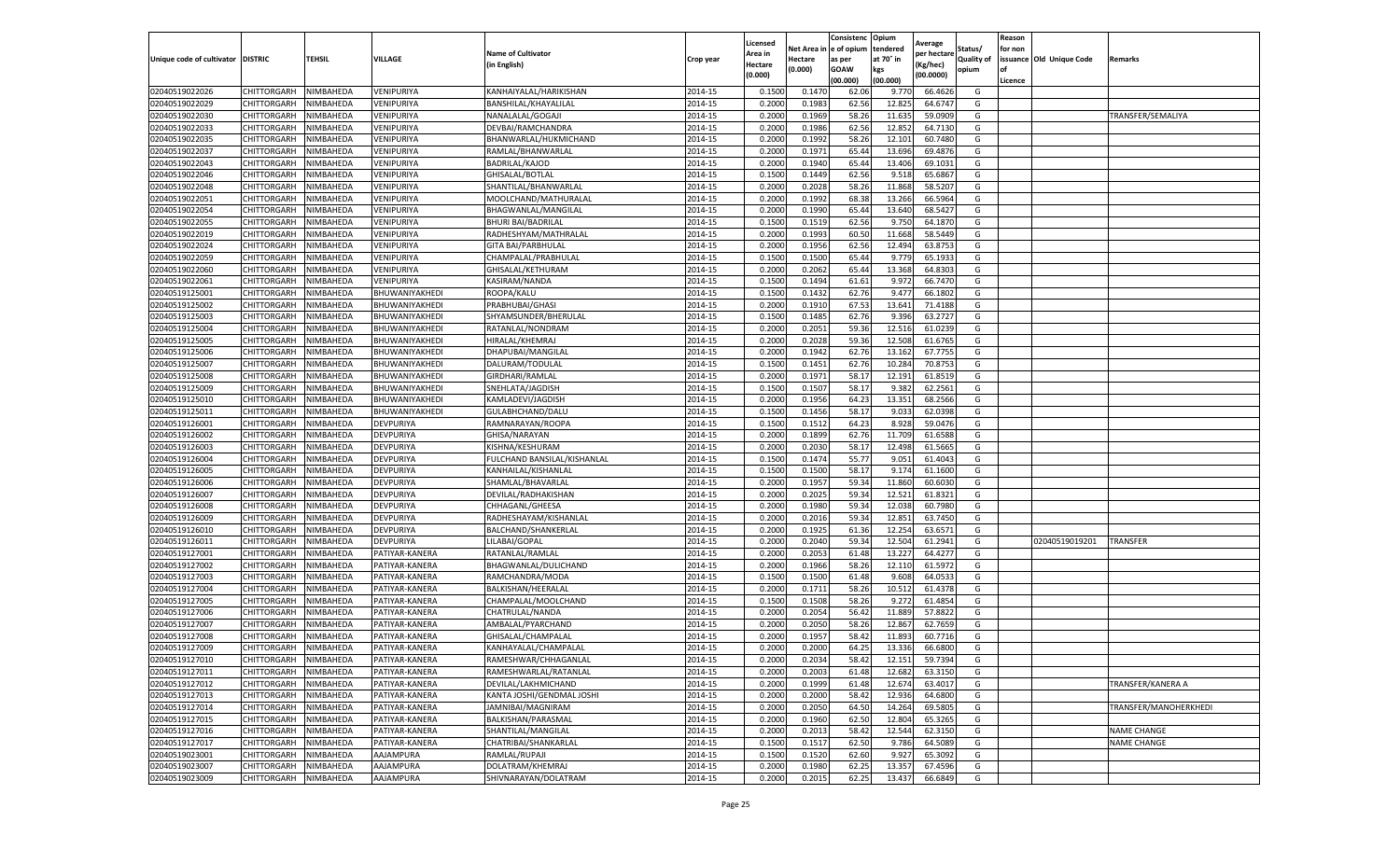|                                   |             |           |                |                             |           | Licensed |            | Consistenc  | Opium     | Average     |                   | Reason  |                          |                       |
|-----------------------------------|-------------|-----------|----------------|-----------------------------|-----------|----------|------------|-------------|-----------|-------------|-------------------|---------|--------------------------|-----------------------|
|                                   |             |           |                | <b>Name of Cultivator</b>   |           | Area in  | Net Area i | e of opium  | tendered  | per hectare | Status/           | for non |                          |                       |
| Unique code of cultivator DISTRIC |             | TEHSIL    | VILLAGE        | (in English)                | Crop year | Hectare  | Hectare    | as per      | at 70° in | (Kg/hec)    | <b>Quality of</b> |         | issuance Old Unique Code | Remarks               |
|                                   |             |           |                |                             |           | (0.000)  | (0.000)    | <b>GOAW</b> | kgs       | (00.0000)   | opium             | οf      |                          |                       |
|                                   |             |           |                |                             |           |          |            | (00.000     | (00.000)  |             |                   | Licence |                          |                       |
| 02040519022026                    | CHITTORGARH | NIMBAHEDA | VENIPURIYA     | KANHAIYALAL/HARIKISHAN      | 2014-15   | 0.1500   | 0.147      | 62.06       | 9.770     | 66.4626     | G                 |         |                          |                       |
| 02040519022029                    | CHITTORGARH | NIMBAHEDA | VENIPURIYA     | BANSHILAL/KHAYALILAL        | 2014-15   | 0.200    | 0.1983     | 62.56       | 12.825    | 64.6747     | G                 |         |                          |                       |
| 02040519022030                    | CHITTORGARH | NIMBAHEDA | VENIPURIYA     | NANALALAL/GOGAJI            | 2014-15   | 0.2000   | 0.1969     | 58.26       | 11.635    | 59.0909     | G                 |         |                          | TRANSFER/SEMALIYA     |
| 02040519022033                    | CHITTORGARH | NIMBAHEDA | VENIPURIYA     | DEVBAI/RAMCHANDRA           | 2014-15   | 0.2000   | 0.1986     | 62.56       | 12.852    | 64.7130     | G                 |         |                          |                       |
| 02040519022035                    | CHITTORGARH | NIMBAHEDA | VENIPURIYA     | BHANWARLAL/HUKMICHAND       | 2014-15   | 0.2000   | 0.1992     | 58.26       | 12.101    | 60.7480     | G                 |         |                          |                       |
| 02040519022037                    | CHITTORGARH | NIMBAHEDA | VENIPURIYA     | RAMLAL/BHANWARLAL           | 2014-15   | 0.2000   | 0.1971     | 65.44       | 13.696    | 69.4876     | G                 |         |                          |                       |
| 02040519022043                    | CHITTORGARH | NIMBAHEDA | VENIPURIYA     | BADRILAL/KAJOD              | 2014-15   | 0.2000   | 0.1940     | 65.44       | 13.406    | 69.1031     | G                 |         |                          |                       |
| 02040519022046                    | CHITTORGARH | NIMBAHEDA | VENIPURIYA     | GHISALAL/BOTLAL             | 2014-15   | 0.1500   | 0.1449     | 62.56       | 9.518     | 65.6867     | G                 |         |                          |                       |
| 02040519022048                    | CHITTORGARH | NIMBAHEDA | VENIPURIYA     | SHANTILAL/BHANWARLAL        | 2014-15   | 0.2000   | 0.2028     | 58.26       | 11.868    | 58.5207     | G                 |         |                          |                       |
| 02040519022051                    | CHITTORGARH | NIMBAHEDA | VENIPURIYA     | MOOLCHAND/MATHURALAL        | 2014-15   | 0.2000   | 0.1992     | 68.38       | 13.266    | 66.5964     | G                 |         |                          |                       |
| 02040519022054                    | CHITTORGARH | NIMBAHEDA | VENIPURIYA     | BHAGWANLAL/MANGILAL         | 2014-15   | 0.2000   | 0.1990     | 65.44       | 13.640    | 68.5427     | G                 |         |                          |                       |
| 02040519022055                    | CHITTORGARH | NIMBAHEDA | VENIPURIYA     | <b>BHURI BAI/BADRILAL</b>   | 2014-15   | 0.1500   | 0.1519     | 62.56       | 9.750     | 64.1870     | G                 |         |                          |                       |
| 02040519022019                    | CHITTORGARH | NIMBAHEDA | VENIPURIYA     | RADHESHYAM/MATHRALAL        | 2014-15   | 0.2000   | 0.1993     | 60.50       | 11.668    | 58.5449     | G                 |         |                          |                       |
| 02040519022024                    | CHITTORGARH | NIMBAHEDA | VENIPURIYA     | <b>GITA BAI/PARBHULAL</b>   | 2014-15   | 0.200    | 0.1956     | 62.56       | 12.494    | 63.8753     | G                 |         |                          |                       |
| 02040519022059                    | CHITTORGARH | NIMBAHEDA | VENIPURIYA     | CHAMPALAL/PRABHULAL         | 2014-15   | 0.1500   | 0.1500     | 65.44       | 9.779     | 65.1933     | G                 |         |                          |                       |
| 02040519022060                    | CHITTORGARH | NIMBAHEDA | VENIPURIYA     | GHISALAL/KETHURAM           | 2014-15   | 0.2000   | 0.2062     | 65.44       | 13.368    | 64.8303     | G                 |         |                          |                       |
| 02040519022061                    | CHITTORGARH | NIMBAHEDA | VENIPURIYA     | KASIRAM/NANDA               | 2014-15   | 0.1500   | 0.1494     | 61.61       | 9.972     | 66.7470     | G                 |         |                          |                       |
| 02040519125001                    | CHITTORGARH | NIMBAHEDA | BHUWANIYAKHEDI | ROOPA/KALU                  | 2014-15   | 0.1500   | 0.1432     | 62.76       | 9.477     | 66.1802     | G                 |         |                          |                       |
| 02040519125002                    | CHITTORGARH | NIMBAHEDA | BHUWANIYAKHEDI | PRABHUBAI/GHASI             | 2014-15   | 0.2000   | 0.1910     | 67.53       | 13.641    | 71.4188     | G                 |         |                          |                       |
| 02040519125003                    | CHITTORGARH | NIMBAHEDA | BHUWANIYAKHEDI | SHYAMSUNDER/BHERULAL        | 2014-15   | 0.1500   | 0.1485     | 62.76       | 9.396     | 63.2727     | G                 |         |                          |                       |
| 02040519125004                    | CHITTORGARH | NIMBAHEDA | BHUWANIYAKHEDI | RATANLAL/NONDRAM            | 2014-15   | 0.2000   | 0.2051     | 59.36       | 12.516    | 61.0239     | G                 |         |                          |                       |
| 02040519125005                    | CHITTORGARH | NIMBAHEDA | BHUWANIYAKHEDI | HIRALAL/KHEMRAJ             | 2014-15   | 0.2000   | 0.2028     | 59.36       | 12.508    | 61.6765     | G                 |         |                          |                       |
| 02040519125006                    | CHITTORGARH | NIMBAHEDA | BHUWANIYAKHEDI | DHAPUBAI/MANGILAL           | 2014-15   | 0.2000   | 0.1942     | 62.76       | 13.162    | 67.7755     | G                 |         |                          |                       |
| 02040519125007                    | CHITTORGARH | NIMBAHEDA | BHUWANIYAKHEDI | DALURAM/TODULAL             | 2014-15   | 0.1500   | 0.1451     | 62.76       | 10.284    | 70.8753     | G                 |         |                          |                       |
| 02040519125008                    | CHITTORGARH | NIMBAHEDA | BHUWANIYAKHEDI | GIRDHARI/RAMLAL             | 2014-15   | 0.2000   | 0.1971     | 58.17       | 12.191    | 61.8519     | G                 |         |                          |                       |
| 02040519125009                    | CHITTORGARH | NIMBAHEDA | BHUWANIYAKHEDI | SNEHLATA/JAGDISH            | 2014-15   | 0.1500   | 0.1507     | 58.17       | 9.382     | 62.2561     | G                 |         |                          |                       |
| 02040519125010                    | CHITTORGARH | NIMBAHEDA | BHUWANIYAKHEDI | KAMLADEVI/JAGDISH           | 2014-15   | 0.2000   | 0.1956     | 64.23       | 13.351    | 68.2566     | G                 |         |                          |                       |
| 02040519125011                    | CHITTORGARH | NIMBAHEDA | BHUWANIYAKHEDI | GULABHCHAND/DALU            | 2014-15   | 0.1500   | 0.1456     | 58.17       | 9.033     | 62.0398     | G                 |         |                          |                       |
| 02040519126001                    | CHITTORGARH | NIMBAHEDA | DEVPURIYA      | RAMNARAYAN/ROOPA            | 2014-15   | 0.1500   | 0.1512     | 64.23       | 8.928     | 59.0476     | G                 |         |                          |                       |
| 02040519126002                    | CHITTORGARH | NIMBAHEDA | DEVPURIYA      | GHISA/NARAYAN               | 2014-15   | 0.2000   | 0.1899     | 62.76       | 11.709    | 61.6588     | G                 |         |                          |                       |
| 02040519126003                    | CHITTORGARH | NIMBAHEDA | DEVPURIYA      | KISHNA/KESHURAM             | 2014-15   | 0.2000   | 0.203C     | 58.17       | 12.498    | 61.5665     | G                 |         |                          |                       |
| 02040519126004                    | CHITTORGARH | NIMBAHEDA | DEVPURIYA      | FULCHAND BANSILAL/KISHANLAL | 2014-15   | 0.1500   | 0.1474     | 55.77       | 9.051     | 61.4043     | G                 |         |                          |                       |
| 02040519126005                    | CHITTORGARH | NIMBAHEDA | DEVPURIYA      | KANHAILAL/KISHANLAL         | 2014-15   | 0.1500   | 0.1500     | 58.17       | 9.174     | 61.1600     | G                 |         |                          |                       |
| 02040519126006                    | CHITTORGARH | NIMBAHEDA | DEVPURIYA      | SHAMLAL/BHAVARLAL           | 2014-15   | 0.2000   | 0.1957     | 59.34       | 11.860    | 60.6030     | G                 |         |                          |                       |
| 02040519126007                    | CHITTORGARH | NIMBAHEDA | DEVPURIYA      | DEVILAL/RADHAKISHAN         | 2014-15   | 0.2000   | 0.2025     | 59.34       | 12.521    | 61.8321     | G                 |         |                          |                       |
| 02040519126008                    | CHITTORGARH | NIMBAHEDA | DEVPURIYA      | CHHAGANL/GHEESA             | 2014-15   | 0.2000   | 0.1980     | 59.34       | 12.038    | 60.7980     | G                 |         |                          |                       |
| 02040519126009                    | CHITTORGARH | NIMBAHEDA | DEVPURIYA      | RADHESHAYAM/KISHANLAL       | 2014-15   | 0.2000   | 0.2016     | 59.34       | 12.851    | 63.7450     | G                 |         |                          |                       |
| 02040519126010                    | CHITTORGARH | NIMBAHEDA | DEVPURIYA      | BALCHAND/SHANKERLAI         | 2014-15   | 0.2000   | 0.1925     | 61.36       | 12.254    | 63.6571     | G                 |         |                          |                       |
| 02040519126011                    | CHITTORGARH | NIMBAHEDA | DEVPURIYA      | LILABAI/GOPAL               | 2014-15   | 0.2000   | 0.2040     | 59.3        | 12.504    | 61.2941     | G                 |         | 02040519019201           | TRANSFER              |
| 02040519127001                    | CHITTORGARH | NIMBAHEDA | PATIYAR-KANERA | RATANLAL/RAMLAL             | 2014-15   | 0.2000   | 0.2053     | 61.48       | 13.227    | 64.4277     | G                 |         |                          |                       |
| 02040519127002                    | CHITTORGARH | NIMBAHEDA | PATIYAR-KANERA | BHAGWANLAL/DULICHAND        | 2014-15   | 0.2000   | 0.1966     | 58.26       | 12.110    | 61.5972     | G                 |         |                          |                       |
| 02040519127003                    | CHITTORGARH | NIMBAHEDA | PATIYAR-KANERA | RAMCHANDRA/MODA             | 2014-15   | 0.1500   | 0.1500     | 61.48       | 9.608     | 64.0533     | G                 |         |                          |                       |
| 02040519127004                    | CHITTORGARH | NIMBAHEDA | PATIYAR-KANERA | BALKISHAN/HEERALAL          | 2014-15   | 0.2000   | 0.1711     | 58.26       | 10.512    | 61.4378     | G                 |         |                          |                       |
| 02040519127005                    | CHITTORGARH | NIMBAHEDA | PATIYAR-KANERA | CHAMPALAL/MOOLCHAND         | 2014-15   | 0.1500   | 0.1508     | 58.26       | 9.272     | 61.4854     | G                 |         |                          |                       |
| 02040519127006                    | CHITTORGARH | NIMBAHEDA | PATIYAR-KANERA | CHATRULAL/NANDA             | 2014-15   | 0.2000   | 0.2054     | 56.42       | 11.889    | 57.8822     | G                 |         |                          |                       |
| 02040519127007                    | CHITTORGARH | NIMBAHEDA | PATIYAR-KANERA | AMBALAL/PYARCHAND           | 2014-15   | 0.200    | 0.2050     | 58.26       | 12.867    | 62.7659     | G                 |         |                          |                       |
| 02040519127008                    | CHITTORGARH | NIMBAHEDA | PATIYAR-KANERA | GHISALAL/CHAMPALAL          | 2014-15   | 0.2000   | 0.1957     | 58.42       | 11.893    | 60.7716     | G                 |         |                          |                       |
| 02040519127009                    | CHITTORGARH | NIMBAHEDA | PATIYAR-KANERA | KANHAYALAL/CHAMPALAL        | 2014-15   | 0.2000   | 0.2000     | 64.25       | 13.336    | 66.6800     | G                 |         |                          |                       |
| 02040519127010                    | CHITTORGARH | NIMBAHEDA | PATIYAR-KANERA | RAMESHWAR/CHHAGANLAL        | 2014-15   | 0.2000   | 0.2034     | 58.42       | 12.151    | 59.7394     | G                 |         |                          |                       |
| 02040519127011                    | CHITTORGARH | NIMBAHEDA | PATIYAR-KANERA | RAMESHWARLAL/RATANLAL       | 2014-15   | 0.2000   | 0.2003     | 61.48       | 12.682    | 63.3150     | G                 |         |                          |                       |
| 02040519127012                    | CHITTORGARH | NIMBAHEDA | PATIYAR-KANERA | DEVILAL/LAKHMICHAND         | 2014-15   | 0.2000   | 0.1999     | 61.48       | 12.674    | 63.4017     | G                 |         |                          | TRANSFER/KANERA A     |
| 02040519127013                    | CHITTORGARH | NIMBAHEDA | PATIYAR-KANERA | KANTA JOSHI/GENDMAL JOSHI   | 2014-15   | 0.2000   | 0.2000     | 58.42       | 12.936    | 64.6800     | G                 |         |                          |                       |
| 02040519127014                    | CHITTORGARH | NIMBAHEDA | PATIYAR-KANERA | JAMNIBAI/MAGNIRAM           | 2014-15   | 0.2000   | 0.2050     | 64.50       | 14.264    | 69.5805     | G                 |         |                          | TRANSFER/MANOHERKHEDI |
| 02040519127015                    | CHITTORGARH | NIMBAHEDA | PATIYAR-KANERA | BALKISHAN/PARASMAL          | 2014-15   | 0.2000   | 0.1960     | 62.50       | 12.804    | 65.3265     | G                 |         |                          |                       |
| 02040519127016                    | CHITTORGARH | NIMBAHEDA | PATIYAR-KANERA | SHANTILAL/MANGILAL          | 2014-15   | 0.2000   | 0.2013     | 58.42       | 12.544    | 62.3150     | G                 |         |                          | <b>NAME CHANGE</b>    |
| 02040519127017                    | CHITTORGARH | NIMBAHEDA | PATIYAR-KANERA | CHATRIBAI/SHANKARLAL        | 2014-15   | 0.1500   | 0.1517     | 62.50       | 9.786     | 64.5089     | G                 |         |                          | <b>NAME CHANGE</b>    |
| 02040519023001                    | CHITTORGARH | NIMBAHEDA | AAJAMPURA      | RAMLAL/RUPAJI               | 2014-15   | 0.1500   | 0.1520     | 62.60       | 9.927     | 65.3092     | G                 |         |                          |                       |
| 02040519023007                    | CHITTORGARH | NIMBAHEDA | AAJAMPURA      | DOLATRAM/KHEMRAJ            | 2014-15   | 0.2000   | 0.1980     | 62.25       | 13.357    | 67.4596     | G                 |         |                          |                       |
| 02040519023009                    | CHITTORGARH | NIMBAHEDA | AAJAMPURA      | SHIVNARAYAN/DOLATRAM        | 2014-15   | 0.2000   | 0.2015     | 62.25       | 13.437    | 66.6849     | G                 |         |                          |                       |
|                                   |             |           |                |                             |           |          |            |             |           |             |                   |         |                          |                       |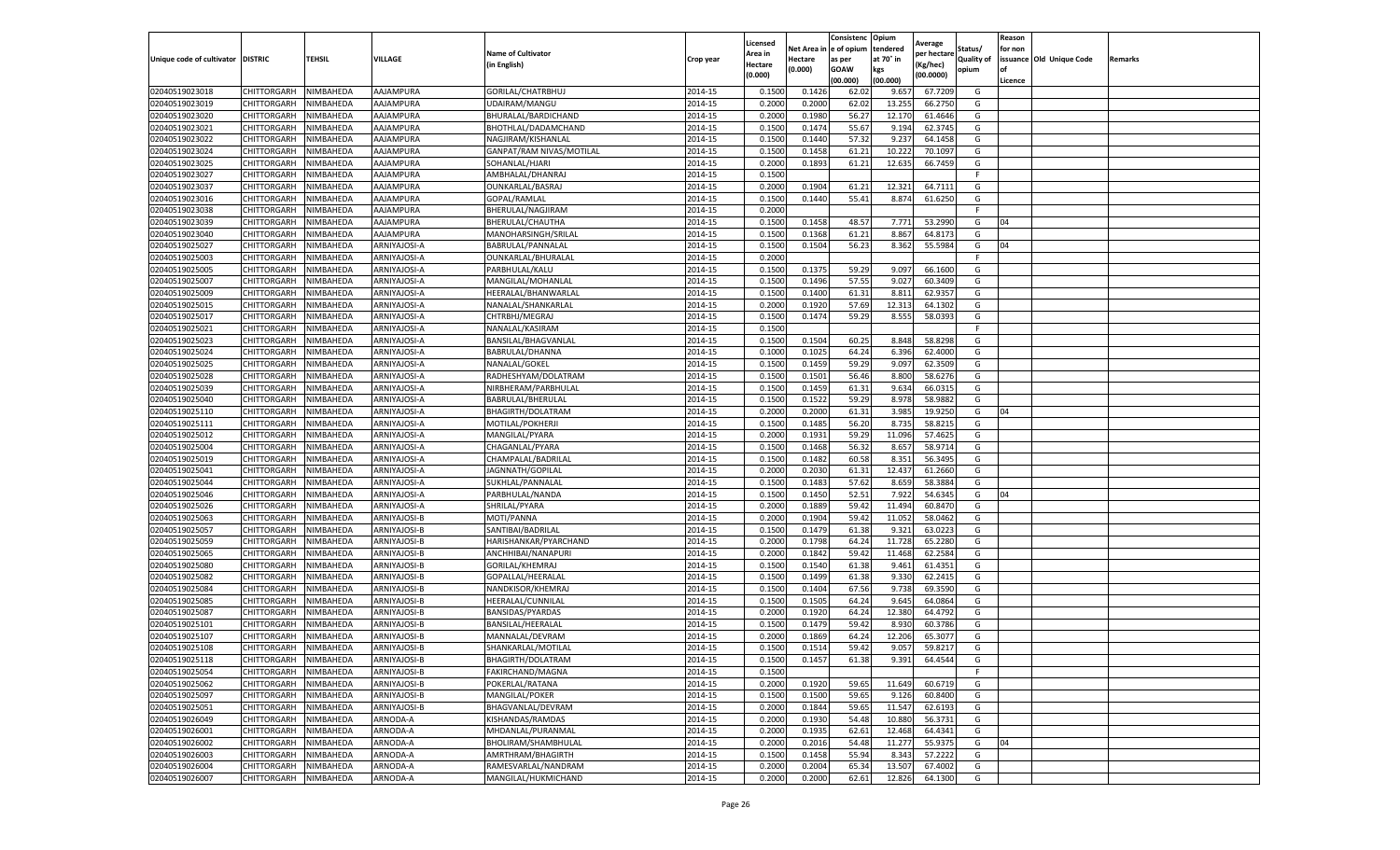|                                   |                    |           |              |                           |           | Licensed |         | Consistenc             | Opium     |                        |                   | Reason  |                          |                |
|-----------------------------------|--------------------|-----------|--------------|---------------------------|-----------|----------|---------|------------------------|-----------|------------------------|-------------------|---------|--------------------------|----------------|
|                                   |                    |           |              | <b>Name of Cultivator</b> |           | Area in  |         | Net Area in e of opium | tendered  | Average<br>per hectare | Status/           | for non |                          |                |
| Unique code of cultivator DISTRIC |                    | TEHSIL    | VILLAGE      | in English)               | Crop year | Hectare  | Hectare | as per                 | at 70° in | (Kg/hec                | <b>Quality of</b> |         | issuance Old Unique Code | <b>Remarks</b> |
|                                   |                    |           |              |                           |           | (0.000)  | (0.000) | <b>GOAW</b>            | kgs       | (00.0000)              | opium             |         |                          |                |
|                                   |                    |           |              |                           |           |          |         | (00.000)               | (00.000)  |                        |                   | Licence |                          |                |
| 02040519023018                    | CHITTORGARH        | NIMBAHEDA | AAJAMPURA    | GORILAL/CHATRBHUJ         | 2014-15   | 0.1500   | 0.1426  | 62.02                  | 9.657     | 67.7209                | G                 |         |                          |                |
| 02040519023019                    | CHITTORGARH        | NIMBAHEDA | AAJAMPURA    | UDAIRAM/MANGU             | 2014-15   | 0.2000   | 0.2000  | 62.02                  | 13.25     | 66.2750                | G                 |         |                          |                |
| 02040519023020                    | CHITTORGARH        | NIMBAHEDA | AAJAMPURA    | BHURALAL/BARDICHAND       | 2014-15   | 0.2000   | 0.1980  | 56.27                  | 12.17     | 61.4646                | G                 |         |                          |                |
| 02040519023021                    | CHITTORGARH        | NIMBAHEDA | AAJAMPURA    | BHOTHLAL/DADAMCHAND       | 2014-15   | 0.1500   | 0.1474  | 55.67                  | 9.194     | 62.3745                | G                 |         |                          |                |
| 02040519023022                    | CHITTORGARH        | NIMBAHEDA | AAJAMPURA    | NAGJIRAM/KISHANLAL        | 2014-15   | 0.1500   | 0.1440  | 57.32                  | 9.23      | 64.1458                | G                 |         |                          |                |
| 02040519023024                    | CHITTORGARH        | NIMBAHEDA | AAJAMPURA    | GANPAT/RAM NIVAS/MOTILAL  | 2014-15   | 0.1500   | 0.1458  | 61.21                  | 10.22     | 70.1097                | G                 |         |                          |                |
| 02040519023025                    | CHITTORGARH        | NIMBAHEDA | AAJAMPURA    | SOHANLAL/HJARI            | 2014-15   | 0.2000   | 0.1893  | 61.21                  | 12.635    | 66.7459                | G                 |         |                          |                |
| 02040519023027                    | CHITTORGARH        | NIMBAHEDA | AAJAMPURA    | AMBHALAL/DHANRAJ          | 2014-15   | 0.1500   |         |                        |           |                        | F                 |         |                          |                |
| 02040519023037                    | CHITTORGARH        | NIMBAHEDA | AAJAMPURA    | OUNKARLAL/BASRAJ          | 2014-15   | 0.2000   | 0.1904  | 61.21                  | 12.32     | 64.7111                | G                 |         |                          |                |
| 02040519023016                    | CHITTORGARH        | NIMBAHEDA | AAJAMPURA    | GOPAL/RAMLAL              | 2014-15   | 0.1500   | 0.1440  | 55.41                  | 8.874     | 61.6250                | G                 |         |                          |                |
| 02040519023038                    | CHITTORGARH        | NIMBAHEDA | AAJAMPURA    | BHERULAL/NAGJIRAM         | 2014-15   | 0.2000   |         |                        |           |                        | F.                |         |                          |                |
| 02040519023039                    | CHITTORGARH        | NIMBAHEDA | AAJAMPURA    | BHERULAL/CHAUTHA          | 2014-15   | 0.1500   | 0.1458  | 48.57                  | 7.771     | 53.2990                | G                 | 04      |                          |                |
| 02040519023040                    | CHITTORGARH        | NIMBAHEDA | AAJAMPURA    | MANOHARSINGH/SRILAI       | 2014-15   | 0.1500   | 0.1368  | 61.21                  | 8.867     | 64.8173                | G                 |         |                          |                |
| 02040519025027                    | CHITTORGARH        | NIMBAHEDA | ARNIYAJOSI-A | BABRULAL/PANNALAL         | 2014-15   | 0.1500   | 0.1504  | 56.23                  | 8.362     | 55.5984                | G                 | 04      |                          |                |
| 02040519025003                    | CHITTORGARH        | NIMBAHEDA | ARNIYAJOSI-A | OUNKARLAL/BHURALAL        | 2014-15   | 0.2000   |         |                        |           |                        | F.                |         |                          |                |
| 02040519025005                    | CHITTORGARH        | NIMBAHEDA | ARNIYAJOSI-A | PARBHULAL/KALU            | 2014-15   | 0.1500   | 0.1375  | 59.29                  | 9.097     | 66.1600                | G                 |         |                          |                |
| 02040519025007                    | CHITTORGARH        | NIMBAHEDA | ARNIYAJOSI-A | MANGILAL/MOHANLAL         | 2014-15   | 0.1500   | 0.1496  | 57.55                  | 9.027     | 60.3409                | G                 |         |                          |                |
| 02040519025009                    | CHITTORGARH        | NIMBAHEDA | ARNIYAJOSI-A | HEERALAL/BHANWARLAI       | 2014-15   | 0.1500   | 0.1400  | 61.31                  | 8.811     | 62.9357                | G                 |         |                          |                |
| 02040519025015                    | CHITTORGARH        | NIMBAHEDA | ARNIYAJOSI-A | NANALAL/SHANKARLAL        | 2014-15   | 0.2000   | 0.1920  | 57.69                  | 12.31     | 64.1302                | G                 |         |                          |                |
| 02040519025017                    | CHITTORGARH        | NIMBAHEDA | ARNIYAJOSI-A | CHTRBHJ/MEGRAJ            | 2014-15   | 0.1500   | 0.1474  | 59.29                  | 8.555     | 58.0393                | G                 |         |                          |                |
| 02040519025021                    | CHITTORGARH        | NIMBAHEDA | ARNIYAJOSI-A | NANALAL/KASIRAM           | 2014-15   | 0.1500   |         |                        |           |                        | F                 |         |                          |                |
| 02040519025023                    | CHITTORGARH        | NIMBAHEDA | ARNIYAJOSI-A | BANSILAL/BHAGVANLAL       | 2014-15   | 0.1500   | 0.1504  | 60.25                  | 8.848     | 58.8298                | G                 |         |                          |                |
| 02040519025024                    | CHITTORGARH        | NIMBAHEDA | ARNIYAJOSI-A | BABRULAL/DHANNA           | 2014-15   | 0.1000   | 0.1025  | 64.24                  | 6.396     | 62.4000                | G                 |         |                          |                |
| 02040519025025                    | CHITTORGARH        | NIMBAHEDA | ARNIYAJOSI-A | NANALAL/GOKEL             | 2014-15   | 0.1500   | 0.1459  | 59.29                  | 9.097     | 62.3509                | G                 |         |                          |                |
| 02040519025028                    | CHITTORGARH        | NIMBAHEDA | ARNIYAJOSI-A | RADHESHYAM/DOLATRAM       | 2014-15   | 0.1500   | 0.1501  | 56.46                  | 8.800     | 58.6276                | G                 |         |                          |                |
| 02040519025039                    | CHITTORGARH        | NIMBAHEDA | ARNIYAJOSI-A | NIRBHERAM/PARBHULAI       | 2014-15   | 0.1500   | 0.1459  | 61.31                  | 9.634     | 66.0315                | G                 |         |                          |                |
| 02040519025040                    | CHITTORGARH        | NIMBAHEDA | ARNIYAJOSI-A | BABRULAL/BHERULAL         | 2014-15   | 0.1500   | 0.1522  | 59.29                  | 8.978     | 58.988                 | G                 |         |                          |                |
| 02040519025110                    | CHITTORGARH        | NIMBAHEDA | ARNIYAJOSI-A | BHAGIRTH/DOLATRAM         | 2014-15   | 0.2000   | 0.2000  | 61.31                  | 3.985     | 19.9250                | G                 | 04      |                          |                |
| 02040519025111                    | CHITTORGARH        | NIMBAHEDA | ARNIYAJOSI-A | MOTILAL/POKHERJI          | 2014-15   | 0.1500   | 0.1485  | 56.20                  | 8.735     | 58.8215                | G                 |         |                          |                |
| 02040519025012                    | CHITTORGARH        | NIMBAHEDA | ARNIYAJOSI-A | MANGILAL/PYARA            | 2014-15   | 0.2000   | 0.1931  | 59.29                  | 11.096    | 57.4625                | G                 |         |                          |                |
| 02040519025004                    | CHITTORGARH        | NIMBAHEDA | ARNIYAJOSI-A | CHAGANLAL/PYARA           | 2014-15   | 0.1500   | 0.1468  | 56.32                  | 8.65      | 58.9714                | G                 |         |                          |                |
| 02040519025019                    | CHITTORGARH        | NIMBAHEDA | ARNIYAJOSI-A | CHAMPALAL/BADRILAI        | 2014-15   | 0.1500   | 0.1482  | 60.58                  | 8.351     | 56.3495                | G                 |         |                          |                |
| 02040519025041                    | CHITTORGARH        | NIMBAHEDA | ARNIYAJOSI-A | JAGNNATH/GOPILAL          | 2014-15   | 0.2000   | 0.2030  | 61.31                  | 12.437    | 61.2660                | G                 |         |                          |                |
| 02040519025044                    | CHITTORGARH        | NIMBAHEDA | ARNIYAJOSI-A | SUKHLAL/PANNALAL          | 2014-15   | 0.1500   | 0.1483  | 57.62                  | 8.659     | 58.3884                | G                 |         |                          |                |
| 02040519025046                    | CHITTORGARH        | NIMBAHEDA | ARNIYAJOSI-A | PARBHULAL/NANDA           | 2014-15   | 0.1500   | 0.1450  | 52.51                  | 7.922     | 54.6345                | G                 | 04      |                          |                |
| 02040519025026                    | CHITTORGARH        | NIMBAHEDA | ARNIYAJOSI-A | SHRILAL/PYARA             | 2014-15   | 0.2000   | 0.1889  | 59.42                  | 11.494    | 60.8470                | G                 |         |                          |                |
| 02040519025063                    | CHITTORGARH        | NIMBAHEDA | ARNIYAJOSI-B | MOTI/PANNA                | 2014-15   | 0.2000   | 0.1904  | 59.42                  | 11.052    | 58.0462                | G                 |         |                          |                |
| 02040519025057                    | CHITTORGARH        | NIMBAHEDA | ARNIYAJOSI-B | SANTIBAI/BADRILAL         | 2014-15   | 0.1500   | 0.1479  | 61.38                  | 9.32      | 63.022                 | G                 |         |                          |                |
| 02040519025059                    | CHITTORGARH        | NIMBAHEDA | ARNIYAJOSI-B | HARISHANKAR/PYARCHAND     | 2014-15   | 0.2000   | 0.1798  | 64.24                  | 11.728    | 65.2280                | G                 |         |                          |                |
| 02040519025065                    | CHITTORGARH        | NIMBAHEDA | ARNIYAJOSI-B | ANCHHIBAI/NANAPURI        | 2014-15   | 0.2000   | 0.1842  | 59.42                  | 11.468    | 62.2584                | G                 |         |                          |                |
| 02040519025080                    | CHITTORGARH        | NIMBAHEDA | ARNIYAJOSI-B | GORILAL/KHEMRAJ           | 2014-15   | 0.1500   | 0.1540  | 61.38                  | 9.461     | 61.4351                | G                 |         |                          |                |
| 02040519025082                    | CHITTORGARH        | NIMBAHEDA | ARNIYAJOSI-B | GOPALLAL/HEERALAL         | 2014-15   | 0.1500   | 0.1499  | 61.38                  | 9.330     | 62.2415                | G                 |         |                          |                |
| 02040519025084                    | CHITTORGARH        | NIMBAHEDA | ARNIYAJOSI-B | NANDKISOR/KHEMRAJ         | 2014-15   | 0.1500   | 0.1404  | 67.56                  | 9.738     | 69.3590                | G                 |         |                          |                |
| 02040519025085                    | CHITTORGARH        | NIMBAHEDA | ARNIYAJOSI-B | HEERALAL/CUNNILAL         | 2014-15   | 0.1500   | 0.1505  | 64.24                  | 9.645     | 64.0864                | G                 |         |                          |                |
| 02040519025087                    | CHITTORGARH        | NIMBAHEDA | ARNIYAJOSI-B | BANSIDAS/PYARDAS          | 2014-15   | 0.2000   | 0.1920  | 64.24                  | 12.380    | 64.4792                | G                 |         |                          |                |
| 02040519025101                    | CHITTORGARH        | NIMBAHEDA | ARNIYAJOSI-B | BANSILAL/HEERALAL         | 2014-15   | 0.1500   | 0.1479  | 59.42                  | 8.93      | 60.3786                | G                 |         |                          |                |
| 02040519025107                    | CHITTORGARH        | NIMBAHEDA | ARNIYAJOSI-B | MANNALAL/DEVRAM           | 2014-15   | 0.2000   | 0.1869  | 64.24                  | 12.20     | 65.3077                | G                 |         |                          |                |
| 02040519025108                    | CHITTORGARH        | NIMBAHEDA | ARNIYAJOSI-B | SHANKARLAL/MOTILAL        | 2014-15   | 0.1500   | 0.1514  | 59.42                  | 9.057     | 59.8217                | G                 |         |                          |                |
| 02040519025118                    | CHITTORGARH        | NIMBAHEDA | ARNIYAJOSI-B | BHAGIRTH/DOLATRAM         | 2014-15   | 0.1500   | 0.1457  | 61.38                  | 9.391     | 64.4544                | G                 |         |                          |                |
| 02040519025054                    | CHITTORGARH        | NIMBAHEDA | ARNIYAJOSI-B | FAKIRCHAND/MAGNA          | 2014-15   | 0.1500   |         |                        |           |                        | F                 |         |                          |                |
| 02040519025062                    | <b>CHITTORGARH</b> | NIMBAHEDA | ARNIYAJOSI-B | POKERLAL/RATANA           | 2014-15   | 0.2000   | 0.1920  | 59.65                  | 11.649    | 60.6719                | G                 |         |                          |                |
| 02040519025097                    | <b>CHITTORGARH</b> | NIMBAHEDA | ARNIYAJOSI-B | MANGILAL/POKER            | 2014-15   | 0.1500   | 0.1500  | 59.65                  | 9.126     | 60.8400                | G                 |         |                          |                |
| 02040519025051                    | CHITTORGARH        | NIMBAHEDA | ARNIYAJOSI-B | BHAGVANLAL/DEVRAM         | 2014-15   | 0.2000   | 0.1844  | 59.65                  | 11.547    | 62.6193                | G                 |         |                          |                |
| 02040519026049                    | <b>CHITTORGARH</b> | NIMBAHEDA | ARNODA-A     | KISHANDAS/RAMDAS          | 2014-15   | 0.2000   | 0.1930  | 54.48                  | 10.880    | 56.3731                | G                 |         |                          |                |
| 02040519026001                    | CHITTORGARH        | NIMBAHEDA | ARNODA-A     | MHDANLAL/PURANMAL         | 2014-15   | 0.2000   | 0.1935  | 62.61                  | 12.468    | 64.4341                | G                 |         |                          |                |
| 02040519026002                    | <b>CHITTORGARH</b> | NIMBAHEDA | ARNODA-A     | BHOLIRAM/SHAMBHULAL       | 2014-15   | 0.2000   | 0.2016  | 54.48                  | 11.277    | 55.9375                | G                 | 04      |                          |                |
| 02040519026003                    | CHITTORGARH        | NIMBAHEDA | ARNODA-A     | AMRTHRAM/BHAGIRTH         | 2014-15   | 0.1500   | 0.1458  | 55.94                  | 8.343     | 57.2222                | G                 |         |                          |                |
| 02040519026004                    | CHITTORGARH        | NIMBAHEDA | ARNODA-A     | RAMESVARLAL/NANDRAM       | 2014-15   | 0.2000   | 0.2004  | 65.34                  | 13.507    | 67.4002                | G                 |         |                          |                |
| 02040519026007                    | <b>CHITTORGARH</b> | NIMBAHEDA | ARNODA-A     | MANGILAL/HUKMICHAND       | 2014-15   | 0.2000   | 0.2000  | 62.61                  | 12.826    | 64.1300                | G                 |         |                          |                |
|                                   |                    |           |              |                           |           |          |         |                        |           |                        |                   |         |                          |                |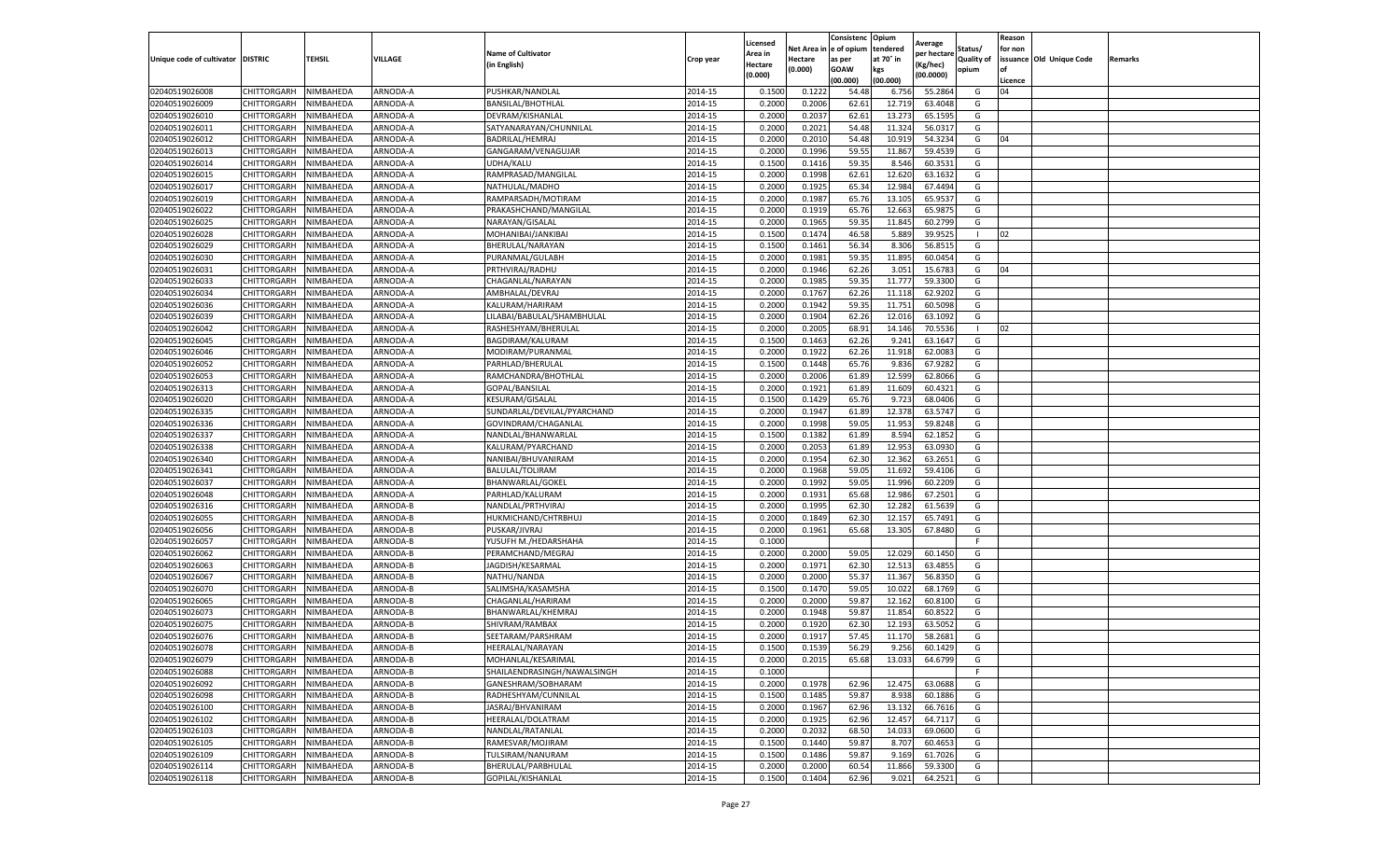|                                   |                       |           |          |                             |           | Licensed |         | Consistenc             | Opium     |                        |                   | Reason  |                          |                |
|-----------------------------------|-----------------------|-----------|----------|-----------------------------|-----------|----------|---------|------------------------|-----------|------------------------|-------------------|---------|--------------------------|----------------|
|                                   |                       |           |          | <b>Name of Cultivator</b>   |           | Area in  |         | Net Area in e of opium | tendered  | Average<br>per hectare | Status/           | for non |                          |                |
| Unique code of cultivator DISTRIC |                       | TEHSIL    | VILLAGE  | in English)                 | Crop year | Hectare  | Hectare | as per                 | at 70° in | (Kg/hec                | <b>Quality of</b> |         | issuance Old Unique Code | <b>Remarks</b> |
|                                   |                       |           |          |                             |           | (0.000)  | (0.000) | <b>GOAW</b>            | kgs       | (00.0000)              | opium             |         |                          |                |
|                                   |                       |           |          |                             |           |          |         | (00.000)               | (00.000)  |                        |                   | Licence |                          |                |
| 02040519026008                    | CHITTORGARH           | NIMBAHEDA | ARNODA-A | PUSHKAR/NANDLAL             | 2014-15   | 0.1500   | 0.1222  | 54.48                  | 6.756     | 55.2864                | G                 | 04      |                          |                |
| 02040519026009                    | CHITTORGARH           | NIMBAHEDA | ARNODA-A | BANSILAL/BHOTHLAL           | 2014-15   | 0.2000   | 0.2006  | 62.61                  | 12.71     | 63.4048                | G                 |         |                          |                |
| 02040519026010                    | CHITTORGARH           | NIMBAHEDA | ARNODA-A | DEVRAM/KISHANLAI            | 2014-15   | 0.2000   | 0.2037  | 62.61                  | 13.27     | 65.1595                | G                 |         |                          |                |
| 02040519026011                    | CHITTORGARH           | NIMBAHEDA | ARNODA-A | SATYANARAYAN/CHUNNILAL      | 2014-15   | 0.2000   | 0.2021  | 54.48                  | 11.324    | 56.0317                | G                 |         |                          |                |
| 02040519026012                    | CHITTORGARH           | NIMBAHEDA | ARNODA-A | BADRILAL/HEMRAJ             | 2014-15   | 0.2000   | 0.2010  | 54.48                  | 10.919    | 54.3234                | G                 | 04      |                          |                |
| 02040519026013                    | CHITTORGARH           | NIMBAHEDA | ARNODA-A | GANGARAM/VENAGUJAR          | 2014-15   | 0.2000   | 0.1996  | 59.55                  | 11.867    | 59.453                 | G                 |         |                          |                |
| 02040519026014                    | CHITTORGARH           | NIMBAHEDA | ARNODA-A | UDHA/KALU                   | 2014-15   | 0.1500   | 0.1416  | 59.35                  | 8.546     | 60.3531                | G                 |         |                          |                |
| 02040519026015                    | CHITTORGARH           | NIMBAHEDA | ARNODA-A | RAMPRASAD/MANGILAL          | 2014-15   | 0.2000   | 0.1998  | 62.61                  | 12.62     | 63.1632                | G                 |         |                          |                |
| 02040519026017                    | CHITTORGARH           | NIMBAHEDA | ARNODA-A | NATHULAL/MADHO              | 2014-15   | 0.2000   | 0.1925  | 65.34                  | 12.984    | 67.4494                | G                 |         |                          |                |
| 02040519026019                    | CHITTORGARH           | NIMBAHEDA | ARNODA-A | RAMPARSADH/MOTIRAM          | 2014-15   | 0.2000   | 0.1987  | 65.76                  | 13.105    | 65.9537                | G                 |         |                          |                |
| 02040519026022                    | CHITTORGARH           | NIMBAHEDA | ARNODA-A | PRAKASHCHAND/MANGILAL       | 2014-15   | 0.2000   | 0.1919  | 65.76                  | 12.663    | 65.9875                | G                 |         |                          |                |
| 02040519026025                    | CHITTORGARH           | NIMBAHEDA | ARNODA-A | NARAYAN/GISALAL             | 2014-15   | 0.2000   | 0.1965  | 59.35                  | 11.845    | 60.2799                | G                 |         |                          |                |
| 02040519026028                    | CHITTORGARH           | NIMBAHEDA | ARNODA-A | MOHANIBAI/JANKIBAI          | 2014-15   | 0.1500   | 0.1474  | 46.58                  | 5.889     | 39.9525                |                   | 02      |                          |                |
| 02040519026029                    | CHITTORGARH           | NIMBAHEDA | ARNODA-A | BHERULAL/NARAYAN            | 2014-15   | 0.1500   | 0.1461  | 56.34                  | 8.306     | 56.8515                | G                 |         |                          |                |
| 02040519026030                    | CHITTORGARH           | NIMBAHEDA | ARNODA-A | PURANMAL/GULABH             | 2014-15   | 0.2000   | 0.1981  | 59.35                  | 11.895    | 60.0454                | G                 |         |                          |                |
| 02040519026031                    | CHITTORGARH           | NIMBAHEDA | ARNODA-A | PRTHVIRAJ/RADHU             | 2014-15   | 0.2000   | 0.1946  | 62.26                  | 3.051     | 15.6783                | G                 | 04      |                          |                |
| 02040519026033                    | CHITTORGARH           | NIMBAHEDA | ARNODA-A | CHAGANLAL/NARAYAN           | 2014-15   | 0.2000   | 0.1985  | 59.35                  | 11.777    | 59.3300                | G                 |         |                          |                |
| 02040519026034                    | CHITTORGARH           | NIMBAHEDA | ARNODA-A | AMBHALAL/DEVRAJ             | 2014-15   | 0.2000   | 0.1767  | 62.26                  | 11.11     | 62.9202                | G                 |         |                          |                |
| 02040519026036                    | CHITTORGARH           | NIMBAHEDA | ARNODA-A | KALURAM/HARIRAM             | 2014-15   | 0.2000   | 0.1942  | 59.35                  | 11.751    | 60.5098                | G                 |         |                          |                |
| 02040519026039                    | CHITTORGARH           | NIMBAHEDA | ARNODA-A | LILABAI/BABULAL/SHAMBHULAL  | 2014-15   | 0.2000   | 0.1904  | 62.26                  | 12.016    | 63.1092                | G                 |         |                          |                |
| 02040519026042                    | CHITTORGARH           | NIMBAHEDA | ARNODA-A | RASHESHYAM/BHERULAL         | 2014-15   | 0.2000   | 0.2005  | 68.91                  | 14.146    | 70.5536                | $\mathbf{L}$      | 02      |                          |                |
| 02040519026045                    | CHITTORGARH           | NIMBAHEDA | ARNODA-A | BAGDIRAM/KALURAM            | 2014-15   | 0.1500   | 0.1463  | 62.26                  | 9.241     | 63.1647                | G                 |         |                          |                |
| 02040519026046                    | CHITTORGARH           | NIMBAHEDA | ARNODA-A | MODIRAM/PURANMAL            | 2014-15   | 0.2000   | 0.1922  | 62.26                  | 11.918    | 62.0083                | G                 |         |                          |                |
| 02040519026052                    | CHITTORGARH           | NIMBAHEDA | ARNODA-A | PARHLAD/BHERULAL            | 2014-15   | 0.1500   | 0.1448  | 65.76                  | 9.83      | 67.9282                | G                 |         |                          |                |
| 02040519026053                    | CHITTORGARH           | NIMBAHEDA | ARNODA-A | RAMCHANDRA/BHOTHLAL         | 2014-15   | 0.2000   | 0.2006  | 61.89                  | 12.59     | 62.8066                | G                 |         |                          |                |
| 02040519026313                    | CHITTORGARH           | NIMBAHEDA | ARNODA-A | GOPAL/BANSILAL              | 2014-15   | 0.2000   | 0.1921  | 61.89                  | 11.609    | 60.4321                | G                 |         |                          |                |
| 02040519026020                    | CHITTORGARH           | NIMBAHEDA | ARNODA-A | KESURAM/GISALAI             | 2014-15   | 0.1500   | 0.1429  | 65.76                  | 9.723     | 68.0406                | G                 |         |                          |                |
| 02040519026335                    | CHITTORGARH           | NIMBAHEDA | ARNODA-A | SUNDARLAL/DEVILAL/PYARCHAND | 2014-15   | 0.2000   | 0.1947  | 61.89                  | 12.378    | 63.5747                | G                 |         |                          |                |
| 02040519026336                    | CHITTORGARH           | NIMBAHEDA | ARNODA-A | GOVINDRAM/CHAGANLAL         | 2014-15   | 0.2000   | 0.1998  | 59.05                  | 11.953    | 59.8248                | G                 |         |                          |                |
| 02040519026337                    | CHITTORGARH           | NIMBAHEDA | ARNODA-A | NANDLAL/BHANWARLAL          | 2014-15   | 0.1500   | 0.1382  | 61.89                  | 8.594     | 62.1852                | G                 |         |                          |                |
| 02040519026338                    | CHITTORGARH           | NIMBAHEDA | ARNODA-A | KALURAM/PYARCHAND           | 2014-15   | 0.2000   | 0.2053  | 61.89                  | 12.95     | 63.0930                | G                 |         |                          |                |
| 02040519026340                    | CHITTORGARH           | NIMBAHEDA | ARNODA-A | NANIBAI/BHUVANIRAM          | 2014-15   | 0.2000   | 0.1954  | 62.30                  | 12.362    | 63.2651                | G                 |         |                          |                |
| 02040519026341                    | CHITTORGARH           | NIMBAHEDA | ARNODA-A | <b>BALULAL/TOLIRAM</b>      | 2014-15   | 0.2000   | 0.1968  | 59.05                  | 11.692    | 59.4106                | G                 |         |                          |                |
| 02040519026037                    | CHITTORGARH           | NIMBAHEDA | ARNODA-A | <b>BHANWARLAL/GOKEL</b>     | 2014-15   | 0.2000   | 0.1992  | 59.05                  | 11.996    | 60.2209                | G                 |         |                          |                |
| 02040519026048                    | CHITTORGARH           | NIMBAHEDA | ARNODA-A | PARHLAD/KALURAM             | 2014-15   | 0.2000   | 0.1931  | 65.68                  | 12.986    | 67.2501                | G                 |         |                          |                |
| 02040519026316                    | CHITTORGARH           | NIMBAHEDA | ARNODA-B | NANDLAL/PRTHVIRAJ           | 2014-15   | 0.2000   | 0.1995  | 62.30                  | 12.28     | 61.5639                | G                 |         |                          |                |
| 02040519026055                    | CHITTORGARH           | NIMBAHEDA | ARNODA-B | HUKMICHAND/CHTRBHUJ         | 2014-15   | 0.2000   | 0.1849  | 62.30                  | 12.15     | 65.7491                | G                 |         |                          |                |
| 02040519026056                    | CHITTORGARH           | NIMBAHEDA | ARNODA-B | PUSKAR/JIVRAJ               | 2014-15   | 0.2000   | 0.1961  | 65.68                  | 13.305    | 67.8480                | G                 |         |                          |                |
| 02040519026057                    | CHITTORGARH           | NIMBAHEDA | ARNODA-B | YUSUFH M./HEDARSHAHA        | 2014-15   | 0.1000   |         |                        |           |                        | F                 |         |                          |                |
| 02040519026062                    | CHITTORGARH           | NIMBAHEDA | ARNODA-B | PERAMCHAND/MEGRAJ           | 2014-15   | 0.2000   | 0.2000  | 59.05                  | 12.029    | 60.1450                | G                 |         |                          |                |
| 02040519026063                    | CHITTORGARH           | NIMBAHEDA | ARNODA-B | JAGDISH/KESARMAL            | 2014-15   | 0.2000   | 0.1971  | 62.30                  | 12.51     | 63.4855                | G                 |         |                          |                |
| 02040519026067                    | CHITTORGARH           | NIMBAHEDA | ARNODA-B | NATHU/NANDA                 | 2014-15   | 0.2000   | 0.2000  | 55.37                  | 11.367    | 56.8350                | G                 |         |                          |                |
| 02040519026070                    | CHITTORGARH           | NIMBAHEDA | ARNODA-B | SALIMSHA/KASAMSHA           | 2014-15   | 0.1500   | 0.1470  | 59.05                  | 10.02     | 68.1769                | G                 |         |                          |                |
| 02040519026065                    | CHITTORGARH           | NIMBAHEDA | ARNODA-B | CHAGANLAL/HARIRAM           | 2014-15   | 0.2000   | 0.2000  | 59.87                  | 12.16     | 60.8100                | G                 |         |                          |                |
| 02040519026073                    | CHITTORGARH           | NIMBAHEDA | ARNODA-B | BHANWARLAL/KHEMRAJ          | 2014-15   | 0.2000   | 0.1948  | 59.87                  | 11.854    | 60.8522                | G                 |         |                          |                |
| 02040519026075                    | CHITTORGARH           | NIMBAHEDA | ARNODA-B | SHIVRAM/RAMBAX              | 2014-15   | 0.2000   | 0.1920  | 62.30                  | 12.19     | 63.5052                | G                 |         |                          |                |
| 02040519026076                    | CHITTORGARH           | NIMBAHEDA | ARNODA-B | SEETARAM/PARSHRAM           | 2014-15   | 0.2000   | 0.1917  | 57.45                  | 11.17     | 58.2681                | G                 |         |                          |                |
| 02040519026078                    | CHITTORGARH           | NIMBAHEDA | ARNODA-B | HEERALAL/NARAYAN            | 2014-15   | 0.1500   | 0.1539  | 56.29                  | 9.256     | 60.1429                | G                 |         |                          |                |
| 02040519026079                    | CHITTORGARH NIMBAHEDA |           | ARNODA-B | MOHANLAL/KESARIMAL          | 2014-15   | 0.2000   | 0.2015  | 65.68                  | 13.033    | 64.6799                | G                 |         |                          |                |
| 02040519026088                    | CHITTORGARH           | NIMBAHEDA | ARNODA-B | SHAILAENDRASINGH/NAWALSINGH | 2014-15   | 0.1000   |         |                        |           |                        | F                 |         |                          |                |
| 02040519026092                    | CHITTORGARH           | NIMBAHEDA | ARNODA-B | GANESHRAM/SOBHARAM          | 2014-15   | 0.2000   | 0.1978  | 62.96                  | 12.475    | 63.0688                | G                 |         |                          |                |
| 02040519026098                    | CHITTORGARH           | NIMBAHEDA | ARNODA-B | RADHESHYAM/CUNNILAL         | 2014-15   | 0.1500   | 0.1485  | 59.87                  | 8.938     | 60.1886                | G                 |         |                          |                |
| 02040519026100                    | CHITTORGARH           | NIMBAHEDA | ARNODA-B | JASRAJ/BHVANIRAM            | 2014-15   | 0.2000   | 0.1967  | 62.96                  | 13.132    | 66.7616                | G                 |         |                          |                |
| 02040519026102                    | <b>CHITTORGARH</b>    | NIMBAHEDA | ARNODA-B | HEERALAL/DOLATRAM           | 2014-15   | 0.2000   | 0.1925  | 62.96                  | 12.457    | 64.7117                | G                 |         |                          |                |
| 02040519026103                    | CHITTORGARH           | NIMBAHEDA | ARNODA-B | NANDLAL/RATANLAL            | 2014-15   | 0.2000   | 0.2032  | 68.50                  | 14.033    | 69.0600                | G                 |         |                          |                |
| 02040519026105                    | CHITTORGARH           | NIMBAHEDA | ARNODA-B | RAMESVAR/MOJIRAM            | 2014-15   | 0.1500   | 0.1440  | 59.87                  | 8.707     | 60.4653                | G                 |         |                          |                |
| 02040519026109                    | CHITTORGARH           | NIMBAHEDA | ARNODA-B | TULSIRAM/NANURAM            | 2014-15   | 0.1500   | 0.1486  | 59.87                  | 9.169     | 61.7026                | G                 |         |                          |                |
| 02040519026114                    | CHITTORGARH           | NIMBAHEDA | ARNODA-B | BHERULAL/PARBHULAL          | 2014-15   | 0.2000   | 0.2000  | 60.54                  | 11.866    | 59.3300                | G                 |         |                          |                |
| 02040519026118                    | <b>CHITTORGARH</b>    | NIMBAHEDA | ARNODA-B | GOPILAL/KISHANLAL           | 2014-15   | 0.1500   | 0.1404  | 62.96                  | 9.021     | 64.2521                | G                 |         |                          |                |
|                                   |                       |           |          |                             |           |          |         |                        |           |                        |                   |         |                          |                |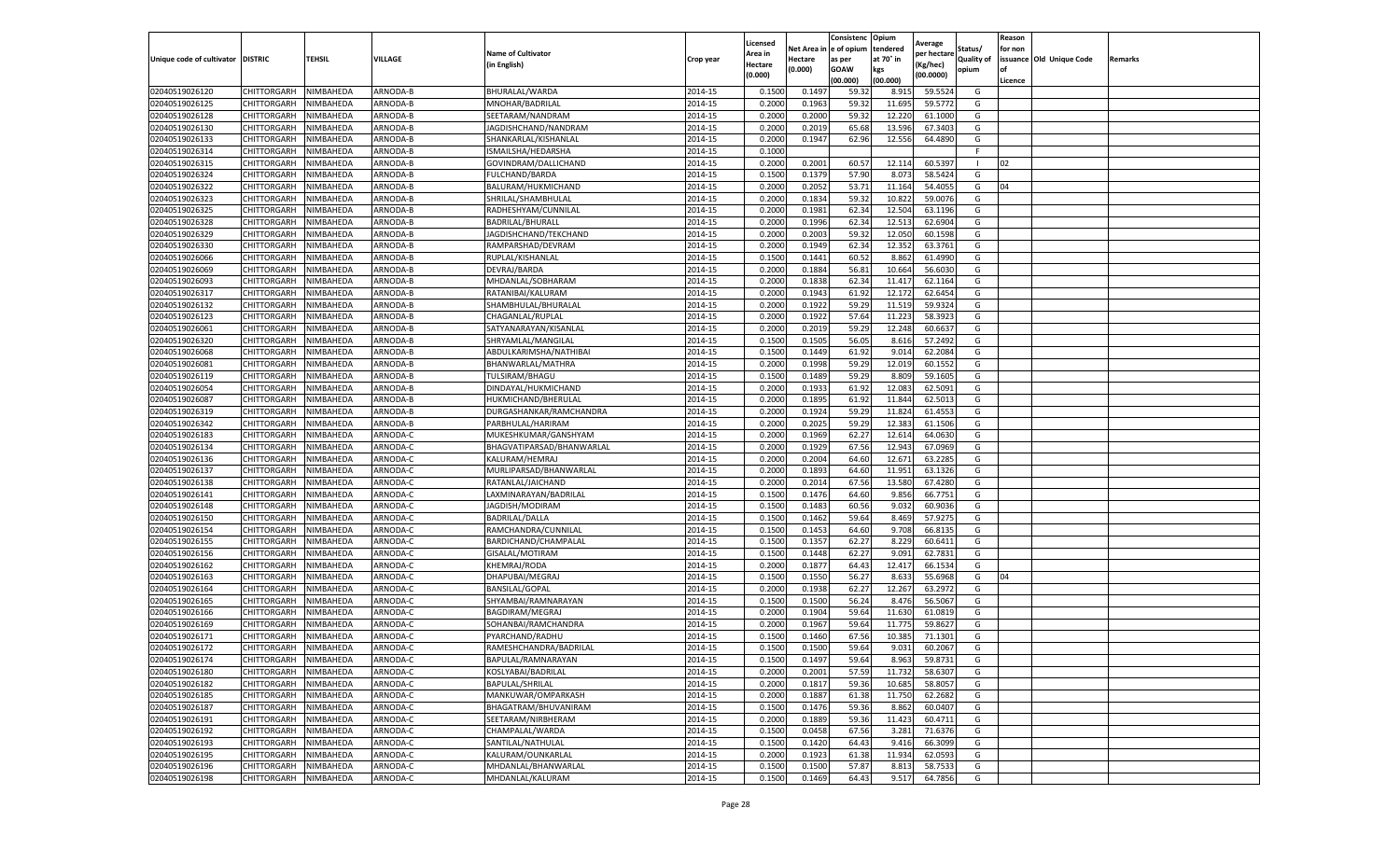|                                   |                    |           |                 |                           |           | Licensed |         | Consistenc             | Opium     |                        |                   | Reason  |                          |                |
|-----------------------------------|--------------------|-----------|-----------------|---------------------------|-----------|----------|---------|------------------------|-----------|------------------------|-------------------|---------|--------------------------|----------------|
|                                   |                    |           |                 | <b>Name of Cultivator</b> |           | Area in  |         | Net Area in e of opium | tendered  | Average<br>per hectare | Status/           | for non |                          |                |
| Unique code of cultivator DISTRIC |                    | TEHSIL    | VILLAGE         | in English)               | Crop year | Hectare  | Hectare | as per                 | at 70° in | (Kg/hec                | <b>Quality of</b> |         | issuance Old Unique Code | <b>Remarks</b> |
|                                   |                    |           |                 |                           |           | (0.000)  | (0.000) | <b>GOAW</b>            | kgs       | (00.0000)              | opium             |         |                          |                |
|                                   |                    |           |                 |                           |           |          |         | (00.000)               | (00.000)  |                        |                   | Licence |                          |                |
| 02040519026120                    | CHITTORGARH        | NIMBAHEDA | ARNODA-B        | BHURALAL/WARDA            | 2014-15   | 0.1500   | 0.1497  | 59.32                  | 8.915     | 59.552                 | G                 |         |                          |                |
| 02040519026125                    | CHITTORGARH        | NIMBAHEDA | ARNODA-B        | MNOHAR/BADRILAL           | 2014-15   | 0.2000   | 0.1963  | 59.32                  | 11.695    | 59.5772                | G                 |         |                          |                |
| 02040519026128                    | CHITTORGARH        | NIMBAHEDA | ARNODA-B        | SEETARAM/NANDRAM          | 2014-15   | 0.2000   | 0.2000  | 59.32                  | 12.22     | 61.1000                | G                 |         |                          |                |
| 02040519026130                    | CHITTORGARH        | NIMBAHEDA | ARNODA-B        | JAGDISHCHAND/NANDRAM      | 2014-15   | 0.2000   | 0.2019  | 65.68                  | 13.596    | 67.3403                | G                 |         |                          |                |
| 02040519026133                    | CHITTORGARH        | NIMBAHEDA | ARNODA-B        | SHANKARLAL/KISHANLAL      | 2014-15   | 0.2000   | 0.1947  | 62.96                  | 12.556    | 64.4890                | G                 |         |                          |                |
| 02040519026314                    | CHITTORGARH        | NIMBAHEDA | <b>ARNODA-B</b> | ISMAILSHA/HEDARSHA        | 2014-15   | 0.1000   |         |                        |           |                        | F                 |         |                          |                |
| 02040519026315                    | CHITTORGARH        | NIMBAHEDA | ARNODA-B        | GOVINDRAM/DALLICHAND      | 2014-15   | 0.2000   | 0.2001  | 60.57                  | 12.114    | 60.539                 | п                 | 02      |                          |                |
| 02040519026324                    | CHITTORGARH        | NIMBAHEDA | ARNODA-B        | <b>FULCHAND/BARDA</b>     | 2014-15   | 0.1500   | 0.1379  | 57.90                  | 8.073     | 58.5424                | G                 |         |                          |                |
| 02040519026322                    | CHITTORGARH        | NIMBAHEDA | ARNODA-B        | BALURAM/HUKMICHAND        | 2014-15   | 0.2000   | 0.2052  | 53.71                  | 11.164    | 54.4055                | G                 | 04      |                          |                |
| 02040519026323                    | CHITTORGARH        | NIMBAHEDA | ARNODA-B        | SHRILAL/SHAMBHULAL        | 2014-15   | 0.2000   | 0.1834  | 59.32                  | 10.822    | 59.0076                | G                 |         |                          |                |
| 02040519026325                    | CHITTORGARH        | NIMBAHEDA | ARNODA-B        | RADHESHYAM/CUNNILAL       | 2014-15   | 0.2000   | 0.1981  | 62.34                  | 12.504    | 63.1196                | G                 |         |                          |                |
| 02040519026328                    | CHITTORGARH        | NIMBAHEDA | ARNODA-B        | BADRILAL/BHURALI          | 2014-15   | 0.2000   | 0.1996  | 62.34                  | 12.513    | 62.6904                | G                 |         |                          |                |
| 02040519026329                    | CHITTORGARH        | NIMBAHEDA | ARNODA-B        | JAGDISHCHAND/TEKCHAND     | 2014-15   | 0.2000   | 0.2003  | 59.32                  | 12.050    | 60.1598                | G                 |         |                          |                |
| 02040519026330                    | CHITTORGARH        | NIMBAHEDA | ARNODA-B        | RAMPARSHAD/DEVRAM         | 2014-15   | 0.2000   | 0.1949  | 62.34                  | 12.352    | 63.3761                | G                 |         |                          |                |
| 02040519026066                    | CHITTORGARH        | NIMBAHEDA | ARNODA-B        | RUPLAL/KISHANLAL          | 2014-15   | 0.1500   | 0.1441  | 60.52                  | 8.862     | 61.4990                | G                 |         |                          |                |
| 02040519026069                    | CHITTORGARH        | NIMBAHEDA | ARNODA-B        | DEVRAJ/BARDA              | 2014-15   | 0.2000   | 0.1884  | 56.81                  | 10.664    | 56.6030                | G                 |         |                          |                |
| 02040519026093                    | CHITTORGARH        | NIMBAHEDA | ARNODA-B        | MHDANLAL/SOBHARAM         | 2014-15   | 0.2000   | 0.1838  | 62.34                  | 11.417    | 62.1164                | G                 |         |                          |                |
| 02040519026317                    | CHITTORGARH        | NIMBAHEDA | ARNODA-B        | RATANIBAI/KALURAM         | 2014-15   | 0.2000   | 0.1943  | 61.92                  | 12.172    | 62.6454                | G                 |         |                          |                |
| 02040519026132                    | CHITTORGARH        | NIMBAHEDA | ARNODA-B        | SHAMBHULAL/BHURALAL       | 2014-15   | 0.2000   | 0.1922  | 59.29                  | 11.51     | 59.932                 | G                 |         |                          |                |
| 02040519026123                    | CHITTORGARH        | NIMBAHEDA | ARNODA-B        | CHAGANLAL/RUPLAI          | 2014-15   | 0.2000   | 0.1922  | 57.64                  | 11.223    | 58.3923                | G                 |         |                          |                |
| 02040519026061                    | CHITTORGARH        | NIMBAHEDA | ARNODA-B        | SATYANARAYAN/KISANLAL     | 2014-15   | 0.2000   | 0.2019  | 59.29                  | 12.248    | 60.6637                | G                 |         |                          |                |
| 02040519026320                    | CHITTORGARH        | NIMBAHEDA | ARNODA-B        | SHRYAMLAL/MANGILAL        | 2014-15   | 0.1500   | 0.1505  | 56.05                  | 8.616     | 57.2492                | G                 |         |                          |                |
| 02040519026068                    | CHITTORGARH        | NIMBAHEDA | ARNODA-B        | ABDULKARIMSHA/NATHIBAI    | 2014-15   | 0.1500   | 0.1449  | 61.92                  | 9.014     | 62.2084                | G                 |         |                          |                |
| 02040519026081                    | CHITTORGARH        | NIMBAHEDA | ARNODA-B        | BHANWARLAL/MATHRA         | 2014-15   | 0.2000   | 0.1998  | 59.29                  | 12.019    | 60.1552                | G                 |         |                          |                |
| 02040519026119                    | CHITTORGARH        | NIMBAHEDA | ARNODA-B        | TULSIRAM/BHAGU            | 2014-15   | 0.1500   | 0.1489  | 59.29                  | 8.809     | 59.1605                | G                 |         |                          |                |
| 02040519026054                    | CHITTORGARH        | NIMBAHEDA | ARNODA-B        | DINDAYAL/HUKMICHAND       | 2014-15   | 0.2000   | 0.1933  | 61.92                  | 12.083    | 62.5091                | G                 |         |                          |                |
| 02040519026087                    | CHITTORGARH        | NIMBAHEDA | ARNODA-B        | HUKMICHAND/BHERULAI       | 2014-15   | 0.2000   | 0.1895  | 61.92                  | 11.844    | 62.5013                | G                 |         |                          |                |
| 02040519026319                    | CHITTORGARH        | NIMBAHEDA | ARNODA-B        | DURGASHANKAR/RAMCHANDRA   | 2014-15   | 0.2000   | 0.1924  | 59.29                  | 11.824    | 61.4553                | G                 |         |                          |                |
| 02040519026342                    | CHITTORGARH        | NIMBAHEDA | ARNODA-B        | PARBHULAL/HARIRAM         | 2014-15   | 0.2000   | 0.2025  | 59.29                  | 12.383    | 61.1506                | G                 |         |                          |                |
| 02040519026183                    | CHITTORGARH        | NIMBAHEDA | ARNODA-C        | MUKESHKUMAR/GANSHYAM      | 2014-15   | 0.2000   | 0.1969  | 62.27                  | 12.61     | 64.0630                | G                 |         |                          |                |
| 02040519026134                    | CHITTORGARH        | NIMBAHEDA | ARNODA-C        | BHAGVATIPARSAD/BHANWARLAL | 2014-15   | 0.2000   | 0.1929  | 67.56                  | 12.94     | 67.0969                | G                 |         |                          |                |
| 02040519026136                    | CHITTORGARH        | NIMBAHEDA | ARNODA-C        | KALURAM/HEMRAJ            | 2014-15   | 0.2000   | 0.2004  | 64.60                  | 12.671    | 63.2285                | G                 |         |                          |                |
| 02040519026137                    | CHITTORGARH        | NIMBAHEDA | ARNODA-C        | MURLIPARSAD/BHANWARLAL    | 2014-15   | 0.2000   | 0.1893  | 64.60                  | 11.95     | 63.1326                | G                 |         |                          |                |
| 02040519026138                    | CHITTORGARH        | NIMBAHEDA | ARNODA-C        | RATANLAL/JAICHAND         | 2014-15   | 0.2000   | 0.2014  | 67.56                  | 13.580    | 67.4280                | G                 |         |                          |                |
| 02040519026141                    | CHITTORGARH        | NIMBAHEDA | ARNODA-C        | LAXMINARAYAN/BADRILAI     | 2014-15   | 0.1500   | 0.1476  | 64.60                  | 9.856     | 66.7751                | G                 |         |                          |                |
| 02040519026148                    | CHITTORGARH        | NIMBAHEDA | ARNODA-C        | JAGDISH/MODIRAM           | 2014-15   | 0.1500   | 0.1483  | 60.56                  | 9.03      | 60.9036                | G                 |         |                          |                |
| 02040519026150                    | CHITTORGARH        | NIMBAHEDA | ARNODA-C        | BADRILAL/DALLA            | 2014-15   | 0.1500   | 0.1462  | 59.64                  | 8.469     | 57.9275                | G                 |         |                          |                |
| 02040519026154                    | CHITTORGARH        | NIMBAHEDA | ARNODA-C        | RAMCHANDRA/CUNNILAL       | 2014-15   | 0.1500   | 0.1453  | 64.60                  | 9.708     | 66.8135                | G                 |         |                          |                |
| 02040519026155                    | CHITTORGARH        | NIMBAHEDA | ARNODA-C        | BARDICHAND/CHAMPALAI      | 2014-15   | 0.1500   | 0.1357  | 62.27                  | 8.229     | 60.6411                | G                 |         |                          |                |
| 02040519026156                    | CHITTORGARH        | NIMBAHEDA | ARNODA-C        | GISALAL/MOTIRAM           | 2014-15   | 0.1500   | 0.1448  | 62.27                  | 9.091     | 62.7831                | G                 |         |                          |                |
| 02040519026162                    | CHITTORGARH        | NIMBAHEDA | ARNODA-C        | <b>KHEMRAJ/RODA</b>       | 2014-15   | 0.2000   | 0.1877  | 64.43                  | 12.417    | 66.1534                | G                 |         |                          |                |
| 02040519026163                    | CHITTORGARH        | NIMBAHEDA | ARNODA-C        | DHAPUBAI/MEGRAJ           | 2014-15   | 0.1500   | 0.1550  | 56.27                  | 8.633     | 55.6968                | G                 | 04      |                          |                |
| 02040519026164                    | CHITTORGARH        | NIMBAHEDA | ARNODA-C        | <b>BANSILAL/GOPAL</b>     | 2014-15   | 0.2000   | 0.1938  | 62.27                  | 12.267    | 63.2972                | G                 |         |                          |                |
| 02040519026165                    | CHITTORGARH        | NIMBAHEDA | ARNODA-C        | SHYAMBAI/RAMNARAYAN       | 2014-15   | 0.1500   | 0.1500  | 56.24                  | 8.47      | 56.5067                | G                 |         |                          |                |
| 02040519026166                    | CHITTORGARH        | NIMBAHEDA | ARNODA-C        | BAGDIRAM/MEGRAJ           | 2014-15   | 0.2000   | 0.1904  | 59.64                  | 11.630    | 61.0819                | G                 |         |                          |                |
| 02040519026169                    | CHITTORGARH        | NIMBAHEDA | ARNODA-C        | SOHANBAI/RAMCHANDRA       | 2014-15   | 0.2000   | 0.1967  | 59.64                  | 11.775    | 59.8627                | G                 |         |                          |                |
| 02040519026171                    | CHITTORGARH        | NIMBAHEDA | ARNODA-C        | PYARCHAND/RADHU           | 2014-15   | 0.1500   | 0.1460  | 67.56                  | 10.38     | 71.1301                | G                 |         |                          |                |
| 02040519026172                    | CHITTORGARH        | NIMBAHEDA | ARNODA-C        | RAMESHCHANDRA/BADRILAL    | 2014-15   | 0.1500   | 0.1500  | 59.64                  | 9.031     | 60.2067                | G                 |         |                          |                |
| 02040519026174                    | CHITTORGARH        | NIMBAHEDA | ARNODA-C        | BAPULAL/RAMNARAYAN        | 2014-15   | 0.1500   | 0.1497  | 59.64                  | 8.963     | 59.8731                | G                 |         |                          |                |
| 02040519026180                    | CHITTORGARH        | NIMBAHEDA | ARNODA-C        | KOSLYABAI/BADRILAL        | 2014-15   | 0.2000   | 0.2001  | 57.59                  | 11.732    | 58.6307                | G                 |         |                          |                |
| 02040519026182                    | CHITTORGARH        | NIMBAHEDA | ARNODA-C        | <b>BAPULAL/SHRILAL</b>    | 2014-15   | 0.2000   | 0.1817  | 59.36                  | 10.685    | 58.8057                | G                 |         |                          |                |
| 02040519026185                    | CHITTORGARH        | NIMBAHEDA | ARNODA-C        | MANKUWAR/OMPARKASH        | 2014-15   | 0.2000   | 0.1887  | 61.38                  | 11.750    | 62.2682                | G                 |         |                          |                |
| 02040519026187                    | CHITTORGARH        | NIMBAHEDA | ARNODA-C        | BHAGATRAM/BHUVANIRAM      | 2014-15   | 0.1500   | 0.1476  | 59.36                  | 8.862     | 60.0407                | G                 |         |                          |                |
| 02040519026191                    | <b>CHITTORGARH</b> | NIMBAHEDA | ARNODA-C        | SEETARAM/NIRBHERAM        | 2014-15   | 0.2000   | 0.1889  | 59.36                  | 11.423    | 60.4711                | G                 |         |                          |                |
| 02040519026192                    | CHITTORGARH        | NIMBAHEDA | ARNODA-C        | CHAMPALAL/WARDA           | 2014-15   | 0.1500   | 0.0458  | 67.56                  | 3.281     | 71.6376                | G                 |         |                          |                |
| 02040519026193                    | CHITTORGARH        | NIMBAHEDA | ARNODA-C        | SANTILAL/NATHULAL         | 2014-15   | 0.1500   | 0.1420  | 64.43                  | 9.416     | 66.3099                | G                 |         |                          |                |
| 02040519026195                    | CHITTORGARH        | NIMBAHEDA | ARNODA-C        | KALURAM/OUNKARLAL         | 2014-15   | 0.2000   | 0.1923  | 61.38                  | 11.934    | 62.0593                | G                 |         |                          |                |
| 02040519026196                    | CHITTORGARH        | NIMBAHEDA | ARNODA-C        | MHDANLAL/BHANWARLAL       | 2014-15   | 0.1500   | 0.1500  | 57.87                  | 8.81      | 58.7533                | G                 |         |                          |                |
| 02040519026198                    | <b>CHITTORGARH</b> | NIMBAHEDA | ARNODA-C        | MHDANLAL/KALURAM          | 2014-15   | 0.1500   | 0.1469  | 64.43                  | 9.517     | 64.7856                | G                 |         |                          |                |
|                                   |                    |           |                 |                           |           |          |         |                        |           |                        |                   |         |                          |                |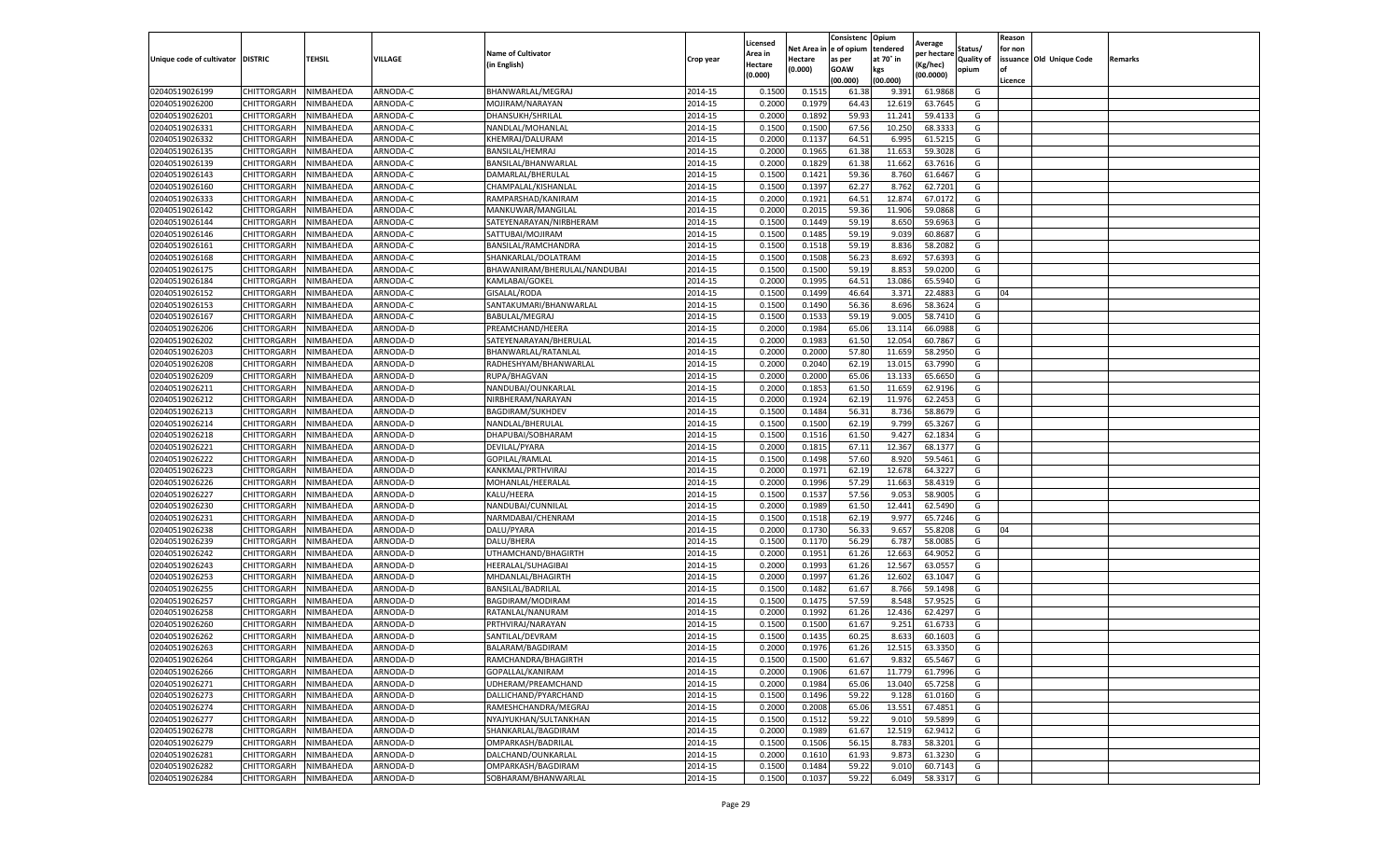|                                   |                    |                        |                 |                              |           | Licensed |         | Consistenc             | Opium     |                        |                   | Reason  |                          |                |
|-----------------------------------|--------------------|------------------------|-----------------|------------------------------|-----------|----------|---------|------------------------|-----------|------------------------|-------------------|---------|--------------------------|----------------|
|                                   |                    |                        |                 | <b>Name of Cultivator</b>    |           | Area in  |         | Net Area in e of opium | tendered  | Average<br>per hectare | Status/           | for non |                          |                |
| Unique code of cultivator DISTRIC |                    | TEHSIL                 | VILLAGE         | in English)                  | Crop year | Hectare  | Hectare | as per                 | at 70° in | (Kg/hec                | <b>Quality of</b> |         | issuance Old Unique Code | <b>Remarks</b> |
|                                   |                    |                        |                 |                              |           | (0.000)  | (0.000) | <b>GOAW</b>            | kgs       | (00.0000)              | opium             |         |                          |                |
|                                   |                    |                        |                 |                              |           |          |         | (00.000)               | (00.000)  |                        |                   | Licence |                          |                |
| 02040519026199                    | CHITTORGARH        | NIMBAHEDA              | ARNODA-C        | BHANWARLAL/MEGRAJ            | 2014-15   | 0.1500   | 0.1515  | 61.38                  | 9.391     | 61.9868                | G                 |         |                          |                |
| 02040519026200                    | CHITTORGARH        | NIMBAHEDA              | ARNODA-C        | MOJIRAM/NARAYAN              | 2014-15   | 0.2000   | 0.1979  | 64.43                  | 12.61     | 63.7645                | G                 |         |                          |                |
| 02040519026201                    | CHITTORGARH        | NIMBAHEDA              | ARNODA-C        | DHANSUKH/SHRILAL             | 2014-15   | 0.2000   | 0.1892  | 59.93                  | 11.241    | 59.4133                | G                 |         |                          |                |
| 02040519026331                    | CHITTORGARH        | NIMBAHEDA              | ARNODA-C        | NANDLAL/MOHANLAL             | 2014-15   | 0.1500   | 0.1500  | 67.56                  | 10.250    | 68.3333                | G                 |         |                          |                |
| 02040519026332                    | CHITTORGARH        | NIMBAHEDA              | ARNODA-C        | KHEMRAJ/DALURAM              | 2014-15   | 0.2000   | 0.1137  | 64.51                  | 6.995     | 61.5215                | G                 |         |                          |                |
| 02040519026135                    | CHITTORGARH        | NIMBAHEDA              | <b>ARNODA-C</b> | BANSILAL/HEMRAJ              | 2014-15   | 0.2000   | 0.1965  | 61.38                  | 11.65     | 59.3028                | G                 |         |                          |                |
| 02040519026139                    | CHITTORGARH        | NIMBAHEDA              | ARNODA-C        | BANSILAL/BHANWARLAL          | 2014-15   | 0.2000   | 0.1829  | 61.38                  | 11.662    | 63.7616                | G                 |         |                          |                |
| 02040519026143                    | CHITTORGARH        | NIMBAHEDA              | ARNODA-C        | DAMARLAL/BHERULAL            | 2014-15   | 0.1500   | 0.1421  | 59.36                  | 8.760     | 61.6467                | G                 |         |                          |                |
| 02040519026160                    | CHITTORGARH        | NIMBAHEDA              | ARNODA-C        | CHAMPALAL/KISHANLAL          | 2014-15   | 0.1500   | 0.1397  | 62.27                  | 8.762     | 62.7201                | G                 |         |                          |                |
| 02040519026333                    | CHITTORGARH        | NIMBAHEDA              | ARNODA-C        | RAMPARSHAD/KANIRAM           | 2014-15   | 0.2000   | 0.1921  | 64.51                  | 12.874    | 67.0172                | G                 |         |                          |                |
| 02040519026142                    | CHITTORGARH        | NIMBAHEDA              | ARNODA-C        | MANKUWAR/MANGILAL            | 2014-15   | 0.2000   | 0.2015  | 59.36                  | 11.906    | 59.0868                | G                 |         |                          |                |
| 02040519026144                    | CHITTORGARH        | NIMBAHEDA              | ARNODA-C        | SATEYENARAYAN/NIRBHERAM      | 2014-15   | 0.1500   | 0.1449  | 59.19                  | 8.65      | 59.6963                | G                 |         |                          |                |
| 02040519026146                    | CHITTORGARH        | NIMBAHEDA              | ARNODA-C        | SATTUBAI/MOJIRAM             | 2014-15   | 0.1500   | 0.1485  | 59.19                  | 9.039     | 60.868                 | G                 |         |                          |                |
| 02040519026161                    | CHITTORGARH        | NIMBAHEDA              | ARNODA-C        | BANSILAL/RAMCHANDRA          | 2014-15   | 0.1500   | 0.1518  | 59.19                  | 8.836     | 58.2082                | G                 |         |                          |                |
| 02040519026168                    | CHITTORGARH        | NIMBAHEDA              | ARNODA-C        | SHANKARLAL/DOLATRAM          | 2014-15   | 0.1500   | 0.1508  | 56.23                  | 8.692     | 57.6393                | G                 |         |                          |                |
| 02040519026175                    | CHITTORGARH        | NIMBAHEDA              | ARNODA-C        | BHAWANIRAM/BHERULAL/NANDUBAI | 2014-15   | 0.1500   | 0.1500  | 59.19                  | 8.853     | 59.0200                | G                 |         |                          |                |
| 02040519026184                    | CHITTORGARH        | NIMBAHEDA              | ARNODA-C        | KAMLABAI/GOKEL               | 2014-15   | 0.2000   | 0.1995  | 64.51                  | 13.086    | 65.5940                | G                 |         |                          |                |
| 02040519026152                    | CHITTORGARH        | NIMBAHEDA              | ARNODA-C        | GISALAL/RODA                 | 2014-15   | 0.1500   | 0.1499  | 46.64                  | 3.371     | 22.488                 | G                 | 04      |                          |                |
| 02040519026153                    | CHITTORGARH        | NIMBAHEDA              | ARNODA-C        | SANTAKUMARI/BHANWARLAI       | 2014-15   | 0.1500   | 0.1490  | 56.36                  | 8.696     | 58.3624                | G                 |         |                          |                |
| 02040519026167                    | CHITTORGARH        | NIMBAHEDA              | ARNODA-C        | BABULAL/MEGRAJ               | 2014-15   | 0.1500   | 0.1533  | 59.19                  | 9.005     | 58.7410                | G                 |         |                          |                |
| 02040519026206                    | CHITTORGARH        | NIMBAHEDA              | ARNODA-D        | PREAMCHAND/HEERA             | 2014-15   | 0.2000   | 0.1984  | 65.06                  | 13.114    | 66.0988                | G                 |         |                          |                |
| 02040519026202                    | CHITTORGARH        | NIMBAHEDA              | ARNODA-D        | SATEYENARAYAN/BHERULAL       | 2014-15   | 0.2000   | 0.1983  | 61.50                  | 12.054    | 60.7867                | G                 |         |                          |                |
| 02040519026203                    | CHITTORGARH        | NIMBAHEDA              | ARNODA-D        | BHANWARLAL/RATANLAL          | 2014-15   | 0.2000   | 0.2000  | 57.80                  | 11.659    | 58.2950                | G                 |         |                          |                |
| 02040519026208                    | CHITTORGARH        | NIMBAHEDA              | ARNODA-D        | RADHESHYAM/BHANWARLAL        | 2014-15   | 0.2000   | 0.2040  | 62.19                  | 13.015    | 63.7990                | G                 |         |                          |                |
| 02040519026209                    | CHITTORGARH        | NIMBAHEDA              | ARNODA-D        | RUPA/BHAGVAN                 | 2014-15   | 0.2000   | 0.2000  | 65.06                  | 13.13     | 65.6650                | G                 |         |                          |                |
| 02040519026211                    |                    | NIMBAHEDA              | ARNODA-D        |                              |           |          |         |                        |           |                        | G                 |         |                          |                |
|                                   | CHITTORGARH        |                        |                 | NANDUBAI/OUNKARLAL           | 2014-15   | 0.2000   | 0.1853  | 61.50                  | 11.659    | 62.9196                |                   |         |                          |                |
| 02040519026212                    | CHITTORGARH        | NIMBAHEDA<br>NIMBAHEDA | ARNODA-D        | NIRBHERAM/NARAYAN            | 2014-15   | 0.2000   | 0.1924  | 62.19                  | 11.976    | 62.2453                | G                 |         |                          |                |
| 02040519026213                    | CHITTORGARH        |                        | ARNODA-D        | BAGDIRAM/SUKHDEV             | 2014-15   | 0.1500   | 0.1484  | 56.31                  | 8.736     | 58.8679                | G                 |         |                          |                |
| 02040519026214                    | CHITTORGARH        | NIMBAHEDA              | ARNODA-D        | NANDLAL/BHERULAL             | 2014-15   | 0.1500   | 0.1500  | 62.19                  | 9.799     | 65.3267                | G                 |         |                          |                |
| 02040519026218                    | CHITTORGARH        | NIMBAHEDA              | ARNODA-D        | DHAPUBAI/SOBHARAM            | 2014-15   | 0.1500   | 0.1516  | 61.50                  | 9.427     | 62.1834                | G                 |         |                          |                |
| 02040519026221                    | CHITTORGARH        | NIMBAHEDA              | ARNODA-D        | DEVILAL/PYARA                | 2014-15   | 0.2000   | 0.1815  | 67.11                  | 12.367    | 68.1377                | G                 |         |                          |                |
| 02040519026222                    | CHITTORGARH        | NIMBAHEDA              | ARNODA-D        | GOPILAL/RAMLAL               | 2014-15   | 0.1500   | 0.1498  | 57.60                  | 8.920     | 59.5461                | G                 |         |                          |                |
| 02040519026223                    | CHITTORGARH        | NIMBAHEDA              | ARNODA-D        | KANKMAL/PRTHVIRAJ            | 2014-15   | 0.2000   | 0.1971  | 62.19                  | 12.67     | 64.3227                | G                 |         |                          |                |
| 02040519026226                    | CHITTORGARH        | NIMBAHEDA              | ARNODA-D        | MOHANLAL/HEERALAL            | 2014-15   | 0.2000   | 0.1996  | 57.29                  | 11.663    | 58.4319                | G                 |         |                          |                |
| 02040519026227                    | CHITTORGARH        | NIMBAHEDA              | ARNODA-D        | KALU/HEERA                   | 2014-15   | 0.1500   | 0.1537  | 57.56                  | 9.053     | 58.9005                | G                 |         |                          |                |
| 02040519026230                    | CHITTORGARH        | NIMBAHEDA              | ARNODA-D        | NANDUBAI/CUNNILAL            | 2014-15   | 0.2000   | 0.1989  | 61.50                  | 12.441    | 62.5490                | G                 |         |                          |                |
| 02040519026231                    | CHITTORGARH        | NIMBAHEDA              | ARNODA-D        | NARMDABAI/CHENRAM            | 2014-15   | 0.1500   | 0.1518  | 62.19                  | 9.977     | 65.7246                | G                 |         |                          |                |
| 02040519026238                    | CHITTORGARH        | NIMBAHEDA              | ARNODA-D        | DALU/PYARA                   | 2014-15   | 0.2000   | 0.1730  | 56.33                  | 9.65      | 55.8208                | G                 | 04      |                          |                |
| 02040519026239                    | CHITTORGARH        | NIMBAHEDA              | ARNODA-D        | DALU/BHERA                   | 2014-15   | 0.1500   | 0.1170  | 56.29                  | 6.787     | 58.0085                | G                 |         |                          |                |
| 02040519026242                    | CHITTORGARH        | NIMBAHEDA              | ARNODA-D        | UTHAMCHAND/BHAGIRTH          | 2014-15   | 0.2000   | 0.1951  | 61.26                  | 12.663    | 64.9052                | G                 |         |                          |                |
| 02040519026243                    | CHITTORGARH        | NIMBAHEDA              | ARNODA-D        | HEERALAL/SUHAGIBAI           | 2014-15   | 0.2000   | 0.1993  | 61.26                  | 12.567    | 63.0557                | G                 |         |                          |                |
| 02040519026253                    | CHITTORGARH        | NIMBAHEDA              | ARNODA-D        | MHDANLAL/BHAGIRTH            | 2014-15   | 0.2000   | 0.1997  | 61.26                  | 12.602    | 63.1047                | G                 |         |                          |                |
| 02040519026255                    | CHITTORGARH        | NIMBAHEDA              | ARNODA-D        | BANSILAL/BADRILAL            | 2014-15   | 0.1500   | 0.1482  | 61.67                  | 8.766     | 59.1498                | G                 |         |                          |                |
| 02040519026257                    | CHITTORGARH        | NIMBAHEDA              | ARNODA-D        | BAGDIRAM/MODIRAM             | 2014-15   | 0.1500   | 0.1475  | 57.59                  | 8.548     | 57.9525                | G                 |         |                          |                |
| 02040519026258                    | CHITTORGARH        | NIMBAHEDA              | ARNODA-D        | RATANLAL/NANURAM             | 2014-15   | 0.2000   | 0.1992  | 61.26                  | 12.436    | 62.4297                | G                 |         |                          |                |
| 02040519026260                    | CHITTORGARH        | NIMBAHEDA              | ARNODA-D        | PRTHVIRAJ/NARAYAN            | 2014-15   | 0.1500   | 0.1500  | 61.67                  | 9.251     | 61.6733                | G                 |         |                          |                |
| 02040519026262                    | CHITTORGARH        | NIMBAHEDA              | ARNODA-D        | SANTILAL/DEVRAM              | 2014-15   | 0.1500   | 0.1435  | 60.25                  | 8.633     | 60.1603                | G                 |         |                          |                |
| 02040519026263                    | CHITTORGARH        | NIMBAHEDA              | ARNODA-D        | BALARAM/BAGDIRAM             | 2014-15   | 0.2000   | 0.1976  | 61.26                  | 12.515    | 63.3350                | G                 |         |                          |                |
| 02040519026264                    | CHITTORGARH        | NIMBAHEDA              | ARNODA-D        | RAMCHANDRA/BHAGIRTH          | 2014-15   | 0.1500   | 0.1500  | 61.67                  | 9.832     | 65.5467                | G                 |         |                          |                |
| 02040519026266                    | CHITTORGARH        | NIMBAHEDA              | ARNODA-D        | GOPALLAL/KANIRAM             | 2014-15   | 0.2000   | 0.1906  | 61.67                  | 11.779    | 61.7996                | G                 |         |                          |                |
| 02040519026271                    | CHITTORGARH        | NIMBAHEDA              | ARNODA-D        | UDHERAM/PREAMCHAND           | 2014-15   | 0.2000   | 0.1984  | 65.06                  | 13.040    | 65.7258                | G                 |         |                          |                |
| 02040519026273                    | CHITTORGARH        | NIMBAHEDA              | ARNODA-D        | DALLICHAND/PYARCHAND         | 2014-15   | 0.1500   | 0.1496  | 59.22                  | 9.128     | 61.0160                | G                 |         |                          |                |
| 02040519026274                    | CHITTORGARH        | NIMBAHEDA              | ARNODA-D        | RAMESHCHANDRA/MEGRAJ         | 2014-15   | 0.2000   | 0.2008  | 65.06                  | 13.551    | 67.4851                | G                 |         |                          |                |
| 02040519026277                    | <b>CHITTORGARH</b> | NIMBAHEDA              | ARNODA-D        | NYAJYUKHAN/SULTANKHAN        | 2014-15   | 0.1500   | 0.1512  | 59.22                  | 9.010     | 59.5899                | G                 |         |                          |                |
| 02040519026278                    | CHITTORGARH        | NIMBAHEDA              | ARNODA-D        | SHANKARLAL/BAGDIRAM          | 2014-15   | 0.2000   | 0.1989  | 61.67                  | 12.519    | 62.9412                | G                 |         |                          |                |
| 02040519026279                    | CHITTORGARH        | NIMBAHEDA              | ARNODA-D        | OMPARKASH/BADRILAL           | 2014-15   | 0.1500   | 0.1506  | 56.15                  | 8.783     | 58.3201                | G                 |         |                          |                |
| 02040519026281                    | CHITTORGARH        | NIMBAHEDA              | ARNODA-D        | DALCHAND/OUNKARLAL           | 2014-15   | 0.2000   | 0.1610  | 61.93                  | 9.873     | 61.3230                | G                 |         |                          |                |
| 02040519026282                    | CHITTORGARH        | NIMBAHEDA              | ARNODA-D        | OMPARKASH/BAGDIRAM           | 2014-15   | 0.1500   | 0.1484  | 59.22                  | 9.010     | 60.7143                | G                 |         |                          |                |
| 02040519026284                    | <b>CHITTORGARH</b> | NIMBAHEDA              | ARNODA-D        | SOBHARAM/BHANWARLAL          | 2014-15   | 0.1500   | 0.1037  | 59.22                  | 6.049     | 58.3317                | G                 |         |                          |                |
|                                   |                    |                        |                 |                              |           |          |         |                        |           |                        |                   |         |                          |                |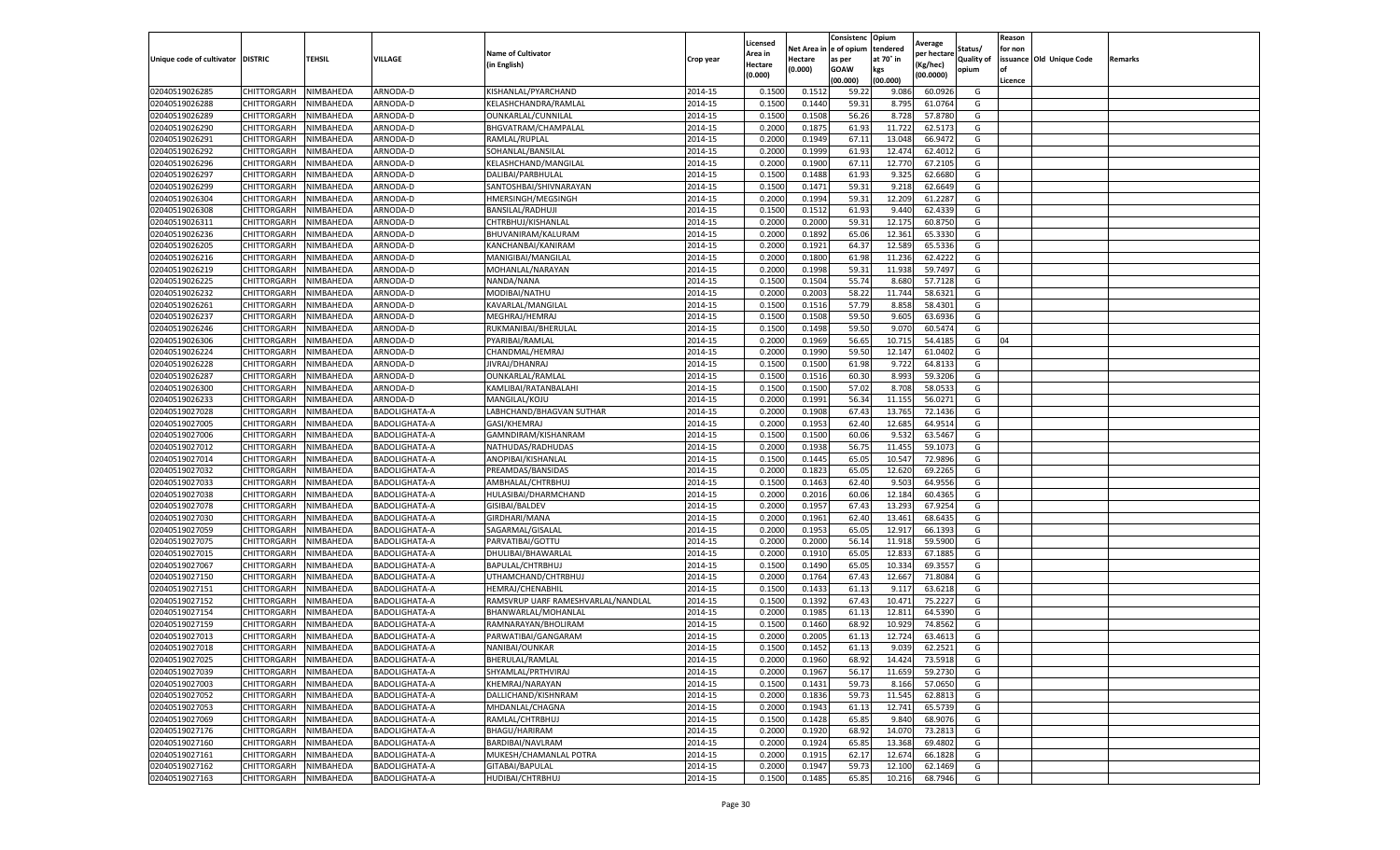|                           |                       |           |                      |                                    |           | Licensed |         | Consistenc             | Opium     | Average     |                   | Reason  |                          |                |
|---------------------------|-----------------------|-----------|----------------------|------------------------------------|-----------|----------|---------|------------------------|-----------|-------------|-------------------|---------|--------------------------|----------------|
|                           |                       |           |                      | <b>Name of Cultivator</b>          |           | Area in  |         | Net Area in e of opium | tendered  | per hectare | Status/           | for non |                          |                |
| Unique code of cultivator | <b>DISTRIC</b>        | TEHSIL    | VILLAGE              | in English)                        | Crop year | Hectare  | Hectare | as per                 | at 70° in | (Kg/hec     | <b>Quality of</b> |         | issuance Old Unique Code | <b>Remarks</b> |
|                           |                       |           |                      |                                    |           | (0.000)  | (0.000) | <b>GOAW</b>            | kgs       | (00.0000)   | opium             |         |                          |                |
|                           |                       |           |                      |                                    |           |          |         | (00.000)               | (00.000)  |             |                   | Licence |                          |                |
| 02040519026285            | CHITTORGARH           | NIMBAHEDA | ARNODA-D             | KISHANLAL/PYARCHAND                | 2014-15   | 0.1500   | 0.1512  | 59.22                  | 9.086     | 60.0926     | G                 |         |                          |                |
| 02040519026288            | CHITTORGARH           | NIMBAHEDA | ARNODA-D             | KELASHCHANDRA/RAMLAI               | 2014-15   | 0.1500   | 0.1440  | 59.31                  | 8.795     | 61.0764     | G                 |         |                          |                |
| 02040519026289            | CHITTORGARH           | NIMBAHEDA | ARNODA-D             | OUNKARLAL/CUNNILAL                 | 2014-15   | 0.1500   | 0.1508  | 56.26                  | 8.728     | 57.8780     | G                 |         |                          |                |
| 02040519026290            | CHITTORGARH           | NIMBAHEDA | ARNODA-D             | BHGVATRAM/CHAMPALAL                | 2014-15   | 0.2000   | 0.1875  | 61.93                  | 11.722    | 62.5173     | G                 |         |                          |                |
| 02040519026291            | CHITTORGARH           | NIMBAHEDA | ARNODA-D             | RAMLAL/RUPLAL                      | 2014-15   | 0.2000   | 0.1949  | 67.11                  | 13.048    | 66.9472     | G                 |         |                          |                |
| 02040519026292            | CHITTORGARH           | NIMBAHEDA | ARNODA-D             | SOHANLAL/BANSILAL                  | 2014-15   | 0.2000   | 0.1999  | 61.93                  | 12.47     | 62.4012     | G                 |         |                          |                |
| 02040519026296            | CHITTORGARH           | NIMBAHEDA | ARNODA-D             | KELASHCHAND/MANGILAL               | 2014-15   | 0.2000   | 0.1900  | 67.11                  | 12.770    | 67.2105     | G                 |         |                          |                |
| 02040519026297            | CHITTORGARH           | NIMBAHEDA | ARNODA-D             | DALIBAI/PARBHULAL                  | 2014-15   | 0.1500   | 0.1488  | 61.93                  | 9.325     | 62.6680     | G                 |         |                          |                |
| 02040519026299            | CHITTORGARH           | NIMBAHEDA | ARNODA-D             | SANTOSHBAI/SHIVNARAYAN             | 2014-15   | 0.1500   | 0.1471  | 59.31                  | 9.218     | 62.6649     | G                 |         |                          |                |
| 02040519026304            | CHITTORGARH           | NIMBAHEDA | ARNODA-D             | <b>HMERSINGH/MEGSINGH</b>          | 2014-15   | 0.2000   | 0.1994  | 59.31                  | 12.209    | 61.2287     | G                 |         |                          |                |
| 02040519026308            | CHITTORGARH           | NIMBAHEDA | ARNODA-D             | BANSILAL/RADHUJI                   | 2014-15   | 0.1500   | 0.1512  | 61.93                  | 9.440     | 62.4339     | G                 |         |                          |                |
| 02040519026311            | CHITTORGARH           | NIMBAHEDA | ARNODA-D             | CHTRBHUJ/KISHANLAL                 | 2014-15   | 0.2000   | 0.2000  | 59.31                  | 12.175    | 60.8750     | G                 |         |                          |                |
| 02040519026236            | CHITTORGARH           | NIMBAHEDA | ARNODA-D             | BHUVANIRAM/KALURAM                 | 2014-15   | 0.2000   | 0.1892  | 65.06                  | 12.361    | 65.3330     | G                 |         |                          |                |
| 02040519026205            | CHITTORGARH           | NIMBAHEDA | ARNODA-D             | KANCHANBAI/KANIRAM                 | 2014-15   | 0.2000   | 0.1921  | 64.37                  | 12.589    | 65.5336     | G                 |         |                          |                |
| 02040519026216            | CHITTORGARH           | NIMBAHEDA | ARNODA-D             | MANIGIBAI/MANGILAL                 | 2014-15   | 0.2000   | 0.1800  | 61.98                  | 11.236    | 62.4222     | G                 |         |                          |                |
| 02040519026219            | CHITTORGARH           | NIMBAHEDA | ARNODA-D             | MOHANLAL/NARAYAN                   | 2014-15   | 0.2000   | 0.1998  | 59.31                  | 11.938    | 59.7497     | G                 |         |                          |                |
| 02040519026225            | CHITTORGARH           | NIMBAHEDA | ARNODA-D             | NANDA/NANA                         | 2014-15   | 0.1500   | 0.1504  | 55.74                  | 8.680     | 57.7128     | G                 |         |                          |                |
| 02040519026232            | CHITTORGARH           | NIMBAHEDA | ARNODA-D             | MODIBAI/NATHU                      | 2014-15   | 0.2000   | 0.2003  | 58.22                  | 11.744    | 58.6321     | G                 |         |                          |                |
| 02040519026261            | CHITTORGARH           | NIMBAHEDA | ARNODA-D             | KAVARLAL/MANGILAL                  | 2014-15   | 0.1500   | 0.1516  | 57.79                  | 8.85      | 58.4301     | G                 |         |                          |                |
| 02040519026237            | CHITTORGARH           | NIMBAHEDA | ARNODA-D             | MEGHRAJ/HEMRAJ                     | 2014-15   | 0.1500   | 0.1508  | 59.50                  | 9.605     | 63.6936     | G                 |         |                          |                |
| 02040519026246            | CHITTORGARH           | NIMBAHEDA | ARNODA-D             | RUKMANIBAI/BHERULAL                | 2014-15   | 0.1500   | 0.1498  | 59.50                  | 9.070     | 60.5474     | G                 |         |                          |                |
| 02040519026306            | CHITTORGARH           | NIMBAHEDA | ARNODA-D             | PYARIBAI/RAMLAL                    | 2014-15   | 0.2000   | 0.1969  | 56.65                  | 10.71     | 54.4185     | G                 | 04      |                          |                |
| 02040519026224            | CHITTORGARH           | NIMBAHEDA | ARNODA-D             | CHANDMAL/HEMRAJ                    | 2014-15   | 0.2000   | 0.1990  | 59.50                  | 12.147    | 61.0402     | G                 |         |                          |                |
| 02040519026228            | CHITTORGARH           | NIMBAHEDA | ARNODA-D             | JIVRAJ/DHANRAJ                     | 2014-15   | 0.1500   | 0.1500  | 61.98                  | 9.722     | 64.8133     | G                 |         |                          |                |
| 02040519026287            | CHITTORGARH           | NIMBAHEDA | ARNODA-D             | OUNKARLAL/RAMLAL                   | 2014-15   | 0.1500   | 0.1516  | 60.30                  | 8.993     | 59.3206     | G                 |         |                          |                |
| 02040519026300            | CHITTORGARH           | NIMBAHEDA | ARNODA-D             | KAMLIBAI/RATANBALAHI               | 2014-15   | 0.1500   | 0.1500  | 57.02                  | 8.708     | 58.0533     | G                 |         |                          |                |
| 02040519026233            | CHITTORGARH           | NIMBAHEDA | ARNODA-D             | MANGILAL/KOJU                      | 2014-15   | 0.2000   | 0.1991  | 56.34                  | 11.155    | 56.0271     | G                 |         |                          |                |
| 02040519027028            | CHITTORGARH           | NIMBAHEDA | BADOLIGHATA-A        | LABHCHAND/BHAGVAN SUTHAR           | 2014-15   | 0.2000   | 0.1908  | 67.43                  | 13.765    | 72.1436     | G                 |         |                          |                |
| 02040519027005            | CHITTORGARH           | NIMBAHEDA | BADOLIGHATA-A        | GASI/KHEMRAJ                       | 2014-15   | 0.2000   | 0.1953  | 62.40                  | 12.685    | 64.9514     | G                 |         |                          |                |
| 02040519027006            | CHITTORGARH           | NIMBAHEDA | BADOLIGHATA-A        | GAMNDIRAM/KISHANRAM                | 2014-15   | 0.1500   | 0.1500  | 60.06                  | 9.532     | 63.5467     | G                 |         |                          |                |
| 02040519027012            | CHITTORGARH           | NIMBAHEDA | BADOLIGHATA-A        | NATHUDAS/RADHUDAS                  | 2014-15   | 0.2000   | 0.1938  | 56.7                   | 11.45     | 59.107      | G                 |         |                          |                |
| 02040519027014            | CHITTORGARH           | NIMBAHEDA | BADOLIGHATA-A        | ANOPIBAI/KISHANLAI                 | 2014-15   | 0.1500   | 0.1445  | 65.05                  | 10.547    | 72.9896     | G                 |         |                          |                |
| 02040519027032            | CHITTORGARH           | NIMBAHEDA | BADOLIGHATA-A        | PREAMDAS/BANSIDAS                  | 2014-15   | 0.2000   | 0.1823  | 65.05                  | 12.62     | 69.2265     | G                 |         |                          |                |
| 02040519027033            | CHITTORGARH           | NIMBAHEDA | BADOLIGHATA-A        | AMBHALAL/CHTRBHUJ                  | 2014-15   | 0.1500   | 0.1463  | 62.40                  | 9.503     | 64.9556     | G                 |         |                          |                |
| 02040519027038            | CHITTORGARH           | NIMBAHEDA | <b>BADOLIGHATA-A</b> | HULASIBAI/DHARMCHAND               | 2014-15   | 0.2000   | 0.2016  | 60.06                  | 12.184    | 60.4365     | G                 |         |                          |                |
| 02040519027078            | CHITTORGARH           | NIMBAHEDA | BADOLIGHATA-A        | GISIBAI/BALDEV                     | 2014-15   | 0.2000   | 0.1957  | 67.43                  | 13.293    | 67.9254     | G                 |         |                          |                |
| 02040519027030            | CHITTORGARH           | NIMBAHEDA | BADOLIGHATA-A        | GIRDHARI/MANA                      | 2014-15   | 0.2000   | 0.1961  | 62.40                  | 13.461    | 68.6435     | G                 |         |                          |                |
| 02040519027059            | CHITTORGARH           | NIMBAHEDA | BADOLIGHATA-A        | SAGARMAL/GISALAL                   | 2014-15   | 0.2000   | 0.1953  | 65.05                  | 12.917    | 66.1393     | G                 |         |                          |                |
| 02040519027075            | CHITTORGARH           | NIMBAHEDA | <b>BADOLIGHATA-A</b> | PARVATIBAI/GOTTU                   | 2014-15   | 0.2000   | 0.2000  | 56.14                  | 11.91     | 59.5900     | G                 |         |                          |                |
| 02040519027015            | CHITTORGARH           | NIMBAHEDA | BADOLIGHATA-A        | DHULIBAI/BHAWARLAL                 | 2014-15   | 0.2000   | 0.1910  | 65.05                  | 12.833    | 67.1885     | G                 |         |                          |                |
| 02040519027067            | CHITTORGARH           | NIMBAHEDA | BADOLIGHATA-A        | BAPULAL/CHTRBHUJ                   | 2014-15   | 0.1500   | 0.1490  | 65.05                  | 10.334    | 69.3557     | G                 |         |                          |                |
| 02040519027150            | CHITTORGARH           | NIMBAHEDA | BADOLIGHATA-A        | UTHAMCHAND/CHTRBHUJ                | 2014-15   | 0.2000   | 0.1764  | 67.43                  | 12.667    | 71.8084     | G                 |         |                          |                |
| 02040519027151            | CHITTORGARH           | NIMBAHEDA | BADOLIGHATA-A        | HEMRAJ/CHENABHIL                   | 2014-15   | 0.1500   | 0.1433  | 61.13                  | 9.11      | 63.6218     | G                 |         |                          |                |
| 02040519027152            | CHITTORGARH           | NIMBAHEDA | BADOLIGHATA-A        | RAMSVRUP UARF RAMESHVARLAL/NANDLAL | 2014-15   | 0.1500   | 0.1392  | 67.43                  | 10.47     | 75.2227     | G                 |         |                          |                |
| 02040519027154            | CHITTORGARH           | NIMBAHEDA | BADOLIGHATA-A        | BHANWARLAL/MOHANLAI                | 2014-15   | 0.2000   | 0.1985  | 61.13                  | 12.81     | 64.5390     | G                 |         |                          |                |
| 02040519027159            | CHITTORGARH           | NIMBAHEDA | BADOLIGHATA-A        | RAMNARAYAN/BHOLIRAM                | 2014-15   | 0.1500   | 0.1460  | 68.92                  | 10.929    | 74.8562     | G                 |         |                          |                |
| 02040519027013            | CHITTORGARH           | NIMBAHEDA | BADOLIGHATA-A        | PARWATIBAI/GANGARAM                | 2014-15   | 0.2000   | 0.2005  | 61.13                  | 12.724    | 63.4613     | G                 |         |                          |                |
| 02040519027018            | CHITTORGARH           | NIMBAHEDA | BADOLIGHATA-A        | NANIBAI/OUNKAR                     | 2014-15   | 0.1500   | 0.1452  | 61.13                  | 9.039     | 62.2521     | G                 |         |                          |                |
| 02040519027025            | CHITTORGARH NIMBAHEDA |           | <b>BADOLIGHATA-A</b> | BHERULAL/RAMLAL                    | 2014-15   | 0.2000   | 0.1960  | 68.92                  | 14.424    | 73.5918     | G                 |         |                          |                |
| 02040519027039            | CHITTORGARH           | NIMBAHEDA | BADOLIGHATA-A        | SHYAMLAL/PRTHVIRAJ                 | 2014-15   | 0.2000   | 0.1967  | 56.17                  | 11.659    | 59.2730     | G                 |         |                          |                |
| 02040519027003            | <b>CHITTORGARH</b>    | NIMBAHEDA | BADOLIGHATA-A        | KHEMRAJ/NARAYAN                    | 2014-15   | 0.1500   | 0.1431  | 59.73                  | 8.166     | 57.0650     | G                 |         |                          |                |
| 02040519027052            | CHITTORGARH           | NIMBAHEDA | <b>BADOLIGHATA-A</b> | DALLICHAND/KISHNRAM                | 2014-15   | 0.2000   | 0.1836  | 59.73                  | 11.545    | 62.8813     | G                 |         |                          |                |
| 02040519027053            | <b>CHITTORGARH</b>    | NIMBAHEDA | BADOLIGHATA-A        | MHDANLAL/CHAGNA                    | 2014-15   | 0.2000   | 0.1943  | 61.13                  | 12.741    | 65.5739     | G                 |         |                          |                |
| 02040519027069            | <b>CHITTORGARH</b>    | NIMBAHEDA | BADOLIGHATA-A        | RAMLAL/CHTRBHUJ                    | 2014-15   | 0.1500   | 0.1428  | 65.85                  | 9.840     | 68.9076     | G                 |         |                          |                |
| 02040519027176            | CHITTORGARH           | NIMBAHEDA | BADOLIGHATA-A        | BHAGU/HARIRAM                      | 2014-15   | 0.2000   | 0.1920  | 68.92                  | 14.07     | 73.2813     | G                 |         |                          |                |
| 02040519027160            | CHITTORGARH           | NIMBAHEDA | BADOLIGHATA-A        | BARDIBAI/NAVLRAM                   | 2014-15   | 0.2000   | 0.1924  | 65.85                  | 13.368    | 69.4802     | G                 |         |                          |                |
| 02040519027161            | CHITTORGARH           | NIMBAHEDA | BADOLIGHATA-A        | MUKESH/CHAMANLAL POTRA             | 2014-15   | 0.2000   | 0.1915  | 62.17                  | 12.674    | 66.1828     | G                 |         |                          |                |
| 02040519027162            | CHITTORGARH           | NIMBAHEDA | BADOLIGHATA-A        | GITABAI/BAPULAL                    | 2014-15   | 0.2000   | 0.1947  | 59.73                  | 12.100    | 62.1469     | G                 |         |                          |                |
| 02040519027163            | <b>CHITTORGARH</b>    | NIMBAHEDA | BADOLIGHATA-A        | HUDIBAI/CHTRBHUJ                   | 2014-15   | 0.1500   | 0.1485  | 65.85                  | 10.216    | 68.7946     | G                 |         |                          |                |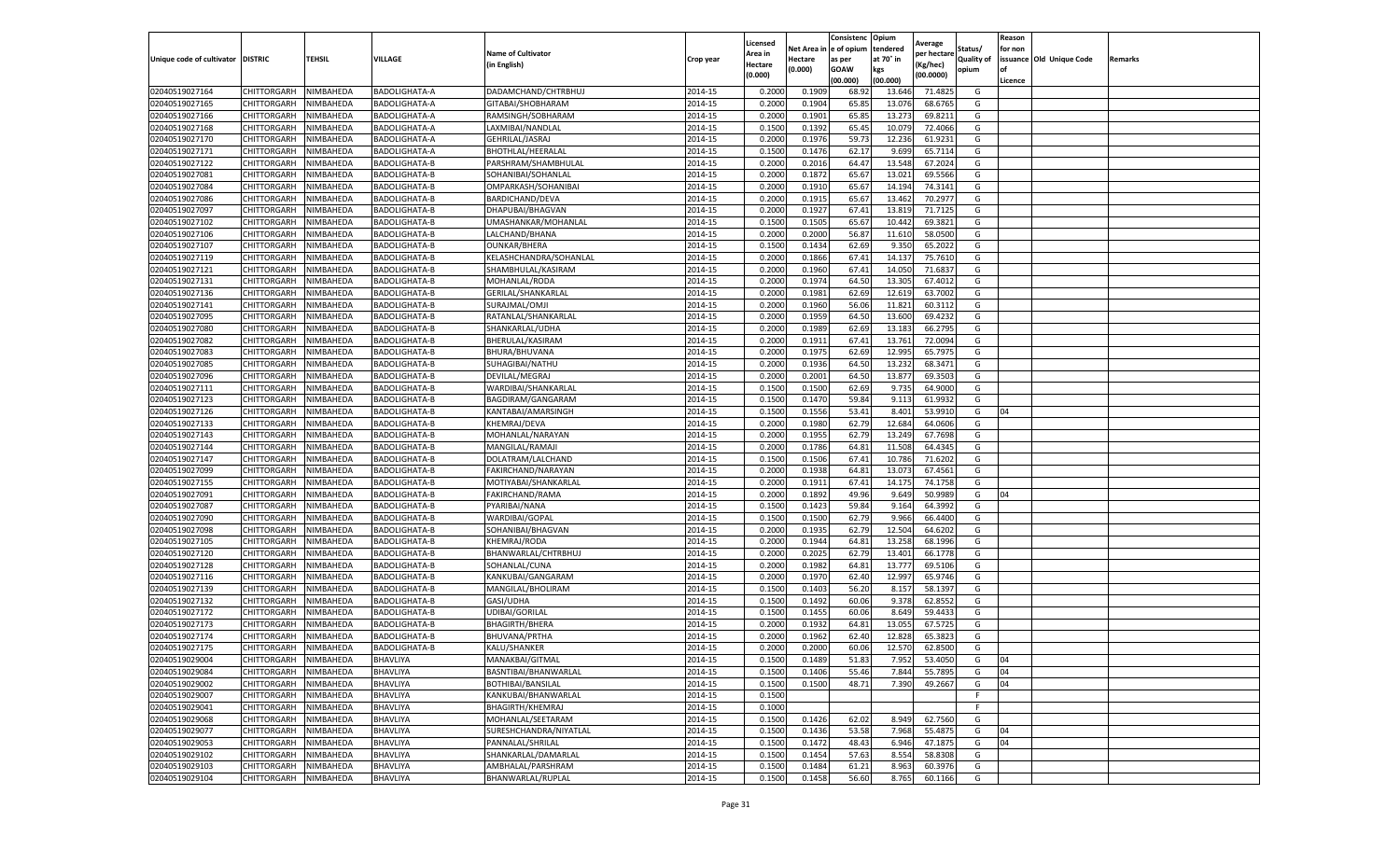|                                   |                       |                        |                      |                                            |                    | Licensed         |                  | Consistenc             | Opium     |                        |                   | Reason   |                          |                |
|-----------------------------------|-----------------------|------------------------|----------------------|--------------------------------------------|--------------------|------------------|------------------|------------------------|-----------|------------------------|-------------------|----------|--------------------------|----------------|
|                                   |                       |                        |                      | <b>Name of Cultivator</b>                  |                    | Area in          |                  | Net Area in e of opium | tendered  | Average<br>per hectare | Status/           | for non  |                          |                |
| Unique code of cultivator DISTRIC |                       | TEHSIL                 | VILLAGE              | in English)                                | Crop year          | Hectare          | Hectare          | as per                 | at 70° in | (Kg/hec                | <b>Quality of</b> |          | issuance Old Unique Code | <b>Remarks</b> |
|                                   |                       |                        |                      |                                            |                    | (0.000)          | (0.000)          | <b>GOAW</b>            | kgs       | (00.0000)              | opium             |          |                          |                |
|                                   |                       |                        |                      |                                            |                    |                  |                  | (00.000)               | (00.000)  |                        |                   | Licence  |                          |                |
| 02040519027164                    | CHITTORGARH           | NIMBAHEDA              | <b>BADOLIGHATA-A</b> | DADAMCHAND/CHTRBHUJ                        | 2014-15            | 0.2000           | 0.1909           | 68.92                  | 13.64     | 71.4825                | G                 |          |                          |                |
| 02040519027165                    | CHITTORGARH           | NIMBAHEDA              | <b>BADOLIGHATA-A</b> | GITABAI/SHOBHARAM                          | 2014-15            | 0.2000           | 0.1904           | 65.85                  | 13.07     | 68.6765                | G                 |          |                          |                |
| 02040519027166                    | CHITTORGARH           | NIMBAHEDA              | BADOLIGHATA-A        | RAMSINGH/SOBHARAM                          | 2014-15            | 0.2000           | 0.1901           | 65.85                  | 13.27     | 69.8211                | G                 |          |                          |                |
| 02040519027168                    | CHITTORGARH           | NIMBAHEDA              | BADOLIGHATA-A        | LAXMIBAI/NANDLAL                           | 2014-15            | 0.1500           | 0.1392           | 65.45                  | 10.079    | 72.4066                | G                 |          |                          |                |
| 02040519027170                    | CHITTORGARH           | NIMBAHEDA              | BADOLIGHATA-A        | GEHRILAL/JASRAJ                            | 2014-15            | 0.2000           | 0.1976           | 59.73                  | 12.236    | 61.9231                | G                 |          |                          |                |
| 02040519027171                    | CHITTORGARH           | NIMBAHEDA              | BADOLIGHATA-A        | <b>BHOTHLAL/HEERALAL</b>                   | 2014-15            | 0.1500           | 0.1476           | 62.17                  | 9.699     | 65.7114                | G                 |          |                          |                |
| 02040519027122                    | CHITTORGARH           | NIMBAHEDA              | BADOLIGHATA-B        | PARSHRAM/SHAMBHULAL                        | 2014-15            | 0.2000           | 0.2016           | 64.47                  | 13.548    | 67.2024                | G                 |          |                          |                |
| 02040519027081                    | CHITTORGARH           | NIMBAHEDA              | <b>BADOLIGHATA-B</b> | SOHANIBAI/SOHANLAL                         | 2014-15            | 0.2000           | 0.1872           | 65.67                  | 13.02     | 69.5566                | G                 |          |                          |                |
| 02040519027084                    | CHITTORGARH           | NIMBAHEDA              | BADOLIGHATA-B        | OMPARKASH/SOHANIBAI                        | 2014-15            | 0.2000           | 0.1910           | 65.67                  | 14.194    | 74.3141                | G                 |          |                          |                |
| 02040519027086                    | CHITTORGARH           | NIMBAHEDA              | BADOLIGHATA-B        | BARDICHAND/DEVA                            | 2014-15            | 0.2000           | 0.1915           | 65.67                  | 13.462    | 70.2977                | G                 |          |                          |                |
| 02040519027097                    | CHITTORGARH           | NIMBAHEDA              | BADOLIGHATA-B        | DHAPUBAI/BHAGVAN                           | 2014-15            | 0.2000           | 0.1927           | 67.41                  | 13.819    | 71.7125                | G                 |          |                          |                |
| 02040519027102                    | CHITTORGARH           | NIMBAHEDA              | BADOLIGHATA-B        | UMASHANKAR/MOHANLAL                        | 2014-15            | 0.1500           | 0.1505           | 65.67                  | 10.44     | 69.3821                | G                 |          |                          |                |
| 02040519027106                    | CHITTORGARH           | NIMBAHEDA              | BADOLIGHATA-B        | LALCHAND/BHANA                             | 2014-15            | 0.2000           | 0.2000           | 56.87                  | 11.61     | 58.0500                | G                 |          |                          |                |
| 02040519027107                    | CHITTORGARH           | NIMBAHEDA              | BADOLIGHATA-B        | <b>OUNKAR/BHERA</b>                        | 2014-15            | 0.1500           | 0.1434           | 62.69                  | 9.35      | 65.2022                | G                 |          |                          |                |
| 02040519027119                    | CHITTORGARH           | NIMBAHEDA              | BADOLIGHATA-B        | KELASHCHANDRA/SOHANLAL                     | 2014-15            | 0.2000           | 0.1866           | 67.41                  | 14.13     | 75.7610                | G                 |          |                          |                |
| 02040519027121                    | CHITTORGARH           | NIMBAHEDA              | BADOLIGHATA-B        | SHAMBHULAL/KASIRAM                         | 2014-15            | 0.2000           | 0.1960           | 67.41                  | 14.050    | 71.6837                | G                 |          |                          |                |
| 02040519027131                    | CHITTORGARH           | NIMBAHEDA              | BADOLIGHATA-B        | MOHANLAL/RODA                              | 2014-15            | 0.2000           | 0.1974           | 64.50                  | 13.305    | 67.4012                | G                 |          |                          |                |
| 02040519027136                    | CHITTORGARH           | NIMBAHEDA              | BADOLIGHATA-B        | GERILAL/SHANKARLAL                         | 2014-15            | 0.2000           | 0.1981           | 62.69                  | 12.619    | 63.7002                | G                 |          |                          |                |
| 02040519027141                    | CHITTORGARH           | NIMBAHEDA              | <b>BADOLIGHATA-B</b> | SURAJMAL/OMJI                              | 2014-15            | 0.2000           | 0.1960           | 56.06                  | 11.821    | 60.3112                | G                 |          |                          |                |
| 02040519027095                    | CHITTORGARH           | NIMBAHEDA              | BADOLIGHATA-B        | RATANLAL/SHANKARLAL                        | 2014-15            | 0.2000           | 0.1959           | 64.50                  | 13.600    | 69.4232                | G                 |          |                          |                |
| 02040519027080                    | CHITTORGARH           | NIMBAHEDA              | BADOLIGHATA-B        | SHANKARLAL/UDHA                            | 2014-15            | 0.2000           | 0.1989           | 62.69                  | 13.183    | 66.2795                | G                 |          |                          |                |
| 02040519027082                    | CHITTORGARH           | NIMBAHEDA              | BADOLIGHATA-B        | BHERULAL/KASIRAM                           | 2014-15            | 0.2000           | 0.1911           | 67.41                  | 13.761    | 72.0094                | G                 |          |                          |                |
| 02040519027083                    | CHITTORGARH           | NIMBAHEDA              | BADOLIGHATA-B        | BHURA/BHUVANA                              | 2014-15            | 0.2000           | 0.1975           | 62.69                  | 12.995    | 65.7975                | G                 |          |                          |                |
| 02040519027085                    | CHITTORGARH           | NIMBAHEDA              | BADOLIGHATA-B        | SUHAGIBAI/NATHU                            | 2014-15            | 0.2000           | 0.1936           | 64.50                  | 13.232    | 68.3471                | G                 |          |                          |                |
| 02040519027096                    | CHITTORGARH           | NIMBAHEDA              | BADOLIGHATA-B        | DEVILAL/MEGRAJ                             | 2014-15            | 0.2000           | 0.2001           | 64.50                  | 13.87     | 69.3503                | G                 |          |                          |                |
| 02040519027111                    | CHITTORGARH           | NIMBAHEDA              | <b>BADOLIGHATA-B</b> | WARDIBAI/SHANKARLAL                        | 2014-15            | 0.1500           | 0.1500           | 62.69                  | 9.735     | 64.9000                | G                 |          |                          |                |
| 02040519027123                    | CHITTORGARH           | NIMBAHEDA              | <b>BADOLIGHATA-B</b> | BAGDIRAM/GANGARAM                          | 2014-15            | 0.1500           | 0.1470           | 59.84                  | 9.113     | 61.9932                | G                 |          |                          |                |
| 02040519027126                    | CHITTORGARH           | NIMBAHEDA              | BADOLIGHATA-B        | KANTABAI/AMARSINGH                         | 2014-15            | 0.1500           | 0.1556           | 53.41                  | 8.401     | 53.9910                | G                 | 04       |                          |                |
| 02040519027133                    | CHITTORGARH           | NIMBAHEDA              | BADOLIGHATA-B        | KHEMRAJ/DEVA                               | 2014-15            | 0.2000           | 0.1980           | 62.79                  | 12.684    | 64.0606                | G                 |          |                          |                |
| 02040519027143                    | CHITTORGARH           | NIMBAHEDA              | BADOLIGHATA-B        | MOHANLAL/NARAYAN                           | 2014-15            | 0.2000           | 0.1955           | 62.79                  | 13.249    | 67.7698                | G                 |          |                          |                |
| 02040519027144                    | CHITTORGARH           | NIMBAHEDA              | BADOLIGHATA-B        | MANGILAL/RAMAJ                             | 2014-15            | 0.2000           | 0.1786           | 64.81                  | 11.50     | 64.4345                | G                 |          |                          |                |
| 02040519027147                    | CHITTORGARH           | NIMBAHEDA              | BADOLIGHATA-B        | DOLATRAM/LALCHAND                          | 2014-15            | 0.1500           | 0.1506           | 67.41                  | 10.786    | 71.6202                | G                 |          |                          |                |
| 02040519027099                    | CHITTORGARH           | NIMBAHEDA              | <b>BADOLIGHATA-B</b> | FAKIRCHAND/NARAYAN                         | 2014-15            | 0.2000           | 0.1938           | 64.81                  | 13.07     | 67.4561                | G                 |          |                          |                |
| 02040519027155                    | CHITTORGARH           | NIMBAHEDA              | BADOLIGHATA-B        | MOTIYABAI/SHANKARLAL                       | 2014-15            | 0.2000           | 0.1911           | 67.41                  | 14.175    | 74.1758                | G                 |          |                          |                |
| 02040519027091                    | CHITTORGARH           | NIMBAHEDA              | <b>BADOLIGHATA-B</b> | FAKIRCHAND/RAMA                            | 2014-15            | 0.2000           | 0.1892           | 49.96                  | 9.649     | 50.9989                | G                 | 04       |                          |                |
| 02040519027087                    | CHITTORGARH           | NIMBAHEDA              | BADOLIGHATA-B        | PYARIBAI/NANA                              | 2014-15            | 0.1500           | 0.1423           | 59.84                  | 9.164     | 64.3992                | G                 |          |                          |                |
| 02040519027090                    | CHITTORGARH           | NIMBAHEDA              | BADOLIGHATA-B        | WARDIBAI/GOPAL                             | 2014-15            | 0.1500           | 0.1500           | 62.79                  | 9.966     | 66.4400                | G                 |          |                          |                |
| 02040519027098                    | CHITTORGARH           | NIMBAHEDA              | BADOLIGHATA-B        | SOHANIBAI/BHAGVAN                          | 2014-15            | 0.2000           | 0.1935           | 62.79                  | 12.504    | 64.6202                | G                 |          |                          |                |
| 02040519027105                    | CHITTORGARH           | NIMBAHEDA              | <b>BADOLIGHATA-B</b> | KHEMRAJ/RODA                               | 2014-15            | 0.2000           | 0.1944           | 64.81                  | 13.258    | 68.1996                | G                 |          |                          |                |
| 02040519027120                    | CHITTORGARH           | NIMBAHEDA              | BADOLIGHATA-B        | BHANWARLAL/CHTRBHUJ                        | 2014-15            | 0.2000           | 0.2025           | 62.79                  | 13.401    | 66.1778                | G                 |          |                          |                |
| 02040519027128                    | CHITTORGARH           | NIMBAHEDA              | BADOLIGHATA-B        | SOHANLAL/CUNA                              | 2014-15            | 0.2000           | 0.1982           | 64.81                  | 13.777    | 69.5106                | G                 |          |                          |                |
| 02040519027116                    | CHITTORGARH           | NIMBAHEDA              | BADOLIGHATA-B        | KANKUBAI/GANGARAM                          | 2014-15            | 0.2000           | 0.1970           | 62.40                  | 12.997    | 65.9746                | G                 |          |                          |                |
| 02040519027139                    | CHITTORGARH           | NIMBAHEDA              | BADOLIGHATA-B        | MANGILAL/BHOLIRAM                          | 2014-15            | 0.1500           | 0.1403           | 56.20                  | 8.15      | 58.1397                | G                 |          |                          |                |
| 02040519027132                    | CHITTORGARH           | NIMBAHEDA              | BADOLIGHATA-B        | GASI/UDHA                                  | 2014-15            | 0.1500           | 0.1492           | 60.06                  | 9.37      | 62.8552                | G                 |          |                          |                |
| 02040519027172                    | CHITTORGARH           | NIMBAHEDA              | BADOLIGHATA-B        | UDIBAI/GORILAL                             | 2014-15            | 0.1500           | 0.1455           | 60.06                  | 8.649     | 59.4433                | G                 |          |                          |                |
| 02040519027173                    | CHITTORGARH           | NIMBAHEDA              | <b>BADOLIGHATA-B</b> | <b>BHAGIRTH/BHERA</b>                      | 2014-15            | 0.2000           | 0.1932           | 64.81                  | 13.055    | 67.5725                | G                 |          |                          |                |
| 02040519027174                    | CHITTORGARH           | NIMBAHEDA              | BADOLIGHATA-B        | BHUVANA/PRTHA                              | 2014-15            | 0.2000           | 0.1962           | 62.40                  | 12.82     | 65.3823                | G                 |          |                          |                |
| 02040519027175                    | CHITTORGARH           | NIMBAHEDA              | BADOLIGHATA-B        | KALU/SHANKER                               | 2014-15            | 0.2000           | 0.2000           | 60.06                  | 12.570    | 62.8500                | G                 |          |                          |                |
| 02040519029004                    | CHITTORGARH NIMBAHEDA |                        | BHAVLIYA             | MANAKBAI/GITMAL                            | 2014-15            | 0.1500           | 0.1489           | 51.83                  | 7.952     | 53.4050                | G                 | 04       |                          |                |
| 02040519029084                    | CHITTORGARH           | NIMBAHEDA              | BHAVLIYA             | BASNTIBAI/BHANWARLAL                       | 2014-15            | 0.1500           | 0.1406           | 55.46                  | 7.844     | 55.7895                | G                 | 04       |                          |                |
| 02040519029002                    | <b>CHITTORGARH</b>    | NIMBAHEDA              | BHAVLIYA             | BOTHIBAI/BANSILAL                          | 2014-15            | 0.1500           | 0.1500           | 48.71                  | 7.390     | 49.2667                | G                 | 04       |                          |                |
|                                   |                       |                        |                      | KANKUBAI/BHANWARLAL                        |                    |                  |                  |                        |           |                        | F                 |          |                          |                |
| 02040519029007<br>02040519029041  | CHITTORGARH           | NIMBAHEDA<br>NIMBAHEDA | BHAVLIYA<br>BHAVLIYA | BHAGIRTH/KHEMRAJ                           | 2014-15<br>2014-15 | 0.1500<br>0.1000 |                  |                        |           |                        | F.                |          |                          |                |
| 02040519029068                    | <b>CHITTORGARH</b>    |                        |                      | MOHANLAL/SEETARAM                          |                    |                  | 0.1426           |                        |           |                        | G                 |          |                          |                |
|                                   | <b>CHITTORGARH</b>    | NIMBAHEDA              | BHAVLIYA             |                                            | 2014-15            | 0.1500           |                  | 62.02                  | 8.949     | 62.7560                |                   |          |                          |                |
| 02040519029077                    | CHITTORGARH           | NIMBAHEDA              | BHAVLIYA             | SURESHCHANDRA/NIYATLAL<br>PANNALAL/SHRILAL | 2014-15            | 0.1500           | 0.1436           | 53.58                  | 7.968     | 55.4875                | G                 | 04<br>04 |                          |                |
| 02040519029053                    | CHITTORGARH           | NIMBAHEDA              | BHAVLIYA             |                                            | 2014-15            | 0.1500           | 0.1472<br>0.1454 | 48.43                  | 6.946     | 47.1875                | G<br>G            |          |                          |                |
| 02040519029102                    | CHITTORGARH           | NIMBAHEDA              | BHAVLIYA             | SHANKARLAL/DAMARLAL                        | 2014-15            | 0.1500           |                  | 57.63                  | 8.554     | 58.8308                |                   |          |                          |                |
| 02040519029103                    | CHITTORGARH           | NIMBAHEDA              | BHAVLIYA             | AMBHALAL/PARSHRAM                          | 2014-15            | 0.1500           | 0.1484           | 61.21                  | 8.963     | 60.3976                | G                 |          |                          |                |
| 02040519029104                    | <b>CHITTORGARH</b>    | NIMBAHEDA              | BHAVLIYA             | BHANWARLAL/RUPLAL                          | 2014-15            | 0.1500           | 0.1458           | 56.60                  | 8.765     | 60.1166                | G                 |          |                          |                |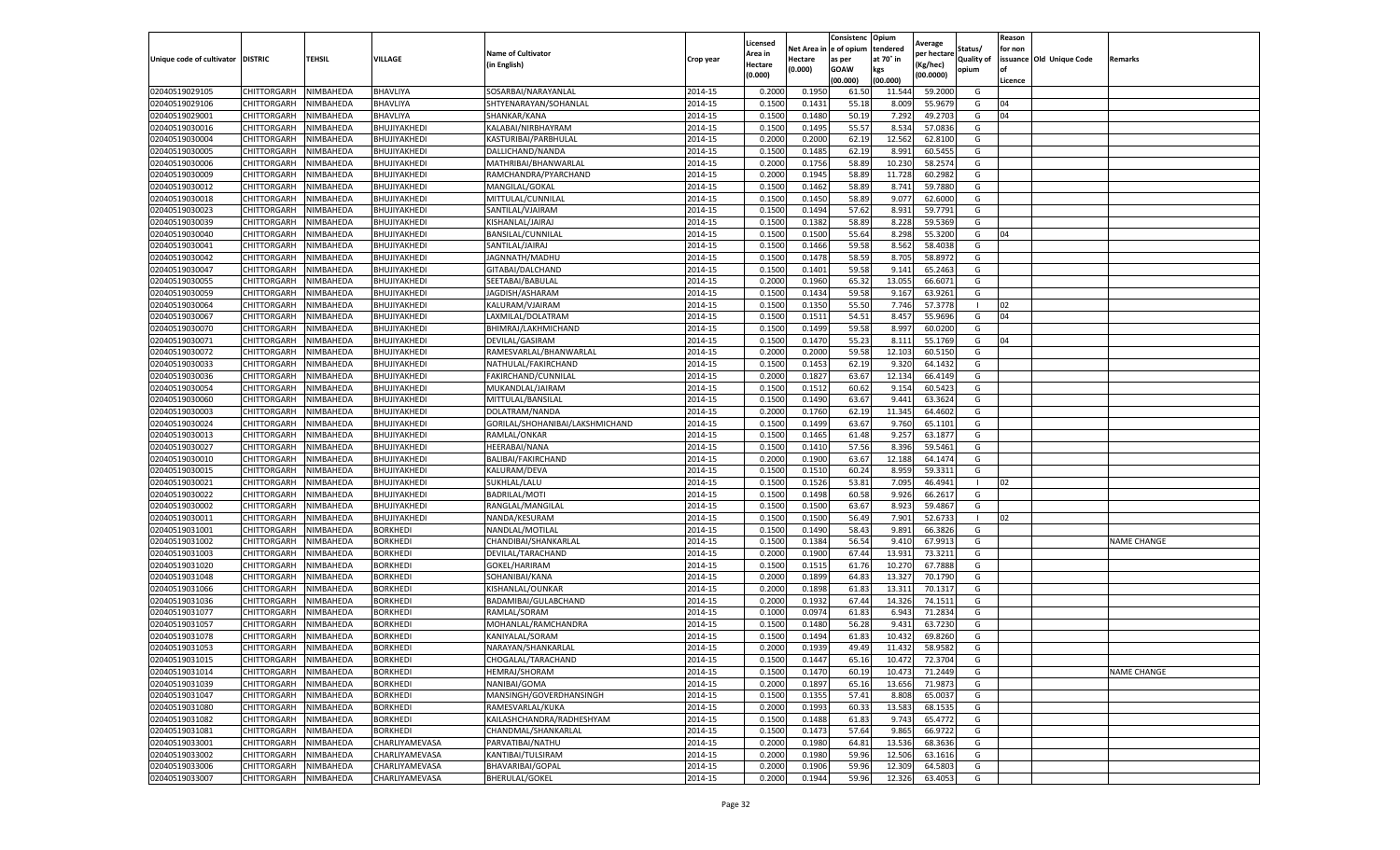|                           |                |               |                 | <b>Name of Cultivator</b>       |           | Licensed           | Net Area i | Consistenc<br>e of opium | Opium<br>tendered | Average                 | Status/           | Reason<br>for non |                          |                    |
|---------------------------|----------------|---------------|-----------------|---------------------------------|-----------|--------------------|------------|--------------------------|-------------------|-------------------------|-------------------|-------------------|--------------------------|--------------------|
| Unique code of cultivator | <b>DISTRIC</b> | <b>TEHSIL</b> | VILLAGE         | (in English)                    | Crop year | \rea in<br>Hectare | Hectare    | as per                   | at 70° in         | per hectare<br>(Kg/hec) | <b>Quality of</b> |                   | issuance Old Unique Code | Remarks            |
|                           |                |               |                 |                                 |           | (0.000)            | 0.000)     | <b>GOAW</b><br>(00.000)  | kgs<br>(00.000)   | (00.0000)               | opium             | of<br>Licence     |                          |                    |
| 02040519029105            | CHITTORGARH    | NIMBAHEDA     | BHAVLIYA        | SOSARBAI/NARAYANLAL             | 2014-15   | 0.200              | 0.1950     | 61.50                    | 11.544            | 59.2000                 | G                 |                   |                          |                    |
| 02040519029106            | CHITTORGARH    | NIMBAHEDA     | BHAVLIYA        | SHTYENARAYAN/SOHANLAL           | 2014-15   | 0.1500             | 0.1431     | 55.18                    | 8.009             | 55.9679                 | G                 | 04                |                          |                    |
| 02040519029001            | CHITTORGARH    | NIMBAHEDA     | BHAVLIYA        | SHANKAR/KANA                    | 2014-15   | 0.1500             | 0.1480     | 50.19                    | 7.292             | 49.2703                 | G                 | 04                |                          |                    |
| 02040519030016            | CHITTORGARH    | NIMBAHEDA     | BHUJIYAKHEDI    | KALABAI/NIRBHAYRAM              | 2014-15   | 0.1500             | 0.1495     | 55.57                    | 8.534             | 57.0836                 | G                 |                   |                          |                    |
| 02040519030004            | CHITTORGARH    | NIMBAHEDA     | BHUJIYAKHEDI    | KASTURIBAI/PARBHULAL            | 2014-15   | 0.2000             | 0.2000     | 62.19                    | 12.562            | 62.8100                 | G                 |                   |                          |                    |
| 02040519030005            | CHITTORGARH    | NIMBAHEDA     | BHUJIYAKHEDI    | DALLICHAND/NANDA                | 2014-15   | 0.1500             | 0.1485     | 62.19                    | 8.991             | 60.5455                 | G                 |                   |                          |                    |
| 02040519030006            | CHITTORGARH    | NIMBAHEDA     | BHUJIYAKHEDI    | MATHRIBAI/BHANWARLAL            | 2014-15   | 0.2000             | 0.1756     | 58.89                    | 10.23             | 58.257                  | G                 |                   |                          |                    |
| 02040519030009            | CHITTORGARH    | NIMBAHEDA     | BHUJIYAKHEDI    | RAMCHANDRA/PYARCHAND            | 2014-15   | 0.2000             | 0.1945     | 58.89                    | 11.728            | 60.2982                 | G                 |                   |                          |                    |
| 02040519030012            | CHITTORGARH    | NIMBAHEDA     | BHUJIYAKHEDI    | MANGILAL/GOKAL                  | 2014-15   | 0.1500             | 0.1462     | 58.89                    | 8.741             | 59.7880                 | G                 |                   |                          |                    |
| 02040519030018            | CHITTORGARH    | NIMBAHEDA     | BHUJIYAKHEDI    | MITTULAL/CUNNILAL               | 2014-15   | 0.1500             | 0.1450     | 58.89                    | 9.077             | 62.6000                 | G                 |                   |                          |                    |
| 02040519030023            | CHITTORGARH    | NIMBAHEDA     | BHUJIYAKHEDI    | SANTILAL/VJAIRAM                | 2014-15   | 0.1500             | 0.1494     | 57.62                    | 8.931             | 59.7791                 | G                 |                   |                          |                    |
| 02040519030039            | CHITTORGARH    | NIMBAHEDA     | BHUJIYAKHEDI    | KISHANLAL/JAIRAJ                | 2014-15   | 0.1500             | 0.1382     | 58.89                    | 8.228             | 59.5369                 | G                 |                   |                          |                    |
| 02040519030040            | CHITTORGARH    | NIMBAHEDA     | BHUJIYAKHEDI    | BANSILAL/CUNNILAL               | 2014-15   | 0.1500             | 0.1500     | 55.64                    | 8.298             | 55.3200                 | G                 | 04                |                          |                    |
| 02040519030041            | CHITTORGARH    | NIMBAHEDA     | BHUJIYAKHEDI    | SANTILAL/JAIRAJ                 | 2014-15   | 0.1500             | 0.1466     | 59.58                    | 8.562             | 58.4038                 | G                 |                   |                          |                    |
| 02040519030042            | CHITTORGARH    | NIMBAHEDA     | BHUJIYAKHEDI    | JAGNNATH/MADHU                  | 2014-15   | 0.1500             | 0.1478     | 58.59                    | 8.705             | 58.8972                 | G                 |                   |                          |                    |
| 02040519030047            | CHITTORGARH    | NIMBAHEDA     | BHUJIYAKHEDI    | GITABAI/DALCHAND                | 2014-15   | 0.1500             | 0.1401     | 59.58                    | 9.141             | 65.2463                 | G                 |                   |                          |                    |
| 02040519030055            | CHITTORGARH    | NIMBAHEDA     | BHUJIYAKHEDI    | SEETABAI/BABULAL                | 2014-15   | 0.2000             | 0.1960     | 65.32                    | 13.055            | 66.6071                 | G                 |                   |                          |                    |
| 02040519030059            | CHITTORGARH    | NIMBAHEDA     | BHUJIYAKHEDI    | JAGDISH/ASHARAM                 | 2014-15   | 0.1500             | 0.1434     | 59.58                    | 9.167             | 63.9261                 | G                 |                   |                          |                    |
| 02040519030064            | CHITTORGARH    | NIMBAHEDA     | BHUJIYAKHEDI    | KALURAM/VJAIRAM                 | 2014-15   | 0.1500             | 0.1350     | 55.50                    | 7.746             | 57.3778                 |                   | 02                |                          |                    |
| 02040519030067            | CHITTORGARH    | NIMBAHEDA     | BHUJIYAKHEDI    | LAXMILAL/DOLATRAM               | 2014-15   | 0.1500             | 0.1511     | 54.51                    | 8.457             | 55.9696                 | G                 | 04                |                          |                    |
| 02040519030070            | CHITTORGARH    | NIMBAHEDA     | BHUJIYAKHEDI    | BHIMRAJ/LAKHMICHAND             | 2014-15   | 0.1500             | 0.1499     | 59.58                    | 8.997             | 60.0200                 | G                 |                   |                          |                    |
| 02040519030071            | CHITTORGARH    | NIMBAHEDA     | BHUJIYAKHEDI    | DEVILAL/GASIRAM                 | 2014-15   | 0.1500             | 0.1470     | 55.23                    | 8.111             | 55.1769                 | G                 | 04                |                          |                    |
| 02040519030072            | CHITTORGARH    | NIMBAHEDA     | BHUJIYAKHEDI    | RAMESVARLAL/BHANWARLAL          | 2014-15   | 0.2000             | 0.2000     | 59.58                    | 12.103            | 60.5150                 | G                 |                   |                          |                    |
| 02040519030033            | CHITTORGARH    | NIMBAHEDA     | BHUJIYAKHEDI    | NATHULAL/FAKIRCHAND             | 2014-15   | 0.1500             | 0.1453     | 62.19                    | 9.320             | 64.1432                 | G                 |                   |                          |                    |
| 02040519030036            | CHITTORGARH    | NIMBAHEDA     | BHUJIYAKHEDI    | FAKIRCHAND/CUNNILAL             | 2014-15   | 0.2000             | 0.1827     | 63.67                    | 12.134            | 66.4149                 | G                 |                   |                          |                    |
| 02040519030054            | CHITTORGARH    | NIMBAHEDA     | BHUJIYAKHEDI    | MUKANDLAL/JAIRAM                | 2014-15   | 0.150              | 0.1512     | 60.62                    | 9.154             | 60.5423                 | G                 |                   |                          |                    |
| 02040519030060            | CHITTORGARH    | NIMBAHEDA     | BHUJIYAKHEDI    | MITTULAL/BANSILAL               | 2014-15   | 0.1500             | 0.1490     | 63.67                    | 9.441             | 63.3624                 | G                 |                   |                          |                    |
| 02040519030003            | CHITTORGARH    | NIMBAHEDA     | BHUJIYAKHEDI    | DOLATRAM/NANDA                  | 2014-15   | 0.2000             | 0.1760     | 62.19                    | 11.345            | 64.4602                 | G                 |                   |                          |                    |
| 02040519030024            | CHITTORGARH    | NIMBAHEDA     | BHUJIYAKHEDI    | GORILAL/SHOHANIBAI/LAKSHMICHAND | 2014-15   | 0.1500             | 0.1499     | 63.67                    | 9.760             | 65.1101                 | G                 |                   |                          |                    |
| 02040519030013            | CHITTORGARH    | NIMBAHEDA     | BHUJIYAKHEDI    | RAMLAL/ONKAR                    | 2014-15   | 0.1500             | 0.1465     | 61.48                    | 9.257             | 63.1877                 | G                 |                   |                          |                    |
| 02040519030027            | CHITTORGARH    | NIMBAHEDA     | BHUJIYAKHEDI    | HEERABAI/NANA                   | 2014-15   | 0.1500             | 0.1410     | 57.56                    | 8.396             | 59.5461                 | G                 |                   |                          |                    |
| 02040519030010            | CHITTORGARH    | NIMBAHEDA     | BHUJIYAKHEDI    | BALIBAI/FAKIRCHAND              | 2014-15   | 0.200              | 0.1900     | 63.67                    | 12.188            | 64.1474                 | G                 |                   |                          |                    |
| 02040519030015            | CHITTORGARH    | NIMBAHEDA     | BHUJIYAKHEDI    | KALURAM/DEVA                    | 2014-15   | 0.1500             | 0.1510     | 60.24                    | 8.959             | 59.3311                 | G                 |                   |                          |                    |
| 02040519030021            | CHITTORGARH    | NIMBAHEDA     | BHUJIYAKHEDI    | SUKHLAL/LALU                    | 2014-15   | 0.1500             | 0.1526     | 53.81                    | 7.095             | 46.4941                 | $\mathbf{I}$      | 02                |                          |                    |
| 02040519030022            | CHITTORGARH    | NIMBAHEDA     | BHUJIYAKHEDI    | BADRILAL/MOTI                   | 2014-15   | 0.1500             | 0.1498     | 60.58                    | 9.926             | 66.2617                 | G                 |                   |                          |                    |
| 02040519030002            | CHITTORGARH    | NIMBAHEDA     | BHUJIYAKHEDI    | RANGLAL/MANGILAL                | 2014-15   | 0.1500             | 0.1500     | 63.67                    | 8.923             | 59.4867                 | G                 |                   |                          |                    |
| 02040519030011            | CHITTORGARH    | NIMBAHEDA     | BHUJIYAKHEDI    | NANDA/KESURAM                   | 2014-15   | 0.1500             | 0.1500     | 56.49                    | 7.901             | 52.6733                 |                   | 02                |                          |                    |
| 02040519031001            | CHITTORGARH    | NIMBAHEDA     | <b>BORKHEDI</b> | NANDLAL/MOTILAL                 | 2014-15   | 0.1500             | 0.1490     | 58.43                    | 9.891             | 66.3826                 | G                 |                   |                          |                    |
| 02040519031002            | CHITTORGARH    | NIMBAHEDA     | <b>BORKHEDI</b> | CHANDIBAI/SHANKARLAL            | 2014-15   | 0.1500             | 0.1384     | 56.54                    | 9.410             | 67.9913                 | G                 |                   |                          | <b>NAME CHANGE</b> |
| 02040519031003            | CHITTORGARH    | NIMBAHEDA     | <b>BORKHEDI</b> | DEVILAL/TARACHAND               | 2014-15   | 0.2000             | 0.1900     | 67.44                    | 13.931            | 73.3211                 | G                 |                   |                          |                    |
| 02040519031020            | CHITTORGARH    | NIMBAHEDA     | <b>BORKHEDI</b> | GOKEL/HARIRAM                   | 2014-15   | 0.1500             | 0.1515     | 61.76                    | 10.270            | 67.7888                 | G                 |                   |                          |                    |
| 02040519031048            | CHITTORGARH    | NIMBAHEDA     | <b>BORKHEDI</b> | SOHANIBAI/KANA                  | 2014-15   | 0.2000             | 0.1899     | 64.83                    | 13.327            | 70.1790                 | G                 |                   |                          |                    |
| 02040519031066            | CHITTORGARH    | NIMBAHEDA     | <b>BORKHEDI</b> | KISHANLAL/OUNKAR                | 2014-15   | 0.2000             | 0.1898     | 61.83                    | 13.31             | 70.1317                 | G                 |                   |                          |                    |
| 02040519031036            | CHITTORGARH    | NIMBAHEDA     | <b>BORKHEDI</b> | BADAMIBAI/GULABCHAND            | 2014-15   | 0.2000             | 0.1932     | 67.44                    | 14.326            | 74.1511                 | G                 |                   |                          |                    |
| 02040519031077            | CHITTORGARH    | NIMBAHEDA     | <b>BORKHEDI</b> | RAMLAL/SORAM                    | 2014-15   | 0.100              | 0.0974     | 61.8                     | 6.943             | 71.2834                 | G                 |                   |                          |                    |
| 02040519031057            | CHITTORGARH    | NIMBAHEDA     | <b>BORKHEDI</b> | MOHANLAL/RAMCHANDRA             | 2014-15   | 0.1500             | 0.1480     | 56.28                    | 9.431             | 63.7230                 | G                 |                   |                          |                    |
| 02040519031078            | CHITTORGARH    | NIMBAHEDA     | <b>BORKHEDI</b> | KANIYALAL/SORAM                 | 2014-15   | 0.1500             | 0.1494     | 61.83                    | 10.432            | 69.8260                 | G                 |                   |                          |                    |
| 02040519031053            | CHITTORGARH    | NIMBAHEDA     | <b>BORKHEDI</b> | NARAYAN/SHANKARLAL              | 2014-15   | 0.2000             | 0.1939     | 49.49                    | 11.432            | 58.9582                 | G                 |                   |                          |                    |
| 02040519031015            | CHITTORGARH    | NIMBAHEDA     | BORKHEDI        | CHOGALAL/TARACHAND              | 2014-15   | 0.1500             | 0.1447     | 65.16                    | 10.472            | 72.3704                 | G                 |                   |                          |                    |
| 02040519031014            | CHITTORGARH    | NIMBAHEDA     | <b>BORKHEDI</b> | HEMRAJ/SHORAM                   | 2014-15   | 0.1500             | 0.1470     | 60.19                    | 10.473            | 71.2449                 | G                 |                   |                          | <b>NAME CHANGE</b> |
| 02040519031039            | CHITTORGARH    | NIMBAHEDA     | <b>BORKHEDI</b> | NANIBAI/GOMA                    | 2014-15   | 0.2000             | 0.1897     | 65.16                    | 13.656            | 71.9873                 | G                 |                   |                          |                    |
| 02040519031047            | CHITTORGARH    | NIMBAHEDA     | <b>BORKHEDI</b> | MANSINGH/GOVERDHANSINGH         | 2014-15   | 0.1500             | 0.1355     | 57.41                    | 8.808             | 65.0037                 | G                 |                   |                          |                    |
| 02040519031080            | CHITTORGARH    | NIMBAHEDA     | <b>BORKHEDI</b> | RAMESVARLAL/KUKA                | 2014-15   | 0.2000             | 0.1993     | 60.33                    | 13.583            | 68.1535                 | G                 |                   |                          |                    |
| 02040519031082            | CHITTORGARH    | NIMBAHEDA     | <b>BORKHEDI</b> | KAILASHCHANDRA/RADHESHYAM       | 2014-15   | 0.1500             | 0.1488     | 61.83                    | 9.743             | 65.4772                 | G                 |                   |                          |                    |
| 02040519031081            | CHITTORGARH    | NIMBAHEDA     | <b>BORKHEDI</b> | CHANDMAL/SHANKARLAL             | 2014-15   | 0.1500             | 0.1473     | 57.64                    | 9.865             | 66.9722                 | G                 |                   |                          |                    |
| 02040519033001            | CHITTORGARH    | NIMBAHEDA     | CHARLIYAMEVASA  | PARVATIBAI/NATHU                | 2014-15   | 0.2000             | 0.1980     | 64.81                    | 13.536            | 68.3636                 | G                 |                   |                          |                    |
| 02040519033002            | CHITTORGARH    | NIMBAHEDA     | CHARLIYAMEVASA  | KANTIBAI/TULSIRAM               | 2014-15   | 0.2000             | 0.1980     | 59.96                    | 12.506            | 63.1616                 | G                 |                   |                          |                    |
| 02040519033006            | CHITTORGARH    | NIMBAHEDA     | CHARLIYAMEVASA  | BHAVARIBAI/GOPAL                | 2014-15   | 0.2000             | 0.1906     | 59.96                    | 12.309            | 64.5803                 | G                 |                   |                          |                    |
| 02040519033007            | CHITTORGARH    | NIMBAHEDA     | CHARLIYAMEVASA  | <b>BHERULAL/GOKEL</b>           | 2014-15   | 0.2000             | 0.1944     | 59.96                    | 12.326            | 63.4053                 | G                 |                   |                          |                    |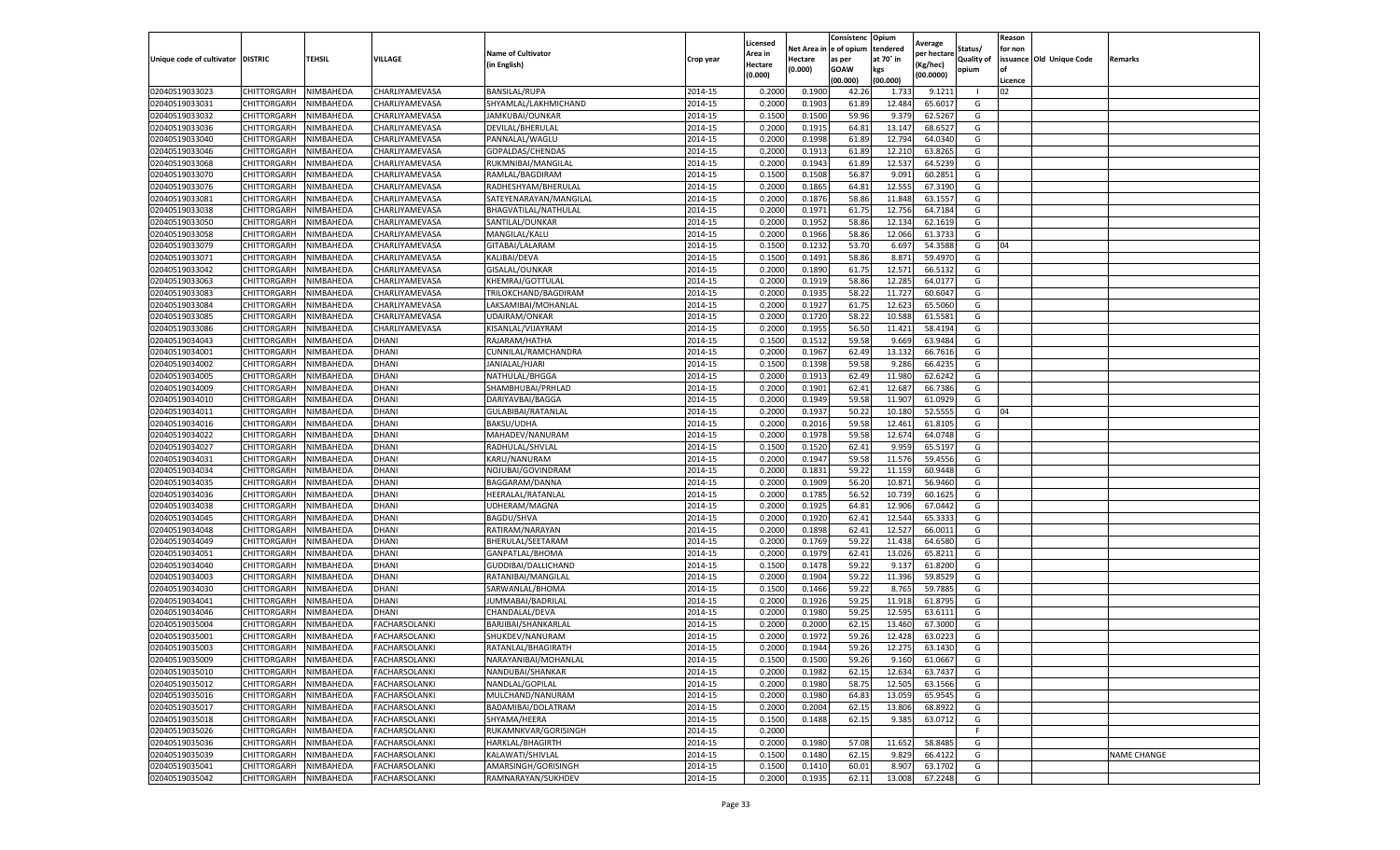|                                   |                       |           |                      |                           |           | Licensed |         | Consistenc             | Opium     |                        |                   | Reason  |                          |                    |
|-----------------------------------|-----------------------|-----------|----------------------|---------------------------|-----------|----------|---------|------------------------|-----------|------------------------|-------------------|---------|--------------------------|--------------------|
|                                   |                       |           |                      | <b>Name of Cultivator</b> |           | Area in  |         | Net Area in e of opium | tendered  | Average<br>per hectare | Status/           | for non |                          |                    |
| Unique code of cultivator DISTRIC |                       | TEHSIL    | VILLAGE              | in English)               | Crop year | Hectare  | Hectare | as per                 | at 70° in | (Kg/hec                | <b>Quality of</b> |         | issuance Old Unique Code | <b>Remarks</b>     |
|                                   |                       |           |                      |                           |           | (0.000)  | (0.000) | <b>GOAW</b>            | kgs       | (00.0000)              | opium             |         |                          |                    |
|                                   |                       |           |                      |                           |           |          |         | (00.000)               | (00.000)  |                        |                   | Licence |                          |                    |
| 02040519033023                    | CHITTORGARH           | NIMBAHEDA | CHARLIYAMEVASA       | <b>BANSILAL/RUPA</b>      | 2014-15   | 0.2000   | 0.1900  | 42.26                  | 1.733     | 9.1211                 |                   | 02      |                          |                    |
| 02040519033031                    | CHITTORGARH           | NIMBAHEDA | CHARLIYAMEVASA       | SHYAMLAL/LAKHMICHAND      | 2014-15   | 0.2000   | 0.1903  | 61.89                  | 12.484    | 65.6017                | G                 |         |                          |                    |
| 02040519033032                    | CHITTORGARH           | NIMBAHEDA | CHARLIYAMEVASA       | JAMKUBAI/OUNKAR           | 2014-15   | 0.1500   | 0.1500  | 59.96                  | 9.379     | 62.5267                | G                 |         |                          |                    |
| 02040519033036                    | CHITTORGARH           | NIMBAHEDA | CHARLIYAMEVASA       | DEVILAL/BHERULAL          | 2014-15   | 0.2000   | 0.1915  | 64.81                  | 13.147    | 68.6527                | G                 |         |                          |                    |
| 02040519033040                    | CHITTORGARH           | NIMBAHEDA | CHARLIYAMEVASA       | PANNALAL/WAGLU            | 2014-15   | 0.2000   | 0.1998  | 61.89                  | 12.794    | 64.0340                | G                 |         |                          |                    |
| 02040519033046                    | CHITTORGARH           | NIMBAHEDA | CHARLIYAMEVASA       | GOPALDAS/CHENDAS          | 2014-15   | 0.2000   | 0.1913  | 61.89                  | 12.21     | 63.8265                | G                 |         |                          |                    |
| 02040519033068                    | CHITTORGARH           | NIMBAHEDA | CHARLIYAMEVASA       | RUKMNIBAI/MANGILAL        | 2014-15   | 0.2000   | 0.1943  | 61.89                  | 12.537    | 64.5239                | G                 |         |                          |                    |
| 02040519033070                    | CHITTORGARH           | NIMBAHEDA | CHARLIYAMEVASA       | RAMLAL/BAGDIRAM           | 2014-15   | 0.1500   | 0.1508  | 56.87                  | 9.091     | 60.2851                | G                 |         |                          |                    |
| 02040519033076                    | CHITTORGARH           | NIMBAHEDA | CHARLIYAMEVASA       | RADHESHYAM/BHERULAL       | 2014-15   | 0.2000   | 0.1865  | 64.81                  | 12.555    | 67.3190                | G                 |         |                          |                    |
| 02040519033081                    | CHITTORGARH           | NIMBAHEDA | CHARLIYAMEVASA       | SATEYENARAYAN/MANGILAL    | 2014-15   | 0.2000   | 0.1876  | 58.86                  | 11.848    | 63.1557                | G                 |         |                          |                    |
| 02040519033038                    | CHITTORGARH           | NIMBAHEDA | CHARLIYAMEVASA       | BHAGVATILAL/NATHULAL      | 2014-15   | 0.2000   | 0.1971  | 61.75                  | 12.756    | 64.7184                | G                 |         |                          |                    |
| 02040519033050                    | CHITTORGARH           | NIMBAHEDA | CHARLIYAMEVASA       | SANTILAL/OUNKAR           | 2014-15   | 0.2000   | 0.1952  | 58.86                  | 12.13     | 62.1619                | G                 |         |                          |                    |
| 02040519033058                    | CHITTORGARH           | NIMBAHEDA | CHARLIYAMEVASA       | MANGILAL/KALU             | 2014-15   | 0.2000   | 0.1966  | 58.86                  | 12.066    | 61.3733                | G                 |         |                          |                    |
| 02040519033079                    | CHITTORGARH           | NIMBAHEDA | CHARLIYAMEVASA       | GITABAI/LALARAM           | 2014-15   | 0.1500   | 0.1232  | 53.70                  | 6.697     | 54.3588                | G                 | 04      |                          |                    |
| 02040519033071                    | CHITTORGARH           | NIMBAHEDA | CHARLIYAMEVASA       | KALIBAI/DEVA              | 2014-15   | 0.1500   | 0.1491  | 58.86                  | 8.871     | 59.4970                | G                 |         |                          |                    |
| 02040519033042                    | CHITTORGARH           | NIMBAHEDA | CHARLIYAMEVASA       | GISALAL/OUNKAR            | 2014-15   | 0.2000   | 0.1890  | 61.75                  | 12.57     | 66.5132                | G                 |         |                          |                    |
| 02040519033063                    | CHITTORGARH           | NIMBAHEDA | CHARLIYAMEVASA       | KHEMRAJ/GOTTULAL          | 2014-15   | 0.2000   | 0.1919  | 58.86                  | 12.285    | 64.0177                | G                 |         |                          |                    |
| 02040519033083                    | CHITTORGARH           | NIMBAHEDA | CHARLIYAMEVASA       | TRILOKCHAND/BAGDIRAM      | 2014-15   | 0.2000   | 0.1935  | 58.22                  | 11.727    | 60.6047                | G                 |         |                          |                    |
| 02040519033084                    | CHITTORGARH           | NIMBAHEDA | CHARLIYAMEVASA       | LAKSAMIBAI/MOHANLAL       | 2014-15   | 0.2000   | 0.1927  | 61.75                  | 12.623    | 65.5060                | G                 |         |                          |                    |
| 02040519033085                    | CHITTORGARH           | NIMBAHEDA | CHARLIYAMEVASA       | UDAIRAM/ONKAR             | 2014-15   | 0.2000   | 0.1720  | 58.22                  | 10.588    | 61.5581                | G                 |         |                          |                    |
| 02040519033086                    | CHITTORGARH           | NIMBAHEDA | CHARLIYAMEVASA       | KISANLAL/VIJAYRAM         | 2014-15   | 0.2000   | 0.1955  | 56.50                  | 11.421    | 58.4194                | G                 |         |                          |                    |
| 02040519034043                    | CHITTORGARH           | NIMBAHEDA | DHANI                | RAJARAM/HATHA             | 2014-15   | 0.1500   | 0.1512  | 59.58                  | 9.669     | 63.9484                | G                 |         |                          |                    |
| 02040519034001                    | CHITTORGARH           | NIMBAHEDA | DHANI                | CUNNILAL/RAMCHANDRA       | 2014-15   | 0.2000   | 0.1967  | 62.49                  | 13.132    | 66.7616                | G                 |         |                          |                    |
| 02040519034002                    | CHITTORGARH           | NIMBAHEDA | DHANI                | JANIALAL/HJARI            | 2014-15   | 0.1500   | 0.1398  | 59.58                  | 9.286     | 66.4235                | G                 |         |                          |                    |
| 02040519034005                    | CHITTORGARH           | NIMBAHEDA | DHANI                | NATHULAL/BHGGA            | 2014-15   | 0.2000   | 0.1913  | 62.49                  | 11.98     | 62.6242                | G                 |         |                          |                    |
| 02040519034009                    | <b>CHITTORGARH</b>    | NIMBAHEDA | DHANI                | SHAMBHUBAI/PRHLAD         | 2014-15   | 0.2000   | 0.1901  | 62.41                  | 12.687    | 66.7386                | G                 |         |                          |                    |
| 02040519034010                    | CHITTORGARH           | NIMBAHEDA | <b>DHANI</b>         | DARIYAVBAI/BAGGA          | 2014-15   | 0.2000   | 0.1949  | 59.58                  | 11.907    | 61.0929                | G                 |         |                          |                    |
| 02040519034011                    | CHITTORGARH           | NIMBAHEDA | DHANI                | GULABIBAI/RATANLAL        | 2014-15   | 0.2000   | 0.1937  | 50.22                  | 10.180    | 52.5555                | G                 | 04      |                          |                    |
| 02040519034016                    | CHITTORGARH           | NIMBAHEDA | DHANI                | <b>BAKSU/UDHA</b>         | 2014-15   | 0.2000   | 0.2016  | 59.58                  | 12.461    | 61.8105                | G                 |         |                          |                    |
| 02040519034022                    | CHITTORGARH           | NIMBAHEDA | DHANI                | MAHADEV/NANURAM           | 2014-15   | 0.2000   | 0.1978  | 59.58                  | 12.674    | 64.0748                | G                 |         |                          |                    |
| 02040519034027                    | CHITTORGARH           | NIMBAHEDA | DHANI                | RADHULAL/SHVLAL           | 2014-15   | 0.1500   | 0.1520  | 62.4                   | 9.95      | 65.5197                | G                 |         |                          |                    |
| 02040519034031                    | CHITTORGARH           | NIMBAHEDA | DHANI                | KARU/NANURAM              | 2014-15   | 0.2000   | 0.1947  | 59.58                  | 11.576    | 59.4556                | G                 |         |                          |                    |
| 02040519034034                    | CHITTORGARH           | NIMBAHEDA | DHANI                | NOJUBAI/GOVINDRAM         | 2014-15   | 0.2000   | 0.1831  | 59.22                  | 11.15     | 60.9448                | G                 |         |                          |                    |
| 02040519034035                    | CHITTORGARH           | NIMBAHEDA | DHANI                | BAGGARAM/DANNA            | 2014-15   | 0.2000   | 0.1909  | 56.20                  | 10.87     | 56.9460                | G                 |         |                          |                    |
| 02040519034036                    | CHITTORGARH           | NIMBAHEDA | DHANI                | HEERALAL/RATANLAL         | 2014-15   | 0.2000   | 0.1785  | 56.52                  | 10.73     | 60.1625                | G                 |         |                          |                    |
| 02040519034038                    | CHITTORGARH           | NIMBAHEDA | DHANI                | UDHERAM/MAGNA             | 2014-15   | 0.2000   | 0.1925  | 64.81                  | 12.906    | 67.0442                | G                 |         |                          |                    |
| 02040519034045                    | CHITTORGARH           | NIMBAHEDA | DHANI                | <b>BAGDU/SHVA</b>         | 2014-15   | 0.2000   | 0.1920  | 62.41                  | 12.544    | 65.3333                | G                 |         |                          |                    |
| 02040519034048                    | CHITTORGARH           | NIMBAHEDA | DHANI                | RATIRAM/NARAYAN           | 2014-15   | 0.2000   | 0.1898  | 62.4                   | 12.52     | 66.0011                | G                 |         |                          |                    |
| 02040519034049                    | CHITTORGARH           | NIMBAHEDA | DHANI                | BHERULAL/SEETARAM         | 2014-15   | 0.2000   | 0.1769  | 59.22                  | 11.438    | 64.6580                | G                 |         |                          |                    |
| 02040519034051                    | CHITTORGARH           | NIMBAHEDA | DHANI                | GANPATLAL/BHOMA           | 2014-15   | 0.2000   | 0.1979  | 62.41                  | 13.026    | 65.8211                | G                 |         |                          |                    |
| 02040519034040                    | CHITTORGARH           | NIMBAHEDA | DHANI                | GUDDIBAI/DALLICHAND       | 2014-15   | 0.1500   | 0.1478  | 59.22                  | 9.13      | 61.8200                | G                 |         |                          |                    |
| 02040519034003                    | CHITTORGARH           | NIMBAHEDA | DHANI                | RATANIBAI/MANGILAL        | 2014-15   | 0.2000   | 0.1904  | 59.22                  | 11.396    | 59.8529                | G                 |         |                          |                    |
| 02040519034030                    | CHITTORGARH           | NIMBAHEDA | DHANI                | SARWANLAL/BHOMA           | 2014-15   | 0.1500   | 0.1466  | 59.22                  | 8.765     | 59.7885                | G                 |         |                          |                    |
| 02040519034041                    | CHITTORGARH           | NIMBAHEDA | DHANI                | JUMMABAI/BADRILAL         | 2014-15   | 0.2000   | 0.1926  | 59.25                  | 11.91     | 61.8795                | G                 |         |                          |                    |
| 02040519034046                    | CHITTORGARH           | NIMBAHEDA | DHANI                | CHANDALAL/DEVA            | 2014-15   | 0.2000   | 0.1980  | 59.25                  | 12.595    | 63.6111                | G                 |         |                          |                    |
| 02040519035004                    | CHITTORGARH           | NIMBAHEDA | FACHARSOLANKI        | BARJIBAI/SHANKARLAL       | 2014-15   | 0.2000   | 0.2000  | 62.15                  | 13.460    | 67.3000                | G                 |         |                          |                    |
| 02040519035001                    | CHITTORGARH           | NIMBAHEDA | <b>FACHARSOLANKI</b> | SHUKDEV/NANURAM           | 2014-15   | 0.2000   | 0.1972  | 59.26                  | 12.428    | 63.0223                | G                 |         |                          |                    |
| 02040519035003                    | CHITTORGARH           | NIMBAHEDA | <b>FACHARSOLANKI</b> | RATANLAL/BHAGIRATH        | 2014-15   | 0.2000   | 0.1944  | 59.26                  | 12.275    | 63.1430                | G                 |         |                          |                    |
| 02040519035009                    | CHITTORGARH NIMBAHEDA |           | <b>FACHARSOLANKI</b> | NARAYANIBAI/MOHANLAL      | 2014-15   | 0.1500   | 0.1500  | 59.26                  | 9.160     | 61.0667                | G                 |         |                          |                    |
| 02040519035010                    | CHITTORGARH           | NIMBAHEDA | <b>FACHARSOLANKI</b> | NANDUBAI/SHANKAR          | 2014-15   | 0.2000   | 0.1982  | 62.15                  | 12.634    | 63.7437                | G                 |         |                          |                    |
| 02040519035012                    | <b>CHITTORGARH</b>    | NIMBAHEDA | FACHARSOLANKI        | NANDLAL/GOPILAL           | 2014-15   | 0.2000   | 0.1980  | 58.75                  | 12.505    | 63.1566                | G                 |         |                          |                    |
| 02040519035016                    | <b>CHITTORGARH</b>    | NIMBAHEDA | FACHARSOLANKI        | MULCHAND/NANURAM          | 2014-15   | 0.2000   | 0.1980  | 64.83                  | 13.059    | 65.9545                | G                 |         |                          |                    |
| 02040519035017                    | <b>CHITTORGARH</b>    | NIMBAHEDA | FACHARSOLANKI        | BADAMIBAI/DOLATRAM        | 2014-15   | 0.2000   | 0.2004  | 62.15                  | 13.806    | 68.8922                | G                 |         |                          |                    |
| 02040519035018                    | <b>CHITTORGARH</b>    | NIMBAHEDA | FACHARSOLANKI        | SHYAMA/HEERA              | 2014-15   | 0.1500   | 0.1488  | 62.15                  | 9.385     | 63.0712                | G                 |         |                          |                    |
| 02040519035026                    | CHITTORGARH           | NIMBAHEDA | <b>FACHARSOLANKI</b> | RUKAMNKVAR/GORISINGH      | 2014-15   | 0.2000   |         |                        |           |                        | F.                |         |                          |                    |
| 02040519035036                    | CHITTORGARH           | NIMBAHEDA | <b>FACHARSOLANKI</b> | HARKLAL/BHAGIRTH          | 2014-15   | 0.2000   | 0.1980  | 57.08                  | 11.652    | 58.8485                | G                 |         |                          |                    |
| 02040519035039                    | CHITTORGARH           | NIMBAHEDA | FACHARSOLANKI        | KALAWATI/SHIVLAL          | 2014-15   | 0.1500   | 0.1480  | 62.15                  | 9.829     | 66.4122                | G                 |         |                          | <b>NAME CHANGE</b> |
| 02040519035041                    | CHITTORGARH           | NIMBAHEDA | FACHARSOLANKI        | AMARSINGH/GORISINGH       | 2014-15   | 0.1500   | 0.1410  | 60.01                  | 8.907     | 63.1702                | G                 |         |                          |                    |
| 02040519035042                    | <b>CHITTORGARH</b>    | NIMBAHEDA | <b>FACHARSOLANKI</b> | RAMNARAYAN/SUKHDEV        | 2014-15   | 0.2000   | 0.1935  | 62.11                  | 13.008    | 67.2248                | G                 |         |                          |                    |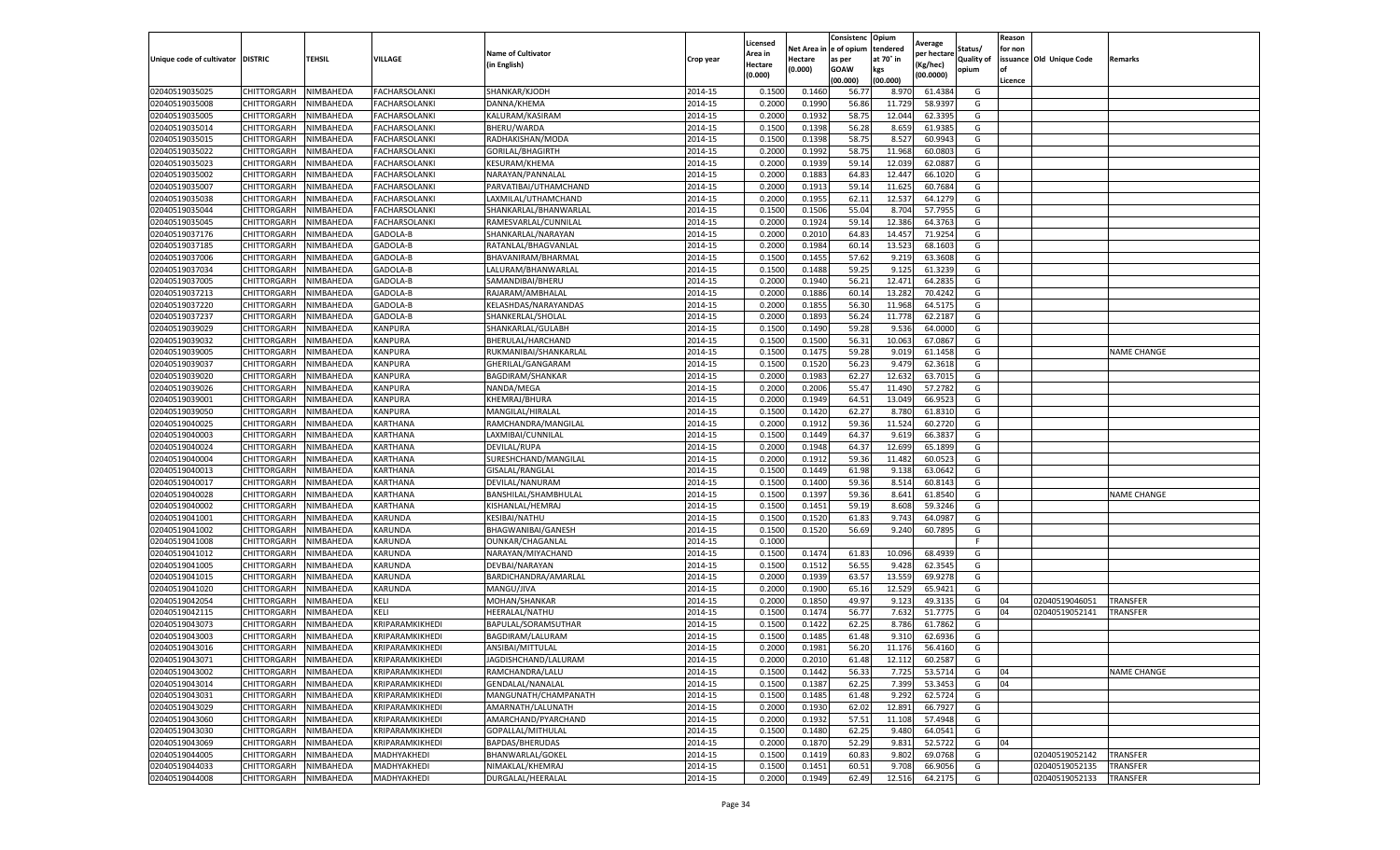|                           |                    |               |                      |                           |           | Licensed       |                    | Consistenc Opium      |                  | Average     |                     | Reason  |                          |                    |
|---------------------------|--------------------|---------------|----------------------|---------------------------|-----------|----------------|--------------------|-----------------------|------------------|-------------|---------------------|---------|--------------------------|--------------------|
|                           |                    |               |                      | <b>Name of Cultivator</b> |           | Area in        | Net Area i         | e of opium            | tendered         | per hectare | Status/             | for non |                          |                    |
| Unique code of cultivator | <b>DISTRIC</b>     | <b>TEHSIL</b> | VILLAGE              | in English)               | Crop year | <b>Hectare</b> | Hectare<br>(0.000) | as per<br><b>GOAW</b> | at 70° in<br>kgs | Kg/hec)     | Quality of<br>opium | of      | issuance Old Unique Code | Remarks            |
|                           |                    |               |                      |                           |           | (0.000)        |                    | (00.000)              | (00.000)         | (00.0000)   |                     | Licence |                          |                    |
| 02040519035025            | CHITTORGARH        | NIMBAHEDA     | <b>FACHARSOLANKI</b> | SHANKAR/KJODH             | 2014-15   | 0.1500         | 0.1460             | 56.7                  | 8.97             | 61.4384     | G                   |         |                          |                    |
| 02040519035008            | CHITTORGARH        | NIMBAHEDA     | <b>FACHARSOLANKI</b> | DANNA/KHEMA               | 2014-15   | 0.2000         | 0.1990             | 56.86                 | 11.729           | 58.9397     | G                   |         |                          |                    |
| 02040519035005            | CHITTORGARH        | NIMBAHEDA     | FACHARSOLANKI        | KALURAM/KASIRAM           | 2014-15   | 0.2000         | 0.1932             | 58.75                 | 12.044           | 62.3395     | G                   |         |                          |                    |
| 02040519035014            | CHITTORGARH        | NIMBAHEDA     | FACHARSOLANKI        | BHERU/WARDA               | 2014-15   | 0.1500         | 0.1398             | 56.28                 | 8.659            | 61.9385     | G                   |         |                          |                    |
| 02040519035015            | CHITTORGARH        | NIMBAHEDA     | FACHARSOLANKI        | RADHAKISHAN/MODA          | 2014-15   | 0.1500         | 0.1398             | 58.75                 | 8.52             | 60.9943     | G                   |         |                          |                    |
| 02040519035022            | CHITTORGARH        | NIMBAHEDA     | FACHARSOLANKI        | GORILAL/BHAGIRTH          | 2014-15   | 0.2000         | 0.1992             | 58.75                 | 11.968           | 60.080      | G                   |         |                          |                    |
| 02040519035023            | CHITTORGARH        | NIMBAHEDA     | FACHARSOLANKI        | KESURAM/KHEMA             | 2014-15   | 0.2000         | 0.1939             | 59.14                 | 12.03            | 62.088      | G                   |         |                          |                    |
| 02040519035002            | CHITTORGARH        | NIMBAHEDA     | FACHARSOLANKI        | NARAYAN/PANNALAL          | 2014-15   | 0.2000         | 0.1883             | 64.83                 | 12.447           | 66.1020     | G                   |         |                          |                    |
| 02040519035007            | CHITTORGARH        | NIMBAHEDA     | <b>FACHARSOLANKI</b> | PARVATIBAI/UTHAMCHAND     | 2014-15   | 0.2000         | 0.1913             | 59.14                 | 11.625           | 60.7684     | G                   |         |                          |                    |
| 02040519035038            | CHITTORGARH        | NIMBAHEDA     | FACHARSOLANKI        | LAXMILAL/UTHAMCHAND       | 2014-15   | 0.2000         | 0.1955             | 62.11                 | 12.53            | 64.1279     | G                   |         |                          |                    |
| 02040519035044            | CHITTORGARH        | NIMBAHEDA     | FACHARSOLANKI        | SHANKARLAL/BHANWARLAL     | 2014-15   | 0.1500         | 0.1506             | 55.04                 | 8.704            | 57.7955     | G                   |         |                          |                    |
| 02040519035045            | CHITTORGARH        | NIMBAHEDA     | <b>FACHARSOLANKI</b> | RAMESVARLAL/CUNNILAL      | 2014-15   | 0.2000         | 0.1924             | 59.14                 | 12.386           | 64.3763     | G                   |         |                          |                    |
| 02040519037176            | CHITTORGARH        | NIMBAHEDA     | GADOLA-B             | SHANKARLAL/NARAYAN        | 2014-15   | 0.2000         | 0.2010             | 64.83                 | 14.45            | 71.9254     | G                   |         |                          |                    |
| 02040519037185            | CHITTORGARH        | NIMBAHEDA     | GADOLA-B             | RATANLAL/BHAGVANLAL       | 2014-15   | 0.2000         | 0.1984             | 60.14                 | 13.523           | 68.1603     | G                   |         |                          |                    |
| 02040519037006            | CHITTORGARH        | NIMBAHEDA     | GADOLA-B             | BHAVANIRAM/BHARMAL        | 2014-15   | 0.1500         | 0.1455             | 57.62                 | 9.219            | 63.3608     | G                   |         |                          |                    |
| 02040519037034            | CHITTORGARH        | NIMBAHEDA     | GADOLA-B             | LALURAM/BHANWARLAL        | 2014-15   | 0.1500         | 0.1488             | 59.25                 | 9.125            | 61.3239     | G                   |         |                          |                    |
| 02040519037005            | CHITTORGARH        | NIMBAHEDA     | GADOLA-B             | SAMANDIBAI/BHERU          | 2014-15   | 0.2000         | 0.1940             | 56.21                 | 12.471           | 64.2835     | G                   |         |                          |                    |
| 02040519037213            | CHITTORGARH        | NIMBAHEDA     | GADOLA-B             | RAJARAM/AMBHALAL          | 2014-15   | 0.2000         | 0.1886             | 60.14                 | 13.282           | 70.4242     | G                   |         |                          |                    |
| 02040519037220            | CHITTORGARH        | NIMBAHEDA     | GADOLA-B             | KELASHDAS/NARAYANDAS      | 2014-15   | 0.2000         | 0.1855             | 56.30                 | 11.968           | 64.5175     | G                   |         |                          |                    |
| 02040519037237            | CHITTORGARH        | NIMBAHEDA     | GADOLA-B             | SHANKERLAL/SHOLAI         | 2014-15   | 0.2000         | 0.1893             | 56.24                 | 11.778           | 62.2187     | G                   |         |                          |                    |
| 02040519039029            | CHITTORGARH        | NIMBAHEDA     | KANPURA              | SHANKARLAL/GULABH         | 2014-15   | 0.1500         | 0.1490             | 59.28                 | 9.536            | 64.0000     | G                   |         |                          |                    |
| 02040519039032            | CHITTORGARH        | NIMBAHEDA     | KANPURA              | BHERULAL/HARCHAND         | 2014-15   | 0.1500         | 0.1500             | 56.31                 | 10.063           | 67.0867     | G                   |         |                          |                    |
| 02040519039005            | CHITTORGARH        | NIMBAHEDA     | KANPURA              | RUKMANIBAI/SHANKARLAL     | 2014-15   | 0.1500         | 0.1475             | 59.28                 | 9.019            | 61.1458     | G                   |         |                          | <b>NAME CHANGE</b> |
| 02040519039037            | CHITTORGARH        | NIMBAHEDA     | KANPURA              | GHERILAL/GANGARAM         | 2014-15   | 0.1500         | 0.1520             | 56.23                 | 9.47             | 62.3618     | G                   |         |                          |                    |
| 02040519039020            | CHITTORGARH        | NIMBAHEDA     | KANPURA              | BAGDIRAM/SHANKAR          | 2014-15   | 0.2000         | 0.1983             | 62.27                 | 12.63            | 63.7015     | G                   |         |                          |                    |
| 02040519039026            | CHITTORGARH        | NIMBAHEDA     | KANPURA              | NANDA/MEGA                | 2014-15   | 0.2000         | 0.2006             | 55.47                 | 11.490           | 57.2782     | G                   |         |                          |                    |
| 02040519039001            | CHITTORGARH        | NIMBAHEDA     | <b>KANPURA</b>       | KHEMRAJ/BHURA             | 2014-15   | 0.2000         | 0.1949             | 64.51                 | 13.049           | 66.9523     | G                   |         |                          |                    |
| 02040519039050            | CHITTORGARH        | NIMBAHEDA     | KANPURA              | MANGILAL/HIRALAL          | 2014-15   | 0.1500         | 0.1420             | 62.27                 | 8.780            | 61.8310     | G                   |         |                          |                    |
| 02040519040025            | CHITTORGARH        | NIMBAHEDA     | KARTHANA             | RAMCHANDRA/MANGILAL       | 2014-15   | 0.2000         | 0.1912             | 59.36                 | 11.524           | 60.2720     | G                   |         |                          |                    |
| 02040519040003            | CHITTORGARH        | NIMBAHEDA     | KARTHANA             | LAXMIBAI/CUNNILAL         | 2014-15   | 0.1500         | 0.1449             | 64.37                 | 9.619            | 66.3837     | G                   |         |                          |                    |
| 02040519040024            | CHITTORGARH        | NIMBAHEDA     | KARTHANA             | DEVILAL/RUPA              | 2014-15   | 0.2000         | 0.1948             | 64.37                 | 12.699           | 65.1899     | G                   |         |                          |                    |
| 02040519040004            | CHITTORGARH        | NIMBAHEDA     | KARTHANA             | SURESHCHAND/MANGILAL      | 2014-15   | 0.2000         | 0.1912             | 59.36                 | 11.482           | 60.052      | G                   |         |                          |                    |
| 02040519040013            | CHITTORGARH        | NIMBAHEDA     | KARTHANA             | GISALAL/RANGLAL           | 2014-15   | 0.1500         | 0.1449             | 61.98                 | 9.138            | 63.0642     | G                   |         |                          |                    |
| 02040519040017            | CHITTORGARH        | NIMBAHEDA     | KARTHANA             | DEVILAL/NANURAM           | 2014-15   | 0.1500         | 0.1400             | 59.36                 | 8.514            | 60.8143     | G                   |         |                          |                    |
| 02040519040028            | CHITTORGARH        | NIMBAHEDA     | KARTHANA             | BANSHILAL/SHAMBHULAL      | 2014-15   | 0.1500         | 0.1397             | 59.36                 | 8.641            | 61.8540     | G                   |         |                          | <b>NAME CHANGE</b> |
| 02040519040002            | CHITTORGARH        | NIMBAHEDA     | KARTHANA             | KISHANLAL/HEMRAJ          | 2014-15   | 0.1500         | 0.1451             | 59.19                 | 8.608            | 59.3246     | G                   |         |                          |                    |
| 02040519041001            | CHITTORGARH        | NIMBAHEDA     | KARUNDA              | KESIBAI/NATHU             | 2014-15   | 0.1500         | 0.1520             | 61.83                 | 9.74             | 64.0987     | G                   |         |                          |                    |
| 02040519041002            | CHITTORGARH        | NIMBAHEDA     | KARUNDA              | BHAGWANIBAI/GANESH        | 2014-15   | 0.1500         | 0.1520             | 56.69                 | 9.240            | 60.7895     | G                   |         |                          |                    |
| 02040519041008            | CHITTORGARH        | NIMBAHEDA     | KARUNDA              | OUNKAR/CHAGANLAL          | 2014-15   | 0.1000         |                    |                       |                  |             | F.                  |         |                          |                    |
| 02040519041012            | CHITTORGARH        | NIMBAHEDA     | KARUNDA              | NARAYAN/MIYACHAND         | 2014-15   | 0.1500         | 0.1474             | 61.83                 | 10.096           | 68.4939     | G                   |         |                          |                    |
| 02040519041005            | CHITTORGARH        | NIMBAHEDA     | KARUNDA              | DEVBAI/NARAYAN            | 2014-15   | 0.1500         | 0.1512             | 56.55                 | 9.428            | 62.3545     | G                   |         |                          |                    |
| 02040519041015            | CHITTORGARH        | NIMBAHEDA     | KARUNDA              | BARDICHANDRA/AMARLAL      | 2014-15   | 0.2000         | 0.1939             | 63.57                 | 13.559           | 69.9278     | G                   |         |                          |                    |
| 02040519041020            | CHITTORGARH        | NIMBAHEDA     | KARUNDA              | MANGU/JIVA                | 2014-15   | 0.2000         | 0.1900             | 65.16                 | 12.52            | 65.9421     | G                   |         |                          |                    |
| 02040519042054            | CHITTORGARH        | NIMBAHEDA     | KELI                 | MOHAN/SHANKAR             | 2014-15   | 0.2000         | 0.1850             | 49.97                 | 9.123            | 49.3135     | G                   | 04      | 02040519046051           | <b>TRANSFER</b>    |
| 02040519042115            | CHITTORGARH        | NIMBAHEDA     | KELI                 | HEERALAL/NATHU            | 2014-15   | 0.1500         | 0.1474             | 56.77                 | 7.632            | 51.7775     | G                   | 04      | 02040519052141           | <b>TRANSFER</b>    |
| 02040519043073            | CHITTORGARH        | NIMBAHEDA     | KRIPARAMKIKHEDI      | BAPULAL/SORAMSUTHAR       | 2014-15   | 0.1500         | 0.1422             | 62.25                 | 8.78             | 61.7862     | G                   |         |                          |                    |
| 02040519043003            | CHITTORGARH        | NIMBAHEDA     | KRIPARAMKIKHEDI      | BAGDIRAM/LALURAM          | 2014-15   | 0.1500         | 0.1485             | 61.48                 | 9.31             | 62.6936     | G                   |         |                          |                    |
| 02040519043016            | CHITTORGARH        | NIMBAHEDA     | KRIPARAMKIKHEDI      | ANSIBAI/MITTULAL          | 2014-15   | 0.2000         | 0.1981             | 56.20                 | 11.176           | 56.4160     | G                   |         |                          |                    |
| 02040519043071            | CHITTORGARH        | NIMBAHEDA     | KRIPARAMKIKHEDI      | JAGDISHCHAND/LALURAM      | 2014-15   | 0.2000         | 0.2010             | 61.48                 | 12.112           | 60.2587     | G                   |         |                          |                    |
| 02040519043002            | <b>CHITTORGARH</b> | NIMBAHEDA     | KRIPARAMKIKHEDI      | RAMCHANDRA/LALU           | 2014-15   | 0.1500         | 0.1442             | 56.33                 | 7.725            | 53.5714     | G                   | 04      |                          | <b>NAME CHANGE</b> |
| 02040519043014            | <b>CHITTORGARH</b> | NIMBAHEDA     | KRIPARAMKIKHEDI      | GENDALAL/NANALAL          | 2014-15   | 0.1500         | 0.1387             | 62.25                 | 7.399            | 53.3453     | G                   | 04      |                          |                    |
| 02040519043031            | CHITTORGARH        | NIMBAHEDA     | KRIPARAMKIKHEDI      | MANGUNATH/CHAMPANATH      | 2014-15   | 0.1500         | 0.1485             | 61.48                 | 9.292            | 62.5724     | G                   |         |                          |                    |
| 02040519043029            | <b>CHITTORGARH</b> | NIMBAHEDA     | KRIPARAMKIKHEDI      | AMARNATH/LALUNATH         | 2014-15   | 0.2000         | 0.1930             | 62.02                 | 12.891           | 66.7927     | G                   |         |                          |                    |
| 02040519043060            | CHITTORGARH        | NIMBAHEDA     | KRIPARAMKIKHEDI      | AMARCHAND/PYARCHAND       | 2014-15   | 0.2000         | 0.1932             | 57.51                 | 11.108           | 57.4948     | G                   |         |                          |                    |
| 02040519043030            | CHITTORGARH        | NIMBAHEDA     | KRIPARAMKIKHEDI      | GOPALLAL/MITHULAL         | 2014-15   | 0.1500         | 0.1480             | 62.25                 | 9.480            | 64.0541     | G                   |         |                          |                    |
| 02040519043069            | CHITTORGARH        | NIMBAHEDA     | KRIPARAMKIKHEDI      | BAPDAS/BHERUDAS           | 2014-15   | 0.2000         | 0.1870             | 52.29                 | 9.831            | 52.5722     | G                   | 04      |                          |                    |
| 02040519044005            | CHITTORGARH        | NIMBAHEDA     | MADHYAKHEDI          | BHANWARLAL/GOKEL          | 2014-15   | 0.1500         | 0.1419             | 60.83                 | 9.802            | 69.0768     | G                   |         | 02040519052142           | TRANSFER           |
| 02040519044033            | <b>CHITTORGARH</b> | NIMBAHEDA     | MADHYAKHEDI          | NIMAKLAL/KHEMRAJ          | 2014-15   | 0.1500         | 0.1451             | 60.51                 | 9.708            | 66.9056     | G                   |         | 02040519052135           | <b>TRANSFER</b>    |
| 02040519044008            | <b>CHITTORGARH</b> | NIMBAHEDA     | MADHYAKHEDI          | <b>DURGALAL/HEERALAL</b>  | 2014-15   | 0.2000         | 0.1949             | 62.49                 | 12.516           | 64.2175     | G                   |         | 02040519052133           | TRANSFER           |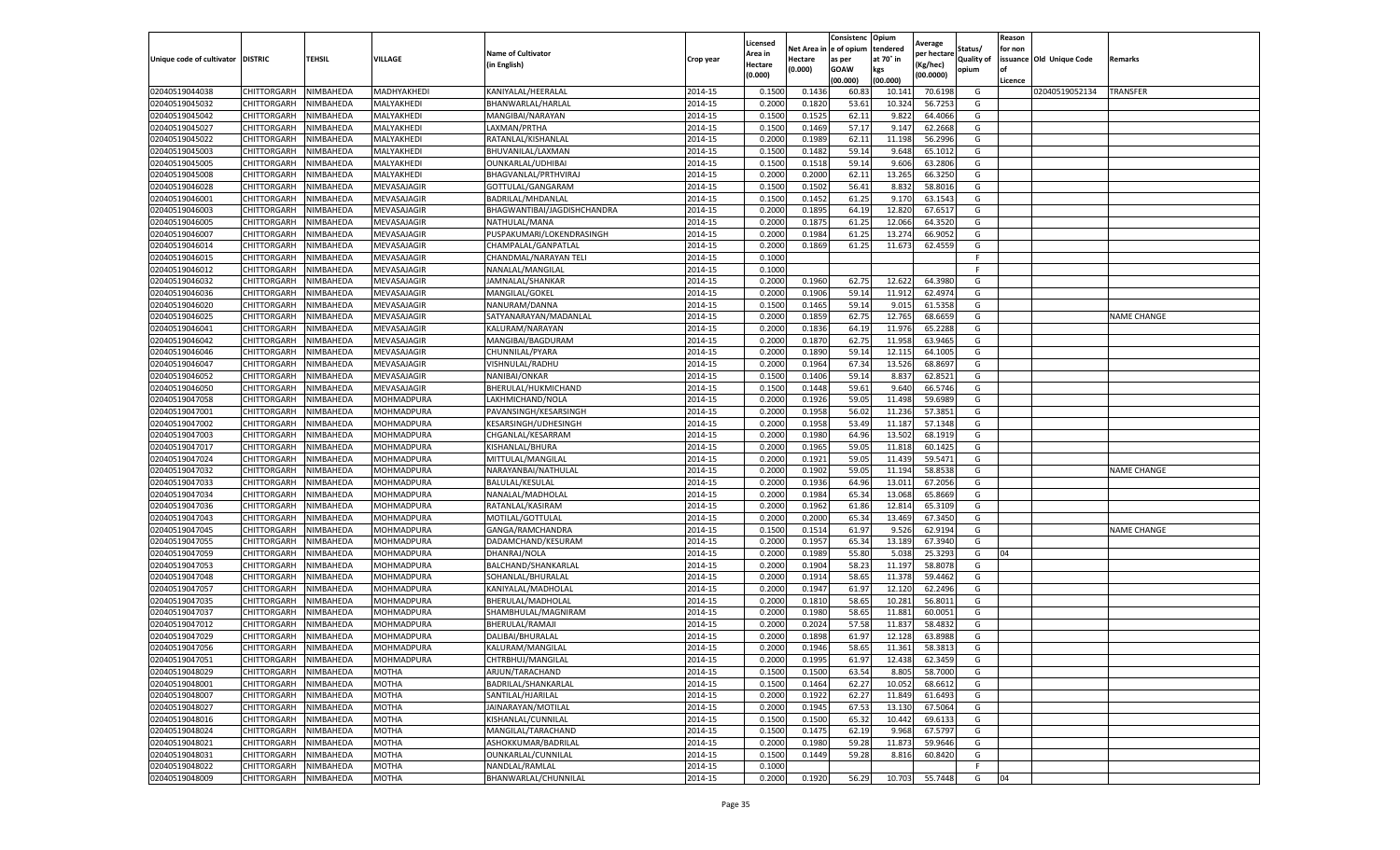|                                   |                            |                        |                            |                                         |                    | Licensed         |                  | Consistenc              | Opium           | Average           |            | Reason  |                          |                    |
|-----------------------------------|----------------------------|------------------------|----------------------------|-----------------------------------------|--------------------|------------------|------------------|-------------------------|-----------------|-------------------|------------|---------|--------------------------|--------------------|
|                                   |                            |                        |                            | <b>Name of Cultivator</b>               |                    | Area in          |                  | Net Area in le of opium | tendered        | per hectare       | Status/    | for non |                          |                    |
| Unique code of cultivator DISTRIC |                            | <b>TEHSIL</b>          | VILLAGE                    | (in English)                            | Crop year          | Hectare          | Hectare          | as per                  | at 70° in       | Kg/hec)           | Quality of |         | issuance Old Unique Code | Remarks            |
|                                   |                            |                        |                            |                                         |                    | (0.000)          | (0.000)          | GOAW                    | kgs             | (00.0000)         | opium      | l of    |                          |                    |
|                                   |                            |                        |                            |                                         |                    |                  |                  | (00.000)                | (00.000)        |                   |            | Licence |                          |                    |
| 02040519044038                    | CHITTORGARH                | NIMBAHEDA              | MADHYAKHEDI                | KANIYALAL/HEERALAI                      | 2014-15            | 0.150            | 0.143            | 60.8                    | 10.14           | 70.619            | G          |         | 02040519052134           | TRANSFER           |
| 02040519045032                    | CHITTORGARH                | NIMBAHEDA              | MALYAKHEDI                 | BHANWARLAL/HARLAI                       | 2014-15            | 0.200            | 0.1820           | 53.61                   | 10.32           | 56.725            | G          |         |                          |                    |
| 02040519045042<br>02040519045027  | CHITTORGARH                | NIMBAHEDA              | MALYAKHEDI                 | MANGIBAI/NARAYAN                        | 2014-15            | 0.1500           | 0.152            | 62.11                   | 9.822           | 64.406            | G          |         |                          |                    |
|                                   | CHITTORGARH                | NIMBAHEDA              | MALYAKHEDI                 | LAXMAN/PRTHA                            | 2014-15            | 0.1500           | 0.1469           | 57.17                   | 9.147           | 62.2668           | G          |         |                          |                    |
| 02040519045022<br>02040519045003  | CHITTORGARH<br>CHITTORGARH | NIMBAHEDA              | MALYAKHEDI<br>MALYAKHEDI   | RATANLAL/KISHANLAL<br>BHUVANILAL/LAXMAN | 2014-15<br>2014-15 | 0.2000<br>0.1500 | 0.1989           | 62.11<br>59.14          | 11.198<br>9.648 | 56.2996<br>65.101 | G<br>G     |         |                          |                    |
| 02040519045005                    | CHITTORGARH                | NIMBAHEDA<br>NIMBAHEDA | MALYAKHEDI                 | OUNKARLAL/UDHIBAI                       | 2014-15            | 0.1500           | 0.1482<br>0.1518 | 59.14                   | 9.606           | 63.280            | G          |         |                          |                    |
| 02040519045008                    |                            |                        |                            |                                         | 2014-15            |                  |                  | 62.11                   | 13.265          |                   |            |         |                          |                    |
| 02040519046028                    | CHITTORGARH                | NIMBAHEDA<br>NIMBAHEDA | MALYAKHEDI                 | BHAGVANLAL/PRTHVIRAJ                    | 2014-15            | 0.2000<br>0.1500 | 0.2000<br>0.1502 | 56.41                   | 8.832           | 66.325<br>58.801  | G<br>G     |         |                          |                    |
| 02040519046001                    | CHITTORGARH<br>CHITTORGARH | NIMBAHEDA              | MEVASAJAGIR<br>MEVASAJAGIR | GOTTULAL/GANGARAM<br>BADRILAL/MHDANLAL  | 2014-15            | 0.1500           | 0.1452           | 61.25                   | 9.170           | 63.1543           | G          |         |                          |                    |
| 02040519046003                    | CHITTORGARH                | NIMBAHEDA              | MEVASAJAGIR                | BHAGWANTIBAI/JAGDISHCHANDRA             | 2014-15            | 0.2000           | 0.1895           | 64.19                   | 12.820          | 67.651            | G          |         |                          |                    |
| 02040519046005                    | CHITTORGARH                | NIMBAHEDA              | MEVASAJAGIR                | NATHULAL/MANA                           | 2014-15            | 0.2000           | 0.187            | 61.2                    | 12.066          | 64.352            | G          |         |                          |                    |
| 02040519046007                    | CHITTORGARH                | <b>NIMBAHEDA</b>       | MEVASAJAGIR                | PUSPAKUMARI/LOKENDRASINGH               | 2014-15            | 0.2000           | 0.1984           | 61.2                    | 13.274          | 66.905            | G          |         |                          |                    |
| 02040519046014                    | CHITTORGARH                | NIMBAHEDA              | MEVASAJAGIR                | CHAMPALAL/GANPATLAI                     | 2014-15            | 0.2000           | 0.1869           | 61.2                    | 11.673          | 62.455            | G          |         |                          |                    |
| 02040519046015                    | CHITTORGARH                | NIMBAHEDA              | MEVASAJAGIR                | CHANDMAL/NARAYAN TELI                   | 2014-15            | 0.1000           |                  |                         |                 |                   | -F         |         |                          |                    |
| 02040519046012                    | CHITTORGARH                | NIMBAHEDA              | MEVASAJAGIR                | NANALAL/MANGILAL                        | 2014-15            | 0.1000           |                  |                         |                 |                   | F          |         |                          |                    |
| 02040519046032                    | CHITTORGARH                | NIMBAHEDA              | MEVASAJAGIR                | JAMNALAL/SHANKAR                        | 2014-15            | 0.2000           | 0.1960           | 62.7                    | 12.622          | 64.398            | G          |         |                          |                    |
| 02040519046036                    | CHITTORGARH                | NIMBAHEDA              | MEVASAJAGIR                | MANGILAL/GOKEL                          | 2014-15            | 0.2000           | 0.1906           | 59.14                   | 11.912          | 62.497            | G          |         |                          |                    |
| 02040519046020                    | CHITTORGARH                | NIMBAHEDA              | MEVASAJAGIR                | NANURAM/DANNA                           | 2014-15            | 0.1500           | 0.146            | 59.14                   | 9.015           | 61.535            | G          |         |                          |                    |
| 02040519046025                    | CHITTORGARH                | <b>NIMBAHEDA</b>       | MEVASAJAGIR                | SATYANARAYAN/MADANLAL                   | 2014-15            | 0.2000           | 0.1859           | 62.75                   | 12.76           | 68.665            | G          |         |                          | NAME CHANGE        |
| 02040519046041                    | CHITTORGARH                | NIMBAHEDA              | MEVASAJAGIR                | KALURAM/NARAYAN                         | 2014-15            | 0.2000           | 0.1836           | 64.19                   | 11.976          | 65.2288           | G          |         |                          |                    |
| 02040519046042                    | CHITTORGARH                | NIMBAHEDA              | MEVASAJAGIR                | MANGIBAI/BAGDURAM                       | 2014-15            | 0.2000           | 0.187            | 62.7                    | 11.958          | 63.946            | G          |         |                          |                    |
| 02040519046046                    | CHITTORGARH                | NIMBAHEDA              | MEVASAJAGIR                | CHUNNILAL/PYARA                         | 2014-15            | 0.2000           | 0.1890           | 59.14                   | 12.115          | 64.100            | G          |         |                          |                    |
| 02040519046047                    | CHITTORGARH                | NIMBAHEDA              | MEVASAJAGIR                | VISHNULAL/RADHU                         | 2014-15            | 0.2000           | 0.1964           | 67.34                   | 13.526          | 68.869            | G          |         |                          |                    |
| 02040519046052                    | CHITTORGARH                | NIMBAHEDA              | MEVASAJAGIR                | NANIBAI/ONKAR                           | 2014-15            | 0.1500           | 0.1406           | 59.14                   | 8.837           | 62.852            | G          |         |                          |                    |
| 02040519046050                    | CHITTORGARH                | NIMBAHEDA              | MEVASAJAGIR                | BHERULAL/HUKMICHAND                     | 2014-15            | 0.1500           | 0.1448           | 59.61                   | 9.640           | 66.574            | G          |         |                          |                    |
| 02040519047058                    | CHITTORGARH                | NIMBAHEDA              | MOHMADPURA                 | LAKHMICHAND/NOLA                        | 2014-15            | 0.2000           | 0.192            | 59.0                    | 11.498          | 59.698            | G          |         |                          |                    |
| 02040519047001                    | CHITTORGARH                | NIMBAHEDA              | MOHMADPURA                 | PAVANSINGH/KESARSINGH                   | 2014-15            | 0.2000           | 0.1958           | 56.02                   | 11.236          | 57.385            | G          |         |                          |                    |
| 02040519047002                    | CHITTORGARH                | NIMBAHEDA              | MOHMADPURA                 | KESARSINGH/UDHESINGH                    | 2014-15            | 0.2000           | 0.1958           | 53.49                   | 11.187          | 57.1348           | G          |         |                          |                    |
| 02040519047003                    | CHITTORGARH                | NIMBAHEDA              | MOHMADPURA                 | CHGANLAL/KESARRAM                       | 2014-15            | 0.2000           | 0.1980           | 64.96                   | 13.502          | 68.191            | G          |         |                          |                    |
| 02040519047017                    | CHITTORGARH                | NIMBAHEDA              | MOHMADPURA                 | KISHANLAL/BHURA                         | 2014-15            | 0.200            | 0.196            | 59.0                    | 11.818          | 60.142            | G          |         |                          |                    |
| 02040519047024                    | CHITTORGARH                | NIMBAHEDA              | MOHMADPURA                 | MITTULAL/MANGILAI                       | 2014-15            | 0.2000           | 0.1921           | 59.0                    | 11.439          | 59.547            | G          |         |                          |                    |
| 02040519047032                    | CHITTORGARH                | NIMBAHEDA              | MOHMADPURA                 | NARAYANBAI/NATHULAL                     | 2014-15            | 0.2000           | 0.1902           | 59.0                    | 11.194          | 58.853            | G          |         |                          | <b>NAME CHANGE</b> |
| 02040519047033                    | CHITTORGARH                | NIMBAHEDA              | MOHMADPURA                 | BALULAL/KESULAL                         | 2014-15            | 0.2000           | 0.1936           | 64.9                    | 13.01:          | 67.205            | G          |         |                          |                    |
| 02040519047034                    | CHITTORGARH                | NIMBAHEDA              | MOHMADPURA                 | NANALAL/MADHOLAL                        | 2014-15            | 0.2000           | 0.1984           | 65.34                   | 13.068          | 65.866            | G          |         |                          |                    |
| 02040519047036                    | CHITTORGARH                | NIMBAHEDA              | MOHMADPURA                 | RATANLAL/KASIRAM                        | 2014-15            | 0.2000           | 0.1962           | 61.86                   | 12.814          | 65.310            | G          |         |                          |                    |
| 02040519047043                    | CHITTORGARH                | NIMBAHEDA              | MOHMADPURA                 | MOTILAL/GOTTULAL                        | 2014-15            | 0.2000           | 0.2000           | 65.34                   | 13.469          | 67.345            | G          |         |                          |                    |
| 02040519047045                    | CHITTORGARH                | NIMBAHEDA              | MOHMADPURA                 | GANGA/RAMCHANDRA                        | 2014-15            | 0.1500           | 0.151            | 61.97                   | 9.526           | 62.919            | G          |         |                          | <b>NAME CHANGE</b> |
| 02040519047055                    | CHITTORGARH                | NIMBAHEDA              | MOHMADPURA                 | DADAMCHAND/KESURAM                      | 2014-15            | 0.2000           | 0.195            | 65.34                   | 13.189          | 67.394            | G          |         |                          |                    |
| 02040519047059                    | CHITTORGARH                | NIMBAHEDA              | MOHMADPURA                 | DHANRAJ/NOLA                            | 2014-15            | 0.2000           | 0.1989           | 55.80                   | 5.038           | 25.3293           | G          | 04      |                          |                    |
| 02040519047053                    | CHITTORGARH                | NIMBAHEDA              | MOHMADPURA                 | BALCHAND/SHANKARLAI                     | 2014-15            | 0.200            | 0.1904           | 58.23                   | 11.197          | 58.807            | G          |         |                          |                    |
| 02040519047048                    | CHITTORGARH                | NIMBAHEDA              | MOHMADPURA                 | SOHANLAL/BHURALAL                       | 2014-15            | 0.2000           | 0.1914           | 58.65                   | 11.378          | 59.4462           | G          |         |                          |                    |
| 02040519047057                    | CHITTORGARH                | NIMBAHEDA              | MOHMADPURA                 | KANIYALAL/MADHOLAL                      | 2014-15            | 0.2000           | 0.1947           | 61.9                    | 12.120          | 62.249            | G          |         |                          |                    |
| 02040519047035                    | CHITTORGARH                | NIMBAHEDA              | MOHMADPURA                 | BHERULAL/MADHOLAL                       | 2014-15            | 0.2000           | 0.1810           | 58.6                    | 10.281          | 56.801            | G          |         |                          |                    |
| 02040519047037                    | CHITTORGARH                | NIMBAHEDA              | MOHMADPURA                 | SHAMBHULAL/MAGNIRAM                     | 2014-15            | 0.2000           | 0.1980           | 58.65                   | 11.88           | 60.005            | G          |         |                          |                    |
| 02040519047012                    | CHITTORGARH                | NIMBAHEDA              | MOHMADPURA                 | BHERULAL/RAMAJI                         | 2014-15            | 0.200            | 0.2024           | 57.58                   | 11.837          | 58.483            | G          |         |                          |                    |
| 02040519047029                    | CHITTORGARH                | NIMBAHEDA              | MOHMADPURA                 | DALIBAI/BHURALAL                        | 2014-15            | 0.200            | 0.189            | 61.97                   | 12.128          | 63.898            | G          |         |                          |                    |
| 02040519047056                    | CHITTORGARH                | NIMBAHEDA              | <b>MOHMADPURA</b>          | KALURAM/MANGILAL                        | 2014-15            | 0.2000           | 0.1946           | 58.65                   | 11.361          | 58.3813           | G          |         |                          |                    |
| 02040519047051                    | CHITTORGARH                | NIMBAHEDA              | MOHMADPURA                 | CHTRBHUJ/MANGILAL                       | 2014-15            | 0.2000           | 0.1995           | 61.97                   | 12.438          | 62.3459           | G          |         |                          |                    |
| 02040519048029                    | CHITTORGARH                | NIMBAHEDA              | MOTHA                      | ARJUN/TARACHAND                         | 2014-15            | 0.1500           | 0.1500           | 63.54                   | 8.805           | 58.7000           | G          |         |                          |                    |
| 02040519048001                    | CHITTORGARH                | NIMBAHEDA              | MOTHA                      | BADRILAL/SHANKARLAL                     | 2014-15            | 0.1500           | 0.1464           | 62.27                   | 10.052          | 68.6612           | G          |         |                          |                    |
| 02040519048007                    | CHITTORGARH                | NIMBAHEDA              | MOTHA                      | SANTILAL/HJARILAL                       | 2014-15            | 0.2000           | 0.1922           | 62.27                   | 11.849          | 61.6493           | G          |         |                          |                    |
| 02040519048027                    | CHITTORGARH                | NIMBAHEDA              | MOTHA                      | JAINARAYAN/MOTILAL                      | 2014-15            | 0.2000           | 0.1945           | 67.53                   | 13.130          | 67.5064           | G          |         |                          |                    |
| 02040519048016                    | CHITTORGARH                | NIMBAHEDA              | <b>MOTHA</b>               | KISHANLAL/CUNNILAL                      | 2014-15            | 0.1500           | 0.1500           | 65.32                   | 10.442          | 69.6133           | G          |         |                          |                    |
| 02040519048024                    | CHITTORGARH                | NIMBAHEDA              | MOTHA                      | MANGILAL/TARACHAND                      | 2014-15            | 0.1500           | 0.1475           | 62.19                   | 9.968           | 67.5797           | G          |         |                          |                    |
| 02040519048021                    | CHITTORGARH                | NIMBAHEDA              | MOTHA                      | ASHOKKUMAR/BADRILAL                     | 2014-15            | 0.2000           | 0.1980           | 59.28                   | 11.873          | 59.9646           | G          |         |                          |                    |
| 02040519048031                    | CHITTORGARH                | NIMBAHEDA              | MOTHA                      | OUNKARLAL/CUNNILAL                      | 2014-15            | 0.1500           | 0.1449           | 59.28                   | 8.816           | 60.8420           | G          |         |                          |                    |
| 02040519048022                    | CHITTORGARH                | NIMBAHEDA              | MOTHA                      | NANDLAL/RAMLAL                          | 2014-15            | 0.1000           |                  |                         |                 |                   | F.         |         |                          |                    |
| 02040519048009                    | CHITTORGARH                | NIMBAHEDA              | <b>MOTHA</b>               | BHANWARLAL/CHUNNILAL                    | 2014-15            | 0.2000           | 0.1920           | 56.29                   | 10.703          | 55.7448           | G          | 04      |                          |                    |
|                                   |                            |                        |                            |                                         |                    |                  |                  |                         |                 |                   |            |         |                          |                    |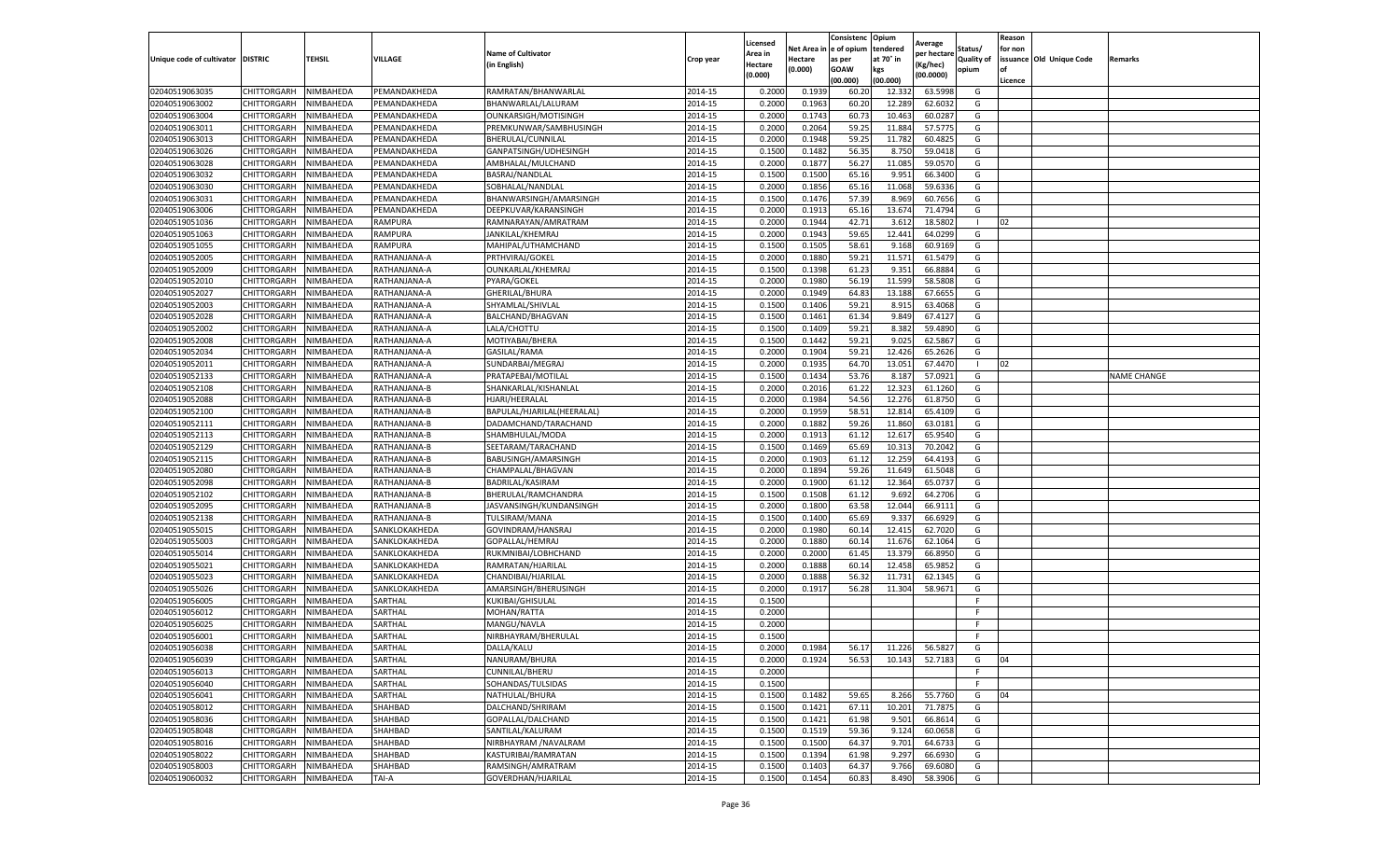|                                   |             |           |               |                            |           | Licensed |            | Consistenc  | Opium     |                        |                   | Reason  |                          |                    |
|-----------------------------------|-------------|-----------|---------------|----------------------------|-----------|----------|------------|-------------|-----------|------------------------|-------------------|---------|--------------------------|--------------------|
|                                   |             |           |               | <b>Name of Cultivator</b>  |           | Area in  | Net Area i | e of opium  | tendered  | Average<br>per hectare | Status/           | for non |                          |                    |
| Unique code of cultivator DISTRIC |             | TEHSIL    | VILLAGE       | (in English)               | Crop year | Hectare  | Hectare    | as per      | at 70° in | Kg/hec)                | <b>Quality of</b> |         | issuance Old Unique Code | Remarks            |
|                                   |             |           |               |                            |           | (0.000)  | (0.000)    | <b>GOAW</b> | kgs       | (00.0000)              | opium             | οf      |                          |                    |
|                                   |             |           |               |                            |           |          |            | (00.000     | (00.000)  |                        |                   | Licence |                          |                    |
| 02040519063035                    | CHITTORGARH | NIMBAHEDA | PEMANDAKHEDA  | RAMRATAN/BHANWARLAL        | 2014-15   | 0.2000   | 0.1939     | 60.20       | 12.33     | 63.5998                | G                 |         |                          |                    |
| 02040519063002                    | CHITTORGARH | NIMBAHEDA | PEMANDAKHEDA  | BHANWARLAL/LALURAM         | 2014-15   | 0.200    | 0.1963     | 60.20       | 12.289    | 62.6032                | G                 |         |                          |                    |
| 02040519063004                    | CHITTORGARH | NIMBAHEDA | PEMANDAKHEDA  | OUNKARSIGH/MOTISINGH       | 2014-15   | 0.2000   | 0.1743     | 60.73       | 10.463    | 60.0287                | G                 |         |                          |                    |
| 02040519063011                    | CHITTORGARH | NIMBAHEDA | PEMANDAKHEDA  | PREMKUNWAR/SAMBHUSINGH     | 2014-15   | 0.2000   | 0.2064     | 59.25       | 11.884    | 57.5775                | G                 |         |                          |                    |
| 02040519063013                    | CHITTORGARH | NIMBAHEDA | PEMANDAKHEDA  | BHERULAL/CUNNILAL          | 2014-15   | 0.2000   | 0.1948     | 59.25       | 11.782    | 60.4825                | G                 |         |                          |                    |
| 02040519063026                    | CHITTORGARH | NIMBAHEDA | PEMANDAKHEDA  | GANPATSINGH/UDHESINGH      | 2014-15   | 0.1500   | 0.1482     | 56.35       | 8.750     | 59.0418                | G                 |         |                          |                    |
| 02040519063028                    | CHITTORGARH | NIMBAHEDA | PEMANDAKHEDA  | AMBHALAL/MULCHAND          | 2014-15   | 0.2000   | 0.1877     | 56.27       | 11.085    | 59.0570                | G                 |         |                          |                    |
| 02040519063032                    | CHITTORGARH | NIMBAHEDA | PEMANDAKHEDA  | BASRAJ/NANDLAL             | 2014-15   | 0.1500   | 0.1500     | 65.16       | 9.951     | 66.3400                | G                 |         |                          |                    |
| 02040519063030                    | CHITTORGARH | NIMBAHEDA | PEMANDAKHEDA  | SOBHALAL/NANDLAL           | 2014-15   | 0.2000   | 0.1856     | 65.16       | 11.068    | 59.6336                | G                 |         |                          |                    |
| 02040519063031                    | CHITTORGARH | NIMBAHEDA | PEMANDAKHEDA  | BHANWARSINGH/AMARSINGH     | 2014-15   | 0.1500   | 0.1476     | 57.39       | 8.969     | 60.7656                | G                 |         |                          |                    |
| 02040519063006                    | CHITTORGARH | NIMBAHEDA | PEMANDAKHEDA  | DEEPKUVAR/KARANSINGH       | 2014-15   | 0.2000   | 0.1913     | 65.16       | 13.674    | 71.4794                | G                 |         |                          |                    |
| 02040519051036                    | CHITTORGARH | NIMBAHEDA | RAMPURA       | RAMNARAYAN/AMRATRAM        | 2014-15   | 0.2000   | 0.1944     | 42.71       | 3.612     | 18.5802                |                   | 02      |                          |                    |
| 02040519051063                    | CHITTORGARH | NIMBAHEDA | RAMPURA       | JANKILAL/KHEMRAJ           | 2014-15   | 0.2000   | 0.1943     | 59.65       | 12.441    | 64.0299                | G                 |         |                          |                    |
| 02040519051055                    | CHITTORGARH | NIMBAHEDA | RAMPURA       | MAHIPAL/UTHAMCHAND         | 2014-15   | 0.1500   | 0.1505     | 58.61       | 9.168     | 60.9169                | G                 |         |                          |                    |
| 02040519052005                    | CHITTORGARH | NIMBAHEDA | RATHANJANA-A  | PRTHVIRAJ/GOKEL            | 2014-15   | 0.2000   | 0.1880     | 59.21       | 11.571    | 61.5479                | G                 |         |                          |                    |
| 02040519052009                    | CHITTORGARH | NIMBAHEDA | RATHANJANA-A  | OUNKARLAL/KHEMRAJ          | 2014-15   | 0.1500   | 0.1398     | 61.23       | 9.351     | 66.8884                | G                 |         |                          |                    |
| 02040519052010                    | CHITTORGARH | NIMBAHEDA | RATHANJANA-A  | PYARA/GOKEL                | 2014-15   | 0.2000   | 0.1980     | 56.19       | 11.599    | 58.5808                | G                 |         |                          |                    |
| 02040519052027                    | CHITTORGARH | NIMBAHEDA | RATHANJANA-A  | GHERILAL/BHURA             | 2014-15   | 0.2000   | 0.1949     | 64.83       | 13.188    | 67.6655                | G                 |         |                          |                    |
| 02040519052003                    | CHITTORGARH | NIMBAHEDA | RATHANJANA-A  | SHYAMLAL/SHIVLAL           | 2014-15   | 0.1500   | 0.1406     | 59.21       | 8.915     | 63.4068                | G                 |         |                          |                    |
| 02040519052028                    | CHITTORGARH | NIMBAHEDA | RATHANJANA-A  | BALCHAND/BHAGVAN           | 2014-15   | 0.1500   | 0.1461     | 61.34       | 9.849     | 67.4127                | G                 |         |                          |                    |
| 02040519052002                    | CHITTORGARH | NIMBAHEDA | RATHANJANA-A  | LALA/CHOTTU                | 2014-15   | 0.1500   | 0.1409     | 59.21       | 8.382     | 59.4890                | G                 |         |                          |                    |
| 02040519052008                    | CHITTORGARH | NIMBAHEDA | RATHANJANA-A  | MOTIYABAI/BHERA            | 2014-15   | 0.1500   | 0.1442     | 59.21       | 9.025     | 62.5867                | G                 |         |                          |                    |
| 02040519052034                    | CHITTORGARH | NIMBAHEDA | RATHANJANA-A  | GASILAL/RAMA               | 2014-15   | 0.2000   | 0.1904     | 59.21       | 12.426    | 65.2626                | G                 |         |                          |                    |
| 02040519052011                    | CHITTORGARH | NIMBAHEDA | RATHANJANA-A  | SUNDARBAI/MEGRAJ           | 2014-15   | 0.2000   | 0.1935     | 64.70       | 13.051    | 67.4470                |                   | 02      |                          |                    |
| 02040519052133                    | CHITTORGARH | NIMBAHEDA | RATHANJANA-A  | PRATAPEBAI/MOTILAL         | 2014-15   | 0.1500   | 0.1434     | 53.76       | 8.187     | 57.0921                | G                 |         |                          | <b>NAME CHANGE</b> |
| 02040519052108                    | CHITTORGARH | NIMBAHEDA | RATHANJANA-B  | SHANKARLAL/KISHANLAL       | 2014-15   | 0.2000   | 0.2016     | 61.22       | 12.323    | 61.1260                | G                 |         |                          |                    |
| 02040519052088                    | CHITTORGARH | NIMBAHEDA | RATHANJANA-B  | HJARI/HEERALAL             | 2014-15   | 0.2000   | 0.1984     | 54.56       | 12.276    | 61.8750                | G                 |         |                          |                    |
| 02040519052100                    | CHITTORGARH | NIMBAHEDA | RATHANJANA-B  | BAPULAL/HJARILAL(HEERALAL) | 2014-15   | 0.2000   | 0.1959     | 58.51       | 12.814    | 65.4109                | G                 |         |                          |                    |
| 02040519052111                    | CHITTORGARH | NIMBAHEDA | RATHANJANA-B  | DADAMCHAND/TARACHAND       | 2014-15   | 0.2000   | 0.1882     | 59.26       | 11.860    | 63.0181                | G                 |         |                          |                    |
| 02040519052113                    | CHITTORGARH | NIMBAHEDA | RATHANJANA-B  | SHAMBHULAL/MODA            | 2014-15   | 0.2000   | 0.1913     | 61.12       | 12.617    | 65.9540                | G                 |         |                          |                    |
| 02040519052129                    | CHITTORGARH | NIMBAHEDA | RATHANJANA-B  | SEETARAM/TARACHAND         | 2014-15   | 0.1500   | 0.1469     | 65.69       | 10.31     | 70.2042                | G                 |         |                          |                    |
| 02040519052115                    | CHITTORGARH | NIMBAHEDA | RATHANJANA-B  | BABUSINGH/AMARSINGH        | 2014-15   | 0.2000   | 0.1903     | 61.12       | 12.259    | 64.4193                | G                 |         |                          |                    |
| 02040519052080                    | CHITTORGARH | NIMBAHEDA | RATHANJANA-B  | CHAMPALAL/BHAGVAN          | 2014-15   | 0.2000   | 0.1894     | 59.26       | 11.649    | 61.5048                | G                 |         |                          |                    |
| 02040519052098                    | CHITTORGARH | NIMBAHEDA | RATHANJANA-B  | BADRILAL/KASIRAM           | 2014-15   | 0.2000   | 0.1900     | 61.1        | 12.364    | 65.0737                | G                 |         |                          |                    |
| 02040519052102                    | CHITTORGARH | NIMBAHEDA | RATHANJANA-B  | BHERULAL/RAMCHANDRA        | 2014-15   | 0.1500   | 0.1508     | 61.12       | 9.692     | 64.2706                | G                 |         |                          |                    |
| 02040519052095                    | CHITTORGARH | NIMBAHEDA | RATHANJANA-B  | JASVANSINGH/KUNDANSINGH    | 2014-15   | 0.2000   | 0.1800     | 63.58       | 12.044    | 66.9111                | G                 |         |                          |                    |
| 02040519052138                    | CHITTORGARH | NIMBAHEDA | RATHANJANA-B  | TULSIRAM/MANA              | 2014-15   | 0.1500   | 0.1400     | 65.69       | 9.337     | 66.6929                | G                 |         |                          |                    |
| 02040519055015                    | CHITTORGARH | NIMBAHEDA | SANKLOKAKHEDA | GOVINDRAM/HANSRAJ          | 2014-15   | 0.2000   | 0.1980     | 60.14       | 12.415    | 62.7020                | G                 |         |                          |                    |
| 02040519055003                    | CHITTORGARH | NIMBAHEDA | SANKLOKAKHEDA | GOPALLAL/HEMRAJ            | 2014-15   | 0.2000   | 0.1880     | 60.1        | 11.676    | 62.1064                | G                 |         |                          |                    |
| 02040519055014                    | CHITTORGARH | NIMBAHEDA | SANKLOKAKHEDA | RUKMNIBAI/LOBHCHAND        | 2014-15   | 0.2000   | 0.2000     | 61.45       | 13.379    | 66.8950                | G                 |         |                          |                    |
| 02040519055021                    | CHITTORGARH | NIMBAHEDA | SANKLOKAKHEDA | RAMRATAN/HJARILAL          | 2014-15   | 0.2000   | 0.1888     | 60.1        | 12.458    | 65.9852                | G                 |         |                          |                    |
| 02040519055023                    | CHITTORGARH | NIMBAHEDA | SANKLOKAKHEDA | CHANDIBAI/HJARILAL         | 2014-15   | 0.2000   | 0.1888     | 56.32       | 11.731    | 62.1345                | G                 |         |                          |                    |
| 02040519055026                    | CHITTORGARH | NIMBAHEDA | SANKLOKAKHEDA | AMARSINGH/BHERUSINGH       | 2014-15   | 0.2000   | 0.1917     | 56.28       | 11.304    | 58.9671                | G                 |         |                          |                    |
| 02040519056005                    | CHITTORGARH | NIMBAHEDA | SARTHAL       | KUKIBAI/GHISULAL           | 2014-15   | 0.1500   |            |             |           |                        |                   |         |                          |                    |
| 02040519056012                    | CHITTORGARH | NIMBAHEDA | SARTHAL       | MOHAN/RATTA                | 2014-15   | 0.2000   |            |             |           |                        | F                 |         |                          |                    |
| 02040519056025                    | CHITTORGARH | NIMBAHEDA | SARTHAL       | MANGU/NAVLA                | 2014-15   | 0.2000   |            |             |           |                        | F.                |         |                          |                    |
| 02040519056001                    | CHITTORGARH | NIMBAHEDA | SARTHAL       | NIRBHAYRAM/BHERULAL        | 2014-15   | 0.1500   |            |             |           |                        | F.                |         |                          |                    |
| 02040519056038                    | CHITTORGARH | NIMBAHEDA | SARTHAL       | DALLA/KALU                 | 2014-15   | 0.2000   | 0.1984     | 56.17       | 11.226    | 56.5827                | G                 |         |                          |                    |
| 02040519056039                    | CHITTORGARH | NIMBAHEDA | SARTHAL       | NANURAM/BHURA              | 2014-15   | 0.2000   | 0.1924     | 56.53       |           | 10.143 52.7183         | G                 | 04      |                          |                    |
| 02040519056013                    | CHITTORGARH | NIMBAHEDA | SARTHAL       | CUNNILAL/BHERU             | 2014-15   | 0.2000   |            |             |           |                        | F                 |         |                          |                    |
| 02040519056040                    | CHITTORGARH | NIMBAHEDA | SARTHAL       | SOHANDAS/TULSIDAS          | 2014-15   | 0.1500   |            |             |           |                        | F                 |         |                          |                    |
| 02040519056041                    | CHITTORGARH | NIMBAHEDA | SARTHAL       | NATHULAL/BHURA             | 2014-15   | 0.1500   | 0.1482     | 59.65       | 8.266     | 55.7760                | G                 | 04      |                          |                    |
| 02040519058012                    | CHITTORGARH | NIMBAHEDA | SHAHBAD       | DALCHAND/SHRIRAM           | 2014-15   | 0.1500   | 0.1421     | 67.11       | 10.201    | 71.7875                | G                 |         |                          |                    |
| 02040519058036                    | CHITTORGARH | NIMBAHEDA | SHAHBAD       | GOPALLAL/DALCHAND          | 2014-15   | 0.1500   | 0.1421     | 61.98       | 9.501     | 66.8614                | G                 |         |                          |                    |
| 02040519058048                    | CHITTORGARH | NIMBAHEDA | SHAHBAD       | SANTILAL/KALURAM           | 2014-15   | 0.1500   | 0.1519     | 59.36       | 9.124     | 60.0658                | G                 |         |                          |                    |
| 02040519058016                    | CHITTORGARH | NIMBAHEDA | SHAHBAD       | NIRBHAYRAM / NAVALRAM      | 2014-15   | 0.1500   | 0.1500     | 64.37       | 9.701     | 64.6733                | G                 |         |                          |                    |
| 02040519058022                    | CHITTORGARH | NIMBAHEDA | SHAHBAD       | KASTURIBAI/RAMRATAN        | 2014-15   | 0.1500   | 0.1394     | 61.98       | 9.297     | 66.6930                | G                 |         |                          |                    |
| 02040519058003                    | CHITTORGARH | NIMBAHEDA | SHAHBAD       | RAMSINGH/AMRATRAM          | 2014-15   | 0.1500   | 0.1403     | 64.37       | 9.766     | 69.6080                | G                 |         |                          |                    |
| 02040519060032                    | CHITTORGARH | NIMBAHEDA | TAI-A         | GOVERDHAN/HJARILAL         | 2014-15   | 0.1500   | 0.1454     | 60.83       | 8.490     | 58.3906                | G                 |         |                          |                    |
|                                   |             |           |               |                            |           |          |            |             |           |                        |                   |         |                          |                    |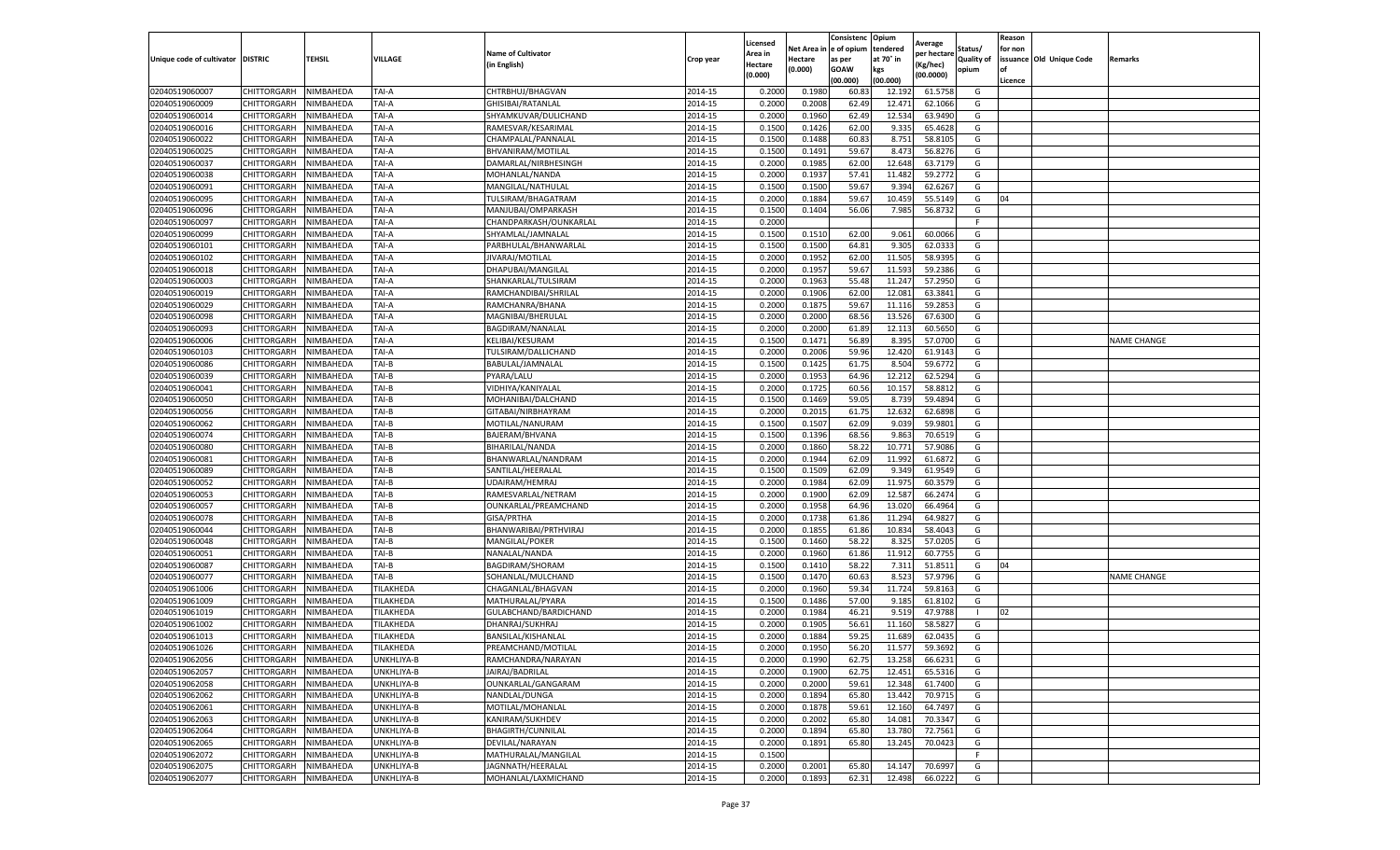|                           |                    |           |            |                           |           | Licensed |         | Consistenc             | Opium     |                        |                | Reason  |                          |                    |
|---------------------------|--------------------|-----------|------------|---------------------------|-----------|----------|---------|------------------------|-----------|------------------------|----------------|---------|--------------------------|--------------------|
|                           |                    |           |            | <b>Name of Cultivator</b> |           | Area in  |         | Net Area in e of opium | tendered  | Average<br>per hectare | Status/        | for non |                          |                    |
| Unique code of cultivator | <b>DISTRIC</b>     | TEHSIL    | VILLAGE    | in English)               | Crop year | Hectare  | Hectare | as per                 | at 70° in | (Kg/hec                | Quality of     |         | issuance Old Unique Code | Remarks            |
|                           |                    |           |            |                           |           | (0.000)  | (0.000) | <b>GOAW</b>            | kgs       | (00.0000)              | opium          |         |                          |                    |
|                           |                    |           |            |                           |           |          |         | (00.000)               | (00.000)  |                        |                | Licence |                          |                    |
| 02040519060007            | CHITTORGARH        | NIMBAHEDA | TAI-A      | CHTRBHUJ/BHAGVAN          | 2014-15   | 0.2000   | 0.1980  | 60.83                  | 12.19     | 61.5758                | G              |         |                          |                    |
| 02040519060009            | CHITTORGARH        | NIMBAHEDA | TAI-A      | GHISIBAI/RATANLAL         | 2014-15   | 0.2000   | 0.2008  | 62.49                  | 12.47     | 62.1066                | G              |         |                          |                    |
| 02040519060014            | CHITTORGARH        | NIMBAHEDA | TAI-A      | SHYAMKUVAR/DULICHAND      | 2014-15   | 0.2000   | 0.1960  | 62.49                  | 12.534    | 63.9490                | G              |         |                          |                    |
| 02040519060016            | CHITTORGARH        | NIMBAHEDA | TAI-A      | RAMESVAR/KESARIMAL        | 2014-15   | 0.1500   | 0.1426  | 62.00                  | 9.335     | 65.4628                | G              |         |                          |                    |
| 02040519060022            | CHITTORGARH        | NIMBAHEDA | TAI-A      | CHAMPALAL/PANNALAL        | 2014-15   | 0.1500   | 0.1488  | 60.83                  | 8.751     | 58.8105                | G              |         |                          |                    |
| 02040519060025            | CHITTORGARH        | NIMBAHEDA | TAI-A      | BHVANIRAM/MOTILAL         | 2014-15   | 0.1500   | 0.1491  | 59.67                  | 8.473     | 56.8276                | G              |         |                          |                    |
| 02040519060037            | CHITTORGARH        | NIMBAHEDA | TAI-A      | DAMARLAL/NIRBHESINGH      | 2014-15   | 0.2000   | 0.1985  | 62.00                  | 12.648    | 63.7179                | G              |         |                          |                    |
| 02040519060038            | CHITTORGARH        | NIMBAHEDA | TAI-A      | MOHANLAL/NANDA            | 2014-15   | 0.2000   | 0.1937  | 57.41                  | 11.482    | 59.2772                | G              |         |                          |                    |
| 02040519060091            | CHITTORGARH        | NIMBAHEDA | TAI-A      | MANGILAL/NATHULAL         | 2014-15   | 0.1500   | 0.1500  | 59.67                  | 9.394     | 62.6267                | G              |         |                          |                    |
| 02040519060095            | CHITTORGARH        | NIMBAHEDA | TAI-A      | TULSIRAM/BHAGATRAM        | 2014-15   | 0.2000   | 0.1884  | 59.67                  | 10.459    | 55.5149                | G              | 04      |                          |                    |
| 02040519060096            | CHITTORGARH        | NIMBAHEDA | TAI-A      | MANJUBAI/OMPARKASH        | 2014-15   | 0.1500   | 0.1404  | 56.06                  | 7.985     | 56.8732                | G              |         |                          |                    |
| 02040519060097            | CHITTORGARH        | NIMBAHEDA | TAI-A      | CHANDPARKASH/OUNKARLAL    | 2014-15   | 0.2000   |         |                        |           |                        | F              |         |                          |                    |
| 02040519060099            | CHITTORGARH        | NIMBAHEDA | TAI-A      | SHYAMLAL/JAMNALAL         | 2014-15   | 0.1500   | 0.1510  | 62.00                  | 9.061     | 60.0066                | G              |         |                          |                    |
| 02040519060101            | CHITTORGARH        | NIMBAHEDA | TAI-A      | PARBHULAL/BHANWARLAL      | 2014-15   | 0.1500   | 0.1500  | 64.81                  | 9.305     | 62.033                 | G              |         |                          |                    |
| 02040519060102            | CHITTORGARH        | NIMBAHEDA | TAI-A      | JIVARAJ/MOTILAL           | 2014-15   | 0.2000   | 0.1952  | 62.00                  | 11.505    | 58.9395                | G              |         |                          |                    |
| 02040519060018            | CHITTORGARH        | NIMBAHEDA | TAI-A      | DHAPUBAI/MANGILAL         | 2014-15   | 0.2000   | 0.1957  | 59.67                  | 11.593    | 59.2386                | G              |         |                          |                    |
| 02040519060003            | CHITTORGARH        | NIMBAHEDA | TAI-A      | SHANKARLAL/TULSIRAM       | 2014-15   | 0.2000   | 0.1963  | 55.48                  | 11.247    | 57.2950                | G              |         |                          |                    |
| 02040519060019            | CHITTORGARH        | NIMBAHEDA | TAI-A      | RAMCHANDIBAI/SHRILAL      | 2014-15   | 0.2000   | 0.1906  | 62.00                  | 12.081    | 63.3841                | G              |         |                          |                    |
| 02040519060029            | CHITTORGARH        | NIMBAHEDA | TAI-A      | RAMCHANRA/BHANA           | 2014-15   | 0.2000   | 0.1875  | 59.67                  | 11.11     | 59.2853                | G              |         |                          |                    |
| 02040519060098            | CHITTORGARH        | NIMBAHEDA | TAI-A      | MAGNIBAI/BHERULAL         | 2014-15   | 0.2000   | 0.2000  | 68.56                  | 13.526    | 67.6300                | G              |         |                          |                    |
| 02040519060093            | CHITTORGARH        | NIMBAHEDA | TAI-A      | BAGDIRAM/NANALAL          | 2014-15   | 0.2000   | 0.2000  | 61.89                  | 12.113    | 60.5650                | G              |         |                          |                    |
| 02040519060006            | CHITTORGARH        | NIMBAHEDA | TAI-A      | <b>KELIBAI/KESURAM</b>    | 2014-15   | 0.1500   | 0.1471  | 56.89                  | 8.395     | 57.0700                | G              |         |                          | <b>NAME CHANGE</b> |
| 02040519060103            | CHITTORGARH        | NIMBAHEDA | TAI-A      | TULSIRAM/DALLICHAND       | 2014-15   | 0.2000   | 0.2006  | 59.96                  | 12.420    | 61.9143                | G              |         |                          |                    |
| 02040519060086            | CHITTORGARH        | NIMBAHEDA | TAI-B      | BABULAL/JAMNALAL          | 2014-15   | 0.1500   | 0.1425  | 61.75                  | 8.504     | 59.6772                | G              |         |                          |                    |
| 02040519060039            | CHITTORGARH        | NIMBAHEDA | TAI-B      | PYARA/LALU                | 2014-15   | 0.2000   | 0.1953  | 64.96                  | 12.21     | 62.5294                | G              |         |                          |                    |
| 02040519060041            | CHITTORGARH        | NIMBAHEDA | TAI-B      | VIDHIYA/KANIYALAL         | 2014-15   | 0.2000   | 0.1725  | 60.56                  | 10.157    | 58.881                 | G              |         |                          |                    |
| 02040519060050            | CHITTORGARH        | NIMBAHEDA | TAI-B      | MOHANIBAI/DALCHAND        | 2014-15   | 0.1500   | 0.1469  | 59.05                  | 8.739     | 59.4894                | G              |         |                          |                    |
| 02040519060056            | CHITTORGARH        | NIMBAHEDA | TAI-B      | GITABAI/NIRBHAYRAM        | 2014-15   | 0.2000   | 0.2015  | 61.75                  | 12.632    | 62.6898                | G              |         |                          |                    |
| 02040519060062            | CHITTORGARH        | NIMBAHEDA | TAI-B      | MOTILAL/NANURAM           | 2014-15   | 0.1500   | 0.1507  | 62.09                  | 9.039     | 59.9801                | G              |         |                          |                    |
| 02040519060074            | CHITTORGARH        | NIMBAHEDA | TAI-B      | BAJERAM/BHVANA            | 2014-15   | 0.1500   | 0.1396  | 68.56                  | 9.863     | 70.6519                | G              |         |                          |                    |
| 02040519060080            | CHITTORGARH        | NIMBAHEDA | TAI-B      | BIHARILAL/NANDA           | 2014-15   | 0.2000   | 0.1860  | 58.22                  | 10.77     | 57.9086                | G              |         |                          |                    |
| 02040519060081            | CHITTORGARH        | NIMBAHEDA | TAI-B      | BHANWARLAL/NANDRAM        | 2014-15   | 0.2000   | 0.1944  | 62.09                  | 11.992    | 61.6872                | G              |         |                          |                    |
| 02040519060089            | CHITTORGARH        | NIMBAHEDA | TAI-B      | SANTILAL/HEERALAL         | 2014-15   | 0.1500   | 0.1509  | 62.09                  | 9.349     | 61.9549                | G              |         |                          |                    |
| 02040519060052            | CHITTORGARH        | NIMBAHEDA | TAI-B      | UDAIRAM/HEMRAJ            | 2014-15   | 0.2000   | 0.1984  | 62.09                  | 11.975    | 60.3579                | G              |         |                          |                    |
| 02040519060053            | CHITTORGARH        | NIMBAHEDA | TAI-B      | RAMESVARLAL/NETRAM        | 2014-15   | 0.2000   | 0.1900  | 62.09                  | 12.587    | 66.2474                | G              |         |                          |                    |
| 02040519060057            | CHITTORGARH        | NIMBAHEDA | TAI-B      | OUNKARLAL/PREAMCHAND      | 2014-15   | 0.2000   | 0.1958  | 64.96                  | 13.02     | 66.4964                | G              |         |                          |                    |
| 02040519060078            | CHITTORGARH        | NIMBAHEDA | TAI-B      | GISA/PRTHA                | 2014-15   | 0.2000   | 0.1738  | 61.86                  | 11.294    | 64.9827                | G              |         |                          |                    |
| 02040519060044            | CHITTORGARH        | NIMBAHEDA | TAI-B      | BHANWARIBAI/PRTHVIRAJ     | 2014-15   | 0.2000   | 0.1855  | 61.86                  | 10.83     | 58.4043                | G              |         |                          |                    |
| 02040519060048            | CHITTORGARH        | NIMBAHEDA | TAI-B      | MANGILAL/POKER            | 2014-15   | 0.1500   | 0.1460  | 58.22                  | 8.325     | 57.0205                | G              |         |                          |                    |
| 02040519060051            | CHITTORGARH        | NIMBAHEDA | TAI-B      | NANALAL/NANDA             | 2014-15   | 0.2000   | 0.1960  | 61.86                  | 11.912    | 60.7755                | G              |         |                          |                    |
| 02040519060087            | CHITTORGARH        | NIMBAHEDA | TAI-B      | BAGDIRAM/SHORAM           | 2014-15   | 0.1500   | 0.1410  | 58.22                  | 7.311     | 51.8511                | G              | 04      |                          |                    |
| 02040519060077            | CHITTORGARH        | NIMBAHEDA | TAI-B      | SOHANLAL/MULCHAND         | 2014-15   | 0.1500   | 0.1470  | 60.63                  | 8.523     | 57.9796                | G              |         |                          | <b>NAME CHANGE</b> |
| 02040519061006            | CHITTORGARH        | NIMBAHEDA | TILAKHEDA  | CHAGANLAL/BHAGVAN         | 2014-15   | 0.2000   | 0.1960  | 59.34                  | 11.724    | 59.8163                | G              |         |                          |                    |
| 02040519061009            | CHITTORGARH        | NIMBAHEDA | TILAKHEDA  | MATHURALAL/PYARA          | 2014-15   | 0.1500   | 0.1486  | 57.00                  | 9.185     | 61.8102                | G              |         |                          |                    |
| 02040519061019            | CHITTORGARH        | NIMBAHEDA | TILAKHEDA  | GULABCHAND/BARDICHAND     | 2014-15   | 0.2000   | 0.1984  | 46.21                  | 9.519     | 47.9788                | $\blacksquare$ | 02      |                          |                    |
| 02040519061002            | CHITTORGARH        | NIMBAHEDA | TILAKHEDA  | DHANRAJ/SUKHRAJ           | 2014-15   | 0.2000   | 0.1905  | 56.61                  | 11.16     | 58.5827                | G              |         |                          |                    |
| 02040519061013            | CHITTORGARH        | NIMBAHEDA | TILAKHEDA  | BANSILAL/KISHANLAL        | 2014-15   | 0.2000   | 0.1884  | 59.25                  | 11.689    | 62.0435                | G              |         |                          |                    |
| 02040519061026            | CHITTORGARH        | NIMBAHEDA | TILAKHEDA  | PREAMCHAND/MOTILAL        | 2014-15   | 0.2000   | 0.1950  | 56.20                  | 11.577    | 59.3692                | G              |         |                          |                    |
| 02040519062056            | CHITTORGARH        | NIMBAHEDA | UNKHLIYA-B | RAMCHANDRA/NARAYAN        | 2014-15   | 0.2000   | 0.1990  | 62.75                  | 13.258    | 66.6231                | G              |         |                          |                    |
| 02040519062057            | CHITTORGARH        | NIMBAHEDA | UNKHLIYA-B | JAIRAJ/BADRILAL           | 2014-15   | 0.2000   | 0.1900  | 62.75                  | 12.451    | 65.5316                | G              |         |                          |                    |
| 02040519062058            | CHITTORGARH        | NIMBAHEDA | UNKHLIYA-B | OUNKARLAL/GANGARAM        | 2014-15   | 0.2000   | 0.2000  | 59.61                  | 12.348    | 61.7400                | G              |         |                          |                    |
| 02040519062062            | CHITTORGARH        | NIMBAHEDA | UNKHLIYA-B | NANDLAL/DUNGA             | 2014-15   | 0.2000   | 0.1894  | 65.80                  | 13.442    | 70.9715                | G              |         |                          |                    |
| 02040519062061            | CHITTORGARH        | NIMBAHEDA | UNKHLIYA-B | MOTILAL/MOHANLAL          | 2014-15   | 0.2000   | 0.1878  | 59.61                  | 12.160    | 64.7497                | G              |         |                          |                    |
| 02040519062063            | <b>CHITTORGARH</b> | NIMBAHEDA | UNKHLIYA-B | KANIRAM/SUKHDEV           | 2014-15   | 0.2000   | 0.2002  | 65.80                  | 14.081    | 70.3347                | G              |         |                          |                    |
| 02040519062064            | CHITTORGARH        | NIMBAHEDA | UNKHLIYA-B | <b>BHAGIRTH/CUNNILAL</b>  | 2014-15   | 0.2000   | 0.1894  | 65.80                  | 13.780    | 72.7561                | G              |         |                          |                    |
| 02040519062065            | CHITTORGARH        | NIMBAHEDA | UNKHLIYA-B | DEVILAL/NARAYAN           | 2014-15   | 0.2000   | 0.1891  | 65.80                  | 13.245    | 70.0423                | G              |         |                          |                    |
| 02040519062072            | CHITTORGARH        | NIMBAHEDA | UNKHLIYA-B | MATHURALAL/MANGILAL       | 2014-15   | 0.1500   |         |                        |           |                        | F.             |         |                          |                    |
| 02040519062075            | CHITTORGARH        | NIMBAHEDA | UNKHLIYA-B | JAGNNATH/HEERALAL         | 2014-15   | 0.2000   | 0.2001  | 65.80                  | 14.147    | 70.6997                | G              |         |                          |                    |
| 02040519062077            | <b>CHITTORGARH</b> | NIMBAHEDA | UNKHLIYA-B | MOHANLAL/LAXMICHAND       | 2014-15   | 0.2000   | 0.1893  | 62.31                  | 12.498    | 66.0222                | G              |         |                          |                    |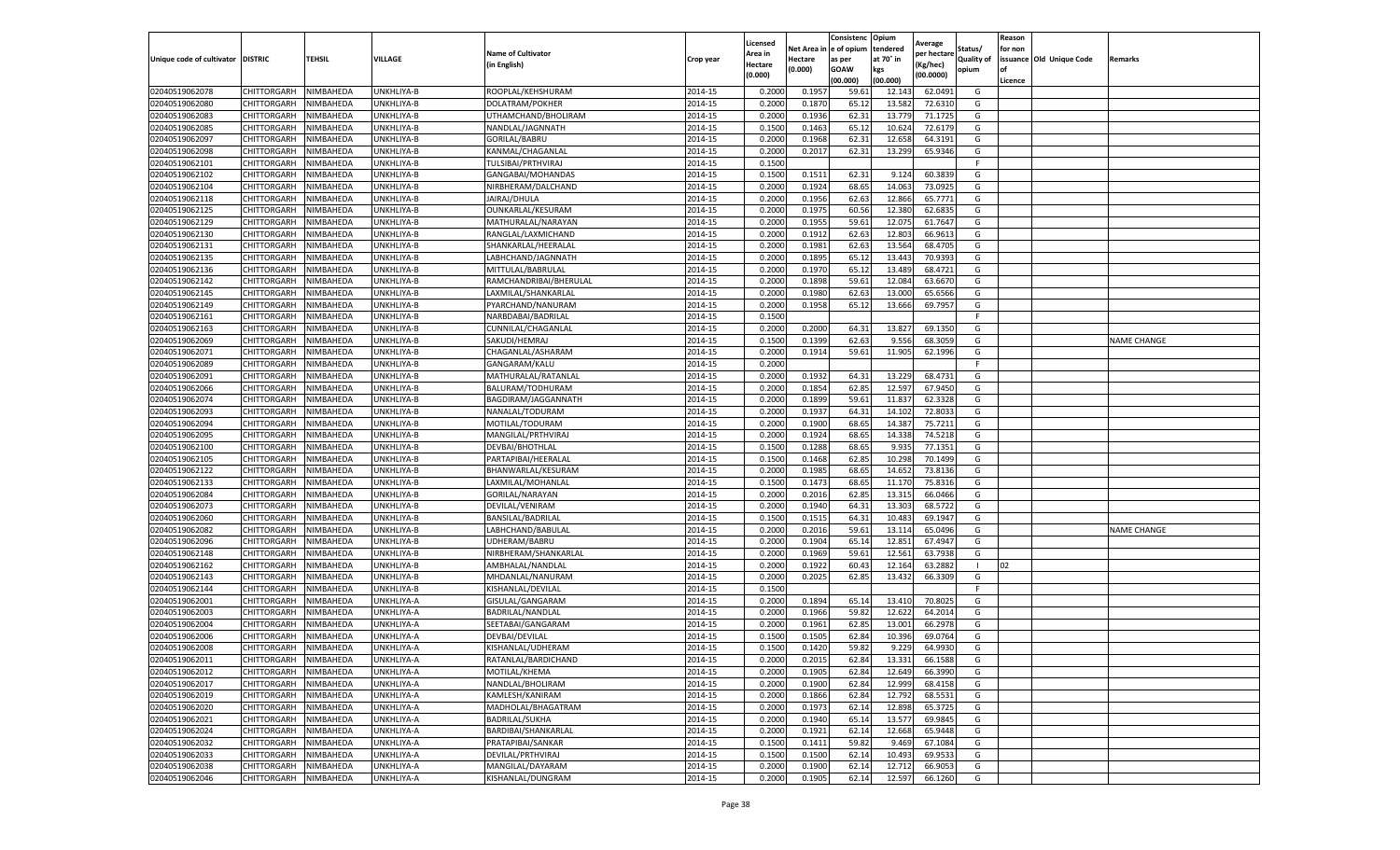|                                  |                    |                        |                   |                                             |           |                     |                  | Consistenc             | Opium     |                        |                   | Reason  |                          |                    |
|----------------------------------|--------------------|------------------------|-------------------|---------------------------------------------|-----------|---------------------|------------------|------------------------|-----------|------------------------|-------------------|---------|--------------------------|--------------------|
|                                  |                    |                        |                   | <b>Name of Cultivator</b>                   |           | Licensed<br>Area in |                  | Net Area in e of opium | tendered  | Average<br>per hectare | Status/           | for non |                          |                    |
| Unique code of cultivator        | <b>DISTRIC</b>     | TEHSIL                 | VILLAGE           | in English)                                 | Crop year | Hectare             | Hectare          | as per                 | at 70° in | (Kg/hec                | <b>Quality of</b> |         | issuance Old Unique Code | <b>Remarks</b>     |
|                                  |                    |                        |                   |                                             |           | (0.000)             | (0.000)          | <b>GOAW</b>            | kgs       | (00.0000)              | opium             |         |                          |                    |
|                                  |                    |                        |                   |                                             |           |                     |                  | (00.000)               | (00.000)  |                        |                   | Licence |                          |                    |
| 02040519062078                   | CHITTORGARH        | NIMBAHEDA              | UNKHLIYA-B        | ROOPLAL/KEHSHURAM                           | 2014-15   | 0.2000              | 0.1957           | 59.61                  | 12.14     | 62.0491                | G                 |         |                          |                    |
| 02040519062080                   | CHITTORGARH        | NIMBAHEDA              | UNKHLIYA-B        | <b>DOLATRAM/POKHER</b>                      | 2014-15   | 0.2000              | 0.1870           | 65.12                  | 13.58     | 72.6310                | G                 |         |                          |                    |
| 02040519062083                   | CHITTORGARH        | NIMBAHEDA              | UNKHLIYA-B        | UTHAMCHAND/BHOLIRAM                         | 2014-15   | 0.2000              | 0.1936           | 62.31                  | 13.77     | 71.1725                | G                 |         |                          |                    |
| 02040519062085                   | CHITTORGARH        | NIMBAHEDA              | UNKHLIYA-B        | NANDLAL/JAGNNATH                            | 2014-15   | 0.1500              | 0.1463           | 65.12                  | 10.624    | 72.6179                | G                 |         |                          |                    |
| 02040519062097                   | CHITTORGARH        | NIMBAHEDA              | UNKHLIYA-B        | GORILAL/BABRU                               | 2014-15   | 0.2000              | 0.1968           | 62.31                  | 12.65     | 64.3191                | G                 |         |                          |                    |
| 02040519062098                   | CHITTORGARH        | NIMBAHEDA              | UNKHLIYA-B        | KANMAL/CHAGANLAI                            | 2014-15   | 0.2000              | 0.2017           | 62.31                  | 13.299    | 65.9346                | G                 |         |                          |                    |
| 02040519062101                   | CHITTORGARH        | NIMBAHEDA              | UNKHLIYA-B        | TULSIBAI/PRTHVIRAJ                          | 2014-15   | 0.1500              |                  |                        |           |                        | F                 |         |                          |                    |
| 02040519062102                   | CHITTORGARH        | NIMBAHEDA              | UNKHLIYA-B        | GANGABAI/MOHANDAS                           | 2014-15   | 0.1500              | 0.1511           | 62.31                  | 9.124     | 60.3839                | G                 |         |                          |                    |
| 02040519062104                   | CHITTORGARH        | NIMBAHEDA              | UNKHLIYA-B        | NIRBHERAM/DALCHAND                          | 2014-15   | 0.2000              | 0.1924           | 68.65                  | 14.063    | 73.0925                | G                 |         |                          |                    |
| 02040519062118                   | CHITTORGARH        | NIMBAHEDA              | UNKHLIYA-B        | JAIRAJ/DHULA                                | 2014-15   | 0.2000              | 0.1956           | 62.63                  | 12.866    | 65.7771                | G                 |         |                          |                    |
| 02040519062125                   | CHITTORGARH        | NIMBAHEDA              | UNKHLIYA-B        | OUNKARLAL/KESURAM                           | 2014-15   | 0.2000              | 0.1975           | 60.56                  | 12.380    | 62.6835                | G                 |         |                          |                    |
| 02040519062129                   | CHITTORGARH        | NIMBAHEDA              | UNKHLIYA-B        | MATHURALAL/NARAYAN                          | 2014-15   | 0.2000              | 0.1955           | 59.61                  | 12.075    | 61.7647                | G                 |         |                          |                    |
| 02040519062130                   | CHITTORGARH        | NIMBAHEDA              | UNKHLIYA-B        | RANGLAL/LAXMICHAND                          | 2014-15   | 0.2000              | 0.1912           | 62.63                  | 12.803    | 66.9613                | G                 |         |                          |                    |
| 02040519062131                   | CHITTORGARH        | NIMBAHEDA              | UNKHLIYA-B        | SHANKARLAL/HEERALAL                         | 2014-15   | 0.2000              | 0.1981           | 62.63                  | 13.564    | 68.4705                | G                 |         |                          |                    |
| 02040519062135                   | CHITTORGARH        | NIMBAHEDA              | UNKHLIYA-B        | LABHCHAND/JAGNNATH                          | 2014-15   | 0.2000              | 0.1895           | 65.12                  | 13.443    | 70.9393                | G                 |         |                          |                    |
| 02040519062136                   | CHITTORGARH        | NIMBAHEDA              | UNKHLIYA-B        | MITTULAL/BABRULAL                           | 2014-15   | 0.2000              | 0.1970           | 65.12                  | 13.489    | 68.4721                | G                 |         |                          |                    |
| 02040519062142                   | CHITTORGARH        | NIMBAHEDA              | UNKHLIYA-B        | RAMCHANDRIBAI/BHERULAL                      | 2014-15   | 0.2000              | 0.1898           | 59.61                  | 12.084    | 63.6670                | G                 |         |                          |                    |
| 02040519062145                   | CHITTORGARH        | NIMBAHEDA              | UNKHLIYA-B        | LAXMILAL/SHANKARLAL                         | 2014-15   | 0.2000              | 0.1980           | 62.63                  | 13.000    | 65.6566                | G                 |         |                          |                    |
| 02040519062149                   | CHITTORGARH        | NIMBAHEDA              | UNKHLIYA-B        | PYARCHAND/NANURAM                           | 2014-15   | 0.2000              | 0.1958           | 65.12                  | 13.666    | 69.7957                | G                 |         |                          |                    |
| 02040519062161                   | CHITTORGARH        | NIMBAHEDA              | UNKHLIYA-B        | NARBDABAI/BADRILAL                          | 2014-15   | 0.1500              |                  |                        |           |                        | F.                |         |                          |                    |
| 02040519062163                   | CHITTORGARH        | NIMBAHEDA              | UNKHLIYA-B        | CUNNILAL/CHAGANLAL                          | 2014-15   | 0.2000              | 0.2000           | 64.31                  | 13.827    | 69.1350                | G                 |         |                          |                    |
| 02040519062069                   | CHITTORGARH        | NIMBAHEDA              | UNKHLIYA-B        | SAKUDI/HEMRAJ                               | 2014-15   | 0.1500              | 0.1399           | 62.63                  | 9.556     | 68.3059                | G                 |         |                          | <b>NAME CHANGE</b> |
| 02040519062071                   | CHITTORGARH        | NIMBAHEDA              | UNKHLIYA-B        | CHAGANLAL/ASHARAM                           | 2014-15   | 0.2000              | 0.1914           | 59.61                  | 11.905    | 62.1996                | G                 |         |                          |                    |
| 02040519062089                   | CHITTORGARH        | NIMBAHEDA              | <b>JNKHLIYA-B</b> | GANGARAM/KALU                               | 2014-15   | 0.2000              |                  |                        |           |                        | F                 |         |                          |                    |
| 02040519062091                   | CHITTORGARH        | NIMBAHEDA              | UNKHLIYA-B        | MATHURALAL/RATANLAL                         | 2014-15   | 0.2000              | 0.1932           | 64.31                  | 13.229    | 68.4731                | G                 |         |                          |                    |
| 02040519062066                   | CHITTORGARH        | NIMBAHEDA              | UNKHLIYA-B        | BALURAM/TODHURAM                            | 2014-15   | 0.2000              | 0.1854           | 62.85                  | 12.597    | 67.9450                | G                 |         |                          |                    |
| 02040519062074                   | CHITTORGARH        | NIMBAHEDA              | UNKHLIYA-B        | BAGDIRAM/JAGGANNATH                         | 2014-15   | 0.2000              | 0.1899           | 59.61                  | 11.83     | 62.3328                | G                 |         |                          |                    |
| 02040519062093                   | CHITTORGARH        | NIMBAHEDA              | UNKHLIYA-B        | NANALAL/TODURAM                             | 2014-15   | 0.2000              | 0.1937           | 64.31                  | 14.102    | 72.8033                | G                 |         |                          |                    |
| 02040519062094                   | CHITTORGARH        | NIMBAHEDA              | UNKHLIYA-B        | MOTILAL/TODURAM                             | 2014-15   | 0.2000              | 0.1900           | 68.65                  | 14.387    | 75.7211                | G                 |         |                          |                    |
| 02040519062095                   | CHITTORGARH        | NIMBAHEDA              | UNKHLIYA-B        | MANGILAL/PRTHVIRAJ                          | 2014-15   | 0.2000              | 0.1924           | 68.65                  | 14.338    | 74.5218                | G                 |         |                          |                    |
| 02040519062100                   | CHITTORGARH        | NIMBAHEDA              | UNKHLIYA-B        | DEVBAI/BHOTHLAL                             | 2014-15   | 0.1500              | 0.1288           | 68.65                  | 9.93      | 77.1351                | G                 |         |                          |                    |
| 02040519062105                   | CHITTORGARH        | NIMBAHEDA              | UNKHLIYA-B        | PARTAPIBAI/HEERALAL                         | 2014-15   | 0.1500              | 0.1468           | 62.85                  | 10.298    | 70.1499                | G                 |         |                          |                    |
| 02040519062122                   | CHITTORGARH        | NIMBAHEDA              | UNKHLIYA-B        | BHANWARLAL/KESURAM                          | 2014-15   | 0.2000              | 0.1985           | 68.65                  | 14.65     | 73.8136                | G                 |         |                          |                    |
| 02040519062133                   | CHITTORGARH        | NIMBAHEDA              | UNKHLIYA-B        | LAXMILAL/MOHANLAL                           | 2014-15   | 0.1500              | 0.1473           | 68.65                  | 11.17     | 75.8316                | G                 |         |                          |                    |
| 02040519062084                   | CHITTORGARH        | NIMBAHEDA              | UNKHLIYA-B        | GORILAL/NARAYAN                             | 2014-15   | 0.2000              | 0.2016           | 62.85                  | 13.315    | 66.0466                | G                 |         |                          |                    |
| 02040519062073                   | CHITTORGARH        | NIMBAHEDA              | UNKHLIYA-B        | DEVILAL/VENIRAM                             | 2014-15   | 0.2000              | 0.1940           | 64.31                  | 13.303    | 68.5722                | G                 |         |                          |                    |
| 02040519062060                   | CHITTORGARH        | NIMBAHEDA              | UNKHLIYA-B        | BANSILAL/BADRILAL                           | 2014-15   | 0.1500              | 0.1515           | 64.31                  | 10.483    | 69.1947                | G                 |         |                          |                    |
| 02040519062082                   | CHITTORGARH        | NIMBAHEDA              | JNKHLIYA-B        | LABHCHAND/BABULAL                           | 2014-15   | 0.2000              | 0.2016           | 59.61                  | 13.11     | 65.0496                | G                 |         |                          | <b>NAME CHANGE</b> |
| 02040519062096                   | CHITTORGARH        | NIMBAHEDA              | UNKHLIYA-B        | UDHERAM/BABRU                               | 2014-15   | 0.2000              | 0.1904           | 65.14                  | 12.85     | 67.4947                | G                 |         |                          |                    |
| 02040519062148                   | CHITTORGARH        | NIMBAHEDA              | UNKHLIYA-B        | NIRBHERAM/SHANKARLAL                        | 2014-15   | 0.2000              | 0.1969           | 59.61                  | 12.561    | 63.7938                | G                 |         |                          |                    |
| 02040519062162                   | CHITTORGARH        | NIMBAHEDA              | UNKHLIYA-B        | AMBHALAL/NANDLAL                            | 2014-15   | 0.2000              | 0.1922           | 60.43                  | 12.16     | 63.2882                | -1                | 02      |                          |                    |
| 02040519062143                   | CHITTORGARH        | NIMBAHEDA              | UNKHLIYA-B        | MHDANLAL/NANURAM                            | 2014-15   | 0.2000              | 0.2025           | 62.85                  | 13.432    | 66.3309                | G                 |         |                          |                    |
| 02040519062144                   | CHITTORGARH        | NIMBAHEDA              | <b>JNKHLIYA-B</b> | KISHANLAL/DEVILAL                           | 2014-15   | 0.1500              |                  |                        |           |                        | F                 |         |                          |                    |
| 02040519062001                   | CHITTORGARH        | NIMBAHEDA              | UNKHLIYA-A        | GISULAL/GANGARAM                            | 2014-15   | 0.2000              | 0.1894           | 65.14                  | 13.41     | 70.802                 | G                 |         |                          |                    |
| 02040519062003                   | CHITTORGARH        | NIMBAHEDA              | UNKHLIYA-A        | BADRILAL/NANDLAL                            | 2014-15   | 0.2000              | 0.1966           | 59.82                  | 12.622    | 64.2014                | G                 |         |                          |                    |
| 02040519062004                   | CHITTORGARH        | NIMBAHEDA              | UNKHLIYA-A        | SEETABAI/GANGARAM                           | 2014-15   | 0.2000              | 0.1961           | 62.85                  | 13.001    | 66.2978                | G                 |         |                          |                    |
| 02040519062006                   | CHITTORGARH        | NIMBAHEDA              | UNKHLIYA-A        | DEVBAI/DEVILAL                              | 2014-15   | 0.1500              | 0.1505           | 62.84                  | 10.396    | 69.0764                | G                 |         |                          |                    |
| 02040519062008                   | CHITTORGARH        | NIMBAHEDA              | UNKHLIYA-A        | KISHANLAL/UDHERAM                           | 2014-15   | 0.1500              | 0.1420           | 59.82                  | 9.229     | 64.9930                | G                 |         |                          |                    |
| 02040519062011                   | CHITTORGARH        | NIMBAHEDA              | UNKHLIYA-A        | RATANLAL/BARDICHAND                         | 2014-15   | 0.2000              | 0.2015           | 62.84                  | 13.331    | 66.1588                | G                 |         |                          |                    |
| 02040519062012                   | CHITTORGARH        | NIMBAHEDA              | UNKHLIYA-A        | MOTILAL/KHEMA                               | 2014-15   | 0.2000              | 0.1905           | 62.84                  | 12.649    | 66.3990                | G                 |         |                          |                    |
| 02040519062017                   | CHITTORGARH        | NIMBAHEDA              | UNKHLIYA-A        | NANDLAL/BHOLIRAM                            | 2014-15   | 0.2000              | 0.1900           | 62.84                  | 12.999    | 68.4158                | G                 |         |                          |                    |
|                                  |                    |                        |                   |                                             |           |                     |                  |                        |           |                        |                   |         |                          |                    |
| 02040519062019<br>02040519062020 | CHITTORGARH        | NIMBAHEDA              | UNKHLIYA-A        | KAMLESH/KANIRAM                             | 2014-15   | 0.2000              | 0.1866           | 62.84                  | 12.792    | 68.5531                | G                 |         |                          |                    |
|                                  | CHITTORGARH        | NIMBAHEDA              | UNKHLIYA-A        | MADHOLAL/BHAGATRAM<br><b>BADRILAL/SUKHA</b> | 2014-15   | 0.2000              | 0.1973           | 62.14                  | 12.898    | 65.3725<br>69.9845     | G<br>G            |         |                          |                    |
| 02040519062021                   | <b>CHITTORGARH</b> | NIMBAHEDA              | UNKHLIYA-A        |                                             | 2014-15   | 0.2000              | 0.1940           | 65.14                  | 13.577    |                        |                   |         |                          |                    |
| 02040519062024                   | CHITTORGARH        | NIMBAHEDA              | UNKHLIYA-A        | BARDIBAI/SHANKARLAL<br>PRATAPIBAI/SANKAR    | 2014-15   | 0.2000              | 0.1921           | 62.14                  | 12.668    | 65.9448                | G                 |         |                          |                    |
| 02040519062032                   | <b>CHITTORGARH</b> | NIMBAHEDA<br>NIMBAHEDA | UNKHLIYA-A        |                                             | 2014-15   | 0.1500              | 0.1411<br>0.1500 | 59.82                  | 9.469     | 67.1084                | G<br>G            |         |                          |                    |
| 02040519062033                   | CHITTORGARH        |                        | UNKHLIYA-A        | DEVILAL/PRTHVIRAJ                           | 2014-15   | 0.1500              |                  | 62.14                  | 10.493    | 69.9533                |                   |         |                          |                    |
| 02040519062038                   | CHITTORGARH        | NIMBAHEDA              | UNKHLIYA-A        | MANGILAL/DAYARAM                            | 2014-15   | 0.2000              | 0.1900           | 62.14                  | 12.712    | 66.9053                | G                 |         |                          |                    |
| 02040519062046                   | <b>CHITTORGARH</b> | NIMBAHEDA              | UNKHLIYA-A        | KISHANLAL/DUNGRAM                           | 2014-15   | 0.2000              | 0.1905           | 62.14                  | 12.597    | 66.1260                | G                 |         |                          |                    |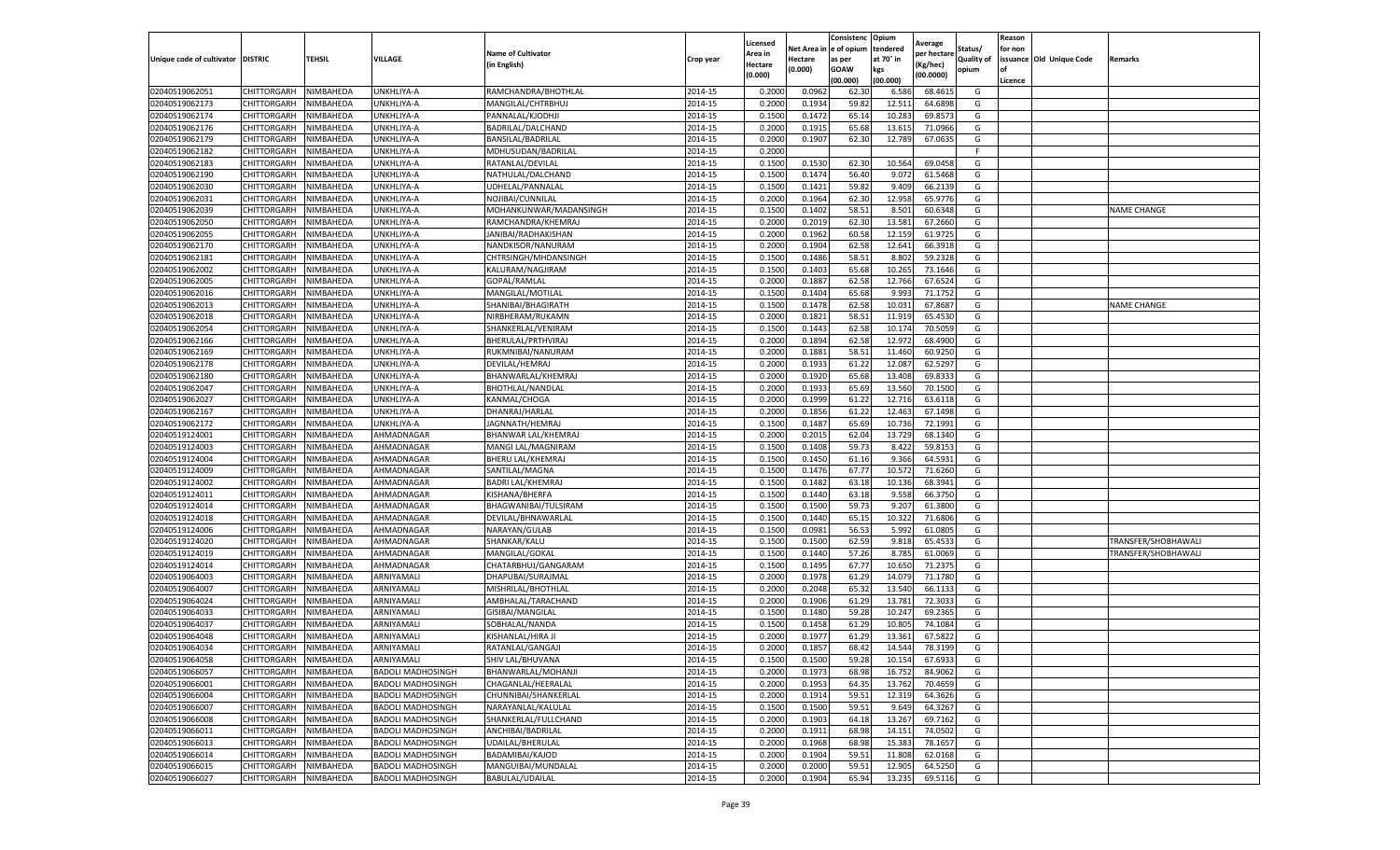|                           |                       |           |                          |                           |           | Licensed |         | Consistenc             | Opium     | Average     |                   | Reason  |                          |                     |
|---------------------------|-----------------------|-----------|--------------------------|---------------------------|-----------|----------|---------|------------------------|-----------|-------------|-------------------|---------|--------------------------|---------------------|
|                           |                       |           |                          | <b>Name of Cultivator</b> |           | Area in  |         | Net Area in e of opium | tendered  | per hectare | Status/           | for non |                          |                     |
| Unique code of cultivator | <b>DISTRIC</b>        | TEHSIL    | VILLAGE                  | in English)               | Crop year | Hectare  | Hectare | as per                 | at 70° in | (Kg/hec     | <b>Quality of</b> |         | issuance Old Unique Code | <b>Remarks</b>      |
|                           |                       |           |                          |                           |           | (0.000)  | (0.000) | <b>GOAW</b>            | kgs       | (00.0000)   | opium             |         |                          |                     |
|                           |                       |           |                          |                           |           |          |         | (00.000)               | (00.000)  |             |                   | Licence |                          |                     |
| 02040519062051            | CHITTORGARH           | NIMBAHEDA | UNKHLIYA-A               | RAMCHANDRA/BHOTHLAL       | 2014-15   | 0.2000   | 0.0962  | 62.30                  | 6.586     | 68.4615     | G                 |         |                          |                     |
| 02040519062173            | CHITTORGARH           | NIMBAHEDA | UNKHLIYA-A               | MANGILAL/CHTRBHUJ         | 2014-15   | 0.2000   | 0.1934  | 59.82                  | 12.51     | 64.6898     | G                 |         |                          |                     |
| 02040519062174            | CHITTORGARH           | NIMBAHEDA | UNKHLIYA-A               | PANNALAL/KJODHJI          | 2014-15   | 0.1500   | 0.1472  | 65.14                  | 10.28     | 69.8573     | G                 |         |                          |                     |
| 02040519062176            | CHITTORGARH           | NIMBAHEDA | UNKHLIYA-A               | BADRILAL/DALCHAND         | 2014-15   | 0.2000   | 0.1915  | 65.68                  | 13.615    | 71.0966     | G                 |         |                          |                     |
| 02040519062179            | CHITTORGARH           | NIMBAHEDA | UNKHLIYA-A               | BANSILAL/BADRILAL         | 2014-15   | 0.2000   | 0.1907  | 62.30                  | 12.789    | 67.0635     | G                 |         |                          |                     |
| 02040519062182            | CHITTORGARH           | NIMBAHEDA | UNKHLIYA-A               | MDHUSUDAN/BADRILAL        | 2014-15   | 0.2000   |         |                        |           |             | F                 |         |                          |                     |
| 02040519062183            | CHITTORGARH           | NIMBAHEDA | UNKHLIYA-A               | RATANLAL/DEVILAL          | 2014-15   | 0.1500   | 0.1530  | 62.30                  | 10.564    | 69.0458     | G                 |         |                          |                     |
| 02040519062190            | CHITTORGARH           | NIMBAHEDA | UNKHLIYA-A               | NATHULAL/DALCHAND         | 2014-15   | 0.1500   | 0.1474  | 56.40                  | 9.072     | 61.5468     | G                 |         |                          |                     |
| 02040519062030            | CHITTORGARH           | NIMBAHEDA | UNKHLIYA-A               | UDHELAL/PANNALAL          | 2014-15   | 0.1500   | 0.1421  | 59.82                  | 9.409     | 66.2139     | G                 |         |                          |                     |
| 02040519062031            | CHITTORGARH           | NIMBAHEDA | UNKHLIYA-A               | NOJIBAI/CUNNILAL          | 2014-15   | 0.2000   | 0.1964  | 62.30                  | 12.958    | 65.9776     | G                 |         |                          |                     |
| 02040519062039            | CHITTORGARH           | NIMBAHEDA | UNKHLIYA-A               | MOHANKUNWAR/MADANSINGH    | 2014-15   | 0.1500   | 0.1402  | 58.51                  | 8.501     | 60.6348     | G                 |         |                          | <b>NAME CHANGE</b>  |
| 02040519062050            | CHITTORGARH           | NIMBAHEDA | UNKHLIYA-A               | RAMCHANDRA/KHEMRAJ        | 2014-15   | 0.2000   | 0.2019  | 62.30                  | 13.581    | 67.2660     | G                 |         |                          |                     |
| 02040519062055            | CHITTORGARH           | NIMBAHEDA | <b>JNKHLIYA-A</b>        | JANIBAI/RADHAKISHAN       | 2014-15   | 0.2000   | 0.1962  | 60.58                  | 12.159    | 61.9725     | G                 |         |                          |                     |
| 02040519062170            | CHITTORGARH           | NIMBAHEDA | UNKHLIYA-A               | NANDKISOR/NANURAM         | 2014-15   | 0.2000   | 0.1904  | 62.58                  | 12.641    | 66.3918     | G                 |         |                          |                     |
| 02040519062181            | CHITTORGARH           | NIMBAHEDA | UNKHLIYA-A               | CHTRSINGH/MHDANSINGH      | 2014-15   | 0.1500   | 0.1486  | 58.51                  | 8.802     | 59.2328     | G                 |         |                          |                     |
| 02040519062002            | CHITTORGARH           | NIMBAHEDA | UNKHLIYA-A               | KALURAM/NAGJIRAM          | 2014-15   | 0.1500   | 0.1403  | 65.68                  | 10.265    | 73.1646     | G                 |         |                          |                     |
| 02040519062005            | CHITTORGARH           | NIMBAHEDA | UNKHLIYA-A               | GOPAL/RAMLAL              | 2014-15   | 0.2000   | 0.1887  | 62.58                  | 12.766    | 67.6524     | G                 |         |                          |                     |
| 02040519062016            | CHITTORGARH           | NIMBAHEDA | UNKHLIYA-A               | MANGILAL/MOTILAL          | 2014-15   | 0.1500   | 0.1404  | 65.68                  | 9.99      | 71.1752     | G                 |         |                          |                     |
| 02040519062013            | CHITTORGARH           | NIMBAHEDA | UNKHLIYA-A               | SHANIBAI/BHAGIRATH        | 2014-15   | 0.1500   | 0.1478  | 62.58                  | 10.03     | 67.8687     | G                 |         |                          | <b>NAME CHANGE</b>  |
| 02040519062018            | CHITTORGARH           | NIMBAHEDA | UNKHLIYA-A               | NIRBHERAM/RUKAMN          | 2014-15   | 0.2000   | 0.1821  | 58.51                  | 11.91     | 65.4530     | G                 |         |                          |                     |
| 02040519062054            | CHITTORGARH           | NIMBAHEDA | UNKHLIYA-A               | SHANKERLAL/VENIRAM        | 2014-15   | 0.1500   | 0.1443  | 62.58                  | 10.174    | 70.5059     | G                 |         |                          |                     |
| 02040519062166            | CHITTORGARH           | NIMBAHEDA | UNKHLIYA-A               | BHERULAL/PRTHVIRAJ        | 2014-15   | 0.2000   | 0.1894  | 62.58                  | 12.972    | 68.4900     | G                 |         |                          |                     |
| 02040519062169            | CHITTORGARH           | NIMBAHEDA | UNKHLIYA-A               | RUKMNIBAI/NANURAM         | 2014-15   | 0.2000   | 0.1881  | 58.51                  | 11.460    | 60.9250     | G                 |         |                          |                     |
| 02040519062178            | CHITTORGARH           | NIMBAHEDA | UNKHLIYA-A               | DEVILAL/HEMRAJ            | 2014-15   | 0.2000   | 0.1933  | 61.22                  | 12.08     | 62.5297     | G                 |         |                          |                     |
| 02040519062180            | CHITTORGARH           | NIMBAHEDA | UNKHLIYA-A               | BHANWARLAL/KHEMRAJ        | 2014-15   | 0.2000   | 0.1920  | 65.68                  | 13.40     | 69.833      | G                 |         |                          |                     |
| 02040519062047            | CHITTORGARH           | NIMBAHEDA | UNKHLIYA-A               | <b>BHOTHLAL/NANDLAI</b>   | 2014-15   | 0.2000   | 0.1933  | 65.69                  | 13.560    | 70.1500     | G                 |         |                          |                     |
| 02040519062027            | CHITTORGARH           | NIMBAHEDA | <b>JNKHLIYA-A</b>        | KANMAL/CHOGA              | 2014-15   | 0.2000   | 0.1999  | 61.22                  | 12.716    | 63.6118     | G                 |         |                          |                     |
| 02040519062167            | CHITTORGARH           | NIMBAHEDA | UNKHLIYA-A               | DHANRAJ/HARLAL            | 2014-15   | 0.2000   | 0.1856  | 61.22                  | 12.463    | 67.1498     | G                 |         |                          |                     |
| 02040519062172            | CHITTORGARH           | NIMBAHEDA | UNKHLIYA-A               | JAGNNATH/HEMRAJ           | 2014-15   | 0.1500   | 0.1487  | 65.69                  | 10.736    | 72.1991     | G                 |         |                          |                     |
| 02040519124001            | CHITTORGARH           | NIMBAHEDA | AHMADNAGAR               | BHANWAR LAL/KHEMRAJ       | 2014-15   | 0.2000   | 0.2015  | 62.04                  | 13.729    | 68.1340     | G                 |         |                          |                     |
| 02040519124003            | CHITTORGARH           | NIMBAHEDA | AHMADNAGAR               | MANGI LAL/MAGNIRAM        | 2014-15   | 0.1500   | 0.1408  | 59.73                  | 8.422     | 59.815      | G                 |         |                          |                     |
| 02040519124004            | CHITTORGARH           | NIMBAHEDA | AHMADNAGAR               | BHERU LAL/KHEMRAJ         | 2014-15   | 0.1500   | 0.1450  | 61.16                  | 9.366     | 64.5931     | G                 |         |                          |                     |
| 02040519124009            | CHITTORGARH           | NIMBAHEDA | AHMADNAGAR               | SANTILAL/MAGNA            | 2014-15   | 0.1500   | 0.1476  | 67.77                  | 10.57     | 71.6260     | G                 |         |                          |                     |
| 02040519124002            | CHITTORGARH           | NIMBAHEDA | AHMADNAGAR               | <b>BADRI LAL/KHEMRAJ</b>  | 2014-15   | 0.1500   | 0.1482  | 63.18                  | 10.136    | 68.3941     | G                 |         |                          |                     |
| 02040519124011            | CHITTORGARH           | NIMBAHEDA | AHMADNAGAR               | KISHANA/BHERFA            | 2014-15   | 0.1500   | 0.1440  | 63.18                  | 9.558     | 66.3750     | G                 |         |                          |                     |
| 02040519124014            | CHITTORGARH           | NIMBAHEDA | AHMADNAGAR               | BHAGWANIBAI/TULSIRAM      | 2014-15   | 0.1500   | 0.1500  | 59.73                  | 9.207     | 61.3800     | G                 |         |                          |                     |
| 02040519124018            | CHITTORGARH           | NIMBAHEDA | AHMADNAGAR               | DEVILAL/BHNAWARLAL        | 2014-15   | 0.1500   | 0.1440  | 65.15                  | 10.322    | 71.6806     | G                 |         |                          |                     |
| 02040519124006            | CHITTORGARH           | NIMBAHEDA | AHMADNAGAR               | NARAYAN/GULAB             | 2014-15   | 0.1500   | 0.0981  | 56.53                  | 5.992     | 61.0805     | G                 |         |                          |                     |
| 02040519124020            | CHITTORGARH           | NIMBAHEDA | AHMADNAGAR               | SHANKAR/KALU              | 2014-15   | 0.1500   | 0.1500  | 62.59                  | 9.81      | 65.453      | G                 |         |                          | TRANSFER/SHOBHAWALI |
| 02040519124019            | CHITTORGARH           | NIMBAHEDA | AHMADNAGAR               | MANGILAL/GOKAL            | 2014-15   | 0.1500   | 0.1440  | 57.26                  | 8.785     | 61.0069     | G                 |         |                          | TRANSFER/SHOBHAWALI |
| 02040519124014            | CHITTORGARH           | NIMBAHEDA | AHMADNAGAR               | CHATARBHUJ/GANGARAM       | 2014-15   | 0.1500   | 0.1495  | 67.77                  | 10.65     | 71.2375     | G                 |         |                          |                     |
| 02040519064003            | CHITTORGARH           | NIMBAHEDA | ARNIYAMALI               | DHAPUBAI/SURAJMAL         | 2014-15   | 0.2000   | 0.1978  | 61.29                  | 14.079    | 71.1780     | G                 |         |                          |                     |
| 02040519064007            | CHITTORGARH           | NIMBAHEDA | ARNIYAMALI               | MISHRILAL/BHOTHLAL        | 2014-15   | 0.2000   | 0.2048  | 65.32                  | 13.54     | 66.1133     | G                 |         |                          |                     |
| 02040519064024            | CHITTORGARH           | NIMBAHEDA | ARNIYAMALI               | AMBHALAL/TARACHAND        | 2014-15   | 0.2000   | 0.1906  | 61.29                  | 13.781    | 72.3033     | G                 |         |                          |                     |
| 02040519064033            | CHITTORGARH           | NIMBAHEDA | ARNIYAMALI               | GISIBAI/MANGILAL          | 2014-15   | 0.1500   | 0.1480  | 59.28                  | 10.247    | 69.2365     | G                 |         |                          |                     |
| 02040519064037            | CHITTORGARH           | NIMBAHEDA | ARNIYAMALI               | SOBHALAL/NANDA            | 2014-15   | 0.1500   | 0.1458  | 61.29                  | 10.805    | 74.1084     | G                 |         |                          |                     |
| 02040519064048            | CHITTORGARH           | NIMBAHEDA | ARNIYAMALI               | KISHANLAL/HIRA JI         | 2014-15   | 0.2000   | 0.1977  | 61.29                  | 13.361    | 67.5822     | G                 |         |                          |                     |
| 02040519064034            | CHITTORGARH           | NIMBAHEDA | ARNIYAMALI               | RATANLAL/GANGAJI          | 2014-15   | 0.2000   | 0.1857  | 68.42                  | 14.544    | 78.3199     | G                 |         |                          |                     |
| 02040519064058            | CHITTORGARH NIMBAHEDA |           | ARNIYAMALI               | SHIV LAL/BHUVANA          | 2014-15   | 0.1500   | 0.1500  | 59.28                  | 10.154    | 67.6933     | G                 |         |                          |                     |
| 02040519066057            | CHITTORGARH           | NIMBAHEDA | <b>BADOLI MADHOSINGH</b> | BHANWARLAL/MOHANJI        | 2014-15   | 0.2000   | 0.1973  | 68.98                  | 16.752    | 84.9062     | G                 |         |                          |                     |
| 02040519066001            | CHITTORGARH           | NIMBAHEDA | <b>BADOLI MADHOSINGH</b> | CHAGANLAL/HEERALAL        | 2014-15   | 0.2000   | 0.1953  | 64.35                  | 13.762    | 70.4659     | G                 |         |                          |                     |
| 02040519066004            | <b>CHITTORGARH</b>    | NIMBAHEDA | <b>BADOLI MADHOSINGH</b> | CHUNNIBAI/SHANKERLAL      | 2014-15   | 0.2000   | 0.1914  | 59.51                  | 12.319    | 64.3626     | G                 |         |                          |                     |
| 02040519066007            | CHITTORGARH           | NIMBAHEDA | <b>BADOLI MADHOSINGH</b> | NARAYANLAL/KALULAL        | 2014-15   | 0.1500   | 0.1500  | 59.51                  | 9.649     | 64.3267     | G                 |         |                          |                     |
| 02040519066008            | <b>CHITTORGARH</b>    | NIMBAHEDA | <b>BADOLI MADHOSINGH</b> | SHANKERLAL/FULLCHAND      | 2014-15   | 0.2000   | 0.1903  | 64.18                  | 13.267    | 69.7162     | G                 |         |                          |                     |
| 02040519066011            | CHITTORGARH           | NIMBAHEDA | <b>BADOLI MADHOSINGH</b> | ANCHIBAI/BADRILAL         | 2014-15   | 0.2000   | 0.1911  | 68.98                  | 14.151    | 74.0502     | G                 |         |                          |                     |
| 02040519066013            | CHITTORGARH           | NIMBAHEDA | <b>BADOLI MADHOSINGH</b> | UDAILAL/BHERULAL          | 2014-15   | 0.2000   | 0.1968  | 68.98                  | 15.383    | 78.1657     | G                 |         |                          |                     |
| 02040519066014            | <b>CHITTORGARH</b>    | NIMBAHEDA | <b>BADOLI MADHOSINGH</b> | BADAMIBAI/KAJOD           | 2014-15   | 0.2000   | 0.1904  | 59.51                  | 11.808    | 62.0168     | G                 |         |                          |                     |
| 02040519066015            | CHITTORGARH           | NIMBAHEDA | <b>BADOLI MADHOSINGH</b> | MANGUIBAI/MUNDALAL        | 2014-15   | 0.2000   | 0.2000  | 59.51                  | 12.905    | 64.5250     | G                 |         |                          |                     |
| 02040519066027            | <b>CHITTORGARH</b>    | NIMBAHEDA | <b>BADOLI MADHOSINGH</b> | <b>BABULAL/UDAILAL</b>    | 2014-15   | 0.2000   | 0.1904  | 65.94                  | 13.235    | 69.5116     | G                 |         |                          |                     |
|                           |                       |           |                          |                           |           |          |         |                        |           |             |                   |         |                          |                     |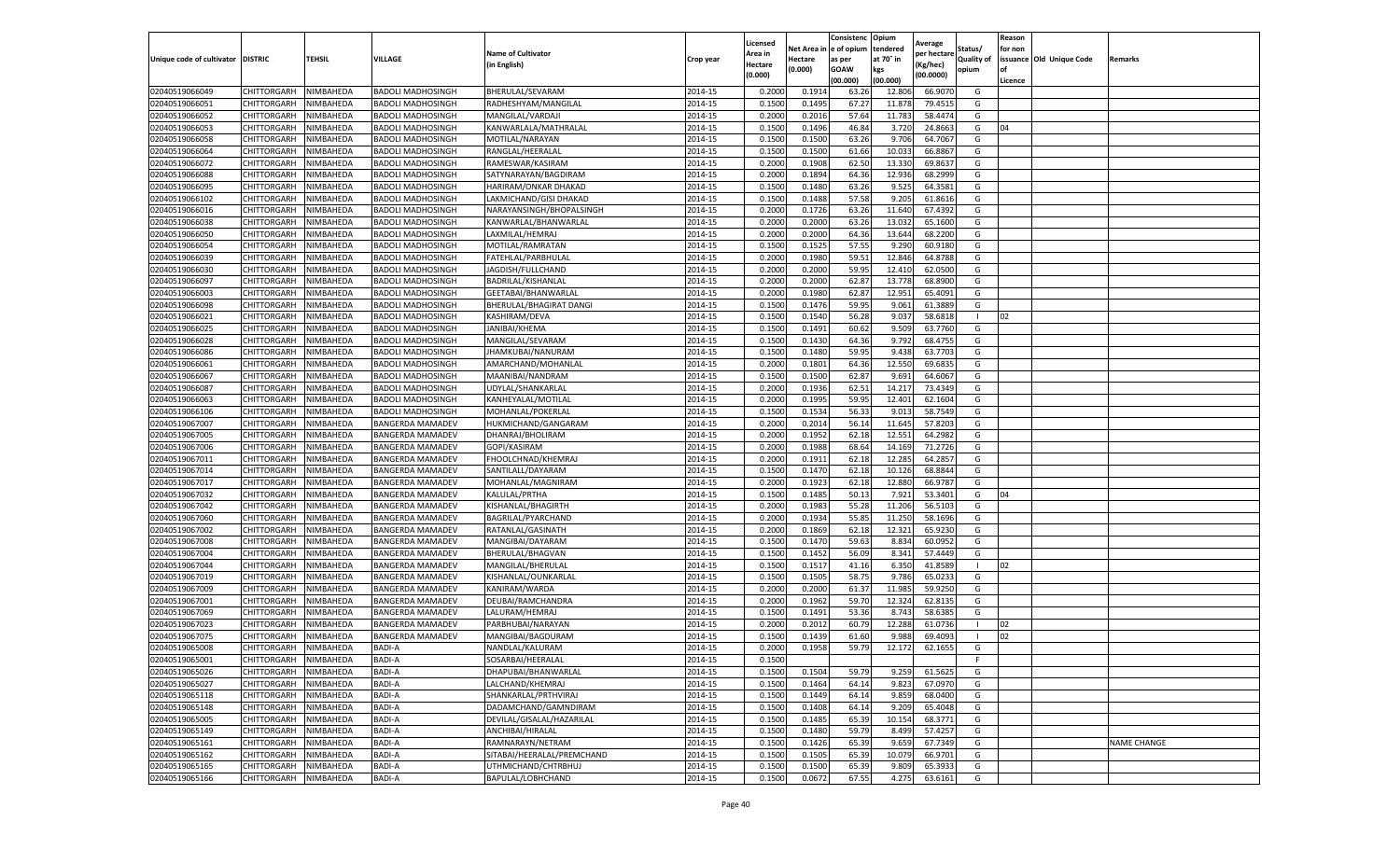|                                   |                    |           |                          |                            |           | Licensed |         | Consistenc             | Opium     |                        |                   | Reason  |                          |                    |
|-----------------------------------|--------------------|-----------|--------------------------|----------------------------|-----------|----------|---------|------------------------|-----------|------------------------|-------------------|---------|--------------------------|--------------------|
|                                   |                    |           |                          | <b>Name of Cultivator</b>  |           | Area in  |         | Net Area in e of opium | tendered  | Average<br>per hectare | Status/           | for non |                          |                    |
| Unique code of cultivator DISTRIC |                    | TEHSIL    | VILLAGE                  | in English)                | Crop year | Hectare  | Hectare | as per                 | at 70° in | (Kg/hec                | <b>Quality of</b> |         | issuance Old Unique Code | <b>Remarks</b>     |
|                                   |                    |           |                          |                            |           | (0.000)  | (0.000) | <b>GOAW</b>            | kgs       | (00.0000)              | opium             | of      |                          |                    |
|                                   |                    |           |                          |                            |           |          |         | (00.000)               | (00.000)  |                        |                   | Licence |                          |                    |
| 02040519066049                    | CHITTORGARH        | NIMBAHEDA | <b>BADOLI MADHOSINGH</b> | BHERULAL/SEVARAM           | 2014-15   | 0.2000   | 0.1914  | 63.26                  | 12.806    | 66.9070                | G                 |         |                          |                    |
| 02040519066051                    | CHITTORGARH        | NIMBAHEDA | <b>BADOLI MADHOSINGH</b> | RADHESHYAM/MANGILAL        | 2014-15   | 0.1500   | 0.1495  | 67.27                  | 11.87     | 79.4515                | G                 |         |                          |                    |
| 02040519066052                    | CHITTORGARH        | NIMBAHEDA | <b>BADOLI MADHOSINGH</b> | MANGILAL/VARDAJI           | 2014-15   | 0.2000   | 0.2016  | 57.64                  | 11.783    | 58.4474                | G                 |         |                          |                    |
| 02040519066053                    | CHITTORGARH        | NIMBAHEDA | <b>BADOLI MADHOSINGH</b> | KANWARLALA/MATHRALAL       | 2014-15   | 0.1500   | 0.1496  | 46.84                  | 3.720     | 24.8663                | G                 | 04      |                          |                    |
| 02040519066058                    | CHITTORGARH        | NIMBAHEDA | <b>BADOLI MADHOSINGH</b> | MOTILAL/NARAYAN            | 2014-15   | 0.1500   | 0.1500  | 63.26                  | 9.706     | 64.7067                | G                 |         |                          |                    |
| 02040519066064                    | CHITTORGARH        | NIMBAHEDA | BADOLI MADHOSINGH        | RANGLAL/HEERALAL           | 2014-15   | 0.1500   | 0.1500  | 61.66                  | 10.03     | 66.8867                | G                 |         |                          |                    |
| 02040519066072                    | CHITTORGARH        | NIMBAHEDA | <b>BADOLI MADHOSINGH</b> | RAMESWAR/KASIRAM           | 2014-15   | 0.2000   | 0.1908  | 62.50                  | 13.33     | 69.8637                | G                 |         |                          |                    |
| 02040519066088                    | CHITTORGARH        | NIMBAHEDA | <b>BADOLI MADHOSINGH</b> | SATYNARAYAN/BAGDIRAM       | 2014-15   | 0.2000   | 0.1894  | 64.36                  | 12.936    | 68.2999                | G                 |         |                          |                    |
| 02040519066095                    | CHITTORGARH        | NIMBAHEDA | <b>BADOLI MADHOSINGH</b> | HARIRAM/ONKAR DHAKAD       | 2014-15   | 0.1500   | 0.1480  | 63.26                  | 9.525     | 64.3581                | G                 |         |                          |                    |
| 02040519066102                    | CHITTORGARH        | NIMBAHEDA | <b>BADOLI MADHOSINGH</b> | LAKMICHAND/GISI DHAKAD     | 2014-15   | 0.1500   | 0.1488  | 57.58                  | 9.205     | 61.8616                | G                 |         |                          |                    |
| 02040519066016                    | CHITTORGARH        | NIMBAHEDA | <b>BADOLI MADHOSINGH</b> | NARAYANSINGH/BHOPALSINGH   | 2014-15   | 0.2000   | 0.1726  | 63.26                  | 11.640    | 67.4392                | G                 |         |                          |                    |
| 02040519066038                    | CHITTORGARH        | NIMBAHEDA | <b>BADOLI MADHOSINGH</b> | KANWARLAL/BHANWARLAL       | 2014-15   | 0.2000   | 0.2000  | 63.26                  | 13.03     | 65.1600                | G                 |         |                          |                    |
| 02040519066050                    | CHITTORGARH        | NIMBAHEDA | <b>BADOLI MADHOSINGH</b> | LAXMILAL/HEMRAJ            | 2014-15   | 0.2000   | 0.2000  | 64.36                  | 13.644    | 68.2200                | G                 |         |                          |                    |
| 02040519066054                    | CHITTORGARH        | NIMBAHEDA | <b>BADOLI MADHOSINGH</b> | MOTILAL/RAMRATAN           | 2014-15   | 0.1500   | 0.1525  | 57.55                  | 9.290     | 60.9180                | G                 |         |                          |                    |
| 02040519066039                    | CHITTORGARH        | NIMBAHEDA | <b>BADOLI MADHOSINGH</b> | FATEHLAL/PARBHULAL         | 2014-15   | 0.2000   | 0.1980  | 59.51                  | 12.846    | 64.8788                | G                 |         |                          |                    |
| 02040519066030                    | CHITTORGARH        | NIMBAHEDA | <b>BADOLI MADHOSINGH</b> | JAGDISH/FULLCHAND          | 2014-15   | 0.2000   | 0.2000  | 59.95                  | 12.41     | 62.0500                | G                 |         |                          |                    |
| 02040519066097                    | CHITTORGARH        | NIMBAHEDA | <b>BADOLI MADHOSINGH</b> | BADRILAL/KISHANLAL         | 2014-15   | 0.2000   | 0.2000  | 62.87                  | 13.77     | 68.8900                | G                 |         |                          |                    |
| 02040519066003                    | CHITTORGARH        | NIMBAHEDA | <b>BADOLI MADHOSINGH</b> | GEETABAI/BHANWARLAL        | 2014-15   | 0.2000   | 0.1980  | 62.87                  | 12.951    | 65.4091                | G                 |         |                          |                    |
| 02040519066098                    | CHITTORGARH        | NIMBAHEDA | BADOLI MADHOSINGH        | BHERULAL/BHAGIRAT DANGI    | 2014-15   | 0.1500   | 0.1476  | 59.95                  | 9.061     | 61.3889                | G                 |         |                          |                    |
| 02040519066021                    | CHITTORGARH        | NIMBAHEDA | <b>BADOLI MADHOSINGH</b> | KASHIRAM/DEVA              | 2014-15   | 0.1500   | 0.1540  | 56.28                  | 9.037     | 58.6818                | -1                | 02      |                          |                    |
| 02040519066025                    | CHITTORGARH        | NIMBAHEDA | <b>BADOLI MADHOSINGH</b> | JANIBAI/KHEMA              | 2014-15   | 0.1500   | 0.1491  | 60.62                  | 9.509     | 63.7760                | G                 |         |                          |                    |
| 02040519066028                    | CHITTORGARH        | NIMBAHEDA | <b>BADOLI MADHOSINGH</b> | MANGILAL/SEVARAM           | 2014-15   | 0.1500   | 0.1430  | 64.36                  | 9.792     | 68.4755                | G                 |         |                          |                    |
| 02040519066086                    | CHITTORGARH        | NIMBAHEDA | <b>BADOLI MADHOSINGH</b> | JHAMKUBAI/NANURAM          | 2014-15   | 0.1500   | 0.1480  | 59.95                  | 9.438     | 63.7703                | G                 |         |                          |                    |
| 02040519066061                    | CHITTORGARH        | NIMBAHEDA | <b>BADOLI MADHOSINGH</b> | AMARCHAND/MOHANLAL         | 2014-15   | 0.2000   | 0.1801  | 64.36                  | 12.550    | 69.6835                | G                 |         |                          |                    |
| 02040519066067                    | CHITTORGARH        | NIMBAHEDA | BADOLI MADHOSINGH        | MAANIBAI/NANDRAM           | 2014-15   | 0.1500   | 0.1500  | 62.87                  | 9.691     | 64.6067                | G                 |         |                          |                    |
| 02040519066087                    | <b>CHITTORGARH</b> | NIMBAHEDA | <b>BADOLI MADHOSINGH</b> | UDYLAL/SHANKARLAI          | 2014-15   | 0.2000   | 0.1936  | 62.51                  | 14.217    | 73.4349                | G                 |         |                          |                    |
| 02040519066063                    | CHITTORGARH        | NIMBAHEDA | <b>BADOLI MADHOSINGH</b> | KANHEYALAL/MOTILAL         | 2014-15   | 0.2000   | 0.1995  | 59.95                  | 12.401    | 62.1604                | G                 |         |                          |                    |
| 02040519066106                    | CHITTORGARH        | NIMBAHEDA | <b>BADOLI MADHOSINGH</b> | MOHANLAL/POKERLAL          | 2014-15   | 0.1500   | 0.1534  | 56.33                  | 9.013     | 58.7549                | G                 |         |                          |                    |
| 02040519067007                    | CHITTORGARH        | NIMBAHEDA | <b>BANGERDA MAMADEV</b>  | HUKMICHAND/GANGARAM        | 2014-15   | 0.2000   | 0.2014  | 56.14                  | 11.645    | 57.8203                | G                 |         |                          |                    |
| 02040519067005                    | CHITTORGARH        | NIMBAHEDA | <b>BANGERDA MAMADEV</b>  | DHANRAJ/BHOLIRAM           | 2014-15   | 0.2000   | 0.1952  | 62.18                  | 12.55     | 64.2982                | G                 |         |                          |                    |
| 02040519067006                    | CHITTORGARH        | NIMBAHEDA | BANGERDA MAMADEV         | GOPI/KASIRAM               | 2014-15   | 0.2000   | 0.1988  | 68.64                  | 14.169    | 71.2726                | G                 |         |                          |                    |
| 02040519067011                    | CHITTORGARH        | NIMBAHEDA | BANGERDA MAMADEV         | FHOOLCHNAD/KHEMRAJ         | 2014-15   | 0.2000   | 0.1911  | 62.18                  | 12.285    | 64.2857                | G                 |         |                          |                    |
| 02040519067014                    | CHITTORGARH        | NIMBAHEDA | <b>BANGERDA MAMADEV</b>  | SANTILALL/DAYARAM          | 2014-15   | 0.1500   | 0.1470  | 62.18                  | 10.126    | 68.8844                | G                 |         |                          |                    |
| 02040519067017                    | CHITTORGARH        | NIMBAHEDA | <b>BANGERDA MAMADEV</b>  | MOHANLAL/MAGNIRAM          | 2014-15   | 0.2000   | 0.1923  | 62.18                  | 12.880    | 66.9787                | G                 |         |                          |                    |
| 02040519067032                    | CHITTORGARH        | NIMBAHEDA | <b>BANGERDA MAMADEV</b>  | KALULAL/PRTHA              | 2014-15   | 0.1500   | 0.1485  | 50.13                  | 7.921     | 53.3401                | G                 | 04      |                          |                    |
| 02040519067042                    | CHITTORGARH        | NIMBAHEDA | <b>BANGERDA MAMADEV</b>  | KISHANLAL/BHAGIRTH         | 2014-15   | 0.2000   | 0.1983  | 55.28                  | 11.206    | 56.5103                | G                 |         |                          |                    |
| 02040519067060                    | CHITTORGARH        | NIMBAHEDA | <b>BANGERDA MAMADEV</b>  | BAGRILAL/PYARCHAND         | 2014-15   | 0.2000   | 0.1934  | 55.85                  | 11.250    | 58.1696                | G                 |         |                          |                    |
| 02040519067002                    | CHITTORGARH        | NIMBAHEDA | BANGERDA MAMADEV         | RATANLAL/GASINATH          | 2014-15   | 0.2000   | 0.1869  | 62.18                  | 12.32     | 65.9230                | G                 |         |                          |                    |
| 02040519067008                    | CHITTORGARH        | NIMBAHEDA | <b>BANGERDA MAMADEV</b>  | MANGIBAI/DAYARAM           | 2014-15   | 0.1500   | 0.1470  | 59.63                  | 8.834     | 60.0952                | G                 |         |                          |                    |
| 02040519067004                    | CHITTORGARH        | NIMBAHEDA | <b>BANGERDA MAMADEV</b>  | BHERULAL/BHAGVAN           | 2014-15   | 0.1500   | 0.1452  | 56.09                  | 8.341     | 57.4449                | G                 |         |                          |                    |
| 02040519067044                    | CHITTORGARH        | NIMBAHEDA | BANGERDA MAMADEV         | MANGILAL/BHERULAL          | 2014-15   | 0.1500   | 0.1517  | 41.16                  | 6.35      | 41.8589                | -1                | 02      |                          |                    |
| 02040519067019                    | CHITTORGARH        | NIMBAHEDA | <b>BANGERDA MAMADEV</b>  | KISHANLAL/OUNKARLAL        | 2014-15   | 0.1500   | 0.1505  | 58.75                  | 9.786     | 65.0233                | G                 |         |                          |                    |
| 02040519067009                    | CHITTORGARH        | NIMBAHEDA | <b>BANGERDA MAMADEV</b>  | KANIRAM/WARDA              | 2014-15   | 0.2000   | 0.2000  | 61.37                  | 11.985    | 59.9250                | G                 |         |                          |                    |
| 02040519067001                    | CHITTORGARH        | NIMBAHEDA | BANGERDA MAMADEV         | DEUBAI/RAMCHANDRA          | 2014-15   | 0.2000   | 0.1962  | 59.70                  | 12.324    | 62.8135                | G                 |         |                          |                    |
| 02040519067069                    | CHITTORGARH        | NIMBAHEDA | <b>BANGERDA MAMADEV</b>  | LALURAM/HEMRAJ             | 2014-15   | 0.1500   | 0.1491  | 53.36                  | 8.743     | 58.6385                | G                 |         |                          |                    |
| 02040519067023                    | CHITTORGARH        | NIMBAHEDA | <b>BANGERDA MAMADEV</b>  | PARBHUBAI/NARAYAN          | 2014-15   | 0.2000   | 0.2012  | 60.79                  | 12.28     | 61.0736                | - 1               | 02      |                          |                    |
| 02040519067075                    | CHITTORGARH        | NIMBAHEDA | <b>BANGERDA MAMADEV</b>  | MANGIBAI/BAGDURAM          | 2014-15   | 0.1500   | 0.1439  | 61.60                  | 9.988     | 69.4093                | -1                | 02      |                          |                    |
| 02040519065008                    | CHITTORGARH        | NIMBAHEDA | BADI-A                   | NANDLAL/KALURAM            | 2014-15   | 0.2000   | 0.1958  | 59.79                  | 12.172    | 62.1655                | G                 |         |                          |                    |
| 02040519065001                    | CHITTORGARH        | NIMBAHEDA | BADI-A                   | SOSARBAI/HEERALAL          | 2014-15   | 0.1500   |         |                        |           |                        | F.                |         |                          |                    |
| 02040519065026                    | CHITTORGARH        | NIMBAHEDA | BADI-A                   | DHAPUBAI/BHANWARLAL        | 2014-15   | 0.1500   | 0.1504  | 59.79                  | 9.259     | 61.5625                | G                 |         |                          |                    |
| 02040519065027                    | <b>CHITTORGARH</b> | NIMBAHEDA | <b>BADI-A</b>            | LALCHAND/KHEMRAJ           | 2014-15   | 0.1500   | 0.1464  | 64.14                  | 9.823     | 67.0970                | G                 |         |                          |                    |
| 02040519065118                    | <b>CHITTORGARH</b> | NIMBAHEDA | <b>BADI-A</b>            | SHANKARLAL/PRTHVIRAJ       | 2014-15   | 0.1500   | 0.1449  | 64.14                  | 9.859     | 68.0400                | G                 |         |                          |                    |
| 02040519065148                    | CHITTORGARH        | NIMBAHEDA | <b>BADI-A</b>            | DADAMCHAND/GAMNDIRAM       | 2014-15   | 0.1500   | 0.1408  | 64.14                  | 9.209     | 65.4048                | G                 |         |                          |                    |
| 02040519065005                    | <b>CHITTORGARH</b> | NIMBAHEDA | BADI-A                   | DEVILAL/GISALAL/HAZARILAL  | 2014-15   | 0.1500   | 0.1485  | 65.39                  | 10.154    | 68.3771                | G                 |         |                          |                    |
| 02040519065149                    | CHITTORGARH        | NIMBAHEDA | <b>BADI-A</b>            | ANCHIBAI/HIRALAL           | 2014-15   | 0.1500   | 0.1480  | 59.79                  | 8.499     | 57.4257                | G                 |         |                          |                    |
| 02040519065161                    | <b>CHITTORGARH</b> | NIMBAHEDA | BADI-A                   | RAMNARAYN/NETRAM           | 2014-15   | 0.1500   | 0.1426  | 65.39                  | 9.659     | 67.7349                | G                 |         |                          | <b>NAME CHANGE</b> |
| 02040519065162                    | CHITTORGARH        | NIMBAHEDA | <b>BADI-A</b>            | SITABAI/HEERALAL/PREMCHAND | 2014-15   | 0.1500   | 0.1505  | 65.39                  | 10.079    | 66.9701                | G                 |         |                          |                    |
| 02040519065165                    | CHITTORGARH        | NIMBAHEDA | <b>BADI-A</b>            | UTHMICHAND/CHTRBHUJ        | 2014-15   | 0.1500   | 0.1500  | 65.39                  | 9.809     | 65.3933                | G                 |         |                          |                    |
| 02040519065166                    | <b>CHITTORGARH</b> | NIMBAHEDA | BADI-A                   | BAPULAL/LOBHCHAND          | 2014-15   | 0.1500   | 0.0672  | 67.55                  | 4.275     | 63.6161                | G                 |         |                          |                    |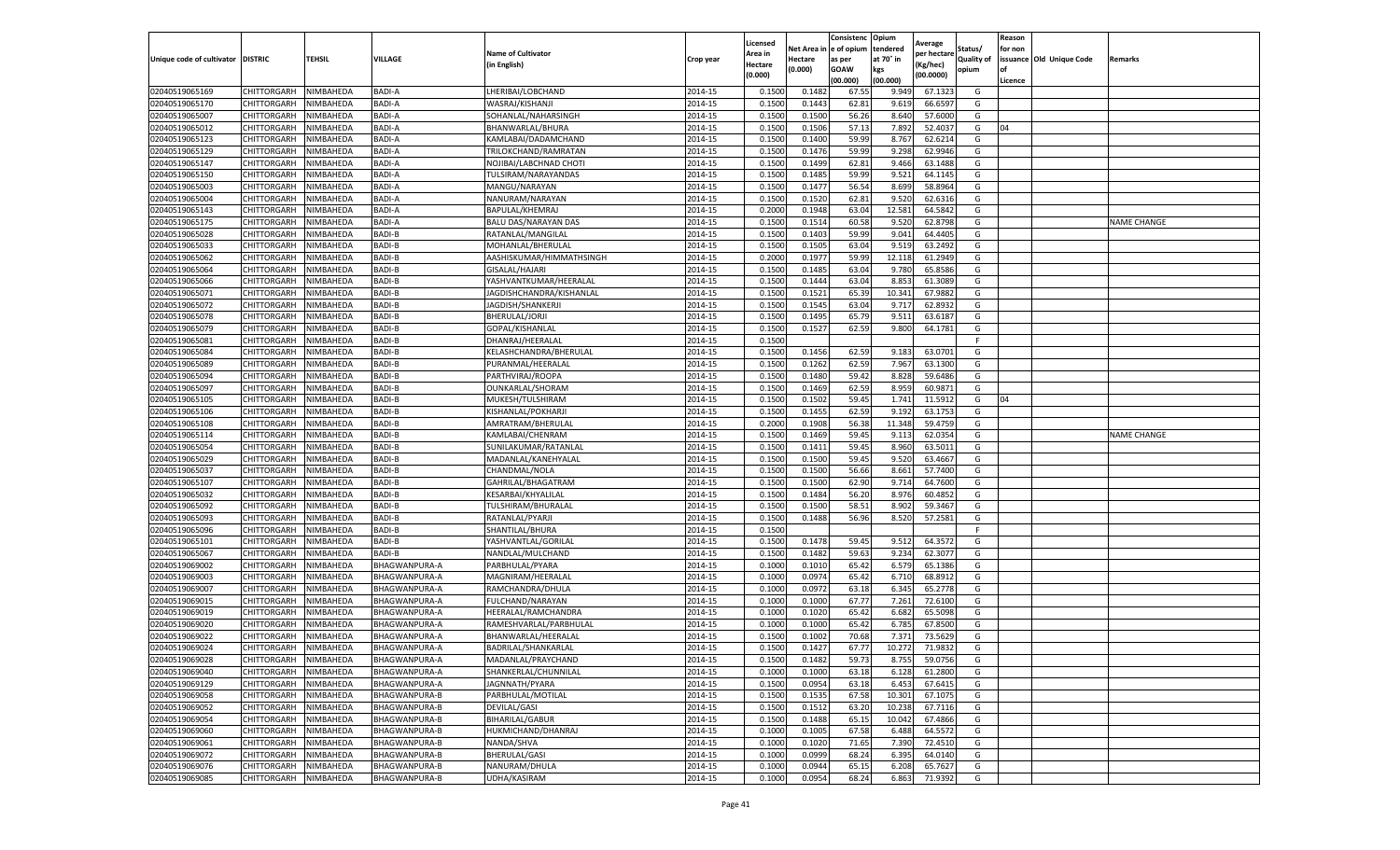|                                  |                            |                        |                                |                                                |                    | Licensed           | Net Area i       | Consistenc<br>e of opium | Opium<br>tendered | Average               | Status/           | Reason<br>for non |                          |                    |
|----------------------------------|----------------------------|------------------------|--------------------------------|------------------------------------------------|--------------------|--------------------|------------------|--------------------------|-------------------|-----------------------|-------------------|-------------------|--------------------------|--------------------|
| Unique code of cultivator        | <b>DISTRIC</b>             | <b>TEHSIL</b>          | VILLAGE                        | <b>Name of Cultivator</b>                      | Crop year          | \rea in            | Hectare          | as per                   | at 70° in         | per hectare           | <b>Quality of</b> |                   | issuance Old Unique Code | Remarks            |
|                                  |                            |                        |                                | (in English)                                   |                    | Hectare<br>(0.000) | 0.000)           | <b>GOAW</b>              | kgs               | (Kg/hec)<br>(00.0000) | opium             | of                |                          |                    |
|                                  |                            |                        |                                |                                                |                    |                    |                  | (00.000)                 | (00.000)          |                       |                   | Licence           |                          |                    |
| 02040519065169                   | CHITTORGARH                | NIMBAHEDA              | <b>BADI-A</b>                  | LHERIBAI/LOBCHAND                              | 2014-15            | 0.150              | 0.148            | 67.5                     | 9.949             | 67.1323               | G                 |                   |                          |                    |
| 02040519065170                   | CHITTORGARH                | NIMBAHEDA              | <b>BADI-A</b>                  | WASRAJ/KISHANJI                                | 2014-15            | 0.1500             | 0.1443           | 62.81                    | 9.619             | 66.6597               | G                 |                   |                          |                    |
| 02040519065007                   | CHITTORGARH                | NIMBAHEDA              | <b>BADI-A</b>                  | SOHANLAL/NAHARSINGH                            | 2014-15            | 0.1500             | 0.1500           | 56.26                    | 8.640             | 57.6000               | G                 |                   |                          |                    |
| 02040519065012                   | CHITTORGARH                | NIMBAHEDA              | <b>BADI-A</b>                  | BHANWARLAL/BHURA                               | 2014-15            | 0.1500             | 0.1506           | 57.13                    | 7.892             | 52.4037               | G                 | 04                |                          |                    |
| 02040519065123<br>02040519065129 | CHITTORGARH<br>CHITTORGARH | NIMBAHEDA<br>NIMBAHEDA | <b>BADI-A</b><br><b>BADI-A</b> | KAMLABAI/DADAMCHAND                            | 2014-15<br>2014-15 | 0.1500<br>0.1500   | 0.1400<br>0.1476 | 59.99<br>59.99           | 8.767<br>9.298    | 62.6214<br>62.9946    | G<br>G            |                   |                          |                    |
| 02040519065147                   | CHITTORGARH                | NIMBAHEDA              | <b>BADI-A</b>                  | TRILOKCHAND/RAMRATAN<br>NOJIBAI/LABCHNAD CHOTI | 2014-15            | 0.1500             | 0.1499           | 62.81                    | 9.466             | 63.1488               | G                 |                   |                          |                    |
| 02040519065150                   | CHITTORGARH                | NIMBAHEDA              | <b>BADI-A</b>                  | TULSIRAM/NARAYANDAS                            | 2014-15            | 0.1500             | 0.1485           | 59.99                    | 9.521             | 64.1145               | G                 |                   |                          |                    |
| 02040519065003                   | CHITTORGARH                | NIMBAHEDA              | <b>BADI-A</b>                  | MANGU/NARAYAN                                  | 2014-15            | 0.1500             | 0.1477           | 56.54                    | 8.699             | 58.8964               | G                 |                   |                          |                    |
| 02040519065004                   | CHITTORGARH                | NIMBAHEDA              | <b>BADI-A</b>                  | NANURAM/NARAYAN                                | 2014-15            | 0.1500             | 0.1520           | 62.81                    | 9.520             | 62.6316               | G                 |                   |                          |                    |
| 02040519065143                   | CHITTORGARH                | NIMBAHEDA              | <b>BADI-A</b>                  | BAPULAL/KHEMRAJ                                | 2014-15            | 0.2000             | 0.1948           | 63.04                    | 12.581            | 64.5842               | G                 |                   |                          |                    |
| 02040519065175                   | CHITTORGARH                | NIMBAHEDA              | <b>BADI-A</b>                  | BALU DAS/NARAYAN DAS                           | 2014-15            | 0.1500             | 0.1514           | 60.58                    | 9.520             | 62.8798               | G                 |                   |                          | <b>NAME CHANGE</b> |
| 02040519065028                   | CHITTORGARH                | NIMBAHEDA              | <b>BADI-B</b>                  | RATANLAL/MANGILAL                              | 2014-15            | 0.1500             | 0.1403           | 59.99                    | 9.041             | 64.4405               | G                 |                   |                          |                    |
| 02040519065033                   | CHITTORGARH                | NIMBAHEDA              | <b>BADI-B</b>                  | MOHANLAL/BHERULAL                              | 2014-15            | 0.1500             | 0.1505           | 63.04                    | 9.519             | 63.2492               | G                 |                   |                          |                    |
| 02040519065062                   | CHITTORGARH                | NIMBAHEDA              | <b>BADI-B</b>                  | AASHISKUMAR/HIMMATHSINGH                       | 2014-15            | 0.2000             | 0.1977           | 59.99                    | 12.118            | 61.2949               | G                 |                   |                          |                    |
| 02040519065064                   | CHITTORGARH                | NIMBAHEDA              | BADI-B                         | GISALAL/HAJARI                                 | 2014-15            | 0.1500             | 0.1485           | 63.04                    | 9.780             | 65.8586               | G                 |                   |                          |                    |
| 02040519065066                   | CHITTORGARH                | NIMBAHEDA              | <b>BADI-B</b>                  | YASHVANTKUMAR/HEERALAL                         | 2014-15            | 0.1500             | 0.1444           | 63.04                    | 8.853             | 61.3089               | G                 |                   |                          |                    |
| 02040519065071                   | CHITTORGARH                | NIMBAHEDA              | <b>BADI-B</b>                  | JAGDISHCHANDRA/KISHANLAL                       | 2014-15            | 0.1500             | 0.1521           | 65.39                    | 10.341            | 67.9882               | G                 |                   |                          |                    |
| 02040519065072                   | CHITTORGARH                | NIMBAHEDA              | <b>BADI-B</b>                  | JAGDISH/SHANKERJI                              | 2014-15            | 0.1500             | 0.1545           | 63.04                    | 9.717             | 62.8932               | G                 |                   |                          |                    |
| 02040519065078                   | CHITTORGARH                | NIMBAHEDA              | <b>BADI-B</b>                  | BHERULAL/JORJI                                 | 2014-15            | 0.1500             | 0.1495           | 65.79                    | 9.511             | 63.6187               | G                 |                   |                          |                    |
| 02040519065079                   | CHITTORGARH                | NIMBAHEDA              | <b>BADI-B</b>                  | GOPAL/KISHANLAL                                | 2014-15            | 0.1500             | 0.1527           | 62.59                    | 9.800             | 64.1781               | G                 |                   |                          |                    |
| 02040519065081                   | CHITTORGARH                | NIMBAHEDA              | <b>BADI-B</b>                  | DHANRAJ/HEERALAL                               | 2014-15            | 0.1500             |                  |                          |                   |                       | F                 |                   |                          |                    |
| 02040519065084                   | CHITTORGARH                | NIMBAHEDA              | <b>BADI-B</b>                  | KELASHCHANDRA/BHERULAL                         | 2014-15            | 0.1500             | 0.1456           | 62.59                    | 9.183             | 63.0701               | G                 |                   |                          |                    |
| 02040519065089                   | CHITTORGARH                | NIMBAHEDA              | <b>BADI-B</b>                  | PURANMAL/HEERALAI                              | 2014-15            | 0.1500             | 0.1262           | 62.59                    | 7.967             | 63.1300               | G                 |                   |                          |                    |
| 02040519065094                   | CHITTORGARH                | NIMBAHEDA              | <b>BADI-B</b>                  | PARTHVIRAJ/ROOPA                               | 2014-15            | 0.1500             | 0.1480           | 59.42                    | 8.828             | 59.6486               | G                 |                   |                          |                    |
| 02040519065097                   | CHITTORGARH                | NIMBAHEDA              | <b>BADI-B</b>                  | OUNKARLAL/SHORAM                               | 2014-15            | 0.150              | 0.1469           | 62.59                    | 8.959             | 60.9871               | G                 |                   |                          |                    |
| 02040519065105                   | CHITTORGARH                | NIMBAHEDA              | <b>BADI-B</b>                  | MUKESH/TULSHIRAM                               | 2014-15            | 0.1500             | 0.1502           | 59.45                    | 1.741             | 11.5912               | G                 | 04                |                          |                    |
| 02040519065106                   | CHITTORGARH                | NIMBAHEDA              | BADI-B                         | KISHANLAL/POKHARJI                             | 2014-15            | 0.1500             | 0.1455           | 62.59                    | 9.192             | 63.1753               | G                 |                   |                          |                    |
| 02040519065108                   | CHITTORGARH                | NIMBAHEDA              | <b>BADI-B</b>                  | AMRATRAM/BHERULAL                              | 2014-15            | 0.2000             | 0.1908           | 56.38                    | 11.348            | 59.4759               | G                 |                   |                          |                    |
| 02040519065114                   | CHITTORGARH                | NIMBAHEDA              | <b>BADI-B</b>                  | KAMLABAI/CHENRAM                               | 2014-15            | 0.1500             | 0.1469           | 59.45                    | 9.113             | 62.0354               | G                 |                   |                          | <b>NAME CHANGE</b> |
| 02040519065054                   | CHITTORGARH                | NIMBAHEDA              | <b>BADI-B</b>                  | SUNILAKUMAR/RATANLAI                           | 2014-15            | 0.1500             | 0.1411           | 59.45                    | 8.960             | 63.5011               | G                 |                   |                          |                    |
| 02040519065029                   | CHITTORGARH                | NIMBAHEDA              | <b>BADI-B</b>                  | MADANLAL/KANEHYALAL                            | 2014-15            | 0.1500             | 0.1500           | 59.45                    | 9.520             | 63.4667               | G                 |                   |                          |                    |
| 02040519065037                   | CHITTORGARH                | NIMBAHEDA              | <b>BADI-B</b>                  | CHANDMAL/NOLA                                  | 2014-15            | 0.1500             | 0.1500           | 56.66                    | 8.661             | 57.7400               | G                 |                   |                          |                    |
| 02040519065107                   | CHITTORGARH                | NIMBAHEDA              | <b>BADI-B</b>                  | GAHRILAL/BHAGATRAM                             | 2014-15            | 0.1500             | 0.1500           | 62.90                    | 9.714             | 64.7600               | G                 |                   |                          |                    |
| 02040519065032                   | CHITTORGARH                | NIMBAHEDA              | <b>BADI-B</b>                  | KESARBAI/KHYALILAL                             | 2014-15            | 0.1500             | 0.1484           | 56.20                    | 8.976             | 60.485                | G                 |                   |                          |                    |
| 02040519065092                   | CHITTORGARH                | NIMBAHEDA              | <b>BADI-B</b>                  | TULSHIRAM/BHURALAL                             | 2014-15            | 0.1500             | 0.1500           | 58.51                    | 8.902             | 59.3467               | G                 |                   |                          |                    |
| 02040519065093                   | CHITTORGARH                | NIMBAHEDA              | <b>BADI-B</b>                  | RATANLAL/PYARJI                                | 2014-15            | 0.1500             | 0.1488           | 56.96                    | 8.520             | 57.2581               | G                 |                   |                          |                    |
| 02040519065096                   | CHITTORGARH                | NIMBAHEDA              | <b>BADI-B</b>                  | SHANTILAL/BHURA                                | 2014-15            | 0.1500             |                  |                          |                   |                       | F.                |                   |                          |                    |
| 02040519065101<br>02040519065067 | CHITTORGARH<br>CHITTORGARH | NIMBAHEDA<br>NIMBAHEDA | <b>BADI-B</b><br><b>BADI-B</b> | YASHVANTLAL/GORILAL<br>NANDLAL/MULCHAND        | 2014-15<br>2014-15 | 0.1500<br>0.1500   | 0.1478<br>0.1482 | 59.45<br>59.63           | 9.512<br>9.234    | 64.3572<br>62.3077    | G<br>G            |                   |                          |                    |
| 02040519069002                   | CHITTORGARH                | NIMBAHEDA              | BHAGWANPURA-A                  | PARBHULAL/PYARA                                | 2014-15            | 0.1000             | 0.1010           | 65.42                    | 6.579             | 65.1386               | G                 |                   |                          |                    |
| 02040519069003                   | CHITTORGARH                | NIMBAHEDA              | BHAGWANPURA-A                  | MAGNIRAM/HEERALAL                              | 2014-15            | 0.1000             | 0.0974           | 65.42                    | 6.710             | 68.891                | G                 |                   |                          |                    |
| 02040519069007                   | CHITTORGARH                | NIMBAHEDA              | BHAGWANPURA-A                  | RAMCHANDRA/DHULA                               | 2014-15            | 0.1000             | 0.0972           | 63.18                    | 6.345             | 65.2778               | G                 |                   |                          |                    |
| 02040519069015                   | CHITTORGARH                | NIMBAHEDA              | BHAGWANPURA-A                  | FULCHAND/NARAYAN                               | 2014-15            | 0.1000             | 0.1000           | 67.77                    | 7.261             | 72.6100               | G                 |                   |                          |                    |
| 02040519069019                   | CHITTORGARH                | NIMBAHEDA              | BHAGWANPURA-A                  | HEERALAL/RAMCHANDRA                            | 2014-15            | 0.100              | 0.1020           | 65.42                    | 6.682             | 65.5098               | G                 |                   |                          |                    |
| 02040519069020                   | CHITTORGARH                | NIMBAHEDA              | BHAGWANPURA-A                  | RAMESHVARLAL/PARBHULAL                         | 2014-15            | 0.100              | 0.1000           | 65.42                    | 6.785             | 67.8500               | G                 |                   |                          |                    |
| 02040519069022                   | CHITTORGARH                | NIMBAHEDA              | BHAGWANPURA-A                  | BHANWARLAL/HEERALAL                            | 2014-15            | 0.1500             | 0.1002           | 70.68                    | 7.371             | 73.5629               | G                 |                   |                          |                    |
| 02040519069024                   | CHITTORGARH                | NIMBAHEDA              | BHAGWANPURA-A                  | BADRILAL/SHANKARLAL                            | 2014-15            | 0.1500             | 0.1427           | 67.77                    | 10.272            | 71.9832               | G                 |                   |                          |                    |
| 02040519069028                   | CHITTORGARH                | NIMBAHEDA              | BHAGWANPURA-A                  | MADANLAL/PRAYCHAND                             | 2014-15            | 0.1500             | 0.1482           | 59.73                    | 8.755             | 59.0756               | G                 |                   |                          |                    |
| 02040519069040                   | <b>CHITTORGARH</b>         | NIMBAHEDA              | BHAGWANPURA-A                  | SHANKERLAL/CHUNNILAL                           | 2014-15            | 0.1000             | 0.1000           | 63.18                    | 6.128             | 61.2800               | G                 |                   |                          |                    |
| 02040519069129                   | CHITTORGARH                | NIMBAHEDA              | BHAGWANPURA-A                  | JAGNNATH/PYARA                                 | 2014-15            | 0.1500             | 0.0954           | 63.18                    | 6.453             | 67.6415               | G                 |                   |                          |                    |
| 02040519069058                   | CHITTORGARH                | NIMBAHEDA              | <b>BHAGWANPURA-B</b>           | PARBHULAL/MOTILAL                              | 2014-15            | 0.1500             | 0.1535           | 67.58                    | 10.301            | 67.1075               | G                 |                   |                          |                    |
| 02040519069052                   | CHITTORGARH                | NIMBAHEDA              | BHAGWANPURA-B                  | DEVILAL/GASI                                   | 2014-15            | 0.1500             | 0.1512           | 63.20                    | 10.238            | 67.7116               | G                 |                   |                          |                    |
| 02040519069054                   | CHITTORGARH                | NIMBAHEDA              | BHAGWANPURA-B                  | BIHARILAL/GABUR                                | 2014-15            | 0.1500             | 0.1488           | 65.15                    | 10.042            | 67.4866               | G                 |                   |                          |                    |
| 02040519069060                   | CHITTORGARH                | NIMBAHEDA              | <b>BHAGWANPURA-B</b>           | HUKMICHAND/DHANRAJ                             | 2014-15            | 0.1000             | 0.1005           | 67.58                    | 6.488             | 64.5572               | G                 |                   |                          |                    |
| 02040519069061                   | CHITTORGARH                | NIMBAHEDA              | <b>BHAGWANPURA-B</b>           | NANDA/SHVA                                     | 2014-15            | 0.1000             | 0.1020           | 71.65                    | 7.390             | 72.4510               | G                 |                   |                          |                    |
| 02040519069072                   | CHITTORGARH                | NIMBAHEDA              | BHAGWANPURA-B                  | BHERULAL/GASI                                  | 2014-15            | 0.1000             | 0.0999           | 68.24                    | 6.395             | 64.0140               | G                 |                   |                          |                    |
| 02040519069076                   | CHITTORGARH                | NIMBAHEDA              | BHAGWANPURA-B                  | NANURAM/DHULA                                  | 2014-15            | 0.1000             | 0.0944           | 65.15                    | 6.208             | 65.7627               | G                 |                   |                          |                    |
| 02040519069085                   | CHITTORGARH                | NIMBAHEDA              | BHAGWANPURA-B                  | UDHA/KASIRAM                                   | 2014-15            | 0.1000             | 0.0954           | 68.24                    | 6.863             | 71.9392               | G                 |                   |                          |                    |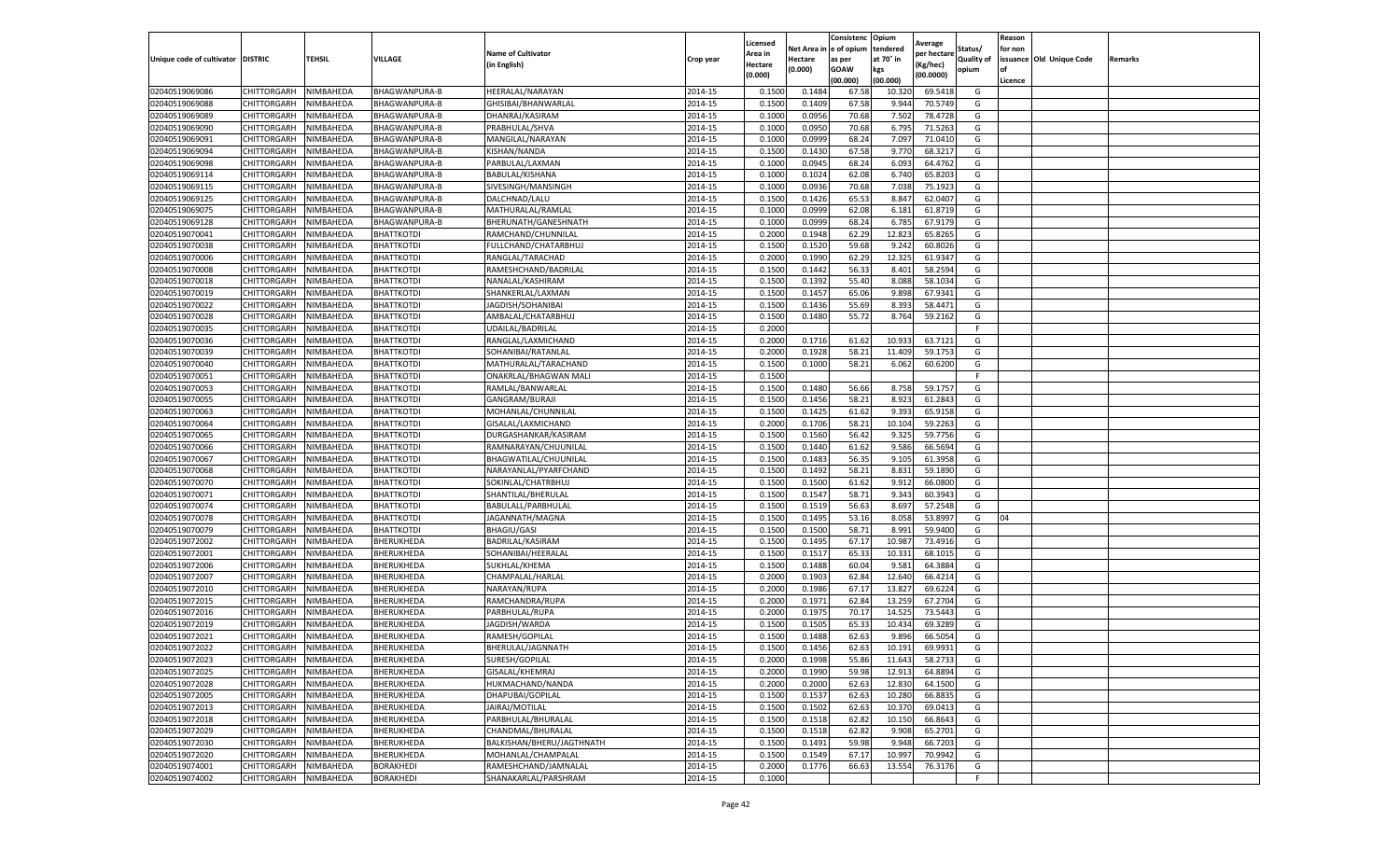|                                   |             |           |                      |                           |           | Licensed |            | Consistenc  | Opium     | Average     |                   | Reason  |                          |         |
|-----------------------------------|-------------|-----------|----------------------|---------------------------|-----------|----------|------------|-------------|-----------|-------------|-------------------|---------|--------------------------|---------|
|                                   |             |           |                      | <b>Name of Cultivator</b> |           | Area in  | Net Area i | e of opium  | tendered  | per hectare | Status/           | for non |                          |         |
| Unique code of cultivator DISTRIC |             | TEHSIL    | VILLAGE              | (in English)              | Crop year | Hectare  | Hectare    | as per      | at 70° in | (Kg/hec)    | <b>Quality of</b> |         | issuance Old Unique Code | Remarks |
|                                   |             |           |                      |                           |           | (0.000)  | (0.000)    | <b>GOAW</b> | kgs       | (00.0000)   | opium             | οf      |                          |         |
|                                   |             |           |                      |                           |           |          |            | (00.000     | (00.000)  |             |                   | Licence |                          |         |
| 02040519069086                    | CHITTORGARH | NIMBAHEDA | <b>BHAGWANPURA-B</b> | HEERALAL/NARAYAN          | 2014-15   | 0.1500   | 0.1484     | 67.58       | 10.320    | 69.5418     | G                 |         |                          |         |
| 02040519069088                    | CHITTORGARH | NIMBAHEDA | BHAGWANPURA-B        | GHISIBAI/BHANWARLAI       | 2014-15   | 0.150    | 0.1409     | 67.58       | 9.944     | 70.5749     | G                 |         |                          |         |
| 02040519069089                    | CHITTORGARH | NIMBAHEDA | BHAGWANPURA-B        | DHANRAJ/KASIRAM           | 2014-15   | 0.1000   | 0.0956     | 70.68       | 7.502     | 78.4728     | G                 |         |                          |         |
| 02040519069090                    | CHITTORGARH | NIMBAHEDA | BHAGWANPURA-B        | PRABHULAL/SHVA            | 2014-15   | 0.1000   | 0.0950     | 70.68       | 6.795     | 71.5263     | G                 |         |                          |         |
| 02040519069091                    | CHITTORGARH | NIMBAHEDA | BHAGWANPURA-B        | MANGILAL/NARAYAN          | 2014-15   | 0.1000   | 0.0999     | 68.24       | 7.097     | 71.0410     | G                 |         |                          |         |
| 02040519069094                    | CHITTORGARH | NIMBAHEDA | BHAGWANPURA-B        | KISHAN/NANDA              | 2014-15   | 0.1500   | 0.1430     | 67.58       | 9.770     | 68.3217     | G                 |         |                          |         |
| 02040519069098                    | CHITTORGARH | NIMBAHEDA | BHAGWANPURA-B        | PARBULAL/LAXMAN           | 2014-15   | 0.1000   | 0.0945     | 68.24       | 6.093     | 64.4762     | G                 |         |                          |         |
| 02040519069114                    | CHITTORGARH | NIMBAHEDA | BHAGWANPURA-B        | BABULAL/KISHANA           | 2014-15   | 0.100    | 0.1024     | 62.08       | 6.740     | 65.8203     | G                 |         |                          |         |
| 02040519069115                    | CHITTORGARH | NIMBAHEDA | BHAGWANPURA-B        | SIVESINGH/MANSINGH        | 2014-15   | 0.100    | 0.0936     | 70.68       | 7.038     | 75.1923     | G                 |         |                          |         |
| 02040519069125                    | CHITTORGARH | NIMBAHEDA | BHAGWANPURA-B        | DALCHNAD/LALU             | 2014-15   | 0.1500   | 0.1426     | 65.53       | 8.847     | 62.0407     | G                 |         |                          |         |
| 02040519069075                    | CHITTORGARH | NIMBAHEDA | BHAGWANPURA-B        | MATHURALAL/RAMLAL         | 2014-15   | 0.1000   | 0.0999     | 62.08       | 6.181     | 61.8719     | G                 |         |                          |         |
| 02040519069128                    | CHITTORGARH | NIMBAHEDA | BHAGWANPURA-B        | BHERUNATH/GANESHNATH      | 2014-15   | 0.1000   | 0.0999     | 68.24       | 6.785     | 67.9179     | G                 |         |                          |         |
| 02040519070041                    | CHITTORGARH | NIMBAHEDA | <b>BHATTKOTDI</b>    | RAMCHAND/CHUNNILAL        | 2014-15   | 0.2000   | 0.1948     | 62.29       | 12.823    | 65.8265     | G                 |         |                          |         |
| 02040519070038                    | CHITTORGARH | NIMBAHEDA | BHATTKOTDI           | FULLCHAND/CHATARBHUJ      | 2014-15   | 0.1500   | 0.1520     | 59.68       | 9.242     | 60.8026     | G                 |         |                          |         |
| 02040519070006                    | CHITTORGARH | NIMBAHEDA | BHATTKOTDI           | RANGLAL/TARACHAD          | 2014-15   | 0.2000   | 0.1990     | 62.29       | 12.325    | 61.9347     | G                 |         |                          |         |
| 02040519070008                    | CHITTORGARH | NIMBAHEDA | BHATTKOTDI           | RAMESHCHAND/BADRILAL      | 2014-15   | 0.1500   | 0.1442     | 56.33       | 8.401     | 58.2594     | G                 |         |                          |         |
| 02040519070018                    | CHITTORGARH | NIMBAHEDA | BHATTKOTDI           | NANALAL/KASHIRAM          | 2014-15   | 0.1500   | 0.1392     | 55.40       | 8.088     | 58.1034     | G                 |         |                          |         |
| 02040519070019                    | CHITTORGARH | NIMBAHEDA | BHATTKOTDI           | SHANKERLAL/LAXMAN         | 2014-15   | 0.1500   | 0.1457     | 65.06       | 9.898     | 67.9341     | G                 |         |                          |         |
| 02040519070022                    | CHITTORGARH | NIMBAHEDA | <b>BHATTKOTDI</b>    | JAGDISH/SOHANIBAI         | 2014-15   | 0.1500   | 0.1436     | 55.69       | 8.393     | 58.4471     | G                 |         |                          |         |
| 02040519070028                    | CHITTORGARH | NIMBAHEDA | BHATTKOTDI           | AMBALAL/CHATARBHUJ        | 2014-15   | 0.1500   | 0.1480     | 55.72       | 8.764     | 59.2162     | G                 |         |                          |         |
| 02040519070035                    | CHITTORGARH | NIMBAHEDA | BHATTKOTDI           | UDAILAL/BADRILAL          | 2014-15   | 0.2000   |            |             |           |             | F.                |         |                          |         |
| 02040519070036                    | CHITTORGARH | NIMBAHEDA | BHATTKOTDI           | RANGLAL/LAXMICHAND        | 2014-15   | 0.2000   | 0.1716     | 61.62       | 10.933    | 63.7121     | G                 |         |                          |         |
| 02040519070039                    | CHITTORGARH | NIMBAHEDA | <b>BHATTKOTDI</b>    | SOHANIBAI/RATANLAL        | 2014-15   | 0.2000   | 0.1928     | 58.21       | 11.409    | 59.1753     | G                 |         |                          |         |
| 02040519070040                    | CHITTORGARH | NIMBAHEDA | BHATTKOTDI           | MATHURALAL/TARACHAND      | 2014-15   | 0.1500   | 0.1000     | 58.21       | 6.062     | 60.6200     | G                 |         |                          |         |
| 02040519070051                    | CHITTORGARH | NIMBAHEDA | <b>BHATTKOTDI</b>    | ONAKRLAL/BHAGWAN MALI     | 2014-15   | 0.1500   |            |             |           |             | F                 |         |                          |         |
| 02040519070053                    | CHITTORGARH | NIMBAHEDA | <b>BHATTKOTDI</b>    | RAMLAL/BANWARLAL          | 2014-15   | 0.1500   | 0.1480     | 56.66       | 8.758     | 59.1757     | G                 |         |                          |         |
| 02040519070055                    | CHITTORGARH | NIMBAHEDA | BHATTKOTDI           | GANGRAM/BURAJI            | 2014-15   | 0.1500   | 0.1456     | 58.21       | 8.923     | 61.2843     | G                 |         |                          |         |
| 02040519070063                    | CHITTORGARH | NIMBAHEDA | BHATTKOTDI           | MOHANLAL/CHUNNILAL        | 2014-15   | 0.1500   | 0.1425     | 61.62       | 9.393     | 65.9158     | G                 |         |                          |         |
| 02040519070064                    | CHITTORGARH | NIMBAHEDA | <b>BHATTKOTDI</b>    | GISALAL/LAXMICHAND        | 2014-15   | 0.2000   | 0.1706     | 58.21       | 10.104    | 59.2263     | G                 |         |                          |         |
| 02040519070065                    | CHITTORGARH | NIMBAHEDA | BHATTKOTDI           | DURGASHANKAR/KASIRAM      | 2014-15   | 0.1500   | 0.1560     | 56.42       | 9.325     | 59.7756     | G                 |         |                          |         |
| 02040519070066                    | CHITTORGARH | NIMBAHEDA | BHATTKOTDI           | RAMNARAYAN/CHUUNILAL      | 2014-15   | 0.1500   | 0.1440     | 61.62       | 9.586     | 66.5694     | G                 |         |                          |         |
| 02040519070067                    | CHITTORGARH | NIMBAHEDA | <b>BHATTKOTDI</b>    | BHAGWATILAL/CHUUNILAL     | 2014-15   | 0.1500   | 0.1483     | 56.35       | 9.105     | 61.3958     | G                 |         |                          |         |
| 02040519070068                    | CHITTORGARH | NIMBAHEDA | BHATTKOTDI           | NARAYANLAL/PYARFCHAND     | 2014-15   | 0.1500   | 0.1492     | 58.21       | 8.831     | 59.1890     | G                 |         |                          |         |
| 02040519070070                    | CHITTORGARH | NIMBAHEDA | BHATTKOTDI           | SOKINLAL/CHATRBHUJ        | 2014-15   | 0.1500   | 0.1500     | 61.62       | 9.912     | 66.0800     | G                 |         |                          |         |
| 02040519070071                    | CHITTORGARH | NIMBAHEDA | <b>BHATTKOTDI</b>    | SHANTILAL/BHERULAL        | 2014-15   | 0.1500   | 0.1547     | 58.71       | 9.343     | 60.3943     | G                 |         |                          |         |
| 02040519070074                    | CHITTORGARH | NIMBAHEDA | BHATTKOTDI           | BABULALL/PARBHULAL        | 2014-15   | 0.1500   | 0.1519     | 56.63       | 8.697     | 57.2548     | G                 |         |                          |         |
| 02040519070078                    | CHITTORGARH | NIMBAHEDA | BHATTKOTDI           | JAGANNATH/MAGNA           | 2014-15   | 0.1500   | 0.1495     | 53.16       | 8.058     | 53.8997     | G                 | 04      |                          |         |
| 02040519070079                    | CHITTORGARH | NIMBAHEDA | BHATTKOTDI           | <b>BHAGIU/GASI</b>        | 2014-15   | 0.1500   | 0.1500     | 58.71       | 8.991     | 59.9400     | G                 |         |                          |         |
| 02040519072002                    | CHITTORGARH | NIMBAHEDA | BHERUKHEDA           | BADRILAL/KASIRAM          | 2014-15   | 0.1500   | 0.1495     | 67.17       | 10.987    | 73.4916     | G                 |         |                          |         |
| 02040519072001                    | CHITTORGARH | NIMBAHEDA | BHERUKHEDA           | SOHANIBAI/HEERALAL        | 2014-15   | 0.1500   | 0.151      | 65.33       | 10.331    | 68.1015     | G                 |         |                          |         |
| 02040519072006                    | CHITTORGARH | NIMBAHEDA | BHERUKHEDA           | SUKHLAL/KHEMA             | 2014-15   | 0.1500   | 0.1488     | 60.04       | 9.581     | 64.3884     | G                 |         |                          |         |
| 02040519072007                    | CHITTORGARH | NIMBAHEDA | BHERUKHEDA           | CHAMPALAL/HARLAL          | 2014-15   | 0.2000   | 0.1903     | 62.84       | 12.640    | 66.4214     | G                 |         |                          |         |
| 02040519072010                    | CHITTORGARH | NIMBAHEDA | BHERUKHEDA           | NARAYAN/RUPA              | 2014-15   | 0.2000   | 0.1986     | 67.17       | 13.827    | 69.6224     | G                 |         |                          |         |
| 02040519072015                    | CHITTORGARH | NIMBAHEDA | BHERUKHEDA           | RAMCHANDRA/RUPA           | 2014-15   | 0.2000   | 0.1971     | 62.84       | 13.25     | 67.2704     | G                 |         |                          |         |
| 02040519072016                    | CHITTORGARH | NIMBAHEDA | BHERUKHEDA           | PARBHULAL/RUPA            | 2014-15   | 0.2000   | 0.1975     | 70.17       | 14.525    | 73.5443     | G                 |         |                          |         |
| 02040519072019                    | CHITTORGARH | NIMBAHEDA | BHERUKHEDA           | JAGDISH/WARDA             | 2014-15   | 0.150    | 0.1505     | 65.33       | 10.434    | 69.3289     | G                 |         |                          |         |
| 02040519072021                    | CHITTORGARH | NIMBAHEDA | BHERUKHEDA           | RAMESH/GOPILAL            | 2014-15   | 0.1500   | 0.1488     | 62.63       | 9.896     | 66.5054     | G                 |         |                          |         |
| 02040519072022                    | CHITTORGARH | NIMBAHEDA | <b>BHERUKHEDA</b>    | BHERULAL/JAGNNATH         | 2014-15   | 0.1500   | 0.1456     | 62.63       | 10.191    | 69.9931     | G                 |         |                          |         |
| 02040519072023                    | CHITTORGARH | NIMBAHEDA | BHERUKHEDA           | SURESH/GOPILAL            | 2014-15   | 0.2000   | 0.1998     | 55.86       | 11.643    | 58.2733     | G                 |         |                          |         |
| 02040519072025                    | CHITTORGARH | NIMBAHEDA | BHERUKHEDA           | GISALAL/KHEMRAJ           | 2014-15   | 0.2000   | 0.1990     | 59.98       | 12.913    | 64.8894     | G                 |         |                          |         |
| 02040519072028                    | CHITTORGARH | NIMBAHEDA | BHERUKHEDA           | HUKMACHAND/NANDA          | 2014-15   | 0.2000   | 0.2000     | 62.63       | 12.830    | 64.1500     | G                 |         |                          |         |
| 02040519072005                    | CHITTORGARH | NIMBAHEDA | BHERUKHEDA           | DHAPUBAI/GOPILAL          | 2014-15   | 0.1500   | 0.1537     | 62.63       | 10.280    | 66.8835     | G                 |         |                          |         |
| 02040519072013                    | CHITTORGARH | NIMBAHEDA | BHERUKHEDA           | JAIRAJ/MOTILAL            | 2014-15   | 0.1500   | 0.1502     | 62.63       | 10.370    | 69.0413     | G                 |         |                          |         |
| 02040519072018                    | CHITTORGARH | NIMBAHEDA | BHERUKHEDA           | PARBHULAL/BHURALAL        | 2014-15   | 0.1500   | 0.1518     | 62.82       | 10.150    | 66.8643     | G                 |         |                          |         |
| 02040519072029                    | CHITTORGARH | NIMBAHEDA | BHERUKHEDA           | CHANDMAL/BHURALAL         | 2014-15   | 0.1500   | 0.1518     | 62.82       | 9.908     | 65.2701     | G                 |         |                          |         |
| 02040519072030                    | CHITTORGARH | NIMBAHEDA | BHERUKHEDA           | BALKISHAN/BHERU/JAGTHNATH | 2014-15   | 0.1500   | 0.1491     | 59.98       | 9.948     | 66.7203     | G                 |         |                          |         |
| 02040519072020                    | CHITTORGARH | NIMBAHEDA | BHERUKHEDA           | MOHANLAL/CHAMPALAL        | 2014-15   | 0.1500   | 0.1549     | 67.17       | 10.997    | 70.9942     | G                 |         |                          |         |
| 02040519074001                    | CHITTORGARH | NIMBAHEDA | BORAKHEDI            | RAMESHCHAND/JAMNALAL      | 2014-15   | 0.2000   | 0.1776     | 66.63       | 13.554    | 76.3176     | G                 |         |                          |         |
| 02040519074002                    | CHITTORGARH | NIMBAHEDA | <b>BORAKHEDI</b>     | SHANAKARLAL/PARSHRAM      | 2014-15   | 0.1000   |            |             |           |             | F.                |         |                          |         |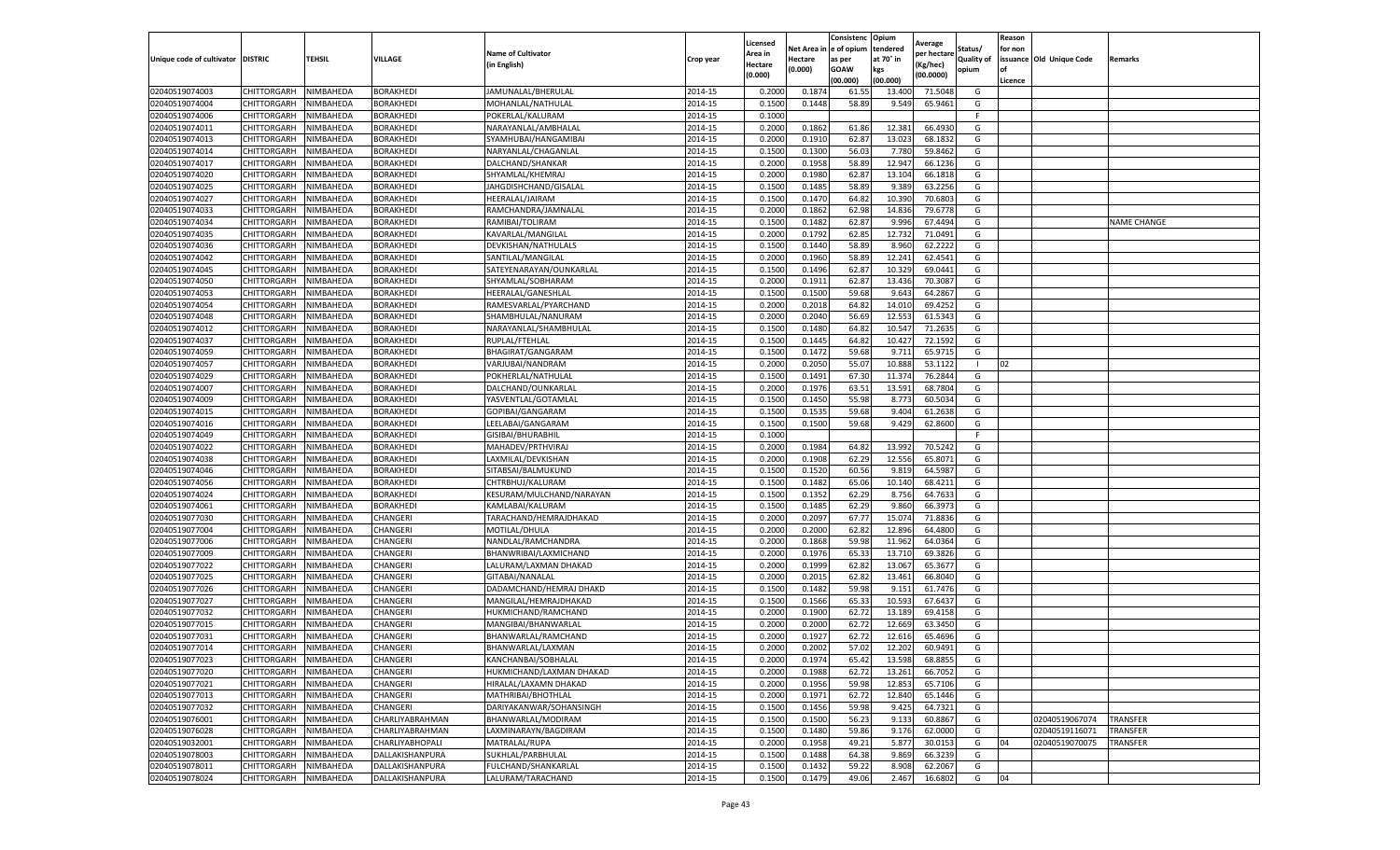|                                   |                    |           |                  |                           |           | Licensed |         | Consistenc             | Opium     |                        |                   | Reason  |                          |                    |
|-----------------------------------|--------------------|-----------|------------------|---------------------------|-----------|----------|---------|------------------------|-----------|------------------------|-------------------|---------|--------------------------|--------------------|
|                                   |                    |           |                  | <b>Name of Cultivator</b> |           | Area in  |         | Net Area in e of opium | tendered  | Average<br>per hectare | Status/           | for non |                          |                    |
| Unique code of cultivator DISTRIC |                    | TEHSIL    | VILLAGE          | in English)               | Crop year | Hectare  | Hectare | as per                 | at 70° in | (Kg/hec                | <b>Quality of</b> |         | issuance Old Unique Code | <b>Remarks</b>     |
|                                   |                    |           |                  |                           |           | (0.000)  | (0.000) | <b>GOAW</b>            | kgs       | (00.0000)              | opium             |         |                          |                    |
|                                   |                    |           |                  |                           |           |          |         | (00.000)               | (00.000)  |                        |                   | Licence |                          |                    |
| 02040519074003                    | CHITTORGARH        | NIMBAHEDA | <b>BORAKHEDI</b> | JAMUNALAL/BHERULAL        | 2014-15   | 0.2000   | 0.187   | 61.55                  | 13.400    | 71.5048                | G                 |         |                          |                    |
| 02040519074004                    | CHITTORGARH        | NIMBAHEDA | <b>BORAKHEDI</b> | MOHANLAL/NATHULAL         | 2014-15   | 0.1500   | 0.1448  | 58.89                  | 9.549     | 65.9461                | G                 |         |                          |                    |
| 02040519074006                    | CHITTORGARH        | NIMBAHEDA | BORAKHEDI        | POKERLAL/KALURAM          | 2014-15   | 0.1000   |         |                        |           |                        | F.                |         |                          |                    |
| 02040519074011                    | CHITTORGARH        | NIMBAHEDA | BORAKHEDI        | NARAYANLAL/AMBHALAL       | 2014-15   | 0.2000   | 0.1862  | 61.86                  | 12.381    | 66.4930                | G                 |         |                          |                    |
| 02040519074013                    | CHITTORGARH        | NIMBAHEDA | BORAKHEDI        | SYAMHUBAI/HANGAMIBAI      | 2014-15   | 0.2000   | 0.1910  | 62.87                  | 13.023    | 68.1832                | G                 |         |                          |                    |
| 02040519074014                    | CHITTORGARH        | NIMBAHEDA | BORAKHEDI        | NARYANLAL/CHAGANLAI       | 2014-15   | 0.1500   | 0.1300  | 56.03                  | 7.780     | 59.8462                | G                 |         |                          |                    |
| 02040519074017                    | CHITTORGARH        | NIMBAHEDA | <b>BORAKHEDI</b> | DALCHAND/SHANKAR          | 2014-15   | 0.2000   | 0.1958  | 58.89                  | 12.947    | 66.1236                | G                 |         |                          |                    |
| 02040519074020                    | CHITTORGARH        | NIMBAHEDA | BORAKHEDI        | SHYAMLAL/KHEMRAJ          | 2014-15   | 0.2000   | 0.1980  | 62.87                  | 13.104    | 66.1818                | G                 |         |                          |                    |
| 02040519074025                    | CHITTORGARH        | NIMBAHEDA | BORAKHEDI        | JAHGDISHCHAND/GISALAL     | 2014-15   | 0.1500   | 0.1485  | 58.89                  | 9.389     | 63.2256                | G                 |         |                          |                    |
| 02040519074027                    | CHITTORGARH        | NIMBAHEDA | BORAKHEDI        | HEERALAL/JAIRAM           | 2014-15   | 0.1500   | 0.1470  | 64.82                  | 10.390    | 70.6803                | G                 |         |                          |                    |
| 02040519074033                    | CHITTORGARH        | NIMBAHEDA | BORAKHEDI        | RAMCHANDRA/JAMNALAL       | 2014-15   | 0.2000   | 0.1862  | 62.98                  | 14.836    | 79.6778                | G                 |         |                          |                    |
| 02040519074034                    | CHITTORGARH        | NIMBAHEDA | BORAKHEDI        | RAMIBAI/TOLIRAM           | 2014-15   | 0.1500   | 0.1482  | 62.87                  | 9.99      | 67.4494                | G                 |         |                          | <b>NAME CHANGE</b> |
| 02040519074035                    | CHITTORGARH        | NIMBAHEDA | BORAKHEDI        | KAVARLAL/MANGILAL         | 2014-15   | 0.2000   | 0.1792  | 62.85                  | 12.73     | 71.0491                | G                 |         |                          |                    |
| 02040519074036                    | CHITTORGARH        | NIMBAHEDA | <b>BORAKHEDI</b> | DEVKISHAN/NATHULALS       | 2014-15   | 0.1500   | 0.1440  | 58.89                  | 8.960     | 62.2222                | G                 |         |                          |                    |
| 02040519074042                    | CHITTORGARH        | NIMBAHEDA | BORAKHEDI        | SANTILAL/MANGILAL         | 2014-15   | 0.2000   | 0.1960  | 58.89                  | 12.241    | 62.4541                | G                 |         |                          |                    |
| 02040519074045                    | CHITTORGARH        | NIMBAHEDA | <b>BORAKHEDI</b> | SATEYENARAYAN/OUNKARLAL   | 2014-15   | 0.1500   | 0.1496  | 62.87                  | 10.32     | 69.0441                | G                 |         |                          |                    |
| 02040519074050                    | CHITTORGARH        | NIMBAHEDA | BORAKHEDI        | SHYAMLAL/SOBHARAM         | 2014-15   | 0.2000   | 0.1911  | 62.87                  | 13.436    | 70.3087                | G                 |         |                          |                    |
| 02040519074053                    | CHITTORGARH        | NIMBAHEDA | BORAKHEDI        | HEERALAL/GANESHLAL        | 2014-15   | 0.1500   | 0.1500  | 59.68                  | 9.643     | 64.2867                | G                 |         |                          |                    |
| 02040519074054                    | CHITTORGARH        | NIMBAHEDA | BORAKHEDI        | RAMESVARLAL/PYARCHAND     | 2014-15   | 0.2000   | 0.2018  | 64.82                  | 14.01     | 69.4252                | G                 |         |                          |                    |
| 02040519074048                    | CHITTORGARH        | NIMBAHEDA | BORAKHEDI        | SHAMBHULAL/NANURAM        | 2014-15   | 0.2000   | 0.2040  | 56.69                  | 12.553    | 61.5343                | G                 |         |                          |                    |
| 02040519074012                    | CHITTORGARH        | NIMBAHEDA | BORAKHEDI        | NARAYANLAL/SHAMBHULAL     | 2014-15   | 0.1500   | 0.1480  | 64.82                  | 10.547    | 71.2635                | G                 |         |                          |                    |
| 02040519074037                    | CHITTORGARH        | NIMBAHEDA | BORAKHEDI        | RUPLAL/FTEHLAL            | 2014-15   | 0.1500   | 0.1445  | 64.82                  | 10.427    | 72.1592                | G                 |         |                          |                    |
| 02040519074059                    | CHITTORGARH        | NIMBAHEDA | <b>BORAKHEDI</b> | BHAGIRAT/GANGARAM         | 2014-15   | 0.1500   | 0.1472  | 59.68                  | 9.711     | 65.9715                | G                 |         |                          |                    |
| 02040519074057                    | CHITTORGARH        | NIMBAHEDA | BORAKHEDI        | VARJUBAI/NANDRAM          | 2014-15   | 0.2000   | 0.2050  | 55.07                  | 10.88     | 53.1122                |                   | 02      |                          |                    |
| 02040519074029                    | CHITTORGARH        | NIMBAHEDA | BORAKHEDI        | POKHERLAL/NATHULAL        | 2014-15   | 0.1500   | 0.1491  | 67.30                  | 11.37     | 76.2844                | G                 |         |                          |                    |
| 02040519074007                    | CHITTORGARH        | NIMBAHEDA | <b>BORAKHEDI</b> | DALCHAND/OUNKARLAL        | 2014-15   | 0.2000   | 0.1976  | 63.51                  | 13.591    | 68.7804                | G                 |         |                          |                    |
| 02040519074009                    | CHITTORGARH        | NIMBAHEDA | BORAKHEDI        | YASVENTLAL/GOTAMLAL       | 2014-15   | 0.1500   | 0.1450  | 55.98                  | 8.773     | 60.5034                | G                 |         |                          |                    |
| 02040519074015                    | CHITTORGARH        | NIMBAHEDA | BORAKHEDI        | GOPIBAI/GANGARAM          | 2014-15   | 0.1500   | 0.1535  | 59.68                  | 9.404     | 61.2638                | G                 |         |                          |                    |
| 02040519074016                    | CHITTORGARH        | NIMBAHEDA | BORAKHEDI        | LEELABAI/GANGARAM         | 2014-15   | 0.1500   | 0.1500  | 59.68                  | 9.429     | 62.8600                | G                 |         |                          |                    |
| 02040519074049                    | CHITTORGARH        | NIMBAHEDA | BORAKHEDI        | GISIBAI/BHURABHIL         | 2014-15   | 0.1000   |         |                        |           |                        | F.                |         |                          |                    |
| 02040519074022                    | CHITTORGARH        | NIMBAHEDA | BORAKHEDI        | MAHADEV/PRTHVIRAJ         | 2014-15   | 0.2000   | 0.1984  | 64.82                  | 13.992    | 70.5242                | G                 |         |                          |                    |
| 02040519074038                    | CHITTORGARH        | NIMBAHEDA | BORAKHEDI        | LAXMILAL/DEVKISHAN        | 2014-15   | 0.2000   | 0.1908  | 62.29                  | 12.556    | 65.8071                | G                 |         |                          |                    |
| 02040519074046                    | CHITTORGARH        | NIMBAHEDA | <b>BORAKHEDI</b> | SITABSAI/BALMUKUND        | 2014-15   | 0.1500   | 0.1520  | 60.56                  | 9.819     | 64.598                 | G                 |         |                          |                    |
| 02040519074056                    | CHITTORGARH        | NIMBAHEDA | BORAKHEDI        | CHTRBHUJ/KALURAM          | 2014-15   | 0.1500   | 0.1482  | 65.06                  | 10.14     | 68.4211                | G                 |         |                          |                    |
| 02040519074024                    | CHITTORGARH        | NIMBAHEDA | BORAKHEDI        | KESURAM/MULCHAND/NARAYAN  | 2014-15   | 0.1500   | 0.1352  | 62.29                  | 8.756     | 64.7633                | G                 |         |                          |                    |
| 02040519074061                    | CHITTORGARH        | NIMBAHEDA | BORAKHEDI        | KAMLABAI/KALURAM          | 2014-15   | 0.1500   | 0.1485  | 62.29                  | 9.86      | 66.3973                | G                 |         |                          |                    |
| 02040519077030                    | CHITTORGARH        | NIMBAHEDA | CHANGERI         | TARACHAND/HEMRAJDHAKAD    | 2014-15   | 0.2000   | 0.2097  | 67.77                  | 15.07     | 71.8836                | G                 |         |                          |                    |
| 02040519077004                    | CHITTORGARH        | NIMBAHEDA | CHANGERI         | MOTILAL/DHULA             | 2014-15   | 0.2000   | 0.2000  | 62.82                  | 12.89     | 64.4800                | G                 |         |                          |                    |
| 02040519077006                    | CHITTORGARH        | NIMBAHEDA | CHANGERI         | NANDLAL/RAMCHANDRA        | 2014-15   | 0.2000   | 0.1868  | 59.98                  | 11.962    | 64.0364                | G                 |         |                          |                    |
| 02040519077009                    | CHITTORGARH        | NIMBAHEDA | CHANGERI         | BHANWRIBAI/LAXMICHAND     | 2014-15   | 0.2000   | 0.1976  | 65.33                  | 13.71     | 69.3826                | G                 |         |                          |                    |
| 02040519077022                    | CHITTORGARH        | NIMBAHEDA | CHANGERI         | LALURAM/LAXMAN DHAKAD     | 2014-15   | 0.2000   | 0.1999  | 62.82                  | 13.067    | 65.3677                | G                 |         |                          |                    |
| 02040519077025                    | CHITTORGARH        | NIMBAHEDA | CHANGERI         | GITABAI/NANALAL           | 2014-15   | 0.2000   | 0.2015  | 62.82                  | 13.461    | 66.8040                | G                 |         |                          |                    |
| 02040519077026                    | CHITTORGARH        | NIMBAHEDA | CHANGERI         | DADAMCHAND/HEMRAJ DHAKD   | 2014-15   | 0.1500   | 0.1482  | 59.98                  | 9.151     | 61.7476                | G                 |         |                          |                    |
| 02040519077027                    | CHITTORGARH        | NIMBAHEDA | CHANGERI         | MANGILAL/HEMRAJDHAKAD     | 2014-15   | 0.1500   | 0.1566  | 65.33                  | 10.593    | 67.6437                | G                 |         |                          |                    |
| 02040519077032                    | CHITTORGARH        | NIMBAHEDA | CHANGERI         | HUKMICHAND/RAMCHAND       | 2014-15   | 0.2000   | 0.1900  | 62.72                  | 13.189    | 69.4158                | G                 |         |                          |                    |
| 02040519077015                    | CHITTORGARH        | NIMBAHEDA | CHANGERI         | MANGIBAI/BHANWARLAL       | 2014-15   | 0.2000   | 0.2000  | 62.72                  | 12.669    | 63.3450                | G                 |         |                          |                    |
| 02040519077031                    | CHITTORGARH        | NIMBAHEDA | CHANGERI         | BHANWARLAL/RAMCHAND       | 2014-15   | 0.2000   | 0.1927  | 62.72                  | 12.61     | 65.4696                | G                 |         |                          |                    |
| 02040519077014                    | CHITTORGARH        | NIMBAHEDA | CHANGERI         | BHANWARLAL/LAXMAN         | 2014-15   | 0.2000   | 0.2002  | 57.02                  | 12.202    | 60.9491                | G                 |         |                          |                    |
| 02040519077023                    | CHITTORGARH        | NIMBAHEDA | CHANGERI         | KANCHANBAI/SOBHALAL       | 2014-15   | 0.2000   | 0.1974  | 65.42                  | 13.598    | 68.8855                | G                 |         |                          |                    |
| 02040519077020                    | CHITTORGARH        | NIMBAHEDA | CHANGERI         | HUKMICHAND/LAXMAN DHAKAD  | 2014-15   | 0.2000   | 0.1988  | 62.72                  | 13.261    | 66.7052                | G                 |         |                          |                    |
| 02040519077021                    | CHITTORGARH        | NIMBAHEDA | CHANGERI         | HIRALAL/LAXAMN DHAKAD     | 2014-15   | 0.2000   | 0.1956  | 59.98                  | 12.853    | 65.7106                | G                 |         |                          |                    |
| 02040519077013                    | CHITTORGARH        | NIMBAHEDA | CHANGERI         | MATHRIBAI/BHOTHLAL        | 2014-15   | 0.2000   | 0.1971  | 62.72                  | 12.840    | 65.1446                | G                 |         |                          |                    |
| 02040519077032                    | <b>CHITTORGARH</b> | NIMBAHEDA | CHANGERI         | DARIYAKANWAR/SOHANSINGH   | 2014-15   | 0.1500   | 0.1456  | 59.98                  | 9.425     | 64.7321                | G                 |         |                          |                    |
| 02040519076001                    | <b>CHITTORGARH</b> | NIMBAHEDA | CHARLIYABRAHMAN  | BHANWARLAL/MODIRAM        | 2014-15   | 0.1500   | 0.1500  | 56.23                  | 9.133     | 60.8867                | G                 |         | 02040519067074           | <b>TRANSFER</b>    |
| 02040519076028                    | CHITTORGARH        | NIMBAHEDA | CHARLIYABRAHMAN  | LAXMINARAYN/BAGDIRAM      | 2014-15   | 0.1500   | 0.1480  | 59.86                  | 9.176     | 62.0000                | G                 |         | 02040519116071           | <b>TRANSFER</b>    |
| 02040519032001                    | <b>CHITTORGARH</b> | NIMBAHEDA | CHARLIYABHOPALI  | MATRALAL/RUPA             | 2014-15   | 0.2000   | 0.1958  | 49.21                  | 5.877     | 30.0153                | G                 | 04      | 02040519070075           | TRANSFER           |
| 02040519078003                    | CHITTORGARH        | NIMBAHEDA | DALLAKISHANPURA  | SUKHLAL/PARBHULAL         | 2014-15   | 0.1500   | 0.1488  | 64.38                  | 9.869     | 66.3239                | G                 |         |                          |                    |
| 02040519078011                    | CHITTORGARH        | NIMBAHEDA | DALLAKISHANPURA  | FULCHAND/SHANKARLAL       | 2014-15   | 0.1500   | 0.1432  | 59.22                  | 8.908     | 62.2067                | G                 |         |                          |                    |
| 02040519078024                    | <b>CHITTORGARH</b> | NIMBAHEDA | DALLAKISHANPURA  | LALURAM/TARACHAND         | 2014-15   | 0.1500   | 0.1479  | 49.06                  | 2.467     | 16.6802                | G                 | 04      |                          |                    |
|                                   |                    |           |                  |                           |           |          |         |                        |           |                        |                   |         |                          |                    |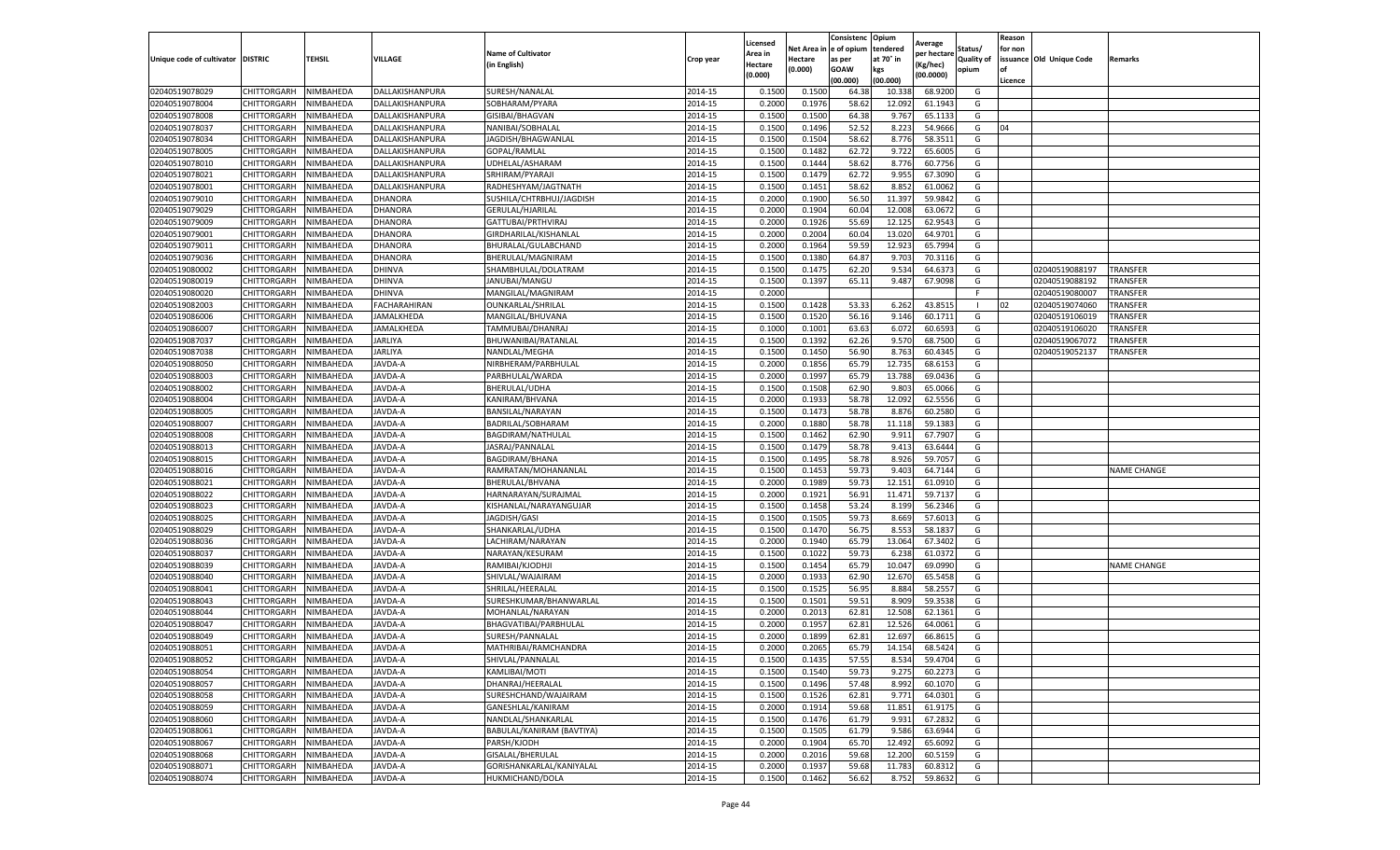|                           |                    |           |                     |                           |           |                     |         | Consistenc             | Opium     |                        |                   | Reason  |                          |                    |
|---------------------------|--------------------|-----------|---------------------|---------------------------|-----------|---------------------|---------|------------------------|-----------|------------------------|-------------------|---------|--------------------------|--------------------|
|                           |                    |           |                     | <b>Name of Cultivator</b> |           | Licensed<br>Area in |         | Net Area in e of opium | tendered  | Average<br>per hectare | Status/           | for non |                          |                    |
| Unique code of cultivator | <b>DISTRIC</b>     | TEHSIL    | VILLAGE             | in English)               | Crop year | Hectare             | Hectare | as per                 | at 70° in | (Kg/hec                | <b>Quality of</b> |         | issuance Old Unique Code | <b>Remarks</b>     |
|                           |                    |           |                     |                           |           | (0.000)             | (0.000) | <b>GOAW</b>            | kgs       | (00.0000)              | opium             |         |                          |                    |
|                           |                    |           |                     |                           |           |                     |         | (00.000)               | (00.000)  |                        |                   | Licence |                          |                    |
| 02040519078029            | CHITTORGARH        | NIMBAHEDA | DALLAKISHANPURA     | SURESH/NANALAL            | 2014-15   | 0.1500              | 0.1500  | 64.38                  | 10.33     | 68.9200                | G                 |         |                          |                    |
| 02040519078004            | CHITTORGARH        | NIMBAHEDA | DALLAKISHANPURA     | SOBHARAM/PYARA            | 2014-15   | 0.2000              | 0.1976  | 58.62                  | 12.09     | 61.1943                | G                 |         |                          |                    |
| 02040519078008            | CHITTORGARH        | NIMBAHEDA | DALLAKISHANPURA     | GISIBAI/BHAGVAN           | 2014-15   | 0.1500              | 0.1500  | 64.38                  | 9.767     | 65.1133                | G                 |         |                          |                    |
| 02040519078037            | CHITTORGARH        | NIMBAHEDA | DALLAKISHANPURA     | NANIBAI/SOBHALAL          | 2014-15   | 0.1500              | 0.1496  | 52.52                  | 8.223     | 54.9666                | G                 | 04      |                          |                    |
| 02040519078034            | CHITTORGARH        | NIMBAHEDA | DALLAKISHANPURA     | JAGDISH/BHAGWANLAL        | 2014-15   | 0.1500              | 0.1504  | 58.62                  | 8.776     | 58.3511                | G                 |         |                          |                    |
| 02040519078005            | CHITTORGARH        | NIMBAHEDA | DALLAKISHANPURA     | GOPAL/RAMLAL              | 2014-15   | 0.1500              | 0.1482  | 62.72                  | 9.722     | 65.6005                | G                 |         |                          |                    |
| 02040519078010            | CHITTORGARH        | NIMBAHEDA | DALLAKISHANPURA     | UDHELAL/ASHARAM           | 2014-15   | 0.1500              | 0.1444  | 58.62                  | 8.776     | 60.7756                | G                 |         |                          |                    |
| 02040519078021            | CHITTORGARH        | NIMBAHEDA | DALLAKISHANPURA     | SRHIRAM/PYARAJI           | 2014-15   | 0.1500              | 0.1479  | 62.72                  | 9.955     | 67.3090                | G                 |         |                          |                    |
| 02040519078001            | CHITTORGARH        | NIMBAHEDA | DALLAKISHANPURA     | RADHESHYAM/JAGTNATH       | 2014-15   | 0.1500              | 0.1451  | 58.62                  | 8.852     | 61.0062                | G                 |         |                          |                    |
| 02040519079010            | CHITTORGARH        | NIMBAHEDA | DHANORA             | SUSHILA/CHTRBHUJ/JAGDISH  | 2014-15   | 0.2000              | 0.1900  | 56.50                  | 11.397    | 59.9842                | G                 |         |                          |                    |
| 02040519079029            | CHITTORGARH        | NIMBAHEDA | DHANORA             | GERULAL/HJARILAL          | 2014-15   | 0.2000              | 0.1904  | 60.04                  | 12.008    | 63.0672                | G                 |         |                          |                    |
| 02040519079009            | CHITTORGARH        | NIMBAHEDA | DHANORA             | GATTUBAI/PRTHVIRAJ        | 2014-15   | 0.2000              | 0.1926  | 55.69                  | 12.125    | 62.9543                | G                 |         |                          |                    |
| 02040519079001            | CHITTORGARH        | NIMBAHEDA | DHANORA             | GIRDHARILAL/KISHANLAI     | 2014-15   | 0.2000              | 0.2004  | 60.04                  | 13.02     | 64.9701                | G                 |         |                          |                    |
| 02040519079011            | CHITTORGARH        | NIMBAHEDA | DHANORA             | BHURALAL/GULABCHAND       | 2014-15   | 0.2000              | 0.1964  | 59.59                  | 12.923    | 65.7994                | G                 |         |                          |                    |
| 02040519079036            | CHITTORGARH        | NIMBAHEDA | DHANORA             | BHERULAL/MAGNIRAM         | 2014-15   | 0.1500              | 0.1380  | 64.87                  | 9.703     | 70.3116                | G                 |         |                          |                    |
| 02040519080002            | CHITTORGARH        | NIMBAHEDA | DHINVA              | SHAMBHULAL/DOLATRAM       | 2014-15   | 0.1500              | 0.1475  | 62.20                  | 9.534     | 64.6373                | G                 |         | 02040519088197           | <b>TRANSFER</b>    |
| 02040519080019            | CHITTORGARH        | NIMBAHEDA | DHINVA              | JANUBAI/MANGU             | 2014-15   | 0.1500              | 0.1397  | 65.11                  | 9.487     | 67.9098                | G                 |         | 02040519088192           | TRANSFER           |
| 02040519080020            | CHITTORGARH        | NIMBAHEDA | <b>DHINVA</b>       | MANGILAL/MAGNIRAM         | 2014-15   | 0.2000              |         |                        |           |                        | F                 |         | 02040519080007           | TRANSFER           |
| 02040519082003            | CHITTORGARH        | NIMBAHEDA | <b>FACHARAHIRAN</b> | <b>OUNKARLAL/SHRILAL</b>  | 2014-15   | 0.1500              | 0.1428  | 53.33                  | 6.262     | 43.8515                |                   | 02      | 02040519074060           | TRANSFER           |
| 02040519086006            | CHITTORGARH        | NIMBAHEDA | JAMALKHEDA          | MANGILAL/BHUVANA          | 2014-15   | 0.1500              | 0.1520  | 56.16                  | 9.146     | 60.1711                | G                 |         | 02040519106019           | TRANSFER           |
| 02040519086007            | CHITTORGARH        | NIMBAHEDA | JAMALKHEDA          | TAMMUBAI/DHANRAJ          | 2014-15   | 0.1000              | 0.1001  | 63.63                  | 6.072     | 60.6593                | G                 |         | 02040519106020           | TRANSFER           |
| 02040519087037            | CHITTORGARH        | NIMBAHEDA | JARLIYA             | BHUWANIBAI/RATANLAI       | 2014-15   | 0.1500              | 0.1392  | 62.26                  | 9.57      | 68.7500                | G                 |         | 02040519067072           | TRANSFER           |
| 02040519087038            | CHITTORGARH        | NIMBAHEDA | JARLIYA             | NANDLAL/MEGHA             | 2014-15   | 0.1500              | 0.1450  | 56.90                  | 8.763     | 60.4345                | G                 |         | 02040519052137           | TRANSFER           |
| 02040519088050            | CHITTORGARH        | NIMBAHEDA | JAVDA-A             | NIRBHERAM/PARBHULAL       | 2014-15   | 0.2000              | 0.1856  | 65.79                  | 12.735    | 68.6153                | G                 |         |                          |                    |
| 02040519088003            | CHITTORGARH        | NIMBAHEDA | JAVDA-A             | PARBHULAL/WARDA           | 2014-15   | 0.2000              | 0.1997  | 65.79                  | 13.78     | 69.0436                | G                 |         |                          |                    |
| 02040519088002            | CHITTORGARH        | NIMBAHEDA | JAVDA-A             | BHERULAL/UDHA             | 2014-15   | 0.1500              | 0.1508  | 62.90                  | 9.80      | 65.0066                | G                 |         |                          |                    |
| 02040519088004            | CHITTORGARH        | NIMBAHEDA | JAVDA-A             | KANIRAM/BHVANA            | 2014-15   | 0.2000              | 0.1933  | 58.78                  | 12.092    | 62.5556                | G                 |         |                          |                    |
| 02040519088005            | CHITTORGARH        | NIMBAHEDA | JAVDA-A             | BANSILAL/NARAYAN          | 2014-15   | 0.1500              | 0.1473  | 58.78                  | 8.876     | 60.2580                | G                 |         |                          |                    |
| 02040519088007            | CHITTORGARH        | NIMBAHEDA | JAVDA-A             | BADRILAL/SOBHARAM         | 2014-15   | 0.2000              | 0.1880  | 58.78                  | 11.118    | 59.1383                | G                 |         |                          |                    |
| 02040519088008            | CHITTORGARH        | NIMBAHEDA | JAVDA-A             | BAGDIRAM/NATHULAL         | 2014-15   | 0.1500              | 0.1462  | 62.90                  | 9.911     | 67.7907                | G                 |         |                          |                    |
| 02040519088013            | CHITTORGARH        | NIMBAHEDA | JAVDA-A             | JASRAJ/PANNALAL           | 2014-15   | 0.1500              | 0.1479  | 58.78                  | 9.41      | 63.6444                | G                 |         |                          |                    |
| 02040519088015            | CHITTORGARH        | NIMBAHEDA | JAVDA-A             | BAGDIRAM/BHANA            | 2014-15   | 0.1500              | 0.1495  | 58.78                  | 8.926     | 59.7057                | G                 |         |                          |                    |
| 02040519088016            | CHITTORGARH        | NIMBAHEDA | JAVDA-A             | RAMRATAN/MOHANANLAL       | 2014-15   | 0.1500              | 0.1453  | 59.73                  | 9.403     | 64.7144                | G                 |         |                          | <b>NAME CHANGE</b> |
| 02040519088021            | CHITTORGARH        | NIMBAHEDA | JAVDA-A             | BHERULAL/BHVANA           | 2014-15   | 0.2000              | 0.1989  | 59.73                  | 12.151    | 61.0910                | G                 |         |                          |                    |
| 02040519088022            | CHITTORGARH        | NIMBAHEDA | JAVDA-A             | HARNARAYAN/SURAJMAL       | 2014-15   | 0.2000              | 0.1921  | 56.91                  | 11.471    | 59.7137                | G                 |         |                          |                    |
| 02040519088023            | CHITTORGARH        | NIMBAHEDA | JAVDA-A             | KISHANLAL/NARAYANGUJAR    | 2014-15   | 0.1500              | 0.1458  | 53.24                  | 8.199     | 56.2346                | G                 |         |                          |                    |
| 02040519088025            | CHITTORGARH        | NIMBAHEDA | JAVDA-A             | JAGDISH/GASI              | 2014-15   | 0.1500              | 0.1505  | 59.73                  | 8.669     | 57.6013                | G                 |         |                          |                    |
| 02040519088029            | CHITTORGARH        | NIMBAHEDA | <b>AVDA-A</b>       | SHANKARLAL/UDHA           | 2014-15   | 0.1500              | 0.1470  | 56.75                  | 8.55      | 58.183                 | G                 |         |                          |                    |
| 02040519088036            | CHITTORGARH        | NIMBAHEDA | JAVDA-A             | LACHIRAM/NARAYAN          | 2014-15   | 0.2000              | 0.1940  | 65.79                  | 13.064    | 67.3402                | G                 |         |                          |                    |
| 02040519088037            | CHITTORGARH        | NIMBAHEDA | JAVDA-A             | NARAYAN/KESURAM           | 2014-15   | 0.1500              | 0.1022  | 59.73                  | 6.238     | 61.0372                | G                 |         |                          |                    |
| 02040519088039            | CHITTORGARH        | NIMBAHEDA | JAVDA-A             | RAMIBAI/KJODHJI           | 2014-15   | 0.1500              | 0.1454  | 65.79                  | 10.04     | 69.0990                | G                 |         |                          | <b>NAME CHANGE</b> |
| 02040519088040            | CHITTORGARH        | NIMBAHEDA | JAVDA-A             | SHIVLAL/WAJAIRAM          | 2014-15   | 0.2000              | 0.1933  | 62.90                  | 12.67     | 65.5458                | G                 |         |                          |                    |
| 02040519088041            | CHITTORGARH        | NIMBAHEDA | JAVDA-A             | SHRILAL/HEERALAL          | 2014-15   | 0.1500              | 0.1525  | 56.95                  | 8.88      | 58.2557                | G                 |         |                          |                    |
| 02040519088043            | CHITTORGARH        | NIMBAHEDA | JAVDA-A             | SURESHKUMAR/BHANWARLAL    | 2014-15   | 0.1500              | 0.1501  | 59.51                  | 8.909     | 59.3538                | G                 |         |                          |                    |
| 02040519088044            | CHITTORGARH        | NIMBAHEDA | JAVDA-A             | MOHANLAL/NARAYAN          | 2014-15   | 0.2000              | 0.2013  | 62.81                  | 12.508    | 62.1361                | G                 |         |                          |                    |
| 02040519088047            | CHITTORGARH        | NIMBAHEDA | JAVDA-A             | BHAGVATIBAI/PARBHULAL     | 2014-15   | 0.2000              | 0.1957  | 62.81                  | 12.526    | 64.0061                | G                 |         |                          |                    |
| 02040519088049            | CHITTORGARH        | NIMBAHEDA | JAVDA-A             | SURESH/PANNALAL           | 2014-15   | 0.2000              | 0.1899  | 62.81                  | 12.69     | 66.8615                | G                 |         |                          |                    |
| 02040519088051            | CHITTORGARH        | NIMBAHEDA | JAVDA-A             | MATHRIBAI/RAMCHANDRA      | 2014-15   | 0.2000              | 0.2065  | 65.79                  | 14.154    | 68.5424                | G                 |         |                          |                    |
| 02040519088052            | CHITTORGARH        | NIMBAHEDA | JAVDA-A             | SHIVLAL/PANNALAL          | 2014-15   | 0.1500              | 0.1435  | 57.55                  | 8.534     | 59.4704                | G                 |         |                          |                    |
| 02040519088054            | CHITTORGARH        | NIMBAHEDA | JAVDA-A             | KAMLIBAI/MOTI             | 2014-15   | 0.1500              | 0.1540  | 59.73                  | 9.275     | 60.2273                | G                 |         |                          |                    |
| 02040519088057            | <b>CHITTORGARH</b> | NIMBAHEDA | JAVDA-A             | DHANRAJ/HEERALAL          | 2014-15   | 0.1500              | 0.1496  | 57.48                  | 8.992     | 60.1070                | G                 |         |                          |                    |
| 02040519088058            | CHITTORGARH        | NIMBAHEDA | JAVDA-A             | SURESHCHAND/WAJAIRAM      | 2014-15   | 0.1500              | 0.1526  | 62.81                  | 9.771     | 64.0301                | G                 |         |                          |                    |
| 02040519088059            | <b>CHITTORGARH</b> | NIMBAHEDA | JAVDA-A             | GANESHLAL/KANIRAM         | 2014-15   | 0.2000              | 0.1914  | 59.68                  | 11.851    | 61.9175                | G                 |         |                          |                    |
| 02040519088060            | <b>CHITTORGARH</b> | NIMBAHEDA | JAVDA-A             | NANDLAL/SHANKARLAL        | 2014-15   | 0.1500              | 0.1476  | 61.79                  | 9.931     | 67.2832                | G                 |         |                          |                    |
| 02040519088061            | CHITTORGARH        | NIMBAHEDA | JAVDA-A             | BABULAL/KANIRAM (BAVTIYA) | 2014-15   | 0.1500              | 0.1505  | 61.79                  | 9.586     | 63.6944                | G                 |         |                          |                    |
| 02040519088067            | CHITTORGARH        | NIMBAHEDA | JAVDA-A             | PARSH/KJODH               | 2014-15   | 0.2000              | 0.1904  | 65.70                  | 12.492    | 65.6092                | G                 |         |                          |                    |
| 02040519088068            | CHITTORGARH        | NIMBAHEDA | JAVDA-A             | GISALAL/BHERULAL          | 2014-15   | 0.2000              | 0.2016  | 59.68                  | 12.200    | 60.5159                | G                 |         |                          |                    |
| 02040519088071            | CHITTORGARH        | NIMBAHEDA | JAVDA-A             | GORISHANKARLAL/KANIYALAL  | 2014-15   | 0.2000              | 0.1937  | 59.68                  | 11.783    | 60.8312                | G                 |         |                          |                    |
| 02040519088074            | <b>CHITTORGARH</b> | NIMBAHEDA | JAVDA-A             | HUKMICHAND/DOLA           | 2014-15   | 0.1500              | 0.1462  | 56.62                  | 8.752     | 59.8632                | G                 |         |                          |                    |
|                           |                    |           |                     |                           |           |                     |         |                        |           |                        |                   |         |                          |                    |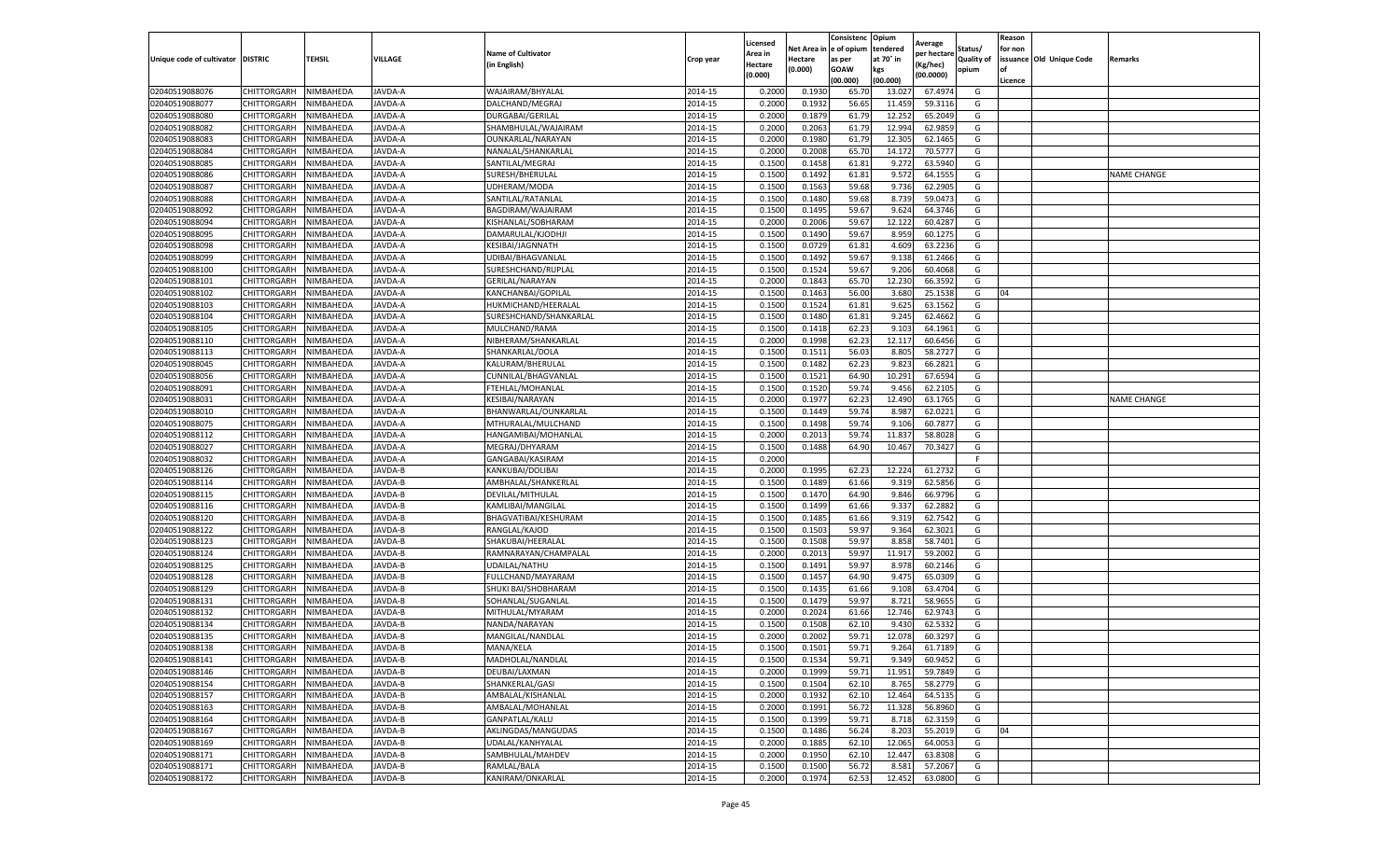|                           |                    |           |               |                           |           | Licensed |         | Consistenc             | Opium     |                        |                   | Reason  |                          |                    |
|---------------------------|--------------------|-----------|---------------|---------------------------|-----------|----------|---------|------------------------|-----------|------------------------|-------------------|---------|--------------------------|--------------------|
|                           |                    |           |               | <b>Name of Cultivator</b> |           | Area in  |         | Net Area in e of opium | tendered  | Average<br>per hectare | Status/           | for non |                          |                    |
| Unique code of cultivator | <b>DISTRIC</b>     | TEHSIL    | VILLAGE       | in English)               | Crop year | Hectare  | Hectare | as per                 | at 70° in | (Kg/hec                | <b>Quality of</b> |         | issuance Old Unique Code | <b>Remarks</b>     |
|                           |                    |           |               |                           |           | (0.000)  | (0.000) | <b>GOAW</b>            | kgs       | (00.0000)              | opium             |         |                          |                    |
|                           |                    |           |               |                           |           |          |         | (00.000)               | (00.000)  |                        |                   | Licence |                          |                    |
| 02040519088076            | CHITTORGARH        | NIMBAHEDA | JAVDA-A       | WAJAIRAM/BHYALAL          | 2014-15   | 0.2000   | 0.1930  | 65.70                  | 13.02     | 67.4974                | G                 |         |                          |                    |
| 02040519088077            | CHITTORGARH        | NIMBAHEDA | JAVDA-A       | DALCHAND/MEGRAJ           | 2014-15   | 0.2000   | 0.1932  | 56.65                  | 11.459    | 59.3116                | G                 |         |                          |                    |
| 02040519088080            | CHITTORGARH        | NIMBAHEDA | JAVDA-A       | DURGABAI/GERILAL          | 2014-15   | 0.2000   | 0.1879  | 61.79                  | 12.25     | 65.2049                | G                 |         |                          |                    |
| 02040519088082            | CHITTORGARH        | NIMBAHEDA | JAVDA-A       | SHAMBHULAL/WAJAIRAM       | 2014-15   | 0.2000   | 0.2063  | 61.79                  | 12.994    | 62.9859                | G                 |         |                          |                    |
| 02040519088083            | CHITTORGARH        | NIMBAHEDA | JAVDA-A       | OUNKARLAL/NARAYAN         | 2014-15   | 0.2000   | 0.1980  | 61.79                  | 12.305    | 62.1465                | G                 |         |                          |                    |
| 02040519088084            | CHITTORGARH        | NIMBAHEDA | JAVDA-A       | NANALAL/SHANKARLAL        | 2014-15   | 0.2000   | 0.2008  | 65.70                  | 14.172    | 70.5777                | G                 |         |                          |                    |
| 02040519088085            | CHITTORGARH        | NIMBAHEDA | JAVDA-A       | SANTILAL/MEGRAJ           | 2014-15   | 0.1500   | 0.1458  | 61.81                  | 9.272     | 63.5940                | G                 |         |                          |                    |
| 02040519088086            | CHITTORGARH        | NIMBAHEDA | JAVDA-A       | SURESH/BHERULAL           | 2014-15   | 0.1500   | 0.1492  | 61.81                  | 9.572     | 64.1555                | G                 |         |                          | <b>NAME CHANGE</b> |
| 02040519088087            | CHITTORGARH        | NIMBAHEDA | JAVDA-A       | UDHERAM/MODA              | 2014-15   | 0.1500   | 0.1563  | 59.68                  | 9.736     | 62.2905                | G                 |         |                          |                    |
| 02040519088088            | CHITTORGARH        | NIMBAHEDA | JAVDA-A       | SANTILAL/RATANLAL         | 2014-15   | 0.1500   | 0.1480  | 59.68                  | 8.739     | 59.0473                | G                 |         |                          |                    |
| 02040519088092            | CHITTORGARH        | NIMBAHEDA | JAVDA-A       | BAGDIRAM/WAJAIRAM         | 2014-15   | 0.1500   | 0.1495  | 59.67                  | 9.624     | 64.3746                | G                 |         |                          |                    |
| 02040519088094            | CHITTORGARH        | NIMBAHEDA | JAVDA-A       | KISHANLAL/SOBHARAM        | 2014-15   | 0.2000   | 0.2006  | 59.67                  | 12.122    | 60.4287                | G                 |         |                          |                    |
| 02040519088095            | CHITTORGARH        | NIMBAHEDA | JAVDA-A       | DAMARULAL/KJODHJI         | 2014-15   | 0.1500   | 0.1490  | 59.67                  | 8.959     | 60.1275                | G                 |         |                          |                    |
| 02040519088098            | CHITTORGARH        | NIMBAHEDA | JAVDA-A       | KESIBAI/JAGNNATH          | 2014-15   | 0.1500   | 0.0729  | 61.81                  | 4.609     | 63.2236                | G                 |         |                          |                    |
| 02040519088099            | CHITTORGARH        | NIMBAHEDA | JAVDA-A       | UDIBAI/BHAGVANLAL         | 2014-15   | 0.1500   | 0.1492  | 59.67                  | 9.138     | 61.2466                | G                 |         |                          |                    |
| 02040519088100            | CHITTORGARH        | NIMBAHEDA | JAVDA-A       | SURESHCHAND/RUPLAL        | 2014-15   | 0.1500   | 0.1524  | 59.67                  | 9.206     | 60.4068                | G                 |         |                          |                    |
| 02040519088101            | CHITTORGARH        | NIMBAHEDA | JAVDA-A       | GERILAL/NARAYAN           | 2014-15   | 0.2000   | 0.1843  | 65.70                  | 12.230    | 66.3592                | G                 |         |                          |                    |
| 02040519088102            | CHITTORGARH        | NIMBAHEDA | JAVDA-A       | KANCHANBAI/GOPILAL        | 2014-15   | 0.1500   | 0.1463  | 56.00                  | 3.680     | 25.1538                | G                 | 04      |                          |                    |
| 02040519088103            | CHITTORGARH        | NIMBAHEDA | <b>AVDA-A</b> | HUKMICHAND/HEERALAL       | 2014-15   | 0.1500   | 0.1524  | 61.81                  | 9.625     | 63.1562                | G                 |         |                          |                    |
| 02040519088104            | CHITTORGARH        | NIMBAHEDA | JAVDA-A       | SURESHCHAND/SHANKARLAI    | 2014-15   | 0.1500   | 0.1480  | 61.81                  | 9.245     | 62.4662                | G                 |         |                          |                    |
| 02040519088105            | CHITTORGARH        | NIMBAHEDA | JAVDA-A       | MULCHAND/RAMA             | 2014-15   | 0.1500   | 0.1418  | 62.23                  | 9.103     | 64.1961                | G                 |         |                          |                    |
| 02040519088110            | CHITTORGARH        | NIMBAHEDA | JAVDA-A       | NIBHERAM/SHANKARLAL       | 2014-15   | 0.2000   | 0.1998  | 62.23                  | 12.117    | 60.6456                | G                 |         |                          |                    |
| 02040519088113            | CHITTORGARH        | NIMBAHEDA | JAVDA-A       | SHANKARLAL/DOLA           | 2014-15   | 0.1500   | 0.1511  | 56.03                  | 8.805     | 58.2727                | G                 |         |                          |                    |
| 02040519088045            | CHITTORGARH        | NIMBAHEDA | JAVDA-A       | KALURAM/BHERULAL          | 2014-15   | 0.1500   | 0.1482  | 62.23                  | 9.823     | 66.2821                | G                 |         |                          |                    |
| 02040519088056            | CHITTORGARH        | NIMBAHEDA | JAVDA-A       | CUNNILAL/BHAGVANLAL       | 2014-15   | 0.1500   | 0.1521  | 64.90                  | 10.291    | 67.6594                | G                 |         |                          |                    |
| 02040519088091            | CHITTORGARH        | NIMBAHEDA | JAVDA-A       | FTEHLAL/MOHANLAI          | 2014-15   | 0.1500   | 0.1520  | 59.74                  | 9.456     | 62.2105                | G                 |         |                          |                    |
| 02040519088031            | CHITTORGARH        | NIMBAHEDA | JAVDA-A       | KESIBAI/NARAYAN           | 2014-15   | 0.2000   | 0.1977  | 62.23                  | 12.490    | 63.1765                | G                 |         |                          | <b>NAME CHANGE</b> |
| 02040519088010            | CHITTORGARH        | NIMBAHEDA | JAVDA-A       | BHANWARLAL/OUNKARLAL      | 2014-15   | 0.1500   | 0.1449  | 59.74                  | 8.987     | 62.0221                | G                 |         |                          |                    |
| 02040519088075            | CHITTORGARH        | NIMBAHEDA | JAVDA-A       | MTHURALAL/MULCHAND        | 2014-15   | 0.1500   | 0.1498  | 59.74                  | 9.106     | 60.7877                | G                 |         |                          |                    |
| 02040519088112            | CHITTORGARH        | NIMBAHEDA | JAVDA-A       | HANGAMIBAI/MOHANLAL       | 2014-15   | 0.2000   | 0.2013  | 59.74                  | 11.83     | 58.8028                | G                 |         |                          |                    |
| 02040519088027            | CHITTORGARH        | NIMBAHEDA | JAVDA-A       | MEGRAJ/DHYARAM            | 2014-15   | 0.1500   | 0.1488  | 64.90                  | 10.467    | 70.3427                | G                 |         |                          |                    |
| 02040519088032            | CHITTORGARH        | NIMBAHEDA | JAVDA-A       | GANGABAI/KASIRAM          | 2014-15   | 0.2000   |         |                        |           |                        | F.                |         |                          |                    |
| 02040519088126            | CHITTORGARH        | NIMBAHEDA | JAVDA-B       | KANKUBAI/DOLIBAI          | 2014-15   | 0.2000   | 0.1995  | 62.23                  | 12.22     | 61.2732                | G                 |         |                          |                    |
| 02040519088114            | CHITTORGARH        | NIMBAHEDA | JAVDA-B       | AMBHALAL/SHANKERLAL       | 2014-15   | 0.1500   | 0.1489  | 61.66                  | 9.319     | 62.5856                | G                 |         |                          |                    |
| 02040519088115            | CHITTORGARH        | NIMBAHEDA | JAVDA-B       | DEVILAL/MITHULAL          | 2014-15   | 0.1500   | 0.1470  | 64.90                  | 9.846     | 66.9796                | G                 |         |                          |                    |
| 02040519088116            | CHITTORGARH        | NIMBAHEDA | JAVDA-B       | KAMLIBAI/MANGILAL         | 2014-15   | 0.1500   | 0.1499  | 61.66                  | 9.33      | 62.2882                | G                 |         |                          |                    |
| 02040519088120            | CHITTORGARH        | NIMBAHEDA | JAVDA-B       | BHAGVATIBAI/KESHURAM      | 2014-15   | 0.1500   | 0.1485  | 61.66                  | 9.319     | 62.7542                | G                 |         |                          |                    |
| 02040519088122            | CHITTORGARH        | NIMBAHEDA | <b>AVDA-B</b> | RANGLAL/KAJOD             | 2014-15   | 0.1500   | 0.1503  | 59.97                  | 9.364     | 62.3021                | G                 |         |                          |                    |
| 02040519088123            | CHITTORGARH        | NIMBAHEDA | JAVDA-B       | SHAKUBAI/HEERALAL         | 2014-15   | 0.1500   | 0.1508  | 59.97                  | 8.85      | 58.7401                | G                 |         |                          |                    |
| 02040519088124            | CHITTORGARH        | NIMBAHEDA | JAVDA-B       | RAMNARAYAN/CHAMPALAL      | 2014-15   | 0.2000   | 0.2013  | 59.97                  | 11.917    | 59.2002                | G                 |         |                          |                    |
| 02040519088125            | CHITTORGARH        | NIMBAHEDA | JAVDA-B       | UDAILAL/NATHU             | 2014-15   | 0.1500   | 0.1491  | 59.97                  | 8.97      | 60.2146                | G                 |         |                          |                    |
| 02040519088128            | CHITTORGARH        | NIMBAHEDA | JAVDA-B       | FULLCHAND/MAYARAM         | 2014-15   | 0.1500   | 0.1457  | 64.90                  | 9.475     | 65.0309                | G                 |         |                          |                    |
| 02040519088129            | CHITTORGARH        | NIMBAHEDA | JAVDA-B       | SHUKI BAI/SHOBHARAM       | 2014-15   | 0.1500   | 0.1435  | 61.66                  | 9.108     | 63.4704                | G                 |         |                          |                    |
| 02040519088131            | CHITTORGARH        | NIMBAHEDA | JAVDA-B       | SOHANLAL/SUGANLAL         | 2014-15   | 0.1500   | 0.1479  | 59.97                  | 8.721     | 58.9655                | G                 |         |                          |                    |
| 02040519088132            | CHITTORGARH        | NIMBAHEDA | JAVDA-B       | MITHULAL/MYARAM           | 2014-15   | 0.2000   | 0.2024  | 61.66                  | 12.746    | 62.9743                | G                 |         |                          |                    |
| 02040519088134            | CHITTORGARH        | NIMBAHEDA | JAVDA-B       | NANDA/NARAYAN             | 2014-15   | 0.1500   | 0.1508  | 62.10                  | 9.430     | 62.5332                | G                 |         |                          |                    |
| 02040519088135            | CHITTORGARH        | NIMBAHEDA | JAVDA-B       | MANGILAL/NANDLAL          | 2014-15   | 0.2000   | 0.2002  | 59.71                  | 12.07     | 60.3297                | G                 |         |                          |                    |
| 02040519088138            | CHITTORGARH        | NIMBAHEDA | JAVDA-B       | MANA/KELA                 | 2014-15   | 0.1500   | 0.1501  | 59.71                  | 9.264     | 61.7189                | G                 |         |                          |                    |
| 02040519088141            | CHITTORGARH        | NIMBAHEDA | JAVDA-B       | MADHOLAL/NANDLAL          | 2014-15   | 0.1500   | 0.1534  | 59.71                  | 9.349     | 60.9452                | G                 |         |                          |                    |
| 02040519088146            | CHITTORGARH        | NIMBAHEDA | JAVDA-B       | DEUBAI/LAXMAN             | 2014-15   | 0.2000   | 0.1999  | 59.71                  | 11.951    | 59.7849                | G                 |         |                          |                    |
| 02040519088154            | <b>CHITTORGARH</b> | NIMBAHEDA | JAVDA-B       | SHANKERLAL/GASI           | 2014-15   | 0.1500   | 0.1504  | 62.10                  | 8.765     | 58.2779                | G                 |         |                          |                    |
| 02040519088157            | CHITTORGARH        | NIMBAHEDA | JAVDA-B       | AMBALAL/KISHANLAL         | 2014-15   | 0.2000   | 0.1932  | 62.10                  | 12.464    | 64.5135                | G                 |         |                          |                    |
| 02040519088163            | CHITTORGARH        | NIMBAHEDA | JAVDA-B       | AMBALAL/MOHANLAL          | 2014-15   | 0.2000   | 0.1991  | 56.72                  | 11.328    | 56.8960                | G                 |         |                          |                    |
| 02040519088164            | <b>CHITTORGARH</b> | NIMBAHEDA | JAVDA-B       | GANPATLAL/KALU            | 2014-15   | 0.1500   | 0.1399  | 59.71                  | 8.718     | 62.3159                | G                 |         |                          |                    |
| 02040519088167            | CHITTORGARH        | NIMBAHEDA | JAVDA-B       | AKLINGDAS/MANGUDAS        | 2014-15   | 0.1500   | 0.1486  | 56.24                  | 8.203     | 55.2019                | G                 | 04      |                          |                    |
| 02040519088169            | CHITTORGARH        | NIMBAHEDA | JAVDA-B       | UDALAL/KANHYALAL          | 2014-15   | 0.2000   | 0.1885  | 62.10                  | 12.065    | 64.0053                | G                 |         |                          |                    |
| 02040519088171            | CHITTORGARH        | NIMBAHEDA | JAVDA-B       | SAMBHULAL/MAHDEV          | 2014-15   | 0.2000   | 0.1950  | 62.10                  | 12.447    | 63.8308                | G                 |         |                          |                    |
| 02040519088171            | CHITTORGARH        | NIMBAHEDA | JAVDA-B       | RAMLAL/BALA               | 2014-15   | 0.1500   | 0.1500  | 56.72                  | 8.581     | 57.2067                | G                 |         |                          |                    |
| 02040519088172            | <b>CHITTORGARH</b> | NIMBAHEDA | JAVDA-B       | KANIRAM/ONKARLAL          | 2014-15   | 0.2000   | 0.1974  | 62.53                  | 12.452    | 63.0800                | G                 |         |                          |                    |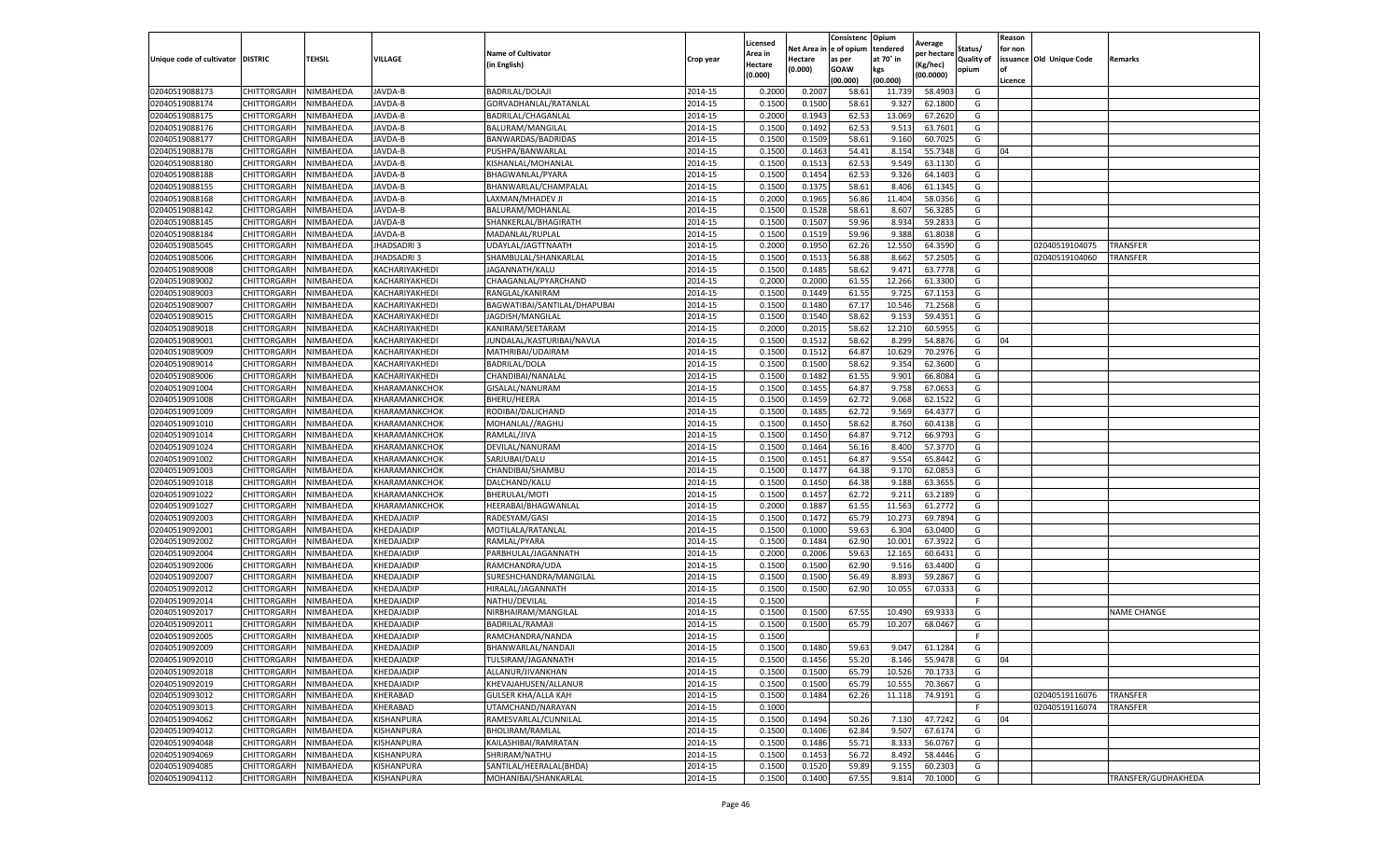|                                   |                    |                  |                   |                             |           | Licensed |         | Consistenc             | Opium     |                        |            | Reason  |                          |                     |
|-----------------------------------|--------------------|------------------|-------------------|-----------------------------|-----------|----------|---------|------------------------|-----------|------------------------|------------|---------|--------------------------|---------------------|
|                                   |                    |                  |                   | <b>Name of Cultivator</b>   |           | Area in  |         | Net Area in e of opium | tendered  | Average<br>oer hectare | Status/    | for non |                          |                     |
| Unique code of cultivator DISTRIC |                    | TEHSIL           | VILLAGE           | in English)                 | Crop year | Hectare  | Hectare | as per                 | at 70° in | (Kg/hec                | Quality of |         | issuance Old Unique Code | <b>Remarks</b>      |
|                                   |                    |                  |                   |                             |           | (0.000)  | (0.000) | <b>GOAW</b>            | kgs       | (00.0000)              | opium      |         |                          |                     |
|                                   |                    |                  |                   |                             |           |          |         | (00.000)               | (00.000)  |                        |            | Licence |                          |                     |
| 02040519088173                    | CHITTORGARH        | NIMBAHEDA        | JAVDA-B           | <b>BADRILAL/DOLAJI</b>      | 2014-15   | 0.2000   | 0.2007  | 58.61                  | 11.73     | 58.4903                | G          |         |                          |                     |
| 02040519088174                    | CHITTORGARH        | NIMBAHEDA        | JAVDA-B           | GORVADHANLAL/RATANLAL       | 2014-15   | 0.1500   | 0.1500  | 58.61                  | 9.32      | 62.1800                | G          |         |                          |                     |
| 02040519088175                    | CHITTORGARH        | NIMBAHEDA        | JAVDA-B           | <b>BADRILAL/CHAGANLAL</b>   | 2014-15   | 0.2000   | 0.1943  | 62.53                  | 13.069    | 67.2620                | G          |         |                          |                     |
| 02040519088176                    | CHITTORGARH        | NIMBAHEDA        | JAVDA-B           | BALURAM/MANGILAL            | 2014-15   | 0.1500   | 0.1492  | 62.53                  | 9.513     | 63.7601                | G          |         |                          |                     |
| 02040519088177                    | <b>CHITTORGARH</b> | NIMBAHEDA        | JAVDA-B           | BANWARDAS/BADRIDAS          | 2014-15   | 0.1500   | 0.1509  | 58.61                  | 9.160     | 60.7025                | G          |         |                          |                     |
| 02040519088178                    | CHITTORGARH        | NIMBAHEDA        | JAVDA-B           | PUSHPA/BANWARLAI            | 2014-15   | 0.1500   | 0.1463  | 54.41                  | 8.154     | 55.7348                | G          | 04      |                          |                     |
| 02040519088180                    | CHITTORGARH        | NIMBAHEDA        | JAVDA-B           | KISHANLAL/MOHANLAL          | 2014-15   | 0.1500   | 0.1513  | 62.53                  | 9.549     | 63.1130                | G          |         |                          |                     |
| 02040519088188                    | CHITTORGARH        | NIMBAHEDA        | JAVDA-B           | BHAGWANLAL/PYARA            | 2014-15   | 0.1500   | 0.1454  | 62.53                  | 9.326     | 64.1403                | G          |         |                          |                     |
| 02040519088155                    | CHITTORGARH        | NIMBAHEDA        | JAVDA-B           | BHANWARLAL/CHAMPALAL        | 2014-15   | 0.1500   | 0.1375  | 58.61                  | 8.406     | 61.1345                | G          |         |                          |                     |
| 02040519088168                    | CHITTORGARH        | NIMBAHEDA        | JAVDA-B           | LAXMAN/MHADEV JI            | 2014-15   | 0.2000   | 0.1965  | 56.86                  | 11.404    | 58.0356                | G          |         |                          |                     |
| 02040519088142                    | CHITTORGARH        | NIMBAHEDA        | JAVDA-B           | BALURAM/MOHANLAL            | 2014-15   | 0.1500   | 0.1528  | 58.61                  | 8.607     | 56.3285                | G          |         |                          |                     |
| 02040519088145                    | CHITTORGARH        | NIMBAHEDA        | JAVDA-B           | SHANKERLAL/BHAGIRATH        | 2014-15   | 0.1500   | 0.1507  | 59.96                  | 8.934     | 59.2833                | G          |         |                          |                     |
| 02040519088184                    | CHITTORGARH        | NIMBAHEDA        | JAVDA-B           | MADANLAL/RUPLAL             | 2014-15   | 0.1500   | 0.1519  | 59.96                  | 9.388     | 61.8038                | G          |         |                          |                     |
| 02040519085045                    | CHITTORGARH        | NIMBAHEDA        | JHADSADRI 3       | UDAYLAL/JAGTTNAATH          | 2014-15   | 0.2000   | 0.1950  | 62.26                  | 12.55     | 64.3590                | G          |         | 02040519104075           | TRANSFER            |
| 02040519085006                    | CHITTORGARH        | NIMBAHEDA        | JHADSADRI 3       | SHAMBULAL/SHANKARLAL        | 2014-15   | 0.1500   | 0.1513  | 56.88                  | 8.662     | 57.2505                | G          |         | 02040519104060           | TRANSFER            |
| 02040519089008                    | CHITTORGARH        | NIMBAHEDA        | KACHARIYAKHEDI    | JAGANNATH/KALU              | 2014-15   | 0.1500   | 0.1485  | 58.62                  | 9.471     | 63.7778                | G          |         |                          |                     |
| 02040519089002                    | CHITTORGARH        | NIMBAHEDA        | KACHARIYAKHEDI    | CHAAGANLAL/PYARCHAND        | 2014-15   | 0.2000   | 0.2000  | 61.55                  | 12.266    | 61.3300                | G          |         |                          |                     |
| 02040519089003                    | CHITTORGARH        | NIMBAHEDA        | KACHARIYAKHEDI    | RANGLAL/KANIRAM             | 2014-15   | 0.1500   | 0.1449  | 61.55                  | 9.725     | 67.1153                | G          |         |                          |                     |
| 02040519089007                    | CHITTORGARH        | NIMBAHEDA        | KACHARIYAKHEDI    | BAGWATIBAI/SANTILAL/DHAPUBA | 2014-15   | 0.1500   | 0.1480  | 67.17                  | 10.546    | 71.2568                | G          |         |                          |                     |
| 02040519089015                    | CHITTORGARH        | NIMBAHEDA        | KACHARIYAKHEDI    | JAGDISH/MANGILAL            | 2014-15   | 0.1500   | 0.1540  | 58.62                  | 9.153     | 59.4351                | G          |         |                          |                     |
| 02040519089018                    | CHITTORGARH        | NIMBAHEDA        | KACHARIYAKHEDI    | KANIRAM/SEETARAM            | 2014-15   | 0.2000   | 0.2015  | 58.62                  | 12.210    | 60.5955                | G          |         |                          |                     |
| 02040519089001                    | CHITTORGARH        | NIMBAHEDA        | KACHARIYAKHEDI    | JUNDALAL/KASTURIBAI/NAVLA   | 2014-15   | 0.1500   | 0.1512  | 58.62                  | 8.299     | 54.8876                | G          | 04      |                          |                     |
| 02040519089009                    | CHITTORGARH        | NIMBAHEDA        | KACHARIYAKHEDI    | MATHRIBAI/UDAIRAM           | 2014-15   | 0.1500   | 0.1512  | 64.87                  | 10.629    | 70.2976                | G          |         |                          |                     |
| 02040519089014                    | CHITTORGARH        | NIMBAHEDA        | KACHARIYAKHEDI    | <b>BADRILAL/DOLA</b>        | 2014-15   | 0.1500   | 0.1500  | 58.62                  | 9.354     | 62.3600                | G          |         |                          |                     |
| 02040519089006                    | <b>CHITTORGARH</b> | NIMBAHEDA        | KACHARIYAKHEDI    | CHANDIBAI/NANALAI           | 2014-15   | 0.1500   | 0.1482  | 61.55                  | 9.901     | 66.8084                | G          |         |                          |                     |
| 02040519091004                    | CHITTORGARH        | NIMBAHEDA        | KHARAMANKCHOK     | GISALAL/NANURAM             | 2014-15   | 0.1500   | 0.1455  | 64.87                  | 9.758     | 67.0653                | G          |         |                          |                     |
| 02040519091008                    | CHITTORGARH        | NIMBAHEDA        | KHARAMANKCHOK     | <b>BHERU/HEERA</b>          | 2014-15   | 0.1500   | 0.1459  | 62.72                  | 9.068     | 62.1522                | G          |         |                          |                     |
| 02040519091009                    | CHITTORGARH        | NIMBAHEDA        | KHARAMANKCHOK     | RODIBAI/DALICHAND           | 2014-15   | 0.1500   | 0.1485  | 62.72                  | 9.569     | 64.4377                | G          |         |                          |                     |
| 02040519091010                    | CHITTORGARH        | NIMBAHEDA        | KHARAMANKCHOK     | MOHANLAL//RAGHU             | 2014-15   | 0.1500   | 0.1450  | 58.62                  | 8.760     | 60.4138                | G          |         |                          |                     |
| 02040519091014                    | CHITTORGARH        | NIMBAHEDA        | KHARAMANKCHOK     | RAMLAL/JIVA                 | 2014-15   | 0.1500   | 0.1450  | 64.87                  | 9.712     | 66.9793                | G          |         |                          |                     |
| 02040519091024                    | CHITTORGARH        | NIMBAHEDA        | KHARAMANKCHOK     | DEVILAL/NANURAM             | 2014-15   | 0.1500   | 0.1464  | 56.16                  | 8.400     | 57.3770                | G          |         |                          |                     |
| 02040519091002                    | CHITTORGARH        | NIMBAHEDA        | KHARAMANKCHOK     | SARJUBAI/DALU               | 2014-15   | 0.1500   | 0.1451  | 64.87                  | 9.554     | 65.8442                | G          |         |                          |                     |
| 02040519091003                    | CHITTORGARH        | NIMBAHEDA        | KHARAMANKCHOK     | CHANDIBAI/SHAMBU            | 2014-15   | 0.1500   | 0.1477  | 64.38                  | 9.17      | 62.0853                | G          |         |                          |                     |
| 02040519091018                    | CHITTORGARH        | NIMBAHEDA        | KHARAMANKCHOK     | DALCHAND/KALU               | 2014-15   | 0.1500   | 0.1450  | 64.38                  | 9.188     | 63.3655                | G          |         |                          |                     |
| 02040519091022                    | CHITTORGARH        | NIMBAHEDA        | KHARAMANKCHOK     | BHERULAL/MOTI               | 2014-15   | 0.1500   | 0.1457  | 62.72                  | 9.211     | 63.2189                | G          |         |                          |                     |
| 02040519091027                    | CHITTORGARH        | NIMBAHEDA        | KHARAMANKCHOK     | HEERABAI/BHAGWANLAL         | 2014-15   | 0.2000   | 0.1887  | 61.55                  | 11.563    | 61.2772                | G          |         |                          |                     |
| 02040519092003                    | CHITTORGARH        | NIMBAHEDA        | KHEDAJADIP        | RADESYAM/GASI               | 2014-15   | 0.1500   | 0.1472  | 65.79                  | 10.273    | 69.7894                | G          |         |                          |                     |
| 02040519092001                    | CHITTORGARH        | NIMBAHEDA        | KHEDAJADIP        | MOTILALA/RATANLAL           | 2014-15   | 0.1500   | 0.1000  | 59.63                  | 6.30      | 63.0400                | G          |         |                          |                     |
| 02040519092002                    | CHITTORGARH        | NIMBAHEDA        | KHEDAJADIP        | RAMLAL/PYARA                | 2014-15   | 0.1500   | 0.1484  | 62.90                  | 10.001    | 67.3922                | G          |         |                          |                     |
| 02040519092004                    | CHITTORGARH        | NIMBAHEDA        | KHEDAJADIP        | PARBHULAL/JAGANNATH         | 2014-15   | 0.2000   | 0.2006  | 59.63                  | 12.165    | 60.6431                | G          |         |                          |                     |
| 02040519092006                    | CHITTORGARH        | NIMBAHEDA        | KHEDAJADIP        | RAMCHANDRA/UDA              | 2014-15   | 0.1500   | 0.1500  | 62.90                  | 9.51      | 63.4400                | G          |         |                          |                     |
| 02040519092007                    | CHITTORGARH        | NIMBAHEDA        | KHEDAJADIP        | SURESHCHANDRA/MANGILAL      | 2014-15   | 0.1500   | 0.1500  | 56.49                  | 8.893     | 59.2867                | G          |         |                          |                     |
| 02040519092012                    | CHITTORGARH        | NIMBAHEDA        | KHEDAJADIP        | HIRALAL/JAGANNATH           | 2014-15   | 0.1500   | 0.1500  | 62.90                  | 10.055    | 67.0333                | G          |         |                          |                     |
| 02040519092014                    | CHITTORGARH        | NIMBAHEDA        | KHEDAJADIP        | NATHU/DEVILAL               | 2014-15   | 0.1500   |         |                        |           |                        | F          |         |                          |                     |
| 02040519092017                    | CHITTORGARH        | NIMBAHEDA        | KHEDAJADIP        | NIRBHAIRAM/MANGILAL         | 2014-15   | 0.1500   | 0.1500  | 67.55                  | 10.49     | 69.9333                | G          |         |                          | <b>NAME CHANGE</b>  |
| 02040519092011                    | CHITTORGARH        | NIMBAHEDA        | KHEDAJADIP        | BADRILAL/RAMAJI             | 2014-15   | 0.1500   | 0.1500  | 65.79                  | 10.207    | 68.0467                | G          |         |                          |                     |
| 02040519092005                    | CHITTORGARH        | NIMBAHEDA        | KHEDAJADIP        | RAMCHANDRA/NANDA            | 2014-15   | 0.1500   |         |                        |           |                        | F.         |         |                          |                     |
| 02040519092009                    | CHITTORGARH        | <b>NIMBAHEDA</b> | KHEDAJADIP        | BHANWARLAL/NANDAJI          | 2014-15   | 0.1500   | 0.1480  | 59.63                  | 9.047     | 61.1284                | G          |         |                          |                     |
| 02040519092010                    | CHITTORGARH        | NIMBAHEDA        | <b>KHEDAJADIP</b> | TULSIRAM/JAGANNATH          | 2014-15   | 0.1500   | 0.1456  | 55.20                  | 8.146     | 55.9478                | G          | 04      |                          |                     |
| 02040519092018                    | CHITTORGARH        | NIMBAHEDA        | KHEDAJADIP        | ALLANUR/JIVANKHAN           | 2014-15   | 0.1500   | 0.1500  | 65.79                  | 10.526    | 70.1733                | G          |         |                          |                     |
| 02040519092019                    | CHITTORGARH        | NIMBAHEDA        | KHEDAJADIP        | KHEVAJAHUSEN/ALLANUR        | 2014-15   | 0.1500   | 0.1500  | 65.79                  | 10.555    | 70.3667                | G          |         |                          |                     |
| 02040519093012                    | CHITTORGARH        | NIMBAHEDA        | KHERABAD          | <b>GULSER KHA/ALLA KAH</b>  | 2014-15   | 0.1500   | 0.1484  | 62.26                  | 11.118    | 74.9191                | G          |         | 02040519116076           | TRANSFER            |
| 02040519093013                    | CHITTORGARH        | NIMBAHEDA        | KHERABAD          | UTAMCHAND/NARAYAN           | 2014-15   | 0.1000   |         |                        |           |                        | F          |         | 02040519116074           | <b>TRANSFER</b>     |
| 02040519094062                    | <b>CHITTORGARH</b> | NIMBAHEDA        | KISHANPURA        | RAMESVARLAL/CUNNILAL        | 2014-15   | 0.1500   | 0.1494  | 50.26                  | 7.130     | 47.7242                | G          | 04      |                          |                     |
| 02040519094012                    | CHITTORGARH        | NIMBAHEDA        | KISHANPURA        | BHOLIRAM/RAMLAL             | 2014-15   | 0.1500   | 0.1406  | 62.84                  | 9.507     | 67.6174                | G          |         |                          |                     |
| 02040519094048                    | CHITTORGARH        | NIMBAHEDA        | KISHANPURA        | KAILASHIBAI/RAMRATAN        | 2014-15   | 0.1500   | 0.1486  | 55.71                  | 8.333     | 56.0767                | G          |         |                          |                     |
| 02040519094069                    | CHITTORGARH        | NIMBAHEDA        | KISHANPURA        | SHRIRAM/NATHU               | 2014-15   | 0.1500   | 0.1453  | 56.72                  | 8.492     | 58.4446                | G          |         |                          |                     |
| 02040519094085                    | CHITTORGARH        | NIMBAHEDA        | KISHANPURA        | SANTILAL/HEERALAL(BHDA)     | 2014-15   | 0.1500   | 0.1520  | 59.89                  | 9.155     | 60.2303                | G          |         |                          |                     |
| 02040519094112                    | <b>CHITTORGARH</b> | NIMBAHEDA        | KISHANPURA        | MOHANIBAI/SHANKARLAL        | 2014-15   | 0.1500   | 0.1400  | 67.55                  | 9.814     | 70.1000                | G          |         |                          | TRANSFER/GUDHAKHEDA |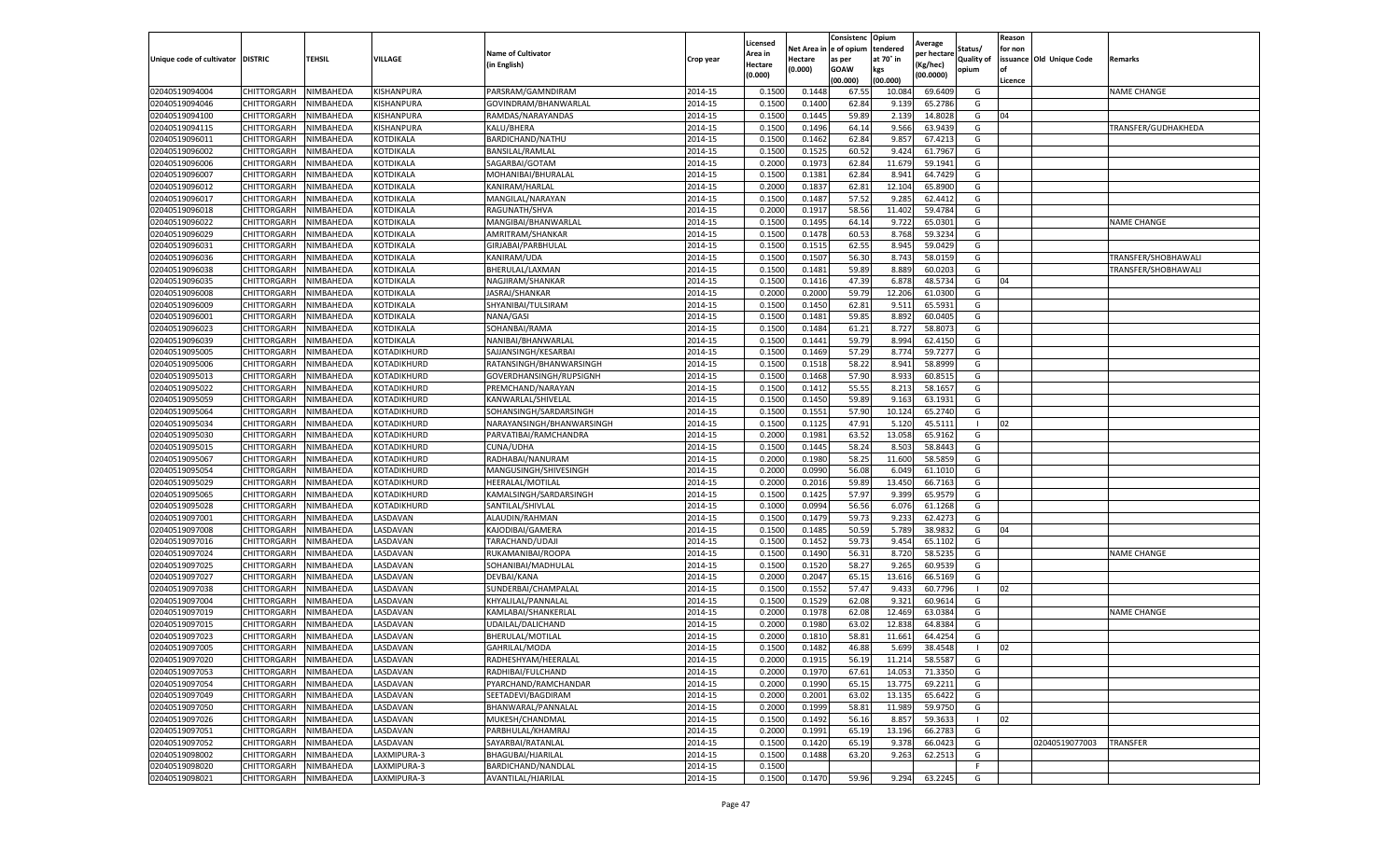|                                   |                            |                        |             |                                           |           | Licensed         |                  | Consistenc     | Opium            |                        |                   | Reason  |                          |                     |
|-----------------------------------|----------------------------|------------------------|-------------|-------------------------------------------|-----------|------------------|------------------|----------------|------------------|------------------------|-------------------|---------|--------------------------|---------------------|
|                                   |                            |                        |             | <b>Name of Cultivator</b>                 |           | Area in          | Net Area i       | e of opium     | tendered         | Average<br>per hectare | Status/           | for non |                          |                     |
| Unique code of cultivator DISTRIC |                            | TEHSIL                 | VILLAGE     | (in English)                              | Crop year | Hectare          | Hectare          | as per         | at 70° in        | Kg/hec)                | <b>Quality of</b> |         | issuance Old Unique Code | <b>Remarks</b>      |
|                                   |                            |                        |             |                                           |           | (0.000)          | (0.000)          | <b>GOAW</b>    | kgs              | (00.0000)              | opium             |         |                          |                     |
|                                   |                            |                        |             |                                           |           |                  |                  | (00.000)       | (00.000)         |                        |                   | Licence |                          |                     |
| 02040519094004                    | CHITTORGARH                | NIMBAHEDA              | KISHANPURA  | PARSRAM/GAMNDIRAM                         | 2014-15   | 0.1500           | 0.1448           | 67.55          | 10.084           | 69.6409                | G                 |         |                          | <b>NAME CHANGE</b>  |
| 02040519094046                    | CHITTORGARH                | NIMBAHEDA              | KISHANPURA  | GOVINDRAM/BHANWARLAL                      | 2014-15   | 0.150            | 0.1400           | 62.84          | 9.139            | 65.2786                | G                 |         |                          |                     |
| 02040519094100                    | CHITTORGARH                | NIMBAHEDA              | KISHANPURA  | RAMDAS/NARAYANDAS                         | 2014-15   | 0.1500           | 0.1445           | 59.89          | 2.139            | 14.8028                | G                 | 04      |                          |                     |
| 02040519094115                    | CHITTORGARH                | NIMBAHEDA              | KISHANPURA  | KALU/BHERA                                | 2014-15   | 0.1500           | 0.1496           | 64.14          | 9.566            | 63.9439                | G                 |         |                          | TRANSFER/GUDHAKHEDA |
| 02040519096011                    | CHITTORGARH                | NIMBAHEDA              | KOTDIKALA   | BARDICHAND/NATHU                          | 2014-15   | 0.1500           | 0.1462           | 62.84          | 9.857            | 67.4213                | G                 |         |                          |                     |
| 02040519096002                    | CHITTORGARH                | NIMBAHEDA              | KOTDIKALA   | BANSILAL/RAMLAL                           | 2014-15   | 0.1500           | 0.1525           | 60.52          | 9.424            | 61.7967                | G                 |         |                          |                     |
| 02040519096006                    | CHITTORGARH                | NIMBAHEDA              | KOTDIKALA   | SAGARBAI/GOTAM                            | 2014-15   | 0.2000           | 0.1973           | 62.84          | 11.679           | 59.1941                | G                 |         |                          |                     |
| 02040519096007                    | CHITTORGARH                | NIMBAHEDA              | KOTDIKALA   | MOHANIBAI/BHURALAL                        | 2014-15   | 0.1500           | 0.1382           | 62.84          | 8.941            | 64.7429                | G                 |         |                          |                     |
| 02040519096012                    | CHITTORGARH                | NIMBAHEDA              | KOTDIKALA   | KANIRAM/HARLAL                            | 2014-15   | 0.2000           | 0.1837           | 62.81          | 12.104           | 65.8900                | G                 |         |                          |                     |
| 02040519096017                    | CHITTORGARH                | NIMBAHEDA              | KOTDIKALA   | MANGILAL/NARAYAN                          | 2014-15   | 0.1500           | 0.1487           | 57.52          | 9.285            | 62.4412                | G                 |         |                          |                     |
| 02040519096018                    | CHITTORGARH                | NIMBAHEDA              | KOTDIKALA   | RAGUNATH/SHVA                             | 2014-15   | 0.2000           | 0.1917           | 58.56          | 11.402           | 59.4784                | G                 |         |                          |                     |
| 02040519096022                    | CHITTORGARH                | NIMBAHEDA              | KOTDIKALA   | MANGIBAI/BHANWARLAL                       | 2014-15   | 0.1500           | 0.1495           | 64.14          | 9.722            | 65.0301                | G                 |         |                          | <b>NAME CHANGE</b>  |
| 02040519096029                    | CHITTORGARH                | NIMBAHEDA              | KOTDIKALA   | AMRITRAM/SHANKAR                          | 2014-15   | 0.1500           | 0.1478           | 60.53          | 8.768            | 59.3234                | G                 |         |                          |                     |
| 02040519096031                    | CHITTORGARH                | NIMBAHEDA              | KOTDIKALA   | GIRJABAI/PARBHULAL                        | 2014-15   | 0.1500           | 0.151            | 62.55          | 8.945            | 59.0429                | G                 |         |                          |                     |
| 02040519096036                    | CHITTORGARH                | NIMBAHEDA              | KOTDIKALA   | KANIRAM/UDA                               | 2014-15   | 0.1500           | 0.1507           | 56.30          | 8.743            | 58.0159                | G                 |         |                          | TRANSFER/SHOBHAWALI |
| 02040519096038                    | CHITTORGARH                | NIMBAHEDA              | KOTDIKALA   | BHERULAL/LAXMAN                           | 2014-15   | 0.1500           | 0.1481           | 59.89          | 8.889            | 60.0203                | G                 |         |                          | TRANSFER/SHOBHAWALI |
| 02040519096035                    | CHITTORGARH                | NIMBAHEDA              | KOTDIKALA   | NAGJIRAM/SHANKAR                          | 2014-15   | 0.1500           | 0.1416           | 47.39          | 6.87             | 48.5734                | G                 | 04      |                          |                     |
| 02040519096008                    | CHITTORGARH                | NIMBAHEDA              | KOTDIKALA   | JASRAJ/SHANKAR                            | 2014-15   | 0.2000           | 0.2000           | 59.79          | 12.206           | 61.0300                | G                 |         |                          |                     |
| 02040519096009                    | CHITTORGARH                | NIMBAHEDA              | KOTDIKALA   | SHYANIBAI/TULSIRAM                        | 2014-15   | 0.1500           | 0.1450           | 62.8           | 9.51             | 65.5931                | G                 |         |                          |                     |
| 02040519096001                    | CHITTORGARH                | NIMBAHEDA              | KOTDIKALA   | NANA/GASI                                 | 2014-15   | 0.1500           | 0.1481           | 59.85          | 8.892            | 60.0405                | G                 |         |                          |                     |
| 02040519096023                    | CHITTORGARH                | NIMBAHEDA              | KOTDIKALA   | SOHANBAI/RAMA                             | 2014-15   | 0.1500           | 0.1484           | 61.21          | 8.727            | 58.8073                | G                 |         |                          |                     |
| 02040519096039                    | CHITTORGARH                | NIMBAHEDA              | KOTDIKALA   | NANIBAI/BHANWARLAL                        | 2014-15   | 0.1500           | 0.1441           | 59.79          | 8.994            | 62.4150                | G                 |         |                          |                     |
| 02040519095005                    | CHITTORGARH                | NIMBAHEDA              | KOTADIKHURD | SAJJANSINGH/KESARBAI                      | 2014-15   | 0.1500           | 0.1469           | 57.29          | 8.774            | 59.7277                | G                 |         |                          |                     |
| 02040519095006                    | CHITTORGARH                | NIMBAHEDA              | KOTADIKHURD | RATANSINGH/BHANWARSINGH                   | 2014-15   | 0.1500           | 0.1518           | 58.22          | 8.941            | 58.8999                | G                 |         |                          |                     |
| 02040519095013                    | CHITTORGARH                | NIMBAHEDA              | KOTADIKHURD | GOVERDHANSINGH/RUPSIGNH                   | 2014-15   | 0.1500           | 0.1468           | 57.90          | 8.933            | 60.851                 | G                 |         |                          |                     |
| 02040519095022                    | CHITTORGARH                | NIMBAHEDA              | KOTADIKHURD | PREMCHAND/NARAYAN                         | 2014-15   | 0.1500           | 0.1412           | 55.55          | 8.213            | 58.1657                | G                 |         |                          |                     |
| 02040519095059                    | CHITTORGARH                | NIMBAHEDA              | KOTADIKHURD | KANWARLAL/SHIVELAI                        | 2014-15   | 0.1500           | 0.1450           | 59.89          | 9.163            | 63.1931                | G                 |         |                          |                     |
| 02040519095064                    | CHITTORGARH                | NIMBAHEDA              | KOTADIKHURD | SOHANSINGH/SARDARSINGH                    | 2014-15   | 0.1500           | 0.1551           | 57.90          | 10.124           | 65.2740                | G                 |         |                          |                     |
| 02040519095034                    | CHITTORGARH                | NIMBAHEDA              | KOTADIKHURD | NARAYANSINGH/BHANWARSINGH                 | 2014-15   | 0.1500           | 0.1125           | 47.91          | 5.120            | 45.5111                | л.                | 02      |                          |                     |
| 02040519095030                    | CHITTORGARH                | NIMBAHEDA              | KOTADIKHURD | PARVATIBAI/RAMCHANDRA                     | 2014-15   | 0.2000           | 0.1981           | 63.52          | 13.058           | 65.9162                | G                 |         |                          |                     |
| 02040519095015                    | CHITTORGARH                | NIMBAHEDA              | KOTADIKHURD | CUNA/UDHA                                 | 2014-15   | 0.1500           | 0.1445           | 58.24          | 8.503            | 58.8443                | G                 |         |                          |                     |
| 02040519095067                    | CHITTORGARH                | NIMBAHEDA              | KOTADIKHURD | RADHABAI/NANURAM                          | 2014-15   | 0.2000           | 0.1980           | 58.25          | 11.600           | 58.5859                | G                 |         |                          |                     |
| 02040519095054                    | CHITTORGARH                | NIMBAHEDA              | KOTADIKHURD | MANGUSINGH/SHIVESINGH                     | 2014-15   | 0.2000           | 0.0990           | 56.08          | 6.049            | 61.1010                | G                 |         |                          |                     |
| 02040519095029                    | CHITTORGARH                | NIMBAHEDA              | KOTADIKHURD | HEERALAL/MOTILAL                          | 2014-15   | 0.2000           | 0.2016           | 59.89          | 13.450           | 66.7163                | G                 |         |                          |                     |
| 02040519095065                    | CHITTORGARH                | NIMBAHEDA              | KOTADIKHURD | KAMALSINGH/SARDARSINGH                    | 2014-15   | 0.1500           | 0.1425           | 57.97          | 9.399            | 65.9579                | G                 |         |                          |                     |
| 02040519095028                    | CHITTORGARH                | NIMBAHEDA              | KOTADIKHURD | SANTILAL/SHIVLAL                          | 2014-15   | 0.1000           | 0.0994           | 56.56          | 6.076            | 61.1268                | G                 |         |                          |                     |
| 02040519097001                    | CHITTORGARH                | NIMBAHEDA              | LASDAVAN    | ALAUDIN/RAHMAN                            | 2014-15   | 0.1500           | 0.1479           | 59.73          | 9.233            | 62.4273                | G                 |         |                          |                     |
| 02040519097008                    | CHITTORGARH                | NIMBAHEDA              | LASDAVAN    | KAJODIBAI/GAMERA                          | 2014-15   | 0.1500           | 0.148            | 50.59          | 5.789            | 38.9832                | G                 | 04      |                          |                     |
| 02040519097016                    | CHITTORGARH                | NIMBAHEDA              | LASDAVAN    | TARACHAND/UDAJI                           | 2014-15   | 0.1500           | 0.1452           | 59.73          | 9.454            | 65.1102                | G                 |         |                          |                     |
| 02040519097024                    | CHITTORGARH                | NIMBAHEDA              | LASDAVAN    | RUKAMANIBAI/ROOPA                         | 2014-15   | 0.1500           | 0.1490           | 56.31          | 8.720            | 58.5235                | G                 |         |                          | <b>NAME CHANGE</b>  |
| 02040519097025                    | CHITTORGARH                | NIMBAHEDA              | LASDAVAN    | SOHANIBAI/MADHULAL                        | 2014-15   | 0.1500           | 0.1520           | 58.27          | 9.265            | 60.9539                | G                 |         |                          |                     |
| 02040519097027                    | CHITTORGARH                | NIMBAHEDA              | LASDAVAN    | DEVBAI/KANA                               | 2014-15   | 0.2000           | 0.2047           | 65.15          | 13.616           | 66.5169                | G                 |         |                          |                     |
| 02040519097038                    | CHITTORGARH                | NIMBAHEDA              | LASDAVAN    | SUNDERBAI/CHAMPALAL                       | 2014-15   | 0.1500           | 0.1552           | 57.47          | 9.433            | 60.7796                |                   | 02      |                          |                     |
| 02040519097004                    | CHITTORGARH                | NIMBAHEDA              | LASDAVAN    | KHYALILAL/PANNALAL                        | 2014-15   | 0.1500           | 0.1529           | 62.08          | 9.32             | 60.9614                | G                 |         |                          |                     |
| 02040519097019                    | CHITTORGARH                | NIMBAHEDA              | LASDAVAN    | KAMLABAI/SHANKERLAL                       | 2014-15   | 0.2000           | 0.1978           | 62.08          | 12.469           | 63.0384                | G                 |         |                          | <b>NAME CHANGE</b>  |
| 02040519097015                    | CHITTORGARH                | NIMBAHEDA              | LASDAVAN    | UDAILAL/DALICHAND                         | 2014-15   | 0.200            | 0.1980           | 63.02          | 12.838           | 64.8384                | G                 |         |                          |                     |
| 02040519097023                    | CHITTORGARH                | NIMBAHEDA              | LASDAVAN    | BHERULAL/MOTILAL                          | 2014-15   | 0.2000           | 0.1810           | 58.81          | 11.661           | 64.4254                | G                 |         |                          |                     |
| 02040519097005                    | CHITTORGARH                | NIMBAHEDA              | LASDAVAN    | GAHRILAL/MODA                             | 2014-15   | 0.1500           | 0.1482           | 46.88          | 5.699            | 38.4548                | H                 | 02      |                          |                     |
|                                   |                            |                        |             |                                           | 2014-15   |                  |                  |                |                  |                        |                   |         |                          |                     |
| 02040519097020<br>02040519097053  | CHITTORGARH<br>CHITTORGARH | NIMBAHEDA<br>NIMBAHEDA | LASDAVAN    | RADHESHYAM/HEERALAL                       | 2014-15   | 0.2000<br>0.2000 | 0.1915<br>0.1970 | 56.19<br>67.61 | 11.214<br>14.053 | 58.5587<br>71.3350     | G<br>G            |         |                          |                     |
|                                   |                            |                        | LASDAVAN    | RADHIBAI/FULCHAND<br>PYARCHAND/RAMCHANDAR | 2014-15   |                  |                  |                |                  |                        | G                 |         |                          |                     |
| 02040519097054                    | CHITTORGARH                | NIMBAHEDA              | LASDAVAN    |                                           |           | 0.2000           | 0.1990           | 65.15          | 13.775           | 69.2211                |                   |         |                          |                     |
| 02040519097049                    | CHITTORGARH                | NIMBAHEDA              | LASDAVAN    | SEETADEVI/BAGDIRAM                        | 2014-15   | 0.2000           | 0.2001           | 63.02          | 13.135           | 65.6422                | G                 |         |                          |                     |
| 02040519097050                    | CHITTORGARH                | NIMBAHEDA              | LASDAVAN    | BHANWARAL/PANNALAL                        | 2014-15   | 0.2000           | 0.1999           | 58.81          | 11.989           | 59.9750                | G                 |         |                          |                     |
| 02040519097026                    | CHITTORGARH                | NIMBAHEDA              | LASDAVAN    | MUKESH/CHANDMAL                           | 2014-15   | 0.1500           | 0.1492           | 56.16          | 8.857            | 59.3633                | п.                | 02      |                          |                     |
| 02040519097051                    | CHITTORGARH                | NIMBAHEDA              | LASDAVAN    | PARBHULAL/KHAMRAJ                         | 2014-15   | 0.2000           | 0.1991           | 65.19          | 13.196           | 66.2783                | G                 |         |                          |                     |
| 02040519097052                    | CHITTORGARH                | NIMBAHEDA              | LASDAVAN    | SAYARBAI/RATANLAL                         | 2014-15   | 0.1500           | 0.1420           | 65.19          | 9.378            | 66.0423                | G                 |         | 02040519077003           | TRANSFER            |
| 02040519098002                    | CHITTORGARH                | NIMBAHEDA              | LAXMIPURA-3 | BHAGUBAI/HJARILAL                         | 2014-15   | 0.1500           | 0.1488           | 63.20          | 9.263            | 62.2513                | G                 |         |                          |                     |
| 02040519098020                    | CHITTORGARH                | NIMBAHEDA              | LAXMIPURA-3 | BARDICHAND/NANDLAL                        | 2014-15   | 0.1500           |                  |                |                  |                        | F.                |         |                          |                     |
| 02040519098021                    | CHITTORGARH                | NIMBAHEDA              | LAXMIPURA-3 | AVANTILAL/HJARILAL                        | 2014-15   | 0.1500           | 0.1470           | 59.96          | 9.294            | 63.2245                | G                 |         |                          |                     |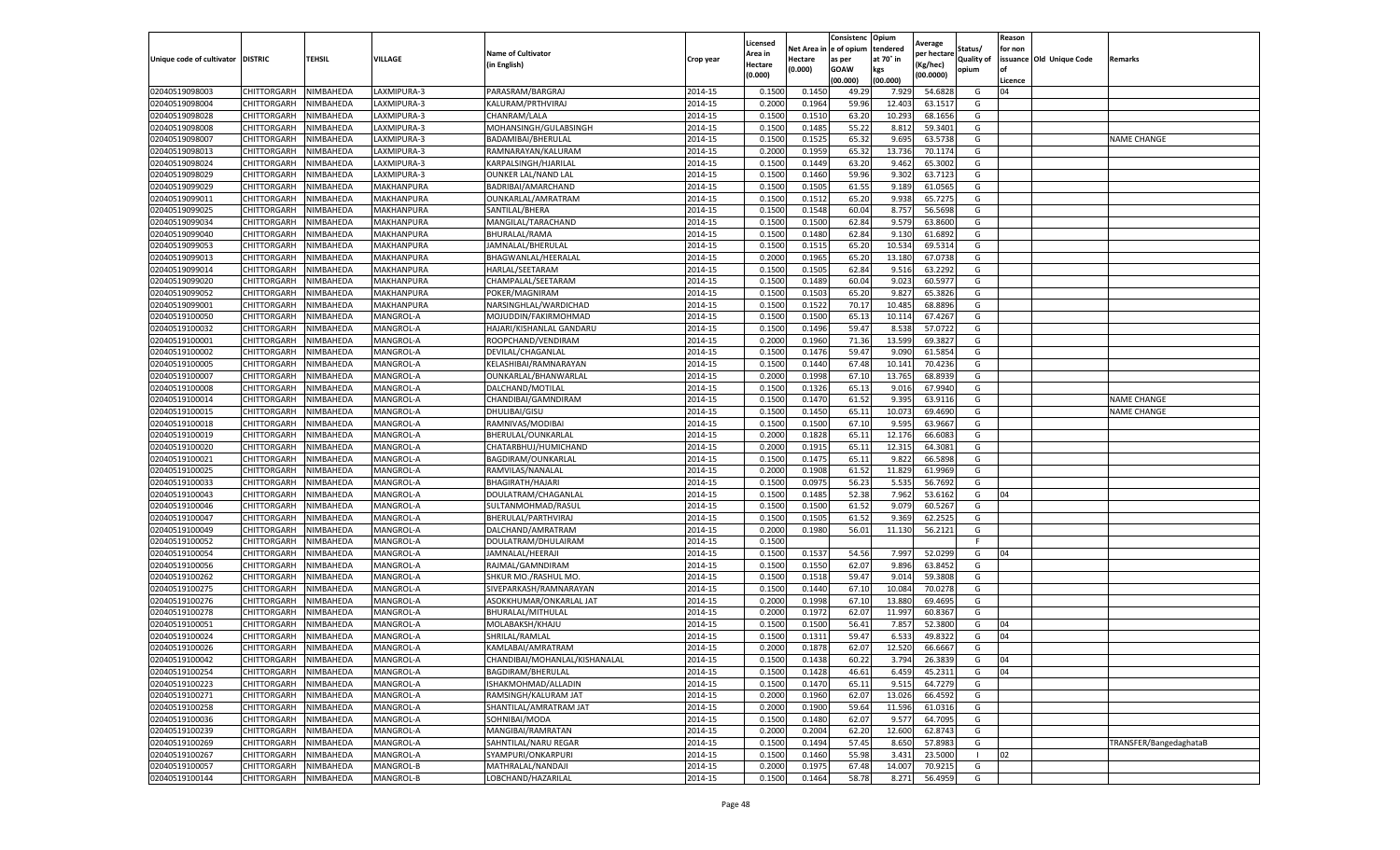|                           |                                   |                        |                        |                                                |                    | Licensed         |         | Consistenc             | Opium            |                        |                     | Reason  |                          |                        |
|---------------------------|-----------------------------------|------------------------|------------------------|------------------------------------------------|--------------------|------------------|---------|------------------------|------------------|------------------------|---------------------|---------|--------------------------|------------------------|
|                           |                                   |                        |                        | <b>Name of Cultivator</b>                      |                    | Area in          |         | Net Area in e of opium | tendered         | Average<br>per hectare | Status/             | for non |                          |                        |
| Unique code of cultivator | <b>DISTRIC</b>                    | TEHSIL                 | VILLAGE                | in English)                                    | Crop year          | Hectare          | Hectare | as per                 | at 70° in        | (Kg/hec                | <b>Quality of</b>   |         | issuance Old Unique Code | <b>Remarks</b>         |
|                           |                                   |                        |                        |                                                |                    | (0.000)          | (0.000) | <b>GOAW</b>            | kgs              | (00.0000)              | opium               |         |                          |                        |
|                           |                                   |                        |                        |                                                |                    |                  |         | (00.000)               | (00.000)         |                        |                     | Licence |                          |                        |
| 02040519098003            | CHITTORGARH                       | NIMBAHEDA              | LAXMIPURA-3            | PARASRAM/BARGRAJ                               | 2014-15            | 0.1500           | 0.1450  | 49.29                  | 7.929            | 54.6828                | G                   | 04      |                          |                        |
| 02040519098004            | CHITTORGARH                       | NIMBAHEDA              | LAXMIPURA-3            | KALURAM/PRTHVIRAJ                              | 2014-15            | 0.2000           | 0.1964  | 59.96                  | 12.403           | 63.1517                | G                   |         |                          |                        |
| 02040519098028            | CHITTORGARH                       | NIMBAHEDA              | LAXMIPURA-3            | CHANRAM/LALA                                   | 2014-15            | 0.1500           | 0.1510  | 63.20                  | 10.293           | 68.1656                | G                   |         |                          |                        |
| 02040519098008            | CHITTORGARH                       | NIMBAHEDA              | LAXMIPURA-3            | MOHANSINGH/GULABSINGH                          | 2014-15            | 0.1500           | 0.1485  | 55.22                  | 8.812            | 59.3401                | G                   |         |                          |                        |
| 02040519098007            | CHITTORGARH                       | NIMBAHEDA              | LAXMIPURA-3            | BADAMIBAI/BHERULAL                             | 2014-15            | 0.1500           | 0.1525  | 65.32                  | 9.695            | 63.5738                | G                   |         |                          | <b>NAME CHANGE</b>     |
| 02040519098013            | CHITTORGARH                       | NIMBAHEDA              | LAXMIPURA-3            | RAMNARAYAN/KALURAN                             | 2014-15            | 0.2000           | 0.1959  | 65.32                  | 13.736           | 70.1174                | G                   |         |                          |                        |
| 02040519098024            | CHITTORGARH                       | NIMBAHEDA              | LAXMIPURA-3            | KARPALSINGH/HJARILAL                           | 2014-15            | 0.1500           | 0.1449  | 63.20                  | 9.462            | 65.3002                | G                   |         |                          |                        |
| 02040519098029            | CHITTORGARH                       | NIMBAHEDA              | LAXMIPURA-3            | <b>OUNKER LAL/NAND LAL</b>                     | 2014-15            | 0.1500           | 0.1460  | 59.96                  | 9.302            | 63.7123                | G                   |         |                          |                        |
| 02040519099029            | CHITTORGARH                       | NIMBAHEDA              | MAKHANPURA             | BADRIBAI/AMARCHAND                             | 2014-15            | 0.1500           | 0.1505  | 61.55                  | 9.189            | 61.0565                | G                   |         |                          |                        |
| 02040519099011            | CHITTORGARH                       | NIMBAHEDA              | MAKHANPURA             | OUNKARLAL/AMRATRAM                             | 2014-15            | 0.1500           | 0.1512  | 65.20                  | 9.938            | 65.7275                | G                   |         |                          |                        |
| 02040519099025            | CHITTORGARH                       | NIMBAHEDA              | MAKHANPURA             | SANTILAL/BHERA                                 | 2014-15            | 0.1500           | 0.1548  | 60.04                  | 8.757            | 56.5698                | G                   |         |                          |                        |
| 02040519099034            | CHITTORGARH                       | NIMBAHEDA              | MAKHANPURA             | MANGILAL/TARACHAND                             | 2014-15            | 0.1500           | 0.1500  | 62.84                  | 9.57             | 63.8600                | G                   |         |                          |                        |
| 02040519099040            | CHITTORGARH                       | NIMBAHEDA              | MAKHANPURA             | BHURALAL/RAMA                                  | 2014-15            | 0.1500           | 0.1480  | 62.84                  | 9.13             | 61.6892                | G                   |         |                          |                        |
| 02040519099053            | CHITTORGARH                       | NIMBAHEDA              | MAKHANPURA             | JAMNALAL/BHERULAL                              | 2014-15            | 0.1500           | 0.1515  | 65.20                  | 10.534           | 69.531                 | G                   |         |                          |                        |
| 02040519099013            | CHITTORGARH                       | NIMBAHEDA              | MAKHANPURA             | BHAGWANLAL/HEERALAL                            | 2014-15            | 0.2000           | 0.1965  | 65.20                  | 13.180           | 67.0738                | G                   |         |                          |                        |
| 02040519099014            | CHITTORGARH                       | NIMBAHEDA              | MAKHANPURA             | HARLAL/SEETARAM                                | 2014-15            | 0.1500           | 0.1505  | 62.84                  | 9.51             | 63.2292                | G                   |         |                          |                        |
| 02040519099020            | CHITTORGARH                       | NIMBAHEDA              | MAKHANPURA             | CHAMPALAL/SEETARAM                             | 2014-15            | 0.1500           | 0.1489  | 60.04                  | 9.023            | 60.5977                | G                   |         |                          |                        |
| 02040519099052            | CHITTORGARH                       | NIMBAHEDA              | MAKHANPURA             | POKER/MAGNIRAM                                 | 2014-15            | 0.1500           | 0.1503  | 65.20                  | 9.82             | 65.3826                | G                   |         |                          |                        |
| 02040519099001            | CHITTORGARH                       | NIMBAHEDA              | MAKHANPURA             | NARSINGHLAL/WARDICHAD                          | 2014-15            | 0.1500           | 0.1522  | 70.17                  | 10.48            | 68.8896                | G                   |         |                          |                        |
| 02040519100050            | CHITTORGARH                       | NIMBAHEDA              | MANGROL-A              | MOJUDDIN/FAKIRMOHMAD                           | 2014-15            | 0.1500           | 0.1500  | 65.13                  | 10.11            | 67.4267                | G                   |         |                          |                        |
| 02040519100032            | CHITTORGARH                       | NIMBAHEDA              | MANGROL-A              | HAJARI/KISHANLAL GANDARU                       | 2014-15            | 0.1500           | 0.1496  | 59.47                  | 8.538            | 57.0722                | G                   |         |                          |                        |
| 02040519100001            | CHITTORGARH                       | NIMBAHEDA              | MANGROL-A              | ROOPCHAND/VENDIRAM                             | 2014-15            | 0.2000           | 0.1960  | 71.36                  | 13.599           | 69.3827                | G                   |         |                          |                        |
| 02040519100002            | CHITTORGARH                       | NIMBAHEDA              | MANGROL-A              | DEVILAL/CHAGANLAL                              | 2014-15            | 0.1500           | 0.1476  | 59.47                  | 9.090            | 61.5854                | G                   |         |                          |                        |
| 02040519100005            | CHITTORGARH                       | NIMBAHEDA              | MANGROL-A              | KELASHIBAI/RAMNARAYAN                          | 2014-15            | 0.1500           | 0.1440  | 67.48                  | 10.14            | 70.4236                | G                   |         |                          |                        |
| 02040519100007            | CHITTORGARH                       | NIMBAHEDA              | MANGROL-A              | OUNKARLAL/BHANWARLAL                           | 2014-15            | 0.2000           | 0.1998  | 67.10                  | 13.765           | 68.8939                | G                   |         |                          |                        |
| 02040519100008            | CHITTORGARH                       | NIMBAHEDA              | MANGROL-A              | DALCHAND/MOTILAL                               | 2014-15            | 0.1500           | 0.1326  | 65.13                  | 9.016            | 67.9940                | G                   |         |                          |                        |
| 02040519100014            | CHITTORGARH                       | NIMBAHEDA              | MANGROL-A              | CHANDIBAI/GAMNDIRAM                            | 2014-15            | 0.1500           | 0.1470  | 61.52                  | 9.395            | 63.9116                | G                   |         |                          | <b>NAME CHANGE</b>     |
| 02040519100015            | CHITTORGARH                       | NIMBAHEDA              | MANGROL-A              | DHULIBAI/GISU                                  | 2014-15            | 0.1500           | 0.1450  | 65.11                  | 10.073           | 69.4690                | G                   |         |                          | <b>NAME CHANGE</b>     |
| 02040519100018            | CHITTORGARH                       | NIMBAHEDA              | MANGROL-A              | RAMNIVAS/MODIBAI                               | 2014-15            | 0.1500           | 0.1500  | 67.10                  | 9.595            | 63.9667                | G                   |         |                          |                        |
| 02040519100019            | CHITTORGARH                       | NIMBAHEDA              | MANGROL-A              | BHERULAL/OUNKARLAL                             | 2014-15            | 0.2000           | 0.1828  | 65.11                  | 12.176           | 66.6083                | G                   |         |                          |                        |
| 02040519100020            | CHITTORGARH                       | NIMBAHEDA              | MANGROL-A              | CHATARBHUJ/HUMICHAND                           | 2014-15            | 0.2000           | 0.1915  | 65.1                   | 12.31            | 64.3081                | G                   |         |                          |                        |
| 02040519100021            | CHITTORGARH                       | NIMBAHEDA              | MANGROL-A              | BAGDIRAM/OUNKARLAL                             | 2014-15            | 0.1500           | 0.1475  | 65.11                  | 9.822            | 66.5898                | G                   |         |                          |                        |
| 02040519100025            | CHITTORGARH                       | NIMBAHEDA              | MANGROL-A              | RAMVILAS/NANALAI                               | 2014-15            | 0.2000           | 0.1908  | 61.52                  | 11.829           | 61.9969                | G                   |         |                          |                        |
| 02040519100033            | CHITTORGARH                       | NIMBAHEDA              | MANGROL-A              | BHAGIRATH/HAJARI                               | 2014-15            | 0.1500           | 0.0975  | 56.23                  | 5.535            | 56.7692                | G                   |         |                          |                        |
| 02040519100043            | CHITTORGARH                       | NIMBAHEDA              | MANGROL-A              | DOULATRAM/CHAGANLAL                            | 2014-15            | 0.1500           | 0.1485  | 52.38                  | 7.962            | 53.6162                | G                   | 04      |                          |                        |
| 02040519100046            | CHITTORGARH                       | NIMBAHEDA              | MANGROL-A              | SULTANMOHMAD/RASUL                             | 2014-15            | 0.1500           | 0.1500  | 61.52                  | 9.079            | 60.5267                | G                   |         |                          |                        |
| 02040519100047            | CHITTORGARH                       | NIMBAHEDA              | MANGROL-A              | BHERULAL/PARTHVIRAJ                            | 2014-15            | 0.1500           | 0.1505  | 61.52                  | 9.369            | 62.2525                | G                   |         |                          |                        |
| 02040519100049            | CHITTORGARH                       | NIMBAHEDA              | <b>MANGROL-A</b>       | DALCHAND/AMRATRAM                              | 2014-15            | 0.2000           | 0.1980  | 56.01                  | 11.130           | 56.2121                | G                   |         |                          |                        |
| 02040519100052            | CHITTORGARH                       | NIMBAHEDA              | MANGROL-A              | DOULATRAM/DHULAIRAM                            | 2014-15            | 0.1500           |         |                        |                  |                        | F.                  |         |                          |                        |
| 02040519100054            | CHITTORGARH                       | NIMBAHEDA              | MANGROL-A              | JAMNALAL/HEERAJI                               | 2014-15            | 0.1500           | 0.1537  | 54.56                  | 7.997            | 52.0299                | G                   | 04      |                          |                        |
| 02040519100056            | CHITTORGARH                       | NIMBAHEDA              | MANGROL-A              | RAJMAL/GAMNDIRAM                               | 2014-15            | 0.1500           | 0.1550  | 62.07                  | 9.896            | 63.8452                | G                   |         |                          |                        |
| 02040519100262            | CHITTORGARH                       | NIMBAHEDA              | MANGROL-A              | SHKUR MO./RASHUL MO.                           | 2014-15            | 0.1500           | 0.1518  | 59.47                  | 9.01             | 59.3808                | G                   |         |                          |                        |
| 02040519100275            | CHITTORGARH                       | NIMBAHEDA              | MANGROL-A              | SIVEPARKASH/RAMNARAYAN                         | 2014-15            | 0.1500           | 0.1440  | 67.10                  | 10.08            | 70.0278                | G                   |         |                          |                        |
| 02040519100276            | CHITTORGARH                       | NIMBAHEDA              | MANGROL-A              | ASOKKHUMAR/ONKARLAL JAT                        | 2014-15            | 0.2000           | 0.1998  | 67.10                  | 13.88            | 69.4695                | G                   |         |                          |                        |
| 02040519100278            | CHITTORGARH                       | NIMBAHEDA              | MANGROL-A              | BHURALAL/MITHULAL                              | 2014-15            | 0.2000           | 0.1972  | 62.07                  | 11.997           | 60.8367                | G                   |         |                          |                        |
| 02040519100051            | CHITTORGARH                       | NIMBAHEDA              | MANGROL-A              | MOLABAKSH/KHAJU                                | 2014-15            | 0.1500           | 0.1500  | 56.41                  | 7.857            | 52.3800                | G                   | 04      |                          |                        |
| 02040519100024            | CHITTORGARH                       | NIMBAHEDA              | MANGROL-A              | SHRILAL/RAMLAL                                 | 2014-15            | 0.1500           | 0.1311  | 59.47                  | 6.533            | 49.8322                | G                   | 04      |                          |                        |
| 02040519100026            | CHITTORGARH                       | NIMBAHEDA              | MANGROL-A              | KAMLABAI/AMRATRAM                              | 2014-15            | 0.2000           | 0.1878  | 62.07                  | 12.520           | 66.6667                | G                   |         |                          |                        |
| 02040519100042            | CHITTORGARH                       | NIMBAHEDA              | MANGROL-A              | CHANDIBAI/MOHANLAL/KISHANALAL                  | 2014-15            | 0.1500           | 0.1438  | 60.22                  | 3.794            | 26.3839                | G                   | 04      |                          |                        |
| 02040519100254            | CHITTORGARH                       | NIMBAHEDA              | MANGROL-A              | BAGDIRAM/BHERULAL                              | 2014-15            | 0.1500           | 0.1428  | 46.61                  | 6.459            | 45.2311                | G                   | 04      |                          |                        |
| 02040519100223            | CHITTORGARH                       | NIMBAHEDA              | MANGROL-A              | ISHAKMOHMAD/ALLADIN                            | 2014-15            | 0.1500           | 0.1470  | 65.11                  | 9.515            | 64.7279                | G                   |         |                          |                        |
| 02040519100271            |                                   |                        |                        |                                                |                    |                  | 0.1960  |                        |                  |                        |                     |         |                          |                        |
| 02040519100258            | CHITTORGARH<br>CHITTORGARH        | NIMBAHEDA<br>NIMBAHEDA | MANGROL-A<br>MANGROL-A | RAMSINGH/KALURAM JAT<br>SHANTILAL/AMRATRAM JAT | 2014-15<br>2014-15 | 0.2000<br>0.2000 | 0.1900  | 62.07<br>59.64         | 13.026<br>11.596 | 66.4592<br>61.0316     | G<br>G              |         |                          |                        |
|                           |                                   |                        |                        |                                                |                    |                  | 0.1480  | 62.07                  |                  | 64.7095                | G                   |         |                          |                        |
| 02040519100036            | <b>CHITTORGARH</b>                | NIMBAHEDA              | MANGROL-A              | SOHNIBAI/MODA                                  | 2014-15            | 0.1500           |         |                        | 9.577            |                        |                     |         |                          |                        |
| 02040519100239            | CHITTORGARH<br><b>CHITTORGARH</b> | NIMBAHEDA              | MANGROL-A              | MANGIBAI/RAMRATAN<br>SAHNTILAL/NARU REGAR      | 2014-15            | 0.2000           | 0.2004  | 62.20                  | 12.600           | 62.8743                | G                   |         |                          |                        |
| 02040519100269            |                                   | NIMBAHEDA              | MANGROL-A              |                                                | 2014-15            | 0.1500           | 0.1494  | 57.45<br>55.98         | 8.650            | 57.8983<br>23.5000     | G<br>$\blacksquare$ | 02      |                          | TRANSFER/BangedaghataB |
| 02040519100267            | CHITTORGARH                       | NIMBAHEDA              | MANGROL-A              | SYAMPURI/ONKARPURI                             | 2014-15            | 0.1500           | 0.1460  |                        | 3.431            |                        |                     |         |                          |                        |
| 02040519100057            | CHITTORGARH                       | NIMBAHEDA              | MANGROL-B              | MATHRALAL/NANDAJI                              | 2014-15            | 0.2000           | 0.1975  | 67.48                  | 14.007           | 70.9215                | G                   |         |                          |                        |
| 02040519100144            | <b>CHITTORGARH</b>                | NIMBAHEDA              | MANGROL-B              | LOBCHAND/HAZARILAL                             | 2014-15            | 0.1500           | 0.1464  | 58.78                  | 8.271            | 56.4959                | G                   |         |                          |                        |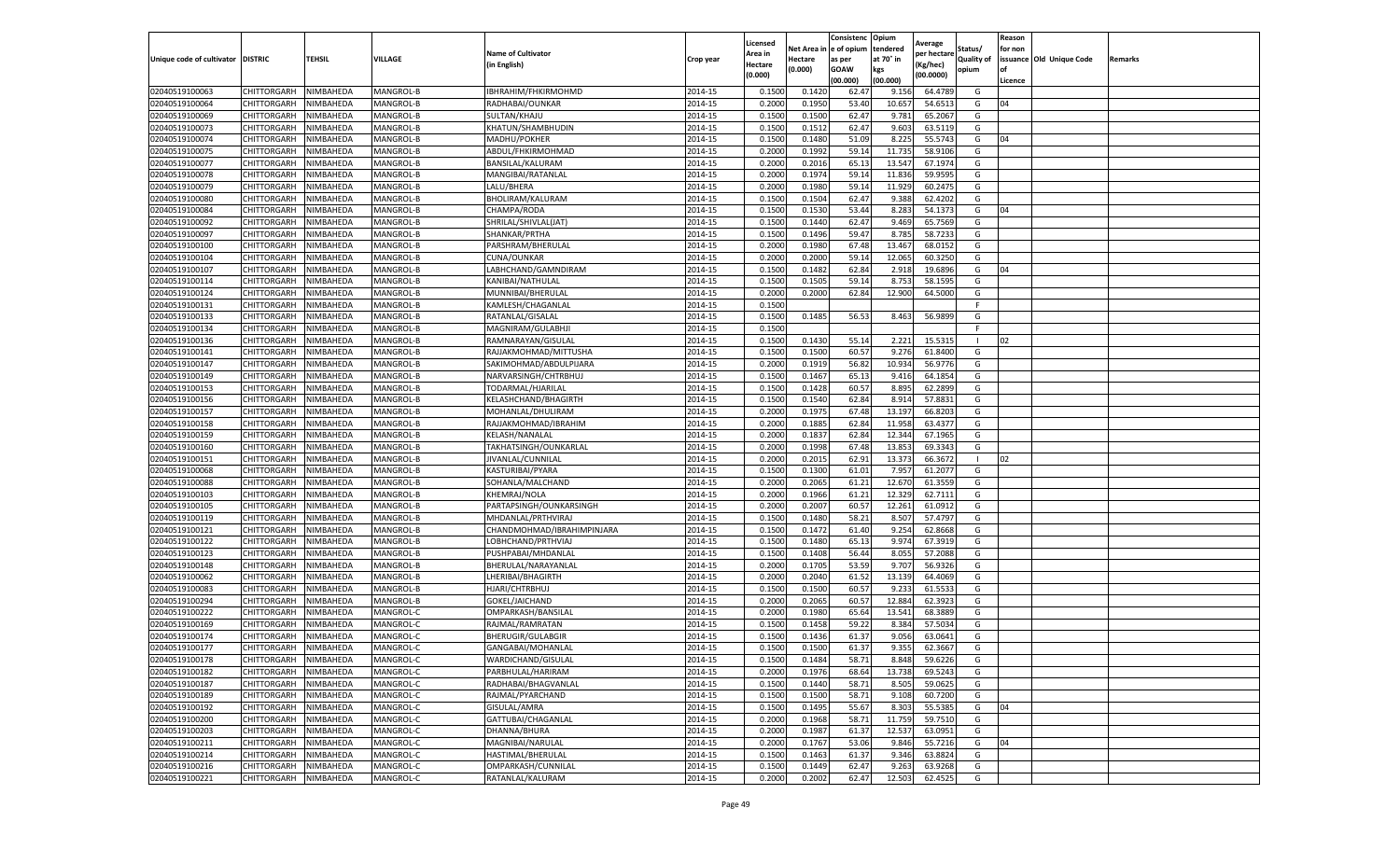|                                   |             |           |           |                            |           | Licensed |            | Consistenc  | Opium     | Average     |                   | Reason  |                          |         |
|-----------------------------------|-------------|-----------|-----------|----------------------------|-----------|----------|------------|-------------|-----------|-------------|-------------------|---------|--------------------------|---------|
|                                   |             |           |           | <b>Name of Cultivator</b>  |           | Area in  | Net Area i | e of opium  | tendered  | per hectare | Status/           | for non |                          |         |
| Unique code of cultivator DISTRIC |             | TEHSIL    | VILLAGE   | (in English)               | Crop year | Hectare  | Hectare    | as per      | at 70° in | (Kg/hec)    | <b>Quality of</b> |         | issuance Old Unique Code | Remarks |
|                                   |             |           |           |                            |           | (0.000)  | (0.000)    | <b>GOAW</b> | kgs       | (00.0000)   | opium             | οf      |                          |         |
|                                   |             |           |           |                            |           |          |            | (00.000     | (00.000)  |             |                   | Licence |                          |         |
| 02040519100063                    | CHITTORGARH | NIMBAHEDA | MANGROL-B | IBHRAHIM/FHKIRMOHMD        | 2014-15   | 0.1500   | 0.1420     | 62.4        | 9.156     | 64.4789     | G                 |         |                          |         |
| 02040519100064                    | CHITTORGARH | NIMBAHEDA | MANGROL-B | RADHABAI/OUNKAR            | 2014-15   | 0.200    | 0.1950     | 53.40       | 10.657    | 54.6513     | G                 | 04      |                          |         |
| 02040519100069                    | CHITTORGARH | NIMBAHEDA | MANGROL-B | SULTAN/KHAJU               | 2014-15   | 0.1500   | 0.1500     | 62.47       | 9.781     | 65.2067     | G                 |         |                          |         |
| 02040519100073                    | CHITTORGARH | NIMBAHEDA | MANGROL-B | KHATUN/SHAMBHUDIN          | 2014-15   | 0.1500   | 0.1512     | 62.47       | 9.603     | 63.5119     | G                 |         |                          |         |
| 02040519100074                    | CHITTORGARH | NIMBAHEDA | MANGROL-B | MADHU/POKHER               | 2014-15   | 0.1500   | 0.1480     | 51.09       | 8.225     | 55.5743     | G                 | 04      |                          |         |
| 02040519100075                    | CHITTORGARH | NIMBAHEDA | MANGROL-B | ABDUL/FHKIRMOHMAD          | 2014-15   | 0.2000   | 0.1992     | 59.14       | 11.735    | 58.9106     | G                 |         |                          |         |
| 02040519100077                    | CHITTORGARH | NIMBAHEDA | MANGROL-B | BANSILAL/KALURAM           | 2014-15   | 0.2000   | 0.2016     | 65.1        | 13.547    | 67.1974     | G                 |         |                          |         |
| 02040519100078                    | CHITTORGARH | NIMBAHEDA | MANGROL-B | MANGIBAI/RATANLAL          | 2014-15   | 0.200    | 0.1974     | 59.1        | 11.836    | 59.959      | G                 |         |                          |         |
| 02040519100079                    | CHITTORGARH | NIMBAHEDA | MANGROL-B | LALU/BHERA                 | 2014-15   | 0.2000   | 0.1980     | 59.14       | 11.929    | 60.2475     | G                 |         |                          |         |
| 02040519100080                    | CHITTORGARH | NIMBAHEDA | MANGROL-B | BHOLIRAM/KALURAM           | 2014-15   | 0.1500   | 0.1504     | 62.47       | 9.388     | 62.4202     | G                 |         |                          |         |
| 02040519100084                    | CHITTORGARH | NIMBAHEDA | MANGROL-B | CHAMPA/RODA                | 2014-15   | 0.1500   | 0.1530     | 53.44       | 8.283     | 54.1373     | G                 | 04      |                          |         |
| 02040519100092                    | CHITTORGARH | NIMBAHEDA | MANGROL-B | SHRILAL/SHIVLAL(JAT)       | 2014-15   | 0.1500   | 0.1440     | 62.47       | 9.469     | 65.7569     | G                 |         |                          |         |
| 02040519100097                    | CHITTORGARH | NIMBAHEDA | MANGROL-B | SHANKAR/PRTHA              | 2014-15   | 0.1500   | 0.1496     | 59.47       | 8.785     | 58.7233     | G                 |         |                          |         |
| 02040519100100                    | CHITTORGARH | NIMBAHEDA | MANGROL-B | PARSHRAM/BHERULAL          | 2014-15   | 0.200    | 0.1980     | 67.48       | 13.467    | 68.0152     | G                 |         |                          |         |
| 02040519100104                    | CHITTORGARH | NIMBAHEDA | MANGROL-B | CUNA/OUNKAR                | 2014-15   | 0.2000   | 0.2000     | 59.14       | 12.065    | 60.3250     | G                 |         |                          |         |
| 02040519100107                    | CHITTORGARH | NIMBAHEDA | MANGROL-B | LABHCHAND/GAMNDIRAM        | 2014-15   | 0.1500   | 0.1482     | 62.84       | 2.918     | 19.6896     | G                 | 04      |                          |         |
| 02040519100114                    | CHITTORGARH | NIMBAHEDA | MANGROL-B | KANIBAI/NATHULAL           | 2014-15   | 0.1500   | 0.1505     | 59.1        | 8.753     | 58.1595     | G                 |         |                          |         |
| 02040519100124                    | CHITTORGARH | NIMBAHEDA | MANGROL-B | MUNNIBAI/BHERULAL          | 2014-15   | 0.2000   | 0.2000     | 62.84       | 12.900    | 64.5000     | G                 |         |                          |         |
| 02040519100131                    | CHITTORGARH | NIMBAHEDA | MANGROL-B | KAMLESH/CHAGANLAI          | 2014-15   | 0.1500   |            |             |           |             |                   |         |                          |         |
| 02040519100133                    | CHITTORGARH | NIMBAHEDA | MANGROL-B | RATANLAL/GISALAL           | 2014-15   | 0.1500   | 0.1485     | 56.53       | 8.463     | 56.9899     | G                 |         |                          |         |
| 02040519100134                    | CHITTORGARH | NIMBAHEDA | MANGROL-B | MAGNIRAM/GULABHJI          | 2014-15   | 0.1500   |            |             |           |             | F.                |         |                          |         |
| 02040519100136                    | CHITTORGARH | NIMBAHEDA | MANGROL-B | RAMNARAYAN/GISULAL         | 2014-15   | 0.1500   | 0.1430     | 55.14       | 2.221     | 15.5315     | -1                | 02      |                          |         |
| 02040519100141                    | CHITTORGARH | NIMBAHEDA | MANGROL-B | RAJJAKMOHMAD/MITTUSHA      | 2014-15   | 0.1500   | 0.1500     | 60.57       | 9.276     | 61.8400     | G                 |         |                          |         |
| 02040519100147                    | CHITTORGARH | NIMBAHEDA | MANGROL-B | SAKIMOHMAD/ABDULPIJARA     | 2014-15   | 0.2000   | 0.1919     | 56.82       | 10.934    | 56.9776     | G                 |         |                          |         |
| 02040519100149                    | CHITTORGARH | NIMBAHEDA | MANGROL-B | NARVARSINGH/CHTRBHUJ       | 2014-15   | 0.1500   | 0.1467     | 65.13       | 9.416     | 64.1854     | G                 |         |                          |         |
|                                   |             | NIMBAHEDA | MANGROL-B | TODARMAL/HJARILAL          |           | 0.1500   | 0.1428     | 60.57       | 8.895     | 62.2899     | G                 |         |                          |         |
| 02040519100153                    | CHITTORGARH |           |           |                            | 2014-15   |          |            |             |           |             |                   |         |                          |         |
| 02040519100156                    | CHITTORGARH | NIMBAHEDA | MANGROL-B | KELASHCHAND/BHAGIRTH       | 2014-15   | 0.1500   | 0.1540     | 62.84       | 8.914     | 57.8831     | G                 |         |                          |         |
| 02040519100157                    | CHITTORGARH | NIMBAHEDA | MANGROL-B | MOHANLAL/DHULIRAM          | 2014-15   | 0.2000   | 0.1975     | 67.48       | 13.197    | 66.8203     | G                 |         |                          |         |
| 02040519100158                    | CHITTORGARH | NIMBAHEDA | MANGROL-B | RAJJAKMOHMAD/IBRAHIM       | 2014-15   | 0.2000   | 0.1885     | 62.84       | 11.958    | 63.4377     | G                 |         |                          |         |
| 02040519100159                    | CHITTORGARH | NIMBAHEDA | MANGROL-B | KELASH/NANALAL             | 2014-15   | 0.2000   | 0.1837     | 62.84       | 12.344    | 67.1965     | G                 |         |                          |         |
| 02040519100160                    | CHITTORGARH | NIMBAHEDA | MANGROL-B | TAKHATSINGH/OUNKARLAL      | 2014-15   | 0.2000   | 0.1998     | 67.48       | 13.853    | 69.3343     | G                 |         |                          |         |
| 02040519100151                    | CHITTORGARH | NIMBAHEDA | MANGROL-B | JIVANLAL/CUNNILAL          | 2014-15   | 0.2000   | 0.2015     | 62.91       | 13.373    | 66.3672     | п                 | 02      |                          |         |
| 02040519100068                    | CHITTORGARH | NIMBAHEDA | MANGROL-B | KASTURIBAI/PYARA           | 2014-15   | 0.1500   | 0.1300     | 61.01       | 7.957     | 61.2077     | G                 |         |                          |         |
| 02040519100088                    | CHITTORGARH | NIMBAHEDA | MANGROL-B | SOHANLA/MALCHAND           | 2014-15   | 0.2000   | 0.2065     | 61.21       | 12.670    | 61.3559     | G                 |         |                          |         |
| 02040519100103                    | CHITTORGARH | NIMBAHEDA | MANGROL-B | KHEMRAJ/NOLA               | 2014-15   | 0.2000   | 0.1966     | 61.21       | 12.329    | 62.7111     | G                 |         |                          |         |
| 02040519100105                    | CHITTORGARH | NIMBAHEDA | MANGROL-B | PARTAPSINGH/OUNKARSINGH    | 2014-15   | 0.2000   | 0.2007     | 60.57       | 12.261    | 61.0912     | G                 |         |                          |         |
| 02040519100119                    | CHITTORGARH | NIMBAHEDA | MANGROL-B | MHDANLAL/PRTHVIRAJ         | 2014-15   | 0.1500   | 0.1480     | 58.21       | 8.507     | 57.4797     | G                 |         |                          |         |
| 02040519100121                    | CHITTORGARH | NIMBAHEDA | MANGROL-B | CHANDMOHMAD/IBRAHIMPINJARA | 2014-15   | 0.1500   | 0.1472     | 61.40       | 9.254     | 62.8668     | G                 |         |                          |         |
| 02040519100122                    | CHITTORGARH | NIMBAHEDA | MANGROL-B | LOBHCHAND/PRTHVIAJ         | 2014-15   | 0.1500   | 0.1480     | 65.1        | 9.974     | 67.3919     | G                 |         |                          |         |
| 02040519100123                    | CHITTORGARH | NIMBAHEDA | MANGROL-B | PUSHPABAI/MHDANLAL         | 2014-15   | 0.1500   | 0.1408     | 56.44       | 8.055     | 57.2088     | G                 |         |                          |         |
| 02040519100148                    | CHITTORGARH | NIMBAHEDA | MANGROL-B | BHERULAL/NARAYANLAL        | 2014-15   | 0.2000   | 0.1705     | 53.59       | 9.707     | 56.9326     | G                 |         |                          |         |
| 02040519100062                    | CHITTORGARH | NIMBAHEDA | MANGROL-B | LHERIBAI/BHAGIRTH          | 2014-15   | 0.2000   | 0.2040     | 61.52       | 13.139    | 64.4069     | G                 |         |                          |         |
| 02040519100083                    | CHITTORGARH | NIMBAHEDA | MANGROL-B | HJARI/CHTRBHUJ             | 2014-15   | 0.1500   | 0.1500     | 60.57       | 9.233     | 61.5533     | G                 |         |                          |         |
| 02040519100294                    | CHITTORGARH | NIMBAHEDA | MANGROL-B | GOKEL/JAICHAND             | 2014-15   | 0.2000   | 0.2065     | 60.57       | 12.884    | 62.3923     | G                 |         |                          |         |
| 02040519100222                    | CHITTORGARH | NIMBAHEDA | MANGROL-C | OMPARKASH/BANSILAL         | 2014-15   | 0.2000   | 0.1980     | 65.64       | 13.541    | 68.3889     | G                 |         |                          |         |
| 02040519100169                    | CHITTORGARH | NIMBAHEDA | MANGROL-C | RAJMAL/RAMRATAN            | 2014-15   | 0.150    | 0.1458     | 59.22       | 8.384     | 57.5034     | G                 |         |                          |         |
| 02040519100174                    | CHITTORGARH | NIMBAHEDA | MANGROL-C | BHERUGIR/GULABGIR          | 2014-15   | 0.1500   | 0.1436     | 61.37       | 9.056     | 63.0641     | G                 |         |                          |         |
| 02040519100177                    | CHITTORGARH | NIMBAHEDA | MANGROL-C | GANGABAI/MOHANLAL          | 2014-15   | 0.1500   | 0.1500     | 61.37       | 9.355     | 62.3667     | G                 |         |                          |         |
| 02040519100178                    | CHITTORGARH | NIMBAHEDA | MANGROL-C | WARDICHAND/GISULAL         | 2014-15   | 0.1500   | 0.1484     | 58.71       | 8.848     | 59.6226     | G                 |         |                          |         |
| 02040519100182                    | CHITTORGARH | NIMBAHEDA | MANGROL-C | PARBHULAL/HARIRAM          | 2014-15   | 0.2000   | 0.1976     | 68.64       | 13.738    | 69.5243     | G                 |         |                          |         |
| 02040519100187                    | CHITTORGARH | NIMBAHEDA | MANGROL-C | RADHABAI/BHAGVANLAL        | 2014-15   | 0.1500   | 0.1440     | 58.71       | 8.505     | 59.0625     | G                 |         |                          |         |
| 02040519100189                    | CHITTORGARH | NIMBAHEDA | MANGROL-C | RAJMAL/PYARCHAND           | 2014-15   | 0.1500   | 0.1500     | 58.71       | 9.108     | 60.7200     | G                 |         |                          |         |
| 02040519100192                    | CHITTORGARH | NIMBAHEDA | MANGROL-C | GISULAL/AMRA               | 2014-15   | 0.1500   | 0.1495     | 55.67       | 8.303     | 55.5385     | G                 | 04      |                          |         |
| 02040519100200                    | CHITTORGARH | NIMBAHEDA | MANGROL-C | GATTUBAI/CHAGANLAL         | 2014-15   | 0.2000   | 0.1968     | 58.71       | 11.759    | 59.7510     | G                 |         |                          |         |
| 02040519100203                    | CHITTORGARH | NIMBAHEDA | MANGROL-C | DHANNA/BHURA               | 2014-15   | 0.2000   | 0.1987     | 61.37       | 12.537    | 63.0951     | G                 |         |                          |         |
| 02040519100211                    | CHITTORGARH | NIMBAHEDA | MANGROL-C | MAGNIBAI/NARULAL           | 2014-15   | 0.2000   | 0.1767     | 53.06       | 9.846     | 55.7216     | G                 | 04      |                          |         |
| 02040519100214                    | CHITTORGARH | NIMBAHEDA | MANGROL-C | HASTIMAL/BHERULAL          | 2014-15   | 0.1500   | 0.1463     | 61.37       | 9.346     | 63.8824     | G                 |         |                          |         |
| 02040519100216                    | CHITTORGARH | NIMBAHEDA | MANGROL-C | OMPARKASH/CUNNILAL         | 2014-15   | 0.1500   | 0.1449     | 62.47       | 9.263     | 63.9268     | G                 |         |                          |         |
| 02040519100221                    | CHITTORGARH | NIMBAHEDA | MANGROL-C | RATANLAL/KALURAM           | 2014-15   | 0.2000   | 0.2002     | 62.47       | 12.503    | 62.4525     | G                 |         |                          |         |
|                                   |             |           |           |                            |           |          |            |             |           |             |                   |         |                          |         |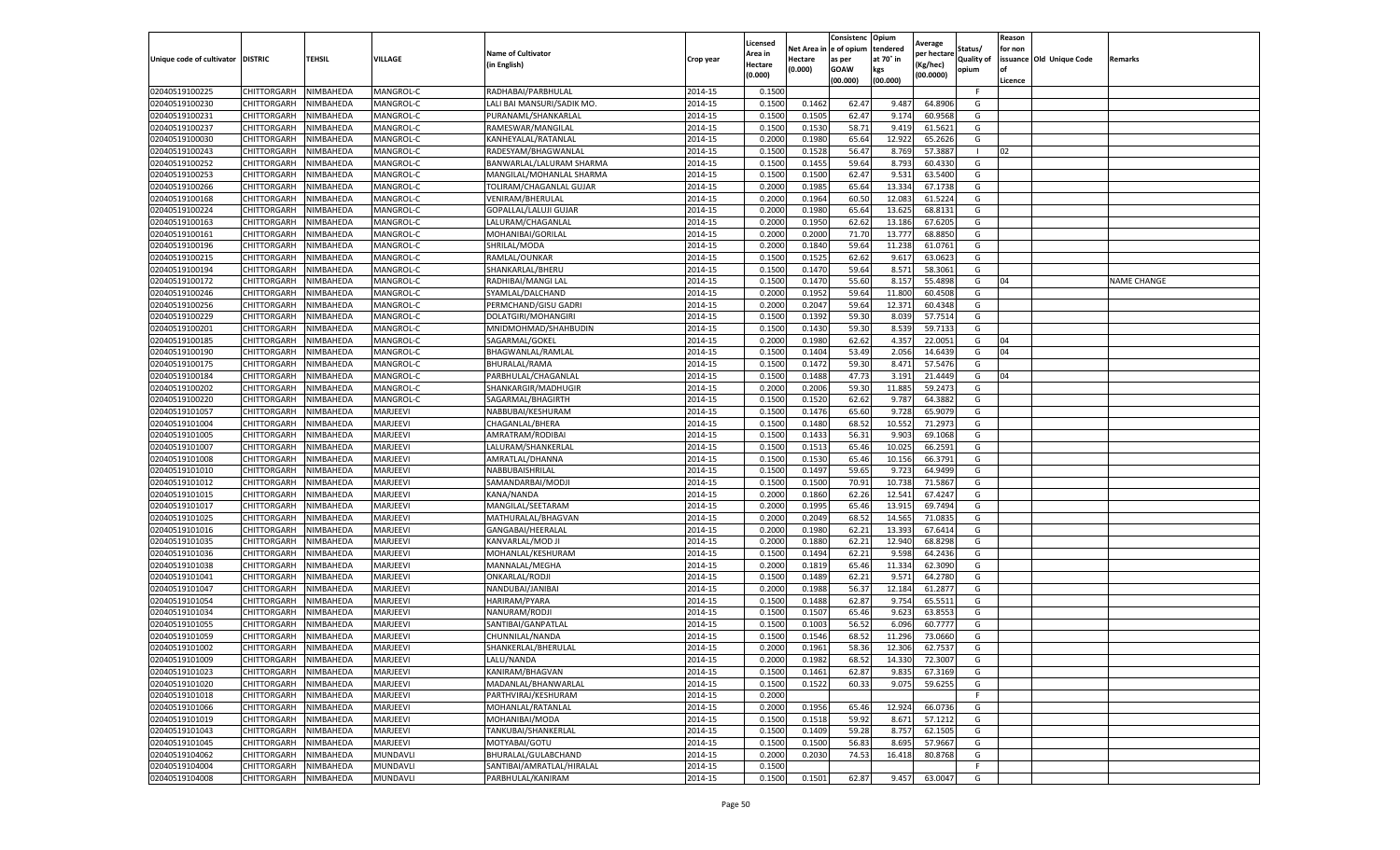|                                  |                            |                        |                        |                                                 |                    | Licensed           | Net Area i       | Consistenc<br>e of opium | Opium<br>tendered | Average               | Status/           | Reason<br>for non |                          |                    |
|----------------------------------|----------------------------|------------------------|------------------------|-------------------------------------------------|--------------------|--------------------|------------------|--------------------------|-------------------|-----------------------|-------------------|-------------------|--------------------------|--------------------|
| Unique code of cultivator        | <b>DISTRIC</b>             | <b>TEHSIL</b>          | VILLAGE                | <b>Name of Cultivator</b>                       | Crop year          | \rea in            | Hectare          | as per                   | at 70° in         | per hectare           | <b>Quality of</b> |                   | issuance Old Unique Code | Remarks            |
|                                  |                            |                        |                        | (in English)                                    |                    | Hectare<br>(0.000) | (0.000)          | <b>GOAW</b>              | kgs               | (Kg/hec)<br>(00.0000) | opium             | of                |                          |                    |
|                                  |                            |                        |                        |                                                 |                    |                    |                  | (00.000)                 | (00.000)          |                       |                   | Licence           |                          |                    |
| 02040519100225                   | CHITTORGARH                | NIMBAHEDA              | MANGROL-C              | RADHABAI/PARBHULAL                              | 2014-15            | 0.1500             |                  |                          |                   |                       | F.                |                   |                          |                    |
| 02040519100230                   | CHITTORGARH                | NIMBAHEDA              | MANGROL-C              | LALI BAI MANSURI/SADIK MO.                      | 2014-15            | 0.1500             | 0.1462           | 62.47                    | 9.487             | 64.8906               | G                 |                   |                          |                    |
| 02040519100231                   | CHITTORGARH                | NIMBAHEDA              | MANGROL-C              | PURANAML/SHANKARLAL                             | 2014-15            | 0.1500             | 0.1505           | 62.47                    | 9.174             | 60.9568               | G                 |                   |                          |                    |
| 02040519100237                   | CHITTORGARH                | NIMBAHEDA              | MANGROL-C              | RAMESWAR/MANGILAL                               | 2014-15            | 0.1500             | 0.1530           | 58.71                    | 9.419             | 61.5621               | G                 |                   |                          |                    |
| 02040519100030<br>02040519100243 | CHITTORGARH<br>CHITTORGARH | NIMBAHEDA<br>NIMBAHEDA | MANGROL-C<br>MANGROL-C | KANHEYALAL/RATANLAL                             | 2014-15<br>2014-15 | 0.2000<br>0.1500   | 0.1980<br>0.1528 | 65.64<br>56.47           | 12.922<br>8.769   | 65.2626<br>57.3887    | G                 | 02                |                          |                    |
| 02040519100252                   | CHITTORGARH                | NIMBAHEDA              | MANGROL-C              | RADESYAM/BHAGWANLAL<br>BANWARLAL/LALURAM SHARMA | 2014-15            | 0.1500             | 0.1455           | 59.64                    | 8.793             | 60.4330               | G                 |                   |                          |                    |
| 02040519100253                   | CHITTORGARH                | NIMBAHEDA              | MANGROL-C              | MANGILAL/MOHANLAL SHARMA                        | 2014-15            | 0.1500             | 0.1500           | 62.47                    | 9.531             | 63.5400               | G                 |                   |                          |                    |
| 02040519100266                   | CHITTORGARH                | NIMBAHEDA              | MANGROL-C              | TOLIRAM/CHAGANLAL GUJAR                         | 2014-15            | 0.2000             | 0.1985           | 65.64                    | 13.334            | 67.1738               | G                 |                   |                          |                    |
| 02040519100168                   | CHITTORGARH                | NIMBAHEDA              | MANGROL-C              | VENIRAM/BHERULAL                                | 2014-15            | 0.2000             | 0.1964           | 60.50                    | 12.083            | 61.5224               | G                 |                   |                          |                    |
| 02040519100224                   | CHITTORGARH                | NIMBAHEDA              | MANGROL-C              | GOPALLAL/LALUJI GUJAR                           | 2014-15            | 0.2000             | 0.1980           | 65.64                    | 13.625            | 68.8131               | G                 |                   |                          |                    |
| 02040519100163                   | CHITTORGARH                | NIMBAHEDA              | MANGROL-C              | LALURAM/CHAGANLAL                               | 2014-15            | 0.2000             | 0.1950           | 62.62                    | 13.186            | 67.6205               | G                 |                   |                          |                    |
| 02040519100161                   | CHITTORGARH                | NIMBAHEDA              | MANGROL-C              | MOHANIBAI/GORILAL                               | 2014-15            | 0.2000             | 0.2000           | 71.70                    | 13.777            | 68.8850               | G                 |                   |                          |                    |
| 02040519100196                   | CHITTORGARH                | NIMBAHEDA              | MANGROL-C              | SHRILAL/MODA                                    | 2014-15            | 0.2000             | 0.1840           | 59.64                    | 11.238            | 61.0761               | G                 |                   |                          |                    |
| 02040519100215                   | CHITTORGARH                | NIMBAHEDA              | MANGROL-C              | RAMLAL/OUNKAR                                   | 2014-15            | 0.1500             | 0.1525           | 62.62                    | 9.617             | 63.0623               | G                 |                   |                          |                    |
| 02040519100194                   | CHITTORGARH                | NIMBAHEDA              | MANGROL-C              | SHANKARLAL/BHERU                                | 2014-15            | 0.1500             | 0.1470           | 59.64                    | 8.571             | 58.3061               | G                 |                   |                          |                    |
| 02040519100172                   | CHITTORGARH                | NIMBAHEDA              | MANGROL-C              | RADHIBAI/MANGI LAL                              | 2014-15            | 0.1500             | 0.1470           | 55.60                    | 8.157             | 55.4898               | G                 | 04                |                          | <b>NAME CHANGE</b> |
| 02040519100246                   | CHITTORGARH                | NIMBAHEDA              | MANGROL-C              | SYAMLAL/DALCHAND                                | 2014-15            | 0.2000             | 0.1952           | 59.64                    | 11.800            | 60.4508               | G                 |                   |                          |                    |
| 02040519100256                   | CHITTORGARH                | NIMBAHEDA              | MANGROL-C              | PERMCHAND/GISU GADRI                            | 2014-15            | 0.2000             | 0.2047           | 59.64                    | 12.371            | 60.4348               | G                 |                   |                          |                    |
| 02040519100229                   | CHITTORGARH                | NIMBAHEDA              | MANGROL-C              | DOLATGIRI/MOHANGIRI                             | 2014-15            | 0.1500             | 0.1392           | 59.30                    | 8.039             | 57.7514               | G                 |                   |                          |                    |
| 02040519100201                   | CHITTORGARH                | NIMBAHEDA              | MANGROL-C              | MNIDMOHMAD/SHAHBUDIN                            | 2014-15            | 0.1500             | 0.1430           | 59.30                    | 8.539             | 59.7133               | G                 |                   |                          |                    |
| 02040519100185                   | CHITTORGARH                | NIMBAHEDA              | MANGROL-C              | SAGARMAL/GOKEL                                  | 2014-15            | 0.2000             | 0.1980           | 62.62                    | 4.357             | 22.0051               | G                 | 04                |                          |                    |
| 02040519100190                   | CHITTORGARH                | NIMBAHEDA              | MANGROL-C              | BHAGWANLAL/RAMLAL                               | 2014-15            | 0.1500             | 0.1404           | 53.49                    | 2.056             | 14.6439               | G                 | 04                |                          |                    |
| 02040519100175                   | CHITTORGARH                | NIMBAHEDA              | MANGROL-C              | BHURALAL/RAMA                                   | 2014-15            | 0.1500             | 0.1472           | 59.30                    | 8.471             | 57.5476               | G                 |                   |                          |                    |
| 02040519100184                   | CHITTORGARH                | NIMBAHEDA              | MANGROL-C              | PARBHULAL/CHAGANLAL                             | 2014-15            | 0.1500             | 0.1488           | 47.73                    | 3.191             | 21.4449               | G                 | 04                |                          |                    |
| 02040519100202                   | CHITTORGARH                | NIMBAHEDA              | MANGROL-C              | SHANKARGIR/MADHUGIR                             | 2014-15            | 0.200              | 0.2006           | 59.30                    | 11.885            | 59.2473               | G                 |                   |                          |                    |
| 02040519100220                   | CHITTORGARH                | NIMBAHEDA              | MANGROL-C              | SAGARMAL/BHAGIRTH                               | 2014-15            | 0.1500             | 0.1520           | 62.62                    | 9.787             | 64.3882               | G                 |                   |                          |                    |
| 02040519101057                   | CHITTORGARH                | NIMBAHEDA              | MARJEEVI               | NABBUBAI/KESHURAM                               | 2014-15            | 0.1500             | 0.1476           | 65.60                    | 9.728             | 65.9079               | G                 |                   |                          |                    |
| 02040519101004                   | CHITTORGARH                | NIMBAHEDA              | MARJEEVI               | CHAGANLAL/BHERA                                 | 2014-15            | 0.1500             | 0.1480           | 68.52                    | 10.552            | 71.2973               | G                 |                   |                          |                    |
| 02040519101005                   | CHITTORGARH                | NIMBAHEDA              | MARJEEVI               | AMRATRAM/RODIBAI                                | 2014-15            | 0.1500             | 0.1433           | 56.31                    | 9.903             | 69.1068               | G                 |                   |                          |                    |
| 02040519101007                   | CHITTORGARH                | NIMBAHEDA              | MARJEEVI               | LALURAM/SHANKERLAL                              | 2014-15            | 0.1500             | 0.1513           | 65.46                    | 10.025            | 66.2591               | G                 |                   |                          |                    |
| 02040519101008                   | CHITTORGARH                | NIMBAHEDA              | MARJEEVI               | AMRATLAL/DHANNA                                 | 2014-15            | 0.1500             | 0.1530           | 65.46                    | 10.156            | 66.3791               | G                 |                   |                          |                    |
| 02040519101010                   | CHITTORGARH                | NIMBAHEDA              | MARJEEVI               | NABBUBAISHRILAL                                 | 2014-15            | 0.1500             | 0.1497           | 59.65                    | 9.723             | 64.9499               | G                 |                   |                          |                    |
| 02040519101012                   | CHITTORGARH                | NIMBAHEDA              | MARJEEVI               | SAMANDARBAI/MODJI                               | 2014-15            | 0.1500             | 0.1500           | 70.91                    | 10.738            | 71.5867               | G                 |                   |                          |                    |
| 02040519101015                   | CHITTORGARH                | NIMBAHEDA              | MARJEEVI               | KANA/NANDA                                      | 2014-15            | 0.2000             | 0.1860           | 62.26                    | 12.541            | 67.4247               | G                 |                   |                          |                    |
| 02040519101017                   | CHITTORGARH                | NIMBAHEDA              | MARJEEVI               | MANGILAL/SEETARAM                               | 2014-15            | 0.2000             | 0.1995           | 65.46                    | 13.915            | 69.7494               | G                 |                   |                          |                    |
| 02040519101025                   | CHITTORGARH                | NIMBAHEDA              | MARJEEVI               | MATHURALAL/BHAGVAN                              | 2014-15            | 0.2000             | 0.2049           | 68.52                    | 14.565            | 71.0835               | G                 |                   |                          |                    |
| 02040519101016                   | CHITTORGARH                | NIMBAHEDA              | MARJEEVI               | GANGABAI/HEERALAI                               | 2014-15            | 0.2000             | 0.1980           | 62.21                    | 13.393            | 67.6414               | G                 |                   |                          |                    |
| 02040519101035                   | CHITTORGARH                | NIMBAHEDA              | MARJEEVI               | KANVARLAL/MOD JI                                | 2014-15            | 0.2000             | 0.1880           | 62.21                    | 12.940            | 68.8298               | G                 |                   |                          |                    |
| 02040519101036                   | CHITTORGARH                | NIMBAHEDA              | MARJEEVI               | MOHANLAL/KESHURAM                               | 2014-15            | 0.1500             | 0.1494           | 62.21                    | 9.598             | 64.2436               | G                 |                   |                          |                    |
| 02040519101038                   | CHITTORGARH                | NIMBAHEDA              | MARJEEVI               | MANNALAL/MEGHA                                  | 2014-15            | 0.2000             | 0.1819           | 65.46                    | 11.334            | 62.3090               | G                 |                   |                          |                    |
| 02040519101041                   | CHITTORGARH                | NIMBAHEDA              | MARJEEVI               | <b>ONKARLAL/RODJI</b>                           | 2014-15            | 0.1500             | 0.1489           | 62.21                    | 9.571             | 64.2780               | G                 |                   |                          |                    |
| 02040519101047                   | CHITTORGARH                | NIMBAHEDA              | MARJEEVI               | NANDUBAI/JANIBAI                                | 2014-15            | 0.2000             | 0.1988           | 56.37                    | 12.184            | 61.2877               | G                 |                   |                          |                    |
| 02040519101054                   | CHITTORGARH                | NIMBAHEDA              | MARJEEVI               | HARIRAM/PYARA                                   | 2014-15            | 0.1500             | 0.1488           | 62.87                    | 9.754             | 65.5511               | G                 |                   |                          |                    |
| 02040519101034                   | CHITTORGARH                | NIMBAHEDA              | MARJEEVI               | NANURAM/RODJI                                   | 2014-15            | 0.1500             | 0.1507           | 65.46                    | 9.623             | 63.8553               | G                 |                   |                          |                    |
| 02040519101055<br>02040519101059 | CHITTORGARH<br>CHITTORGARH | NIMBAHEDA              | MARJEEVI<br>MARJEEVI   | SANTIBAI/GANPATLAL                              | 2014-15<br>2014-15 | 0.1500<br>0.1500   | 0.1003<br>0.1546 | 56.52<br>68.52           | 6.096<br>11.296   | 60.7777<br>73.0660    | G                 |                   |                          |                    |
|                                  |                            | NIMBAHEDA              |                        | CHUNNILAL/NANDA                                 |                    |                    |                  |                          |                   |                       | G                 |                   |                          |                    |
| 02040519101002                   | CHITTORGARH<br>CHITTORGARH | NIMBAHEDA              | MARJEEVI               | SHANKERLAL/BHERULAL                             | 2014-15            | 0.2000             | 0.1961           | 58.36                    | 12.306            | 62.7537               | G                 |                   |                          |                    |
| 02040519101009<br>02040519101023 | CHITTORGARH                | NIMBAHEDA<br>NIMBAHEDA | MARJEEVI<br>MARJEEVI   | LALU/NANDA<br>KANIRAM/BHAGVAN                   | 2014-15<br>2014-15 | 0.2000<br>0.1500   | 0.1982<br>0.1461 | 68.52<br>62.87           | 14.330<br>9.835   | 72.3007<br>67.3169    | G<br>G            |                   |                          |                    |
| 02040519101020                   | CHITTORGARH                | NIMBAHEDA              | MARJEEVI               | MADANLAL/BHANWARLAL                             | 2014-15            | 0.1500             | 0.1522           | 60.33                    | 9.075             | 59.6255               | G                 |                   |                          |                    |
| 02040519101018                   | CHITTORGARH                | NIMBAHEDA              | MARJEEVI               | PARTHVIRAJ/KESHURAM                             | 2014-15            | 0.2000             |                  |                          |                   |                       | F                 |                   |                          |                    |
| 02040519101066                   | CHITTORGARH                | NIMBAHEDA              | MARJEEVI               | MOHANLAL/RATANLAL                               | 2014-15            | 0.2000             | 0.1956           | 65.46                    | 12.924            | 66.0736               | G                 |                   |                          |                    |
| 02040519101019                   | CHITTORGARH                | NIMBAHEDA              | MARJEEVI               | MOHANIBAI/MODA                                  | 2014-15            | 0.1500             | 0.1518           | 59.92                    | 8.671             | 57.1212               | G                 |                   |                          |                    |
| 02040519101043                   | CHITTORGARH                | NIMBAHEDA              | MARJEEVI               | TANKUBAI/SHANKERLAL                             | 2014-15            | 0.1500             | 0.1409           | 59.28                    | 8.757             | 62.1505               | G                 |                   |                          |                    |
| 02040519101045                   | CHITTORGARH                | NIMBAHEDA              | MARJEEVI               | MOTYABAI/GOTU                                   | 2014-15            | 0.1500             | 0.1500           | 56.83                    | 8.695             | 57.9667               | G                 |                   |                          |                    |
| 02040519104062                   | CHITTORGARH                | NIMBAHEDA              | MUNDAVLI               | BHURALAL/GULABCHAND                             | 2014-15            | 0.2000             | 0.2030           | 74.53                    | 16.418            | 80.8768               | G                 |                   |                          |                    |
| 02040519104004                   | CHITTORGARH                | NIMBAHEDA              | MUNDAVLI               | SANTIBAI/AMRATLAL/HIRALAL                       | 2014-15            | 0.1500             |                  |                          |                   |                       | F.                |                   |                          |                    |
| 02040519104008                   | CHITTORGARH                | NIMBAHEDA              | MUNDAVLI               | PARBHULAL/KANIRAM                               | 2014-15            | 0.1500             | 0.1501           | 62.87                    | 9.457             | 63.0047               | G                 |                   |                          |                    |
|                                  |                            |                        |                        |                                                 |                    |                    |                  |                          |                   |                       |                   |                   |                          |                    |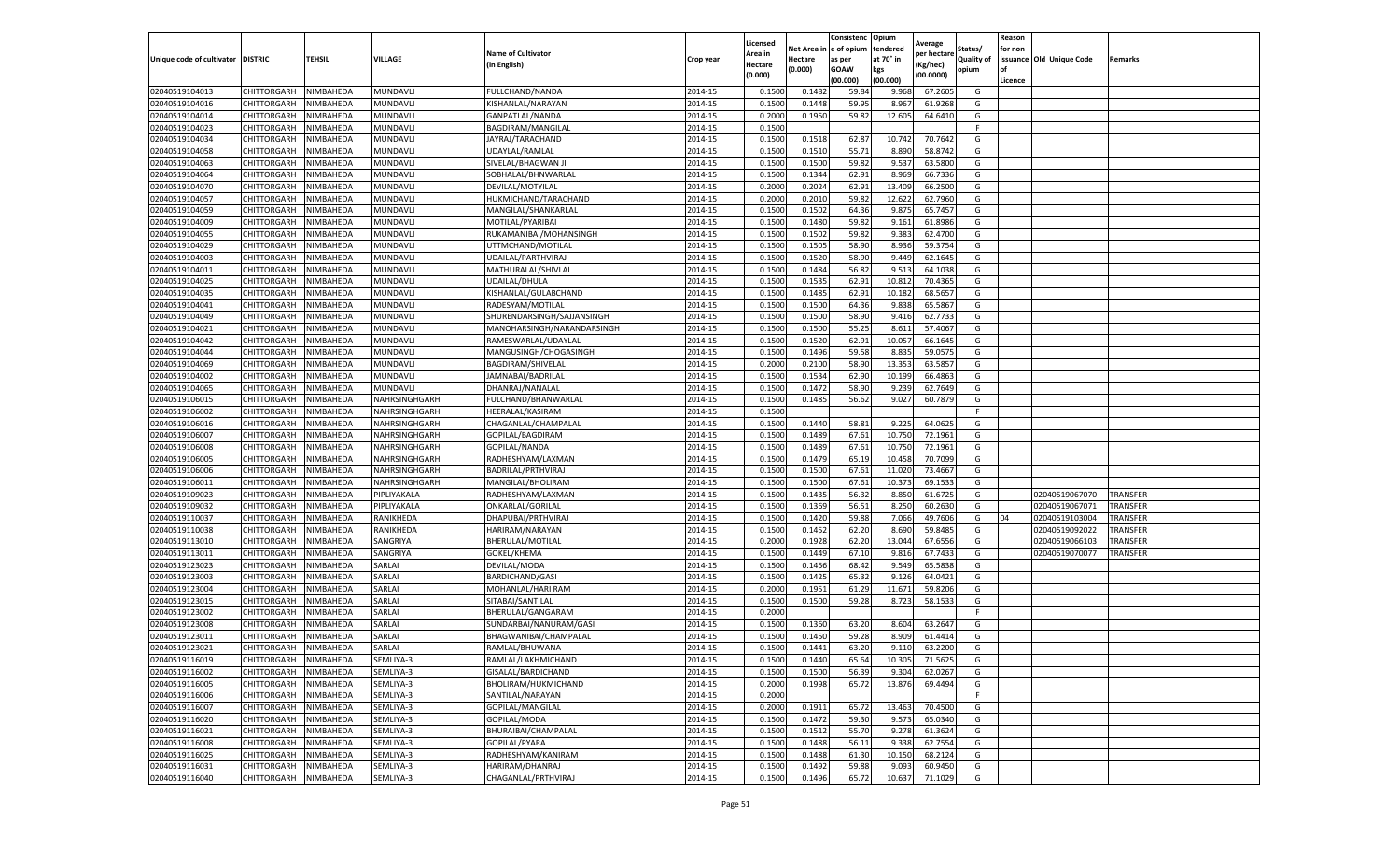|                                   |             |           |                |                            |           | Licensed |            | Consistenc  | Opium     |                        |                   | Reason  |                          |                 |
|-----------------------------------|-------------|-----------|----------------|----------------------------|-----------|----------|------------|-------------|-----------|------------------------|-------------------|---------|--------------------------|-----------------|
|                                   |             |           |                | <b>Name of Cultivator</b>  |           | Area in  | Net Area i | e of opium  | tendered  | Average<br>per hectare | Status/           | for non |                          |                 |
| Unique code of cultivator DISTRIC |             | TEHSIL    | VILLAGE        | (in English)               | Crop year | Hectare  | Hectare    | as per      | at 70° in | (Kg/hec)               | <b>Quality of</b> |         | issuance Old Unique Code | Remarks         |
|                                   |             |           |                |                            |           | (0.000)  | (0.000)    | <b>GOAW</b> | kgs       | (00.0000)              | opium             | οf      |                          |                 |
|                                   |             |           |                |                            |           |          |            | (00.000     | (00.000)  |                        |                   | Licence |                          |                 |
| 02040519104013                    | CHITTORGARH | NIMBAHEDA | MUNDAVL        | FULLCHAND/NANDA            | 2014-15   | 0.1500   | 0.148      | 59.84       | 9.968     | 67.2605                | G                 |         |                          |                 |
| 02040519104016                    | CHITTORGARH | NIMBAHEDA | MUNDAVL        | KISHANLAL/NARAYAN          | 2014-15   | 0.150    | 0.1448     | 59.95       | 8.967     | 61.9268                | G                 |         |                          |                 |
| 02040519104014                    | CHITTORGARH | NIMBAHEDA | MUNDAVL        | GANPATLAL/NANDA            | 2014-15   | 0.2000   | 0.1950     | 59.82       | 12.605    | 64.6410                | G                 |         |                          |                 |
| 02040519104023                    | CHITTORGARH | NIMBAHEDA | MUNDAVL        | BAGDIRAM/MANGILAL          | 2014-15   | 0.1500   |            |             |           |                        | F.                |         |                          |                 |
| 02040519104034                    | CHITTORGARH | NIMBAHEDA | MUNDAVL        | JAYRAJ/TARACHAND           | 2014-15   | 0.1500   | 0.1518     | 62.87       | 10.742    | 70.7642                | G                 |         |                          |                 |
| 02040519104058                    | CHITTORGARH | NIMBAHEDA | MUNDAVL        | UDAYLAL/RAMLAL             | 2014-15   | 0.1500   | 0.1510     | 55.71       | 8.890     | 58.8742                | G                 |         |                          |                 |
| 02040519104063                    | CHITTORGARH | NIMBAHEDA | MUNDAVL        | SIVELAL/BHAGWAN J          | 2014-15   | 0.1500   | 0.1500     | 59.82       | 9.537     | 63.5800                | G                 |         |                          |                 |
| 02040519104064                    | CHITTORGARH | NIMBAHEDA | MUNDAVL        | SOBHALAL/BHNWARLAI         | 2014-15   | 0.1500   | 0.1344     | 62.91       | 8.969     | 66.7336                | G                 |         |                          |                 |
| 02040519104070                    | CHITTORGARH | NIMBAHEDA | MUNDAVL        | DEVILAL/MOTYILAL           | 2014-15   | 0.2000   | 0.2024     | 62.91       | 13.409    | 66.2500                | G                 |         |                          |                 |
| 02040519104057                    | CHITTORGARH | NIMBAHEDA | MUNDAVL        | HUKMICHAND/TARACHAND       | 2014-15   | 0.2000   | 0.2010     | 59.82       | 12.622    | 62.7960                | G                 |         |                          |                 |
| 02040519104059                    | CHITTORGARH | NIMBAHEDA | MUNDAVL        | MANGILAL/SHANKARLAL        | 2014-15   | 0.1500   | 0.1502     | 64.36       | 9.875     | 65.7457                | G                 |         |                          |                 |
| 02040519104009                    | CHITTORGARH | NIMBAHEDA | MUNDAVL        | MOTILAL/PYARIBAI           | 2014-15   | 0.1500   | 0.1480     | 59.82       | 9.161     | 61.8986                | G                 |         |                          |                 |
| 02040519104055                    | CHITTORGARH | NIMBAHEDA | MUNDAVL        | RUKAMANIBAI/MOHANSINGH     | 2014-15   | 0.1500   | 0.1502     | 59.82       | 9.383     | 62.4700                | G                 |         |                          |                 |
| 02040519104029                    | CHITTORGARH | NIMBAHEDA | MUNDAVL        | UTTMCHAND/MOTILAI          | 2014-15   | 0.1500   | 0.1505     | 58.90       | 8.936     | 59.3754                | G                 |         |                          |                 |
| 02040519104003                    | CHITTORGARH | NIMBAHEDA | MUNDAVL        | UDAILAL/PARTHVIRAJ         | 2014-15   | 0.1500   | 0.1520     | 58.90       | 9.449     | 62.1645                | G                 |         |                          |                 |
| 02040519104011                    | CHITTORGARH | NIMBAHEDA | <b>MUNDAVL</b> | MATHURALAL/SHIVLAL         | 2014-15   | 0.1500   | 0.1484     | 56.82       | 9.513     | 64.1038                | G                 |         |                          |                 |
| 02040519104025                    | CHITTORGARH | NIMBAHEDA | MUNDAVL        | UDAILAL/DHULA              | 2014-15   | 0.1500   | 0.1535     | 62.91       | 10.812    | 70.4365                | G                 |         |                          |                 |
| 02040519104035                    | CHITTORGARH | NIMBAHEDA | MUNDAVL        | KISHANLAL/GULABCHAND       | 2014-15   | 0.1500   | 0.1485     | 62.91       | 10.182    | 68.5657                | G                 |         |                          |                 |
| 02040519104041                    | CHITTORGARH | NIMBAHEDA | MUNDAVL        | RADESYAM/MOTILAL           | 2014-15   | 0.1500   | 0.1500     | 64.36       | 9.838     | 65.5867                | G                 |         |                          |                 |
| 02040519104049                    | CHITTORGARH | NIMBAHEDA | MUNDAVL        | SHURENDARSINGH/SAJJANSINGH | 2014-15   | 0.1500   | 0.1500     | 58.90       | 9.416     | 62.7733                | G                 |         |                          |                 |
| 02040519104021                    | CHITTORGARH | NIMBAHEDA | MUNDAVL        | MANOHARSINGH/NARANDARSINGH | 2014-15   | 0.1500   | 0.1500     | 55.25       | 8.611     | 57.4067                | G                 |         |                          |                 |
| 02040519104042                    | CHITTORGARH | NIMBAHEDA | MUNDAVLI       | RAMESWARLAL/UDAYLAL        | 2014-15   | 0.1500   | 0.1520     | 62.91       | 10.057    | 66.1645                | G                 |         |                          |                 |
| 02040519104044                    | CHITTORGARH | NIMBAHEDA | MUNDAVL        | MANGUSINGH/CHOGASINGH      | 2014-15   | 0.1500   | 0.1496     | 59.58       | 8.835     | 59.0575                | G                 |         |                          |                 |
| 02040519104069                    | CHITTORGARH | NIMBAHEDA | MUNDAVL        | BAGDIRAM/SHIVELAL          | 2014-15   | 0.2000   | 0.2100     | 58.90       | 13.353    | 63.5857                | G                 |         |                          |                 |
| 02040519104002                    | CHITTORGARH | NIMBAHEDA | MUNDAVL        | JAMNABAI/BADRILAL          | 2014-15   | 0.1500   | 0.1534     | 62.90       | 10.199    | 66.4863                | G                 |         |                          |                 |
| 02040519104065                    | CHITTORGARH | NIMBAHEDA | MUNDAVLI       | DHANRAJ/NANALAL            | 2014-15   | 0.1500   | 0.1472     | 58.90       | 9.239     | 62.7649                | G                 |         |                          |                 |
| 02040519106015                    | CHITTORGARH | NIMBAHEDA | NAHRSINGHGARH  | FULCHAND/BHANWARLAL        | 2014-15   | 0.1500   | 0.1485     | 56.62       | 9.027     | 60.7879                | G                 |         |                          |                 |
| 02040519106002                    | CHITTORGARH | NIMBAHEDA | NAHRSINGHGARH  | HEERALAL/KASIRAM           | 2014-15   | 0.1500   |            |             |           |                        | F.                |         |                          |                 |
| 02040519106016                    | CHITTORGARH | NIMBAHEDA | NAHRSINGHGARH  | CHAGANLAL/CHAMPALAL        | 2014-15   | 0.1500   | 0.1440     | 58.81       | 9.225     | 64.0625                | G                 |         |                          |                 |
| 02040519106007                    | CHITTORGARH | NIMBAHEDA | NAHRSINGHGARH  | GOPILAL/BAGDIRAM           | 2014-15   | 0.1500   | 0.1489     | 67.61       | 10.750    | 72.1961                | G                 |         |                          |                 |
| 02040519106008                    | CHITTORGARH | NIMBAHEDA | NAHRSINGHGARH  | GOPILAL/NANDA              | 2014-15   | 0.1500   | 0.1489     | 67.61       | 10.750    | 72.1961                | G                 |         |                          |                 |
| 02040519106005                    | CHITTORGARH | NIMBAHEDA | NAHRSINGHGARH  | RADHESHYAM/LAXMAN          | 2014-15   | 0.1500   | 0.1479     | 65.19       | 10.458    | 70.7099                | G                 |         |                          |                 |
| 02040519106006                    | CHITTORGARH | NIMBAHEDA | NAHRSINGHGARH  | BADRILAL/PRTHVIRAJ         | 2014-15   | 0.1500   | 0.1500     | 67.61       | 11.02     | 73.4667                | G                 |         |                          |                 |
| 02040519106011                    | CHITTORGARH | NIMBAHEDA | NAHRSINGHGARH  | MANGILAL/BHOLIRAM          | 2014-15   | 0.1500   | 0.1500     | 67.61       | 10.373    | 69.1533                | G                 |         |                          |                 |
| 02040519109023                    | CHITTORGARH | NIMBAHEDA | PIPLIYAKALA    | RADHESHYAM/LAXMAN          | 2014-15   | 0.1500   | 0.1435     | 56.32       | 8.850     | 61.6725                | G                 |         | 02040519067070           | <b>TRANSFER</b> |
| 02040519109032                    | CHITTORGARH | NIMBAHEDA | PIPLIYAKALA    | ONKARLAL/GORILAL           | 2014-15   | 0.1500   | 0.1369     | 56.51       | 8.250     | 60.2630                | G                 |         | 02040519067071           | TRANSFER        |
| 02040519110037                    | CHITTORGARH | NIMBAHEDA | RANIKHEDA      | DHAPUBAI/PRTHVIRAJ         | 2014-15   | 0.1500   | 0.1420     | 59.88       | 7.066     | 49.7606                | G                 | 04      | 02040519103004           | TRANSFER        |
| 02040519110038                    | CHITTORGARH | NIMBAHEDA | RANIKHEDA      | HARIRAM/NARAYAN            | 2014-15   | 0.1500   | 0.1452     | 62.20       | 8.690     | 59.8485                | G                 |         | 02040519092022           | TRANSFER        |
| 02040519113010                    | CHITTORGARH | NIMBAHEDA | SANGRIYA       | BHERULAL/MOTILAL           | 2014-15   | 0.2000   | 0.1928     | 62.20       | 13.044    | 67.6556                | G                 |         | 02040519066103           | TRANSFER        |
| 02040519113011                    | CHITTORGARH | NIMBAHEDA | SANGRIYA       | GOKEL/KHEMA                | 2014-15   | 0.1500   | 0.1449     | 67.10       | 9.816     | 67.7433                | G                 |         | 02040519070077           | TRANSFER        |
| 02040519123023                    | CHITTORGARH | NIMBAHEDA | SARLAI         | DEVILAL/MODA               | 2014-15   | 0.1500   | 0.1456     | 68.42       | 9.549     | 65.5838                | G                 |         |                          |                 |
| 02040519123003                    | CHITTORGARH | NIMBAHEDA | SARLAI         | <b>BARDICHAND/GASI</b>     | 2014-15   | 0.1500   | 0.1425     | 65.32       | 9.126     | 64.0421                | G                 |         |                          |                 |
| 02040519123004                    | CHITTORGARH | NIMBAHEDA | SARLAI         | MOHANLAL/HARI RAM          | 2014-15   | 0.2000   | 0.1951     | 61.29       | 11.671    | 59.8206                | G                 |         |                          |                 |
| 02040519123015                    | CHITTORGARH | NIMBAHEDA | SARLAI         | SITABAI/SANTILAL           | 2014-15   | 0.1500   | 0.1500     | 59.28       | 8.723     | 58.1533                | G                 |         |                          |                 |
| 02040519123002                    | CHITTORGARH | NIMBAHEDA | SARLAI         | BHERULAL/GANGARAM          | 2014-15   | 0.2000   |            |             |           |                        | F                 |         |                          |                 |
| 02040519123008                    | CHITTORGARH | NIMBAHEDA | SARLAI         | SUNDARBAI/NANURAM/GASI     | 2014-15   | 0.1500   | 0.1360     | 63.20       | 8.604     | 63.2647                | G                 |         |                          |                 |
| 02040519123011                    | CHITTORGARH | NIMBAHEDA | SARLAI         | BHAGWANIBAI/CHAMPALAL      | 2014-15   | 0.1500   | 0.1450     | 59.28       | 8.909     | 61.4414                | G                 |         |                          |                 |
| 02040519123021                    | CHITTORGARH | NIMBAHEDA | SARLAI         | RAMLAL/BHUWANA             | 2014-15   | 0.1500   | 0.1441     | 63.20       | 9.110     | 63.2200                | G                 |         |                          |                 |
| 02040519116019                    | CHITTORGARH | NIMBAHEDA | SEMLIYA-3      | RAMLAL/LAKHMICHAND         | 2014-15   | 0.1500   | 0.1440     | 65.64       | 10.305    | 71.5625                | G                 |         |                          |                 |
| 02040519116002                    | CHITTORGARH | NIMBAHEDA | SEMLIYA-3      | GISALAL/BARDICHAND         | 2014-15   | 0.1500   | 0.1500     | 56.39       | 9.304     | 62.0267                | G                 |         |                          |                 |
| 02040519116005                    | CHITTORGARH | NIMBAHEDA | SEMLIYA-3      | BHOLIRAM/HUKMICHAND        | 2014-15   | 0.2000   | 0.1998     | 65.72       | 13.876    | 69.4494                | G                 |         |                          |                 |
| 02040519116006                    | CHITTORGARH | NIMBAHEDA | SEMLIYA-3      | SANTILAL/NARAYAN           | 2014-15   | 0.2000   |            |             |           |                        | F                 |         |                          |                 |
| 02040519116007                    | CHITTORGARH | NIMBAHEDA | SEMLIYA-3      | GOPILAL/MANGILAL           | 2014-15   | 0.2000   | 0.1911     | 65.72       | 13.463    | 70.4500                | G                 |         |                          |                 |
| 02040519116020                    | CHITTORGARH | NIMBAHEDA | SEMLIYA-3      | GOPILAL/MODA               | 2014-15   | 0.1500   | 0.1472     | 59.30       | 9.573     | 65.0340                | G                 |         |                          |                 |
| 02040519116021                    | CHITTORGARH | NIMBAHEDA | SEMLIYA-3      | BHURAIBAI/CHAMPALAL        | 2014-15   | 0.1500   | 0.1512     | 55.70       | 9.278     | 61.3624                | G                 |         |                          |                 |
| 02040519116008                    | CHITTORGARH | NIMBAHEDA | SEMLIYA-3      | GOPILAL/PYARA              | 2014-15   | 0.1500   | 0.1488     | 56.11       | 9.338     | 62.7554                | G                 |         |                          |                 |
| 02040519116025                    | CHITTORGARH | NIMBAHEDA | SEMLIYA-3      | RADHESHYAM/KANIRAM         | 2014-15   | 0.1500   | 0.1488     | 61.30       | 10.150    | 68.2124                | G                 |         |                          |                 |
| 02040519116031                    | CHITTORGARH | NIMBAHEDA | SEMLIYA-3      | HARIRAM/DHANRAJ            | 2014-15   | 0.1500   | 0.1492     | 59.88       | 9.093     | 60.9450                | G                 |         |                          |                 |
| 02040519116040                    | CHITTORGARH | NIMBAHEDA | SEMLIYA-3      | CHAGANLAL/PRTHVIRAJ        | 2014-15   | 0.1500   | 0.1496     | 65.72       | 10.637    | 71.1029                | G                 |         |                          |                 |
|                                   |             |           |                |                            |           |          |            |             |           |                        |                   |         |                          |                 |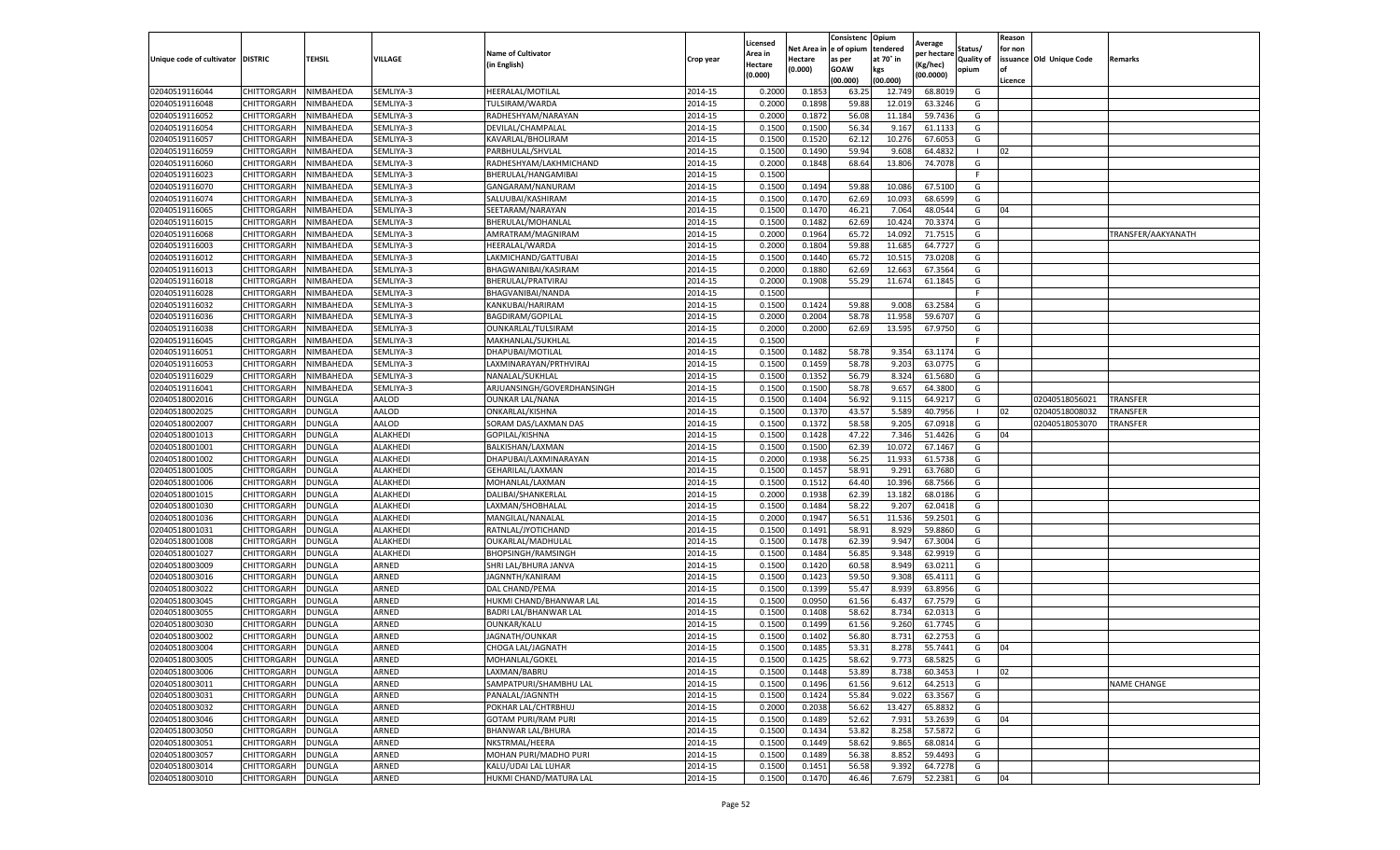|                           |                    |               |                 |                              |           | Licensed |         | Consistenc             | Opium     |                        |                   | Reason  |                          |                    |
|---------------------------|--------------------|---------------|-----------------|------------------------------|-----------|----------|---------|------------------------|-----------|------------------------|-------------------|---------|--------------------------|--------------------|
|                           |                    |               |                 | <b>Name of Cultivator</b>    |           | Area in  |         | Net Area in e of opium | tendered  | Average<br>per hectare | Status/           | for non |                          |                    |
| Unique code of cultivator | <b>DISTRIC</b>     | TEHSIL        | VILLAGE         | in English)                  | Crop year | Hectare  | Hectare | as per                 | at 70° in | (Kg/hec                | <b>Quality of</b> |         | issuance Old Unique Code | <b>Remarks</b>     |
|                           |                    |               |                 |                              |           | (0.000)  | (0.000) | <b>GOAW</b>            | kgs       | (00.0000)              | opium             |         |                          |                    |
|                           |                    |               |                 |                              |           |          |         | (00.000)               | (00.000)  |                        |                   | Licence |                          |                    |
| 02040519116044            | CHITTORGARH        | NIMBAHEDA     | SEMLIYA-3       | HEERALAL/MOTILAL             | 2014-15   | 0.2000   | 0.185   | 63.25                  | 12.74     | 68.8019                | G                 |         |                          |                    |
| 02040519116048            | CHITTORGARH        | NIMBAHEDA     | SEMLIYA-3       | TULSIRAM/WARDA               | 2014-15   | 0.2000   | 0.1898  | 59.88                  | 12.01     | 63.3246                | G                 |         |                          |                    |
| 02040519116052            | CHITTORGARH        | NIMBAHEDA     | SEMLIYA-3       | RADHESHYAM/NARAYAN           | 2014-15   | 0.2000   | 0.1872  | 56.08                  | 11.184    | 59.7436                | G                 |         |                          |                    |
| 02040519116054            | CHITTORGARH        | NIMBAHEDA     | SEMLIYA-3       | DEVILAL/CHAMPALAL            | 2014-15   | 0.1500   | 0.1500  | 56.34                  | 9.167     | 61.1133                | G                 |         |                          |                    |
| 02040519116057            | <b>CHITTORGARH</b> | NIMBAHEDA     | SEMLIYA-3       | KAVARLAL/BHOLIRAM            | 2014-15   | 0.1500   | 0.1520  | 62.12                  | 10.27     | 67.6053                | G                 |         |                          |                    |
| 02040519116059            | CHITTORGARH        | NIMBAHEDA     | SEMLIYA-3       | PARBHULAL/SHVLAL             | 2014-15   | 0.1500   | 0.1490  | 59.94                  | 9.608     | 64.4832                |                   | 02      |                          |                    |
| 02040519116060            | CHITTORGARH        | NIMBAHEDA     | SEMLIYA-3       | RADHESHYAM/LAKHMICHAND       | 2014-15   | 0.2000   | 0.1848  | 68.64                  | 13.806    | 74.7078                | G                 |         |                          |                    |
| 02040519116023            | CHITTORGARH        | NIMBAHEDA     | SEMLIYA-3       | BHERULAL/HANGAMIBA           | 2014-15   | 0.1500   |         |                        |           |                        | F.                |         |                          |                    |
| 02040519116070            | CHITTORGARH        | NIMBAHEDA     | SEMLIYA-3       | GANGARAM/NANURAM             | 2014-15   | 0.1500   | 0.1494  | 59.88                  | 10.08     | 67.5100                | G                 |         |                          |                    |
| 02040519116074            | <b>CHITTORGARH</b> | NIMBAHEDA     | SEMLIYA-3       | SALUUBAI/KASHIRAM            | 2014-15   | 0.1500   | 0.1470  | 62.69                  | 10.093    | 68.6599                | G                 |         |                          |                    |
| 02040519116065            | CHITTORGARH        | NIMBAHEDA     | SEMLIYA-3       | SEETARAM/NARAYAN             | 2014-15   | 0.1500   | 0.1470  | 46.21                  | 7.064     | 48.0544                | G                 | 04      |                          |                    |
| 02040519116015            | CHITTORGARH        | NIMBAHEDA     | SEMLIYA-3       | BHERULAL/MOHANLAI            | 2014-15   | 0.1500   | 0.1482  | 62.69                  | 10.42     | 70.3374                | G                 |         |                          |                    |
| 02040519116068            | CHITTORGARH        | NIMBAHEDA     | SEMLIYA-3       | AMRATRAM/MAGNIRAM            | 2014-15   | 0.2000   | 0.1964  | 65.72                  | 14.092    | 71.7515                | G                 |         |                          | TRANSFER/AAKYANATH |
| 02040519116003            | CHITTORGARH        | NIMBAHEDA     | SEMLIYA-3       | HEERALAL/WARDA               | 2014-15   | 0.2000   | 0.1804  | 59.88                  | 11.685    | 64.7727                | G                 |         |                          |                    |
| 02040519116012            | CHITTORGARH        | NIMBAHEDA     | SEMLIYA-3       | LAKMICHAND/GATTUBAI          | 2014-15   | 0.1500   | 0.1440  | 65.72                  | 10.515    | 73.0208                | G                 |         |                          |                    |
| 02040519116013            | CHITTORGARH        | NIMBAHEDA     | SEMLIYA-3       | BHAGWANIBAI/KASIRAM          | 2014-15   | 0.2000   | 0.1880  | 62.69                  | 12.663    | 67.3564                | G                 |         |                          |                    |
| 02040519116018            | CHITTORGARH        | NIMBAHEDA     | SEMLIYA-3       | BHERULAL/PRATVIRAJ           | 2014-15   | 0.2000   | 0.1908  | 55.29                  | 11.674    | 61.1845                | G                 |         |                          |                    |
| 02040519116028            | CHITTORGARH        | NIMBAHEDA     | SEMLIYA-3       | BHAGVANIBAI/NANDA            | 2014-15   | 0.1500   |         |                        |           |                        | F.                |         |                          |                    |
| 02040519116032            | CHITTORGARH        | NIMBAHEDA     | SEMLIYA-3       | KANKUBAI/HARIRAM             | 2014-15   | 0.1500   | 0.1424  | 59.88                  | 9.008     | 63.2584                | G                 |         |                          |                    |
| 02040519116036            | CHITTORGARH        | NIMBAHEDA     | SEMLIYA-3       | BAGDIRAM/GOPILAL             | 2014-15   | 0.2000   | 0.2004  | 58.78                  | 11.958    | 59.6707                | G                 |         |                          |                    |
| 02040519116038            | CHITTORGARH        | NIMBAHEDA     | SEMLIYA-3       | OUNKARLAL/TULSIRAM           | 2014-15   | 0.2000   | 0.2000  | 62.69                  | 13.595    | 67.9750                | G                 |         |                          |                    |
| 02040519116045            | CHITTORGARH        | NIMBAHEDA     | SEMLIYA-3       | MAKHANLAL/SUKHLAL            | 2014-15   | 0.1500   |         |                        |           |                        | F                 |         |                          |                    |
| 02040519116051            | CHITTORGARH        | NIMBAHEDA     | SEMLIYA-3       | DHAPUBAI/MOTILAL             | 2014-15   | 0.1500   | 0.1482  | 58.78                  | 9.354     | 63.1174                | G                 |         |                          |                    |
| 02040519116053            | CHITTORGARH        | NIMBAHEDA     | SEMLIYA-3       | LAXMINARAYAN/PRTHVIRAJ       | 2014-15   | 0.1500   | 0.1459  | 58.78                  | 9.203     | 63.0775                | G                 |         |                          |                    |
| 02040519116029            | CHITTORGARH        | NIMBAHEDA     | SEMLIYA-3       | NANALAL/SUKHLAL              | 2014-15   | 0.1500   | 0.1352  | 56.79                  | 8.324     | 61.5680                | G                 |         |                          |                    |
| 02040519116041            | CHITTORGARH        | NIMBAHEDA     | SEMLIYA-3       | ARJUANSINGH/GOVERDHANSINGH   | 2014-15   | 0.1500   | 0.1500  | 58.78                  | 9.657     | 64.3800                | G                 |         |                          |                    |
| 02040518002016            | CHITTORGARH        | DUNGLA        | AALOD           | <b>OUNKAR LAL/NANA</b>       | 2014-15   | 0.1500   | 0.1404  | 56.92                  | 9.115     | 64.9217                | G                 |         | 02040518056021           | <b>TRANSFER</b>    |
| 02040518002025            | CHITTORGARH        | <b>DUNGLA</b> | AALOD           | ONKARLAL/KISHNA              | 2014-15   | 0.1500   | 0.1370  | 43.57                  | 5.589     | 40.7956                | -1                | 02      | 02040518008032           | TRANSFER           |
| 02040518002007            | CHITTORGARH        | <b>DUNGLA</b> | AALOD           | SORAM DAS/LAXMAN DAS         | 2014-15   | 0.1500   | 0.1372  | 58.58                  | 9.205     | 67.0918                | G                 |         | 02040518053070           | <b>TRANSFER</b>    |
| 02040518001013            | CHITTORGARH        | <b>DUNGLA</b> | ALAKHEDI        | GOPILAL/KISHNA               | 2014-15   | 0.1500   | 0.1428  | 47.22                  | 7.346     | 51.4426                | G                 | 04      |                          |                    |
| 02040518001001            | CHITTORGARH        | DUNGLA        | ALAKHEDI        | BALKISHAN/LAXMAN             | 2014-15   | 0.1500   | 0.1500  | 62.39                  | 10.07     | 67.1467                | G                 |         |                          |                    |
| 02040518001002            | CHITTORGARH        | DUNGLA        | <b>ALAKHEDI</b> | DHAPUBAI/LAXMINARAYAN        | 2014-15   | 0.2000   | 0.1938  | 56.25                  | 11.933    | 61.5738                | G                 |         |                          |                    |
| 02040518001005            | CHITTORGARH        | DUNGLA        | ALAKHEDI        | GEHARILAL/LAXMAN             | 2014-15   | 0.1500   | 0.1457  | 58.91                  | 9.291     | 63.7680                | G                 |         |                          |                    |
| 02040518001006            | CHITTORGARH        | DUNGLA        | ALAKHEDI        | MOHANLAL/LAXMAN              | 2014-15   | 0.1500   | 0.1512  | 64.40                  | 10.39     | 68.7566                | G                 |         |                          |                    |
| 02040518001015            | CHITTORGARH        | <b>DUNGLA</b> | ALAKHEDI        | DALIBAI/SHANKERLAL           | 2014-15   | 0.2000   | 0.1938  | 62.39                  | 13.182    | 68.0186                | G                 |         |                          |                    |
| 02040518001030            | CHITTORGARH        | DUNGLA        | ALAKHEDI        | LAXMAN/SHOBHALAL             | 2014-15   | 0.1500   | 0.1484  | 58.22                  | 9.207     | 62.0418                | G                 |         |                          |                    |
| 02040518001036            | CHITTORGARH        | <b>DUNGLA</b> | ALAKHEDI        | MANGILAL/NANALAL             | 2014-15   | 0.2000   | 0.1947  | 56.51                  | 11.536    | 59.2501                | G                 |         |                          |                    |
| 02040518001031            | CHITTORGARH        | DUNGLA        | ALAKHEDI        | RATNLAL/JYOTICHAND           | 2014-15   | 0.1500   | 0.1491  | 58.91                  | 8.92      | 59.8860                | G                 |         |                          |                    |
| 02040518001008            | CHITTORGARH        | DUNGLA        | ALAKHEDI        | OUKARLAL/MADHULAL            | 2014-15   | 0.1500   | 0.1478  | 62.39                  | 9.947     | 67.3004                | G                 |         |                          |                    |
| 02040518001027            | CHITTORGARH        | <b>DUNGLA</b> | <b>ALAKHEDI</b> | <b>BHOPSINGH/RAMSINGH</b>    | 2014-15   | 0.1500   | 0.1484  | 56.85                  | 9.348     | 62.9919                | G                 |         |                          |                    |
| 02040518003009            | CHITTORGARH        | DUNGLA        | ARNED           | SHRI LAL/BHURA JANVA         | 2014-15   | 0.1500   | 0.1420  | 60.58                  | 8.949     | 63.0211                | G                 |         |                          |                    |
| 02040518003016            | CHITTORGARH        | <b>DUNGLA</b> | ARNED           | JAGNNTH/KANIRAM              | 2014-15   | 0.1500   | 0.1423  | 59.50                  | 9.308     | 65.4111                | G                 |         |                          |                    |
| 02040518003022            | CHITTORGARH        | DUNGLA        | ARNED           | DAL CHAND/PEMA               | 2014-15   | 0.1500   | 0.1399  | 55.47                  | 8.93      | 63.8956                | G                 |         |                          |                    |
| 02040518003045            | CHITTORGARH        | DUNGLA        | ARNED           | HUKMI CHAND/BHANWAR LAL      | 2014-15   | 0.1500   | 0.0950  | 61.56                  | 6.43      | 67.7579                | G                 |         |                          |                    |
| 02040518003055            | CHITTORGARH        | <b>DUNGLA</b> | ARNED           | <b>BADRI LAL/BHANWAR LAI</b> | 2014-15   | 0.1500   | 0.1408  | 58.62                  | 8.734     | 62.0313                | G                 |         |                          |                    |
| 02040518003030            | CHITTORGARH        | DUNGLA        | ARNED           | OUNKAR/KALU                  | 2014-15   | 0.1500   | 0.1499  | 61.56                  | 9.260     | 61.7745                | G                 |         |                          |                    |
| 02040518003002            | CHITTORGARH        | DUNGLA        | ARNED           | JAGNATH/OUNKAR               | 2014-15   | 0.1500   | 0.1402  | 56.80                  | 8.731     | 62.2753                | G                 |         |                          |                    |
| 02040518003004            | CHITTORGARH        | <b>DUNGLA</b> | ARNED           | CHOGA LAL/JAGNATH            | 2014-15   | 0.1500   | 0.1485  | 53.31                  | 8.278     | 55.7441                | G                 | 04      |                          |                    |
| 02040518003005            | CHITTORGARH        | <b>DUNGLA</b> | ARNED           | MOHANLAL/GOKEL               | 2014-15   | 0.1500   | 0.1425  | 58.62                  | 9.773     | 68.5825                | G                 |         |                          |                    |
| 02040518003006            | <b>CHITTORGARH</b> | <b>DUNGLA</b> | ARNED           | LAXMAN/BABRU                 | 2014-15   | 0.1500   | 0.1448  | 53.89                  | 8.738     | 60.3453                |                   | 02      |                          |                    |
| 02040518003011            | <b>CHITTORGARH</b> | <b>DUNGLA</b> | ARNED           | SAMPATPURI/SHAMBHU LAL       | 2014-15   | 0.1500   | 0.1496  | 61.56                  | 9.612     | 64.2513                | G                 |         |                          | <b>NAME CHANGE</b> |
| 02040518003031            | <b>CHITTORGARH</b> | <b>DUNGLA</b> | ARNED           | PANALAL/JAGNNTH              | 2014-15   | 0.1500   | 0.1424  | 55.84                  | 9.022     | 63.3567                | G                 |         |                          |                    |
| 02040518003032            | CHITTORGARH        | <b>DUNGLA</b> | ARNED           | POKHAR LAL/CHTRBHUJ          | 2014-15   | 0.2000   | 0.2038  | 56.62                  | 13.427    | 65.8832                | G                 |         |                          |                    |
| 02040518003046            | <b>CHITTORGARH</b> | <b>DUNGLA</b> | ARNED           | <b>GOTAM PURI/RAM PURI</b>   | 2014-15   | 0.1500   | 0.1489  | 52.62                  | 7.931     | 53.2639                | G                 | 04      |                          |                    |
| 02040518003050            | CHITTORGARH        | <b>DUNGLA</b> | ARNED           | BHANWAR LAL/BHURA            | 2014-15   | 0.1500   | 0.1434  | 53.82                  | 8.258     | 57.5872                | G                 |         |                          |                    |
| 02040518003051            | <b>CHITTORGARH</b> | <b>DUNGLA</b> | ARNED           | NKSTRMAL/HEERA               | 2014-15   | 0.1500   | 0.1449  | 58.62                  | 9.865     | 68.0814                | G                 |         |                          |                    |
| 02040518003057            | CHITTORGARH        | <b>DUNGLA</b> | ARNED           | MOHAN PURI/MADHO PURI        | 2014-15   | 0.1500   | 0.1489  | 56.38                  | 8.852     | 59.4493                | G                 |         |                          |                    |
| 02040518003014            | CHITTORGARH        | DUNGLA        | ARNED           | KALU/UDAI LAL LUHAR          | 2014-15   | 0.1500   | 0.1451  | 56.58                  | 9.392     | 64.7278                | G                 |         |                          |                    |
| 02040518003010            | <b>CHITTORGARH</b> | <b>DUNGLA</b> | ARNED           | HUKMI CHAND/MATURA LAL       | 2014-15   | 0.1500   | 0.1470  | 46.46                  | 7.679     | 52.2381                | G                 | 04      |                          |                    |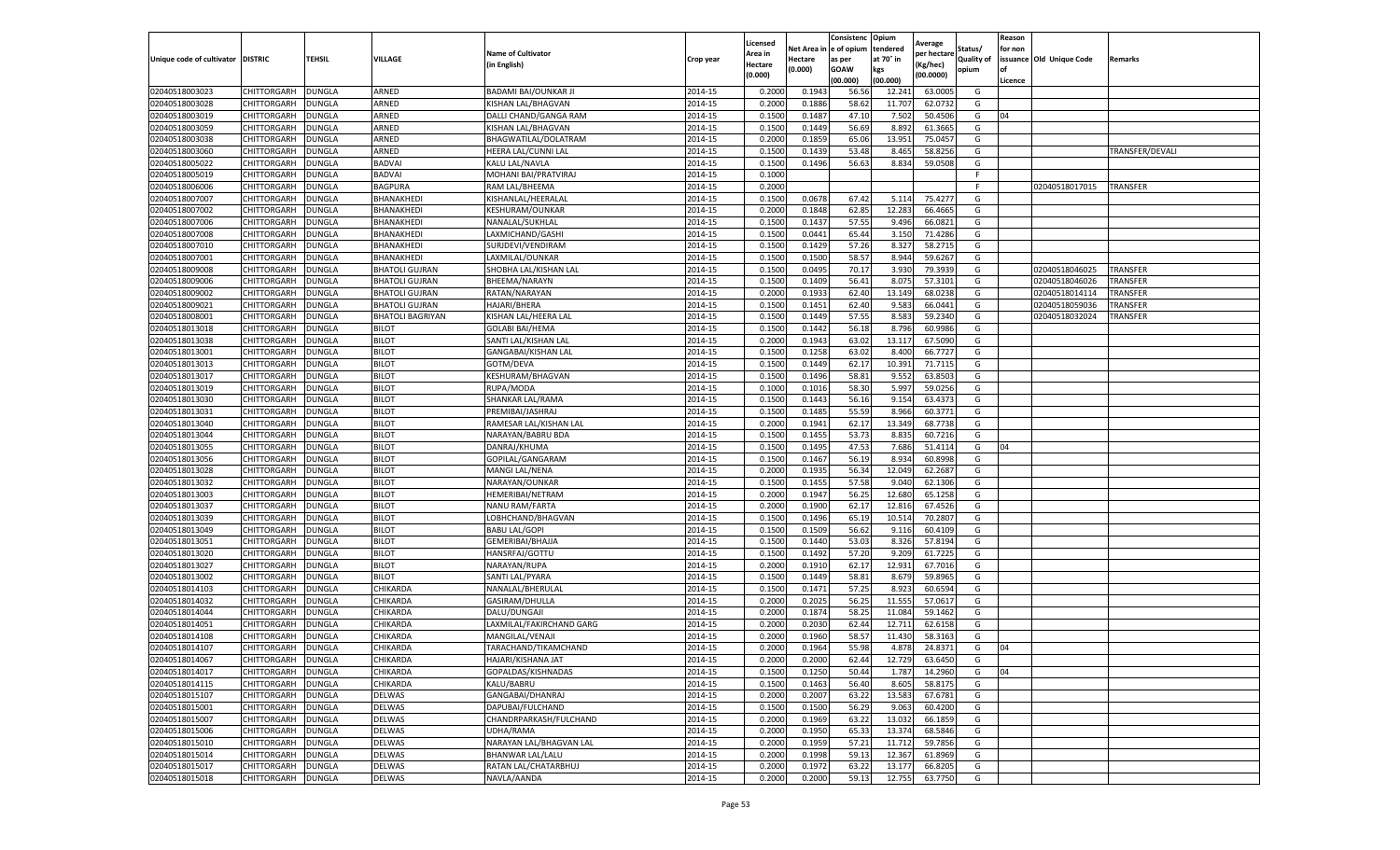|                           |                    |               |                         |                           |           | Licensed |         | Consistenc             | Opium     |                        |                   | Reason  |                          |                 |
|---------------------------|--------------------|---------------|-------------------------|---------------------------|-----------|----------|---------|------------------------|-----------|------------------------|-------------------|---------|--------------------------|-----------------|
|                           |                    |               |                         | <b>Name of Cultivator</b> |           | Area in  |         | Net Area in e of opium | tendered  | Average<br>per hectare | Status/           | for non |                          |                 |
| Unique code of cultivator | <b>DISTRIC</b>     | TEHSIL        | VILLAGE                 | in English)               | Crop year | Hectare  | Hectare | as per                 | at 70° in | (Kg/hec                | <b>Quality of</b> |         | issuance Old Unique Code | <b>Remarks</b>  |
|                           |                    |               |                         |                           |           | (0.000)  | (0.000) | <b>GOAW</b>            | kgs       | (00.0000)              | opium             |         |                          |                 |
|                           |                    |               |                         |                           |           |          |         | (00.000)               | (00.000)  |                        |                   | Licence |                          |                 |
| 02040518003023            | CHITTORGARH        | <b>DUNGLA</b> | ARNED                   | BADAMI BAI/OUNKAR JI      | 2014-15   | 0.2000   | 0.1943  | 56.56                  | 12.241    | 63.0005                | G                 |         |                          |                 |
| 02040518003028            | CHITTORGARH        | DUNGLA        | ARNED                   | KISHAN LAL/BHAGVAN        | 2014-15   | 0.2000   | 0.1886  | 58.62                  | 11.707    | 62.0732                | G                 |         |                          |                 |
| 02040518003019            | CHITTORGARH        | DUNGLA        | ARNED                   | DALLI CHAND/GANGA RAM     | 2014-15   | 0.1500   | 0.1487  | 47.10                  | 7.502     | 50.4506                | G                 | 04      |                          |                 |
| 02040518003059            | CHITTORGARH        | <b>DUNGLA</b> | ARNED                   | KISHAN LAL/BHAGVAN        | 2014-15   | 0.1500   | 0.1449  | 56.69                  | 8.892     | 61.3665                | G                 |         |                          |                 |
| 02040518003038            | CHITTORGARH        | DUNGLA        | ARNED                   | BHAGWATILAL/DOLATRAM      | 2014-15   | 0.2000   | 0.1859  | 65.06                  | 13.951    | 75.0457                | G                 |         |                          |                 |
| 02040518003060            | CHITTORGARH        | DUNGLA        | ARNED                   | HEERA LAL/CUNNI LAL       | 2014-15   | 0.1500   | 0.1439  | 53.48                  | 8.465     | 58.8256                | G                 |         |                          | TRANSFER/DEVALI |
| 02040518005022            | CHITTORGARH        | DUNGLA        | <b>BADVAI</b>           | KALU LAL/NAVLA            | 2014-15   | 0.1500   | 0.1496  | 56.63                  | 8.834     | 59.0508                | G                 |         |                          |                 |
| 02040518005019            | CHITTORGARH        | DUNGLA        | <b>BADVAI</b>           | MOHANI BAI/PRATVIRAJ      | 2014-15   | 0.1000   |         |                        |           |                        | F.                |         |                          |                 |
| 02040518006006            | CHITTORGARH        | DUNGLA        | <b>BAGPURA</b>          | RAM LAL/BHEEMA            | 2014-15   | 0.2000   |         |                        |           |                        | F.                |         | 02040518017015           | <b>TRANSFER</b> |
| 02040518007007            | CHITTORGARH        | <b>DUNGLA</b> | BHANAKHEDI              | KISHANLAL/HEERALAL        | 2014-15   | 0.1500   | 0.0678  | 67.42                  | 5.114     | 75.4277                | G                 |         |                          |                 |
| 02040518007002            | CHITTORGARH        | <b>DUNGLA</b> | BHANAKHEDI              | KESHURAM/OUNKAR           | 2014-15   | 0.2000   | 0.1848  | 62.85                  | 12.283    | 66.4665                | G                 |         |                          |                 |
| 02040518007006            | CHITTORGARH        | <b>DUNGLA</b> | BHANAKHEDI              | NANALAL/SUKHLAL           | 2014-15   | 0.1500   | 0.1437  | 57.55                  | 9.496     | 66.0821                | G                 |         |                          |                 |
| 02040518007008            | CHITTORGARH        | DUNGLA        | BHANAKHEDI              | LAXMICHAND/GASH           | 2014-15   | 0.1500   | 0.0441  | 65.44                  | 3.15      | 71.4286                | G                 |         |                          |                 |
| 02040518007010            | CHITTORGARH        | DUNGLA        | BHANAKHEDI              | SURJDEVI/VENDIRAM         | 2014-15   | 0.1500   | 0.1429  | 57.26                  | 8.327     | 58.2715                | G                 |         |                          |                 |
| 02040518007001            | CHITTORGARH        | DUNGLA        | BHANAKHEDI              | LAXMILAL/OUNKAR           | 2014-15   | 0.1500   | 0.1500  | 58.57                  | 8.944     | 59.6267                | G                 |         |                          |                 |
| 02040518009008            | CHITTORGARH        | <b>DUNGLA</b> | <b>BHATOLI GUJRAN</b>   | SHOBHA LAL/KISHAN LAL     | 2014-15   | 0.1500   | 0.0495  | 70.17                  | 3.930     | 79.3939                | G                 |         | 02040518046025           | TRANSFER        |
| 02040518009006            | CHITTORGARH        | <b>DUNGLA</b> | <b>BHATOLI GUJRAN</b>   | BHEEMA/NARAYN             | 2014-15   | 0.1500   | 0.1409  | 56.41                  | 8.075     | 57.3101                | G                 |         | 02040518046026           | TRANSFER        |
| 02040518009002            | CHITTORGARH        | <b>DUNGLA</b> | BHATOLI GUJRAN          | RATAN/NARAYAN             | 2014-15   | 0.2000   | 0.1933  | 62.40                  | 13.149    | 68.0238                | G                 |         | 02040518014114           | TRANSFER        |
| 02040518009021            | CHITTORGARH        | DUNGLA        | <b>BHATOLI GUJRAN</b>   | HAJARI/BHERA              | 2014-15   | 0.1500   | 0.1451  | 62.40                  | 9.583     | 66.0441                | G                 |         | 02040518059036           | TRANSFER        |
| 02040518008001            | CHITTORGARH        | DUNGLA        | <b>BHATOLI BAGRIYAN</b> | KISHAN LAL/HEERA LAL      | 2014-15   | 0.1500   | 0.1449  | 57.55                  | 8.583     | 59.2340                | G                 |         | 02040518032024           | TRANSFER        |
| 02040518013018            | CHITTORGARH        | <b>DUNGLA</b> | BILOT                   | <b>GOLABI BAI/HEMA</b>    | 2014-15   | 0.1500   | 0.1442  | 56.18                  | 8.796     | 60.9986                | G                 |         |                          |                 |
| 02040518013038            | CHITTORGARH        | DUNGLA        | <b>BILOT</b>            | SANTI LAL/KISHAN LAL      | 2014-15   | 0.2000   | 0.1943  | 63.02                  | 13.117    | 67.5090                | G                 |         |                          |                 |
| 02040518013001            | CHITTORGARH        | <b>DUNGLA</b> | <b>BILOT</b>            | GANGABAI/KISHAN LAL       | 2014-15   | 0.1500   | 0.1258  | 63.02                  | 8.400     | 66.7727                | G                 |         |                          |                 |
| 02040518013013            | CHITTORGARH        | DUNGLA        | <b>BILOT</b>            | GOTM/DEVA                 | 2014-15   | 0.1500   | 0.1449  | 62.17                  | 10.391    | 71.7115                | G                 |         |                          |                 |
| 02040518013017            | CHITTORGARH        | DUNGLA        | <b>BILOT</b>            | KESHURAM/BHAGVAN          | 2014-15   | 0.1500   | 0.1496  | 58.81                  | 9.552     | 63.8503                | G                 |         |                          |                 |
| 02040518013019            | CHITTORGARH        | DUNGLA        | <b>BILOT</b>            | RUPA/MODA                 | 2014-15   | 0.1000   | 0.1016  | 58.30                  | 5.997     | 59.0256                | G                 |         |                          |                 |
| 02040518013030            | CHITTORGARH        | DUNGLA        | <b>BILOT</b>            | SHANKAR LAL/RAMA          | 2014-15   | 0.1500   | 0.1443  | 56.16                  | 9.154     | 63.4373                | G                 |         |                          |                 |
| 02040518013031            | CHITTORGARH        | <b>DUNGLA</b> | <b>BILOT</b>            | PREMIBAI/JASHRAJ          | 2014-15   | 0.1500   | 0.1485  | 55.59                  | 8.966     | 60.3771                | G                 |         |                          |                 |
| 02040518013040            | CHITTORGARH        | <b>DUNGLA</b> | <b>BILOT</b>            | RAMESAR LAL/KISHAN LAL    | 2014-15   | 0.2000   | 0.1941  | 62.17                  | 13.349    | 68.7738                | G                 |         |                          |                 |
| 02040518013044            | CHITTORGARH        | <b>DUNGLA</b> | <b>BILOT</b>            | NARAYAN/BABRU BDA         | 2014-15   | 0.1500   | 0.1455  | 53.73                  | 8.835     | 60.7216                | G                 |         |                          |                 |
| 02040518013055            | CHITTORGARH        | DUNGLA        | <b>BILOT</b>            | DANRAJ/KHUMA              | 2014-15   | 0.1500   | 0.1495  | 47.53                  | 7.686     | 51.4114                | G                 | 04      |                          |                 |
| 02040518013056            | CHITTORGARH        | DUNGLA        | <b>BILOT</b>            | GOPILAL/GANGARAM          | 2014-15   | 0.1500   | 0.1467  | 56.19                  | 8.934     | 60.8998                | G                 |         |                          |                 |
| 02040518013028            | CHITTORGARH        | DUNGLA        | <b>BILOT</b>            | MANGI LAL/NENA            | 2014-15   | 0.2000   | 0.1935  | 56.34                  | 12.049    | 62.2687                | G                 |         |                          |                 |
| 02040518013032            | CHITTORGARH        | DUNGLA        | <b>BILOT</b>            | NARAYAN/OUNKAR            | 2014-15   | 0.1500   | 0.1455  | 57.58                  | 9.040     | 62.1306                | G                 |         |                          |                 |
| 02040518013003            | CHITTORGARH        | <b>DUNGLA</b> | <b>BILOT</b>            | HEMERIBAI/NETRAM          | 2014-15   | 0.2000   | 0.1947  | 56.25                  | 12.680    | 65.1258                | G                 |         |                          |                 |
| 02040518013037            | CHITTORGARH        | DUNGLA        | <b>BILOT</b>            | NANU RAM/FARTA            | 2014-15   | 0.2000   | 0.1900  | 62.17                  | 12.81     | 67.4526                | G                 |         |                          |                 |
| 02040518013039            | CHITTORGARH        | <b>DUNGLA</b> | <b>BILOT</b>            | LOBHCHAND/BHAGVAN         | 2014-15   | 0.1500   | 0.1496  | 65.19                  | 10.51     | 70.2807                | G                 |         |                          |                 |
| 02040518013049            | CHITTORGARH        | DUNGLA        | <b>BILOT</b>            | <b>BABU LAL/GOPI</b>      | 2014-15   | 0.1500   | 0.1509  | 56.62                  | 9.11      | 60.4109                | G                 |         |                          |                 |
| 02040518013051            | CHITTORGARH        | DUNGLA        | <b>BILOT</b>            | GEMERIBAI/BHAJJA          | 2014-15   | 0.1500   | 0.1440  | 53.03                  | 8.326     | 57.8194                | G                 |         |                          |                 |
| 02040518013020            | CHITTORGARH        | <b>DUNGLA</b> | <b>BILOT</b>            | HANSRFAJ/GOTTU            | 2014-15   | 0.1500   | 0.1492  | 57.20                  | 9.209     | 61.7225                | G                 |         |                          |                 |
| 02040518013027            | CHITTORGARH        | DUNGLA        | <b>BILOT</b>            | NARAYAN/RUPA              | 2014-15   | 0.2000   | 0.1910  | 62.17                  | 12.931    | 67.7016                | G                 |         |                          |                 |
| 02040518013002            | CHITTORGARH        | <b>DUNGLA</b> | <b>BILOT</b>            | SANTI LAL/PYARA           | 2014-15   | 0.1500   | 0.1449  | 58.81                  | 8.679     | 59.8965                | G                 |         |                          |                 |
| 02040518014103            | CHITTORGARH        | DUNGLA        | CHIKARDA                | NANALAL/BHERULAI          | 2014-15   | 0.1500   | 0.1471  | 57.25                  | 8.923     | 60.6594                | G                 |         |                          |                 |
| 02040518014032            | CHITTORGARH        | DUNGLA        | CHIKARDA                | GASIRAM/DHULLA            | 2014-15   | 0.2000   | 0.2025  | 56.25                  | 11.555    | 57.061                 | G                 |         |                          |                 |
| 02040518014044            | CHITTORGARH        | DUNGLA        | CHIKARDA                | DALU/DUNGAJI              | 2014-15   | 0.2000   | 0.1874  | 58.25                  | 11.084    | 59.1462                | G                 |         |                          |                 |
| 02040518014051            | CHITTORGARH        | DUNGLA        | CHIKARDA                | LAXMILAL/FAKIRCHAND GARG  | 2014-15   | 0.2000   | 0.2030  | 62.44                  | 12.71     | 62.6158                | G                 |         |                          |                 |
| 02040518014108            | CHITTORGARH        | DUNGLA        | CHIKARDA                | MANGILAL/VENAJI           | 2014-15   | 0.2000   | 0.1960  | 58.57                  | 11.43     | 58.3163                | G                 |         |                          |                 |
| 02040518014107            | CHITTORGARH        | <b>DUNGLA</b> | CHIKARDA                | TARACHAND/TIKAMCHAND      | 2014-15   | 0.2000   | 0.1964  | 55.98                  | 4.878     | 24.8371                | G                 | 04      |                          |                 |
| 02040518014067            | CHITTORGARH        | <b>DUNGLA</b> | CHIKARDA                | HAJARI/KISHANA JAT        | 2014-15   | 0.2000   | 0.2000  | 62.44                  | 12.729    | 63.6450                | G                 |         |                          |                 |
| 02040518014017            | CHITTORGARH        | <b>DUNGLA</b> | CHIKARDA                | GOPALDAS/KISHNADAS        | 2014-15   | 0.1500   | 0.1250  | 50.44                  | 1.787     | 14.2960                | G                 | 04      |                          |                 |
| 02040518014115            | <b>CHITTORGARH</b> | <b>DUNGLA</b> | CHIKARDA                | KALU/BABRU                | 2014-15   | 0.1500   | 0.1463  | 56.40                  | 8.605     | 58.8175                | G                 |         |                          |                 |
| 02040518015107            | CHITTORGARH        | <b>DUNGLA</b> | DELWAS                  | GANGABAI/DHANRAJ          | 2014-15   | 0.2000   | 0.2007  | 63.22                  | 13.583    | 67.6781                | G                 |         |                          |                 |
| 02040518015001            | <b>CHITTORGARH</b> | <b>DUNGLA</b> | DELWAS                  | DAPUBAI/FULCHAND          | 2014-15   | 0.1500   | 0.1500  | 56.29                  | 9.063     | 60.4200                | G                 |         |                          |                 |
| 02040518015007            | <b>CHITTORGARH</b> | <b>DUNGLA</b> | DELWAS                  | CHANDRPARKASH/FULCHAND    | 2014-15   | 0.2000   | 0.1969  | 63.22                  | 13.032    | 66.1859                | G                 |         |                          |                 |
| 02040518015006            | CHITTORGARH        | <b>DUNGLA</b> | DELWAS                  | UDHA/RAMA                 | 2014-15   | 0.2000   | 0.1950  | 65.33                  | 13.374    | 68.5846                | G                 |         |                          |                 |
| 02040518015010            | <b>CHITTORGARH</b> | <b>DUNGLA</b> | DELWAS                  | NARAYAN LAL/BHAGVAN LAL   | 2014-15   | 0.2000   | 0.1959  | 57.21                  | 11.712    | 59.7856                | G                 |         |                          |                 |
| 02040518015014            | CHITTORGARH        | <b>DUNGLA</b> | DELWAS                  | BHANWAR LAL/LALU          | 2014-15   | 0.2000   | 0.1998  | 59.13                  | 12.367    | 61.8969                | G                 |         |                          |                 |
| 02040518015017            | CHITTORGARH        | DUNGLA        | DELWAS                  | RATAN LAL/CHATARBHUJ      | 2014-15   | 0.2000   | 0.1972  | 63.22                  | 13.177    | 66.8205                | G                 |         |                          |                 |
| 02040518015018            | <b>CHITTORGARH</b> | <b>DUNGLA</b> | <b>DELWAS</b>           | NAVLA/AANDA               | 2014-15   | 0.2000   | 0.2000  | 59.13                  | 12.755    | 63.7750                | G                 |         |                          |                 |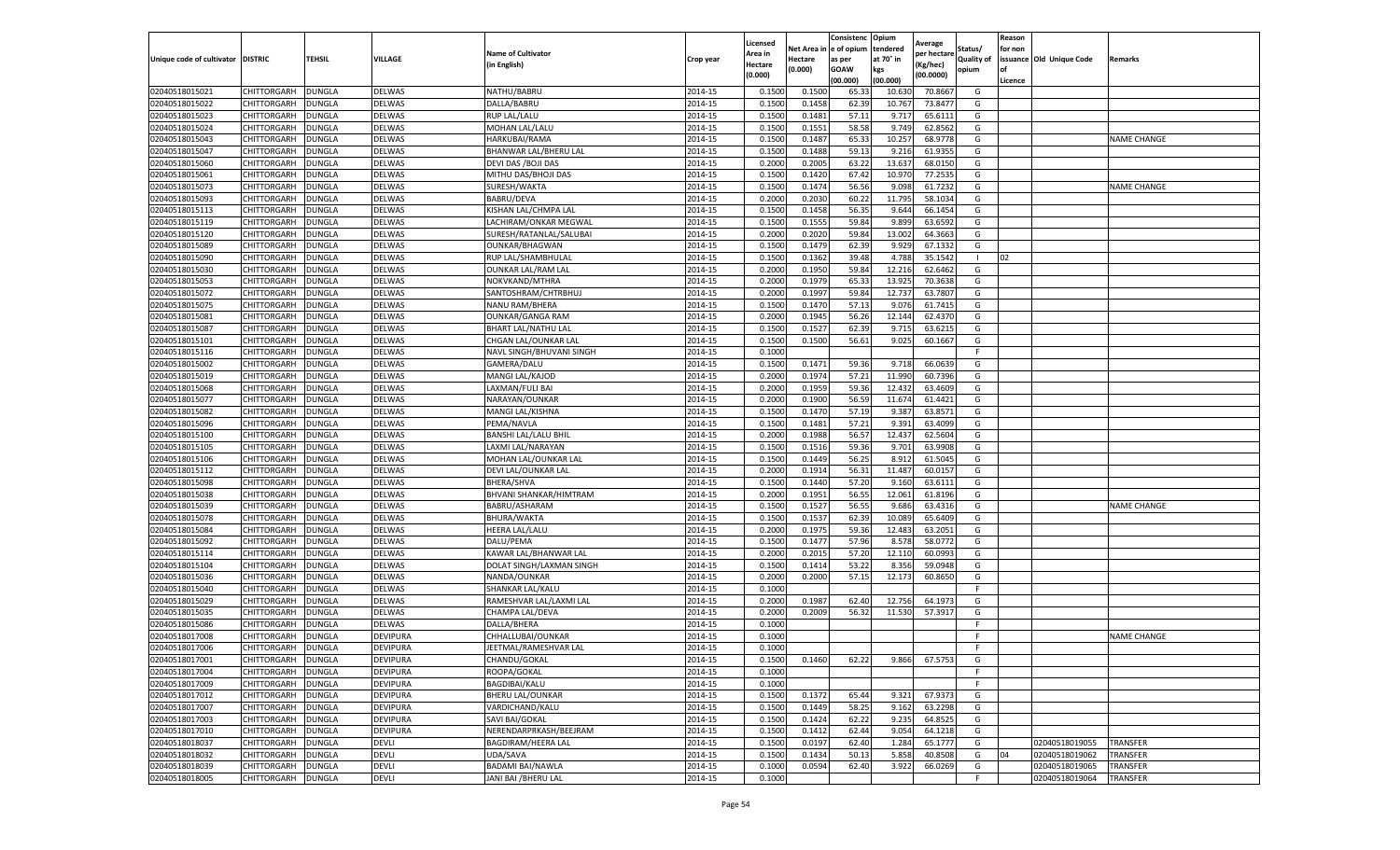|                           |                    |               |                 |                             |           | Licensed |         | Consistenc             | Opium     | Average     |                   | Reason  |                          |                    |
|---------------------------|--------------------|---------------|-----------------|-----------------------------|-----------|----------|---------|------------------------|-----------|-------------|-------------------|---------|--------------------------|--------------------|
|                           |                    |               |                 | <b>Name of Cultivator</b>   |           | Area in  |         | Net Area in e of opium | tendered  | oer hectare | Status/           | for non |                          |                    |
| Unique code of cultivator | <b>DISTRIC</b>     | TEHSIL        | VILLAGE         | in English)                 | Crop year | Hectare  | Hectare | as per                 | at 70° in | (Kg/hec     | <b>Quality of</b> |         | issuance Old Unique Code | <b>Remarks</b>     |
|                           |                    |               |                 |                             |           | (0.000)  | (0.000) | <b>GOAW</b>            | kgs       | (00.0000)   | opium             |         |                          |                    |
|                           |                    |               |                 |                             |           |          |         | (00.000)               | (00.000)  |             |                   | Licence |                          |                    |
| 02040518015021            | <b>CHITTORGARH</b> | <b>DUNGLA</b> | DELWAS          | NATHU/BABRU                 | 2014-15   | 0.1500   | 0.1500  | 65.33                  | 10.63     | 70.8667     | G                 |         |                          |                    |
| 02040518015022            | <b>CHITTORGARH</b> | DUNGLA        | <b>DELWAS</b>   | DALLA/BABRU                 | 2014-15   | 0.1500   | 0.1458  | 62.39                  | 10.76     | 73.8477     | G                 |         |                          |                    |
| 02040518015023            | CHITTORGARH        | <b>DUNGLA</b> | DELWAS          | <b>RUP LAL/LALU</b>         | 2014-15   | 0.1500   | 0.1481  | 57.11                  | 9.717     | 65.6111     | G                 |         |                          |                    |
| 02040518015024            | CHITTORGARH        | <b>DUNGLA</b> | DELWAS          | MOHAN LAL/LALU              | 2014-15   | 0.1500   | 0.1551  | 58.58                  | 9.749     | 62.8562     | G                 |         |                          |                    |
| 02040518015043            | CHITTORGARH        | <b>DUNGLA</b> | DELWAS          | HARKUBAI/RAMA               | 2014-15   | 0.1500   | 0.1487  | 65.33                  | 10.25     | 68.9778     | G                 |         |                          | <b>NAME CHANGE</b> |
| 02040518015047            | CHITTORGARH        | DUNGLA        | DELWAS          | BHANWAR LAL/BHERU LAL       | 2014-15   | 0.1500   | 0.1488  | 59.13                  | 9.216     | 61.9355     | G                 |         |                          |                    |
| 02040518015060            | CHITTORGARH        | <b>DUNGLA</b> | DELWAS          | DEVI DAS / BOJI DAS         | 2014-15   | 0.2000   | 0.2005  | 63.22                  | 13.637    | 68.0150     | G                 |         |                          |                    |
| 02040518015061            | CHITTORGARH        | DUNGLA        | DELWAS          | MITHU DAS/BHOJI DAS         | 2014-15   | 0.1500   | 0.1420  | 67.42                  | 10.97     | 77.2535     | G                 |         |                          |                    |
| 02040518015073            | CHITTORGARH        | DUNGLA        | DELWAS          | SURESH/WAKTA                | 2014-15   | 0.1500   | 0.1474  | 56.56                  | 9.098     | 61.7232     | G                 |         |                          | <b>NAME CHANGE</b> |
| 02040518015093            | CHITTORGARH        | <b>DUNGLA</b> | DELWAS          | <b>BABRU/DEVA</b>           | 2014-15   | 0.2000   | 0.2030  | 60.22                  | 11.795    | 58.1034     | G                 |         |                          |                    |
| 02040518015113            | CHITTORGARH        | <b>DUNGLA</b> | DELWAS          | KISHAN LAL/CHMPA LAL        | 2014-15   | 0.1500   | 0.1458  | 56.35                  | 9.644     | 66.1454     | G                 |         |                          |                    |
| 02040518015119            | CHITTORGARH        | <b>DUNGLA</b> | <b>DELWAS</b>   | LACHIRAM/ONKAR MEGWAL       | 2014-15   | 0.1500   | 0.1555  | 59.84                  | 9.89      | 63.6592     | G                 |         |                          |                    |
| 02040518015120            | CHITTORGARH        | DUNGLA        | DELWAS          | SURESH/RATANLAL/SALUBAI     | 2014-15   | 0.2000   | 0.2020  | 59.84                  | 13.002    | 64.3663     | G                 |         |                          |                    |
| 02040518015089            | CHITTORGARH        | DUNGLA        | DELWAS          | <b>OUNKAR/BHAGWAN</b>       | 2014-15   | 0.1500   | 0.1479  | 62.39                  | 9.929     | 67.1332     | G                 |         |                          |                    |
| 02040518015090            | CHITTORGARH        | DUNGLA        | DELWAS          | RUP LAL/SHAMBHULAL          | 2014-15   | 0.1500   | 0.1362  | 39.48                  | 4.788     | 35.1542     | - 1               | 02      |                          |                    |
| 02040518015030            | CHITTORGARH        | <b>DUNGLA</b> | DELWAS          | <b>OUNKAR LAL/RAM LAL</b>   | 2014-15   | 0.2000   | 0.1950  | 59.84                  | 12.21     | 62.6462     | G                 |         |                          |                    |
| 02040518015053            | CHITTORGARH        | <b>DUNGLA</b> | DELWAS          | NOKVKAND/MTHRA              | 2014-15   | 0.2000   | 0.1979  | 65.33                  | 13.925    | 70.3638     | G                 |         |                          |                    |
| 02040518015072            | CHITTORGARH        | <b>DUNGLA</b> | DELWAS          | SANTOSHRAM/CHTRBHUJ         | 2014-15   | 0.2000   | 0.1997  | 59.84                  | 12.73     | 63.7807     | G                 |         |                          |                    |
| 02040518015075            | CHITTORGARH        | <b>DUNGLA</b> | <b>DELWAS</b>   | NANU RAM/BHERA              | 2014-15   | 0.1500   | 0.1470  | 57.13                  | 9.07      | 61.7415     | G                 |         |                          |                    |
| 02040518015081            | CHITTORGARH        | DUNGLA        | DELWAS          | <b>OUNKAR/GANGA RAM</b>     | 2014-15   | 0.2000   | 0.1945  | 56.26                  | 12.144    | 62.4370     | G                 |         |                          |                    |
| 02040518015087            | CHITTORGARH        | <b>DUNGLA</b> | <b>DELWAS</b>   | <b>BHART LAL/NATHU LAL</b>  | 2014-15   | 0.1500   | 0.1527  | 62.39                  | 9.715     | 63.6215     | G                 |         |                          |                    |
| 02040518015101            | CHITTORGARH        | <b>DUNGLA</b> | DELWAS          | CHGAN LAL/OUNKAR LAL        | 2014-15   | 0.1500   | 0.1500  | 56.61                  | 9.025     | 60.1667     | G                 |         |                          |                    |
| 02040518015116            | CHITTORGARH        | <b>DUNGLA</b> | DELWAS          | NAVL SINGH/BHUVANI SINGH    | 2014-15   | 0.1000   |         |                        |           |             | F.                |         |                          |                    |
| 02040518015002            | CHITTORGARH        | DUNGLA        | <b>DELWAS</b>   | GAMERA/DALU                 | 2014-15   | 0.1500   | 0.1471  | 59.36                  | 9.718     | 66.0639     | G                 |         |                          |                    |
| 02040518015019            | CHITTORGARH        | DUNGLA        | DELWAS          | MANGI LAL/KAJOD             | 2014-15   | 0.2000   | 0.1974  | 57.21                  | 11.990    | 60.7396     | G                 |         |                          |                    |
| 02040518015068            | CHITTORGARH        | <b>DUNGLA</b> | DELWAS          | LAXMAN/FULI BAI             | 2014-15   | 0.2000   | 0.1959  | 59.36                  | 12.43     | 63.4609     | G                 |         |                          |                    |
| 02040518015077            | CHITTORGARH        | DUNGLA        | DELWAS          | NARAYAN/OUNKAR              | 2014-15   | 0.2000   | 0.1900  | 56.59                  | 11.674    | 61.4421     | G                 |         |                          |                    |
| 02040518015082            | CHITTORGARH        | <b>DUNGLA</b> | DELWAS          | MANGI LAL/KISHNA            | 2014-15   | 0.1500   | 0.1470  | 57.19                  | 9.387     | 63.8571     | G                 |         |                          |                    |
| 02040518015096            | CHITTORGARH        | <b>DUNGLA</b> | DELWAS          | PEMA/NAVLA                  | 2014-15   | 0.1500   | 0.1481  | 57.21                  | 9.391     | 63.4099     | G                 |         |                          |                    |
| 02040518015100            | CHITTORGARH        | <b>DUNGLA</b> | DELWAS          | <b>BANSHI LAL/LALU BHIL</b> | 2014-15   | 0.2000   | 0.1988  | 56.57                  | 12.437    | 62.5604     | G                 |         |                          |                    |
| 02040518015105            | CHITTORGARH        | DUNGLA        | <b>DELWAS</b>   | LAXMI LAL/NARAYAN           | 2014-15   | 0.1500   | 0.1516  | 59.36                  | 9.701     | 63.9908     | G                 |         |                          |                    |
| 02040518015106            | CHITTORGARH        | <b>DUNGLA</b> | DELWAS          | MOHAN LAL/OUNKAR LAL        | 2014-15   | 0.1500   | 0.1449  | 56.25                  | 8.912     | 61.5045     | G                 |         |                          |                    |
| 02040518015112            | CHITTORGARH        | <b>DUNGLA</b> | DELWAS          | DEVI LAL/OUNKAR LAL         | 2014-15   | 0.2000   | 0.1914  | 56.31                  | 11.487    | 60.015      | G                 |         |                          |                    |
| 02040518015098            | CHITTORGARH        | DUNGLA        | <b>DELWAS</b>   | <b>BHERA/SHVA</b>           | 2014-15   | 0.1500   | 0.1440  | 57.20                  | 9.160     | 63.6111     | G                 |         |                          |                    |
| 02040518015038            | CHITTORGARH        | <b>DUNGLA</b> | DELWAS          | BHVANI SHANKAR/HIMTRAM      | 2014-15   | 0.2000   | 0.1951  | 56.55                  | 12.061    | 61.8196     | G                 |         |                          |                    |
| 02040518015039            | CHITTORGARH        | <b>DUNGLA</b> | DELWAS          | BABRU/ASHARAM               | 2014-15   | 0.1500   | 0.1527  | 56.55                  | 9.686     | 63.4316     | G                 |         |                          | <b>NAME CHANGE</b> |
| 02040518015078            | CHITTORGARH        | <b>DUNGLA</b> | DELWAS          | BHURA/WAKTA                 | 2014-15   | 0.1500   | 0.1537  | 62.39                  | 10.08     | 65.6409     | G                 |         |                          |                    |
| 02040518015084            | CHITTORGARH        | DUNGLA        | DELWAS          | HEERA LAL/LALU              | 2014-15   | 0.2000   | 0.1975  | 59.36                  | 12.48     | 63.2051     | G                 |         |                          |                    |
| 02040518015092            | CHITTORGARH        | DUNGLA        | DELWAS          | DALU/PEMA                   | 2014-15   | 0.1500   | 0.1477  | 57.96                  | 8.578     | 58.0772     | G                 |         |                          |                    |
| 02040518015114            | CHITTORGARH        | <b>DUNGLA</b> | <b>DELWAS</b>   | KAWAR LAL/BHANWAR LAL       | 2014-15   | 0.2000   | 0.2015  | 57.20                  | 12.11     | 60.0993     | G                 |         |                          |                    |
| 02040518015104            | CHITTORGARH        | DUNGLA        | DELWAS          | DOLAT SINGH/LAXMAN SINGH    | 2014-15   | 0.1500   | 0.1414  | 53.22                  | 8.356     | 59.0948     | G                 |         |                          |                    |
| 02040518015036            | CHITTORGARH        | <b>DUNGLA</b> | DELWAS          | NANDA/OUNKAR                | 2014-15   | 0.2000   | 0.2000  | 57.15                  | 12.173    | 60.8650     | G                 |         |                          |                    |
| 02040518015040            | CHITTORGARH        | DUNGLA        | <b>DELWAS</b>   | SHANKAR LAL/KALU            | 2014-15   | 0.1000   |         |                        |           |             | F                 |         |                          |                    |
| 02040518015029            | CHITTORGARH        | <b>DUNGLA</b> | DELWAS          | RAMESHVAR LAL/LAXMI LAL     | 2014-15   | 0.2000   | 0.1987  | 62.40                  | 12.756    | 64.197      | G                 |         |                          |                    |
| 02040518015035            | CHITTORGARH        | <b>DUNGLA</b> | DELWAS          | CHAMPA LAL/DEVA             | 2014-15   | 0.2000   | 0.2009  | 56.32                  | 11.530    | 57.3917     | G                 |         |                          |                    |
| 02040518015086            | CHITTORGARH        | DUNGLA        | DELWAS          | DALLA/BHERA                 | 2014-15   | 0.1000   |         |                        |           |             | F.                |         |                          |                    |
| 02040518017008            | CHITTORGARH        | DUNGLA        | <b>DEVIPURA</b> | CHHALLUBAI/OUNKAR           | 2014-15   | 0.1000   |         |                        |           |             | F                 |         |                          | <b>NAME CHANGE</b> |
| 02040518017006            | CHITTORGARH        | <b>DUNGLA</b> | <b>DEVIPURA</b> | JEETMAL/RAMESHVAR LAL       | 2014-15   | 0.1000   |         |                        |           |             | F.                |         |                          |                    |
| 02040518017001            | CHITTORGARH        | <b>DUNGLA</b> | <b>DEVIPURA</b> | CHANDU/GOKAL                | 2014-15   | 0.1500   | 0.1460  | 62.22                  | 9.866     | 67.5753     | G                 |         |                          |                    |
| 02040518017004            | CHITTORGARH        | <b>DUNGLA</b> | <b>DEVIPURA</b> | ROOPA/GOKAL                 | 2014-15   | 0.1000   |         |                        |           |             | F                 |         |                          |                    |
| 02040518017009            | <b>CHITTORGARH</b> | <b>DUNGLA</b> | DEVIPURA        | BAGDIBAI/KALU               | 2014-15   | 0.1000   |         |                        |           |             | F.                |         |                          |                    |
| 02040518017012            | CHITTORGARH        | <b>DUNGLA</b> | DEVIPURA        | BHERU LAL/OUNKAR            | 2014-15   | 0.1500   | 0.1372  | 65.44                  | 9.321     | 67.9373     | G                 |         |                          |                    |
| 02040518017007            | <b>CHITTORGARH</b> | <b>DUNGLA</b> | DEVIPURA        | VARDICHAND/KALU             | 2014-15   | 0.1500   | 0.1449  | 58.25                  | 9.162     | 63.2298     | G                 |         |                          |                    |
| 02040518017003            | <b>CHITTORGARH</b> | <b>DUNGLA</b> | <b>DEVIPURA</b> | SAVI BAI/GOKAL              | 2014-15   | 0.1500   | 0.1424  | 62.22                  | 9.235     | 64.8525     | G                 |         |                          |                    |
| 02040518017010            | CHITTORGARH        | <b>DUNGLA</b> | DEVIPURA        | NERENDARPRKASH/BEEJRAM      | 2014-15   | 0.1500   | 0.1412  | 62.44                  | 9.054     | 64.1218     | G                 |         |                          |                    |
| 02040518018037            | <b>CHITTORGARH</b> | <b>DUNGLA</b> | DEVLI           | <b>BAGDIRAM/HEERA LAL</b>   | 2014-15   | 0.1500   | 0.0197  | 62.40                  | 1.284     | 65.1777     | G                 |         | 02040518019055           | <b>TRANSFER</b>    |
| 02040518018032            | CHITTORGARH        | <b>DUNGLA</b> | <b>DEVLI</b>    | UDA/SAVA                    | 2014-15   | 0.1500   | 0.1434  | 50.13                  | 5.858     | 40.8508     | G                 | 04      | 02040518019062           | <b>TRANSFER</b>    |
| 02040518018039            | <b>CHITTORGARH</b> | DUNGLA        | DEVLI           | <b>BADAMI BAI/NAWLA</b>     | 2014-15   | 0.1000   | 0.0594  | 62.40                  | 3.922     | 66.0269     | G                 |         | 02040518019065           | TRANSFER           |
| 02040518018005            | <b>CHITTORGARH</b> | <b>DUNGLA</b> | DEVLI           | JANI BAI / BHERU LAL        | 2014-15   | 0.1000   |         |                        |           |             | F.                |         | 02040518019064           | <b>TRANSFER</b>    |
|                           |                    |               |                 |                             |           |          |         |                        |           |             |                   |         |                          |                    |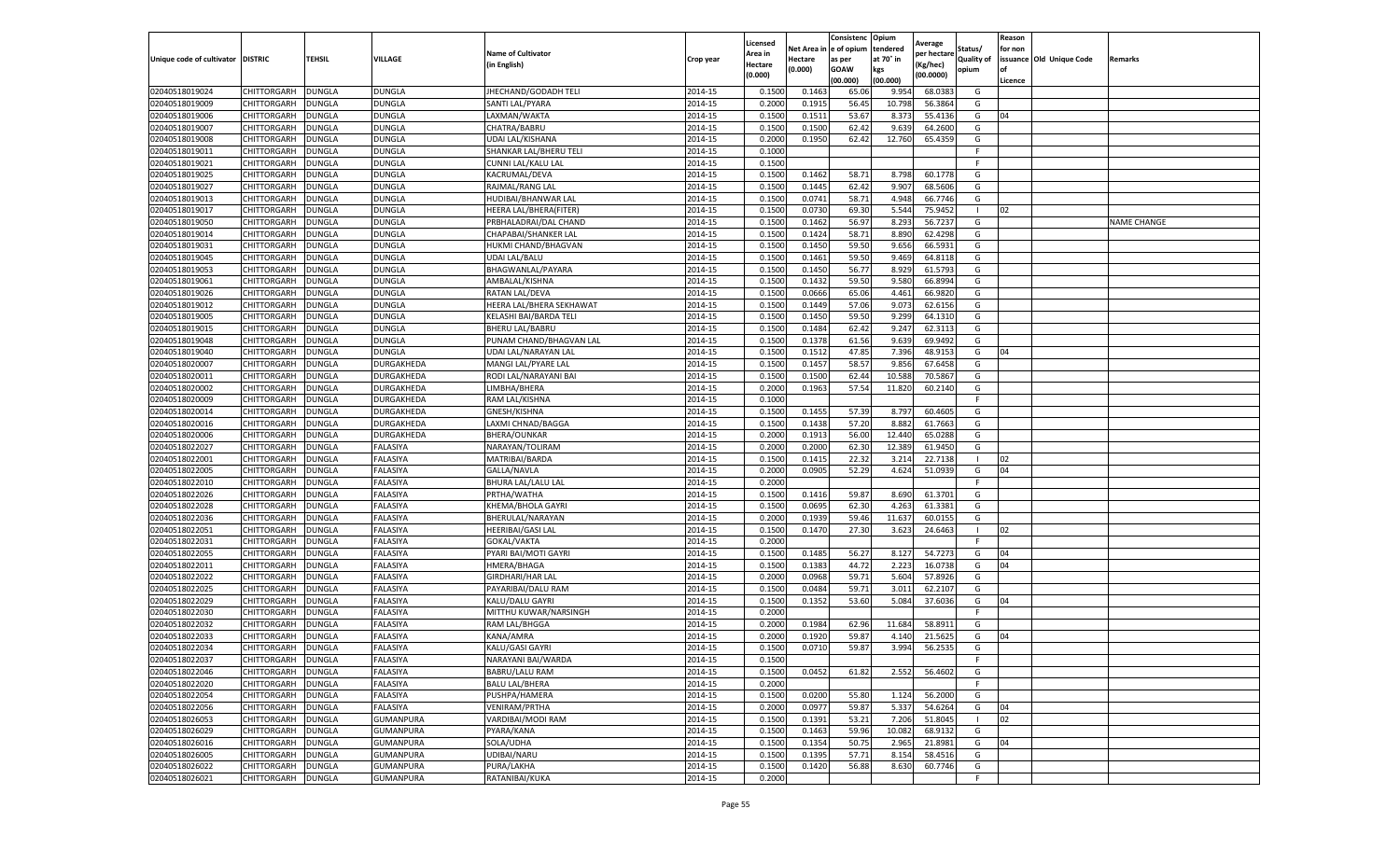|                                     |                                   |                                |                      |                                            |                    | Licensed                  | Net Area i       | Consistenc Opium<br>e of opium | tendered       | Average              | Status/           | Reason<br>for non |                          |                    |
|-------------------------------------|-----------------------------------|--------------------------------|----------------------|--------------------------------------------|--------------------|---------------------------|------------------|--------------------------------|----------------|----------------------|-------------------|-------------------|--------------------------|--------------------|
| Unique code of cultivator   DISTRIC |                                   | TEHSIL                         | <b>VILLAGE</b>       | <b>Name of Cultivator</b>                  | Crop year          | Area in                   | Hectare          | as per                         | at 70° in      | per hectare          | <b>Quality of</b> |                   | issuance Old Unique Code | Remarks            |
|                                     |                                   |                                |                      | in English)                                |                    | <b>Hectare</b><br>(0.000) | (0.000)          | <b>GOAW</b>                    | kgs            | Kg/hec)<br>(00.0000) | opium             | of                |                          |                    |
|                                     |                                   |                                |                      |                                            |                    |                           |                  | (00.000)                       | (00.000)       |                      |                   | Licence           |                          |                    |
| 02040518019024                      | CHITTORGARH                       | DUNGLA                         | DUNGLA               | JHECHAND/GODADH TELI                       | 2014-15            | 0.1500                    | 0.1463           | 65.06                          | 9.954          | 68.038               | G                 |                   |                          |                    |
| 02040518019009                      | CHITTORGARH                       | <b>DUNGLA</b>                  | DUNGLA               | SANTI LAL/PYARA                            | 2014-15            | 0.2000                    | 0.1915           | 56.45                          | 10.798         | 56.3864              | G                 |                   |                          |                    |
| 02040518019006                      | CHITTORGARH                       | <b>DUNGLA</b>                  | DUNGLA               | LAXMAN/WAKTA                               | 2014-15            | 0.1500                    | 0.1511           | 53.67                          | 8.373          | 55.4136              | G                 | 04                |                          |                    |
| 02040518019007                      | CHITTORGARH                       | <b>DUNGLA</b>                  | DUNGLA               | CHATRA/BABRU                               | 2014-15            | 0.1500                    | 0.1500           | 62.42                          | 9.639          | 64.2600              | G                 |                   |                          |                    |
| 02040518019008<br>02040518019011    | CHITTORGARH<br>CHITTORGARH        | <b>DUNGLA</b><br>DUNGLA        | DUNGLA<br>DUNGLA     | UDAI LAL/KISHANA<br>SHANKAR LAL/BHERU TELI | 2014-15<br>2014-15 | 0.2000<br>0.1000          | 0.1950           | 62.42                          | 12.760         | 65.4359              | G<br>F            |                   |                          |                    |
| 02040518019021                      | CHITTORGARH                       | DUNGLA                         | DUNGLA               | CUNNI LAL/KALU LAL                         | 2014-15            | 0.1500                    |                  |                                |                |                      | F.                |                   |                          |                    |
| 02040518019025                      | CHITTORGARH                       | DUNGLA                         | DUNGLA               | KACRUMAL/DEVA                              | 2014-15            | 0.1500                    | 0.1462           | 58.71                          | 8.798          | 60.1778              | G                 |                   |                          |                    |
| 02040518019027                      | CHITTORGARH                       | <b>DUNGLA</b>                  | <b>DUNGLA</b>        | RAJMAL/RANG LAL                            | 2014-15            | 0.1500                    | 0.1445           | 62.42                          | 9.907          | 68.5606              | G                 |                   |                          |                    |
| 02040518019013                      | CHITTORGARH                       | DUNGLA                         | DUNGLA               | HUDIBAI/BHANWAR LAL                        | 2014-15            | 0.1500                    | 0.0741           | 58.71                          | 4.948          | 66.7746              | G                 |                   |                          |                    |
| 02040518019017                      | CHITTORGARH                       | DUNGLA                         | <b>DUNGLA</b>        | HEERA LAL/BHERA(FITER)                     | 2014-15            | 0.1500                    | 0.0730           | 69.30                          | 5.544          | 75.9452              |                   | 02                |                          |                    |
| 02040518019050                      | CHITTORGARH                       | <b>DUNGLA</b>                  | DUNGLA               | PRBHALADRAI/DAL CHAND                      | 2014-15            | 0.1500                    | 0.1462           | 56.97                          | 8.293          | 56.7237              | G                 |                   |                          | <b>NAME CHANGE</b> |
| 02040518019014                      | CHITTORGARH                       | DUNGLA                         | DUNGLA               | CHAPABAI/SHANKER LAL                       | 2014-15            | 0.1500                    | 0.1424           | 58.71                          | 8.89           | 62.4298              | G                 |                   |                          |                    |
| 02040518019031                      | CHITTORGARH                       | <b>DUNGLA</b>                  | <b>DUNGLA</b>        | HUKMI CHAND/BHAGVAN                        | 2014-15            | 0.1500                    | 0.1450           | 59.50                          | 9.656          | 66.5931              | G                 |                   |                          |                    |
| 02040518019045                      | CHITTORGARH                       | DUNGLA                         | DUNGLA               | UDAI LAL/BALU                              | 2014-15            | 0.1500                    | 0.1461           | 59.50                          | 9.469          | 64.8118              | G                 |                   |                          |                    |
| 02040518019053                      | CHITTORGARH                       | <b>DUNGLA</b>                  | DUNGLA               | BHAGWANLAL/PAYARA                          | 2014-15            | 0.1500                    | 0.1450           | 56.77                          | 8.929          | 61.5793              | G                 |                   |                          |                    |
| 02040518019061                      | CHITTORGARH                       | DUNGLA                         | DUNGLA               | AMBALAL/KISHNA                             | 2014-15            | 0.1500                    | 0.1432           | 59.50                          | 9.580          | 66.8994              | G                 |                   |                          |                    |
| 02040518019026                      | CHITTORGARH                       | DUNGLA                         | <b>DUNGLA</b>        | RATAN LAL/DEVA                             | 2014-15            | 0.1500                    | 0.0666           | 65.06                          | 4.461          | 66.9820              | G                 |                   |                          |                    |
| 02040518019012                      | CHITTORGARH                       | <b>DUNGLA</b>                  | <b>DUNGLA</b>        | HEERA LAL/BHERA SEKHAWAT                   | 2014-15            | 0.1500                    | 0.1449           | 57.06                          | 9.073          | 62.6156              | G                 |                   |                          |                    |
| 02040518019005                      | CHITTORGARH                       | DUNGLA                         | DUNGLA               | KELASHI BAI/BARDA TELI                     | 2014-15            | 0.1500                    | 0.1450           | 59.50                          | 9.299          | 64.1310              | G                 |                   |                          |                    |
| 02040518019015                      | CHITTORGARH                       | <b>DUNGLA</b>                  | <b>DUNGLA</b>        | <b>BHERU LAL/BABRU</b>                     | 2014-15            | 0.1500                    | 0.1484           | 62.42                          | 9.247          | 62.3113              | G                 |                   |                          |                    |
| 02040518019048                      | CHITTORGARH                       | <b>DUNGLA</b>                  | DUNGLA               | PUNAM CHAND/BHAGVAN LAL                    | 2014-15            | 0.1500                    | 0.1378           | 61.56                          | 9.639          | 69.9492              | G                 |                   |                          |                    |
| 02040518019040                      | CHITTORGARH                       | <b>DUNGLA</b>                  | DUNGLA               | UDAI LAL/NARAYAN LAL                       | 2014-15            | 0.1500                    | 0.1512           | 47.85                          | 7.396          | 48.9153              | G                 | 04                |                          |                    |
| 02040518020007                      | CHITTORGARH                       | DUNGLA                         | DURGAKHEDA           | MANGI LAL/PYARE LAL                        | 2014-15            | 0.1500                    | 0.1457           | 58.57                          | 9.856          | 67.6458              | G                 |                   |                          |                    |
| 02040518020011                      | CHITTORGARH                       | DUNGLA                         | DURGAKHEDA           | RODI LAL/NARAYANI BAI                      | 2014-15            | 0.1500                    | 0.1500           | 62.44                          | 10.588         | 70.5867              | G                 |                   |                          |                    |
| 02040518020002                      | CHITTORGARH                       | DUNGLA                         | DURGAKHEDA           | LIMBHA/BHERA                               | 2014-15            | 0.2000                    | 0.1963           | 57.54                          | 11.820         | 60.2140              | G                 |                   |                          |                    |
| 02040518020009                      | CHITTORGARH                       | DUNGLA                         | DURGAKHEDA           | RAM LAL/KISHNA                             | 2014-15            | 0.1000                    |                  |                                |                |                      | F.                |                   |                          |                    |
| 02040518020014                      | CHITTORGARH                       | <b>DUNGLA</b>                  | DURGAKHEDA           | GNESH/KISHNA                               | 2014-15            | 0.1500                    | 0.1455           | 57.39                          | 8.797          | 60.4605              | G                 |                   |                          |                    |
| 02040518020016                      | CHITTORGARH                       | <b>DUNGLA</b>                  | DURGAKHEDA           | LAXMI CHNAD/BAGGA                          | 2014-15            | 0.1500                    | 0.1438           | 57.20                          | 8.882          | 61.7663              | G                 |                   |                          |                    |
| 02040518020006                      | CHITTORGARH                       | DUNGLA                         | DURGAKHEDA           | <b>BHERA/OUNKAR</b>                        | 2014-15            | 0.2000                    | 0.1913           | 56.00                          | 12.44          | 65.0288              | G                 |                   |                          |                    |
| 02040518022027                      | CHITTORGARH                       | DUNGLA                         | FALASIYA             | NARAYAN/TOLIRAM                            | 2014-15            | 0.2000                    | 0.2000           | 62.30                          | 12.389         | 61.9450              | G                 |                   |                          |                    |
| 02040518022001                      | CHITTORGARH                       | DUNGLA                         | FALASIYA             | MATRIBAI/BARDA                             | 2014-15            | 0.1500                    | 0.1415           | 22.32                          | 3.21           | 22.7138              | -1                | 02                |                          |                    |
| 02040518022005                      | CHITTORGARH                       | <b>DUNGLA</b>                  | FALASIYA             | GALLA/NAVLA                                | 2014-15            | 0.2000                    | 0.0905           | 52.29                          | 4.624          | 51.0939              | G                 | 04                |                          |                    |
| 02040518022010                      | CHITTORGARH                       | <b>DUNGLA</b>                  | FALASIYA             | <b>BHURA LAL/LALU LAL</b>                  | 2014-15            | 0.2000                    |                  |                                |                |                      | F.                |                   |                          |                    |
| 02040518022026                      | CHITTORGARH                       | <b>DUNGLA</b>                  | FALASIYA             | PRTHA/WATHA                                | 2014-15            | 0.1500                    | 0.1416           | 59.87                          | 8.690          | 61.3701              | G                 |                   |                          |                    |
| 02040518022028                      | CHITTORGARH                       | DUNGLA                         | FALASIYA             | KHEMA/BHOLA GAYRI                          | 2014-15            | 0.1500                    | 0.0695           | 62.30                          | 4.263          | 61.3381              | G                 |                   |                          |                    |
| 02040518022036                      | CHITTORGARH                       | <b>DUNGLA</b>                  | FALASIYA             | BHERULAL/NARAYAN                           | 2014-15            | 0.2000                    | 0.1939           | 59.46                          | 11.63          | 60.0155              | G                 |                   |                          |                    |
| 02040518022051                      | CHITTORGARH                       | DUNGLA                         | FALASIYA             | HEERIBAI/GASI LAL                          | 2014-15            | 0.1500                    | 0.1470           | 27.30                          | 3.623          | 24.6463              | -1<br>F.          | 02                |                          |                    |
| 02040518022031                      | CHITTORGARH                       | DUNGLA                         | FALASIYA<br>FALASIYA | GOKAL/VAKTA                                | 2014-15            | 0.2000                    |                  |                                |                | 54.7273              |                   |                   |                          |                    |
| 02040518022055<br>02040518022011    | CHITTORGARH<br><b>CHITTORGARH</b> | <b>DUNGLA</b><br><b>DUNGLA</b> | FALASIYA             | PYARI BAI/MOTI GAYRI<br>HMERA/BHAGA        | 2014-15<br>2014-15 | 0.1500<br>0.1500          | 0.1485<br>0.1383 | 56.27<br>44.72                 | 8.127<br>2.223 | 16.0738              | G<br>G            | 04<br>04          |                          |                    |
| 02040518022022                      | CHITTORGARH                       | DUNGLA                         | FALASIYA             | <b>GIRDHARI/HAR LAL</b>                    | 2014-15            | 0.2000                    | 0.0968           | 59.71                          | 5.604          | 57.8926              | G                 |                   |                          |                    |
| 02040518022025                      | CHITTORGARH                       | DUNGLA                         | FALASIYA             | PAYARIBAI/DALU RAM                         | 2014-15            | 0.1500                    | 0.0484           | 59.71                          | 3.01           | 62.2107              | G                 |                   |                          |                    |
| 02040518022029                      | CHITTORGARH                       | DUNGLA                         | FALASIYA             | <b>KALU/DALU GAYRI</b>                     | 2014-15            | 0.1500                    | 0.1352           | 53.60                          | 5.084          | 37.6036              | G                 | 04                |                          |                    |
| 02040518022030                      | CHITTORGARH                       | DUNGLA                         | FALASIYA             | MITTHU KUWAR/NARSINGH                      | 2014-15            | 0.2000                    |                  |                                |                |                      | F.                |                   |                          |                    |
| 02040518022032                      | CHITTORGARH                       | DUNGLA                         | FALASIYA             | RAM LAL/BHGGA                              | 2014-15            | 0.2000                    | 0.1984           | 62.96                          | 11.684         | 58.8911              | G                 |                   |                          |                    |
| 02040518022033                      | CHITTORGARH                       | <b>DUNGLA</b>                  | FALASIYA             | KANA/AMRA                                  | 2014-15            | 0.2000                    | 0.1920           | 59.87                          | 4.140          | 21.5625              | G                 | 04                |                          |                    |
| 02040518022034                      | CHITTORGARH                       | <b>DUNGLA</b>                  | FALASIYA             | KALU/GASI GAYRI                            | 2014-15            | 0.1500                    | 0.0710           | 59.87                          | 3.994          | 56.2535              | G                 |                   |                          |                    |
| 02040518022037                      | CHITTORGARH                       | <b>DUNGLA</b>                  | FALASIYA             | NARAYANI BAI/WARDA                         | 2014-15            | 0.1500                    |                  |                                |                |                      | F.                |                   |                          |                    |
| 02040518022046                      | <b>CHITTORGARH</b>                | <b>DUNGLA</b>                  | FALASIYA             | <b>BABRU/LALU RAM</b>                      | 2014-15            | 0.1500                    | 0.0452           | 61.82                          | 2.552          | 56.4602              | G                 |                   |                          |                    |
| 02040518022020                      | <b>CHITTORGARH</b>                | <b>DUNGLA</b>                  | FALASIYA             | <b>BALU LAL/BHERA</b>                      | 2014-15            | 0.2000                    |                  |                                |                |                      | F.                |                   |                          |                    |
| 02040518022054                      | <b>CHITTORGARH</b>                | <b>DUNGLA</b>                  | FALASIYA             | PUSHPA/HAMERA                              | 2014-15            | 0.1500                    | 0.0200           | 55.80                          | 1.124          | 56.2000              | G                 |                   |                          |                    |
| 02040518022056                      | <b>CHITTORGARH</b>                | <b>DUNGLA</b>                  | FALASIYA             | <b>VENIRAM/PRTHA</b>                       | 2014-15            | 0.2000                    | 0.0977           | 59.87                          | 5.337          | 54.6264              | G                 | 04                |                          |                    |
| 02040518026053                      | CHITTORGARH                       | <b>DUNGLA</b>                  | GUMANPURA            | VARDIBAI/MODI RAM                          | 2014-15            | 0.1500                    | 0.1391           | 53.21                          | 7.206          | 51.8045              |                   | 02                |                          |                    |
| 02040518026029                      | CHITTORGARH                       | <b>DUNGLA</b>                  | <b>GUMANPURA</b>     | PYARA/KANA                                 | 2014-15            | 0.1500                    | 0.1463           | 59.96                          | 10.082         | 68.9132              | G                 |                   |                          |                    |
| 02040518026016                      | CHITTORGARH                       | DUNGLA                         | GUMANPURA            | SOLA/UDHA                                  | 2014-15            | 0.1500                    | 0.1354           | 50.75                          | 2.965          | 21.8981              | G                 | 04                |                          |                    |
| 02040518026005                      | CHITTORGARH                       | <b>DUNGLA</b>                  | GUMANPURA            | UDIBAI/NARU                                | 2014-15            | 0.1500                    | 0.1395           | 57.71                          | 8.154          | 58.4516              | G                 |                   |                          |                    |
| 02040518026022                      | <b>CHITTORGARH</b>                | <b>DUNGLA</b>                  | <b>GUMANPURA</b>     | PURA/LAKHA                                 | 2014-15            | 0.1500                    | 0.1420           | 56.88                          | 8.630          | 60.7746              | G                 |                   |                          |                    |
| 02040518026021                      | <b>CHITTORGARH</b>                | <b>DUNGLA</b>                  | <b>GUMANPURA</b>     | RATANIBAI/KUKA                             | 2014-15            | 0.2000                    |                  |                                |                |                      | F.                |                   |                          |                    |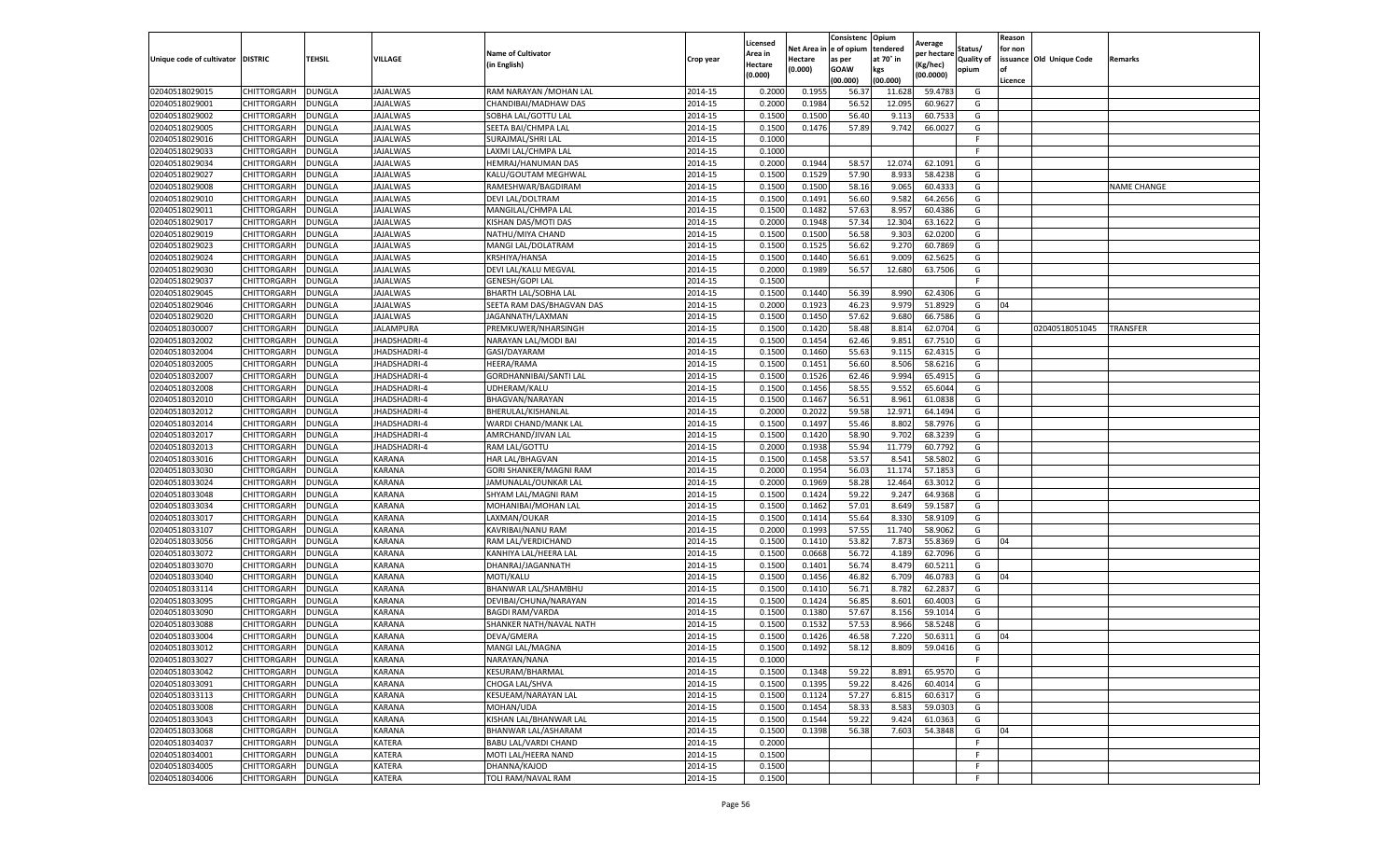|                                     |                    |               |                     |                                           |           | Licensed                  | Net Area           | Consistenc<br>e of opium | Opium<br>tendered | Average                 | Status/           | Reason<br>for non |                          |                    |
|-------------------------------------|--------------------|---------------|---------------------|-------------------------------------------|-----------|---------------------------|--------------------|--------------------------|-------------------|-------------------------|-------------------|-------------------|--------------------------|--------------------|
| Unique code of cultivator   DISTRIC |                    | <b>TEHSIL</b> | VILLAGE             | <b>Name of Cultivator</b><br>(in English) | Crop year | Area in<br><b>Hectare</b> | Hectare<br>(0.000) | as per<br><b>GOAW</b>    | at 70° in         | per hectarı<br>(Kg/hec) | <b>Quality of</b> | of                | issuance Old Unique Code | Remarks            |
|                                     |                    |               |                     |                                           |           | (0.000)                   |                    | (00.000)                 | kgs<br>(00.000)   | (00.0000)               | opium             | Licence           |                          |                    |
| 02040518029015                      | CHITTORGARH        | <b>DUNGLA</b> | JAJALWAS            | RAM NARAYAN / MOHAN LAL                   | 2014-15   | 0.2000                    | 0.195              | 56.3                     | 11.62             | 59.478                  | G                 |                   |                          |                    |
| 02040518029001                      | CHITTORGARH        | <b>DUNGLA</b> | <b>JAJALWAS</b>     | CHANDIBAI/MADHAW DAS                      | 2014-15   | 0.2000                    | 0.1984             | 56.52                    | 12.095            | 60.9627                 | G                 |                   |                          |                    |
| 02040518029002                      | CHITTORGARH        | <b>DUNGLA</b> | JAJALWAS            | SOBHA LAL/GOTTU LAL                       | 2014-15   | 0.1500                    | 0.1500             | 56.40                    | 9.113             | 60.7533                 | G                 |                   |                          |                    |
| 02040518029005                      | CHITTORGARH        | <b>DUNGLA</b> | JAJALWAS            | SEETA BAI/CHMPA LAL                       | 2014-15   | 0.1500                    | 0.1476             | 57.89                    | 9.742             | 66.0027                 | G                 |                   |                          |                    |
| 02040518029016                      | CHITTORGARH        | <b>DUNGLA</b> | <b>JAJALWAS</b>     | SURAJMAL/SHRI LAL                         | 2014-15   | 0.1000                    |                    |                          |                   |                         |                   |                   |                          |                    |
| 02040518029033                      | CHITTORGARH        | DUNGLA        | JAJALWAS            | LAXMI LAL/CHMPA LAL                       | 2014-15   | 0.1000                    |                    |                          |                   |                         |                   |                   |                          |                    |
| 02040518029034                      | CHITTORGARH        | <b>DUNGLA</b> | JAJALWAS            | HEMRAJ/HANUMAN DAS                        | 2014-15   | 0.2000                    | 0.1944             | 58.57                    | 12.074            | 62.1091                 | G                 |                   |                          |                    |
| 02040518029027                      | CHITTORGARH        | <b>DUNGLA</b> | JAJALWAS            | KALU/GOUTAM MEGHWAL                       | 2014-15   | 0.1500                    | 0.1529             | 57.90                    | 8.933             | 58.4238                 | G                 |                   |                          |                    |
| 02040518029008                      | CHITTORGARH        | <b>DUNGLA</b> | <b>JAJALWAS</b>     | RAMESHWAR/BAGDIRAM                        | 2014-15   | 0.1500                    | 0.1500             | 58.16                    | 9.065             | 60.4333                 | G                 |                   |                          | <b>NAME CHANGE</b> |
| 02040518029010                      | CHITTORGARH        | <b>DUNGLA</b> | <b>IAJALWAS</b>     | DEVI LAL/DOLTRAM                          | 2014-15   | 0.1500                    | 0.1491             | 56.60                    | 9.582             | 64.2656                 | G                 |                   |                          |                    |
| 02040518029011                      | CHITTORGARH        | DUNGLA        | <b>JAJALWAS</b>     | MANGILAL/CHMPA LAL                        | 2014-15   | 0.1500                    | 0.1482             | 57.63                    | 8.957             | 60.4386                 | G                 |                   |                          |                    |
| 02040518029017                      | CHITTORGARH        | DUNGLA        | <b>JAJALWAS</b>     | KISHAN DAS/MOTI DAS                       | 2014-15   | 0.2000                    | 0.1948             | 57.34                    | 12.304            | 63.1622                 | G                 |                   |                          |                    |
| 02040518029019                      | CHITTORGARH        | DUNGLA        | JAJALWAS            | NATHU/MIYA CHAND                          | 2014-15   | 0.1500                    | 0.1500             | 56.58                    | 9.303             | 62.0200                 | G                 |                   |                          |                    |
| 02040518029023                      | CHITTORGARH        | <b>DUNGLA</b> | JAJALWAS            | MANGI LAL/DOLATRAM                        | 2014-15   | 0.1500                    | 0.1525             | 56.62                    | 9.270             | 60.7869                 | G                 |                   |                          |                    |
| 02040518029024                      | CHITTORGARH        | <b>DUNGLA</b> | JAJALWAS            | KRSHIYA/HANSA                             | 2014-15   | 0.1500                    | 0.1440             | 56.61                    | 9.009             | 62.5625                 | G                 |                   |                          |                    |
| 02040518029030                      | CHITTORGARH        | <b>DUNGLA</b> | JAJALWAS            | DEVI LAL/KALU MEGVAL                      | 2014-15   | 0.2000                    | 0.1989             | 56.57                    | 12.680            | 63.7506                 | G                 |                   |                          |                    |
| 02040518029037                      | CHITTORGARH        | <b>DUNGLA</b> | <b>JAJALWAS</b>     | GENESH/GOPI LAL                           | 2014-15   | 0.1500                    |                    |                          |                   |                         |                   |                   |                          |                    |
| 02040518029045                      | CHITTORGARH        | DUNGLA        | <b>JAJALWAS</b>     | <b>BHARTH LAL/SOBHA LAL</b>               | 2014-15   | 0.1500                    | 0.1440             | 56.39                    | 8.990             | 62.430                  | G                 |                   |                          |                    |
| 02040518029046                      | CHITTORGARH        | <b>DUNGLA</b> | <b>JAJALWAS</b>     | SEETA RAM DAS/BHAGVAN DAS                 | 2014-15   | 0.2000                    | 0.1923             | 46.23                    | 9.979             | 51.8929                 | G                 | 04                |                          |                    |
| 02040518029020                      | CHITTORGARH        | DUNGLA        | JAJALWAS            | JAGANNATH/LAXMAN                          | 2014-15   | 0.1500                    | 0.1450             | 57.62                    | 9.680             | 66.7586                 | G                 |                   |                          |                    |
| 02040518030007                      | CHITTORGARH        | <b>DUNGLA</b> | JALAMPURA           | PREMKUWER/NHARSINGH                       | 2014-15   | 0.1500                    | 0.1420             | 58.48                    | 8.814             | 62.0704                 | G                 |                   | 02040518051045           | TRANSFER           |
| 02040518032002                      | CHITTORGARH        | <b>DUNGLA</b> | JHADSHADRI-4        | NARAYAN LAL/MODI BAI                      | 2014-15   | 0.1500                    | 0.1454             | 62.46                    | 9.851             | 67.7510                 | G                 |                   |                          |                    |
| 02040518032004                      | CHITTORGARH        | <b>DUNGLA</b> | JHADSHADRI-4        | GASI/DAYARAM                              | 2014-15   | 0.1500                    | 0.1460             | 55.63                    | 9.115             | 62.4315                 | G                 |                   |                          |                    |
| 02040518032005                      | CHITTORGARH        | DUNGLA        | <b>JHADSHADRI-4</b> | HEERA/RAMA                                | 2014-15   | 0.1500                    | 0.1451             | 56.60                    | 8.506             | 58.6216                 | G                 |                   |                          |                    |
| 02040518032007                      | CHITTORGARH        | <b>DUNGLA</b> | JHADSHADRI-4        | GORDHANNIBAI/SANTI LAL                    | 2014-15   | 0.1500                    | 0.1526             | 62.46                    | 9.994             | 65.491                  | G                 |                   |                          |                    |
| 02040518032008                      | CHITTORGARH        | <b>DUNGLA</b> | JHADSHADRI-4        | UDHERAM/KALU                              | 2014-15   | 0.1500                    | 0.1456             | 58.55                    | 9.552             | 65.6044                 | G                 |                   |                          |                    |
| 02040518032010                      | CHITTORGARH        | <b>DUNGLA</b> | <b>JHADSHADRI-4</b> | BHAGVAN/NARAYAN                           | 2014-15   | 0.1500                    | 0.1467             | 56.51                    | 8.961             | 61.0838                 | G                 |                   |                          |                    |
| 02040518032012                      | CHITTORGARH        | <b>DUNGLA</b> | JHADSHADRI-4        | BHERULAL/KISHANLAL                        | 2014-15   | 0.2000                    | 0.2022             | 59.58                    | 12.971            | 64.1494                 | G                 |                   |                          |                    |
| 02040518032014                      | CHITTORGARH        | <b>DUNGLA</b> | JHADSHADRI-4        | WARDI CHAND/MANK LAL                      | 2014-15   | 0.1500                    | 0.1497             | 55.46                    | 8.802             | 58.7976                 | G                 |                   |                          |                    |
| 02040518032017                      | CHITTORGARH        | DUNGLA        | JHADSHADRI-4        | AMRCHAND/JIVAN LAL                        | 2014-15   | 0.1500                    | 0.1420             | 58.90                    | 9.702             | 68.3239                 | G                 |                   |                          |                    |
| 02040518032013                      | CHITTORGARH        | <b>DUNGLA</b> | JHADSHADRI-4        | RAM LAL/GOTTU                             | 2014-15   | 0.2000                    | 0.1938             | 55.94                    | 11.779            | 60.7792                 | G                 |                   |                          |                    |
| 02040518033016                      | CHITTORGARH        | <b>DUNGLA</b> | <b>KARANA</b>       | HAR LAL/BHAGVAN                           | 2014-15   | 0.1500                    | 0.1458             | 53.57                    | 8.541             | 58.580                  | G                 |                   |                          |                    |
| 02040518033030                      | CHITTORGARH        | <b>DUNGLA</b> | <b>KARANA</b>       | GORI SHANKER/MAGNI RAM                    | 2014-15   | 0.2000                    | 0.1954             | 56.03                    | 11.174            | 57.1853                 | G                 |                   |                          |                    |
| 02040518033024                      | CHITTORGARH        | <b>DUNGLA</b> | KARANA              | JAMUNALAL/OUNKAR LAL                      | 2014-15   | 0.2000                    | 0.1969             | 58.28                    | 12.464            | 63.3012                 | G                 |                   |                          |                    |
| 02040518033048                      | CHITTORGARH        | <b>DUNGLA</b> | KARANA              | SHYAM LAL/MAGNI RAM                       | 2014-15   | 0.1500                    | 0.1424             | 59.22                    | 9.247             | 64.9368                 | G                 |                   |                          |                    |
| 02040518033034                      | CHITTORGARH        | <b>DUNGLA</b> | KARANA              | MOHANIBAI/MOHAN LAL                       | 2014-15   | 0.1500                    | 0.1462             | 57.01                    | 8.649             | 59.1587                 | G                 |                   |                          |                    |
| 02040518033017                      | CHITTORGARH        | DUNGLA        | KARANA              | LAXMAN/OUKAR                              | 2014-15   | 0.1500                    | 0.1414             | 55.64                    | 8.330             | 58.910                  | G                 |                   |                          |                    |
| 02040518033107                      | CHITTORGARH        | DUNGLA        | KARANA              | KAVRIBAI/NANU RAM                         | 2014-15   | 0.2000                    | 0.1993             | 57.55                    | 11.740            | 58.9062                 | G                 |                   |                          |                    |
| 02040518033056                      | CHITTORGARH        | DUNGLA        | <b>KARANA</b>       | RAM LAL/VERDICHAND                        | 2014-15   | 0.1500                    | 0.1410             | 53.82                    | 7.873             | 55.8369                 | G                 | 04                |                          |                    |
| 02040518033072                      | CHITTORGARH        | <b>DUNGLA</b> | <b>KARANA</b>       | KANHIYA LAL/HEERA LAL                     | 2014-15   | 0.1500                    | 0.0668             | 56.72                    | 4.189             | 62.7096                 | G                 |                   |                          |                    |
| 02040518033070                      | CHITTORGARH        | <b>DUNGLA</b> | KARANA              | DHANRAJ/JAGANNATH                         | 2014-15   | 0.1500                    | 0.1401             | 56.74                    | 8.479             | 60.5211                 | G                 |                   |                          |                    |
| 02040518033040                      | CHITTORGARH        | <b>DUNGLA</b> | KARANA              | MOTI/KALU                                 | 2014-15   | 0.1500                    | 0.1456             | 46.82                    | 6.709             | 46.078                  | G                 | 04                |                          |                    |
| 02040518033114                      | CHITTORGARH        | DUNGLA        | KARANA              | BHANWAR LAL/SHAMBHU                       | 2014-15   | 0.1500                    | 0.1410             | 56.7                     | 8.782             | 62.2837                 | G                 |                   |                          |                    |
| 02040518033095                      | CHITTORGARH        | DUNGLA        | <b>KARANA</b>       | DEVIBAI/CHUNA/NARAYAN                     | 2014-15   | 0.1500                    | 0.1424             | 56.85                    | 8.601             | 60.4003                 | G                 |                   |                          |                    |
| 02040518033090                      | CHITTORGARH        | <b>DUNGLA</b> | KARANA              | <b>BAGDI RAM/VARDA</b>                    | 2014-15   | 0.1500                    | 0.1380             | 57.67                    | 8.156             | 59.1014                 | G                 |                   |                          |                    |
| 02040518033088                      | CHITTORGARH        | DUNGLA        | KARANA              | SHANKER NATH/NAVAL NATH                   | 2014-15   | 0.1500                    | 0.1532             | 57.53                    | 8.966             | 58.5248                 | G                 |                   |                          |                    |
| 02040518033004                      | CHITTORGARH        | <b>DUNGLA</b> | <b>KARANA</b>       | DEVA/GMERA                                | 2014-15   | 0.1500                    | 0.1426             | 46.58                    | 7.220             | 50.6311                 | G                 | 04                |                          |                    |
| 02040518033012                      | CHITTORGARH        | <b>DUNGLA</b> | <b>KARANA</b>       | MANGI LAL/MAGNA                           | 2014-15   | 0.1500                    | 0.1492             | 58.12                    | 8.809             | 59.0416                 | G                 |                   |                          |                    |
| 02040518033027                      | <b>CHITTORGARH</b> | DUNGLA        | <b>KARANA</b>       | NARAYAN/NANA                              | 2014-15   | 0.1000                    |                    |                          |                   |                         |                   |                   |                          |                    |
| 02040518033042                      | CHITTORGARH        | <b>DUNGLA</b> | KARANA              | <b>KESURAM/BHARMAL</b>                    | 2014-15   | 0.1500                    | 0.1348             | 59.22                    | 8.891             | 65.9570                 | G                 |                   |                          |                    |
| 02040518033091                      | <b>CHITTORGARH</b> | <b>DUNGLA</b> | KARANA              | CHOGA LAL/SHVA                            | 2014-15   | 0.1500                    | 0.1395             | 59.22                    | 8.426             | 60.4014                 | G                 |                   |                          |                    |
| 02040518033113                      | CHITTORGARH        | <b>DUNGLA</b> | KARANA              | KESUEAM/NARAYAN LAL                       | 2014-15   | 0.1500                    | 0.1124             | 57.27                    | 6.815             | 60.6317                 | G                 |                   |                          |                    |
| 02040518033008                      | CHITTORGARH        | <b>DUNGLA</b> | KARANA              | MOHAN/UDA                                 | 2014-15   | 0.1500                    | 0.1454             | 58.33                    | 8.583             | 59.0303                 | G                 |                   |                          |                    |
| 02040518033043                      | CHITTORGARH        | <b>DUNGLA</b> | KARANA              | KISHAN LAL/BHANWAR LAL                    | 2014-15   | 0.1500                    | 0.1544             | 59.22                    | 9.424             | 61.0363                 | G                 |                   |                          |                    |
| 02040518033068                      | CHITTORGARH        | <b>DUNGLA</b> | KARANA              | BHANWAR LAL/ASHARAM                       | 2014-15   | 0.1500                    | 0.1398             | 56.38                    | 7.603             | 54.3848                 | G                 | 04                |                          |                    |
| 02040518034037                      | CHITTORGARH        | DUNGLA        | KATERA              | BABU LAL/VARDI CHAND                      | 2014-15   | 0.2000                    |                    |                          |                   |                         |                   |                   |                          |                    |
| 02040518034001                      | CHITTORGARH        | <b>DUNGLA</b> | KATERA              | MOTI LAL/HEERA NAND                       | 2014-15   | 0.1500                    |                    |                          |                   |                         | F.                |                   |                          |                    |
| 02040518034005                      | <b>CHITTORGARH</b> | <b>DUNGLA</b> | <b>KATERA</b>       | DHANNA/KAJOD                              | 2014-15   | 0.1500                    |                    |                          |                   |                         | F.                |                   |                          |                    |
| 02040518034006                      | CHITTORGARH        | <b>DUNGLA</b> | KATERA              | TOLI RAM/NAVAL RAM                        | 2014-15   | 0.1500                    |                    |                          |                   |                         | F.                |                   |                          |                    |
|                                     |                    |               |                     |                                           |           |                           |                    |                          |                   |                         |                   |                   |                          |                    |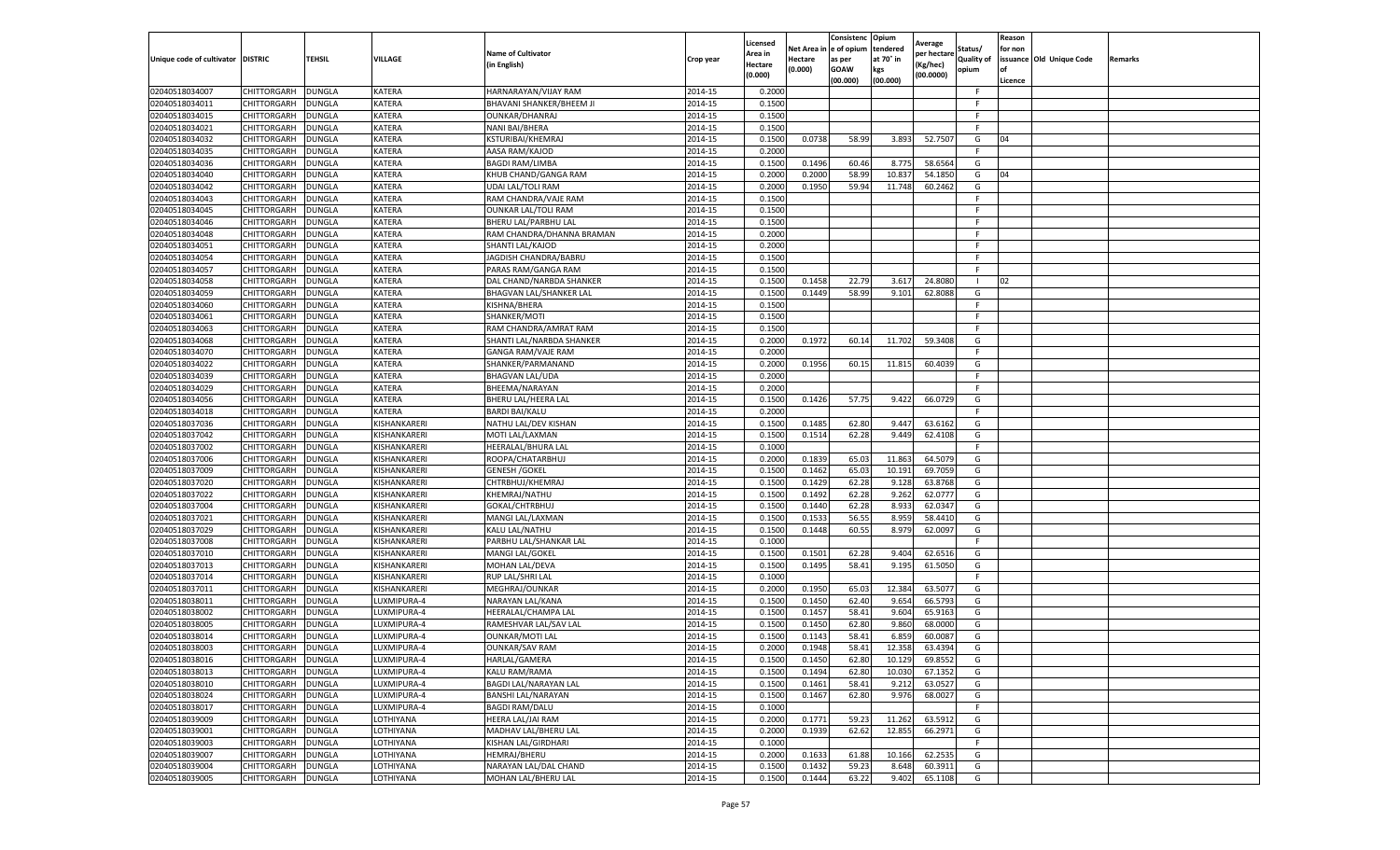|                                   |                                   |                                |                            |                                                  |                    | Licensed                  | Net Area i       | Consistenc Opium<br>e of opium | tendered         | Average              | Status/           | Reason<br>for non |                          |         |
|-----------------------------------|-----------------------------------|--------------------------------|----------------------------|--------------------------------------------------|--------------------|---------------------------|------------------|--------------------------------|------------------|----------------------|-------------------|-------------------|--------------------------|---------|
| Unique code of cultivator DISTRIC |                                   | <b>TEHSIL</b>                  | VILLAGE                    | <b>Name of Cultivator</b>                        | Crop year          | Area in                   | Hectare          | as per                         | at 70° in        | per hectare          | <b>Quality of</b> |                   | issuance Old Unique Code | Remarks |
|                                   |                                   |                                |                            | in English)                                      |                    | <b>Hectare</b><br>(0.000) | (0.000)          | <b>GOAW</b>                    | kgs              | Kg/hec)<br>(00.0000) | opium             | of                |                          |         |
|                                   |                                   |                                |                            |                                                  |                    |                           |                  | (00.000)                       | (00.000)         |                      | F.                | Licence           |                          |         |
| 02040518034007<br>02040518034011  | CHITTORGARH<br>CHITTORGARH        | DUNGLA<br><b>DUNGLA</b>        | KATERA<br>KATERA           | HARNARAYAN/VIJAY RAM<br>BHAVANI SHANKER/BHEEM JI | 2014-15<br>2014-15 | 0.2000<br>0.1500          |                  |                                |                  |                      | F.                |                   |                          |         |
| 02040518034015                    | CHITTORGARH                       | <b>DUNGLA</b>                  | KATERA                     | OUNKAR/DHANRAJ                                   | 2014-15            | 0.1500                    |                  |                                |                  |                      | F                 |                   |                          |         |
| 02040518034021                    | CHITTORGARH                       | <b>DUNGLA</b>                  | KATERA                     | NANI BAI/BHERA                                   | 2014-15            | 0.1500                    |                  |                                |                  |                      | F.                |                   |                          |         |
| 02040518034032                    | CHITTORGARH                       | DUNGLA                         | KATERA                     | KSTURIBAI/KHEMRAJ                                | 2014-15            | 0.1500                    | 0.0738           | 58.99                          | 3.893            | 52.7507              | G                 | 04                |                          |         |
| 02040518034035                    | CHITTORGARH                       | DUNGLA                         | KATERA                     | AASA RAM/KAJOD                                   | 2014-15            | 0.2000                    |                  |                                |                  |                      | F                 |                   |                          |         |
| 02040518034036                    | CHITTORGARH                       | DUNGLA                         | KATERA                     | <b>BAGDI RAM/LIMBA</b>                           | 2014-15            | 0.1500                    | 0.1496           | 60.46                          | 8.775            | 58.6564              | G                 |                   |                          |         |
| 02040518034040                    | CHITTORGARH                       | DUNGLA                         | KATERA                     | KHUB CHAND/GANGA RAM                             | 2014-15            | 0.2000                    | 0.2000           | 58.99                          | 10.837           | 54.1850              | G                 | 04                |                          |         |
| 02040518034042                    | CHITTORGARH                       | <b>DUNGLA</b>                  | KATERA                     | <b>UDAI LAL/TOLI RAM</b>                         | 2014-15            | 0.2000                    | 0.1950           | 59.94                          | 11.748           | 60.2462              | G                 |                   |                          |         |
| 02040518034043                    | CHITTORGARH                       | <b>DUNGLA</b>                  | KATERA                     | RAM CHANDRA/VAJE RAM                             | 2014-15            | 0.1500                    |                  |                                |                  |                      | F                 |                   |                          |         |
| 02040518034045                    | CHITTORGARH                       | <b>DUNGLA</b>                  | KATERA                     | <b>OUNKAR LAL/TOLI RAM</b>                       | 2014-15            | 0.1500                    |                  |                                |                  |                      | F.                |                   |                          |         |
| 02040518034046                    | CHITTORGARH                       | <b>DUNGLA</b>                  | KATERA                     | BHERU LAL/PARBHU LAL                             | 2014-15            | 0.1500                    |                  |                                |                  |                      | F                 |                   |                          |         |
| 02040518034048                    | CHITTORGARH                       | DUNGLA                         | KATERA                     | RAM CHANDRA/DHANNA BRAMAN                        | 2014-15            | 0.2000                    |                  |                                |                  |                      | F                 |                   |                          |         |
| 02040518034051                    | CHITTORGARH                       | <b>DUNGLA</b>                  | KATERA                     | SHANTI LAL/KAJOD                                 | 2014-15            | 0.2000                    |                  |                                |                  |                      | F.                |                   |                          |         |
| 02040518034054                    | CHITTORGARH                       | DUNGLA                         | KATERA                     | JAGDISH CHANDRA/BABRU                            | 2014-15            | 0.1500                    |                  |                                |                  |                      | F.                |                   |                          |         |
| 02040518034057                    | CHITTORGARH                       | <b>DUNGLA</b>                  | KATERA                     | PARAS RAM/GANGA RAM                              | 2014-15            | 0.1500                    |                  |                                |                  |                      | F.                |                   |                          |         |
| 02040518034058                    | CHITTORGARH                       | <b>DUNGLA</b>                  | KATERA                     | DAL CHAND/NARBDA SHANKER                         | 2014-15            | 0.1500                    | 0.1458           | 22.79                          | 3.617            | 24.8080              |                   | 02                |                          |         |
| 02040518034059                    | CHITTORGARH                       | <b>DUNGLA</b>                  | KATERA                     | BHAGVAN LAL/SHANKER LAL                          | 2014-15            | 0.1500                    | 0.1449           | 58.99                          | 9.101            | 62.8088              | G                 |                   |                          |         |
| 02040518034060                    | CHITTORGARH                       | <b>DUNGLA</b>                  | KATERA                     | KISHNA/BHERA                                     | 2014-15            | 0.1500                    |                  |                                |                  |                      | F                 |                   |                          |         |
| 02040518034061                    | CHITTORGARH                       | DUNGLA                         | KATERA                     | SHANKER/MOTI                                     | 2014-15            | 0.1500                    |                  |                                |                  |                      | F.                |                   |                          |         |
| 02040518034063                    | CHITTORGARH                       | <b>DUNGLA</b>                  | KATERA                     | RAM CHANDRA/AMRAT RAM                            | 2014-15            | 0.1500                    |                  |                                |                  |                      | F.                |                   |                          |         |
| 02040518034068                    | CHITTORGARH                       | <b>DUNGLA</b>                  | KATERA                     | SHANTI LAL/NARBDA SHANKER                        | 2014-15            | 0.2000                    | 0.1972           | 60.14                          | 11.702           | 59.3408              | G                 |                   |                          |         |
| 02040518034070                    | CHITTORGARH                       | <b>DUNGLA</b>                  | KATERA                     | GANGA RAM/VAJE RAM                               | 2014-15            | 0.2000                    |                  |                                |                  |                      | F.                |                   |                          |         |
| 02040518034022                    | CHITTORGARH                       | DUNGLA                         | KATERA                     | SHANKER/PARMANAND                                | 2014-15            | 0.2000                    | 0.1956           | 60.15                          | 11.815           | 60.4039              | G                 |                   |                          |         |
| 02040518034039                    | CHITTORGARH                       | DUNGLA                         | KATERA                     | <b>BHAGVAN LAL/UDA</b>                           | 2014-15            | 0.2000                    |                  |                                |                  |                      | F                 |                   |                          |         |
| 02040518034029                    | CHITTORGARH                       | DUNGLA                         | KATERA                     | BHEEMA/NARAYAN                                   | 2014-15            | 0.2000                    |                  |                                |                  |                      | F.                |                   |                          |         |
| 02040518034056                    | CHITTORGARH                       | DUNGLA                         | KATERA                     | BHERU LAL/HEERA LAL                              | 2014-15            | 0.1500                    | 0.1426           | 57.75                          | 9.422            | 66.0729              | G                 |                   |                          |         |
| 02040518034018                    | CHITTORGARH                       | <b>DUNGLA</b>                  | KATERA                     | <b>BARDI BAI/KALU</b>                            | 2014-15            | 0.2000                    |                  |                                |                  |                      | F.                |                   |                          |         |
| 02040518037036                    | CHITTORGARH                       | <b>DUNGLA</b>                  | KISHANKARERI               | NATHU LAL/DEV KISHAN                             | 2014-15            | 0.1500                    | 0.1485           | 62.80                          | 9.447            | 63.6162              | G                 |                   |                          |         |
| 02040518037042                    | CHITTORGARH                       | <b>DUNGLA</b>                  | KISHANKARERI               | MOTI LAL/LAXMAN                                  | 2014-15            | 0.1500                    | 0.1514           | 62.28                          | 9.449            | 62.4108              | G                 |                   |                          |         |
| 02040518037002                    | CHITTORGARH                       | DUNGLA                         | KISHANKARERI               | HEERALAL/BHURA LAL                               | 2014-15            | 0.1000                    |                  |                                |                  |                      | F                 |                   |                          |         |
| 02040518037006                    | CHITTORGARH                       | DUNGLA                         | KISHANKARERI               | ROOPA/CHATARBHUJ                                 | 2014-15            | 0.2000                    | 0.1839           | 65.03                          | 11.863           | 64.5079              | G                 |                   |                          |         |
| 02040518037009                    | CHITTORGARH                       | <b>DUNGLA</b>                  | KISHANKARERI               | <b>GENESH / GOKEL</b>                            | 2014-15            | 0.1500                    | 0.1462           | 65.03                          | 10.191           | 69.7059              | G                 |                   |                          |         |
| 02040518037020                    | CHITTORGARH                       | <b>DUNGLA</b>                  | KISHANKARERI               | CHTRBHUJ/KHEMRAJ                                 | 2014-15            | 0.1500                    | 0.1429           | 62.28                          | 9.128            | 63.8768              | G                 |                   |                          |         |
| 02040518037022                    | CHITTORGARH                       | <b>DUNGLA</b>                  | KISHANKARERI               | KHEMRAJ/NATHU                                    | 2014-15            | 0.1500                    | 0.1492           | 62.28                          | 9.262            | 62.0777              | G                 |                   |                          |         |
| 02040518037004                    | CHITTORGARH                       | <b>DUNGLA</b>                  | KISHANKARERI               | GOKAL/CHTRBHUJ                                   | 2014-15            | 0.1500                    | 0.1440           | 62.28                          | 8.93             | 62.0347              | G                 |                   |                          |         |
| 02040518037021                    | CHITTORGARH                       | DUNGLA                         | KISHANKARERI               | MANGI LAL/LAXMAN                                 | 2014-15            | 0.1500                    | 0.1533           | 56.55                          | 8.959            | 58.4410              | G                 |                   |                          |         |
| 02040518037029                    | CHITTORGARH                       | DUNGLA                         | KISHANKARERI               | KALU LAL/NATHU                                   | 2014-15            | 0.1500                    | 0.1448           | 60.55                          | 8.979            | 62.0097              | G                 |                   |                          |         |
| 02040518037008                    | CHITTORGARH                       | DUNGLA                         | KISHANKARERI               | PARBHU LAL/SHANKAR LAL                           | 2014-15            | 0.1000                    |                  |                                |                  |                      | F.                |                   |                          |         |
| 02040518037010                    | CHITTORGARH                       | <b>DUNGLA</b>                  | KISHANKARERI               | MANGI LAL/GOKEL                                  | 2014-15            | 0.1500                    | 0.1501           | 62.28                          | 9.404            | 62.6516              | G                 |                   |                          |         |
| 02040518037013                    | <b>CHITTORGARH</b>                | <b>DUNGLA</b>                  | KISHANKARERI               | MOHAN LAL/DEVA                                   | 2014-15            | 0.1500                    | 0.1495           | 58.41                          | 9.195            | 61.5050              | G                 |                   |                          |         |
| 02040518037014                    | CHITTORGARH                       | <b>DUNGLA</b>                  | KISHANKARERI               | <b>RUP LAL/SHRI LAL</b>                          | 2014-15            | 0.1000                    |                  |                                |                  |                      | F.                |                   |                          |         |
| 02040518037011                    | CHITTORGARH                       | <b>DUNGLA</b>                  | KISHANKARERI               | MEGHRAJ/OUNKAR                                   | 2014-15            | 0.2000                    | 0.1950           | 65.03                          | 12.384           | 63.5077              | G                 |                   |                          |         |
| 02040518038011                    | CHITTORGARH                       | DUNGLA                         | LUXMIPURA-4                | NARAYAN LAL/KANA                                 | 2014-15            | 0.1500                    | 0.1450           | 62.40                          | 9.654            | 66.5793              | G                 |                   |                          |         |
| 02040518038002                    | CHITTORGARH                       | DUNGLA                         | LUXMIPURA-4                | HEERALAL/CHAMPA LAL                              | 2014-15            | 0.1500                    | 0.1457           | 58.41                          | 9.604            | 65.9163              | G                 |                   |                          |         |
| 02040518038005<br>02040518038014  | CHITTORGARH                       | DUNGLA                         | LUXMIPURA-4<br>LUXMIPURA-4 | RAMESHVAR LAL/SAV LAL                            | 2014-15            | 0.1500<br>0.1500          | 0.1450<br>0.1143 | 62.80<br>58.41                 | 9.860            | 68.0000<br>60.0087   | G<br>G            |                   |                          |         |
|                                   | CHITTORGARH                       | <b>DUNGLA</b>                  |                            | <b>OUNKAR/MOTI LAL</b>                           | 2014-15            |                           |                  |                                | 6.859            |                      |                   |                   |                          |         |
| 02040518038003<br>02040518038016  | CHITTORGARH                       | <b>DUNGLA</b>                  | LUXMIPURA-4                | <b>OUNKAR/SAV RAM</b>                            | 2014-15            | 0.2000                    | 0.1948           | 58.41                          | 12.358           | 63.4394              | G                 |                   |                          |         |
| 02040518038013                    | CHITTORGARH<br><b>CHITTORGARH</b> | <b>DUNGLA</b><br><b>DUNGLA</b> | LUXMIPURA-4<br>LUXMIPURA-4 | HARLAL/GAMERA<br>KALU RAM/RAMA                   | 2014-15<br>2014-15 | 0.1500<br>0.1500          | 0.1450<br>0.1494 | 62.80<br>62.80                 | 10.129<br>10.030 | 69.8552<br>67.1352   | G<br>G            |                   |                          |         |
| 02040518038010                    | <b>CHITTORGARH</b>                | <b>DUNGLA</b>                  | LUXMIPURA-4                | <b>BAGDI LAL/NARAYAN LAL</b>                     | 2014-15            | 0.1500                    | 0.1461           | 58.41                          | 9.212            | 63.0527              | G                 |                   |                          |         |
| 02040518038024                    | <b>CHITTORGARH</b>                | <b>DUNGLA</b>                  | LUXMIPURA-4                | <b>BANSHI LAL/NARAYAN</b>                        | 2014-15            | 0.1500                    | 0.1467           | 62.80                          | 9.976            | 68.0027              | G                 |                   |                          |         |
| 02040518038017                    | <b>CHITTORGARH</b>                | <b>DUNGLA</b>                  | LUXMIPURA-4                | <b>BAGDI RAM/DALU</b>                            | 2014-15            | 0.1000                    |                  |                                |                  |                      | F                 |                   |                          |         |
| 02040518039009                    | <b>CHITTORGARH</b>                | <b>DUNGLA</b>                  | LOTHIYANA                  | HEERA LAL/JAI RAM                                | 2014-15            | 0.2000                    | 0.1771           | 59.23                          | 11.262           | 63.5912              | G                 |                   |                          |         |
| 02040518039001                    | <b>CHITTORGARH</b>                | <b>DUNGLA</b>                  | LOTHIYANA                  | MADHAV LAL/BHERU LAL                             | 2014-15            | 0.2000                    | 0.1939           | 62.62                          | 12.855           | 66.2971              | G                 |                   |                          |         |
| 02040518039003                    | <b>CHITTORGARH</b>                | DUNGLA                         | LOTHIYANA                  | KISHAN LAL/GIRDHARI                              | 2014-15            | 0.1000                    |                  |                                |                  |                      | F                 |                   |                          |         |
| 02040518039007                    | CHITTORGARH                       | <b>DUNGLA</b>                  | LOTHIYANA                  | <b>HEMRAJ/BHERU</b>                              | 2014-15            | 0.2000                    | 0.1633           | 61.88                          | 10.166           | 62.2535              | G                 |                   |                          |         |
| 02040518039004                    | <b>CHITTORGARH</b>                | <b>DUNGLA</b>                  | LOTHIYANA                  | NARAYAN LAL/DAL CHAND                            | 2014-15            | 0.1500                    | 0.1432           | 59.23                          | 8.648            | 60.3911              | G                 |                   |                          |         |
| 02040518039005                    | <b>CHITTORGARH</b>                | <b>DUNGLA</b>                  | LOTHIYANA                  | <b>MOHAN LAL/BHERU LAL</b>                       | 2014-15            | 0.1500                    | 0.1444           | 63.22                          | 9.402            | 65.1108              | G                 |                   |                          |         |
|                                   |                                   |                                |                            |                                                  |                    |                           |                  |                                |                  |                      |                   |                   |                          |         |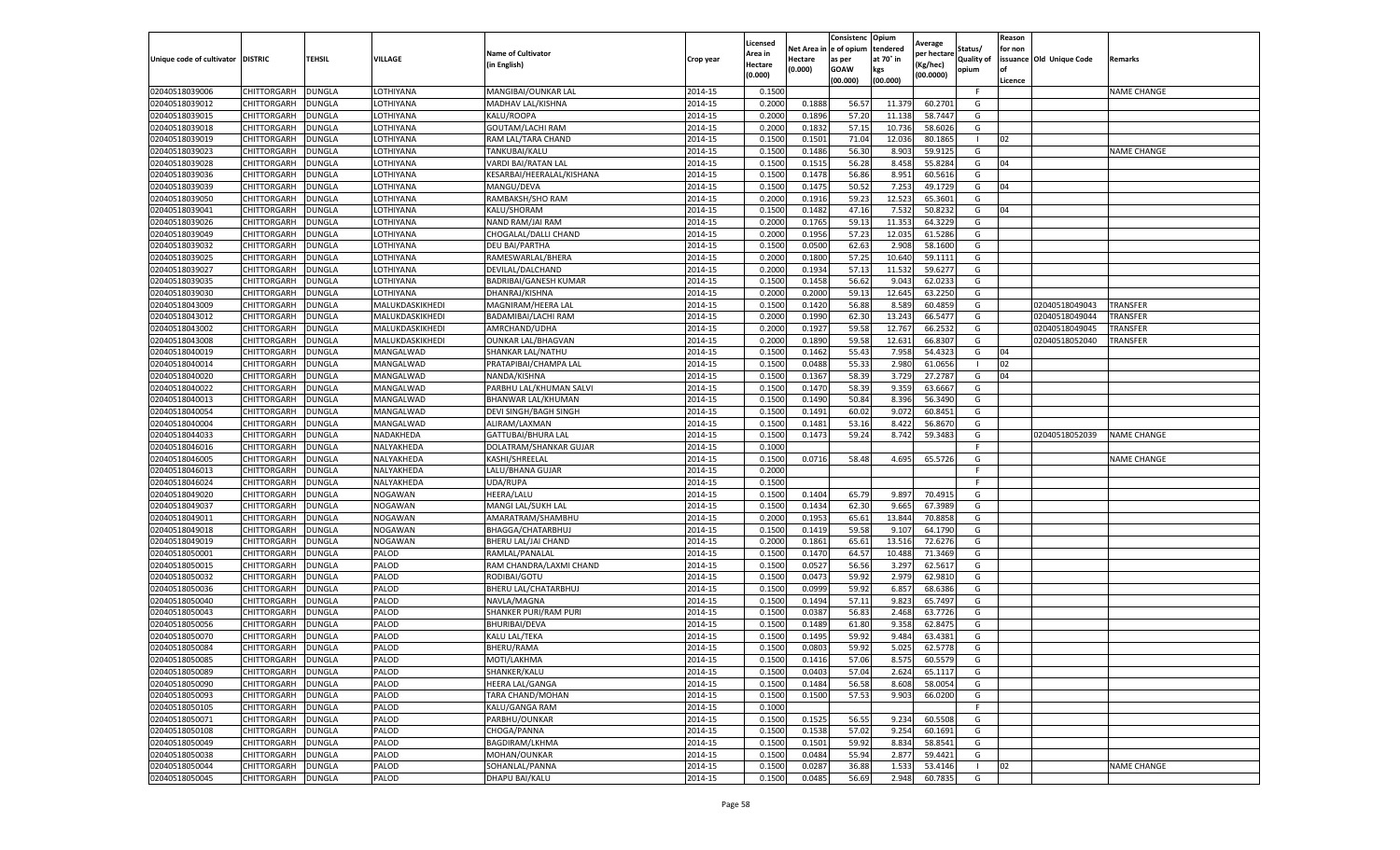|                                   |                            |                                |                        |                                               |                    | Licensed                  | Net Area         | Consistenc<br>e of opium | Opium<br>tendered | Average               | Status/           | Reason<br>for non |                          |                    |
|-----------------------------------|----------------------------|--------------------------------|------------------------|-----------------------------------------------|--------------------|---------------------------|------------------|--------------------------|-------------------|-----------------------|-------------------|-------------------|--------------------------|--------------------|
| Unique code of cultivator DISTRIC |                            | <b>TEHSIL</b>                  | VILLAGE                | <b>Name of Cultivator</b>                     | Crop year          | Area in                   | Hectare          | as per                   | at 70° in         | per hectarı           | <b>Quality of</b> |                   | issuance Old Unique Code | Remarks            |
|                                   |                            |                                |                        | (in English)                                  |                    | <b>Hectare</b><br>(0.000) | (0.000)          | <b>GOAW</b>              | kgs               | (Kg/hec)<br>(00.0000) | opium             | of                |                          |                    |
|                                   |                            |                                | LOTHIYANA              |                                               |                    |                           |                  | (00.000)                 | (00.000)          |                       | F                 | Licence           |                          | <b>NAME CHANGE</b> |
| 02040518039006<br>02040518039012  | CHITTORGARH<br>CHITTORGARH | <b>DUNGLA</b><br><b>DUNGLA</b> | LOTHIYANA              | MANGIBAI/OUNKAR LAL<br>MADHAV LAL/KISHNA      | 2014-15<br>2014-15 | 0.1500<br>0.2000          | 0.1888           | 56.57                    | 11.379            | 60.2701               | G                 |                   |                          |                    |
| 02040518039015                    | CHITTORGARH                | <b>DUNGLA</b>                  | LOTHIYANA              | KALU/ROOPA                                    | 2014-15            | 0.2000                    | 0.1896           | 57.20                    | 11.138            | 58.7447               | G                 |                   |                          |                    |
| 02040518039018                    | CHITTORGARH                | <b>DUNGLA</b>                  | LOTHIYANA              | <b>GOUTAM/LACHI RAM</b>                       | 2014-15            | 0.2000                    | 0.1832           | 57.15                    | 10.736            | 58.6026               | G                 |                   |                          |                    |
| 02040518039019                    | CHITTORGARH                | <b>DUNGLA</b>                  | OTHIYANA.              | RAM LAL/TARA CHAND                            | 2014-15            | 0.1500                    | 0.1501           | 71.04                    | 12.036            | 80.1865               |                   | 02                |                          |                    |
| 02040518039023                    | CHITTORGARH                | DUNGLA                         | LOTHIYANA              | TANKUBAI/KALU                                 | 2014-15            | 0.1500                    | 0.1486           | 56.30                    | 8.903             | 59.9125               | G                 |                   |                          | <b>NAME CHANGE</b> |
| 02040518039028                    | CHITTORGARH                | <b>DUNGLA</b>                  | LOTHIYANA              | VARDI BAI/RATAN LAL                           | 2014-15            | 0.1500                    | 0.1515           | 56.28                    | 8.458             | 55.8284               | G                 | 04                |                          |                    |
| 02040518039036                    | CHITTORGARH                | <b>DUNGLA</b>                  | LOTHIYANA              | KESARBAI/HEERALAL/KISHANA                     | 2014-15            | 0.1500                    | 0.1478           | 56.86                    | 8.951             | 60.5616               | G                 |                   |                          |                    |
| 02040518039039                    | CHITTORGARH                | <b>DUNGLA</b>                  | LOTHIYANA              | MANGU/DEVA                                    | 2014-15            | 0.1500                    | 0.1475           | 50.52                    | 7.253             | 49.1729               | G                 | 04                |                          |                    |
| 02040518039050                    | CHITTORGARH                | <b>DUNGLA</b>                  | LOTHIYANA              | RAMBAKSH/SHO RAM                              | 2014-15            | 0.2000                    | 0.1916           | 59.23                    | 12.523            | 65.3601               | G                 |                   |                          |                    |
| 02040518039041                    | CHITTORGARH                | <b>DUNGLA</b>                  | OTHIYANA.              | KALU/SHORAM                                   | 2014-15            | 0.1500                    | 0.1482           | 47.16                    | 7.532             | 50.8232               | G                 | 04                |                          |                    |
| 02040518039026                    | CHITTORGARH                | DUNGLA                         | LOTHIYANA              | NAND RAM/JAI RAM                              | 2014-15            | 0.2000                    | 0.1765           | 59.13                    | 11.353            | 64.3229               | G                 |                   |                          |                    |
| 02040518039049                    | CHITTORGARH                | DUNGLA                         | LOTHIYANA              | CHOGALAL/DALLI CHAND                          | 2014-15            | 0.2000                    | 0.1956           | 57.23                    | 12.035            | 61.5286               | G                 |                   |                          |                    |
| 02040518039032                    | CHITTORGARH                | <b>DUNGLA</b>                  | LOTHIYANA              | <b>DEU BAI/PARTHA</b>                         | 2014-15            | 0.1500                    | 0.0500           | 62.63                    | 2.908             | 58.1600               | G                 |                   |                          |                    |
| 02040518039025                    | CHITTORGARH                | <b>DUNGLA</b>                  | LOTHIYANA              | RAMESWARLAL/BHERA                             | 2014-15            | 0.2000                    | 0.1800           | 57.25                    | 10.640            | 59.1111               | G                 |                   |                          |                    |
| 02040518039027                    | CHITTORGARH                | <b>DUNGLA</b>                  | LOTHIYANA              | DEVILAL/DALCHAND                              | 2014-15            | 0.2000                    | 0.1934           | 57.13                    | 11.532            | 59.6277               | G                 |                   |                          |                    |
| 02040518039035                    | CHITTORGARH                | <b>DUNGLA</b>                  | OTHIYANA.              | BADRIBAI/GANESH KUMAR                         | 2014-15            | 0.1500                    | 0.1458           | 56.62                    | 9.043             | 62.0233               | G                 |                   |                          |                    |
| 02040518039030                    | CHITTORGARH                | DUNGLA                         | LOTHIYANA              | DHANRAJ/KISHNA                                | 2014-15            | 0.2000                    | 0.2000           | 59.13                    | 12.645            | 63.2250               | G                 |                   |                          |                    |
| 02040518043009                    | CHITTORGARH                | <b>DUNGLA</b>                  | MALUKDASKIKHEDI        | MAGNIRAM/HEERA LAL                            | 2014-15            | 0.1500                    | 0.1420           | 56.88                    | 8.589             | 60.4859               | G                 |                   | 02040518049043           | TRANSFER           |
| 02040518043012                    | CHITTORGARH                | DUNGLA                         | MALUKDASKIKHEDI        | BADAMIBAI/LACHI RAM                           | 2014-15            | 0.2000                    | 0.1990           | 62.30                    | 13.243            | 66.5477               | G                 |                   | 02040518049044           | TRANSFER           |
| 02040518043002                    | CHITTORGARH                | <b>DUNGLA</b>                  | MALUKDASKIKHEDI        | AMRCHAND/UDHA                                 | 2014-15            | 0.2000                    | 0.1927           | 59.58                    | 12.767            | 66.2532               | G                 |                   | 02040518049045           | TRANSFER           |
| 02040518043008                    | CHITTORGARH                | <b>DUNGLA</b>                  | MALUKDASKIKHEDI        | <b>OUNKAR LAL/BHAGVAN</b>                     | 2014-15            | 0.2000                    | 0.1890           | 59.58                    | 12.631            | 66.8307               | G                 |                   | 02040518052040           | TRANSFER           |
| 02040518040019                    | CHITTORGARH                | <b>DUNGLA</b>                  | MANGALWAD              | SHANKAR LAL/NATHU                             | 2014-15            | 0.1500                    | 0.1462           | 55.43                    | 7.958             | 54.4323               | G                 | 04                |                          |                    |
| 02040518040014                    | CHITTORGARH                | DUNGLA                         | MANGALWAD              | PRATAPIBAI/CHAMPA LAL                         | 2014-15            | 0.1500                    | 0.0488           | 55.33                    | 2.980             | 61.0656               |                   | 02<br>04          |                          |                    |
| 02040518040020                    | CHITTORGARH                | <b>DUNGLA</b>                  | MANGALWAD              | NANDA/KISHNA                                  | 2014-15            | 0.1500                    | 0.1367           | 58.39                    | 3.729             | 27.2787<br>63.6667    | G                 |                   |                          |                    |
| 02040518040022<br>02040518040013  | CHITTORGARH                | <b>DUNGLA</b><br><b>DUNGLA</b> | MANGALWAD<br>MANGALWAD | PARBHU LAL/KHUMAN SALVI<br>BHANWAR LAL/KHUMAN | 2014-15<br>2014-15 | 0.1500<br>0.1500          | 0.1470<br>0.1490 | 58.39<br>50.84           | 9.359<br>8.396    | 56.3490               | G<br>G            |                   |                          |                    |
| 02040518040054                    | CHITTORGARH<br>CHITTORGARH | <b>DUNGLA</b>                  | MANGALWAD              | DEVI SINGH/BAGH SINGH                         | 2014-15            | 0.1500                    | 0.1491           | 60.02                    | 9.072             | 60.8451               | G                 |                   |                          |                    |
| 02040518040004                    | CHITTORGARH                | <b>DUNGLA</b>                  | MANGALWAD              | ALIRAM/LAXMAN                                 | 2014-15            | 0.1500                    | 0.1481           | 53.16                    | 8.422             | 56.8670               | G                 |                   |                          |                    |
| 02040518044033                    | CHITTORGARH                | <b>DUNGLA</b>                  | NADAKHEDA              | GATTUBAI/BHURA LAL                            | 2014-15            | 0.1500                    | 0.1473           | 59.24                    | 8.742             | 59.3483               | G                 |                   | 02040518052039           | <b>NAME CHANGE</b> |
| 02040518046016                    | CHITTORGARH                | <b>DUNGLA</b>                  | NALYAKHEDA             | DOLATRAM/SHANKAR GUJAR                        | 2014-15            | 0.1000                    |                  |                          |                   |                       |                   |                   |                          |                    |
| 02040518046005                    | CHITTORGARH                | <b>DUNGLA</b>                  | NALYAKHEDA             | KASHI/SHREELAL                                | 2014-15            | 0.1500                    | 0.0716           | 58.48                    | 4.695             | 65.5726               | G                 |                   |                          | <b>NAME CHANGE</b> |
| 02040518046013                    | CHITTORGARH                | <b>DUNGLA</b>                  | NALYAKHEDA             | LALU/BHANA GUJAR                              | 2014-15            | 0.2000                    |                  |                          |                   |                       | F.                |                   |                          |                    |
| 02040518046024                    | CHITTORGARH                | <b>DUNGLA</b>                  | NALYAKHEDA             | UDA/RUPA                                      | 2014-15            | 0.1500                    |                  |                          |                   |                       | F                 |                   |                          |                    |
| 02040518049020                    | CHITTORGARH                | <b>DUNGLA</b>                  | NOGAWAN                | HEERA/LALU                                    | 2014-15            | 0.1500                    | 0.1404           | 65.79                    | 9.897             | 70.491                | G                 |                   |                          |                    |
| 02040518049037                    | CHITTORGARH                | DUNGLA                         | NOGAWAN                | MANGI LAL/SUKH LAL                            | 2014-15            | 0.1500                    | 0.1434           | 62.30                    | 9.665             | 67.3989               | G                 |                   |                          |                    |
| 02040518049011                    | CHITTORGARH                | DUNGLA                         | NOGAWAN                | AMARATRAM/SHAMBHU                             | 2014-15            | 0.2000                    | 0.1953           | 65.61                    | 13.844            | 70.8858               | G                 |                   |                          |                    |
| 02040518049018                    | CHITTORGARH                | <b>DUNGLA</b>                  | <b>NOGAWAN</b>         | BHAGGA/CHATARBHUJ                             | 2014-15            | 0.1500                    | 0.1419           | 59.58                    | 9.107             | 64.1790               | G                 |                   |                          |                    |
| 02040518049019                    | CHITTORGARH                | DUNGLA                         | NOGAWAN                | BHERU LAL/JAI CHAND                           | 2014-15            | 0.2000                    | 0.1861           | 65.61                    | 13.516            | 72.6276               | G                 |                   |                          |                    |
| 02040518050001                    | CHITTORGARH                | <b>DUNGLA</b>                  | PALOD                  | RAMLAL/PANALAL                                | 2014-15            | 0.1500                    | 0.1470           | 64.57                    | 10.488            | 71.3469               | G                 |                   |                          |                    |
| 02040518050015                    | CHITTORGARH                | <b>DUNGLA</b>                  | PALOD                  | RAM CHANDRA/LAXMI CHAND                       | 2014-15            | 0.1500                    | 0.0527           | 56.56                    | 3.297             | 62.5617               | G                 |                   |                          |                    |
| 02040518050032                    | CHITTORGARH                | <b>DUNGLA</b>                  | PALOD                  | RODIBAI/GOTU                                  | 2014-15            | 0.1500                    | 0.0473           | 59.92                    | 2.979             | 62.9810               | G                 |                   |                          |                    |
| 02040518050036                    | CHITTORGARH                | DUNGLA                         | PALOD                  | BHERU LAL/CHATARBHUJ                          | 2014-15            | 0.1500                    | 0.0999           | 59.92                    | 6.857             | 68.6386               | G                 |                   |                          |                    |
| 02040518050040                    | CHITTORGARH                | DUNGLA                         | PALOD                  | NAVLA/MAGNA                                   | 2014-15            | 0.1500                    | 0.1494           | 57.11                    | 9.823             | 65.7497               | G                 |                   |                          |                    |
| 02040518050043                    | CHITTORGARH                | <b>DUNGLA</b>                  | PALOD                  | SHANKER PURI/RAM PURI                         | 2014-15            | 0.1500                    | 0.0387           | 56.83                    | 2.468             | 63.7726               | G                 |                   |                          |                    |
| 02040518050056                    | CHITTORGARH                | DUNGLA                         | PALOD                  | <b>BHURIBAI/DEVA</b>                          | 2014-15            | 0.1500                    | 0.1489           | 61.80                    | 9.358             | 62.8475               | G                 |                   |                          |                    |
| 02040518050070                    | CHITTORGARH                | <b>DUNGLA</b>                  | PALOD                  | KALU LAL/TEKA                                 | 2014-15            | 0.1500                    | 0.1495           | 59.92                    | 9.484             | 63.4381               | G                 |                   |                          |                    |
| 02040518050084                    | CHITTORGARH                | <b>DUNGLA</b>                  | PALOD                  | <b>BHERU/RAMA</b>                             | 2014-15            | 0.1500                    | 0.0803           | 59.92                    | 5.025             | 62.5778               | G                 |                   |                          |                    |
| 02040518050085                    | CHITTORGARH                | DUNGLA                         | PALOD<br>PALOD         | MOTI/LAKHMA                                   | 2014-15            | 0.1500<br>0.1500          | 0.1416           | 57.06                    | 8.575<br>2.624    | 60.5579               | G                 |                   |                          |                    |
| 02040518050089<br>02040518050090  | CHITTORGARH                | <b>DUNGLA</b>                  |                        | SHANKER/KALU<br><b>HEERA LAL/GANGA</b>        | 2014-15            |                           | 0.0403           | 57.04                    | 8.608             | 65.1117               | G                 |                   |                          |                    |
| 02040518050093                    | CHITTORGARH<br>CHITTORGARH | <b>DUNGLA</b><br><b>DUNGLA</b> | PALOD<br>PALOD         | TARA CHAND/MOHAN                              | 2014-15<br>2014-15 | 0.1500<br>0.1500          | 0.1484<br>0.1500 | 56.58<br>57.53           | 9.903             | 58.0054<br>66.0200    | G<br>G            |                   |                          |                    |
| 02040518050105                    | CHITTORGARH                | <b>DUNGLA</b>                  | PALOD                  | KALU/GANGA RAM                                | 2014-15            | 0.1000                    |                  |                          |                   |                       | F                 |                   |                          |                    |
| 02040518050071                    | CHITTORGARH                | <b>DUNGLA</b>                  | PALOD                  | PARBHU/OUNKAR                                 | 2014-15            | 0.1500                    | 0.1525           | 56.55                    | 9.234             | 60.5508               | G                 |                   |                          |                    |
| 02040518050108                    | CHITTORGARH                | <b>DUNGLA</b>                  | PALOD                  | CHOGA/PANNA                                   | 2014-15            | 0.1500                    | 0.1538           | 57.02                    | 9.254             | 60.1691               | G                 |                   |                          |                    |
| 02040518050049                    | CHITTORGARH                | <b>DUNGLA</b>                  | PALOD                  | <b>BAGDIRAM/LKHMA</b>                         | 2014-15            | 0.1500                    | 0.1501           | 59.92                    | 8.834             | 58.8541               | G                 |                   |                          |                    |
| 02040518050038                    | CHITTORGARH                | <b>DUNGLA</b>                  | PALOD                  | MOHAN/OUNKAR                                  | 2014-15            | 0.1500                    | 0.0484           | 55.94                    | 2.877             | 59.4421               | G                 |                   |                          |                    |
| 02040518050044                    | CHITTORGARH                | <b>DUNGLA</b>                  | PALOD                  | SOHANLAL/PANNA                                | 2014-15            | 0.1500                    | 0.0287           | 36.88                    | 1.533             | 53.4146               | $\mathbf{I}$      | 02                |                          | <b>NAME CHANGE</b> |
| 02040518050045                    | CHITTORGARH                | <b>DUNGLA</b>                  | PALOD                  | DHAPU BAI/KALU                                | 2014-15            | 0.1500                    | 0.0485           | 56.69                    | 2.948             | 60.7835               | G                 |                   |                          |                    |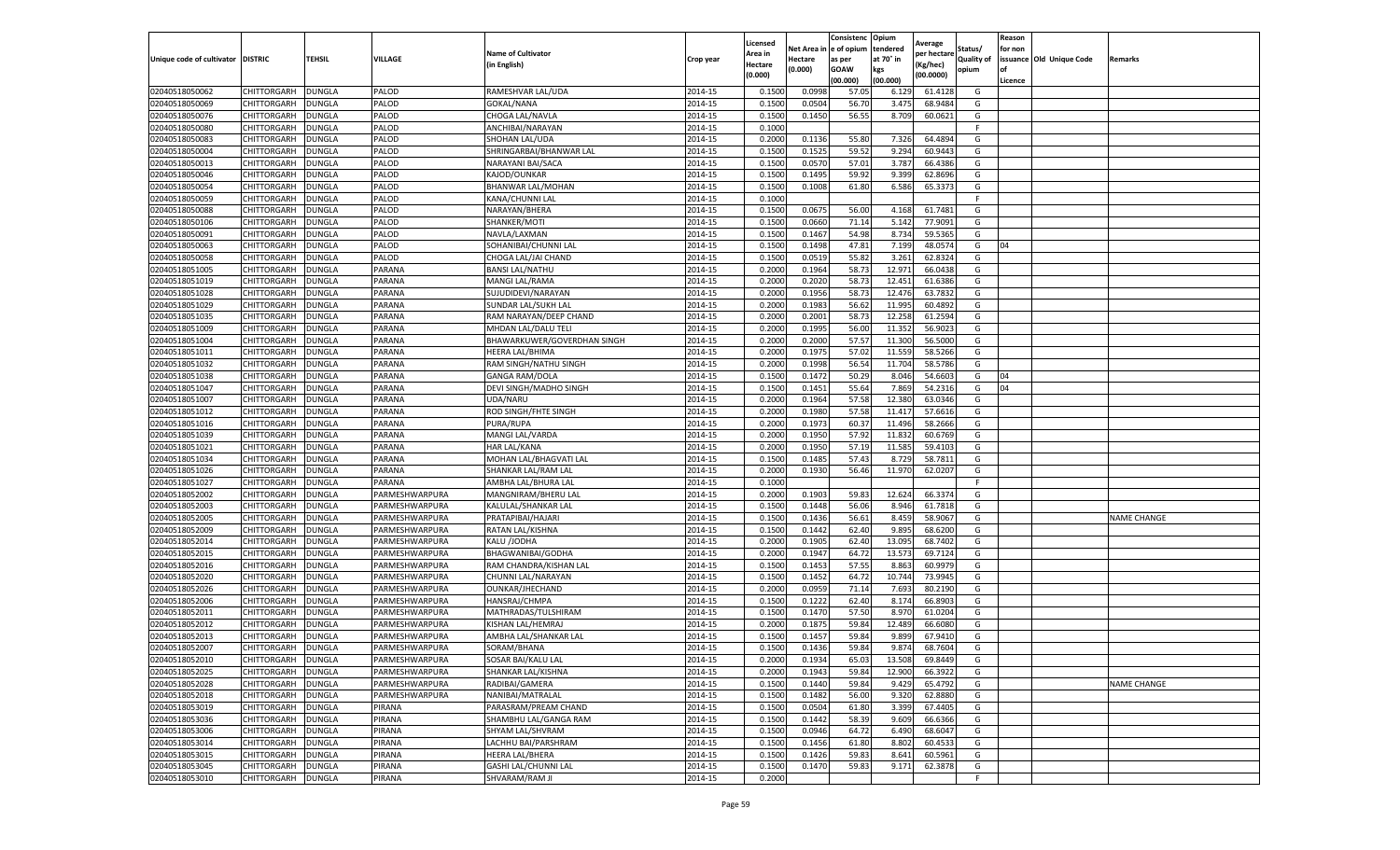|                                   |                            |                         |                |                                           |                    | Licensed         |                  | Consistenc     | Opium          | Average           |                   | Reason  |                          |                    |
|-----------------------------------|----------------------------|-------------------------|----------------|-------------------------------------------|--------------------|------------------|------------------|----------------|----------------|-------------------|-------------------|---------|--------------------------|--------------------|
|                                   |                            |                         |                | <b>Name of Cultivator</b>                 |                    | Area in          | Net Area i       | e of opium     | tendered       | per hectare       | Status/           | for non |                          |                    |
| Unique code of cultivator DISTRIC |                            | TEHSIL                  | VILLAGE        | (in English)                              | Crop year          | Hectare          | Hectare          | as per         | at 70° in      | (Kg/hec)          | <b>Quality of</b> |         | issuance Old Unique Code | Remarks            |
|                                   |                            |                         |                |                                           |                    | (0.000)          | (0.000)          | <b>GOAW</b>    | kgs            | (00.0000)         | opium             | οf      |                          |                    |
|                                   |                            |                         |                |                                           |                    |                  |                  | (00.000)       | (00.000)       |                   |                   | Licence |                          |                    |
| 02040518050062                    | CHITTORGARH                | <b>DUNGLA</b>           | PALOD          | RAMESHVAR LAL/UDA                         | 2014-15            | 0.1500           | 0.0998           | 57.05          | 6.129          | 61.4128           | G                 |         |                          |                    |
| 02040518050069                    | CHITTORGARH                | <b>DUNGLA</b>           | PALOD          | <b>GOKAL/NANA</b>                         | 2014-15            | 0.1500           | 0.0504           | 56.70          | 3.475          | 68.9484           | G                 |         |                          |                    |
| 02040518050076                    | CHITTORGARH<br>CHITTORGARH | <b>DUNGLA</b>           | PALOD          | CHOGA LAL/NAVLA                           | 2014-15            | 0.1500           | 0.1450           | 56.55          | 8.709          | 60.0621           | G                 |         |                          |                    |
| 02040518050080                    |                            | <b>DUNGLA</b>           | PALOD          | ANCHIBAI/NARAYAN                          | 2014-15            | 0.1000           |                  |                |                |                   | F.                |         |                          |                    |
| 02040518050083<br>02040518050004  | CHITTORGARH<br>CHITTORGARH | <b>DUNGLA</b>           | PALOD<br>PALOD | SHOHAN LAL/UDA<br>SHRINGARBAI/BHANWAR LAL | 2014-15<br>2014-15 | 0.2000<br>0.1500 | 0.1136<br>0.1525 | 55.80<br>59.52 | 7.326<br>9.294 | 64.489<br>60.9443 | G<br>G            |         |                          |                    |
| 02040518050013                    | CHITTORGARH                | DUNGLA<br><b>DUNGLA</b> | PALOD          | NARAYANI BAI/SACA                         | 2014-15            | 0.1500           | 0.0570           | 57.01          | 3.787          | 66.4386           | G                 |         |                          |                    |
| 02040518050046                    |                            |                         | PALOD          |                                           | 2014-15            | 0.1500           | 0.1495           | 59.92          | 9.399          | 62.8696           |                   |         |                          |                    |
| 02040518050054                    | CHITTORGARH                | DUNGLA<br><b>DUNGLA</b> | PALOD          | KAJOD/OUNKAR                              | 2014-15            | 0.1500           | 0.1008           | 61.80          | 6.586          | 65.3373           | G<br>G            |         |                          |                    |
| 02040518050059                    | CHITTORGARH<br>CHITTORGARH | <b>DUNGLA</b>           | PALOD          | BHANWAR LAL/MOHAN<br>KANA/CHUNNI LAL      | 2014-15            | 0.1000           |                  |                |                |                   | F.                |         |                          |                    |
| 02040518050088                    | CHITTORGARH                | <b>DUNGLA</b>           | PALOD          | NARAYAN/BHERA                             | 2014-15            | 0.1500           | 0.067            | 56.00          | 4.168          | 61.7481           | G                 |         |                          |                    |
| 02040518050106                    | CHITTORGARH                | <b>DUNGLA</b>           | PALOD          | SHANKER/MOTI                              | 2014-15            | 0.1500           | 0.0660           | 71.14          | 5.142          | 77.9091           | G                 |         |                          |                    |
| 02040518050091                    | CHITTORGARH                | <b>DUNGLA</b>           | PALOD          | NAVLA/LAXMAN                              | 2014-15            | 0.1500           | 0.1467           | 54.98          | 8.734          | 59.5365           | G                 |         |                          |                    |
| 02040518050063                    | CHITTORGARH                | <b>DUNGLA</b>           | PALOD          | SOHANIBAI/CHUNNI LAL                      | 2014-15            | 0.1500           | 0.1498           | 47.81          | 7.199          | 48.057            | G                 | 04      |                          |                    |
| 02040518050058                    | CHITTORGARH                | <b>DUNGLA</b>           | PALOD          | CHOGA LAL/JAI CHAND                       | 2014-15            | 0.1500           | 0.0519           | 55.82          | 3.261          | 62.8324           | G                 |         |                          |                    |
| 02040518051005                    | CHITTORGARH                | <b>DUNGLA</b>           | PARANA         | <b>BANSI LAL/NATHU</b>                    | 2014-15            | 0.2000           | 0.1964           | 58.73          | 12.971         | 66.0438           | G                 |         |                          |                    |
| 02040518051019                    | CHITTORGARH                | <b>DUNGLA</b>           | PARANA         | MANGI LAL/RAMA                            | 2014-15            | 0.2000           | 0.2020           | 58.73          | 12.451         | 61.6386           | G                 |         |                          |                    |
| 02040518051028                    | CHITTORGARH                | <b>DUNGLA</b>           | PARANA         | SUJUDIDEVI/NARAYAN                        | 2014-15            | 0.2000           | 0.1956           | 58.73          | 12.476         | 63.7832           | G                 |         |                          |                    |
| 02040518051029                    | CHITTORGARH                | DUNGLA                  | PARANA         | SUNDAR LAL/SUKH LAL                       | 2014-15            | 0.2000           | 0.1983           | 56.62          | 11.995         | 60.4892           | G                 |         |                          |                    |
| 02040518051035                    | CHITTORGARH                | DUNGLA                  | PARANA         | RAM NARAYAN/DEEP CHAND                    | 2014-15            | 0.2000           | 0.2001           | 58.73          | 12.258         | 61.2594           | G                 |         |                          |                    |
| 02040518051009                    | CHITTORGARH                | <b>DUNGLA</b>           | PARANA         | MHDAN LAL/DALU TELI                       | 2014-15            | 0.2000           | 0.1995           | 56.00          | 11.352         | 56.9023           | G                 |         |                          |                    |
| 02040518051004                    | CHITTORGARH                | <b>DUNGLA</b>           | PARANA         | BHAWARKUWER/GOVERDHAN SINGH               | 2014-15            | 0.2000           | 0.2000           | 57.57          | 11.300         | 56.5000           | G                 |         |                          |                    |
| 02040518051011                    | CHITTORGARH                | <b>DUNGLA</b>           | PARANA         | HEERA LAL/BHIMA                           | 2014-15            | 0.2000           | 0.1975           | 57.02          | 11.559         | 58.5266           | G                 |         |                          |                    |
| 02040518051032                    | CHITTORGARH                | <b>DUNGLA</b>           | PARANA         | RAM SINGH/NATHU SINGH                     | 2014-15            | 0.2000           | 0.1998           | 56.54          | 11.704         | 58.5786           | G                 |         |                          |                    |
| 02040518051038                    | CHITTORGARH                | DUNGLA                  | PARANA         | <b>GANGA RAM/DOLA</b>                     | 2014-15            | 0.1500           | 0.1472           | 50.29          | 8.046          | 54.6603           | G                 | 04      |                          |                    |
| 02040518051047                    | CHITTORGARH                | <b>DUNGLA</b>           | PARANA         | DEVI SINGH/MADHO SINGH                    | 2014-15            | 0.1500           | 0.1451           | 55.64          | 7.869          | 54.2316           | G                 | 04      |                          |                    |
| 02040518051007                    | CHITTORGARH                | <b>DUNGLA</b>           | PARANA         | UDA/NARU                                  | 2014-15            | 0.2000           | 0.1964           | 57.58          | 12.380         | 63.0346           | G                 |         |                          |                    |
| 02040518051012                    | CHITTORGARH                | <b>DUNGLA</b>           | PARANA         | ROD SINGH/FHTE SINGH                      | 2014-15            | 0.2000           | 0.1980           | 57.58          | 11.417         | 57.6616           | G                 |         |                          |                    |
| 02040518051016                    | CHITTORGARH                | <b>DUNGLA</b>           | PARANA         | PURA/RUPA                                 | 2014-15            | 0.2000           | 0.1973           | 60.37          | 11.496         | 58.2666           | G                 |         |                          |                    |
| 02040518051039                    | CHITTORGARH                | <b>DUNGLA</b>           | PARANA         | MANGI LAL/VARDA                           | 2014-15            | 0.2000           | 0.1950           | 57.92          | 11.832         | 60.6769           | G                 |         |                          |                    |
| 02040518051021                    | CHITTORGARH                | DUNGLA                  | PARANA         | HAR LAL/KANA                              | 2014-15            | 0.2000           | 0.1950           | 57.19          | 11.585         | 59.410            | G                 |         |                          |                    |
| 02040518051034                    | CHITTORGARH                | <b>DUNGLA</b>           | PARANA         | MOHAN LAL/BHAGVATI LAL                    | 2014-15            | 0.1500           | 0.1485           | 57.43          | 8.729          | 58.7811           | G                 |         |                          |                    |
| 02040518051026                    | CHITTORGARH                | <b>DUNGLA</b>           | PARANA         | SHANKAR LAL/RAM LAL                       | 2014-15            | 0.2000           | 0.1930           | 56.46          | 11.970         | 62.0207           | G                 |         |                          |                    |
| 02040518051027                    | CHITTORGARH                | <b>DUNGLA</b>           | PARANA         | AMBHA LAL/BHURA LAL                       | 2014-15            | 0.1000           |                  |                |                |                   | F.                |         |                          |                    |
| 02040518052002                    | CHITTORGARH                | <b>DUNGLA</b>           | PARMESHWARPURA | MANGNIRAM/BHERU LAL                       | 2014-15            | 0.2000           | 0.1903           | 59.83          | 12.624         | 66.3374           | G                 |         |                          |                    |
| 02040518052003                    | CHITTORGARH                | <b>DUNGLA</b>           | PARMESHWARPURA | KALULAL/SHANKAR LAL                       | 2014-15            | 0.1500           | 0.1448           | 56.06          | 8.946          | 61.7818           | G                 |         |                          |                    |
| 02040518052005                    | CHITTORGARH                | <b>DUNGLA</b>           | PARMESHWARPURA | PRATAPIBAI/HAJARI                         | 2014-15            | 0.1500           | 0.1436           | 56.61          | 8.459          | 58.9067           | G                 |         |                          | <b>NAME CHANGE</b> |
| 02040518052009                    | CHITTORGARH                | DUNGLA                  | PARMESHWARPURA | RATAN LAL/KISHNA                          | 2014-15            | 0.1500           | 0.1442           | 62.40          | 9.895          | 68.6200           | G                 |         |                          |                    |
| 02040518052014                    | CHITTORGARH                | <b>DUNGLA</b>           | PARMESHWARPURA | KALU /JODHA                               | 2014-15            | 0.2000           | 0.1905           | 62.40          | 13.095         | 68.7402           | G                 |         |                          |                    |
| 02040518052015                    | CHITTORGARH                | <b>DUNGLA</b>           | PARMESHWARPURA | BHAGWANIBAI/GODHA                         | 2014-15            | 0.2000           | 0.1947           | 64.72          | 13.573         | 69.7124           | G                 |         |                          |                    |
| 02040518052016                    | CHITTORGARH                | <b>DUNGLA</b>           | PARMESHWARPURA | RAM CHANDRA/KISHAN LAL                    | 2014-15            | 0.1500           | 0.1453           | 57.55          | 8.863          | 60.997            | G                 |         |                          |                    |
| 02040518052020                    | CHITTORGARH                | <b>DUNGLA</b>           | PARMESHWARPURA | CHUNNI LAL/NARAYAN                        | 2014-15            | 0.1500           | 0.1452           | 64.72          | 10.744         | 73.9945           | G                 |         |                          |                    |
| 02040518052026                    | CHITTORGARH                | <b>DUNGLA</b>           | PARMESHWARPURA | OUNKAR/JHECHAND                           | 2014-15            | 0.2000           | 0.0959           | 71.14          | 7.693          | 80.2190           | G                 |         |                          |                    |
| 02040518052006                    | CHITTORGARH                | <b>DUNGLA</b>           | PARMESHWARPURA | HANSRAJ/CHMPA                             | 2014-15            | 0.1500           | 0.1222           | 62.40          | 8.174          | 66.890            | G                 |         |                          |                    |
| 02040518052011                    | CHITTORGARH                | <b>DUNGLA</b>           | PARMESHWARPURA | MATHRADAS/TULSHIRAM                       | 2014-15            | 0.1500           | 0.1470           | 57.50          | 8.970          | 61.0204           | G                 |         |                          |                    |
| 02040518052012                    | CHITTORGARH                | <b>DUNGLA</b>           | PARMESHWARPURA | KISHAN LAL/HEMRAJ                         | 2014-15            | 0.2000           | 0.187            | 59.84          | 12.489         | 66.6080           | G                 |         |                          |                    |
| 02040518052013                    | CHITTORGARH                | <b>DUNGLA</b>           | PARMESHWARPURA | AMBHA LAL/SHANKAR LAL                     | 2014-15            | 0.1500           | 0.1457           | 59.84          | 9.899          | 67.9410           | G                 |         |                          |                    |
| 02040518052007                    | CHITTORGARH                | <b>DUNGLA</b>           | PARMESHWARPURA | SORAM/BHANA                               | 2014-15            | 0.1500           | 0.1436           | 59.84          | 9.874          | 68.7604           | G                 |         |                          |                    |
| 02040518052010                    | <b>CHITTORGARH</b>         | <b>DUNGLA</b>           | PARMESHWARPURA | SOSAR BAI/KALU LAL                        | 2014-15            | 0.2000           | 0.1934           | 65.03          | 13.508         | 69.8449           | G                 |         |                          |                    |
| 02040518052025                    | CHITTORGARH                | <b>DUNGLA</b>           | PARMESHWARPURA | SHANKAR LAL/KISHNA                        | 2014-15            | 0.2000           | 0.1943           | 59.84          | 12.900         | 66.3922           | G                 |         |                          |                    |
| 02040518052028                    | CHITTORGARH                | <b>DUNGLA</b>           | PARMESHWARPURA | RADIBAI/GAMERA                            | 2014-15            | 0.1500           | 0.1440           | 59.84          | 9.429          | 65.4792           | G                 |         |                          | NAME CHANGE        |
| 02040518052018                    | CHITTORGARH                | <b>DUNGLA</b>           | PARMESHWARPURA | NANIBAI/MATRALAL                          | 2014-15            | 0.1500           | 0.1482           | 56.00          | 9.320          | 62.8880           | G                 |         |                          |                    |
| 02040518053019                    | CHITTORGARH                | <b>DUNGLA</b>           | PIRANA         | PARASRAM/PREAM CHAND                      | 2014-15            | 0.1500           | 0.0504           | 61.80          | 3.399          | 67.4405           | G                 |         |                          |                    |
| 02040518053036                    | CHITTORGARH                | <b>DUNGLA</b>           | PIRANA         | SHAMBHU LAL/GANGA RAM                     | 2014-15            | 0.1500           | 0.1442           | 58.39          | 9.609          | 66.6366           | G                 |         |                          |                    |
| 02040518053006                    | CHITTORGARH                | <b>DUNGLA</b>           | PIRANA         | SHYAM LAL/SHVRAM                          | 2014-15            | 0.1500           | 0.0946           | 64.72          | 6.490          | 68.6047           | G                 |         |                          |                    |
| 02040518053014                    | CHITTORGARH                | <b>DUNGLA</b>           | PIRANA         | LACHHU BAI/PARSHRAM                       | 2014-15            | 0.1500           | 0.1456           | 61.80          | 8.802          | 60.4533           | G                 |         |                          |                    |
| 02040518053015                    | CHITTORGARH                | <b>DUNGLA</b>           | PIRANA         | HEERA LAL/BHERA                           | 2014-15            | 0.1500           | 0.1426           | 59.83          | 8.641          | 60.5961           | G                 |         |                          |                    |
| 02040518053045                    | CHITTORGARH                | <b>DUNGLA</b>           | PIRANA         | GASHI LAL/CHUNNI LAL                      | 2014-15            | 0.1500           | 0.1470           | 59.83          | 9.171          | 62.3878           | G                 |         |                          |                    |
| 02040518053010                    | CHITTORGARH                | <b>DUNGLA</b>           | PIRANA         | SHVARAM/RAM JI                            | 2014-15            | 0.2000           |                  |                |                |                   | F.                |         |                          |                    |
|                                   |                            |                         |                |                                           |                    |                  |                  |                |                |                   |                   |         |                          |                    |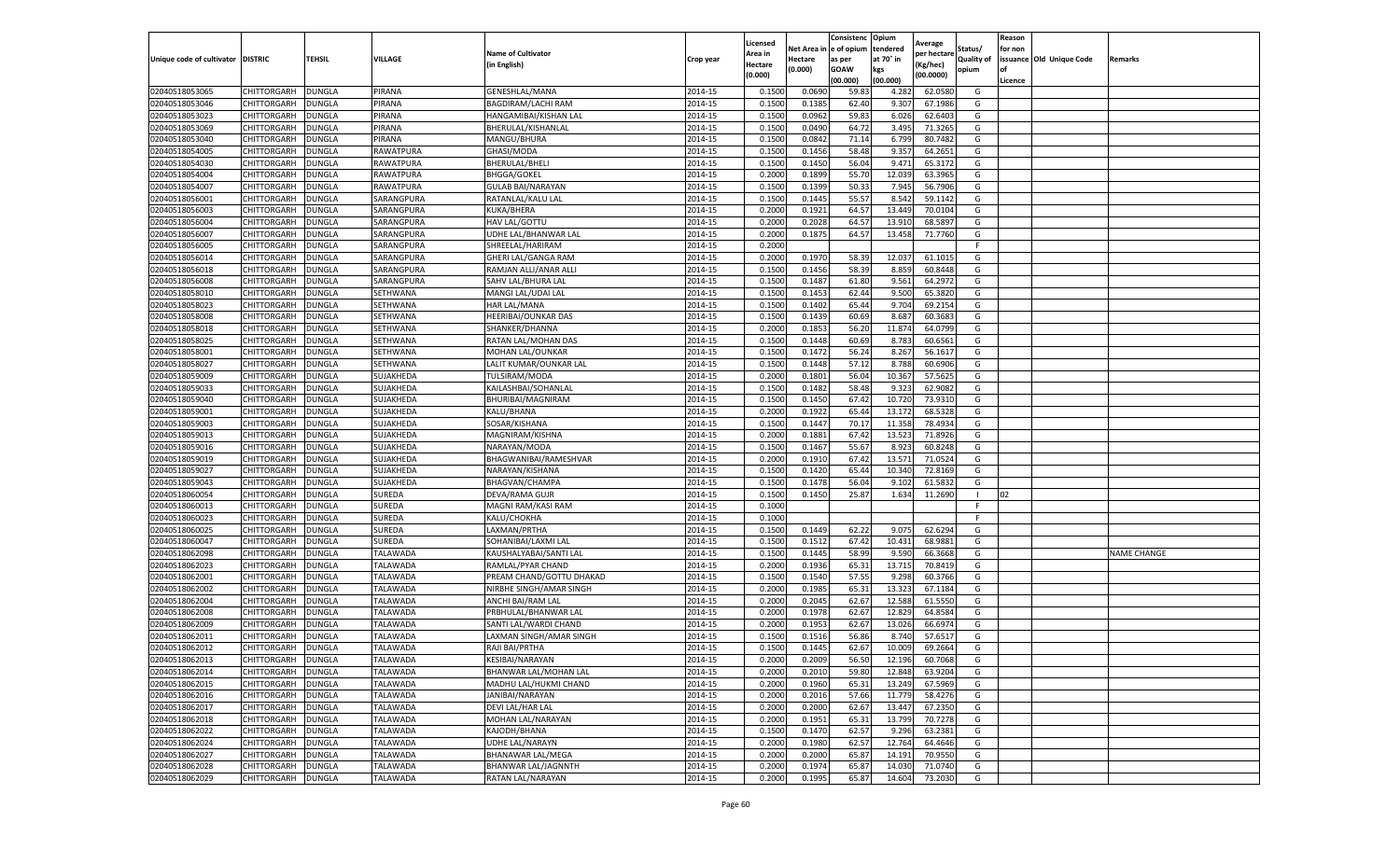|                           |                    |               |                 |                            |           | Licensed |         | Consistenc             | Opium     |                        |                   | Reason  |                          |                    |
|---------------------------|--------------------|---------------|-----------------|----------------------------|-----------|----------|---------|------------------------|-----------|------------------------|-------------------|---------|--------------------------|--------------------|
|                           |                    |               |                 | <b>Name of Cultivator</b>  |           | Area in  |         | Net Area in e of opium | tendered  | Average<br>per hectare | Status/           | for non |                          |                    |
| Unique code of cultivator | <b>DISTRIC</b>     | TEHSIL        | VILLAGE         | in English)                | Crop year | Hectare  | Hectare | as per                 | at 70° in | (Kg/hec                | <b>Quality of</b> |         | issuance Old Unique Code | <b>Remarks</b>     |
|                           |                    |               |                 |                            |           | (0.000)  | (0.000) | <b>GOAW</b>            | kgs       | (00.0000)              | opium             |         |                          |                    |
|                           |                    |               |                 |                            |           |          |         | (00.000)               | (00.000)  |                        |                   | Licence |                          |                    |
| 02040518053065            | CHITTORGARH        | <b>DUNGLA</b> | PIRANA          | GENESHLAL/MANA             | 2014-15   | 0.1500   | 0.0690  | 59.83                  | 4.282     | 62.0580                | G                 |         |                          |                    |
| 02040518053046            | CHITTORGARH        | DUNGLA        | PIRANA          | <b>BAGDIRAM/LACHI RAM</b>  | 2014-15   | 0.1500   | 0.1385  | 62.40                  | 9.307     | 67.1986                | G                 |         |                          |                    |
| 02040518053023            | CHITTORGARH        | DUNGLA        | PIRANA          | HANGAMIBAI/KISHAN LAL      | 2014-15   | 0.1500   | 0.0962  | 59.83                  | 6.026     | 62.6403                | G                 |         |                          |                    |
| 02040518053069            | CHITTORGARH        | <b>DUNGLA</b> | PIRANA          | BHERULAL/KISHANLAL         | 2014-15   | 0.1500   | 0.0490  | 64.72                  | 3.495     | 71.3265                | G                 |         |                          |                    |
| 02040518053040            | CHITTORGARH        | <b>DUNGLA</b> | PIRANA          | MANGU/BHURA                | 2014-15   | 0.1500   | 0.0842  | 71.14                  | 6.799     | 80.7482                | G                 |         |                          |                    |
| 02040518054005            | CHITTORGARH        | DUNGLA        | RAWATPURA       | GHASI/MODA                 | 2014-15   | 0.1500   | 0.1456  | 58.48                  | 9.357     | 64.2651                | G                 |         |                          |                    |
| 02040518054030            | CHITTORGARH        | DUNGLA        | RAWATPURA       | BHERULAL/BHELI             | 2014-15   | 0.1500   | 0.1450  | 56.04                  | 9.471     | 65.3172                | G                 |         |                          |                    |
| 02040518054004            | CHITTORGARH        | DUNGLA        | RAWATPURA       | <b>BHGGA/GOKEL</b>         | 2014-15   | 0.2000   | 0.1899  | 55.70                  | 12.03     | 63.3965                | G                 |         |                          |                    |
| 02040518054007            | CHITTORGARH        | DUNGLA        | RAWATPURA       | <b>GULAB BAI/NARAYAN</b>   | 2014-15   | 0.1500   | 0.1399  | 50.33                  | 7.945     | 56.7906                | G                 |         |                          |                    |
| 02040518056001            | CHITTORGARH        | <b>DUNGLA</b> | SARANGPURA      | RATANLAL/KALU LAL          | 2014-15   | 0.1500   | 0.1445  | 55.57                  | 8.542     | 59.1142                | G                 |         |                          |                    |
| 02040518056003            | CHITTORGARH        | <b>DUNGLA</b> | SARANGPURA      | KUKA/BHERA                 | 2014-15   | 0.2000   | 0.1921  | 64.57                  | 13.449    | 70.0104                | G                 |         |                          |                    |
| 02040518056004            | CHITTORGARH        | DUNGLA        | SARANGPURA      | HAV LAL/GOTTU              | 2014-15   | 0.2000   | 0.2028  | 64.57                  | 13.91     | 68.5897                | G                 |         |                          |                    |
| 02040518056007            | CHITTORGARH        | DUNGLA        | SARANGPURA      | UDHE LAL/BHANWAR LAL       | 2014-15   | 0.2000   | 0.1875  | 64.57                  | 13.458    | 71.7760                | G                 |         |                          |                    |
| 02040518056005            | CHITTORGARH        | DUNGLA        | SARANGPURA      | SHREELAL/HARIRAM           | 2014-15   | 0.2000   |         |                        |           |                        | F                 |         |                          |                    |
| 02040518056014            | CHITTORGARH        | DUNGLA        | SARANGPURA      | GHERI LAL/GANGA RAM        | 2014-15   | 0.2000   | 0.1970  | 58.39                  | 12.037    | 61.1015                | G                 |         |                          |                    |
| 02040518056018            | CHITTORGARH        | <b>DUNGLA</b> | SARANGPURA      | RAMJAN ALLI/ANAR ALLI      | 2014-15   | 0.1500   | 0.1456  | 58.39                  | 8.859     | 60.8448                | G                 |         |                          |                    |
| 02040518056008            | CHITTORGARH        | <b>DUNGLA</b> | SARANGPURA      | SAHV LAL/BHURA LAL         | 2014-15   | 0.1500   | 0.1487  | 61.80                  | 9.561     | 64.2972                | G                 |         |                          |                    |
| 02040518058010            | CHITTORGARH        | <b>DUNGLA</b> | SETHWANA        | MANGI LAL/UDAI LAL         | 2014-15   | 0.1500   | 0.1453  | 62.44                  | 9.500     | 65.3820                | G                 |         |                          |                    |
| 02040518058023            | CHITTORGARH        | DUNGLA        | SETHWANA        | HAR LAL/MANA               | 2014-15   | 0.1500   | 0.1402  | 65.44                  | 9.704     | 69.2154                | G                 |         |                          |                    |
| 02040518058008            | CHITTORGARH        | DUNGLA        | SETHWANA        | HEERIBAI/OUNKAR DAS        | 2014-15   | 0.1500   | 0.1439  | 60.69                  | 8.687     | 60.3683                | G                 |         |                          |                    |
| 02040518058018            | CHITTORGARH        | <b>DUNGLA</b> | SETHWANA        | SHANKER/DHANNA             | 2014-15   | 0.2000   | 0.1853  | 56.20                  | 11.874    | 64.0799                | G                 |         |                          |                    |
| 02040518058025            | CHITTORGARH        | DUNGLA        | SETHWANA        | RATAN LAL/MOHAN DAS        | 2014-15   | 0.1500   | 0.1448  | 60.69                  | 8.783     | 60.6561                | G                 |         |                          |                    |
| 02040518058001            | CHITTORGARH        | <b>DUNGLA</b> | SETHWANA        | MOHAN LAL/OUNKAR           | 2014-15   | 0.1500   | 0.1472  | 56.24                  | 8.267     | 56.1617                | G                 |         |                          |                    |
| 02040518058027            | CHITTORGARH        | DUNGLA        | SETHWANA        | LALIT KUMAR/OUNKAR LAL     | 2014-15   | 0.1500   | 0.1448  | 57.12                  | 8.788     | 60.6906                | G                 |         |                          |                    |
| 02040518059009            | CHITTORGARH        | DUNGLA        | SUJAKHEDA       | TULSIRAM/MODA              | 2014-15   | 0.2000   | 0.1801  | 56.04                  | 10.367    | 57.5625                | G                 |         |                          |                    |
| 02040518059033            | CHITTORGARH        | DUNGLA        | SUJAKHEDA       | KAILASHBAI/SOHANLAL        | 2014-15   | 0.1500   | 0.1482  | 58.48                  | 9.323     | 62.9082                | G                 |         |                          |                    |
| 02040518059040            | CHITTORGARH        | DUNGLA        | SUJAKHEDA       | BHURIBAI/MAGNIRAM          | 2014-15   | 0.1500   | 0.1450  | 67.42                  | 10.72     | 73.9310                | G                 |         |                          |                    |
| 02040518059001            | CHITTORGARH        | <b>DUNGLA</b> | SUJAKHEDA       | KALU/BHANA                 | 2014-15   | 0.2000   | 0.1922  | 65.44                  | 13.172    | 68.5328                | G                 |         |                          |                    |
| 02040518059003            | CHITTORGARH        | <b>DUNGLA</b> | SUJAKHEDA       | SOSAR/KISHANA              | 2014-15   | 0.1500   | 0.1447  | 70.17                  | 11.358    | 78.4934                | G                 |         |                          |                    |
| 02040518059013            | CHITTORGARH        | <b>DUNGLA</b> | SUJAKHEDA       | MAGNIRAM/KISHNA            | 2014-15   | 0.2000   | 0.1881  | 67.42                  | 13.523    | 71.8926                | G                 |         |                          |                    |
| 02040518059016            | CHITTORGARH        | DUNGLA        | SUJAKHEDA       | NARAYAN/MODA               | 2014-15   | 0.1500   | 0.1467  | 55.67                  | 8.92      | 60.8248                | G                 |         |                          |                    |
| 02040518059019            | CHITTORGARH        | DUNGLA        | SUJAKHEDA       | BHAGWANIBAI/RAMESHVAR      | 2014-15   | 0.2000   | 0.1910  | 67.42                  | 13.57     | 71.0524                | G                 |         |                          |                    |
| 02040518059027            | CHITTORGARH        | DUNGLA        | SUJAKHEDA       | NARAYAN/KISHANA            | 2014-15   | 0.1500   | 0.1420  | 65.44                  | 10.34     | 72.8169                | G                 |         |                          |                    |
| 02040518059043            | CHITTORGARH        | DUNGLA        | SUJAKHEDA       | <b>BHAGVAN/CHAMPA</b>      | 2014-15   | 0.1500   | 0.1478  | 56.04                  | 9.102     | 61.5832                | G                 |         |                          |                    |
| 02040518060054            | CHITTORGARH        | <b>DUNGLA</b> | SUREDA          | DEVA/RAMA GUJR             | 2014-15   | 0.1500   | 0.1450  | 25.87                  | 1.634     | 11.2690                |                   | 02      |                          |                    |
| 02040518060013            | CHITTORGARH        | <b>DUNGLA</b> | SUREDA          | MAGNI RAM/KASI RAM         | 2014-15   | 0.1000   |         |                        |           |                        | F                 |         |                          |                    |
| 02040518060023            | CHITTORGARH        | <b>DUNGLA</b> | SUREDA          | KALU/CHOKHA                | 2014-15   | 0.1000   |         |                        |           |                        | F                 |         |                          |                    |
| 02040518060025            | CHITTORGARH        | DUNGLA        | SUREDA          | LAXMAN/PRTHA               | 2014-15   | 0.1500   | 0.1449  | 62.22                  | 9.075     | 62.6294                | G                 |         |                          |                    |
| 02040518060047            | CHITTORGARH        | DUNGLA        | SUREDA          | SOHANIBAI/LAXMI LAL        | 2014-15   | 0.1500   | 0.1512  | 67.42                  | 10.431    | 68.9881                | G                 |         |                          |                    |
| 02040518062098            | CHITTORGARH        | <b>DUNGLA</b> | <b>TALAWADA</b> | KAUSHALYABAI/SANTI LAL     | 2014-15   | 0.1500   | 0.1445  | 58.99                  | 9.590     | 66.3668                | G                 |         |                          | <b>NAME CHANGE</b> |
| 02040518062023            | CHITTORGARH        | DUNGLA        | TALAWADA        | RAMLAL/PYAR CHAND          | 2014-15   | 0.2000   | 0.1936  | 65.31                  | 13.715    | 70.8419                | G                 |         |                          |                    |
| 02040518062001            | CHITTORGARH        | <b>DUNGLA</b> | TALAWADA        | PREAM CHAND/GOTTU DHAKAD   | 2014-15   | 0.1500   | 0.1540  | 57.55                  | 9.298     | 60.3766                | G                 |         |                          |                    |
| 02040518062002            | CHITTORGARH        | <b>DUNGLA</b> | TALAWADA        | NIRBHE SINGH/AMAR SINGH    | 2014-15   | 0.2000   | 0.1985  | 65.31                  | 13.323    | 67.1184                | G                 |         |                          |                    |
| 02040518062004            | CHITTORGARH        | DUNGLA        | <b>TALAWADA</b> | ANCHI BAI/RAM LAL          | 2014-15   | 0.2000   | 0.2045  | 62.67                  | 12.588    | 61.5550                | G                 |         |                          |                    |
| 02040518062008            | CHITTORGARH        | <b>DUNGLA</b> | TALAWADA        | PRBHULAL/BHANWAR LAL       | 2014-15   | 0.2000   | 0.1978  | 62.67                  | 12.829    | 64.8584                | G                 |         |                          |                    |
| 02040518062009            | CHITTORGARH        | DUNGLA        | TALAWADA        | SANTI LAL/WARDI CHAND      | 2014-15   | 0.2000   | 0.1953  | 62.67                  | 13.026    | 66.6974                | G                 |         |                          |                    |
| 02040518062011            | CHITTORGARH        | DUNGLA        | TALAWADA        | LAXMAN SINGH/AMAR SINGH    | 2014-15   | 0.1500   | 0.1516  | 56.86                  | 8.740     | 57.6517                | G                 |         |                          |                    |
| 02040518062012            | CHITTORGARH        | <b>DUNGLA</b> | TALAWADA        | RAJI BAI/PRTHA             | 2014-15   | 0.1500   | 0.1445  | 62.67                  | 10.009    | 69.2664                | G                 |         |                          |                    |
| 02040518062013            | <b>CHITTORGARH</b> | <b>DUNGLA</b> | <b>TALAWADA</b> | KESIBAI/NARAYAN            | 2014-15   | 0.2000   | 0.2009  | 56.50                  | 12.196    | 60.7068                | G                 |         |                          |                    |
| 02040518062014            | CHITTORGARH        | <b>DUNGLA</b> | TALAWADA        | BHANWAR LAL/MOHAN LAL      | 2014-15   | 0.2000   | 0.2010  | 59.80                  | 12.848    | 63.9204                | G                 |         |                          |                    |
| 02040518062015            | CHITTORGARH        | <b>DUNGLA</b> | TALAWADA        | MADHU LAL/HUKMI CHAND      | 2014-15   | 0.2000   | 0.1960  | 65.31                  | 13.249    | 67.5969                | G                 |         |                          |                    |
| 02040518062016            | CHITTORGARH        | DUNGLA        | TALAWADA        | JANIBAI/NARAYAN            | 2014-15   | 0.2000   | 0.2016  | 57.66                  | 11.779    | 58.4276                | G                 |         |                          |                    |
| 02040518062017            | <b>CHITTORGARH</b> | DUNGLA        | <b>TALAWADA</b> | DEVI LAL/HAR LAL           | 2014-15   | 0.2000   | 0.2000  | 62.67                  | 13.447    | 67.2350                | G                 |         |                          |                    |
| 02040518062018            | <b>CHITTORGARH</b> | <b>DUNGLA</b> | TALAWADA        | MOHAN LAL/NARAYAN          | 2014-15   | 0.2000   | 0.1951  | 65.31                  | 13.799    | 70.7278                | G                 |         |                          |                    |
| 02040518062022            | CHITTORGARH        | <b>DUNGLA</b> | TALAWADA        | KAJODH/BHANA               | 2014-15   | 0.1500   | 0.1470  | 62.57                  | 9.296     | 63.2381                | G                 |         |                          |                    |
| 02040518062024            | CHITTORGARH        | <b>DUNGLA</b> | TALAWADA        | UDHE LAL/NARAYN            | 2014-15   | 0.2000   | 0.1980  | 62.57                  | 12.764    | 64.4646                | G                 |         |                          |                    |
| 02040518062027            | CHITTORGARH        | <b>DUNGLA</b> | TALAWADA        | BHANAWAR LAL/MEGA          | 2014-15   | 0.2000   | 0.2000  | 65.87                  | 14.191    | 70.9550                | G                 |         |                          |                    |
| 02040518062028            | CHITTORGARH        | DUNGLA        | TALAWADA        | <b>BHANWAR LAL/JAGNNTH</b> | 2014-15   | 0.2000   | 0.1974  | 65.87                  | 14.03     | 71.0740                | G                 |         |                          |                    |
| 02040518062029            | <b>CHITTORGARH</b> | <b>DUNGLA</b> | TALAWADA        | RATAN LAL/NARAYAN          | 2014-15   | 0.2000   | 0.1995  | 65.87                  | 14.604    | 73.2030                | G                 |         |                          |                    |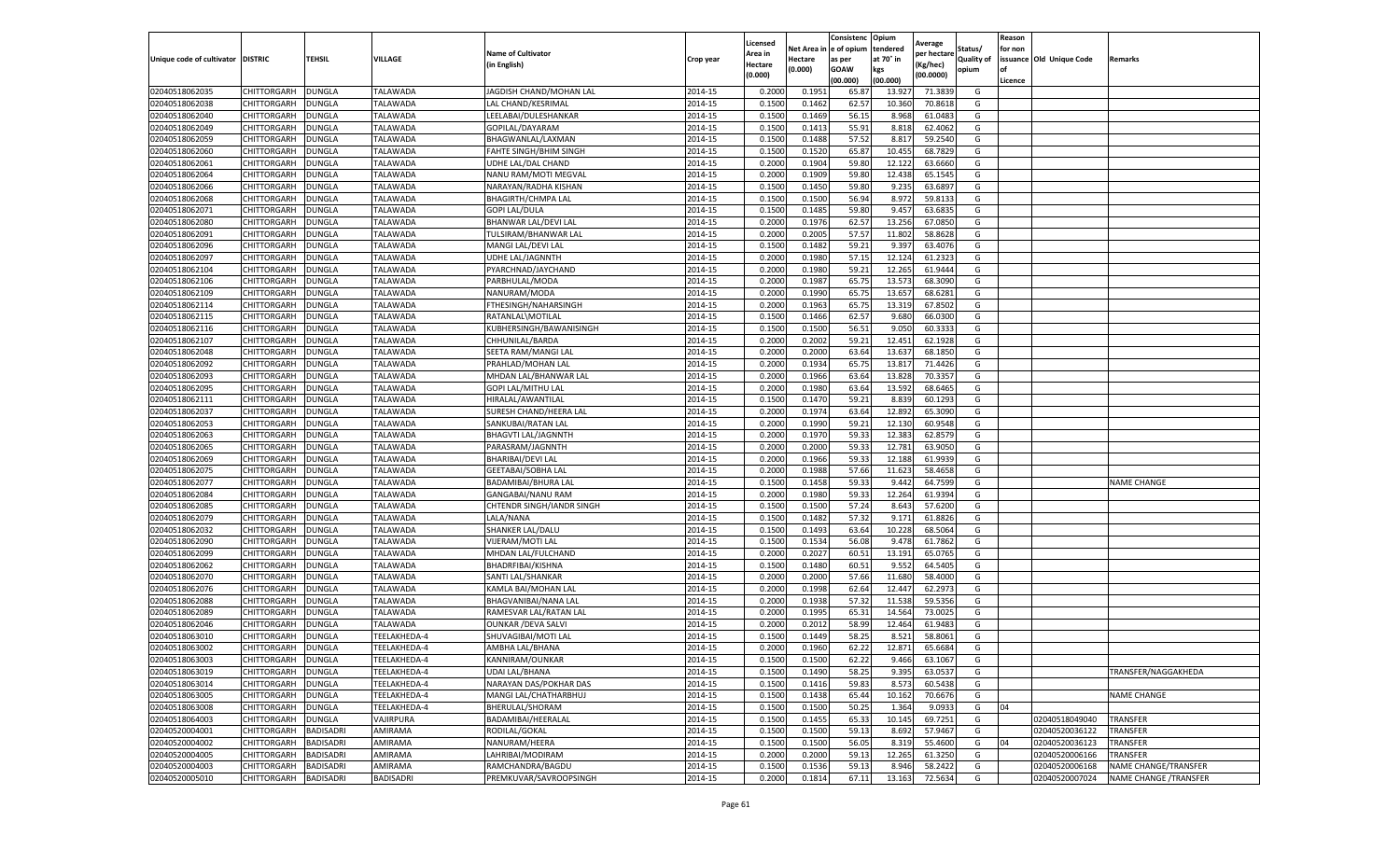| tendered<br>Net Area in e of opium<br>Status/<br>for non<br><b>Name of Cultivator</b><br>Area in<br>per hectare<br>at 70° in<br>issuance Old Unique Code<br><b>DISTRIC</b><br>TEHSIL<br>VILLAGE<br><b>Quality of</b><br>Unique code of cultivator<br>Crop year<br>Hectare<br>as per<br><b>Remarks</b><br>in English)<br>(Kg/hec<br>Hectare<br>(0.000)<br><b>GOAW</b><br>kgs<br>opium<br>(0.000)<br>(00.0000)<br>(00.000)<br>(00.000)<br>Licence<br><b>DUNGLA</b><br>TALAWADA<br>JAGDISH CHAND/MOHAN LAL<br>2014-15<br>0.2000<br>0.1951<br>65.87<br>71.3839<br>02040518062035<br>CHITTORGARH<br>13.92<br>G<br>TALAWADA<br>0.1500<br>62.57<br>10.36<br>02040518062038<br>CHITTORGARH<br>DUNGLA<br>LAL CHAND/KESRIMAL<br>2014-15<br>0.1462<br>70.8618<br>G<br>0.1469<br>56.15<br>02040518062040<br>CHITTORGARH<br><b>DUNGLA</b><br>TALAWADA<br>LEELABAI/DULESHANKAR<br>2014-15<br>0.1500<br>8.968<br>61.0483<br>G<br>02040518062049<br><b>DUNGLA</b><br>TALAWADA<br>2014-15<br>0.1500<br>0.1413<br>55.91<br>8.818<br>62.4062<br>G<br>CHITTORGARH<br>GOPILAL/DAYARAM<br>02040518062059<br>CHITTORGARH<br><b>DUNGLA</b><br>TALAWADA<br>2014-15<br>0.1500<br>0.1488<br>57.52<br>8.81<br>59.2540<br>G<br>BHAGWANLAL/LAXMAN<br><b>TALAWADA</b><br>2014-15<br>0.1500<br>0.1520<br>65.87<br>10.455<br>68.7829<br>02040518062060<br>CHITTORGARH<br>DUNGLA<br>FAHTE SINGH/BHIM SINGH<br>G<br>02040518062061<br>CHITTORGARH<br><b>DUNGLA</b><br>TALAWADA<br>2014-15<br>0.2000<br>0.1904<br>59.80<br>12.122<br>63.6660<br>G<br>UDHE LAL/DAL CHAND<br>TALAWADA<br>2014-15<br>0.2000<br>59.80<br>12.438<br>65.1545<br>02040518062064<br>CHITTORGARH<br>DUNGLA<br>NANU RAM/MOTI MEGVAL<br>0.1909<br>G<br>TALAWADA<br>2014-15<br>0.1500<br>0.1450<br>59.80<br>9.235<br>63.6897<br>G<br>02040518062066<br>CHITTORGARH<br>DUNGLA<br>NARAYAN/RADHA KISHAN<br>02040518062068<br>TALAWADA<br>2014-15<br>0.1500<br>0.1500<br>56.94<br>8.972<br>59.8133<br>G<br>CHITTORGARH<br><b>DUNGLA</b><br><b>BHAGIRTH/CHMPA LAL</b><br>02040518062071<br><b>DUNGLA</b><br>TALAWADA<br>2014-15<br>0.1500<br>0.1485<br>59.80<br>9.457<br>63.6835<br>G<br>CHITTORGARH<br><b>GOPI LAL/DULA</b><br>62.57<br>02040518062080<br><b>DUNGLA</b><br>TALAWADA<br>2014-15<br>0.2000<br>0.1976<br>13.256<br>67.0850<br>G<br>CHITTORGARH<br><b>BHANWAR LAL/DEVI LAL</b><br>02040518062091<br>CHITTORGARH<br>DUNGLA<br>TALAWADA<br>2014-15<br>0.2000<br>0.2005<br>57.57<br>11.802<br>58.8628<br>G<br>TULSIRAM/BHANWAR LAL<br>DUNGLA<br>TALAWADA<br>2014-15<br>0.1500<br>0.1482<br>59.21<br>9.397<br>63.4076<br>02040518062096<br>CHITTORGARH<br>MANGI LAL/DEVI LAL<br>G<br>57.15<br>2014-15<br>0.2000<br>0.1980<br>12.124<br>G<br>02040518062097<br>CHITTORGARH<br>DUNGLA<br>TALAWADA<br>UDHE LAL/JAGNNTH<br>61.2323<br>02040518062104<br><b>TALAWADA</b><br>2014-15<br>0.2000<br>0.1980<br>59.21<br>12.265<br>61.9444<br>G<br>CHITTORGARH<br><b>DUNGLA</b><br>PYARCHNAD/JAYCHAND<br>02040518062106<br>0.2000<br>0.1987<br>65.75<br>13.573<br>CHITTORGARH<br><b>DUNGLA</b><br>TALAWADA<br>PARBHULAL/MODA<br>2014-15<br>68.3090<br>G<br>2014-15<br>65.75<br>02040518062109<br>TALAWADA<br>0.2000<br>0.1990<br>13.657<br>68.6281<br>G<br>CHITTORGARH<br><b>DUNGLA</b><br>NANURAM/MODA<br>65.75<br>67.8502<br>02040518062114<br>CHITTORGARH<br>DUNGLA<br><b>TALAWADA</b><br>2014-15<br>0.2000<br>0.1963<br>13.31<br>G<br>FTHESINGH/NAHARSINGH<br>02040518062115<br>CHITTORGARH<br>DUNGLA<br>TALAWADA<br>2014-15<br>0.1500<br>0.1466<br>62.57<br>9.680<br>66.0300<br>G<br>RATANLAL\MOTILAL<br>56.51<br>02040518062116<br>TALAWADA<br>2014-15<br>0.1500<br>0.1500<br>9.050<br>60.3333<br>G<br>CHITTORGARH<br><b>DUNGLA</b><br>KUBHERSINGH/BAWANISINGH<br>02040518062107<br>DUNGLA<br>2014-15<br>0.2000<br>0.2002<br>59.21<br>12.451<br>62.1928<br>G<br>CHITTORGARH<br>TALAWADA<br>CHHUNILAL/BARDA<br>02040518062048<br>CHITTORGARH<br><b>DUNGLA</b><br>TALAWADA<br>2014-15<br>0.2000<br>0.2000<br>63.64<br>13.637<br>68.1850<br>G<br>SEETA RAM/MANGI LAL<br>0.1934<br>65.75<br>TALAWADA<br>2014-15<br>0.2000<br>13.817<br>71.4426<br>G<br>02040518062092<br>CHITTORGARH<br>DUNGLA<br>PRAHLAD/MOHAN LAL<br>70.3357<br>02040518062093<br>DUNGLA<br><b>TALAWADA</b><br>2014-15<br>0.2000<br>0.1966<br>63.64<br>13.828<br>G<br>CHITTORGARH<br>MHDAN LAL/BHANWAR LAI<br>02040518062095<br>CHITTORGARH<br>DUNGLA<br>TALAWADA<br>GOPI LAL/MITHU LAI<br>2014-15<br>0.2000<br>0.1980<br>63.64<br>13.592<br>68.6465<br>G<br>02040518062111<br>CHITTORGARH<br>TALAWADA<br>HIRALAL/AWANTILAL<br>2014-15<br>0.1500<br>0.1470<br>59.21<br>8.83<br>60.1293<br>DUNGLA<br>G<br>TALAWADA<br>2014-15<br>0.2000<br>0.1974<br>63.64<br>65.3090<br>02040518062037<br>CHITTORGARH<br><b>DUNGLA</b><br>SURESH CHAND/HEERA LAL<br>12.892<br>G<br>02040518062053<br>CHITTORGARH<br><b>DUNGLA</b><br>TALAWADA<br>2014-15<br>0.2000<br>0.1990<br>59.21<br>12.130<br>60.9548<br>G<br>SANKUBAI/RATAN LAL<br>02040518062063<br>CHITTORGARH<br><b>DUNGLA</b><br>TALAWADA<br>2014-15<br>0.2000<br>0.1970<br>59.33<br>12.383<br>62.8579<br><b>BHAGVTI LAL/JAGNNTH</b><br>G<br>59.33<br><b>TALAWADA</b><br>0.2000<br>0.2000<br>12.781<br>63.9050<br>G<br>02040518062065<br>CHITTORGARH<br>DUNGLA<br>PARASRAM/JAGNNTH<br>2014-15<br>02040518062069<br>CHITTORGARH<br>DUNGLA<br>TALAWADA<br>BHARIBAI/DEVI LAL<br>2014-15<br>0.2000<br>0.1966<br>59.33<br>12.188<br>61.9939<br>G<br>DUNGLA<br>TALAWADA<br>2014-15<br>0.2000<br>0.1988<br>57.66<br>11.623<br>58.4658<br>02040518062075<br>CHITTORGARH<br><b>GEETABAI/SOBHA LAI</b><br>G<br>59.33<br>0.1500<br>9.442<br>02040518062077<br>CHITTORGARH<br>DUNGLA<br>TALAWADA<br>BADAMIBAI/BHURA LAL<br>2014-15<br>0.1458<br>64.7599<br>G<br><b>NAME CHANGE</b><br>02040518062084<br>CHITTORGARH<br><b>DUNGLA</b><br>TALAWADA<br>2014-15<br>0.2000<br>0.1980<br>59.33<br>12.264<br>61.9394<br>GANGABAI/NANU RAM<br>G<br><b>DUNGLA</b><br>TALAWADA<br>2014-15<br>0.1500<br>0.1500<br>57.24<br>8.643<br>57.6200<br>02040518062085<br>CHITTORGARH<br>CHTENDR SINGH/IANDR SINGH<br>G<br>57.32<br>TALAWADA<br>LALA/NANA<br>2014-15<br>0.1500<br>0.1482<br>9.171<br>61.8826<br>G<br>02040518062079<br>CHITTORGARH<br><b>DUNGLA</b><br>63.64<br>68.5064<br>02040518062032<br>CHITTORGARH<br>DUNGLA<br>TALAWADA<br>2014-15<br>0.1500<br>0.1493<br>10.22<br>G<br>SHANKER LAL/DALU<br>TALAWADA<br>2014-15<br>0.1500<br>56.08<br>9.478<br>02040518062090<br>CHITTORGARH<br>DUNGLA<br>VIJERAM/MOTI LAL<br>0.1534<br>61.7862<br>G<br><b>TALAWADA</b><br>2014-15<br>0.2000<br>0.2027<br>60.51<br>13.191<br>65.0765<br>G<br>02040518062099<br>CHITTORGARH<br><b>DUNGLA</b><br>MHDAN LAL/FULCHAND<br>2014-15<br>0.1500<br>0.1480<br>60.51<br>9.552<br>64.5405<br>G<br>02040518062062<br>CHITTORGARH<br>DUNGLA<br>TALAWADA<br>BHADRFIBAI/KISHNA<br>TALAWADA<br>2014-15<br>0.2000<br>0.2000<br>57.66<br>11.680<br>58.4000<br>02040518062070<br>CHITTORGARH<br><b>DUNGLA</b><br>SANTI LAL/SHANKAR<br>G<br>62.64<br>2014-15<br>0.2000<br>0.1998<br>12.44<br>62.2973<br>G<br>02040518062076<br>CHITTORGARH<br>DUNGLA<br>TALAWADA<br>KAMLA BAI/MOHAN LAL<br>57.32<br>02040518062088<br><b>DUNGLA</b><br><b>TALAWADA</b><br>2014-15<br>0.2000<br>0.1938<br>11.538<br>59.5356<br>G<br>CHITTORGARH<br>BHAGVANIBAI/NANA LAL<br>02040518062089<br>CHITTORGARH<br><b>DUNGLA</b><br>TALAWADA<br>RAMESVAR LAL/RATAN LAL<br>2014-15<br>0.2000<br>0.1995<br>65.31<br>14.564<br>73.0025<br>G<br>58.99<br>12.464<br>02040518062046<br>CHITTORGARH<br>DUNGLA<br>TALAWADA<br><b>OUNKAR / DEVA SALVI</b><br>2014-15<br>0.2000<br>0.2012<br>61.9483<br>G<br>2014-15<br>0.1500<br>0.1449<br>58.25<br>8.521<br>58.8061<br>G<br>02040518063010<br>CHITTORGARH<br>DUNGLA<br>TEELAKHEDA-4<br>SHUVAGIBAI/MOTI LAL<br>62.22<br>02040518063002<br>CHITTORGARH<br><b>DUNGLA</b><br>2014-15<br>0.2000<br>0.1960<br>12.871<br>65.6684<br>G<br>TEELAKHEDA-4<br>AMBHA LAL/BHANA<br>2014-15<br>0.1500<br>02040518063003<br><b>CHITTORGARH</b><br><b>DUNGLA</b><br>TEELAKHEDA-4<br>KANNIRAM/OUNKAR<br>0.1500<br>62.22<br>9.466<br>63.1067<br>G<br>2014-15<br>0.1500<br>0.1490<br>58.25<br>9.395<br>02040518063019<br>CHITTORGARH<br><b>DUNGLA</b><br>TEELAKHEDA-4<br><b>UDAI LAL/BHANA</b><br>63.0537<br>G<br>TRANSFER/NAGGAKHEDA<br>2014-15<br>59.83<br>8.573<br>60.5438<br>02040518063014<br>CHITTORGARH<br><b>DUNGLA</b><br>TEELAKHEDA-4<br>NARAYAN DAS/POKHAR DAS<br>0.1500<br>0.1416<br>G<br>02040518063005<br>CHITTORGARH<br>DUNGLA<br>TEELAKHEDA-4<br>MANGI LAL/CHATHARBHUJ<br>2014-15<br>0.1500<br>0.1438<br>65.44<br>10.162<br>70.6676<br>G<br><b>NAME CHANGE</b><br>02040518063008<br>TEELAKHEDA-4<br>BHERULAL/SHORAM<br>2014-15<br>0.1500<br>0.1500<br>50.25<br>1.364<br>9.0933<br>G<br>04<br>CHITTORGARH<br><b>DUNGLA</b><br>0.1455<br>69.7251<br>02040518064003<br><b>CHITTORGARH</b><br><b>DUNGLA</b><br>VAJIRPURA<br>BADAMIBAI/HEERALAL<br>2014-15<br>0.1500<br>65.33<br>10.145<br>G<br>02040518049040<br>TRANSFER<br>59.13<br>57.9467<br>02040520004001<br>CHITTORGARH<br><b>BADISADRI</b><br>AMIRAMA<br>RODILAL/GOKAL<br>2014-15<br>0.1500<br>0.1500<br>8.692<br>G<br>02040520036122<br>TRANSFER<br>02040520004002<br>2014-15<br>0.1500<br>56.05<br>55.4600<br>G<br>CHITTORGARH<br><b>BADISADRI</b><br>AMIRAMA<br>NANURAM/HEERA<br>0.1500<br>8.319<br>04<br>02040520036123<br>TRANSFER<br>0.2000<br>59.13<br>02040520004005<br>CHITTORGARH<br><b>BADISADRI</b><br>AMIRAMA<br>LAHRIBAI/MODIRAM<br>2014-15<br>0.2000<br>12.265<br>61.3250<br>G<br>02040520006166<br>TRANSFER<br>02040520004003<br>CHITTORGARH<br>BADISADRI<br>AMIRAMA<br>RAMCHANDRA/BAGDU<br>2014-15<br>0.1500<br>0.1536<br>59.13<br>8.946<br>58.2422<br>02040520006168<br>NAME CHANGE/TRANSFER<br>G<br>72.5634<br>02040520005010<br><b>CHITTORGARH</b><br><b>BADISADRI</b><br><b>BADISADRI</b><br>PREMKUVAR/SAVROOPSINGH<br>2014-15<br>0.2000<br>0.1814<br>67.11<br>13.163<br>G<br>02040520007024<br>NAME CHANGE / TRANSFER |  |  |  | Licensed | Consistenc | Opium |         | Reason |  |
|-------------------------------------------------------------------------------------------------------------------------------------------------------------------------------------------------------------------------------------------------------------------------------------------------------------------------------------------------------------------------------------------------------------------------------------------------------------------------------------------------------------------------------------------------------------------------------------------------------------------------------------------------------------------------------------------------------------------------------------------------------------------------------------------------------------------------------------------------------------------------------------------------------------------------------------------------------------------------------------------------------------------------------------------------------------------------------------------------------------------------------------------------------------------------------------------------------------------------------------------------------------------------------------------------------------------------------------------------------------------------------------------------------------------------------------------------------------------------------------------------------------------------------------------------------------------------------------------------------------------------------------------------------------------------------------------------------------------------------------------------------------------------------------------------------------------------------------------------------------------------------------------------------------------------------------------------------------------------------------------------------------------------------------------------------------------------------------------------------------------------------------------------------------------------------------------------------------------------------------------------------------------------------------------------------------------------------------------------------------------------------------------------------------------------------------------------------------------------------------------------------------------------------------------------------------------------------------------------------------------------------------------------------------------------------------------------------------------------------------------------------------------------------------------------------------------------------------------------------------------------------------------------------------------------------------------------------------------------------------------------------------------------------------------------------------------------------------------------------------------------------------------------------------------------------------------------------------------------------------------------------------------------------------------------------------------------------------------------------------------------------------------------------------------------------------------------------------------------------------------------------------------------------------------------------------------------------------------------------------------------------------------------------------------------------------------------------------------------------------------------------------------------------------------------------------------------------------------------------------------------------------------------------------------------------------------------------------------------------------------------------------------------------------------------------------------------------------------------------------------------------------------------------------------------------------------------------------------------------------------------------------------------------------------------------------------------------------------------------------------------------------------------------------------------------------------------------------------------------------------------------------------------------------------------------------------------------------------------------------------------------------------------------------------------------------------------------------------------------------------------------------------------------------------------------------------------------------------------------------------------------------------------------------------------------------------------------------------------------------------------------------------------------------------------------------------------------------------------------------------------------------------------------------------------------------------------------------------------------------------------------------------------------------------------------------------------------------------------------------------------------------------------------------------------------------------------------------------------------------------------------------------------------------------------------------------------------------------------------------------------------------------------------------------------------------------------------------------------------------------------------------------------------------------------------------------------------------------------------------------------------------------------------------------------------------------------------------------------------------------------------------------------------------------------------------------------------------------------------------------------------------------------------------------------------------------------------------------------------------------------------------------------------------------------------------------------------------------------------------------------------------------------------------------------------------------------------------------------------------------------------------------------------------------------------------------------------------------------------------------------------------------------------------------------------------------------------------------------------------------------------------------------------------------------------------------------------------------------------------------------------------------------------------------------------------------------------------------------------------------------------------------------------------------------------------------------------------------------------------------------------------------------------------------------------------------------------------------------------------------------------------------------------------------------------------------------------------------------------------------------------------------------------------------------------------------------------------------------------------------------------------------------------------------------------------------------------------------------------------------------------------------------------------------------------------------------------------------------------------------------------------------------------------------------------------------------------------------------------------------------------------------------------------------------------------------------------------------------------------------------------------------------------------------------------------------------------------------------------------------------------------------------------------------------------------------------------------------------------------------------------------------------------------------------------------------------------------------------------------------------------------------------------------------------------------------------------------------------------------------------------------------------------------------------------------------------------------------------------------------------------------------------------------------------------------------------------------------------------------------------------------------------------------------------------------------------------------------------------------------------------------------------------------------------------------------------------------------------------------------------------------------------------------------------------------------------------------------------------------------------------------------------------------------------------------------------------------------------------------------------------------------------------------------------------------------------------------------------------------------------------------------------------------------------------------------------------------------------------------------------------------------------------------------------------------------------------------------------------------------------------------------------------------------------------------------------------------------------------------------------------------------------------------------------------------------------------------------------------------------------------------------------------|--|--|--|----------|------------|-------|---------|--------|--|
|                                                                                                                                                                                                                                                                                                                                                                                                                                                                                                                                                                                                                                                                                                                                                                                                                                                                                                                                                                                                                                                                                                                                                                                                                                                                                                                                                                                                                                                                                                                                                                                                                                                                                                                                                                                                                                                                                                                                                                                                                                                                                                                                                                                                                                                                                                                                                                                                                                                                                                                                                                                                                                                                                                                                                                                                                                                                                                                                                                                                                                                                                                                                                                                                                                                                                                                                                                                                                                                                                                                                                                                                                                                                                                                                                                                                                                                                                                                                                                                                                                                                                                                                                                                                                                                                                                                                                                                                                                                                                                                                                                                                                                                                                                                                                                                                                                                                                                                                                                                                                                                                                                                                                                                                                                                                                                                                                                                                                                                                                                                                                                                                                                                                                                                                                                                                                                                                                                                                                                                                                                                                                                                                                                                                                                                                                                                                                                                                                                                                                                                                                                                                                                                                                                                                                                                                                                                                                                                                                                                                                                                                                                                                                                                                                                                                                                                                                                                                                                                                                                                                                                                                                                                                                                                                                                                                                                                                                                                                                                                                                                                                                                                                                                                                                                                                                                                                                                                                                                                                                                                                                                                                                                                                                                                                                                                                                                                                                                                                                                                                                                                                                                                                                                                                                                                                                                                                                                                                                                                                                                                                                                                                                                                                                                                                                                                                                                                                                                       |  |  |  |          |            |       | Average |        |  |
|                                                                                                                                                                                                                                                                                                                                                                                                                                                                                                                                                                                                                                                                                                                                                                                                                                                                                                                                                                                                                                                                                                                                                                                                                                                                                                                                                                                                                                                                                                                                                                                                                                                                                                                                                                                                                                                                                                                                                                                                                                                                                                                                                                                                                                                                                                                                                                                                                                                                                                                                                                                                                                                                                                                                                                                                                                                                                                                                                                                                                                                                                                                                                                                                                                                                                                                                                                                                                                                                                                                                                                                                                                                                                                                                                                                                                                                                                                                                                                                                                                                                                                                                                                                                                                                                                                                                                                                                                                                                                                                                                                                                                                                                                                                                                                                                                                                                                                                                                                                                                                                                                                                                                                                                                                                                                                                                                                                                                                                                                                                                                                                                                                                                                                                                                                                                                                                                                                                                                                                                                                                                                                                                                                                                                                                                                                                                                                                                                                                                                                                                                                                                                                                                                                                                                                                                                                                                                                                                                                                                                                                                                                                                                                                                                                                                                                                                                                                                                                                                                                                                                                                                                                                                                                                                                                                                                                                                                                                                                                                                                                                                                                                                                                                                                                                                                                                                                                                                                                                                                                                                                                                                                                                                                                                                                                                                                                                                                                                                                                                                                                                                                                                                                                                                                                                                                                                                                                                                                                                                                                                                                                                                                                                                                                                                                                                                                                                                                                       |  |  |  |          |            |       |         |        |  |
|                                                                                                                                                                                                                                                                                                                                                                                                                                                                                                                                                                                                                                                                                                                                                                                                                                                                                                                                                                                                                                                                                                                                                                                                                                                                                                                                                                                                                                                                                                                                                                                                                                                                                                                                                                                                                                                                                                                                                                                                                                                                                                                                                                                                                                                                                                                                                                                                                                                                                                                                                                                                                                                                                                                                                                                                                                                                                                                                                                                                                                                                                                                                                                                                                                                                                                                                                                                                                                                                                                                                                                                                                                                                                                                                                                                                                                                                                                                                                                                                                                                                                                                                                                                                                                                                                                                                                                                                                                                                                                                                                                                                                                                                                                                                                                                                                                                                                                                                                                                                                                                                                                                                                                                                                                                                                                                                                                                                                                                                                                                                                                                                                                                                                                                                                                                                                                                                                                                                                                                                                                                                                                                                                                                                                                                                                                                                                                                                                                                                                                                                                                                                                                                                                                                                                                                                                                                                                                                                                                                                                                                                                                                                                                                                                                                                                                                                                                                                                                                                                                                                                                                                                                                                                                                                                                                                                                                                                                                                                                                                                                                                                                                                                                                                                                                                                                                                                                                                                                                                                                                                                                                                                                                                                                                                                                                                                                                                                                                                                                                                                                                                                                                                                                                                                                                                                                                                                                                                                                                                                                                                                                                                                                                                                                                                                                                                                                                                                                       |  |  |  |          |            |       |         |        |  |
|                                                                                                                                                                                                                                                                                                                                                                                                                                                                                                                                                                                                                                                                                                                                                                                                                                                                                                                                                                                                                                                                                                                                                                                                                                                                                                                                                                                                                                                                                                                                                                                                                                                                                                                                                                                                                                                                                                                                                                                                                                                                                                                                                                                                                                                                                                                                                                                                                                                                                                                                                                                                                                                                                                                                                                                                                                                                                                                                                                                                                                                                                                                                                                                                                                                                                                                                                                                                                                                                                                                                                                                                                                                                                                                                                                                                                                                                                                                                                                                                                                                                                                                                                                                                                                                                                                                                                                                                                                                                                                                                                                                                                                                                                                                                                                                                                                                                                                                                                                                                                                                                                                                                                                                                                                                                                                                                                                                                                                                                                                                                                                                                                                                                                                                                                                                                                                                                                                                                                                                                                                                                                                                                                                                                                                                                                                                                                                                                                                                                                                                                                                                                                                                                                                                                                                                                                                                                                                                                                                                                                                                                                                                                                                                                                                                                                                                                                                                                                                                                                                                                                                                                                                                                                                                                                                                                                                                                                                                                                                                                                                                                                                                                                                                                                                                                                                                                                                                                                                                                                                                                                                                                                                                                                                                                                                                                                                                                                                                                                                                                                                                                                                                                                                                                                                                                                                                                                                                                                                                                                                                                                                                                                                                                                                                                                                                                                                                                                                       |  |  |  |          |            |       |         |        |  |
|                                                                                                                                                                                                                                                                                                                                                                                                                                                                                                                                                                                                                                                                                                                                                                                                                                                                                                                                                                                                                                                                                                                                                                                                                                                                                                                                                                                                                                                                                                                                                                                                                                                                                                                                                                                                                                                                                                                                                                                                                                                                                                                                                                                                                                                                                                                                                                                                                                                                                                                                                                                                                                                                                                                                                                                                                                                                                                                                                                                                                                                                                                                                                                                                                                                                                                                                                                                                                                                                                                                                                                                                                                                                                                                                                                                                                                                                                                                                                                                                                                                                                                                                                                                                                                                                                                                                                                                                                                                                                                                                                                                                                                                                                                                                                                                                                                                                                                                                                                                                                                                                                                                                                                                                                                                                                                                                                                                                                                                                                                                                                                                                                                                                                                                                                                                                                                                                                                                                                                                                                                                                                                                                                                                                                                                                                                                                                                                                                                                                                                                                                                                                                                                                                                                                                                                                                                                                                                                                                                                                                                                                                                                                                                                                                                                                                                                                                                                                                                                                                                                                                                                                                                                                                                                                                                                                                                                                                                                                                                                                                                                                                                                                                                                                                                                                                                                                                                                                                                                                                                                                                                                                                                                                                                                                                                                                                                                                                                                                                                                                                                                                                                                                                                                                                                                                                                                                                                                                                                                                                                                                                                                                                                                                                                                                                                                                                                                                                                       |  |  |  |          |            |       |         |        |  |
|                                                                                                                                                                                                                                                                                                                                                                                                                                                                                                                                                                                                                                                                                                                                                                                                                                                                                                                                                                                                                                                                                                                                                                                                                                                                                                                                                                                                                                                                                                                                                                                                                                                                                                                                                                                                                                                                                                                                                                                                                                                                                                                                                                                                                                                                                                                                                                                                                                                                                                                                                                                                                                                                                                                                                                                                                                                                                                                                                                                                                                                                                                                                                                                                                                                                                                                                                                                                                                                                                                                                                                                                                                                                                                                                                                                                                                                                                                                                                                                                                                                                                                                                                                                                                                                                                                                                                                                                                                                                                                                                                                                                                                                                                                                                                                                                                                                                                                                                                                                                                                                                                                                                                                                                                                                                                                                                                                                                                                                                                                                                                                                                                                                                                                                                                                                                                                                                                                                                                                                                                                                                                                                                                                                                                                                                                                                                                                                                                                                                                                                                                                                                                                                                                                                                                                                                                                                                                                                                                                                                                                                                                                                                                                                                                                                                                                                                                                                                                                                                                                                                                                                                                                                                                                                                                                                                                                                                                                                                                                                                                                                                                                                                                                                                                                                                                                                                                                                                                                                                                                                                                                                                                                                                                                                                                                                                                                                                                                                                                                                                                                                                                                                                                                                                                                                                                                                                                                                                                                                                                                                                                                                                                                                                                                                                                                                                                                                                                                       |  |  |  |          |            |       |         |        |  |
|                                                                                                                                                                                                                                                                                                                                                                                                                                                                                                                                                                                                                                                                                                                                                                                                                                                                                                                                                                                                                                                                                                                                                                                                                                                                                                                                                                                                                                                                                                                                                                                                                                                                                                                                                                                                                                                                                                                                                                                                                                                                                                                                                                                                                                                                                                                                                                                                                                                                                                                                                                                                                                                                                                                                                                                                                                                                                                                                                                                                                                                                                                                                                                                                                                                                                                                                                                                                                                                                                                                                                                                                                                                                                                                                                                                                                                                                                                                                                                                                                                                                                                                                                                                                                                                                                                                                                                                                                                                                                                                                                                                                                                                                                                                                                                                                                                                                                                                                                                                                                                                                                                                                                                                                                                                                                                                                                                                                                                                                                                                                                                                                                                                                                                                                                                                                                                                                                                                                                                                                                                                                                                                                                                                                                                                                                                                                                                                                                                                                                                                                                                                                                                                                                                                                                                                                                                                                                                                                                                                                                                                                                                                                                                                                                                                                                                                                                                                                                                                                                                                                                                                                                                                                                                                                                                                                                                                                                                                                                                                                                                                                                                                                                                                                                                                                                                                                                                                                                                                                                                                                                                                                                                                                                                                                                                                                                                                                                                                                                                                                                                                                                                                                                                                                                                                                                                                                                                                                                                                                                                                                                                                                                                                                                                                                                                                                                                                                                                       |  |  |  |          |            |       |         |        |  |
|                                                                                                                                                                                                                                                                                                                                                                                                                                                                                                                                                                                                                                                                                                                                                                                                                                                                                                                                                                                                                                                                                                                                                                                                                                                                                                                                                                                                                                                                                                                                                                                                                                                                                                                                                                                                                                                                                                                                                                                                                                                                                                                                                                                                                                                                                                                                                                                                                                                                                                                                                                                                                                                                                                                                                                                                                                                                                                                                                                                                                                                                                                                                                                                                                                                                                                                                                                                                                                                                                                                                                                                                                                                                                                                                                                                                                                                                                                                                                                                                                                                                                                                                                                                                                                                                                                                                                                                                                                                                                                                                                                                                                                                                                                                                                                                                                                                                                                                                                                                                                                                                                                                                                                                                                                                                                                                                                                                                                                                                                                                                                                                                                                                                                                                                                                                                                                                                                                                                                                                                                                                                                                                                                                                                                                                                                                                                                                                                                                                                                                                                                                                                                                                                                                                                                                                                                                                                                                                                                                                                                                                                                                                                                                                                                                                                                                                                                                                                                                                                                                                                                                                                                                                                                                                                                                                                                                                                                                                                                                                                                                                                                                                                                                                                                                                                                                                                                                                                                                                                                                                                                                                                                                                                                                                                                                                                                                                                                                                                                                                                                                                                                                                                                                                                                                                                                                                                                                                                                                                                                                                                                                                                                                                                                                                                                                                                                                                                                                       |  |  |  |          |            |       |         |        |  |
|                                                                                                                                                                                                                                                                                                                                                                                                                                                                                                                                                                                                                                                                                                                                                                                                                                                                                                                                                                                                                                                                                                                                                                                                                                                                                                                                                                                                                                                                                                                                                                                                                                                                                                                                                                                                                                                                                                                                                                                                                                                                                                                                                                                                                                                                                                                                                                                                                                                                                                                                                                                                                                                                                                                                                                                                                                                                                                                                                                                                                                                                                                                                                                                                                                                                                                                                                                                                                                                                                                                                                                                                                                                                                                                                                                                                                                                                                                                                                                                                                                                                                                                                                                                                                                                                                                                                                                                                                                                                                                                                                                                                                                                                                                                                                                                                                                                                                                                                                                                                                                                                                                                                                                                                                                                                                                                                                                                                                                                                                                                                                                                                                                                                                                                                                                                                                                                                                                                                                                                                                                                                                                                                                                                                                                                                                                                                                                                                                                                                                                                                                                                                                                                                                                                                                                                                                                                                                                                                                                                                                                                                                                                                                                                                                                                                                                                                                                                                                                                                                                                                                                                                                                                                                                                                                                                                                                                                                                                                                                                                                                                                                                                                                                                                                                                                                                                                                                                                                                                                                                                                                                                                                                                                                                                                                                                                                                                                                                                                                                                                                                                                                                                                                                                                                                                                                                                                                                                                                                                                                                                                                                                                                                                                                                                                                                                                                                                                                                       |  |  |  |          |            |       |         |        |  |
|                                                                                                                                                                                                                                                                                                                                                                                                                                                                                                                                                                                                                                                                                                                                                                                                                                                                                                                                                                                                                                                                                                                                                                                                                                                                                                                                                                                                                                                                                                                                                                                                                                                                                                                                                                                                                                                                                                                                                                                                                                                                                                                                                                                                                                                                                                                                                                                                                                                                                                                                                                                                                                                                                                                                                                                                                                                                                                                                                                                                                                                                                                                                                                                                                                                                                                                                                                                                                                                                                                                                                                                                                                                                                                                                                                                                                                                                                                                                                                                                                                                                                                                                                                                                                                                                                                                                                                                                                                                                                                                                                                                                                                                                                                                                                                                                                                                                                                                                                                                                                                                                                                                                                                                                                                                                                                                                                                                                                                                                                                                                                                                                                                                                                                                                                                                                                                                                                                                                                                                                                                                                                                                                                                                                                                                                                                                                                                                                                                                                                                                                                                                                                                                                                                                                                                                                                                                                                                                                                                                                                                                                                                                                                                                                                                                                                                                                                                                                                                                                                                                                                                                                                                                                                                                                                                                                                                                                                                                                                                                                                                                                                                                                                                                                                                                                                                                                                                                                                                                                                                                                                                                                                                                                                                                                                                                                                                                                                                                                                                                                                                                                                                                                                                                                                                                                                                                                                                                                                                                                                                                                                                                                                                                                                                                                                                                                                                                                                                       |  |  |  |          |            |       |         |        |  |
|                                                                                                                                                                                                                                                                                                                                                                                                                                                                                                                                                                                                                                                                                                                                                                                                                                                                                                                                                                                                                                                                                                                                                                                                                                                                                                                                                                                                                                                                                                                                                                                                                                                                                                                                                                                                                                                                                                                                                                                                                                                                                                                                                                                                                                                                                                                                                                                                                                                                                                                                                                                                                                                                                                                                                                                                                                                                                                                                                                                                                                                                                                                                                                                                                                                                                                                                                                                                                                                                                                                                                                                                                                                                                                                                                                                                                                                                                                                                                                                                                                                                                                                                                                                                                                                                                                                                                                                                                                                                                                                                                                                                                                                                                                                                                                                                                                                                                                                                                                                                                                                                                                                                                                                                                                                                                                                                                                                                                                                                                                                                                                                                                                                                                                                                                                                                                                                                                                                                                                                                                                                                                                                                                                                                                                                                                                                                                                                                                                                                                                                                                                                                                                                                                                                                                                                                                                                                                                                                                                                                                                                                                                                                                                                                                                                                                                                                                                                                                                                                                                                                                                                                                                                                                                                                                                                                                                                                                                                                                                                                                                                                                                                                                                                                                                                                                                                                                                                                                                                                                                                                                                                                                                                                                                                                                                                                                                                                                                                                                                                                                                                                                                                                                                                                                                                                                                                                                                                                                                                                                                                                                                                                                                                                                                                                                                                                                                                                                                       |  |  |  |          |            |       |         |        |  |
|                                                                                                                                                                                                                                                                                                                                                                                                                                                                                                                                                                                                                                                                                                                                                                                                                                                                                                                                                                                                                                                                                                                                                                                                                                                                                                                                                                                                                                                                                                                                                                                                                                                                                                                                                                                                                                                                                                                                                                                                                                                                                                                                                                                                                                                                                                                                                                                                                                                                                                                                                                                                                                                                                                                                                                                                                                                                                                                                                                                                                                                                                                                                                                                                                                                                                                                                                                                                                                                                                                                                                                                                                                                                                                                                                                                                                                                                                                                                                                                                                                                                                                                                                                                                                                                                                                                                                                                                                                                                                                                                                                                                                                                                                                                                                                                                                                                                                                                                                                                                                                                                                                                                                                                                                                                                                                                                                                                                                                                                                                                                                                                                                                                                                                                                                                                                                                                                                                                                                                                                                                                                                                                                                                                                                                                                                                                                                                                                                                                                                                                                                                                                                                                                                                                                                                                                                                                                                                                                                                                                                                                                                                                                                                                                                                                                                                                                                                                                                                                                                                                                                                                                                                                                                                                                                                                                                                                                                                                                                                                                                                                                                                                                                                                                                                                                                                                                                                                                                                                                                                                                                                                                                                                                                                                                                                                                                                                                                                                                                                                                                                                                                                                                                                                                                                                                                                                                                                                                                                                                                                                                                                                                                                                                                                                                                                                                                                                                                                       |  |  |  |          |            |       |         |        |  |
|                                                                                                                                                                                                                                                                                                                                                                                                                                                                                                                                                                                                                                                                                                                                                                                                                                                                                                                                                                                                                                                                                                                                                                                                                                                                                                                                                                                                                                                                                                                                                                                                                                                                                                                                                                                                                                                                                                                                                                                                                                                                                                                                                                                                                                                                                                                                                                                                                                                                                                                                                                                                                                                                                                                                                                                                                                                                                                                                                                                                                                                                                                                                                                                                                                                                                                                                                                                                                                                                                                                                                                                                                                                                                                                                                                                                                                                                                                                                                                                                                                                                                                                                                                                                                                                                                                                                                                                                                                                                                                                                                                                                                                                                                                                                                                                                                                                                                                                                                                                                                                                                                                                                                                                                                                                                                                                                                                                                                                                                                                                                                                                                                                                                                                                                                                                                                                                                                                                                                                                                                                                                                                                                                                                                                                                                                                                                                                                                                                                                                                                                                                                                                                                                                                                                                                                                                                                                                                                                                                                                                                                                                                                                                                                                                                                                                                                                                                                                                                                                                                                                                                                                                                                                                                                                                                                                                                                                                                                                                                                                                                                                                                                                                                                                                                                                                                                                                                                                                                                                                                                                                                                                                                                                                                                                                                                                                                                                                                                                                                                                                                                                                                                                                                                                                                                                                                                                                                                                                                                                                                                                                                                                                                                                                                                                                                                                                                                                                                       |  |  |  |          |            |       |         |        |  |
|                                                                                                                                                                                                                                                                                                                                                                                                                                                                                                                                                                                                                                                                                                                                                                                                                                                                                                                                                                                                                                                                                                                                                                                                                                                                                                                                                                                                                                                                                                                                                                                                                                                                                                                                                                                                                                                                                                                                                                                                                                                                                                                                                                                                                                                                                                                                                                                                                                                                                                                                                                                                                                                                                                                                                                                                                                                                                                                                                                                                                                                                                                                                                                                                                                                                                                                                                                                                                                                                                                                                                                                                                                                                                                                                                                                                                                                                                                                                                                                                                                                                                                                                                                                                                                                                                                                                                                                                                                                                                                                                                                                                                                                                                                                                                                                                                                                                                                                                                                                                                                                                                                                                                                                                                                                                                                                                                                                                                                                                                                                                                                                                                                                                                                                                                                                                                                                                                                                                                                                                                                                                                                                                                                                                                                                                                                                                                                                                                                                                                                                                                                                                                                                                                                                                                                                                                                                                                                                                                                                                                                                                                                                                                                                                                                                                                                                                                                                                                                                                                                                                                                                                                                                                                                                                                                                                                                                                                                                                                                                                                                                                                                                                                                                                                                                                                                                                                                                                                                                                                                                                                                                                                                                                                                                                                                                                                                                                                                                                                                                                                                                                                                                                                                                                                                                                                                                                                                                                                                                                                                                                                                                                                                                                                                                                                                                                                                                                                                       |  |  |  |          |            |       |         |        |  |
|                                                                                                                                                                                                                                                                                                                                                                                                                                                                                                                                                                                                                                                                                                                                                                                                                                                                                                                                                                                                                                                                                                                                                                                                                                                                                                                                                                                                                                                                                                                                                                                                                                                                                                                                                                                                                                                                                                                                                                                                                                                                                                                                                                                                                                                                                                                                                                                                                                                                                                                                                                                                                                                                                                                                                                                                                                                                                                                                                                                                                                                                                                                                                                                                                                                                                                                                                                                                                                                                                                                                                                                                                                                                                                                                                                                                                                                                                                                                                                                                                                                                                                                                                                                                                                                                                                                                                                                                                                                                                                                                                                                                                                                                                                                                                                                                                                                                                                                                                                                                                                                                                                                                                                                                                                                                                                                                                                                                                                                                                                                                                                                                                                                                                                                                                                                                                                                                                                                                                                                                                                                                                                                                                                                                                                                                                                                                                                                                                                                                                                                                                                                                                                                                                                                                                                                                                                                                                                                                                                                                                                                                                                                                                                                                                                                                                                                                                                                                                                                                                                                                                                                                                                                                                                                                                                                                                                                                                                                                                                                                                                                                                                                                                                                                                                                                                                                                                                                                                                                                                                                                                                                                                                                                                                                                                                                                                                                                                                                                                                                                                                                                                                                                                                                                                                                                                                                                                                                                                                                                                                                                                                                                                                                                                                                                                                                                                                                                                                       |  |  |  |          |            |       |         |        |  |
|                                                                                                                                                                                                                                                                                                                                                                                                                                                                                                                                                                                                                                                                                                                                                                                                                                                                                                                                                                                                                                                                                                                                                                                                                                                                                                                                                                                                                                                                                                                                                                                                                                                                                                                                                                                                                                                                                                                                                                                                                                                                                                                                                                                                                                                                                                                                                                                                                                                                                                                                                                                                                                                                                                                                                                                                                                                                                                                                                                                                                                                                                                                                                                                                                                                                                                                                                                                                                                                                                                                                                                                                                                                                                                                                                                                                                                                                                                                                                                                                                                                                                                                                                                                                                                                                                                                                                                                                                                                                                                                                                                                                                                                                                                                                                                                                                                                                                                                                                                                                                                                                                                                                                                                                                                                                                                                                                                                                                                                                                                                                                                                                                                                                                                                                                                                                                                                                                                                                                                                                                                                                                                                                                                                                                                                                                                                                                                                                                                                                                                                                                                                                                                                                                                                                                                                                                                                                                                                                                                                                                                                                                                                                                                                                                                                                                                                                                                                                                                                                                                                                                                                                                                                                                                                                                                                                                                                                                                                                                                                                                                                                                                                                                                                                                                                                                                                                                                                                                                                                                                                                                                                                                                                                                                                                                                                                                                                                                                                                                                                                                                                                                                                                                                                                                                                                                                                                                                                                                                                                                                                                                                                                                                                                                                                                                                                                                                                                                                       |  |  |  |          |            |       |         |        |  |
|                                                                                                                                                                                                                                                                                                                                                                                                                                                                                                                                                                                                                                                                                                                                                                                                                                                                                                                                                                                                                                                                                                                                                                                                                                                                                                                                                                                                                                                                                                                                                                                                                                                                                                                                                                                                                                                                                                                                                                                                                                                                                                                                                                                                                                                                                                                                                                                                                                                                                                                                                                                                                                                                                                                                                                                                                                                                                                                                                                                                                                                                                                                                                                                                                                                                                                                                                                                                                                                                                                                                                                                                                                                                                                                                                                                                                                                                                                                                                                                                                                                                                                                                                                                                                                                                                                                                                                                                                                                                                                                                                                                                                                                                                                                                                                                                                                                                                                                                                                                                                                                                                                                                                                                                                                                                                                                                                                                                                                                                                                                                                                                                                                                                                                                                                                                                                                                                                                                                                                                                                                                                                                                                                                                                                                                                                                                                                                                                                                                                                                                                                                                                                                                                                                                                                                                                                                                                                                                                                                                                                                                                                                                                                                                                                                                                                                                                                                                                                                                                                                                                                                                                                                                                                                                                                                                                                                                                                                                                                                                                                                                                                                                                                                                                                                                                                                                                                                                                                                                                                                                                                                                                                                                                                                                                                                                                                                                                                                                                                                                                                                                                                                                                                                                                                                                                                                                                                                                                                                                                                                                                                                                                                                                                                                                                                                                                                                                                                                       |  |  |  |          |            |       |         |        |  |
|                                                                                                                                                                                                                                                                                                                                                                                                                                                                                                                                                                                                                                                                                                                                                                                                                                                                                                                                                                                                                                                                                                                                                                                                                                                                                                                                                                                                                                                                                                                                                                                                                                                                                                                                                                                                                                                                                                                                                                                                                                                                                                                                                                                                                                                                                                                                                                                                                                                                                                                                                                                                                                                                                                                                                                                                                                                                                                                                                                                                                                                                                                                                                                                                                                                                                                                                                                                                                                                                                                                                                                                                                                                                                                                                                                                                                                                                                                                                                                                                                                                                                                                                                                                                                                                                                                                                                                                                                                                                                                                                                                                                                                                                                                                                                                                                                                                                                                                                                                                                                                                                                                                                                                                                                                                                                                                                                                                                                                                                                                                                                                                                                                                                                                                                                                                                                                                                                                                                                                                                                                                                                                                                                                                                                                                                                                                                                                                                                                                                                                                                                                                                                                                                                                                                                                                                                                                                                                                                                                                                                                                                                                                                                                                                                                                                                                                                                                                                                                                                                                                                                                                                                                                                                                                                                                                                                                                                                                                                                                                                                                                                                                                                                                                                                                                                                                                                                                                                                                                                                                                                                                                                                                                                                                                                                                                                                                                                                                                                                                                                                                                                                                                                                                                                                                                                                                                                                                                                                                                                                                                                                                                                                                                                                                                                                                                                                                                                                                       |  |  |  |          |            |       |         |        |  |
|                                                                                                                                                                                                                                                                                                                                                                                                                                                                                                                                                                                                                                                                                                                                                                                                                                                                                                                                                                                                                                                                                                                                                                                                                                                                                                                                                                                                                                                                                                                                                                                                                                                                                                                                                                                                                                                                                                                                                                                                                                                                                                                                                                                                                                                                                                                                                                                                                                                                                                                                                                                                                                                                                                                                                                                                                                                                                                                                                                                                                                                                                                                                                                                                                                                                                                                                                                                                                                                                                                                                                                                                                                                                                                                                                                                                                                                                                                                                                                                                                                                                                                                                                                                                                                                                                                                                                                                                                                                                                                                                                                                                                                                                                                                                                                                                                                                                                                                                                                                                                                                                                                                                                                                                                                                                                                                                                                                                                                                                                                                                                                                                                                                                                                                                                                                                                                                                                                                                                                                                                                                                                                                                                                                                                                                                                                                                                                                                                                                                                                                                                                                                                                                                                                                                                                                                                                                                                                                                                                                                                                                                                                                                                                                                                                                                                                                                                                                                                                                                                                                                                                                                                                                                                                                                                                                                                                                                                                                                                                                                                                                                                                                                                                                                                                                                                                                                                                                                                                                                                                                                                                                                                                                                                                                                                                                                                                                                                                                                                                                                                                                                                                                                                                                                                                                                                                                                                                                                                                                                                                                                                                                                                                                                                                                                                                                                                                                                                                       |  |  |  |          |            |       |         |        |  |
|                                                                                                                                                                                                                                                                                                                                                                                                                                                                                                                                                                                                                                                                                                                                                                                                                                                                                                                                                                                                                                                                                                                                                                                                                                                                                                                                                                                                                                                                                                                                                                                                                                                                                                                                                                                                                                                                                                                                                                                                                                                                                                                                                                                                                                                                                                                                                                                                                                                                                                                                                                                                                                                                                                                                                                                                                                                                                                                                                                                                                                                                                                                                                                                                                                                                                                                                                                                                                                                                                                                                                                                                                                                                                                                                                                                                                                                                                                                                                                                                                                                                                                                                                                                                                                                                                                                                                                                                                                                                                                                                                                                                                                                                                                                                                                                                                                                                                                                                                                                                                                                                                                                                                                                                                                                                                                                                                                                                                                                                                                                                                                                                                                                                                                                                                                                                                                                                                                                                                                                                                                                                                                                                                                                                                                                                                                                                                                                                                                                                                                                                                                                                                                                                                                                                                                                                                                                                                                                                                                                                                                                                                                                                                                                                                                                                                                                                                                                                                                                                                                                                                                                                                                                                                                                                                                                                                                                                                                                                                                                                                                                                                                                                                                                                                                                                                                                                                                                                                                                                                                                                                                                                                                                                                                                                                                                                                                                                                                                                                                                                                                                                                                                                                                                                                                                                                                                                                                                                                                                                                                                                                                                                                                                                                                                                                                                                                                                                                                       |  |  |  |          |            |       |         |        |  |
|                                                                                                                                                                                                                                                                                                                                                                                                                                                                                                                                                                                                                                                                                                                                                                                                                                                                                                                                                                                                                                                                                                                                                                                                                                                                                                                                                                                                                                                                                                                                                                                                                                                                                                                                                                                                                                                                                                                                                                                                                                                                                                                                                                                                                                                                                                                                                                                                                                                                                                                                                                                                                                                                                                                                                                                                                                                                                                                                                                                                                                                                                                                                                                                                                                                                                                                                                                                                                                                                                                                                                                                                                                                                                                                                                                                                                                                                                                                                                                                                                                                                                                                                                                                                                                                                                                                                                                                                                                                                                                                                                                                                                                                                                                                                                                                                                                                                                                                                                                                                                                                                                                                                                                                                                                                                                                                                                                                                                                                                                                                                                                                                                                                                                                                                                                                                                                                                                                                                                                                                                                                                                                                                                                                                                                                                                                                                                                                                                                                                                                                                                                                                                                                                                                                                                                                                                                                                                                                                                                                                                                                                                                                                                                                                                                                                                                                                                                                                                                                                                                                                                                                                                                                                                                                                                                                                                                                                                                                                                                                                                                                                                                                                                                                                                                                                                                                                                                                                                                                                                                                                                                                                                                                                                                                                                                                                                                                                                                                                                                                                                                                                                                                                                                                                                                                                                                                                                                                                                                                                                                                                                                                                                                                                                                                                                                                                                                                                                                       |  |  |  |          |            |       |         |        |  |
|                                                                                                                                                                                                                                                                                                                                                                                                                                                                                                                                                                                                                                                                                                                                                                                                                                                                                                                                                                                                                                                                                                                                                                                                                                                                                                                                                                                                                                                                                                                                                                                                                                                                                                                                                                                                                                                                                                                                                                                                                                                                                                                                                                                                                                                                                                                                                                                                                                                                                                                                                                                                                                                                                                                                                                                                                                                                                                                                                                                                                                                                                                                                                                                                                                                                                                                                                                                                                                                                                                                                                                                                                                                                                                                                                                                                                                                                                                                                                                                                                                                                                                                                                                                                                                                                                                                                                                                                                                                                                                                                                                                                                                                                                                                                                                                                                                                                                                                                                                                                                                                                                                                                                                                                                                                                                                                                                                                                                                                                                                                                                                                                                                                                                                                                                                                                                                                                                                                                                                                                                                                                                                                                                                                                                                                                                                                                                                                                                                                                                                                                                                                                                                                                                                                                                                                                                                                                                                                                                                                                                                                                                                                                                                                                                                                                                                                                                                                                                                                                                                                                                                                                                                                                                                                                                                                                                                                                                                                                                                                                                                                                                                                                                                                                                                                                                                                                                                                                                                                                                                                                                                                                                                                                                                                                                                                                                                                                                                                                                                                                                                                                                                                                                                                                                                                                                                                                                                                                                                                                                                                                                                                                                                                                                                                                                                                                                                                                                                       |  |  |  |          |            |       |         |        |  |
|                                                                                                                                                                                                                                                                                                                                                                                                                                                                                                                                                                                                                                                                                                                                                                                                                                                                                                                                                                                                                                                                                                                                                                                                                                                                                                                                                                                                                                                                                                                                                                                                                                                                                                                                                                                                                                                                                                                                                                                                                                                                                                                                                                                                                                                                                                                                                                                                                                                                                                                                                                                                                                                                                                                                                                                                                                                                                                                                                                                                                                                                                                                                                                                                                                                                                                                                                                                                                                                                                                                                                                                                                                                                                                                                                                                                                                                                                                                                                                                                                                                                                                                                                                                                                                                                                                                                                                                                                                                                                                                                                                                                                                                                                                                                                                                                                                                                                                                                                                                                                                                                                                                                                                                                                                                                                                                                                                                                                                                                                                                                                                                                                                                                                                                                                                                                                                                                                                                                                                                                                                                                                                                                                                                                                                                                                                                                                                                                                                                                                                                                                                                                                                                                                                                                                                                                                                                                                                                                                                                                                                                                                                                                                                                                                                                                                                                                                                                                                                                                                                                                                                                                                                                                                                                                                                                                                                                                                                                                                                                                                                                                                                                                                                                                                                                                                                                                                                                                                                                                                                                                                                                                                                                                                                                                                                                                                                                                                                                                                                                                                                                                                                                                                                                                                                                                                                                                                                                                                                                                                                                                                                                                                                                                                                                                                                                                                                                                                                       |  |  |  |          |            |       |         |        |  |
|                                                                                                                                                                                                                                                                                                                                                                                                                                                                                                                                                                                                                                                                                                                                                                                                                                                                                                                                                                                                                                                                                                                                                                                                                                                                                                                                                                                                                                                                                                                                                                                                                                                                                                                                                                                                                                                                                                                                                                                                                                                                                                                                                                                                                                                                                                                                                                                                                                                                                                                                                                                                                                                                                                                                                                                                                                                                                                                                                                                                                                                                                                                                                                                                                                                                                                                                                                                                                                                                                                                                                                                                                                                                                                                                                                                                                                                                                                                                                                                                                                                                                                                                                                                                                                                                                                                                                                                                                                                                                                                                                                                                                                                                                                                                                                                                                                                                                                                                                                                                                                                                                                                                                                                                                                                                                                                                                                                                                                                                                                                                                                                                                                                                                                                                                                                                                                                                                                                                                                                                                                                                                                                                                                                                                                                                                                                                                                                                                                                                                                                                                                                                                                                                                                                                                                                                                                                                                                                                                                                                                                                                                                                                                                                                                                                                                                                                                                                                                                                                                                                                                                                                                                                                                                                                                                                                                                                                                                                                                                                                                                                                                                                                                                                                                                                                                                                                                                                                                                                                                                                                                                                                                                                                                                                                                                                                                                                                                                                                                                                                                                                                                                                                                                                                                                                                                                                                                                                                                                                                                                                                                                                                                                                                                                                                                                                                                                                                                                       |  |  |  |          |            |       |         |        |  |
|                                                                                                                                                                                                                                                                                                                                                                                                                                                                                                                                                                                                                                                                                                                                                                                                                                                                                                                                                                                                                                                                                                                                                                                                                                                                                                                                                                                                                                                                                                                                                                                                                                                                                                                                                                                                                                                                                                                                                                                                                                                                                                                                                                                                                                                                                                                                                                                                                                                                                                                                                                                                                                                                                                                                                                                                                                                                                                                                                                                                                                                                                                                                                                                                                                                                                                                                                                                                                                                                                                                                                                                                                                                                                                                                                                                                                                                                                                                                                                                                                                                                                                                                                                                                                                                                                                                                                                                                                                                                                                                                                                                                                                                                                                                                                                                                                                                                                                                                                                                                                                                                                                                                                                                                                                                                                                                                                                                                                                                                                                                                                                                                                                                                                                                                                                                                                                                                                                                                                                                                                                                                                                                                                                                                                                                                                                                                                                                                                                                                                                                                                                                                                                                                                                                                                                                                                                                                                                                                                                                                                                                                                                                                                                                                                                                                                                                                                                                                                                                                                                                                                                                                                                                                                                                                                                                                                                                                                                                                                                                                                                                                                                                                                                                                                                                                                                                                                                                                                                                                                                                                                                                                                                                                                                                                                                                                                                                                                                                                                                                                                                                                                                                                                                                                                                                                                                                                                                                                                                                                                                                                                                                                                                                                                                                                                                                                                                                                                                       |  |  |  |          |            |       |         |        |  |
|                                                                                                                                                                                                                                                                                                                                                                                                                                                                                                                                                                                                                                                                                                                                                                                                                                                                                                                                                                                                                                                                                                                                                                                                                                                                                                                                                                                                                                                                                                                                                                                                                                                                                                                                                                                                                                                                                                                                                                                                                                                                                                                                                                                                                                                                                                                                                                                                                                                                                                                                                                                                                                                                                                                                                                                                                                                                                                                                                                                                                                                                                                                                                                                                                                                                                                                                                                                                                                                                                                                                                                                                                                                                                                                                                                                                                                                                                                                                                                                                                                                                                                                                                                                                                                                                                                                                                                                                                                                                                                                                                                                                                                                                                                                                                                                                                                                                                                                                                                                                                                                                                                                                                                                                                                                                                                                                                                                                                                                                                                                                                                                                                                                                                                                                                                                                                                                                                                                                                                                                                                                                                                                                                                                                                                                                                                                                                                                                                                                                                                                                                                                                                                                                                                                                                                                                                                                                                                                                                                                                                                                                                                                                                                                                                                                                                                                                                                                                                                                                                                                                                                                                                                                                                                                                                                                                                                                                                                                                                                                                                                                                                                                                                                                                                                                                                                                                                                                                                                                                                                                                                                                                                                                                                                                                                                                                                                                                                                                                                                                                                                                                                                                                                                                                                                                                                                                                                                                                                                                                                                                                                                                                                                                                                                                                                                                                                                                                                                       |  |  |  |          |            |       |         |        |  |
|                                                                                                                                                                                                                                                                                                                                                                                                                                                                                                                                                                                                                                                                                                                                                                                                                                                                                                                                                                                                                                                                                                                                                                                                                                                                                                                                                                                                                                                                                                                                                                                                                                                                                                                                                                                                                                                                                                                                                                                                                                                                                                                                                                                                                                                                                                                                                                                                                                                                                                                                                                                                                                                                                                                                                                                                                                                                                                                                                                                                                                                                                                                                                                                                                                                                                                                                                                                                                                                                                                                                                                                                                                                                                                                                                                                                                                                                                                                                                                                                                                                                                                                                                                                                                                                                                                                                                                                                                                                                                                                                                                                                                                                                                                                                                                                                                                                                                                                                                                                                                                                                                                                                                                                                                                                                                                                                                                                                                                                                                                                                                                                                                                                                                                                                                                                                                                                                                                                                                                                                                                                                                                                                                                                                                                                                                                                                                                                                                                                                                                                                                                                                                                                                                                                                                                                                                                                                                                                                                                                                                                                                                                                                                                                                                                                                                                                                                                                                                                                                                                                                                                                                                                                                                                                                                                                                                                                                                                                                                                                                                                                                                                                                                                                                                                                                                                                                                                                                                                                                                                                                                                                                                                                                                                                                                                                                                                                                                                                                                                                                                                                                                                                                                                                                                                                                                                                                                                                                                                                                                                                                                                                                                                                                                                                                                                                                                                                                                                       |  |  |  |          |            |       |         |        |  |
|                                                                                                                                                                                                                                                                                                                                                                                                                                                                                                                                                                                                                                                                                                                                                                                                                                                                                                                                                                                                                                                                                                                                                                                                                                                                                                                                                                                                                                                                                                                                                                                                                                                                                                                                                                                                                                                                                                                                                                                                                                                                                                                                                                                                                                                                                                                                                                                                                                                                                                                                                                                                                                                                                                                                                                                                                                                                                                                                                                                                                                                                                                                                                                                                                                                                                                                                                                                                                                                                                                                                                                                                                                                                                                                                                                                                                                                                                                                                                                                                                                                                                                                                                                                                                                                                                                                                                                                                                                                                                                                                                                                                                                                                                                                                                                                                                                                                                                                                                                                                                                                                                                                                                                                                                                                                                                                                                                                                                                                                                                                                                                                                                                                                                                                                                                                                                                                                                                                                                                                                                                                                                                                                                                                                                                                                                                                                                                                                                                                                                                                                                                                                                                                                                                                                                                                                                                                                                                                                                                                                                                                                                                                                                                                                                                                                                                                                                                                                                                                                                                                                                                                                                                                                                                                                                                                                                                                                                                                                                                                                                                                                                                                                                                                                                                                                                                                                                                                                                                                                                                                                                                                                                                                                                                                                                                                                                                                                                                                                                                                                                                                                                                                                                                                                                                                                                                                                                                                                                                                                                                                                                                                                                                                                                                                                                                                                                                                                                                       |  |  |  |          |            |       |         |        |  |
|                                                                                                                                                                                                                                                                                                                                                                                                                                                                                                                                                                                                                                                                                                                                                                                                                                                                                                                                                                                                                                                                                                                                                                                                                                                                                                                                                                                                                                                                                                                                                                                                                                                                                                                                                                                                                                                                                                                                                                                                                                                                                                                                                                                                                                                                                                                                                                                                                                                                                                                                                                                                                                                                                                                                                                                                                                                                                                                                                                                                                                                                                                                                                                                                                                                                                                                                                                                                                                                                                                                                                                                                                                                                                                                                                                                                                                                                                                                                                                                                                                                                                                                                                                                                                                                                                                                                                                                                                                                                                                                                                                                                                                                                                                                                                                                                                                                                                                                                                                                                                                                                                                                                                                                                                                                                                                                                                                                                                                                                                                                                                                                                                                                                                                                                                                                                                                                                                                                                                                                                                                                                                                                                                                                                                                                                                                                                                                                                                                                                                                                                                                                                                                                                                                                                                                                                                                                                                                                                                                                                                                                                                                                                                                                                                                                                                                                                                                                                                                                                                                                                                                                                                                                                                                                                                                                                                                                                                                                                                                                                                                                                                                                                                                                                                                                                                                                                                                                                                                                                                                                                                                                                                                                                                                                                                                                                                                                                                                                                                                                                                                                                                                                                                                                                                                                                                                                                                                                                                                                                                                                                                                                                                                                                                                                                                                                                                                                                                                       |  |  |  |          |            |       |         |        |  |
|                                                                                                                                                                                                                                                                                                                                                                                                                                                                                                                                                                                                                                                                                                                                                                                                                                                                                                                                                                                                                                                                                                                                                                                                                                                                                                                                                                                                                                                                                                                                                                                                                                                                                                                                                                                                                                                                                                                                                                                                                                                                                                                                                                                                                                                                                                                                                                                                                                                                                                                                                                                                                                                                                                                                                                                                                                                                                                                                                                                                                                                                                                                                                                                                                                                                                                                                                                                                                                                                                                                                                                                                                                                                                                                                                                                                                                                                                                                                                                                                                                                                                                                                                                                                                                                                                                                                                                                                                                                                                                                                                                                                                                                                                                                                                                                                                                                                                                                                                                                                                                                                                                                                                                                                                                                                                                                                                                                                                                                                                                                                                                                                                                                                                                                                                                                                                                                                                                                                                                                                                                                                                                                                                                                                                                                                                                                                                                                                                                                                                                                                                                                                                                                                                                                                                                                                                                                                                                                                                                                                                                                                                                                                                                                                                                                                                                                                                                                                                                                                                                                                                                                                                                                                                                                                                                                                                                                                                                                                                                                                                                                                                                                                                                                                                                                                                                                                                                                                                                                                                                                                                                                                                                                                                                                                                                                                                                                                                                                                                                                                                                                                                                                                                                                                                                                                                                                                                                                                                                                                                                                                                                                                                                                                                                                                                                                                                                                                                                       |  |  |  |          |            |       |         |        |  |
|                                                                                                                                                                                                                                                                                                                                                                                                                                                                                                                                                                                                                                                                                                                                                                                                                                                                                                                                                                                                                                                                                                                                                                                                                                                                                                                                                                                                                                                                                                                                                                                                                                                                                                                                                                                                                                                                                                                                                                                                                                                                                                                                                                                                                                                                                                                                                                                                                                                                                                                                                                                                                                                                                                                                                                                                                                                                                                                                                                                                                                                                                                                                                                                                                                                                                                                                                                                                                                                                                                                                                                                                                                                                                                                                                                                                                                                                                                                                                                                                                                                                                                                                                                                                                                                                                                                                                                                                                                                                                                                                                                                                                                                                                                                                                                                                                                                                                                                                                                                                                                                                                                                                                                                                                                                                                                                                                                                                                                                                                                                                                                                                                                                                                                                                                                                                                                                                                                                                                                                                                                                                                                                                                                                                                                                                                                                                                                                                                                                                                                                                                                                                                                                                                                                                                                                                                                                                                                                                                                                                                                                                                                                                                                                                                                                                                                                                                                                                                                                                                                                                                                                                                                                                                                                                                                                                                                                                                                                                                                                                                                                                                                                                                                                                                                                                                                                                                                                                                                                                                                                                                                                                                                                                                                                                                                                                                                                                                                                                                                                                                                                                                                                                                                                                                                                                                                                                                                                                                                                                                                                                                                                                                                                                                                                                                                                                                                                                                                       |  |  |  |          |            |       |         |        |  |
|                                                                                                                                                                                                                                                                                                                                                                                                                                                                                                                                                                                                                                                                                                                                                                                                                                                                                                                                                                                                                                                                                                                                                                                                                                                                                                                                                                                                                                                                                                                                                                                                                                                                                                                                                                                                                                                                                                                                                                                                                                                                                                                                                                                                                                                                                                                                                                                                                                                                                                                                                                                                                                                                                                                                                                                                                                                                                                                                                                                                                                                                                                                                                                                                                                                                                                                                                                                                                                                                                                                                                                                                                                                                                                                                                                                                                                                                                                                                                                                                                                                                                                                                                                                                                                                                                                                                                                                                                                                                                                                                                                                                                                                                                                                                                                                                                                                                                                                                                                                                                                                                                                                                                                                                                                                                                                                                                                                                                                                                                                                                                                                                                                                                                                                                                                                                                                                                                                                                                                                                                                                                                                                                                                                                                                                                                                                                                                                                                                                                                                                                                                                                                                                                                                                                                                                                                                                                                                                                                                                                                                                                                                                                                                                                                                                                                                                                                                                                                                                                                                                                                                                                                                                                                                                                                                                                                                                                                                                                                                                                                                                                                                                                                                                                                                                                                                                                                                                                                                                                                                                                                                                                                                                                                                                                                                                                                                                                                                                                                                                                                                                                                                                                                                                                                                                                                                                                                                                                                                                                                                                                                                                                                                                                                                                                                                                                                                                                                                       |  |  |  |          |            |       |         |        |  |
|                                                                                                                                                                                                                                                                                                                                                                                                                                                                                                                                                                                                                                                                                                                                                                                                                                                                                                                                                                                                                                                                                                                                                                                                                                                                                                                                                                                                                                                                                                                                                                                                                                                                                                                                                                                                                                                                                                                                                                                                                                                                                                                                                                                                                                                                                                                                                                                                                                                                                                                                                                                                                                                                                                                                                                                                                                                                                                                                                                                                                                                                                                                                                                                                                                                                                                                                                                                                                                                                                                                                                                                                                                                                                                                                                                                                                                                                                                                                                                                                                                                                                                                                                                                                                                                                                                                                                                                                                                                                                                                                                                                                                                                                                                                                                                                                                                                                                                                                                                                                                                                                                                                                                                                                                                                                                                                                                                                                                                                                                                                                                                                                                                                                                                                                                                                                                                                                                                                                                                                                                                                                                                                                                                                                                                                                                                                                                                                                                                                                                                                                                                                                                                                                                                                                                                                                                                                                                                                                                                                                                                                                                                                                                                                                                                                                                                                                                                                                                                                                                                                                                                                                                                                                                                                                                                                                                                                                                                                                                                                                                                                                                                                                                                                                                                                                                                                                                                                                                                                                                                                                                                                                                                                                                                                                                                                                                                                                                                                                                                                                                                                                                                                                                                                                                                                                                                                                                                                                                                                                                                                                                                                                                                                                                                                                                                                                                                                                                                       |  |  |  |          |            |       |         |        |  |
|                                                                                                                                                                                                                                                                                                                                                                                                                                                                                                                                                                                                                                                                                                                                                                                                                                                                                                                                                                                                                                                                                                                                                                                                                                                                                                                                                                                                                                                                                                                                                                                                                                                                                                                                                                                                                                                                                                                                                                                                                                                                                                                                                                                                                                                                                                                                                                                                                                                                                                                                                                                                                                                                                                                                                                                                                                                                                                                                                                                                                                                                                                                                                                                                                                                                                                                                                                                                                                                                                                                                                                                                                                                                                                                                                                                                                                                                                                                                                                                                                                                                                                                                                                                                                                                                                                                                                                                                                                                                                                                                                                                                                                                                                                                                                                                                                                                                                                                                                                                                                                                                                                                                                                                                                                                                                                                                                                                                                                                                                                                                                                                                                                                                                                                                                                                                                                                                                                                                                                                                                                                                                                                                                                                                                                                                                                                                                                                                                                                                                                                                                                                                                                                                                                                                                                                                                                                                                                                                                                                                                                                                                                                                                                                                                                                                                                                                                                                                                                                                                                                                                                                                                                                                                                                                                                                                                                                                                                                                                                                                                                                                                                                                                                                                                                                                                                                                                                                                                                                                                                                                                                                                                                                                                                                                                                                                                                                                                                                                                                                                                                                                                                                                                                                                                                                                                                                                                                                                                                                                                                                                                                                                                                                                                                                                                                                                                                                                                                       |  |  |  |          |            |       |         |        |  |
|                                                                                                                                                                                                                                                                                                                                                                                                                                                                                                                                                                                                                                                                                                                                                                                                                                                                                                                                                                                                                                                                                                                                                                                                                                                                                                                                                                                                                                                                                                                                                                                                                                                                                                                                                                                                                                                                                                                                                                                                                                                                                                                                                                                                                                                                                                                                                                                                                                                                                                                                                                                                                                                                                                                                                                                                                                                                                                                                                                                                                                                                                                                                                                                                                                                                                                                                                                                                                                                                                                                                                                                                                                                                                                                                                                                                                                                                                                                                                                                                                                                                                                                                                                                                                                                                                                                                                                                                                                                                                                                                                                                                                                                                                                                                                                                                                                                                                                                                                                                                                                                                                                                                                                                                                                                                                                                                                                                                                                                                                                                                                                                                                                                                                                                                                                                                                                                                                                                                                                                                                                                                                                                                                                                                                                                                                                                                                                                                                                                                                                                                                                                                                                                                                                                                                                                                                                                                                                                                                                                                                                                                                                                                                                                                                                                                                                                                                                                                                                                                                                                                                                                                                                                                                                                                                                                                                                                                                                                                                                                                                                                                                                                                                                                                                                                                                                                                                                                                                                                                                                                                                                                                                                                                                                                                                                                                                                                                                                                                                                                                                                                                                                                                                                                                                                                                                                                                                                                                                                                                                                                                                                                                                                                                                                                                                                                                                                                                                                       |  |  |  |          |            |       |         |        |  |
|                                                                                                                                                                                                                                                                                                                                                                                                                                                                                                                                                                                                                                                                                                                                                                                                                                                                                                                                                                                                                                                                                                                                                                                                                                                                                                                                                                                                                                                                                                                                                                                                                                                                                                                                                                                                                                                                                                                                                                                                                                                                                                                                                                                                                                                                                                                                                                                                                                                                                                                                                                                                                                                                                                                                                                                                                                                                                                                                                                                                                                                                                                                                                                                                                                                                                                                                                                                                                                                                                                                                                                                                                                                                                                                                                                                                                                                                                                                                                                                                                                                                                                                                                                                                                                                                                                                                                                                                                                                                                                                                                                                                                                                                                                                                                                                                                                                                                                                                                                                                                                                                                                                                                                                                                                                                                                                                                                                                                                                                                                                                                                                                                                                                                                                                                                                                                                                                                                                                                                                                                                                                                                                                                                                                                                                                                                                                                                                                                                                                                                                                                                                                                                                                                                                                                                                                                                                                                                                                                                                                                                                                                                                                                                                                                                                                                                                                                                                                                                                                                                                                                                                                                                                                                                                                                                                                                                                                                                                                                                                                                                                                                                                                                                                                                                                                                                                                                                                                                                                                                                                                                                                                                                                                                                                                                                                                                                                                                                                                                                                                                                                                                                                                                                                                                                                                                                                                                                                                                                                                                                                                                                                                                                                                                                                                                                                                                                                                                                       |  |  |  |          |            |       |         |        |  |
|                                                                                                                                                                                                                                                                                                                                                                                                                                                                                                                                                                                                                                                                                                                                                                                                                                                                                                                                                                                                                                                                                                                                                                                                                                                                                                                                                                                                                                                                                                                                                                                                                                                                                                                                                                                                                                                                                                                                                                                                                                                                                                                                                                                                                                                                                                                                                                                                                                                                                                                                                                                                                                                                                                                                                                                                                                                                                                                                                                                                                                                                                                                                                                                                                                                                                                                                                                                                                                                                                                                                                                                                                                                                                                                                                                                                                                                                                                                                                                                                                                                                                                                                                                                                                                                                                                                                                                                                                                                                                                                                                                                                                                                                                                                                                                                                                                                                                                                                                                                                                                                                                                                                                                                                                                                                                                                                                                                                                                                                                                                                                                                                                                                                                                                                                                                                                                                                                                                                                                                                                                                                                                                                                                                                                                                                                                                                                                                                                                                                                                                                                                                                                                                                                                                                                                                                                                                                                                                                                                                                                                                                                                                                                                                                                                                                                                                                                                                                                                                                                                                                                                                                                                                                                                                                                                                                                                                                                                                                                                                                                                                                                                                                                                                                                                                                                                                                                                                                                                                                                                                                                                                                                                                                                                                                                                                                                                                                                                                                                                                                                                                                                                                                                                                                                                                                                                                                                                                                                                                                                                                                                                                                                                                                                                                                                                                                                                                                                                       |  |  |  |          |            |       |         |        |  |
|                                                                                                                                                                                                                                                                                                                                                                                                                                                                                                                                                                                                                                                                                                                                                                                                                                                                                                                                                                                                                                                                                                                                                                                                                                                                                                                                                                                                                                                                                                                                                                                                                                                                                                                                                                                                                                                                                                                                                                                                                                                                                                                                                                                                                                                                                                                                                                                                                                                                                                                                                                                                                                                                                                                                                                                                                                                                                                                                                                                                                                                                                                                                                                                                                                                                                                                                                                                                                                                                                                                                                                                                                                                                                                                                                                                                                                                                                                                                                                                                                                                                                                                                                                                                                                                                                                                                                                                                                                                                                                                                                                                                                                                                                                                                                                                                                                                                                                                                                                                                                                                                                                                                                                                                                                                                                                                                                                                                                                                                                                                                                                                                                                                                                                                                                                                                                                                                                                                                                                                                                                                                                                                                                                                                                                                                                                                                                                                                                                                                                                                                                                                                                                                                                                                                                                                                                                                                                                                                                                                                                                                                                                                                                                                                                                                                                                                                                                                                                                                                                                                                                                                                                                                                                                                                                                                                                                                                                                                                                                                                                                                                                                                                                                                                                                                                                                                                                                                                                                                                                                                                                                                                                                                                                                                                                                                                                                                                                                                                                                                                                                                                                                                                                                                                                                                                                                                                                                                                                                                                                                                                                                                                                                                                                                                                                                                                                                                                                                       |  |  |  |          |            |       |         |        |  |
|                                                                                                                                                                                                                                                                                                                                                                                                                                                                                                                                                                                                                                                                                                                                                                                                                                                                                                                                                                                                                                                                                                                                                                                                                                                                                                                                                                                                                                                                                                                                                                                                                                                                                                                                                                                                                                                                                                                                                                                                                                                                                                                                                                                                                                                                                                                                                                                                                                                                                                                                                                                                                                                                                                                                                                                                                                                                                                                                                                                                                                                                                                                                                                                                                                                                                                                                                                                                                                                                                                                                                                                                                                                                                                                                                                                                                                                                                                                                                                                                                                                                                                                                                                                                                                                                                                                                                                                                                                                                                                                                                                                                                                                                                                                                                                                                                                                                                                                                                                                                                                                                                                                                                                                                                                                                                                                                                                                                                                                                                                                                                                                                                                                                                                                                                                                                                                                                                                                                                                                                                                                                                                                                                                                                                                                                                                                                                                                                                                                                                                                                                                                                                                                                                                                                                                                                                                                                                                                                                                                                                                                                                                                                                                                                                                                                                                                                                                                                                                                                                                                                                                                                                                                                                                                                                                                                                                                                                                                                                                                                                                                                                                                                                                                                                                                                                                                                                                                                                                                                                                                                                                                                                                                                                                                                                                                                                                                                                                                                                                                                                                                                                                                                                                                                                                                                                                                                                                                                                                                                                                                                                                                                                                                                                                                                                                                                                                                                                                       |  |  |  |          |            |       |         |        |  |
|                                                                                                                                                                                                                                                                                                                                                                                                                                                                                                                                                                                                                                                                                                                                                                                                                                                                                                                                                                                                                                                                                                                                                                                                                                                                                                                                                                                                                                                                                                                                                                                                                                                                                                                                                                                                                                                                                                                                                                                                                                                                                                                                                                                                                                                                                                                                                                                                                                                                                                                                                                                                                                                                                                                                                                                                                                                                                                                                                                                                                                                                                                                                                                                                                                                                                                                                                                                                                                                                                                                                                                                                                                                                                                                                                                                                                                                                                                                                                                                                                                                                                                                                                                                                                                                                                                                                                                                                                                                                                                                                                                                                                                                                                                                                                                                                                                                                                                                                                                                                                                                                                                                                                                                                                                                                                                                                                                                                                                                                                                                                                                                                                                                                                                                                                                                                                                                                                                                                                                                                                                                                                                                                                                                                                                                                                                                                                                                                                                                                                                                                                                                                                                                                                                                                                                                                                                                                                                                                                                                                                                                                                                                                                                                                                                                                                                                                                                                                                                                                                                                                                                                                                                                                                                                                                                                                                                                                                                                                                                                                                                                                                                                                                                                                                                                                                                                                                                                                                                                                                                                                                                                                                                                                                                                                                                                                                                                                                                                                                                                                                                                                                                                                                                                                                                                                                                                                                                                                                                                                                                                                                                                                                                                                                                                                                                                                                                                                                                       |  |  |  |          |            |       |         |        |  |
|                                                                                                                                                                                                                                                                                                                                                                                                                                                                                                                                                                                                                                                                                                                                                                                                                                                                                                                                                                                                                                                                                                                                                                                                                                                                                                                                                                                                                                                                                                                                                                                                                                                                                                                                                                                                                                                                                                                                                                                                                                                                                                                                                                                                                                                                                                                                                                                                                                                                                                                                                                                                                                                                                                                                                                                                                                                                                                                                                                                                                                                                                                                                                                                                                                                                                                                                                                                                                                                                                                                                                                                                                                                                                                                                                                                                                                                                                                                                                                                                                                                                                                                                                                                                                                                                                                                                                                                                                                                                                                                                                                                                                                                                                                                                                                                                                                                                                                                                                                                                                                                                                                                                                                                                                                                                                                                                                                                                                                                                                                                                                                                                                                                                                                                                                                                                                                                                                                                                                                                                                                                                                                                                                                                                                                                                                                                                                                                                                                                                                                                                                                                                                                                                                                                                                                                                                                                                                                                                                                                                                                                                                                                                                                                                                                                                                                                                                                                                                                                                                                                                                                                                                                                                                                                                                                                                                                                                                                                                                                                                                                                                                                                                                                                                                                                                                                                                                                                                                                                                                                                                                                                                                                                                                                                                                                                                                                                                                                                                                                                                                                                                                                                                                                                                                                                                                                                                                                                                                                                                                                                                                                                                                                                                                                                                                                                                                                                                                                       |  |  |  |          |            |       |         |        |  |
|                                                                                                                                                                                                                                                                                                                                                                                                                                                                                                                                                                                                                                                                                                                                                                                                                                                                                                                                                                                                                                                                                                                                                                                                                                                                                                                                                                                                                                                                                                                                                                                                                                                                                                                                                                                                                                                                                                                                                                                                                                                                                                                                                                                                                                                                                                                                                                                                                                                                                                                                                                                                                                                                                                                                                                                                                                                                                                                                                                                                                                                                                                                                                                                                                                                                                                                                                                                                                                                                                                                                                                                                                                                                                                                                                                                                                                                                                                                                                                                                                                                                                                                                                                                                                                                                                                                                                                                                                                                                                                                                                                                                                                                                                                                                                                                                                                                                                                                                                                                                                                                                                                                                                                                                                                                                                                                                                                                                                                                                                                                                                                                                                                                                                                                                                                                                                                                                                                                                                                                                                                                                                                                                                                                                                                                                                                                                                                                                                                                                                                                                                                                                                                                                                                                                                                                                                                                                                                                                                                                                                                                                                                                                                                                                                                                                                                                                                                                                                                                                                                                                                                                                                                                                                                                                                                                                                                                                                                                                                                                                                                                                                                                                                                                                                                                                                                                                                                                                                                                                                                                                                                                                                                                                                                                                                                                                                                                                                                                                                                                                                                                                                                                                                                                                                                                                                                                                                                                                                                                                                                                                                                                                                                                                                                                                                                                                                                                                                                       |  |  |  |          |            |       |         |        |  |
|                                                                                                                                                                                                                                                                                                                                                                                                                                                                                                                                                                                                                                                                                                                                                                                                                                                                                                                                                                                                                                                                                                                                                                                                                                                                                                                                                                                                                                                                                                                                                                                                                                                                                                                                                                                                                                                                                                                                                                                                                                                                                                                                                                                                                                                                                                                                                                                                                                                                                                                                                                                                                                                                                                                                                                                                                                                                                                                                                                                                                                                                                                                                                                                                                                                                                                                                                                                                                                                                                                                                                                                                                                                                                                                                                                                                                                                                                                                                                                                                                                                                                                                                                                                                                                                                                                                                                                                                                                                                                                                                                                                                                                                                                                                                                                                                                                                                                                                                                                                                                                                                                                                                                                                                                                                                                                                                                                                                                                                                                                                                                                                                                                                                                                                                                                                                                                                                                                                                                                                                                                                                                                                                                                                                                                                                                                                                                                                                                                                                                                                                                                                                                                                                                                                                                                                                                                                                                                                                                                                                                                                                                                                                                                                                                                                                                                                                                                                                                                                                                                                                                                                                                                                                                                                                                                                                                                                                                                                                                                                                                                                                                                                                                                                                                                                                                                                                                                                                                                                                                                                                                                                                                                                                                                                                                                                                                                                                                                                                                                                                                                                                                                                                                                                                                                                                                                                                                                                                                                                                                                                                                                                                                                                                                                                                                                                                                                                                                                       |  |  |  |          |            |       |         |        |  |
|                                                                                                                                                                                                                                                                                                                                                                                                                                                                                                                                                                                                                                                                                                                                                                                                                                                                                                                                                                                                                                                                                                                                                                                                                                                                                                                                                                                                                                                                                                                                                                                                                                                                                                                                                                                                                                                                                                                                                                                                                                                                                                                                                                                                                                                                                                                                                                                                                                                                                                                                                                                                                                                                                                                                                                                                                                                                                                                                                                                                                                                                                                                                                                                                                                                                                                                                                                                                                                                                                                                                                                                                                                                                                                                                                                                                                                                                                                                                                                                                                                                                                                                                                                                                                                                                                                                                                                                                                                                                                                                                                                                                                                                                                                                                                                                                                                                                                                                                                                                                                                                                                                                                                                                                                                                                                                                                                                                                                                                                                                                                                                                                                                                                                                                                                                                                                                                                                                                                                                                                                                                                                                                                                                                                                                                                                                                                                                                                                                                                                                                                                                                                                                                                                                                                                                                                                                                                                                                                                                                                                                                                                                                                                                                                                                                                                                                                                                                                                                                                                                                                                                                                                                                                                                                                                                                                                                                                                                                                                                                                                                                                                                                                                                                                                                                                                                                                                                                                                                                                                                                                                                                                                                                                                                                                                                                                                                                                                                                                                                                                                                                                                                                                                                                                                                                                                                                                                                                                                                                                                                                                                                                                                                                                                                                                                                                                                                                                                                       |  |  |  |          |            |       |         |        |  |
|                                                                                                                                                                                                                                                                                                                                                                                                                                                                                                                                                                                                                                                                                                                                                                                                                                                                                                                                                                                                                                                                                                                                                                                                                                                                                                                                                                                                                                                                                                                                                                                                                                                                                                                                                                                                                                                                                                                                                                                                                                                                                                                                                                                                                                                                                                                                                                                                                                                                                                                                                                                                                                                                                                                                                                                                                                                                                                                                                                                                                                                                                                                                                                                                                                                                                                                                                                                                                                                                                                                                                                                                                                                                                                                                                                                                                                                                                                                                                                                                                                                                                                                                                                                                                                                                                                                                                                                                                                                                                                                                                                                                                                                                                                                                                                                                                                                                                                                                                                                                                                                                                                                                                                                                                                                                                                                                                                                                                                                                                                                                                                                                                                                                                                                                                                                                                                                                                                                                                                                                                                                                                                                                                                                                                                                                                                                                                                                                                                                                                                                                                                                                                                                                                                                                                                                                                                                                                                                                                                                                                                                                                                                                                                                                                                                                                                                                                                                                                                                                                                                                                                                                                                                                                                                                                                                                                                                                                                                                                                                                                                                                                                                                                                                                                                                                                                                                                                                                                                                                                                                                                                                                                                                                                                                                                                                                                                                                                                                                                                                                                                                                                                                                                                                                                                                                                                                                                                                                                                                                                                                                                                                                                                                                                                                                                                                                                                                                                                       |  |  |  |          |            |       |         |        |  |
|                                                                                                                                                                                                                                                                                                                                                                                                                                                                                                                                                                                                                                                                                                                                                                                                                                                                                                                                                                                                                                                                                                                                                                                                                                                                                                                                                                                                                                                                                                                                                                                                                                                                                                                                                                                                                                                                                                                                                                                                                                                                                                                                                                                                                                                                                                                                                                                                                                                                                                                                                                                                                                                                                                                                                                                                                                                                                                                                                                                                                                                                                                                                                                                                                                                                                                                                                                                                                                                                                                                                                                                                                                                                                                                                                                                                                                                                                                                                                                                                                                                                                                                                                                                                                                                                                                                                                                                                                                                                                                                                                                                                                                                                                                                                                                                                                                                                                                                                                                                                                                                                                                                                                                                                                                                                                                                                                                                                                                                                                                                                                                                                                                                                                                                                                                                                                                                                                                                                                                                                                                                                                                                                                                                                                                                                                                                                                                                                                                                                                                                                                                                                                                                                                                                                                                                                                                                                                                                                                                                                                                                                                                                                                                                                                                                                                                                                                                                                                                                                                                                                                                                                                                                                                                                                                                                                                                                                                                                                                                                                                                                                                                                                                                                                                                                                                                                                                                                                                                                                                                                                                                                                                                                                                                                                                                                                                                                                                                                                                                                                                                                                                                                                                                                                                                                                                                                                                                                                                                                                                                                                                                                                                                                                                                                                                                                                                                                                                                       |  |  |  |          |            |       |         |        |  |
|                                                                                                                                                                                                                                                                                                                                                                                                                                                                                                                                                                                                                                                                                                                                                                                                                                                                                                                                                                                                                                                                                                                                                                                                                                                                                                                                                                                                                                                                                                                                                                                                                                                                                                                                                                                                                                                                                                                                                                                                                                                                                                                                                                                                                                                                                                                                                                                                                                                                                                                                                                                                                                                                                                                                                                                                                                                                                                                                                                                                                                                                                                                                                                                                                                                                                                                                                                                                                                                                                                                                                                                                                                                                                                                                                                                                                                                                                                                                                                                                                                                                                                                                                                                                                                                                                                                                                                                                                                                                                                                                                                                                                                                                                                                                                                                                                                                                                                                                                                                                                                                                                                                                                                                                                                                                                                                                                                                                                                                                                                                                                                                                                                                                                                                                                                                                                                                                                                                                                                                                                                                                                                                                                                                                                                                                                                                                                                                                                                                                                                                                                                                                                                                                                                                                                                                                                                                                                                                                                                                                                                                                                                                                                                                                                                                                                                                                                                                                                                                                                                                                                                                                                                                                                                                                                                                                                                                                                                                                                                                                                                                                                                                                                                                                                                                                                                                                                                                                                                                                                                                                                                                                                                                                                                                                                                                                                                                                                                                                                                                                                                                                                                                                                                                                                                                                                                                                                                                                                                                                                                                                                                                                                                                                                                                                                                                                                                                                                                       |  |  |  |          |            |       |         |        |  |
|                                                                                                                                                                                                                                                                                                                                                                                                                                                                                                                                                                                                                                                                                                                                                                                                                                                                                                                                                                                                                                                                                                                                                                                                                                                                                                                                                                                                                                                                                                                                                                                                                                                                                                                                                                                                                                                                                                                                                                                                                                                                                                                                                                                                                                                                                                                                                                                                                                                                                                                                                                                                                                                                                                                                                                                                                                                                                                                                                                                                                                                                                                                                                                                                                                                                                                                                                                                                                                                                                                                                                                                                                                                                                                                                                                                                                                                                                                                                                                                                                                                                                                                                                                                                                                                                                                                                                                                                                                                                                                                                                                                                                                                                                                                                                                                                                                                                                                                                                                                                                                                                                                                                                                                                                                                                                                                                                                                                                                                                                                                                                                                                                                                                                                                                                                                                                                                                                                                                                                                                                                                                                                                                                                                                                                                                                                                                                                                                                                                                                                                                                                                                                                                                                                                                                                                                                                                                                                                                                                                                                                                                                                                                                                                                                                                                                                                                                                                                                                                                                                                                                                                                                                                                                                                                                                                                                                                                                                                                                                                                                                                                                                                                                                                                                                                                                                                                                                                                                                                                                                                                                                                                                                                                                                                                                                                                                                                                                                                                                                                                                                                                                                                                                                                                                                                                                                                                                                                                                                                                                                                                                                                                                                                                                                                                                                                                                                                                                                       |  |  |  |          |            |       |         |        |  |
|                                                                                                                                                                                                                                                                                                                                                                                                                                                                                                                                                                                                                                                                                                                                                                                                                                                                                                                                                                                                                                                                                                                                                                                                                                                                                                                                                                                                                                                                                                                                                                                                                                                                                                                                                                                                                                                                                                                                                                                                                                                                                                                                                                                                                                                                                                                                                                                                                                                                                                                                                                                                                                                                                                                                                                                                                                                                                                                                                                                                                                                                                                                                                                                                                                                                                                                                                                                                                                                                                                                                                                                                                                                                                                                                                                                                                                                                                                                                                                                                                                                                                                                                                                                                                                                                                                                                                                                                                                                                                                                                                                                                                                                                                                                                                                                                                                                                                                                                                                                                                                                                                                                                                                                                                                                                                                                                                                                                                                                                                                                                                                                                                                                                                                                                                                                                                                                                                                                                                                                                                                                                                                                                                                                                                                                                                                                                                                                                                                                                                                                                                                                                                                                                                                                                                                                                                                                                                                                                                                                                                                                                                                                                                                                                                                                                                                                                                                                                                                                                                                                                                                                                                                                                                                                                                                                                                                                                                                                                                                                                                                                                                                                                                                                                                                                                                                                                                                                                                                                                                                                                                                                                                                                                                                                                                                                                                                                                                                                                                                                                                                                                                                                                                                                                                                                                                                                                                                                                                                                                                                                                                                                                                                                                                                                                                                                                                                                                                                       |  |  |  |          |            |       |         |        |  |
|                                                                                                                                                                                                                                                                                                                                                                                                                                                                                                                                                                                                                                                                                                                                                                                                                                                                                                                                                                                                                                                                                                                                                                                                                                                                                                                                                                                                                                                                                                                                                                                                                                                                                                                                                                                                                                                                                                                                                                                                                                                                                                                                                                                                                                                                                                                                                                                                                                                                                                                                                                                                                                                                                                                                                                                                                                                                                                                                                                                                                                                                                                                                                                                                                                                                                                                                                                                                                                                                                                                                                                                                                                                                                                                                                                                                                                                                                                                                                                                                                                                                                                                                                                                                                                                                                                                                                                                                                                                                                                                                                                                                                                                                                                                                                                                                                                                                                                                                                                                                                                                                                                                                                                                                                                                                                                                                                                                                                                                                                                                                                                                                                                                                                                                                                                                                                                                                                                                                                                                                                                                                                                                                                                                                                                                                                                                                                                                                                                                                                                                                                                                                                                                                                                                                                                                                                                                                                                                                                                                                                                                                                                                                                                                                                                                                                                                                                                                                                                                                                                                                                                                                                                                                                                                                                                                                                                                                                                                                                                                                                                                                                                                                                                                                                                                                                                                                                                                                                                                                                                                                                                                                                                                                                                                                                                                                                                                                                                                                                                                                                                                                                                                                                                                                                                                                                                                                                                                                                                                                                                                                                                                                                                                                                                                                                                                                                                                                                                       |  |  |  |          |            |       |         |        |  |
|                                                                                                                                                                                                                                                                                                                                                                                                                                                                                                                                                                                                                                                                                                                                                                                                                                                                                                                                                                                                                                                                                                                                                                                                                                                                                                                                                                                                                                                                                                                                                                                                                                                                                                                                                                                                                                                                                                                                                                                                                                                                                                                                                                                                                                                                                                                                                                                                                                                                                                                                                                                                                                                                                                                                                                                                                                                                                                                                                                                                                                                                                                                                                                                                                                                                                                                                                                                                                                                                                                                                                                                                                                                                                                                                                                                                                                                                                                                                                                                                                                                                                                                                                                                                                                                                                                                                                                                                                                                                                                                                                                                                                                                                                                                                                                                                                                                                                                                                                                                                                                                                                                                                                                                                                                                                                                                                                                                                                                                                                                                                                                                                                                                                                                                                                                                                                                                                                                                                                                                                                                                                                                                                                                                                                                                                                                                                                                                                                                                                                                                                                                                                                                                                                                                                                                                                                                                                                                                                                                                                                                                                                                                                                                                                                                                                                                                                                                                                                                                                                                                                                                                                                                                                                                                                                                                                                                                                                                                                                                                                                                                                                                                                                                                                                                                                                                                                                                                                                                                                                                                                                                                                                                                                                                                                                                                                                                                                                                                                                                                                                                                                                                                                                                                                                                                                                                                                                                                                                                                                                                                                                                                                                                                                                                                                                                                                                                                                                                       |  |  |  |          |            |       |         |        |  |
|                                                                                                                                                                                                                                                                                                                                                                                                                                                                                                                                                                                                                                                                                                                                                                                                                                                                                                                                                                                                                                                                                                                                                                                                                                                                                                                                                                                                                                                                                                                                                                                                                                                                                                                                                                                                                                                                                                                                                                                                                                                                                                                                                                                                                                                                                                                                                                                                                                                                                                                                                                                                                                                                                                                                                                                                                                                                                                                                                                                                                                                                                                                                                                                                                                                                                                                                                                                                                                                                                                                                                                                                                                                                                                                                                                                                                                                                                                                                                                                                                                                                                                                                                                                                                                                                                                                                                                                                                                                                                                                                                                                                                                                                                                                                                                                                                                                                                                                                                                                                                                                                                                                                                                                                                                                                                                                                                                                                                                                                                                                                                                                                                                                                                                                                                                                                                                                                                                                                                                                                                                                                                                                                                                                                                                                                                                                                                                                                                                                                                                                                                                                                                                                                                                                                                                                                                                                                                                                                                                                                                                                                                                                                                                                                                                                                                                                                                                                                                                                                                                                                                                                                                                                                                                                                                                                                                                                                                                                                                                                                                                                                                                                                                                                                                                                                                                                                                                                                                                                                                                                                                                                                                                                                                                                                                                                                                                                                                                                                                                                                                                                                                                                                                                                                                                                                                                                                                                                                                                                                                                                                                                                                                                                                                                                                                                                                                                                                                                       |  |  |  |          |            |       |         |        |  |
|                                                                                                                                                                                                                                                                                                                                                                                                                                                                                                                                                                                                                                                                                                                                                                                                                                                                                                                                                                                                                                                                                                                                                                                                                                                                                                                                                                                                                                                                                                                                                                                                                                                                                                                                                                                                                                                                                                                                                                                                                                                                                                                                                                                                                                                                                                                                                                                                                                                                                                                                                                                                                                                                                                                                                                                                                                                                                                                                                                                                                                                                                                                                                                                                                                                                                                                                                                                                                                                                                                                                                                                                                                                                                                                                                                                                                                                                                                                                                                                                                                                                                                                                                                                                                                                                                                                                                                                                                                                                                                                                                                                                                                                                                                                                                                                                                                                                                                                                                                                                                                                                                                                                                                                                                                                                                                                                                                                                                                                                                                                                                                                                                                                                                                                                                                                                                                                                                                                                                                                                                                                                                                                                                                                                                                                                                                                                                                                                                                                                                                                                                                                                                                                                                                                                                                                                                                                                                                                                                                                                                                                                                                                                                                                                                                                                                                                                                                                                                                                                                                                                                                                                                                                                                                                                                                                                                                                                                                                                                                                                                                                                                                                                                                                                                                                                                                                                                                                                                                                                                                                                                                                                                                                                                                                                                                                                                                                                                                                                                                                                                                                                                                                                                                                                                                                                                                                                                                                                                                                                                                                                                                                                                                                                                                                                                                                                                                                                                                       |  |  |  |          |            |       |         |        |  |
|                                                                                                                                                                                                                                                                                                                                                                                                                                                                                                                                                                                                                                                                                                                                                                                                                                                                                                                                                                                                                                                                                                                                                                                                                                                                                                                                                                                                                                                                                                                                                                                                                                                                                                                                                                                                                                                                                                                                                                                                                                                                                                                                                                                                                                                                                                                                                                                                                                                                                                                                                                                                                                                                                                                                                                                                                                                                                                                                                                                                                                                                                                                                                                                                                                                                                                                                                                                                                                                                                                                                                                                                                                                                                                                                                                                                                                                                                                                                                                                                                                                                                                                                                                                                                                                                                                                                                                                                                                                                                                                                                                                                                                                                                                                                                                                                                                                                                                                                                                                                                                                                                                                                                                                                                                                                                                                                                                                                                                                                                                                                                                                                                                                                                                                                                                                                                                                                                                                                                                                                                                                                                                                                                                                                                                                                                                                                                                                                                                                                                                                                                                                                                                                                                                                                                                                                                                                                                                                                                                                                                                                                                                                                                                                                                                                                                                                                                                                                                                                                                                                                                                                                                                                                                                                                                                                                                                                                                                                                                                                                                                                                                                                                                                                                                                                                                                                                                                                                                                                                                                                                                                                                                                                                                                                                                                                                                                                                                                                                                                                                                                                                                                                                                                                                                                                                                                                                                                                                                                                                                                                                                                                                                                                                                                                                                                                                                                                                                                       |  |  |  |          |            |       |         |        |  |
|                                                                                                                                                                                                                                                                                                                                                                                                                                                                                                                                                                                                                                                                                                                                                                                                                                                                                                                                                                                                                                                                                                                                                                                                                                                                                                                                                                                                                                                                                                                                                                                                                                                                                                                                                                                                                                                                                                                                                                                                                                                                                                                                                                                                                                                                                                                                                                                                                                                                                                                                                                                                                                                                                                                                                                                                                                                                                                                                                                                                                                                                                                                                                                                                                                                                                                                                                                                                                                                                                                                                                                                                                                                                                                                                                                                                                                                                                                                                                                                                                                                                                                                                                                                                                                                                                                                                                                                                                                                                                                                                                                                                                                                                                                                                                                                                                                                                                                                                                                                                                                                                                                                                                                                                                                                                                                                                                                                                                                                                                                                                                                                                                                                                                                                                                                                                                                                                                                                                                                                                                                                                                                                                                                                                                                                                                                                                                                                                                                                                                                                                                                                                                                                                                                                                                                                                                                                                                                                                                                                                                                                                                                                                                                                                                                                                                                                                                                                                                                                                                                                                                                                                                                                                                                                                                                                                                                                                                                                                                                                                                                                                                                                                                                                                                                                                                                                                                                                                                                                                                                                                                                                                                                                                                                                                                                                                                                                                                                                                                                                                                                                                                                                                                                                                                                                                                                                                                                                                                                                                                                                                                                                                                                                                                                                                                                                                                                                                                                       |  |  |  |          |            |       |         |        |  |
|                                                                                                                                                                                                                                                                                                                                                                                                                                                                                                                                                                                                                                                                                                                                                                                                                                                                                                                                                                                                                                                                                                                                                                                                                                                                                                                                                                                                                                                                                                                                                                                                                                                                                                                                                                                                                                                                                                                                                                                                                                                                                                                                                                                                                                                                                                                                                                                                                                                                                                                                                                                                                                                                                                                                                                                                                                                                                                                                                                                                                                                                                                                                                                                                                                                                                                                                                                                                                                                                                                                                                                                                                                                                                                                                                                                                                                                                                                                                                                                                                                                                                                                                                                                                                                                                                                                                                                                                                                                                                                                                                                                                                                                                                                                                                                                                                                                                                                                                                                                                                                                                                                                                                                                                                                                                                                                                                                                                                                                                                                                                                                                                                                                                                                                                                                                                                                                                                                                                                                                                                                                                                                                                                                                                                                                                                                                                                                                                                                                                                                                                                                                                                                                                                                                                                                                                                                                                                                                                                                                                                                                                                                                                                                                                                                                                                                                                                                                                                                                                                                                                                                                                                                                                                                                                                                                                                                                                                                                                                                                                                                                                                                                                                                                                                                                                                                                                                                                                                                                                                                                                                                                                                                                                                                                                                                                                                                                                                                                                                                                                                                                                                                                                                                                                                                                                                                                                                                                                                                                                                                                                                                                                                                                                                                                                                                                                                                                                                                       |  |  |  |          |            |       |         |        |  |
|                                                                                                                                                                                                                                                                                                                                                                                                                                                                                                                                                                                                                                                                                                                                                                                                                                                                                                                                                                                                                                                                                                                                                                                                                                                                                                                                                                                                                                                                                                                                                                                                                                                                                                                                                                                                                                                                                                                                                                                                                                                                                                                                                                                                                                                                                                                                                                                                                                                                                                                                                                                                                                                                                                                                                                                                                                                                                                                                                                                                                                                                                                                                                                                                                                                                                                                                                                                                                                                                                                                                                                                                                                                                                                                                                                                                                                                                                                                                                                                                                                                                                                                                                                                                                                                                                                                                                                                                                                                                                                                                                                                                                                                                                                                                                                                                                                                                                                                                                                                                                                                                                                                                                                                                                                                                                                                                                                                                                                                                                                                                                                                                                                                                                                                                                                                                                                                                                                                                                                                                                                                                                                                                                                                                                                                                                                                                                                                                                                                                                                                                                                                                                                                                                                                                                                                                                                                                                                                                                                                                                                                                                                                                                                                                                                                                                                                                                                                                                                                                                                                                                                                                                                                                                                                                                                                                                                                                                                                                                                                                                                                                                                                                                                                                                                                                                                                                                                                                                                                                                                                                                                                                                                                                                                                                                                                                                                                                                                                                                                                                                                                                                                                                                                                                                                                                                                                                                                                                                                                                                                                                                                                                                                                                                                                                                                                                                                                                                                       |  |  |  |          |            |       |         |        |  |
|                                                                                                                                                                                                                                                                                                                                                                                                                                                                                                                                                                                                                                                                                                                                                                                                                                                                                                                                                                                                                                                                                                                                                                                                                                                                                                                                                                                                                                                                                                                                                                                                                                                                                                                                                                                                                                                                                                                                                                                                                                                                                                                                                                                                                                                                                                                                                                                                                                                                                                                                                                                                                                                                                                                                                                                                                                                                                                                                                                                                                                                                                                                                                                                                                                                                                                                                                                                                                                                                                                                                                                                                                                                                                                                                                                                                                                                                                                                                                                                                                                                                                                                                                                                                                                                                                                                                                                                                                                                                                                                                                                                                                                                                                                                                                                                                                                                                                                                                                                                                                                                                                                                                                                                                                                                                                                                                                                                                                                                                                                                                                                                                                                                                                                                                                                                                                                                                                                                                                                                                                                                                                                                                                                                                                                                                                                                                                                                                                                                                                                                                                                                                                                                                                                                                                                                                                                                                                                                                                                                                                                                                                                                                                                                                                                                                                                                                                                                                                                                                                                                                                                                                                                                                                                                                                                                                                                                                                                                                                                                                                                                                                                                                                                                                                                                                                                                                                                                                                                                                                                                                                                                                                                                                                                                                                                                                                                                                                                                                                                                                                                                                                                                                                                                                                                                                                                                                                                                                                                                                                                                                                                                                                                                                                                                                                                                                                                                                                                       |  |  |  |          |            |       |         |        |  |
|                                                                                                                                                                                                                                                                                                                                                                                                                                                                                                                                                                                                                                                                                                                                                                                                                                                                                                                                                                                                                                                                                                                                                                                                                                                                                                                                                                                                                                                                                                                                                                                                                                                                                                                                                                                                                                                                                                                                                                                                                                                                                                                                                                                                                                                                                                                                                                                                                                                                                                                                                                                                                                                                                                                                                                                                                                                                                                                                                                                                                                                                                                                                                                                                                                                                                                                                                                                                                                                                                                                                                                                                                                                                                                                                                                                                                                                                                                                                                                                                                                                                                                                                                                                                                                                                                                                                                                                                                                                                                                                                                                                                                                                                                                                                                                                                                                                                                                                                                                                                                                                                                                                                                                                                                                                                                                                                                                                                                                                                                                                                                                                                                                                                                                                                                                                                                                                                                                                                                                                                                                                                                                                                                                                                                                                                                                                                                                                                                                                                                                                                                                                                                                                                                                                                                                                                                                                                                                                                                                                                                                                                                                                                                                                                                                                                                                                                                                                                                                                                                                                                                                                                                                                                                                                                                                                                                                                                                                                                                                                                                                                                                                                                                                                                                                                                                                                                                                                                                                                                                                                                                                                                                                                                                                                                                                                                                                                                                                                                                                                                                                                                                                                                                                                                                                                                                                                                                                                                                                                                                                                                                                                                                                                                                                                                                                                                                                                                                                       |  |  |  |          |            |       |         |        |  |
|                                                                                                                                                                                                                                                                                                                                                                                                                                                                                                                                                                                                                                                                                                                                                                                                                                                                                                                                                                                                                                                                                                                                                                                                                                                                                                                                                                                                                                                                                                                                                                                                                                                                                                                                                                                                                                                                                                                                                                                                                                                                                                                                                                                                                                                                                                                                                                                                                                                                                                                                                                                                                                                                                                                                                                                                                                                                                                                                                                                                                                                                                                                                                                                                                                                                                                                                                                                                                                                                                                                                                                                                                                                                                                                                                                                                                                                                                                                                                                                                                                                                                                                                                                                                                                                                                                                                                                                                                                                                                                                                                                                                                                                                                                                                                                                                                                                                                                                                                                                                                                                                                                                                                                                                                                                                                                                                                                                                                                                                                                                                                                                                                                                                                                                                                                                                                                                                                                                                                                                                                                                                                                                                                                                                                                                                                                                                                                                                                                                                                                                                                                                                                                                                                                                                                                                                                                                                                                                                                                                                                                                                                                                                                                                                                                                                                                                                                                                                                                                                                                                                                                                                                                                                                                                                                                                                                                                                                                                                                                                                                                                                                                                                                                                                                                                                                                                                                                                                                                                                                                                                                                                                                                                                                                                                                                                                                                                                                                                                                                                                                                                                                                                                                                                                                                                                                                                                                                                                                                                                                                                                                                                                                                                                                                                                                                                                                                                                                                       |  |  |  |          |            |       |         |        |  |
|                                                                                                                                                                                                                                                                                                                                                                                                                                                                                                                                                                                                                                                                                                                                                                                                                                                                                                                                                                                                                                                                                                                                                                                                                                                                                                                                                                                                                                                                                                                                                                                                                                                                                                                                                                                                                                                                                                                                                                                                                                                                                                                                                                                                                                                                                                                                                                                                                                                                                                                                                                                                                                                                                                                                                                                                                                                                                                                                                                                                                                                                                                                                                                                                                                                                                                                                                                                                                                                                                                                                                                                                                                                                                                                                                                                                                                                                                                                                                                                                                                                                                                                                                                                                                                                                                                                                                                                                                                                                                                                                                                                                                                                                                                                                                                                                                                                                                                                                                                                                                                                                                                                                                                                                                                                                                                                                                                                                                                                                                                                                                                                                                                                                                                                                                                                                                                                                                                                                                                                                                                                                                                                                                                                                                                                                                                                                                                                                                                                                                                                                                                                                                                                                                                                                                                                                                                                                                                                                                                                                                                                                                                                                                                                                                                                                                                                                                                                                                                                                                                                                                                                                                                                                                                                                                                                                                                                                                                                                                                                                                                                                                                                                                                                                                                                                                                                                                                                                                                                                                                                                                                                                                                                                                                                                                                                                                                                                                                                                                                                                                                                                                                                                                                                                                                                                                                                                                                                                                                                                                                                                                                                                                                                                                                                                                                                                                                                                                                       |  |  |  |          |            |       |         |        |  |
|                                                                                                                                                                                                                                                                                                                                                                                                                                                                                                                                                                                                                                                                                                                                                                                                                                                                                                                                                                                                                                                                                                                                                                                                                                                                                                                                                                                                                                                                                                                                                                                                                                                                                                                                                                                                                                                                                                                                                                                                                                                                                                                                                                                                                                                                                                                                                                                                                                                                                                                                                                                                                                                                                                                                                                                                                                                                                                                                                                                                                                                                                                                                                                                                                                                                                                                                                                                                                                                                                                                                                                                                                                                                                                                                                                                                                                                                                                                                                                                                                                                                                                                                                                                                                                                                                                                                                                                                                                                                                                                                                                                                                                                                                                                                                                                                                                                                                                                                                                                                                                                                                                                                                                                                                                                                                                                                                                                                                                                                                                                                                                                                                                                                                                                                                                                                                                                                                                                                                                                                                                                                                                                                                                                                                                                                                                                                                                                                                                                                                                                                                                                                                                                                                                                                                                                                                                                                                                                                                                                                                                                                                                                                                                                                                                                                                                                                                                                                                                                                                                                                                                                                                                                                                                                                                                                                                                                                                                                                                                                                                                                                                                                                                                                                                                                                                                                                                                                                                                                                                                                                                                                                                                                                                                                                                                                                                                                                                                                                                                                                                                                                                                                                                                                                                                                                                                                                                                                                                                                                                                                                                                                                                                                                                                                                                                                                                                                                                                       |  |  |  |          |            |       |         |        |  |
|                                                                                                                                                                                                                                                                                                                                                                                                                                                                                                                                                                                                                                                                                                                                                                                                                                                                                                                                                                                                                                                                                                                                                                                                                                                                                                                                                                                                                                                                                                                                                                                                                                                                                                                                                                                                                                                                                                                                                                                                                                                                                                                                                                                                                                                                                                                                                                                                                                                                                                                                                                                                                                                                                                                                                                                                                                                                                                                                                                                                                                                                                                                                                                                                                                                                                                                                                                                                                                                                                                                                                                                                                                                                                                                                                                                                                                                                                                                                                                                                                                                                                                                                                                                                                                                                                                                                                                                                                                                                                                                                                                                                                                                                                                                                                                                                                                                                                                                                                                                                                                                                                                                                                                                                                                                                                                                                                                                                                                                                                                                                                                                                                                                                                                                                                                                                                                                                                                                                                                                                                                                                                                                                                                                                                                                                                                                                                                                                                                                                                                                                                                                                                                                                                                                                                                                                                                                                                                                                                                                                                                                                                                                                                                                                                                                                                                                                                                                                                                                                                                                                                                                                                                                                                                                                                                                                                                                                                                                                                                                                                                                                                                                                                                                                                                                                                                                                                                                                                                                                                                                                                                                                                                                                                                                                                                                                                                                                                                                                                                                                                                                                                                                                                                                                                                                                                                                                                                                                                                                                                                                                                                                                                                                                                                                                                                                                                                                                                                       |  |  |  |          |            |       |         |        |  |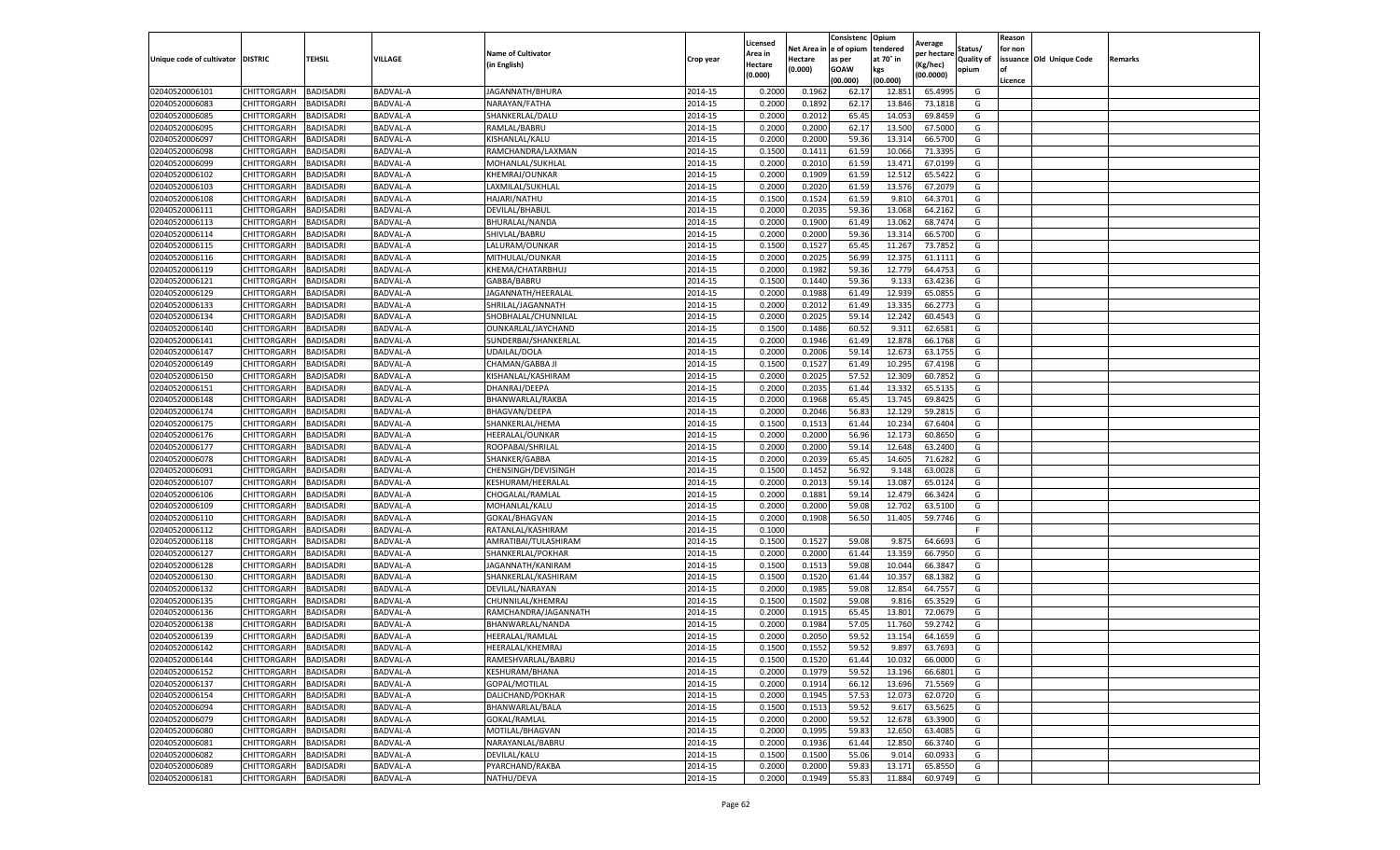|                                   |                            |                  |                 |                           |           | Licensed |         | Consistenc             | Opium     | Average     |                   | Reason  |                          |                |
|-----------------------------------|----------------------------|------------------|-----------------|---------------------------|-----------|----------|---------|------------------------|-----------|-------------|-------------------|---------|--------------------------|----------------|
|                                   |                            |                  |                 | <b>Name of Cultivator</b> |           | Area in  |         | Net Area in e of opium | tendered  | per hectare | Status/           | for non |                          |                |
| Unique code of cultivator DISTRIC |                            | TEHSIL           | VILLAGE         | in English)               | Crop year | Hectare  | Hectare | as per                 | at 70° in | (Kg/hec     | <b>Quality of</b> |         | issuance Old Unique Code | <b>Remarks</b> |
|                                   |                            |                  |                 |                           |           | (0.000)  | (0.000) | <b>GOAW</b>            | kgs       | (00.0000)   | opium             |         |                          |                |
|                                   |                            |                  |                 |                           |           |          |         | (00.000)               | (00.000)  |             |                   | Licence |                          |                |
| 02040520006101                    | CHITTORGARH                | <b>BADISADRI</b> | BADVAL-A        | JAGANNATH/BHURA           | 2014-15   | 0.2000   | 0.1962  | 62.17                  | 12.85     | 65.4995     | G                 |         |                          |                |
| 02040520006083                    | CHITTORGARH                | <b>BADISADRI</b> | BADVAL-A        | NARAYAN/FATHA             | 2014-15   | 0.2000   | 0.1892  | 62.17                  | 13.84     | 73.1818     | G                 |         |                          |                |
| 02040520006085                    | CHITTORGARH                | <b>BADISADRI</b> | BADVAL-A        | SHANKERLAL/DALU           | 2014-15   | 0.2000   | 0.2012  | 65.45                  | 14.05     | 69.8459     | G                 |         |                          |                |
| 02040520006095                    | CHITTORGARH                | <b>BADISADRI</b> | BADVAL-A        | RAMLAL/BABRU              | 2014-15   | 0.2000   | 0.2000  | 62.17                  | 13.500    | 67.5000     | G                 |         |                          |                |
| 12040520006097                    | CHITTORGARH                | <b>BADISADRI</b> | BADVAL-A        | KISHANLAL/KALU            | 2014-15   | 0.2000   | 0.2000  | 59.36                  | 13.31     | 66.5700     | G                 |         |                          |                |
| 02040520006098                    | CHITTORGARH                | <b>BADISADRI</b> | <b>BADVAL-A</b> | RAMCHANDRA/LAXMAN         | 2014-15   | 0.1500   | 0.1411  | 61.59                  | 10.066    | 71.3395     | G                 |         |                          |                |
| 02040520006099                    | CHITTORGARH                | <b>BADISADRI</b> | BADVAL-A        | MOHANLAL/SUKHLAI          | 2014-15   | 0.2000   | 0.2010  | 61.59                  | 13.471    | 67.0199     | G                 |         |                          |                |
| 02040520006102                    | CHITTORGARH                | BADISADRI        | BADVAL-A        | <b>KHEMRAJ/OUNKAR</b>     | 2014-15   | 0.2000   | 0.1909  | 61.59                  | 12.51     | 65.5422     | G                 |         |                          |                |
| 02040520006103                    | CHITTORGARH                | <b>BADISADRI</b> | BADVAL-A        | LAXMILAL/SUKHLAL          | 2014-15   | 0.2000   | 0.2020  | 61.59                  | 13.576    | 67.2079     | G                 |         |                          |                |
| 02040520006108                    | CHITTORGARH                | <b>BADISADRI</b> | BADVAL-A        | <b>HAJARI/NATHU</b>       | 2014-15   | 0.1500   | 0.1524  | 61.59                  | 9.81      | 64.3701     | G                 |         |                          |                |
| 02040520006111                    | CHITTORGARH                | <b>BADISADRI</b> | BADVAL-A        | DEVILAL/BHABUL            | 2014-15   | 0.2000   | 0.2035  | 59.36                  | 13.068    | 64.2162     | G                 |         |                          |                |
| 02040520006113                    | CHITTORGARH                | <b>BADISADRI</b> | BADVAL-A        | BHURALAL/NANDA            | 2014-15   | 0.2000   | 0.1900  | 61.49                  | 13.062    | 68.7474     | G                 |         |                          |                |
| 02040520006114                    | CHITTORGARH                | <b>BADISADRI</b> | BADVAL-A        | SHIVLAL/BABRU             | 2014-15   | 0.2000   | 0.2000  | 59.36                  | 13.31     | 66.5700     | G                 |         |                          |                |
| 02040520006115                    | CHITTORGARH                | <b>BADISADRI</b> | BADVAL-A        | LALURAM/OUNKAR            | 2014-15   | 0.1500   | 0.1527  | 65.45                  | 11.267    | 73.7852     | G                 |         |                          |                |
| 02040520006116                    | CHITTORGARH                | <b>BADISADRI</b> | BADVAL-A        | MITHULAL/OUNKAR           | 2014-15   | 0.2000   | 0.2025  | 56.99                  | 12.375    | 61.1111     | G                 |         |                          |                |
| 02040520006119                    | CHITTORGARH                | <b>BADISADRI</b> | BADVAL-A        | KHEMA/CHATARBHUJ          | 2014-15   | 0.2000   | 0.1982  | 59.36                  | 12.77     | 64.4753     | G                 |         |                          |                |
| 02040520006121                    | CHITTORGARH                | <b>BADISADRI</b> | BADVAL-A        | GABBA/BABRU               | 2014-15   | 0.1500   | 0.1440  | 59.36                  | 9.133     | 63.4236     | G                 |         |                          |                |
| 02040520006129                    | CHITTORGARH                | <b>BADISADRI</b> | BADVAL-A        | JAGANNATH/HEERALAL        | 2014-15   | 0.2000   | 0.1988  | 61.49                  | 12.939    | 65.0855     | G                 |         |                          |                |
| 02040520006133                    | CHITTORGARH                | <b>BADISADRI</b> | BADVAL-A        | SHRILAL/JAGANNATH         | 2014-15   | 0.2000   | 0.2012  | 61.49                  | 13.33     | 66.2773     | G                 |         |                          |                |
| 02040520006134                    | CHITTORGARH                | <b>BADISADRI</b> | BADVAL-A        | SHOBHALAL/CHUNNILAL       | 2014-15   | 0.2000   | 0.2025  | 59.14                  | 12.242    | 60.4543     | G                 |         |                          |                |
| 02040520006140                    | CHITTORGARH                | <b>BADISADRI</b> | BADVAL-A        | OUNKARLAL/JAYCHAND        | 2014-15   | 0.1500   | 0.1486  | 60.52                  | 9.311     | 62.6581     | G                 |         |                          |                |
| 02040520006141                    | CHITTORGARH                | <b>BADISADRI</b> | BADVAL-A        | SUNDERBAI/SHANKERLAL      | 2014-15   | 0.2000   | 0.1946  | 61.49                  | 12.87     | 66.1768     | G                 |         |                          |                |
| 02040520006147                    | CHITTORGARH                | <b>BADISADRI</b> | BADVAL-A        | UDAILAL/DOLA              | 2014-15   | 0.2000   | 0.2006  | 59.14                  | 12.673    | 63.1755     | G                 |         |                          |                |
| 02040520006149                    | CHITTORGARH                | <b>BADISADRI</b> | BADVAL-A        | CHAMAN/GABBA JI           | 2014-15   | 0.1500   | 0.1527  | 61.49                  | 10.295    | 67.4198     | G                 |         |                          |                |
| 02040520006150                    | CHITTORGARH                | <b>BADISADRI</b> | BADVAL-A        | KISHANLAL/KASHIRAM        | 2014-15   | 0.2000   | 0.2025  | 57.52                  | 12.30     | 60.7852     | G                 |         |                          |                |
| 02040520006151                    | CHITTORGARH                | <b>BADISADRI</b> | BADVAL-A        | DHANRAJ/DEEPA             | 2014-15   | 0.2000   | 0.2035  | 61.44                  | 13.33     | 65.5135     | G                 |         |                          |                |
| 02040520006148                    | CHITTORGARH                | BADISADRI        | BADVAL-A        | BHANWARLAL/RAKBA          | 2014-15   | 0.2000   | 0.1968  | 65.45                  | 13.74     | 69.8425     | G                 |         |                          |                |
| 02040520006174                    | CHITTORGARH                | <b>BADISADRI</b> | BADVAL-A        | BHAGVAN/DEEPA             | 2014-15   | 0.2000   | 0.2046  | 56.83                  | 12.12     | 59.2815     | G                 |         |                          |                |
| 02040520006175                    | CHITTORGARH                | <b>BADISADRI</b> | BADVAL-A        | SHANKERLAL/HEMA           | 2014-15   | 0.1500   | 0.1513  | 61.44                  | 10.234    | 67.6404     | G                 |         |                          |                |
| 02040520006176                    | CHITTORGARH                | <b>BADISADRI</b> | BADVAL-A        | HEERALAL/OUNKAR           | 2014-15   | 0.2000   | 0.2000  | 56.96                  | 12.173    | 60.8650     | G                 |         |                          |                |
| 02040520006177                    | CHITTORGARH                | <b>BADISADRI</b> | BADVAL-A        | ROOPABAI/SHRILAL          | 2014-15   | 0.2000   | 0.2000  | 59.14                  | 12.648    | 63.2400     | G                 |         |                          |                |
| 02040520006078                    | CHITTORGARH                | <b>BADISADRI</b> | BADVAL-A        | SHANKER/GABBA             | 2014-15   | 0.2000   | 0.2039  | 65.45                  | 14.605    | 71.6282     | G                 |         |                          |                |
| 02040520006091                    | CHITTORGARH                | <b>BADISADRI</b> | BADVAL-A        | CHENSINGH/DEVISINGH       | 2014-15   | 0.1500   | 0.1452  | 56.92                  | 9.14      | 63.0028     | G                 |         |                          |                |
|                                   |                            | <b>BADISADRI</b> | BADVAL-A        | KESHURAM/HEERALAL         | 2014-15   | 0.2000   | 0.2013  | 59.14                  | 13.087    | 65.0124     | G                 |         |                          |                |
| 02040520006107<br>02040520006106  | CHITTORGARH<br>CHITTORGARH | <b>BADISADRI</b> | BADVAL-A        | CHOGALAL/RAMLAL           | 2014-15   | 0.2000   | 0.1881  | 59.14                  | 12.479    | 66.3424     | G                 |         |                          |                |
|                                   |                            |                  |                 |                           |           |          |         |                        |           |             |                   |         |                          |                |
| 02040520006109                    | CHITTORGARH                | <b>BADISADRI</b> | BADVAL-A        | MOHANLAL/KALU             | 2014-15   | 0.2000   | 0.2000  | 59.08                  | 12.702    | 63.5100     | G                 |         |                          |                |
| 02040520006110                    | CHITTORGARH                | <b>BADISADRI</b> | BADVAL-A        | GOKAL/BHAGVAN             | 2014-15   | 0.2000   | 0.1908  | 56.50                  | 11.405    | 59.7746     | G<br>F            |         |                          |                |
| 02040520006112                    | CHITTORGARH                | <b>BADISADRI</b> | BADVAL-A        | RATANLAL/KASHIRAM         | 2014-15   | 0.1000   |         |                        |           |             |                   |         |                          |                |
| 02040520006118                    | CHITTORGARH                | BADISADRI        | BADVAL-A        | AMRATIBAI/TULASHIRAM      | 2014-15   | 0.1500   | 0.1527  | 59.08                  | 9.875     | 64.6693     | G                 |         |                          |                |
| 02040520006127                    | CHITTORGARH                | <b>BADISADRI</b> | BADVAL-A        | SHANKERLAL/POKHAR         | 2014-15   | 0.2000   | 0.2000  | 61.44                  | 13.359    | 66.7950     | G                 |         |                          |                |
| 02040520006128                    | CHITTORGARH                | <b>BADISADRI</b> | BADVAL-A        | JAGANNATH/KANIRAM         | 2014-15   | 0.1500   | 0.1513  | 59.08                  | 10.044    | 66.3847     | G                 |         |                          |                |
| 02040520006130                    | CHITTORGARH                | <b>BADISADRI</b> | BADVAL-A        | SHANKERLAL/KASHIRAM       | 2014-15   | 0.1500   | 0.1520  | 61.44                  | 10.35     | 68.1382     | G                 |         |                          |                |
| 02040520006132                    | CHITTORGARH                | <b>BADISADRI</b> | BADVAL-A        | DEVILAL/NARAYAN           | 2014-15   | 0.2000   | 0.1985  | 59.08                  | 12.854    | 64.7557     | G                 |         |                          |                |
| 02040520006135                    | CHITTORGARH                | <b>BADISADRI</b> | BADVAL-A        | CHUNNILAL/KHEMRAJ         | 2014-15   | 0.1500   | 0.1502  | 59.08                  | 9.81      | 65.3529     | G                 |         |                          |                |
| 02040520006136                    | CHITTORGARH                | <b>BADISADRI</b> | BADVAL-A        | RAMCHANDRA/JAGANNATH      | 2014-15   | 0.2000   | 0.1915  | 65.45                  | 13.801    | 72.0679     | G                 |         |                          |                |
| 02040520006138                    | CHITTORGARH                | BADISADRI        | BADVAL-A        | BHANWARLAL/NANDA          | 2014-15   | 0.2000   | 0.1984  | 57.05                  | 11.76     | 59.2742     | G                 |         |                          |                |
| 02040520006139                    | CHITTORGARH                | <b>BADISADRI</b> | BADVAL-A        | HEERALAL/RAMLAL           | 2014-15   | 0.2000   | 0.2050  | 59.52                  | 13.15     | 64.1659     | G                 |         |                          |                |
| 02040520006142                    | CHITTORGARH                | <b>BADISADRI</b> | BADVAL-A        | HEERALAL/KHEMRAJ          | 2014-15   | 0.1500   | 0.1552  | 59.52                  | 9.897     | 63.7693     | G                 |         |                          |                |
| 02040520006144                    | CHITTORGARH                | <b>BADISADRI</b> | BADVAL-A        | RAMESHVARLAL/BABRU        | 2014-15   | 0.1500   | 0.1520  | 61.44                  | 10.032    | 66.0000     | G                 |         |                          |                |
| 02040520006152                    | CHITTORGARH                | <b>BADISADRI</b> | BADVAL-A        | KESHURAM/BHANA            | 2014-15   | 0.2000   | 0.1979  | 59.52                  | 13.196    | 66.6801     | G                 |         |                          |                |
| 02040520006137                    | <b>CHITTORGARH</b>         | <b>BADISADRI</b> | BADVAL-A        | GOPAL/MOTILAL             | 2014-15   | 0.2000   | 0.1914  | 66.12                  | 13.696    | 71.5569     | G                 |         |                          |                |
| 02040520006154                    | <b>CHITTORGARH</b>         | <b>BADISADRI</b> | BADVAL-A        | DALICHAND/POKHAR          | 2014-15   | 0.2000   | 0.1945  | 57.53                  | 12.073    | 62.0720     | G                 |         |                          |                |
| 02040520006094                    | CHITTORGARH                | <b>BADISADRI</b> | BADVAL-A        | BHANWARLAL/BALA           | 2014-15   | 0.1500   | 0.1513  | 59.52                  | 9.617     | 63.5625     | G                 |         |                          |                |
| 02040520006079                    | <b>CHITTORGARH</b>         | <b>BADISADRI</b> | BADVAL-A        | GOKAL/RAMLAL              | 2014-15   | 0.2000   | 0.2000  | 59.52                  | 12.678    | 63.3900     | G                 |         |                          |                |
| 02040520006080                    | CHITTORGARH                | <b>BADISADRI</b> | BADVAL-A        | MOTILAL/BHAGVAN           | 2014-15   | 0.2000   | 0.1995  | 59.83                  | 12.650    | 63.4085     | G                 |         |                          |                |
| 02040520006081                    | CHITTORGARH                | <b>BADISADRI</b> | BADVAL-A        | NARAYANLAL/BABRU          | 2014-15   | 0.2000   | 0.1936  | 61.44                  | 12.850    | 66.3740     | G                 |         |                          |                |
| 02040520006082                    | CHITTORGARH                | <b>BADISADRI</b> | BADVAL-A        | DEVILAL/KALU              | 2014-15   | 0.1500   | 0.1500  | 55.06                  | 9.014     | 60.0933     | G                 |         |                          |                |
| 02040520006089                    | CHITTORGARH                | <b>BADISADRI</b> | BADVAL-A        | PYARCHAND/RAKBA           | 2014-15   | 0.2000   | 0.2000  | 59.83                  | 13.17     | 65.8550     | G                 |         |                          |                |
| 02040520006181                    | <b>CHITTORGARH</b>         | <b>BADISADRI</b> | BADVAL-A        | NATHU/DEVA                | 2014-15   | 0.2000   | 0.1949  | 55.83                  | 11.884    | 60.9749     | G                 |         |                          |                |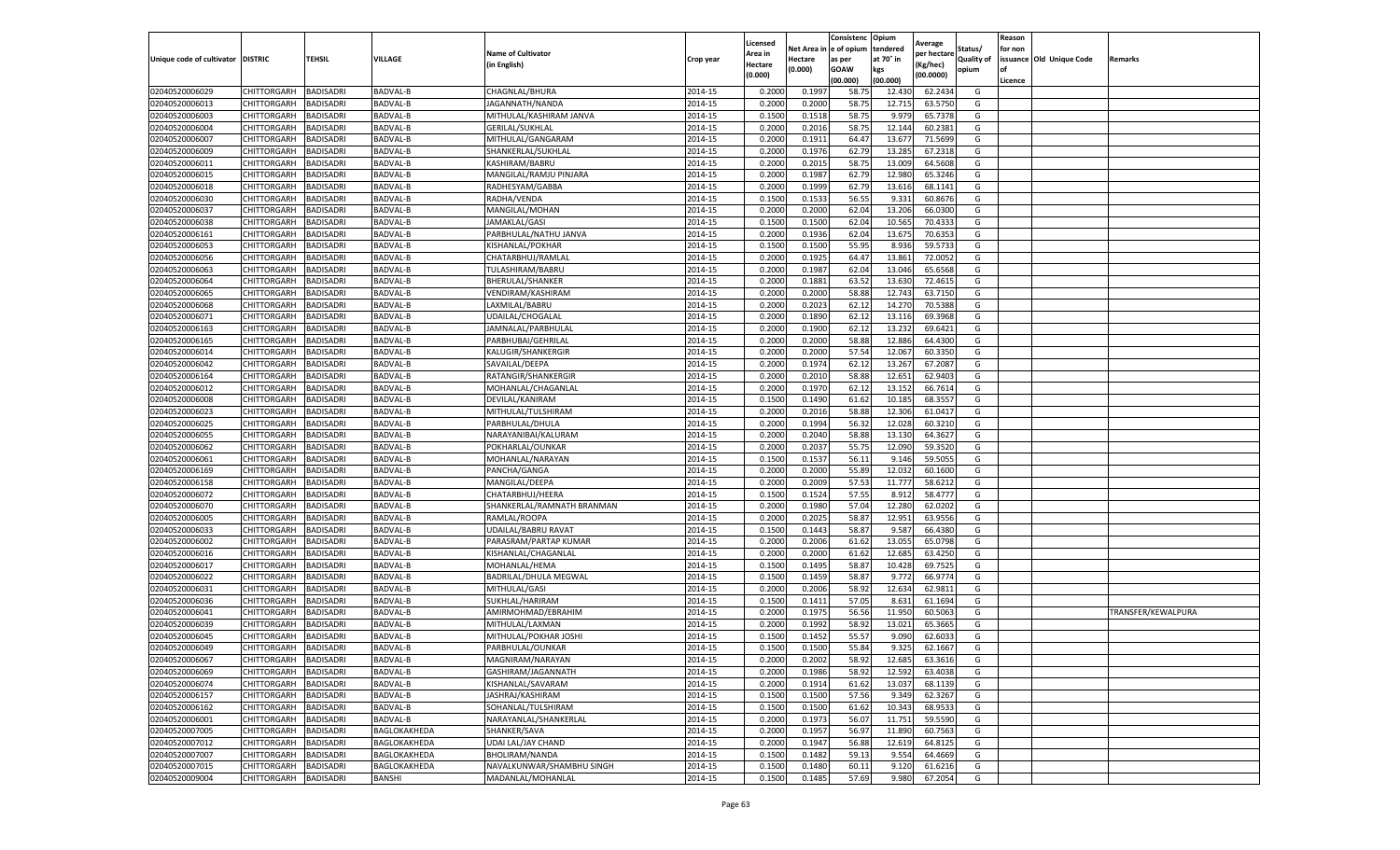|                           |                       |                  |                 |                            |           | Licensed |         | Consistenc             | Opium     |                        |            | Reason  |                          |                    |
|---------------------------|-----------------------|------------------|-----------------|----------------------------|-----------|----------|---------|------------------------|-----------|------------------------|------------|---------|--------------------------|--------------------|
|                           |                       |                  |                 | <b>Name of Cultivator</b>  |           | Area in  |         | Net Area in e of opium | tendered  | Average<br>oer hectare | Status/    | for non |                          |                    |
| Unique code of cultivator | <b>DISTRIC</b>        | TEHSIL           | VILLAGE         | in English)                | Crop year | Hectare  | Hectare | as per                 | at 70° in | (Kg/hec                | Quality of |         | issuance Old Unique Code | <b>Remarks</b>     |
|                           |                       |                  |                 |                            |           | (0.000)  | (0.000) | <b>GOAW</b>            | kgs       | (00.0000)              | opium      |         |                          |                    |
|                           |                       |                  |                 |                            |           |          |         | (00.000)               | (00.000)  |                        |            | Licence |                          |                    |
| 02040520006029            | CHITTORGARH           | <b>BADISADRI</b> | BADVAL-B        | CHAGNLAL/BHURA             | 2014-15   | 0.2000   | 0.1997  | 58.7                   | 12.43     | 62.2434                | G          |         |                          |                    |
| 02040520006013            | CHITTORGARH           | <b>BADISADRI</b> | <b>BADVAL-B</b> | JAGANNATH/NANDA            | 2014-15   | 0.2000   | 0.2000  | 58.75                  | 12.71     | 63.5750                | G          |         |                          |                    |
| 02040520006003            | CHITTORGARH           | <b>BADISADRI</b> | <b>BADVAL-B</b> | MITHULAL/KASHIRAM JANVA    | 2014-15   | 0.1500   | 0.1518  | 58.75                  | 9.979     | 65.7378                | G          |         |                          |                    |
| 02040520006004            | CHITTORGARH           | <b>BADISADRI</b> | BADVAL-B        | <b>GERILAL/SUKHLAL</b>     | 2014-15   | 0.2000   | 0.2016  | 58.75                  | 12.144    | 60.2381                | G          |         |                          |                    |
| 12040520006007            | CHITTORGARH           | <b>BADISADRI</b> | BADVAL-B        | MITHULAL/GANGARAN          | 2014-15   | 0.2000   | 0.1911  | 64.47                  | 13.67     | 71.5699                | G          |         |                          |                    |
| 02040520006009            | CHITTORGARH           | <b>BADISADRI</b> | <b>BADVAL-B</b> | SHANKERLAL/SUKHLAL         | 2014-15   | 0.2000   | 0.1976  | 62.79                  | 13.285    | 67.2318                | G          |         |                          |                    |
| 02040520006011            | CHITTORGARH           | <b>BADISADRI</b> | BADVAL-B        | KASHIRAM/BABRU             | 2014-15   | 0.2000   | 0.2015  | 58.75                  | 13.009    | 64.5608                | G          |         |                          |                    |
| 02040520006015            | CHITTORGARH           | BADISADRI        | BADVAL-B        | MANGILAL/RAMJU PINJARA     | 2014-15   | 0.2000   | 0.1987  | 62.79                  | 12.98     | 65.3246                | G          |         |                          |                    |
| 02040520006018            | CHITTORGARH           | <b>BADISADRI</b> | <b>BADVAL-B</b> | RADHESYAM/GABBA            | 2014-15   | 0.2000   | 0.1999  | 62.79                  | 13.61     | 68.1141                | G          |         |                          |                    |
| 02040520006030            | CHITTORGARH           | <b>BADISADRI</b> | BADVAL-B        | RADHA/VENDA                | 2014-15   | 0.1500   | 0.1533  | 56.55                  | 9.331     | 60.8676                | G          |         |                          |                    |
| 02040520006037            | CHITTORGARH           | <b>BADISADRI</b> | BADVAL-B        | MANGILAL/MOHAN             | 2014-15   | 0.2000   | 0.2000  | 62.04                  | 13.206    | 66.0300                | G          |         |                          |                    |
| 02040520006038            | CHITTORGARH           | <b>BADISADRI</b> | BADVAL-B        | JAMAKLAL/GASI              | 2014-15   | 0.1500   | 0.1500  | 62.04                  | 10.565    | 70.4333                | G          |         |                          |                    |
| 02040520006161            | CHITTORGARH           | <b>BADISADRI</b> | BADVAL-B        | PARBHULAL/NATHU JANVA      | 2014-15   | 0.2000   | 0.1936  | 62.04                  | 13.67     | 70.6353                | G          |         |                          |                    |
| 02040520006053            | CHITTORGARH           | <b>BADISADRI</b> | BADVAL-B        | KISHANLAL/POKHAR           | 2014-15   | 0.1500   | 0.1500  | 55.95                  | 8.936     | 59.573                 | G          |         |                          |                    |
| 02040520006056            | CHITTORGARH           | <b>BADISADRI</b> | BADVAL-B        | CHATARBHUJ/RAMLAI          | 2014-15   | 0.2000   | 0.1925  | 64.47                  | 13.861    | 72.0052                | G          |         |                          |                    |
| 02040520006063            | CHITTORGARH           | <b>BADISADRI</b> | <b>BADVAL-B</b> | TULASHIRAM/BABRU           | 2014-15   | 0.2000   | 0.1987  | 62.04                  | 13.046    | 65.6568                | G          |         |                          |                    |
| 02040520006064            | CHITTORGARH           | <b>BADISADRI</b> | BADVAL-B        | BHERULAL/SHANKER           | 2014-15   | 0.2000   | 0.1881  | 63.52                  | 13.630    | 72.4615                | G          |         |                          |                    |
| 02040520006065            | CHITTORGARH           | <b>BADISADRI</b> | BADVAL-B        | VENDIRAM/KASHIRAM          | 2014-15   | 0.2000   | 0.2000  | 58.88                  | 12.74     | 63.7150                | G          |         |                          |                    |
| 02040520006068            | CHITTORGARH           | <b>BADISADRI</b> | BADVAL-B        | LAXMILAL/BABRU             | 2014-15   | 0.2000   | 0.2023  | 62.12                  | 14.27     | 70.5388                | G          |         |                          |                    |
| 02040520006071            | CHITTORGARH           | <b>BADISADRI</b> | BADVAL-B        | UDAILAL/CHOGALAL           | 2014-15   | 0.2000   | 0.1890  | 62.12                  | 13.11     | 69.3968                | G          |         |                          |                    |
| 02040520006163            | CHITTORGARH           | <b>BADISADRI</b> | BADVAL-B        | JAMNALAL/PARBHULAL         | 2014-15   | 0.2000   | 0.1900  | 62.12                  | 13.232    | 69.6421                | G          |         |                          |                    |
| 02040520006165            | CHITTORGARH           | <b>BADISADRI</b> | BADVAL-B        | PARBHUBAI/GEHRILAL         | 2014-15   | 0.2000   | 0.2000  | 58.88                  | 12.886    | 64.4300                | G          |         |                          |                    |
| 02040520006014            | CHITTORGARH           | <b>BADISADRI</b> | BADVAL-B        | KALUGIR/SHANKERGIR         | 2014-15   | 0.2000   | 0.2000  | 57.54                  | 12.067    | 60.3350                | G          |         |                          |                    |
| 02040520006042            | CHITTORGARH           | <b>BADISADRI</b> | BADVAL-B        | SAVAILAL/DEEPA             | 2014-15   | 0.2000   | 0.1974  | 62.12                  | 13.267    | 67.2087                | G          |         |                          |                    |
| 02040520006164            | CHITTORGARH           | <b>BADISADRI</b> | BADVAL-B        | RATANGIR/SHANKERGIR        | 2014-15   | 0.2000   | 0.2010  | 58.88                  | 12.65     | 62.9403                | G          |         |                          |                    |
| 02040520006012            | CHITTORGARH           | <b>BADISADRI</b> | BADVAL-B        | MOHANLAL/CHAGANLAI         | 2014-15   | 0.2000   | 0.1970  | 62.12                  | 13.152    | 66.7614                | G          |         |                          |                    |
| 02040520006008            | CHITTORGARH           | BADISADRI        | BADVAL-B        | DEVILAL/KANIRAM            | 2014-15   | 0.1500   | 0.1490  | 61.62                  | 10.18     | 68.3557                | G          |         |                          |                    |
| 02040520006023            | CHITTORGARH           | <b>BADISADRI</b> | BADVAL-B        | MITHULAL/TULSHIRAM         | 2014-15   | 0.2000   | 0.2016  | 58.88                  | 12.306    | 61.0417                | G          |         |                          |                    |
| 02040520006025            | CHITTORGARH           | <b>BADISADRI</b> | BADVAL-B        | PARBHULAL/DHULA            | 2014-15   | 0.2000   | 0.1994  | 56.32                  | 12.028    | 60.3210                | G          |         |                          |                    |
| 02040520006055            | CHITTORGARH           | <b>BADISADRI</b> | BADVAL-B        | NARAYANIBAI/KALURAM        | 2014-15   | 0.2000   | 0.2040  | 58.88                  | 13.13     | 64.3627                | G          |         |                          |                    |
| 02040520006062            | CHITTORGARH           | <b>BADISADRI</b> | BADVAL-B        | POKHARLAL/OUNKAR           | 2014-15   | 0.2000   | 0.2037  | 55.7                   | 12.09     | 59.3520                | G          |         |                          |                    |
| 02040520006061            | CHITTORGARH           | <b>BADISADRI</b> | BADVAL-B        | MOHANLAL/NARAYAN           | 2014-15   | 0.1500   | 0.1537  | 56.11                  | 9.146     | 59.5055                | G          |         |                          |                    |
| 02040520006169            | CHITTORGARH           | <b>BADISADRI</b> | BADVAL-B        | PANCHA/GANGA               | 2014-15   | 0.2000   | 0.2000  | 55.89                  | 12.03     | 60.1600                | G          |         |                          |                    |
| 02040520006158            | CHITTORGARH           | <b>BADISADRI</b> | BADVAL-B        | MANGILAL/DEEPA             | 2014-15   | 0.2000   | 0.2009  | 57.53                  | 11.777    | 58.6212                | G          |         |                          |                    |
| 02040520006072            | CHITTORGARH           | <b>BADISADRI</b> | BADVAL-B        | CHATARBHUJ/HEERA           | 2014-15   | 0.1500   | 0.1524  | 57.55                  | 8.912     | 58.4777                | G          |         |                          |                    |
| 02040520006070            | CHITTORGARH           | <b>BADISADRI</b> | BADVAL-B        | SHANKERLAL/RAMNATH BRANMAN | 2014-15   | 0.2000   | 0.1980  | 57.04                  | 12.28     | 62.0202                | G          |         |                          |                    |
| 02040520006005            | CHITTORGARH           | <b>BADISADRI</b> | BADVAL-B        | RAMLAL/ROOPA               | 2014-15   | 0.2000   | 0.2025  | 58.87                  | 12.951    | 63.9556                | G          |         |                          |                    |
| 02040520006033            | CHITTORGARH           | <b>BADISADRI</b> | BADVAL-B        | UDAILAL/BABRU RAVAT        | 2014-15   | 0.1500   | 0.1443  | 58.87                  | 9.58      | 66.4380                | G          |         |                          |                    |
| 02040520006002            | CHITTORGARH           | BADISADRI        | BADVAL-B        | PARASRAM/PARTAP KUMAR      | 2014-15   | 0.2000   | 0.2006  | 61.62                  | 13.055    | 65.0798                | G          |         |                          |                    |
| 02040520006016            | CHITTORGARH           | <b>BADISADRI</b> | BADVAL-B        | KISHANLAL/CHAGANLAL        | 2014-15   | 0.2000   | 0.2000  | 61.62                  | 12.685    | 63.4250                | G          |         |                          |                    |
| 02040520006017            | CHITTORGARH           | <b>BADISADRI</b> | BADVAL-B        | MOHANLAL/HEMA              | 2014-15   | 0.1500   | 0.1495  | 58.87                  | 10.428    | 69.7525                | G          |         |                          |                    |
| 02040520006022            | CHITTORGARH           | <b>BADISADRI</b> | BADVAL-B        | BADRILAL/DHULA MEGWAL      | 2014-15   | 0.1500   | 0.1459  | 58.87                  | 9.772     | 66.9774                | G          |         |                          |                    |
| 02040520006031            | CHITTORGARH           | <b>BADISADRI</b> | BADVAL-B        | MITHULAL/GASI              | 2014-15   | 0.2000   | 0.2006  | 58.92                  | 12.634    | 62.9811                | G          |         |                          |                    |
| 02040520006036            | CHITTORGARH           | <b>BADISADRI</b> | BADVAL-B        | SUKHLAL/HARIRAM            | 2014-15   | 0.1500   | 0.1411  | 57.05                  | 8.631     | 61.1694                | G          |         |                          |                    |
| 02040520006041            | CHITTORGARH           | <b>BADISADRI</b> | BADVAL-B        | AMIRMOHMAD/EBRAHIM         | 2014-15   | 0.2000   | 0.1975  | 56.56                  | 11.950    | 60.5063                | G          |         |                          | TRANSFER/KEWALPURA |
| 02040520006039            | CHITTORGARH           | BADISADRI        | BADVAL-B        | MITHULAL/LAXMAN            | 2014-15   | 0.2000   | 0.1992  | 58.92                  | 13.021    | 65.3665                | G          |         |                          |                    |
| 02040520006045            | CHITTORGARH           | <b>BADISADRI</b> | <b>BADVAL-B</b> | MITHULAL/POKHAR JOSHI      | 2014-15   | 0.1500   | 0.1452  | 55.57                  | 9.090     | 62.6033                | G          |         |                          |                    |
| 02040520006049            | CHITTORGARH           | <b>BADISADRI</b> | BADVAL-B        | PARBHULAL/OUNKAR           | 2014-15   | 0.1500   | 0.1500  | 55.84                  | 9.325     | 62.1667                | G          |         |                          |                    |
| 02040520006067            | CHITTORGARH BADISADRI |                  | BADVAL-B        | MAGNIRAM/NARAYAN           | 2014-15   | 0.2000   | 0.2002  | 58.92                  | 12.685    | 63.3616                | G          |         |                          |                    |
| 02040520006069            | CHITTORGARH           | <b>BADISADRI</b> | BADVAL-B        | GASHIRAM/JAGANNATH         | 2014-15   | 0.2000   | 0.1986  | 58.92                  | 12.592    | 63.4038                | G          |         |                          |                    |
| 02040520006074            | <b>CHITTORGARH</b>    | <b>BADISADRI</b> | BADVAL-B        | KISHANLAL/SAVARAM          | 2014-15   | 0.2000   | 0.1914  | 61.62                  | 13.037    | 68.1139                | G          |         |                          |                    |
| 02040520006157            | <b>CHITTORGARH</b>    | <b>BADISADRI</b> | BADVAL-B        | JASHRAJ/KASHIRAM           | 2014-15   | 0.1500   | 0.1500  | 57.56                  | 9.349     | 62.3267                | G          |         |                          |                    |
| 02040520006162            | <b>CHITTORGARH</b>    | <b>BADISADRI</b> | BADVAL-B        | SOHANLAL/TULSHIRAM         | 2014-15   | 0.1500   | 0.1500  | 61.62                  | 10.343    | 68.9533                | G          |         |                          |                    |
| 02040520006001            | <b>CHITTORGARH</b>    | <b>BADISADRI</b> | BADVAL-B        | NARAYANLAL/SHANKERLAL      | 2014-15   | 0.2000   | 0.1973  | 56.07                  | 11.751    | 59.5590                | G          |         |                          |                    |
| 02040520007005            | CHITTORGARH           | <b>BADISADRI</b> | BAGLOKAKHEDA    | SHANKER/SAVA               | 2014-15   | 0.2000   | 0.1957  | 56.97                  | 11.890    | 60.7563                | G          |         |                          |                    |
| 02040520007012            | CHITTORGARH           | <b>BADISADRI</b> | BAGLOKAKHEDA    | UDAI LAL/JAY CHAND         | 2014-15   | 0.2000   | 0.1947  | 56.88                  | 12.619    | 64.8125                | G          |         |                          |                    |
| 02040520007007            | CHITTORGARH           | <b>BADISADRI</b> | BAGLOKAKHEDA    | BHOLIRAM/NANDA             | 2014-15   | 0.1500   | 0.1482  | 59.13                  | 9.554     | 64.4669                | G          |         |                          |                    |
| 02040520007015            | CHITTORGARH           | <b>BADISADRI</b> | BAGLOKAKHEDA    | NAVALKUNWAR/SHAMBHU SINGH  | 2014-15   | 0.1500   | 0.1480  | 60.11                  | 9.120     | 61.6216                | G          |         |                          |                    |
| 02040520009004            | <b>CHITTORGARH</b>    | <b>BADISADRI</b> | BANSHI          | MADANLAL/MOHANLAL          | 2014-15   | 0.1500   | 0.1485  | 57.69                  | 9.980     | 67.2054                | G          |         |                          |                    |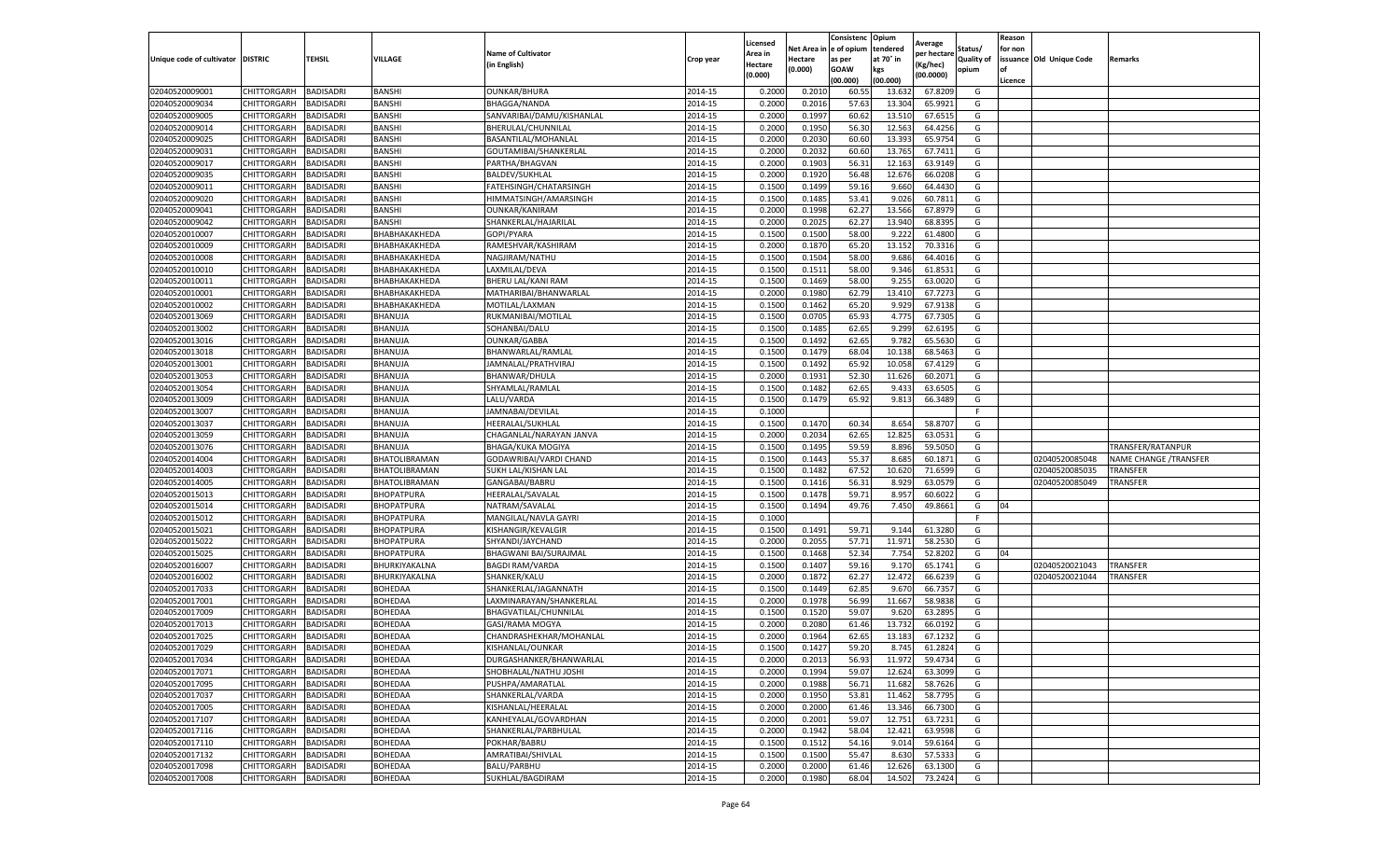|                           |                    |                  |                   |                           |           | Licensed |         | Consistenc             | Opium     |                        |                   | Reason  |                          |                        |
|---------------------------|--------------------|------------------|-------------------|---------------------------|-----------|----------|---------|------------------------|-----------|------------------------|-------------------|---------|--------------------------|------------------------|
|                           |                    |                  |                   | <b>Name of Cultivator</b> |           | Area in  |         | Net Area in e of opium | tendered  | Average<br>per hectare | Status/           | for non |                          |                        |
| Unique code of cultivator | <b>DISTRIC</b>     | TEHSIL           | VILLAGE           | in English)               | Crop year | Hectare  | Hectare | as per                 | at 70° in | (Kg/hec                | <b>Quality of</b> |         | issuance Old Unique Code | <b>Remarks</b>         |
|                           |                    |                  |                   |                           |           | (0.000)  | (0.000) | <b>GOAW</b>            | kgs       | (00.0000)              | opium             |         |                          |                        |
|                           |                    |                  |                   |                           |           |          |         | (00.000)               | (00.000)  |                        |                   | Licence |                          |                        |
| 02040520009001            | CHITTORGARH        | <b>BADISADRI</b> | <b>BANSHI</b>     | OUNKAR/BHURA              | 2014-15   | 0.2000   | 0.2010  | 60.55                  | 13.63     | 67.8209                | G                 |         |                          |                        |
| 02040520009034            | CHITTORGARH        | <b>BADISADRI</b> | <b>BANSHI</b>     | <b>BHAGGA/NANDA</b>       | 2014-15   | 0.2000   | 0.2016  | 57.63                  | 13.304    | 65.9921                | G                 |         |                          |                        |
| 02040520009005            | CHITTORGARH        | <b>BADISADRI</b> | BANSHI            | SANVARIBAI/DAMU/KISHANLAL | 2014-15   | 0.2000   | 0.1997  | 60.62                  | 13.51     | 67.6515                | G                 |         |                          |                        |
| 02040520009014            | CHITTORGARH        | <b>BADISADRI</b> | BANSHI            | BHERULAL/CHUNNILAL        | 2014-15   | 0.2000   | 0.1950  | 56.30                  | 12.563    | 64.4256                | G                 |         |                          |                        |
| 02040520009025            | CHITTORGARH        | <b>BADISADRI</b> | <b>BANSHI</b>     | BASANTILAL/MOHANLAL       | 2014-15   | 0.2000   | 0.2030  | 60.60                  | 13.393    | 65.9754                | G                 |         |                          |                        |
| 02040520009031            | CHITTORGARH        | <b>BADISADRI</b> | <b>BANSHI</b>     | GOUTAMIBAI/SHANKERLAL     | 2014-15   | 0.2000   | 0.2032  | 60.60                  | 13.765    | 67.7411                | G                 |         |                          |                        |
| 02040520009017            | CHITTORGARH        | <b>BADISADRI</b> | <b>BANSHI</b>     | PARTHA/BHAGVAN            | 2014-15   | 0.2000   | 0.1903  | 56.31                  | 12.163    | 63.9149                | G                 |         |                          |                        |
| 02040520009035            | CHITTORGARH        | BADISADRI        | <b>BANSHI</b>     | <b>BALDEV/SUKHLAL</b>     | 2014-15   | 0.2000   | 0.1920  | 56.48                  | 12.676    | 66.0208                | G                 |         |                          |                        |
| 02040520009011            | CHITTORGARH        | <b>BADISADRI</b> | BANSHI            | FATEHSINGH/CHATARSINGH    | 2014-15   | 0.1500   | 0.1499  | 59.16                  | 9.660     | 64.4430                | G                 |         |                          |                        |
| 02040520009020            | CHITTORGARH        | <b>BADISADRI</b> | BANSHI            | HIMMATSINGH/AMARSINGH     | 2014-15   | 0.1500   | 0.1485  | 53.41                  | 9.026     | 60.7811                | G                 |         |                          |                        |
| 02040520009041            | CHITTORGARH        | <b>BADISADRI</b> | <b>BANSHI</b>     | <b>OUNKAR/KANIRAM</b>     | 2014-15   | 0.2000   | 0.1998  | 62.27                  | 13.566    | 67.8979                | G                 |         |                          |                        |
| 02040520009042            | CHITTORGARH        | <b>BADISADRI</b> | BANSHI            | SHANKERLAL/HAJARILAL      | 2014-15   | 0.2000   | 0.2025  | 62.27                  | 13.94     | 68.8395                | G                 |         |                          |                        |
| 02040520010007            | CHITTORGARH        | <b>BADISADRI</b> | ВНАВНАКАКНЕDА     | GOPI/PYARA                | 2014-15   | 0.1500   | 0.1500  | 58.00                  | 9.222     | 61.4800                | G                 |         |                          |                        |
| 02040520010009            | CHITTORGARH        | <b>BADISADRI</b> | ВНАВНАКАКНЕДА     | RAMESHVAR/KASHIRAM        | 2014-15   | 0.2000   | 0.1870  | 65.20                  | 13.15     | 70.3316                | G                 |         |                          |                        |
| 02040520010008            | CHITTORGARH        | <b>BADISADRI</b> | ВНАВНАКАКНЕDА     | NAGJIRAM/NATHU            | 2014-15   | 0.1500   | 0.1504  | 58.00                  | 9.686     | 64.4016                | G                 |         |                          |                        |
| 02040520010010            | CHITTORGARH        | <b>BADISADRI</b> | ВНАВНАКАКНЕDА     | LAXMILAL/DEVA             | 2014-15   | 0.1500   | 0.1511  | 58.00                  | 9.346     | 61.8531                | G                 |         |                          |                        |
| 02040520010011            | CHITTORGARH        | <b>BADISADRI</b> | ВНАВНАКАКНЕDА     | BHERU LAL/KANI RAM        | 2014-15   | 0.1500   | 0.1469  | 58.00                  | 9.255     | 63.0020                | G                 |         |                          |                        |
| 02040520010001            | CHITTORGARH        | <b>BADISADRI</b> | ВНАВНАКАКНЕDА     | MATHARIBAI/BHANWARLAL     | 2014-15   | 0.2000   | 0.1980  | 62.79                  | 13.41     | 67.7273                | G                 |         |                          |                        |
| 02040520010002            | CHITTORGARH        | <b>BADISADRI</b> | ВНАВНАКАКНЕDА     | MOTILAL/LAXMAN            | 2014-15   | 0.1500   | 0.1462  | 65.20                  | 9.929     | 67.9138                | G                 |         |                          |                        |
| 02040520013069            | CHITTORGARH        | <b>BADISADRI</b> | BHANUJA           | RUKMANIBAI/MOTILAL        | 2014-15   | 0.1500   | 0.0705  | 65.93                  | 4.775     | 67.7305                | G                 |         |                          |                        |
| 02040520013002            | CHITTORGARH        | <b>BADISADRI</b> | BHANUJA           | SOHANBAI/DALU             | 2014-15   | 0.1500   | 0.1485  | 62.65                  | 9.299     | 62.6195                | G                 |         |                          |                        |
| 02040520013016            | CHITTORGARH        | <b>BADISADRI</b> | BHANUJA           | <b>OUNKAR/GABBA</b>       | 2014-15   | 0.1500   | 0.1492  | 62.65                  | 9.782     | 65.5630                | G                 |         |                          |                        |
| 02040520013018            | CHITTORGARH        | <b>BADISADRI</b> | BHANUJA           | BHANWARLAL/RAMLAL         | 2014-15   | 0.1500   | 0.1479  | 68.04                  | 10.138    | 68.5463                | G                 |         |                          |                        |
| 02040520013001            | CHITTORGARH        | <b>BADISADRI</b> | BHANUJA           | JAMNALAL/PRATHVIRAJ       | 2014-15   | 0.1500   | 0.1492  | 65.92                  | 10.058    | 67.4129                | G                 |         |                          |                        |
| 02040520013053            | CHITTORGARH        | <b>BADISADRI</b> | BHANUJA           | BHANWAR/DHULA             | 2014-15   | 0.2000   | 0.1931  | 52.30                  | 11.626    | 60.2071                | G                 |         |                          |                        |
| 02040520013054            | CHITTORGARH        | <b>BADISADRI</b> | BHANUJA           | SHYAMLAL/RAMLAL           | 2014-15   | 0.1500   | 0.1482  | 62.65                  | 9.433     | 63.6505                | G                 |         |                          |                        |
| 02040520013009            | CHITTORGARH        | <b>BADISADRI</b> | BHANUJA           | LALU/VARDA                | 2014-15   | 0.1500   | 0.1479  | 65.92                  | 9.813     | 66.3489                | G                 |         |                          |                        |
| 02040520013007            | CHITTORGARH        | <b>BADISADRI</b> | BHANUJA           | JAMNABAI/DEVILAL          | 2014-15   | 0.1000   |         |                        |           |                        | F.                |         |                          |                        |
| 02040520013037            | CHITTORGARH        | <b>BADISADRI</b> | BHANUJA           | HEERALAL/SUKHLAL          | 2014-15   | 0.1500   | 0.1470  | 60.34                  | 8.654     | 58.8707                | G                 |         |                          |                        |
| 02040520013059            | CHITTORGARH        | <b>BADISADRI</b> | BHANUJA           | CHAGANLAL/NARAYAN JANVA   | 2014-15   | 0.2000   | 0.2034  | 62.65                  | 12.825    | 63.0531                | G                 |         |                          |                        |
| 02040520013076            | CHITTORGARH        | <b>BADISADRI</b> | BHANUJA           | BHAGA/KUKA MOGIYA         | 2014-15   | 0.1500   | 0.1495  | 59.59                  | 8.896     | 59.5050                | G                 |         |                          | TRANSFER/RATANPUR      |
| 02040520014004            | CHITTORGARH        | <b>BADISADRI</b> | BHATOLIBRAMAN     | GODAWRIBAI/VARDI CHAND    | 2014-15   | 0.1500   | 0.1443  | 55.37                  | 8.685     | 60.1871                | G                 |         | 02040520085048           | NAME CHANGE / TRANSFER |
| 02040520014003            | CHITTORGARH        | <b>BADISADRI</b> | BHATOLIBRAMAN     | SUKH LAL/KISHAN LAI       | 2014-15   | 0.1500   | 0.1482  | 67.52                  | 10.62     | 71.6599                | G                 |         | 02040520085035           | TRANSFER               |
| 02040520014005            | CHITTORGARH        | <b>BADISADRI</b> | BHATOLIBRAMAN     | GANGABAI/BABRU            | 2014-15   | 0.1500   | 0.1416  | 56.31                  | 8.929     | 63.0579                | G                 |         | 02040520085049           | TRANSFER               |
| 02040520015013            | CHITTORGARH        | <b>BADISADRI</b> | BHOPATPURA        | HEERALAL/SAVALAL          | 2014-15   | 0.1500   | 0.1478  | 59.71                  | 8.957     | 60.6022                | G                 |         |                          |                        |
| 02040520015014            | CHITTORGARH        | <b>BADISADRI</b> | BHOPATPURA        | NATRAM/SAVALAL            | 2014-15   | 0.1500   | 0.1494  | 49.76                  | 7.450     | 49.8661                | G                 | 04      |                          |                        |
| 02040520015012            | CHITTORGARH        | <b>BADISADRI</b> | <b>BHOPATPURA</b> | MANGILAL/NAVLA GAYRI      | 2014-15   | 0.1000   |         |                        |           |                        | F                 |         |                          |                        |
| 02040520015021            | CHITTORGARH        | <b>BADISADRI</b> | <b>BHOPATPURA</b> | KISHANGIR/KEVALGIF        | 2014-15   | 0.1500   | 0.1491  | 59.71                  | 9.14      | 61.3280                | G                 |         |                          |                        |
| 02040520015022            | CHITTORGARH        | BADISADRI        | BHOPATPURA        | SHYANDI/JAYCHAND          | 2014-15   | 0.2000   | 0.2055  | 57.71                  | 11.97     | 58.2530                | G                 |         |                          |                        |
| 02040520015025            | CHITTORGARH        | <b>BADISADRI</b> | BHOPATPURA        | BHAGWANI BAI/SURAJMAL     | 2014-15   | 0.1500   | 0.1468  | 52.34                  | 7.754     | 52.8202                | G                 | 04      |                          |                        |
| 02040520016007            | CHITTORGARH        | <b>BADISADRI</b> | BHURKIYAKALNA     | <b>BAGDI RAM/VARDA</b>    | 2014-15   | 0.1500   | 0.1407  | 59.16                  | 9.17      | 65.1741                | G                 |         | 02040520021043           | <b>TRANSFER</b>        |
| 02040520016002            | CHITTORGARH        | <b>BADISADRI</b> | BHURKIYAKALNA     | SHANKER/KALU              | 2014-15   | 0.2000   | 0.1872  | 62.27                  | 12.472    | 66.6239                | G                 |         | 02040520021044           | TRANSFER               |
| 02040520017033            | CHITTORGARH        | <b>BADISADRI</b> | BOHEDAA           | SHANKERLAL/JAGANNATH      | 2014-15   | 0.1500   | 0.1449  | 62.85                  | 9.67      | 66.7357                | G                 |         |                          |                        |
| 02040520017001            | CHITTORGARH        | <b>BADISADRI</b> | BOHEDAA           | LAXMINARAYAN/SHANKERLAI   | 2014-15   | 0.2000   | 0.1978  | 56.99                  | 11.667    | 58.9838                | G                 |         |                          |                        |
| 02040520017009            | <b>CHITTORGARH</b> | <b>BADISADRI</b> | BOHEDAA           | BHAGVATILAL/CHUNNILAL     | 2014-15   | 0.1500   | 0.1520  | 59.07                  | 9.620     | 63.2895                | G                 |         |                          |                        |
| 02040520017013            | CHITTORGARH        | BADISADRI        | BOHEDAA           | GASI/RAMA MOGYA           | 2014-15   | 0.2000   | 0.2080  | 61.46                  | 13.73     | 66.0192                | G                 |         |                          |                        |
| 02040520017025            | CHITTORGARH        | <b>BADISADRI</b> | BOHEDAA           | CHANDRASHEKHAR/MOHANLAL   | 2014-15   | 0.2000   | 0.1964  | 62.65                  | 13.18     | 67.1232                | G                 |         |                          |                        |
| 02040520017029            | CHITTORGARH        | <b>BADISADRI</b> | BOHEDAA           | KISHANLAL/OUNKAR          | 2014-15   | 0.1500   | 0.1427  | 59.20                  | 8.745     | 61.2824                | G                 |         |                          |                        |
| 02040520017034            | CHITTORGARH        | <b>BADISADRI</b> | BOHEDAA           | DURGASHANKER/BHANWARLAL   | 2014-15   | 0.2000   | 0.2013  | 56.93                  | 11.972    | 59.4734                | G                 |         |                          |                        |
| 02040520017071            | CHITTORGARH        | <b>BADISADRI</b> | BOHEDAA           | SHOBHALAL/NATHU JOSHI     | 2014-15   | 0.2000   | 0.1994  | 59.07                  | 12.624    | 63.3099                | G                 |         |                          |                        |
| 02040520017095            | <b>CHITTORGARH</b> | <b>BADISADRI</b> | BOHEDAA           | PUSHPA/AMARATLAL          | 2014-15   | 0.2000   | 0.1988  | 56.71                  | 11.682    | 58.7626                | G                 |         |                          |                        |
| 02040520017037            | CHITTORGARH        | <b>BADISADRI</b> | BOHEDAA           | SHANKERLAL/VARDA          | 2014-15   | 0.2000   | 0.1950  | 53.81                  | 11.462    | 58.7795                | G                 |         |                          |                        |
| 02040520017005            | <b>CHITTORGARH</b> | <b>BADISADRI</b> | BOHEDAA           | KISHANLAL/HEERALAL        | 2014-15   | 0.2000   | 0.2000  | 61.46                  | 13.346    | 66.7300                | G                 |         |                          |                        |
| 02040520017107            | <b>CHITTORGARH</b> | <b>BADISADRI</b> | BOHEDAA           | KANHEYALAL/GOVARDHAN      | 2014-15   | 0.2000   | 0.2001  | 59.07                  | 12.751    | 63.7231                | G                 |         |                          |                        |
| 02040520017116            | CHITTORGARH        | <b>BADISADRI</b> | BOHEDAA           | SHANKERLAL/PARBHULAL      | 2014-15   | 0.2000   | 0.1942  | 58.04                  | 12.421    | 63.9598                | G                 |         |                          |                        |
| 02040520017110            | CHITTORGARH        | <b>BADISADRI</b> | BOHEDAA           | POKHAR/BABRU              | 2014-15   | 0.1500   | 0.1512  | 54.16                  | 9.014     | 59.6164                | G                 |         |                          |                        |
| 02040520017132            | CHITTORGARH        | <b>BADISADRI</b> | BOHEDAA           | AMRATIBAI/SHIVLAL         | 2014-15   | 0.1500   | 0.1500  | 55.47                  | 8.630     | 57.5333                | G                 |         |                          |                        |
| 02040520017098            | CHITTORGARH        | BADISADRI        | BOHEDAA           | BALU/PARBHU               | 2014-15   | 0.2000   | 0.2000  | 61.46                  | 12.626    | 63.1300                | G                 |         |                          |                        |
| 02040520017008            | <b>CHITTORGARH</b> | <b>BADISADRI</b> | BOHEDAA           | SUKHLAL/BAGDIRAM          | 2014-15   | 0.2000   | 0.1980  | 68.04                  | 14.502    | 73.2424                | G                 |         |                          |                        |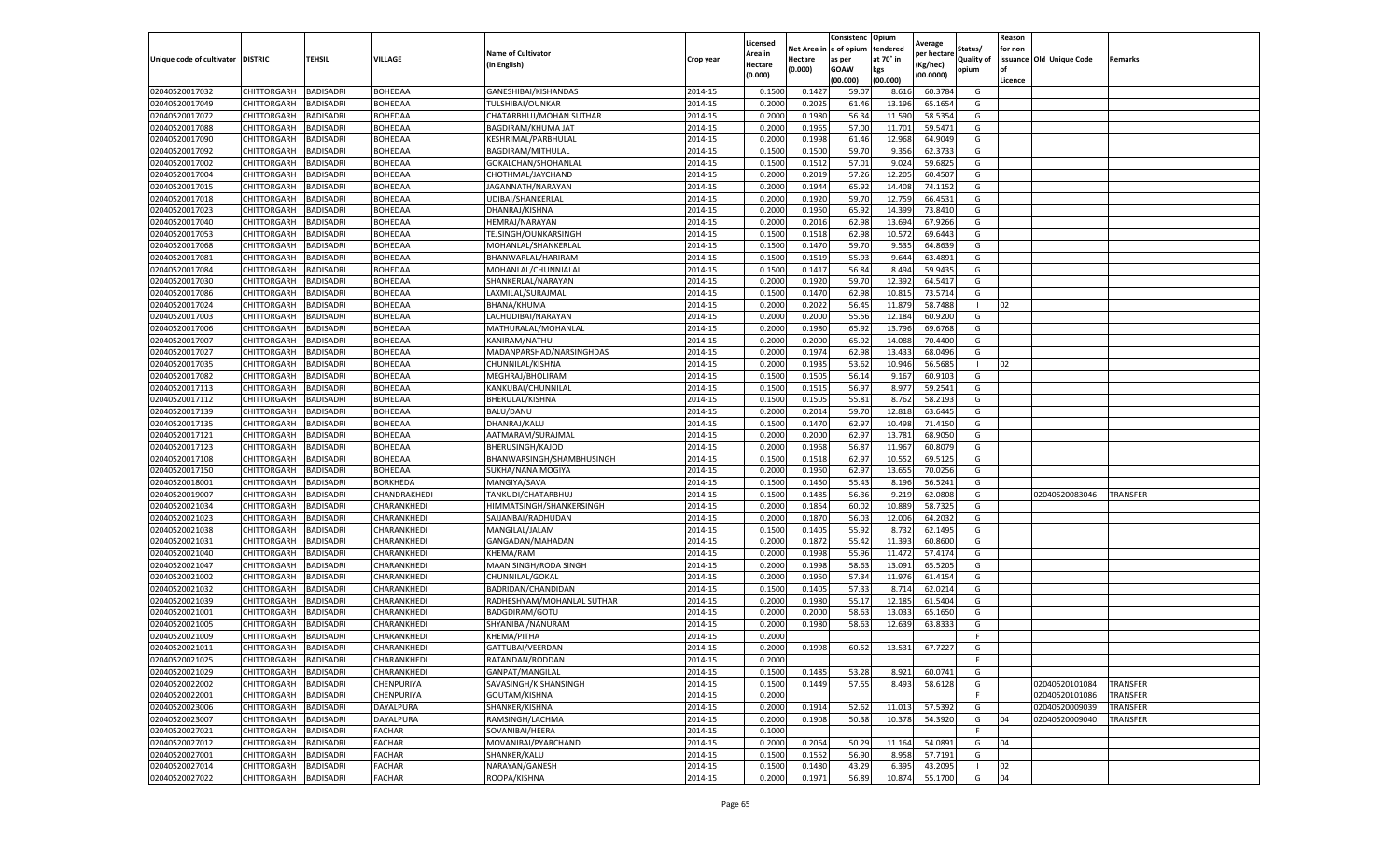|                                   |             |                  |                 |                            |           | Licensed |            | Consistenc  | Opium     |                        |                   | Reason  |                          |                 |
|-----------------------------------|-------------|------------------|-----------------|----------------------------|-----------|----------|------------|-------------|-----------|------------------------|-------------------|---------|--------------------------|-----------------|
|                                   |             |                  |                 | <b>Name of Cultivator</b>  |           | Area in  | Net Area i | e of opium  | tendered  | Average<br>per hectare | Status/           | for non |                          |                 |
| Unique code of cultivator DISTRIC |             | TEHSIL           | VILLAGE         | (in English)               | Crop year | Hectare  | Hectare    | as per      | at 70° in | (Kg/hec)               | <b>Quality of</b> |         | issuance Old Unique Code | Remarks         |
|                                   |             |                  |                 |                            |           | (0.000)  | (0.000)    | <b>GOAW</b> | kgs       | (00.0000)              | opium             | οf      |                          |                 |
|                                   |             |                  |                 |                            |           |          |            | (00.000     | (00.000)  |                        |                   | Licence |                          |                 |
| 02040520017032                    | CHITTORGARH | BADISADRI        | <b>BOHEDAA</b>  | GANESHIBAI/KISHANDAS       | 2014-15   | 0.1500   | 0.142      | 59.07       | 8.616     | 60.3784                | G                 |         |                          |                 |
| 02040520017049                    | CHITTORGARH | BADISADRI        | BOHEDAA         | TULSHIBAI/OUNKAR           | 2014-15   | 0.200    | 0.2025     | 61.46       | 13.196    | 65.1654                | G                 |         |                          |                 |
| 02040520017072                    | CHITTORGARH | BADISADRI        | BOHEDAA         | CHATARBHUJ/MOHAN SUTHAR    | 2014-15   | 0.2000   | 0.1980     | 56.34       | 11.590    | 58.5354                | G                 |         |                          |                 |
| 02040520017088                    | CHITTORGARH | BADISADRI        | BOHEDAA         | <b>BAGDIRAM/KHUMA JAT</b>  | 2014-15   | 0.2000   | 0.1965     | 57.00       | 11.701    | 59.5471                | G                 |         |                          |                 |
| 02040520017090                    | CHITTORGARH | BADISADRI        | BOHEDAA         | KESHRIMAL/PARBHULAL        | 2014-15   | 0.2000   | 0.1998     | 61.46       | 12.968    | 64.9049                | G                 |         |                          |                 |
| 02040520017092                    | CHITTORGARH | BADISADRI        | BOHEDAA         | BAGDIRAM/MITHULAL          | 2014-15   | 0.1500   | 0.1500     | 59.70       | 9.356     | 62.3733                | G                 |         |                          |                 |
| 02040520017002                    | CHITTORGARH | BADISADRI        | BOHEDAA         | GOKALCHAN/SHOHANLAL        | 2014-15   | 0.1500   | 0.1512     | 57.01       | 9.024     | 59.6825                | G                 |         |                          |                 |
| 02040520017004                    | CHITTORGARH | BADISADRI        | BOHEDAA         | CHOTHMAL/JAYCHAND          | 2014-15   | 0.200    | 0.2019     | 57.26       | 12.205    | 60.4507                | G                 |         |                          |                 |
| 02040520017015                    | CHITTORGARH | BADISADRI        | BOHEDAA         | JAGANNATH/NARAYAN          | 2014-15   | 0.2000   | 0.1944     | 65.92       | 14.408    | 74.1152                | G                 |         |                          |                 |
| 02040520017018                    | CHITTORGARH | BADISADRI        | BOHEDAA         | UDIBAI/SHANKERLAL          | 2014-15   | 0.2000   | 0.1920     | 59.70       | 12.759    | 66.4531                | G                 |         |                          |                 |
| 02040520017023                    | CHITTORGARH | BADISADRI        | BOHEDAA         | DHANRAJ/KISHNA             | 2014-15   | 0.2000   | 0.1950     | 65.92       | 14.399    | 73.8410                | G                 |         |                          |                 |
| 02040520017040                    | CHITTORGARH | BADISADRI        | BOHEDAA         | HEMRAJ/NARAYAN             | 2014-15   | 0.2000   | 0.2016     | 62.98       | 13.694    | 67.9266                | G                 |         |                          |                 |
| 02040520017053                    | CHITTORGARH | BADISADRI        | BOHEDAA         | TEJSINGH/OUNKARSINGH       | 2014-15   | 0.1500   | 0.1518     | 62.98       | 10.572    | 69.6443                | G                 |         |                          |                 |
| 02040520017068                    | CHITTORGARH | BADISADRI        | BOHEDAA         | MOHANLAL/SHANKERLAL        | 2014-15   | 0.1500   | 0.1470     | 59.70       | 9.535     | 64.8639                | G                 |         |                          |                 |
| 02040520017081                    | CHITTORGARH | BADISADRI        | BOHEDAA         | BHANWARLAL/HARIRAM         | 2014-15   | 0.1500   | 0.1519     | 55.93       | 9.644     | 63.4891                | G                 |         |                          |                 |
| 02040520017084                    | CHITTORGARH | BADISADRI        | BOHEDAA         | MOHANLAL/CHUNNIALAL        | 2014-15   | 0.1500   | 0.1417     | 56.84       | 8.494     | 59.9435                | G                 |         |                          |                 |
| 02040520017030                    | CHITTORGARH | <b>BADISADRI</b> | BOHEDAA         | SHANKERLAL/NARAYAN         | 2014-15   | 0.2000   | 0.1920     | 59.70       | 12.392    | 64.5417                | G                 |         |                          |                 |
| 02040520017086                    | CHITTORGARH | BADISADRI        | BOHEDAA         | LAXMILAL/SURAJMAL          | 2014-15   | 0.1500   | 0.1470     | 62.98       | 10.815    | 73.5714                | G                 |         |                          |                 |
| 02040520017024                    | CHITTORGARH | BADISADRI        | BOHEDAA         | BHANA/KHUMA                | 2014-15   | 0.2000   | 0.2022     | 56.4        | 11.879    | 58.7488                |                   | 02      |                          |                 |
| 02040520017003                    | CHITTORGARH | BADISADRI        | BOHEDAA         | LACHUDIBAI/NARAYAN         | 2014-15   | 0.2000   | 0.2000     | 55.56       | 12.184    | 60.9200                | G                 |         |                          |                 |
| 02040520017006                    | CHITTORGARH | BADISADRI        | BOHEDAA         | MATHURALAL/MOHANLAL        | 2014-15   | 0.2000   | 0.1980     | 65.92       | 13.796    | 69.6768                | G                 |         |                          |                 |
| 02040520017007                    | CHITTORGARH | BADISADRI        | BOHEDAA         | KANIRAM/NATHU              | 2014-15   | 0.2000   | 0.2000     | 65.92       | 14.088    | 70.4400                | G                 |         |                          |                 |
| 02040520017027                    | CHITTORGARH | BADISADRI        | BOHEDAA         | MADANPARSHAD/NARSINGHDAS   | 2014-15   | 0.2000   | 0.1974     | 62.98       | 13.433    | 68.0496                | G                 |         |                          |                 |
| 02040520017035                    | CHITTORGARH | BADISADRI        | BOHEDAA         | CHUNNILAL/KISHNA           | 2014-15   | 0.2000   | 0.1935     | 53.62       | 10.946    | 56.5685                |                   | 02      |                          |                 |
| 02040520017082                    | CHITTORGARH | BADISADRI        | BOHEDAA         | MEGHRAJ/BHOLIRAM           | 2014-15   | 0.1500   | 0.1505     | 56.14       | 9.167     | 60.9103                | G                 |         |                          |                 |
| 02040520017113                    | CHITTORGARH | BADISADRI        | BOHEDAA         | KANKUBAI/CHUNNILAL         | 2014-15   | 0.1500   | 0.1515     | 56.97       | 8.977     | 59.2541                | G                 |         |                          |                 |
| 02040520017112                    | CHITTORGARH | BADISADRI        | BOHEDAA         | BHERULAL/KISHNA            | 2014-15   | 0.1500   | 0.1505     | 55.81       | 8.762     | 58.2193                | G                 |         |                          |                 |
| 02040520017139                    | CHITTORGARH | BADISADRI        | BOHEDAA         | BALU/DANU                  | 2014-15   | 0.2000   | 0.2014     | 59.70       | 12.818    | 63.6445                | G                 |         |                          |                 |
| 02040520017135                    | CHITTORGARH | BADISADRI        | BOHEDAA         | DHANRAJ/KALU               | 2014-15   | 0.1500   | 0.1470     | 62.97       | 10.498    | 71.4150                | G                 |         |                          |                 |
| 02040520017121                    | CHITTORGARH | BADISADRI        | BOHEDAA         | AATMARAM/SURAJMAL          | 2014-15   | 0.2000   | 0.2000     | 62.97       | 13.781    | 68.9050                | G                 |         |                          |                 |
| 02040520017123                    | CHITTORGARH | BADISADRI        | BOHEDAA         | BHERUSINGH/KAJOD           | 2014-15   | 0.2000   | 0.1968     | 56.87       | 11.967    | 60.8079                | G                 |         |                          |                 |
| 02040520017108                    | CHITTORGARH | BADISADRI        | BOHEDAA         | BHANWARSINGH/SHAMBHUSINGH  | 2014-15   | 0.1500   | 0.1518     | 62.97       | 10.552    | 69.5125                | G                 |         |                          |                 |
| 02040520017150                    | CHITTORGARH | BADISADRI        | BOHEDAA         | SUKHA/NANA MOGIYA          | 2014-15   | 0.200    | 0.1950     | 62.97       | 13.655    | 70.0256                | G                 |         |                          |                 |
| 02040520018001                    | CHITTORGARH | BADISADRI        | <b>BORKHEDA</b> | MANGIYA/SAVA               | 2014-15   | 0.1500   | 0.1450     | 55.43       | 8.196     | 56.5241                | G                 |         |                          |                 |
| 02040520019007                    | CHITTORGARH | BADISADRI        | CHANDRAKHEDI    | TANKUDI/CHATARBHUJ         | 2014-15   | 0.1500   | 0.1485     | 56.36       | 9.219     | 62.0808                | G                 |         | 02040520083046           | TRANSFER        |
| 02040520021034                    | CHITTORGARH | BADISADRI        | CHARANKHEDI     | HIMMATSINGH/SHANKERSINGH   | 2014-15   | 0.2000   | 0.1854     | 60.02       | 10.889    | 58.7325                | G                 |         |                          |                 |
| 02040520021023                    | CHITTORGARH | BADISADRI        | CHARANKHEDI     | SAJJANBAI/RADHUDAN         | 2014-15   | 0.2000   | 0.1870     | 56.03       | 12.006    | 64.2032                | G                 |         |                          |                 |
| 02040520021038                    | CHITTORGARH | BADISADRI        | CHARANKHEDI     | MANGILAL/JALAM             | 2014-15   | 0.1500   | 0.1405     | 55.92       | 8.732     | 62.1495                | G                 |         |                          |                 |
| 02040520021031                    | CHITTORGARH | BADISADRI        | CHARANKHEDI     | GANGADAN/MAHADAN           | 2014-15   | 0.2000   | 0.1872     | 55.42       | 11.393    | 60.8600                | G                 |         |                          |                 |
| 02040520021040                    | CHITTORGARH | BADISADRI        | CHARANKHEDI     | KHEMA/RAM                  | 2014-15   | 0.2000   | 0.1998     | 55.96       | 11.472    | 57.4174                | G                 |         |                          |                 |
| 02040520021047                    | CHITTORGARH | BADISADRI        | CHARANKHEDI     | MAAN SINGH/RODA SINGH      | 2014-15   | 0.2000   | 0.1998     | 58.63       | 13.091    | 65.5205                | G                 |         |                          |                 |
| 02040520021002                    | CHITTORGARH | BADISADRI        | CHARANKHEDI     | CHUNNILAL/GOKAL            | 2014-15   | 0.2000   | 0.1950     | 57.34       | 11.976    | 61.4154                | G                 |         |                          |                 |
| 02040520021032                    | CHITTORGARH | BADISADRI        | CHARANKHEDI     | BADRIDAN/CHANDIDAN         | 2014-15   | 0.1500   | 0.1405     | 57.33       | 8.714     | 62.0214                | G                 |         |                          |                 |
| 02040520021039                    | CHITTORGARH | BADISADRI        | CHARANKHEDI     | RADHESHYAM/MOHANLAL SUTHAR | 2014-15   | 0.2000   | 0.1980     | 55.1        | 12.185    | 61.5404                | G                 |         |                          |                 |
| 02040520021001                    | CHITTORGARH | BADISADRI        | CHARANKHEDI     | BADGDIRAM/GOTU             | 2014-15   | 0.2000   | 0.2000     | 58.63       | 13.033    | 65.1650                | G                 |         |                          |                 |
| 02040520021005                    | CHITTORGARH | BADISADRI        | CHARANKHEDI     | SHYANIBAI/NANURAM          | 2014-15   | 0.200    | 0.1980     | 58.63       | 12.639    | 63.8333                | G                 |         |                          |                 |
| 02040520021009                    | CHITTORGARH | BADISADRI        | CHARANKHEDI     | <b>KHEMA/PITHA</b>         | 2014-15   | 0.2000   |            |             |           |                        | F.                |         |                          |                 |
| 02040520021011                    | CHITTORGARH | <b>BADISADRI</b> | CHARANKHEDI     | GATTUBAI/VEERDAN           | 2014-15   | 0.2000   | 0.1998     | 60.52       | 13.531    | 67.7227                | G                 |         |                          |                 |
| 02040520021025                    | CHITTORGARH | <b>BADISADRI</b> | CHARANKHEDI     | RATANDAN/RODDAN            | 2014-15   | 0.2000   |            |             |           |                        | F.                |         |                          |                 |
| 02040520021029                    | CHITTORGARH | BADISADRI        | CHARANKHEDI     | GANPAT/MANGILAL            | 2014-15   | 0.1500   | 0.1485     | 53.28       | 8.921     | 60.0741                | G                 |         |                          |                 |
| 02040520022002                    | CHITTORGARH | BADISADRI        | CHENPURIYA      | SAVASINGH/KISHANSINGH      | 2014-15   | 0.1500   | 0.1449     | 57.55       | 8.493     | 58.6128                | G                 |         | 02040520101084           | <b>TRANSFER</b> |
| 02040520022001                    | CHITTORGARH | BADISADRI        | CHENPURIYA      | GOUTAM/KISHNA              | 2014-15   | 0.2000   |            |             |           |                        | F                 |         | 02040520101086           | TRANSFER        |
| 02040520023006                    | CHITTORGARH | BADISADRI        | DAYALPURA       | SHANKER/KISHNA             | 2014-15   | 0.2000   | 0.1914     | 52.62       | 11.013    | 57.5392                | G                 |         | 02040520009039           | TRANSFER        |
| 02040520023007                    | CHITTORGARH | <b>BADISADRI</b> | DAYALPURA       | RAMSINGH/LACHMA            | 2014-15   | 0.2000   | 0.1908     | 50.38       | 10.378    | 54.3920                | G                 | 04      | 02040520009040           | TRANSFER        |
| 02040520027021                    | CHITTORGARH | BADISADRI        | FACHAR          | SOVANIBAI/HEERA            | 2014-15   | 0.1000   |            |             |           |                        | F                 |         |                          |                 |
| 02040520027012                    | CHITTORGARH | BADISADRI        | <b>FACHAR</b>   | MOVANIBAI/PYARCHAND        | 2014-15   | 0.2000   | 0.2064     | 50.29       | 11.164    | 54.0891                | G                 | 04      |                          |                 |
| 02040520027001                    | CHITTORGARH | BADISADRI        | FACHAR          | SHANKER/KALU               | 2014-15   | 0.1500   | 0.1552     | 56.90       | 8.958     | 57.7191                | G                 |         |                          |                 |
| 02040520027014                    | CHITTORGARH | BADISADRI        | FACHAR          | NARAYAN/GANESH             | 2014-15   | 0.1500   | 0.1480     | 43.29       | 6.395     | 43.2095                | п                 | 02      |                          |                 |
| 02040520027022                    | CHITTORGARH | <b>BADISADRI</b> | <b>FACHAR</b>   | ROOPA/KISHNA               | 2014-15   | 0.2000   | 0.1971     | 56.89       | 10.874    | 55.1700                | G                 | 04      |                          |                 |
|                                   |             |                  |                 |                            |           |          |            |             |           |                        |                   |         |                          |                 |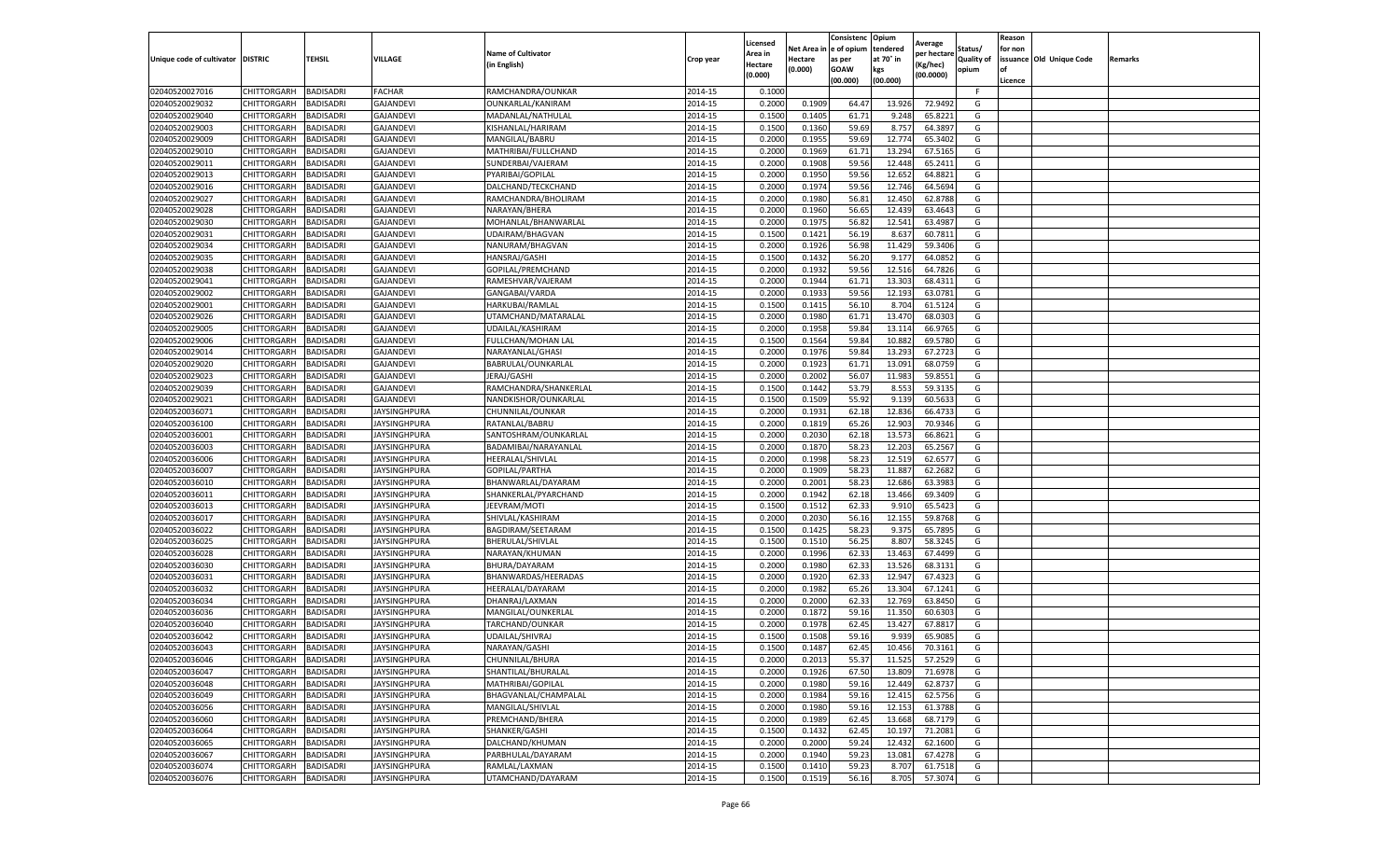|                                  |                            |                                      |                              |                                      |                    | Licensed         |                     | Consistenc Opium      |                       | Average            |                              | Reason  |                          |         |
|----------------------------------|----------------------------|--------------------------------------|------------------------------|--------------------------------------|--------------------|------------------|---------------------|-----------------------|-----------------------|--------------------|------------------------------|---------|--------------------------|---------|
|                                  | <b>DISTRIC</b>             | <b>TEHSIL</b>                        | VILLAGE                      | <b>Name of Cultivator</b>            |                    | Area in          | Net Area<br>Hectare | e of opium            | tendered<br>at 70° in | per hectare        | Status/<br><b>Quality of</b> | for non | issuance Old Unique Code | Remarks |
| Unique code of cultivator        |                            |                                      |                              | in English)                          | Crop year          | <b>Hectare</b>   | (0.000)             | as per<br><b>GOAW</b> | kgs                   | Kg/hec)            | opium                        | of      |                          |         |
|                                  |                            |                                      |                              |                                      |                    | (0.000)          |                     | (00.000)              | (00.000)              | (00.0000)          |                              | Licence |                          |         |
| 02040520027016                   | CHITTORGARH                | <b>BADISADRI</b>                     | <b>FACHAR</b>                | RAMCHANDRA/OUNKAR                    | 2014-15            | 0.1000           |                     |                       |                       |                    | F.                           |         |                          |         |
| 02040520029032                   | CHITTORGARH                | <b>BADISADRI</b>                     | <b>GAJANDEVI</b>             | OUNKARLAL/KANIRAM                    | 2014-15            | 0.2000           | 0.1909              | 64.47                 | 13.926                | 72.9492            | G                            |         |                          |         |
| 02040520029040                   | CHITTORGARH                | <b>BADISADRI</b>                     | <b>GAJANDEVI</b>             | MADANLAL/NATHULAL                    | 2014-15            | 0.1500           | 0.1405              | 61.71                 | 9.248                 | 65.8221            | G                            |         |                          |         |
| 02040520029003                   | CHITTORGARH                | <b>BADISADRI</b>                     | <b>GAJANDEVI</b>             | KISHANLAL/HARIRAM                    | 2014-15            | 0.1500           | 0.1360              | 59.69                 | 8.757                 | 64.3897            | G                            |         |                          |         |
| 02040520029009                   | CHITTORGARH                | <b>BADISADRI</b>                     | GAJANDEVI                    | MANGILAL/BABRU                       | 2014-15            | 0.2000           | 0.1955              | 59.69                 | 12.774                | 65.3402            | G                            |         |                          |         |
| 02040520029010                   | CHITTORGARH                | <b>BADISADRI</b>                     | <b>GAJANDEVI</b>             | MATHRIBAI/FULLCHAND                  | 2014-15            | 0.2000           | 0.1969              | 61.71                 | 13.294                | 67.5165            | G                            |         |                          |         |
| 02040520029011                   | CHITTORGARH                | <b>BADISADRI</b>                     | <b>GAJANDEVI</b>             | SUNDERBAI/VAJERAM                    | 2014-15            | 0.2000           | 0.1908              | 59.56                 | 12.448                | 65.2411            | G                            |         |                          |         |
| 02040520029013                   | CHITTORGARH                | <b>BADISADRI</b>                     | <b>GAJANDEVI</b>             | PYARIBAI/GOPILAL                     | 2014-15            | 0.2000           | 0.1950              | 59.56                 | 12.652                | 64.8821            | G                            |         |                          |         |
| 02040520029016                   | CHITTORGARH                | <b>BADISADRI</b>                     | <b>GAJANDEVI</b>             | DALCHAND/TECKCHAND                   | 2014-15            | 0.2000           | 0.1974              | 59.56                 | 12.746                | 64.5694            | G                            |         |                          |         |
| 02040520029027                   | CHITTORGARH                | <b>BADISADRI</b>                     | GAJANDEVI                    | RAMCHANDRA/BHOLIRAM                  | 2014-15            | 0.2000           | 0.1980              | 56.81                 | 12.450                | 62.8788            | G                            |         |                          |         |
| 02040520029028                   | CHITTORGARH                | <b>BADISADRI</b>                     | GAJANDEVI                    | NARAYAN/BHERA                        | 2014-15            | 0.2000           | 0.1960              | 56.65                 | 12.439                | 63.4643            | G                            |         |                          |         |
| 02040520029030                   | CHITTORGARH                | <b>BADISADRI</b>                     | <b>GAJANDEVI</b>             | MOHANLAL/BHANWARLAI                  | 2014-15            | 0.2000           | 0.1975              | 56.82                 | 12.54                 | 63.4987            | G                            |         |                          |         |
| 02040520029031                   | CHITTORGARH                | BADISADRI                            | <b>GAJANDEVI</b>             | UDAIRAM/BHAGVAN                      | 2014-15            | 0.1500           | 0.1421              | 56.19                 | 8.63                  | 60.7811            | G                            |         |                          |         |
| 02040520029034                   | CHITTORGARH                | <b>BADISADRI</b>                     | <b>GAJANDEVI</b>             | NANURAM/BHAGVAN                      | 2014-15            | 0.2000           | 0.1926              | 56.98                 | 11.429                | 59.3406            | G                            |         |                          |         |
| 02040520029035                   | CHITTORGARH                | <b>BADISADRI</b>                     | <b>GAJANDEVI</b>             | HANSRAJ/GASHI                        | 2014-15            | 0.1500           | 0.1432              | 56.20                 | 9.177                 | 64.0852            | G                            |         |                          |         |
| 02040520029038                   | CHITTORGARH                | <b>BADISADRI</b>                     | <b>GAJANDEVI</b>             | GOPILAL/PREMCHAND                    | 2014-15            | 0.2000           | 0.1932              | 59.56                 | 12.516                | 64.7826            | G                            |         |                          |         |
| 02040520029041                   | CHITTORGARH                | <b>BADISADRI</b>                     | GAJANDEVI                    | RAMESHVAR/VAJERAM                    | 2014-15            | 0.2000           | 0.1944              | 61.71                 | 13.303                | 68.4311            | G                            |         |                          |         |
| 02040520029002                   | CHITTORGARH                | <b>BADISADRI</b>                     | <b>GAJANDEVI</b>             | GANGABAI/VARDA                       | 2014-15            | 0.2000           | 0.1933              | 59.56                 | 12.19                 | 63.0781            | G                            |         |                          |         |
| 02040520029001                   | CHITTORGARH                | <b>BADISADRI</b>                     | <b>GAJANDEVI</b>             | HARKUBAI/RAMLAL                      | 2014-15            | 0.1500           | 0.1415              | 56.10                 | 8.704                 | 61.5124            | G                            |         |                          |         |
| 02040520029026                   | CHITTORGARH                | BADISADRI                            | <b>GAJANDEVI</b>             | UTAMCHAND/MATARALAL                  | 2014-15            | 0.2000           | 0.1980              | 61.71                 | 13.47                 | 68.0303            | G                            |         |                          |         |
| 02040520029005                   | CHITTORGARH                | <b>BADISADRI</b>                     | <b>GAJANDEVI</b>             | UDAILAL/KASHIRAM                     | 2014-15            | 0.2000           | 0.1958              | 59.84                 | 13.114                | 66.9765            | G                            |         |                          |         |
| 02040520029006                   | CHITTORGARH                | <b>BADISADRI</b>                     | <b>GAJANDEVI</b>             | FULLCHAN/MOHAN LAL                   | 2014-15            | 0.1500           | 0.1564              | 59.84                 | 10.882                | 69.5780            | G                            |         |                          |         |
| 02040520029014                   | CHITTORGARH                | <b>BADISADRI</b>                     | <b>GAJANDEVI</b>             | NARAYANLAL/GHASI                     | 2014-15            | 0.2000           | 0.1976              | 59.84                 | 13.293                | 67.2723            | G                            |         |                          |         |
| 02040520029020                   | CHITTORGARH                | <b>BADISADRI</b>                     | <b>GAJANDEVI</b>             | BABRULAL/OUNKARLAL                   | 2014-15            | 0.2000           | 0.1923              | 61.71                 | 13.091                | 68.0759            | G                            |         |                          |         |
| 02040520029023                   | CHITTORGARH                | <b>BADISADRI</b>                     | <b>GAJANDEVI</b>             | JERAJ/GASHI                          | 2014-15            | 0.2000           | 0.2002              | 56.07                 | 11.983                | 59.8551            | G                            |         |                          |         |
| 02040520029039                   | CHITTORGARH                | <b>BADISADRI</b>                     | <b>GAJANDEVI</b>             | RAMCHANDRA/SHANKERLAL                | 2014-15            | 0.1500           | 0.1442              | 53.79                 | 8.553                 | 59.3135            | G                            |         |                          |         |
| 02040520029021                   | CHITTORGARH                | <b>BADISADRI</b>                     | <b>GAJANDEVI</b>             | NANDKISHOR/OUNKARLAL                 | 2014-15            | 0.1500           | 0.1509              | 55.92                 | 9.139                 | 60.5633            | G                            |         |                          |         |
| 02040520036071                   | CHITTORGARH                | <b>BADISADRI</b>                     | <b>JAYSINGHPURA</b>          | CHUNNILAL/OUNKAR                     | 2014-15            | 0.2000           | 0.1931              | 62.18                 | 12.836                | 66.4733            | G                            |         |                          |         |
| 02040520036100                   | CHITTORGARH                | <b>BADISADRI</b>                     | <b>JAYSINGHPURA</b>          | RATANLAL/BABRU                       | 2014-15            | 0.2000           | 0.1819              | 65.26                 | 12.903                | 70.9346            | G                            |         |                          |         |
| 02040520036001                   | CHITTORGARH                | <b>BADISADRI</b><br><b>BADISADRI</b> | JAYSINGHPURA                 | SANTOSHRAM/OUNKARLAL                 | 2014-15            | 0.2000           | 0.2030<br>0.1870    | 62.18<br>58.23        | 13.573                | 66.8621<br>65.2567 | G<br>G                       |         |                          |         |
| 02040520036003                   | CHITTORGARH                |                                      | <b>JAYSINGHPURA</b>          | BADAMIBAI/NARAYANLAL                 | 2014-15            | 0.2000           |                     |                       | 12.203                |                    |                              |         |                          |         |
| 02040520036006                   | CHITTORGARH                | BADISADRI<br><b>BADISADRI</b>        | JAYSINGHPURA                 | HEERALAL/SHIVLAL                     | 2014-15<br>2014-15 | 0.2000<br>0.2000 | 0.1998<br>0.1909    | 58.23<br>58.23        | 12.519                | 62.657<br>62.2682  | G<br>G                       |         |                          |         |
| 02040520036007<br>02040520036010 | CHITTORGARH<br>CHITTORGARH | <b>BADISADRI</b>                     | JAYSINGHPURA<br>JAYSINGHPURA | GOPILAL/PARTHA<br>BHANWARLAL/DAYARAM | 2014-15            | 0.2000           | 0.2001              | 58.23                 | 11.887<br>12.686      | 63.3983            | G                            |         |                          |         |
| 02040520036011                   | CHITTORGARH                | <b>BADISADRI</b>                     | JAYSINGHPURA                 | SHANKERLAL/PYARCHAND                 | 2014-15            | 0.2000           | 0.1942              | 62.18                 | 13.466                | 69.3409            | G                            |         |                          |         |
| 02040520036013                   | CHITTORGARH                | <b>BADISADRI</b>                     | JAYSINGHPURA                 | JEEVRAM/MOTI                         | 2014-15            | 0.1500           | 0.1512              | 62.33                 | 9.91                  | 65.5423            | G                            |         |                          |         |
| 02040520036017                   | CHITTORGARH                | <b>BADISADRI</b>                     | JAYSINGHPURA                 | SHIVLAL/KASHIRAM                     | 2014-15            | 0.2000           | 0.2030              | 56.16                 | 12.15                 | 59.8768            | G                            |         |                          |         |
| 02040520036022                   | CHITTORGARH                | <b>BADISADRI</b>                     | <b>JAYSINGHPURA</b>          | BAGDIRAM/SEETARAM                    | 2014-15            | 0.1500           | 0.1425              | 58.23                 | 9.375                 | 65.7895            | G                            |         |                          |         |
| 02040520036025                   | CHITTORGARH                | <b>BADISADRI</b>                     | JAYSINGHPURA                 | BHERULAL/SHIVLAL                     | 2014-15            | 0.1500           | 0.1510              | 56.25                 | 8.807                 | 58.3245            | G                            |         |                          |         |
| 02040520036028                   | CHITTORGARH                | <b>BADISADRI</b>                     | JAYSINGHPURA                 | NARAYAN/KHUMAN                       | 2014-15            | 0.2000           | 0.1996              | 62.33                 | 13.463                | 67.4499            | G                            |         |                          |         |
| 02040520036030                   | CHITTORGARH                | <b>BADISADRI</b>                     | <b>JAYSINGHPURA</b>          | BHURA/DAYARAM                        | 2014-15            | 0.2000           | 0.1980              | 62.33                 | 13.526                | 68.3131            | G                            |         |                          |         |
| 02040520036031                   | CHITTORGARH                | <b>BADISADRI</b>                     | JAYSINGHPURA                 | BHANWARDAS/HEERADAS                  | 2014-15            | 0.2000           | 0.1920              | 62.33                 | 12.947                | 67.4323            | G                            |         |                          |         |
| 02040520036032                   | CHITTORGARH                | <b>BADISADRI</b>                     | JAYSINGHPURA                 | HEERALAL/DAYARAM                     | 2014-15            | 0.2000           | 0.1982              | 65.26                 | 13.304                | 67.1241            | G                            |         |                          |         |
| 02040520036034                   | CHITTORGARH                | <b>BADISADRI</b>                     | <b>JAYSINGHPURA</b>          | DHANRAJ/LAXMAN                       | 2014-15            | 0.2000           | 0.2000              | 62.33                 | 12.769                | 63.8450            | G                            |         |                          |         |
| 02040520036036                   | CHITTORGARH                | BADISADRI                            | JAYSINGHPURA                 | MANGILAL/OUNKERLAL                   | 2014-15            | 0.2000           | 0.1872              | 59.16                 | 11.35                 | 60.6303            | G                            |         |                          |         |
| 02040520036040                   | CHITTORGARH                | BADISADRI                            | JAYSINGHPURA                 | TARCHAND/OUNKAR                      | 2014-15            | 0.2000           | 0.1978              | 62.45                 | 13.427                | 67.8817            | G                            |         |                          |         |
| 02040520036042                   | CHITTORGARH                | <b>BADISADRI</b>                     | JAYSINGHPURA                 | UDAILAL/SHIVRAJ                      | 2014-15            | 0.1500           | 0.1508              | 59.16                 | 9.939                 | 65.9085            | G                            |         |                          |         |
| 02040520036043                   | CHITTORGARH                | <b>BADISADRI</b>                     | JAYSINGHPURA                 | NARAYAN/GASHI                        | 2014-15            | 0.1500           | 0.1487              | 62.45                 | 10.456                | 70.3161            | G                            |         |                          |         |
| 02040520036046                   | CHITTORGARH BADISADRI      |                                      | <b>JAYSINGHPURA</b>          | CHUNNILAL/BHURA                      | 2014-15            | 0.2000           | 0.2013              | 55.37                 | 11.525                | 57.2529            | G                            |         |                          |         |
| 02040520036047                   | <b>CHITTORGARH</b>         | <b>BADISADRI</b>                     | <b>JAYSINGHPURA</b>          | SHANTILAL/BHURALAL                   | 2014-15            | 0.2000           | 0.1926              | 67.50                 | 13.809                | 71.6978            | G                            |         |                          |         |
| 02040520036048                   | <b>CHITTORGARH</b>         | <b>BADISADRI</b>                     | <b>JAYSINGHPURA</b>          | MATHRIBAI/GOPILAL                    | 2014-15            | 0.2000           | 0.1980              | 59.16                 | 12.449                | 62.8737            | G                            |         |                          |         |
| 02040520036049                   | <b>CHITTORGARH</b>         | <b>BADISADRI</b>                     | <b>JAYSINGHPURA</b>          | BHAGVANLAL/CHAMPALAL                 | 2014-15            | 0.2000           | 0.1984              | 59.16                 | 12.415                | 62.5756            | G                            |         |                          |         |
| 02040520036056                   | <b>CHITTORGARH</b>         | <b>BADISADRI</b>                     | <b>JAYSINGHPURA</b>          | MANGILAL/SHIVLAL                     | 2014-15            | 0.2000           | 0.1980              | 59.16                 | 12.153                | 61.3788            | G                            |         |                          |         |
| 02040520036060                   | <b>CHITTORGARH</b>         | <b>BADISADRI</b>                     | <b>JAYSINGHPURA</b>          | PREMCHAND/BHERA                      | 2014-15            | 0.2000           | 0.1989              | 62.45                 | 13.668                | 68.7179            | G                            |         |                          |         |
| 02040520036064                   | CHITTORGARH                | <b>BADISADRI</b>                     | <b>JAYSINGHPURA</b>          | SHANKER/GASHI                        | 2014-15            | 0.1500           | 0.1432              | 62.45                 | 10.197                | 71.2081            | G                            |         |                          |         |
| 02040520036065                   | CHITTORGARH                | <b>BADISADRI</b>                     | <b>JAYSINGHPURA</b>          | DALCHAND/KHUMAN                      | 2014-15            | 0.2000           | 0.2000              | 59.24                 | 12.432                | 62.1600            | G                            |         |                          |         |
| 02040520036067                   | CHITTORGARH                | <b>BADISADRI</b>                     | <b>JAYSINGHPURA</b>          | PARBHULAL/DAYARAM                    | 2014-15            | 0.2000           | 0.1940              | 59.23                 | 13.081                | 67.4278            | G                            |         |                          |         |
| 02040520036074                   | <b>CHITTORGARH</b>         | <b>BADISADRI</b>                     | <b>JAYSINGHPURA</b>          | RAMLAL/LAXMAN                        | 2014-15            | 0.1500           | 0.1410              | 59.23                 | 8.707                 | 61.7518            | G                            |         |                          |         |
| 02040520036076                   | <b>CHITTORGARH</b>         | <b>BADISADRI</b>                     | <b>JAYSINGHPURA</b>          | UTAMCHAND/DAYARAM                    | 2014-15            | 0.1500           | 0.1519              | 56.16                 | 8.705                 | 57.3074            | G                            |         |                          |         |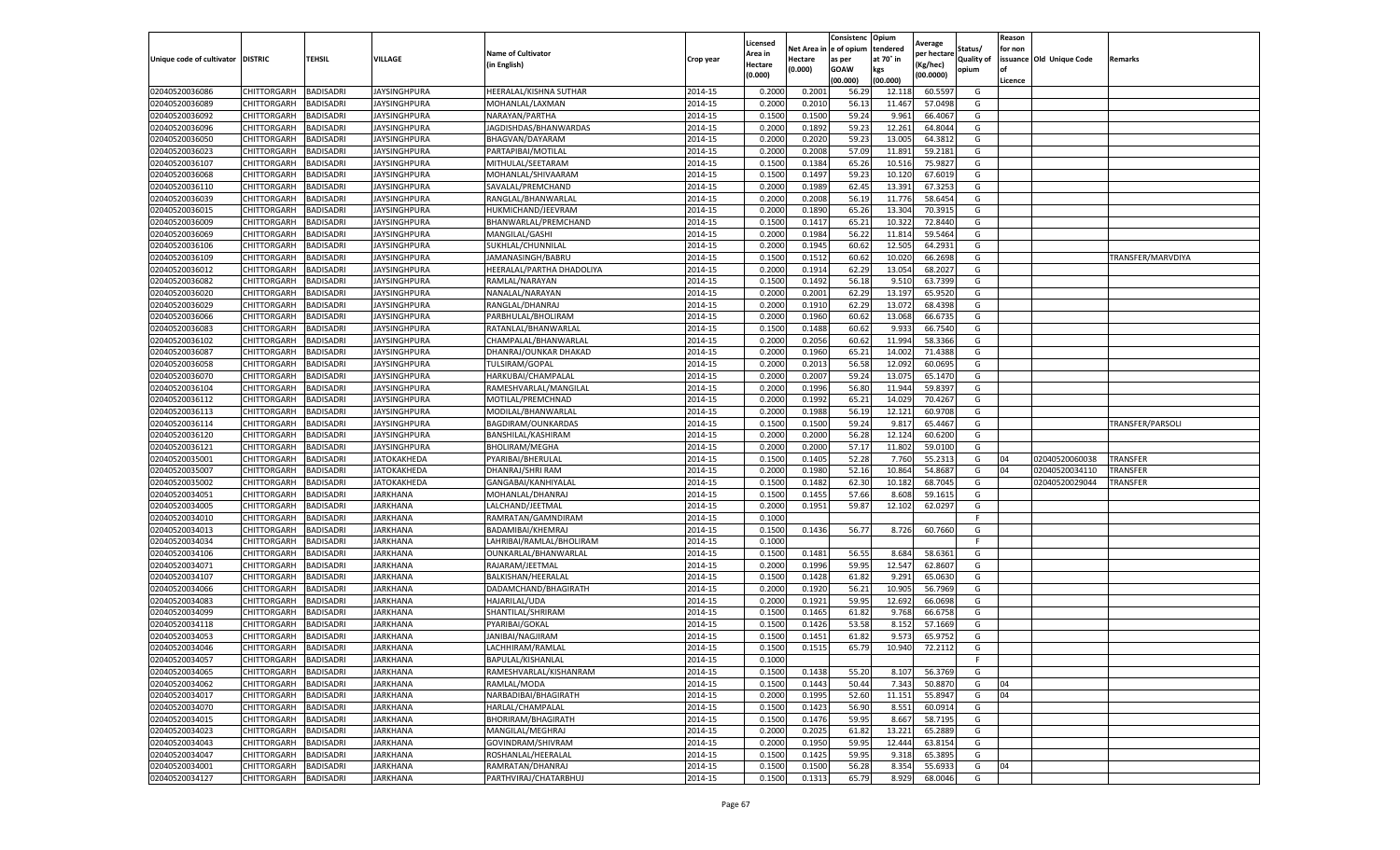|                                   |             |                  |                     |                           |           | Licensed |         | Consistenc              | Opium     | Average     |            | Reason  |                          |                   |
|-----------------------------------|-------------|------------------|---------------------|---------------------------|-----------|----------|---------|-------------------------|-----------|-------------|------------|---------|--------------------------|-------------------|
|                                   |             |                  |                     | <b>Name of Cultivator</b> |           | Area in  |         | Net Area in le of opium | tendered  | per hectare | Status/    | for non |                          |                   |
| Unique code of cultivator DISTRIC |             | <b>TEHSIL</b>    | VILLAGE             | (in English)              | Crop year | Hectare  | Hectare | as per                  | at 70° in | Kg/hec)     | Quality of |         | issuance Old Unique Code | Remarks           |
|                                   |             |                  |                     |                           |           | (0.000)  | (0.000) | GOAW                    | kgs       | (00.0000)   | opium      | l of    |                          |                   |
|                                   |             |                  |                     |                           |           |          |         | (00.000)                | (00.000)  |             |            | Licence |                          |                   |
| 02040520036086                    | CHITTORGARH | BADISADRI        | <b>JAYSINGHPURA</b> | HEERALAL/KISHNA SUTHAR    | 2014-15   | 0.200    | 0.200   | 56.29                   | 12.118    | 60.559      | G          |         |                          |                   |
| 02040520036089                    | CHITTORGARH | BADISADRI        | JAYSINGHPURA        | MOHANLAL/LAXMAN           | 2014-15   | 0.200    | 0.201   | 56.1                    | 11.467    | 57.049      | G          |         |                          |                   |
| 02040520036092                    | CHITTORGARH | BADISADRI        | JAYSINGHPURA        | NARAYAN/PARTHA            | 2014-15   | 0.1500   | 0.1500  | 59.24                   | 9.961     | 66.406      | G          |         |                          |                   |
| 02040520036096                    | CHITTORGARH | <b>BADISADRI</b> | <b>JAYSINGHPURA</b> | JAGDISHDAS/BHANWARDAS     | 2014-15   | 0.2000   | 0.1892  | 59.23                   | 12.261    | 64.8044     | G          |         |                          |                   |
| 02040520036050                    | CHITTORGARH | BADISADRI        | JAYSINGHPURA        | BHAGVAN/DAYARAM           | 2014-15   | 0.2000   | 0.2020  | 59.2                    | 13.005    | 64.381      | G          |         |                          |                   |
| 02040520036023                    | CHITTORGARH | BADISADRI        | JAYSINGHPURA        | PARTAPIBAI/MOTILAL        | 2014-15   | 0.2000   | 0.2008  | 57.09                   | 11.89     | 59.218      | G          |         |                          |                   |
| 02040520036107                    | CHITTORGARH | BADISADRI        | <b>JAYSINGHPURA</b> | MITHULAL/SEETARAM         | 2014-15   | 0.1500   | 0.1384  | 65.26                   | 10.516    | 75.982      | G          |         |                          |                   |
| 02040520036068                    | CHITTORGARH | <b>BADISADRI</b> | JAYSINGHPURA        | MOHANLAL/SHIVAARAN        | 2014-15   | 0.1500   | 0.1497  | 59.2                    | 10.120    | 67.601      | G          |         |                          |                   |
| 02040520036110                    | CHITTORGARH | BADISADRI        | IAYSINGHPURA        | SAVALAL/PREMCHAND         | 2014-15   | 0.2000   | 0.1989  | 62.45                   | 13.391    | 67.3253     | G          |         |                          |                   |
| 02040520036039                    | CHITTORGARH | BADISADRI        | JAYSINGHPURA        | RANGLAL/BHANWARLAL        | 2014-15   | 0.2000   | 0.2008  | 56.19                   | 11.776    | 58.6454     | G          |         |                          |                   |
| 02040520036015                    | CHITTORGARH | BADISADRI        | JAYSINGHPURA        | HUKMICHAND/JEEVRAM        | 2014-15   | 0.2000   | 0.1890  | 65.26                   | 13.304    | 70.391      | G          |         |                          |                   |
| 02040520036009                    | CHITTORGARH | BADISADRI        | IAYSINGHPURA        | 3HANWARLAL/PREMCHAND      | 2014-15   | 0.1500   | 0.141   | 65.2                    | 10.322    | 72.844      | G          |         |                          |                   |
| 02040520036069                    | CHITTORGARH | BADISADRI        | <b>JAYSINGHPURA</b> | MANGILAL/GASH             | 2014-15   | 0.2000   | 0.1984  | 56.22                   | 11.814    | 59.546      | G          |         |                          |                   |
| 02040520036106                    | CHITTORGARH | BADISADRI        | JAYSINGHPURA        | SUKHLAL/CHUNNILAL         | 2014-15   | 0.2000   | 0.1945  | 60.6                    | 12.505    | 64.293      | G          |         |                          |                   |
| 02040520036109                    | CHITTORGARH | BADISADRI        | JAYSINGHPURA        | JAMANASINGH/BABRU         | 2014-15   | 0.1500   | 0.1512  | 60.6                    | 10.020    | 66.269      | G          |         |                          | TRANSFER/MARVDIYA |
| 02040520036012                    | CHITTORGARH | BADISADRI        | JAYSINGHPURA        | HEERALAL/PARTHA DHADOLIYA | 2014-15   | 0.2000   | 0.1914  | 62.29                   | 13.054    | 68.202      | G          |         |                          |                   |
| 02040520036082                    | CHITTORGARH | BADISADRI        | JAYSINGHPURA        | RAMLAL/NARAYAN            | 2014-15   | 0.1500   | 0.1492  | 56.18                   | 9.510     | 63.7399     | G          |         |                          |                   |
| 02040520036020                    | CHITTORGARH | BADISADRI        | JAYSINGHPURA        | NANALAL/NARAYAN           | 2014-15   | 0.2000   | 0.2001  | 62.29                   | 13.197    | 65.952      | G          |         |                          |                   |
| 02040520036029                    | CHITTORGARH | BADISADRI        | JAYSINGHPURA        | RANGLAL/DHANRAJ           | 2014-15   | 0.2000   | 0.191   | 62.29                   | 13.07     | 68.439      | G          |         |                          |                   |
| 02040520036066                    | CHITTORGARH | <b>BADISADRI</b> | <b>JAYSINGHPURA</b> | PARBHULAL/BHOLIRAM        | 2014-15   | 0.2000   | 0.1960  | 60.62                   | 13.068    | 66.673      | G          |         |                          |                   |
| 02040520036083                    | CHITTORGARH | BADISADRI        | JAYSINGHPURA        | RATANLAL/BHANWARLAL       | 2014-15   | 0.1500   | 0.1488  | 60.62                   | 9.933     | 66.7540     | G          |         |                          |                   |
| 02040520036102                    | CHITTORGARH | BADISADRI        | JAYSINGHPURA        | CHAMPALAL/BHANWARLAL      | 2014-15   | 0.2000   | 0.2056  | 60.62                   | 11.994    | 58.336      | G          |         |                          |                   |
| 02040520036087                    | CHITTORGARH | <b>BADISADRI</b> | <b>JAYSINGHPURA</b> | DHANRAJ/OUNKAR DHAKAD     | 2014-15   | 0.2000   | 0.1960  | 65.21                   | 14.002    | 71.4388     | G          |         |                          |                   |
| 02040520036058                    | CHITTORGARH | BADISADRI        | JAYSINGHPURA        | TULSIRAM/GOPAL            | 2014-15   | 0.2000   | 0.2013  | 56.58                   | 12.092    | 60.069      | G          |         |                          |                   |
| 02040520036070                    | CHITTORGARH | BADISADRI        | JAYSINGHPURA        | HARKUBAI/CHAMPALAL        | 2014-15   | 0.2000   | 0.2007  | 59.24                   | 13.07     | 65.147      | G          |         |                          |                   |
| 02040520036104                    | CHITTORGARH | BADISADRI        | <b>JAYSINGHPURA</b> | RAMESHVARLAL/MANGILAL     | 2014-15   | 0.2000   | 0.1996  | 56.80                   | 11.944    | 59.839      | G          |         |                          |                   |
| 02040520036112                    | CHITTORGARH | <b>BADISADRI</b> | JAYSINGHPURA        | MOTILAL/PREMCHNAD         | 2014-15   | 0.2000   | 0.1992  | 65.2                    | 14.029    | 70.426      | G          |         |                          |                   |
| 02040520036113                    | CHITTORGARH | <b>BADISADRI</b> | JAYSINGHPURA        | MODILAL/BHANWARLAL        | 2014-15   | 0.2000   | 0.1988  | 56.19                   | 12.12:    | 60.970      | G          |         |                          |                   |
| 02040520036114                    | CHITTORGARH | <b>BADISADRI</b> | JAYSINGHPURA        | BAGDIRAM/OUNKARDAS        | 2014-15   | 0.1500   | 0.1500  | 59.24                   | 9.817     | 65.4467     | G          |         |                          | TRANSFER/PARSOLI  |
| 02040520036120                    | CHITTORGARH | BADISADRI        | <b>JAYSINGHPURA</b> | BANSHILAL/KASHIRAM        | 2014-15   | 0.2000   | 0.2000  | 56.28                   | 12.124    | 60.620      | G          |         |                          |                   |
| 02040520036121                    | CHITTORGARH | BADISADRI        | JAYSINGHPURA        | BHOLIRAM/MEGHA            | 2014-15   | 0.2000   | 0.2000  | 57.1                    | 11.802    | 59.010      | G          |         |                          |                   |
| 02040520035001                    | CHITTORGARH | BADISADRI        | JATOKAKHEDA         | PYARIBAI/BHERULAL         | 2014-15   | 0.1500   | 0.1405  | 52.28                   | 7.760     | 55.231      | G          | 04      | 02040520060038           | <b>TRANSFER</b>   |
| 02040520035007                    | CHITTORGARH | BADISADRI        | JATOKAKHEDA         | DHANRAJ/SHRI RAM          | 2014-15   | 0.2000   | 0.198   | 52.16                   | 10.864    | 54.868      | G          | 04      | 02040520034110           | TRANSFER          |
| 02040520035002                    | CHITTORGARH | BADISADRI        | JATOKAKHEDA         | GANGABAI/KANHIYALAL       | 2014-15   | 0.1500   | 0.1482  | 62.30                   | 10.182    | 68.704      | G          |         | 02040520029044           | TRANSFER          |
| 02040520034051                    | CHITTORGARH | <b>BADISADRI</b> | JARKHANA            | MOHANLAL/DHANRAJ          | 2014-15   | 0.1500   | 0.1455  | 57.66                   | 8.608     | 59.161      | G          |         |                          |                   |
| 02040520034005                    | CHITTORGARH | BADISADRI        | JARKHANA            | LALCHAND/JEETMAL          | 2014-15   | 0.2000   | 0.195   | 59.8                    | 12.102    | 62.029      | G          |         |                          |                   |
| 02040520034010                    | CHITTORGARH | BADISADRI        | JARKHANA            | RAMRATAN/GAMNDIRAM        | 2014-15   | 0.1000   |         |                         |           |             |            |         |                          |                   |
| 02040520034013                    | CHITTORGARH | <b>BADISADRI</b> | IARKHANA            | BADAMIBAI/KHEMRAJ         | 2014-15   | 0.1500   | 0.1436  | 56.77                   | 8.726     | 60.766      | G          |         |                          |                   |
| 02040520034034                    | CHITTORGARH | <b>BADISADRI</b> | JARKHANA            | LAHRIBAI/RAMLAL/BHOLIRAM  | 2014-15   | 0.1000   |         |                         |           |             | -F         |         |                          |                   |
| 02040520034106                    | CHITTORGARH | BADISADRI        | JARKHANA            | OUNKARLAL/BHANWARLAL      | 2014-15   | 0.1500   | 0.1481  | 56.55                   | 8.684     | 58.636      | G          |         |                          |                   |
| 02040520034071                    | CHITTORGARH | BADISADRI        | JARKHANA            | RAJARAM/JEETMAL           | 2014-15   | 0.2000   | 0.1996  | 59.9                    | 12.54     | 62.860      | G          |         |                          |                   |
| 02040520034107                    | CHITTORGARH | BADISADRI        | JARKHANA            | BALKISHAN/HEERALAL        | 2014-15   | 0.1500   | 0.1428  | 61.82                   | 9.291     | 65.063      | G          |         |                          |                   |
| 02040520034066                    | CHITTORGARH | BADISADRI        | IARKHANA            | DADAMCHAND/BHAGIRATH      | 2014-15   | 0.2000   | 0.1920  | 56.22                   | 10.905    | 56.796      | G          |         |                          |                   |
| 02040520034083                    | CHITTORGARH | BADISADRI        | JARKHANA            | HAJARILAL/UDA             | 2014-15   | 0.2000   | 0.1921  | 59.9                    | 12.692    | 66.069      | G          |         |                          |                   |
| 02040520034099                    | CHITTORGARH | BADISADRI        | JARKHANA            | SHANTILAL/SHRIRAM         | 2014-15   | 0.1500   | 0.1465  | 61.82                   | 9.768     | 66.675      | G          |         |                          |                   |
| 02040520034118                    | CHITTORGARH | <b>BADISADRI</b> | IARKHANA            | PYARIBAI/GOKAL            | 2014-15   | 0.1500   | 0.142   | 53.58                   | 8.152     | 57.166      | G          |         |                          |                   |
| 02040520034053                    | CHITTORGARH | BADISADRI        | JARKHANA            | JANIBAI/NAGJIRAM          | 2014-15   | 0.1500   | 0.1451  | 61.82                   | 9.57      | 65.975      | G          |         |                          |                   |
| 02040520034046                    | CHITTORGARH | <b>BADISADRI</b> | JARKHANA            | LACHHIRAM/RAMLAL          | 2014-15   | 0.1500   | 0.1515  | 65.79                   | 10.940    | 72.2112     | G          |         |                          |                   |
| 02040520034057                    | CHITTORGARH | <b>BADISADRI</b> | JARKHANA            | BAPULAL/KISHANLAL         | 2014-15   | 0.1000   |         |                         |           |             | F.         |         |                          |                   |
| 02040520034065                    | CHITTORGARH | BADISADRI        | JARKHANA            | RAMESHVARLAL/KISHANRAM    | 2014-15   | 0.1500   | 0.1438  | 55.20                   | 8.107     | 56.376      | G          |         |                          |                   |
| 02040520034062                    | CHITTORGARH | <b>BADISADRI</b> | JARKHANA            | RAMLAL/MODA               | 2014-15   | 0.1500   | 0.1443  | 50.44                   | 7.343     | 50.887      | G          | 04      |                          |                   |
| 02040520034017                    | CHITTORGARH | BADISADRI        | JARKHANA            | NARBADIBAI/BHAGIRATH      | 2014-15   | 0.2000   | 0.199   | 52.60                   | 11.151    | 55.8947     | G          | 04      |                          |                   |
| 02040520034070                    | CHITTORGARH | BADISADRI        | JARKHANA            | HARLAL/CHAMPALAL          | 2014-15   | 0.1500   | 0.1423  | 56.90                   | 8.551     | 60.0914     | G          |         |                          |                   |
| 02040520034015                    | CHITTORGARH | <b>BADISADRI</b> | JARKHANA            | BHORIRAM/BHAGIRATH        | 2014-15   | 0.1500   | 0.1476  | 59.95                   | 8.667     | 58.7195     | G          |         |                          |                   |
| 02040520034023                    | CHITTORGARH | BADISADRI        | JARKHANA            | MANGILAL/MEGHRAJ          | 2014-15   | 0.2000   | 0.2025  | 61.82                   | 13.221    | 65.2889     | G          |         |                          |                   |
| 02040520034043                    | CHITTORGARH | BADISADRI        | JARKHANA            | GOVINDRAM/SHIVRAM         | 2014-15   | 0.2000   | 0.1950  | 59.95                   | 12.444    | 63.8154     | G          |         |                          |                   |
| 02040520034047                    | CHITTORGARH | BADISADRI        | JARKHANA            | ROSHANLAL/HEERALAL        | 2014-15   | 0.1500   | 0.1425  | 59.95                   | 9.318     | 65.389      | G          |         |                          |                   |
| 02040520034001                    | CHITTORGARH | BADISADRI        | JARKHANA            | RAMRATAN/DHANRAJ          | 2014-15   | 0.1500   | 0.150   | 56.28                   | 8.354     | 55.693      | G          | 04      |                          |                   |
| 02040520034127                    | CHITTORGARH | <b>BADISADRI</b> | JARKHANA            | PARTHVIRAJ/CHATARBHUJ     | 2014-15   | 0.1500   | 0.1313  | 65.79                   | 8.929     | 68.0046     | G          |         |                          |                   |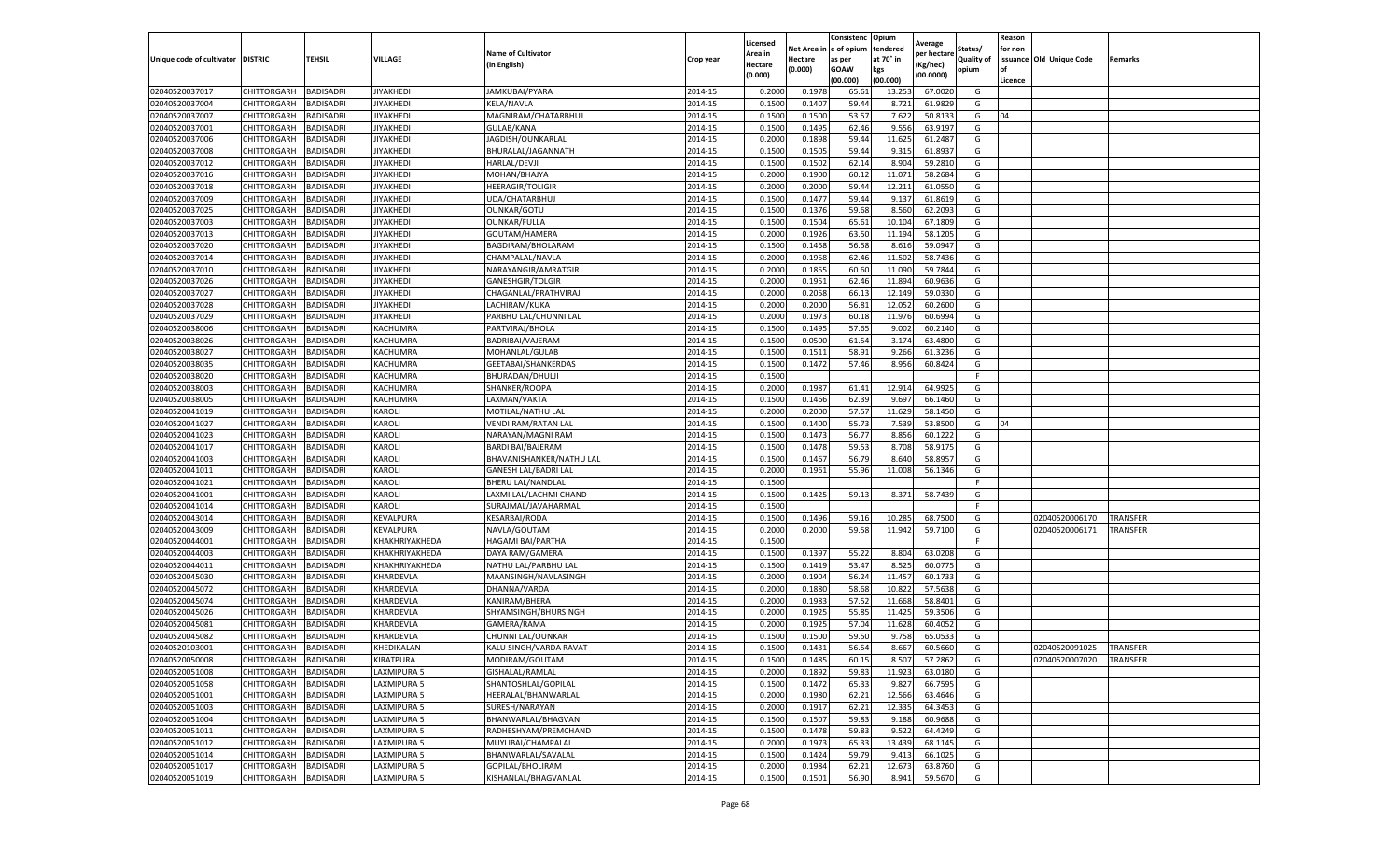|                                   |                    |                  |                  |                             |           | Licensed |         | Consistenc             | Opium     |                        |                   | Reason  |                          |                 |
|-----------------------------------|--------------------|------------------|------------------|-----------------------------|-----------|----------|---------|------------------------|-----------|------------------------|-------------------|---------|--------------------------|-----------------|
|                                   |                    |                  |                  | <b>Name of Cultivator</b>   |           | Area in  |         | Net Area in e of opium | tendered  | Average<br>per hectare | Status/           | for non |                          |                 |
| Unique code of cultivator DISTRIC |                    | TEHSIL           | VILLAGE          | in English)                 | Crop year | Hectare  | Hectare | as per                 | at 70° in | (Kg/hec                | <b>Quality of</b> |         | issuance Old Unique Code | <b>Remarks</b>  |
|                                   |                    |                  |                  |                             |           | (0.000)  | (0.000) | <b>GOAW</b>            | kgs       | (00.0000)              | opium             |         |                          |                 |
|                                   |                    |                  |                  |                             |           |          |         | (00.000)               | (00.000)  |                        |                   | Licence |                          |                 |
| 02040520037017                    | CHITTORGARH        | <b>BADISADRI</b> | <b>JIYAKHEDI</b> | JAMKUBAI/PYARA              | 2014-15   | 0.2000   | 0.1978  | 65.61                  | 13.25     | 67.0020                | G                 |         |                          |                 |
| 02040520037004                    | CHITTORGARH        | <b>BADISADRI</b> | <b>JIYAKHEDI</b> | <b>KELA/NAVLA</b>           | 2014-15   | 0.1500   | 0.1407  | 59.44                  | 8.721     | 61.9829                | G                 |         |                          |                 |
| 02040520037007                    | CHITTORGARH        | <b>BADISADRI</b> | JIYAKHEDI        | MAGNIRAM/CHATARBHUJ         | 2014-15   | 0.1500   | 0.1500  | 53.57                  | 7.622     | 50.8133                | G                 | 04      |                          |                 |
| 02040520037001                    | CHITTORGARH        | <b>BADISADRI</b> | <b>JIYAKHEDI</b> | GULAB/KANA                  | 2014-15   | 0.1500   | 0.1495  | 62.46                  | 9.556     | 63.9197                | G                 |         |                          |                 |
| 02040520037006                    | CHITTORGARH        | <b>BADISADRI</b> | <b>IIYAKHEDI</b> | JAGDISH/OUNKARLAL           | 2014-15   | 0.2000   | 0.1898  | 59.44                  | 11.625    | 61.2487                | G                 |         |                          |                 |
| 02040520037008                    | CHITTORGARH        | <b>BADISADRI</b> | <b>JIYAKHEDI</b> | BHURALAL/JAGANNATH          | 2014-15   | 0.1500   | 0.1505  | 59.44                  | 9.315     | 61.893                 | G                 |         |                          |                 |
| 02040520037012                    | CHITTORGARH        | <b>BADISADRI</b> | JIYAKHEDI        | <b>HARLAL/DEVJI</b>         | 2014-15   | 0.1500   | 0.1502  | 62.14                  | 8.904     | 59.2810                | G                 |         |                          |                 |
| 02040520037016                    | CHITTORGARH        | BADISADRI        | <b>JIYAKHEDI</b> | MOHAN/BHAJYA                | 2014-15   | 0.2000   | 0.1900  | 60.12                  | 11.07     | 58.2684                | G                 |         |                          |                 |
| 02040520037018                    | CHITTORGARH        | <b>BADISADRI</b> | <b>JIYAKHEDI</b> | <b>HEERAGIR/TOLIGIR</b>     | 2014-15   | 0.2000   | 0.2000  | 59.44                  | 12.21     | 61.0550                | G                 |         |                          |                 |
| 02040520037009                    | CHITTORGARH        | <b>BADISADRI</b> | JIYAKHEDI        | UDA/CHATARBHUJ              | 2014-15   | 0.1500   | 0.1477  | 59.44                  | 9.137     | 61.8619                | G                 |         |                          |                 |
| 02040520037025                    | CHITTORGARH        | <b>BADISADRI</b> | <b>JIYAKHEDI</b> | OUNKAR/GOTU                 | 2014-15   | 0.1500   | 0.1376  | 59.68                  | 8.560     | 62.2093                | G                 |         |                          |                 |
| 02040520037003                    | CHITTORGARH        | <b>BADISADRI</b> | IIYAKHEDI        | OUNKAR/FULLA                | 2014-15   | 0.1500   | 0.1504  | 65.61                  | 10.10     | 67.1809                | G                 |         |                          |                 |
| 02040520037013                    | CHITTORGARH        | <b>BADISADRI</b> | <b>JIYAKHEDI</b> | GOUTAM/HAMERA               | 2014-15   | 0.2000   | 0.1926  | 63.50                  | 11.194    | 58.1205                | G                 |         |                          |                 |
| 02040520037020                    | CHITTORGARH        | <b>BADISADRI</b> | <b>JIYAKHEDI</b> | BAGDIRAM/BHOLARAM           | 2014-15   | 0.1500   | 0.1458  | 56.58                  | 8.616     | 59.0947                | G                 |         |                          |                 |
| 02040520037014                    | CHITTORGARH        | <b>BADISADRI</b> | JIYAKHEDI        | CHAMPALAL/NAVLA             | 2014-15   | 0.2000   | 0.1958  | 62.46                  | 11.502    | 58.7436                | G                 |         |                          |                 |
| 02040520037010                    | CHITTORGARH        | <b>BADISADRI</b> | <b>JIYAKHEDI</b> | NARAYANGIR/AMRATGIR         | 2014-15   | 0.2000   | 0.1855  | 60.60                  | 11.090    | 59.7844                | G                 |         |                          |                 |
| 02040520037026                    | CHITTORGARH        | <b>BADISADRI</b> | IIYAKHEDI        | GANESHGIR/TOLGIR            | 2014-15   | 0.2000   | 0.1951  | 62.46                  | 11.894    | 60.9636                | G                 |         |                          |                 |
| 02040520037027                    | CHITTORGARH        | <b>BADISADRI</b> | <b>JIYAKHEDI</b> | CHAGANLAL/PRATHVIRAJ        | 2014-15   | 0.2000   | 0.2058  | 66.13                  | 12.14     | 59.0330                | G                 |         |                          |                 |
| 02040520037028                    | CHITTORGARH        | <b>BADISADRI</b> | <b>IIYAKHEDI</b> | LACHIRAM/KUKA               | 2014-15   | 0.2000   | 0.2000  | 56.81                  | 12.05     | 60.2600                | G                 |         |                          |                 |
| 02040520037029                    | CHITTORGARH        | <b>BADISADRI</b> | <b>JIYAKHEDI</b> | PARBHU LAL/CHUNNI LAL       | 2014-15   | 0.2000   | 0.1973  | 60.18                  | 11.976    | 60.6994                | G                 |         |                          |                 |
| 02040520038006                    | CHITTORGARH        | <b>BADISADRI</b> | KACHUMRA         | PARTVIRAJ/BHOLA             | 2014-15   | 0.1500   | 0.1495  | 57.65                  | 9.002     | 60.2140                | G                 |         |                          |                 |
| 02040520038026                    | CHITTORGARH        | <b>BADISADRI</b> | KACHUMRA         | BADRIBAI/VAJERAM            | 2014-15   | 0.1500   | 0.0500  | 61.54                  | 3.17      | 63.4800                | G                 |         |                          |                 |
| 02040520038027                    | CHITTORGARH        | <b>BADISADRI</b> | KACHUMRA         | MOHANLAL/GULAB              | 2014-15   | 0.1500   | 0.1511  | 58.91                  | 9.266     | 61.3236                | G                 |         |                          |                 |
| 02040520038035                    | CHITTORGARH        | <b>BADISADRI</b> | KACHUMRA         | GEETABAI/SHANKERDAS         | 2014-15   | 0.1500   | 0.1472  | 57.46                  | 8.956     | 60.8424                | G                 |         |                          |                 |
| 02040520038020                    | CHITTORGARH        | <b>BADISADRI</b> | KACHUMRA         | BHURADAN/DHULJ              | 2014-15   | 0.1500   |         |                        |           |                        | F                 |         |                          |                 |
| 02040520038003                    | CHITTORGARH        | <b>BADISADRI</b> | KACHUMRA         | SHANKER/ROOPA               | 2014-15   | 0.2000   | 0.1987  | 61.41                  | 12.914    | 64.9925                | G                 |         |                          |                 |
| 02040520038005                    | CHITTORGARH        | <b>BADISADRI</b> | KACHUMRA         | LAXMAN/VAKTA                | 2014-15   | 0.1500   | 0.1466  | 62.39                  | 9.697     | 66.1460                | G                 |         |                          |                 |
| 02040520041019                    | CHITTORGARH        | <b>BADISADRI</b> | KAROLI           | MOTILAL/NATHU LAL           | 2014-15   | 0.2000   | 0.2000  | 57.57                  | 11.629    | 58.1450                | G                 |         |                          |                 |
| 02040520041027                    | CHITTORGARH        | <b>BADISADRI</b> | KAROLI           | <b>VENDI RAM/RATAN LAL</b>  | 2014-15   | 0.1500   | 0.1400  | 55.73                  | 7.539     | 53.8500                | G                 | 04      |                          |                 |
| 02040520041023                    | CHITTORGARH        | <b>BADISADRI</b> | KAROLI           | NARAYAN/MAGNI RAM           | 2014-15   | 0.1500   | 0.1473  | 56.77                  | 8.856     | 60.1222                | G                 |         |                          |                 |
| 02040520041017                    | CHITTORGARH        | <b>BADISADRI</b> | KAROLI           | BARDI BAI/BAJERAM           | 2014-15   | 0.1500   | 0.1478  | 59.53                  | 8.708     | 58.9175                | G                 |         |                          |                 |
| 02040520041003                    | CHITTORGARH        | <b>BADISADRI</b> | KAROLI           | BHAVANISHANKER/NATHU LAL    | 2014-15   | 0.1500   | 0.1467  | 56.79                  | 8.640     | 58.8957                | G                 |         |                          |                 |
| 02040520041011                    | CHITTORGARH        | <b>BADISADRI</b> | KAROLI           | <b>GANESH LAL/BADRI LAL</b> | 2014-15   | 0.2000   | 0.1961  | 55.96                  | 11.008    | 56.1346                | G                 |         |                          |                 |
| 02040520041021                    | CHITTORGARH        | <b>BADISADRI</b> | KAROLI           | BHERU LAL/NANDLAL           | 2014-15   | 0.1500   |         |                        |           |                        | F.                |         |                          |                 |
| 02040520041001                    | CHITTORGARH        | <b>BADISADRI</b> | KAROLI           | LAXMI LAL/LACHMI CHAND      | 2014-15   | 0.1500   | 0.1425  | 59.13                  | 8.371     | 58.7439                | G                 |         |                          |                 |
| 02040520041014                    | CHITTORGARH        | <b>BADISADRI</b> | KAROLI           | SURAJMAL/JAVAHARMAL         | 2014-15   | 0.1500   |         |                        |           |                        | F                 |         |                          |                 |
| 02040520043014                    | CHITTORGARH        | <b>BADISADRI</b> | KEVALPURA        | <b>KESARBAI/RODA</b>        | 2014-15   | 0.1500   | 0.1496  | 59.16                  | 10.28     | 68.7500                | G                 |         | 02040520006170           | TRANSFER        |
| 02040520043009                    | CHITTORGARH        | <b>BADISADRI</b> | KEVALPURA        | NAVLA/GOUTAM                | 2014-15   | 0.2000   | 0.2000  | 59.58                  | 11.942    | 59.7100                | G                 |         | 02040520006171           | TRANSFER        |
| 02040520044001                    | CHITTORGARH        | BADISADRI        | KHAKHRIYAKHEDA   | HAGAMI BAI/PARTHA           | 2014-15   | 0.1500   |         |                        |           |                        | F                 |         |                          |                 |
| 02040520044003                    | CHITTORGARH        | <b>BADISADRI</b> | KHAKHRIYAKHEDA   | DAYA RAM/GAMERA             | 2014-15   | 0.1500   | 0.1397  | 55.22                  | 8.804     | 63.0208                | G                 |         |                          |                 |
| 02040520044011                    | CHITTORGARH        | <b>BADISADRI</b> | KHAKHRIYAKHEDA   | NATHU LAL/PARBHU LAL        | 2014-15   | 0.1500   | 0.1419  | 53.47                  | 8.525     | 60.0775                | G                 |         |                          |                 |
| 02040520045030                    | CHITTORGARH        | <b>BADISADRI</b> | KHARDEVLA        | MAANSINGH/NAVLASINGH        | 2014-15   | 0.2000   | 0.1904  | 56.24                  | 11.457    | 60.1733                | G                 |         |                          |                 |
| 02040520045072                    | CHITTORGARH        | <b>BADISADRI</b> | KHARDEVLA        | DHANNA/VARDA                | 2014-15   | 0.2000   | 0.1880  | 58.68                  | 10.82     | 57.5638                | G                 |         |                          |                 |
| 02040520045074                    | CHITTORGARH        | <b>BADISADRI</b> | KHARDEVLA        | KANIRAM/BHERA               | 2014-15   | 0.2000   | 0.1983  | 57.52                  | 11.668    | 58.8401                | G                 |         |                          |                 |
| 02040520045026                    | <b>CHITTORGARH</b> | <b>BADISADRI</b> | KHARDEVLA        | SHYAMSINGH/BHURSINGH        | 2014-15   | 0.2000   | 0.1925  | 55.85                  | 11.425    | 59.3506                | G                 |         |                          |                 |
| 02040520045081                    | CHITTORGARH        | BADISADRI        | KHARDEVLA        | GAMERA/RAMA                 | 2014-15   | 0.2000   | 0.1925  | 57.04                  | 11.628    | 60.4052                | G                 |         |                          |                 |
| 02040520045082                    | CHITTORGARH        | <b>BADISADRI</b> | KHARDEVLA        | CHUNNI LAL/OUNKAR           | 2014-15   | 0.1500   | 0.1500  | 59.50                  | 9.758     | 65.0533                | G                 |         |                          |                 |
| 02040520103001                    | CHITTORGARH        | <b>BADISADRI</b> | KHEDIKALAN       | KALU SINGH/VARDA RAVAT      | 2014-15   | 0.1500   | 0.1431  | 56.54                  | 8.667     | 60.5660                | G                 |         | 02040520091025           | <b>TRANSFER</b> |
| 02040520050008                    | CHITTORGARH        | <b>BADISADRI</b> | KIRATPURA        | MODIRAM/GOUTAM              | 2014-15   | 0.1500   | 0.1485  | 60.15                  | 8.507     | 57.2862                | G                 |         | 02040520007020           | <b>TRANSFER</b> |
| 02040520051008                    | CHITTORGARH        | <b>BADISADRI</b> | LAXMIPURA 5      | GISHALAL/RAMLAL             | 2014-15   | 0.2000   | 0.1892  | 59.83                  | 11.923    | 63.0180                | G                 |         |                          |                 |
| 02040520051058                    | <b>CHITTORGARH</b> | <b>BADISADRI</b> | LAXMIPURA 5      | SHANTOSHLAL/GOPILAL         | 2014-15   | 0.1500   | 0.1472  | 65.33                  | 9.827     | 66.7595                | G                 |         |                          |                 |
| 02040520051001                    | CHITTORGARH        | <b>BADISADRI</b> | LAXMIPURA 5      | HEERALAL/BHANWARLAL         | 2014-15   | 0.2000   | 0.1980  | 62.21                  | 12.566    | 63.4646                | G                 |         |                          |                 |
| 02040520051003                    | CHITTORGARH        | <b>BADISADRI</b> | LAXMIPURA 5      | SURESH/NARAYAN              | 2014-15   | 0.2000   | 0.1917  | 62.21                  | 12.335    | 64.3453                | G                 |         |                          |                 |
| 02040520051004                    | <b>CHITTORGARH</b> | <b>BADISADRI</b> | LAXMIPURA 5      | BHANWARLAL/BHAGVAN          | 2014-15   | 0.1500   | 0.1507  | 59.83                  | 9.188     | 60.9688                | G                 |         |                          |                 |
| 02040520051011                    | CHITTORGARH        | <b>BADISADRI</b> | LAXMIPURA 5      | RADHESHYAM/PREMCHAND        | 2014-15   | 0.1500   | 0.1478  | 59.83                  | 9.522     | 64.4249                | G                 |         |                          |                 |
| 02040520051012                    | CHITTORGARH        |                  | LAXMIPURA 5      | MUYLIBAI/CHAMPALAL          | 2014-15   |          | 0.1973  |                        |           |                        | G                 |         |                          |                 |
| 02040520051014                    |                    | <b>BADISADRI</b> | LAXMIPURA 5      | BHANWARLAL/SAVALAL          |           | 0.2000   |         | 65.33                  | 13.439    | 68.1145                |                   |         |                          |                 |
|                                   | CHITTORGARH        | <b>BADISADRI</b> |                  |                             | 2014-15   | 0.1500   | 0.1424  | 59.79                  | 9.413     | 66.1025                | G                 |         |                          |                 |
| 02040520051017                    | CHITTORGARH        | <b>BADISADRI</b> | LAXMIPURA 5      | GOPILAL/BHOLIRAM            | 2014-15   | 0.2000   | 0.1984  | 62.21                  | 12.673    | 63.8760                | G                 |         |                          |                 |
| 02040520051019                    | <b>CHITTORGARH</b> | <b>BADISADRI</b> | LAXMIPURA 5      | KISHANLAL/BHAGVANLAL        | 2014-15   | 0.1500   | 0.1501  | 56.90                  | 8.941     | 59.5670                | G                 |         |                          |                 |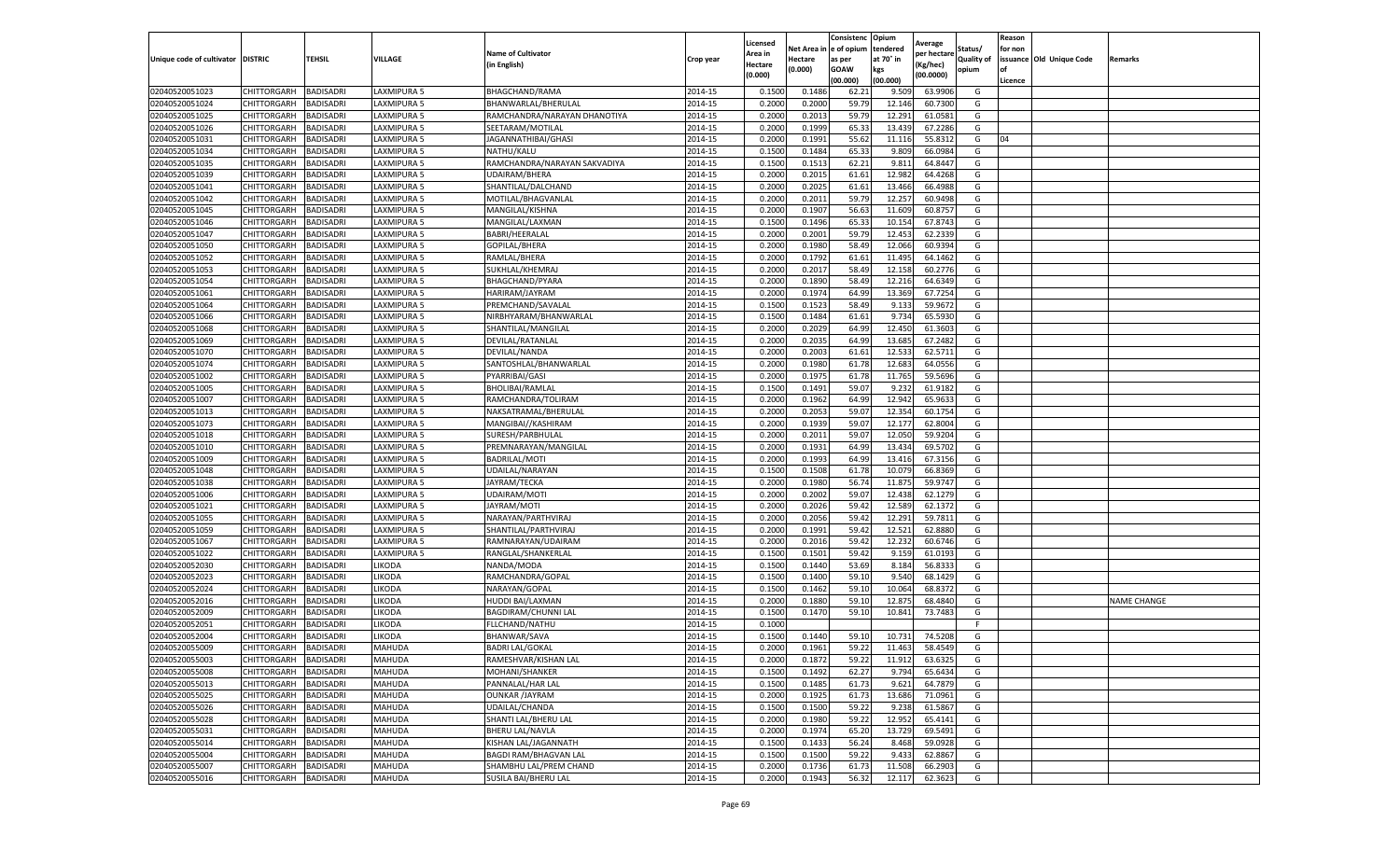|                           |                       |                  |               |                              |           | Licensed |         | Consistenc             | Opium     |                        |                   | Reason  |                          |                    |
|---------------------------|-----------------------|------------------|---------------|------------------------------|-----------|----------|---------|------------------------|-----------|------------------------|-------------------|---------|--------------------------|--------------------|
|                           |                       |                  |               | <b>Name of Cultivator</b>    |           | Area in  |         | Net Area in e of opium | tendered  | Average<br>per hectare | Status/           | for non |                          |                    |
| Unique code of cultivator | <b>DISTRIC</b>        | TEHSIL           | VILLAGE       | in English)                  | Crop year | Hectare  | Hectare | as per                 | at 70° in | (Kg/hec                | <b>Quality of</b> |         | issuance Old Unique Code | <b>Remarks</b>     |
|                           |                       |                  |               |                              |           | (0.000)  | (0.000) | <b>GOAW</b>            | kgs       | (00.0000)              | opium             |         |                          |                    |
|                           |                       |                  |               |                              |           |          |         | (00.000)               | (00.000)  |                        |                   | Licence |                          |                    |
| 02040520051023            | CHITTORGARH           | <b>BADISADRI</b> | LAXMIPURA 5   | BHAGCHAND/RAMA               | 2014-15   | 0.1500   | 0.1486  | 62.21                  | 9.509     | 63.9906                | G                 |         |                          |                    |
| 02040520051024            | CHITTORGARH           | <b>BADISADRI</b> | LAXMIPURA 5   | BHANWARLAL/BHERULAL          | 2014-15   | 0.2000   | 0.2000  | 59.79                  | 12.14     | 60.7300                | G                 |         |                          |                    |
| 02040520051025            | CHITTORGARH           | <b>BADISADRI</b> | LAXMIPURA 5   | RAMCHANDRA/NARAYAN DHANOTIYA | 2014-15   | 0.2000   | 0.2013  | 59.79                  | 12.291    | 61.0581                | G                 |         |                          |                    |
| 02040520051026            | CHITTORGARH           | <b>BADISADRI</b> | LAXMIPURA 5   | SEETARAM/MOTILAL             | 2014-15   | 0.2000   | 0.1999  | 65.33                  | 13.439    | 67.2286                | G                 |         |                          |                    |
| 02040520051031            | <b>CHITTORGARH</b>    | <b>BADISADRI</b> | LAXMIPURA 5   | JAGANNATHIBAI/GHASI          | 2014-15   | 0.2000   | 0.1991  | 55.62                  | 11.116    | 55.8312                | G                 | 04      |                          |                    |
| 02040520051034            | CHITTORGARH           | <b>BADISADRI</b> | LAXMIPURA 5   | NATHU/KALU                   | 2014-15   | 0.1500   | 0.1484  | 65.33                  | 9.809     | 66.0984                | G                 |         |                          |                    |
| 02040520051035            | CHITTORGARH           | <b>BADISADRI</b> | LAXMIPURA 5   | RAMCHANDRA/NARAYAN SAKVADIYA | 2014-15   | 0.1500   | 0.1513  | 62.21                  | 9.811     | 64.8447                | G                 |         |                          |                    |
| 02040520051039            | CHITTORGARH           | BADISADRI        | LAXMIPURA 5   | <b>UDAIRAM/BHERA</b>         | 2014-15   | 0.2000   | 0.2015  | 61.61                  | 12.982    | 64.4268                | G                 |         |                          |                    |
| 02040520051041            | CHITTORGARH           | <b>BADISADRI</b> | LAXMIPURA 5   | SHANTILAL/DALCHAND           | 2014-15   | 0.2000   | 0.2025  | 61.61                  | 13.466    | 66.4988                | G                 |         |                          |                    |
| 02040520051042            | CHITTORGARH           | <b>BADISADRI</b> | LAXMIPURA 5   | MOTILAL/BHAGVANLAL           | 2014-15   | 0.2000   | 0.2011  | 59.79                  | 12.257    | 60.9498                | G                 |         |                          |                    |
| 02040520051045            | CHITTORGARH           | <b>BADISADRI</b> | LAXMIPURA 5   | MANGILAL/KISHNA              | 2014-15   | 0.2000   | 0.1907  | 56.63                  | 11.609    | 60.875                 | G                 |         |                          |                    |
| 02040520051046            | CHITTORGARH           | <b>BADISADRI</b> | LAXMIPURA 5   | MANGILAL/LAXMAN              | 2014-15   | 0.1500   | 0.1496  | 65.33                  | 10.15     | 67.8743                | G                 |         |                          |                    |
| 02040520051047            | CHITTORGARH           | <b>BADISADRI</b> | LAXMIPURA 5   | BABRI/HEERALAL               | 2014-15   | 0.2000   | 0.2001  | 59.79                  | 12.453    | 62.2339                | G                 |         |                          |                    |
| 02040520051050            | CHITTORGARH           | <b>BADISADRI</b> | LAXMIPURA 5   | GOPILAL/BHERA                | 2014-15   | 0.2000   | 0.1980  | 58.49                  | 12.066    | 60.939                 | G                 |         |                          |                    |
| 02040520051052            | CHITTORGARH           | <b>BADISADRI</b> | LAXMIPURA 5   | RAMLAL/BHERA                 | 2014-15   | 0.2000   | 0.1792  | 61.61                  | 11.495    | 64.1462                | G                 |         |                          |                    |
| 02040520051053            | CHITTORGARH           | <b>BADISADRI</b> | LAXMIPURA 5   | SUKHLAL/KHEMRAJ              | 2014-15   | 0.2000   | 0.2017  | 58.49                  | 12.15     | 60.2776                | G                 |         |                          |                    |
| 02040520051054            | CHITTORGARH           | <b>BADISADRI</b> | LAXMIPURA 5   | BHAGCHAND/PYARA              | 2014-15   | 0.2000   | 0.1890  | 58.49                  | 12.216    | 64.6349                | G                 |         |                          |                    |
| 02040520051061            | CHITTORGARH           | <b>BADISADRI</b> | LAXMIPURA 5   | HARIRAM/JAYRAM               | 2014-15   | 0.2000   | 0.1974  | 64.99                  | 13.369    | 67.7254                | G                 |         |                          |                    |
| 02040520051064            | CHITTORGARH           | <b>BADISADRI</b> | AXMIPURA 5    | PREMCHAND/SAVALAL            | 2014-15   | 0.1500   | 0.1523  | 58.49                  | 9.13      | 59.9672                | G                 |         |                          |                    |
| 02040520051066            | CHITTORGARH           | <b>BADISADRI</b> | LAXMIPURA 5   | NIRBHYARAM/BHANWARLAI        | 2014-15   | 0.1500   | 0.1484  | 61.61                  | 9.734     | 65.5930                | G                 |         |                          |                    |
| 02040520051068            | CHITTORGARH           | <b>BADISADRI</b> | LAXMIPURA 5   | SHANTILAL/MANGILAL           | 2014-15   | 0.2000   | 0.2029  | 64.99                  | 12.450    | 61.3603                | G                 |         |                          |                    |
| 02040520051069            | CHITTORGARH           | <b>BADISADRI</b> | LAXMIPURA 5   | DEVILAL/RATANLAL             | 2014-15   | 0.2000   | 0.2035  | 64.99                  | 13.685    | 67.2482                | G                 |         |                          |                    |
| 02040520051070            | CHITTORGARH           | <b>BADISADRI</b> | LAXMIPURA 5   | DEVILAL/NANDA                | 2014-15   | 0.2000   | 0.2003  | 61.61                  | 12.533    | 62.5711                | G                 |         |                          |                    |
| 02040520051074            | CHITTORGARH           | <b>BADISADRI</b> | LAXMIPURA 5   | SANTOSHLAL/BHANWARLAL        | 2014-15   | 0.2000   | 0.1980  | 61.78                  | 12.683    | 64.0556                | G                 |         |                          |                    |
| 02040520051002            | CHITTORGARH           | <b>BADISADRI</b> | LAXMIPURA 5   | PYARRIBAI/GASI               | 2014-15   | 0.2000   | 0.1975  | 61.78                  | 11.765    | 59.5696                | G                 |         |                          |                    |
| 02040520051005            | CHITTORGARH           | <b>BADISADRI</b> | LAXMIPURA 5   | <b>BHOLIBAI/RAMLAL</b>       | 2014-15   | 0.1500   | 0.1491  | 59.07                  | 9.232     | 61.9182                | G                 |         |                          |                    |
| 02040520051007            | CHITTORGARH           | BADISADRI        | LAXMIPURA 5   | RAMCHANDRA/TOLIRAM           | 2014-15   | 0.2000   | 0.1962  | 64.99                  | 12.94     | 65.963                 | G                 |         |                          |                    |
| 02040520051013            | CHITTORGARH           | <b>BADISADRI</b> | LAXMIPURA 5   | NAKSATRAMAL/BHERULAL         | 2014-15   | 0.2000   | 0.2053  | 59.07                  | 12.354    | 60.1754                | G                 |         |                          |                    |
| 02040520051073            | CHITTORGARH           | <b>BADISADRI</b> | LAXMIPURA 5   | MANGIBAI//KASHIRAM           | 2014-15   | 0.2000   | 0.1939  | 59.07                  | 12.177    | 62.8004                | G                 |         |                          |                    |
| 02040520051018            | CHITTORGARH           | <b>BADISADRI</b> | LAXMIPURA 5   | SURESH/PARBHULAL             | 2014-15   | 0.2000   | 0.2011  | 59.07                  | 12.050    | 59.9204                | G                 |         |                          |                    |
| 02040520051010            | CHITTORGARH           | <b>BADISADRI</b> | LAXMIPURA 5   | PREMNARAYAN/MANGILAL         | 2014-15   | 0.2000   | 0.1931  | 64.99                  | 13.43     | 69.5702                | G                 |         |                          |                    |
| 02040520051009            | CHITTORGARH           | <b>BADISADRI</b> | LAXMIPURA 5   | BADRILAL/MOTI                | 2014-15   | 0.2000   | 0.1993  | 64.99                  | 13.416    | 67.3156                | G                 |         |                          |                    |
| 02040520051048            | CHITTORGARH           | <b>BADISADRI</b> | LAXMIPURA 5   | UDAILAL/NARAYAN              | 2014-15   | 0.1500   | 0.1508  | 61.78                  | 10.07     | 66.8369                | G                 |         |                          |                    |
| 02040520051038            | CHITTORGARH           | <b>BADISADRI</b> | LAXMIPURA 5   | JAYRAM/TECKA                 | 2014-15   | 0.2000   | 0.1980  | 56.74                  | 11.875    | 59.9747                | G                 |         |                          |                    |
| 02040520051006            | CHITTORGARH           | <b>BADISADRI</b> | LAXMIPURA 5   | UDAIRAM/MOTI                 | 2014-15   | 0.2000   | 0.2002  | 59.07                  | 12.438    | 62.1279                | G                 |         |                          |                    |
| 02040520051021            | CHITTORGARH           | <b>BADISADRI</b> | LAXMIPURA 5   | JAYRAM/MOTI                  | 2014-15   | 0.2000   | 0.2026  | 59.42                  | 12.589    | 62.1372                | G                 |         |                          |                    |
| 02040520051055            | CHITTORGARH           | <b>BADISADRI</b> | LAXMIPURA 5   | NARAYAN/PARTHVIRAJ           | 2014-15   | 0.2000   | 0.2056  | 59.42                  | 12.291    | 59.7811                | G                 |         |                          |                    |
| 02040520051059            | CHITTORGARH           | <b>BADISADRI</b> | AXMIPURA 5    | SHANTILAL/PARTHVIRAJ         | 2014-15   | 0.2000   | 0.1991  | 59.4                   | 12.52     | 62.8880                | G                 |         |                          |                    |
| 02040520051067            | CHITTORGARH           | BADISADRI        | LAXMIPURA 5   | RAMNARAYAN/UDAIRAM           | 2014-15   | 0.2000   | 0.2016  | 59.42                  | 12.232    | 60.6746                | G                 |         |                          |                    |
| 02040520051022            | CHITTORGARH           | <b>BADISADRI</b> | LAXMIPURA 5   | RANGLAL/SHANKERLAL           | 2014-15   | 0.1500   | 0.1501  | 59.42                  | 9.159     | 61.0193                | G                 |         |                          |                    |
| 02040520052030            | CHITTORGARH           | <b>BADISADRI</b> | <b>IKODA</b>  | NANDA/MODA                   | 2014-15   | 0.1500   | 0.1440  | 53.69                  | 8.184     | 56.8333                | G                 |         |                          |                    |
| 02040520052023            | CHITTORGARH           | <b>BADISADRI</b> | LIKODA        | RAMCHANDRA/GOPAL             | 2014-15   | 0.1500   | 0.1400  | 59.10                  | 9.540     | 68.1429                | G                 |         |                          |                    |
| 02040520052024            | CHITTORGARH           | <b>BADISADRI</b> | LIKODA        | NARAYAN/GOPAL                | 2014-15   | 0.1500   | 0.1462  | 59.10                  | 10.064    | 68.8372                | G                 |         |                          |                    |
| 02040520052016            | CHITTORGARH           | BADISADRI        | <b>IKODA</b>  | HUDDI BAI/LAXMAN             | 2014-15   | 0.2000   | 0.1880  | 59.10                  | 12.87     | 68.4840                | G                 |         |                          | <b>NAME CHANGE</b> |
| 02040520052009            | CHITTORGARH           | <b>BADISADRI</b> | <b>IKODA</b>  | <b>BAGDIRAM/CHUNNI LAL</b>   | 2014-15   | 0.1500   | 0.1470  | 59.10                  | 10.841    | 73.7483                | G                 |         |                          |                    |
| 02040520052051            | CHITTORGARH           | BADISADRI        | .IKODA        | FLLCHAND/NATHU               | 2014-15   | 0.1000   |         |                        |           |                        | F.                |         |                          |                    |
| 02040520052004            | CHITTORGARH           | <b>BADISADRI</b> | <b>IKODA</b>  | BHANWAR/SAVA                 | 2014-15   | 0.1500   | 0.1440  | 59.10                  | 10.731    | 74.5208                | G                 |         |                          |                    |
| 02040520055009            | CHITTORGARH           | <b>BADISADRI</b> | MAHUDA        | <b>BADRI LAL/GOKAL</b>       | 2014-15   | 0.2000   | 0.1961  | 59.22                  | 11.463    | 58.4549                | G                 |         |                          |                    |
| 02040520055003            | CHITTORGARH BADISADRI |                  | <b>MAHUDA</b> | RAMESHVAR/KISHAN LAL         | 2014-15   | 0.2000   | 0.1872  | 59.22                  | 11.912    | 63.6325                | G                 |         |                          |                    |
| 02040520055008            | CHITTORGARH           | <b>BADISADRI</b> | MAHUDA        | MOHANI/SHANKER               | 2014-15   | 0.1500   | 0.1492  | 62.27                  | 9.794     | 65.6434                | G                 |         |                          |                    |
| 02040520055013            | <b>CHITTORGARH</b>    | <b>BADISADRI</b> | MAHUDA        | PANNALAL/HAR LAL             | 2014-15   | 0.1500   | 0.1485  | 61.73                  | 9.621     | 64.7879                | G                 |         |                          |                    |
| 02040520055025            | <b>CHITTORGARH</b>    | <b>BADISADRI</b> | MAHUDA        | <b>OUNKAR /JAYRAM</b>        | 2014-15   | 0.2000   | 0.1925  | 61.73                  | 13.686    | 71.0961                | G                 |         |                          |                    |
| 02040520055026            | CHITTORGARH           | <b>BADISADRI</b> | MAHUDA        | UDAILAL/CHANDA               | 2014-15   | 0.1500   | 0.1500  | 59.22                  | 9.238     | 61.5867                | G                 |         |                          |                    |
| 02040520055028            | <b>CHITTORGARH</b>    | <b>BADISADRI</b> | MAHUDA        | SHANTI LAL/BHERU LAL         | 2014-15   | 0.2000   | 0.1980  | 59.22                  | 12.952    | 65.4141                | G                 |         |                          |                    |
| 02040520055031            | CHITTORGARH           | <b>BADISADRI</b> | MAHUDA        | <b>BHERU LAL/NAVLA</b>       | 2014-15   | 0.2000   | 0.1974  | 65.20                  | 13.729    | 69.5491                | G                 |         |                          |                    |
| 02040520055014            | CHITTORGARH           | <b>BADISADRI</b> | MAHUDA        | KISHAN LAL/JAGANNATH         | 2014-15   | 0.1500   | 0.1433  | 56.24                  | 8.468     | 59.0928                | G                 |         |                          |                    |
| 02040520055004            | CHITTORGARH           | <b>BADISADRI</b> | MAHUDA        | <b>BAGDI RAM/BHAGVAN LAL</b> | 2014-15   | 0.1500   | 0.1500  | 59.22                  | 9.433     | 62.8867                | G                 |         |                          |                    |
| 02040520055007            | CHITTORGARH           | BADISADRI        | MAHUDA        | SHAMBHU LAL/PREM CHAND       | 2014-15   | 0.2000   | 0.1736  | 61.73                  | 11.508    | 66.2903                | G                 |         |                          |                    |
| 02040520055016            | <b>CHITTORGARH</b>    | <b>BADISADRI</b> | MAHUDA        | SUSILA BAI/BHERU LAL         | 2014-15   | 0.2000   | 0.1943  | 56.32                  | 12.117    | 62.3623                | G                 |         |                          |                    |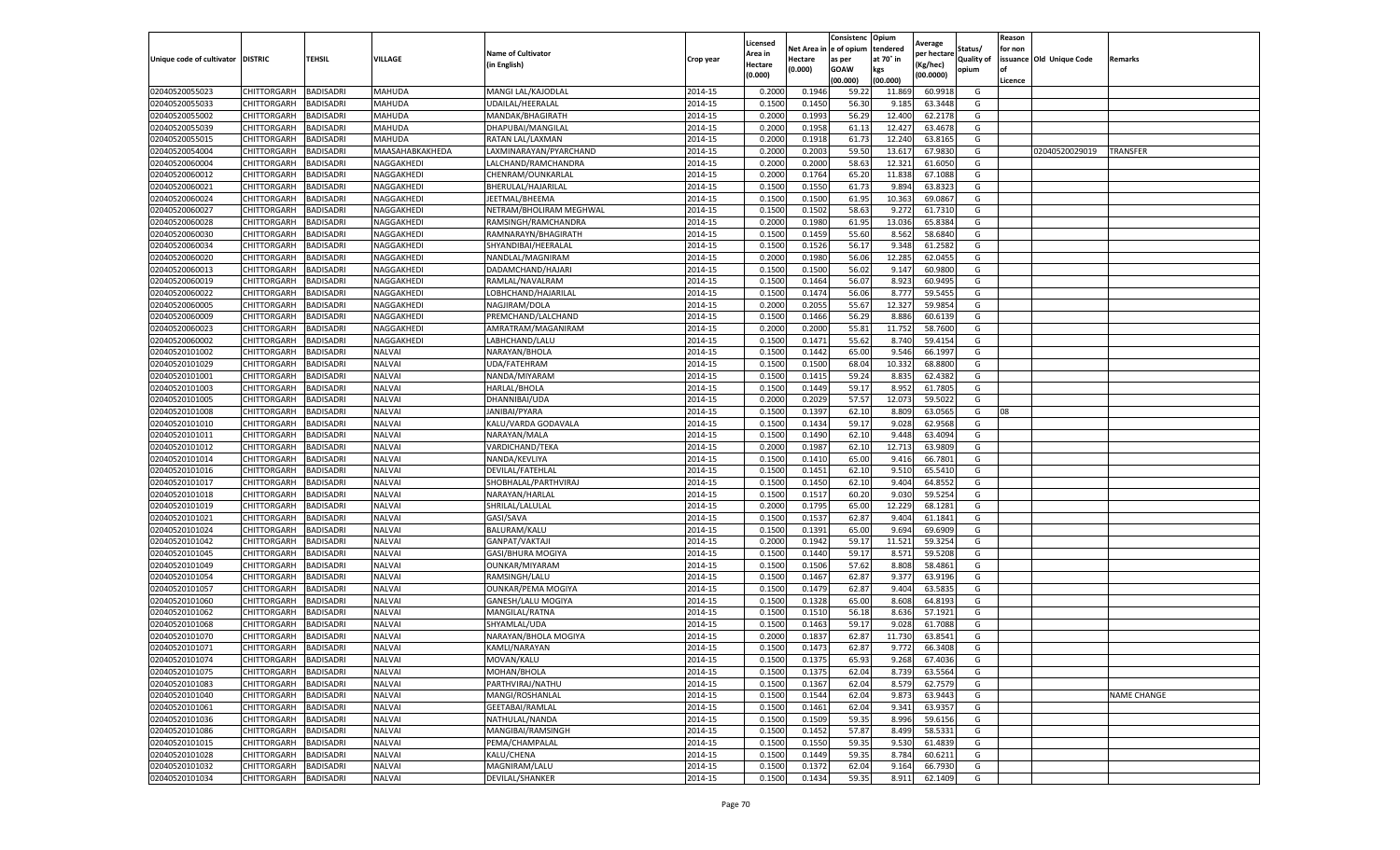|                           |                       |                  |                 |                           |           | Licensed |         | Consistenc             | Opium     |                        |                   | Reason  |                          |                    |
|---------------------------|-----------------------|------------------|-----------------|---------------------------|-----------|----------|---------|------------------------|-----------|------------------------|-------------------|---------|--------------------------|--------------------|
|                           |                       |                  |                 | <b>Name of Cultivator</b> |           | Area in  |         | Net Area in e of opium | tendered  | Average<br>per hectare | Status/           | for non |                          |                    |
| Unique code of cultivator | <b>DISTRIC</b>        | TEHSIL           | VILLAGE         | in English)               | Crop year | Hectare  | Hectare | as per                 | at 70° in | (Kg/hec                | <b>Quality of</b> |         | issuance Old Unique Code | <b>Remarks</b>     |
|                           |                       |                  |                 |                           |           | (0.000)  | (0.000) | <b>GOAW</b>            | kgs       | (00.0000)              | opium             |         |                          |                    |
|                           |                       |                  |                 |                           |           |          |         | (00.000)               | (00.000)  |                        |                   | Licence |                          |                    |
| 02040520055023            | CHITTORGARH           | <b>BADISADRI</b> | MAHUDA          | MANGI LAL/KAJODLAL        | 2014-15   | 0.2000   | 0.1946  | 59.22                  | 11.869    | 60.9918                | G                 |         |                          |                    |
| 02040520055033            | CHITTORGARH           | <b>BADISADRI</b> | MAHUDA          | UDAILAL/HEERALAL          | 2014-15   | 0.1500   | 0.1450  | 56.30                  | 9.18      | 63.3448                | G                 |         |                          |                    |
| 02040520055002            | CHITTORGARH           | <b>BADISADRI</b> | MAHUDA          | MANDAK/BHAGIRATH          | 2014-15   | 0.2000   | 0.1993  | 56.29                  | 12.400    | 62.2178                | G                 |         |                          |                    |
| 02040520055039            | CHITTORGARH           | <b>BADISADRI</b> | MAHUDA          | DHAPUBAI/MANGILAL         | 2014-15   | 0.2000   | 0.1958  | 61.13                  | 12.427    | 63.4678                | G                 |         |                          |                    |
| 02040520055015            | <b>CHITTORGARH</b>    | <b>BADISADRI</b> | MAHUDA          | RATAN LAL/LAXMAN          | 2014-15   | 0.2000   | 0.1918  | 61.73                  | 12.24     | 63.8165                | G                 |         |                          |                    |
| 02040520054004            | CHITTORGARH           | <b>BADISADRI</b> | MAASAHABKAKHEDA | LAXMINARAYAN/PYARCHAND    | 2014-15   | 0.2000   | 0.2003  | 59.50                  | 13.61     | 67.9830                | G                 |         | 02040520029019           | TRANSFER           |
| 02040520060004            | CHITTORGARH           | <b>BADISADRI</b> | NAGGAKHEDI      | LALCHAND/RAMCHANDRA       | 2014-15   | 0.2000   | 0.2000  | 58.63                  | 12.321    | 61.6050                | G                 |         |                          |                    |
| 02040520060012            | CHITTORGARH           | BADISADRI        | NAGGAKHEDI      | CHENRAM/OUNKARLAL         | 2014-15   | 0.2000   | 0.1764  | 65.20                  | 11.83     | 67.1088                | G                 |         |                          |                    |
| 02040520060021            | CHITTORGARH           | <b>BADISADRI</b> | NAGGAKHEDI      | BHERULAL/HAJARILAL        | 2014-15   | 0.1500   | 0.1550  | 61.73                  | 9.894     | 63.8323                | G                 |         |                          |                    |
| 02040520060024            | CHITTORGARH           | <b>BADISADRI</b> | NAGGAKHEDI      | JEETMAL/BHEEMA            | 2014-15   | 0.1500   | 0.1500  | 61.95                  | 10.363    | 69.0867                | G                 |         |                          |                    |
| 02040520060027            | CHITTORGARH           | <b>BADISADRI</b> | NAGGAKHEDI      | NETRAM/BHOLIRAM MEGHWAL   | 2014-15   | 0.1500   | 0.1502  | 58.63                  | 9.272     | 61.7310                | G                 |         |                          |                    |
| 02040520060028            | CHITTORGARH           | <b>BADISADRI</b> | NAGGAKHEDI      | RAMSINGH/RAMCHANDRA       | 2014-15   | 0.2000   | 0.1980  | 61.95                  | 13.036    | 65.8384                | G                 |         |                          |                    |
| 02040520060030            | CHITTORGARH           | <b>BADISADRI</b> | NAGGAKHEDI      | RAMNARAYN/BHAGIRATH       | 2014-15   | 0.1500   | 0.1459  | 55.60                  | 8.562     | 58.6840                | G                 |         |                          |                    |
| 02040520060034            | CHITTORGARH           | <b>BADISADRI</b> | NAGGAKHEDI      | SHYANDIBAI/HEERALAL       | 2014-15   | 0.1500   | 0.1526  | 56.17                  | 9.348     | 61.2582                | G                 |         |                          |                    |
| 02040520060020            | CHITTORGARH           | <b>BADISADRI</b> | NAGGAKHEDI      | NANDLAL/MAGNIRAM          | 2014-15   | 0.2000   | 0.1980  | 56.06                  | 12.285    | 62.0455                | G                 |         |                          |                    |
| 02040520060013            | CHITTORGARH           | <b>BADISADRI</b> | NAGGAKHEDI      | DADAMCHAND/HAJARI         | 2014-15   | 0.1500   | 0.1500  | 56.02                  | 9.147     | 60.9800                | G                 |         |                          |                    |
| 02040520060019            | CHITTORGARH           | <b>BADISADRI</b> | NAGGAKHEDI      | RAMLAL/NAVALRAM           | 2014-15   | 0.1500   | 0.1464  | 56.07                  | 8.923     | 60.9495                | G                 |         |                          |                    |
| 02040520060022            | CHITTORGARH           | <b>BADISADRI</b> | NAGGAKHEDI      | LOBHCHAND/HAJARILAL       | 2014-15   | 0.1500   | 0.1474  | 56.06                  | 8.777     | 59.5455                | G                 |         |                          |                    |
| 02040520060005            | CHITTORGARH           | <b>BADISADRI</b> | NAGGAKHEDI      | NAGJIRAM/DOLA             | 2014-15   | 0.2000   | 0.2055  | 55.67                  | 12.32     | 59.985                 | G                 |         |                          |                    |
| 02040520060009            | CHITTORGARH           | <b>BADISADRI</b> | NAGGAKHEDI      | PREMCHAND/LALCHAND        | 2014-15   | 0.1500   | 0.1466  | 56.29                  | 8.886     | 60.613                 | G                 |         |                          |                    |
| 02040520060023            | CHITTORGARH           | <b>BADISADRI</b> | NAGGAKHEDI      | AMRATRAM/MAGANIRAM        | 2014-15   | 0.2000   | 0.2000  | 55.81                  | 11.752    | 58.7600                | G                 |         |                          |                    |
| 02040520060002            | CHITTORGARH           | <b>BADISADRI</b> | NAGGAKHEDI      | LABHCHAND/LALU            | 2014-15   | 0.1500   | 0.1471  | 55.62                  | 8.740     | 59.4154                | G                 |         |                          |                    |
| 02040520101002            | CHITTORGARH           | <b>BADISADRI</b> | <b>NALVAI</b>   | NARAYAN/BHOLA             | 2014-15   | 0.1500   | 0.1442  | 65.00                  | 9.546     | 66.1997                | G                 |         |                          |                    |
| 02040520101029            | CHITTORGARH           | <b>BADISADRI</b> | <b>NALVAI</b>   | UDA/FATEHRAM              | 2014-15   | 0.1500   | 0.1500  | 68.04                  | 10.33     | 68.8800                | G                 |         |                          |                    |
| 02040520101001            | CHITTORGARH           | <b>BADISADRI</b> | <b>NALVAI</b>   | NANDA/MIYARAM             | 2014-15   | 0.1500   | 0.1415  | 59.24                  | 8.835     | 62.4382                | G                 |         |                          |                    |
| 02040520101003            | CHITTORGARH           | <b>BADISADRI</b> | <b>NALVAI</b>   | HARLAL/BHOLA              | 2014-15   | 0.1500   | 0.1449  | 59.17                  | 8.952     | 61.7805                | G                 |         |                          |                    |
| 02040520101005            | CHITTORGARH           | <b>BADISADRI</b> | <b>NALVAI</b>   | DHANNIBAI/UDA             | 2014-15   | 0.2000   | 0.2029  | 57.57                  | 12.07     | 59.5022                | G                 |         |                          |                    |
| 02040520101008            | CHITTORGARH           | <b>BADISADRI</b> | <b>NALVAI</b>   | JANIBAI/PYARA             | 2014-15   | 0.1500   | 0.1397  | 62.10                  | 8.809     | 63.0565                | G                 | 08      |                          |                    |
| 02040520101010            | CHITTORGARH           | <b>BADISADRI</b> | <b>NALVAI</b>   | KALU/VARDA GODAVALA       | 2014-15   | 0.1500   | 0.1434  | 59.17                  | 9.028     | 62.9568                | G                 |         |                          |                    |
| 02040520101011            | CHITTORGARH           | <b>BADISADRI</b> | <b>NALVAI</b>   | NARAYAN/MALA              | 2014-15   | 0.1500   | 0.1490  | 62.10                  | 9.448     | 63.4094                | G                 |         |                          |                    |
| 02040520101012            | CHITTORGARH           | <b>BADISADRI</b> | <b>NALVAI</b>   | VARDICHAND/TEKA           | 2014-15   | 0.2000   | 0.1987  | 62.10                  | 12.713    | 63.9809                | G                 |         |                          |                    |
| 02040520101014            | CHITTORGARH           | <b>BADISADRI</b> | <b>NALVAI</b>   | NANDA/KEVLIYA             | 2014-15   | 0.1500   | 0.1410  | 65.00                  | 9.416     | 66.7801                | G                 |         |                          |                    |
| 02040520101016            | CHITTORGARH           | <b>BADISADRI</b> | <b>NALVAI</b>   | DEVILAL/FATEHLAL          | 2014-15   | 0.1500   | 0.1451  | 62.10                  | 9.510     | 65.5410                | G                 |         |                          |                    |
| 02040520101017            | CHITTORGARH           | <b>BADISADRI</b> | NALVAI          | SHOBHALAL/PARTHVIRAJ      | 2014-15   | 0.1500   | 0.1450  | 62.10                  | 9.404     | 64.8552                | G                 |         |                          |                    |
| 02040520101018            | CHITTORGARH           | <b>BADISADRI</b> | <b>NALVAI</b>   | NARAYAN/HARLAL            | 2014-15   | 0.1500   | 0.1517  | 60.20                  | 9.030     | 59.5254                | G                 |         |                          |                    |
| 02040520101019            | CHITTORGARH           | <b>BADISADRI</b> | <b>NALVAI</b>   | SHRILAL/LALULAL           | 2014-15   | 0.2000   | 0.1795  | 65.00                  | 12.229    | 68.1281                | G                 |         |                          |                    |
| 02040520101021            | CHITTORGARH           | <b>BADISADRI</b> | <b>NALVAI</b>   | GASI/SAVA                 | 2014-15   | 0.1500   | 0.1537  | 62.87                  | 9.404     | 61.1841                | G                 |         |                          |                    |
| 02040520101024            | CHITTORGARH           | <b>BADISADRI</b> | NALVAI          | BALURAM/KALU              | 2014-15   | 0.1500   | 0.1391  | 65.00                  | 9.694     | 69.6909                | G                 |         |                          |                    |
| 02040520101042            | CHITTORGARH           | BADISADRI        | <b>NALVAI</b>   | GANPAT/VAKTAJI            | 2014-15   | 0.2000   | 0.1942  | 59.17                  | 11.521    | 59.3254                | G                 |         |                          |                    |
| 02040520101045            | CHITTORGARH           | <b>BADISADRI</b> | <b>NALVAI</b>   | GASI/BHURA MOGIYA         | 2014-15   | 0.1500   | 0.1440  | 59.17                  | 8.571     | 59.5208                | G                 |         |                          |                    |
| 02040520101049            | CHITTORGARH           | <b>BADISADRI</b> | NALVAI          | OUNKAR/MIYARAM            | 2014-15   | 0.1500   | 0.1506  | 57.62                  | 8.808     | 58.4861                | G                 |         |                          |                    |
| 02040520101054            | CHITTORGARH           | <b>BADISADRI</b> | <b>NALVAI</b>   | RAMSINGH/LALU             | 2014-15   | 0.1500   | 0.1467  | 62.87                  | 9.377     | 63.9196                | G                 |         |                          |                    |
| 02040520101057            | CHITTORGARH           | <b>BADISADRI</b> | NALVAI          | OUNKAR/PEMA MOGIYA        | 2014-15   | 0.1500   | 0.1479  | 62.87                  | 9.404     | 63.5835                | G                 |         |                          |                    |
| 02040520101060            | CHITTORGARH           | BADISADRI        | <b>NALVAI</b>   | GANESH/LALU MOGIYA        | 2014-15   | 0.1500   | 0.1328  | 65.00                  | 8.608     | 64.8193                | G                 |         |                          |                    |
| 02040520101062            | <b>CHITTORGARH</b>    | <b>BADISADRI</b> | <b>NALVAI</b>   | MANGILAL/RATNA            | 2014-15   | 0.1500   | 0.1510  | 56.18                  | 8.636     | 57.1921                | G                 |         |                          |                    |
| 02040520101068            | CHITTORGARH           | BADISADRI        | NALVAI          | SHYAMLAL/UDA              | 2014-15   | 0.1500   | 0.1463  | 59.17                  | 9.028     | 61.7088                | G                 |         |                          |                    |
| 02040520101070            | CHITTORGARH           | <b>BADISADRI</b> | NALVAI          | NARAYAN/BHOLA MOGIYA      | 2014-15   | 0.2000   | 0.1837  | 62.87                  | 11.73     | 63.8541                | G                 |         |                          |                    |
| 02040520101071            | CHITTORGARH           | <b>BADISADRI</b> | <b>NALVAI</b>   | KAMLI/NARAYAN             | 2014-15   | 0.1500   | 0.1473  | 62.87                  | 9.772     | 66.3408                | G                 |         |                          |                    |
| 02040520101074            | CHITTORGARH BADISADRI |                  | <b>NALVAI</b>   | MOVAN/KALU                | 2014-15   | 0.1500   | 0.1375  | 65.93                  | 9.268     | 67.4036                | G                 |         |                          |                    |
| 02040520101075            | CHITTORGARH           | <b>BADISADRI</b> | <b>NALVAI</b>   | MOHAN/BHOLA               | 2014-15   | 0.1500   | 0.1375  | 62.04                  | 8.739     | 63.5564                | G                 |         |                          |                    |
| 02040520101083            | <b>CHITTORGARH</b>    | <b>BADISADRI</b> | <b>NALVAI</b>   | PARTHVIRAJ/NATHU          | 2014-15   | 0.1500   | 0.1367  | 62.04                  | 8.579     | 62.7579                | G                 |         |                          |                    |
| 02040520101040            | <b>CHITTORGARH</b>    | <b>BADISADRI</b> | <b>NALVAI</b>   | MANGI/ROSHANLAL           | 2014-15   | 0.1500   | 0.1544  | 62.04                  | 9.873     | 63.9443                | G                 |         |                          | <b>NAME CHANGE</b> |
| 02040520101061            | <b>CHITTORGARH</b>    | <b>BADISADRI</b> | <b>NALVAI</b>   | GEETABAI/RAMLAL           | 2014-15   | 0.1500   | 0.1461  | 62.04                  | 9.341     | 63.9357                | G                 |         |                          |                    |
| 02040520101036            | <b>CHITTORGARH</b>    | <b>BADISADRI</b> | <b>NALVAI</b>   | NATHULAL/NANDA            | 2014-15   | 0.1500   | 0.1509  | 59.35                  | 8.996     | 59.6156                | G                 |         |                          |                    |
| 02040520101086            | CHITTORGARH           | <b>BADISADRI</b> | <b>NALVAI</b>   | MANGIBAI/RAMSINGH         | 2014-15   | 0.1500   | 0.1452  | 57.87                  | 8.499     | 58.5331                | G                 |         |                          |                    |
| 02040520101015            | <b>CHITTORGARH</b>    | <b>BADISADRI</b> | <b>NALVAI</b>   | PEMA/CHAMPALAL            | 2014-15   | 0.1500   | 0.1550  | 59.35                  | 9.530     | 61.4839                | G                 |         |                          |                    |
| 02040520101028            | CHITTORGARH           | <b>BADISADRI</b> | <b>NALVAI</b>   | KALU/CHENA                | 2014-15   | 0.1500   | 0.1449  | 59.35                  | 8.784     | 60.6211                | G                 |         |                          |                    |
| 02040520101032            | CHITTORGARH           | <b>BADISADRI</b> | <b>NALVAI</b>   | MAGNIRAM/LALU             | 2014-15   | 0.1500   | 0.1372  | 62.04                  | 9.164     | 66.7930                | G                 |         |                          |                    |
| 02040520101034            | <b>CHITTORGARH</b>    | <b>BADISADRI</b> | <b>NALVAI</b>   | <b>DEVILAL/SHANKER</b>    | 2014-15   | 0.1500   | 0.1434  | 59.35                  | 8.911     | 62.1409                | G                 |         |                          |                    |
|                           |                       |                  |                 |                           |           |          |         |                        |           |                        |                   |         |                          |                    |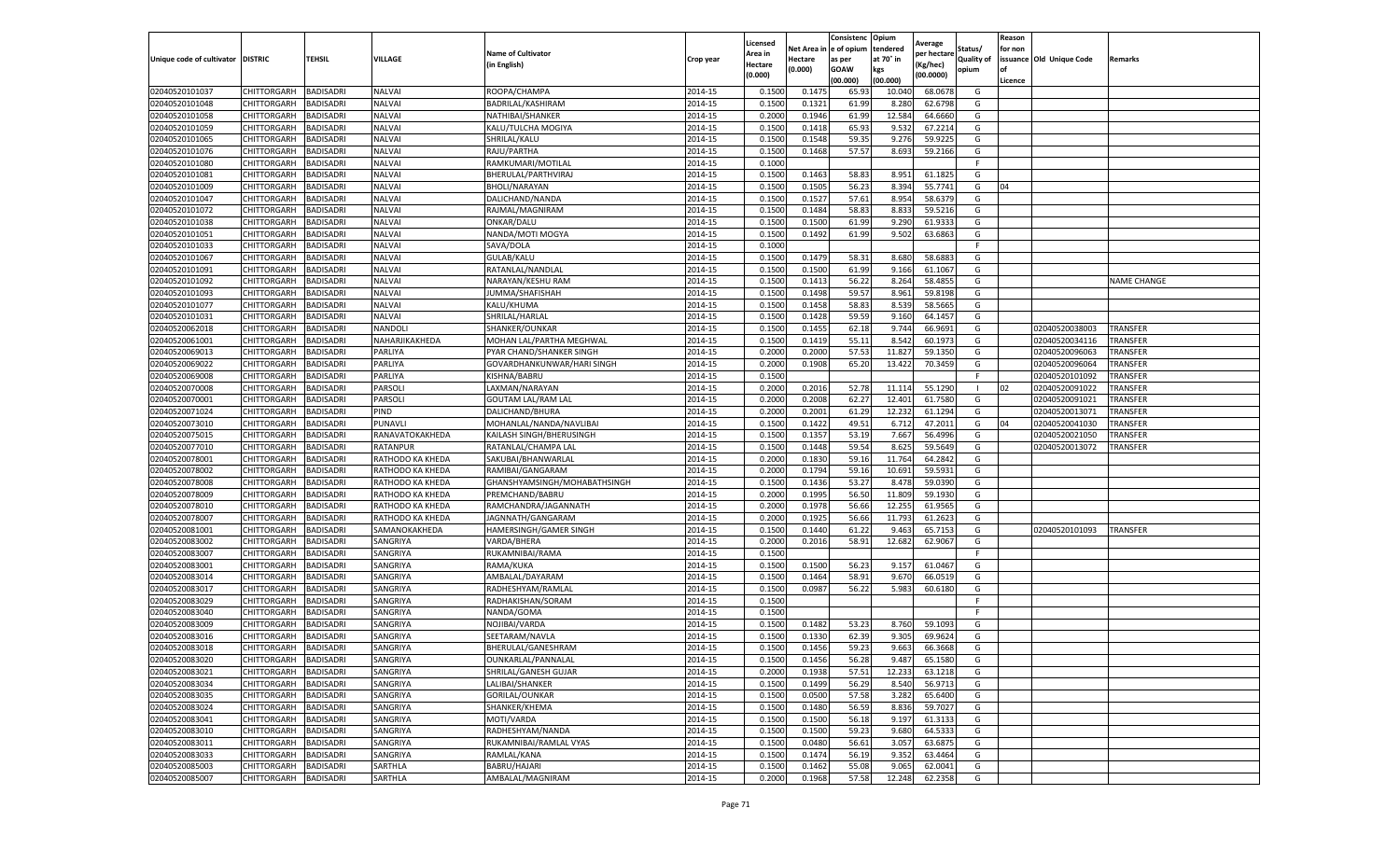|                           |                       |                  |                  |                              |           | Licensed |         | Consistenc             | Opium     |                        |                   | Reason  |                          |                    |
|---------------------------|-----------------------|------------------|------------------|------------------------------|-----------|----------|---------|------------------------|-----------|------------------------|-------------------|---------|--------------------------|--------------------|
|                           |                       |                  |                  | <b>Name of Cultivator</b>    |           | Area in  |         | Net Area in e of opium | tendered  | Average<br>per hectare | Status/           | for non |                          |                    |
| Unique code of cultivator | <b>DISTRIC</b>        | TEHSIL           | VILLAGE          | in English)                  | Crop year | Hectare  | Hectare | as per                 | at 70° in | (Kg/hec                | <b>Quality of</b> |         | issuance Old Unique Code | <b>Remarks</b>     |
|                           |                       |                  |                  |                              |           | (0.000)  | (0.000) | <b>GOAW</b>            | kgs       | (00.0000)              | opium             |         |                          |                    |
|                           |                       |                  |                  |                              |           |          |         | (00.000)               | (00.000)  |                        |                   | Licence |                          |                    |
| 02040520101037            | <b>CHITTORGARH</b>    | <b>BADISADRI</b> | <b>NALVAI</b>    | ROOPA/CHAMPA                 | 2014-15   | 0.1500   | 0.1475  | 65.93                  | 10.04     | 68.0678                | G                 |         |                          |                    |
| 02040520101048            | CHITTORGARH           | <b>BADISADRI</b> | NALVAI           | BADRILAL/KASHIRAM            | 2014-15   | 0.1500   | 0.1321  | 61.99                  | 8.28      | 62.6798                | G                 |         |                          |                    |
| 02040520101058            | CHITTORGARH           | <b>BADISADRI</b> | NALVAI           | NATHIBAI/SHANKER             | 2014-15   | 0.2000   | 0.1946  | 61.99                  | 12.584    | 64.6660                | G                 |         |                          |                    |
| 02040520101059            | CHITTORGARH           | <b>BADISADRI</b> | <b>NALVAI</b>    | KALU/TULCHA MOGIYA           | 2014-15   | 0.1500   | 0.1418  | 65.93                  | 9.532     | 67.2214                | G                 |         |                          |                    |
| 02040520101065            | <b>CHITTORGARH</b>    | <b>BADISADRI</b> | <b>NALVAI</b>    | SHRILAL/KALU                 | 2014-15   | 0.1500   | 0.1548  | 59.35                  | 9.276     | 59.9225                | G                 |         |                          |                    |
| 02040520101076            | CHITTORGARH           | <b>BADISADRI</b> | <b>NALVAI</b>    | RAJU/PARTHA                  | 2014-15   | 0.1500   | 0.1468  | 57.57                  | 8.693     | 59.2166                | G                 |         |                          |                    |
| 02040520101080            | CHITTORGARH           | <b>BADISADRI</b> | <b>NALVAI</b>    | RAMKUMARI/MOTILAL            | 2014-15   | 0.1000   |         |                        |           |                        | F                 |         |                          |                    |
| 02040520101081            | CHITTORGARH           | BADISADRI        | <b>NALVAI</b>    | BHERULAL/PARTHVIRAJ          | 2014-15   | 0.1500   | 0.1463  | 58.83                  | 8.951     | 61.1825                | G                 |         |                          |                    |
| 02040520101009            | CHITTORGARH           | <b>BADISADRI</b> | <b>NALVAI</b>    | <b>BHOLI/NARAYAN</b>         | 2014-15   | 0.1500   | 0.1505  | 56.23                  | 8.394     | 55.7741                | G                 | 04      |                          |                    |
| 02040520101047            | CHITTORGARH           | <b>BADISADRI</b> | <b>NALVAI</b>    | DALICHAND/NANDA              | 2014-15   | 0.1500   | 0.1527  | 57.61                  | 8.954     | 58.6379                | G                 |         |                          |                    |
| 02040520101072            | CHITTORGARH           | <b>BADISADRI</b> | <b>NALVAI</b>    | RAJMAL/MAGNIRAM              | 2014-15   | 0.1500   | 0.1484  | 58.83                  | 8.833     | 59.5216                | G                 |         |                          |                    |
| 02040520101038            | CHITTORGARH           | <b>BADISADRI</b> | NALVAI           | ONKAR/DALU                   | 2014-15   | 0.1500   | 0.1500  | 61.99                  | 9.290     | 61.933                 | G                 |         |                          |                    |
| 02040520101051            | CHITTORGARH           | <b>BADISADRI</b> | <b>NALVAI</b>    | NANDA/MOTI MOGYA             | 2014-15   | 0.1500   | 0.1492  | 61.99                  | 9.502     | 63.6863                | G                 |         |                          |                    |
| 02040520101033            | CHITTORGARH           | <b>BADISADRI</b> | <b>NALVAI</b>    | SAVA/DOLA                    | 2014-15   | 0.1000   |         |                        |           |                        | F                 |         |                          |                    |
| 02040520101067            | CHITTORGARH           | <b>BADISADRI</b> | NALVAI           | GULAB/KALU                   | 2014-15   | 0.1500   | 0.1479  | 58.31                  | 8.680     | 58.688                 | G                 |         |                          |                    |
| 02040520101091            | CHITTORGARH           | <b>BADISADRI</b> | <b>NALVAI</b>    | RATANLAL/NANDLAL             | 2014-15   | 0.1500   | 0.1500  | 61.99                  | 9.166     | 61.1067                | G                 |         |                          |                    |
| 02040520101092            | CHITTORGARH           | <b>BADISADRI</b> | NALVAI           | NARAYAN/KESHU RAM            | 2014-15   | 0.1500   | 0.1413  | 56.22                  | 8.264     | 58.4855                | G                 |         |                          | <b>NAME CHANGE</b> |
| 02040520101093            | CHITTORGARH           | <b>BADISADRI</b> | <b>NALVAI</b>    | JUMMA/SHAFISHAH              | 2014-15   | 0.1500   | 0.1498  | 59.57                  | 8.961     | 59.8198                | G                 |         |                          |                    |
| 02040520101077            | CHITTORGARH           | <b>BADISADRI</b> | <b>NALVAI</b>    | KALU/KHUMA                   | 2014-15   | 0.1500   | 0.1458  | 58.83                  | 8.539     | 58.5665                | G                 |         |                          |                    |
| 02040520101031            | CHITTORGARH           | BADISADRI        | <b>NALVAI</b>    | SHRILAL/HARLAL               | 2014-15   | 0.1500   | 0.1428  | 59.59                  | 9.160     | 64.1457                | G                 |         |                          |                    |
| 02040520062018            | CHITTORGARH           | <b>BADISADRI</b> | NANDOLI          | SHANKER/OUNKAR               | 2014-15   | 0.1500   | 0.1455  | 62.18                  | 9.744     | 66.9691                | G                 |         | 02040520038003           | <b>TRANSFER</b>    |
| 02040520061001            | CHITTORGARH           | <b>BADISADRI</b> | NAHARJIKAKHEDA   | MOHAN LAL/PARTHA MEGHWAL     | 2014-15   | 0.1500   | 0.1419  | 55.11                  | 8.542     | 60.1973                | G                 |         | 02040520034116           | TRANSFER           |
| 02040520069013            | CHITTORGARH           | <b>BADISADRI</b> | PARLIYA          | PYAR CHAND/SHANKER SINGH     | 2014-15   | 0.2000   | 0.2000  | 57.53                  | 11.827    | 59.1350                | G                 |         | 02040520096063           | <b>TRANSFER</b>    |
| 02040520069022            | CHITTORGARH           | <b>BADISADRI</b> | PARLIYA          | GOVARDHANKUNWAR/HARI SINGH   | 2014-15   | 0.2000   | 0.1908  | 65.20                  | 13.422    | 70.3459                | G                 |         | 02040520096064           | TRANSFER           |
| 02040520069008            | CHITTORGARH           | <b>BADISADRI</b> | PARLIYA          | KISHNA/BABRU                 | 2014-15   | 0.1500   |         |                        |           |                        | F                 |         | 02040520101092           | TRANSFER           |
| 02040520070008            | CHITTORGARH           | <b>BADISADRI</b> | PARSOLI          | LAXMAN/NARAYAN               | 2014-15   | 0.2000   | 0.2016  | 52.78                  | 11.114    | 55.1290                |                   | 02      | 02040520091022           | <b>TRANSFER</b>    |
| 02040520070001            | CHITTORGARH           | BADISADRI        | PARSOLI          | <b>GOUTAM LAL/RAM LAL</b>    | 2014-15   | 0.2000   | 0.2008  | 62.27                  | 12.401    | 61.7580                | G                 |         | 02040520091021           | TRANSFER           |
| 02040520071024            | CHITTORGARH           | <b>BADISADRI</b> | PIND             | DALICHAND/BHURA              | 2014-15   | 0.2000   | 0.2001  | 61.29                  | 12.232    | 61.1294                | G                 |         | 02040520013071           | TRANSFER           |
| 02040520073010            | CHITTORGARH           | <b>BADISADRI</b> | PUNAVLI          | MOHANLAL/NANDA/NAVLIBAI      | 2014-15   | 0.1500   | 0.1422  | 49.51                  | 6.712     | 47.2011                | G                 | 04      | 02040520041030           | <b>TRANSFER</b>    |
| 02040520075015            | CHITTORGARH           | <b>BADISADRI</b> | RANAVATOKAKHEDA  | KAILASH SINGH/BHERUSINGH     | 2014-15   | 0.1500   | 0.1357  | 53.19                  | 7.667     | 56.4996                | G                 |         | 02040520021050           | TRANSFER           |
| 02040520077010            | CHITTORGARH           | <b>BADISADRI</b> | RATANPUR         | RATANLAL/CHAMPA LAL          | 2014-15   | 0.1500   | 0.1448  | 59.54                  | 8.62      | 59.5649                | G                 |         | 02040520013072           | TRANSFER           |
| 02040520078001            | CHITTORGARH           | <b>BADISADRI</b> | RATHODO KA KHEDA | SAKUBAI/BHANWARLAL           | 2014-15   | 0.2000   | 0.1830  | 59.16                  | 11.764    | 64.2842                | G                 |         |                          |                    |
| 02040520078002            | CHITTORGARH           | <b>BADISADRI</b> | RATHODO KA KHEDA | RAMIBAI/GANGARAM             | 2014-15   | 0.2000   | 0.1794  | 59.16                  | 10.691    | 59.5931                | G                 |         |                          |                    |
| 02040520078008            | CHITTORGARH           | <b>BADISADRI</b> | RATHODO KA KHEDA | GHANSHYAMSINGH/MOHABATHSINGH | 2014-15   | 0.1500   | 0.1436  | 53.27                  | 8.478     | 59.0390                | G                 |         |                          |                    |
| 02040520078009            | CHITTORGARH           | <b>BADISADRI</b> | RATHODO KA KHEDA | PREMCHAND/BABRU              | 2014-15   | 0.2000   | 0.1995  | 56.50                  | 11.809    | 59.1930                | G                 |         |                          |                    |
| 02040520078010            | CHITTORGARH           | <b>BADISADRI</b> | RATHODO KA KHEDA | RAMCHANDRA/JAGANNATH         | 2014-15   | 0.2000   | 0.1978  | 56.66                  | 12.255    | 61.9565                | G                 |         |                          |                    |
| 02040520078007            | CHITTORGARH           | <b>BADISADRI</b> | RATHODO KA KHEDA | JAGNNATH/GANGARAM            | 2014-15   | 0.2000   | 0.1925  | 56.66                  | 11.793    | 61.2623                | G                 |         |                          |                    |
| 02040520081001            | CHITTORGARH           | <b>BADISADRI</b> | SAMANOKAKHEDA    | HAMERSINGH/GAMER SINGH       | 2014-15   | 0.1500   | 0.1440  | 61.22                  | 9.463     | 65.7153                | G                 |         | 02040520101093           | <b>TRANSFER</b>    |
| 02040520083002            | CHITTORGARH           | BADISADRI        | SANGRIYA         | VARDA/BHERA                  | 2014-15   | 0.2000   | 0.2016  | 58.91                  | 12.682    | 62.9067                | G                 |         |                          |                    |
| 02040520083007            | CHITTORGARH           | <b>BADISADRI</b> | SANGRIYA         | RUKAMNIBAI/RAMA              | 2014-15   | 0.1500   |         |                        |           |                        | F                 |         |                          |                    |
| 02040520083001            | CHITTORGARH           | <b>BADISADRI</b> | SANGRIYA         | RAMA/KUKA                    | 2014-15   | 0.1500   | 0.1500  | 56.23                  | 9.15      | 61.0467                | G                 |         |                          |                    |
| 02040520083014            | CHITTORGARH           | <b>BADISADRI</b> | SANGRIYA         | AMBALAL/DAYARAM              | 2014-15   | 0.1500   | 0.1464  | 58.91                  | 9.67      | 66.0519                | G                 |         |                          |                    |
| 02040520083017            | CHITTORGARH           | <b>BADISADRI</b> | SANGRIYA         | RADHESHYAM/RAMLAL            | 2014-15   | 0.1500   | 0.0987  | 56.22                  | 5.983     | 60.6180                | G                 |         |                          |                    |
| 02040520083029            | CHITTORGARH           | <b>BADISADRI</b> | SANGRIYA         | RADHAKISHAN/SORAM            | 2014-15   | 0.1500   |         |                        |           |                        | F                 |         |                          |                    |
| 02040520083040            | CHITTORGARH           | <b>BADISADRI</b> | SANGRIYA         | NANDA/GOMA                   | 2014-15   | 0.1500   |         |                        |           |                        | F                 |         |                          |                    |
| 02040520083009            | CHITTORGARH           | BADISADRI        | SANGRIYA         | NOJIBAI/VARDA                | 2014-15   | 0.1500   | 0.1482  | 53.23                  | 8.760     | 59.1093                | G                 |         |                          |                    |
| 02040520083016            | CHITTORGARH           | <b>BADISADRI</b> | SANGRIYA         | SEETARAM/NAVLA               | 2014-15   | 0.1500   | 0.1330  | 62.39                  | 9.305     | 69.9624                | G                 |         |                          |                    |
| 02040520083018            | CHITTORGARH           | <b>BADISADRI</b> | SANGRIYA         | BHERULAL/GANESHRAM           | 2014-15   | 0.1500   | 0.1456  | 59.23                  | 9.663     | 66.3668                | G                 |         |                          |                    |
| 02040520083020            | CHITTORGARH BADISADRI |                  | SANGRIYA         | OUNKARLAL/PANNALAL           | 2014-15   | 0.1500   | 0.1456  | 56.28                  | 9.487     | 65.1580                | G                 |         |                          |                    |
| 02040520083021            | CHITTORGARH           | <b>BADISADRI</b> | SANGRIYA         | SHRILAL/GANESH GUJAR         | 2014-15   | 0.2000   | 0.1938  | 57.51                  | 12.233    | 63.1218                | G                 |         |                          |                    |
| 02040520083034            | <b>CHITTORGARH</b>    | <b>BADISADRI</b> | SANGRIYA         | LALIBAI/SHANKER              | 2014-15   | 0.1500   | 0.1499  | 56.29                  | 8.540     | 56.9713                | G                 |         |                          |                    |
| 02040520083035            | CHITTORGARH           | <b>BADISADRI</b> | SANGRIYA         | GORILAL/OUNKAR               | 2014-15   | 0.1500   | 0.0500  | 57.58                  | 3.282     | 65.6400                | G                 |         |                          |                    |
| 02040520083024            | <b>CHITTORGARH</b>    | <b>BADISADRI</b> | SANGRIYA         | SHANKER/KHEMA                | 2014-15   | 0.1500   | 0.1480  | 56.59                  | 8.836     | 59.7027                | G                 |         |                          |                    |
| 02040520083041            | <b>CHITTORGARH</b>    | <b>BADISADRI</b> | SANGRIYA         | MOTI/VARDA                   | 2014-15   | 0.1500   | 0.1500  | 56.18                  | 9.197     | 61.3133                | G                 |         |                          |                    |
| 02040520083010            | CHITTORGARH           | <b>BADISADRI</b> | SANGRIYA         | RADHESHYAM/NANDA             | 2014-15   | 0.1500   | 0.1500  | 59.23                  | 9.680     | 64.5333                | G                 |         |                          |                    |
| 02040520083011            | CHITTORGARH           | <b>BADISADRI</b> | SANGRIYA         | RUKAMNIBAI/RAMLAL VYAS       | 2014-15   | 0.1500   | 0.0480  | 56.61                  | 3.057     | 63.6875                | G                 |         |                          |                    |
| 02040520083033            | CHITTORGARH           | <b>BADISADRI</b> | SANGRIYA         | RAMLAL/KANA                  | 2014-15   | 0.1500   | 0.1474  | 56.19                  | 9.352     | 63.4464                | G                 |         |                          |                    |
| 02040520085003            | CHITTORGARH           | <b>BADISADRI</b> | SARTHLA          | BABRU/HAJARI                 | 2014-15   | 0.1500   | 0.1462  | 55.08                  | 9.065     | 62.0041                | G                 |         |                          |                    |
| 02040520085007            | <b>CHITTORGARH</b>    | <b>BADISADRI</b> | SARTHLA          | AMBALAL/MAGNIRAM             | 2014-15   | 0.2000   | 0.1968  | 57.58                  | 12.248    | 62.2358                | G                 |         |                          |                    |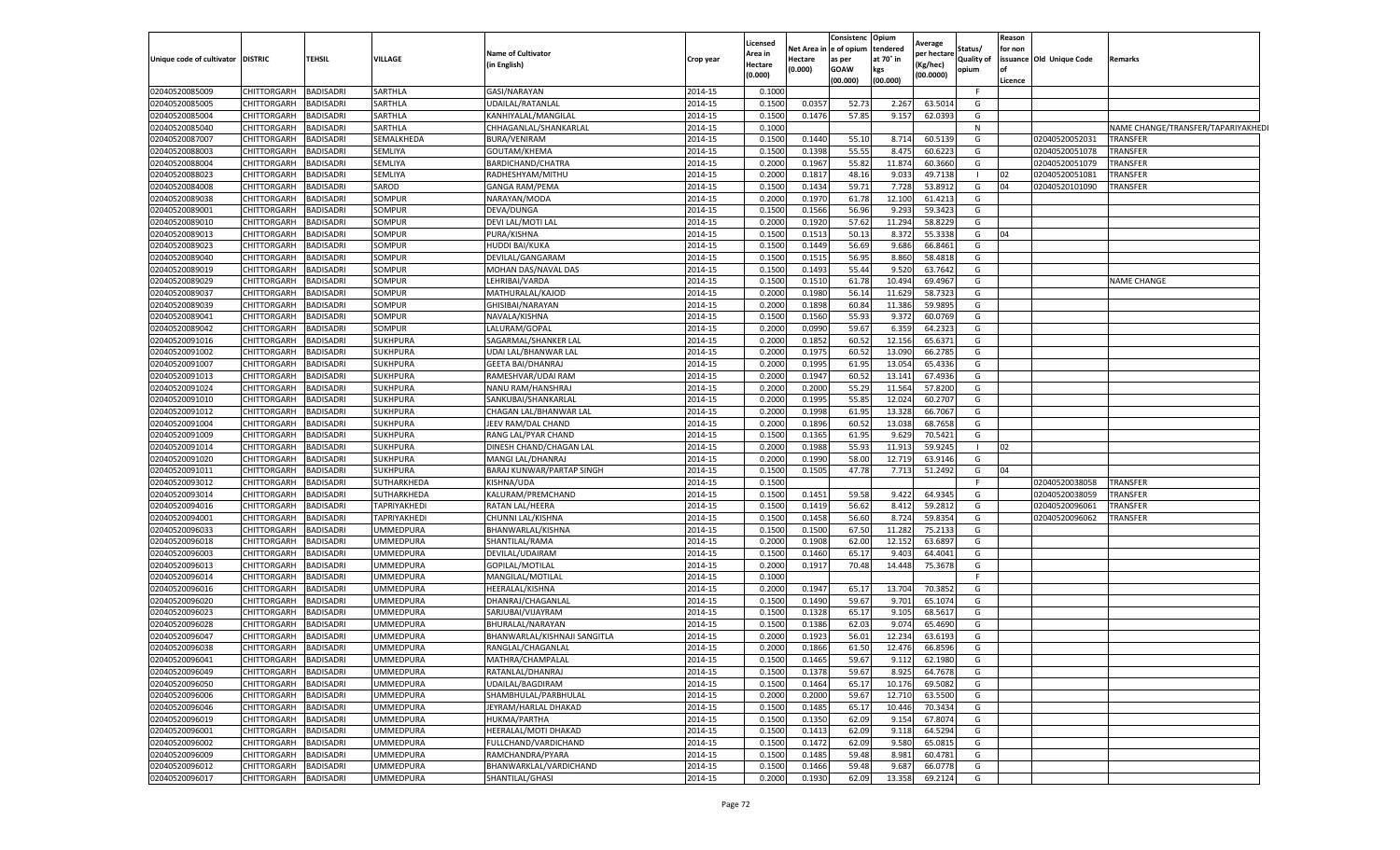|                                   |                                   |                        |                               |                                     |                    | Licensed         |             | Consistenc  | Opium           | Average     |              | Reason  |                          |                                    |
|-----------------------------------|-----------------------------------|------------------------|-------------------------------|-------------------------------------|--------------------|------------------|-------------|-------------|-----------------|-------------|--------------|---------|--------------------------|------------------------------------|
|                                   |                                   |                        |                               | <b>Name of Cultivator</b>           |                    | Area in          | Net Area in | e of opium  | tendered        | per hectare | Status/      | for non |                          |                                    |
| Unique code of cultivator DISTRIC |                                   | <b>TEHSIL</b>          | <b>VILLAGE</b>                | (in English)                        | Crop year          | Hectare          | Hectare     | as per      | at 70° in       | Kg/hec)     | Quality of   |         | issuance Old Unique Code | Remarks                            |
|                                   |                                   |                        |                               |                                     |                    | (0.000)          | (0.000)     | <b>GOAW</b> | kgs             | (00.0000)   | opium        | lof     |                          |                                    |
|                                   |                                   |                        |                               |                                     |                    |                  |             | (00.000)    | (00.000)        |             |              | Licence |                          |                                    |
| 02040520085009                    | <b>CHITTORGARH</b>                | <b>BADISADRI</b>       | SARTHLA                       | GASI/NARAYAN                        | 2014-15            | 0.1000           |             |             |                 |             | F.           |         |                          |                                    |
| 02040520085005                    | <b>CHITTORGARH</b>                | <b>BADISADRI</b>       | SARTHLA                       | UDAILAL/RATANLAL                    | 2014-15            | 0.1500           | 0.035       | 52.73       | 2.267           | 63.5014     | G            |         |                          |                                    |
| 02040520085004                    | CHITTORGARH                       | BADISADRI              | SARTHLA                       | KANHIYALAL/MANGILAL                 | 2014-15            | 0.1500           | 0.1476      | 57.85       | 9.157           | 62.0393     | G            |         |                          |                                    |
| 02040520085040                    | <b>CHITTORGARH</b>                | <b>BADISADRI</b>       | SARTHLA                       | CHHAGANLAL/SHANKARLAL               | 2014-15            | 0.1000           |             |             |                 |             | N            |         |                          | NAME CHANGE/TRANSFER/TAPARIYAKHEDI |
| 02040520087007                    | CHITTORGARH                       | BADISADRI              | SEMALKHEDA                    | <b>BURA/VENIRAM</b>                 | 2014-15            | 0.1500           | 0.1440      | 55.10       | 8.714           | 60.5139     | G            |         | 02040520052031           | <b>TRANSFER</b>                    |
| 02040520088003                    | CHITTORGARH                       | BADISADRI              | SEMLIYA                       | GOUTAM/KHEMA                        | 2014-15            | 0.1500           | 0.1398      | 55.5        | 8.475           | 60.6223     | G            |         | 02040520051078           | <b>TRANSFER</b>                    |
| 02040520088004                    | CHITTORGARH                       | <b>BADISADRI</b>       | SEMLIYA                       | BARDICHAND/CHATRA                   | 2014-15            | 0.2000           | 0.1967      | 55.82       | 11.874          | 60.3660     | G            |         | 02040520051079           | <b>TRANSFER</b>                    |
| 02040520088023                    | CHITTORGARH                       | BADISADRI              | SEMLIYA                       | RADHESHYAM/MITHU                    | 2014-15            | 0.2000           | 0.181       | 48.16       | 9.033           | 49.7138     | $\mathbf{I}$ | 02      | 02040520051081           | TRANSFER                           |
| 02040520084008                    | CHITTORGARH                       | BADISADRI              | SAROD                         | <b>GANGA RAM/PEMA</b>               | 2014-15            | 0.1500           | 0.1434      | 59.71       | 7.728           | 53.8912     | G            | 04      | 02040520101090           | TRANSFER                           |
| 02040520089038                    | <b>CHITTORGARH</b>                | <b>BADISADRI</b>       | SOMPUR                        | NARAYAN/MODA                        | 2014-15            | 0.2000           | 0.1970      | 61.78       | 12.100          | 61.4213     | G            |         |                          |                                    |
| 02040520089001                    | CHITTORGARH                       | BADISADRI              | SOMPUR                        | DEVA/DUNGA                          | 2014-15            | 0.1500           | 0.1566      | 56.96       | 9.293           | 59.3423     | G            |         |                          |                                    |
| 02040520089010                    | CHITTORGARH                       | <b>BADISADRI</b>       | SOMPUR                        | DEVI LAL/MOTI LAL                   | 2014-15            | 0.2000           | 0.1920      | 57.62       | 11.294          | 58.8229     | G            |         |                          |                                    |
| 02040520089013                    | CHITTORGARH                       | BADISADRI              | SOMPUR                        | PURA/KISHNA                         | 2014-15            | 0.1500           | 0.1513      | 50.13       | 8.372           | 55.3338     | G            | 04      |                          |                                    |
| 02040520089023                    | CHITTORGARH                       | BADISADRI              | SOMPUR                        | HUDDI BAI/KUKA                      | 2014-15            | 0.1500           | 0.1449      | 56.69       | 9.686           | 66.8461     | G            |         |                          |                                    |
| 02040520089040                    | <b>CHITTORGARH</b>                | BADISADRI              | SOMPUR                        | DEVILAL/GANGARAM                    | 2014-15            | 0.1500           | 0.151       | 56.95       | 8.860           | 58.4818     | G            |         |                          |                                    |
| 02040520089019                    | <b>CHITTORGARH</b>                | BADISADRI              | SOMPUR                        | MOHAN DAS/NAVAL DAS                 | 2014-15            | 0.1500           | 0.1493      | 55.44       | 9.520           | 63.7642     | G            |         |                          |                                    |
| 02040520089029                    | CHITTORGARH                       | BADISADRI              | SOMPUR                        | LEHRIBAI/VARDA                      | 2014-15            | 0.1500           | 0.1510      | 61.78       | 10.494          | 69.4967     | G            |         |                          | <b>NAME CHANGE</b>                 |
| 02040520089037                    | CHITTORGARH                       | BADISADRI              | SOMPUR                        | MATHURALAL/KAJOD                    | 2014-15            | 0.2000           | 0.1980      | 56.14       | 11.629          | 58.7323     | G            |         |                          |                                    |
| 02040520089039                    | CHITTORGARH                       | <b>BADISADRI</b>       | SOMPUR                        | GHISIBAI/NARAYAN                    | 2014-15            | 0.2000           | 0.1898      | 60.8        | 11.386          | 59.9895     | G            |         |                          |                                    |
| 02040520089041                    | CHITTORGARH                       | <b>BADISADRI</b>       | SOMPUR                        | NAVALA/KISHNA                       | 2014-15            | 0.1500           | 0.156       | 55.93       | 9.372           | 60.0769     | G            |         |                          |                                    |
| 02040520089042                    | CHITTORGARH                       | BADISADRI              | SOMPUR                        | LALURAM/GOPAL                       | 2014-15            | 0.2000           | 0.0990      | 59.67       | 6.359           | 64.2323     | G            |         |                          |                                    |
| 02040520091016                    | <b>CHITTORGARH</b>                | BADISADRI              | <b>SUKHPURA</b>               | SAGARMAL/SHANKER LAI                | 2014-15            | 0.2000           | 0.1852      | 60.52       | 12.156          | 65.6371     | G            |         |                          |                                    |
| 02040520091002                    | CHITTORGARH                       | <b>BADISADRI</b>       | <b>SUKHPURA</b>               | UDAI LAL/BHANWAR LAL                | 2014-15            | 0.2000           | 0.1975      | 60.52       | 13.090          | 66.2785     | G            |         |                          |                                    |
| 02040520091007                    | CHITTORGARH                       | BADISADRI              | <b>SUKHPURA</b>               | <b>GEETA BAI/DHANRAJ</b>            | 2014-15            | 0.2000           | 0.1995      | 61.95       | 13.054          | 65.4336     | G            |         |                          |                                    |
| 02040520091013                    | CHITTORGARH                       | <b>BADISADRI</b>       | <b>SUKHPURA</b>               | RAMESHVAR/UDAI RAM                  | 2014-15            | 0.2000           | 0.1947      | 60.5        | 13.14           | 67.4936     | G            |         |                          |                                    |
| 02040520091024                    | <b>CHITTORGARH</b>                | BADISADRI              | <b>SUKHPURA</b>               | NANU RAM/HANSHRAJ                   | 2014-15            | 0.2000           | 0.2000      | 55.2        | 11.564          | 57.8200     | G            |         |                          |                                    |
| 02040520091010                    | CHITTORGARH                       | BADISADRI              | <b>SUKHPURA</b>               | SANKUBAI/SHANKARLAL                 | 2014-15            | 0.2000           | 0.199       | 55.8        | 12.024          | 60.2707     | G            |         |                          |                                    |
| 02040520091012                    | <b>CHITTORGARH</b>                | <b>BADISADRI</b>       | <b>SUKHPURA</b>               | CHAGAN LAL/BHANWAR LAL              | 2014-15            | 0.2000           | 0.1998      | 61.95       | 13.328          | 66.7067     | G            |         |                          |                                    |
| 02040520091004                    | CHITTORGARH                       | BADISADRI              | <b>SUKHPURA</b>               | JEEV RAM/DAL CHAND                  | 2014-15            | 0.2000           | 0.1896      | 60.52       | 13.038          | 68.7658     | G            |         |                          |                                    |
| 02040520091009                    | CHITTORGARH                       | BADISADRI              | SUKHPURA                      | RANG LAL/PYAR CHAND                 | 2014-15            | 0.1500           | 0.1365      | 61.9        | 9.629           | 70.5421     | G            |         |                          |                                    |
| 02040520091014                    | CHITTORGARH                       | BADISADRI              | <b>SUKHPURA</b>               | DINESH CHAND/CHAGAN LAL             | 2014-15            | 0.2000           | 0.1988      | 55.93       | 11.913          | 59.9245     |              | 02      |                          |                                    |
| 02040520091020                    | CHITTORGARH                       | BADISADRI              | <b>SUKHPURA</b>               | <b>MANGI LAL/DHANRAJ</b>            | 2014-15            | 0.2000           | 0.1990      | 58.00       | 12.719          | 63.9146     | G            |         |                          |                                    |
| 02040520091011                    | CHITTORGARH                       | BADISADRI              | <b>SUKHPURA</b>               | BARAJ KUNWAR/PARTAP SINGH           | 2014-15            | 0.1500           | 0.1505      | 47.78       | 7.713           | 51.2492     | G            | 04      |                          |                                    |
| 02040520093012                    | <b>CHITTORGARH</b>                | BADISADRI              | SUTHARKHEDA                   | KISHNA/UDA                          | 2014-15            | 0.1500           |             |             |                 |             | F.           |         | 02040520038058           | <b>TRANSFER</b>                    |
| 02040520093014                    | <b>CHITTORGARH</b>                | <b>BADISADRI</b>       | SUTHARKHEDA                   | KALURAM/PREMCHAND                   | 2014-15            | 0.1500           | 0.1451      | 59.58       | 9.422           | 64.9345     | G            |         | 02040520038059           | TRANSFER                           |
| 02040520094016                    | <b>CHITTORGARH</b>                | BADISADRI              | TAPRIYAKHEDI                  | RATAN LAL/HEERA                     | 2014-15            | 0.1500           | 0.1419      | 56.62       | 8.412           | 59.2812     | G            |         | 02040520096061           | TRANSFER                           |
| 02040520094001                    | CHITTORGARH                       | BADISADRI              | TAPRIYAKHEDI                  | CHUNNI LAL/KISHNA                   | 2014-15            | 0.1500           | 0.1458      | 56.60       | 8.724           | 59.8354     | G            |         | 02040520096062           | TRANSFER                           |
| 02040520096033                    | CHITTORGARH                       | <b>BADISADRI</b>       | <b>JMMEDPURA</b>              |                                     | 2014-15            | 0.1500           | 0.1500      | 67.50       | 11.282          |             | G            |         |                          |                                    |
|                                   |                                   |                        |                               | BHANWARLAL/KISHNA                   |                    | 0.200            | 0.1908      | 62.00       | 12.152          | 75.2133     | G            |         |                          |                                    |
| 02040520096018                    | CHITTORGARH                       | BADISADRI              | UMMEDPURA                     | SHANTILAL/RAMA                      | 2014-15            | 0.1500           |             |             |                 | 63.6897     |              |         |                          |                                    |
| 02040520096003                    | CHITTORGARH                       | <b>BADISADRI</b>       | JMMEDPURA<br><b>JMMEDPURA</b> | DEVILAL/UDAIRAM                     | 2014-15            |                  | 0.1460      | 65.17       | 9.403<br>14.448 | 64.4041     | G            |         |                          |                                    |
| 02040520096013<br>02040520096014  | <b>CHITTORGARH</b><br>CHITTORGARH | BADISADRI              |                               | GOPILAL/MOTILAL                     | 2014-15<br>2014-15 | 0.2000<br>0.1000 | 0.191       | 70.48       |                 | 75.3678     | G<br>F.      |         |                          |                                    |
|                                   | CHITTORGARH                       | BADISADRI<br>BADISADRI | JMMEDPURA<br><b>JMMEDPURA</b> | MANGILAL/MOTILAL<br>HEERALAL/KISHNA | 2014-15            | 0.2000           |             |             |                 |             | G            |         |                          |                                    |
| 02040520096016<br>02040520096020  |                                   |                        |                               |                                     | 2014-15            |                  | 0.1947      | 65.17       | 13.704<br>9.70  | 70.3852     |              |         |                          |                                    |
|                                   | CHITTORGARH                       | BADISADRI              | UMMEDPURA                     | DHANRAJ/CHAGANLAI                   |                    | 0.1500           | 0.1490      | 59.67       |                 | 65.1074     | G            |         |                          |                                    |
| 02040520096023                    | CHITTORGARH<br>CHITTORGARH        | BADISADRI              | <b>JMMEDPURA</b>              | SARJUBAI/VIJAYRAM                   | 2014-15            | 0.1500           | 0.1328      | 65.17       | 9.105           | 68.5617     | G            |         |                          |                                    |
| 02040520096028                    |                                   | <b>BADISADRI</b>       | UMMEDPURA                     | BHURALAL/NARAYAN                    | 2014-15            | 0.1500           | 0.1386      | 62.0        | 9.074           | 65.4690     | G            |         |                          |                                    |
| 02040520096047                    | <b>CHITTORGARH</b>                | BADISADRI              | UMMEDPURA                     | BHANWARLAL/KISHNAJI SANGITLA        | 2014-15            | 0.200            | 0.1923      | 56.01       | 12.234          | 63.6193     | G            |         |                          |                                    |
| 02040520096038                    | <b>CHITTORGARH</b>                | <b>BADISADRI</b>       | UMMEDPURA                     | RANGLAL/CHAGANLAL                   | 2014-15            | 0.2000           | 0.1866      | 61.50       | 12.476          | 66.8596     | G            |         |                          |                                    |
| 02040520096041                    | CHITTORGARH                       | <b>BADISADRI</b>       | <b>UMMEDPURA</b>              | MATHRA/CHAMPALAL                    | 2014-15            | 0.1500           | 0.1465      | 59.67       | 9.112           | 62.1980     | G            |         |                          |                                    |
| 02040520096049                    | <b>CHITTORGARH</b>                | <b>BADISADRI</b>       | UMMEDPURA                     | RATANLAL/DHANRAJ                    | 2014-15            | 0.1500           | 0.1378      | 59.67       | 8.925           | 64.7678     | G            |         |                          |                                    |
| 02040520096050                    | <b>CHITTORGARH</b>                | <b>BADISADRI</b>       | UMMEDPURA                     | UDAILAL/BAGDIRAM                    | 2014-15            | 0.1500           | 0.1464      | 65.17       | 10.176          | 69.5082     | G            |         |                          |                                    |
| 02040520096006                    | CHITTORGARH                       | <b>BADISADRI</b>       | UMMEDPURA                     | SHAMBHULAL/PARBHULAL                | 2014-15            | 0.2000           | 0.2000      | 59.67       | 12.710          | 63.5500     | G            |         |                          |                                    |
| 02040520096046                    | <b>CHITTORGARH</b>                | <b>BADISADRI</b>       | <b>UMMEDPURA</b>              | JEYRAM/HARLAL DHAKAD                | 2014-15            | 0.1500           | 0.1485      | 65.17       | 10.446          | 70.3434     | G            |         |                          |                                    |
| 02040520096019                    | <b>CHITTORGARH</b>                | <b>BADISADRI</b>       | <b>UMMEDPURA</b>              | HUKMA/PARTHA                        | 2014-15            | 0.1500           | 0.1350      | 62.09       | 9.154           | 67.8074     | G            |         |                          |                                    |
| 02040520096001                    | <b>CHITTORGARH</b>                | <b>BADISADRI</b>       | UMMEDPURA                     | HEERALAL/MOTI DHAKAD                | 2014-15            | 0.1500           | 0.1413      | 62.09       | 9.118           | 64.5294     | G            |         |                          |                                    |
| 02040520096002                    | <b>CHITTORGARH</b>                | <b>BADISADRI</b>       | UMMEDPURA                     | FULLCHAND/VARDICHAND                | 2014-15            | 0.1500           | 0.1472      | 62.09       | 9.580           | 65.0815     | G            |         |                          |                                    |
| 02040520096009                    | <b>CHITTORGARH</b>                | <b>BADISADRI</b>       | UMMEDPURA                     | RAMCHANDRA/PYARA                    | 2014-15            | 0.1500           | 0.1485      | 59.48       | 8.981           | 60.4781     | G            |         |                          |                                    |
| 02040520096012                    | <b>CHITTORGARH</b>                | BADISADRI              | UMMEDPURA                     | BHANWARKLAL/VARDICHAND              | 2014-15            | 0.1500           | 0.1466      | 59.48       | 9.687           | 66.0778     | G            |         |                          |                                    |
| 02040520096017                    | <b>CHITTORGARH</b>                | <b>BADISADRI</b>       | <b>UMMEDPURA</b>              | SHANTILAL/GHASI                     | 2014-15            | 0.2000           | 0.1930      | 62.09       | 13.358          | 69.2124     | G            |         |                          |                                    |